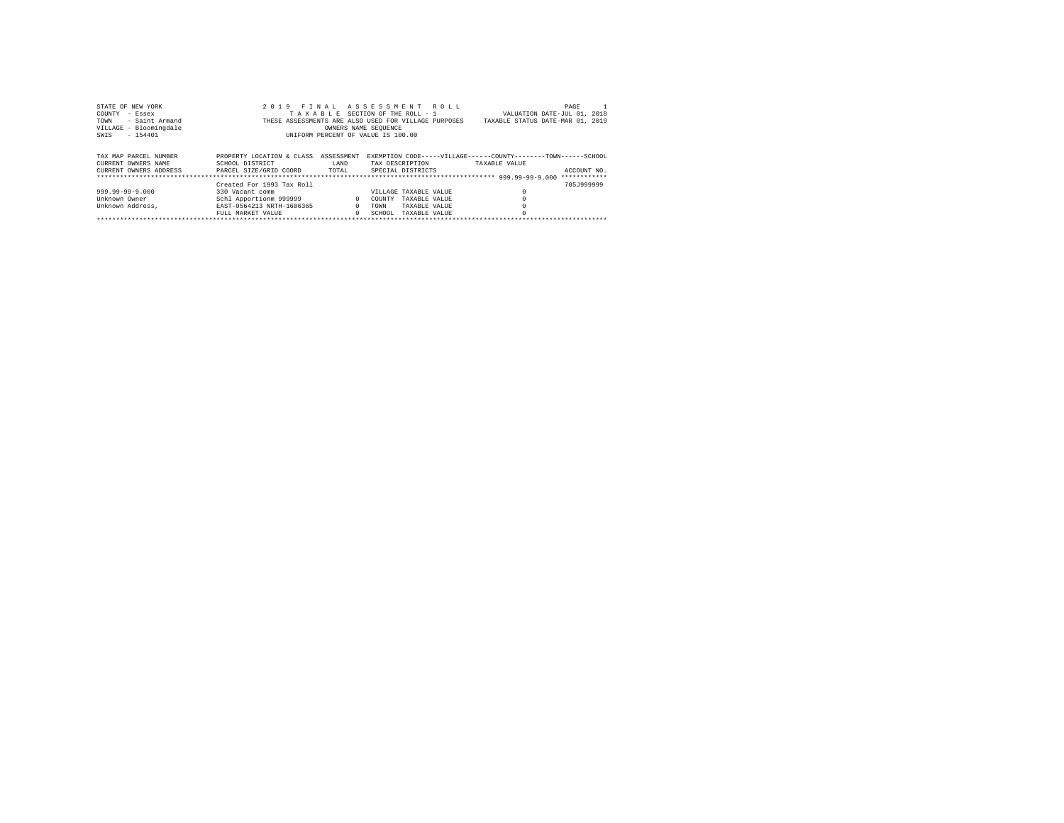| STATE OF NEW YORK      | 2019                                                 | FINAL ASSESSMENT ROLL           |                       |               |               | PAGE                                                           |
|------------------------|------------------------------------------------------|---------------------------------|-----------------------|---------------|---------------|----------------------------------------------------------------|
| COUNTY<br>- Essex      |                                                      | TAXABLE SECTION OF THE ROLL - 1 |                       |               |               | VALUATION DATE-JUL 01, 2018                                    |
| - Saint Armand<br>TOWN | THESE ASSESSMENTS ARE ALSO USED FOR VILLAGE PURPOSES |                                 |                       |               |               | TAXABLE STATUS DATE-MAR 01, 2019                               |
| VILLAGE - Bloomingdale |                                                      | OWNERS NAME SEOUENCE            |                       |               |               |                                                                |
| $-154401$<br>SWIS      | UNIFORM PERCENT OF VALUE IS 100.00                   |                                 |                       |               |               |                                                                |
|                        |                                                      |                                 |                       |               |               |                                                                |
|                        |                                                      |                                 |                       |               |               |                                                                |
| TAX MAP PARCEL NUMBER  | PROPERTY LOCATION & CLASS                            | ASSESSMENT                      |                       |               |               | EXEMPTION CODE-----VILLAGE------COUNTY--------TOWN------SCHOOL |
| CURRENT OWNERS NAME    | SCHOOL DISTRICT                                      | LAND                            | TAX DESCRIPTION       |               | TAXABLE VALUE |                                                                |
| CURRENT OWNERS ADDRESS | PARCEL SIZE/GRID COORD                               | TOTAL                           | SPECIAL DISTRICTS     |               |               | ACCOUNT NO.                                                    |
|                        |                                                      |                                 |                       |               |               | ************                                                   |
|                        | Created For 1993 Tax Roll                            |                                 |                       |               |               | 705.7999999                                                    |
| 999.99-99-9.000        | 330 Vacant comm                                      |                                 | VILLAGE TAXABLE VALUE |               |               |                                                                |
| Unknown Owner          | Schl Apportionm 999999                               | $\mathbf{r}$                    | COUNTY                | TAXABLE VALUE |               |                                                                |
| Unknown Address.       | EAST-0564213 NRTH-1606365                            | $\Omega$                        | TOWN                  | TAXABLE VALUE |               |                                                                |
|                        | FULL MARKET VALUE                                    | $\Omega$                        | SCHOOL.               | TAXABLE VALUE |               |                                                                |
|                        |                                                      |                                 |                       |               |               |                                                                |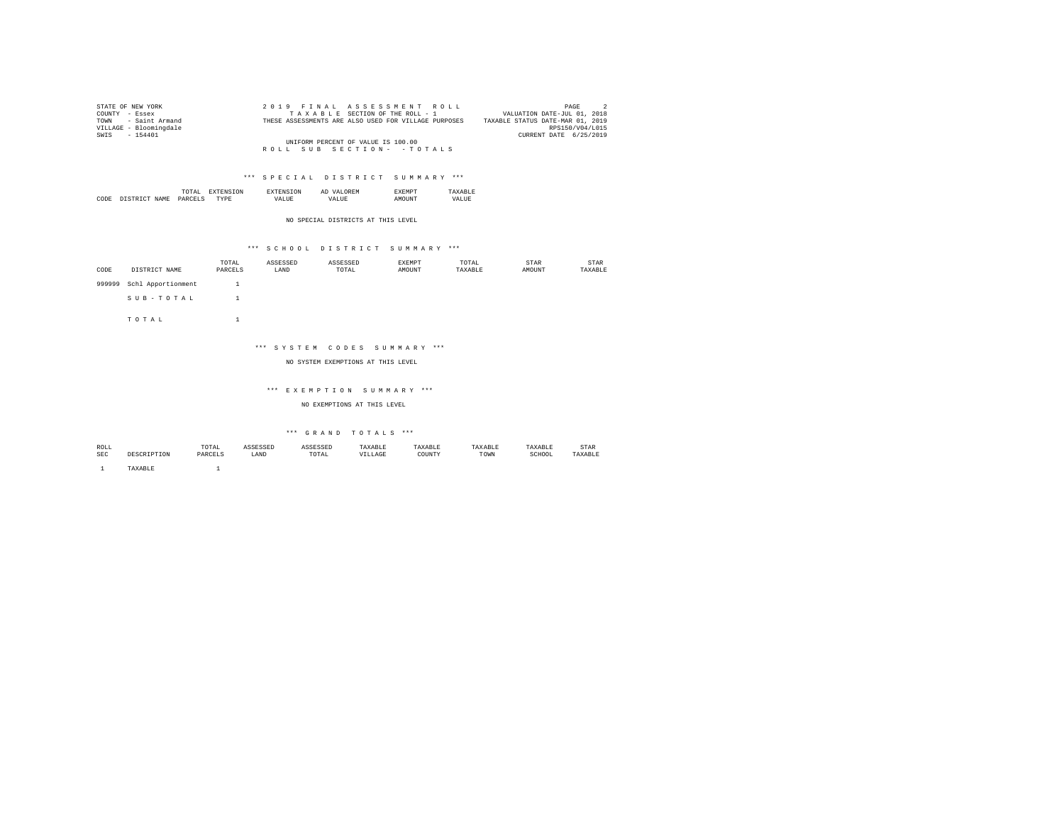| STATE OF NEW YORK      | 2019 FINAL ASSESSMENT ROLL                           | PAGE<br>$\overline{2}$           |
|------------------------|------------------------------------------------------|----------------------------------|
| COUNTY - Essex         | TAXABLE SECTION OF THE ROLL - 1                      | VALUATION DATE-JUL 01, 2018      |
| TOWN - Saint Armand    | THESE ASSESSMENTS ARE ALSO USED FOR VILLAGE PURPOSES | TAXABLE STATUS DATE-MAR 01, 2019 |
| VILLAGE - Bloomingdale |                                                      | RPS150/V04/L015                  |
| SWIS - 154401          |                                                      | CURRENT DATE 6/25/2019           |
|                        | UNIFORM PERCENT OF VALUE IS 100.00                   |                                  |
|                        | ROLL SUB SECTION- - TOTALS                           |                                  |

|           | the contract of the contract of the contract of | ΩN            | . IVI 64 |           |
|-----------|-------------------------------------------------|---------------|----------|-----------|
| CODI<br>. |                                                 | <br><br>_____ | m        | ▵<br>- 11 |

NO SPECIAL DISTRICTS AT THIS LEVEL

# \*\*\* S C H O O L D I S T R I C T S U M M A R Y \*\*\*

| CODE   | DISTRICT NAME      | TOTAL<br>PARCELS | ASSESSED<br>LAND | ASSESSED<br>TOTAL | <b>EXEMPT</b><br>AMOUNT | TOTAL<br>TAXABLE | STAR<br>AMOUNT | STAR<br>TAXABLE |
|--------|--------------------|------------------|------------------|-------------------|-------------------------|------------------|----------------|-----------------|
| 999999 | Schl Apportionment |                  |                  |                   |                         |                  |                |                 |
|        | SUB-TOTAL          |                  |                  |                   |                         |                  |                |                 |
|        | TOTAL              |                  |                  |                   |                         |                  |                |                 |

## \*\*\* S Y S T E M C O D E S S U M M A R Y \*\*\*

## NO SYSTEM EXEMPTIONS AT THIS LEVEL

#### \*\*\* E X E M P T I O N S U M M A R Y \*\*\*

NO EXEMPTIONS AT THIS LEVEL

# $\hspace{0.1cm}$  \*\*\*  $\hspace{0.1cm}$  G R A N D  $\hspace{0.1cm}$  T O T A L S  $\hspace{0.1cm}$  \*\*\*

| ROLL       |        | TOTAL<br>the contract of the contract of the contract of the contract of the contract of | ACCROCER<br>ىتتىن | <b>ACCPCCPP</b><br>.                                     | TAXABLE | 'AXABLE |      | TAXABLE     | STAR           |
|------------|--------|------------------------------------------------------------------------------------------|-------------------|----------------------------------------------------------|---------|---------|------|-------------|----------------|
| <b>SEC</b> |        | PARCELS                                                                                  | LAND              | TOTAL<br>the contract of the contract of the contract of | LLAGE   | COUNTY  | TOWN | SCHOOL<br>. | <b>TAVADIE</b> |
|            |        |                                                                                          |                   |                                                          |         |         |      |             |                |
|            | AXABLE |                                                                                          |                   |                                                          |         |         |      |             |                |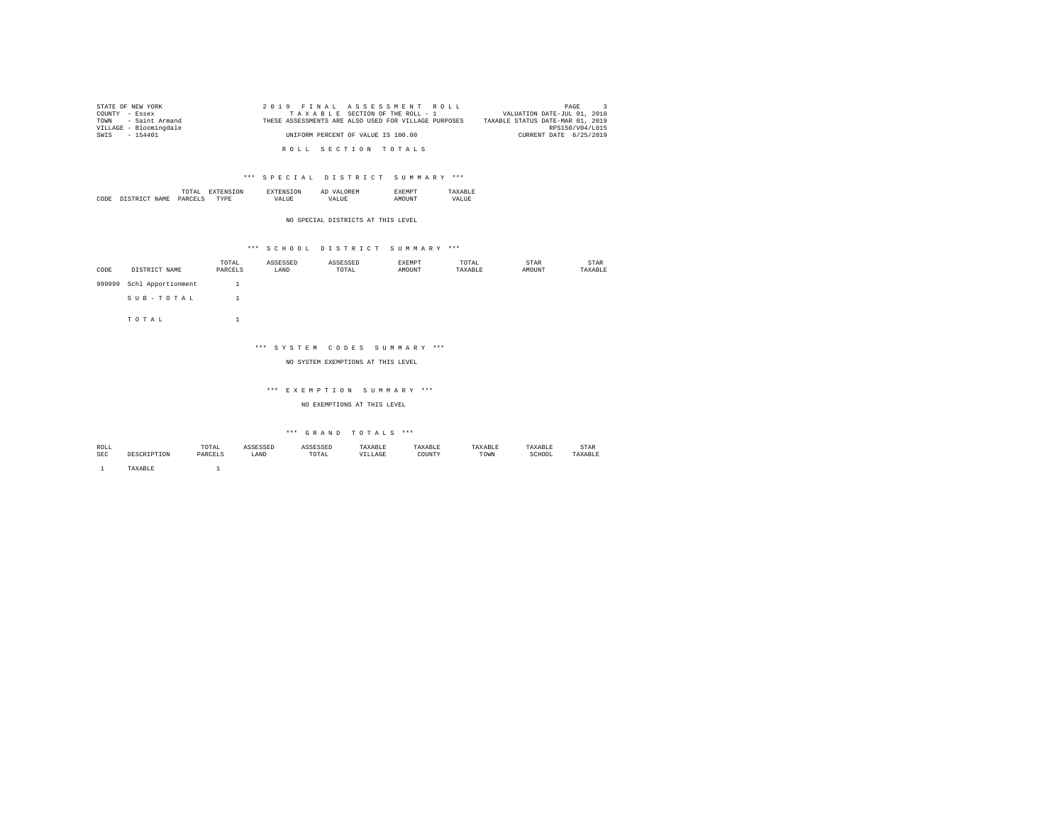| STATE OF NEW YORK      | 2019 FINAL ASSESSMENT ROLL                           | PAGE                             |
|------------------------|------------------------------------------------------|----------------------------------|
| COUNTY - Essex         | TAXABLE SECTION OF THE ROLL - 1                      | VALUATION DATE-JUL 01, 2018      |
| TOWN - Saint Armand    | THESE ASSESSMENTS ARE ALSO USED FOR VILLAGE PURPOSES | TAXABLE STATUS DATE-MAR 01, 2019 |
| VILLAGE - Bloomingdale |                                                      | RPS150/V04/L015                  |
| SWIS - 154401          | UNIFORM PERCENT OF VALUE IS 100.00                   | CURRENT DATE 6/25/2019           |
|                        |                                                      |                                  |
|                        | ROLL SECTION TOTALS                                  |                                  |

|      |        | the contract of the contract of the contract of | m   |        | Al       | ?ME |         |
|------|--------|-------------------------------------------------|-----|--------|----------|-----|---------|
| CODE | NT∆M∍. | `ת מ                                            | мp. | ''Aldr | ≀A I.II⊧ |     | "'AT.L. |

NO SPECIAL DISTRICTS AT THIS LEVEL

# \*\*\* S C H O O L D I S T R I C T S U M M A R Y \*\*\*

| CODE   | DISTRICT NAME      | TOTAL<br>PARCELS | ASSESSED<br>LAND | ASSESSED<br>TOTAL | EXEMPT<br>AMOUNT | TOTAL<br>TAXABLE | STAR<br>AMOUNT | STAR<br>TAXABLE |
|--------|--------------------|------------------|------------------|-------------------|------------------|------------------|----------------|-----------------|
|        |                    |                  |                  |                   |                  |                  |                |                 |
| 999999 | Schl Apportionment |                  |                  |                   |                  |                  |                |                 |
|        | SUB-TOTAL          |                  |                  |                   |                  |                  |                |                 |
|        | TOTAL              |                  |                  |                   |                  |                  |                |                 |

## \*\*\* S Y S T E M C O D E S S U M M A R Y \*\*\*

## NO SYSTEM EXEMPTIONS AT THIS LEVEL

#### \*\*\* E X E M P T I O N S U M M A R Y \*\*\*

NO EXEMPTIONS AT THIS LEVEL

| ROLL       |        | TOTAL<br>the contract of the contract of the contract of the contract of the contract of | ACCROCER<br>ىتتىن | <b>ACCPCCPP</b><br>.                                     | TAXABLE | 'AXABLE |      | TAXABLE     | STAR           |
|------------|--------|------------------------------------------------------------------------------------------|-------------------|----------------------------------------------------------|---------|---------|------|-------------|----------------|
| <b>SEC</b> |        | PARCELS                                                                                  | LAND              | TOTAL<br>the contract of the contract of the contract of | LLAGE   | COUNTY  | TOWN | SCHOOL<br>. | <b>TAVADIE</b> |
|            |        |                                                                                          |                   |                                                          |         |         |      |             |                |
|            | AXABLE |                                                                                          |                   |                                                          |         |         |      |             |                |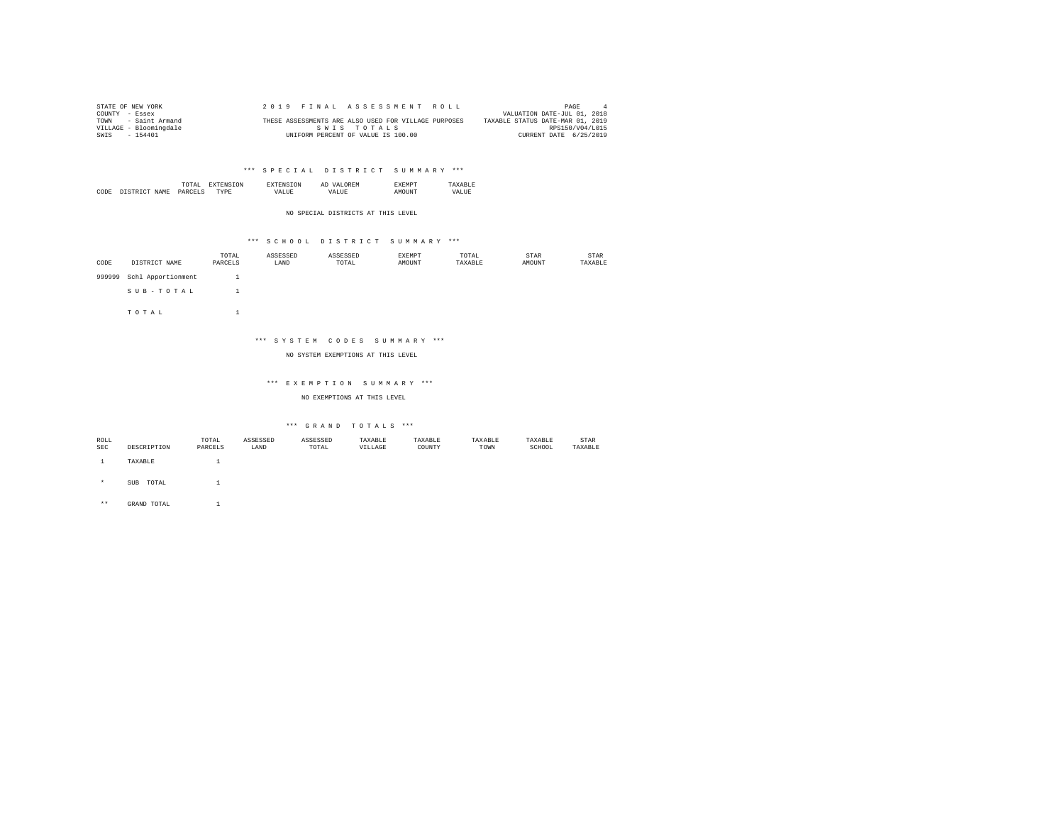| STATE OF NEW YORK      | 2019 FINAL ASSESSMENT ROLL                           | PAGE                             |
|------------------------|------------------------------------------------------|----------------------------------|
| COUNTY - Essex         |                                                      | VALUATION DATE-JUL 01, 2018      |
| - Saint Armand<br>TOWN | THESE ASSESSMENTS ARE ALSO USED FOR VILLAGE PURPOSES | TAXABLE STATUS DATE-MAR 01, 2019 |
| VILLAGE - Bloomingdale | SWIS TOTALS                                          | RPS150/V04/L015                  |
| SWIS<br>$-154401$      | UNIFORM PERCENT OF VALUE IS 100.00                   | CURRENT DATE 6/25/2019           |

|  | the contract of the contract of the contract of |  | A. |  |
|--|-------------------------------------------------|--|----|--|
|  |                                                 |  |    |  |
|  |                                                 |  |    |  |

NO SPECIAL DISTRICTS AT THIS LEVEL

## \*\*\* S C H O O L D I S T R I C T S U M M A R Y \*\*\*

| CODE   | DISTRICT NAME      | TOTAL<br>PARCELS | ASSESSED<br>LAND | ASSESSED<br>TOTAL | <b>EXEMPT</b><br>AMOUNT | TOTAL<br>TAXABLE | STAR<br>AMOUNT | STAR<br>TAXABLE |
|--------|--------------------|------------------|------------------|-------------------|-------------------------|------------------|----------------|-----------------|
| 999999 | Schl Apportionment |                  |                  |                   |                         |                  |                |                 |
|        | SUB-TOTAL          |                  |                  |                   |                         |                  |                |                 |

T O T A L 1

# \*\*\* S Y S T E M C O D E S S U M M A R Y \*\*\*

NO SYSTEM EXEMPTIONS AT THIS LEVEL

## \*\*\* E X E M P T I O N S U M M A R Y \*\*\*

NO EXEMPTIONS AT THIS LEVEL

## \*\*\* G R A N D T O T A L S \*\*\*

| ROLL |                     | TOTAL   | ASSESSED | ASSESSED | TAXABLE | TAXABLE | TAXABLE | TAXABLE | STAR    |
|------|---------------------|---------|----------|----------|---------|---------|---------|---------|---------|
| SEC  | DESCRIPTION         | PARCELS | LAND     | TOTAL    | VILLAGE | COUNTY  | TOWN    | SCHOOL  | TAXABLE |
|      |                     |         |          |          |         |         |         |         |         |
|      | TAXABLE             |         |          |          |         |         |         |         |         |
|      |                     |         |          |          |         |         |         |         |         |
|      |                     |         |          |          |         |         |         |         |         |
| ÷.   | TOTAL<br><b>SUB</b> |         |          |          |         |         |         |         |         |

\*\* GRAND TOTAL 1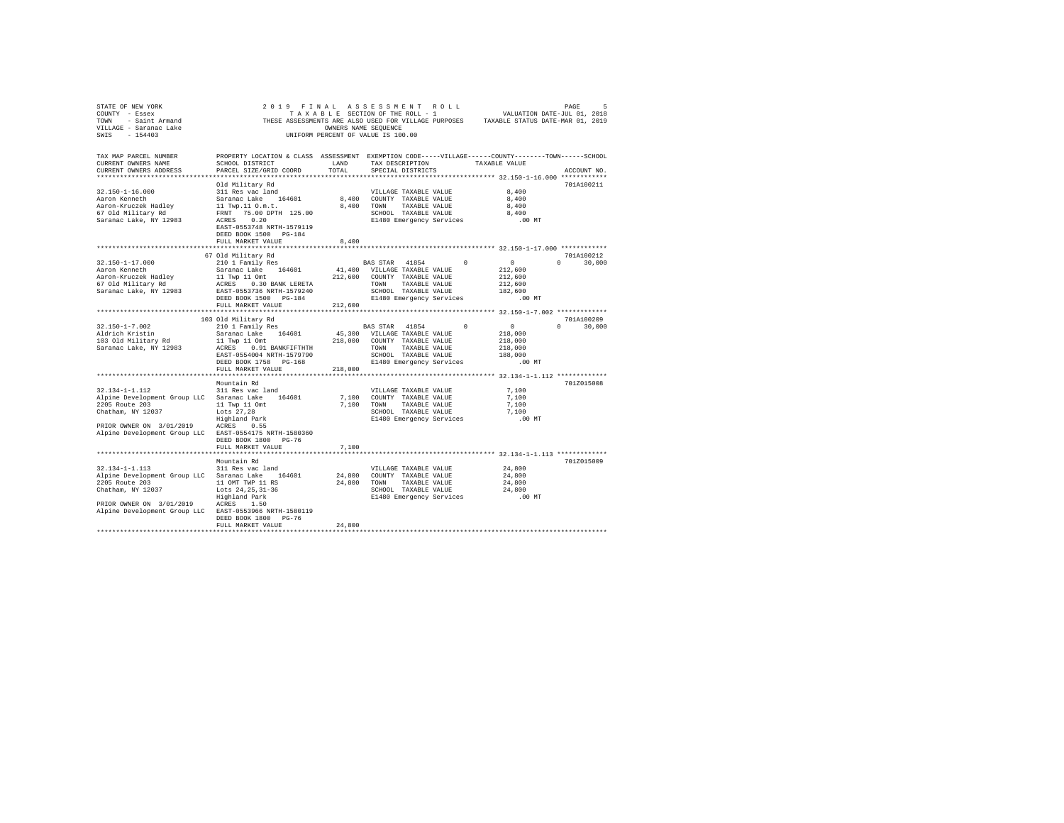| STATE OF NEW YORK                                                        |                                                                                                                                                                                 |                      |                                                               |              |               |                    |
|--------------------------------------------------------------------------|---------------------------------------------------------------------------------------------------------------------------------------------------------------------------------|----------------------|---------------------------------------------------------------|--------------|---------------|--------------------|
|                                                                          |                                                                                                                                                                                 |                      |                                                               |              |               |                    |
|                                                                          | THESE ASSESSMENTS ARE ALSO USED FOR VILLAGE PURPOSES TAXABLE STATUS DATE-MAR 01, 2019                                                                                           |                      |                                                               |              |               |                    |
|                                                                          |                                                                                                                                                                                 | OWNERS NAME SEOUENCE |                                                               |              |               |                    |
|                                                                          |                                                                                                                                                                                 |                      | UNIFORM PERCENT OF VALUE IS 100.00                            |              |               |                    |
|                                                                          |                                                                                                                                                                                 |                      |                                                               |              |               |                    |
|                                                                          |                                                                                                                                                                                 |                      |                                                               |              |               |                    |
| TAX MAP PARCEL NUMBER                                                    | PROPERTY LOCATION & CLASS ASSESSMENT EXEMPTION CODE-----VILLAGE------COUNTY-------TOWN------SCHOOL                                                                              |                      |                                                               |              |               |                    |
| CURRENT OWNERS NAME                                                      | SCHOOL DISTRICT                                                                                                                                                                 | LAND                 | TAX DESCRIPTION                                               |              | TAXABLE VALUE |                    |
| CURRENT OWNERS ADDRESS                                                   | PARCEL SIZE/GRID COORD                                                                                                                                                          | TOTAL                | SPECIAL DISTRICTS                                             |              |               | ACCOUNT NO.        |
|                                                                          |                                                                                                                                                                                 |                      |                                                               |              |               |                    |
|                                                                          | Old Military Rd                                                                                                                                                                 |                      |                                                               |              |               | 701A100211         |
| $32.150 - 1 - 16.000$                                                    | 311 Res vac land                                                                                                                                                                |                      | VILLAGE TAXABLE VALUE                                         |              | 8,400         |                    |
|                                                                          |                                                                                                                                                                                 |                      | 8,400 COUNTY TAXABLE VALUE                                    |              | 8,400         |                    |
| Aaron-Kruczek Hadley                                                     |                                                                                                                                                                                 |                      | 8,400 TOWN TAXABLE VALUE                                      |              | 8,400         |                    |
| 67 Old Military Rd                                                       | Saranac Lake 164601<br>11 Twp.11 O.m.t.<br>FRNT 75.00 DPTH 125.00                                                                                                               |                      | SCHOOL TAXABLE VALUE                                          |              | 8,400         |                    |
|                                                                          |                                                                                                                                                                                 |                      |                                                               |              |               |                    |
| Saranac Lake, NY 12983                                                   | ACRES 0.20                                                                                                                                                                      |                      | E1480 Emergency Services                                      |              | $.00$ MT      |                    |
|                                                                          | EAST-0553748 NRTH-1579119                                                                                                                                                       |                      |                                                               |              |               |                    |
|                                                                          | DEED BOOK 1500 PG-184                                                                                                                                                           |                      |                                                               |              |               |                    |
|                                                                          | FULL MARKET VALUE                                                                                                                                                               | 8,400                |                                                               |              |               |                    |
|                                                                          |                                                                                                                                                                                 |                      |                                                               |              |               |                    |
|                                                                          | 67 Old Military Rd                                                                                                                                                              |                      |                                                               |              |               | 701A100212         |
| $32.150 - 1 - 17.000$                                                    | 210 1 Family Res                                                                                                                                                                |                      | BAS STAR 41854 0                                              |              | $\sim$ 0      | $\Omega$<br>30,000 |
| Aaron Kenneth                                                            | Saranac Lake 164601                                                                                                                                                             |                      | 41,400 VILLAGE TAXABLE VALUE                                  |              | 212,600       |                    |
| Aaron-Kruczek Hadley                                                     | 11 Twp 11 Omt<br>11 Twp 11 Omt 212,600 COUNTY TAXABLE VALUE<br>212,600 COUNTY TAXABLE VALUE<br>212,600 COUNTY TAXABLE VALUE<br>2140 Emergency Services<br>DEED BOOK 1500 PG-184 |                      |                                                               |              | 212,600       |                    |
| 67 Old Military Rd                                                       |                                                                                                                                                                                 |                      |                                                               |              | 212,600       |                    |
| Saranac Lake, NY 12983                                                   |                                                                                                                                                                                 |                      |                                                               |              | 182,600       |                    |
|                                                                          |                                                                                                                                                                                 |                      |                                                               |              | $.00$ MT      |                    |
|                                                                          | DEED BOOK 1500 PG-184<br>FULL MARKET VALUE 212,600                                                                                                                              |                      | E1480 Emergency Services                                      |              |               |                    |
|                                                                          |                                                                                                                                                                                 |                      |                                                               |              |               |                    |
|                                                                          |                                                                                                                                                                                 |                      |                                                               |              |               |                    |
|                                                                          | 103 Old Military Rd                                                                                                                                                             |                      |                                                               |              |               | 701A100209         |
| 32.150-1-7.002                                                           | 210 1 Family Res                                                                                                                                                                |                      | BAS STAR 41854                                                | $\mathbf{0}$ | $\sim$ 0      | $0 \t 30,000$      |
| Aldrich Kristin                                                          | Saranac Lake 164601                                                                                                                                                             |                      | 45,300 VILLAGE TAXABLE VALUE                                  |              | 218,000       |                    |
| 103 Old Military Rd                                                      | 11 Twp 11 Omt                                                                                                                                                                   |                      | 218,000 COUNTY TAXABLE VALUE                                  |              | 218,000       |                    |
| Saranac Lake, NY 12983                                                   |                                                                                                                                                                                 |                      | TOWN TAXABLE VALUE                                            |              | 218,000       |                    |
|                                                                          | 11 Twp 11 Suns<br>ACRES 0.91 BANKFIFTHTH<br>EAST-0554004 NRTH-1579790                                                                                                           |                      | SCHOOL TAXABLE VALUE                                          |              | 188,000       |                    |
|                                                                          | DEED BOOK 1758 PG-168                                                                                                                                                           |                      | E1480 Emergency Services                                      |              | $.00$ MT      |                    |
|                                                                          | FULL MARKET VALUE                                                                                                                                                               | 218,000              |                                                               |              |               |                    |
|                                                                          |                                                                                                                                                                                 |                      |                                                               |              |               |                    |
|                                                                          | Mountain Rd                                                                                                                                                                     |                      |                                                               |              |               | 701Z015008         |
| 32.134-1-1.112                                                           | 311 Res vac land                                                                                                                                                                |                      | VILLAGE TAXABLE VALUE                                         |              | 7,100         |                    |
| Alpine Development Group LLC Saranac Lake 164601                         |                                                                                                                                                                                 |                      | 7,100 COUNTY TAXABLE VALUE                                    |              | 7,100         |                    |
|                                                                          |                                                                                                                                                                                 |                      | 7,100 TOWN TAXABLE VALUE                                      |              | 7,100         |                    |
|                                                                          |                                                                                                                                                                                 |                      |                                                               |              |               |                    |
| 2205 Route 203<br>Chatham, NY 12037<br>Chatham, NY 12037<br>England Park |                                                                                                                                                                                 |                      | SCHOOL TAXABLE VALUE                                          |              | 7,100         |                    |
|                                                                          |                                                                                                                                                                                 |                      | E1480 Emergency Services                                      |              | .00MT         |                    |
| PRIOR OWNER ON 3/01/2019 ACRES 0.55                                      |                                                                                                                                                                                 |                      |                                                               |              |               |                    |
| Alpine Development Group LLC EAST-0554175 NRTH-1580360                   |                                                                                                                                                                                 |                      |                                                               |              |               |                    |
|                                                                          | DEED BOOK 1800 PG-76                                                                                                                                                            |                      |                                                               |              |               |                    |
|                                                                          | FULL MARKET VALUE                                                                                                                                                               | 7,100                |                                                               |              |               |                    |
|                                                                          |                                                                                                                                                                                 |                      |                                                               |              |               |                    |
|                                                                          | Mountain Rd                                                                                                                                                                     |                      |                                                               |              |               | 701Z015009         |
| $32.134 - 1 - 1.113$                                                     | 311 Res vac land                                                                                                                                                                |                      | VILLAGE TAXABLE VALUE                                         |              | 24,800        |                    |
| Alpine Development Group LLC Saranac Lake 164601                         |                                                                                                                                                                                 |                      | 24,800 COUNTY TAXABLE VALUE                                   |              | 24,800        |                    |
| 2205 Route 203 11 OMT TWP 11 RS                                          |                                                                                                                                                                                 |                      | 24,800 TOWN TAXABLE VALUE                                     |              | 24,800        |                    |
|                                                                          |                                                                                                                                                                                 |                      |                                                               |              |               |                    |
| 2205 Rouce 20037<br>Chatham, NY 12037                                    | Lots 24, 25, 31-36<br>Highland Park                                                                                                                                             |                      | CHOOL TAXABLE VALUE 24,800<br>E1480 Emergency Services .00 MT |              |               |                    |
| PRIOR OWNER ON 3/01/2019 ACRES 1.50                                      |                                                                                                                                                                                 |                      |                                                               |              |               |                    |
|                                                                          |                                                                                                                                                                                 |                      |                                                               |              |               |                    |
| Alpine Development Group LLC EAST-0553966 NRTH-1580119                   |                                                                                                                                                                                 |                      |                                                               |              |               |                    |
|                                                                          | DEED BOOK 1800 PG-76                                                                                                                                                            |                      |                                                               |              |               |                    |
|                                                                          | FULL MARKET VALUE                                                                                                                                                               | 24,800               |                                                               |              |               |                    |
|                                                                          |                                                                                                                                                                                 |                      |                                                               |              |               |                    |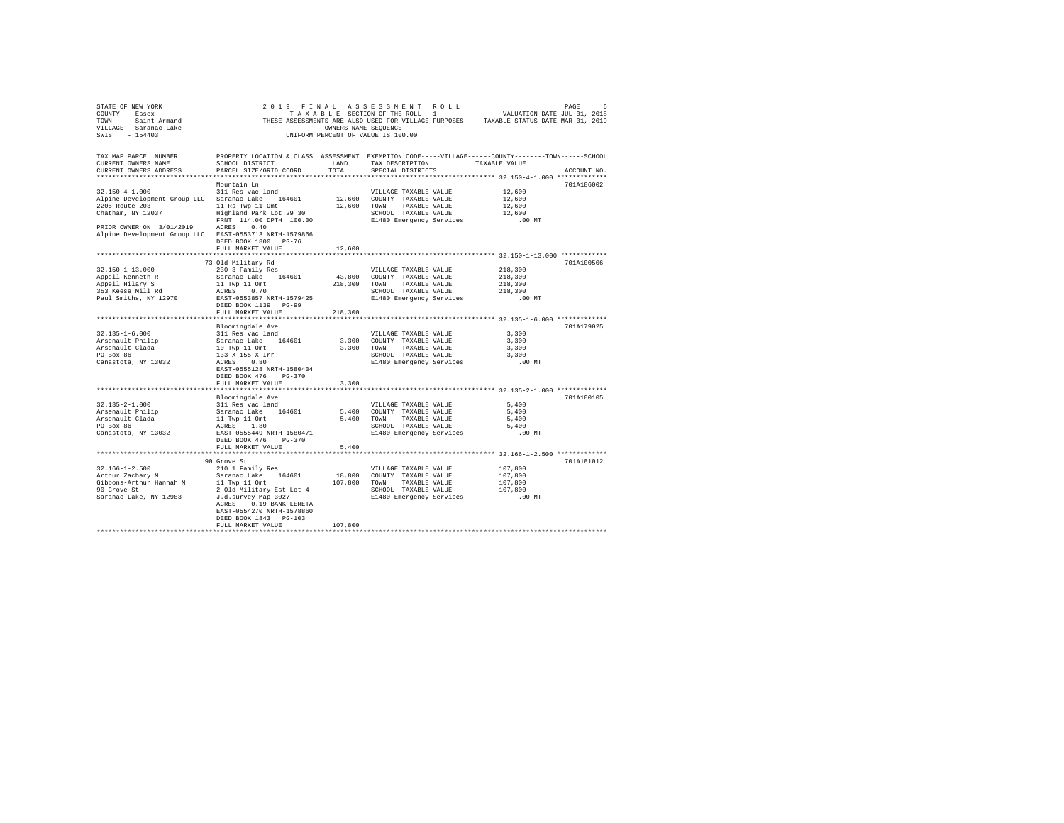| TAX MAP PARCEL NUMBER                                                                                                                                                   |                                                                                                   |                |                                                               | PROPERTY LOCATION & CLASS ASSESSMENT EXEMPTION CODE-----VILLAGE------COUNTY-------TOWN------SCHOOL |
|-------------------------------------------------------------------------------------------------------------------------------------------------------------------------|---------------------------------------------------------------------------------------------------|----------------|---------------------------------------------------------------|----------------------------------------------------------------------------------------------------|
| CURRENT OWNERS NAME                                                                                                                                                     | SCHOOL DISTRICT                                                                                   | LAND           | TAX DESCRIPTION TAXABLE VALUE                                 |                                                                                                    |
| CURRENT OWNERS ADDRESS                                                                                                                                                  | PARCEL SIZE/GRID COORD                                                                            | TOTAL          | SPECIAL DISTRICTS                                             | ACCOUNT NO.                                                                                        |
|                                                                                                                                                                         |                                                                                                   |                |                                                               |                                                                                                    |
|                                                                                                                                                                         | Mountain Ln                                                                                       |                |                                                               | 701A186002                                                                                         |
| $32.150 - 4 - 1.000$                                                                                                                                                    | 311 Res vac land                                                                                  |                | VILLAGE TAXABLE VALUE                                         | 12,600<br>12,600                                                                                   |
| Alpine Development Group LLC Saranac Lake 164601                                                                                                                        |                                                                                                   |                | 12,600 COUNTY TAXABLE VALUE                                   |                                                                                                    |
|                                                                                                                                                                         |                                                                                                   |                | 12,600 TOWN TAXABLE VALUE                                     | 12,600                                                                                             |
| 2205 Route 203 11 Rs Twp 11 Omt<br>Chatham, NY 12037 Highland Park Lot 29 30<br>$\frac{11 \text{ Rs}}{29.30}$<br>$2205$ Abbreve 1.2037                                  |                                                                                                   |                | SCHOOL TAXABLE VALUE                                          | 12,600                                                                                             |
|                                                                                                                                                                         | FRNT 114.00 DPTH 100.00 E1480 Emergency Services .00 MT                                           |                |                                                               |                                                                                                    |
| PRIOR OWNER ON 3/01/2019 ACRES 0.40                                                                                                                                     |                                                                                                   |                |                                                               |                                                                                                    |
| Alpine Development Group LLC EAST-0553713 NRTH-1579866                                                                                                                  |                                                                                                   |                |                                                               |                                                                                                    |
|                                                                                                                                                                         | DEED BOOK 1800 PG-76                                                                              |                |                                                               |                                                                                                    |
|                                                                                                                                                                         | FULL MARKET VALUE                                                                                 | 12,600         |                                                               |                                                                                                    |
|                                                                                                                                                                         |                                                                                                   | ************** |                                                               | *********************** 32.150-1-13.000 ************                                               |
|                                                                                                                                                                         | 73 Old Military Rd                                                                                |                |                                                               | 701A100506                                                                                         |
| $32.150 - 1 - 13.000$                                                                                                                                                   | 230 3 Family Res                                                                                  |                | VILLAGE TAXABLE VALUE                                         | 218,300                                                                                            |
| Appell Kenneth R<br>Appell Hilary S<br>353 Keese Mill Rd                                                                                                                |                                                                                                   |                |                                                               | 218,300<br>218,300<br>218,300                                                                      |
|                                                                                                                                                                         |                                                                                                   |                |                                                               |                                                                                                    |
|                                                                                                                                                                         | ACKES 0.70<br>EAST-0553857 NRTH-1579425<br>DEED BOOK 1139 DC-00                                   |                | SCHOOL TAXABLE VALUE                                          |                                                                                                    |
| Paul Smiths, NY 12970                                                                                                                                                   |                                                                                                   |                | E1480 Emergency Services                                      | $.00$ MT                                                                                           |
|                                                                                                                                                                         | DEED BOOK 1139 PG-99                                                                              |                |                                                               |                                                                                                    |
|                                                                                                                                                                         | FULL MARKET VALUE                                                                                 | 218,300        |                                                               |                                                                                                    |
|                                                                                                                                                                         |                                                                                                   |                |                                                               |                                                                                                    |
|                                                                                                                                                                         | Bloomingdale Ave                                                                                  |                |                                                               | 701A179025                                                                                         |
| $32.135 - 1 - 6.000$                                                                                                                                                    | 311 Res vac land                                                                                  |                | VILLAGE TAXABLE VALUE                                         | 3,300                                                                                              |
|                                                                                                                                                                         |                                                                                                   |                |                                                               | 3,300                                                                                              |
| Arsenault Philip<br>Arsenault Clada                                                                                                                                     |                                                                                                   |                | 3,300 COUNTY TAXABLE VALUE<br>3,300 TOWN TAXABLE VALUE        | 3,300                                                                                              |
| PO Box 86                                                                                                                                                               |                                                                                                   |                | SCHOOL TAXABLE VALUE                                          | 3,300                                                                                              |
| Canastota, NY 13032                                                                                                                                                     | Saranac Lake 164601<br>10 Twp 11 Omt<br>133 X 155 X Irr<br>RCES 0.80<br>RAST-0655128 NPTH-1590404 |                | E1480 Emergency Services                                      | $.00$ MT                                                                                           |
|                                                                                                                                                                         | EAST-0555128 NRTH-1580404                                                                         |                |                                                               |                                                                                                    |
|                                                                                                                                                                         | DEED BOOK 476 PG-370                                                                              |                |                                                               |                                                                                                    |
|                                                                                                                                                                         | FULL MARKET VALUE                                                                                 | 3,300          |                                                               |                                                                                                    |
|                                                                                                                                                                         |                                                                                                   |                |                                                               |                                                                                                    |
|                                                                                                                                                                         | Bloomingdale Ave                                                                                  |                |                                                               | 701A100105                                                                                         |
| $32.135 - 2 - 1.000$                                                                                                                                                    | 311 Res vac land                                                                                  |                | VILLAGE TAXABLE VALUE                                         | 5,400                                                                                              |
|                                                                                                                                                                         |                                                                                                   |                |                                                               | 5,400                                                                                              |
|                                                                                                                                                                         |                                                                                                   |                |                                                               | 5,400                                                                                              |
|                                                                                                                                                                         |                                                                                                   |                |                                                               |                                                                                                    |
|                                                                                                                                                                         |                                                                                                   |                | SCHOOL TAXABLE VALUE 5,400<br>E1480 Emergency Services .00 MT |                                                                                                    |
|                                                                                                                                                                         | DEED BOOK 476 PG-370                                                                              |                |                                                               |                                                                                                    |
|                                                                                                                                                                         | FULL MARKET VALUE                                                                                 | 5,400          |                                                               |                                                                                                    |
|                                                                                                                                                                         |                                                                                                   |                |                                                               |                                                                                                    |
|                                                                                                                                                                         | 90 Grove St                                                                                       |                |                                                               | 701A181012                                                                                         |
|                                                                                                                                                                         |                                                                                                   |                | VILLAGE TAXABLE VALUE                                         |                                                                                                    |
| $32.166 - 1 - 2.500$ $32.166 - 1 - 2.500$ $32.166 - 1 - 2.500$ $32.166 - 1 - 2.500$ $32.166 - 1 - 2.500$ $32.166 - 1 - 2.500$ $32.166 - 1 - 2.500$ $32.166 - 1 - 2.500$ |                                                                                                   |                | 18,800 COUNTY TAXABLE VALUE                                   | 107,800<br>107,800                                                                                 |
| Gibbons-Arthur Hannah M                                                                                                                                                 |                                                                                                   |                | 107,800 TOWN TAXABLE VALUE                                    | 107,800                                                                                            |
| 90 Grove St                                                                                                                                                             | 11 Twp 11 Omt<br>2 Old Military Est Lot 4                                                         |                | SCHOOL TAXABLE VALUE                                          | 107,800                                                                                            |
| Saranac Lake, NY 12983 J.d. survey Map 3027                                                                                                                             |                                                                                                   |                | E1480 Emergency Services .00 MT                               |                                                                                                    |
|                                                                                                                                                                         | ACRES 0.19 BANK LERETA                                                                            |                |                                                               |                                                                                                    |
|                                                                                                                                                                         | EAST-0554270 NRTH-1578860                                                                         |                |                                                               |                                                                                                    |
|                                                                                                                                                                         | DEED BOOK 1843 PG-103                                                                             |                |                                                               |                                                                                                    |
|                                                                                                                                                                         | FULL MARKET VALUE                                                                                 | 107,800        |                                                               |                                                                                                    |
|                                                                                                                                                                         |                                                                                                   |                |                                                               |                                                                                                    |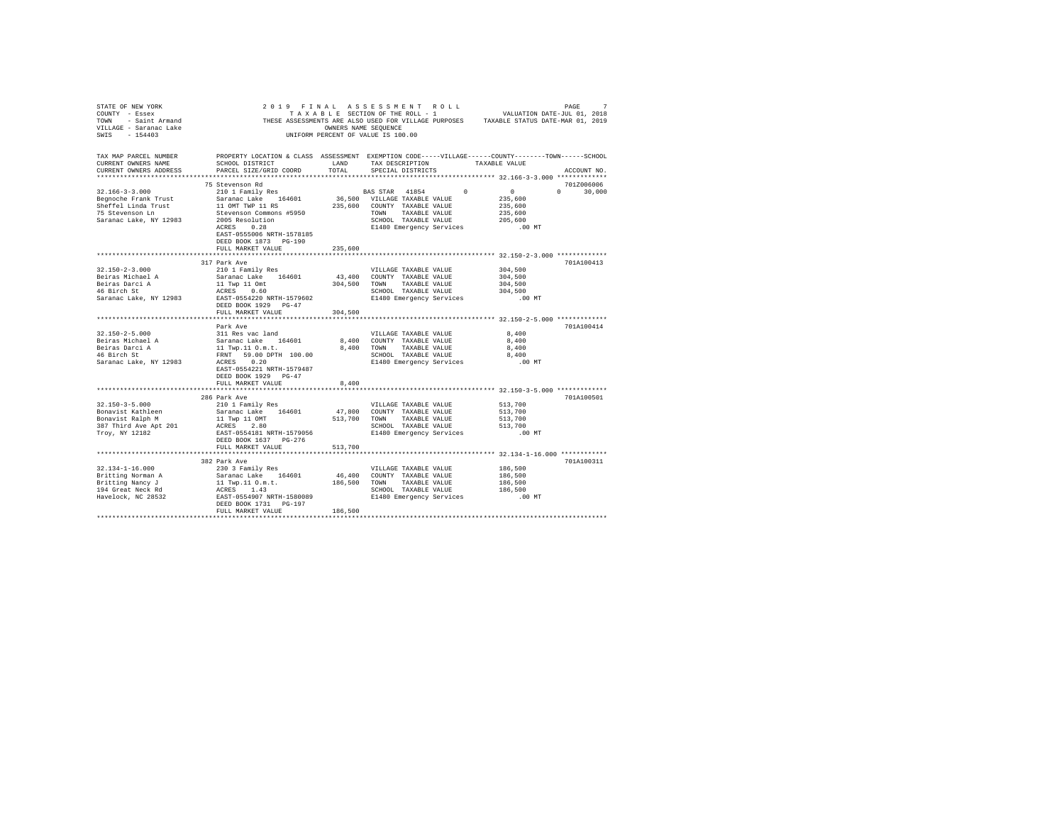| STATE OF NEW YORK<br>COUNTY - ESSEX COUNTY - ESSEX COUNTY - ESSEX COUNTY - ESSEX COUNTY - ESSEX COUNTY - ESSEX COUNTY - ESSEX COUNTY - ESSEX COUNTY - ESSEX COUNTY - ESSEX COUNTY - ESSEX COUNTY - ESSEX COUNTY - ESSEX COUNTY - ESSEX COUNTY - ESS<br>VILLAGE - Saranac Lake<br>SWIS - 154403 | 2019 FINAL ASSESSMENT ROLL<br>UNIFORM PERCENT OF VALUE IS 100.00                                                                                                                                                               | OWNERS NAME SEQUENCE |                                                                        |                                                                 | PAGE<br>7     |
|------------------------------------------------------------------------------------------------------------------------------------------------------------------------------------------------------------------------------------------------------------------------------------------------|--------------------------------------------------------------------------------------------------------------------------------------------------------------------------------------------------------------------------------|----------------------|------------------------------------------------------------------------|-----------------------------------------------------------------|---------------|
| TAX MAP PARCEL NUMBER PROPERTY LOCATION & CLASS ASSESSMENT EXEMPTION CODE-----VILLAGE------COUNTY--------TOWN------SCHOOL<br>CURRENT OWNERS NAME<br>CURRENT OWNERS ADDRESS                                                                                                                     | SCHOOL DISTRICT<br>PARCEL SIZE/GRID COORD                                                                                                                                                                                      | LAND<br>TOTAL        | SPECIAL DISTRICTS                                                      | TAX DESCRIPTION TAXABLE VALUE                                   | ACCOUNT NO.   |
|                                                                                                                                                                                                                                                                                                |                                                                                                                                                                                                                                |                      |                                                                        |                                                                 |               |
|                                                                                                                                                                                                                                                                                                | 75 Stevenson Rd                                                                                                                                                                                                                |                      |                                                                        |                                                                 | 701Z006006    |
| $32.166 - 3 - 3.000$                                                                                                                                                                                                                                                                           | 210 1 Family Res<br>210 1 Family Res<br>210 1 Family Res                                                                                                                                                                       |                      |                                                                        |                                                                 | $0 \t 30,000$ |
|                                                                                                                                                                                                                                                                                                |                                                                                                                                                                                                                                |                      | 36,500 VILLAGE TAXABLE VALUE                                           | 235,600                                                         |               |
| Begnoche Frank Trust<br>Sheffel Linda Trust<br>75 Stevenson Ln                                                                                                                                                                                                                                 |                                                                                                                                                                                                                                |                      | 235,600 COUNTY TAXABLE VALUE                                           | 235,600                                                         |               |
|                                                                                                                                                                                                                                                                                                | Saranac Lake 164601<br>11 OMT TWP 11 RS<br>5tevenson Commons #5950<br>2005 Resolution<br>ACRES 0.28                                                                                                                            |                      | TOWN TAXABLE VALUE<br>SCHOOL TAXABLE VALUE<br>E1480 Emergency Services | 235,600                                                         |               |
| Saranac Lake, NY 12983                                                                                                                                                                                                                                                                         |                                                                                                                                                                                                                                |                      |                                                                        | 205,600<br>.00 MT                                               |               |
|                                                                                                                                                                                                                                                                                                | EAST-0555006 NRTH-1578185                                                                                                                                                                                                      |                      |                                                                        |                                                                 |               |
|                                                                                                                                                                                                                                                                                                | DEED BOOK 1873 PG-190                                                                                                                                                                                                          |                      |                                                                        |                                                                 |               |
|                                                                                                                                                                                                                                                                                                | FULL MARKET VALUE                                                                                                                                                                                                              | 235,600              |                                                                        |                                                                 |               |
|                                                                                                                                                                                                                                                                                                |                                                                                                                                                                                                                                |                      |                                                                        |                                                                 |               |
|                                                                                                                                                                                                                                                                                                | 317 Park Ave                                                                                                                                                                                                                   |                      |                                                                        |                                                                 | 701A100413    |
| $32.150 - 2 - 3.000$                                                                                                                                                                                                                                                                           |                                                                                                                                                                                                                                |                      | VILLAGE TAXABLE VALUE                                                  | 304,500                                                         |               |
| Beiras Michael A                                                                                                                                                                                                                                                                               |                                                                                                                                                                                                                                |                      |                                                                        | 304,500                                                         |               |
|                                                                                                                                                                                                                                                                                                |                                                                                                                                                                                                                                |                      |                                                                        | 304,500                                                         |               |
| Beiras Darci A<br>46 Birch St                                                                                                                                                                                                                                                                  | 219 AM-AND TRIM TO SALE WAS SAFELD AND MANUS SAFARAGE TRANSPARENT AND MANUS SAFARE TRANSPARENT AND MANUS AND SOLUTIVE ASSAED AND A SAFEK AND A SAFEK AND SAFEK AND SAFEK AND SAFEK AND SAFEK AND SAFEK AND SAFEK AND SAFEK AND |                      |                                                                        |                                                                 |               |
| Saranac Lake, NY 12983 EAST-0554220 NRTH-1579602                                                                                                                                                                                                                                               |                                                                                                                                                                                                                                |                      |                                                                        | SCHOOL TAXABLE VALUE 304,500<br>E1480 Emergency Services .00 MT |               |
|                                                                                                                                                                                                                                                                                                | DEED BOOK 1929 PG-47                                                                                                                                                                                                           |                      |                                                                        |                                                                 |               |
|                                                                                                                                                                                                                                                                                                | FULL MARKET VALUE                                                                                                                                                                                                              | 304,500              |                                                                        |                                                                 |               |
|                                                                                                                                                                                                                                                                                                |                                                                                                                                                                                                                                |                      |                                                                        |                                                                 |               |
|                                                                                                                                                                                                                                                                                                | Park Ave                                                                                                                                                                                                                       |                      |                                                                        |                                                                 | 701A100414    |
| $32.150 - 2 - 5.000$                                                                                                                                                                                                                                                                           | 311 Res vac land<br>311 Res vac Ianu<br>Saranac Lake 164601<br>11 Twp.11 0.m.t.<br>mmwm 54 00 DPTH 100.00                                                                                                                      |                      | VILLAGE TAXABLE VALUE                                                  | 8,400                                                           |               |
|                                                                                                                                                                                                                                                                                                |                                                                                                                                                                                                                                |                      | 8,400 COUNTY TAXABLE VALUE                                             | 8,400                                                           |               |
| Beiras Michael A<br>Beiras Darci A<br>46 Birch St                                                                                                                                                                                                                                              |                                                                                                                                                                                                                                |                      | 8,400 TOWN TAXABLE VALUE                                               | 8,400                                                           |               |
|                                                                                                                                                                                                                                                                                                | FRNT 59.00 DPTH 100.00<br>ACRES 0.20                                                                                                                                                                                           |                      | SCHOOL TAXABLE VALUE<br>E1480 Emergency Services                       | 8,400                                                           |               |
| Saranac Lake, NY 12983                                                                                                                                                                                                                                                                         |                                                                                                                                                                                                                                |                      |                                                                        | $.00$ MT                                                        |               |
|                                                                                                                                                                                                                                                                                                | EAST-0554221 NRTH-1579487<br>DEED BOOK 1929 PG-47                                                                                                                                                                              |                      |                                                                        |                                                                 |               |
|                                                                                                                                                                                                                                                                                                | FULL MARKET VALUE                                                                                                                                                                                                              | 8,400                |                                                                        |                                                                 |               |
|                                                                                                                                                                                                                                                                                                |                                                                                                                                                                                                                                |                      |                                                                        |                                                                 |               |
|                                                                                                                                                                                                                                                                                                | 286 Park Ave                                                                                                                                                                                                                   |                      |                                                                        |                                                                 | 701A100501    |
| $32.150 - 3 - 5.000$                                                                                                                                                                                                                                                                           |                                                                                                                                                                                                                                |                      | VILLAGE TAXABLE VALUE                                                  | 513,700                                                         |               |
|                                                                                                                                                                                                                                                                                                | 210 1 Family Res<br>Saranac Lake 164601 47,800 COUNTY TAXABLE VALUE                                                                                                                                                            |                      |                                                                        | 513,700                                                         |               |
| Bonavist Kathleen<br>Bonavist Ralph M                                                                                                                                                                                                                                                          |                                                                                                                                                                                                                                |                      | 513,700 TOWN TAXABLE VALUE                                             | 513,700                                                         |               |
| 387 Third Ave Apt 201                                                                                                                                                                                                                                                                          | 11 Twp 11 OMT<br>ACRES 2.80                                                                                                                                                                                                    |                      | SCHOOL TAXABLE VALUE                                                   | 513,700                                                         |               |
| Troy, NY 12182                                                                                                                                                                                                                                                                                 | EAST-0554181 NRTH-1579056                                                                                                                                                                                                      |                      |                                                                        | E1480 Emergency Services .00 MT                                 |               |
|                                                                                                                                                                                                                                                                                                | DEED BOOK 1637 PG-276                                                                                                                                                                                                          |                      |                                                                        |                                                                 |               |
|                                                                                                                                                                                                                                                                                                | FULL MARKET VALUE                                                                                                                                                                                                              | 513,700              |                                                                        |                                                                 |               |
|                                                                                                                                                                                                                                                                                                |                                                                                                                                                                                                                                |                      |                                                                        |                                                                 |               |
|                                                                                                                                                                                                                                                                                                | 382 Park Ave                                                                                                                                                                                                                   |                      |                                                                        |                                                                 | 701A100311    |
| $32.134 - 1 - 16.000$                                                                                                                                                                                                                                                                          | 230 3 Family Res                                                                                                                                                                                                               |                      | VILLAGE TAXABLE VALUE                                                  | 186,500                                                         |               |
| Britting Norman A                                                                                                                                                                                                                                                                              |                                                                                                                                                                                                                                |                      |                                                                        | 186,500                                                         |               |
| Britting Nancy J                                                                                                                                                                                                                                                                               |                                                                                                                                                                                                                                |                      |                                                                        | 186,500                                                         |               |
| 194 Great Neck Rd<br>Havelock, NC 28532                                                                                                                                                                                                                                                        |                                                                                                                                                                                                                                |                      | SCHOOL TAXABLE VALUE<br>E1480 Emergency Services                       | 186,500                                                         |               |
|                                                                                                                                                                                                                                                                                                | EAST-0554907 NRTH-1580089                                                                                                                                                                                                      |                      |                                                                        | .00 MT                                                          |               |
|                                                                                                                                                                                                                                                                                                | DEED BOOK 1731    PG-197                                                                                                                                                                                                       |                      |                                                                        |                                                                 |               |
|                                                                                                                                                                                                                                                                                                | FULL MARKET VALUE                                                                                                                                                                                                              | 186,500              |                                                                        |                                                                 |               |
|                                                                                                                                                                                                                                                                                                |                                                                                                                                                                                                                                |                      |                                                                        |                                                                 |               |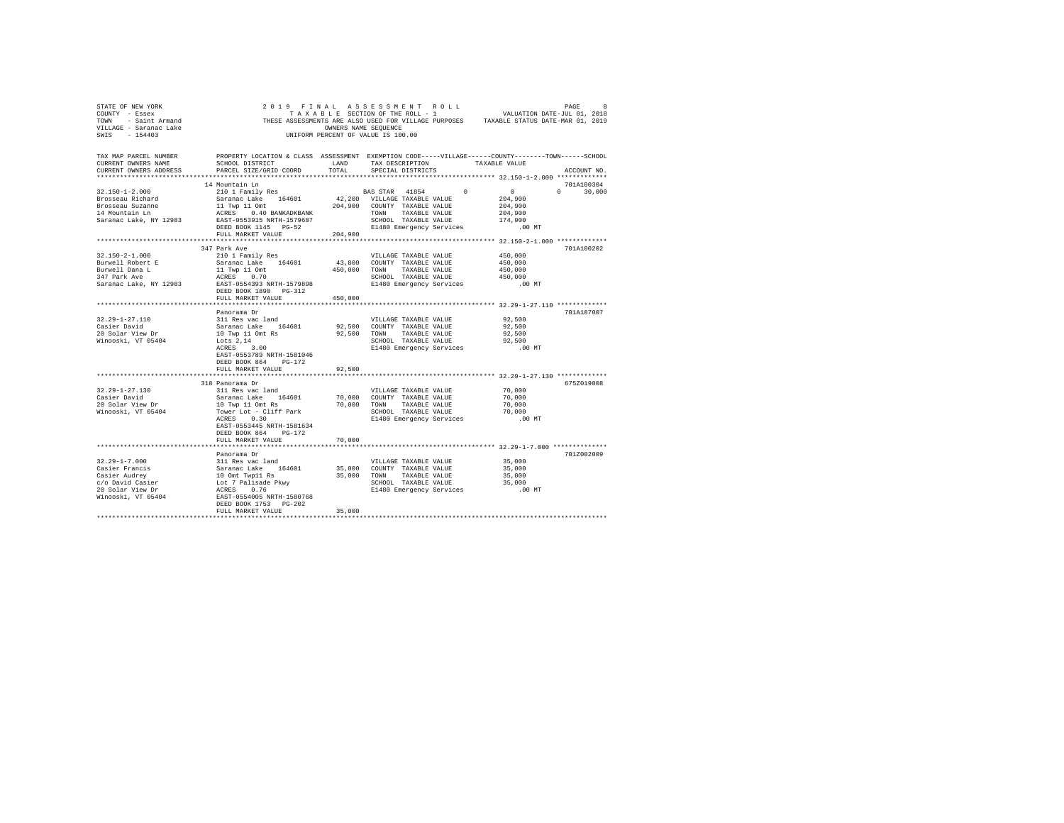| STATE OF NEW YORK<br>COUNTY - Essex<br>TOWN - Saint Armand<br>VILLAGE - Saranac Lake<br>SWIS - 154403 |                                                                                                                                                 |               | 2019 FINAL ASSESSMENT ROLL<br>TAXABLE SECTION OF THE ROLL - 1 WALUATION DATE-JUL 01, 2018<br>THESE ASSESSMENTS ARE ALSO USED FOR VILLAGE PURPOSES TAXABLE STATUS DATE-MAR 01, 2019<br>OWNERS NAME SEQUENCE<br>UNIFORM PERCENT OF VALUE IS 100.00 |                                                                  | PAGE<br>8                   |
|-------------------------------------------------------------------------------------------------------|-------------------------------------------------------------------------------------------------------------------------------------------------|---------------|--------------------------------------------------------------------------------------------------------------------------------------------------------------------------------------------------------------------------------------------------|------------------------------------------------------------------|-----------------------------|
| TAX MAP PARCEL NUMBER<br>CURRENT OWNERS NAME<br>CURRENT OWNERS ADDRESS                                | PROPERTY LOCATION & CLASS ASSESSMENT EXEMPTION CODE-----VILLAGE------COUNTY-------TOWN------SCHOOL<br>SCHOOL DISTRICT<br>PARCEL SIZE/GRID COORD | LAND<br>TOTAL | TAX DESCRIPTION TAXABLE VALUE<br>SPECIAL DISTRICTS                                                                                                                                                                                               |                                                                  | ACCOUNT NO.                 |
|                                                                                                       |                                                                                                                                                 |               |                                                                                                                                                                                                                                                  | *********************************** 32.150-1-2.000 ************* |                             |
| $32.150 - 1 - 2.000$                                                                                  | 14 Mountain Ln<br>210 1 Family Res                                                                                                              |               | BAS STAR 41854                                                                                                                                                                                                                                   | $\sim$ 0 $\sim$<br>$0 \qquad \qquad$                             | 701A100304<br>$0 \t 30,000$ |
| Brosseau Richard                                                                                      | Saranac Lake 164601                                                                                                                             |               | 42,200 VILLAGE TAXABLE VALUE                                                                                                                                                                                                                     | 204,900                                                          |                             |
| Brosseau Suzanne                                                                                      | 11 Twp 11 Omt 204,900 COUNTY TAXABLE VALUE                                                                                                      |               |                                                                                                                                                                                                                                                  | 204,900                                                          |                             |
| 14 Mountain Ln                                                                                        | ACRES 0.40 BANKADKBANK                                                                                                                          |               | TOWN TAXABLE VALUE                                                                                                                                                                                                                               | 204,900                                                          |                             |
| Saranac Lake, NY 12983                                                                                | EAST-0553915 NRTH-1579687                                                                                                                       |               | SCHOOL TAXABLE VALUE                                                                                                                                                                                                                             | 174,900                                                          |                             |
|                                                                                                       | DEED BOOK 1145 PG-52                                                                                                                            |               | E1480 Emergency Services                                                                                                                                                                                                                         | $.00$ MT                                                         |                             |
|                                                                                                       | FULL MARKET VALUE                                                                                                                               | 204,900       |                                                                                                                                                                                                                                                  |                                                                  |                             |
|                                                                                                       |                                                                                                                                                 |               |                                                                                                                                                                                                                                                  |                                                                  |                             |
| $32.150 - 2 - 1.000$                                                                                  | 347 Park Ave                                                                                                                                    |               | VILLAGE TAXABLE VALUE                                                                                                                                                                                                                            | 450,000                                                          | 701A100202                  |
| Burwell Robert E                                                                                      | 210 1 Family Res<br>Saranac Lake 164601                                                                                                         |               | 43,800 COUNTY TAXABLE VALUE                                                                                                                                                                                                                      | 450,000                                                          |                             |
| Burwell Dana L                                                                                        |                                                                                                                                                 |               | 450,000 TOWN TAXABLE VALUE                                                                                                                                                                                                                       | 450,000                                                          |                             |
| 347 Park Ave                                                                                          | 11 Twp 11 Omt<br>ACRES 0.70                                                                                                                     |               | SCHOOL TAXABLE VALUE                                                                                                                                                                                                                             | 450,000                                                          |                             |
| Saranac Lake, NY 12983                                                                                | EAST-0554393 NRTH-1579898                                                                                                                       |               | E1480 Emergency Services .00 MT                                                                                                                                                                                                                  |                                                                  |                             |
|                                                                                                       | DEED BOOK 1890 PG-312                                                                                                                           |               |                                                                                                                                                                                                                                                  |                                                                  |                             |
|                                                                                                       | FULL MARKET VALUE                                                                                                                               | 450,000       |                                                                                                                                                                                                                                                  |                                                                  |                             |
|                                                                                                       |                                                                                                                                                 |               |                                                                                                                                                                                                                                                  |                                                                  |                             |
|                                                                                                       | Panorama Dr                                                                                                                                     |               |                                                                                                                                                                                                                                                  |                                                                  | 701A187007                  |
| $32.29 - 1 - 27.110$<br>Casier David                                                                  | 311 Res vac land<br>Saranac Lake 164601                                                                                                         |               | VILLAGE TAXABLE VALUE<br>92,500 COUNTY TAXABLE VALUE                                                                                                                                                                                             | 92,500<br>92,500                                                 |                             |
| 20 Solar View Dr                                                                                      | 10 Twp 11 Omt Rs                                                                                                                                |               | 92,500 TOWN<br>TAXABLE VALUE                                                                                                                                                                                                                     | 92,500                                                           |                             |
| Winooski, VT 05404                                                                                    | Lots 2.14                                                                                                                                       |               | SCHOOL TAXABLE VALUE                                                                                                                                                                                                                             | 92,500                                                           |                             |
|                                                                                                       | ACRES 3.00                                                                                                                                      |               | E1480 Emergency Services .00 MT                                                                                                                                                                                                                  |                                                                  |                             |
|                                                                                                       | EAST-0553789 NRTH-1581046                                                                                                                       |               |                                                                                                                                                                                                                                                  |                                                                  |                             |
|                                                                                                       | DEED BOOK 864 PG-172                                                                                                                            |               |                                                                                                                                                                                                                                                  |                                                                  |                             |
|                                                                                                       | FULL MARKET VALUE                                                                                                                               | 92,500        |                                                                                                                                                                                                                                                  |                                                                  |                             |
|                                                                                                       |                                                                                                                                                 |               |                                                                                                                                                                                                                                                  |                                                                  |                             |
| $32.29 - 1 - 27.130$                                                                                  | 318 Panorama Dr<br>311 Res vac land                                                                                                             |               | VILLAGE TAXABLE VALUE                                                                                                                                                                                                                            | 70,000                                                           | 675Z019008                  |
| Casier David                                                                                          | Saranac Lake 164601                                                                                                                             |               |                                                                                                                                                                                                                                                  | 70,000                                                           |                             |
| 20 Solar View Dr                                                                                      | 10 Twp 11 Omt Rs                                                                                                                                |               | 70,000 COUNTY TAXABLE VALUE<br>70,000 TOWN TAXABLE VALUE<br>TAXABLE VALUE                                                                                                                                                                        | 70,000                                                           |                             |
| Winooski, VT 05404                                                                                    | Tower Lot - Cliff Park                                                                                                                          |               | SCHOOL TAXABLE VALUE                                                                                                                                                                                                                             | 70,000                                                           |                             |
|                                                                                                       | ACRES 0.30                                                                                                                                      |               | E1480 Emergency Services                                                                                                                                                                                                                         | $.00$ MT                                                         |                             |
|                                                                                                       | EAST-0553445 NRTH-1581634                                                                                                                       |               |                                                                                                                                                                                                                                                  |                                                                  |                             |
|                                                                                                       | DEED BOOK 864 PG-172                                                                                                                            |               |                                                                                                                                                                                                                                                  |                                                                  |                             |
|                                                                                                       | FULL MARKET VALUE                                                                                                                               | 70,000        |                                                                                                                                                                                                                                                  |                                                                  |                             |
|                                                                                                       |                                                                                                                                                 |               |                                                                                                                                                                                                                                                  |                                                                  |                             |
| $32.29 - 1 - 7.000$                                                                                   | Panorama Dr<br>311 Res vac land                                                                                                                 |               | VILLAGE TAXABLE VALUE                                                                                                                                                                                                                            | 35,000                                                           | 701Z002009                  |
| Casier Francis                                                                                        |                                                                                                                                                 |               | 35,000 COUNTY TAXABLE VALUE                                                                                                                                                                                                                      | 35,000                                                           |                             |
| Casier Audrey                                                                                         | Saranac Lake 164601<br>10 Omt Twp11 Rs<br>Lot 7 Palisade Pkwy                                                                                   |               | 35,000 TOWN TAXABLE VALUE                                                                                                                                                                                                                        | 35,000                                                           |                             |
| c/o David Casier                                                                                      |                                                                                                                                                 |               | SCHOOL TAXABLE VALUE                                                                                                                                                                                                                             | 35,000                                                           |                             |
| 20 Solar View Dr                                                                                      | ACRES 0.76                                                                                                                                      |               | E1480 Emergency Services                                                                                                                                                                                                                         | .00MT                                                            |                             |
| Winooski, VT 05404                                                                                    | EAST-0554005 NRTH-1580768                                                                                                                       |               |                                                                                                                                                                                                                                                  |                                                                  |                             |
|                                                                                                       | DEED BOOK 1753 PG-202                                                                                                                           |               |                                                                                                                                                                                                                                                  |                                                                  |                             |
|                                                                                                       | FULL MARKET VALUE                                                                                                                               | 35,000        |                                                                                                                                                                                                                                                  |                                                                  |                             |
|                                                                                                       |                                                                                                                                                 |               |                                                                                                                                                                                                                                                  |                                                                  |                             |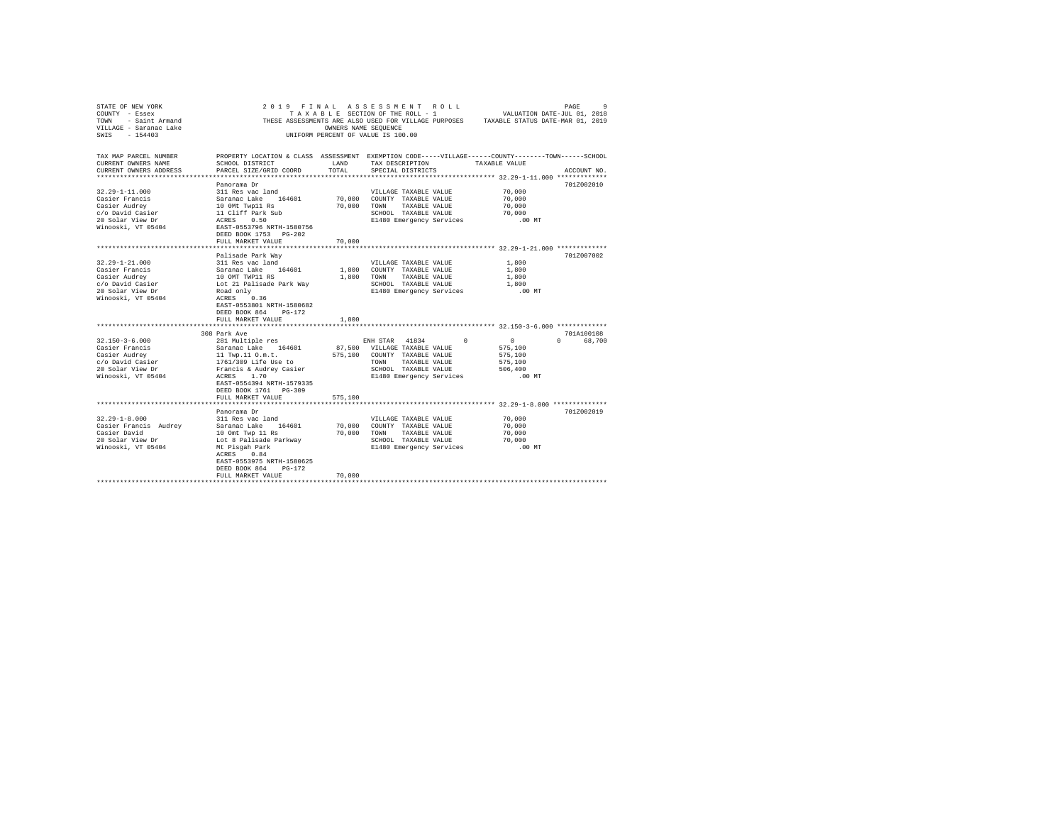| STATE OF NEW YORK<br>COUNTY - Essex<br><b>TOWN</b><br>- Saint Armand<br>VILLAGE - Saranac Lake<br>$-154403$<br>SWTS   |                                                                                                                                                                                                         | OWNERS NAME SEQUENCE | 2019 FINAL ASSESSMENT ROLL<br>TAXABLE SECTION OF THE ROLL - 1<br>UNIFORM PERCENT OF VALUE IS 100.00                                                                     | PAGE<br>VALUATION DATE-JUL 01, 2018<br>THESE ASSESSMENTS ARE ALSO USED FOR VILLAGE PURPOSES TAXABLE STATUS DATE-MAR 01, 2019                                                                 | 9      |
|-----------------------------------------------------------------------------------------------------------------------|---------------------------------------------------------------------------------------------------------------------------------------------------------------------------------------------------------|----------------------|-------------------------------------------------------------------------------------------------------------------------------------------------------------------------|----------------------------------------------------------------------------------------------------------------------------------------------------------------------------------------------|--------|
| TAX MAP PARCEL NUMBER<br>CURRENT OWNERS NAME<br>CURRENT OWNERS ADDRESS<br>***********************                     | SCHOOL DISTRICT<br>PARCEL SIZE/GRID COORD                                                                                                                                                               | LAND<br>TOTAL        | TAX DESCRIPTION<br>SPECIAL DISTRICTS                                                                                                                                    | PROPERTY LOCATION & CLASS ASSESSMENT EXEMPTION CODE-----VILLAGE------COUNTY-------TOWN------SCHOOL<br>TAXABLE VALUE<br>ACCOUNT NO.<br>************************* 32.29-1-11.000 ************* |        |
| $32.29 - 1 - 11.000$<br>Casier Francis<br>Casier Audrey<br>c/o David Casier<br>20 Solar View Dr<br>Winooski, VT 05404 | Panorama Dr<br>311 Res vac land<br>Saranac Lake 164601<br>10 OMt Twp11 Rs<br>11 Cliff Park Sub<br>ACRES 0.50<br>EAST-0553796 NRTH-1580756<br>DEED BOOK 1753 PG-202<br>FULL MARKET VALUE                 | 70.000<br>70,000     | VILLAGE TAXABLE VALUE<br>70,000 COUNTY TAXABLE VALUE<br>TOWN<br>TAXABLE VALUE<br>SCHOOL TAXABLE VALUE<br>E1480 Emergency Services                                       | 701Z002010<br>70,000<br>70,000<br>70,000<br>70,000<br>$.00$ MT                                                                                                                               |        |
| $32.29 - 1 - 21.000$<br>Casier Francis                                                                                | Palisade Park Way<br>311 Res vac land                                                                                                                                                                   |                      | VILLAGE TAXABLE VALUE<br>1,800 COUNTY TAXABLE VALUE                                                                                                                     | 701Z007002<br>1,800<br>1,800                                                                                                                                                                 |        |
| Casier Audrey<br>c/o David Casier<br>20 Solar View Dr<br>Winooski, VT 05404                                           | Saranac Lake 164601<br>10 OMT TWP11 RS<br>Lot 21 Palisade Park Way<br>Road only<br>ACRES 0.36<br>EAST-0553801 NRTH-1580682<br>DEED BOOK 864 PG-172                                                      | 1,800                | TAXABLE VALUE<br>TOWN<br>SCHOOL TAXABLE VALUE<br>E1480 Emergency Services                                                                                               | 1,800<br>1,800<br>$.00$ MT                                                                                                                                                                   |        |
|                                                                                                                       | FULL MARKET VALUE                                                                                                                                                                                       | 1,800                |                                                                                                                                                                         |                                                                                                                                                                                              |        |
|                                                                                                                       | 308 Park Ave                                                                                                                                                                                            |                      |                                                                                                                                                                         | 701A100108                                                                                                                                                                                   |        |
| $32.150 - 3 - 6.000$<br>Casier Francis<br>Casier Audrey<br>c/o David Casier<br>20 Solar View Dr<br>Winooski, VT 05404 | 281 Multiple res<br>Saranac Lake 164601<br>11 Twp.11 O.m.t.<br>1761/309 Life Use to<br>Francis & Audrey Casier<br>ACRES 1.70<br>EAST-0554394 NRTH-1579335<br>DEED BOOK 1761 PG-309<br>FULL MARKET VALUE | 575,100              | ENH STAR 41834<br>$\Omega$<br>87,500 VILLAGE TAXABLE VALUE<br>575,100 COUNTY TAXABLE VALUE<br>TOWN<br>TAXABLE VALUE<br>SCHOOL TAXABLE VALUE<br>E1480 Emergency Services | $\sim$ 0<br>$\cap$<br>575,100<br>575,100<br>575,100<br>506,400<br>.00 MT                                                                                                                     | 68,700 |
|                                                                                                                       |                                                                                                                                                                                                         |                      |                                                                                                                                                                         |                                                                                                                                                                                              |        |
| $32.29 - 1 - 8.000$<br>Casier Francis Audrey<br>Casier David<br>20 Solar View Dr<br>Winooski, VT 05404                | Panorama Dr<br>311 Res vac land<br>Saranac Lake 164601<br>10 Omt Twp 11 Rs<br>Lot 8 Palisade Parkway<br>Mt Pisgah Park<br>ACRES<br>0.84<br>EAST-0553975 NRTH-1580625                                    | 70,000<br>70,000     | VILLAGE TAXABLE VALUE<br>COUNTY TAXABLE VALUE<br>TOWN<br>TAXABLE VALUE<br>SCHOOL TAXABLE VALUE<br>E1480 Emergency Services                                              | 701Z002019<br>70,000<br>70,000<br>70,000<br>70,000<br>$.00$ MT                                                                                                                               |        |
|                                                                                                                       | DEED BOOK 864<br>PG-172<br>FULL MARKET VALUE                                                                                                                                                            | 70,000               |                                                                                                                                                                         |                                                                                                                                                                                              |        |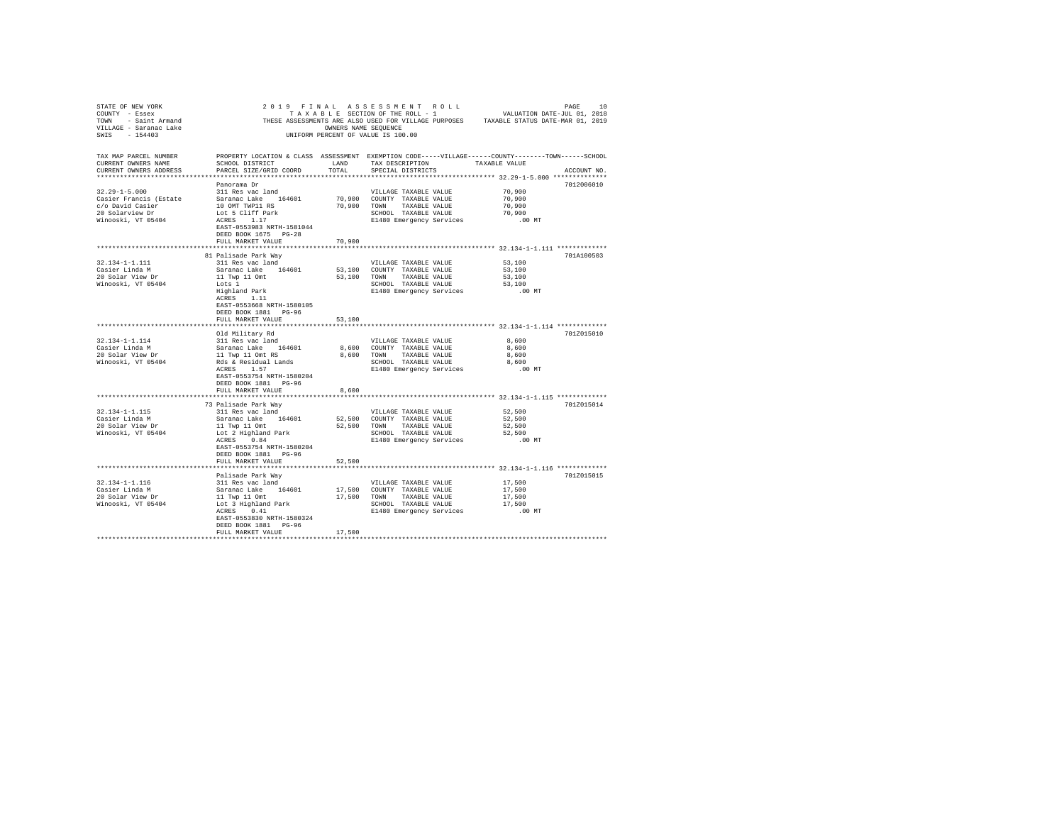| STATE OF NEW YORK                                                              |                                                                                                                                                                           |                |                                                   |                                                     |             |
|--------------------------------------------------------------------------------|---------------------------------------------------------------------------------------------------------------------------------------------------------------------------|----------------|---------------------------------------------------|-----------------------------------------------------|-------------|
| TAX MAP PARCEL NUMBER<br>CURRENT OWNERS NAME<br>CURRENT OWNERS ADDRESS         | PROPERTY LOCATION & CLASS ASSESSMENT EXEMPTION CODE-----VILLAGE------COUNTY-------TOWN------SCHOOL<br>SCHOOL DISTRICT<br>PARCEL SIZE/GRID COORD                           | LAND<br>TOTAL  | SPECIAL DISTRICTS                                 | TAX DESCRIPTION TAXABLE VALUE                       | ACCOUNT NO. |
|                                                                                | Panorama Dr                                                                                                                                                               |                |                                                   |                                                     | 7012006010  |
| $32.29 - 1 - 5.000$                                                            | 311 Res vac land                                                                                                                                                          |                | VILLAGE TAXABLE VALUE                             | 70.900                                              |             |
| Casier Francis (Estate Saranac Lake 164601<br>c/o David Casier 10 OMT TWP11 RS |                                                                                                                                                                           |                | 70,900 COUNTY TAXABLE VALUE                       | 70,900                                              |             |
| 20 Solarview Dr                                                                |                                                                                                                                                                           |                | 70,900 TOWN TAXABLE VALUE<br>SCHOOL TAXABLE VALUE | 70,900<br>70,900                                    |             |
| Winooski, VT 05404                                                             | Lot 5 Cliff Park<br>ACRES 1.17                                                                                                                                            |                | E1480 Emergency Services                          | $.00$ MT                                            |             |
|                                                                                | EAST-0553983 NRTH-1581044<br>DEED BOOK 1675 PG-28                                                                                                                         |                |                                                   |                                                     |             |
|                                                                                | FULL MARKET VALUE                                                                                                                                                         | 70,900         |                                                   |                                                     |             |
|                                                                                |                                                                                                                                                                           | ************** |                                                   | ********************** 32.134-1-1.111 ************* |             |
| 32.134-1-1.111                                                                 | 81 Palisade Park Way<br>311 Res vac land                                                                                                                                  |                | VILLAGE TAXABLE VALUE                             | 53,100                                              | 701A100503  |
|                                                                                | Saranac Lake 164601                                                                                                                                                       |                | 53,100 COUNTY TAXABLE VALUE                       | 53,100                                              |             |
| Casier Linda M<br>20 Solar View Dr                                             | 11 Twp 11 Omt                                                                                                                                                             |                | 53,100 TOWN TAXABLE VALUE                         | 53,100                                              |             |
| Winooski, VT 05404                                                             |                                                                                                                                                                           |                | SCHOOL TAXABLE VALUE                              | 53,100                                              |             |
|                                                                                |                                                                                                                                                                           |                |                                                   | E1480 Emergency Services .00 MT                     |             |
|                                                                                | Lots 1<br>Highland Park<br>ACRES 1.11<br>EAST-0553668 NRTH-1580105<br>DEED BOOK 1881 PG-96                                                                                |                |                                                   |                                                     |             |
|                                                                                | FULL MARKET VALUE                                                                                                                                                         | 53,100         |                                                   |                                                     |             |
|                                                                                |                                                                                                                                                                           |                |                                                   |                                                     |             |
|                                                                                | Old Military Rd                                                                                                                                                           |                |                                                   |                                                     | 701Z015010  |
| $32.134 - 1 - 1.114$                                                           | 311 Res vac land                                                                                                                                                          |                | VILLAGE TAXABLE VALUE                             | 8,600                                               |             |
| Casier Linda M                                                                 |                                                                                                                                                                           |                | 8,600 COUNTY TAXABLE VALUE                        | 8,600                                               |             |
| 20 Solar View Dr                                                               |                                                                                                                                                                           |                | 8,600 TOWN TAXABLE VALUE                          | 8,600                                               |             |
| Winooski, VT 05404                                                             | Saranac Lake 164601 8,600<br>11 Twp 11 Omt RS 8,600<br>Rds & Residual Lands 8,600<br>ACRES 1.57                                                                           |                | SCHOOL TAXABLE VALUE                              | 8,600                                               |             |
|                                                                                | EAST-0553754 NRTH-1580204<br>DEED BOOK 1881 PG-96                                                                                                                         |                | E1480 Emergency Services                          | $.00$ MT                                            |             |
|                                                                                | FULL MARKET VALUE                                                                                                                                                         | 8,600          |                                                   |                                                     |             |
|                                                                                |                                                                                                                                                                           |                |                                                   |                                                     |             |
| $32.134 - 1 - 1.115$                                                           | 73 Palisade Park Wav<br>311 Res vac land                                                                                                                                  |                |                                                   | 52,500                                              | 701Z015014  |
| Casier Linda M                                                                 |                                                                                                                                                                           |                | VILLAGE TAXABLE VALUE                             | 52,500                                              |             |
| 20 Solar View Dr                                                               |                                                                                                                                                                           |                |                                                   | 52,500                                              |             |
| Winooski, VT 05404                                                             |                                                                                                                                                                           |                |                                                   | 52,500                                              |             |
|                                                                                |                                                                                                                                                                           |                | E1480 Emergency Services                          | .00 MT                                              |             |
|                                                                                | EAST-0553754 NRTH-1580204<br>DEED BOOK 1881 PG-96<br>FULL MARKET VALUE                                                                                                    | 52,500         |                                                   |                                                     |             |
|                                                                                | **************************<br>******************                                                                                                                          |                |                                                   |                                                     |             |
|                                                                                | Palisade Park Way                                                                                                                                                         |                |                                                   |                                                     | 701Z015015  |
| 32.134-1-1.116                                                                 | 311 Res vac land                                                                                                                                                          |                | VILLAGE TAXABLE VALUE                             | 17,500                                              |             |
| Casier Linda M                                                                 |                                                                                                                                                                           |                |                                                   | 17,500                                              |             |
| casier Linda M<br>20 Solar View Dr                                             |                                                                                                                                                                           |                |                                                   | 17,500                                              |             |
| Winooski, VT 05404                                                             | 21 November 164601 17,500 COUNTY TAXABLE VALUE<br>11 Twp 11 Ont 17,500 TOWN TAXABLE VALUE<br>10 Initial Park 5 SCHOOL TAXABLE VALUE<br>20 ACRES 0.41 SCHOOL TAXABLE VALUE |                | SCHOOL TAXABLE VALUE                              | 17,500                                              |             |
|                                                                                | EAST-0553830 NRTH-1580324<br>DEED BOOK 1881 PG-96                                                                                                                         |                | E1480 Emergency Services                          | .00 MT                                              |             |
|                                                                                | FULL MARKET VALUE                                                                                                                                                         | 17,500         |                                                   |                                                     |             |
|                                                                                |                                                                                                                                                                           |                |                                                   |                                                     |             |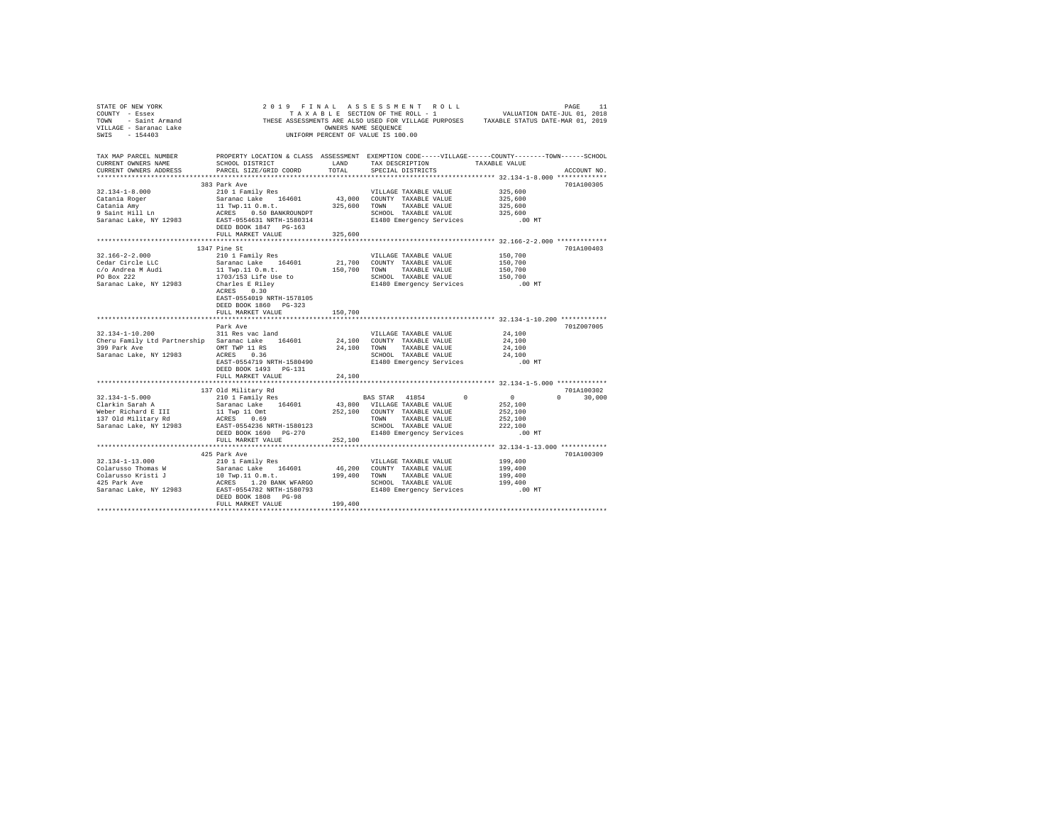| STATE OF NEW YORK<br>STATE OF MEN UNIT ON THE SECTION OF THE ROLL - 1<br>TRESE ASSESSMENTS ARE ALSO USED FOR VILLAGE PURPOSES<br>THESE ASSESSMENTS ARE CONNER OF THE ROLL - 1<br>THESE ASSESSMENTS NAME SEQUENCE<br>THESE ASSESSMENTS NAME SEQUENCE<br>THE C                                                                                                                                                                    |                                                                      |         | 2019 FINAL ASSESSMENT ROLL                                             | PAGE 11<br>VALUATION DATE-JUL 01, 2018                          |               |
|---------------------------------------------------------------------------------------------------------------------------------------------------------------------------------------------------------------------------------------------------------------------------------------------------------------------------------------------------------------------------------------------------------------------------------|----------------------------------------------------------------------|---------|------------------------------------------------------------------------|-----------------------------------------------------------------|---------------|
|                                                                                                                                                                                                                                                                                                                                                                                                                                 |                                                                      |         |                                                                        |                                                                 |               |
|                                                                                                                                                                                                                                                                                                                                                                                                                                 |                                                                      |         |                                                                        |                                                                 |               |
|                                                                                                                                                                                                                                                                                                                                                                                                                                 |                                                                      |         |                                                                        |                                                                 |               |
|                                                                                                                                                                                                                                                                                                                                                                                                                                 |                                                                      |         |                                                                        |                                                                 |               |
|                                                                                                                                                                                                                                                                                                                                                                                                                                 |                                                                      |         |                                                                        |                                                                 |               |
| TAX MAP PARCEL NUMBER PROPERTY LOCATION & CLASS ASSESSMENT EXEMPTION CODE-----VILLAGE------COUNTY-------TOWN-----SCHOOL                                                                                                                                                                                                                                                                                                         |                                                                      |         |                                                                        |                                                                 |               |
| CURRENT OWNERS NAME                                                                                                                                                                                                                                                                                                                                                                                                             | SCHOOL DISTRICT LAND                                                 |         | TAX DESCRIPTION TAXABLE VALUE                                          |                                                                 |               |
| CURRENT OWNERS ADDRESS                                                                                                                                                                                                                                                                                                                                                                                                          | PARCEL SIZE/GRID COORD TOTAL                                         |         | SPECIAL DISTRICTS                                                      |                                                                 | ACCOUNT NO.   |
|                                                                                                                                                                                                                                                                                                                                                                                                                                 | 383 Park Ave                                                         |         |                                                                        |                                                                 | 701A100305    |
|                                                                                                                                                                                                                                                                                                                                                                                                                                 |                                                                      |         |                                                                        |                                                                 |               |
|                                                                                                                                                                                                                                                                                                                                                                                                                                 |                                                                      |         |                                                                        |                                                                 |               |
|                                                                                                                                                                                                                                                                                                                                                                                                                                 |                                                                      |         |                                                                        |                                                                 |               |
|                                                                                                                                                                                                                                                                                                                                                                                                                                 |                                                                      |         |                                                                        |                                                                 |               |
|                                                                                                                                                                                                                                                                                                                                                                                                                                 |                                                                      |         |                                                                        |                                                                 |               |
|                                                                                                                                                                                                                                                                                                                                                                                                                                 |                                                                      |         |                                                                        |                                                                 |               |
|                                                                                                                                                                                                                                                                                                                                                                                                                                 | FULL MARKET VALUE                                                    | 325,600 |                                                                        |                                                                 |               |
|                                                                                                                                                                                                                                                                                                                                                                                                                                 |                                                                      |         |                                                                        |                                                                 |               |
|                                                                                                                                                                                                                                                                                                                                                                                                                                 | 1347 Pine St                                                         |         |                                                                        |                                                                 | 701A100403    |
| $32.166 - 2 - 2.000$                                                                                                                                                                                                                                                                                                                                                                                                            | 210 1 Family Res                                                     |         | VILLAGE TAXABLE VALUE                                                  | 150,700                                                         |               |
|                                                                                                                                                                                                                                                                                                                                                                                                                                 |                                                                      |         | 21,700 COUNTY TAXABLE VALUE                                            | 150,700                                                         |               |
|                                                                                                                                                                                                                                                                                                                                                                                                                                 |                                                                      |         | 150,700 TOWN TAXABLE VALUE                                             | 150,700<br>150,700                                              |               |
|                                                                                                                                                                                                                                                                                                                                                                                                                                 |                                                                      |         |                                                                        | SCHOOL TAXABLE VALUE 150,700<br>E1480 Emergency Services .00 MT |               |
| Cedar Circle LLC $\begin{array}{lll} & \text{and} & \text{if} & \text{real} \\ & \text{for} & \text{is} & \text{if} & \text{if} \\ \text{C/O} & \text{Andrea} & \text{M} & \text{if} & \text{if} \\ \text{PO} & \text{Box } & 222 & & 1703/153 & \text{if} \\ \text{P0} & \text{Box } & 222 & & 1703/153 & \text{if} \\ \text{Sarance Lake}, & \text{NY} & 12983 & & \text{Charles E} & \text{Riley} \\ & & & \text{ACESS} & &$ |                                                                      |         |                                                                        |                                                                 |               |
|                                                                                                                                                                                                                                                                                                                                                                                                                                 |                                                                      |         |                                                                        |                                                                 |               |
|                                                                                                                                                                                                                                                                                                                                                                                                                                 | DEED BOOK 1860 PG-323                                                |         |                                                                        |                                                                 |               |
|                                                                                                                                                                                                                                                                                                                                                                                                                                 |                                                                      | 150,700 |                                                                        |                                                                 |               |
|                                                                                                                                                                                                                                                                                                                                                                                                                                 | FULL MARKET VALUE                                                    |         |                                                                        |                                                                 |               |
|                                                                                                                                                                                                                                                                                                                                                                                                                                 | Park Ave                                                             |         |                                                                        |                                                                 | 701Z007005    |
| 32.134-1-10.200 311 Res vac land                                                                                                                                                                                                                                                                                                                                                                                                |                                                                      |         | VILLAGE TAXABLE VALUE                                                  | 24,100                                                          |               |
|                                                                                                                                                                                                                                                                                                                                                                                                                                 |                                                                      |         |                                                                        |                                                                 |               |
|                                                                                                                                                                                                                                                                                                                                                                                                                                 |                                                                      |         |                                                                        |                                                                 |               |
|                                                                                                                                                                                                                                                                                                                                                                                                                                 |                                                                      |         |                                                                        |                                                                 |               |
|                                                                                                                                                                                                                                                                                                                                                                                                                                 |                                                                      |         |                                                                        |                                                                 |               |
|                                                                                                                                                                                                                                                                                                                                                                                                                                 | DEED BOOK 1493 PG-131                                                |         |                                                                        |                                                                 |               |
|                                                                                                                                                                                                                                                                                                                                                                                                                                 | FULL MARKET VALUE                                                    | 24,100  |                                                                        |                                                                 |               |
|                                                                                                                                                                                                                                                                                                                                                                                                                                 |                                                                      |         |                                                                        |                                                                 |               |
|                                                                                                                                                                                                                                                                                                                                                                                                                                 | 137 Old Military Rd                                                  |         | BAS STAR 41854 0 0                                                     |                                                                 | 701A100302    |
| $32.134 - 1 - 5.000$                                                                                                                                                                                                                                                                                                                                                                                                            | 210 1 Family Res<br>Saranac Lake 164601 43,800 VILLAGE TAXABLE VALUE |         |                                                                        |                                                                 | $0 \t 30,000$ |
| Clarkin Sarah A                                                                                                                                                                                                                                                                                                                                                                                                                 |                                                                      |         |                                                                        | 252,100<br>252,100                                              |               |
|                                                                                                                                                                                                                                                                                                                                                                                                                                 |                                                                      |         |                                                                        | 252,100                                                         |               |
|                                                                                                                                                                                                                                                                                                                                                                                                                                 |                                                                      |         | TOWN TAXABLE VALUE<br>SCHOOL TAXABLE VALUE<br>E1480 Emergency Services | 222,100                                                         |               |
|                                                                                                                                                                                                                                                                                                                                                                                                                                 |                                                                      |         |                                                                        | $.00$ MT                                                        |               |
|                                                                                                                                                                                                                                                                                                                                                                                                                                 | FULL MARKET VALUE                                                    | 252,100 |                                                                        |                                                                 |               |
|                                                                                                                                                                                                                                                                                                                                                                                                                                 |                                                                      |         |                                                                        |                                                                 |               |
|                                                                                                                                                                                                                                                                                                                                                                                                                                 | 425 Park Ave                                                         |         |                                                                        |                                                                 | 701A100309    |
|                                                                                                                                                                                                                                                                                                                                                                                                                                 |                                                                      |         |                                                                        |                                                                 |               |
|                                                                                                                                                                                                                                                                                                                                                                                                                                 |                                                                      |         |                                                                        |                                                                 |               |
|                                                                                                                                                                                                                                                                                                                                                                                                                                 |                                                                      |         |                                                                        |                                                                 |               |
|                                                                                                                                                                                                                                                                                                                                                                                                                                 |                                                                      |         |                                                                        |                                                                 |               |
|                                                                                                                                                                                                                                                                                                                                                                                                                                 |                                                                      |         |                                                                        |                                                                 |               |
|                                                                                                                                                                                                                                                                                                                                                                                                                                 | DEED BOOK 1808 PG-98                                                 |         |                                                                        |                                                                 |               |
|                                                                                                                                                                                                                                                                                                                                                                                                                                 | FULL MARKET VALUE                                                    | 199,400 |                                                                        |                                                                 |               |
|                                                                                                                                                                                                                                                                                                                                                                                                                                 |                                                                      |         |                                                                        |                                                                 |               |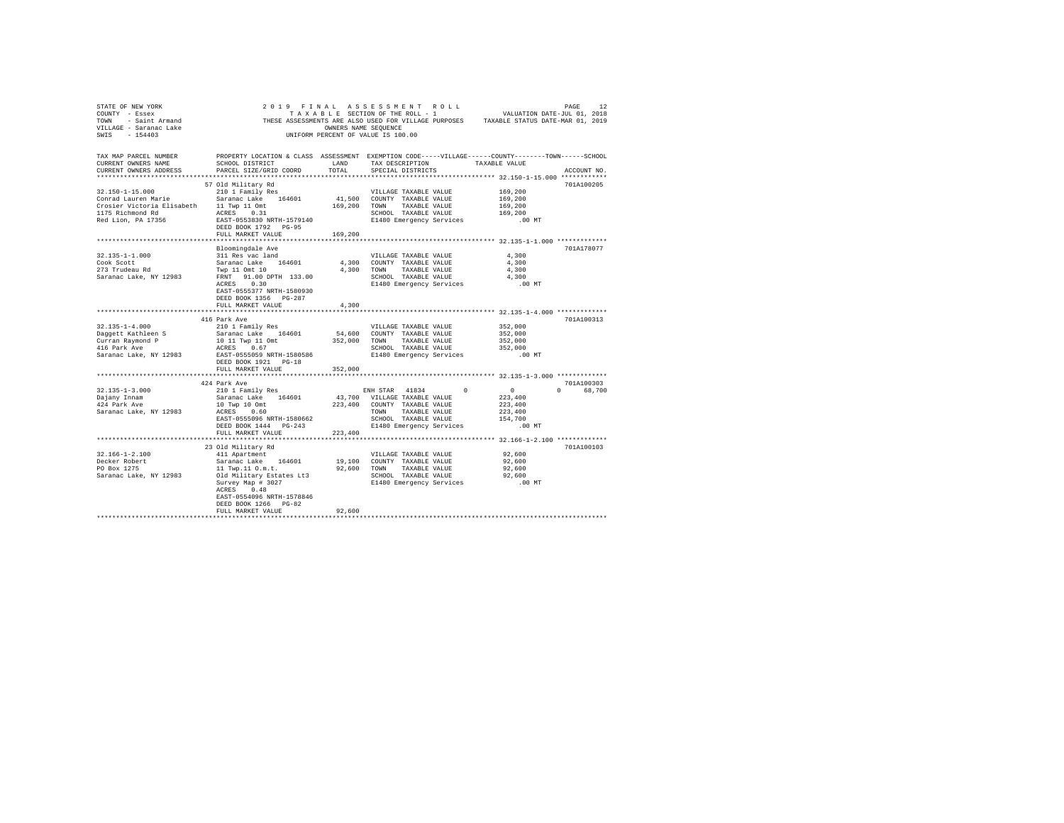|                                                                         |                                                                                                                                                                                                                                          |         |                                                                    | STATE OF ENF YORK WORK WORK AND A LAND AND A STATE OF THE SECTION OF THE SECTION OF THE SECTION OF THE SECTION OF THE ROLL - 1 WALUATION DATE-JUL 01, 2018<br>TONN - Saint Armand - THESE ASSESSMENTS ARE ALSO USED FOR VILLAGE |
|-------------------------------------------------------------------------|------------------------------------------------------------------------------------------------------------------------------------------------------------------------------------------------------------------------------------------|---------|--------------------------------------------------------------------|---------------------------------------------------------------------------------------------------------------------------------------------------------------------------------------------------------------------------------|
| CURRENT OWNERS NAME<br>CURRENT OWNERS ADDRESS                           | SCHOOL DISTRICT LAND<br>PARCEL SIZE/GRID COORD                                                                                                                                                                                           | TOTAL   | TAX DESCRIPTION TAXABLE VALUE<br>SPECIAL DISTRICTS                 | TAX MAP PARCEL NUMBER PROPERTY LOCATION & CLASS ASSESSMENT EXEMPTION CODE-----VILLAGE------COUNTY-------TOWN-----SCHOOL<br>ACCOUNT NO.                                                                                          |
|                                                                         |                                                                                                                                                                                                                                          |         |                                                                    |                                                                                                                                                                                                                                 |
|                                                                         |                                                                                                                                                                                                                                          |         |                                                                    | 701A100205                                                                                                                                                                                                                      |
|                                                                         |                                                                                                                                                                                                                                          |         |                                                                    | 169,200                                                                                                                                                                                                                         |
|                                                                         |                                                                                                                                                                                                                                          |         |                                                                    | 169,200                                                                                                                                                                                                                         |
| Crosier Victoria Elisabeth 11 Twp 11 Omt<br>1175 Richmond Rd ACRES 0.31 |                                                                                                                                                                                                                                          |         |                                                                    | 169,200                                                                                                                                                                                                                         |
|                                                                         |                                                                                                                                                                                                                                          |         | SCHOOL TAXABLE VALUE                                               | 169,200                                                                                                                                                                                                                         |
| Red Lion, PA 17356                                                      | EAST-0553830 NRTH-1579140<br>DEED BOOK 1792 PG-95                                                                                                                                                                                        |         | E1480 Emergency Services                                           | .00 MT                                                                                                                                                                                                                          |
|                                                                         | FULL MARKET VALUE 169,200                                                                                                                                                                                                                |         |                                                                    |                                                                                                                                                                                                                                 |
|                                                                         |                                                                                                                                                                                                                                          |         |                                                                    | 701A178077                                                                                                                                                                                                                      |
|                                                                         |                                                                                                                                                                                                                                          |         |                                                                    |                                                                                                                                                                                                                                 |
|                                                                         |                                                                                                                                                                                                                                          |         |                                                                    |                                                                                                                                                                                                                                 |
|                                                                         |                                                                                                                                                                                                                                          |         |                                                                    |                                                                                                                                                                                                                                 |
|                                                                         |                                                                                                                                                                                                                                          |         |                                                                    |                                                                                                                                                                                                                                 |
|                                                                         |                                                                                                                                                                                                                                          |         |                                                                    |                                                                                                                                                                                                                                 |
|                                                                         | DEED BOOK 1356 PG-287                                                                                                                                                                                                                    |         |                                                                    |                                                                                                                                                                                                                                 |
|                                                                         | FULL MARKET VALUE                                                                                                                                                                                                                        | 4.300   |                                                                    |                                                                                                                                                                                                                                 |
|                                                                         | 416 Park Ave                                                                                                                                                                                                                             |         |                                                                    | 701A100313                                                                                                                                                                                                                      |
| $32.135 - 1 - 4.000$                                                    | 210 1 Family Res                                                                                                                                                                                                                         |         | VILLAGE TAXABLE VALUE                                              | 352,000                                                                                                                                                                                                                         |
|                                                                         |                                                                                                                                                                                                                                          |         |                                                                    | 352,000                                                                                                                                                                                                                         |
|                                                                         |                                                                                                                                                                                                                                          |         |                                                                    |                                                                                                                                                                                                                                 |
| Daggett Kathleen S<br>Curran Raymond P<br>416 Park Ave                  | Saranac Lake 164601 54,600 COUNTY TAXABLE VALUE<br>10 11 TWP 11 Ont 352,000 TOWN TAXABLE VALUE<br>20 11 ACRES 0.67 2000 TOWN TAXABLE VALUE                                                                                               |         | SCHOOL TAXABLE VALUE                                               | 352,000<br>352,000                                                                                                                                                                                                              |
| Saranac Lake, NY 12983                                                  |                                                                                                                                                                                                                                          |         | E1480 Emergency Services .00 MT                                    |                                                                                                                                                                                                                                 |
|                                                                         | 0.07<br>EAST-0555059 NRTH-1580586<br>DEED BOOK 1921 -- 1                                                                                                                                                                                 |         |                                                                    |                                                                                                                                                                                                                                 |
|                                                                         | FULL MARKET VALUE                                                                                                                                                                                                                        | 352,000 |                                                                    |                                                                                                                                                                                                                                 |
|                                                                         |                                                                                                                                                                                                                                          |         |                                                                    |                                                                                                                                                                                                                                 |
|                                                                         | 424 Park Ave                                                                                                                                                                                                                             |         |                                                                    | 701A100303                                                                                                                                                                                                                      |
| $32.135 - 1 - 3.000$                                                    | 210 1 Family Res<br>Saranac Lake 164601                                                                                                                                                                                                  |         | ENH STAR 41834<br>ENH STAR 41834 0<br>43,700 VILLAGE TAXABLE VALUE | $\begin{matrix}0&&&&0\\&223,400\end{matrix}$<br>0 68,700                                                                                                                                                                        |
| Dajany Innam                                                            |                                                                                                                                                                                                                                          |         |                                                                    |                                                                                                                                                                                                                                 |
|                                                                         |                                                                                                                                                                                                                                          |         |                                                                    |                                                                                                                                                                                                                                 |
|                                                                         |                                                                                                                                                                                                                                          |         |                                                                    |                                                                                                                                                                                                                                 |
|                                                                         |                                                                                                                                                                                                                                          |         |                                                                    | $.00$ MT                                                                                                                                                                                                                        |
|                                                                         | FULL MARKET VALUE                                                                                                                                                                                                                        | 223,400 |                                                                    |                                                                                                                                                                                                                                 |
|                                                                         |                                                                                                                                                                                                                                          |         |                                                                    |                                                                                                                                                                                                                                 |
|                                                                         | 23 Old Military Rd                                                                                                                                                                                                                       |         |                                                                    | 701A100103                                                                                                                                                                                                                      |
| 32.166-1-2.100                                                          | 411 Apartment                                                                                                                                                                                                                            |         | VILLAGE TAXABLE VALUE                                              | 92,600                                                                                                                                                                                                                          |
| Decker Robert<br>PO Box 1275                                            |                                                                                                                                                                                                                                          |         |                                                                    |                                                                                                                                                                                                                                 |
|                                                                         |                                                                                                                                                                                                                                          |         |                                                                    |                                                                                                                                                                                                                                 |
| Saranac Lake, NY 12983                                                  | 21 Agreement 164601 19,100 COUNTY TAXABLE VALUE 92,600<br>11 Twp.11 0.m.t. 92,600 TOWN TAXABLE VALUE 92,600<br>01 Military Estates Lt3 SCHOOL TAXABLE VALUE 92,600<br>Survey Map # 3027 SCHOOL TAXABLE VALUE 92,600<br>Survey Map # 3027 |         |                                                                    |                                                                                                                                                                                                                                 |
|                                                                         |                                                                                                                                                                                                                                          |         |                                                                    |                                                                                                                                                                                                                                 |
|                                                                         | ACRES 0.48<br>EAST-0554096 NRTH-1578846                                                                                                                                                                                                  |         |                                                                    |                                                                                                                                                                                                                                 |
|                                                                         | DEED BOOK 1266 PG-82                                                                                                                                                                                                                     |         |                                                                    |                                                                                                                                                                                                                                 |
|                                                                         | FULL MARKET VALUE                                                                                                                                                                                                                        | 92,600  |                                                                    |                                                                                                                                                                                                                                 |
|                                                                         |                                                                                                                                                                                                                                          |         |                                                                    |                                                                                                                                                                                                                                 |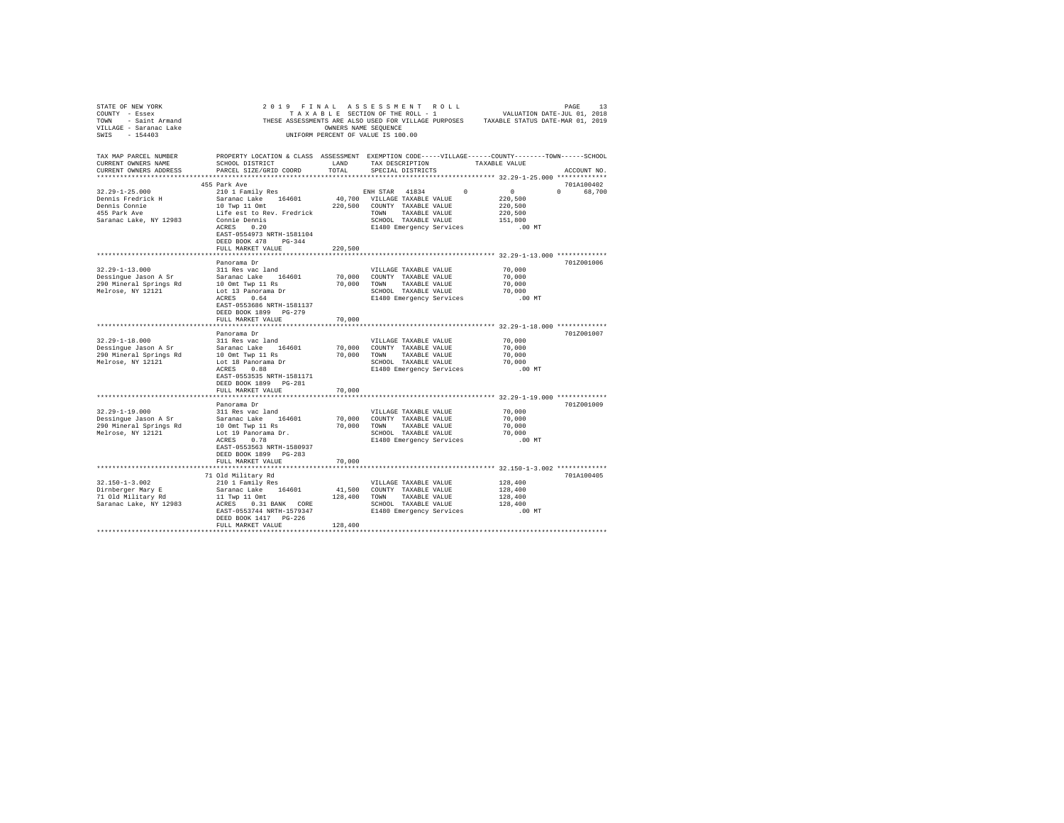| VILLAGE - Saranac Lake<br>SWIS - 154403<br>TAX MAP PARCEL NUMBER<br>CURRENT OWNERS NAME |                                                                                    | OWNERS NAME SEQUENCE           | $\begin{array}{cccccccccccccccccc} \texttt{STATE OF NEW YORK} & \texttt{DRGE} & \texttt{DRGE} & \texttt{RGE} & \texttt{RGE} & \texttt{RGE} & \texttt{RGE} & \texttt{RGE} & \texttt{RGE} & \texttt{RGE} & \texttt{RGE} & \texttt{RGE} & \texttt{RGE} & \texttt{RGE} & \texttt{RGE} & \texttt{RGE} & \texttt{RGE} & \texttt{RGE} & \texttt{RGE} & \texttt{RGE} & \texttt{RGE} & \texttt{RGE} & \texttt{RGE} & \texttt{RGE} & \texttt{RGE} & \texttt{RGE$<br>UNIFORM PERCENT OF VALUE IS 100.00<br>PROPERTY LOCATION & CLASS ASSESSMENT EXEMPTION CODE-----VILLAGE-----COUNTY-------TOWN------SCHOOL<br>TAX DESCRIPTION TAXABLE VALUE |                                                 |  |
|-----------------------------------------------------------------------------------------|------------------------------------------------------------------------------------|--------------------------------|------------------------------------------------------------------------------------------------------------------------------------------------------------------------------------------------------------------------------------------------------------------------------------------------------------------------------------------------------------------------------------------------------------------------------------------------------------------------------------------------------------------------------------------------------------------------------------------------------------------------------------|-------------------------------------------------|--|
| CURRENT OWNERS ADDRESS                                                                  |                                                                                    |                                | SPECIAL DISTRICTS                                                                                                                                                                                                                                                                                                                                                                                                                                                                                                                                                                                                                  | ACCOUNT NO.                                     |  |
|                                                                                         | 455 Park Ave                                                                       |                                |                                                                                                                                                                                                                                                                                                                                                                                                                                                                                                                                                                                                                                    | 701A100402                                      |  |
|                                                                                         | EAST-0554973 NRTH-1581104<br>DEED BOOK 478 PG-344                                  |                                | $\begin{tabular}{l c c c c c} \multicolumn{3}{c c c} \multicolumn{3}{c c c} \multicolumn{3}{c c c} \multicolumn{3}{c c} \multicolumn{3}{c c} \multicolumn{3}{c c} \multicolumn{3}{c c} \multicolumn{3}{c c} \multicolumn{3}{c c} \multicolumn{3}{c c} \multicolumn{3}{c c} \multicolumn{3}{c c} \multicolumn{3}{c c} \multicolumn{3}{c c} \multicolumn{3}{c c} \multicolumn{3}{c c} \multicolumn{3}{c c} \multicolumn{3}{c $                                                                                                                                                                                                       | 0 68,700                                        |  |
|                                                                                         | FULL MARKET VALUE                                                                  | 220,500                        |                                                                                                                                                                                                                                                                                                                                                                                                                                                                                                                                                                                                                                    |                                                 |  |
|                                                                                         | Panorama Dr                                                                        |                                | VILLAGE TAXABLE VALUE                                                                                                                                                                                                                                                                                                                                                                                                                                                                                                                                                                                                              | 701Z001006<br>70,000                            |  |
|                                                                                         | EAST-0553686 NRTH-1581137<br>DEED BOOK 1899 PG-279                                 |                                | 70,000 COUNTY TAXABLE VALUE 70,000<br>70,000 COUNTY TAXABLE VALUE 70,000<br>70,000 SCHOOL TAXABLE VALUE 70,000<br>E1480 Emergency Services 00 MT                                                                                                                                                                                                                                                                                                                                                                                                                                                                                   |                                                 |  |
|                                                                                         | FULL MARKET VALUE                                                                  | 70,000<br>******************** |                                                                                                                                                                                                                                                                                                                                                                                                                                                                                                                                                                                                                                    | ****************** 32.29-1-18.000 ************* |  |
|                                                                                         | Panorama Dr                                                                        |                                |                                                                                                                                                                                                                                                                                                                                                                                                                                                                                                                                                                                                                                    | 701Z001007                                      |  |
|                                                                                         |                                                                                    |                                |                                                                                                                                                                                                                                                                                                                                                                                                                                                                                                                                                                                                                                    |                                                 |  |
|                                                                                         |                                                                                    |                                |                                                                                                                                                                                                                                                                                                                                                                                                                                                                                                                                                                                                                                    |                                                 |  |
|                                                                                         |                                                                                    |                                |                                                                                                                                                                                                                                                                                                                                                                                                                                                                                                                                                                                                                                    |                                                 |  |
|                                                                                         | EAST-0553535 NRTH-1581171<br>DEED BOOK 1899 PG-281                                 |                                | VILLAGE TAXABLE VALUE 70,000<br>70,000 COUNTY TAXABLE VALUE 70,000<br>70,000 TOWN TAXABLE VALUE 70,000<br>SCHOOL TAXABLE VALUE 70,000<br>E1480 Emergency Services 0.0                                                                                                                                                                                                                                                                                                                                                                                                                                                              | .00 MT                                          |  |
|                                                                                         | FULL MARKET VALUE                                                                  | 70,000                         |                                                                                                                                                                                                                                                                                                                                                                                                                                                                                                                                                                                                                                    |                                                 |  |
|                                                                                         | Panorama Dr                                                                        |                                |                                                                                                                                                                                                                                                                                                                                                                                                                                                                                                                                                                                                                                    | 701Z001009                                      |  |
|                                                                                         |                                                                                    |                                |                                                                                                                                                                                                                                                                                                                                                                                                                                                                                                                                                                                                                                    | 70,000                                          |  |
|                                                                                         |                                                                                    |                                |                                                                                                                                                                                                                                                                                                                                                                                                                                                                                                                                                                                                                                    | 70,000                                          |  |
|                                                                                         |                                                                                    |                                | SCHOOL TAXABLE VALUE 70,000                                                                                                                                                                                                                                                                                                                                                                                                                                                                                                                                                                                                        | 70,000                                          |  |
|                                                                                         | EAST-0553563 NRTH-1580937<br>DEED BOOK 1899 PG-283                                 |                                | E1480 Emergency Services                                                                                                                                                                                                                                                                                                                                                                                                                                                                                                                                                                                                           | .00 MT                                          |  |
|                                                                                         | FULL MARKET VALUE                                                                  | 70,000                         |                                                                                                                                                                                                                                                                                                                                                                                                                                                                                                                                                                                                                                    |                                                 |  |
|                                                                                         | 71 Old Military Rd                                                                 |                                |                                                                                                                                                                                                                                                                                                                                                                                                                                                                                                                                                                                                                                    | 701A100405                                      |  |
| $32.150 - 1 - 3.002$                                                                    | 210 1 Family Res                                                                   |                                | VILLAGE TAXABLE VALUE                                                                                                                                                                                                                                                                                                                                                                                                                                                                                                                                                                                                              | 128,400                                         |  |
|                                                                                         |                                                                                    |                                |                                                                                                                                                                                                                                                                                                                                                                                                                                                                                                                                                                                                                                    |                                                 |  |
|                                                                                         |                                                                                    |                                |                                                                                                                                                                                                                                                                                                                                                                                                                                                                                                                                                                                                                                    |                                                 |  |
|                                                                                         | EAST-0553744 NRTH-1579347<br>DEED BOOK 1417 PG-226<br>FULL MARKET VALUE<br>128,400 |                                | E1480 Emergency Services                                                                                                                                                                                                                                                                                                                                                                                                                                                                                                                                                                                                           | .00MT                                           |  |
|                                                                                         |                                                                                    |                                |                                                                                                                                                                                                                                                                                                                                                                                                                                                                                                                                                                                                                                    |                                                 |  |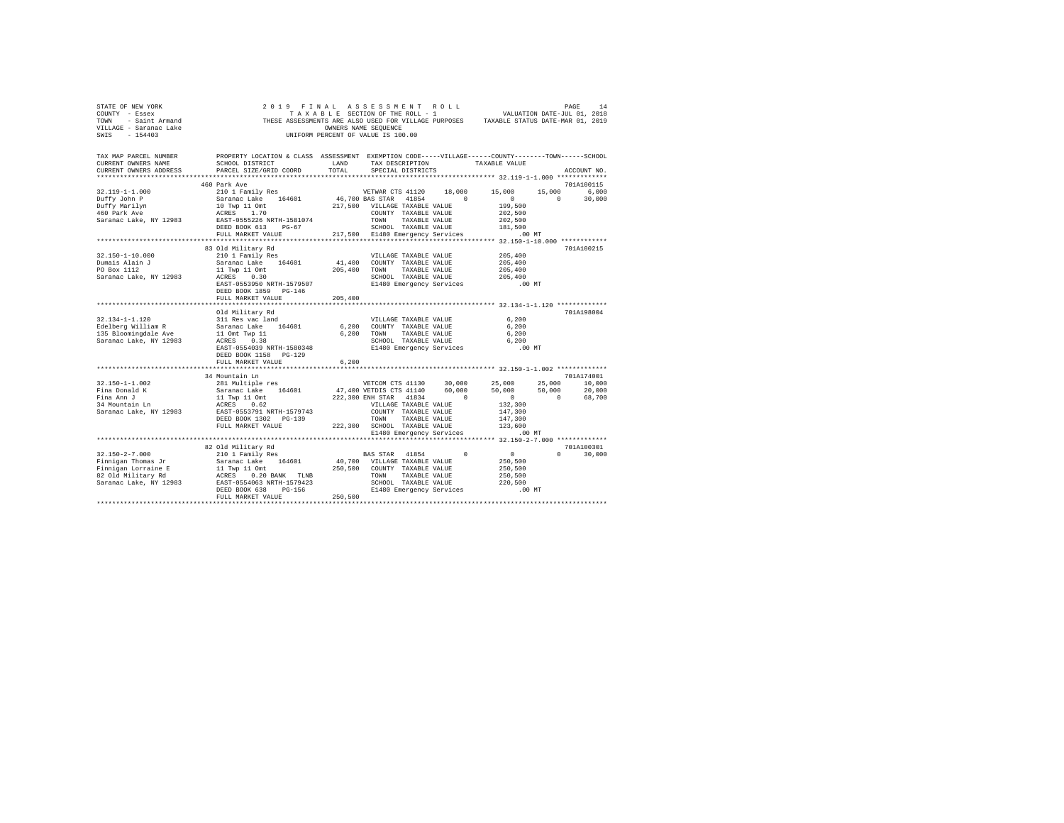| COUNTY - Essex<br>TOWN - Saint Armand<br>VILLAGE - Saranac Lake<br>SWIS - 154403                                                                                                                                                                                                                                                                                                                                                                               | T A X A B L E SECTION OF THE ROLL - 1<br>THESE ASSESSMENTS ARE ALSO USED FOR VILLAGE PURPOSES TAXABLE STATUS DATE-MAR 01, 2019<br>UNIFORM PERCENT OF VALUE IS 100.00                                                                                                                                | UNIFORM PERCENT OF VALUE IS 100.00 |                                                                                                            |                       |                                                                                                                                        |                             |
|----------------------------------------------------------------------------------------------------------------------------------------------------------------------------------------------------------------------------------------------------------------------------------------------------------------------------------------------------------------------------------------------------------------------------------------------------------------|-----------------------------------------------------------------------------------------------------------------------------------------------------------------------------------------------------------------------------------------------------------------------------------------------------|------------------------------------|------------------------------------------------------------------------------------------------------------|-----------------------|----------------------------------------------------------------------------------------------------------------------------------------|-----------------------------|
| TAX MAP PARCEL NUMBER PROPERTY LOCATION & CLASS ASSESSMENT EXEMPTION CODE-----VILLAGE-----COUNTY-------TOWN-----SCHOOL<br>CURRENT OWNERS NAME<br>CURRENT OWNERS ADDRESS PARCEL SIZE/GRID COORD                                                                                                                                                                                                                                                                 | SCHOOL DISTRICT                                                                                                                                                                                                                                                                                     | LAND<br>TOTAL                      | SPECIAL DISTRICTS                                                                                          |                       | TAX DESCRIPTION TAXABLE VALUE                                                                                                          | ACCOUNT NO.                 |
| $32.119 - 1 - 1.000$<br>Duffy John P<br>Duffy Marilyn<br>460 Park Ave<br>Saranac Lake, NY 12983                                                                                                                                                                                                                                                                                                                                                                | 460 Park Ave<br>460 Park Ave Meilly Res (164601 Park 2012)<br>210 1 Family Res (164601 16,700 BAS STAR 41654 1684 1694 217,500 NULLAGE TAXABLE VALUE ACRES 1.70<br>10 Twp 11 Omt 217,500 VULLAGE TAXABLE VALUE RATE-1555226 NRTH-1581074 TOWNY TA                                                   |                                    |                                                                                                            |                       | VETWAR CTS 41120 18,000 15,000 15,000 6,000<br>$\sim$ 0<br>199,500                                                                     | 701A100115<br>$0 \t 30.000$ |
| 32.150-1-10.000<br>Dumais Alain J<br>PO Box 1112<br>PO Box 1112 11 Twp 11 Omt<br>Saranac Lake, NY 12983 ACRES 0.30                                                                                                                                                                                                                                                                                                                                             | 83 Old Military Rd<br>210 1 Family Res<br>Saranac Lake 164601 41,400 COUNTY TAXABLE VALUE<br>EAST-0553950 NRTH-1579507<br>DEED BOOK 1859 PG-146<br>FULL MARKET VALUE 205,400                                                                                                                        |                                    | VILLAGE TAXABLE VALUE<br>205,400 TOWN TAXABLE VALUE<br>E1480 Emergency Services                            | SCHOOL TAXABLE VALUE  | 205,400<br>205,400<br>205,400<br>205,400<br>.00 MT                                                                                     | 701A100215                  |
|                                                                                                                                                                                                                                                                                                                                                                                                                                                                | Old Military Rd<br>EAST-0554039 NRTH-1580348<br>DEED BOOK 1158 PG-129<br>FULL MARKET VALUE                                                                                                                                                                                                          | 6,200                              | 6,200 COUNTY TAXABLE VALUE<br>6,200 TOWN TAXABLE VALUE<br>SCHOOL TAXABLE VALUE<br>E1480 Emergency Services | VILLAGE TAXABLE VALUE | 6.200<br>6.200<br>6,200<br>6,200<br>.00 MT                                                                                             | 701A198004                  |
| $32.150 - 1 - 1.002$<br>Fina Donald K<br>Fina Ann J<br>34 Mountain Ln<br>Saranac Lake, NY 12983                                                                                                                                                                                                                                                                                                                                                                | 34 Mountain Ln<br>$\begin{tabular}{lcccc} 34 & 001116110 & 1011610 & 1011610 & 1011610 & 10116100 \\ \hline 231 & 0111161p & 164601 & 47,4000 & 101,0000 & 25,000 & 25,000 & 25,000 & 10,000 \\ \hline 34 & 231 & 011610 & 141610 & 141610 & 60,000 & 50,000 & 50,000 & 20,000 \\ 11 & 10p & 11 & $ |                                    |                                                                                                            |                       |                                                                                                                                        | 701A174001                  |
| $32.150 - 2 - 7.000$<br>$\begin{tabular}{l c c c c c} \multicolumn{1}{c}{P1 in signal T from a 5T} & $\hspace{0.3cm}$ & $\hspace{0.3cm}$ & $\hspace{0.3cm}$ & $\hspace{0.3cm}$ & $\hspace{0.3cm}$ & $\hspace{0.3cm}$ & $\hspace{0.3cm}$ & $\hspace{0.3cm}$ & $\hspace{0.3cm}$ & $\hspace{0.3cm}$ & $\hspace{0.3cm}$ & $\hspace{0.3cm}$ & $\hspace{0.3cm}$ & $\hspace{0.3cm}$ & $\hspace{0.3cm}$ & $\hspace{0.3cm}$ & $\hspace{0.3cm}$ & $\hspace{0.3cm}$ & $\$ | 82 Old Military Rd<br>210 1 Family Res<br>FULL MARKET VALUE                                                                                                                                                                                                                                         | 250,500                            | BAS STAR 41854 0                                                                                           |                       | $\begin{array}{c} 0 \\ 250, 500 \\ 250, 500 \end{array}$<br>250,500<br>SCHOOL TAXABLE VALUE 220,500<br>E1480 Emergency Services .00 MT | 701A100301<br>$0 \t 30,000$ |

STATE OF NEW YORK 2 0 1 9 F I N A L A S S E S S M E N T R O L L PAGE 14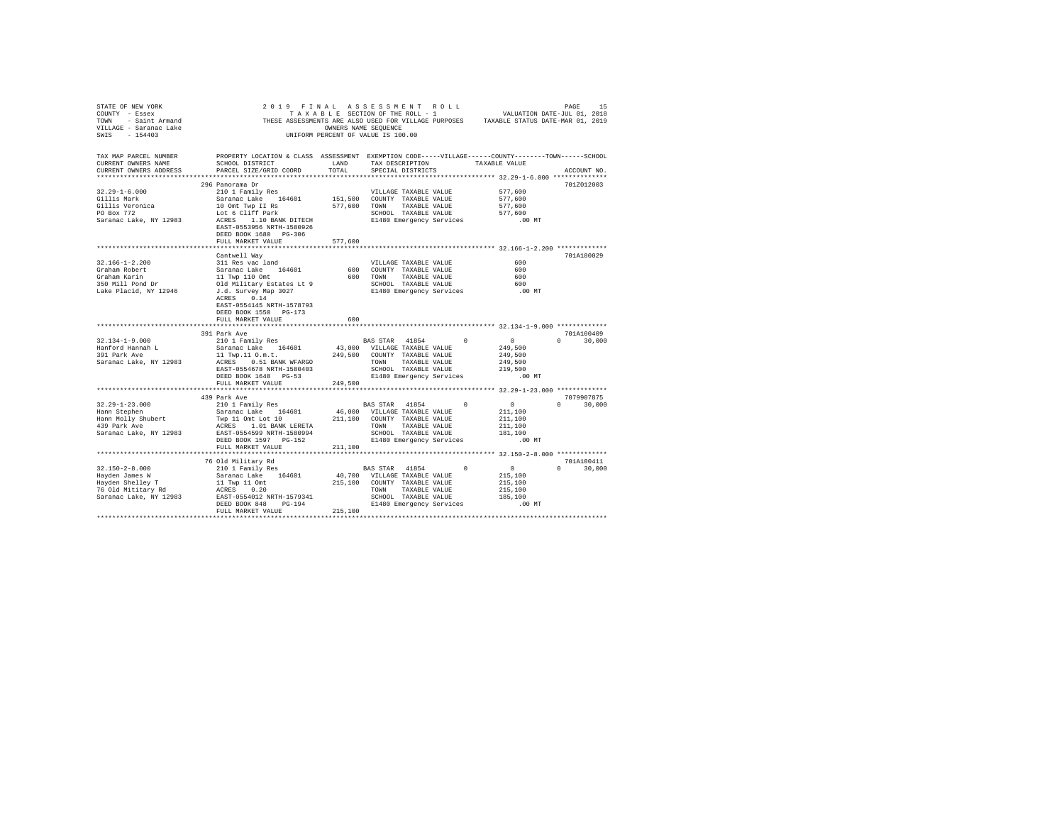| STATE OF NEW YORK<br>COUNTY - Essex           | COUNTY - ESSEX TRACK TRACK BE ARREST ON THE SERVICE OF THE SERVICE OF THE SERVICE OF THE SERVICE OF THE SERVICE OF THE SERVICE OF THE SERVICE OF THE SERVICE OF THE SERVICE OF THE SERVICE OF THE SERVICE OF THE SERVICE OF TH                                                                                                                                                                                                                 |         |                                                                                            |                                         |                             |
|-----------------------------------------------|------------------------------------------------------------------------------------------------------------------------------------------------------------------------------------------------------------------------------------------------------------------------------------------------------------------------------------------------------------------------------------------------------------------------------------------------|---------|--------------------------------------------------------------------------------------------|-----------------------------------------|-----------------------------|
|                                               | TAX MAP PARCEL NUMBER PROPERTY LOCATION & CLASS ASSESSMENT EXEMPTION CODE-----VILLAGE------COUNTY--------TOWN------SCHOOL                                                                                                                                                                                                                                                                                                                      |         |                                                                                            |                                         |                             |
| CURRENT OWNERS NAME<br>CURRENT OWNERS ADDRESS | SCHOOL DISTRICT LAND<br>PARCEL SIZE/GRID COORD                                                                                                                                                                                                                                                                                                                                                                                                 | TOTAL   | TAX DESCRIPTION TAXABLE VALUE<br>SPECIAL DISTRICTS                                         |                                         | ACCOUNT NO.                 |
|                                               |                                                                                                                                                                                                                                                                                                                                                                                                                                                |         |                                                                                            |                                         |                             |
|                                               | 296 Panorama Dr                                                                                                                                                                                                                                                                                                                                                                                                                                |         |                                                                                            |                                         | 701Z012003                  |
| $32.29 - 1 - 6.000$                           |                                                                                                                                                                                                                                                                                                                                                                                                                                                |         |                                                                                            | 577,600                                 |                             |
| Gillis Mark                                   |                                                                                                                                                                                                                                                                                                                                                                                                                                                |         |                                                                                            | 577,600                                 |                             |
|                                               |                                                                                                                                                                                                                                                                                                                                                                                                                                                |         |                                                                                            | 577,600                                 |                             |
| Gillis Veronica<br>PO Box 772                 |                                                                                                                                                                                                                                                                                                                                                                                                                                                |         |                                                                                            | 577,600                                 |                             |
| Saranac Lake, NY 12983                        | NOTICIDATE VIELDAGE TAXABLE VALUE<br>Saranac Lake 164601 151,500 COUNTY TAXABLE VALUE<br>10 ont Twp II as<br>Lot 6 Cliff Park 577,600 TOWN TAXABLE VALUE<br>ACRES 1.10 BANK DITECH SCHOOL TAXABLE VALUE<br>RATE-0553956 NETH-1580956 121<br>EAST-0553956 NRTH-1580926<br>DEED BOOK 1680 PG-306                                                                                                                                                 |         |                                                                                            | .00 MT                                  |                             |
|                                               | FULL MARKET VALUE                                                                                                                                                                                                                                                                                                                                                                                                                              | 577.600 |                                                                                            |                                         |                             |
|                                               |                                                                                                                                                                                                                                                                                                                                                                                                                                                |         |                                                                                            |                                         |                             |
|                                               |                                                                                                                                                                                                                                                                                                                                                                                                                                                |         |                                                                                            |                                         | 701A180029                  |
|                                               |                                                                                                                                                                                                                                                                                                                                                                                                                                                |         |                                                                                            |                                         |                             |
|                                               |                                                                                                                                                                                                                                                                                                                                                                                                                                                |         |                                                                                            |                                         |                             |
|                                               |                                                                                                                                                                                                                                                                                                                                                                                                                                                |         |                                                                                            |                                         |                             |
|                                               |                                                                                                                                                                                                                                                                                                                                                                                                                                                |         |                                                                                            |                                         |                             |
|                                               |                                                                                                                                                                                                                                                                                                                                                                                                                                                |         |                                                                                            |                                         |                             |
|                                               | $\begin{tabular}{lcccc} 32.166-1-2.200 & can\texttt{convell} & way \\ \texttt{Graham Robert} & 311\texttt{ Res}\hspace{0.2cm} \texttt{C} & 52.166-1-2. \\ \texttt{Graham Robert} & Sarnane Cake & 164601 & 600\texttt{ COUNTY} & TAXABLE VALUE & 600 \\ \texttt{Graham Karin} & 11\texttt{ Twp} & 110\texttt{ Omt} & 600\texttt{ TORM} & TAXABLE VALUE & 600 \\ \texttt{J3D M111} & 600\texttt{ M111} & 600\text$<br>EAST-0554145 NRTH-1578793 |         |                                                                                            |                                         |                             |
|                                               | DEED BOOK 1550 PG-173                                                                                                                                                                                                                                                                                                                                                                                                                          |         |                                                                                            |                                         |                             |
|                                               | FULL MARKET VALUE                                                                                                                                                                                                                                                                                                                                                                                                                              | 600     |                                                                                            |                                         |                             |
|                                               |                                                                                                                                                                                                                                                                                                                                                                                                                                                |         |                                                                                            |                                         |                             |
|                                               | 391 Park Ave                                                                                                                                                                                                                                                                                                                                                                                                                                   |         |                                                                                            |                                         | 701A100409                  |
| $32.134 - 1 - 9.000$                          |                                                                                                                                                                                                                                                                                                                                                                                                                                                |         | BAS STAR 41854 0<br>43,000 VILLAGE TAXABLE VALUE                                           | $\begin{array}{c}0\\249,500\end{array}$ | $0 \t 30.000$               |
| Hanford Hannah L<br>391 Park Ave              |                                                                                                                                                                                                                                                                                                                                                                                                                                                |         |                                                                                            |                                         |                             |
| Saranac Lake, NY 12983                        |                                                                                                                                                                                                                                                                                                                                                                                                                                                |         |                                                                                            | 249,500<br>249,500                      |                             |
|                                               |                                                                                                                                                                                                                                                                                                                                                                                                                                                |         |                                                                                            | 219,500                                 |                             |
|                                               | 391 Park Ave (1988)<br>210 1 Pamily Res (194601 13, 2000 VILLAGE TAXABLE VALUE 11 Twp.11 O.m.t.<br>11 Twp.11 O.m.t. (249,500 COUNTY TAXABLE VALUE 11 Twp.11 O.m.t. (249,500 COUNTY TAXABLE VALUE EAST-O554678 RRTH-1580403 (2000 T                                                                                                                                                                                                             |         | E1480 Emergency Services                                                                   | $.00$ MT                                |                             |
|                                               | FULL MARKET VALUE                                                                                                                                                                                                                                                                                                                                                                                                                              | 249,500 |                                                                                            |                                         |                             |
|                                               |                                                                                                                                                                                                                                                                                                                                                                                                                                                |         |                                                                                            |                                         |                             |
|                                               | 439 Park Ave                                                                                                                                                                                                                                                                                                                                                                                                                                   |         |                                                                                            |                                         | 7079907875                  |
| $32.29 - 1 - 23.000$                          | 210 1 Family Res                                                                                                                                                                                                                                                                                                                                                                                                                               |         | BAS STAR 41854 0                                                                           | $\sim$ 0                                | $0 \t 30,000$               |
|                                               | Main Stephen Molly Saranac Lake 164601 46,000 VILLAGE TAXABLE VALUE<br>Hann Stephen – Twp 11 omt Lot 10 201,100 COUNTY TAXABLE VALUE<br>Hann Stephen – New Lot 10 BANK LERETA – TOWN TAXABLE VALUE<br>439 Park Ave – ACRES 1.01 BANK                                                                                                                                                                                                           |         |                                                                                            | 211,100<br>211,100                      |                             |
|                                               |                                                                                                                                                                                                                                                                                                                                                                                                                                                |         |                                                                                            |                                         |                             |
|                                               |                                                                                                                                                                                                                                                                                                                                                                                                                                                |         |                                                                                            | 211,100                                 |                             |
|                                               | Saranac Lake, NY 12983 EAST-0554599 NRTH-1580994                                                                                                                                                                                                                                                                                                                                                                                               |         |                                                                                            | 181,100                                 |                             |
|                                               |                                                                                                                                                                                                                                                                                                                                                                                                                                                |         |                                                                                            | $.00$ MT                                |                             |
|                                               | FULL MARKET VALUE                                                                                                                                                                                                                                                                                                                                                                                                                              | 211,100 |                                                                                            |                                         |                             |
|                                               |                                                                                                                                                                                                                                                                                                                                                                                                                                                |         |                                                                                            |                                         |                             |
|                                               | 76 Old Military Rd                                                                                                                                                                                                                                                                                                                                                                                                                             |         |                                                                                            |                                         | 701A100411<br>$0 \t 30.000$ |
|                                               |                                                                                                                                                                                                                                                                                                                                                                                                                                                |         |                                                                                            | $0$ $0$<br>215,100                      |                             |
|                                               |                                                                                                                                                                                                                                                                                                                                                                                                                                                |         |                                                                                            | 215,100                                 |                             |
|                                               |                                                                                                                                                                                                                                                                                                                                                                                                                                                |         |                                                                                            |                                         |                             |
|                                               |                                                                                                                                                                                                                                                                                                                                                                                                                                                |         |                                                                                            |                                         |                             |
|                                               |                                                                                                                                                                                                                                                                                                                                                                                                                                                |         | TOWN TAXABLE VALUE 215,100<br>SCHOOL TAXABLE VALUE 185,100<br>E1480 Emergency Services .00 | .00 MT                                  |                             |
|                                               | FULL MARKET VALUE                                                                                                                                                                                                                                                                                                                                                                                                                              | 215,100 |                                                                                            |                                         |                             |
|                                               |                                                                                                                                                                                                                                                                                                                                                                                                                                                |         |                                                                                            |                                         |                             |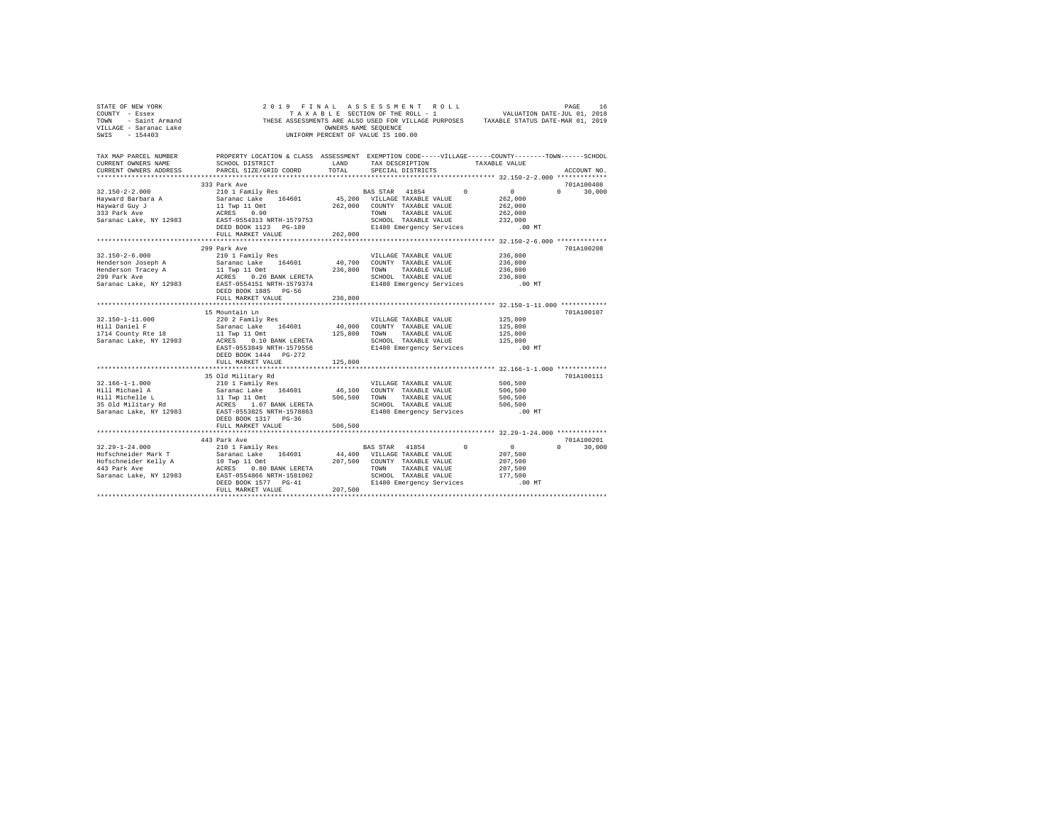| STATE OF NEW YORK<br>COUNTY - Essex<br>TOWN - Saint Armand<br>VILLAGE - Saranac Lake<br>SWIS - 154403 |                                                                                                                                                 |               | 2019 FINAL ASSESSMENT ROLL<br>UNIFORM PERCENT OF VALUE IS 100.00                                                                                         |                                                   |                                                      | PAGE<br>16                  |
|-------------------------------------------------------------------------------------------------------|-------------------------------------------------------------------------------------------------------------------------------------------------|---------------|----------------------------------------------------------------------------------------------------------------------------------------------------------|---------------------------------------------------|------------------------------------------------------|-----------------------------|
| TAX MAP PARCEL NUMBER<br>CURRENT OWNERS NAME<br>CURRENT OWNERS ADDRESS                                | PROPERTY LOCATION & CLASS ASSESSMENT EXEMPTION CODE-----VILLAGE------COUNTY-------TOWN------SCHOOL<br>SCHOOL DISTRICT<br>PARCEL SIZE/GRID COORD | LAND<br>TOTAL | TAX DESCRIPTION<br>SPECIAL DISTRICTS                                                                                                                     |                                                   | TAXABLE VALUE                                        | ACCOUNT NO.                 |
|                                                                                                       |                                                                                                                                                 |               |                                                                                                                                                          | ******************** 32.150-2-2.000 ************* |                                                      |                             |
|                                                                                                       | 333 Park Ave                                                                                                                                    |               |                                                                                                                                                          |                                                   | $\sim$ 0                                             | 701A100408                  |
| $32.150 - 2 - 2.000$<br>Hayward Barbara A<br>Hayward Guy J<br>333 Park Ave<br>Saranac Lake, NY 12983  | 210 1 Family Res<br>Saranac Lake 164601<br>11 Twp 11 Omt<br>ACRES 0.90<br>EAST-0554313 NRTH-1579753<br>DEED BOOK 1123 PG-189                    |               | BAS STAR 41854<br>45,200 VILLAGE TAXABLE VALUE<br>262,000 COUNTY TAXABLE VALUE<br>TOWN TAXABLE VALUE<br>SCHOOL TAXABLE VALUE<br>E1480 Emergency Services | $\Omega$                                          | 262,000<br>262,000<br>262,000<br>232,000<br>$.00$ MT | $0 \t 30.000$               |
|                                                                                                       | FULL MARKET VALUE                                                                                                                               | 262,000       |                                                                                                                                                          |                                                   |                                                      |                             |
|                                                                                                       |                                                                                                                                                 |               |                                                                                                                                                          |                                                   |                                                      |                             |
|                                                                                                       | 299 Park Ave                                                                                                                                    |               |                                                                                                                                                          |                                                   |                                                      | 701A100208                  |
| $32.150 - 2 - 6.000$<br>Henderson Joseph A                                                            | 210 1 Family Res<br>Saranac Lake 164601                                                                                                         |               | VILLAGE TAXABLE VALUE<br>40,700 COUNTY TAXABLE VALUE                                                                                                     |                                                   | 236,800<br>236,800                                   |                             |
| Henderson Tracev A                                                                                    | 11 Twp 11 Omt                                                                                                                                   |               | 236,800 TOWN TAXABLE VALUE                                                                                                                               |                                                   | 236,800                                              |                             |
| 299 Park Ave<br>Saranac Lake, NY 12983                                                                | ACRES 0.20 BANK LERETA                                                                                                                          |               | SCHOOL TAXABLE VALUE                                                                                                                                     |                                                   | 236,800                                              |                             |
|                                                                                                       | EAST-0554151 NRTH-1579374<br>DEED BOOK 1885 PG-56<br>FULL MARKET VALUE                                                                          | 236,800       | E1480 Emergency Services                                                                                                                                 |                                                   | .00 MT                                               |                             |
|                                                                                                       |                                                                                                                                                 |               |                                                                                                                                                          |                                                   |                                                      |                             |
|                                                                                                       | 15 Mountain Ln                                                                                                                                  |               |                                                                                                                                                          |                                                   |                                                      | 701A100107                  |
| $32.150 - 1 - 11.000$                                                                                 | 220 2 Family Res                                                                                                                                |               | VILLAGE TAXABLE VALUE                                                                                                                                    |                                                   | 125,800                                              |                             |
| Hill Daniel F                                                                                         | Saranac Lake 164601 40,000 COUNTY TAXABLE VALUE                                                                                                 |               |                                                                                                                                                          |                                                   | 125,800                                              |                             |
| 1714 County Rte 18                                                                                    | 11 Twp 11 Omt                                                                                                                                   |               | 125,800 TOWN TAXABLE VALUE                                                                                                                               |                                                   | 125,800                                              |                             |
| Saranac Lake, NY 12983 ACRES 0.10 BANK LERETA                                                         |                                                                                                                                                 |               | SCHOOL TAXABLE VALUE                                                                                                                                     |                                                   | 125,800                                              |                             |
|                                                                                                       | EAST-0553849 NRTH-1579556<br>DEED BOOK 1444    PG-272                                                                                           |               | E1480 Emergency Services                                                                                                                                 |                                                   | $.00$ MT                                             |                             |
|                                                                                                       | FULL MARKET VALUE                                                                                                                               | 125,800       |                                                                                                                                                          |                                                   |                                                      |                             |
|                                                                                                       |                                                                                                                                                 |               |                                                                                                                                                          |                                                   |                                                      |                             |
|                                                                                                       | 35 Old Military Rd                                                                                                                              |               |                                                                                                                                                          |                                                   |                                                      | 701A100111                  |
| $32.166 - 1 - 1.000$                                                                                  | 210 1 Family Res                                                                                                                                |               | VILLAGE TAXABLE VALUE                                                                                                                                    |                                                   | 506,500                                              |                             |
| Hill Michael A                                                                                        | Saranac Lake 164601 46,100 COUNTY TAXABLE VALUE                                                                                                 |               |                                                                                                                                                          |                                                   | 506,500                                              |                             |
| Hill Michelle L                                                                                       | 11 Twp 11 Omt<br>ACRES 1.07 BANK LERETA                                                                                                         |               | 506,500 TOWN TAXABLE VALUE<br>SCHOOL TAXABLE VALUE                                                                                                       |                                                   | 506,500<br>506,500                                   |                             |
| 35 Old Military Rd<br>Saranac Lake, NY 12983 EAST-0553825 NRTH-1578863                                |                                                                                                                                                 |               | E1480 Emergency Services                                                                                                                                 |                                                   | $.00$ MT                                             |                             |
|                                                                                                       | DEED BOOK 1317 PG-36                                                                                                                            |               |                                                                                                                                                          |                                                   |                                                      |                             |
|                                                                                                       | FULL MARKET VALUE                                                                                                                               | 506,500       |                                                                                                                                                          |                                                   |                                                      |                             |
|                                                                                                       |                                                                                                                                                 |               |                                                                                                                                                          |                                                   |                                                      |                             |
|                                                                                                       | 443 Park Ave                                                                                                                                    |               |                                                                                                                                                          |                                                   |                                                      | 701A100201                  |
| $32.29 - 1 - 24.000$                                                                                  | 210 1 Family Res                                                                                                                                |               | BAS STAR 41854                                                                                                                                           | $^{\circ}$                                        | $\sim$ 0                                             | $0 \qquad \qquad$<br>30,000 |
| Hofschneider Mark T                                                                                   | Saranac Lake 164601 44,400 VILLAGE TAXABLE VALUE                                                                                                |               |                                                                                                                                                          |                                                   | 207,500                                              |                             |
| Hofschneider Kelly A                                                                                  | 10 Twp 11 Omt 207,500 COUNTY TAXABLE VALUE                                                                                                      |               |                                                                                                                                                          |                                                   | 207,500                                              |                             |
| 443 Park Ave                                                                                          |                                                                                                                                                 |               | TOWN<br>TAXABLE VALUE                                                                                                                                    |                                                   | 207,500                                              |                             |
| Saranac Lake, NY 12983 EAST-0554866 NRTH-1581002                                                      |                                                                                                                                                 |               | SCHOOL TAXABLE VALUE                                                                                                                                     |                                                   | 177.500                                              |                             |
|                                                                                                       | DEED BOOK 1577 PG-41<br>FULL MARKET VALUE                                                                                                       | 207,500       | E1480 Emergency Services                                                                                                                                 |                                                   | $.00$ MT                                             |                             |
|                                                                                                       |                                                                                                                                                 |               |                                                                                                                                                          |                                                   |                                                      |                             |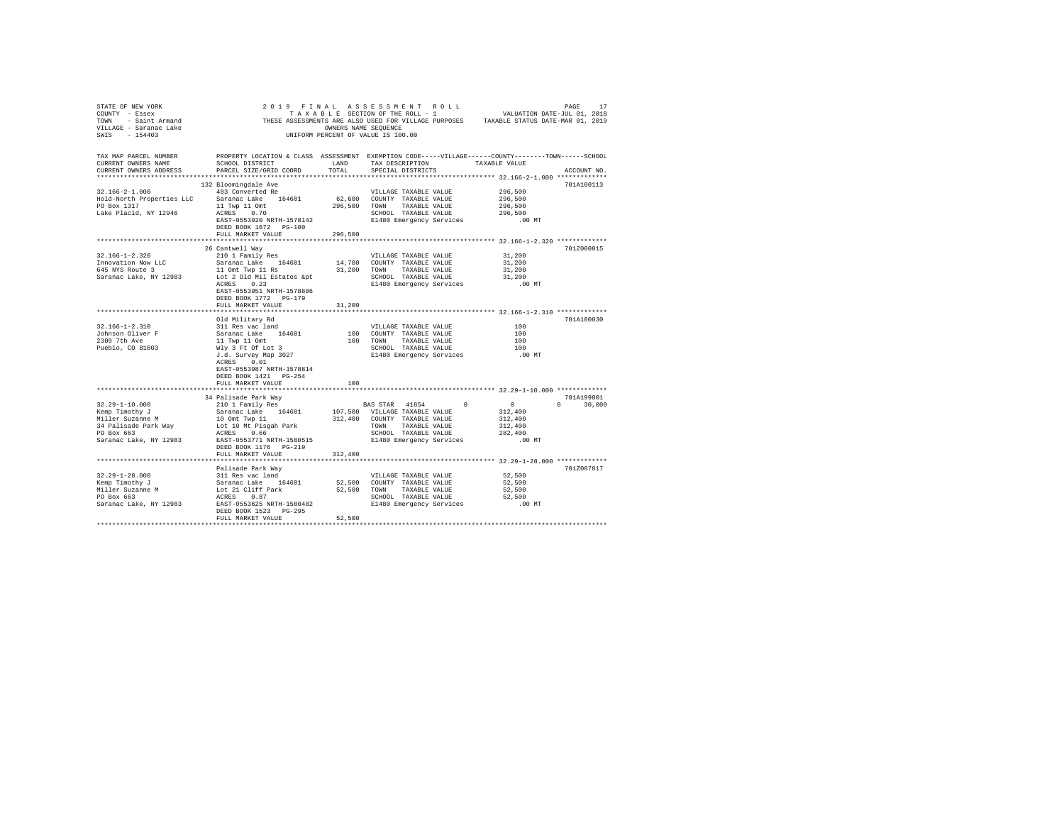| STATE OF NEW YORK                                                        |                                                                                                                                                                                                                                                                                   |         |                                                                                                    |                    |               |
|--------------------------------------------------------------------------|-----------------------------------------------------------------------------------------------------------------------------------------------------------------------------------------------------------------------------------------------------------------------------------|---------|----------------------------------------------------------------------------------------------------|--------------------|---------------|
| COUNTY - Essex                                                           |                                                                                                                                                                                                                                                                                   |         |                                                                                                    |                    |               |
|                                                                          |                                                                                                                                                                                                                                                                                   |         |                                                                                                    |                    |               |
|                                                                          |                                                                                                                                                                                                                                                                                   |         |                                                                                                    |                    |               |
|                                                                          | COUNTY - ESSEX ASSESSMENTS ARE ALSO USED FOR VILLAGE PURPOSES<br>TOWN - Saint Armand THESE ASSESSMENTS ARE ALSO USED FOR VILLAGE PURPOSES TAXABLE STATUS DATE-MAR 01, 2019<br>TILLAGE - ISTANG LAKE MINIFORM PERCENT OF VALUE IS 100                                              |         |                                                                                                    |                    |               |
|                                                                          |                                                                                                                                                                                                                                                                                   |         |                                                                                                    |                    |               |
|                                                                          |                                                                                                                                                                                                                                                                                   |         |                                                                                                    |                    |               |
| TAX MAP PARCEL NUMBER                                                    | PROPERTY LOCATION & CLASS ASSESSMENT EXEMPTION CODE-----VILLAGE------COUNTY-------TOWN------SCHOOL                                                                                                                                                                                |         |                                                                                                    |                    |               |
| CURRENT OWNERS NAME                                                      | SCHOOL DISTRICT                                                                                                                                                                                                                                                                   | LAND    | TAX DESCRIPTION TAXABLE VALUE                                                                      |                    |               |
| CURRENT OWNERS ADDRESS                                                   | PARCEL SIZE/GRID COORD                                                                                                                                                                                                                                                            | TOTAL   | SPECIAL DISTRICTS                                                                                  |                    | ACCOUNT NO.   |
|                                                                          |                                                                                                                                                                                                                                                                                   |         |                                                                                                    |                    |               |
|                                                                          | 132 Bloomingdale Ave                                                                                                                                                                                                                                                              |         |                                                                                                    |                    | 701A100113    |
| $32.166 - 2 - 1.000$                                                     | 483 Converted Re                                                                                                                                                                                                                                                                  |         | VILLAGE TAXABLE VALUE 296,500                                                                      |                    |               |
|                                                                          |                                                                                                                                                                                                                                                                                   |         | 62,600 COUNTY TAXABLE VALUE                                                                        | 296,500            |               |
|                                                                          |                                                                                                                                                                                                                                                                                   |         | 296,500 TOWN TAXABLE VALUE                                                                         | 296,500            |               |
|                                                                          | Hold-North Properties LLC Saranac Lake 164601<br>PO Box 1317 11 11 Twp 11 Omt 12<br>Lake Placid, NY 12946 12RES 0.70                                                                                                                                                              |         |                                                                                                    |                    |               |
|                                                                          | EAST-0553920 NRTH-1578142                                                                                                                                                                                                                                                         |         | SCHOOL TAXABLE VALUE 296,500<br>E1480 Emergency Services .00 MT                                    |                    |               |
|                                                                          |                                                                                                                                                                                                                                                                                   |         |                                                                                                    |                    |               |
|                                                                          | DEED BOOK 1672 PG-100                                                                                                                                                                                                                                                             |         |                                                                                                    |                    |               |
|                                                                          | FULL MARKET VALUE                                                                                                                                                                                                                                                                 | 296,500 |                                                                                                    |                    |               |
|                                                                          |                                                                                                                                                                                                                                                                                   |         |                                                                                                    |                    |               |
|                                                                          | 26 Cantwell Way                                                                                                                                                                                                                                                                   |         |                                                                                                    |                    | 701Z000015    |
| 32.166-1-2.320                                                           | 210 1 Family Res                                                                                                                                                                                                                                                                  |         | VILLAGE TAXABLE VALUE                                                                              | 31,200             |               |
|                                                                          | Saranac Lake 164601 14,700 COUNTY TAXABLE VALUE                                                                                                                                                                                                                                   |         |                                                                                                    | 31,200             |               |
|                                                                          |                                                                                                                                                                                                                                                                                   |         |                                                                                                    |                    |               |
| Innovation Now LLC<br>645 NYS Route 3<br>Saranac Lake, NY 12983          |                                                                                                                                                                                                                                                                                   |         |                                                                                                    | 31,200<br>31,200   |               |
|                                                                          | Saranac Lake 194001 14,000 Commit The MAKABLE VALUE<br>10 Onl Twp 11 Rs<br>Lot 2 Old Mil Estates &pt SCHOOL TAXABLE VALUE<br>2012 RCRES 2012 REERS                                                                                                                                |         |                                                                                                    | $.00$ MT           |               |
|                                                                          | EAST-0553951 NRTH-1578806                                                                                                                                                                                                                                                         |         |                                                                                                    |                    |               |
|                                                                          | DEED BOOK 1772 PG-179                                                                                                                                                                                                                                                             |         |                                                                                                    |                    |               |
|                                                                          | FULL MARKET VALUE                                                                                                                                                                                                                                                                 | 31,200  |                                                                                                    |                    |               |
|                                                                          |                                                                                                                                                                                                                                                                                   |         |                                                                                                    |                    |               |
|                                                                          |                                                                                                                                                                                                                                                                                   |         |                                                                                                    |                    | 701A180030    |
|                                                                          | Old Military Rd<br>311 Res vac land $$\tt VILLAGE$ TAXABLE VALUE $$\tt 100$$ Saranac Lake $$\tt 164601$$ $$\tt 100$$ COUNTY TAXABLE VALUE $$\tt 100$$ $$\tt 11$$ Twp $11$ Ont $$\tt 100$$ $$\tt 11$$ TWD $$\tt 100$$ $$\tt 11$$ $$\tt 21480$$ $$\tt 21480$$ $$\tt 21480$$ $$\tt $ |         |                                                                                                    |                    |               |
| $32.166 - 1 - 2.310$                                                     |                                                                                                                                                                                                                                                                                   |         |                                                                                                    |                    |               |
| Johnson Oliver F<br>2309 7th Ave                                         |                                                                                                                                                                                                                                                                                   |         |                                                                                                    |                    |               |
|                                                                          |                                                                                                                                                                                                                                                                                   |         |                                                                                                    |                    |               |
| Pueblo, CO 81003                                                         |                                                                                                                                                                                                                                                                                   |         |                                                                                                    |                    |               |
|                                                                          |                                                                                                                                                                                                                                                                                   |         |                                                                                                    |                    |               |
|                                                                          | ACRES 0.01                                                                                                                                                                                                                                                                        |         |                                                                                                    |                    |               |
|                                                                          | EAST-0553987 NRTH-1578814                                                                                                                                                                                                                                                         |         |                                                                                                    |                    |               |
|                                                                          | DEED BOOK 1421    PG-254                                                                                                                                                                                                                                                          |         |                                                                                                    |                    |               |
|                                                                          | FULL MARKET VALUE                                                                                                                                                                                                                                                                 | 100     |                                                                                                    |                    |               |
|                                                                          |                                                                                                                                                                                                                                                                                   |         |                                                                                                    |                    |               |
|                                                                          | 34 Palisade Park Way                                                                                                                                                                                                                                                              |         |                                                                                                    |                    | 701A199001    |
| 32.29-1-10.000                                                           | 210 1 Family Res                                                                                                                                                                                                                                                                  |         | BAS STAR 41854 0                                                                                   | $\sim$ 0           | $0 \t 30,000$ |
|                                                                          |                                                                                                                                                                                                                                                                                   |         |                                                                                                    | 312,400            |               |
|                                                                          |                                                                                                                                                                                                                                                                                   |         |                                                                                                    | 312,400            |               |
|                                                                          |                                                                                                                                                                                                                                                                                   |         |                                                                                                    |                    |               |
| Sang Timothy J<br>Miller Suzanne M<br>34 Palisade Park Way<br>PO Box 663 | Saranac Lake 164601<br>10 Omt Twp 11<br>Lot 10 Mt Pisgah Park<br>ACRES 0.66                                                                                                                                                                                                       |         | 107,500 VILLAGE TAXABLE VALUE 312,400 COUNTY TAXABLE VALUE TOWN TAXABLE VALUE SCHOOL TAXABLE VALUE | 312,400<br>282,400 |               |
|                                                                          |                                                                                                                                                                                                                                                                                   |         | SCHOOL TAXABLE VALUE<br>SCHOOL TAXABLE VALUE<br>E1480 Emergency Services 100 MT                    |                    |               |
|                                                                          | Saranac Lake, NY 12983 EAST-0553771 NRTH-1580515                                                                                                                                                                                                                                  |         |                                                                                                    |                    |               |
|                                                                          | DEED BOOK 1176 PG-219                                                                                                                                                                                                                                                             |         |                                                                                                    |                    |               |
|                                                                          | FULL MARKET VALUE                                                                                                                                                                                                                                                                 | 312,400 |                                                                                                    |                    |               |
|                                                                          |                                                                                                                                                                                                                                                                                   |         |                                                                                                    |                    |               |
|                                                                          | Palisade Park Way                                                                                                                                                                                                                                                                 |         |                                                                                                    |                    | 701Z007017    |
|                                                                          |                                                                                                                                                                                                                                                                                   |         |                                                                                                    | 52,500             |               |
|                                                                          |                                                                                                                                                                                                                                                                                   |         |                                                                                                    | 52,500             |               |
|                                                                          |                                                                                                                                                                                                                                                                                   |         |                                                                                                    | 52,500             |               |
|                                                                          |                                                                                                                                                                                                                                                                                   |         |                                                                                                    | 52,500             |               |
|                                                                          |                                                                                                                                                                                                                                                                                   |         |                                                                                                    | .00 MT             |               |
|                                                                          | DEED BOOK 1523 PG-295                                                                                                                                                                                                                                                             |         |                                                                                                    |                    |               |
|                                                                          |                                                                                                                                                                                                                                                                                   |         |                                                                                                    |                    |               |
|                                                                          | FULL MARKET VALUE                                                                                                                                                                                                                                                                 | 52,500  |                                                                                                    |                    |               |
|                                                                          |                                                                                                                                                                                                                                                                                   |         |                                                                                                    |                    |               |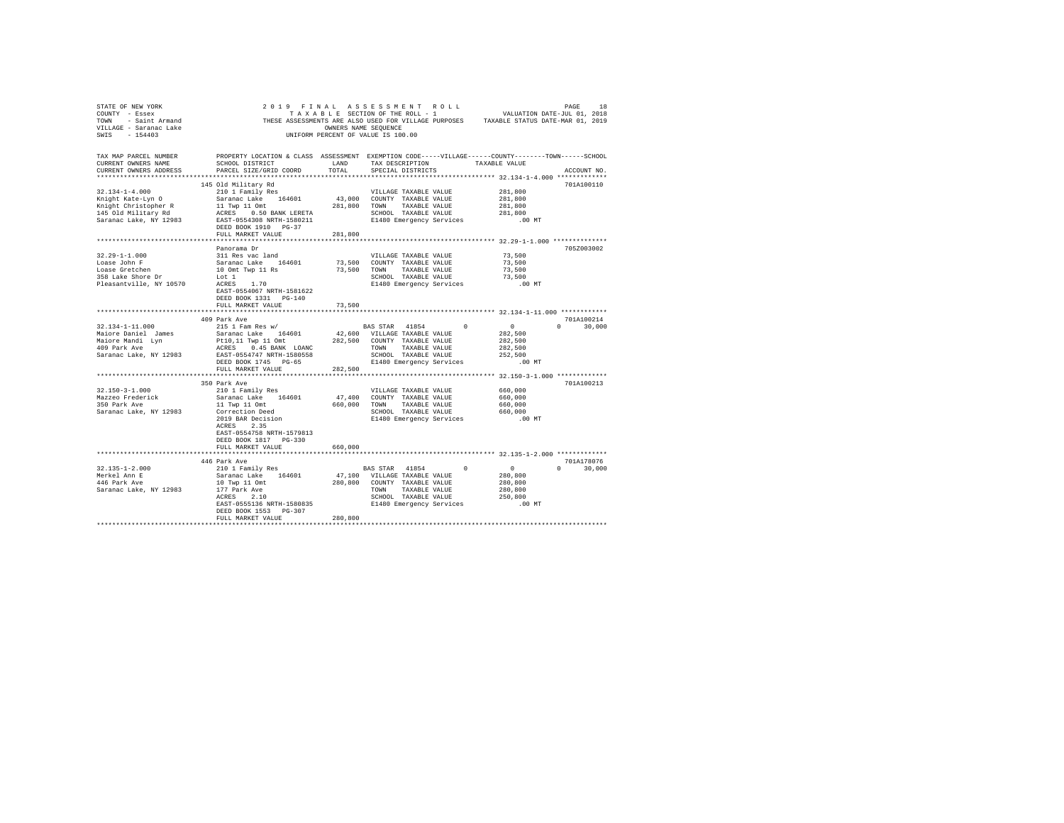|                                                     | STATE OF REW YORK WORK AND A RESULTED TO A RESULT ON THE ROLL AND THE ROLL TO A RESULT ON THE SECTION OF THE ROLL - 1<br>TO THESE ASSESSMENTS ARE ALSO USED FOR VILLAGE PURPOSES TAXABLE STATUS DATE-JUL 01, 2018<br>THESE ASSESS                                                                                                                                                                                                                       |                    |                                                                                                             |                                                      |               |
|-----------------------------------------------------|---------------------------------------------------------------------------------------------------------------------------------------------------------------------------------------------------------------------------------------------------------------------------------------------------------------------------------------------------------------------------------------------------------------------------------------------------------|--------------------|-------------------------------------------------------------------------------------------------------------|------------------------------------------------------|---------------|
|                                                     |                                                                                                                                                                                                                                                                                                                                                                                                                                                         |                    |                                                                                                             |                                                      |               |
|                                                     |                                                                                                                                                                                                                                                                                                                                                                                                                                                         |                    |                                                                                                             |                                                      |               |
| TAX MAP PARCEL NUMBER                               | PROPERTY LOCATION & CLASS ASSESSMENT EXEMPTION CODE-----VILLAGE------COUNTY-------TOWN------SCHOOL                                                                                                                                                                                                                                                                                                                                                      |                    |                                                                                                             |                                                      |               |
| CURRENT OWNERS NAME                                 | SCHOOL DISTRICT                                                                                                                                                                                                                                                                                                                                                                                                                                         | LAND               | TAX DESCRIPTION TAXABLE VALUE                                                                               |                                                      |               |
| CURRENT OWNERS ADDRESS                              | PARCEL SIZE/GRID COORD                                                                                                                                                                                                                                                                                                                                                                                                                                  | TOTAL              | SPECIAL DISTRICTS                                                                                           |                                                      | ACCOUNT NO.   |
|                                                     |                                                                                                                                                                                                                                                                                                                                                                                                                                                         |                    |                                                                                                             |                                                      |               |
|                                                     | 145 Old Military Rd                                                                                                                                                                                                                                                                                                                                                                                                                                     |                    |                                                                                                             |                                                      | 701A100110    |
| $32.134 - 1 - 4.000$                                | 210 1 Family Res                                                                                                                                                                                                                                                                                                                                                                                                                                        |                    | VILLAGE TAXABLE VALUE 281,800                                                                               |                                                      |               |
|                                                     |                                                                                                                                                                                                                                                                                                                                                                                                                                                         |                    |                                                                                                             | 281,800                                              |               |
|                                                     |                                                                                                                                                                                                                                                                                                                                                                                                                                                         |                    |                                                                                                             | 281,800                                              |               |
|                                                     |                                                                                                                                                                                                                                                                                                                                                                                                                                                         |                    |                                                                                                             | 281,800                                              |               |
|                                                     |                                                                                                                                                                                                                                                                                                                                                                                                                                                         |                    |                                                                                                             | .00 MT                                               |               |
|                                                     |                                                                                                                                                                                                                                                                                                                                                                                                                                                         |                    |                                                                                                             |                                                      |               |
|                                                     | FULL MARKET VALUE                                                                                                                                                                                                                                                                                                                                                                                                                                       | 281,800            |                                                                                                             |                                                      |               |
|                                                     |                                                                                                                                                                                                                                                                                                                                                                                                                                                         |                    | ************************************ 32.29-1-1.000 ***************                                          |                                                      |               |
|                                                     | Panorama Dr                                                                                                                                                                                                                                                                                                                                                                                                                                             |                    |                                                                                                             |                                                      | 705Z003002    |
| $32.29 - 1 - 1.000$                                 | 311 Res vac land                                                                                                                                                                                                                                                                                                                                                                                                                                        |                    | VILLAGE TAXABLE VALUE                                                                                       | 73,500<br>73,500                                     |               |
| Loase John F                                        |                                                                                                                                                                                                                                                                                                                                                                                                                                                         |                    |                                                                                                             |                                                      |               |
| Loase Jonn F<br>Loase Gretchen<br>358 Lake Shore Dr |                                                                                                                                                                                                                                                                                                                                                                                                                                                         |                    |                                                                                                             |                                                      |               |
|                                                     | 31 Res voltain 164601 13,500 COUNTY TAXABLE VALUE 13,500 10 ON TWO HAVE 173,500 10 ON TWO HAVE 173,500 10 ON TWO HAVE 173,500 10 ON TWO HAVE 173,500 10 ON TWO HAVE 173,500 16 CHOL 1 SCHOOL TAXABLE VALUE 173,500 16 CHOL 273                                                                                                                                                                                                                          |                    |                                                                                                             |                                                      |               |
| Pleasantville, NY 10570                             |                                                                                                                                                                                                                                                                                                                                                                                                                                                         |                    |                                                                                                             | $.00$ MT                                             |               |
|                                                     | EAST-0554067 NRTH-1581622                                                                                                                                                                                                                                                                                                                                                                                                                               |                    |                                                                                                             |                                                      |               |
|                                                     | DEED BOOK 1331 PG-140                                                                                                                                                                                                                                                                                                                                                                                                                                   |                    |                                                                                                             |                                                      |               |
|                                                     | FULL MARKET VALUE                                                                                                                                                                                                                                                                                                                                                                                                                                       | 73,500             |                                                                                                             |                                                      |               |
|                                                     | ***************************                                                                                                                                                                                                                                                                                                                                                                                                                             | ****************** |                                                                                                             | *********************** 32.134-1-11.000 ************ |               |
|                                                     | 409 Park Ave                                                                                                                                                                                                                                                                                                                                                                                                                                            |                    |                                                                                                             |                                                      | 701A100214    |
|                                                     |                                                                                                                                                                                                                                                                                                                                                                                                                                                         |                    |                                                                                                             |                                                      | $0 \t 30,000$ |
|                                                     |                                                                                                                                                                                                                                                                                                                                                                                                                                                         |                    |                                                                                                             |                                                      |               |
|                                                     |                                                                                                                                                                                                                                                                                                                                                                                                                                                         |                    |                                                                                                             |                                                      |               |
|                                                     |                                                                                                                                                                                                                                                                                                                                                                                                                                                         |                    |                                                                                                             |                                                      |               |
|                                                     |                                                                                                                                                                                                                                                                                                                                                                                                                                                         |                    |                                                                                                             |                                                      |               |
|                                                     |                                                                                                                                                                                                                                                                                                                                                                                                                                                         |                    |                                                                                                             | .00 MT                                               |               |
|                                                     | FULL MARKET VALUE                                                                                                                                                                                                                                                                                                                                                                                                                                       | 282,500            |                                                                                                             |                                                      |               |
|                                                     |                                                                                                                                                                                                                                                                                                                                                                                                                                                         |                    |                                                                                                             |                                                      |               |
|                                                     | 350 Park Ave                                                                                                                                                                                                                                                                                                                                                                                                                                            |                    |                                                                                                             |                                                      | 701A100213    |
| $32.150 - 3 - 1.000$                                |                                                                                                                                                                                                                                                                                                                                                                                                                                                         |                    | VILLAGE TAXABLE VALUE 660,000                                                                               |                                                      |               |
|                                                     | 210 1 Family Res<br>Saranac Lake 164601<br>11 Twp 11 Omt                                                                                                                                                                                                                                                                                                                                                                                                |                    | 47,400 COUNTY TAXABLE VALUE                                                                                 | 660,000                                              |               |
| Mazzeo Frederick<br>350 Park Ave                    |                                                                                                                                                                                                                                                                                                                                                                                                                                                         |                    |                                                                                                             |                                                      |               |
|                                                     |                                                                                                                                                                                                                                                                                                                                                                                                                                                         |                    |                                                                                                             |                                                      |               |
|                                                     | Saranac Lake, NY 12983 Correction Deed<br>2019 BAR Decision<br>2019 BAR Decision<br>ACRES 2.35                                                                                                                                                                                                                                                                                                                                                          |                    | 660,000 TOWN TAXABLE VALUE 660,000<br>660,000 TOWN TAXABLE VALUE 660,000<br>E1480 Emergency Services .00 MT |                                                      |               |
|                                                     |                                                                                                                                                                                                                                                                                                                                                                                                                                                         |                    |                                                                                                             |                                                      |               |
|                                                     | EAST-0554758 NRTH-1579813                                                                                                                                                                                                                                                                                                                                                                                                                               |                    |                                                                                                             |                                                      |               |
|                                                     | DEED BOOK 1817 PG-330                                                                                                                                                                                                                                                                                                                                                                                                                                   |                    |                                                                                                             |                                                      |               |
|                                                     |                                                                                                                                                                                                                                                                                                                                                                                                                                                         |                    |                                                                                                             |                                                      |               |
|                                                     | FULL MARKET VALUE                                                                                                                                                                                                                                                                                                                                                                                                                                       | 660,000            |                                                                                                             |                                                      |               |
|                                                     |                                                                                                                                                                                                                                                                                                                                                                                                                                                         |                    |                                                                                                             |                                                      |               |
|                                                     | 446 Park Ave                                                                                                                                                                                                                                                                                                                                                                                                                                            |                    |                                                                                                             |                                                      | 701A178076    |
| 32.135-1-2.000<br>Merkel Ann E<br>446 Park Ave      |                                                                                                                                                                                                                                                                                                                                                                                                                                                         |                    |                                                                                                             |                                                      |               |
|                                                     |                                                                                                                                                                                                                                                                                                                                                                                                                                                         |                    |                                                                                                             |                                                      |               |
|                                                     |                                                                                                                                                                                                                                                                                                                                                                                                                                                         |                    |                                                                                                             |                                                      |               |
| Saranac Lake, NY 12983                              |                                                                                                                                                                                                                                                                                                                                                                                                                                                         |                    |                                                                                                             |                                                      |               |
|                                                     |                                                                                                                                                                                                                                                                                                                                                                                                                                                         |                    |                                                                                                             |                                                      |               |
|                                                     | $\begin{tabular}{l c c c c c} \multicolumn{1}{c}{\textbf{440~F AVE}} & \multicolumn{1}{c}{\textbf{BAS~STAR}} & \multicolumn{1}{c}{\textbf{41854}} & \multicolumn{1}{c}{\textbf{0}} & \multicolumn{1}{c}{\textbf{0}} & \multicolumn{1}{c}{\textbf{0}} & \multicolumn{1}{c}{\textbf{0}} & \multicolumn{1}{c}{\textbf{0}} & \multicolumn{1}{c}{\textbf{0}} & \multicolumn{1}{c}{\textbf{0}} & \multicolumn{1}{c}{\textbf{0}} & \multicolumn{1}{c}{\textbf$ |                    |                                                                                                             |                                                      |               |
|                                                     | DEED BOOK 1553 PG-307                                                                                                                                                                                                                                                                                                                                                                                                                                   |                    |                                                                                                             |                                                      |               |
|                                                     | FULL MARKET VALUE                                                                                                                                                                                                                                                                                                                                                                                                                                       | 280,800            |                                                                                                             |                                                      |               |
|                                                     |                                                                                                                                                                                                                                                                                                                                                                                                                                                         |                    |                                                                                                             |                                                      |               |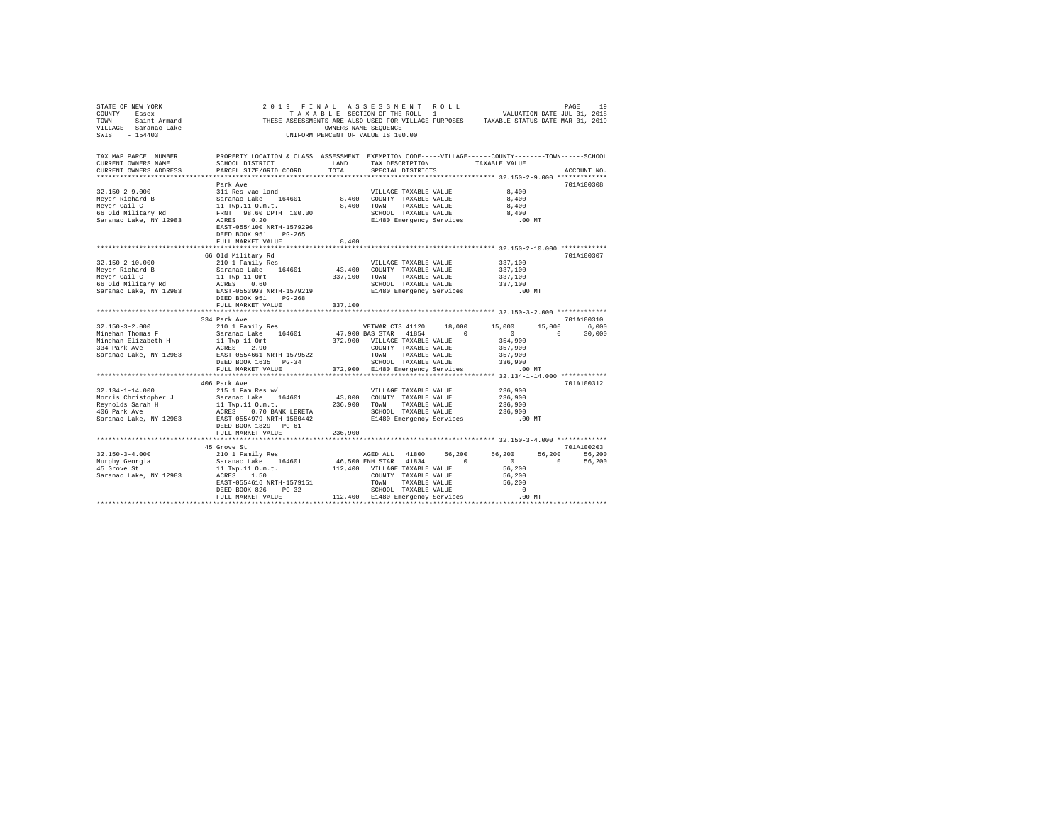| STATE OF NEW YORK<br>COUNTY - Essex                                                                                                                                                                                                                                                                                                                                                                                        |                                                                                                                                                                                                                                                                     |                             |                                                  |                       |                                  |                                                                                                         |             |
|----------------------------------------------------------------------------------------------------------------------------------------------------------------------------------------------------------------------------------------------------------------------------------------------------------------------------------------------------------------------------------------------------------------------------|---------------------------------------------------------------------------------------------------------------------------------------------------------------------------------------------------------------------------------------------------------------------|-----------------------------|--------------------------------------------------|-----------------------|----------------------------------|---------------------------------------------------------------------------------------------------------|-------------|
| TAX MAP PARCEL NUMBER<br>CURRENT OWNERS NAME<br>CURRENT OWNERS ADDRESS                                                                                                                                                                                                                                                                                                                                                     | PROPERTY LOCATION & CLASS ASSESSMENT EXEMPTION CODE-----VILLAGE------COUNTY-------TOWN------SCHOOL<br>SCHOOL DISTRICT<br>PARCEL SIZE/GRID COORD TOTAL                                                                                                               | <b>LAND</b>                 | SPECIAL DISTRICTS                                |                       | TAX DESCRIPTION TAXABLE VALUE    |                                                                                                         | ACCOUNT NO. |
|                                                                                                                                                                                                                                                                                                                                                                                                                            |                                                                                                                                                                                                                                                                     |                             |                                                  |                       |                                  |                                                                                                         |             |
|                                                                                                                                                                                                                                                                                                                                                                                                                            | Park Ave                                                                                                                                                                                                                                                            |                             |                                                  |                       |                                  |                                                                                                         | 701A100308  |
|                                                                                                                                                                                                                                                                                                                                                                                                                            |                                                                                                                                                                                                                                                                     |                             |                                                  | VILLAGE TAXABLE VALUE | 8,400                            |                                                                                                         |             |
|                                                                                                                                                                                                                                                                                                                                                                                                                            |                                                                                                                                                                                                                                                                     |                             |                                                  |                       | 8,400                            |                                                                                                         |             |
|                                                                                                                                                                                                                                                                                                                                                                                                                            |                                                                                                                                                                                                                                                                     |                             |                                                  |                       | 8,400                            |                                                                                                         |             |
|                                                                                                                                                                                                                                                                                                                                                                                                                            |                                                                                                                                                                                                                                                                     |                             | SCHOOL TAXABLE VALUE<br>E1480 Emergency Services |                       | $8\,,\,400$                      |                                                                                                         |             |
| $\begin{tabular}{lcccc} 32.150-2-9.000 & .\hbox{and} & & & & & & & & & & \\ 32.150-2-9.000 & 311\;\text{Res}\;\;\text{vac land} & & & & & & & & & & & \\ 331\;\text{Res}\;\;\text{vac land} & & & & & & & & & & \\ 341\;\text{Res}\;\;\text{vac land} & & & & & & & & & \\ 341\;\text{Res}\;\;\text{vac land} & & & & & & & & & \\ 3410\;\;\text{m}\;\;\text{m}\;\;\text{m}\;\;\text{m}\;\;\text{m}\;\;\text{m}\;\;\text{$ | EAST-0554100 NRTH-1579296<br>DEED BOOK 951 PG-265<br>FULL MARKET VALUE                                                                                                                                                                                              | 8,400                       |                                                  |                       | .00MT                            |                                                                                                         |             |
|                                                                                                                                                                                                                                                                                                                                                                                                                            |                                                                                                                                                                                                                                                                     |                             |                                                  |                       |                                  |                                                                                                         |             |
|                                                                                                                                                                                                                                                                                                                                                                                                                            | 66 Old Military Rd                                                                                                                                                                                                                                                  |                             |                                                  |                       |                                  |                                                                                                         | 701A100307  |
| $32.150 - 2 - 10.000$                                                                                                                                                                                                                                                                                                                                                                                                      | 210 1 Family Res                                                                                                                                                                                                                                                    |                             |                                                  | VILLAGE TAXABLE VALUE | 337,100                          |                                                                                                         |             |
|                                                                                                                                                                                                                                                                                                                                                                                                                            |                                                                                                                                                                                                                                                                     | 43,400 COUNTY TAXABLE VALUE |                                                  |                       | 337,100                          |                                                                                                         |             |
|                                                                                                                                                                                                                                                                                                                                                                                                                            |                                                                                                                                                                                                                                                                     | 337,100 TOWN TAXABLE VALUE  |                                                  |                       | 337,100                          |                                                                                                         |             |
|                                                                                                                                                                                                                                                                                                                                                                                                                            |                                                                                                                                                                                                                                                                     |                             |                                                  | SCHOOL TAXABLE VALUE  | 337,100                          |                                                                                                         |             |
|                                                                                                                                                                                                                                                                                                                                                                                                                            |                                                                                                                                                                                                                                                                     |                             |                                                  |                       | .00 MT                           |                                                                                                         |             |
| 32.1.9<br>$Meyer$ Eichard B<br>$Meyer$ Eichard B<br>$G$ Saranac Lake 104001<br>$Meyer$ Eichard B<br>$McRES$ D.60<br>$McRES$ D.60<br>$McRES$ D.60<br>$McRES$ D.60<br>$McRES$ D.60<br>$McRES$ D.60<br>$McS$ D.60<br>$McS$ D.60<br>$McS$ D.60<br>$McS$ D.60<br>$McS$ D.60<br>$McS$ D.                                                                                                                                         | FULL MARKET VALUE 337,100                                                                                                                                                                                                                                           |                             | E1480 Emergency Services                         |                       |                                  |                                                                                                         |             |
|                                                                                                                                                                                                                                                                                                                                                                                                                            |                                                                                                                                                                                                                                                                     |                             |                                                  |                       |                                  |                                                                                                         |             |
|                                                                                                                                                                                                                                                                                                                                                                                                                            | 334 Park Ave                                                                                                                                                                                                                                                        |                             |                                                  |                       |                                  |                                                                                                         | 701A100310  |
| $32.150 - 3 - 2.000$                                                                                                                                                                                                                                                                                                                                                                                                       | 210 1 Family Res                                                                                                                                                                                                                                                    |                             | VETWAR CTS 41120                                 | 18,000                | 15,000                           | $\begin{array}{cc} 15 \, , \, 000 & \qquad & 6 \, , \, 000 \\ \, & \qquad & 30 \, , \, 000 \end{array}$ |             |
| $Minehan$ Thomas $F$                                                                                                                                                                                                                                                                                                                                                                                                       |                                                                                                                                                                                                                                                                     |                             |                                                  | $\sim$ 0              | $\sim$ 0                         | $\sim$ 0                                                                                                |             |
| Minehan Elizabeth H<br>334 Park Ave                                                                                                                                                                                                                                                                                                                                                                                        |                                                                                                                                                                                                                                                                     |                             |                                                  |                       | 354,900                          |                                                                                                         |             |
|                                                                                                                                                                                                                                                                                                                                                                                                                            |                                                                                                                                                                                                                                                                     |                             | COUNTY TAXABLE VALUE                             |                       | 357,900<br>357,900<br>336,900    |                                                                                                         |             |
| Saranac Lake, NY 12983 EAST-0554661 NRTH-1579522                                                                                                                                                                                                                                                                                                                                                                           |                                                                                                                                                                                                                                                                     |                             | TOWN TAXABLE VALUE                               |                       |                                  |                                                                                                         |             |
|                                                                                                                                                                                                                                                                                                                                                                                                                            | DEED BOOK 1635 PG-34<br>${\tt DEED\ BOOK\ 1635\hspace{1.5cm}PG-34} \hspace{1.5cm} 336,900 \hspace{1.5cm} {\tt SUHOOL\  \  \, 1480\ Rmergency \  \, 1490} \hspace{1.5cm} 336,900 \hspace{1.5cm} 336,900 \hspace{1.5cm} {\tt NUL\  \  \, 1480\ Rmergency \  \, 1490}$ |                             |                                                  |                       |                                  |                                                                                                         |             |
|                                                                                                                                                                                                                                                                                                                                                                                                                            |                                                                                                                                                                                                                                                                     |                             |                                                  |                       |                                  |                                                                                                         |             |
|                                                                                                                                                                                                                                                                                                                                                                                                                            |                                                                                                                                                                                                                                                                     |                             |                                                  |                       |                                  |                                                                                                         |             |
|                                                                                                                                                                                                                                                                                                                                                                                                                            | 406 Park Ave                                                                                                                                                                                                                                                        |                             |                                                  |                       |                                  |                                                                                                         | 701A100312  |
| $32.134 - 1 - 14.000$                                                                                                                                                                                                                                                                                                                                                                                                      | $215$ 1 Fam Res $w/$                                                                                                                                                                                                                                                |                             | VILLAGE TAXABLE VALUE                            |                       | 236,900                          |                                                                                                         |             |
| Morris Christopher J                                                                                                                                                                                                                                                                                                                                                                                                       |                                                                                                                                                                                                                                                                     |                             |                                                  |                       |                                  |                                                                                                         |             |
| Reynolds Sarah H<br>406 Park Ave                                                                                                                                                                                                                                                                                                                                                                                           |                                                                                                                                                                                                                                                                     |                             |                                                  |                       |                                  |                                                                                                         |             |
|                                                                                                                                                                                                                                                                                                                                                                                                                            | 215 1 Pam Res W/ 164601 1 MP/11 2000 11 TWD-11 CHE<br>Saranac Lake 164601 43,800 TOWNT TAXABLE VALUE 236,900<br>11 TWD-11 O.m.t. 236,900 TOWN TAXABLE VALUE 236,900<br>ACRES 0.70 BANK LERETA SCHOOL TAXABLE VALUE 236,900<br>RAST-055                              |                             |                                                  |                       |                                  |                                                                                                         |             |
| Saranac Lake, NY 12983 EAST-0554979 NRTH-1580442                                                                                                                                                                                                                                                                                                                                                                           |                                                                                                                                                                                                                                                                     |                             |                                                  |                       |                                  |                                                                                                         |             |
|                                                                                                                                                                                                                                                                                                                                                                                                                            | DEED BOOK 1829 PG-61                                                                                                                                                                                                                                                |                             |                                                  |                       |                                  |                                                                                                         |             |
|                                                                                                                                                                                                                                                                                                                                                                                                                            | FULL MARKET VALUE                                                                                                                                                                                                                                                   | 236,900                     |                                                  |                       |                                  |                                                                                                         |             |
|                                                                                                                                                                                                                                                                                                                                                                                                                            |                                                                                                                                                                                                                                                                     |                             |                                                  |                       |                                  |                                                                                                         |             |
|                                                                                                                                                                                                                                                                                                                                                                                                                            | 45 Grove St                                                                                                                                                                                                                                                         |                             |                                                  |                       |                                  |                                                                                                         | 701A100203  |
| $32.150-3-4.000$<br>Murphy Georgia<br>45 Grove St                                                                                                                                                                                                                                                                                                                                                                          | 210 1 Family Res                                                                                                                                                                                                                                                    |                             | AGED ALL 41800                                   | 56.200                | 56,200                           | 56,200 56,200                                                                                           |             |
|                                                                                                                                                                                                                                                                                                                                                                                                                            |                                                                                                                                                                                                                                                                     |                             |                                                  | $\Omega$              | $\sim$ 0                         | $\sim$ 0                                                                                                | 56,200      |
|                                                                                                                                                                                                                                                                                                                                                                                                                            |                                                                                                                                                                                                                                                                     |                             |                                                  |                       | 56,200                           |                                                                                                         |             |
| Saranac Lake, NY 12983                                                                                                                                                                                                                                                                                                                                                                                                     |                                                                                                                                                                                                                                                                     |                             | COUNTY TAXABLE VALUE                             |                       | 56,200                           |                                                                                                         |             |
|                                                                                                                                                                                                                                                                                                                                                                                                                            |                                                                                                                                                                                                                                                                     |                             |                                                  |                       | TAXABLE VALUE 56,200<br>$\sim$ 0 |                                                                                                         |             |
|                                                                                                                                                                                                                                                                                                                                                                                                                            |                                                                                                                                                                                                                                                                     |                             |                                                  |                       | .00MT                            |                                                                                                         |             |
|                                                                                                                                                                                                                                                                                                                                                                                                                            |                                                                                                                                                                                                                                                                     |                             |                                                  |                       |                                  |                                                                                                         |             |
|                                                                                                                                                                                                                                                                                                                                                                                                                            |                                                                                                                                                                                                                                                                     |                             |                                                  |                       |                                  |                                                                                                         |             |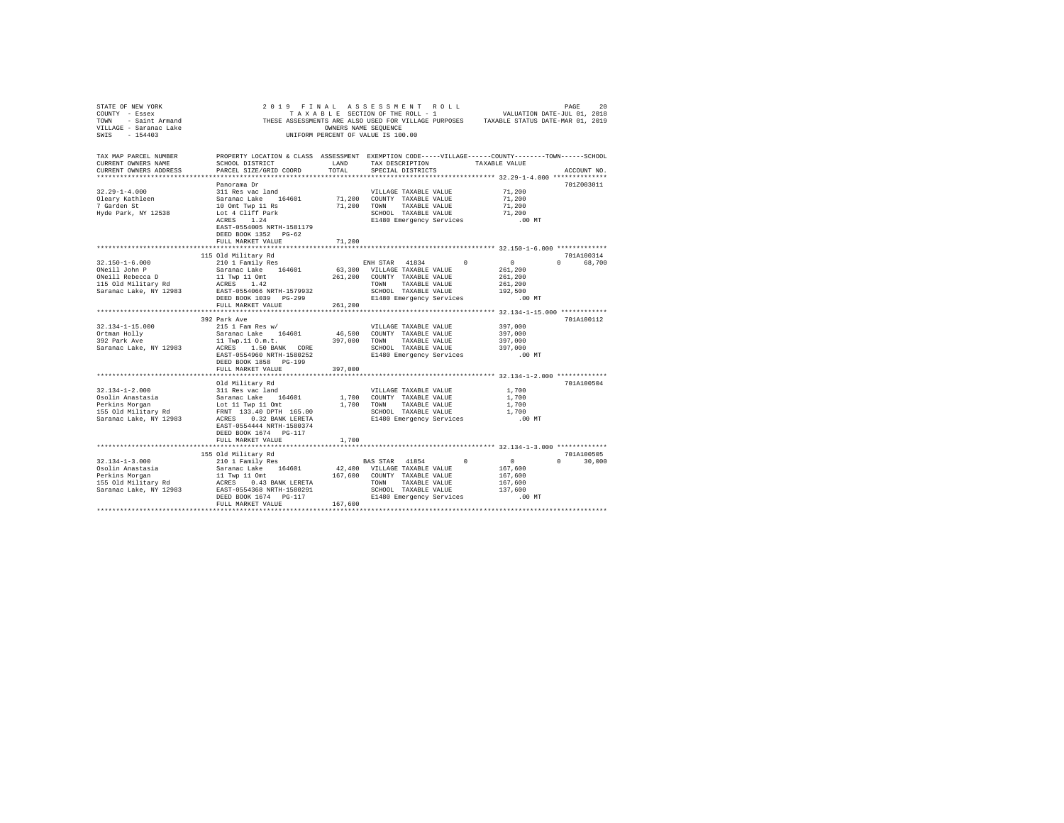| STATE OF NEW YORK<br>COUNTY - Essex<br>SWIS - 154403 |                                                                                                                       |         | 2019 FINAL ASSESSMENT ROLL<br>TAXABLE SECTION OF THE ROLL - 1<br>UNIFORM PERCENT OF VALUE IS 100.00 |          | VALUATION DATE-JUL 01, 2018                                | PAGE<br>20    |
|------------------------------------------------------|-----------------------------------------------------------------------------------------------------------------------|---------|-----------------------------------------------------------------------------------------------------|----------|------------------------------------------------------------|---------------|
| TAX MAP PARCEL NUMBER<br>CURRENT OWNERS NAME         | PROPERTY LOCATION & CLASS ASSESSMENT EXEMPTION CODE-----VILLAGE------COUNTY-------TOWN------SCHOOL<br>SCHOOL DISTRICT | LAND    | TAX DESCRIPTION TAXABLE VALUE                                                                       |          |                                                            |               |
| CURRENT OWNERS ADDRESS                               | PARCEL SIZE/GRID COORD                                                                                                | TOTAL   | SPECIAL DISTRICTS                                                                                   |          |                                                            | ACCOUNT NO.   |
|                                                      |                                                                                                                       |         |                                                                                                     |          |                                                            |               |
| $32.29 - 1 - 4.000$                                  | Panorama Dr                                                                                                           |         | VILLAGE TAXABLE VALUE                                                                               |          | 71,200                                                     | 701Z003011    |
|                                                      | 311 Res vac land<br>Saranac Lake 164601<br>10 Omt Twp 11 Rs<br>Lot 4 Cliff Park                                       |         | 71,200 COUNTY TAXABLE VALUE                                                                         |          | 71,200                                                     |               |
| Oleary Kathleen<br>7 Garden St                       |                                                                                                                       | 71,200  | TOWN TAXABLE VALUE                                                                                  |          | 71,200                                                     |               |
| Hyde Park, NY 12538                                  |                                                                                                                       |         | SCHOOL TAXABLE VALUE                                                                                |          | 71,200                                                     |               |
|                                                      | $ACRES$ 1.24<br>EAST-0554005 NRTH-1581179<br>DEED BOOK 1352 PG-62<br>FULL MARKET VALUE                                | 71,200  | E1480 Emergency Services                                                                            |          | .00 MT                                                     |               |
|                                                      |                                                                                                                       |         |                                                                                                     |          |                                                            |               |
|                                                      | 115 Old Military Rd                                                                                                   |         |                                                                                                     |          |                                                            | 701A100314    |
| $32.150 - 1 - 6.000$                                 | 210 1 Family Res                                                                                                      |         | ENH STAR 41834 0                                                                                    |          | $\sim$ 0                                                   | 0 68,700      |
| ONeill John P                                        | Saranac Lake 164601<br>11 Twp 11 Omt                                                                                  |         | 63,300 VILLAGE TAXABLE VALUE                                                                        |          | 261,200                                                    |               |
| ONeill Rebecca D                                     |                                                                                                                       |         | 261,200 COUNTY TAXABLE VALUE                                                                        |          | 261,200                                                    |               |
| 115 Old Military Rd                                  | ACRES 1.42                                                                                                            |         | TOWN TAXABLE VALUE                                                                                  |          | 261,200                                                    |               |
| Saranac Lake, NY 12983                               | EAST-0554066 NRTH-1579932<br>DEED BOOK 1039 PG-299                                                                    |         | SCHOOL TAXABLE VALUE                                                                                |          | 192,500                                                    |               |
|                                                      |                                                                                                                       |         | E1480 Emergency Services                                                                            |          | $.00$ MT                                                   |               |
|                                                      | FULL MARKET VALUE                                                                                                     | 261,200 |                                                                                                     |          |                                                            |               |
|                                                      | 392 Park Ave                                                                                                          |         |                                                                                                     |          |                                                            | 701A100112    |
| 32.134-1-15.000                                      | 215 1 Fam Res w/                                                                                                      |         | VILLAGE TAXABLE VALUE                                                                               |          | 397,000                                                    |               |
| Ortman Holly                                         |                                                                                                                       |         | 46,500 COUNTY TAXABLE VALUE                                                                         |          | 397,000                                                    |               |
| ortman norry<br>392 Park Ave                         |                                                                                                                       | 397,000 | TOWN TAXABLE VALUE                                                                                  |          | 397,000                                                    |               |
| Saranac Lake, NY 12983                               |                                                                                                                       |         | SCHOOL TAXABLE VALUE                                                                                |          | 397,000                                                    |               |
|                                                      | EAST-0554960 NRTH-1580252                                                                                             |         | E1480 Emergency Services                                                                            |          | $.00$ MT                                                   |               |
|                                                      | DEED BOOK 1858 PG-199                                                                                                 |         |                                                                                                     |          |                                                            |               |
|                                                      | FULL MARKET VALUE                                                                                                     | 397,000 |                                                                                                     |          |                                                            |               |
|                                                      |                                                                                                                       |         |                                                                                                     |          | ***************************** 32.134-1-2.000 ************* | 701A100504    |
| $32.134 - 1 - 2.000$                                 | Old Military Rd                                                                                                       |         | VILLAGE TAXABLE VALUE                                                                               |          | 1,700                                                      |               |
| Osolin Anastasia                                     |                                                                                                                       |         | 1,700 COUNTY TAXABLE VALUE                                                                          |          | 1,700                                                      |               |
| Perkins Morgan                                       | 311 Res vac land<br>Saranac Lake 164601<br>Lot 11 Twp 11 Omt                                                          |         | 1,700 TOWN TAXABLE VALUE                                                                            |          | 1,700                                                      |               |
| 155 Old Military Rd                                  |                                                                                                                       |         |                                                                                                     |          | 1,700                                                      |               |
| Saranac Lake, NY 12983                               | FRNT 133.40 DPTH 165.00<br>ACRES 0.32 BANK LERETA                                                                     |         | SCHOOL TAXABLE VALUE<br>E1480 Emergency Services                                                    |          | .00 MT                                                     |               |
|                                                      | EAST-0554444 NRTH-1580374<br>DEED BOOK 1674   PG-117                                                                  |         |                                                                                                     |          |                                                            |               |
|                                                      | FULL MARKET VALUE                                                                                                     | 1,700   |                                                                                                     |          |                                                            |               |
|                                                      |                                                                                                                       |         |                                                                                                     |          |                                                            |               |
|                                                      | 155 Old Military Rd                                                                                                   |         |                                                                                                     |          |                                                            | 701A100505    |
|                                                      |                                                                                                                       |         | BAS STAR 41854                                                                                      | $\Omega$ | $\sim$ 0                                                   | $0 \t 30,000$ |
|                                                      |                                                                                                                       |         |                                                                                                     |          | 167,600                                                    |               |
|                                                      |                                                                                                                       |         | TAXABLE VALUE                                                                                       |          | 167,600<br>167,600                                         |               |
|                                                      |                                                                                                                       |         | SCHOOL TAXABLE VALUE                                                                                |          | 137,600                                                    |               |
|                                                      |                                                                                                                       |         | E1480 Emergency Services                                                                            |          | $.00$ MT                                                   |               |
|                                                      | FULL MARKET VALUE                                                                                                     | 167,600 |                                                                                                     |          |                                                            |               |
|                                                      |                                                                                                                       |         |                                                                                                     |          |                                                            |               |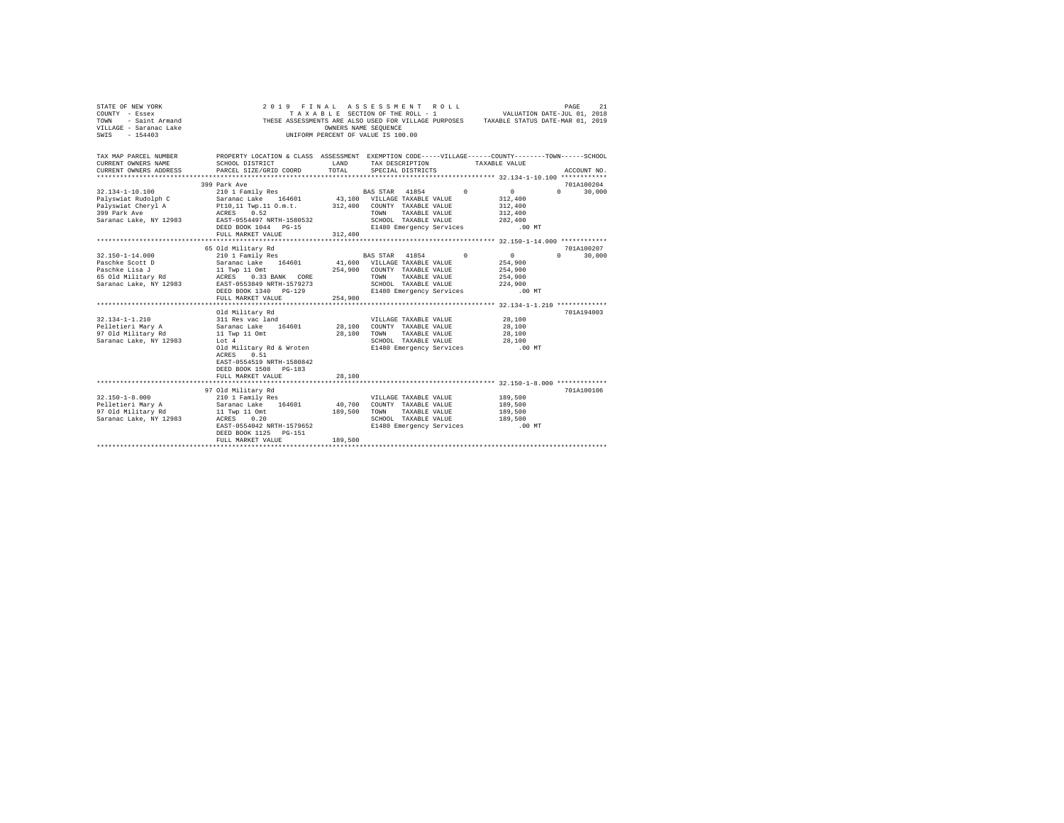| STATE OF NEW YORK<br>COUNTY - Essex<br>- Saint Armand<br><b>TOWN</b><br>VILLAGE - Saranac Lake<br>SWIS - 154403                                                               |                                                                                                                                                                                                                                                                                                                                                                                                                                                                                                                               | OWNERS NAME SEOUENCE         | 2019 FINAL ASSESSMENT ROLL<br>TAXABLE SECTION OF THE ROLL - 1<br>THESE ASSESSMENTS ARE ALSO USED FOR VILLAGE PURPOSES TAXABLE STATUS DATE-MAR 01, 2019<br>UNIFORM PERCENT OF VALUE IS 100.00                                                               | VALUATION DATE-JUL 01, 2018                                                                                          | PAGE<br>21                                     |
|-------------------------------------------------------------------------------------------------------------------------------------------------------------------------------|-------------------------------------------------------------------------------------------------------------------------------------------------------------------------------------------------------------------------------------------------------------------------------------------------------------------------------------------------------------------------------------------------------------------------------------------------------------------------------------------------------------------------------|------------------------------|------------------------------------------------------------------------------------------------------------------------------------------------------------------------------------------------------------------------------------------------------------|----------------------------------------------------------------------------------------------------------------------|------------------------------------------------|
| TAX MAP PARCEL NUMBER<br>CURRENT OWNERS NAME<br>CURRENT OWNERS ADDRESS PARCEL SIZE/GRID COORD                                                                                 | SCHOOL DISTRICT                                                                                                                                                                                                                                                                                                                                                                                                                                                                                                               | LAND<br>TOTAL.               | PROPERTY LOCATION & CLASS ASSESSMENT EXEMPTION CODE-----VILLAGE------COUNTY-------TOWN------SCHOOL<br>TAX DESCRIPTION TAXABLE VALUE<br>SPECIAL DISTRICTS                                                                                                   |                                                                                                                      | ACCOUNT NO.                                    |
| 32.134-1-10.100<br>Palyswiat Cheryl A<br>399 Park Ave<br>Saranac Lake, NY 12983                                                                                               | 399 Park Ave<br>210 1 Family Res<br>Palyswiat Rudolph C Saranac Lake 164601 43,100 VILLAGE TAXABLE VALUE<br>Pt10,11 Twp.11 O.m.t.<br>ACRES 0.52<br>EAST-0554497 NRTH-1580532<br>DEED BOOK 1044 PG-15<br>FULL MARKET VALUE                                                                                                                                                                                                                                                                                                     | 312,400                      | BAS STAR 41854<br>$\sim$<br>312,400 COUNTY TAXABLE VALUE<br>TOWN<br>TAXABLE VALUE<br>SCHOOL TAXABLE VALUE<br>E1480 Emergency Services .00 MT                                                                                                               | $\sim$ 0<br>312,400<br>312,400<br>312,400<br>282,400                                                                 | 701A100204<br>$0 \t 30.000$                    |
|                                                                                                                                                                               |                                                                                                                                                                                                                                                                                                                                                                                                                                                                                                                               |                              |                                                                                                                                                                                                                                                            |                                                                                                                      |                                                |
| $32.150 - 1 - 14.000$<br>Paschke Scott D<br>Paschke Lisa J<br>65 Old Military Rd<br>$32.134 - 1 - 1.210$<br>Pelletieri Mary A<br>97 Old Military Rd<br>Saranac Lake, NY 12983 | 65 Old Military Rd<br>210 1 Family Res<br>Saranac Lake 164601<br>$\begin{tabular}{lcccccc} 11 Two & 11 Omt & & & 254,900 & COUNTY & TAXABLE & VALUE \\ ACRES & 0.33 BANK & CORE & & & TOWN & TAXABLE VALUE \end{tabular}$<br>Saranac Lake, NY 12983 EAST-0553849 NRTH-1579273<br>DEED BOOK 1340 PG-129<br>FULL MARKET VALUE<br>Old Military Rd<br>311 Res vac land<br>Saranac Lake 164601 28,100<br>11 Twp 11 Omt<br>Lot 4<br>Old Military Rd & Wroten<br>0.51<br>ACRES<br>EAST-0554519 NRTH-1580842<br>DEED BOOK 1508 PG-183 | 254,900<br>28,100            | BAS STAR 41854<br>$\Omega$<br>41,600 VILLAGE TAXABLE VALUE<br>TAXABLE VALUE<br>SCHOOL TAXABLE VALUE<br>E1480 Emergency Services<br>VILLAGE TAXABLE VALUE<br>COUNTY TAXABLE VALUE<br>TOWN TAXABLE VALUE<br>SCHOOL TAXABLE VALUE<br>E1480 Emergency Services | $\sim$ 0<br>254,900<br>254,900<br>254,900<br>224,900<br>$.00$ MT<br>28,100<br>28,100<br>28,100<br>28,100<br>$.00$ MT | 701A100207<br>$\Omega$<br>30,000<br>701A194003 |
|                                                                                                                                                                               | FULL MARKET VALUE                                                                                                                                                                                                                                                                                                                                                                                                                                                                                                             | 28,100                       |                                                                                                                                                                                                                                                            |                                                                                                                      |                                                |
| $32.150 - 1 - 8.000$<br>Pelletieri Mary A<br>97 Old Military Rd<br>Saranac Lake, NY 12983                                                                                     | 97 Old Military Rd<br>210 1 Family Res<br>Saranac Lake 164601<br>11 Twp 11 Omt<br>ACRES 0.20<br>EAST-0554042 NRTH-1579652<br>DEED BOOK 1125 PG-151<br>FULL MARKET VALUE                                                                                                                                                                                                                                                                                                                                                       | 40,700<br>189,500<br>189,500 | VILLAGE TAXABLE VALUE<br>COUNTY TAXABLE VALUE<br>TOWN TAXABLE VALUE<br>SCHOOL TAXABLE VALUE<br>E1480 Emergency Services                                                                                                                                    | 189,500<br>189,500<br>189,500<br>189,500<br>.00 MT                                                                   | 701A100106                                     |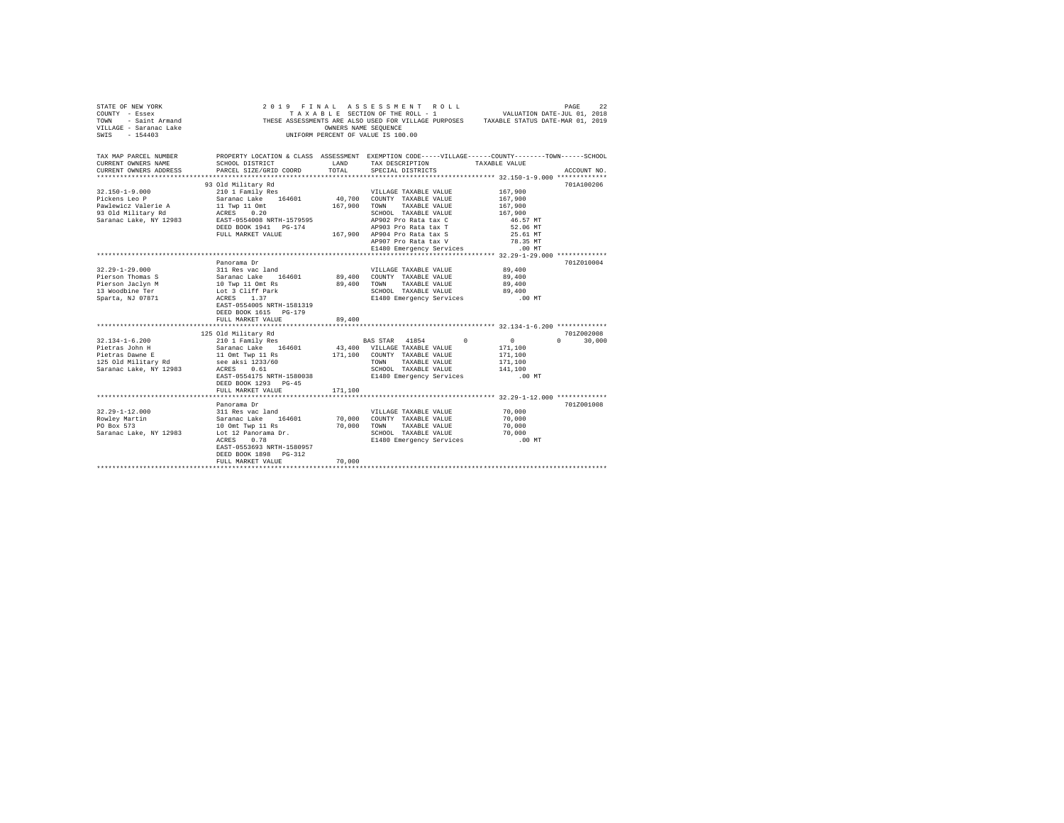| STATE OF NEW YORK<br>COUNTY - Essex<br>TOWN - Saint Armand<br>VILLAGE - Saranac Lake<br>SWIS - 154403 |                                                                                                    | OWNERS NAME SEQUENCE | 2019 FINAL ASSESSMENT ROLL<br>TAXABLE SECTION OF THE ROLL - 1 VALUATION DATE-JUL 01, 2018<br>THESE ASSESSMENTS ARE ALSO USED FOR VILLAGE PURPOSES TAXABLE STATUS DATE-MAR 01, 2019<br>UNIFORM PERCENT OF VALUE IS 100.00 |                    | PAGE<br>22.2  |
|-------------------------------------------------------------------------------------------------------|----------------------------------------------------------------------------------------------------|----------------------|--------------------------------------------------------------------------------------------------------------------------------------------------------------------------------------------------------------------------|--------------------|---------------|
| TAX MAP PARCEL NUMBER                                                                                 | PROPERTY LOCATION & CLASS ASSESSMENT EXEMPTION CODE-----VILLAGE------COUNTY-------TOWN------SCHOOL |                      |                                                                                                                                                                                                                          |                    |               |
| CURRENT OWNERS NAME                                                                                   | SCHOOL DISTRICT                                                                                    | LAND                 | TAX DESCRIPTION TAXABLE VALUE                                                                                                                                                                                            |                    |               |
| CURRENT OWNERS ADDRESS<br>************************                                                    | PARCEL SIZE/GRID COORD                                                                             | TOTAL                | SPECIAL DISTRICTS                                                                                                                                                                                                        |                    | ACCOUNT NO.   |
|                                                                                                       |                                                                                                    |                      |                                                                                                                                                                                                                          |                    |               |
| $32.150 - 1 - 9.000$                                                                                  | 93 Old Military Rd                                                                                 |                      |                                                                                                                                                                                                                          | 167,900            | 701A100206    |
| Pickens Leo P                                                                                         | 210 1 Family Res<br>Saranac Lake 164601                                                            |                      | VILLAGE TAXABLE VALUE<br>40,700 COUNTY TAXABLE VALUE                                                                                                                                                                     | 167,900            |               |
| Pawlewicz Valerie A                                                                                   | 11 Twp 11 Omt                                                                                      |                      | 167,900 TOWN TAXABLE VALUE                                                                                                                                                                                               | 167,900            |               |
| 93 Old Military Rd                                                                                    | ACRES 0.20                                                                                         |                      | SCHOOL TAXABLE VALUE                                                                                                                                                                                                     | 167,900            |               |
| Saranac Lake, NY 12983                                                                                | EAST-0554008 NRTH-1579595                                                                          |                      | AP902 Pro Rata tax C                                                                                                                                                                                                     | 46.57 MT           |               |
|                                                                                                       | DEED BOOK 1941    PG-174                                                                           |                      | AP903 Pro Rata tax T                                                                                                                                                                                                     | 52.06 MT           |               |
|                                                                                                       | FULL MARKET VALUE 467,900 AP904 Pro Rata tax S                                                     |                      |                                                                                                                                                                                                                          | 25.61 MT           |               |
|                                                                                                       |                                                                                                    |                      | AP907 Pro Rata tax V                                                                                                                                                                                                     | 78.35 MT           |               |
|                                                                                                       |                                                                                                    |                      | E1480 Emergency Services                                                                                                                                                                                                 | $.00$ MT           |               |
|                                                                                                       |                                                                                                    |                      |                                                                                                                                                                                                                          |                    |               |
|                                                                                                       | Panorama Dr                                                                                        |                      |                                                                                                                                                                                                                          |                    | 701Z010004    |
| $32.29 - 1 - 29.000$                                                                                  | 311 Res vac land                                                                                   |                      | VILLAGE TAXABLE VALUE                                                                                                                                                                                                    | 89,400             |               |
| Pierson Thomas S                                                                                      | Saranac Lake 164601                                                                                |                      | 89,400 COUNTY TAXABLE VALUE                                                                                                                                                                                              | 89,400             |               |
| Pierson Jaclyn M                                                                                      | 10 Twp 11 Omt Rs                                                                                   |                      | 89,400 TOWN TAXABLE VALUE                                                                                                                                                                                                | 89,400             |               |
| 13 Woodbine Ter                                                                                       | Lot 3 Cliff Park                                                                                   |                      | SCHOOL TAXABLE VALUE                                                                                                                                                                                                     | 89,400             |               |
| Sparta, NJ 07871                                                                                      | ACRES 1.37                                                                                         |                      | E1480 Emergency Services                                                                                                                                                                                                 | $.00$ MT           |               |
|                                                                                                       | EAST-0554005 NRTH-1581319                                                                          |                      |                                                                                                                                                                                                                          |                    |               |
|                                                                                                       | DEED BOOK 1615 PG-179                                                                              |                      |                                                                                                                                                                                                                          |                    |               |
|                                                                                                       | FULL MARKET VALUE                                                                                  | 89,400               |                                                                                                                                                                                                                          |                    |               |
|                                                                                                       |                                                                                                    |                      |                                                                                                                                                                                                                          |                    |               |
|                                                                                                       | 125 Old Military Rd<br>210 1 Family Res                                                            |                      |                                                                                                                                                                                                                          |                    | 701Z002008    |
| $32.134 - 1 - 6.200$                                                                                  |                                                                                                    |                      | BAS STAR 41854 0                                                                                                                                                                                                         | $\sim$ 0           | $0 \t 30.000$ |
| Pietras John H                                                                                        | Saranac Lake 164601                                                                                |                      | 43,400 VILLAGE TAXABLE VALUE                                                                                                                                                                                             | 171,100            |               |
| Pietras Dawne E                                                                                       | 11 Omt Twp 11 Rs                                                                                   |                      | 171,100 COUNTY TAXABLE VALUE                                                                                                                                                                                             | 171,100            |               |
| 125 Old Military Rd                                                                                   | see aksi 1233/60<br>$\sim$<br>0.61                                                                 |                      | TOWN TAXABLE VALUE<br>SCHOOL TAXABLE VALUE                                                                                                                                                                               | 171,100<br>141,100 |               |
| Saranac Lake, NY 12983                                                                                | ACRES<br>EAST-0554175 NRTH-1580038                                                                 |                      | E1480 Emergency Services                                                                                                                                                                                                 | $.00$ MT           |               |
|                                                                                                       | DEED BOOK 1293 PG-45                                                                               |                      |                                                                                                                                                                                                                          |                    |               |
|                                                                                                       | FULL MARKET VALUE                                                                                  | 171,100              |                                                                                                                                                                                                                          |                    |               |
|                                                                                                       |                                                                                                    |                      |                                                                                                                                                                                                                          |                    |               |
|                                                                                                       | Panorama Dr                                                                                        |                      |                                                                                                                                                                                                                          |                    | 701Z001008    |
| $32.29 - 1 - 12.000$                                                                                  | 311 Res vac land                                                                                   |                      | VILLAGE TAXABLE VALUE                                                                                                                                                                                                    | 70,000             |               |
| Rowley Martin                                                                                         | Saranac Lake 164601                                                                                |                      | 70,000 COUNTY TAXABLE VALUE                                                                                                                                                                                              | 70,000             |               |
| PO Box 573                                                                                            | 10 Omt Twp 11 Rs                                                                                   |                      | 70,000 TOWN TAXABLE VALUE                                                                                                                                                                                                | 70,000             |               |
| Saranac Lake, NY 12983                                                                                | Lot 12 Panorama Dr.                                                                                |                      | SCHOOL TAXABLE VALUE                                                                                                                                                                                                     | 70,000             |               |
|                                                                                                       | 0.78<br>ACRES                                                                                      |                      | E1480 Emergency Services                                                                                                                                                                                                 | $.00$ MT           |               |
|                                                                                                       | EAST-0553693 NRTH-1580957                                                                          |                      |                                                                                                                                                                                                                          |                    |               |
|                                                                                                       | DEED BOOK 1898 PG-312                                                                              |                      |                                                                                                                                                                                                                          |                    |               |
|                                                                                                       | FULL MARKET VALUE                                                                                  | 70,000               |                                                                                                                                                                                                                          |                    |               |
|                                                                                                       |                                                                                                    |                      |                                                                                                                                                                                                                          |                    |               |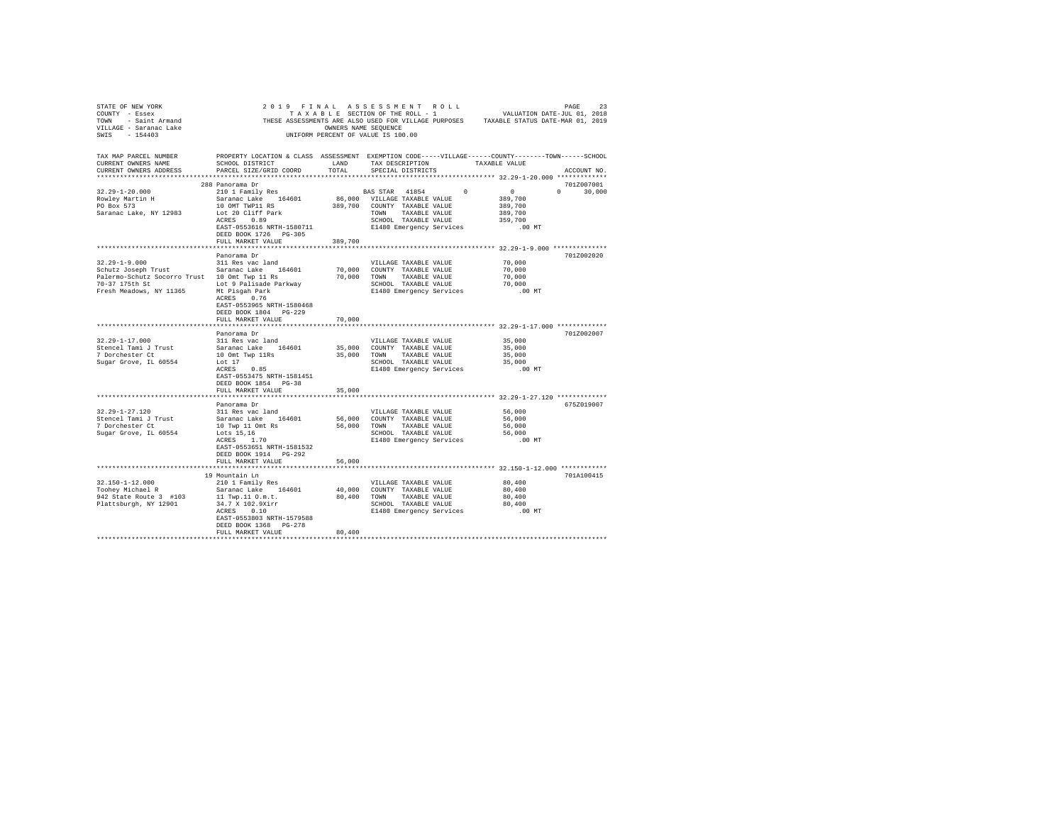|                                               |                                                                                                                                      |                      |                                                      |              | THESE ASSESSMENTS ARE ALSO USED FOR VILLAGE PURPOSES TAXABLE STATUS DATE-MAR 01, 2019 |               |
|-----------------------------------------------|--------------------------------------------------------------------------------------------------------------------------------------|----------------------|------------------------------------------------------|--------------|---------------------------------------------------------------------------------------|---------------|
|                                               |                                                                                                                                      | OWNERS NAME SEOUENCE |                                                      |              |                                                                                       |               |
|                                               |                                                                                                                                      |                      | UNIFORM PERCENT OF VALUE IS 100.00                   |              |                                                                                       |               |
|                                               |                                                                                                                                      |                      |                                                      |              |                                                                                       |               |
| TAX MAP PARCEL NUMBER                         | PROPERTY LOCATION & CLASS ASSESSMENT EXEMPTION CODE-----VILLAGE------COUNTY-------TOWN------SCHOOL                                   |                      |                                                      |              |                                                                                       |               |
| CURRENT OWNERS NAME                           | SCHOOL DISTRICT                                                                                                                      | LAND                 |                                                      |              | TAX DESCRIPTION TAXABLE VALUE                                                         |               |
| CURRENT OWNERS ADDRESS                        | PARCEL SIZE/GRID COORD                                                                                                               | TOTAL                | SPECIAL DISTRICTS                                    |              |                                                                                       | ACCOUNT NO.   |
|                                               |                                                                                                                                      |                      |                                                      |              |                                                                                       |               |
|                                               | 288 Panorama Dr                                                                                                                      |                      |                                                      |              |                                                                                       | 701Z007001    |
| $32.29 - 1 - 20.000$                          | 210 1 Family Res                                                                                                                     |                      | BAS STAR 41854                                       | $\mathbf{0}$ | $\sim$ 0 $\sim$                                                                       | $0 \t 30,000$ |
|                                               | Saranac Lake 164601                                                                                                                  |                      | 86,000 VILLAGE TAXABLE VALUE                         |              | 389,700                                                                               |               |
| Rowley Martin H<br>PO Box 573                 | 10 OMT TWP11 RS                                                                                                                      |                      | 389,700 COUNTY TAXABLE VALUE                         |              | 389,700                                                                               |               |
| Saranac Lake, NY 12983                        | Lot 20 Cliff Park                                                                                                                    |                      | TOWN TAXABLE VALUE                                   |              | 389,700                                                                               |               |
|                                               | ACRES 0.89                                                                                                                           |                      | SCHOOL TAXABLE VALUE                                 |              | 359,700                                                                               |               |
|                                               | EAST-0553616 NRTH-1580711                                                                                                            |                      |                                                      |              | E1480 Emergency Services .00 MT                                                       |               |
|                                               | DEED BOOK 1726 PG-305                                                                                                                |                      |                                                      |              |                                                                                       |               |
|                                               | FULL MARKET VALUE                                                                                                                    | 389,700              |                                                      |              |                                                                                       |               |
|                                               |                                                                                                                                      |                      |                                                      |              |                                                                                       |               |
|                                               | Panorama Dr                                                                                                                          |                      |                                                      |              |                                                                                       | 701Z002020    |
| $32.29 - 1 - 9.000$                           | 311 Res vac land                                                                                                                     |                      | VILLAGE TAXABLE VALUE                                |              | 70,000                                                                                |               |
| Schutz Joseph Trust Saranac Lake 164601       |                                                                                                                                      |                      | 70,000 COUNTY TAXABLE VALUE                          |              | 70,000                                                                                |               |
| Palermo-Schutz Socorro Trust 10 Omt Twp 11 Rs |                                                                                                                                      |                      | 70,000 TOWN TAXABLE VALUE                            |              | 70,000                                                                                |               |
| 70-37 175th St Lot 9 Palisade Parkway         |                                                                                                                                      |                      |                                                      |              | 70,000                                                                                |               |
| Fresh Meadows, NY 11365 Mt Pisgah Park        |                                                                                                                                      |                      | SCHOOL TAXABLE VALUE<br>E1480 Emergency Services     |              | .00 MT                                                                                |               |
|                                               | ACRES 0.76                                                                                                                           |                      |                                                      |              |                                                                                       |               |
|                                               | EAST-0553965 NRTH-1580468                                                                                                            |                      |                                                      |              |                                                                                       |               |
|                                               | DEED BOOK 1804 PG-229                                                                                                                |                      |                                                      |              |                                                                                       |               |
|                                               | FULL MARKET VALUE                                                                                                                    | 70,000               |                                                      |              |                                                                                       |               |
|                                               | Panorama Dr                                                                                                                          |                      |                                                      |              |                                                                                       | 701Z002007    |
| $32.29 - 1 - 17.000$                          | 311 Res vac land                                                                                                                     |                      | VILLAGE TAXABLE VALUE                                |              | 35,000                                                                                |               |
| Stencel Tami J Trust                          | Saranac Lake 164601                                                                                                                  |                      | 35,000 COUNTY TAXABLE VALUE                          |              | 35,000                                                                                |               |
| 7 Dorchester Ct                               |                                                                                                                                      |                      | 35,000 TOWN TAXABLE VALUE                            |              | 35,000                                                                                |               |
| Sugar Grove, IL 60554                         | 10 Omt Twp 11Rs<br>Lot 17<br>Lot 17                                                                                                  |                      | SCHOOL TAXABLE VALUE                                 |              | 35,000                                                                                |               |
|                                               | $ACRES$ 0.85                                                                                                                         |                      | E1480 Emergency Services                             |              | .00 MT                                                                                |               |
|                                               | EAST-0553475 NRTH-1581451                                                                                                            |                      |                                                      |              |                                                                                       |               |
|                                               | DEED BOOK 1854 PG-38                                                                                                                 |                      |                                                      |              |                                                                                       |               |
|                                               | FULL MARKET VALUE                                                                                                                    | 35,000               |                                                      |              |                                                                                       |               |
|                                               |                                                                                                                                      |                      |                                                      |              |                                                                                       |               |
|                                               | Panorama Dr                                                                                                                          |                      |                                                      |              |                                                                                       | 675Z019007    |
| $32.29 - 1 - 27.120$                          | 311 Res vac land                                                                                                                     |                      | VILLAGE TAXABLE VALUE                                |              | 56,000                                                                                |               |
| Stencel Tami J Trust                          |                                                                                                                                      |                      |                                                      |              | 56,000                                                                                |               |
| 7 Dorchester Ct                               |                                                                                                                                      |                      |                                                      |              | 56,000                                                                                |               |
| Sugar Grove, IL 60554                         | 914 Res van 184601 56,000 COUNTY TAXABLE VALUE<br>10 Twp 11 Omt Rs 56,000 TOWN TAXABLE VALUE<br>--- 15 1< 10 RB 56,000 TAXABLE VALUE |                      | SCHOOL TAXABLE VALUE                                 |              | 56,000                                                                                |               |
|                                               | ACRES 1.70                                                                                                                           |                      | E1480 Emergency Services                             |              | .00 MT                                                                                |               |
|                                               | EAST-0553651 NRTH-1581532                                                                                                            |                      |                                                      |              |                                                                                       |               |
|                                               | DEED BOOK 1914 PG-292                                                                                                                |                      |                                                      |              |                                                                                       |               |
|                                               | FULL MARKET VALUE                                                                                                                    | 56,000               |                                                      |              |                                                                                       |               |
|                                               |                                                                                                                                      | ***********          |                                                      |              | ********************** 32.150-1-12.000 ************                                   | 701A100415    |
| 32.150-1-12.000                               | 19 Mountain Ln<br>210 1 Family Res                                                                                                   |                      |                                                      |              | 80,400                                                                                |               |
| Toohey Michael R                              | Saranac Lake 164601                                                                                                                  |                      | VILLAGE TAXABLE VALUE<br>40,000 COUNTY TAXABLE VALUE |              | 80,400                                                                                |               |
| 942 State Route 3 #103                        |                                                                                                                                      |                      | 80,400 TOWN TAXABLE VALUE                            |              | 80,400                                                                                |               |
| Plattsburgh, NY 12901                         | 11 Twp.11 0.m.t.<br>34.7 x 102.9Xirr<br>2CRES 0.10                                                                                   |                      | SCHOOL TAXABLE VALUE                                 |              |                                                                                       |               |
|                                               | ACRES 0.10                                                                                                                           |                      |                                                      |              | SCHOOL TAXABLE VALUE 00,400<br>E1480 Emergency Services .00 MT                        |               |
|                                               | EAST-0553803 NRTH-1579588                                                                                                            |                      |                                                      |              |                                                                                       |               |
|                                               | DEED BOOK 1368 PG-278                                                                                                                |                      |                                                      |              |                                                                                       |               |
|                                               | FULL MARKET VALUE                                                                                                                    | 80,400               |                                                      |              |                                                                                       |               |
|                                               |                                                                                                                                      | .                    |                                                      |              |                                                                                       |               |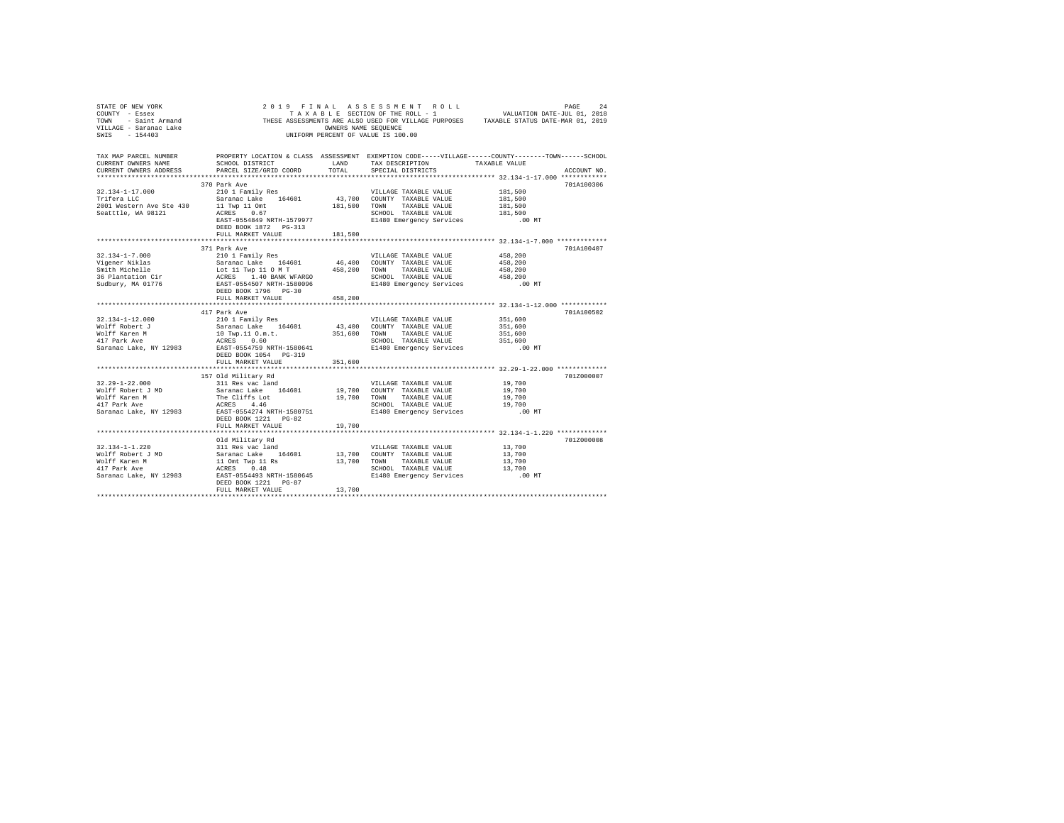| TAX MAP PARCEL NUMBER<br>CURRENT OWNERS NAME<br>CURRENT OWNERS ADDRESS                                                                                                                                                                                   |                      |         | PROPERTY LOCATION & CLASS ASSESSMENT EXEMPTION CODE-----VILLAGE------COUNTY-------TOWN------SCHOOL                                                                                                                                                                                                                                                                              |         | ACCOUNT NO. |
|----------------------------------------------------------------------------------------------------------------------------------------------------------------------------------------------------------------------------------------------------------|----------------------|---------|---------------------------------------------------------------------------------------------------------------------------------------------------------------------------------------------------------------------------------------------------------------------------------------------------------------------------------------------------------------------------------|---------|-------------|
|                                                                                                                                                                                                                                                          |                      |         |                                                                                                                                                                                                                                                                                                                                                                                 |         |             |
|                                                                                                                                                                                                                                                          | 370 Park Ave         |         |                                                                                                                                                                                                                                                                                                                                                                                 |         | 701A100306  |
|                                                                                                                                                                                                                                                          |                      |         | VILLAGE TAXABLE VALUE                                                                                                                                                                                                                                                                                                                                                           | 181,500 |             |
|                                                                                                                                                                                                                                                          |                      |         |                                                                                                                                                                                                                                                                                                                                                                                 | 181,500 |             |
|                                                                                                                                                                                                                                                          |                      |         |                                                                                                                                                                                                                                                                                                                                                                                 |         |             |
|                                                                                                                                                                                                                                                          |                      |         |                                                                                                                                                                                                                                                                                                                                                                                 |         |             |
|                                                                                                                                                                                                                                                          |                      |         |                                                                                                                                                                                                                                                                                                                                                                                 |         |             |
|                                                                                                                                                                                                                                                          |                      |         |                                                                                                                                                                                                                                                                                                                                                                                 |         |             |
|                                                                                                                                                                                                                                                          |                      |         | $\begin{tabular}{ccccc} $\textsc{m}=\textsc{m} & 181,500$ & $\textsc{m}=\textsc{m} & 181,500$ \\ $\textsc{m}=\textsc{m} & 181,500$ & $\textsc{m}=\textsc{m} & 181,500$ \\ $\textsc{ES3T$--0554849 NRTH$--1579977 & $\textsc{SCHOOL} & \textsc{TXABLE} & \textsc{VALUE} & 181,500 \\ $\textsc{DEED BOOK$ 1872}$ & $\textsc{pG}$-313 & $\textsc{E1480} $\textsc{m}=\textsc{m} & $ |         |             |
|                                                                                                                                                                                                                                                          | 371 Park Ave         |         |                                                                                                                                                                                                                                                                                                                                                                                 |         | 701A100407  |
|                                                                                                                                                                                                                                                          |                      |         |                                                                                                                                                                                                                                                                                                                                                                                 |         |             |
|                                                                                                                                                                                                                                                          |                      |         |                                                                                                                                                                                                                                                                                                                                                                                 |         |             |
|                                                                                                                                                                                                                                                          |                      |         |                                                                                                                                                                                                                                                                                                                                                                                 |         |             |
|                                                                                                                                                                                                                                                          |                      |         |                                                                                                                                                                                                                                                                                                                                                                                 |         |             |
|                                                                                                                                                                                                                                                          |                      |         |                                                                                                                                                                                                                                                                                                                                                                                 |         |             |
|                                                                                                                                                                                                                                                          |                      |         |                                                                                                                                                                                                                                                                                                                                                                                 |         |             |
|                                                                                                                                                                                                                                                          | FULL MARKET VALUE    | 458,200 |                                                                                                                                                                                                                                                                                                                                                                                 |         |             |
|                                                                                                                                                                                                                                                          | 417 Park Ave         |         |                                                                                                                                                                                                                                                                                                                                                                                 |         | 701A100502  |
|                                                                                                                                                                                                                                                          |                      |         |                                                                                                                                                                                                                                                                                                                                                                                 |         |             |
|                                                                                                                                                                                                                                                          |                      |         |                                                                                                                                                                                                                                                                                                                                                                                 |         |             |
|                                                                                                                                                                                                                                                          |                      |         |                                                                                                                                                                                                                                                                                                                                                                                 |         |             |
|                                                                                                                                                                                                                                                          |                      |         |                                                                                                                                                                                                                                                                                                                                                                                 |         |             |
|                                                                                                                                                                                                                                                          |                      |         |                                                                                                                                                                                                                                                                                                                                                                                 |         |             |
|                                                                                                                                                                                                                                                          |                      |         |                                                                                                                                                                                                                                                                                                                                                                                 |         |             |
|                                                                                                                                                                                                                                                          |                      |         |                                                                                                                                                                                                                                                                                                                                                                                 |         |             |
|                                                                                                                                                                                                                                                          |                      |         |                                                                                                                                                                                                                                                                                                                                                                                 |         |             |
|                                                                                                                                                                                                                                                          |                      |         |                                                                                                                                                                                                                                                                                                                                                                                 |         | 701Z000007  |
|                                                                                                                                                                                                                                                          |                      |         |                                                                                                                                                                                                                                                                                                                                                                                 |         |             |
|                                                                                                                                                                                                                                                          |                      |         |                                                                                                                                                                                                                                                                                                                                                                                 |         |             |
|                                                                                                                                                                                                                                                          |                      |         |                                                                                                                                                                                                                                                                                                                                                                                 |         |             |
|                                                                                                                                                                                                                                                          |                      |         |                                                                                                                                                                                                                                                                                                                                                                                 |         |             |
|                                                                                                                                                                                                                                                          | DEED BOOK 1221 PG-82 |         |                                                                                                                                                                                                                                                                                                                                                                                 |         |             |
|                                                                                                                                                                                                                                                          |                      |         |                                                                                                                                                                                                                                                                                                                                                                                 |         |             |
|                                                                                                                                                                                                                                                          |                      |         |                                                                                                                                                                                                                                                                                                                                                                                 |         |             |
|                                                                                                                                                                                                                                                          |                      |         |                                                                                                                                                                                                                                                                                                                                                                                 |         | 701Z000008  |
|                                                                                                                                                                                                                                                          |                      |         |                                                                                                                                                                                                                                                                                                                                                                                 |         |             |
|                                                                                                                                                                                                                                                          |                      |         |                                                                                                                                                                                                                                                                                                                                                                                 |         |             |
|                                                                                                                                                                                                                                                          |                      |         |                                                                                                                                                                                                                                                                                                                                                                                 |         |             |
|                                                                                                                                                                                                                                                          |                      |         |                                                                                                                                                                                                                                                                                                                                                                                 |         |             |
| 13.134-1-1.2000<br>201 Military Rd<br>201 Military Rd<br>201 Military Rd<br>201 Military Rd<br>201 Military Rd<br>201 Military Rd<br>201 Military Rd<br>201 Military Rd<br>201 Military Rd<br>201 Military Rd<br>201 Military Rd<br>201 Military Rd<br>2 |                      |         |                                                                                                                                                                                                                                                                                                                                                                                 |         |             |
|                                                                                                                                                                                                                                                          | FULL MARKET VALUE    | 13,700  |                                                                                                                                                                                                                                                                                                                                                                                 |         |             |
|                                                                                                                                                                                                                                                          |                      |         |                                                                                                                                                                                                                                                                                                                                                                                 |         |             |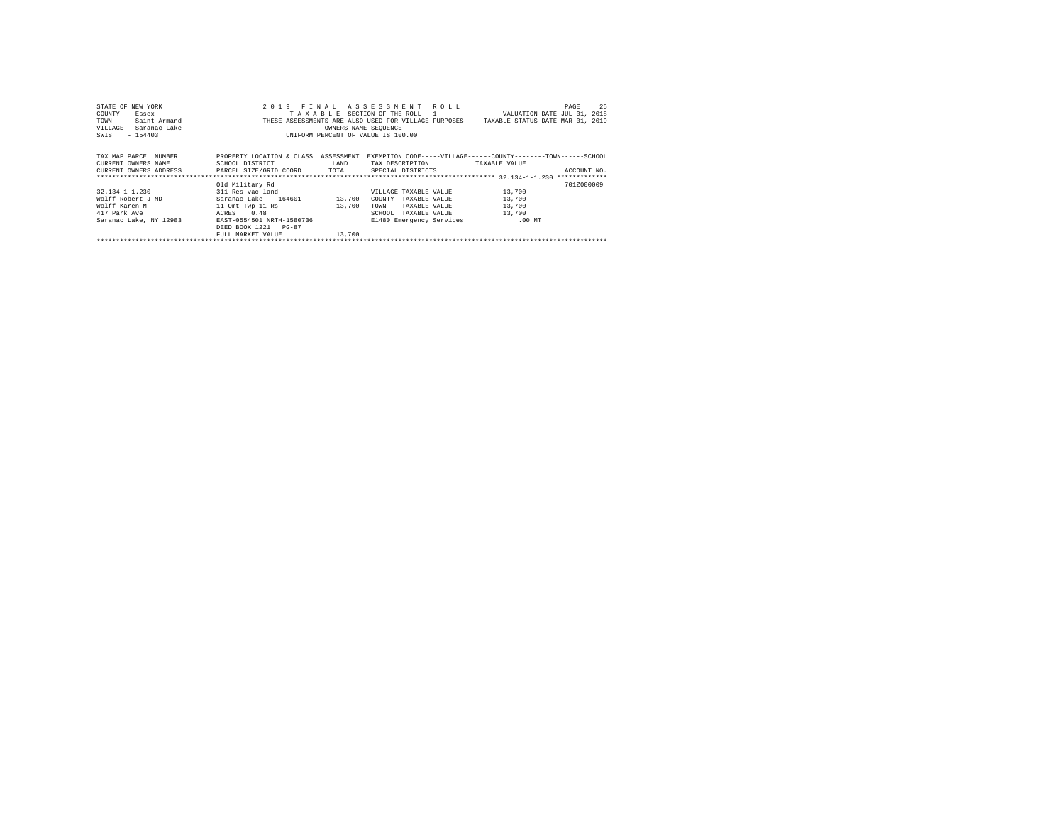| STATE OF NEW YORK                                                     |                                      |                      | 2019 FINAL ASSESSMENT ROLL         | 25<br>PAGE                                                                            |
|-----------------------------------------------------------------------|--------------------------------------|----------------------|------------------------------------|---------------------------------------------------------------------------------------|
| COUNTY<br>- Essex                                                     |                                      |                      |                                    | TAXABLE SECTION OF THE ROLL - 1 WALUATION DATE-JUL 01, 2018                           |
| - Saint Armand<br>TOWN                                                |                                      |                      |                                    | THESE ASSESSMENTS ARE ALSO USED FOR VILLAGE PURPOSES TAXABLE STATUS DATE-MAR 01, 2019 |
| VILLAGE - Saranac Lake                                                |                                      | OWNERS NAME SEQUENCE |                                    |                                                                                       |
| SWIS - 154403                                                         |                                      |                      | UNIFORM PERCENT OF VALUE IS 100.00 |                                                                                       |
|                                                                       |                                      |                      |                                    |                                                                                       |
|                                                                       |                                      |                      |                                    |                                                                                       |
| TAX MAP PARCEL NUMBER                                                 | PROPERTY LOCATION & CLASS ASSESSMENT |                      |                                    | EXEMPTION CODE-----VILLAGE------COUNTY--------TOWN------SCHOOL                        |
| CURRENT OWNERS NAME                                                   | SCHOOL DISTRICT                      | LAND                 | TAX DESCRIPTION                    | TAXABLE VALUE                                                                         |
| CURRENT OWNERS ADDRESS PARCEL SIZE/GRID COORD TOTAL SPECIAL DISTRICTS |                                      |                      |                                    | ACCOUNT NO.                                                                           |
|                                                                       |                                      |                      |                                    |                                                                                       |
|                                                                       | Old Military Rd                      |                      |                                    | 701Z000009                                                                            |
| 32.134-1-1.230 311 Res vac land                                       |                                      |                      | VILLAGE TAXABLE VALUE              | 13,700                                                                                |
| Wolff Robert J MD                                                     | Saranac Lake 164601 13,700           |                      | COUNTY TAXABLE VALUE               | 13,700                                                                                |
| Wolff Karen M                                                         | 11 Omt Twp 11 Rs                     | 13,700               | TOWN<br>TAXABLE VALUE              | 13,700                                                                                |
| 417 Park Ave                                                          | ACRES 0.48                           |                      | SCHOOL<br>TAXABLE VALUE            | 13,700                                                                                |
| Saranac Lake, NY 12983                                                | EAST-0554501 NRTH-1580736            |                      | E1480 Emergency Services .00 MT    |                                                                                       |
|                                                                       | DEED BOOK 1221 PG-87                 |                      |                                    |                                                                                       |
|                                                                       | FULL MARKET VALUE                    | 13,700               |                                    |                                                                                       |
|                                                                       |                                      |                      |                                    |                                                                                       |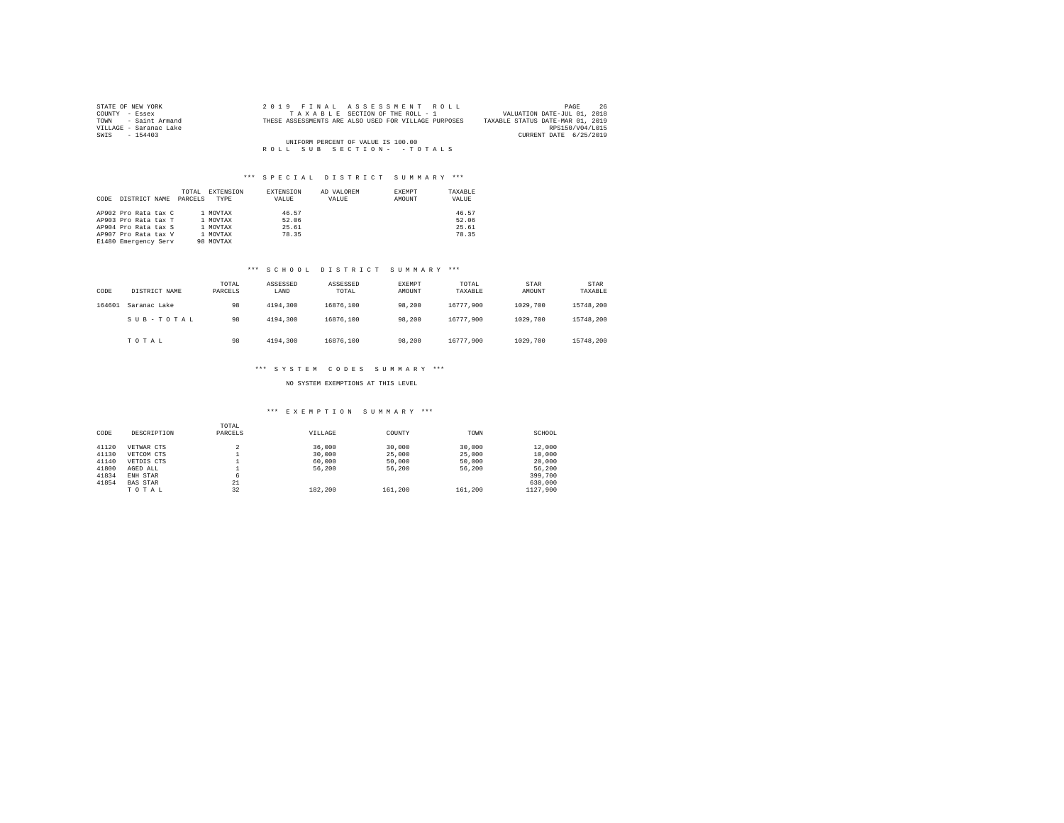| STATE OF NEW YORK      | 2019 FINAL ASSESSMENT ROLL                           | 26<br>PAGE                       |
|------------------------|------------------------------------------------------|----------------------------------|
| COUNTY - Essex         | TAXABLE SECTION OF THE ROLL - 1                      | VALUATION DATE-JUL 01, 2018      |
| TOWN - Saint Armand    | THESE ASSESSMENTS ARE ALSO USED FOR VILLAGE PURPOSES | TAXABLE STATUS DATE-MAR 01, 2019 |
| VILLAGE - Saranac Lake |                                                      | RPS150/V04/L015                  |
| SWIS - 154403          |                                                      | CURRENT DATE 6/25/2019           |
|                        | UNIFORM PERCENT OF VALUE IS 100.00                   |                                  |
|                        | ROLL SUB SECTION- - TOTALS                           |                                  |

| CODE | DISTRICT NAME                                                                                                        | TOTAL<br>PARCELS. | EXTENSION<br>TYPE                                         | EXTENSION<br>VALUE               | AD VALOREM<br>VALUE | EXEMPT<br>AMOUNT | TAXABLE<br>VALUE                 |
|------|----------------------------------------------------------------------------------------------------------------------|-------------------|-----------------------------------------------------------|----------------------------------|---------------------|------------------|----------------------------------|
|      | AP902 Pro Rata tax C<br>AP903 Pro Rata tax T<br>AP904 Pro Rata tax S<br>AP907 Pro Rata tax V<br>E1480 Emergency Serv |                   | 1 MOVTAX<br>1 MOVTAX<br>1 MOVTAX<br>1 MOVTAX<br>98 MOVTAX | 46.57<br>52.06<br>25.61<br>78.35 |                     |                  | 46.57<br>52.06<br>25.61<br>78.35 |

#### \*\*\* S C H O O L D I S T R I C T S U M M A R Y \*\*\*

| CODE   | DISTRICT NAME | TOTAL<br>PARCELS | ASSESSED<br>LAND | ASSESSED<br>TOTAL | EXEMPT<br>AMOUNT | TOTAL<br>TAXABLE | STAR<br>AMOUNT | STAR<br>TAXABLE |
|--------|---------------|------------------|------------------|-------------------|------------------|------------------|----------------|-----------------|
| 164601 | Saranac Lake  | 98               | 4194.300         | 16876.100         | 98,200           | 16777.900        | 1029,700       | 15748.200       |
|        | SUB-TOTAL     | 98               | 4194.300         | 16876.100         | 98.200           | 16777.900        | 1029,700       | 15748.200       |
|        | TOTAL         | 98               | 4194.300         | 16876.100         | 98,200           | 16777.900        | 1029,700       | 15748.200       |

## \*\*\* S Y S T E M C O D E S S U M M A R Y \*\*\*

## NO SYSTEM EXEMPTIONS AT THIS LEVEL

#### \*\*\* E X E M P T I O N S U M M A R Y \*\*\*

| CODE  | DESCRIPTION     | TOTAL<br>PARCELS | VILLAGE | COUNTY  | TOWN    | SCHOOL   |
|-------|-----------------|------------------|---------|---------|---------|----------|
| 41120 | VETWAR CTS      | $\sim$<br>×      | 36,000  | 30,000  | 30,000  | 12,000   |
| 41130 | VETCOM CTS      |                  | 30,000  | 25,000  | 25,000  | 10,000   |
| 41140 | VETDIS CTS      |                  | 60,000  | 50,000  | 50,000  | 20,000   |
| 41800 | AGED ALL        |                  | 56,200  | 56,200  | 56,200  | 56,200   |
| 41834 | ENH STAR        | 6                |         |         |         | 399,700  |
| 41854 | <b>BAS STAR</b> | 21               |         |         |         | 630,000  |
|       | TOTAL           | 32               | 182,200 | 161,200 | 161,200 | 1127.900 |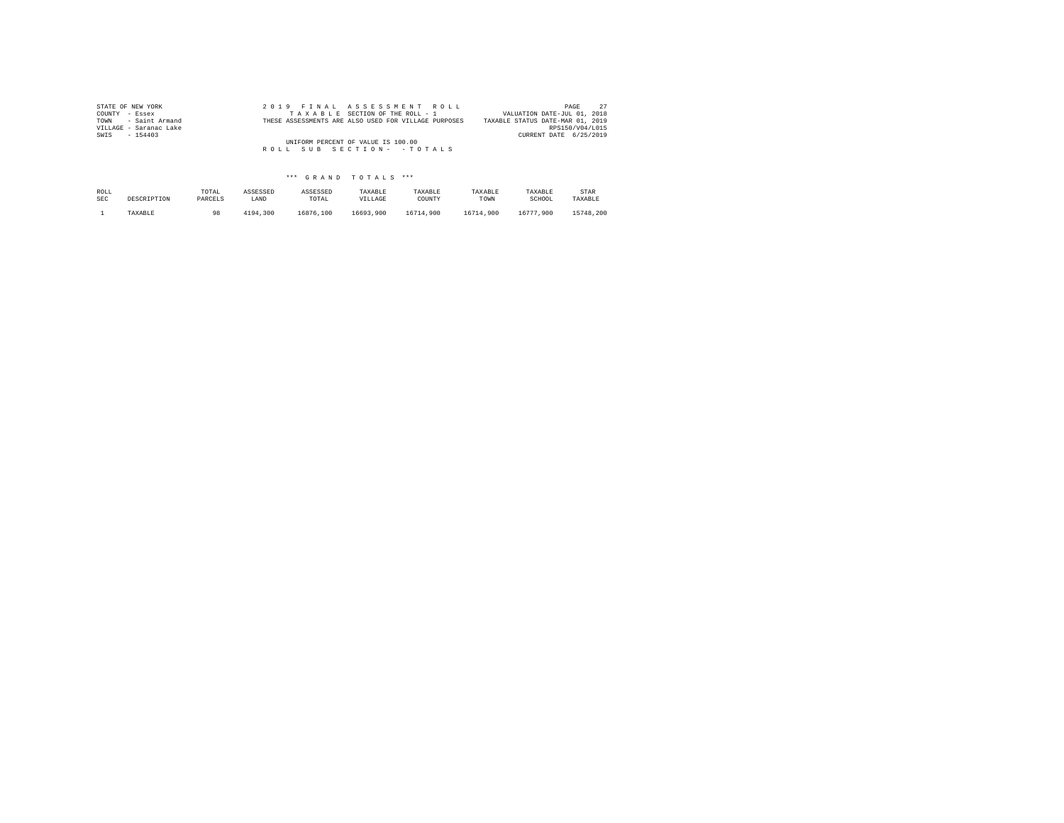| STATE OF NEW YORK      | 2019 FINAL ASSESSMENT ROLL                           | 27<br>PAGE                       |
|------------------------|------------------------------------------------------|----------------------------------|
| COUNTY - Essex         | TAXABLE SECTION OF THE ROLL - 1                      | VALUATION DATE-JUL 01, 2018      |
| TOWN - Saint Armand    | THESE ASSESSMENTS ARE ALSO USED FOR VILLAGE PURPOSES | TAXABLE STATUS DATE-MAR 01, 2019 |
| VILLAGE - Saranac Lake |                                                      | RPS150/V04/L015                  |
| SWIS<br>$-154403$      |                                                      | CURRENT DATE 6/25/2019           |
|                        | UNIFORM PERCENT OF VALUE IS 100.00                   |                                  |
|                        | ROLL SUB SECTION- - TOTALS                           |                                  |
|                        |                                                      |                                  |

| ROLL       | DESCRIPTION | TOTAL   | ASSESSED | ASSESSED  | TAXABLE   | TAXABLE   | TAXABLE   | TAXABLE   | STAR      |
|------------|-------------|---------|----------|-----------|-----------|-----------|-----------|-----------|-----------|
| <b>SEC</b> |             | PARCELS | LAND     | TOTAL     | VILLAGE   | COUNTY    | TOWN      | SCHOOL    | TAXABLE   |
|            | TAXABLE     | 98      | 4194.300 | 16876.100 | 16693.900 | 16714.900 | 16714.900 | 16777.900 | 15748.200 |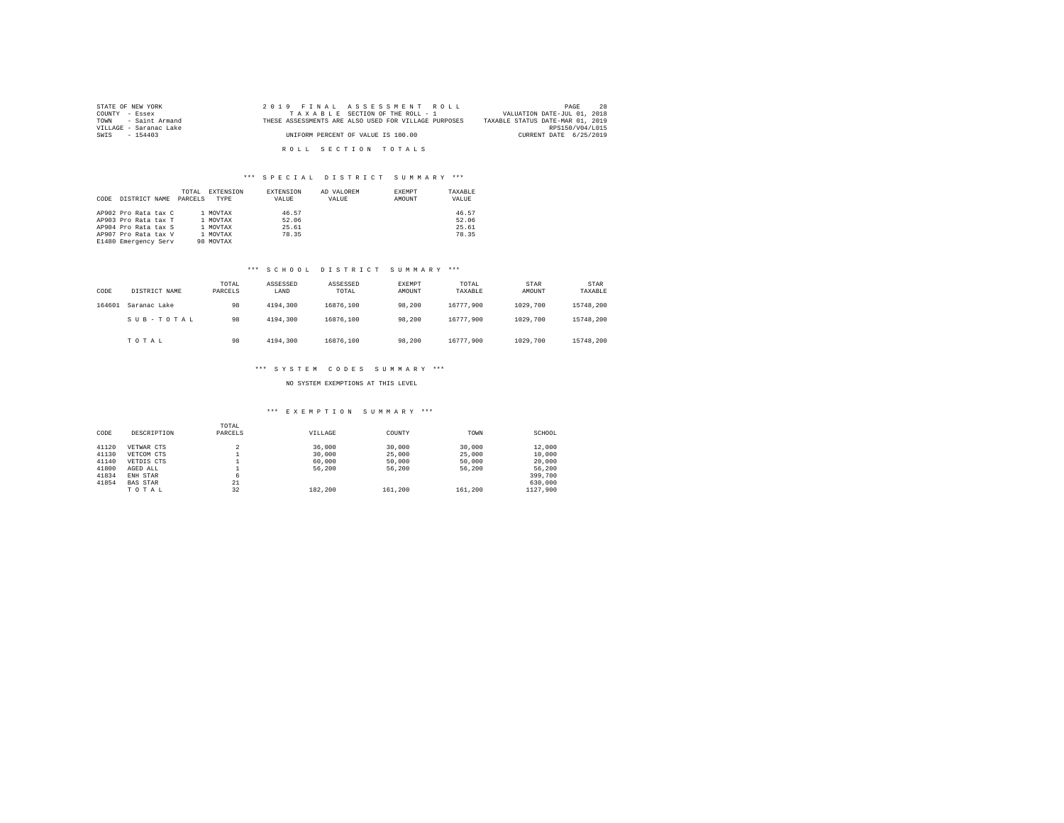| STATE OF NEW YORK      | 2019 FINAL ASSESSMENT ROLL                           | -28<br>PAGE                      |
|------------------------|------------------------------------------------------|----------------------------------|
| COUNTY - Essex         | TAXABLE SECTION OF THE ROLL - 1                      | VALUATION DATE-JUL 01, 2018      |
| TOWN - Saint Armand    | THESE ASSESSMENTS ARE ALSO USED FOR VILLAGE PURPOSES | TAXABLE STATUS DATE-MAR 01, 2019 |
| VILLAGE - Saranac Lake |                                                      | RPS150/V04/L015                  |
| SWIS - 154403          | UNIFORM PERCENT OF VALUE IS 100.00                   | CURRENT DATE 6/25/2019           |
|                        |                                                      |                                  |
|                        | ROLL SECTION TOTALS                                  |                                  |

| CODE | DISTRICT NAME                                                                                                        | TOTAL<br>PARCELS | EXTENSION<br>TYPE                                         | EXTENSION<br>VALUE               | AD VALOREM<br>VALUE | EXEMPT<br>AMOUNT | TAXABLE<br>VALUE                 |
|------|----------------------------------------------------------------------------------------------------------------------|------------------|-----------------------------------------------------------|----------------------------------|---------------------|------------------|----------------------------------|
|      | AP902 Pro Rata tax C<br>AP903 Pro Rata tax T<br>AP904 Pro Rata tax S<br>AP907 Pro Rata tax V<br>E1480 Emergency Serv |                  | 1 MOVTAX<br>1 MOVTAX<br>1 MOVTAX<br>1 MOVTAX<br>98 MOVTAX | 46.57<br>52.06<br>25.61<br>78.35 |                     |                  | 46.57<br>52.06<br>25.61<br>78.35 |

#### \*\*\* S C H O O L D I S T R I C T S U M M A R Y \*\*\*

| CODE   | DISTRICT NAME | TOTAL<br>PARCELS | ASSESSED<br>LAND | ASSESSED<br>TOTAL | EXEMPT<br>AMOUNT | TOTAL<br>TAXABLE | <b>STAR</b><br>AMOUNT | STAR<br>TAXABLE |
|--------|---------------|------------------|------------------|-------------------|------------------|------------------|-----------------------|-----------------|
| 164601 | Saranac Lake  | 98               | 4194.300         | 16876,100         | 98,200           | 16777.900        | 1029,700              | 15748.200       |
|        | SUB-TOTAL     | 98               | 4194.300         | 16876,100         | 98,200           | 16777.900        | 1029,700              | 15748.200       |
|        | TOTAL         | 98               | 4194.300         | 16876,100         | 98,200           | 16777.900        | 1029,700              | 15748.200       |

## \*\*\* S Y S T E M C O D E S S U M M A R Y \*\*\*

#### NO SYSTEM EXEMPTIONS AT THIS LEVEL

## \*\*\* E X E M P T I O N S U M M A R Y \*\*\*

| CODE  | DESCRIPTION     | TOTAL<br>PARCELS         | VILLAGE | COUNTY  | TOWN    | SCHOOL   |
|-------|-----------------|--------------------------|---------|---------|---------|----------|
| 41120 | VETWAR CTS      | $\overline{\phantom{a}}$ | 36,000  | 30,000  | 30,000  | 12,000   |
| 41130 | VETCOM CTS      |                          | 30,000  | 25,000  | 25,000  | 10,000   |
| 41140 | VETDIS CTS      |                          | 60,000  | 50,000  | 50,000  | 20,000   |
| 41800 | AGED ALL        |                          | 56,200  | 56,200  | 56,200  | 56.200   |
| 41834 | ENH STAR        | 6                        |         |         |         | 399,700  |
| 41854 | <b>BAS STAR</b> | 21                       |         |         |         | 630,000  |
|       | TOTAL           | 32                       | 182,200 | 161,200 | 161,200 | 1127.900 |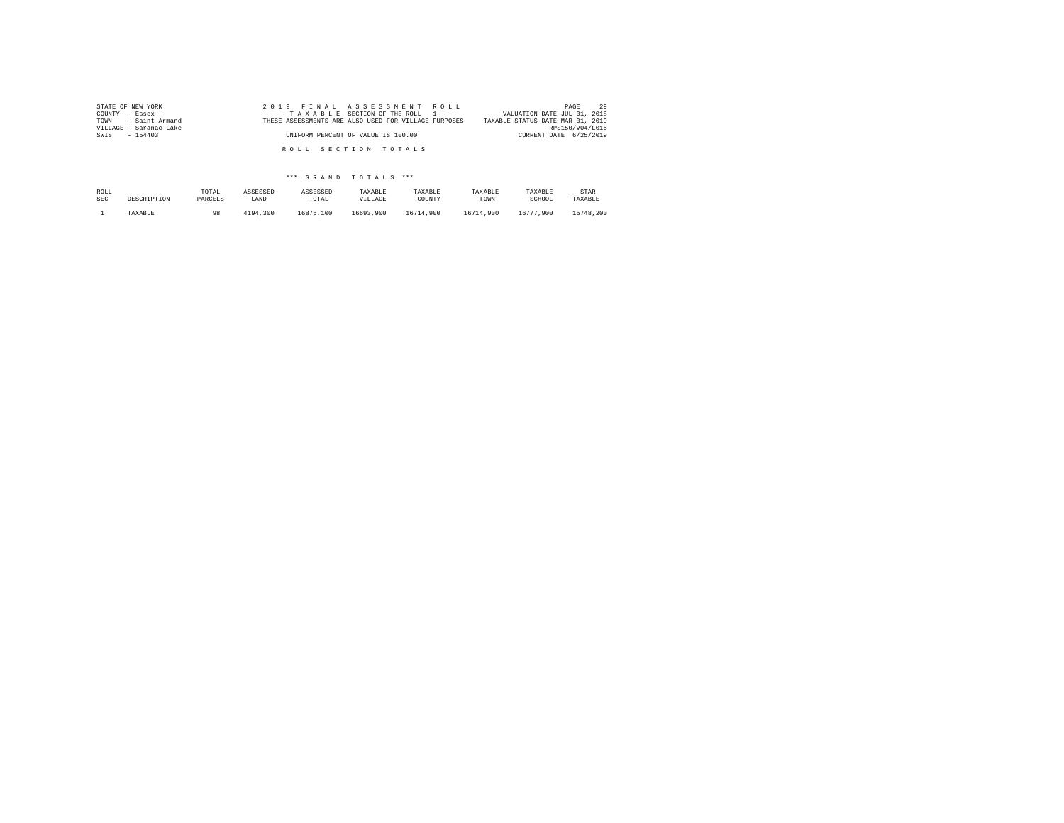| STATE OF NEW YORK<br>COUNTY - Essex           | 2019 FINAL ASSESSMENT ROLL<br>TAXABLE SECTION OF THE ROLL - 1 | 29<br>PAGE<br>VALUATION DATE-JUL 01, 2018           |
|-----------------------------------------------|---------------------------------------------------------------|-----------------------------------------------------|
| TOWN - Saint Armand<br>VILLAGE - Saranac Lake | THESE ASSESSMENTS ARE ALSO USED FOR VILLAGE PURPOSES          | TAXABLE STATUS DATE-MAR 01, 2019<br>RPS150/V04/L015 |
| SWIS - 154403                                 | UNIFORM PERCENT OF VALUE IS 100.00                            | CURRENT DATE 6/25/2019                              |
|                                               | ROLL SECTION TOTALS                                           |                                                     |

| ROLL | DESCRIPTION | TOTAL   | ASSESSED | ASSESSED  | TAXABLE   | TAXABLE   | TAXABLE   | TAXABLE   | STAR      |
|------|-------------|---------|----------|-----------|-----------|-----------|-----------|-----------|-----------|
| SEC  |             | PARCELS | LAND     | TOTAL     | VILLAGE   | COUNTY    | TOWN      | SCHOOL    | TAXABLE   |
|      | TAXABLE     | 98      | 4194.300 | 16876,100 | 16693.900 | 16714.900 | 16714.900 | 16777.900 | 15748.200 |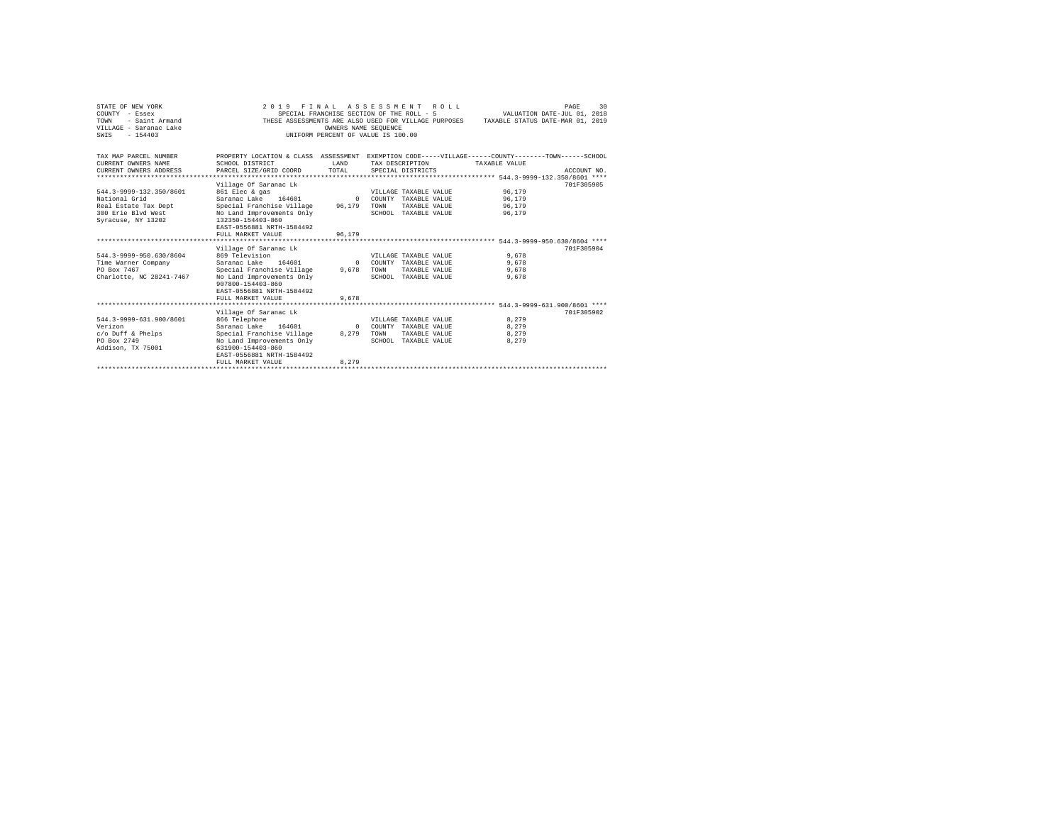| STATE OF NEW YORK<br>COUNTY - Essex<br>- Saint Armand<br>TOWN<br>VILLAGE - Saranac Lake<br>$-154403$<br>SWTS | 2 0 1 9                                                                                                                                                                          | FINAL ASSESSMENT ROLL<br>SPECIAL FRANCHISE SECTION OF THE ROLL - 5<br>OWNERS NAME SEOUENCE<br>INIFORM PERCENT OF VALUE IS 100.00 |      |                                                                                        | VALUATION DATE-JUL 01, 2018<br>THESE ASSESSMENTS ARE ALSO USED FOR VILLAGE PURPOSES TAXABLE STATUS DATE-MAR 01, 2019 | PAGE        | 30 |
|--------------------------------------------------------------------------------------------------------------|----------------------------------------------------------------------------------------------------------------------------------------------------------------------------------|----------------------------------------------------------------------------------------------------------------------------------|------|----------------------------------------------------------------------------------------|----------------------------------------------------------------------------------------------------------------------|-------------|----|
| TAX MAP PARCEL NUMBER<br>CURRENT OWNERS NAME<br>CURRENT OWNERS ADDRESS                                       | PROPERTY LOCATION & CLASS ASSESSMENT EXEMPTION CODE-----VILLAGE------COUNTY-------TOWN------SCHOOL<br>SCHOOL DISTRICT<br>PARCEL SIZE/GRID COORD                                  | <b>T.AND</b><br>TOTAL                                                                                                            |      | TAX DESCRIPTION<br>SPECIAL DISTRICTS                                                   | TAXABLE VALUE                                                                                                        | ACCOUNT NO. |    |
|                                                                                                              |                                                                                                                                                                                  |                                                                                                                                  |      |                                                                                        |                                                                                                                      |             |    |
| 544.3-9999-132.350/8601<br>National Grid<br>Real Estate Tax Dept<br>300 Erie Blvd West<br>Syracuse, NY 13202 | Village Of Saranac Lk<br>861 Elec & gas<br>Saranac Lake 164601<br>Special Franchise Village<br>No Land Improvements Only<br>132350-154403-860<br>EAST-0556881 NRTH-1584492       | $\Omega$<br>96.179                                                                                                               | TOWN | VILLAGE TAXABLE VALUE<br>COUNTY TAXABLE VALUE<br>TAXABLE VALUE<br>SCHOOL TAXABLE VALUE | 96.179<br>96,179<br>96,179<br>96.179                                                                                 | 701F305905  |    |
|                                                                                                              | FULL MARKET VALUE                                                                                                                                                                | 96.179                                                                                                                           |      |                                                                                        |                                                                                                                      |             |    |
|                                                                                                              |                                                                                                                                                                                  |                                                                                                                                  |      |                                                                                        |                                                                                                                      |             |    |
| 544.3-9999-950.630/8604<br>Time Warner Company<br>PO Box 7467<br>Charlotte, NC 28241-7467                    | Village Of Saranac Lk<br>869 Television<br>Saranac Lake 164601<br>Special Franchise Village 9,678<br>No Land Improvements Only<br>907800-154403-860<br>EAST-0556881 NRTH-1584492 | $\Omega$                                                                                                                         | TOWN | VILLAGE TAXABLE VALUE<br>COUNTY TAXABLE VALUE<br>TAXABLE VALUE<br>SCHOOL TAXABLE VALUE | 9.678<br>9,678<br>9.678<br>9.678                                                                                     | 701F305904  |    |
|                                                                                                              | FULL MARKET VALUE                                                                                                                                                                | 9.678                                                                                                                            |      |                                                                                        |                                                                                                                      |             |    |
|                                                                                                              |                                                                                                                                                                                  |                                                                                                                                  |      |                                                                                        |                                                                                                                      |             |    |
| 544.3-9999-631.900/8601<br>Verizon<br>$c$ /o Duff & Phelps<br>PO Box 2749<br>Addison, TX 75001               | Village Of Saranac Lk<br>866 Telephone<br>Saranac Lake 164601<br>Special Franchise Village<br>No Land Improvements Only<br>631900-154403-860<br>EAST-0556881 NRTH-1584492        | $\Omega$<br>8,279                                                                                                                | TOWN | VILLAGE TAXABLE VALUE<br>COUNTY TAXABLE VALUE<br>TAXABLE VALUE<br>SCHOOL TAXABLE VALUE | 8.279<br>8,279<br>8,279<br>8.279                                                                                     | 701F305902  |    |
|                                                                                                              | FULL MARKET VALUE                                                                                                                                                                | 8.279                                                                                                                            |      |                                                                                        |                                                                                                                      |             |    |
|                                                                                                              |                                                                                                                                                                                  |                                                                                                                                  |      |                                                                                        |                                                                                                                      |             |    |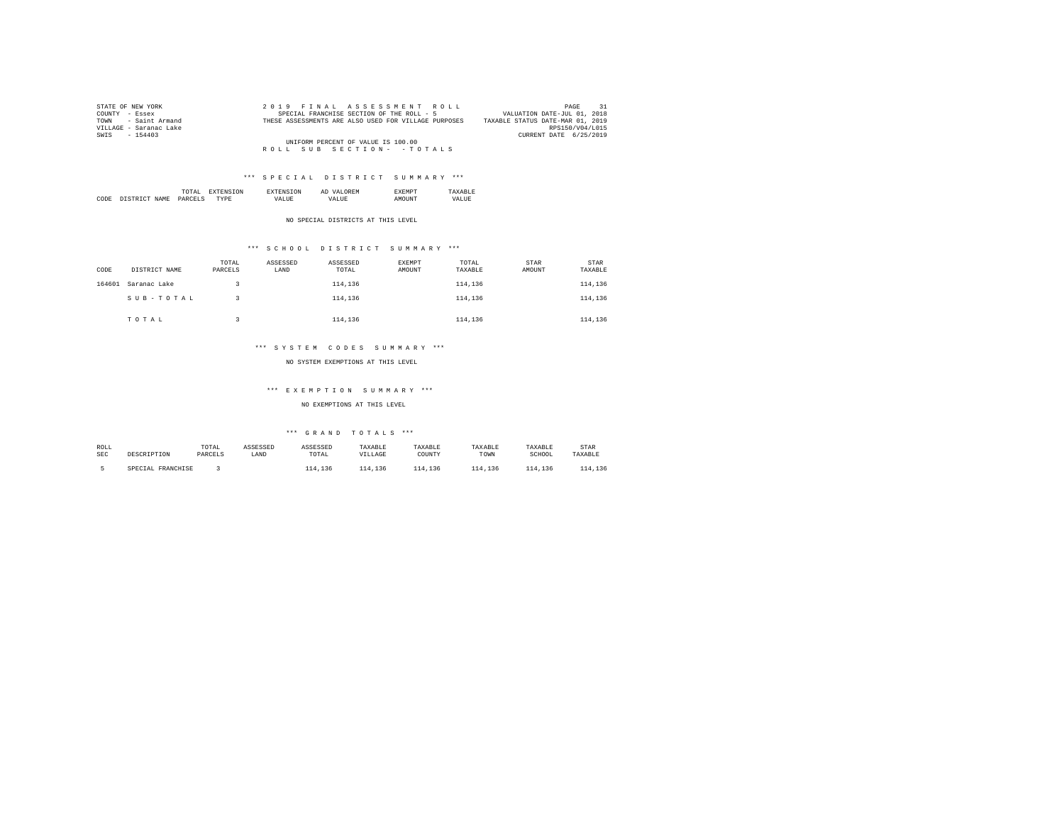| STATE OF NEW YORK      | 2019 FINAL ASSESSMENT ROLL                           | 31<br>PAGE                       |
|------------------------|------------------------------------------------------|----------------------------------|
| COUNTY - Essex         | SPECIAL FRANCHISE SECTION OF THE ROLL - 5            | VALUATION DATE-JUL 01, 2018      |
| TOWN - Saint Armand    | THESE ASSESSMENTS ARE ALSO USED FOR VILLAGE PURPOSES | TAXABLE STATUS DATE-MAR 01, 2019 |
| VILLAGE - Saranac Lake |                                                      | RPS150/V04/L015                  |
| SWIS - 154403          |                                                      | CURRENT DATE 6/25/2019           |
|                        | UNIFORM PERCENT OF VALUE IS 100.00                   |                                  |
|                        | ROLL SUB SECTION- - TOTALS                           |                                  |

|      |                | the contract of the contract of the contract of | <b>L'NI</b> | АL | . .  |  |
|------|----------------|-------------------------------------------------|-------------|----|------|--|
| CODE | NAMF<br>$\sim$ | DARC                                            | $\cdots$    |    | 5118 |  |

NO SPECIAL DISTRICTS AT THIS LEVEL

# \*\*\* S C H O O L D I S T R I C T S U M M A R Y \*\*\*

| CODE   | DISTRICT NAME | TOTAL<br>PARCELS | ASSESSED<br>LAND | ASSESSED<br>TOTAL | <b>EXEMPT</b><br>AMOUNT | TOTAL<br>TAXABLE | STAR<br>AMOUNT | <b>STAR</b><br>TAXABLE |
|--------|---------------|------------------|------------------|-------------------|-------------------------|------------------|----------------|------------------------|
| 164601 | Saranac Lake  |                  |                  | 114,136           |                         | 114,136          |                | 114,136                |
|        | SUB-TOTAL     |                  |                  | 114,136           |                         | 114,136          |                | 114,136                |
|        | TOTAL         |                  |                  | 114,136           |                         | 114,136          |                | 114,136                |

## \*\*\* S Y S T E M C O D E S S U M M A R Y \*\*\*

NO SYSTEM EXEMPTIONS AT THIS LEVEL

## \*\*\* E X E M P T I O N S U M M A R Y \*\*\*

NO EXEMPTIONS AT THIS LEVEL

| ROLL       | DESCRIPTION       | TOTAL   | ASSESSED | ASSESSED | TAXABLE | TAXABLE | TAXABLE | TAXABLE | <b>STAR</b> |
|------------|-------------------|---------|----------|----------|---------|---------|---------|---------|-------------|
| <b>SEC</b> |                   | PARCELS | LAND     | TOTAL    | VILLAGE | COUNTY  | TOWN    | SCHOOL  | TAXABLE     |
|            | SPECIAL FRANCHISE |         |          | 114,136  | 114,136 | 114,136 | 114,136 | 114,136 | 114,136     |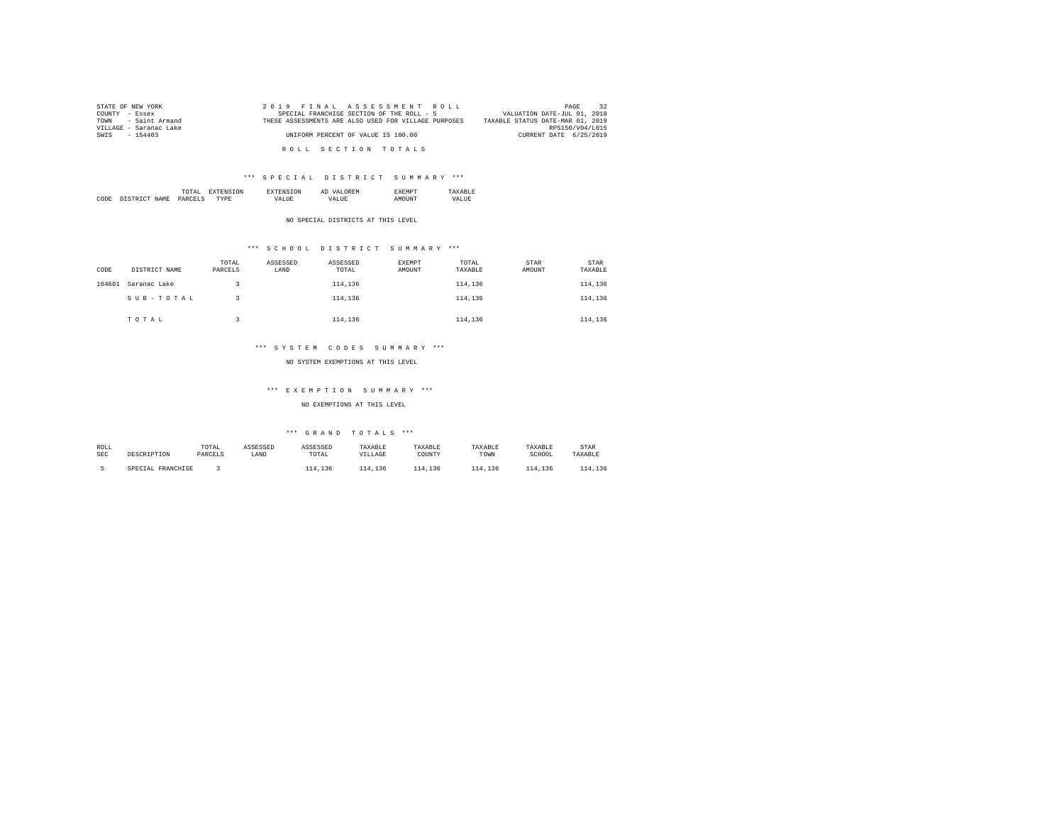| STATE OF NEW YORK      | 2019 FINAL ASSESSMENT ROLL                           | 32<br>PAGE                       |
|------------------------|------------------------------------------------------|----------------------------------|
| COUNTY - Essex         | SPECIAL FRANCHISE SECTION OF THE ROLL - 5            | VALUATION DATE-JUL 01, 2018      |
| TOWN - Saint Armand    | THESE ASSESSMENTS ARE ALSO USED FOR VILLAGE PURPOSES | TAXABLE STATUS DATE-MAR 01, 2019 |
| VILLAGE - Saranac Lake |                                                      | RPS150/V04/L015                  |
| SWIS - 154403          | UNIFORM PERCENT OF VALUE IS 100.00                   | CURRENT DATE 6/25/2019           |
|                        |                                                      |                                  |
|                        | ROLL SECTION TOTALS                                  |                                  |

|      |      | the contract of the contract of the contract of | ΩN |        | Al |  |
|------|------|-------------------------------------------------|----|--------|----|--|
| CODE | NAME | DΔ<br>______                                    |    | $\sim$ |    |  |

NO SPECIAL DISTRICTS AT THIS LEVEL

# \*\*\* S C H O O L D I S T R I C T S U M M A R Y \*\*\*

| CODE   | DISTRICT NAME | TOTAL<br>PARCELS | ASSESSED<br>LAND | ASSESSED<br>TOTAL | EXEMPT<br>AMOUNT | TOTAL<br>TAXABLE | <b>STAR</b><br>AMOUNT | STAR<br>TAXABLE |
|--------|---------------|------------------|------------------|-------------------|------------------|------------------|-----------------------|-----------------|
| 164601 | Saranac Lake  |                  |                  | 114,136           |                  | 114,136          |                       | 114,136         |
|        | SUB-TOTAL     |                  |                  | 114,136           |                  | 114,136          |                       | 114,136         |
|        | TOTAL         |                  |                  | 114,136           |                  | 114,136          |                       | 114,136         |

## \*\*\* S Y S T E M C O D E S S U M M A R Y \*\*\*

NO SYSTEM EXEMPTIONS AT THIS LEVEL

#### \*\*\* E X E M P T I O N S U M M A R Y \*\*\*

NO EXEMPTIONS AT THIS LEVEL

| ROLL       | DESCRIPTION       | TOTAL   | ASSESSED | ASSESSED | TAXABLE | TAXABLE | TAXABLE | TAXABLE | <b>STAR</b> |
|------------|-------------------|---------|----------|----------|---------|---------|---------|---------|-------------|
| <b>SEC</b> |                   | PARCELS | LAND     | TOTAL    | VILLAGE | COUNTY  | TOWN    | SCHOOL  | TAXABLE     |
|            | SPECIAL FRANCHISE |         |          | 114,136  | 114,136 | 114,136 | 114,136 | 114,136 | 114,136     |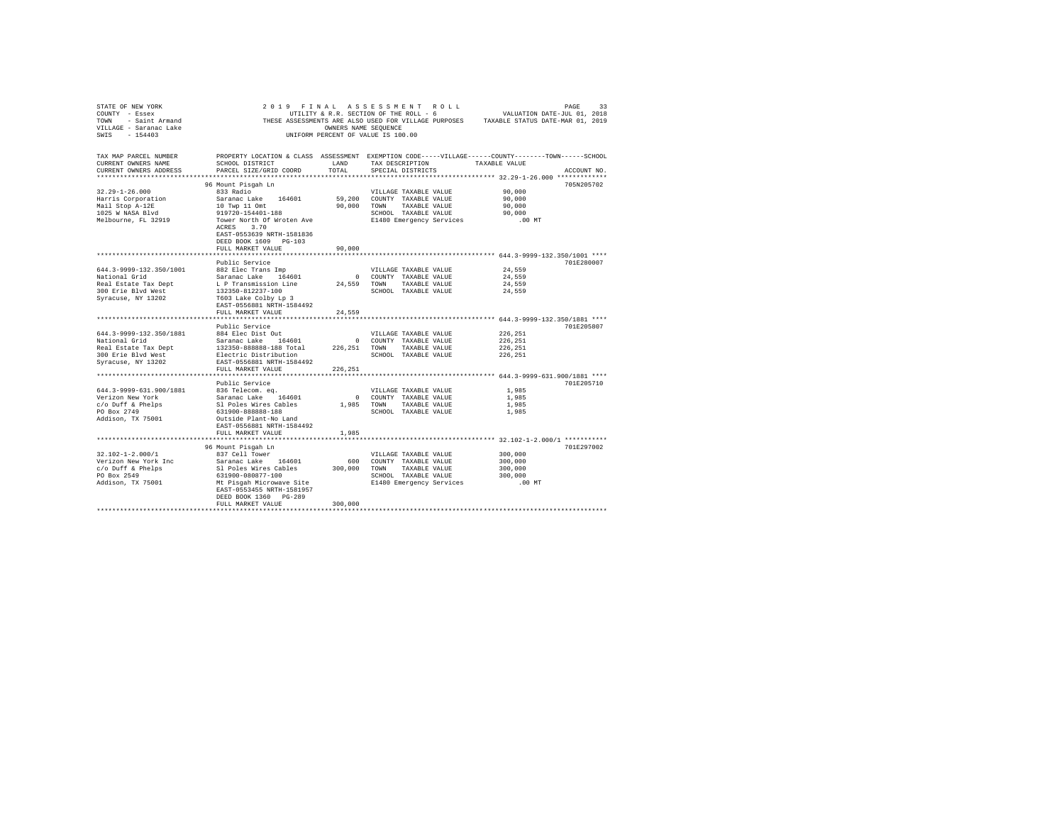| STATE OF NEW YORK<br>COUNTY - Essex<br>- Saint Armand<br>TOWN<br>VILLAGE - Saranac Lake<br>$-154403$<br>SWTS | 2019<br>FINAL                                                                                                         | OWNERS NAME SEOUENCE | ASSESSMENT ROLL<br>UTILITY & R.R. SECTION OF THE ROLL - 6<br>THESE ASSESSMENTS ARE ALSO USED FOR VILLAGE PURPOSES TAXABLE STATUS DATE-MAR 01, 2019<br>UNIFORM PERCENT OF VALUE IS 100.00 | VALUATION DATE-JUL 01, 2018                            | PAGE<br>33  |
|--------------------------------------------------------------------------------------------------------------|-----------------------------------------------------------------------------------------------------------------------|----------------------|------------------------------------------------------------------------------------------------------------------------------------------------------------------------------------------|--------------------------------------------------------|-------------|
| TAX MAP PARCEL NUMBER<br>CURRENT OWNERS NAME                                                                 | PROPERTY LOCATION & CLASS ASSESSMENT EXEMPTION CODE-----VILLAGE------COUNTY-------TOWN------SCHOOL<br>SCHOOL DISTRICT | LAND                 | TAX DESCRIPTION                                                                                                                                                                          | TAXABLE VALUE                                          |             |
| CURRENT OWNERS ADDRESS                                                                                       | PARCEL SIZE/GRID COORD                                                                                                | TOTAL                | SPECIAL DISTRICTS                                                                                                                                                                        |                                                        | ACCOUNT NO. |
| **********************                                                                                       |                                                                                                                       |                      |                                                                                                                                                                                          |                                                        |             |
|                                                                                                              | 96 Mount Pisgah Ln                                                                                                    |                      |                                                                                                                                                                                          |                                                        | 705N205702  |
| $32.29 - 1 - 26.000$<br>Harris Corporation                                                                   | 833 Radio<br>Saranac Lake<br>164601                                                                                   | 59,200               | VILLAGE TAXABLE VALUE<br>COUNTY TAXABLE VALUE                                                                                                                                            | 90.000<br>90,000                                       |             |
| Mail Stop A-12E                                                                                              | 10 Twp 11 Omt                                                                                                         | 90,000               | TOWN<br>TAXABLE VALUE                                                                                                                                                                    | 90,000                                                 |             |
| 1025 W NASA Blvd                                                                                             | 919720-154401-188                                                                                                     |                      | SCHOOL TAXABLE VALUE                                                                                                                                                                     | 90,000                                                 |             |
| Melbourne, FL 32919                                                                                          | Tower North Of Wroten Ave<br>3.70<br>ACRES<br>EAST-0553639 NRTH-1581836<br>DEED BOOK 1609 PG-103                      |                      | E1480 Emergency Services                                                                                                                                                                 | $.00$ MT                                               |             |
|                                                                                                              | FULL MARKET VALUE                                                                                                     | 90,000               |                                                                                                                                                                                          |                                                        |             |
|                                                                                                              | Public Service                                                                                                        |                      |                                                                                                                                                                                          |                                                        | 701E280007  |
| 644.3-9999-132.350/1001                                                                                      | 882 Elec Trans Imp                                                                                                    |                      | VILLAGE TAXABLE VALUE                                                                                                                                                                    | 24.559                                                 |             |
| National Grid                                                                                                | Saranac Lake 164601                                                                                                   | $\circ$              | COUNTY TAXABLE VALUE                                                                                                                                                                     | 24,559                                                 |             |
| Real Estate Tax Dept                                                                                         | L P Transmission Line                                                                                                 | 24,559               | TOWN<br>TAXABLE VALUE                                                                                                                                                                    | 24.559                                                 |             |
| 300 Erie Blyd West                                                                                           | 132350-812237-100                                                                                                     |                      | SCHOOL TAXABLE VALUE                                                                                                                                                                     | 24,559                                                 |             |
| Syracuse, NY 13202                                                                                           | T603 Lake Colby Lp 3<br>EAST-0556881 NRTH-1584492<br>FULL MARKET VALUE                                                | 24,559               |                                                                                                                                                                                          |                                                        |             |
|                                                                                                              |                                                                                                                       |                      |                                                                                                                                                                                          | ************************ 644.3-9999-132.350/1881 ****  |             |
|                                                                                                              | Public Service                                                                                                        |                      |                                                                                                                                                                                          |                                                        | 701E205807  |
| 644.3-9999-132.350/1881                                                                                      | 884 Elec Dist Out                                                                                                     |                      | VILLAGE TAXABLE VALUE                                                                                                                                                                    | 226,251                                                |             |
| National Grid                                                                                                | Saranac Lake 164601                                                                                                   | $^{\circ}$           | COUNTY TAXABLE VALUE                                                                                                                                                                     | 226,251                                                |             |
| Real Estate Tax Dept<br>300 Erie Blvd West                                                                   | 132350-888888-188 Total<br>Electric Distribution                                                                      | 226,251              | TOWN<br>TAXABLE VALUE<br>SCHOOL TAXABLE VALUE                                                                                                                                            | 226,251<br>226,251                                     |             |
| Syracuse, NY 13202                                                                                           | EAST-0556881 NRTH-1584492<br>FULL MARKET VALUE                                                                        | 226.251              |                                                                                                                                                                                          |                                                        |             |
|                                                                                                              |                                                                                                                       |                      |                                                                                                                                                                                          | ************************ 644.3-9999-631.900/1881 ****  |             |
|                                                                                                              | Public Service                                                                                                        |                      |                                                                                                                                                                                          |                                                        | 701E205710  |
| 644.3-9999-631.900/1881                                                                                      | 836 Telecom. eq.                                                                                                      |                      | VILLAGE TAXABLE VALUE                                                                                                                                                                    | 1,985                                                  |             |
| Verizon New York                                                                                             | Saranac Lake 164601                                                                                                   | $\Omega$             | COUNTY TAXABLE VALUE                                                                                                                                                                     | 1,985                                                  |             |
| c/o Duff & Phelps<br>PO Box 2749                                                                             | Sl Poles Wires Cables<br>631900-888888-188                                                                            | 1,985                | TOWN<br>TAXABLE VALUE<br>SCHOOL TAXABLE VALUE                                                                                                                                            | 1,985<br>1,985                                         |             |
| Addison, TX 75001                                                                                            | Outside Plant-No Land<br>EAST-0556881 NRTH-1584492                                                                    |                      |                                                                                                                                                                                          |                                                        |             |
|                                                                                                              | FULL MARKET VALUE                                                                                                     | 1,985                |                                                                                                                                                                                          |                                                        |             |
|                                                                                                              |                                                                                                                       |                      |                                                                                                                                                                                          | ************************* 32.102-1-2.000/1 *********** |             |
|                                                                                                              | 96 Mount Pisgah Ln                                                                                                    |                      |                                                                                                                                                                                          |                                                        | 701E297002  |
| $32.102 - 1 - 2.000/1$                                                                                       | 837 Cell Tower                                                                                                        |                      | VILLAGE TAXABLE VALUE                                                                                                                                                                    | 300,000                                                |             |
| Verizon New York Inc<br>$c$ /o Duff & Phelps                                                                 | Saranac Lake 164601<br>Sl Poles Wires Cables                                                                          | 600<br>300,000       | COUNTY TAXABLE VALUE<br>TOWN<br>TAXABLE VALUE                                                                                                                                            | 300,000<br>300,000                                     |             |
| PO Box 2549                                                                                                  | 631900-080877-100                                                                                                     |                      | SCHOOL TAXABLE VALUE                                                                                                                                                                     | 300,000                                                |             |
| Addison, TX 75001                                                                                            | Mt Pisqah Microwave Site                                                                                              |                      | E1480 Emergency Services                                                                                                                                                                 | $.00$ MT                                               |             |
|                                                                                                              | EAST-0553455 NRTH-1581957<br>DEED BOOK 1360 PG-289                                                                    |                      |                                                                                                                                                                                          |                                                        |             |
|                                                                                                              | FULL MARKET VALUE                                                                                                     | 300,000              |                                                                                                                                                                                          |                                                        |             |
|                                                                                                              |                                                                                                                       |                      |                                                                                                                                                                                          |                                                        |             |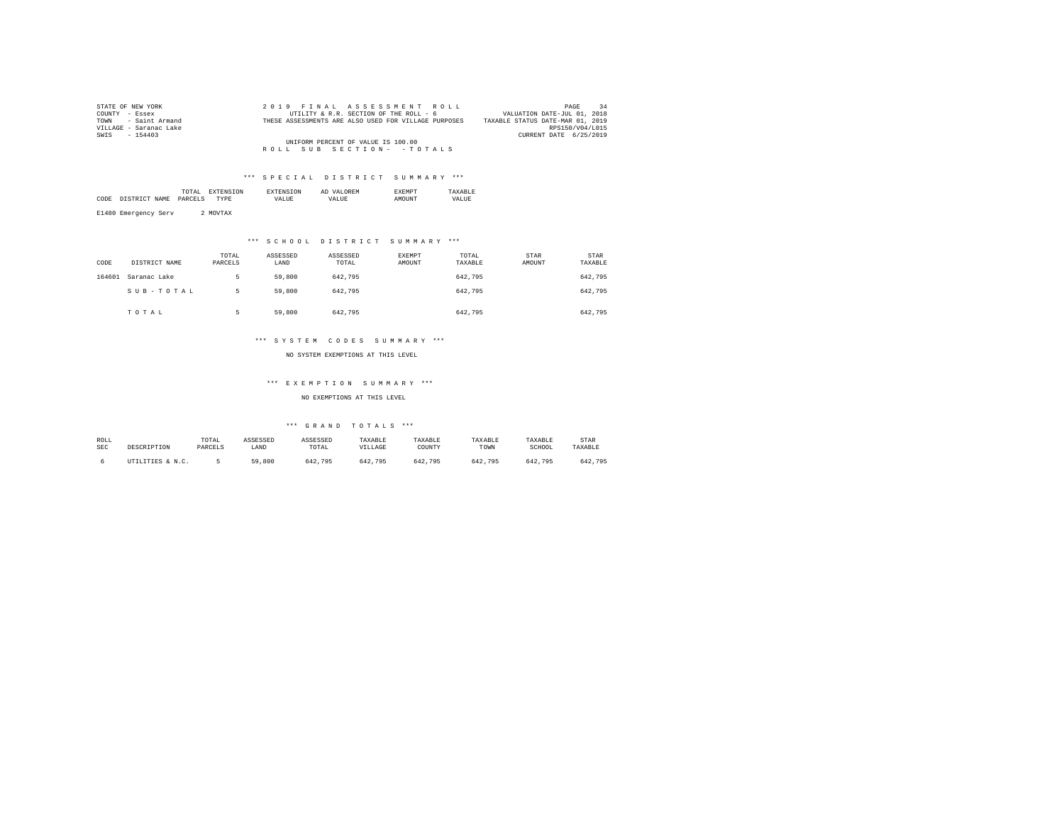| STATE OF NEW YORK      | 2019 FINAL ASSESSMENT ROLL                           | 34<br>PAGE                       |
|------------------------|------------------------------------------------------|----------------------------------|
| COUNTY - Essex         | UTILITY & R.R. SECTION OF THE ROLL - 6               | VALUATION DATE-JUL 01, 2018      |
| TOWN - Saint Armand    | THESE ASSESSMENTS ARE ALSO USED FOR VILLAGE PURPOSES | TAXABLE STATUS DATE-MAR 01, 2019 |
| VILLAGE - Saranac Lake |                                                      | RPS150/V04/L015                  |
| SWIS - 154403          |                                                      | CURRENT DATE 6/25/2019           |
|                        | UNIFORM PERCENT OF VALUE IS 100.00                   |                                  |
|                        | ROLL SUB SECTION- - TOTALS                           |                                  |

|      |      | .<br>the contract of the contract of the contract of | נורו ' |          | AL  |              |             |
|------|------|------------------------------------------------------|--------|----------|-----|--------------|-------------|
| CODE | NAME | DADCET                                               | DF     | $\cdots$ | 77. | <b>OTTMP</b> | .<br>. TIDE |
|      |      |                                                      |        |          |     |              |             |

E1480 Emergency Serv 2 MOVTAX

# \*\*\* S C H O O L D I S T R I C T S U M M A R Y \*\*\*

| CODE   | DISTRICT NAME | TOTAL<br>PARCELS | ASSESSED<br>LAND | ASSESSED<br>TOTAL | EXEMPT<br>AMOUNT | TOTAL<br>TAXABLE | <b>STAR</b><br>AMOUNT | <b>STAR</b><br>TAXABLE |
|--------|---------------|------------------|------------------|-------------------|------------------|------------------|-----------------------|------------------------|
| 164601 | Saranac Lake  | ь                | 59,800           | 642.795           |                  | 642.795          |                       | 642,795                |
|        | SUB-TOTAL     | ь                | 59,800           | 642.795           |                  | 642.795          |                       | 642,795                |
|        | TOTAL         | к                | 59,800           | 642.795           |                  | 642.795          |                       | 642.795                |

## \*\*\* S Y S T E M C O D E S S U M M A R Y \*\*\*

NO SYSTEM EXEMPTIONS AT THIS LEVEL

## \*\*\* E X E M P T I O N S U M M A R Y \*\*\*

NO EXEMPTIONS AT THIS LEVEL

| ROLL |                  | TOTAL   | ASSESSED | ASSESSED | TAXABLE | TAXABLE | TAXABLE | TAXABLE | <b>STAR</b> |
|------|------------------|---------|----------|----------|---------|---------|---------|---------|-------------|
| SEC  | DESCRIPTION      | PARCELS | LAND     | TOTAL    | VILLAGE | COUNT)  | TOWN    | SCHOOL  | TAXABLE     |
|      | UTILITIES & N.C. |         | 59,800   | 642.795  | 642.795 | 642.795 | 642.795 | 642.795 | 642.795     |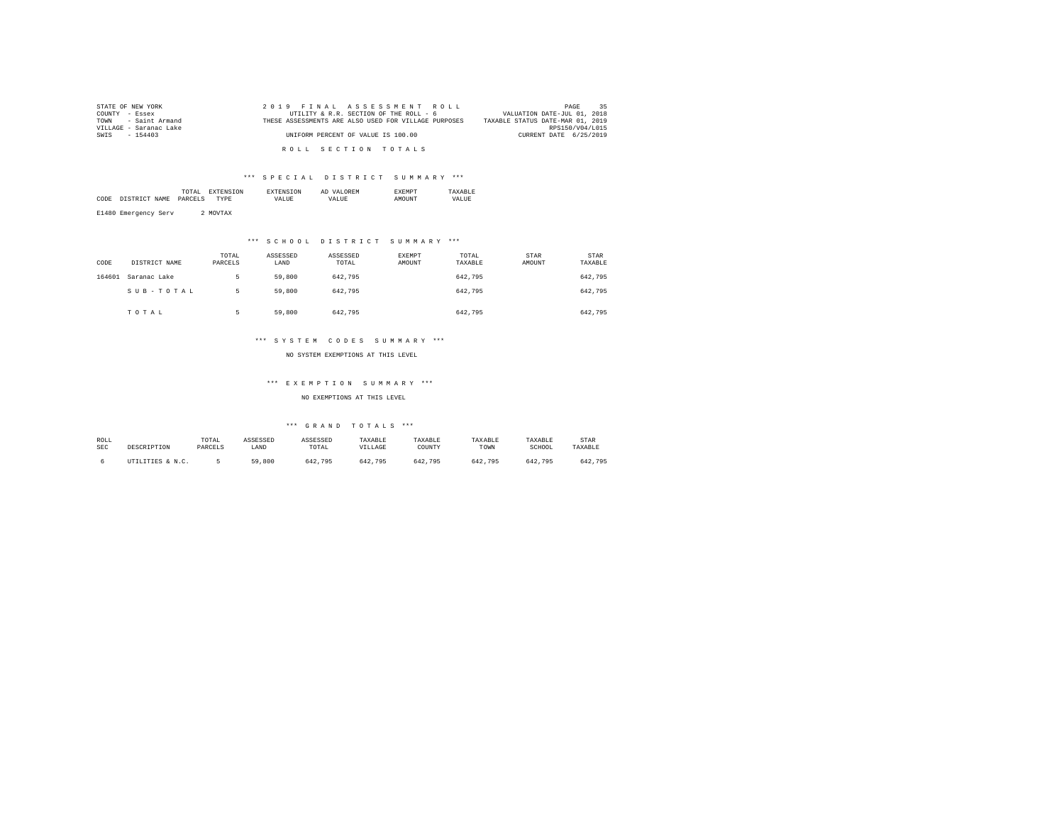| STATE OF NEW YORK      |  | 2019 FINAL ASSESSMENT ROLL                           | 35<br>PAGE                       |
|------------------------|--|------------------------------------------------------|----------------------------------|
| COUNTY - Essex         |  | UTILITY & R.R. SECTION OF THE ROLL - 6               | VALUATION DATE-JUL 01, 2018      |
| TOWN - Saint Armand    |  | THESE ASSESSMENTS ARE ALSO USED FOR VILLAGE PURPOSES | TAXABLE STATUS DATE-MAR 01, 2019 |
| VILLAGE - Saranac Lake |  |                                                      | RPS150/V04/L015                  |
| SWIS - 154403          |  | UNIFORM PERCENT OF VALUE IS 100.00                   | CURRENT DATE 6/25/2019           |
|                        |  |                                                      |                                  |
|                        |  | ROLL SECTION TOTALS                                  |                                  |

|           |                | the contract of the contract of the contract of |      | AD |  |
|-----------|----------------|-------------------------------------------------|------|----|--|
| CODE<br>. | NAME<br>$\sim$ | DADC                                            | ۰٬۵۰ |    |  |
|           |                |                                                 |      |    |  |

E1480 Emergency Serv 2 MOVTAX

## \*\*\* S C H O O L D I S T R I C T S U M M A R Y \*\*\*

| CODE   | DISTRICT NAME | TOTAL<br>PARCELS | ASSESSED<br>LAND | ASSESSED<br>TOTAL | EXEMPT<br><b>AMOUNT</b> | TOTAL<br>TAXABLE | STAR<br>AMOUNT | <b>STAR</b><br>TAXABLE |
|--------|---------------|------------------|------------------|-------------------|-------------------------|------------------|----------------|------------------------|
| 164601 | Saranac Lake  |                  | 59,800           | 642.795           |                         | 642.795          |                | 642.795                |
|        | SUB-TOTAL     | 5                | 59,800           | 642.795           |                         | 642.795          |                | 642,795                |
|        | TOTAL         |                  | 59,800           | 642.795           |                         | 642.795          |                | 642,795                |

## \*\*\* S Y S T E M C O D E S S U M M A R Y \*\*\*

NO SYSTEM EXEMPTIONS AT THIS LEVEL

## \*\*\* E X E M P T I O N S U M M A R Y \*\*\*

NO EXEMPTIONS AT THIS LEVEL

| ROLL |                  | TOTAL   | ASSESSED | ASSESSED | TAXABLE | TAXABLE | TAXABLE | TAXABLE | <b>STAR</b> |
|------|------------------|---------|----------|----------|---------|---------|---------|---------|-------------|
| SEC  | DESCRIPTION      | PARCELS | LAND     | TOTAL    | VILLAGE | COUNT)  | TOWN    | SCHOOL  | TAXABLE     |
|      | UTILITIES & N.C. |         | 59,800   | 642.795  | 642.795 | 642.795 | 642.795 | 642.795 | 642.795     |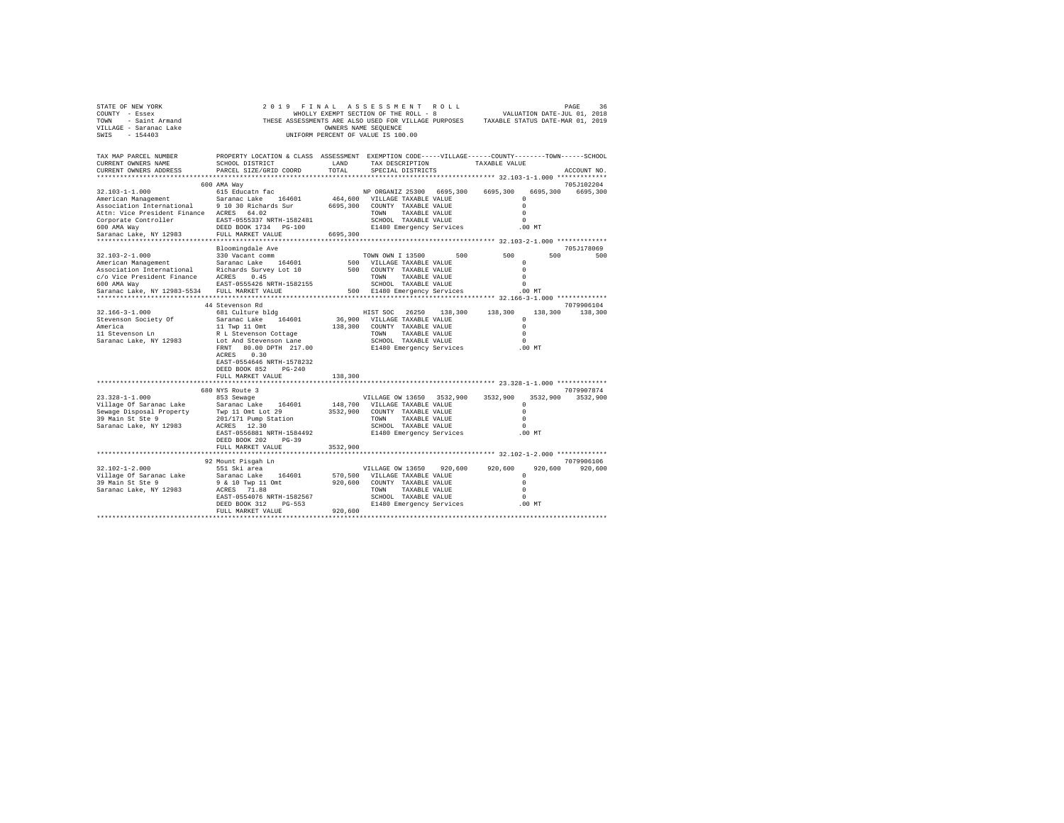| PROPERTY LOCATION & CLASS ASSESSMENT EXEMPTION CODE-----VILLAGE------COUNTY-------TOWN------SCHOOL<br>TAX MAP PARCEL NUMBER<br>SCHOOL DISTRICT<br>TAX DESCRIPTION TAXABLE VALUE<br>CURRENT OWNERS NAME<br>LAND<br>CURRENT OWNERS ADDRESS<br>PARCEL SIZE/GRID COORD<br>TOTAL<br>SPECIAL DISTRICTS<br>ACCOUNT NO.<br>600 AMA Way<br>705J102204<br>615 Educatn fac<br>NP ORGANIZ 25300 6695,300 6695,300<br>32.103-1-1.000<br>6695,300<br>6695,300<br>Saranac Lake 164601<br>464,600 VILLAGE TAXABLE VALUE<br>$\circ$<br>American Management<br>Association International 9 10 30 Richards Sur<br>6695,300 COUNTY TAXABLE VALUE<br>$\circ$<br>Attn: Vice President Finance ACRES 64.02<br>TOWN TAXABLE VALUE<br>$\Omega$<br>Corporate Controller<br>EAST-0555337 NRTH-1582481<br>600 AMA Way<br>DEED BOOK 1734 PG-100<br>SCHOOL TAXABLE VALUE<br>$\Omega$<br>600 AMA Way<br>DEED BOOK 1734 PG-100<br>E1480 Emergency Services<br>.00 MT<br>Saranac Lake, NY 12983<br>FULL MARKET VALUE<br>6695,300<br>705J178069<br>Bloomingdale Ave<br>$32.103 - 2 - 1.000$<br>500<br>500 000<br>330 Vacant comm<br>TOWN OWN I 13500 500<br>500<br>American Management Saranac Lake 164601<br>Association International Richards Survey Lot 10<br>500 VILLAGE TAXABLE VALUE<br>$\Omega$<br>500 COUNTY TAXABLE VALUE<br>$\Omega$<br>c/o Vice President Finance ACRES 0.45<br>TOWN TAXABLE VALUE<br>$\Omega$<br>600 AMA Way<br>EAST-0555426 NRTH-1582155<br>SCHOOL TAXABLE VALUE<br>$\Omega$<br>Saranac Lake, NY 12983-5534 FULL MARKET VALUE<br>500 E1480 Emergency Services<br>$.00$ MT<br>44 Stevenson Rd<br>7079906104<br>HIST SOC 26250 138,300 138,300<br>$32.166 - 3 - 1.000$<br>681 Culture bldg<br>138,300 138,300<br>36,900 VILLAGE TAXABLE VALUE<br>Stevenson Society Of<br>Saranac Lake 164601<br>$\Omega$<br>11 Twp 11 Omt<br>138,300 COUNTY TAXABLE VALUE<br>America<br>11 Stevenson Ln<br>$\Omega$<br>TOWN TAXABLE VALUE<br>$\Omega$<br>R L Stevenson Cottage<br>SCHOOL TAXABLE VALUE<br>Saranac Lake, NY 12983<br>Lot And Stevenson Lane<br>$\Omega$<br>FRNT 80.00 DPTH 217.00<br>E1480 Emergency Services .00 MT<br>ACRES 0.30<br>EAST-0554646 NRTH-1578232<br>DEED BOOK 852 PG-240<br>FULL MARKET VALUE<br>138,300<br>680 NYS Route 3<br>7079907874<br>$23.328 - 1 - 1.000$<br>3532,900 3532,900<br>853 Sewage<br>VILLAGE OW 13650 3532.900<br>3532,900<br>148,700 VILLAGE TAXABLE VALUE<br>Village Of Saranac Lake Saranac Lake 164601<br>Sewage Disposal Property Twp 11 Omt Lot 29<br>$\Omega$<br>3532,900 COUNTY TAXABLE VALUE<br>$\Omega$<br>39 Main St Ste 9<br>201/171 Pump Station<br>TOWN TAXABLE VALUE<br>$\Omega$<br>ACRES 12.30<br>Saranac Lake, NY 12983<br>SCHOOL TAXABLE VALUE<br>$\Omega$<br>E1480 Emergency Services<br>EAST-0556881 NRTH-1584492<br>.00 MT<br>DEED BOOK 202 PG-39<br>FULL MARKET VALUE<br>3532,900<br>7079906106<br>92 Mount Pisgah Ln<br>551 Ski area<br>$32.102 - 1 - 2.000$<br>920,600<br>920.600 920.600<br>920,600<br>VILLAGE OW 13650<br>570.500 VILLAGE TAXABLE VALUE<br>Village Of Saranac Lake<br>Saranac Lake 164601<br>$\circ$<br>39 Main St Ste 9<br>9 & 10 Twp 11 Omt<br>$\Omega$<br>920,600 COUNTY TAXABLE VALUE<br>ACRES 71.88<br>Saranac Lake, NY 12983<br>$\circ$<br>TOWN<br>TAXABLE VALUE<br>EAST-0554076 NRTH-1582567<br>SCHOOL TAXABLE VALUE<br>$\Omega$<br>E1480 Emergency Services<br>DEED BOOK 312 PG-553<br>.00 MT<br>920,600<br>FULL MARKET VALUE | STATE OF NEW YORK<br>2019 FINAL ASSESSMENT ROLL<br>PAGE<br>36<br>WHOLLY EXEMPT SECTION OF THE ROLL - 8<br>THESE ASSESSMENTS ARE ALSO USED FOR VILLAGE PURPOSES TAXABLE STATUS DATE-MAR 01, 2019<br>COUNTY - Essex<br>TOWN - Saint Armand<br>VILLAGE - Saranac Lake<br>OWNERS NAME SEQUENCE<br>SWIS - 154403<br>UNIFORM PERCENT OF VALUE IS 100.00 |  |  |  |  |  |  |  |  |  |
|------------------------------------------------------------------------------------------------------------------------------------------------------------------------------------------------------------------------------------------------------------------------------------------------------------------------------------------------------------------------------------------------------------------------------------------------------------------------------------------------------------------------------------------------------------------------------------------------------------------------------------------------------------------------------------------------------------------------------------------------------------------------------------------------------------------------------------------------------------------------------------------------------------------------------------------------------------------------------------------------------------------------------------------------------------------------------------------------------------------------------------------------------------------------------------------------------------------------------------------------------------------------------------------------------------------------------------------------------------------------------------------------------------------------------------------------------------------------------------------------------------------------------------------------------------------------------------------------------------------------------------------------------------------------------------------------------------------------------------------------------------------------------------------------------------------------------------------------------------------------------------------------------------------------------------------------------------------------------------------------------------------------------------------------------------------------------------------------------------------------------------------------------------------------------------------------------------------------------------------------------------------------------------------------------------------------------------------------------------------------------------------------------------------------------------------------------------------------------------------------------------------------------------------------------------------------------------------------------------------------------------------------------------------------------------------------------------------------------------------------------------------------------------------------------------------------------------------------------------------------------------------------------------------------------------------------------------------------------------------------------------------------------------------------------------------------------------------------------------------------------------------------------------------------------------------------------------------------------------------------------------------------------------------------------------------------------------------------------------------------------------------------------------|---------------------------------------------------------------------------------------------------------------------------------------------------------------------------------------------------------------------------------------------------------------------------------------------------------------------------------------------------|--|--|--|--|--|--|--|--|--|
|                                                                                                                                                                                                                                                                                                                                                                                                                                                                                                                                                                                                                                                                                                                                                                                                                                                                                                                                                                                                                                                                                                                                                                                                                                                                                                                                                                                                                                                                                                                                                                                                                                                                                                                                                                                                                                                                                                                                                                                                                                                                                                                                                                                                                                                                                                                                                                                                                                                                                                                                                                                                                                                                                                                                                                                                                                                                                                                                                                                                                                                                                                                                                                                                                                                                                                                                                                                                            |                                                                                                                                                                                                                                                                                                                                                   |  |  |  |  |  |  |  |  |  |
|                                                                                                                                                                                                                                                                                                                                                                                                                                                                                                                                                                                                                                                                                                                                                                                                                                                                                                                                                                                                                                                                                                                                                                                                                                                                                                                                                                                                                                                                                                                                                                                                                                                                                                                                                                                                                                                                                                                                                                                                                                                                                                                                                                                                                                                                                                                                                                                                                                                                                                                                                                                                                                                                                                                                                                                                                                                                                                                                                                                                                                                                                                                                                                                                                                                                                                                                                                                                            |                                                                                                                                                                                                                                                                                                                                                   |  |  |  |  |  |  |  |  |  |
|                                                                                                                                                                                                                                                                                                                                                                                                                                                                                                                                                                                                                                                                                                                                                                                                                                                                                                                                                                                                                                                                                                                                                                                                                                                                                                                                                                                                                                                                                                                                                                                                                                                                                                                                                                                                                                                                                                                                                                                                                                                                                                                                                                                                                                                                                                                                                                                                                                                                                                                                                                                                                                                                                                                                                                                                                                                                                                                                                                                                                                                                                                                                                                                                                                                                                                                                                                                                            |                                                                                                                                                                                                                                                                                                                                                   |  |  |  |  |  |  |  |  |  |
|                                                                                                                                                                                                                                                                                                                                                                                                                                                                                                                                                                                                                                                                                                                                                                                                                                                                                                                                                                                                                                                                                                                                                                                                                                                                                                                                                                                                                                                                                                                                                                                                                                                                                                                                                                                                                                                                                                                                                                                                                                                                                                                                                                                                                                                                                                                                                                                                                                                                                                                                                                                                                                                                                                                                                                                                                                                                                                                                                                                                                                                                                                                                                                                                                                                                                                                                                                                                            |                                                                                                                                                                                                                                                                                                                                                   |  |  |  |  |  |  |  |  |  |
|                                                                                                                                                                                                                                                                                                                                                                                                                                                                                                                                                                                                                                                                                                                                                                                                                                                                                                                                                                                                                                                                                                                                                                                                                                                                                                                                                                                                                                                                                                                                                                                                                                                                                                                                                                                                                                                                                                                                                                                                                                                                                                                                                                                                                                                                                                                                                                                                                                                                                                                                                                                                                                                                                                                                                                                                                                                                                                                                                                                                                                                                                                                                                                                                                                                                                                                                                                                                            |                                                                                                                                                                                                                                                                                                                                                   |  |  |  |  |  |  |  |  |  |
|                                                                                                                                                                                                                                                                                                                                                                                                                                                                                                                                                                                                                                                                                                                                                                                                                                                                                                                                                                                                                                                                                                                                                                                                                                                                                                                                                                                                                                                                                                                                                                                                                                                                                                                                                                                                                                                                                                                                                                                                                                                                                                                                                                                                                                                                                                                                                                                                                                                                                                                                                                                                                                                                                                                                                                                                                                                                                                                                                                                                                                                                                                                                                                                                                                                                                                                                                                                                            |                                                                                                                                                                                                                                                                                                                                                   |  |  |  |  |  |  |  |  |  |
|                                                                                                                                                                                                                                                                                                                                                                                                                                                                                                                                                                                                                                                                                                                                                                                                                                                                                                                                                                                                                                                                                                                                                                                                                                                                                                                                                                                                                                                                                                                                                                                                                                                                                                                                                                                                                                                                                                                                                                                                                                                                                                                                                                                                                                                                                                                                                                                                                                                                                                                                                                                                                                                                                                                                                                                                                                                                                                                                                                                                                                                                                                                                                                                                                                                                                                                                                                                                            |                                                                                                                                                                                                                                                                                                                                                   |  |  |  |  |  |  |  |  |  |
|                                                                                                                                                                                                                                                                                                                                                                                                                                                                                                                                                                                                                                                                                                                                                                                                                                                                                                                                                                                                                                                                                                                                                                                                                                                                                                                                                                                                                                                                                                                                                                                                                                                                                                                                                                                                                                                                                                                                                                                                                                                                                                                                                                                                                                                                                                                                                                                                                                                                                                                                                                                                                                                                                                                                                                                                                                                                                                                                                                                                                                                                                                                                                                                                                                                                                                                                                                                                            |                                                                                                                                                                                                                                                                                                                                                   |  |  |  |  |  |  |  |  |  |
|                                                                                                                                                                                                                                                                                                                                                                                                                                                                                                                                                                                                                                                                                                                                                                                                                                                                                                                                                                                                                                                                                                                                                                                                                                                                                                                                                                                                                                                                                                                                                                                                                                                                                                                                                                                                                                                                                                                                                                                                                                                                                                                                                                                                                                                                                                                                                                                                                                                                                                                                                                                                                                                                                                                                                                                                                                                                                                                                                                                                                                                                                                                                                                                                                                                                                                                                                                                                            |                                                                                                                                                                                                                                                                                                                                                   |  |  |  |  |  |  |  |  |  |
|                                                                                                                                                                                                                                                                                                                                                                                                                                                                                                                                                                                                                                                                                                                                                                                                                                                                                                                                                                                                                                                                                                                                                                                                                                                                                                                                                                                                                                                                                                                                                                                                                                                                                                                                                                                                                                                                                                                                                                                                                                                                                                                                                                                                                                                                                                                                                                                                                                                                                                                                                                                                                                                                                                                                                                                                                                                                                                                                                                                                                                                                                                                                                                                                                                                                                                                                                                                                            |                                                                                                                                                                                                                                                                                                                                                   |  |  |  |  |  |  |  |  |  |
|                                                                                                                                                                                                                                                                                                                                                                                                                                                                                                                                                                                                                                                                                                                                                                                                                                                                                                                                                                                                                                                                                                                                                                                                                                                                                                                                                                                                                                                                                                                                                                                                                                                                                                                                                                                                                                                                                                                                                                                                                                                                                                                                                                                                                                                                                                                                                                                                                                                                                                                                                                                                                                                                                                                                                                                                                                                                                                                                                                                                                                                                                                                                                                                                                                                                                                                                                                                                            |                                                                                                                                                                                                                                                                                                                                                   |  |  |  |  |  |  |  |  |  |
|                                                                                                                                                                                                                                                                                                                                                                                                                                                                                                                                                                                                                                                                                                                                                                                                                                                                                                                                                                                                                                                                                                                                                                                                                                                                                                                                                                                                                                                                                                                                                                                                                                                                                                                                                                                                                                                                                                                                                                                                                                                                                                                                                                                                                                                                                                                                                                                                                                                                                                                                                                                                                                                                                                                                                                                                                                                                                                                                                                                                                                                                                                                                                                                                                                                                                                                                                                                                            |                                                                                                                                                                                                                                                                                                                                                   |  |  |  |  |  |  |  |  |  |
|                                                                                                                                                                                                                                                                                                                                                                                                                                                                                                                                                                                                                                                                                                                                                                                                                                                                                                                                                                                                                                                                                                                                                                                                                                                                                                                                                                                                                                                                                                                                                                                                                                                                                                                                                                                                                                                                                                                                                                                                                                                                                                                                                                                                                                                                                                                                                                                                                                                                                                                                                                                                                                                                                                                                                                                                                                                                                                                                                                                                                                                                                                                                                                                                                                                                                                                                                                                                            |                                                                                                                                                                                                                                                                                                                                                   |  |  |  |  |  |  |  |  |  |
|                                                                                                                                                                                                                                                                                                                                                                                                                                                                                                                                                                                                                                                                                                                                                                                                                                                                                                                                                                                                                                                                                                                                                                                                                                                                                                                                                                                                                                                                                                                                                                                                                                                                                                                                                                                                                                                                                                                                                                                                                                                                                                                                                                                                                                                                                                                                                                                                                                                                                                                                                                                                                                                                                                                                                                                                                                                                                                                                                                                                                                                                                                                                                                                                                                                                                                                                                                                                            |                                                                                                                                                                                                                                                                                                                                                   |  |  |  |  |  |  |  |  |  |
|                                                                                                                                                                                                                                                                                                                                                                                                                                                                                                                                                                                                                                                                                                                                                                                                                                                                                                                                                                                                                                                                                                                                                                                                                                                                                                                                                                                                                                                                                                                                                                                                                                                                                                                                                                                                                                                                                                                                                                                                                                                                                                                                                                                                                                                                                                                                                                                                                                                                                                                                                                                                                                                                                                                                                                                                                                                                                                                                                                                                                                                                                                                                                                                                                                                                                                                                                                                                            |                                                                                                                                                                                                                                                                                                                                                   |  |  |  |  |  |  |  |  |  |
|                                                                                                                                                                                                                                                                                                                                                                                                                                                                                                                                                                                                                                                                                                                                                                                                                                                                                                                                                                                                                                                                                                                                                                                                                                                                                                                                                                                                                                                                                                                                                                                                                                                                                                                                                                                                                                                                                                                                                                                                                                                                                                                                                                                                                                                                                                                                                                                                                                                                                                                                                                                                                                                                                                                                                                                                                                                                                                                                                                                                                                                                                                                                                                                                                                                                                                                                                                                                            |                                                                                                                                                                                                                                                                                                                                                   |  |  |  |  |  |  |  |  |  |
|                                                                                                                                                                                                                                                                                                                                                                                                                                                                                                                                                                                                                                                                                                                                                                                                                                                                                                                                                                                                                                                                                                                                                                                                                                                                                                                                                                                                                                                                                                                                                                                                                                                                                                                                                                                                                                                                                                                                                                                                                                                                                                                                                                                                                                                                                                                                                                                                                                                                                                                                                                                                                                                                                                                                                                                                                                                                                                                                                                                                                                                                                                                                                                                                                                                                                                                                                                                                            |                                                                                                                                                                                                                                                                                                                                                   |  |  |  |  |  |  |  |  |  |
|                                                                                                                                                                                                                                                                                                                                                                                                                                                                                                                                                                                                                                                                                                                                                                                                                                                                                                                                                                                                                                                                                                                                                                                                                                                                                                                                                                                                                                                                                                                                                                                                                                                                                                                                                                                                                                                                                                                                                                                                                                                                                                                                                                                                                                                                                                                                                                                                                                                                                                                                                                                                                                                                                                                                                                                                                                                                                                                                                                                                                                                                                                                                                                                                                                                                                                                                                                                                            |                                                                                                                                                                                                                                                                                                                                                   |  |  |  |  |  |  |  |  |  |
|                                                                                                                                                                                                                                                                                                                                                                                                                                                                                                                                                                                                                                                                                                                                                                                                                                                                                                                                                                                                                                                                                                                                                                                                                                                                                                                                                                                                                                                                                                                                                                                                                                                                                                                                                                                                                                                                                                                                                                                                                                                                                                                                                                                                                                                                                                                                                                                                                                                                                                                                                                                                                                                                                                                                                                                                                                                                                                                                                                                                                                                                                                                                                                                                                                                                                                                                                                                                            |                                                                                                                                                                                                                                                                                                                                                   |  |  |  |  |  |  |  |  |  |
|                                                                                                                                                                                                                                                                                                                                                                                                                                                                                                                                                                                                                                                                                                                                                                                                                                                                                                                                                                                                                                                                                                                                                                                                                                                                                                                                                                                                                                                                                                                                                                                                                                                                                                                                                                                                                                                                                                                                                                                                                                                                                                                                                                                                                                                                                                                                                                                                                                                                                                                                                                                                                                                                                                                                                                                                                                                                                                                                                                                                                                                                                                                                                                                                                                                                                                                                                                                                            |                                                                                                                                                                                                                                                                                                                                                   |  |  |  |  |  |  |  |  |  |
|                                                                                                                                                                                                                                                                                                                                                                                                                                                                                                                                                                                                                                                                                                                                                                                                                                                                                                                                                                                                                                                                                                                                                                                                                                                                                                                                                                                                                                                                                                                                                                                                                                                                                                                                                                                                                                                                                                                                                                                                                                                                                                                                                                                                                                                                                                                                                                                                                                                                                                                                                                                                                                                                                                                                                                                                                                                                                                                                                                                                                                                                                                                                                                                                                                                                                                                                                                                                            |                                                                                                                                                                                                                                                                                                                                                   |  |  |  |  |  |  |  |  |  |
|                                                                                                                                                                                                                                                                                                                                                                                                                                                                                                                                                                                                                                                                                                                                                                                                                                                                                                                                                                                                                                                                                                                                                                                                                                                                                                                                                                                                                                                                                                                                                                                                                                                                                                                                                                                                                                                                                                                                                                                                                                                                                                                                                                                                                                                                                                                                                                                                                                                                                                                                                                                                                                                                                                                                                                                                                                                                                                                                                                                                                                                                                                                                                                                                                                                                                                                                                                                                            |                                                                                                                                                                                                                                                                                                                                                   |  |  |  |  |  |  |  |  |  |
|                                                                                                                                                                                                                                                                                                                                                                                                                                                                                                                                                                                                                                                                                                                                                                                                                                                                                                                                                                                                                                                                                                                                                                                                                                                                                                                                                                                                                                                                                                                                                                                                                                                                                                                                                                                                                                                                                                                                                                                                                                                                                                                                                                                                                                                                                                                                                                                                                                                                                                                                                                                                                                                                                                                                                                                                                                                                                                                                                                                                                                                                                                                                                                                                                                                                                                                                                                                                            |                                                                                                                                                                                                                                                                                                                                                   |  |  |  |  |  |  |  |  |  |
|                                                                                                                                                                                                                                                                                                                                                                                                                                                                                                                                                                                                                                                                                                                                                                                                                                                                                                                                                                                                                                                                                                                                                                                                                                                                                                                                                                                                                                                                                                                                                                                                                                                                                                                                                                                                                                                                                                                                                                                                                                                                                                                                                                                                                                                                                                                                                                                                                                                                                                                                                                                                                                                                                                                                                                                                                                                                                                                                                                                                                                                                                                                                                                                                                                                                                                                                                                                                            |                                                                                                                                                                                                                                                                                                                                                   |  |  |  |  |  |  |  |  |  |
|                                                                                                                                                                                                                                                                                                                                                                                                                                                                                                                                                                                                                                                                                                                                                                                                                                                                                                                                                                                                                                                                                                                                                                                                                                                                                                                                                                                                                                                                                                                                                                                                                                                                                                                                                                                                                                                                                                                                                                                                                                                                                                                                                                                                                                                                                                                                                                                                                                                                                                                                                                                                                                                                                                                                                                                                                                                                                                                                                                                                                                                                                                                                                                                                                                                                                                                                                                                                            |                                                                                                                                                                                                                                                                                                                                                   |  |  |  |  |  |  |  |  |  |
|                                                                                                                                                                                                                                                                                                                                                                                                                                                                                                                                                                                                                                                                                                                                                                                                                                                                                                                                                                                                                                                                                                                                                                                                                                                                                                                                                                                                                                                                                                                                                                                                                                                                                                                                                                                                                                                                                                                                                                                                                                                                                                                                                                                                                                                                                                                                                                                                                                                                                                                                                                                                                                                                                                                                                                                                                                                                                                                                                                                                                                                                                                                                                                                                                                                                                                                                                                                                            |                                                                                                                                                                                                                                                                                                                                                   |  |  |  |  |  |  |  |  |  |
|                                                                                                                                                                                                                                                                                                                                                                                                                                                                                                                                                                                                                                                                                                                                                                                                                                                                                                                                                                                                                                                                                                                                                                                                                                                                                                                                                                                                                                                                                                                                                                                                                                                                                                                                                                                                                                                                                                                                                                                                                                                                                                                                                                                                                                                                                                                                                                                                                                                                                                                                                                                                                                                                                                                                                                                                                                                                                                                                                                                                                                                                                                                                                                                                                                                                                                                                                                                                            |                                                                                                                                                                                                                                                                                                                                                   |  |  |  |  |  |  |  |  |  |
|                                                                                                                                                                                                                                                                                                                                                                                                                                                                                                                                                                                                                                                                                                                                                                                                                                                                                                                                                                                                                                                                                                                                                                                                                                                                                                                                                                                                                                                                                                                                                                                                                                                                                                                                                                                                                                                                                                                                                                                                                                                                                                                                                                                                                                                                                                                                                                                                                                                                                                                                                                                                                                                                                                                                                                                                                                                                                                                                                                                                                                                                                                                                                                                                                                                                                                                                                                                                            |                                                                                                                                                                                                                                                                                                                                                   |  |  |  |  |  |  |  |  |  |
|                                                                                                                                                                                                                                                                                                                                                                                                                                                                                                                                                                                                                                                                                                                                                                                                                                                                                                                                                                                                                                                                                                                                                                                                                                                                                                                                                                                                                                                                                                                                                                                                                                                                                                                                                                                                                                                                                                                                                                                                                                                                                                                                                                                                                                                                                                                                                                                                                                                                                                                                                                                                                                                                                                                                                                                                                                                                                                                                                                                                                                                                                                                                                                                                                                                                                                                                                                                                            |                                                                                                                                                                                                                                                                                                                                                   |  |  |  |  |  |  |  |  |  |
|                                                                                                                                                                                                                                                                                                                                                                                                                                                                                                                                                                                                                                                                                                                                                                                                                                                                                                                                                                                                                                                                                                                                                                                                                                                                                                                                                                                                                                                                                                                                                                                                                                                                                                                                                                                                                                                                                                                                                                                                                                                                                                                                                                                                                                                                                                                                                                                                                                                                                                                                                                                                                                                                                                                                                                                                                                                                                                                                                                                                                                                                                                                                                                                                                                                                                                                                                                                                            |                                                                                                                                                                                                                                                                                                                                                   |  |  |  |  |  |  |  |  |  |
|                                                                                                                                                                                                                                                                                                                                                                                                                                                                                                                                                                                                                                                                                                                                                                                                                                                                                                                                                                                                                                                                                                                                                                                                                                                                                                                                                                                                                                                                                                                                                                                                                                                                                                                                                                                                                                                                                                                                                                                                                                                                                                                                                                                                                                                                                                                                                                                                                                                                                                                                                                                                                                                                                                                                                                                                                                                                                                                                                                                                                                                                                                                                                                                                                                                                                                                                                                                                            |                                                                                                                                                                                                                                                                                                                                                   |  |  |  |  |  |  |  |  |  |
|                                                                                                                                                                                                                                                                                                                                                                                                                                                                                                                                                                                                                                                                                                                                                                                                                                                                                                                                                                                                                                                                                                                                                                                                                                                                                                                                                                                                                                                                                                                                                                                                                                                                                                                                                                                                                                                                                                                                                                                                                                                                                                                                                                                                                                                                                                                                                                                                                                                                                                                                                                                                                                                                                                                                                                                                                                                                                                                                                                                                                                                                                                                                                                                                                                                                                                                                                                                                            |                                                                                                                                                                                                                                                                                                                                                   |  |  |  |  |  |  |  |  |  |
|                                                                                                                                                                                                                                                                                                                                                                                                                                                                                                                                                                                                                                                                                                                                                                                                                                                                                                                                                                                                                                                                                                                                                                                                                                                                                                                                                                                                                                                                                                                                                                                                                                                                                                                                                                                                                                                                                                                                                                                                                                                                                                                                                                                                                                                                                                                                                                                                                                                                                                                                                                                                                                                                                                                                                                                                                                                                                                                                                                                                                                                                                                                                                                                                                                                                                                                                                                                                            |                                                                                                                                                                                                                                                                                                                                                   |  |  |  |  |  |  |  |  |  |
|                                                                                                                                                                                                                                                                                                                                                                                                                                                                                                                                                                                                                                                                                                                                                                                                                                                                                                                                                                                                                                                                                                                                                                                                                                                                                                                                                                                                                                                                                                                                                                                                                                                                                                                                                                                                                                                                                                                                                                                                                                                                                                                                                                                                                                                                                                                                                                                                                                                                                                                                                                                                                                                                                                                                                                                                                                                                                                                                                                                                                                                                                                                                                                                                                                                                                                                                                                                                            |                                                                                                                                                                                                                                                                                                                                                   |  |  |  |  |  |  |  |  |  |
|                                                                                                                                                                                                                                                                                                                                                                                                                                                                                                                                                                                                                                                                                                                                                                                                                                                                                                                                                                                                                                                                                                                                                                                                                                                                                                                                                                                                                                                                                                                                                                                                                                                                                                                                                                                                                                                                                                                                                                                                                                                                                                                                                                                                                                                                                                                                                                                                                                                                                                                                                                                                                                                                                                                                                                                                                                                                                                                                                                                                                                                                                                                                                                                                                                                                                                                                                                                                            |                                                                                                                                                                                                                                                                                                                                                   |  |  |  |  |  |  |  |  |  |
|                                                                                                                                                                                                                                                                                                                                                                                                                                                                                                                                                                                                                                                                                                                                                                                                                                                                                                                                                                                                                                                                                                                                                                                                                                                                                                                                                                                                                                                                                                                                                                                                                                                                                                                                                                                                                                                                                                                                                                                                                                                                                                                                                                                                                                                                                                                                                                                                                                                                                                                                                                                                                                                                                                                                                                                                                                                                                                                                                                                                                                                                                                                                                                                                                                                                                                                                                                                                            |                                                                                                                                                                                                                                                                                                                                                   |  |  |  |  |  |  |  |  |  |
|                                                                                                                                                                                                                                                                                                                                                                                                                                                                                                                                                                                                                                                                                                                                                                                                                                                                                                                                                                                                                                                                                                                                                                                                                                                                                                                                                                                                                                                                                                                                                                                                                                                                                                                                                                                                                                                                                                                                                                                                                                                                                                                                                                                                                                                                                                                                                                                                                                                                                                                                                                                                                                                                                                                                                                                                                                                                                                                                                                                                                                                                                                                                                                                                                                                                                                                                                                                                            |                                                                                                                                                                                                                                                                                                                                                   |  |  |  |  |  |  |  |  |  |
|                                                                                                                                                                                                                                                                                                                                                                                                                                                                                                                                                                                                                                                                                                                                                                                                                                                                                                                                                                                                                                                                                                                                                                                                                                                                                                                                                                                                                                                                                                                                                                                                                                                                                                                                                                                                                                                                                                                                                                                                                                                                                                                                                                                                                                                                                                                                                                                                                                                                                                                                                                                                                                                                                                                                                                                                                                                                                                                                                                                                                                                                                                                                                                                                                                                                                                                                                                                                            |                                                                                                                                                                                                                                                                                                                                                   |  |  |  |  |  |  |  |  |  |
|                                                                                                                                                                                                                                                                                                                                                                                                                                                                                                                                                                                                                                                                                                                                                                                                                                                                                                                                                                                                                                                                                                                                                                                                                                                                                                                                                                                                                                                                                                                                                                                                                                                                                                                                                                                                                                                                                                                                                                                                                                                                                                                                                                                                                                                                                                                                                                                                                                                                                                                                                                                                                                                                                                                                                                                                                                                                                                                                                                                                                                                                                                                                                                                                                                                                                                                                                                                                            |                                                                                                                                                                                                                                                                                                                                                   |  |  |  |  |  |  |  |  |  |
|                                                                                                                                                                                                                                                                                                                                                                                                                                                                                                                                                                                                                                                                                                                                                                                                                                                                                                                                                                                                                                                                                                                                                                                                                                                                                                                                                                                                                                                                                                                                                                                                                                                                                                                                                                                                                                                                                                                                                                                                                                                                                                                                                                                                                                                                                                                                                                                                                                                                                                                                                                                                                                                                                                                                                                                                                                                                                                                                                                                                                                                                                                                                                                                                                                                                                                                                                                                                            |                                                                                                                                                                                                                                                                                                                                                   |  |  |  |  |  |  |  |  |  |
|                                                                                                                                                                                                                                                                                                                                                                                                                                                                                                                                                                                                                                                                                                                                                                                                                                                                                                                                                                                                                                                                                                                                                                                                                                                                                                                                                                                                                                                                                                                                                                                                                                                                                                                                                                                                                                                                                                                                                                                                                                                                                                                                                                                                                                                                                                                                                                                                                                                                                                                                                                                                                                                                                                                                                                                                                                                                                                                                                                                                                                                                                                                                                                                                                                                                                                                                                                                                            |                                                                                                                                                                                                                                                                                                                                                   |  |  |  |  |  |  |  |  |  |
|                                                                                                                                                                                                                                                                                                                                                                                                                                                                                                                                                                                                                                                                                                                                                                                                                                                                                                                                                                                                                                                                                                                                                                                                                                                                                                                                                                                                                                                                                                                                                                                                                                                                                                                                                                                                                                                                                                                                                                                                                                                                                                                                                                                                                                                                                                                                                                                                                                                                                                                                                                                                                                                                                                                                                                                                                                                                                                                                                                                                                                                                                                                                                                                                                                                                                                                                                                                                            |                                                                                                                                                                                                                                                                                                                                                   |  |  |  |  |  |  |  |  |  |
|                                                                                                                                                                                                                                                                                                                                                                                                                                                                                                                                                                                                                                                                                                                                                                                                                                                                                                                                                                                                                                                                                                                                                                                                                                                                                                                                                                                                                                                                                                                                                                                                                                                                                                                                                                                                                                                                                                                                                                                                                                                                                                                                                                                                                                                                                                                                                                                                                                                                                                                                                                                                                                                                                                                                                                                                                                                                                                                                                                                                                                                                                                                                                                                                                                                                                                                                                                                                            |                                                                                                                                                                                                                                                                                                                                                   |  |  |  |  |  |  |  |  |  |
|                                                                                                                                                                                                                                                                                                                                                                                                                                                                                                                                                                                                                                                                                                                                                                                                                                                                                                                                                                                                                                                                                                                                                                                                                                                                                                                                                                                                                                                                                                                                                                                                                                                                                                                                                                                                                                                                                                                                                                                                                                                                                                                                                                                                                                                                                                                                                                                                                                                                                                                                                                                                                                                                                                                                                                                                                                                                                                                                                                                                                                                                                                                                                                                                                                                                                                                                                                                                            |                                                                                                                                                                                                                                                                                                                                                   |  |  |  |  |  |  |  |  |  |
|                                                                                                                                                                                                                                                                                                                                                                                                                                                                                                                                                                                                                                                                                                                                                                                                                                                                                                                                                                                                                                                                                                                                                                                                                                                                                                                                                                                                                                                                                                                                                                                                                                                                                                                                                                                                                                                                                                                                                                                                                                                                                                                                                                                                                                                                                                                                                                                                                                                                                                                                                                                                                                                                                                                                                                                                                                                                                                                                                                                                                                                                                                                                                                                                                                                                                                                                                                                                            |                                                                                                                                                                                                                                                                                                                                                   |  |  |  |  |  |  |  |  |  |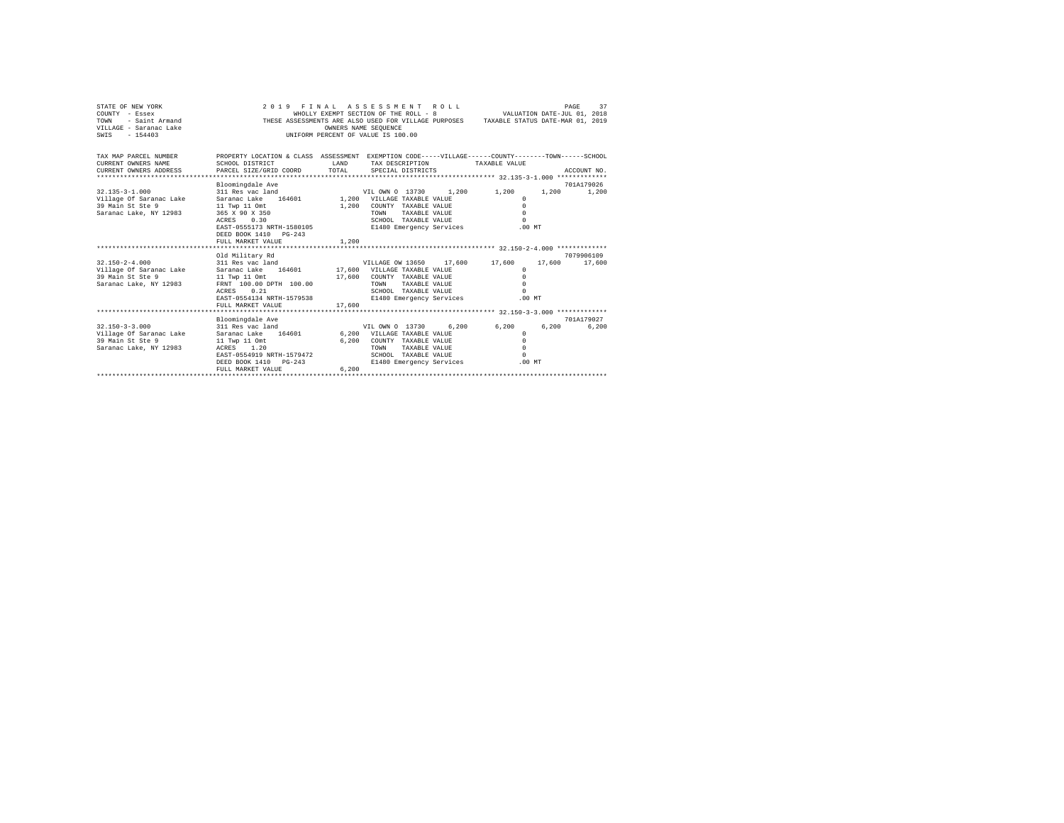| STATE OF NEW YORK<br>COUNTY - Essex<br>TOWN<br>- Saint Armand<br>VILLAGE - Saranac Lake<br>$-154403$<br>SWIS |                                                                                                                       |              | 2019 FINAL ASSESSMENT ROLL<br>WHOLLY EXEMPT SECTION OF THE ROLL - 8<br>THESE ASSESSMENTS ARE ALSO USED FOR VILLAGE PURPOSES TAXABLE STATUS DATE-MAR 01, 2019<br>OWNERS NAME SEQUENCE<br>UNIFORM PERCENT OF VALUE IS 100.00 |       | VALUATION DATE-JUL 01, 2018 |        | 37<br>PAGE          |
|--------------------------------------------------------------------------------------------------------------|-----------------------------------------------------------------------------------------------------------------------|--------------|----------------------------------------------------------------------------------------------------------------------------------------------------------------------------------------------------------------------------|-------|-----------------------------|--------|---------------------|
| TAX MAP PARCEL NUMBER<br>CURRENT OWNERS NAME                                                                 | PROPERTY LOCATION & CLASS ASSESSMENT EXEMPTION CODE-----VILLAGE------COUNTY-------TOWN------SCHOOL<br>SCHOOL DISTRICT | <b>T.AND</b> | TAX DESCRIPTION                                                                                                                                                                                                            |       | TAXABLE VALUE               |        |                     |
| CURRENT OWNERS ADDRESS                                                                                       | PARCEL SIZE/GRID COORD                                                                                                | TOTAL        | SPECIAL DISTRICTS                                                                                                                                                                                                          |       |                             |        | ACCOUNT NO.         |
|                                                                                                              |                                                                                                                       |              |                                                                                                                                                                                                                            |       |                             |        |                     |
| $32.135 - 3 - 1.000$                                                                                         | Bloomingdale Ave<br>311 Res vac land                                                                                  |              | VIL OWN 0 13730                                                                                                                                                                                                            | 1,200 | 1,200                       | 1,200  | 701A179026<br>1,200 |
| Village Of Saranac Lake                                                                                      | 164601<br>Saranac Lake                                                                                                |              | 1,200 VILLAGE TAXABLE VALUE                                                                                                                                                                                                |       | $^{\circ}$                  |        |                     |
| 39 Main St Ste 9                                                                                             | 11 Twp 11 Omt                                                                                                         | 1,200        | COUNTY TAXABLE VALUE                                                                                                                                                                                                       |       | $\Omega$                    |        |                     |
| Saranac Lake, NY 12983                                                                                       | 365 X 90 X 350                                                                                                        |              | TAXABLE VALUE<br>TOWN                                                                                                                                                                                                      |       | $\Omega$                    |        |                     |
|                                                                                                              | 0.30<br>ACRES                                                                                                         |              | SCHOOL TAXABLE VALUE                                                                                                                                                                                                       |       | $\Omega$                    |        |                     |
|                                                                                                              | EAST-0555173 NRTH-1580105                                                                                             |              | E1480 Emergency Services                                                                                                                                                                                                   |       | .00MT                       |        |                     |
|                                                                                                              | DEED BOOK 1410 PG-243                                                                                                 |              |                                                                                                                                                                                                                            |       |                             |        |                     |
|                                                                                                              | FULL MARKET VALUE                                                                                                     | 1,200        |                                                                                                                                                                                                                            |       |                             |        |                     |
|                                                                                                              |                                                                                                                       |              |                                                                                                                                                                                                                            |       |                             |        |                     |
|                                                                                                              | Old Military Rd                                                                                                       |              |                                                                                                                                                                                                                            |       |                             |        | 7079906109          |
| $32.150 - 2 - 4.000$                                                                                         | 311 Res vac land                                                                                                      |              | VILLAGE OW 13650                                                                                                                                                                                                           |       | 17.600 17.600               | 17,600 | 17,600              |
| Village Of Saranac Lake<br>39 Main St Ste 9                                                                  | Saranac Lake<br>164601<br>11 Twp 11 Omt                                                                               |              | 17,600 VILLAGE TAXABLE VALUE<br>17,600 COUNTY TAXABLE VALUE                                                                                                                                                                |       | $\Omega$<br>$\Omega$        |        |                     |
| Saranac Lake, NY 12983                                                                                       | FRNT 100.00 DPTH 100.00                                                                                               |              | TAXABLE VALUE<br>TOWN                                                                                                                                                                                                      |       | $\Omega$                    |        |                     |
|                                                                                                              | 0.21<br>ACRES                                                                                                         |              | SCHOOL TAXABLE VALUE                                                                                                                                                                                                       |       | $\Omega$                    |        |                     |
|                                                                                                              | EAST-0554134 NRTH-1579538                                                                                             |              | E1480 Emergency Services                                                                                                                                                                                                   |       | $.00$ MT                    |        |                     |
|                                                                                                              | FULL MARKET VALUE                                                                                                     | 17,600       |                                                                                                                                                                                                                            |       |                             |        |                     |
|                                                                                                              |                                                                                                                       |              |                                                                                                                                                                                                                            |       |                             |        |                     |
|                                                                                                              | Bloomingdale Ave                                                                                                      |              |                                                                                                                                                                                                                            |       |                             |        | 701A179027          |
| $32.150 - 3 - 3.000$                                                                                         | 311 Res vac land                                                                                                      |              | VIL OWN 0 13730                                                                                                                                                                                                            | 6.200 | 6.200                       | 6.200  | 6.200               |
| Village Of Saranac Lake                                                                                      | 164601<br>Saranac Lake                                                                                                |              | 6,200 VILLAGE TAXABLE VALUE                                                                                                                                                                                                |       | $\Omega$                    |        |                     |
| 39 Main St Ste 9                                                                                             | 11 Twp 11 Omt                                                                                                         | 6.200        | COUNTY TAXABLE VALUE                                                                                                                                                                                                       |       | $\Omega$                    |        |                     |
| Saranac Lake, NY 12983                                                                                       | ACRES 1.20                                                                                                            |              | <b>TOWN</b><br>TAXABLE VALUE                                                                                                                                                                                               |       | $\Omega$                    |        |                     |
|                                                                                                              | EAST-0554919 NRTH-1579472                                                                                             |              | SCHOOL TAXABLE VALUE                                                                                                                                                                                                       |       | $\Omega$                    |        |                     |
|                                                                                                              | DEED BOOK 1410 PG-243                                                                                                 |              | E1480 Emergency Services                                                                                                                                                                                                   |       | .00MT                       |        |                     |
|                                                                                                              | FULL MARKET VALUE                                                                                                     | 6.200        |                                                                                                                                                                                                                            |       |                             |        |                     |
|                                                                                                              |                                                                                                                       |              |                                                                                                                                                                                                                            |       |                             |        |                     |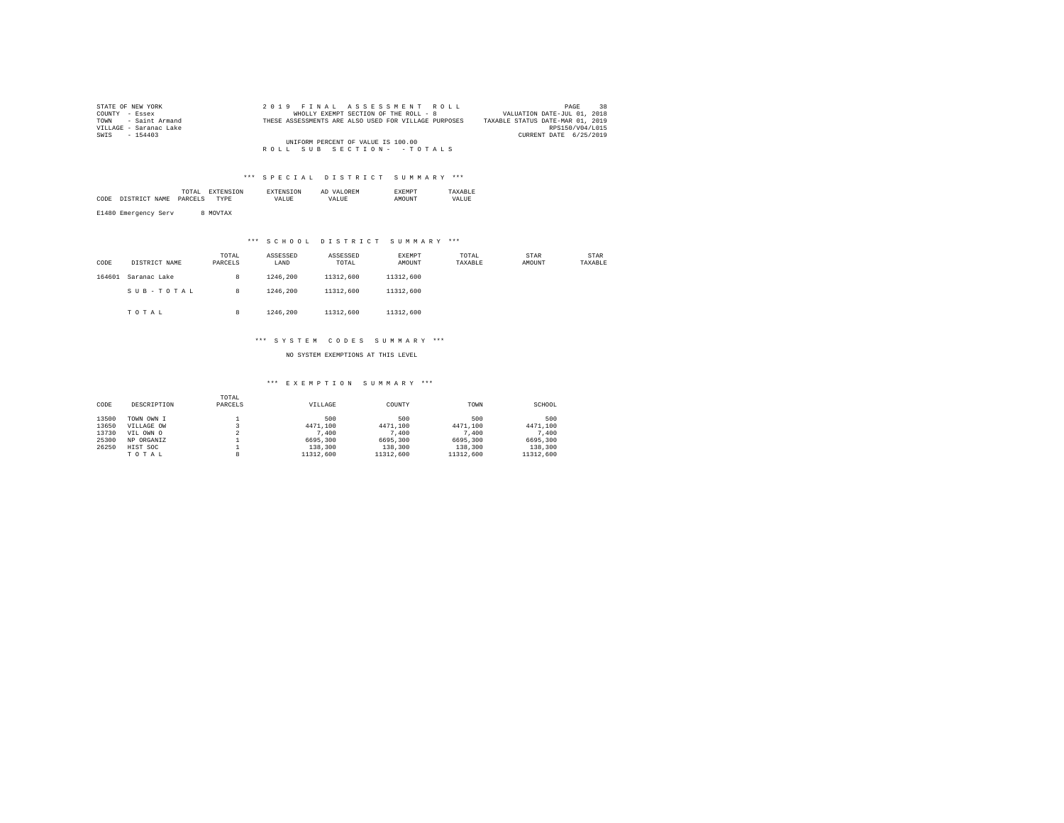| STATE OF NEW YORK      | 2019 FINAL ASSESSMENT ROLL                           | 38<br>PAGE                       |
|------------------------|------------------------------------------------------|----------------------------------|
| COUNTY - Essex         | WHOLLY EXEMPT SECTION OF THE ROLL - 8                | VALUATION DATE-JUL 01, 2018      |
| TOWN - Saint Armand    | THESE ASSESSMENTS ARE ALSO USED FOR VILLAGE PURPOSES | TAXABLE STATUS DATE-MAR 01, 2019 |
| VILLAGE - Saranac Lake |                                                      | RPS150/V04/L015                  |
| SWIS - 154403          |                                                      | CURRENT DATE 6/25/2019           |
|                        | UNIFORM PERCENT OF VALUE IS 100.00                   |                                  |
|                        | ROLL SUB SECTION- - TOTALS                           |                                  |

#### \*\*\* S P E C I A L D I S T R I C T S U M M A R Y \*\*\*

|      | the contract of the contract of the contract of | ON |       | <b>OREM</b><br>Al |       |
|------|-------------------------------------------------|----|-------|-------------------|-------|
| CODI |                                                 |    | VALUE | <b>TTA</b>        | VALUE |
|      |                                                 |    |       |                   |       |

E1480 Emergency Serv 8 MOVTAX

## \*\*\* S C H O O L D I S T R I C T S U M M A R Y \*\*\*

| CODE   | DISTRICT NAME | TOTAL<br>PARCELS | ASSESSED<br>LAND | ASSESSED<br>TOTAL | EXEMPT<br>AMOUNT | TOTAL<br>TAXABLE | STAR<br>AMOUNT | <b>STAR</b><br>TAXABLE |
|--------|---------------|------------------|------------------|-------------------|------------------|------------------|----------------|------------------------|
| 164601 | Saranac Lake  | 8                | 1246.200         | 11312,600         | 11312,600        |                  |                |                        |
|        | SUB-TOTAL     | 8                | 1246.200         | 11312,600         | 11312,600        |                  |                |                        |
|        | TOTAL         | 8                | 1246.200         | 11312,600         | 11312,600        |                  |                |                        |

#### \*\*\* S Y S T E M C O D E S S U M M A R Y \*\*\*

NO SYSTEM EXEMPTIONS AT THIS LEVEL

#### \*\*\* E X E M P T I O N S U M M A R Y \*\*\*

| CODE  | DESCRIPTION | TOTAL<br>PARCELS | VILLAGE   | COUNTY    | TOWN      | SCHOOL    |
|-------|-------------|------------------|-----------|-----------|-----------|-----------|
| 13500 | TOWN OWN I  |                  | 500       | 500       | 500       | 500       |
| 13650 | VILLAGE OW  |                  | 4471.100  | 4471.100  | 4471.100  | 4471.100  |
| 13730 | VIL OWN O   |                  | 7,400     | 7.400     | 7.400     | 7.400     |
| 25300 | NP ORGANIZ  |                  | 6695,300  | 6695,300  | 6695,300  | 6695.300  |
| 26250 | HIST SOC    |                  | 138,300   | 138,300   | 138,300   | 138,300   |
|       | TOTAL       | 8                | 11312,600 | 11312,600 | 11312,600 | 11312,600 |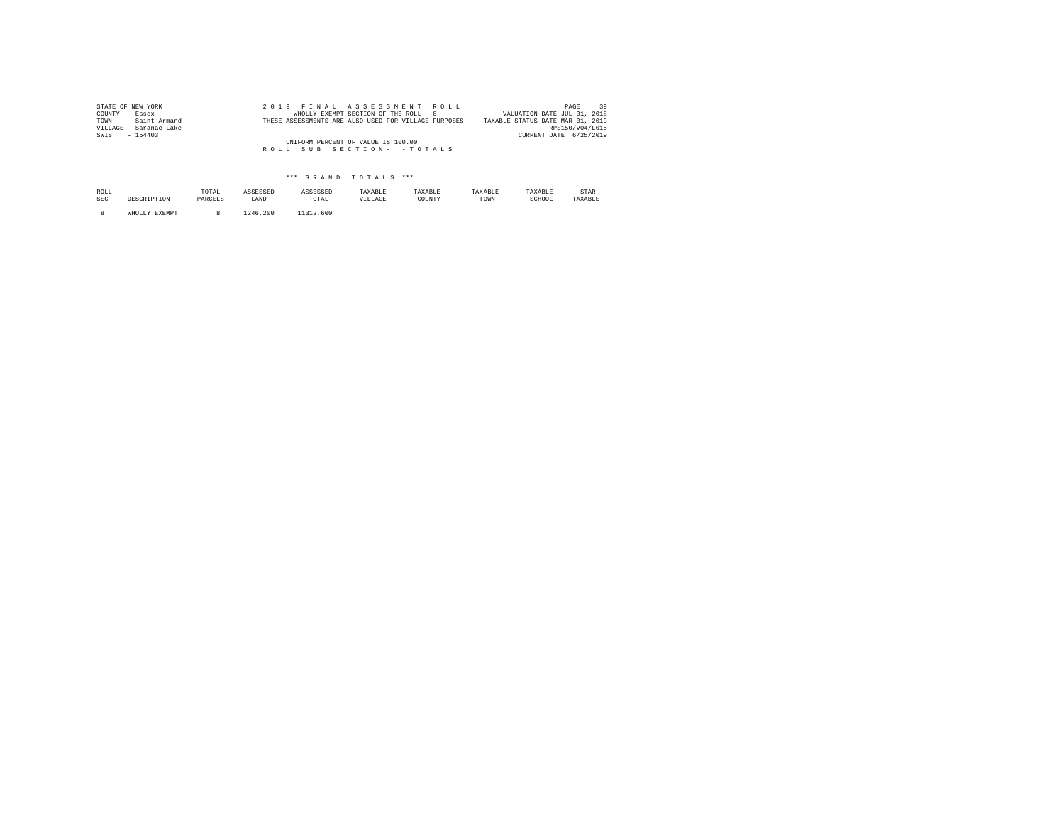| STATE OF NEW YORK      | 2019 FINAL ASSESSMENT ROLL                           | 39<br>PAGE                       |
|------------------------|------------------------------------------------------|----------------------------------|
| COUNTY - Essex         | WHOLLY EXEMPT SECTION OF THE ROLL - 8                | VALUATION DATE-JUL 01, 2018      |
| TOWN - Saint Armand    | THESE ASSESSMENTS ARE ALSO USED FOR VILLAGE PURPOSES | TAXABLE STATUS DATE-MAR 01, 2019 |
| VILLAGE - Saranac Lake |                                                      | RPS150/V04/L015                  |
| SWIS<br>$-154403$      |                                                      | CURRENT DATE 6/25/2019           |
|                        | UNIFORM PERCENT OF VALUE IS 100.00                   |                                  |
|                        | ROLL SUB SECTION- - TOTALS                           |                                  |
|                        |                                                      |                                  |

## \*\*\* G R A N D T O T A L S \*\*\*

| ROLL<br><b>SEC</b> | DESCRIPTION   | TOTAL<br>PARCELS | ASSESSED<br>LAND | ASSESSED<br>TOTAL | TAXABLE<br>VILLAGE | TAXABLE<br>COUNTY | TAXABLE<br>TOWN | TAXABLE<br>SCHOOL | STAR<br>TAXABLE |
|--------------------|---------------|------------------|------------------|-------------------|--------------------|-------------------|-----------------|-------------------|-----------------|
|                    | WHOLLY EXEMPT |                  | 1246.200         | 11312,600         |                    |                   |                 |                   |                 |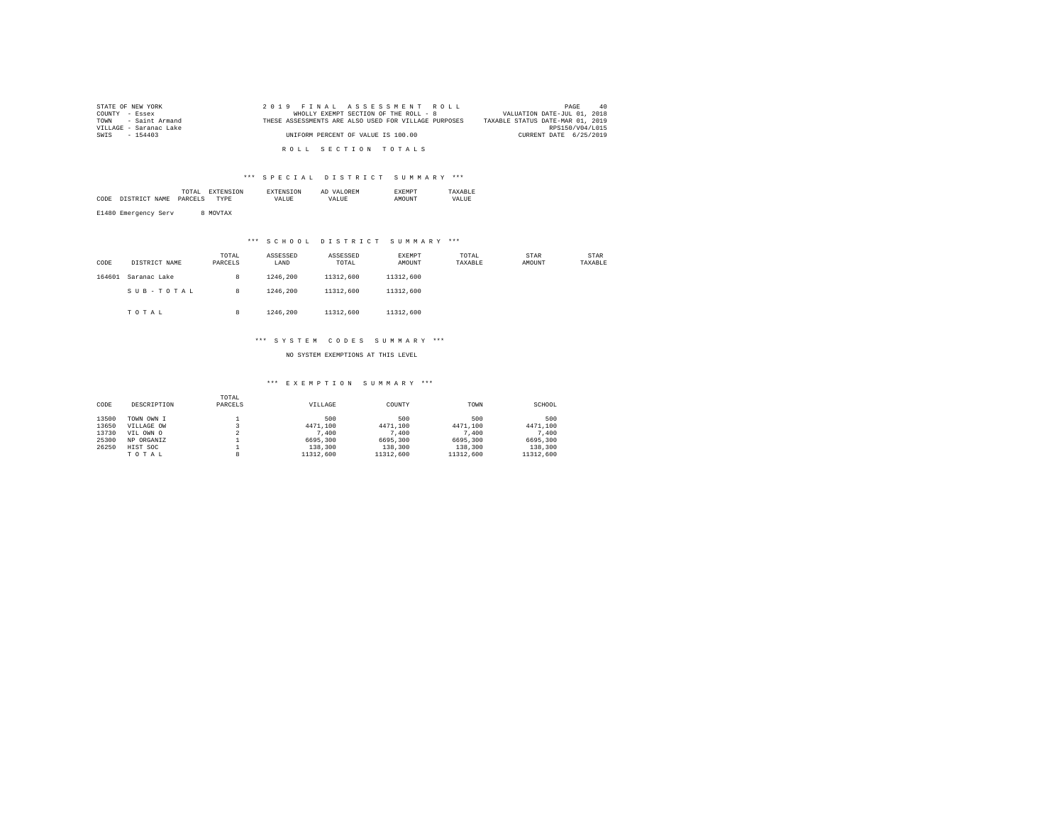| STATE OF NEW YORK      | 2019 FINAL ASSESSMENT ROLL                           | 40<br>PAGE                       |
|------------------------|------------------------------------------------------|----------------------------------|
| COUNTY - Essex         | WHOLLY EXEMPT SECTION OF THE ROLL - 8                | VALUATION DATE-JUL 01, 2018      |
| TOWN - Saint Armand    | THESE ASSESSMENTS ARE ALSO USED FOR VILLAGE PURPOSES | TAXABLE STATUS DATE-MAR 01, 2019 |
| VILLAGE - Saranac Lake |                                                      | RPS150/V04/L015                  |
| SWIS - 154403          | UNIFORM PERCENT OF VALUE IS 100.00                   | CURRENT DATE 6/25/2019           |
|                        |                                                      |                                  |
|                        | ROLL SECTION TOTALS                                  |                                  |

#### \*\*\* S P E C I A L D I S T R I C T S U M M A R Y \*\*\*

|      | the contract of the contract of the contract of | ON |       | <b>OREM</b><br>Al |       |
|------|-------------------------------------------------|----|-------|-------------------|-------|
| CODI |                                                 |    | VALUE | <b>TTA</b>        | VALUE |
|      |                                                 |    |       |                   |       |

E1480 Emergency Serv 8 MOVTAX

## \*\*\* S C H O O L D I S T R I C T S U M M A R Y \*\*\*

| CODE   | DISTRICT NAME | TOTAL<br>PARCELS | ASSESSED<br>LAND | ASSESSED<br>TOTAL | <b>EXEMPT</b><br>AMOUNT | TOTAL<br>TAXABLE | <b>STAR</b><br>AMOUNT | <b>STAR</b><br>TAXABLE |
|--------|---------------|------------------|------------------|-------------------|-------------------------|------------------|-----------------------|------------------------|
| 164601 | Saranac Lake  | 8                | 1246.200         | 11312,600         | 11312,600               |                  |                       |                        |
|        | SUB-TOTAL     | 8                | 1246.200         | 11312,600         | 11312,600               |                  |                       |                        |
|        | TOTAL         | 8                | 1246.200         | 11312,600         | 11312,600               |                  |                       |                        |

#### \*\*\* S Y S T E M C O D E S S U M M A R Y \*\*\*

NO SYSTEM EXEMPTIONS AT THIS LEVEL

#### \*\*\* E X E M P T I O N S U M M A R Y \*\*\*

| CODE  | DESCRIPTION | TOTAL<br>PARCELS | VILLAGE   | COUNTY    | TOWN      | SCHOOL    |
|-------|-------------|------------------|-----------|-----------|-----------|-----------|
| 13500 | TOWN OWN I  |                  | 500       | 500       | 500       | 500       |
| 13650 | VILLAGE OW  |                  | 4471.100  | 4471.100  | 4471.100  | 4471.100  |
| 13730 | VIL OWN O   | ∡                | 7,400     | 7.400     | 7.400     | 7.400     |
| 25300 | NP ORGANIZ  |                  | 6695,300  | 6695,300  | 6695,300  | 6695.300  |
| 26250 | HIST SOC    |                  | 138,300   | 138,300   | 138,300   | 138,300   |
|       | TOTAL       |                  | 11312,600 | 11312,600 | 11312,600 | 11312,600 |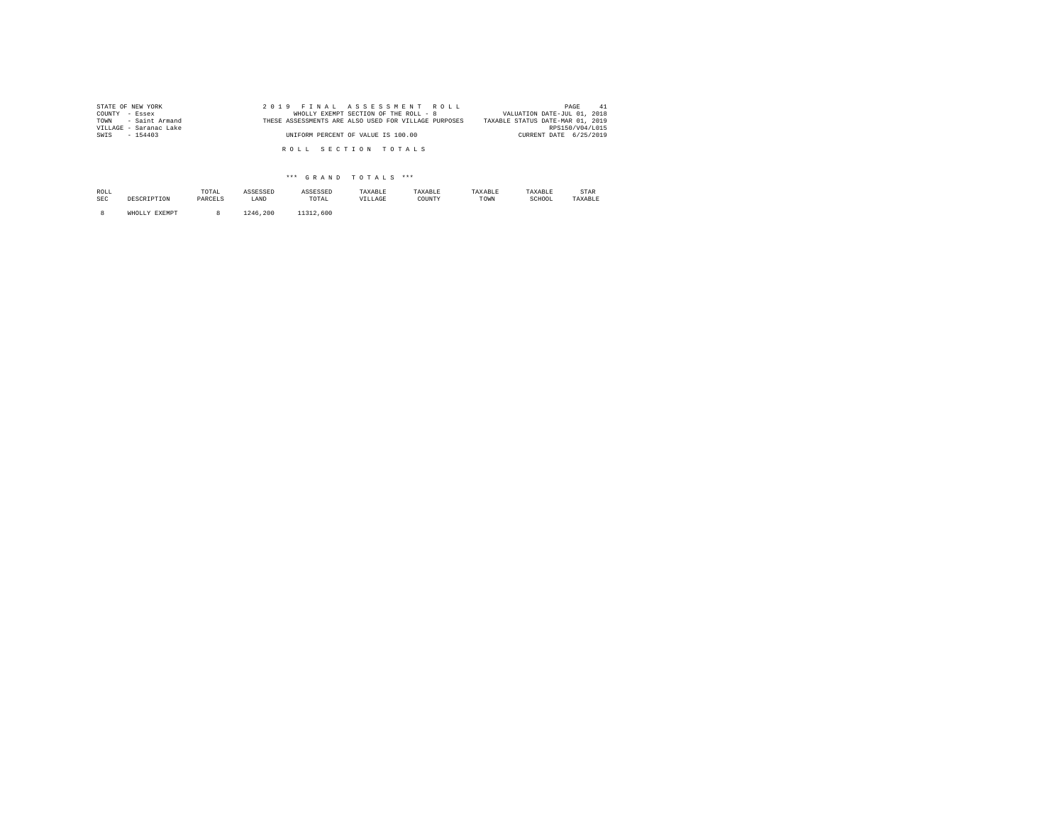| STATE OF NEW YORK      | 2019 FINAL ASSESSMENT ROLL                           | 41<br>PAGE                       |
|------------------------|------------------------------------------------------|----------------------------------|
| COUNTY - Essex         | WHOLLY EXEMPT SECTION OF THE ROLL - 8                | VALUATION DATE-JUL 01, 2018      |
| TOWN - Saint Armand    | THESE ASSESSMENTS ARE ALSO USED FOR VILLAGE PURPOSES | TAXABLE STATUS DATE-MAR 01, 2019 |
| VILLAGE - Saranac Lake |                                                      | RPS150/V04/L015                  |
| SWIS - 154403          | UNIFORM PERCENT OF VALUE IS 100.00                   | CURRENT DATE 6/25/2019           |
|                        |                                                      |                                  |
|                        | ROLL SECTION TOTALS                                  |                                  |
|                        |                                                      |                                  |

## \*\*\* G R A N D T O T A L S \*\*\*

| ROLL<br>SEC | DESCRIPTION   | TOTAL<br>PARCELS | ASSESSED<br>LAND | ASSESSED<br>TOTAL | TAXABLE<br>VILLAGE | TAXABLE<br>COUNTY | TAXABLE<br>TOWN | TAXABLE<br>SCHOOL | STAR<br>TAXABLF |
|-------------|---------------|------------------|------------------|-------------------|--------------------|-------------------|-----------------|-------------------|-----------------|
|             | WHOLLY EXEMPT |                  | 1246.200         | 11312,600         |                    |                   |                 |                   |                 |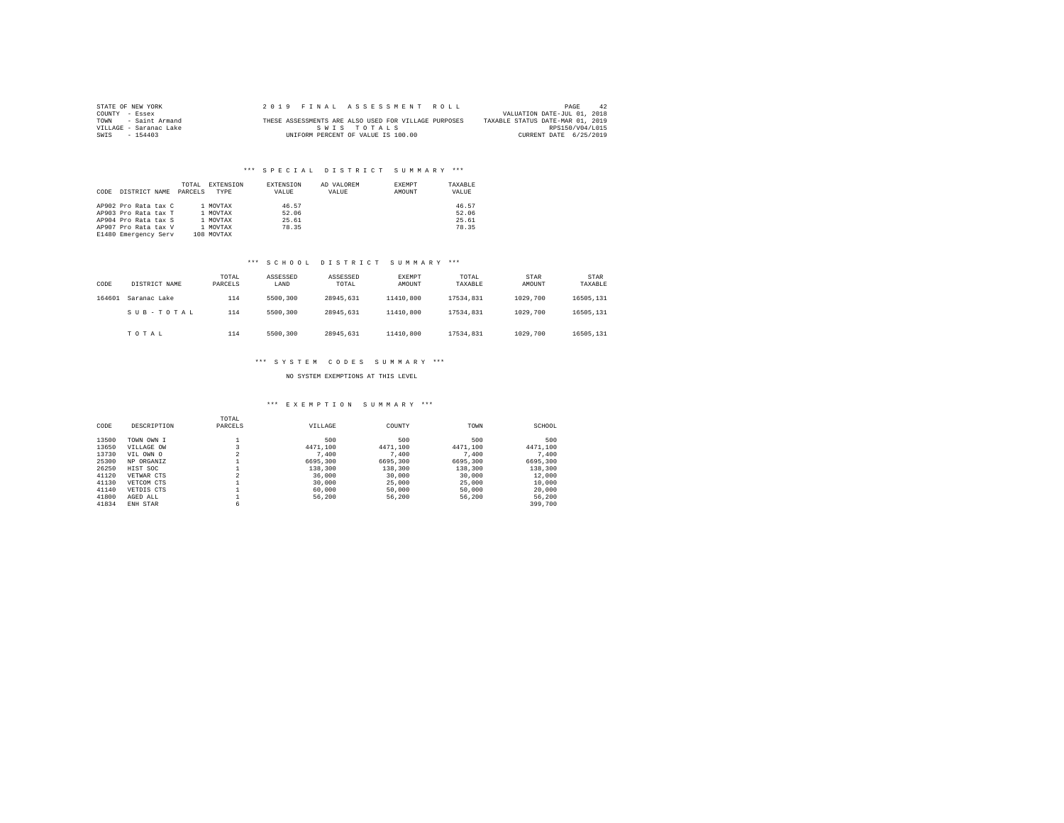| STATE OF NEW YORK      |  | 2019 FINAL ASSESSMENT ROLL                           | PAGE<br>42                       |
|------------------------|--|------------------------------------------------------|----------------------------------|
| COUNTY - Essex         |  |                                                      | VALUATION DATE-JUL 01, 2018      |
| - Saint Armand<br>TOWN |  | THESE ASSESSMENTS ARE ALSO USED FOR VILLAGE PURPOSES | TAXABLE STATUS DATE-MAR 01, 2019 |
| VILLAGE - Saranac Lake |  | SWIS TOTALS                                          | RPS150/V04/L015                  |
| SWIS<br>$-154403$      |  | UNIFORM PERCENT OF VALUE IS 100.00                   | CURRENT DATE 6/25/2019           |

#### \*\*\* S P E C I A L D I S T R I C T S U M M A R Y \*\*\*

| CODE | DISTRICT NAME                                                                                                        | TOTAL<br>PARCELS | <b>EXTENSION</b><br>TYPE                                   | EXTENSION<br>VALUE               | AD VALOREM<br>VALUE | <b>EXEMPT</b><br>AMOUNT | TAXARLE<br>VALUE                 |
|------|----------------------------------------------------------------------------------------------------------------------|------------------|------------------------------------------------------------|----------------------------------|---------------------|-------------------------|----------------------------------|
|      | AP902 Pro Rata tax C<br>AP903 Pro Rata tax T<br>AP904 Pro Rata tax S<br>AP907 Pro Rata tax V<br>E1480 Emergency Serv |                  | 1 MOVTAX<br>1 MOVTAX<br>1 MOVTAX<br>1 MOVTAX<br>108 MOVTAX | 46.57<br>52.06<br>25.61<br>78.35 |                     |                         | 46.57<br>52.06<br>25.61<br>78.35 |

#### \*\*\* S C H O O L D I S T R I C T S U M M A R Y \*\*\*

| CODE   | DISTRICT NAME | TOTAL<br>PARCELS | ASSESSED<br>LAND | ASSESSED<br>TOTAL | EXEMPT<br>AMOUNT | TOTAL<br>TAXABLE | <b>STAR</b><br>AMOUNT | STAR<br>TAXABLE |
|--------|---------------|------------------|------------------|-------------------|------------------|------------------|-----------------------|-----------------|
| 164601 | Saranac Lake  | 114              | 5500,300         | 28945.631         | 11410.800        | 17534.831        | 1029,700              | 16505.131       |
|        | SUB-TOTAL     | 114              | 5500,300         | 28945.631         | 11410.800        | 17534.831        | 1029,700              | 16505,131       |
|        | TOTAL         | 114              | 5500,300         | 28945.631         | 11410.800        | 17534.831        | 1029,700              | 16505,131       |

### \*\*\* S Y S T E M C O D E S S U M M A R Y \*\*\*

#### NO SYSTEM EXEMPTIONS AT THIS LEVEL

# \*\*\* E X E M P T I O N S U M M A R Y \*\*\*

|       |             | TOTAL          |          |          |          |          |
|-------|-------------|----------------|----------|----------|----------|----------|
| CODE  | DESCRIPTION | PARCELS        | VILLAGE  | COUNTY   | TOWN     | SCHOOL   |
| 13500 | TOWN OWN I  |                | 500      | 500      | 500      | 500      |
| 13650 | VILLAGE OW  |                | 4471.100 | 4471.100 | 4471.100 | 4471.100 |
| 13730 | VIL OWN O   | 2              | 7,400    | 7,400    | 7.400    | 7.400    |
| 25300 | NP ORGANIZ  |                | 6695,300 | 6695,300 | 6695,300 | 6695,300 |
| 26250 | HIST SOC    |                | 138,300  | 138,300  | 138,300  | 138,300  |
| 41120 | VETWAR CTS  | $\mathfrak{D}$ | 36,000   | 30,000   | 30,000   | 12,000   |
| 41130 | VETCOM CTS  |                | 30,000   | 25,000   | 25,000   | 10,000   |
| 41140 | VETDIS CTS  |                | 60,000   | 50,000   | 50,000   | 20,000   |
| 41800 | AGED ALL    |                | 56,200   | 56,200   | 56,200   | 56,200   |
| 41834 | ENH STAR    | 6              |          |          |          | 399,700  |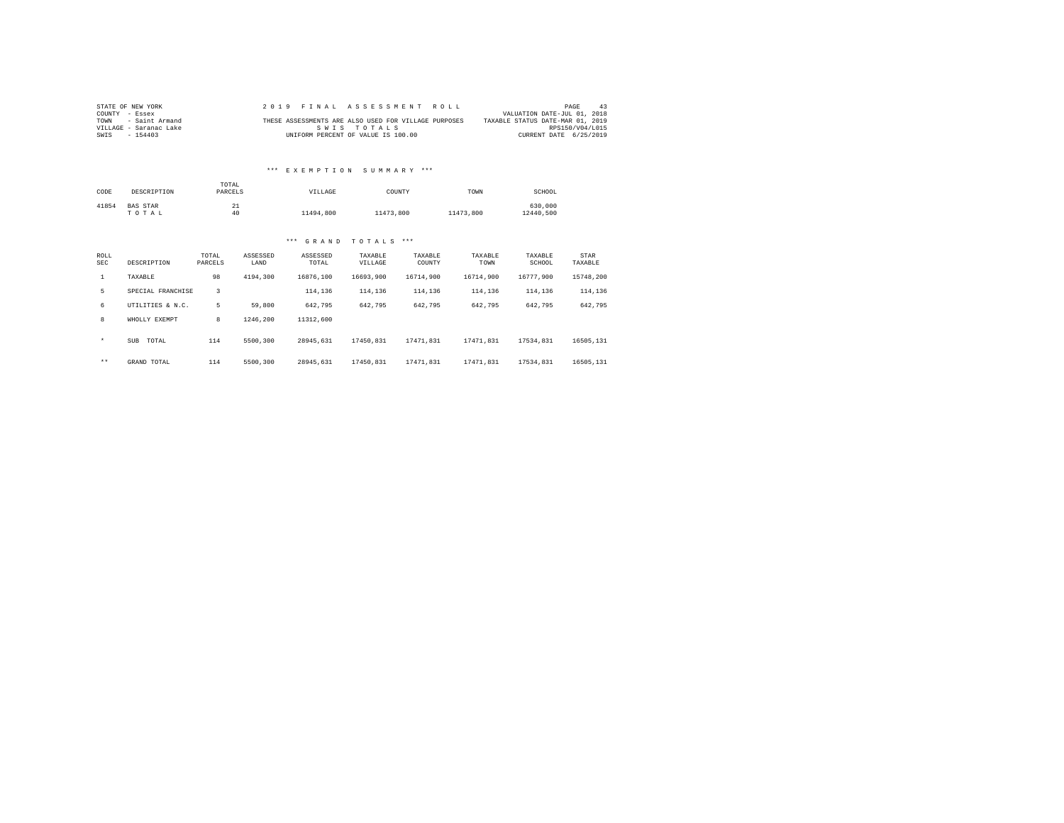| STATE OF NEW YORK      | 2019 FINAL ASSESSMENT ROLL |  |  |                                    |  |  |  |                                                      |                                  | PAGE                   | 43 |
|------------------------|----------------------------|--|--|------------------------------------|--|--|--|------------------------------------------------------|----------------------------------|------------------------|----|
| COUNTY - Essex         |                            |  |  |                                    |  |  |  |                                                      | VALUATION DATE-JUL 01, 2018      |                        |    |
| TOWN - Saint Armand    |                            |  |  |                                    |  |  |  | THESE ASSESSMENTS ARE ALSO USED FOR VILLAGE PURPOSES | TAXABLE STATUS DATE-MAR 01, 2019 |                        |    |
| VILLAGE - Saranac Lake |                            |  |  | SWIS TOTALS                        |  |  |  |                                                      |                                  | RPS150/V04/L015        |    |
| SWIS<br>$-154403$      |                            |  |  | UNIFORM PERCENT OF VALUE IS 100.00 |  |  |  |                                                      |                                  | CURRENT DATE 6/25/2019 |    |

### \*\*\* E X E M P T I O N S U M M A R Y \*\*\*

| CODE        | DESCRIPTION              | TOTAL<br>PARCELS |                  | VILLAGE           |                    | COUNTY            | TOWN            | SCHOOL               |                 |
|-------------|--------------------------|------------------|------------------|-------------------|--------------------|-------------------|-----------------|----------------------|-----------------|
| 41854       | <b>BAS STAR</b><br>TOTAL |                  | 21<br>40         | 11494,800         | 11473.800          |                   | 11473.800       | 630,000<br>12440.500 |                 |
|             |                          |                  |                  | GRAND<br>$***$    | TOTALS             | ***               |                 |                      |                 |
| ROLL<br>SEC | DESCRIPTION              | TOTAL<br>PARCELS | ASSESSED<br>LAND | ASSESSED<br>TOTAL | TAXABLE<br>VILLAGE | TAXABLE<br>COUNTY | TAXABLE<br>TOWN | TAXABLE<br>SCHOOL    | STAR<br>TAXABLE |
|             | TAXABLE                  | 98               | 4194.300         | 16876.100         | 16693.900          | 16714.900         | 16714.900       | 16777.900            | 15748.200       |
| 5           | SPECIAL FRANCHISE        | 3                |                  | 114,136           | 114,136            | 114,136           | 114,136         | 114,136              | 114,136         |

| 8       | WHOLLY EXEMPT | 8   | 1246.200 | 11312,600 |           |           |           |           |           |
|---------|---------------|-----|----------|-----------|-----------|-----------|-----------|-----------|-----------|
| $\star$ | SUB TOTAL     | 114 | 5500.300 | 28945.631 | 17450.831 | 17471.831 | 17471.831 | 17534.831 | 16505,131 |
| $***$   | GRAND TOTAL   | 114 | 5500,300 | 28945.631 | 17450.831 | 17471.831 | 17471.831 | 17534.831 | 16505,131 |

6 UTILITIES & N.C. 5 59,800 642,795 642,795 642,795 642,795 642,795 642,795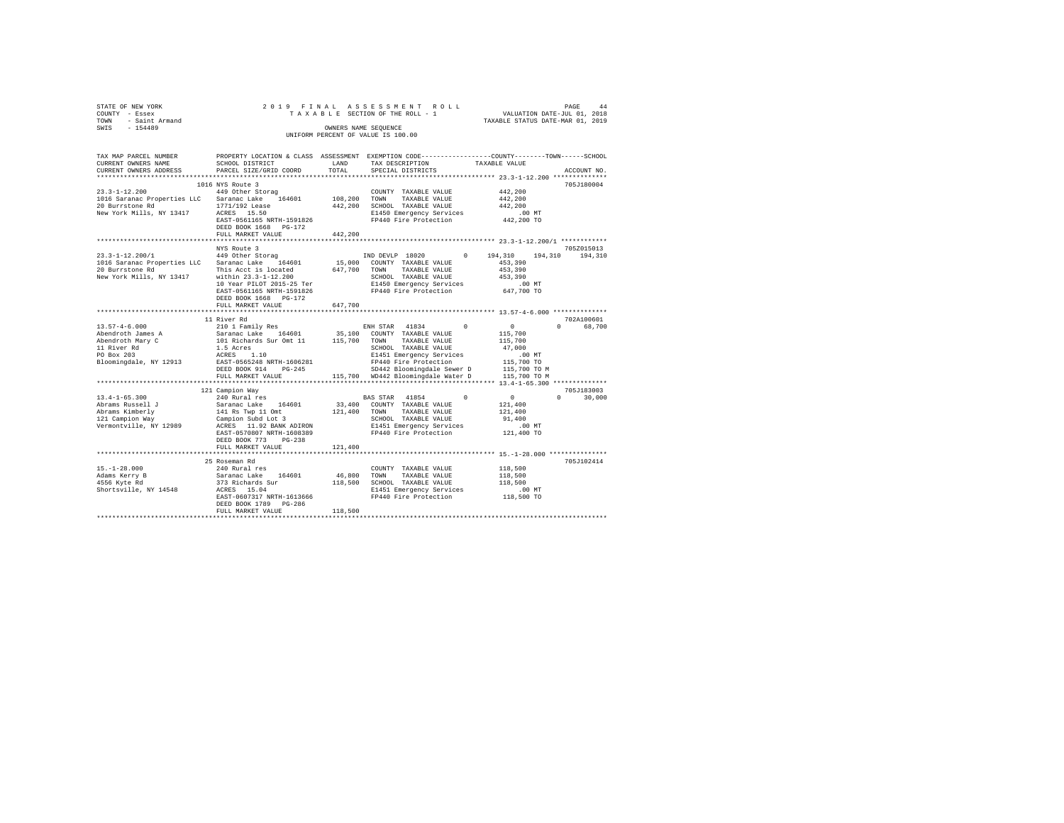| STATE OF NEW YORK   | 2019 FINAL ASSESSMENT ROLL         | 44<br>PAGE                       |
|---------------------|------------------------------------|----------------------------------|
| COUNTY - Essex      | TAXABLE SECTION OF THE ROLL - 1    | VALUATION DATE-JUL 01, 2018      |
| TOWN - Saint Armand |                                    | TAXABLE STATUS DATE-MAR 01, 2019 |
| SWIS<br>$-154489$   | OWNERS NAME SEOUENCE               |                                  |
|                     | UNIFORM PERCENT OF VALUE IS 100.00 |                                  |
|                     |                                    |                                  |
|                     |                                    |                                  |

| TAX MAP PARCEL NUMBER<br>CURRENT OWNERS NAME | SCHOOL DISTRICT                                | LAND    | PROPERTY LOCATION & CLASS ASSESSMENT EXEMPTION CODE----------------COUNTY-------TOWN------SCHOOL<br>TAX DESCRIPTION | TAXABLE VALUE        |                  |
|----------------------------------------------|------------------------------------------------|---------|---------------------------------------------------------------------------------------------------------------------|----------------------|------------------|
| CURRENT OWNERS ADDRESS                       | PARCEL SIZE/GRID COORD                         | TOTAL   | SPECIAL DISTRICTS                                                                                                   |                      | ACCOUNT NO.      |
| ************************                     | *****************************                  |         |                                                                                                                     |                      |                  |
|                                              | 1016 NYS Route 3                               |         |                                                                                                                     |                      | 705J180004       |
| $23.3 - 1 - 12.200$                          | 449 Other Storag                               |         | COUNTY TAXABLE VALUE                                                                                                | 442,200              |                  |
| 1016 Saranac Properties LLC                  | Saranac Lake 164601                            |         | 108,200 TOWN TAXABLE VALUE                                                                                          | 442,200              |                  |
| 20 Burrstone Rd                              | 1771/192 Lease                                 |         | 442,200 SCHOOL TAXABLE VALUE                                                                                        | 442.200              |                  |
| New York Mills, NY 13417                     | ACRES 15.50                                    |         | E1450 Emergency Services                                                                                            | $.00$ MT             |                  |
|                                              | EAST-0561165 NRTH-1591826                      |         | FP440 Fire Protection                                                                                               | 442,200 TO           |                  |
|                                              | DEED BOOK 1668 PG-172                          |         |                                                                                                                     |                      |                  |
|                                              |                                                |         |                                                                                                                     |                      |                  |
|                                              | FULL MARKET VALUE                              | 442.200 |                                                                                                                     |                      |                  |
|                                              |                                                |         |                                                                                                                     |                      |                  |
|                                              | NYS Route 3                                    |         |                                                                                                                     |                      | 705Z015013       |
| $23.3 - 1 - 12.200/1$                        | 449 Other Storag                               |         | IND DEVLP 18020<br>$^{\circ}$                                                                                       | 194,310<br>194,310   | 194,310          |
| 1016 Saranac Properties LLC                  | Saranac Lake 164601                            |         | 15,000 COUNTY TAXABLE VALUE                                                                                         | 453,390              |                  |
| 20 Burrstone Rd                              | This Acct is located                           |         | 647,700 TOWN TAXABLE VALUE                                                                                          | 453,390              |                  |
| New York Mills, NY 13417                     | within 23.3-1-12.200                           |         | SCHOOL TAXABLE VALUE                                                                                                | 453,390              |                  |
|                                              | 10 Year PILOT 2015-25 Ter                      |         | E1450 Emergency Services                                                                                            | 00 MT.<br>647,700 TO |                  |
|                                              | EAST-0561165 NRTH-1591826                      |         | FP440 Fire Protection                                                                                               |                      |                  |
|                                              | DEED BOOK 1668 PG-172                          |         |                                                                                                                     |                      |                  |
|                                              | FULL MARKET VALUE                              | 647,700 |                                                                                                                     |                      |                  |
|                                              |                                                |         |                                                                                                                     |                      |                  |
|                                              | 11 River Rd                                    |         |                                                                                                                     |                      | 702A100601       |
| $13.57 - 4 - 6.000$                          | 210 1 Family Res                               |         | ENH STAR 41834<br>$\sim$                                                                                            | $\sim$ 0             | 68,700<br>$\cap$ |
| Abendroth James A                            |                                                |         | 35,100 COUNTY TAXABLE VALUE                                                                                         | 115,700              |                  |
| Abendroth Mary C                             | Saranac Lake 164601<br>101 Richards Sur Omt 11 |         | 115,700 TOWN TAXABLE VALUE                                                                                          | 115,700              |                  |
| 11 River Rd                                  | 1.5 Acres                                      |         | SCHOOL TAXABLE VALUE                                                                                                | 47.000               |                  |
| PO Box 203                                   | ACRES 1.10                                     |         | E1451 Emergency Services                                                                                            | $.00$ MT             |                  |
| Bloomingdale, NY 12913                       | EAST-0565248 NRTH-1606281                      |         | FP440 Fire Protection                                                                                               | 115,700 TO           |                  |
|                                              | DEED BOOK 914<br>$PG-245$                      |         | SD442 Bloomingdale Sewer D                                                                                          | 115,700 TO M         |                  |
|                                              | FULL MARKET VALUE                              |         | 115,700 WD442 Bloomingdale Water D                                                                                  | 115,700 TO M         |                  |
|                                              |                                                |         |                                                                                                                     |                      |                  |
|                                              | 121 Campion Way                                |         |                                                                                                                     |                      | 705J183003       |
| $13.4 - 1 - 65.300$                          | 240 Rural res                                  |         | BAS STAR 41854<br>$\Omega$                                                                                          | $\sim$ 0             | $\cap$<br>30,000 |
| Abrams Russell J                             | Saranac Lake 164601                            |         | 33,400 COUNTY TAXABLE VALUE                                                                                         | 121,400              |                  |
| Abrams Kimberly                              | 141 Rs Twp 11 Omt                              |         | 121,400 TOWN<br>TAXABLE VALUE                                                                                       | 121,400              |                  |
| 121 Campion Way                              | Campion Subd Lot 3                             |         | SCHOOL TAXABLE VALUE                                                                                                | 91,400               |                  |
| Vermontville, NY 12989                       | ACRES 11.92 BANK ADIRON                        |         | E1451 Emergency Services                                                                                            | $.00$ MT             |                  |
|                                              | EAST-0570807 NRTH-1608389                      |         | FP440 Fire Protection                                                                                               | 121,400 TO           |                  |
|                                              | DEED BOOK 773 PG-238                           |         |                                                                                                                     |                      |                  |
|                                              |                                                |         |                                                                                                                     |                      |                  |
|                                              | FULL MARKET VALUE<br>************************* | 121,400 | *********************************** 15.-1-28.000 ****************                                                   |                      |                  |
|                                              |                                                |         |                                                                                                                     |                      |                  |
|                                              | 25 Roseman Rd                                  |         |                                                                                                                     |                      | 705J102414       |
| $15. - 1 - 28.000$                           | 240 Rural res                                  |         | COUNTY TAXABLE VALUE                                                                                                | 118,500              |                  |
| Adams Kerry B                                | Saranac Lake 164601                            |         | 46,800 TOWN<br>TAXABLE VALUE                                                                                        | 118,500              |                  |
| 4556 Kyte Rd                                 | 373 Richards Sur                               |         | 118,500 SCHOOL TAXABLE VALUE                                                                                        | 118,500              |                  |
| Shortsville, NY 14548                        | ACRES 15.04                                    |         | E1451 Emergency Services                                                                                            | $.00$ MT             |                  |
|                                              | EAST-0607317 NRTH-1613666                      |         | FP440 Fire Protection                                                                                               | 118,500 TO           |                  |
|                                              | DEED BOOK 1789 PG-286                          |         |                                                                                                                     |                      |                  |
|                                              | FULL MARKET VALUE                              | 118,500 |                                                                                                                     |                      |                  |
|                                              |                                                |         |                                                                                                                     |                      |                  |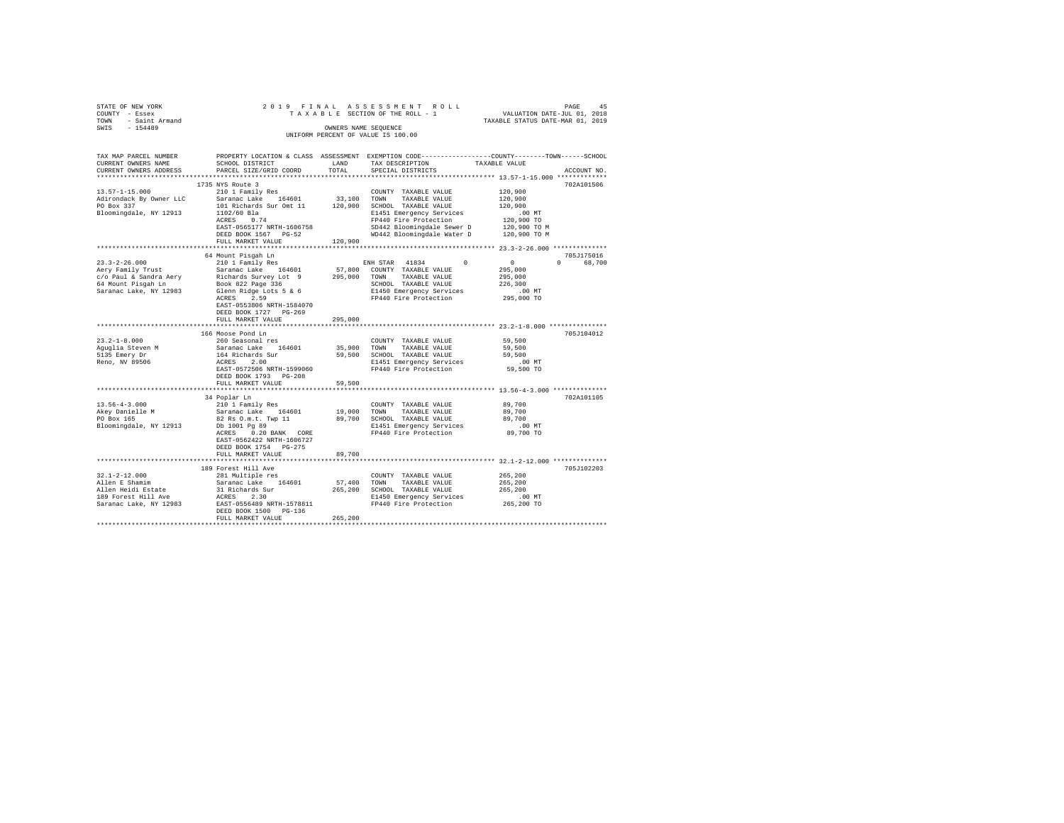| STATE OF NEW YORK               |                           |             | 2019 FINAL ASSESSMENT ROLL                                                                       | PAGE 45<br>VALUATION DATE-JUL 01, 2018   |                    |
|---------------------------------|---------------------------|-------------|--------------------------------------------------------------------------------------------------|------------------------------------------|--------------------|
| COUNTY - Essex                  |                           |             | TAXABLE SECTION OF THE ROLL - 1                                                                  |                                          |                    |
| TOWN - Saint Armand             |                           |             |                                                                                                  | TAXABLE STATUS DATE-MAR 01, 2019         |                    |
| SWIS - 154489                   |                           |             | OWNERS NAME SEQUENCE                                                                             |                                          |                    |
|                                 |                           |             | UNIFORM PERCENT OF VALUE IS 100.00                                                               |                                          |                    |
|                                 |                           |             |                                                                                                  |                                          |                    |
| TAX MAP PARCEL NUMBER           |                           |             | PROPERTY LOCATION & CLASS ASSESSMENT EXEMPTION CODE----------------COUNTY-------TOWN------SCHOOL |                                          |                    |
| CURRENT OWNERS NAME             | SCHOOL DISTRICT           | LAND        | TAX DESCRIPTION                                                                                  | TAXABLE VALUE                            |                    |
| CURRENT OWNERS ADDRESS          | PARCEL SIZE/GRID COORD    | TOTAL       | SPECIAL DISTRICTS                                                                                |                                          | ACCOUNT NO.        |
|                                 |                           |             |                                                                                                  |                                          |                    |
|                                 | 1735 NYS Route 3          |             |                                                                                                  |                                          | 702A101506         |
| $13.57 - 1 - 15.000$            | 210 1 Family Res          |             | COUNTY TAXABLE VALUE                                                                             | 120,900                                  |                    |
| Adirondack By Owner LLC         | Saranac Lake 164601       |             | 33,100 TOWN TAXABLE VALUE                                                                        | 120,900                                  |                    |
| PO Box 337                      | 101 Richards Sur Omt 11   |             | 120,900 SCHOOL TAXABLE VALUE                                                                     | 120,900                                  |                    |
| Bloomingdale, NY 12913          | 1102/60 Bla               |             | E1451 Emergency Services                                                                         | $.00$ MT                                 |                    |
|                                 | $ACRES$ 0.74              |             | FP440 Fire Protection                                                                            | 120,900 TO                               |                    |
|                                 | EAST-0565177 NRTH-1606758 |             | SD442 Bloomingdale Sewer D                                                                       | 120,900 TO M                             |                    |
|                                 | DEED BOOK 1567 PG-52      |             | WD442 Bloomingdale Water D 120,900 TO M                                                          |                                          |                    |
|                                 | FULL MARKET VALUE         | 120,900     |                                                                                                  |                                          |                    |
| **************************      |                           |             |                                                                                                  |                                          |                    |
|                                 | 64 Mount Pisqah Ln        |             |                                                                                                  |                                          | 705.1175016        |
| $23.3 - 2 - 26.000$             | 210 1 Family Res          |             | ENH STAR 41834<br>$\Omega$                                                                       | $\sim$ 0                                 | $\Omega$<br>68,700 |
| Aery Family Trust               | Saranac Lake 164601       |             | 57,800 COUNTY TAXABLE VALUE                                                                      | 295,000                                  |                    |
| c/o Paul & Sandra Aery          | Richards Survey Lot 9     |             | 295,000 TOWN TAXABLE VALUE                                                                       | 295,000                                  |                    |
| 64 Mount Pisgah Ln              | Book 822 Page 336         |             | SCHOOL TAXABLE VALUE                                                                             | 226,300                                  |                    |
| Saranac Lake, NY 12983          | Glenn Ridge Lots 5 & 6    |             | E1450 Emergency Services                                                                         | $.00$ MT                                 |                    |
|                                 | ACRES 2.59                |             | FP440 Fire Protection                                                                            | 295,000 TO                               |                    |
|                                 | EAST-0553806 NRTH-1584070 |             |                                                                                                  |                                          |                    |
|                                 | DEED BOOK 1727 PG-269     |             |                                                                                                  |                                          |                    |
|                                 | FULL MARKET VALUE         | 295,000     |                                                                                                  |                                          |                    |
|                                 | **********************    | **********  |                                                                                                  | *********** 23.2-1-8.000 *************** |                    |
|                                 | 166 Moose Pond Ln         |             |                                                                                                  |                                          | 705J104012         |
| $23.2 - 1 - 8.000$              | 260 Seasonal res          |             | COUNTY TAXABLE VALUE                                                                             | 59,500                                   |                    |
| Aquqlia Steven M                | Saranac Lake 164601       | 35,900      | TOWN<br>TAXABLE VALUE                                                                            | 59,500                                   |                    |
| 5135 Emery Dr<br>Reno, NV 89506 | 164 Richards Sur          |             | 59,500 SCHOOL TAXABLE VALUE                                                                      | 59,500                                   |                    |
|                                 | ACRES 2.00                |             | E1451 Emergency Services                                                                         | $.00$ MT                                 |                    |
|                                 | EAST-0572506 NRTH-1599060 |             | FP440 Fire Protection                                                                            | 59,500 TO                                |                    |
|                                 | DEED BOOK 1793 PG-208     |             |                                                                                                  |                                          |                    |
|                                 | FULL MARKET VALUE         | 59,500      |                                                                                                  |                                          |                    |
|                                 |                           |             |                                                                                                  |                                          |                    |
|                                 | 34 Poplar Ln              |             |                                                                                                  |                                          | 702A101105         |
| $13.56 - 4 - 3.000$             | 210 1 Family Res          |             | COUNTY TAXABLE VALUE                                                                             | 89,700                                   |                    |
| Akey Danielle M<br>PO Box 165   | Saranac Lake 164601       | 19,000      | TOWN<br>TAXABLE VALUE                                                                            | 89,700                                   |                    |
|                                 | 82 Rs O.m.t. Twp 11       |             | 89,700 SCHOOL TAXABLE VALUE                                                                      | 89,700                                   |                    |
| Bloomingdale, NY 12913          | Db 1001 Pg 89             |             | E1451 Emergency Services                                                                         | $.00$ MT                                 |                    |
|                                 | ACRES 0.20 BANK CORE      |             | FP440 Fire Protection                                                                            | 89,700 TO                                |                    |
|                                 | EAST-0562422 NRTH-1606727 |             |                                                                                                  |                                          |                    |
|                                 | DEED BOOK 1754 PG-275     |             |                                                                                                  |                                          |                    |
|                                 | FULL MARKET VALUE         | 89,700      |                                                                                                  |                                          |                    |
|                                 |                           |             |                                                                                                  |                                          |                    |
|                                 | 189 Forest Hill Ave       |             |                                                                                                  |                                          | 705J102203         |
| $32.1 - 2 - 12.000$             | 281 Multiple res          |             | COUNTY TAXABLE VALUE                                                                             | 265,200                                  |                    |
| Allen E Shamim                  | Saranac Lake 164601       | 57,400 TOWN | TAXABLE VALUE                                                                                    | 265,200                                  |                    |
| Allen Heidi Estate              | 31 Richards Sur           |             | 265,200 SCHOOL TAXABLE VALUE                                                                     | 265,200                                  |                    |
| 189 Forest Hill Ave             | ACRES 2.30                |             | E1450 Emergency Services                                                                         | .00 MT                                   |                    |
| Saranac Lake, NY 12983          | EAST-0556489 NRTH-1578811 |             | FP440 Fire Protection                                                                            | 265,200 TO                               |                    |
|                                 | DEED BOOK 1500 PG-136     |             |                                                                                                  |                                          |                    |
|                                 | FULL MARKET VALUE         | 265,200     |                                                                                                  |                                          |                    |
|                                 |                           |             |                                                                                                  |                                          |                    |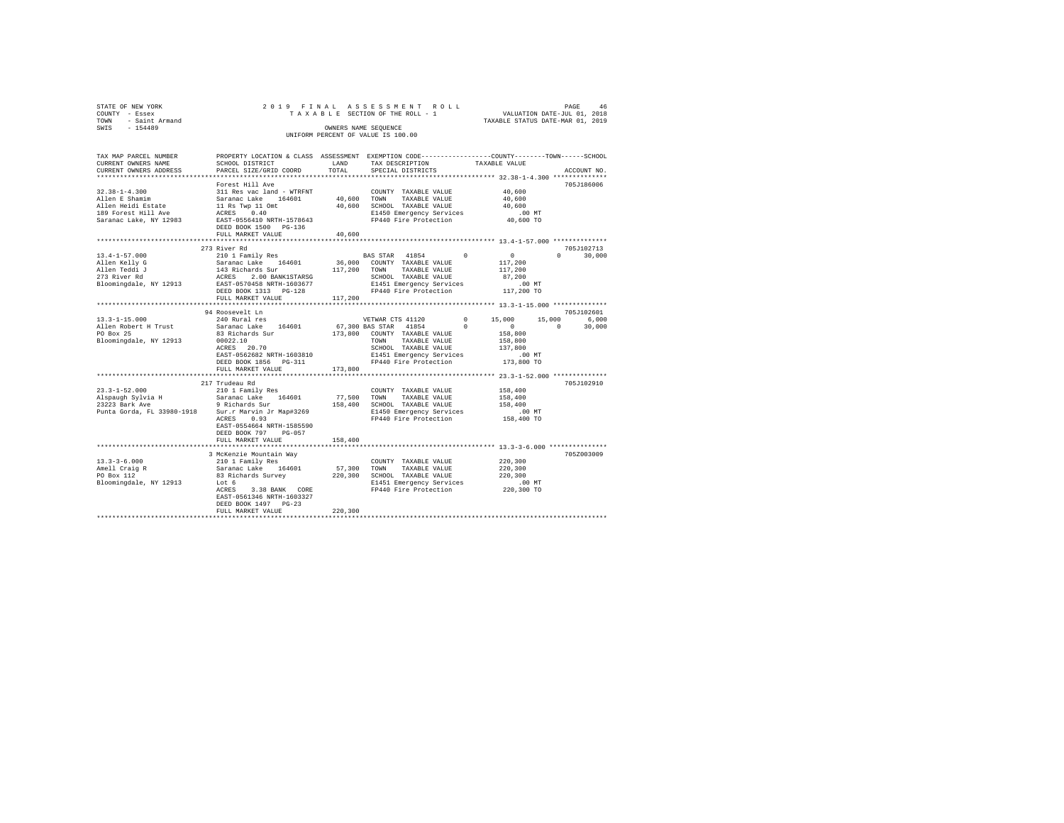| STATE OF NEW YORK<br>COUNTY - Essex |                                                                                                                  |         | 2019 FINAL ASSESSMENT ROLL (2018) PAGE 46<br>TAXABLE SECTION OF THE ROLL - 1 VALUATION DATE-JUL 01, 2019<br>TAXABLE STATTUS DATE-MAR 01, 2019 |                      |                    |
|-------------------------------------|------------------------------------------------------------------------------------------------------------------|---------|-----------------------------------------------------------------------------------------------------------------------------------------------|----------------------|--------------------|
| TOWN - Saint Armand                 |                                                                                                                  |         |                                                                                                                                               |                      |                    |
| SWIS - 154489                       |                                                                                                                  |         | OWNERS NAME SEQUENCE<br>UNIFORM PERCENT OF VALUE IS 100.00                                                                                    |                      |                    |
| TAX MAP PARCEL NUMBER               | PROPERTY LOCATION & CLASS ASSESSMENT EXEMPTION CODE---------------COUNTY-------TOWN-----SCHOOL                   |         |                                                                                                                                               |                      |                    |
| CURRENT OWNERS NAME                 | SCHOOL DISTRICT                                                                                                  | LAND    | TAX DESCRIPTION                                                                                                                               | TAXABLE VALUE        |                    |
| CURRENT OWNERS ADDRESS              | PARCEL SIZE/GRID COORD                                                                                           | TOTAL   | SPECIAL DISTRICTS                                                                                                                             |                      | ACCOUNT NO.        |
|                                     | Forest Hill Ave                                                                                                  |         |                                                                                                                                               |                      | 705J186006         |
|                                     |                                                                                                                  |         | COUNTY TAXABLE VALUE                                                                                                                          | 40,600               |                    |
|                                     |                                                                                                                  |         |                                                                                                                                               | 40,600               |                    |
|                                     |                                                                                                                  |         | 40,600 TOWN TAXABLE VALUE<br>40,600 SCHOOL TAXABLE VALUE                                                                                      | 40,600               |                    |
|                                     |                                                                                                                  |         | E1450 Emergency Services                                                                                                                      | $.00$ MT             |                    |
| Saranac Lake, NY 12983              | EAST-0556410 NRTH-1578643<br>DEED BOOK 1500 PG-136                                                               |         | FP440 Fire Protection                                                                                                                         | 40,600 TO            |                    |
|                                     | FULL MARKET VALUE                                                                                                | 40,600  |                                                                                                                                               |                      |                    |
|                                     | 273 River Rd                                                                                                     |         |                                                                                                                                               |                      | 705J102713         |
| $13.4 - 1 - 57.000$                 | 210 1 Family Res                                                                                                 |         | BAS STAR 41854 0                                                                                                                              | $\sim$ 0             | $0 \t 30,000$      |
|                                     |                                                                                                                  |         |                                                                                                                                               | 117,200              |                    |
|                                     |                                                                                                                  |         |                                                                                                                                               | 117,200              |                    |
|                                     |                                                                                                                  |         |                                                                                                                                               | 87,200               |                    |
|                                     |                                                                                                                  |         |                                                                                                                                               | 00 MT.<br>117,200 TO |                    |
|                                     |                                                                                                                  |         |                                                                                                                                               |                      |                    |
|                                     | FULL MARKET VALUE                                                                                                | 117,200 |                                                                                                                                               |                      |                    |
|                                     |                                                                                                                  |         |                                                                                                                                               |                      | 705J102601         |
| $13.3 - 1 - 15.000$                 | 94 Roosevelt Ln<br>$240$ Rural res                                                                               |         | VETWAR CTS 41120                                                                                                                              | $0 \t 15,000$        | 15,000 6,000       |
| Allen Robert H Trust                | Saranac Lake 164601                                                                                              |         |                                                                                                                                               |                      | $\sim$ 0<br>30,000 |
| PO Box 25                           | 83 Richards Sur                                                                                                  |         |                                                                                                                                               |                      |                    |
| Bloomingdale, NY 12913              | 00022.10<br>ACRES 20.70                                                                                          |         | TOWN TAXABLE VALUE                                                                                                                            | 158,800              |                    |
|                                     |                                                                                                                  |         | SCHOOL TAXABLE VALUE                                                                                                                          | 137,800              |                    |
|                                     | EAST-0562682 NRTH-1603810                                                                                        |         | E1451 Emergency Services                                                                                                                      | $.00$ MT             |                    |
|                                     | DEED BOOK 1856 PG-311                                                                                            |         | FP440 Fire Protection                                                                                                                         | 173,800 TO           |                    |
|                                     | FULL MARKET VALUE                                                                                                | 173,800 |                                                                                                                                               |                      |                    |
|                                     | 217 Trudeau Rd                                                                                                   |         |                                                                                                                                               |                      | 705J102910         |
| $23.3 - 1 - 52.000$                 | 210 1 Family Res                                                                                                 |         | COUNTY TAXABLE VALUE 158,400                                                                                                                  |                      |                    |
|                                     |                                                                                                                  |         | 77,500 TOWN TAXABLE VALUE                                                                                                                     | 158,400              |                    |
|                                     |                                                                                                                  |         | 158,400 SCHOOL TAXABLE VALUE                                                                                                                  | 158,400              |                    |
|                                     | Punta Gorda, FL 33980-1918 Sur.r Marvin Jr Map#3269 E1450 Emergency Services<br>ACRES 0.93 RP440 Fire Protection |         |                                                                                                                                               | 00 MT.<br>158,400 TO |                    |
|                                     | ACRES 0.93                                                                                                       |         | FP440 Fire Protection                                                                                                                         |                      |                    |
|                                     | EAST-0554664 NRTH-1585590<br>DEED BOOK 797 PG-057                                                                |         |                                                                                                                                               |                      |                    |
|                                     | FULL MARKET VALUE                                                                                                | 158,400 |                                                                                                                                               |                      |                    |
|                                     |                                                                                                                  |         |                                                                                                                                               |                      |                    |
|                                     | 3 McKenzie Mountain Way                                                                                          |         |                                                                                                                                               |                      | 705Z003009         |
| $13.3 - 3 - 6.000$                  |                                                                                                                  |         | COUNTY TAXABLE VALUE                                                                                                                          | 220,300              |                    |
| Amell Craig R<br>PO Box 112         | 210 1 Family Res<br>Saranac Lake 164601                                                                          |         | 57,300 TOWN TAXABLE VALUE                                                                                                                     | 220,300              |                    |
|                                     | Saranac Lake<br>83 Richards Survey 220                                                                           |         | 220,300 SCHOOL TAXABLE VALUE                                                                                                                  | 220,300              |                    |
| Bloomingdale, NY 12913              |                                                                                                                  |         | E1451 Emergency Services .00 MT<br>FP440 Fire Protection  220,300 TO                                                                          |                      |                    |
|                                     | ACRES 3.38 BANK CORE<br>EAST-0561346 NRTH-1603327                                                                |         |                                                                                                                                               |                      |                    |
|                                     | DEED BOOK 1497 PG-23                                                                                             |         |                                                                                                                                               |                      |                    |
|                                     | FULL MARKET VALUE                                                                                                | 220,300 |                                                                                                                                               |                      |                    |
|                                     |                                                                                                                  |         |                                                                                                                                               |                      |                    |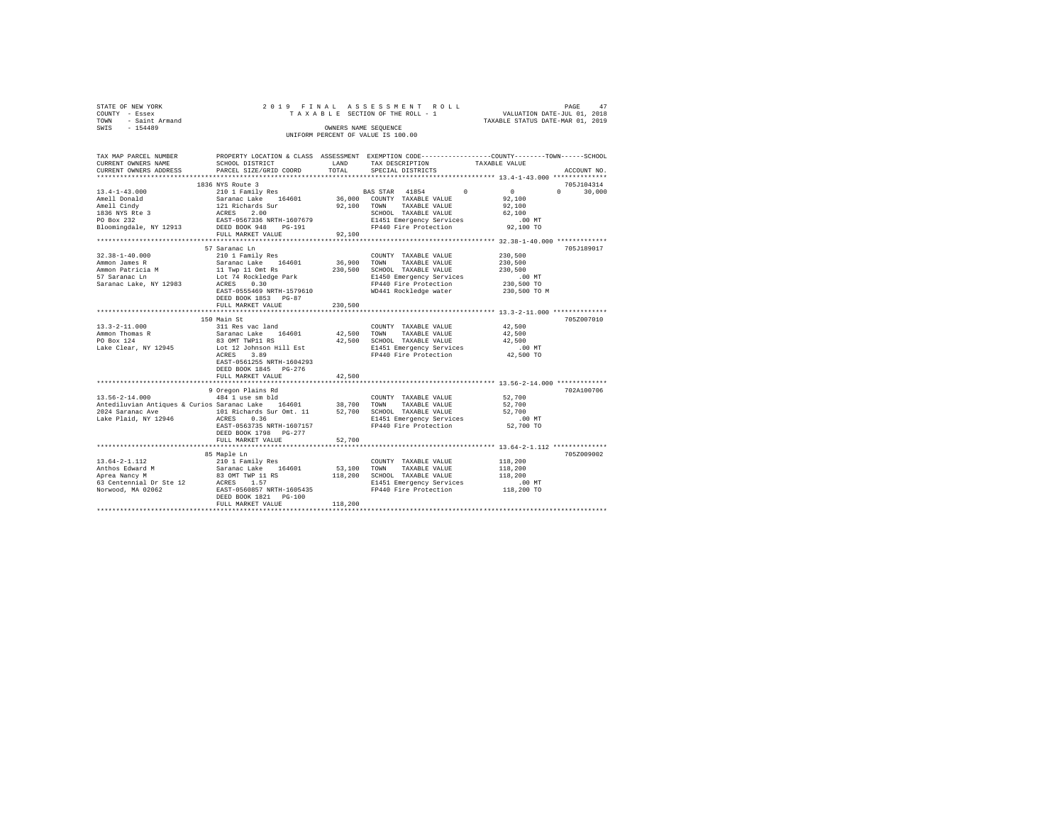|      | STATE OF NEW YORK |  |  |  | 2019 FINAL ASSESSMENT ROLL         |  |  |  |  |  |                                  |  | PAGE | 47 |
|------|-------------------|--|--|--|------------------------------------|--|--|--|--|--|----------------------------------|--|------|----|
|      | COUNTY - Essex    |  |  |  | TAXABLE SECTION OF THE ROLL - 1    |  |  |  |  |  | VALUATION DATE-JUL 01, 2018      |  |      |    |
| TOWN | - Saint Armand    |  |  |  |                                    |  |  |  |  |  | TAXABLE STATUS DATE-MAR 01, 2019 |  |      |    |
| SWIS | $-154489$         |  |  |  | OWNERS NAME SEOUENCE               |  |  |  |  |  |                                  |  |      |    |
|      |                   |  |  |  | UNIFORM PERCENT OF VALUE IS 100.00 |  |  |  |  |  |                                  |  |      |    |

| TAX MAP PARCEL NUMBER<br>CURRENT OWNERS NAME                   | PROPERTY LOCATION & CLASS ASSESSMENT EXEMPTION CODE---------------COUNTY-------TOWN-----SCHOOL<br>SCHOOL DISTRICT                                     | LAND        | TAX DESCRIPTION                                   | TAXABLE VALUE                                                    |                    |
|----------------------------------------------------------------|-------------------------------------------------------------------------------------------------------------------------------------------------------|-------------|---------------------------------------------------|------------------------------------------------------------------|--------------------|
| CURRENT OWNERS ADDRESS                                         | PARCEL SIZE/GRID COORD                                                                                                                                | TOTAL       | SPECIAL DISTRICTS                                 |                                                                  | ACCOUNT NO.        |
| **********************                                         |                                                                                                                                                       |             |                                                   |                                                                  |                    |
|                                                                | 1836 NYS Route 3                                                                                                                                      |             |                                                   |                                                                  | 705J104314         |
| $13.4 - 1 - 43.000$                                            |                                                                                                                                                       |             | <b>BAS STAR</b> 41854                             | $\Omega$<br>$\overline{0}$                                       | $\Omega$<br>30,000 |
| Amell Donald                                                   |                                                                                                                                                       |             | 36,000 COUNTY TAXABLE VALUE                       | 92,100                                                           |                    |
| Amell Cindy                                                    |                                                                                                                                                       | 92,100      | TAXABLE VALUE<br>TOWN                             | 92,100                                                           |                    |
| 1836 NYS Rte 3<br>PO Box 232                                   |                                                                                                                                                       |             | SCHOOL TAXABLE VALUE                              | 62,100                                                           |                    |
|                                                                |                                                                                                                                                       |             | E1451 Emergency Services                          | .00 MT                                                           |                    |
| Bloomingdale, NY 12913                                         | 2001 - Note - 9<br>210 1 Family Res<br>Saranac Lake 164601<br>121 Richards Sur<br>RCRES - 2.00<br>EAST-0567336 NRTH-1607679<br>DEED BOOK 948 - PG-191 |             | FP440 Fire Protection                             | 92,100 TO                                                        |                    |
|                                                                | FULL MARKET VALUE                                                                                                                                     | 92,100      |                                                   |                                                                  |                    |
|                                                                |                                                                                                                                                       |             |                                                   |                                                                  |                    |
|                                                                | 57 Saranac Ln                                                                                                                                         |             |                                                   |                                                                  | 705J189017         |
| $32.38 - 1 - 40.000$<br>Ammon James R                          | 210 1 Family Res                                                                                                                                      | 36,900 TOWN | COUNTY TAXABLE VALUE<br>TAXABLE VALUE             | 230,500                                                          |                    |
|                                                                | Saranac Lake 164601                                                                                                                                   |             |                                                   | 230,500                                                          |                    |
| Ammon Patricia M                                               |                                                                                                                                                       | 230,500     | SCHOOL TAXABLE VALUE                              | 230,500                                                          |                    |
| 57 Saranac Ln                                                  | 341440 1446<br>11 Twp 11 Omt Rs<br>Lot 74 Rockledge Park<br>ACRES 0.30                                                                                |             | E1450 Emergency Services<br>FP440 Fire Protection | .00 MT                                                           |                    |
| Saranac Lake, NY 12983                                         | EAST-0555469 NRTH-1579610                                                                                                                             |             | WD441 Rockledge water                             | 230,500 TO<br>230,500 TO M                                       |                    |
|                                                                | DEED BOOK 1853 PG-87                                                                                                                                  |             |                                                   |                                                                  |                    |
|                                                                | FULL MARKET VALUE                                                                                                                                     | 230,500     |                                                   |                                                                  |                    |
|                                                                | ************************                                                                                                                              | *********** |                                                   | ********************************** 13.3-2-11.000 *************** |                    |
|                                                                | 150 Main St                                                                                                                                           |             |                                                   |                                                                  | 705Z007010         |
| $13.3 - 2 - 11.000$                                            |                                                                                                                                                       |             | COUNTY TAXABLE VALUE                              | 42,500                                                           |                    |
| Ammon Thomas R                                                 |                                                                                                                                                       | 42,500 TOWN | TAXABLE VALUE                                     | 42,500                                                           |                    |
| PO Box 124                                                     |                                                                                                                                                       |             | 42,500 SCHOOL TAXABLE VALUE                       | 42,500                                                           |                    |
| Lake Clear, NY 12945                                           | 311 Res vac land<br>Saranac Lake 164601<br>83 OMT TWP11 RS<br>Lot 12 Johnson Hill Est                                                                 |             | E1451 Emergency Services                          | $.00$ MT                                                         |                    |
|                                                                | ACRES<br>3.89                                                                                                                                         |             | FP440 Fire Protection                             | 42,500 TO                                                        |                    |
|                                                                | EAST-0561255 NRTH-1604293                                                                                                                             |             |                                                   |                                                                  |                    |
|                                                                | DEED BOOK 1845 PG-276                                                                                                                                 |             |                                                   |                                                                  |                    |
|                                                                | FULL MARKET VALUE                                                                                                                                     | 42,500      |                                                   |                                                                  |                    |
|                                                                |                                                                                                                                                       |             |                                                   |                                                                  |                    |
|                                                                | 9 Oregon Plains Rd                                                                                                                                    |             |                                                   |                                                                  | 702A100706         |
| 13.56-2-14.000                                                 | 484 1 use sm bld                                                                                                                                      |             | COUNTY TAXABLE VALUE                              | 52,700                                                           |                    |
| Antediluvian Antiques & Curios Saranac Lake 164601 38,700 TOWN |                                                                                                                                                       |             | TAXABLE VALUE                                     | 52,700                                                           |                    |
| 2024 Saranac Ave                                               | 101 Richards Sur Omt. 11                                                                                                                              |             | 52,700 SCHOOL TAXABLE VALUE                       | 52,700                                                           |                    |
| Lake Plaid, NY 12946                                           | ACRES<br>0.36                                                                                                                                         |             | E1451 Emergency Services                          | .00 MT                                                           |                    |
|                                                                | EAST-0563735 NRTH-1607157                                                                                                                             |             | FP440 Fire Protection                             | 52,700 TO                                                        |                    |
|                                                                | DEED BOOK 1798 PG-277                                                                                                                                 |             |                                                   |                                                                  |                    |
|                                                                | FULL MARKET VALUE                                                                                                                                     | 52,700      |                                                   |                                                                  |                    |
|                                                                |                                                                                                                                                       |             |                                                   |                                                                  |                    |
|                                                                | 85 Maple Ln                                                                                                                                           |             |                                                   |                                                                  | 705Z009002         |
| $13.64 - 2 - 1.112$                                            | 210 1 Family Res<br>Saranac Lake 164601<br>83 OMT TWP 11 RS                                                                                           |             | COUNTY TAXABLE VALUE                              | 118,200                                                          |                    |
| Anthos Edward M                                                |                                                                                                                                                       | 53,100 TOWN | TAXABLE VALUE                                     | 118,200                                                          |                    |
| Aprea Nancy M                                                  |                                                                                                                                                       |             | 118,200 SCHOOL TAXABLE VALUE                      | 118,200                                                          |                    |
| 63 Centennial Dr Ste 12                                        | 20055 1.57<br>ACRES 1.57<br>EAST-0560857 NRTH-1605435                                                                                                 |             | E1451 Emergency Services                          | $.00$ MT                                                         |                    |
| Norwood, MA 02062                                              |                                                                                                                                                       |             | FP440 Fire Protection                             | 118,200 TO                                                       |                    |
|                                                                | DEED BOOK 1821 PG-100                                                                                                                                 |             |                                                   |                                                                  |                    |
|                                                                | FULL MARKET VALUE                                                                                                                                     | 118,200     |                                                   |                                                                  |                    |
|                                                                |                                                                                                                                                       |             |                                                   |                                                                  |                    |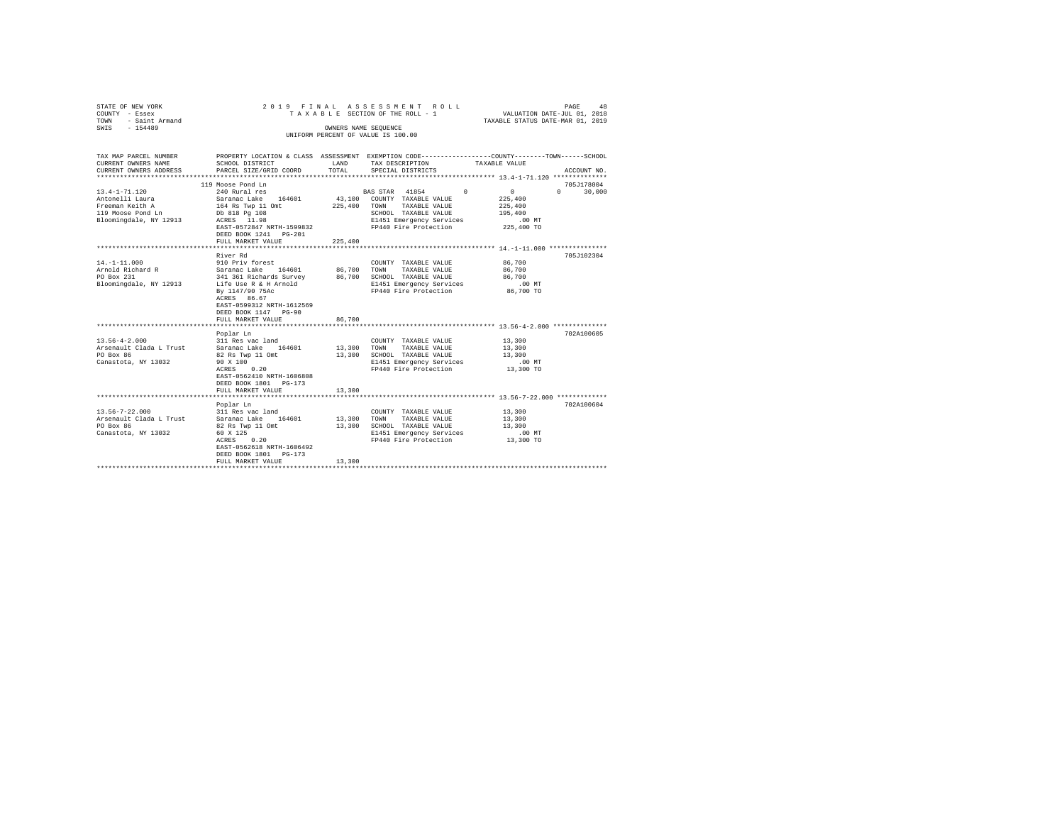| SWIS - 154489<br>OWNERS NAME SEQUENCE<br>UNIFORM PERCENT OF VALUE IS 100.00<br>PROPERTY LOCATION & CLASS ASSESSMENT EXEMPTION CODE---------------COUNTY-------TOWN------SCHOOL<br>TAX MAP PARCEL NUMBER<br>CURRENT OWNERS NAME<br>SCHOOL DISTRICT<br>LAND<br>TAX DESCRIPTION<br>TAXABLE VALUE<br>PARCEL SIZE/GRID COORD<br>TOTAL<br>CURRENT OWNERS ADDRESS<br>SPECIAL DISTRICTS<br>ACCOUNT NO.<br>119 Moose Pond Ln<br>705J178004<br>$\sim$ 0<br>$13.4 - 1 - 71.120$<br>$\Omega$<br>$\mathsf{n}$<br>240 Rural res<br>BAS STAR 41854<br>30,000<br>Antonelli Laura<br>Saranac Lake 164601<br>164 Rs Twp 11 Omt<br>43,100 COUNTY TAXABLE VALUE<br>225,400<br>Freeman Keith A<br>225,400 TOWN TAXABLE VALUE<br>225,400<br>119 Moose Pond Ln<br>Db 818 Pg 108<br>SCHOOL TAXABLE VALUE<br>195,400<br>ACRES 11.98<br>Bloomingdale, NY 12913<br>E1451 Emergency Services<br>.00 MT<br>FP440 Fire Protection<br>EAST-0572847 NRTH-1599832<br>225,400 TO<br>DEED BOOK 1241   PG-201<br>FULL MARKET VALUE<br>225,400<br>705J102304<br>River Rd<br>$14. -1 - 11.000$<br>910 Priv forest<br>Saranac Lake 164601<br>86,700<br>COUNTY TAXABLE VALUE<br>Arnold Richard R<br>86,700<br>86,700<br>TOWN<br>TAXABLE VALUE<br>PO Box 231<br>341 361 Richards Survey 86,700 SCHOOL TAXABLE VALUE<br>86,700<br>Life Use R & H Arnold<br>Bloomingdale, NY 12913<br>E1451 Emergency Services<br>$.00$ MT<br>86,700 TO<br>By 1147/90 75Ac<br>FP440 Fire Protection<br>ACRES 86.67<br>EAST-0599312 NRTH-1612569<br>DEED BOOK 1147 PG-90<br>86,700<br>FULL MARKET VALUE<br>********************** 13.56-4-2.000 **************<br>********************<br>702A100605<br>Poplar Ln<br>$13.56 - 4 - 2.000$<br>13,300<br>311 Res vac land<br>COUNTY TAXABLE VALUE<br>Arsenault Clada L Trust<br>Saranac Lake 164601<br>13,300<br>13,300<br>TOWN<br>TAXABLE VALUE<br>PO Box 86<br>13,300<br>82 Rs Twp 11 Omt<br>SCHOOL TAXABLE VALUE<br>13,300<br>Canastota, NY 13032<br>90 X 100<br>E1451 Emergency Services<br>.00MT<br>ACRES 0.20<br>FP440 Fire Protection<br>13,300 TO<br>EAST-0562410 NRTH-1606808<br>DEED BOOK 1801 PG-173<br>FULL MARKET VALUE<br>13,300<br>******************************** 13.56-7-22.000 *************<br>************************<br>702A100604<br>Poplar Ln<br>$13.56 - 7 - 22.000$<br>311 Res vac land<br>13,300<br>COUNTY TAXABLE VALUE<br>Arsenault Clada L Trust<br>Saranac Lake 164601<br>13,300<br>13,300<br>TOWN<br>TAXABLE VALUE<br>PO Box 86<br>82 Rs Twp 11 Omt<br>13,300<br>SCHOOL TAXABLE VALUE<br>13,300<br>Canastota, NY 13032<br>$.00$ MT<br>60 X 125<br>E1451 Emergency Services<br>FP440 Fire Protection 13,300 TO<br>ACRES 0.20<br>EAST-0562618 NRTH-1606492<br>DEED BOOK 1801 PG-173<br>13,300<br>FULL MARKET VALUE<br>************************* | STATE OF NEW YORK<br>COUNTY - Essex<br>TOWN<br>- Saint Armand | 2019 FINAL | ASSESSMENT ROLL<br>PAGE<br>TAXABLE SECTION OF THE ROLL - 1<br>VALUATION DATE-JUL 01, 2018<br>TAXABLE STATUS DATE-MAR 01, 2019 |  |  |  |  |  |  |  |
|-----------------------------------------------------------------------------------------------------------------------------------------------------------------------------------------------------------------------------------------------------------------------------------------------------------------------------------------------------------------------------------------------------------------------------------------------------------------------------------------------------------------------------------------------------------------------------------------------------------------------------------------------------------------------------------------------------------------------------------------------------------------------------------------------------------------------------------------------------------------------------------------------------------------------------------------------------------------------------------------------------------------------------------------------------------------------------------------------------------------------------------------------------------------------------------------------------------------------------------------------------------------------------------------------------------------------------------------------------------------------------------------------------------------------------------------------------------------------------------------------------------------------------------------------------------------------------------------------------------------------------------------------------------------------------------------------------------------------------------------------------------------------------------------------------------------------------------------------------------------------------------------------------------------------------------------------------------------------------------------------------------------------------------------------------------------------------------------------------------------------------------------------------------------------------------------------------------------------------------------------------------------------------------------------------------------------------------------------------------------------------------------------------------------------------------------------------------------------------------------------------------------------------------------------------------------------------------------------------------------------------------------------------------------------------------------------------------------------------------------------------------------|---------------------------------------------------------------|------------|-------------------------------------------------------------------------------------------------------------------------------|--|--|--|--|--|--|--|
|                                                                                                                                                                                                                                                                                                                                                                                                                                                                                                                                                                                                                                                                                                                                                                                                                                                                                                                                                                                                                                                                                                                                                                                                                                                                                                                                                                                                                                                                                                                                                                                                                                                                                                                                                                                                                                                                                                                                                                                                                                                                                                                                                                                                                                                                                                                                                                                                                                                                                                                                                                                                                                                                                                                                                                 |                                                               |            |                                                                                                                               |  |  |  |  |  |  |  |
|                                                                                                                                                                                                                                                                                                                                                                                                                                                                                                                                                                                                                                                                                                                                                                                                                                                                                                                                                                                                                                                                                                                                                                                                                                                                                                                                                                                                                                                                                                                                                                                                                                                                                                                                                                                                                                                                                                                                                                                                                                                                                                                                                                                                                                                                                                                                                                                                                                                                                                                                                                                                                                                                                                                                                                 |                                                               |            |                                                                                                                               |  |  |  |  |  |  |  |
|                                                                                                                                                                                                                                                                                                                                                                                                                                                                                                                                                                                                                                                                                                                                                                                                                                                                                                                                                                                                                                                                                                                                                                                                                                                                                                                                                                                                                                                                                                                                                                                                                                                                                                                                                                                                                                                                                                                                                                                                                                                                                                                                                                                                                                                                                                                                                                                                                                                                                                                                                                                                                                                                                                                                                                 |                                                               |            |                                                                                                                               |  |  |  |  |  |  |  |
|                                                                                                                                                                                                                                                                                                                                                                                                                                                                                                                                                                                                                                                                                                                                                                                                                                                                                                                                                                                                                                                                                                                                                                                                                                                                                                                                                                                                                                                                                                                                                                                                                                                                                                                                                                                                                                                                                                                                                                                                                                                                                                                                                                                                                                                                                                                                                                                                                                                                                                                                                                                                                                                                                                                                                                 |                                                               |            |                                                                                                                               |  |  |  |  |  |  |  |
|                                                                                                                                                                                                                                                                                                                                                                                                                                                                                                                                                                                                                                                                                                                                                                                                                                                                                                                                                                                                                                                                                                                                                                                                                                                                                                                                                                                                                                                                                                                                                                                                                                                                                                                                                                                                                                                                                                                                                                                                                                                                                                                                                                                                                                                                                                                                                                                                                                                                                                                                                                                                                                                                                                                                                                 |                                                               |            |                                                                                                                               |  |  |  |  |  |  |  |
|                                                                                                                                                                                                                                                                                                                                                                                                                                                                                                                                                                                                                                                                                                                                                                                                                                                                                                                                                                                                                                                                                                                                                                                                                                                                                                                                                                                                                                                                                                                                                                                                                                                                                                                                                                                                                                                                                                                                                                                                                                                                                                                                                                                                                                                                                                                                                                                                                                                                                                                                                                                                                                                                                                                                                                 |                                                               |            |                                                                                                                               |  |  |  |  |  |  |  |
|                                                                                                                                                                                                                                                                                                                                                                                                                                                                                                                                                                                                                                                                                                                                                                                                                                                                                                                                                                                                                                                                                                                                                                                                                                                                                                                                                                                                                                                                                                                                                                                                                                                                                                                                                                                                                                                                                                                                                                                                                                                                                                                                                                                                                                                                                                                                                                                                                                                                                                                                                                                                                                                                                                                                                                 |                                                               |            |                                                                                                                               |  |  |  |  |  |  |  |
|                                                                                                                                                                                                                                                                                                                                                                                                                                                                                                                                                                                                                                                                                                                                                                                                                                                                                                                                                                                                                                                                                                                                                                                                                                                                                                                                                                                                                                                                                                                                                                                                                                                                                                                                                                                                                                                                                                                                                                                                                                                                                                                                                                                                                                                                                                                                                                                                                                                                                                                                                                                                                                                                                                                                                                 |                                                               |            |                                                                                                                               |  |  |  |  |  |  |  |
|                                                                                                                                                                                                                                                                                                                                                                                                                                                                                                                                                                                                                                                                                                                                                                                                                                                                                                                                                                                                                                                                                                                                                                                                                                                                                                                                                                                                                                                                                                                                                                                                                                                                                                                                                                                                                                                                                                                                                                                                                                                                                                                                                                                                                                                                                                                                                                                                                                                                                                                                                                                                                                                                                                                                                                 |                                                               |            |                                                                                                                               |  |  |  |  |  |  |  |
|                                                                                                                                                                                                                                                                                                                                                                                                                                                                                                                                                                                                                                                                                                                                                                                                                                                                                                                                                                                                                                                                                                                                                                                                                                                                                                                                                                                                                                                                                                                                                                                                                                                                                                                                                                                                                                                                                                                                                                                                                                                                                                                                                                                                                                                                                                                                                                                                                                                                                                                                                                                                                                                                                                                                                                 |                                                               |            |                                                                                                                               |  |  |  |  |  |  |  |
|                                                                                                                                                                                                                                                                                                                                                                                                                                                                                                                                                                                                                                                                                                                                                                                                                                                                                                                                                                                                                                                                                                                                                                                                                                                                                                                                                                                                                                                                                                                                                                                                                                                                                                                                                                                                                                                                                                                                                                                                                                                                                                                                                                                                                                                                                                                                                                                                                                                                                                                                                                                                                                                                                                                                                                 |                                                               |            |                                                                                                                               |  |  |  |  |  |  |  |
|                                                                                                                                                                                                                                                                                                                                                                                                                                                                                                                                                                                                                                                                                                                                                                                                                                                                                                                                                                                                                                                                                                                                                                                                                                                                                                                                                                                                                                                                                                                                                                                                                                                                                                                                                                                                                                                                                                                                                                                                                                                                                                                                                                                                                                                                                                                                                                                                                                                                                                                                                                                                                                                                                                                                                                 |                                                               |            |                                                                                                                               |  |  |  |  |  |  |  |
|                                                                                                                                                                                                                                                                                                                                                                                                                                                                                                                                                                                                                                                                                                                                                                                                                                                                                                                                                                                                                                                                                                                                                                                                                                                                                                                                                                                                                                                                                                                                                                                                                                                                                                                                                                                                                                                                                                                                                                                                                                                                                                                                                                                                                                                                                                                                                                                                                                                                                                                                                                                                                                                                                                                                                                 |                                                               |            |                                                                                                                               |  |  |  |  |  |  |  |
|                                                                                                                                                                                                                                                                                                                                                                                                                                                                                                                                                                                                                                                                                                                                                                                                                                                                                                                                                                                                                                                                                                                                                                                                                                                                                                                                                                                                                                                                                                                                                                                                                                                                                                                                                                                                                                                                                                                                                                                                                                                                                                                                                                                                                                                                                                                                                                                                                                                                                                                                                                                                                                                                                                                                                                 |                                                               |            |                                                                                                                               |  |  |  |  |  |  |  |
|                                                                                                                                                                                                                                                                                                                                                                                                                                                                                                                                                                                                                                                                                                                                                                                                                                                                                                                                                                                                                                                                                                                                                                                                                                                                                                                                                                                                                                                                                                                                                                                                                                                                                                                                                                                                                                                                                                                                                                                                                                                                                                                                                                                                                                                                                                                                                                                                                                                                                                                                                                                                                                                                                                                                                                 |                                                               |            |                                                                                                                               |  |  |  |  |  |  |  |
|                                                                                                                                                                                                                                                                                                                                                                                                                                                                                                                                                                                                                                                                                                                                                                                                                                                                                                                                                                                                                                                                                                                                                                                                                                                                                                                                                                                                                                                                                                                                                                                                                                                                                                                                                                                                                                                                                                                                                                                                                                                                                                                                                                                                                                                                                                                                                                                                                                                                                                                                                                                                                                                                                                                                                                 |                                                               |            |                                                                                                                               |  |  |  |  |  |  |  |
|                                                                                                                                                                                                                                                                                                                                                                                                                                                                                                                                                                                                                                                                                                                                                                                                                                                                                                                                                                                                                                                                                                                                                                                                                                                                                                                                                                                                                                                                                                                                                                                                                                                                                                                                                                                                                                                                                                                                                                                                                                                                                                                                                                                                                                                                                                                                                                                                                                                                                                                                                                                                                                                                                                                                                                 |                                                               |            |                                                                                                                               |  |  |  |  |  |  |  |
|                                                                                                                                                                                                                                                                                                                                                                                                                                                                                                                                                                                                                                                                                                                                                                                                                                                                                                                                                                                                                                                                                                                                                                                                                                                                                                                                                                                                                                                                                                                                                                                                                                                                                                                                                                                                                                                                                                                                                                                                                                                                                                                                                                                                                                                                                                                                                                                                                                                                                                                                                                                                                                                                                                                                                                 |                                                               |            |                                                                                                                               |  |  |  |  |  |  |  |
|                                                                                                                                                                                                                                                                                                                                                                                                                                                                                                                                                                                                                                                                                                                                                                                                                                                                                                                                                                                                                                                                                                                                                                                                                                                                                                                                                                                                                                                                                                                                                                                                                                                                                                                                                                                                                                                                                                                                                                                                                                                                                                                                                                                                                                                                                                                                                                                                                                                                                                                                                                                                                                                                                                                                                                 |                                                               |            |                                                                                                                               |  |  |  |  |  |  |  |
|                                                                                                                                                                                                                                                                                                                                                                                                                                                                                                                                                                                                                                                                                                                                                                                                                                                                                                                                                                                                                                                                                                                                                                                                                                                                                                                                                                                                                                                                                                                                                                                                                                                                                                                                                                                                                                                                                                                                                                                                                                                                                                                                                                                                                                                                                                                                                                                                                                                                                                                                                                                                                                                                                                                                                                 |                                                               |            |                                                                                                                               |  |  |  |  |  |  |  |
|                                                                                                                                                                                                                                                                                                                                                                                                                                                                                                                                                                                                                                                                                                                                                                                                                                                                                                                                                                                                                                                                                                                                                                                                                                                                                                                                                                                                                                                                                                                                                                                                                                                                                                                                                                                                                                                                                                                                                                                                                                                                                                                                                                                                                                                                                                                                                                                                                                                                                                                                                                                                                                                                                                                                                                 |                                                               |            |                                                                                                                               |  |  |  |  |  |  |  |
|                                                                                                                                                                                                                                                                                                                                                                                                                                                                                                                                                                                                                                                                                                                                                                                                                                                                                                                                                                                                                                                                                                                                                                                                                                                                                                                                                                                                                                                                                                                                                                                                                                                                                                                                                                                                                                                                                                                                                                                                                                                                                                                                                                                                                                                                                                                                                                                                                                                                                                                                                                                                                                                                                                                                                                 |                                                               |            |                                                                                                                               |  |  |  |  |  |  |  |
|                                                                                                                                                                                                                                                                                                                                                                                                                                                                                                                                                                                                                                                                                                                                                                                                                                                                                                                                                                                                                                                                                                                                                                                                                                                                                                                                                                                                                                                                                                                                                                                                                                                                                                                                                                                                                                                                                                                                                                                                                                                                                                                                                                                                                                                                                                                                                                                                                                                                                                                                                                                                                                                                                                                                                                 |                                                               |            |                                                                                                                               |  |  |  |  |  |  |  |
|                                                                                                                                                                                                                                                                                                                                                                                                                                                                                                                                                                                                                                                                                                                                                                                                                                                                                                                                                                                                                                                                                                                                                                                                                                                                                                                                                                                                                                                                                                                                                                                                                                                                                                                                                                                                                                                                                                                                                                                                                                                                                                                                                                                                                                                                                                                                                                                                                                                                                                                                                                                                                                                                                                                                                                 |                                                               |            |                                                                                                                               |  |  |  |  |  |  |  |
|                                                                                                                                                                                                                                                                                                                                                                                                                                                                                                                                                                                                                                                                                                                                                                                                                                                                                                                                                                                                                                                                                                                                                                                                                                                                                                                                                                                                                                                                                                                                                                                                                                                                                                                                                                                                                                                                                                                                                                                                                                                                                                                                                                                                                                                                                                                                                                                                                                                                                                                                                                                                                                                                                                                                                                 |                                                               |            |                                                                                                                               |  |  |  |  |  |  |  |
|                                                                                                                                                                                                                                                                                                                                                                                                                                                                                                                                                                                                                                                                                                                                                                                                                                                                                                                                                                                                                                                                                                                                                                                                                                                                                                                                                                                                                                                                                                                                                                                                                                                                                                                                                                                                                                                                                                                                                                                                                                                                                                                                                                                                                                                                                                                                                                                                                                                                                                                                                                                                                                                                                                                                                                 |                                                               |            |                                                                                                                               |  |  |  |  |  |  |  |
|                                                                                                                                                                                                                                                                                                                                                                                                                                                                                                                                                                                                                                                                                                                                                                                                                                                                                                                                                                                                                                                                                                                                                                                                                                                                                                                                                                                                                                                                                                                                                                                                                                                                                                                                                                                                                                                                                                                                                                                                                                                                                                                                                                                                                                                                                                                                                                                                                                                                                                                                                                                                                                                                                                                                                                 |                                                               |            |                                                                                                                               |  |  |  |  |  |  |  |
|                                                                                                                                                                                                                                                                                                                                                                                                                                                                                                                                                                                                                                                                                                                                                                                                                                                                                                                                                                                                                                                                                                                                                                                                                                                                                                                                                                                                                                                                                                                                                                                                                                                                                                                                                                                                                                                                                                                                                                                                                                                                                                                                                                                                                                                                                                                                                                                                                                                                                                                                                                                                                                                                                                                                                                 |                                                               |            |                                                                                                                               |  |  |  |  |  |  |  |
|                                                                                                                                                                                                                                                                                                                                                                                                                                                                                                                                                                                                                                                                                                                                                                                                                                                                                                                                                                                                                                                                                                                                                                                                                                                                                                                                                                                                                                                                                                                                                                                                                                                                                                                                                                                                                                                                                                                                                                                                                                                                                                                                                                                                                                                                                                                                                                                                                                                                                                                                                                                                                                                                                                                                                                 |                                                               |            |                                                                                                                               |  |  |  |  |  |  |  |
|                                                                                                                                                                                                                                                                                                                                                                                                                                                                                                                                                                                                                                                                                                                                                                                                                                                                                                                                                                                                                                                                                                                                                                                                                                                                                                                                                                                                                                                                                                                                                                                                                                                                                                                                                                                                                                                                                                                                                                                                                                                                                                                                                                                                                                                                                                                                                                                                                                                                                                                                                                                                                                                                                                                                                                 |                                                               |            |                                                                                                                               |  |  |  |  |  |  |  |
|                                                                                                                                                                                                                                                                                                                                                                                                                                                                                                                                                                                                                                                                                                                                                                                                                                                                                                                                                                                                                                                                                                                                                                                                                                                                                                                                                                                                                                                                                                                                                                                                                                                                                                                                                                                                                                                                                                                                                                                                                                                                                                                                                                                                                                                                                                                                                                                                                                                                                                                                                                                                                                                                                                                                                                 |                                                               |            |                                                                                                                               |  |  |  |  |  |  |  |
|                                                                                                                                                                                                                                                                                                                                                                                                                                                                                                                                                                                                                                                                                                                                                                                                                                                                                                                                                                                                                                                                                                                                                                                                                                                                                                                                                                                                                                                                                                                                                                                                                                                                                                                                                                                                                                                                                                                                                                                                                                                                                                                                                                                                                                                                                                                                                                                                                                                                                                                                                                                                                                                                                                                                                                 |                                                               |            |                                                                                                                               |  |  |  |  |  |  |  |
|                                                                                                                                                                                                                                                                                                                                                                                                                                                                                                                                                                                                                                                                                                                                                                                                                                                                                                                                                                                                                                                                                                                                                                                                                                                                                                                                                                                                                                                                                                                                                                                                                                                                                                                                                                                                                                                                                                                                                                                                                                                                                                                                                                                                                                                                                                                                                                                                                                                                                                                                                                                                                                                                                                                                                                 |                                                               |            |                                                                                                                               |  |  |  |  |  |  |  |
|                                                                                                                                                                                                                                                                                                                                                                                                                                                                                                                                                                                                                                                                                                                                                                                                                                                                                                                                                                                                                                                                                                                                                                                                                                                                                                                                                                                                                                                                                                                                                                                                                                                                                                                                                                                                                                                                                                                                                                                                                                                                                                                                                                                                                                                                                                                                                                                                                                                                                                                                                                                                                                                                                                                                                                 |                                                               |            |                                                                                                                               |  |  |  |  |  |  |  |
|                                                                                                                                                                                                                                                                                                                                                                                                                                                                                                                                                                                                                                                                                                                                                                                                                                                                                                                                                                                                                                                                                                                                                                                                                                                                                                                                                                                                                                                                                                                                                                                                                                                                                                                                                                                                                                                                                                                                                                                                                                                                                                                                                                                                                                                                                                                                                                                                                                                                                                                                                                                                                                                                                                                                                                 |                                                               |            |                                                                                                                               |  |  |  |  |  |  |  |
|                                                                                                                                                                                                                                                                                                                                                                                                                                                                                                                                                                                                                                                                                                                                                                                                                                                                                                                                                                                                                                                                                                                                                                                                                                                                                                                                                                                                                                                                                                                                                                                                                                                                                                                                                                                                                                                                                                                                                                                                                                                                                                                                                                                                                                                                                                                                                                                                                                                                                                                                                                                                                                                                                                                                                                 |                                                               |            |                                                                                                                               |  |  |  |  |  |  |  |
|                                                                                                                                                                                                                                                                                                                                                                                                                                                                                                                                                                                                                                                                                                                                                                                                                                                                                                                                                                                                                                                                                                                                                                                                                                                                                                                                                                                                                                                                                                                                                                                                                                                                                                                                                                                                                                                                                                                                                                                                                                                                                                                                                                                                                                                                                                                                                                                                                                                                                                                                                                                                                                                                                                                                                                 |                                                               |            |                                                                                                                               |  |  |  |  |  |  |  |
|                                                                                                                                                                                                                                                                                                                                                                                                                                                                                                                                                                                                                                                                                                                                                                                                                                                                                                                                                                                                                                                                                                                                                                                                                                                                                                                                                                                                                                                                                                                                                                                                                                                                                                                                                                                                                                                                                                                                                                                                                                                                                                                                                                                                                                                                                                                                                                                                                                                                                                                                                                                                                                                                                                                                                                 |                                                               |            |                                                                                                                               |  |  |  |  |  |  |  |
|                                                                                                                                                                                                                                                                                                                                                                                                                                                                                                                                                                                                                                                                                                                                                                                                                                                                                                                                                                                                                                                                                                                                                                                                                                                                                                                                                                                                                                                                                                                                                                                                                                                                                                                                                                                                                                                                                                                                                                                                                                                                                                                                                                                                                                                                                                                                                                                                                                                                                                                                                                                                                                                                                                                                                                 |                                                               |            |                                                                                                                               |  |  |  |  |  |  |  |
|                                                                                                                                                                                                                                                                                                                                                                                                                                                                                                                                                                                                                                                                                                                                                                                                                                                                                                                                                                                                                                                                                                                                                                                                                                                                                                                                                                                                                                                                                                                                                                                                                                                                                                                                                                                                                                                                                                                                                                                                                                                                                                                                                                                                                                                                                                                                                                                                                                                                                                                                                                                                                                                                                                                                                                 |                                                               |            |                                                                                                                               |  |  |  |  |  |  |  |
|                                                                                                                                                                                                                                                                                                                                                                                                                                                                                                                                                                                                                                                                                                                                                                                                                                                                                                                                                                                                                                                                                                                                                                                                                                                                                                                                                                                                                                                                                                                                                                                                                                                                                                                                                                                                                                                                                                                                                                                                                                                                                                                                                                                                                                                                                                                                                                                                                                                                                                                                                                                                                                                                                                                                                                 |                                                               |            |                                                                                                                               |  |  |  |  |  |  |  |
|                                                                                                                                                                                                                                                                                                                                                                                                                                                                                                                                                                                                                                                                                                                                                                                                                                                                                                                                                                                                                                                                                                                                                                                                                                                                                                                                                                                                                                                                                                                                                                                                                                                                                                                                                                                                                                                                                                                                                                                                                                                                                                                                                                                                                                                                                                                                                                                                                                                                                                                                                                                                                                                                                                                                                                 |                                                               |            |                                                                                                                               |  |  |  |  |  |  |  |
|                                                                                                                                                                                                                                                                                                                                                                                                                                                                                                                                                                                                                                                                                                                                                                                                                                                                                                                                                                                                                                                                                                                                                                                                                                                                                                                                                                                                                                                                                                                                                                                                                                                                                                                                                                                                                                                                                                                                                                                                                                                                                                                                                                                                                                                                                                                                                                                                                                                                                                                                                                                                                                                                                                                                                                 |                                                               |            |                                                                                                                               |  |  |  |  |  |  |  |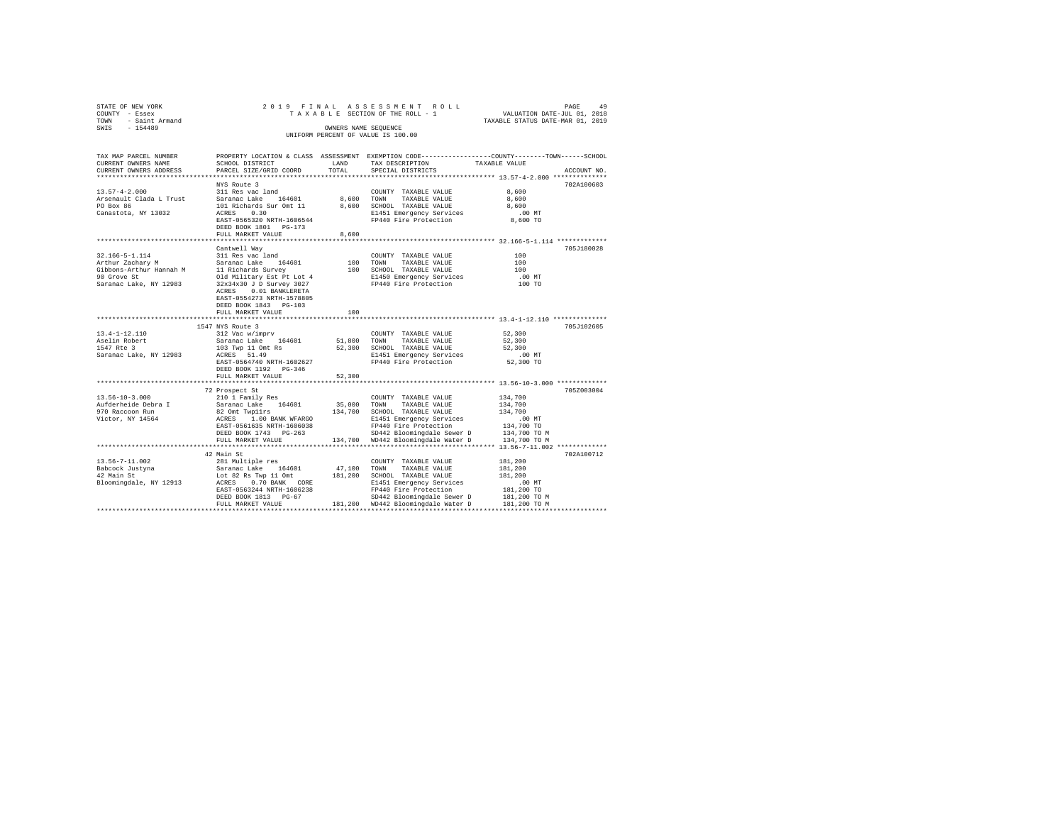| STATE OF NEW YORK<br>COUNTY - Essex<br>TOWN - Saint Armand<br>SWIS - 154489                                                                                                                                                                                               |                                                                                                                                                                                                                 | OWNERS NAME SEOUENCE | 2019 FINAL ASSESSMENT ROLL<br>TAXABLE SECTION OF THE ROLL - 1<br>UNIFORM PERCENT OF VALUE IS 100.00                                               | VALUATION DATE-JUL 01, 2018<br>TAXABLE STATUS DATE-MAR 01, 2019         | PAGE<br>49  |
|---------------------------------------------------------------------------------------------------------------------------------------------------------------------------------------------------------------------------------------------------------------------------|-----------------------------------------------------------------------------------------------------------------------------------------------------------------------------------------------------------------|----------------------|---------------------------------------------------------------------------------------------------------------------------------------------------|-------------------------------------------------------------------------|-------------|
| TAX MAP PARCEL NUMBER PROPERTY LOCATION & CLASS ASSESSMENT EXEMPTION CODE--------------COUNTY-------TOWN-----SCHOOL<br>CURRENT OWNERS NAME<br>CURRENT OWNERS ADDRESS                                                                                                      | SCHOOL DISTRICT LAND<br>PARCEL SIZE/GRID COORD                                                                                                                                                                  | TOTAL                | TAX DESCRIPTION<br>SPECIAL DISTRICTS                                                                                                              | TAXABLE VALUE<br>****************** 13.57-4-2.000 **************        | ACCOUNT NO. |
|                                                                                                                                                                                                                                                                           | NYS Route 3                                                                                                                                                                                                     |                      |                                                                                                                                                   |                                                                         | 702A100603  |
| $13.57 - 4 - 2.000$<br>Arsenault Clada L Trust Saranac Lake 164601<br>PO Box 86<br>Canastota, NY 13032                                                                                                                                                                    | 311 Res vac land<br>101 Richards Sur Omt 11<br>ACRES 0.30<br>EAST-0565320 NRTH-1606544<br>DEED BOOK 1801 PG-173                                                                                                 |                      | COUNTY TAXABLE VALUE<br>8,600 TOWN TAXABLE VALUE<br>8,600 SCHOOL TAXABLE VALUE<br>E1451 Emergency Services<br>FP440 Fire Protection               | 8,600<br>8,600<br>8,600<br>.00MT<br>8,600 TO                            |             |
|                                                                                                                                                                                                                                                                           | FULL MARKET VALUE                                                                                                                                                                                               | 8,600                |                                                                                                                                                   |                                                                         |             |
| 32.166-5-1.114<br>Arthur Zachary M                                                                                                                                                                                                                                        | *************************<br>Cantwell Wav<br>311 Res vac land<br>Saranac Lake 164601 100 TOWN TAXABLE VALUE<br>ACRES 0.01 BANKLERETA<br>EAST-0554273 NRTH-1578805<br>DEED BOOK 1843 PG-103<br>FULL MARKET VALUE | 100                  | *********************************** 32.166-5-1.114 *************<br>100 SCHOOL TAXABLE VALUE<br>E1450 Emergency Services<br>FP440 Fire Protection | 100<br>100<br>100<br>$.00$ MT<br>100 TO                                 | 705J180028  |
|                                                                                                                                                                                                                                                                           | 1547 NYS Route 3                                                                                                                                                                                                |                      |                                                                                                                                                   |                                                                         | 705J102605  |
| $13.4 - 1 - 12.110$<br>Aselin Robert<br>1547 Rte 3<br>Saranac Lake, NY 12983                                                                                                                                                                                              | 312 Vac w/imprv<br>Saranac Lake 164601 51,800 TOWN TAXABLE VALUE<br>103 Twp 11 Omt Rs<br>ACRES 51.49<br>EAST-0564740 NRTH-1602627<br>DEED BOOK 1192    PG-346<br>FULL MARKET VALUE                              | 52,300               | COUNTY TAXABLE VALUE<br>52,300 SCHOOL TAXABLE VALUE<br>E1451 Emergency Services<br>FP440 Fire Protection                                          | 52,300<br>52,300<br>52,300<br>.00MT<br>52,300 TO                        |             |
|                                                                                                                                                                                                                                                                           |                                                                                                                                                                                                                 |                      |                                                                                                                                                   |                                                                         |             |
| $13.56 - 10 - 3.000$<br>Aufderheide Debra I<br>970 Raccoon Run<br>Victor, NY 14564                                                                                                                                                                                        | 72 Prospect St<br>210 1 Family Res<br>Saranac Lake 164601<br>Saranac Lake 164601 35,000 TOWN TAXABLE VALUE<br>82 Omt Twpllrs 134,700 SCHOOL TAXABLE VALUE                                                       |                      | COUNTY TAXABLE VALUE                                                                                                                              | 134,700<br>134,700<br>134,700                                           | 705Z003004  |
|                                                                                                                                                                                                                                                                           |                                                                                                                                                                                                                 |                      |                                                                                                                                                   |                                                                         |             |
| 13.56-7-11.002<br>Babcock Justyna<br>42 Main St<br>42 Main School (1991) ACRES 0.70 BANK CORE 1140 FP440 Fixer pervices<br>EAST-05632444 REAL EAST-05632444 REAL 1606238<br>EAST-0563244 REAL EAST-0563244 REAL 16040 FP440 F11e Protection<br>SP442 Bloomingdale Sewer D | 42 Main St<br>281 Multiple res<br>Saranac Lake 164601 47,100 TOWN TAXABLE VALUE<br>Lot 82 Rs Twp 11 Omt 181, 200 SCHOOL TAXABLE VALUE                                                                           |                      | COUNTY TAXABLE VALUE<br>FULL MARKET VALUE 181,200 WD442 Bloomingdale Water D 181,200 TO M                                                         | 181,200<br>181,200<br>181.200<br>$.00$ MT<br>181,200 TO<br>181,200 TO M | 702A100712  |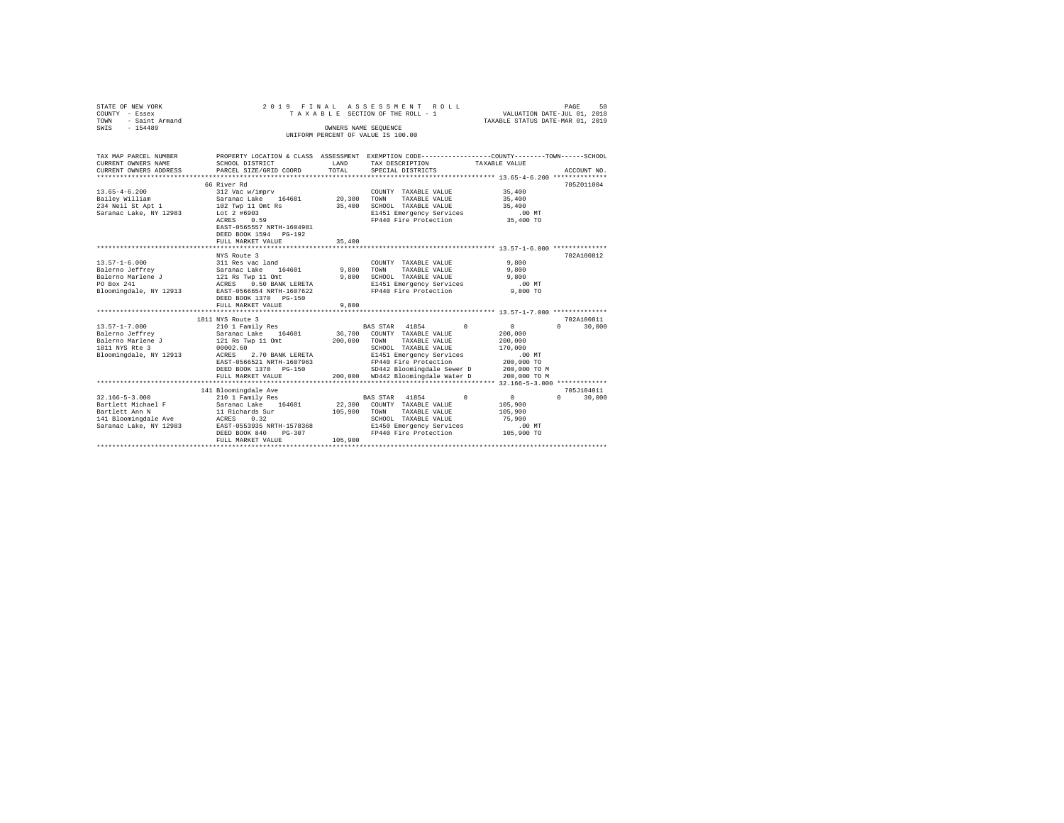| STATE OF NEW YORK<br>COUNTY - Essex<br><b>TOWN</b><br>- Saint Armand<br>SWIS - 154489                                                                                                                                                                                                                                                                                          | 2019 FINAL ASSESSMENT ROLL<br>VALUATION DATE-JUL 01, 2018<br>TAXABLE STATUS DATE-MAR 01, 2019<br>TAXABLE SECTION OF THE ROLL - 1<br>OWNERS NAME SEQUENCE                                       |         |                                                                                                                                                                                       |                                                                                     |                                      |  |  |  |  |
|--------------------------------------------------------------------------------------------------------------------------------------------------------------------------------------------------------------------------------------------------------------------------------------------------------------------------------------------------------------------------------|------------------------------------------------------------------------------------------------------------------------------------------------------------------------------------------------|---------|---------------------------------------------------------------------------------------------------------------------------------------------------------------------------------------|-------------------------------------------------------------------------------------|--------------------------------------|--|--|--|--|
|                                                                                                                                                                                                                                                                                                                                                                                |                                                                                                                                                                                                |         | UNIFORM PERCENT OF VALUE IS 100.00                                                                                                                                                    |                                                                                     |                                      |  |  |  |  |
| TAX MAP PARCEL NUMBER<br>CURRENT OWNERS NAME<br>CURRENT OWNERS ADDRESS                                                                                                                                                                                                                                                                                                         | SCHOOL DISTRICT<br><b>LAND</b><br>PARCEL SIZE/GRID COORD                                                                                                                                       | TOTAL   | PROPERTY LOCATION & CLASS ASSESSMENT EXEMPTION CODE-----------------COUNTY-------TOWN-----SCHOOL<br>TAX DESCRIPTION<br>SPECIAL DISTRICTS                                              | TAXABLE VALUE                                                                       | ACCOUNT NO.                          |  |  |  |  |
| $13.65 - 4 - 6.200$<br>Bailey William<br>234 Neil St Apt 1<br>Saranac Lake, NY 12983                                                                                                                                                                                                                                                                                           | 66 River Rd<br>312 Vac w/imprv<br>Saranac Lake 164601 20,300 TOWN<br>102 Twp 11 Omt Rs<br>Lot 2 #6903<br>ACRES 0.59<br>EAST-0565557 NRTH-1604981<br>DEED BOOK 1594 PG-192<br>FULL MARKET VALUE | 35,400  | COUNTY TAXABLE VALUE<br>TAXABLE VALUE<br>35,400 SCHOOL TAXABLE VALUE<br>E1451 Emergency Services<br>FP440 Fire Protection 35,400 TO                                                   | 35,400<br>35,400<br>35,400<br>$.00$ MT                                              | 705Z011004                           |  |  |  |  |
|                                                                                                                                                                                                                                                                                                                                                                                | ***************************                                                                                                                                                                    |         |                                                                                                                                                                                       |                                                                                     |                                      |  |  |  |  |
| Bloomingdale, NY 12913 EAST-0566654 NRTH-1607622                                                                                                                                                                                                                                                                                                                               | NYS Route 3<br>DEED BOOK 1370 PG-150<br>FULL MARKET VALUE                                                                                                                                      | 9,800   | COUNTY TAXABLE VALUE 9,800<br>9,800 TOWN TAXABLE VALUE<br>9,800 SCHOOL TAXABLE VALUE<br>E1451 Emergency Services .00 MT<br>FP440 Fire Protection  9,800 TO                            | 9,800<br>9,800                                                                      | 702A100812                           |  |  |  |  |
|                                                                                                                                                                                                                                                                                                                                                                                | 1811 NYS Route 3                                                                                                                                                                               |         |                                                                                                                                                                                       |                                                                                     | 702A100811                           |  |  |  |  |
| ${\small \begin{tabular}{lcccc} 13.57-1-7.000 & 210 & 1 Family Res & BAS STR & 41854 & 0\\ Balerno Jeffrey & SaramaraLake & 164601 & 36,700 & COUNT & TAXABLE VALUE \\ Balerno Marlenen & 121 Rs Type & 110mt & 200,000 & TOWNY & TAXABLE VALUE \\ 1811 NYS RE & 3 & 00002.60 & 0 & SCH0OL & TAXABLE VALUE \\ \end{tabular}}$<br>Bloomingdale, NY 12913 ACRES 2.70 BANK LERETA | EAST-0566521 NRTH-1607963<br>DEED BOOK 1370 PG-150<br>FULL MARKET VALUE                                                                                                                        |         | BAS STAR 41854 0<br>36,700 COUNTY TAXABLE VALUE<br>E1451 Emergency Services<br>FP440 Fire Protection<br>SD442 Bloomingdale Sewer D 200,000 TO M<br>200,000 WD442 Bloomingdale Water D | $\sim$ 0<br>200,000<br>200,000<br>170,000<br>$.00$ MT<br>200,000 TO<br>200,000 TO M | $\Omega$<br>30,000                   |  |  |  |  |
|                                                                                                                                                                                                                                                                                                                                                                                |                                                                                                                                                                                                |         |                                                                                                                                                                                       |                                                                                     |                                      |  |  |  |  |
| 32.166-5-3.000 210 1 Family Res                                                                                                                                                                                                                                                                                                                                                | 141 Bloomingdale Ave<br>DEED BOOK 840<br>PG-307<br>FULL MARKET VALUE                                                                                                                           | 105,900 | BAS STAR 41854 0<br>22,300 COUNTY TAXABLE VALUE<br>105,900 TOWN TAXABLE VALUE<br>SCHOOL TAXABLE VALUE<br>E1450 Emergency Services<br>FP440 Fire Protection 105,900 TO                 | $\sim$ 0<br>105,900<br>105,900<br>75,900<br>$.00$ MT                                | 705J104011<br>$\mathbf{0}$<br>30,000 |  |  |  |  |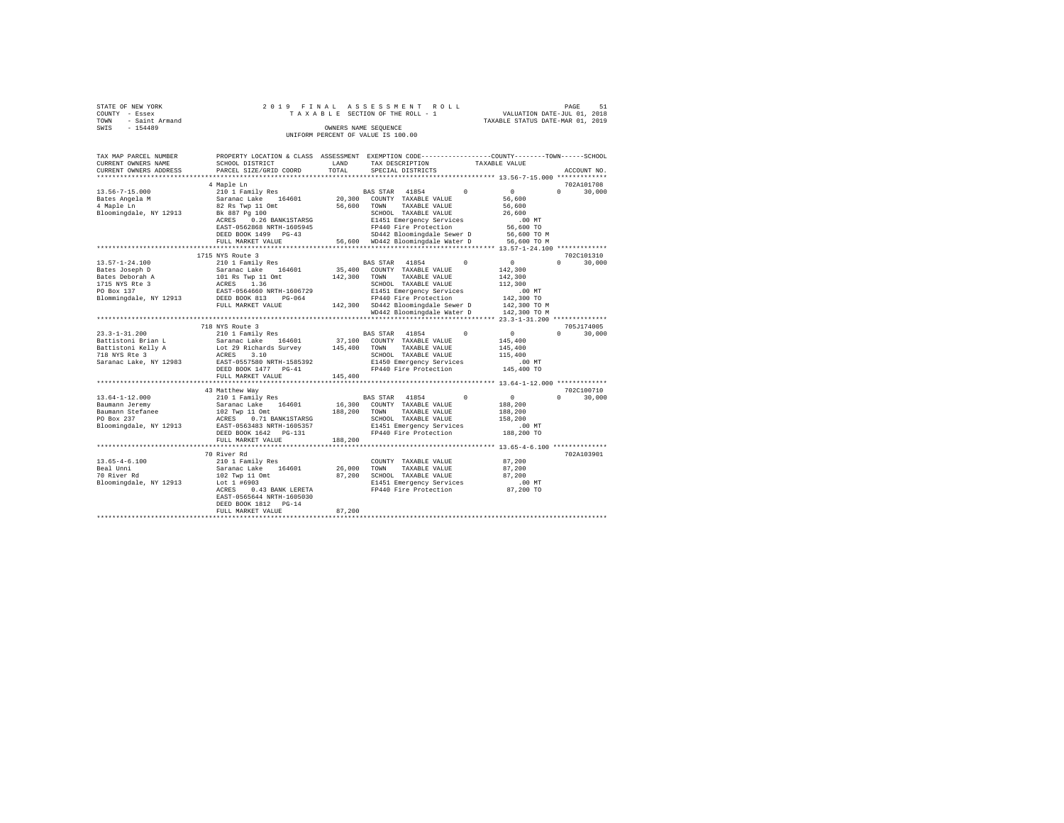| STATE OF NEW YORK      |  |  |  | 2019 FINAL ASSESSMENT ROLL         |  |  |  |                                  | PAGE | 51 |
|------------------------|--|--|--|------------------------------------|--|--|--|----------------------------------|------|----|
| COUNTY - Essex         |  |  |  | TAXABLE SECTION OF THE ROLL - 1    |  |  |  | VALUATION DATE-JUL 01, 2018      |      |    |
| - Saint Armand<br>TOWN |  |  |  |                                    |  |  |  | TAXABLE STATUS DATE-MAR 01, 2019 |      |    |
| SWTS<br>$-154489$      |  |  |  | OWNERS NAME SEOUENCE               |  |  |  |                                  |      |    |
|                        |  |  |  | UNIFORM PERCENT OF VALUE IS 100.00 |  |  |  |                                  |      |    |

| TAX MAP PARCEL NUMBER  | PROPERTY LOCATION & CLASS ASSESSMENT |         | EXEMPTION CODE----------------COUNTY-------TOWN------SCHOOL |            |               |                      |
|------------------------|--------------------------------------|---------|-------------------------------------------------------------|------------|---------------|----------------------|
| CURRENT OWNERS NAME    | SCHOOL DISTRICT                      | LAND    | TAX DESCRIPTION                                             |            | TAXABLE VALUE |                      |
| CURRENT OWNERS ADDRESS | PARCEL SIZE/GRID COORD               | TOTAL   | SPECIAL DISTRICTS                                           |            |               | ACCOUNT NO.          |
|                        | 4 Maple Ln                           |         |                                                             |            |               | 702A101708           |
| $13.56 - 7 - 15.000$   | 210 1 Family Res                     |         | BAS STAR 41854                                              | $\Omega$   | $\Omega$      | $\Omega$<br>30,000   |
| Bates Angela M         | Saranac Lake<br>164601               | 20,300  | COUNTY TAXABLE VALUE                                        |            | 56,600        |                      |
| 4 Maple Ln             | 82 Rs Twp 11 Omt                     | 56,600  | TOWN<br>TAXABLE VALUE                                       |            | 56,600        |                      |
|                        |                                      |         |                                                             |            |               |                      |
| Bloomingdale, NY 12913 | Bk 887 Pg 100                        |         | SCHOOL TAXABLE VALUE                                        |            | 26,600        |                      |
|                        | 0.26 BANK1STARSG<br>ACRES            |         | E1451 Emergency Services                                    |            | $.00$ MT      |                      |
|                        | EAST-0562868 NRTH-1605945            |         | FP440 Fire Protection                                       |            | 56,600 TO     |                      |
|                        | DEED BOOK 1499 PG-43                 |         | SD442 Bloomingdale Sewer D                                  |            | 56,600 TO M   |                      |
|                        | FULL MARKET VALUE                    |         | 56,600 WD442 Bloomingdale Water D                           |            | 56,600 TO M   |                      |
|                        | **********************************   |         |                                                             |            |               |                      |
|                        | 1715 NYS Route 3                     |         |                                                             |            |               | 702C101310           |
| $13.57 - 1 - 24.100$   | 210 1 Family Res                     |         | 41854<br>BAS STAR                                           | $^{\circ}$ | $\mathbf{0}$  | 30,000<br>$^{\circ}$ |
| Bates Joseph D         | Saranac Lake<br>164601               | 35,400  | COUNTY TAXABLE VALUE                                        |            | 142,300       |                      |
| Bates Deborah A        | 101 Rs Twp 11 Omt                    | 142,300 | TOWN<br>TAXABLE VALUE                                       |            | 142,300       |                      |
| 1715 NYS Rte 3         | 1.36<br>ACRES                        |         | SCHOOL TAXABLE VALUE                                        |            | 112,300       |                      |
| PO Box 137             | EAST-0564660 NRTH-1606729            |         | E1451 Emergency Services                                    |            | .00 MT        |                      |
| Blommingdale, NY 12913 | DEED BOOK 813<br>PG-064              |         | FP440 Fire Protection                                       |            | 142,300 TO    |                      |
|                        | FULL MARKET VALUE                    |         | 142,300 SD442 Bloomingdale Sewer D                          |            | 142,300 TO M  |                      |
|                        |                                      |         | WD442 Bloomingdale Water D                                  |            | 142,300 TO M  |                      |
|                        |                                      |         |                                                             |            |               |                      |
|                        |                                      |         |                                                             |            |               | 705J174005           |
|                        | 718 NYS Route 3                      |         |                                                             | $\Omega$   |               |                      |
| $23.3 - 1 - 31.200$    | 210 1 Family Res                     |         | BAS STAR 41854                                              |            | $\sim$ 0      | $\Omega$<br>30,000   |
| Battistoni Brian L     | 164601<br>Saranac Lake               | 37,100  | COUNTY TAXABLE VALUE                                        |            | 145,400       |                      |
| Battistoni Kelly A     | Lot 29 Richards Survey               | 145,400 | TAXABLE VALUE<br>TOWN                                       |            | 145,400       |                      |
| 718 NYS Rte 3          | ACRES<br>3.10                        |         | SCHOOL TAXABLE VALUE                                        |            | 115,400       |                      |
| Saranac Lake, NY 12983 | EAST-0557580 NRTH-1585392            |         | E1450 Emergency Services                                    |            | $.00$ MT      |                      |
|                        | DEED BOOK 1477 PG-41                 |         | FP440 Fire Protection                                       |            | 145,400 TO    |                      |
|                        | FULL MARKET VALUE                    | 145,400 |                                                             |            |               |                      |
|                        |                                      |         |                                                             |            |               |                      |
|                        | 43 Matthew Way                       |         |                                                             |            |               | 702C100710           |
| $13.64 - 1 - 12.000$   | 210 1 Family Res                     |         | BAS STAR 41854                                              | $\Omega$   | $\circ$       | $\Omega$<br>30,000   |
| Baumann Jeremy         | Saranac Lake<br>164601               | 16,300  | COUNTY TAXABLE VALUE                                        |            | 188,200       |                      |
| Baumann Stefanee       | 102 Twp 11 Omt                       | 188,200 | TAXABLE VALUE<br>TOWN                                       |            | 188,200       |                      |
| PO Box 237             | ACRES<br>0.71 BANK1STARSG            |         | SCHOOL TAXABLE VALUE                                        |            | 158,200       |                      |
| Bloomingdale, NY 12913 | EAST-0563483 NRTH-1605357            |         | E1451 Emergency Services                                    |            | .00MT         |                      |
|                        | DEED BOOK 1642 PG-131                |         | FP440 Fire Protection                                       |            | 188,200 TO    |                      |
|                        | FULL MARKET VALUE                    | 188,200 |                                                             |            |               |                      |
|                        |                                      |         |                                                             |            |               |                      |
|                        | 70 River Rd                          |         |                                                             |            |               | 702A103901           |
|                        |                                      |         |                                                             |            |               |                      |
| $13.65 - 4 - 6.100$    | 210 1 Family Res                     |         | COUNTY TAXABLE VALUE                                        |            | 87,200        |                      |
| Beal Unni              | Saranac Lake<br>164601               | 26,000  | TOWN<br>TAXABLE VALUE                                       |            | 87,200        |                      |
| 70 River Rd            | 102 Twp 11 Omt                       | 87,200  | SCHOOL TAXABLE VALUE                                        |            | 87,200        |                      |
| Bloomingdale, NY 12913 | Lot 1 #6903                          |         | E1451 Emergency Services                                    |            | .00MT         |                      |
|                        | 0.43 BANK LERETA<br>ACRES            |         | FP440 Fire Protection                                       |            | 87,200 TO     |                      |
|                        | EAST-0565644 NRTH-1605030            |         |                                                             |            |               |                      |
|                        | DEED BOOK 1812 PG-14                 |         |                                                             |            |               |                      |
|                        | FULL MARKET VALUE                    | 87,200  |                                                             |            |               |                      |
|                        |                                      |         |                                                             |            |               |                      |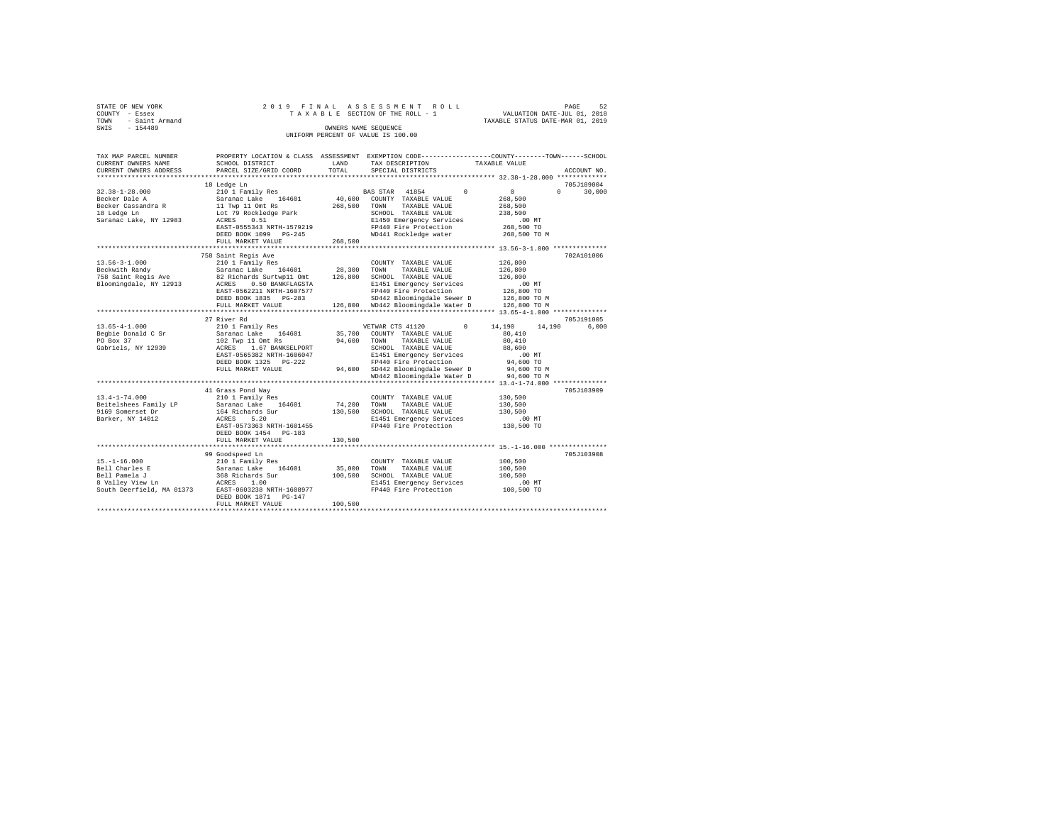|      | STATE OF NEW YORK |  |  |  | 2019 FINAL ASSESSMENT ROLL         |                                  | PAGE | 52 |
|------|-------------------|--|--|--|------------------------------------|----------------------------------|------|----|
|      | COUNTY - Essex    |  |  |  | TAXABLE SECTION OF THE ROLL - 1    | VALUATION DATE-JUL 01, 2018      |      |    |
| TOWN | - Saint Armand    |  |  |  |                                    | TAXABLE STATUS DATE-MAR 01, 2019 |      |    |
| SWIS | $-154489$         |  |  |  | OWNERS NAME SEOUENCE               |                                  |      |    |
|      |                   |  |  |  | UNIFORM PERCENT OF VALUE IS 100.00 |                                  |      |    |

| TAX MAP PARCEL NUMBER<br>CURRENT OWNERS NAME | SCHOOL DISTRICT                    | LAND        | TAX DESCRIPTION                                                                                                                  | PROPERTY LOCATION & CLASS ASSESSMENT EXEMPTION CODE---------------COUNTY-------TOWN-----SCHOOL<br>TAXABLE VALUE |
|----------------------------------------------|------------------------------------|-------------|----------------------------------------------------------------------------------------------------------------------------------|-----------------------------------------------------------------------------------------------------------------|
| CURRENT OWNERS ADDRESS                       | PARCEL SIZE/GRID COORD             | TOTAL       | SPECIAL DISTRICTS                                                                                                                | ACCOUNT NO.                                                                                                     |
| .                                            |                                    |             |                                                                                                                                  |                                                                                                                 |
|                                              | 18 Ledge Ln                        |             |                                                                                                                                  | 705J189004                                                                                                      |
| $32.38 - 1 - 28.000$                         | 210 1 Family Res                   |             | BAS STAR 41854<br>$^{\circ}$                                                                                                     | $\mathbf{0}$<br>$\Omega$<br>30,000                                                                              |
| Becker Dale A                                | Saranac Lake 164601                |             | 40,600 COUNTY TAXABLE VALUE                                                                                                      | 268,500                                                                                                         |
| Becker Cassandra R                           | $11$ Twp $11$ Omt Rs               | 268,500     | TAXABLE VALUE<br>TOWN                                                                                                            | 268,500                                                                                                         |
| 18 Ledge Ln                                  | Lot 79 Rockledge Park              |             | SCHOOL TAXABLE VALUE                                                                                                             | 238,500                                                                                                         |
| Saranac Lake, NY 12983                       | 0.51<br>ACRES                      |             | E1450 Emergency Services                                                                                                         | $.00$ MT                                                                                                        |
|                                              | EAST-0555343 NRTH-1579219          |             | FP440 Fire Protection                                                                                                            | 268,500 TO                                                                                                      |
|                                              | DEED BOOK 1099 PG-245              |             | WD441 Rockledge water                                                                                                            | 268,500 TO M                                                                                                    |
|                                              | FULL MARKET VALUE                  | 268,500     |                                                                                                                                  |                                                                                                                 |
|                                              |                                    |             |                                                                                                                                  |                                                                                                                 |
|                                              | 758 Saint Regis Ave                |             |                                                                                                                                  | 702A101006                                                                                                      |
| $13.56 - 3 - 1.000$                          | 210 1 Family Res                   |             | COUNTY TAXABLE VALUE                                                                                                             | 126,800                                                                                                         |
| Beckwith Randy                               | Saranac Lake<br>164601             | 28,300      | TOWN<br>TAXABLE VALUE                                                                                                            | 126,800                                                                                                         |
| 758 Saint Regis Ave                          | 82 Richards Surtwp11 Omt           | 126,800     | SCHOOL TAXABLE VALUE                                                                                                             | 126,800                                                                                                         |
| Bloomingdale, NY 12913                       | ACRES 0.50 BANKFLAGSTA             |             | E1451 Emergency Services                                                                                                         | .00MT                                                                                                           |
|                                              | EAST-0562211 NRTH-1607577          |             | FP440 Fire Protection                                                                                                            | 126,800 TO                                                                                                      |
|                                              | DEED BOOK 1835 PG-283              |             |                                                                                                                                  |                                                                                                                 |
|                                              | FULL MARKET VALUE                  |             | $SD442$ Bloomingdale Sewer D $126,800$ TO M<br>$MD442$ Bloomingdale Water D $126,800$ TO M<br>126,800 WD442 Bloomingdale Water D | 126,800 TO M                                                                                                    |
|                                              |                                    |             |                                                                                                                                  |                                                                                                                 |
|                                              | 27 River Rd                        |             |                                                                                                                                  | 705J191005                                                                                                      |
| $13.65 - 4 - 1.000$                          | 210 1 Family Res                   |             | $^{\circ}$<br>VETWAR CTS 41120                                                                                                   | 14,190<br>14,190<br>6,000                                                                                       |
| Begbie Donald C Sr                           | Saranac Lake 164601                |             | 35,700 COUNTY TAXABLE VALUE                                                                                                      | 80,410                                                                                                          |
| PO Box 37                                    | 102 Twp 11 Omt Rs                  | 94.600 TOWN | TAXABLE VALUE                                                                                                                    | 80,410                                                                                                          |
| Gabriels, NY 12939                           | ACRES<br>1.67 BANKSELPORT          |             | SCHOOL TAXABLE VALUE                                                                                                             | 88,600                                                                                                          |
|                                              | EAST-0565382 NRTH-1606047          |             | E1451 Emergency Services                                                                                                         | .00 MT                                                                                                          |
|                                              | DEED BOOK 1325 PG-222              |             | FP440 Fire Protection                                                                                                            | 94,600 TO                                                                                                       |
|                                              | FULL MARKET VALUE                  | 94,600      | SD442 Bloomingdale Sewer D                                                                                                       | 94,600 TO M                                                                                                     |
|                                              |                                    |             | WD442 Bloomingdale Water D                                                                                                       | 94,600 TO M                                                                                                     |
|                                              |                                    |             |                                                                                                                                  |                                                                                                                 |
|                                              | 41 Grass Pond Way                  |             |                                                                                                                                  | 705J103909                                                                                                      |
| $13.4 - 1 - 74.000$                          | 210 1 Family Res                   |             | COUNTY TAXABLE VALUE                                                                                                             | 130,500                                                                                                         |
| Beitelshees Family LP                        | Saranac Lake 164601                | 74,200      | TOWN<br>TAXABLE VALUE                                                                                                            | 130,500                                                                                                         |
| 9169 Somerset Dr                             | 164 Richards Sur                   | 130,500     | SCHOOL TAXABLE VALUE                                                                                                             | 130,500                                                                                                         |
| Barker, NY 14012                             | 5.20<br>ACRES                      |             | E1451 Emergency Services                                                                                                         | $.00$ MT                                                                                                        |
|                                              | EAST-0573363 NRTH-1601455          |             | FP440 Fire Protection                                                                                                            | 130,500 TO                                                                                                      |
|                                              | DEED BOOK 1454 PG-183              |             |                                                                                                                                  |                                                                                                                 |
|                                              | FULL MARKET VALUE                  | 130,500     |                                                                                                                                  |                                                                                                                 |
|                                              |                                    |             |                                                                                                                                  |                                                                                                                 |
|                                              | 99 Goodspeed Ln                    |             |                                                                                                                                  | 705J103908                                                                                                      |
| $15. - 1 - 16.000$                           | 210 1 Family Res                   |             | COUNTY TAXABLE VALUE                                                                                                             | 100,500                                                                                                         |
| Bell Charles E                               | 164601                             | 35,000 TOWN | TAXABLE VALUE                                                                                                                    | 100,500                                                                                                         |
| Bell Pamela J                                | Saranac Lake 1<br>368 Richards Sur |             | 100,500 SCHOOL TAXABLE VALUE                                                                                                     |                                                                                                                 |
| 8 Valley View Ln                             |                                    |             | E1451 Emergency Services                                                                                                         | 100,500<br>.00MT                                                                                                |
|                                              |                                    |             | FP440 Fire Protection                                                                                                            | 100,500 TO                                                                                                      |
|                                              | DEED BOOK 1871    PG-147           |             |                                                                                                                                  |                                                                                                                 |
|                                              | FULL MARKET VALUE                  | 100,500     |                                                                                                                                  |                                                                                                                 |
|                                              |                                    |             |                                                                                                                                  |                                                                                                                 |
|                                              |                                    |             |                                                                                                                                  |                                                                                                                 |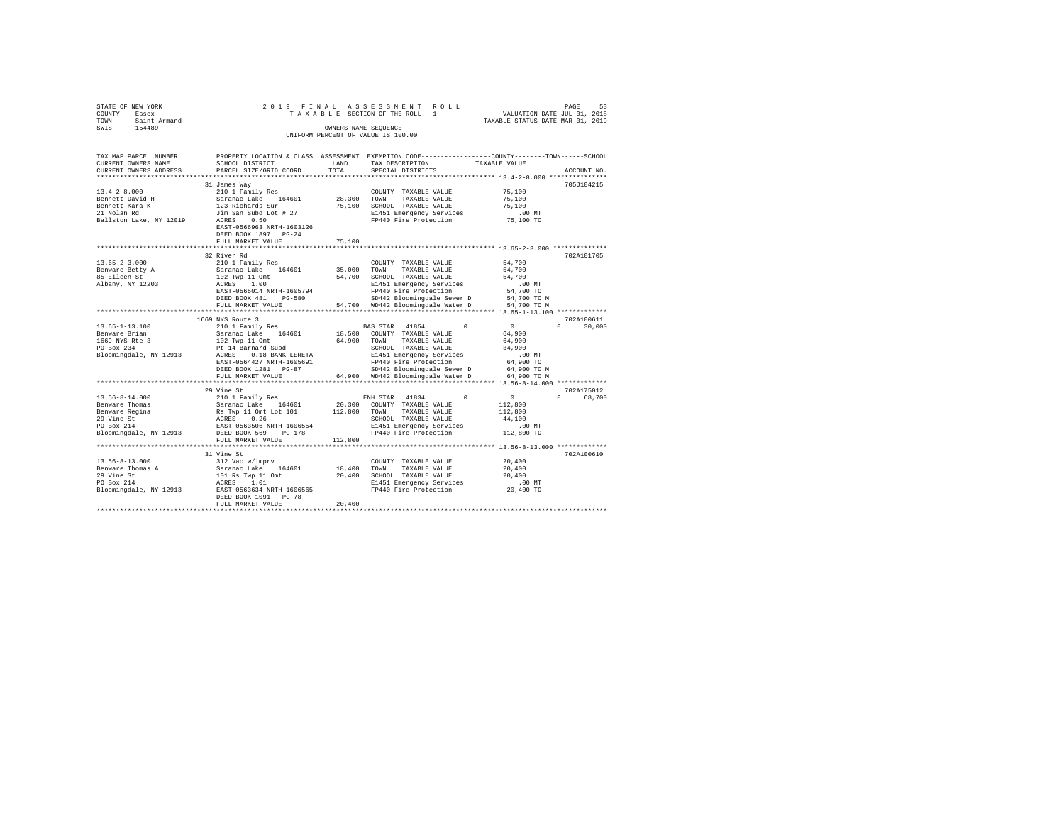| STATE OF NEW YORK<br>COUNTY - Essex          | 2019 FINAL                                        |         | ASSESSMENT ROLL<br>TAXABLE SECTION OF THE ROLL - 1                                                                 |                                             | 53<br>PAGE<br>VALUATION DATE-JUL 01, 2018 |
|----------------------------------------------|---------------------------------------------------|---------|--------------------------------------------------------------------------------------------------------------------|---------------------------------------------|-------------------------------------------|
| <b>TOWN</b><br>- Saint Armand                |                                                   |         |                                                                                                                    | TAXABLE STATUS DATE-MAR 01, 2019            |                                           |
| $-154489$<br>SWIS                            |                                                   |         | OWNERS NAME SEQUENCE                                                                                               |                                             |                                           |
|                                              |                                                   |         | UNIFORM PERCENT OF VALUE IS 100.00                                                                                 |                                             |                                           |
|                                              |                                                   |         |                                                                                                                    |                                             |                                           |
|                                              |                                                   |         |                                                                                                                    |                                             |                                           |
| TAX MAP PARCEL NUMBER<br>CURRENT OWNERS NAME | SCHOOL DISTRICT                                   | LAND    | PROPERTY LOCATION & CLASS ASSESSMENT EXEMPTION CODE---------------COUNTY-------TOWN------SCHOOL<br>TAX DESCRIPTION | TAXABLE VALUE                               |                                           |
| CURRENT OWNERS ADDRESS                       | PARCEL SIZE/GRID COORD                            | TOTAL   | SPECIAL DISTRICTS                                                                                                  |                                             | ACCOUNT NO.                               |
|                                              |                                                   |         |                                                                                                                    |                                             |                                           |
|                                              | 31 James Way                                      |         |                                                                                                                    |                                             | 705J104215                                |
| $13.4 - 2 - 8.000$                           | 210 1 Family Res                                  |         | COUNTY TAXABLE VALUE                                                                                               | 75,100                                      |                                           |
| Bennett David H                              | Saranac Lake 164601                               | 28,300  | TOWN<br>TAXABLE VALUE                                                                                              | 75,100                                      |                                           |
| Bennett Kara K                               | 123 Richards Sur                                  | 75,100  | SCHOOL TAXABLE VALUE                                                                                               | 75,100                                      |                                           |
| 21 Nolan Rd                                  | Jim San Subd Lot # 27                             |         | E1451 Emergency Services                                                                                           | $.00$ MT                                    |                                           |
| Ballston Lake, NY 12019                      | ACRES<br>0.50                                     |         | FP440 Fire Protection                                                                                              | 75,100 TO                                   |                                           |
|                                              | EAST-0566963 NRTH-1603126                         |         |                                                                                                                    |                                             |                                           |
|                                              | DEED BOOK 1897 PG-24                              |         |                                                                                                                    |                                             |                                           |
|                                              | FULL MARKET VALUE                                 | 75,100  |                                                                                                                    |                                             |                                           |
|                                              | 32 River Rd                                       |         |                                                                                                                    |                                             | 702A101705                                |
| $13.65 - 2 - 3.000$                          | 210 1 Family Res                                  |         | COUNTY TAXABLE VALUE                                                                                               | 54,700                                      |                                           |
| Benware Betty A                              | Saranac Lake 164601                               | 35,000  | TOWN<br>TAXABLE VALUE                                                                                              | 54,700                                      |                                           |
| 85 Eileen St                                 | 102 Twp 11 Omt                                    | 54,700  | SCHOOL TAXABLE VALUE                                                                                               | 54,700                                      |                                           |
| Albany, NY 12203                             | ACRES<br>1.00                                     |         | E1451 Emergency Services                                                                                           | .00MT                                       |                                           |
|                                              | EAST-0565014 NRTH-1605794                         |         | FP440 Fire Protection                                                                                              | 54,700 TO                                   |                                           |
|                                              | DEED BOOK 481 PG-580                              |         | SD442 Bloomingdale Sewer D                                                                                         | 54,700 TO M                                 |                                           |
|                                              | FULL MARKET VALUE                                 |         | 54,700 WD442 Bloomingdale Water D                                                                                  | 54,700 TO M                                 |                                           |
|                                              |                                                   |         |                                                                                                                    |                                             |                                           |
|                                              | 1669 NYS Route 3                                  |         |                                                                                                                    |                                             | 702A100611                                |
| $13.65 - 1 - 13.100$                         | 210 1 Family Res                                  |         | BAS STAR<br>41854<br>$\Omega$                                                                                      | 0                                           | $\Omega$<br>30,000                        |
| Benware Brian<br>1669 NYS Rte 3              | Saranac Lake 164601<br>102 Twp 11 Omt             | 64,900  | 18,500 COUNTY TAXABLE VALUE<br>TOWN<br>TAXABLE VALUE                                                               | 64,900<br>64,900                            |                                           |
| PO Box 234                                   | Pt 14 Barnard Subd                                |         | SCHOOL TAXABLE VALUE                                                                                               | 34,900                                      |                                           |
| Bloomingdale, NY 12913                       | ACRES 0.18 BANK LERETA                            |         | E1451 Emergency Services                                                                                           | $.00$ MT                                    |                                           |
|                                              | EAST-0564427 NRTH-1605691                         |         | FP440 Fire Protection                                                                                              | 64,900 TO                                   |                                           |
|                                              | DEED BOOK 1281 PG-87                              |         | SD442 Bloomingdale Sewer D                                                                                         | 64,900 TO M                                 |                                           |
|                                              | FULL MARKET VALUE                                 |         | 64,900 WD442 Bloomingdale Water D                                                                                  | 64,900 TO M                                 |                                           |
|                                              |                                                   |         |                                                                                                                    |                                             |                                           |
|                                              | 29 Vine St                                        |         |                                                                                                                    |                                             | 702A175012                                |
| $13.56 - 8 - 14.000$                         | 210 1 Family Res                                  |         | 41834<br>$\Omega$<br>ENH STAR                                                                                      | $^{\circ}$                                  | $\cap$<br>68,700                          |
| Benware Thomas                               | Saranac Lake 164601                               | 20,300  | COUNTY TAXABLE VALUE                                                                                               | 112,800                                     |                                           |
| Benware Regina                               | Rs Twp 11 Omt Lot 101                             | 112,800 | TOWN<br>TAXABLE VALUE                                                                                              | 112,800                                     |                                           |
| 29 Vine St<br>PO Box 214                     | ACRES<br>0.26<br>EAST-0563506 NRTH-1606554        |         | SCHOOL TAXABLE VALUE                                                                                               | 44,100                                      |                                           |
| Bloomingdale, NY 12913                       | DEED BOOK 569<br>$PG-178$                         |         | E1451 Emergency Services<br>FP440 Fire Protection                                                                  | .00MT<br>112,800 TO                         |                                           |
|                                              | FULL MARKET VALUE                                 | 112,800 |                                                                                                                    |                                             |                                           |
|                                              | **********************                            |         |                                                                                                                    | ************** 13.56-8-13.000 ************* |                                           |
|                                              | 31 Vine St                                        |         |                                                                                                                    |                                             | 702A100610                                |
| $13.56 - 8 - 13.000$                         | 312 Vac w/imprv                                   |         | COUNTY TAXABLE VALUE                                                                                               | 20,400                                      |                                           |
| Benware Thomas A                             | Saranac Lake 164601                               | 18,400  | TOWN<br>TAXABLE VALUE                                                                                              | 20,400                                      |                                           |
| 29 Vine St                                   | 101 Rs Twp 11 Omt                                 | 20,400  | SCHOOL TAXABLE VALUE                                                                                               | 20,400                                      |                                           |
| PO Box 214                                   | ACRES 1.01                                        |         | E1451 Emergency Services                                                                                           | .00MT                                       |                                           |
| Bloomingdale, NY 12913                       | EAST-0563634 NRTH-1606565<br>DEED BOOK 1091 PG-78 |         | FP440 Fire Protection                                                                                              | 20,400 TO                                   |                                           |

DEED BOOK 1091 PG-78 FULL MARKET VALUE 20,400 \*\*\*\*\*\*\*\*\*\*\*\*\*\*\*\*\*\*\*\*\*\*\*\*\*\*\*\*\*\*\*\*\*\*\*\*\*\*\*\*\*\*\*\*\*\*\*\*\*\*\*\*\*\*\*\*\*\*\*\*\*\*\*\*\*\*\*\*\*\*\*\*\*\*\*\*\*\*\*\*\*\*\*\*\*\*\*\*\*\*\*\*\*\*\*\*\*\*\*\*\*\*\*\*\*\*\*\*\*\*\*\*\*\*\*\*\*\*\*\*\*\*\*\*\*\*\*\*\*\*\*\*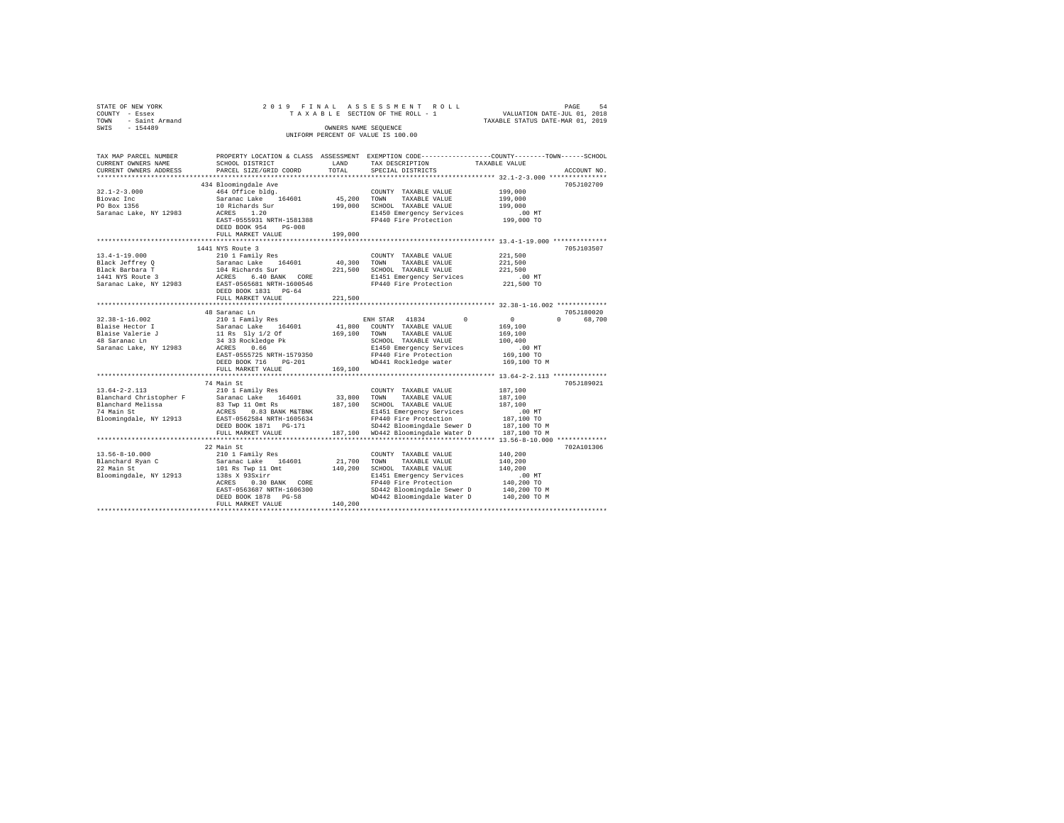| STATE OF NEW YORK                                | 2019 FINAL                                                      |             |                                                                                                                        |                                                                                                                 |
|--------------------------------------------------|-----------------------------------------------------------------|-------------|------------------------------------------------------------------------------------------------------------------------|-----------------------------------------------------------------------------------------------------------------|
| COUNTY - Essex                                   |                                                                 |             | TAXABLE SECTION OF THE ROLL - 1                                                                                        |                                                                                                                 |
| TOWN - Saint Armand                              |                                                                 |             |                                                                                                                        | PAGE 54 ROLL PAGE 54<br>SECTION OF THE ROLL - 1 VALUATION DATE-JUL 01, 2018<br>TAXABLE STATUS DATE-MAR 01, 2019 |
| SWIS<br>$-154489$                                |                                                                 |             | OWNERS NAME SEOUENCE                                                                                                   |                                                                                                                 |
|                                                  |                                                                 |             | UNIFORM PERCENT OF VALUE IS 100.00                                                                                     |                                                                                                                 |
| TAX MAP PARCEL NUMBER                            |                                                                 |             |                                                                                                                        | PROPERTY LOCATION & CLASS ASSESSMENT EXEMPTION CODE---------------COUNTY-------TOWN-----SCHOOL                  |
| CURRENT OWNERS NAME                              | LAND<br>SCHOOL DISTRICT                                         |             | TAX DESCRIPTION                                                                                                        | TAXABLE VALUE                                                                                                   |
| CURRENT OWNERS ADDRESS                           | PARCEL SIZE/GRID COORD                                          | TOTAL       | SPECIAL DISTRICTS                                                                                                      | ACCOUNT NO.                                                                                                     |
| *************************                        |                                                                 |             |                                                                                                                        |                                                                                                                 |
|                                                  | 434 Bloomingdale Ave                                            |             |                                                                                                                        | 705J102709                                                                                                      |
| $32.1 - 2 - 3.000$                               | 464 Office bldg.                                                |             | COUNTY TAXABLE VALUE                                                                                                   | 199,000                                                                                                         |
| Biovac Inc                                       | Saranac Lake 164601                                             | 45,200 TOWN | TAXABLE VALUE                                                                                                          | 199,000                                                                                                         |
| PO Box 1356                                      | 10 Richards Sur<br>ACRES 1.20                                   |             | 199,000 SCHOOL TAXABLE VALUE                                                                                           | 199,000                                                                                                         |
| Saranac Lake, NY 12983                           |                                                                 |             | E1450 Emergency Services .00 MT<br>FP440 Fire Protection .00 TO 199,000 TO                                             |                                                                                                                 |
|                                                  | EAST-0555931 NRTH-1581388                                       |             |                                                                                                                        |                                                                                                                 |
|                                                  | DEED BOOK 954 PG-008                                            |             |                                                                                                                        |                                                                                                                 |
|                                                  | FULL MARKET VALUE                                               | 199,000     |                                                                                                                        |                                                                                                                 |
|                                                  | 1441 NYS Route 3                                                |             |                                                                                                                        | 705J103507                                                                                                      |
| $13.4 - 1 - 19.000$                              | 210 1 Family Res                                                |             | COUNTY TAXABLE VALUE                                                                                                   | 221,500                                                                                                         |
| Black Jeffrey Q                                  |                                                                 | 40,300 TOWN | TAXABLE VALUE                                                                                                          | 221,500                                                                                                         |
|                                                  |                                                                 |             | 221,500 SCHOOL TAXABLE VALUE                                                                                           | 221,500                                                                                                         |
| Black Barbara T<br>1441 NYS Route 3              | Saranac Lake 164601<br>104 Richards Sur<br>ACRES 6.40 BANK CORE |             | E1451 Emergency Services                                                                                               | .00 MT                                                                                                          |
| Saranac Lake, NY 12983                           | EAST-0565681 NRTH-1600546                                       |             | FP440 Fire Protection                                                                                                  | 221,500 TO                                                                                                      |
|                                                  | DEED BOOK 1831 PG-64                                            |             |                                                                                                                        |                                                                                                                 |
|                                                  | FULL MARKET VALUE                                               | 221,500     |                                                                                                                        |                                                                                                                 |
|                                                  | *********************                                           |             |                                                                                                                        | ********************************* 32.38-1-16.002 *************                                                  |
|                                                  | 48 Saranac Ln                                                   |             |                                                                                                                        | 705J180020                                                                                                      |
| $32.38 - 1 - 16.002$                             | 210 1 Family Res                                                |             | ENH STAR 41834 0                                                                                                       | $\begin{array}{c}0\\169,100\end{array}$<br>0 68,700                                                             |
|                                                  |                                                                 |             | 41.800 COUNTY TAXABLE VALUE                                                                                            |                                                                                                                 |
|                                                  |                                                                 |             | 169,100 TOWN TAXABLE VALUE                                                                                             | 169,100                                                                                                         |
|                                                  |                                                                 |             | SCHOOL TAXABLE VALUE                                                                                                   | 100,400                                                                                                         |
|                                                  | EAST-0555725 NRTH-1579350                                       |             | E1450 Emergency Services<br>FP440 Fire Protection                                                                      | .00 MT<br>169,100 TO                                                                                            |
|                                                  | DEED BOOK 716 PG-201                                            |             | WD441 Rockledge water                                                                                                  | 169,100 TO M                                                                                                    |
|                                                  | FULL MARKET VALUE                                               | 169,100     |                                                                                                                        |                                                                                                                 |
|                                                  |                                                                 |             |                                                                                                                        |                                                                                                                 |
|                                                  | 74 Main St                                                      |             |                                                                                                                        | 705J189021                                                                                                      |
| $13.64 - 2 - 2.113$                              | 210 1 Family Res                                                |             | COUNTY TAXABLE VALUE                                                                                                   | 187,100                                                                                                         |
| Blanchard Christopher F                          | Saranac Lake 164601                                             | 33,800 TOWN | TAXABLE VALUE                                                                                                          | 187,100                                                                                                         |
| Blanchard Melissa<br>74 Main St                  |                                                                 |             |                                                                                                                        | 187,100                                                                                                         |
|                                                  |                                                                 |             |                                                                                                                        | $.00$ MT                                                                                                        |
| Bloomingdale, NY 12913 EAST-0562584 NRTH-1605634 |                                                                 |             | FP440 Fire Protection                                                                                                  | 187,100 TO                                                                                                      |
|                                                  |                                                                 |             | SD442 Bloomingdale Sewer D 187,100 TO M<br>187,100 WD442 Bloomingdale Water D 187,100 TO M                             |                                                                                                                 |
|                                                  | FULL MARKET VALUE<br>**********************                     |             |                                                                                                                        |                                                                                                                 |
|                                                  |                                                                 |             |                                                                                                                        |                                                                                                                 |
|                                                  | 22 Main St                                                      |             |                                                                                                                        | 702A101306                                                                                                      |
| 13.56-8-10.000                                   | 210 1 Family Res                                                |             |                                                                                                                        | 140,200<br>140,200                                                                                              |
| 22 Main St<br>Bloomings                          |                                                                 |             |                                                                                                                        | 140,200                                                                                                         |
| Bloomingdale, NY 12913                           |                                                                 |             | E1451 Emergency Services                                                                                               | $.00$ MT                                                                                                        |
|                                                  |                                                                 |             | FP440 Fire Protection                                                                                                  |                                                                                                                 |
|                                                  |                                                                 |             |                                                                                                                        |                                                                                                                 |
|                                                  |                                                                 |             | FP440 Fire Protection 140,200 TO<br>SD442 Bloomingdale Sewer D 140,200 TO M<br>WD442 Bloomingdale Water D 140,200 TO M |                                                                                                                 |
|                                                  | FULL MARKET VALUE                                               | 140,200     |                                                                                                                        |                                                                                                                 |
|                                                  |                                                                 |             |                                                                                                                        |                                                                                                                 |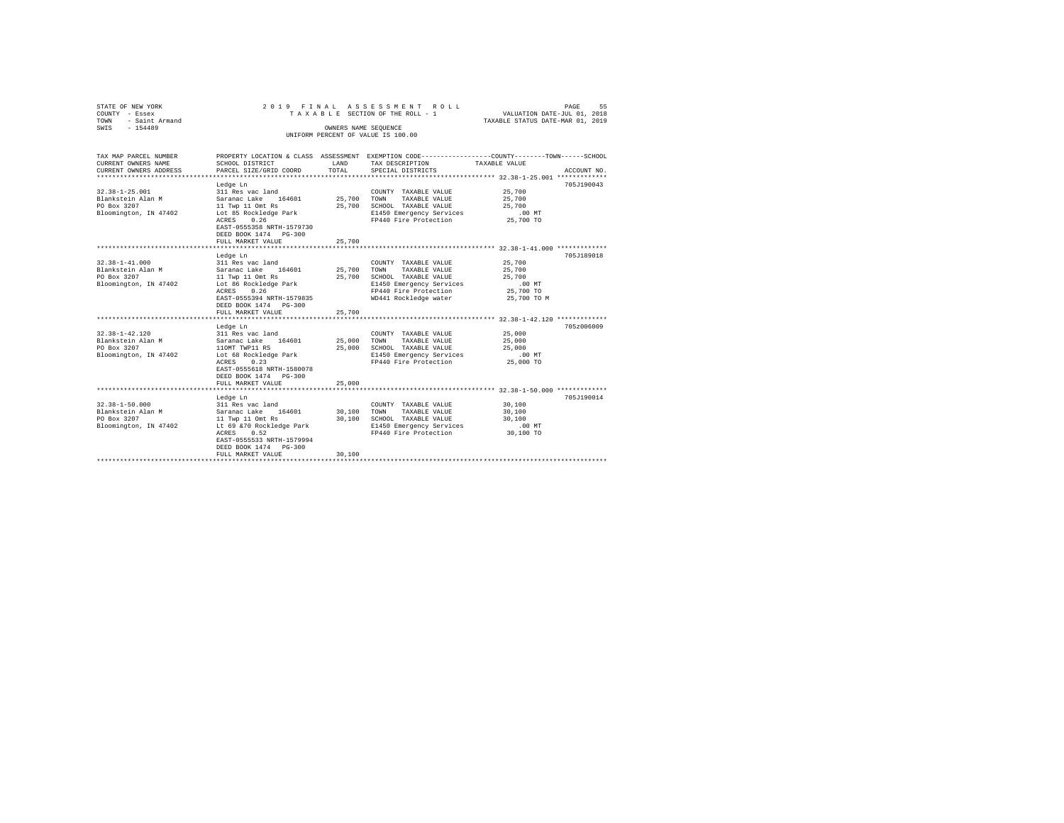| STATE OF NEW YORK<br>COUNTY - Essex<br>- Saint Armand<br>TOWN<br>$-154489$<br>SWIS | 2019 FINAL ASSESSMENT ROLL<br>TAXABLE SECTION OF THE ROLL - 1                                                                                                                                                             | VALUATION DATE-JUL 01, 2018<br>TAXABLE STATUS DATE-MAR 01, 2019 | PAGE<br>55                                                                                                                                          |                                                                 |             |
|------------------------------------------------------------------------------------|---------------------------------------------------------------------------------------------------------------------------------------------------------------------------------------------------------------------------|-----------------------------------------------------------------|-----------------------------------------------------------------------------------------------------------------------------------------------------|-----------------------------------------------------------------|-------------|
|                                                                                    |                                                                                                                                                                                                                           | OWNERS NAME SEQUENCE                                            | UNIFORM PERCENT OF VALUE IS 100.00                                                                                                                  |                                                                 |             |
| TAX MAP PARCEL NUMBER<br>CURRENT OWNERS NAME<br>CURRENT OWNERS ADDRESS             | PROPERTY LOCATION & CLASS ASSESSMENT EXEMPTION CODE---------------COUNTY-------TOWN------SCHOOL<br>SCHOOL DISTRICT<br>PARCEL SIZE/GRID COORD                                                                              | LAND<br>TOTAL                                                   | TAX DESCRIPTION<br>SPECIAL DISTRICTS                                                                                                                | TAXABLE VALUE                                                   | ACCOUNT NO. |
| $32.38 - 1 - 25.001$<br>Blankstein Alan M<br>PO Box 3207<br>Bloomington, IN 47402  | Ledge Ln<br>311 Res vac land<br>Saranac Lake 164601<br>11 Twp 11 Omt Rs<br>Lot 85 Rockledge Park<br>ACRES<br>0.26<br>EAST-0555358 NRTH-1579730<br>DEED BOOK 1474 PG-300<br>FULL MARKET VALUE                              | 25.700 TOWN<br>25,700<br>25,700                                 | COUNTY TAXABLE VALUE<br>TAXABLE VALUE<br>SCHOOL TAXABLE VALUE<br>E1450 Emergency Services<br>FP440 Fire Protection                                  | 25,700<br>25,700<br>25,700<br>.00MT<br>25,700 TO                | 705J190043  |
| $32.38 - 1 - 41.000$<br>Blankstein Alan M<br>PO Box 3207<br>Bloomington, IN 47402  | Ledge Ln<br>311 Res vac land<br>Saranac Lake 164601<br>11 Twp 11 Omt Rs<br>Lot 86 Rockledge Park<br>0.26<br>ACRES<br>EAST-0555394 NRTH-1579835<br>DEED BOOK 1474 PG-300<br>FULL MARKET VALUE                              | 25,700<br>25,700<br>25,700                                      | COUNTY TAXABLE VALUE<br>TAXABLE VALUE<br>TOWN<br>SCHOOL TAXABLE VALUE<br>E1450 Emergency Services<br>FP440 Fire Protection<br>WD441 Rockledge water | 25,700<br>25,700<br>25,700<br>.00MT<br>25,700 TO<br>25,700 TO M | 705J189018  |
|                                                                                    |                                                                                                                                                                                                                           |                                                                 |                                                                                                                                                     | ********************* 32.38-1-42.120 *************              |             |
| $32.38 - 1 - 42.120$<br>Blankstein Alan M<br>PO Box 3207<br>Bloomington, IN 47402  | Ledge Ln<br>311 Res vac land<br>Saranac Lake 164601<br>110MT TWP11 RS<br>Lot 68 Rockledge Park<br>0.23<br>ACRES<br>EAST-0555618 NRTH-1580078<br>DEED BOOK 1474   PG-300                                                   | 25,000<br>25,000                                                | COUNTY TAXABLE VALUE<br>TAXABLE VALUE<br>TOWN<br>SCHOOL TAXABLE VALUE<br>E1450 Emergency Services<br>FP440 Fire Protection                          | 25,000<br>25,000<br>25,000<br>$.00$ MT<br>25,000 TO             | 705z006009  |
|                                                                                    | FULL MARKET VALUE<br>*************************                                                                                                                                                                            | 25,000                                                          |                                                                                                                                                     |                                                                 |             |
| $32.38 - 1 - 50.000$<br>Blankstein Alan M<br>PO Box 3207<br>Bloomington, IN 47402  | Ledge Ln<br>311 Res vac land<br>Saranac Lake 164601<br>11 Twp 11 Omt Rs<br>Lt 69 & 70 Rockledge Park<br>ACRES<br>0.52<br>EAST-0555533 NRTH-1579994<br>DEED BOOK 1474 PG-300<br>FULL MARKET VALUE<br>********************* | 30,100<br>30,100<br>30,100                                      | COUNTY TAXABLE VALUE<br>TOWN<br>TAXABLE VALUE<br>SCHOOL TAXABLE VALUE<br>E1450 Emergency Services<br>FP440 Fire Protection                          | 30,100<br>30,100<br>30,100<br>$.00$ MT<br>30,100 TO             | 705J190014  |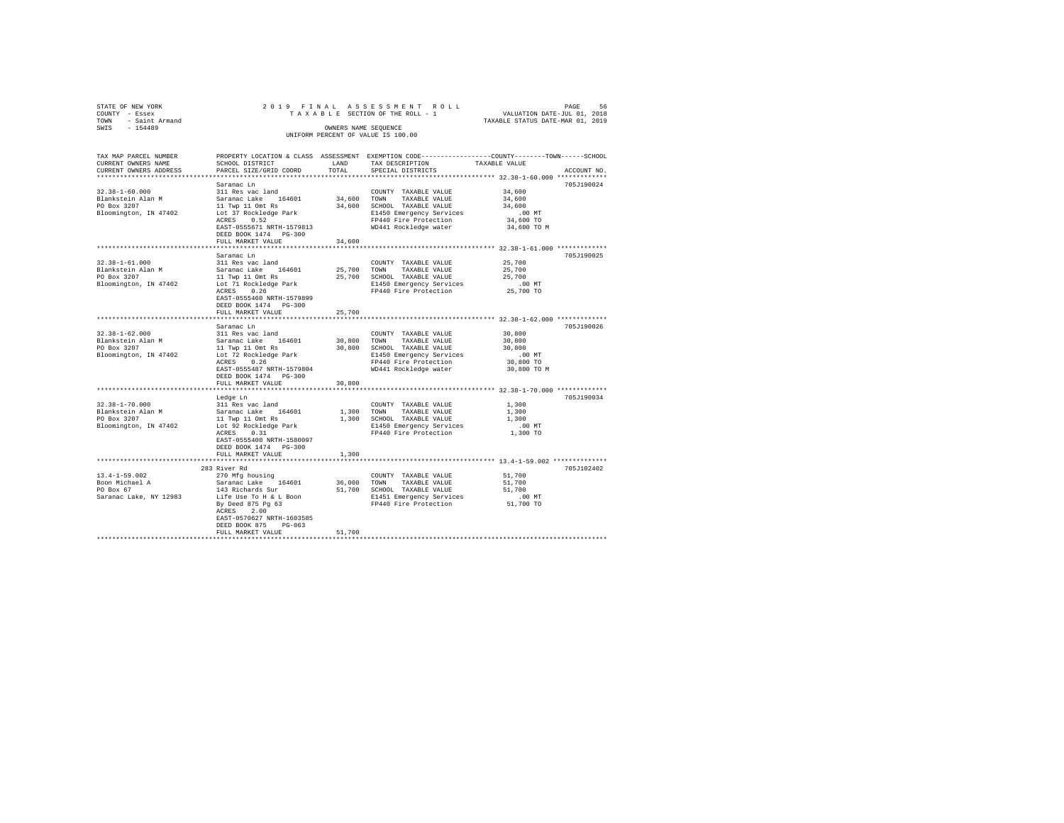| STATE OF NEW YORK<br>COUNTY - Essex                |                                                                                                                                                                                                           |        |                                                                                                         | PAGE 56 בDAGE 7 IN AL ASSESSMENT ROLL PAGE 56 PAGE 101.01<br>TAXABLE SECTION OF THE ROLL - 1 VALUATION DATE-JUL 01, 2019<br>TAXABLE STATTUS DATE-MAR 01, 2019 |             |
|----------------------------------------------------|-----------------------------------------------------------------------------------------------------------------------------------------------------------------------------------------------------------|--------|---------------------------------------------------------------------------------------------------------|---------------------------------------------------------------------------------------------------------------------------------------------------------------|-------------|
| TOWN - Saint Armand                                |                                                                                                                                                                                                           |        |                                                                                                         | TAXABLE STATUS DATE-MAR 01, 2019                                                                                                                              |             |
| SWIS - 154489                                      |                                                                                                                                                                                                           |        | OWNERS NAME SEOUENCE                                                                                    |                                                                                                                                                               |             |
|                                                    |                                                                                                                                                                                                           |        | UNIFORM PERCENT OF VALUE IS 100.00                                                                      |                                                                                                                                                               |             |
| TAX MAP PARCEL NUMBER                              |                                                                                                                                                                                                           |        |                                                                                                         | PROPERTY LOCATION & CLASS ASSESSMENT EXEMPTION CODE---------------COUNTY-------TOWN-----SCHOOL                                                                |             |
| CURRENT OWNERS NAME                                | SCHOOL DISTRICT                                                                                                                                                                                           |        | LAND TAX DESCRIPTION                                                                                    | TAXABLE VALUE                                                                                                                                                 |             |
| CURRENT OWNERS ADDRESS                             | PARCEL SIZE/GRID COORD                                                                                                                                                                                    | TOTAL  | SPECIAL DISTRICTS                                                                                       |                                                                                                                                                               | ACCOUNT NO. |
|                                                    |                                                                                                                                                                                                           |        |                                                                                                         |                                                                                                                                                               |             |
|                                                    | Saranac Ln                                                                                                                                                                                                |        |                                                                                                         |                                                                                                                                                               | 705J190024  |
| $32.38 - 1 - 60.000$                               | 311 Res vac land                                                                                                                                                                                          |        | COUNTY TAXABLE VALUE                                                                                    | 34,600                                                                                                                                                        |             |
| Blankstein Alan M<br>PO Box 3207                   |                                                                                                                                                                                                           |        |                                                                                                         | 34,600                                                                                                                                                        |             |
|                                                    |                                                                                                                                                                                                           |        |                                                                                                         | 34,600                                                                                                                                                        |             |
| Bloomington, IN 47402                              |                                                                                                                                                                                                           |        | E1450 Emergency Services                                                                                | .00MT                                                                                                                                                         |             |
|                                                    | ACRES 0.52                                                                                                                                                                                                |        | FP440 Fire Protection                                                                                   | 34,600 TO                                                                                                                                                     |             |
|                                                    | EAST-0555671 NRTH-1579813                                                                                                                                                                                 |        | WD441 Rockledge water                                                                                   | 34,600 TO M                                                                                                                                                   |             |
|                                                    | DEED BOOK 1474    PG-300                                                                                                                                                                                  |        |                                                                                                         |                                                                                                                                                               |             |
|                                                    | FULL MARKET VALUE                                                                                                                                                                                         | 34,600 |                                                                                                         |                                                                                                                                                               |             |
|                                                    |                                                                                                                                                                                                           |        |                                                                                                         |                                                                                                                                                               |             |
|                                                    | Saranac Ln                                                                                                                                                                                                |        |                                                                                                         |                                                                                                                                                               | 705J190025  |
| $32.38 - 1 - 61.000$                               | 311 Res vac land                                                                                                                                                                                          |        | COUNTY TAXABLE VALUE                                                                                    | 25,700                                                                                                                                                        |             |
|                                                    | ${\small \begin{tabular}{lcccccc} B1ankstein & Alan & M & Saranac Lake & 164601 & 25,700 & TOMN & TAXABLE VALUE \\ PO Box & 3207 & 11 Type & 11 Ont Rs & 25,700 & SCHOOL TAXABLE VALUE \\ \end{tabular}}$ |        |                                                                                                         | 25,700                                                                                                                                                        |             |
|                                                    |                                                                                                                                                                                                           |        | 25,700 SCHOOL TAXABLE VALUE                                                                             | 25,700                                                                                                                                                        |             |
| Bloomington, IN 47402                              | Lot 71 Rockledge Park<br>ACRES 0.26                                                                                                                                                                       |        | E1450 Emergency Services                                                                                | .00 MT<br>25,700 TO                                                                                                                                           |             |
|                                                    |                                                                                                                                                                                                           |        | FP440 Fire Protection                                                                                   |                                                                                                                                                               |             |
|                                                    | EAST-0555460 NRTH-1579899                                                                                                                                                                                 |        |                                                                                                         |                                                                                                                                                               |             |
|                                                    | DEED BOOK 1474 PG-300                                                                                                                                                                                     |        |                                                                                                         |                                                                                                                                                               |             |
|                                                    | FULL MARKET VALUE                                                                                                                                                                                         | 25,700 |                                                                                                         |                                                                                                                                                               |             |
|                                                    |                                                                                                                                                                                                           |        |                                                                                                         |                                                                                                                                                               | 705J190026  |
| $32.38 - 1 - 62.000$                               | Saranac Ln<br>311 Res vac land                                                                                                                                                                            |        | COUNTY TAXABLE VALUE                                                                                    | 30,800                                                                                                                                                        |             |
|                                                    |                                                                                                                                                                                                           |        |                                                                                                         | 30,800                                                                                                                                                        |             |
| Blankstein Alan M<br>PO Box 3207                   |                                                                                                                                                                                                           |        |                                                                                                         | 30,800                                                                                                                                                        |             |
| Bloomington, IN 47402                              |                                                                                                                                                                                                           |        |                                                                                                         |                                                                                                                                                               |             |
|                                                    |                                                                                                                                                                                                           |        | E1450 Emergency Services 100 MT<br>FP440 Fire Protection 30,800 TO<br>WD441 Rockledge water 30,800 TO M |                                                                                                                                                               |             |
|                                                    | EAST-0555487 NRTH-1579804                                                                                                                                                                                 |        |                                                                                                         |                                                                                                                                                               |             |
|                                                    | DEED BOOK 1474 PG-300                                                                                                                                                                                     |        |                                                                                                         |                                                                                                                                                               |             |
|                                                    | FULL MARKET VALUE                                                                                                                                                                                         | 30,800 |                                                                                                         |                                                                                                                                                               |             |
|                                                    |                                                                                                                                                                                                           |        |                                                                                                         |                                                                                                                                                               |             |
|                                                    | Ledge Ln                                                                                                                                                                                                  |        |                                                                                                         |                                                                                                                                                               | 705J190034  |
|                                                    |                                                                                                                                                                                                           |        | COUNTY TAXABLE VALUE                                                                                    | 1,300                                                                                                                                                         |             |
|                                                    | 311 Res vac land<br>Saranac Lake 164601 1,300 TOWN TAXABLE VALUE<br>1,300 TOWN 1,300 TOWN TAXABLE VALUE                                                                                                   |        |                                                                                                         | 1,300                                                                                                                                                         |             |
| 32.38-1-70.000<br>Blankstein Alan M<br>PO Box 3207 |                                                                                                                                                                                                           |        | 1,300 SCHOOL TAXABLE VALUE                                                                              | 1,300                                                                                                                                                         |             |
| Bloomington, IN 47402                              |                                                                                                                                                                                                           |        |                                                                                                         |                                                                                                                                                               |             |
|                                                    | 11 Twp 11 Omt Rs<br>Lot 92 Rockledge Park<br>ACRES 0.31                                                                                                                                                   |        | E1450 Emergency Services 6.00 MT<br>FP440 Fire Protection 1,300 TO                                      |                                                                                                                                                               |             |
|                                                    | EAST-0555400 NRTH-1580097                                                                                                                                                                                 |        |                                                                                                         |                                                                                                                                                               |             |
|                                                    | DEED BOOK 1474   PG-300                                                                                                                                                                                   |        |                                                                                                         |                                                                                                                                                               |             |
|                                                    | FULL MARKET VALUE                                                                                                                                                                                         | 1,300  |                                                                                                         |                                                                                                                                                               |             |
|                                                    |                                                                                                                                                                                                           |        |                                                                                                         |                                                                                                                                                               |             |
|                                                    | 283 River Rd                                                                                                                                                                                              |        |                                                                                                         |                                                                                                                                                               | 705J102402  |
| 13.4-1-59.002                                      | 270 Mfg housing                                                                                                                                                                                           |        | COUNTY TAXABLE VALUE                                                                                    | 51,700                                                                                                                                                        |             |
|                                                    | 270 mig nousing<br>Saranac Lake 164601                                                                                                                                                                    |        | $36\,,000$ $\,$ TOWN $\,$ TAXABLE VALUE                                                                 | 51,700                                                                                                                                                        |             |
| Boon Michael A<br>PO Box 67                        | 143 Richards Sur                                                                                                                                                                                          |        | 51,700 SCHOOL TAXABLE VALUE                                                                             | 51,700                                                                                                                                                        |             |
|                                                    |                                                                                                                                                                                                           |        |                                                                                                         |                                                                                                                                                               |             |
|                                                    | Saranac Lake, NY 12983 Life Use To H & L Boon<br>By Deed 875 Pg 63                                                                                                                                        |        | E1451 Emergency Services 61,700 MT<br>FP440 Fire Protection 51,700 TO                                   |                                                                                                                                                               |             |
|                                                    | ACRES 2.00                                                                                                                                                                                                |        |                                                                                                         |                                                                                                                                                               |             |
|                                                    | EAST-0570627 NRTH-1603585                                                                                                                                                                                 |        |                                                                                                         |                                                                                                                                                               |             |
|                                                    | DEED BOOK 875 PG-063                                                                                                                                                                                      |        |                                                                                                         |                                                                                                                                                               |             |
|                                                    | FULL MARKET VALUE                                                                                                                                                                                         | 51,700 |                                                                                                         |                                                                                                                                                               |             |
|                                                    |                                                                                                                                                                                                           |        |                                                                                                         |                                                                                                                                                               |             |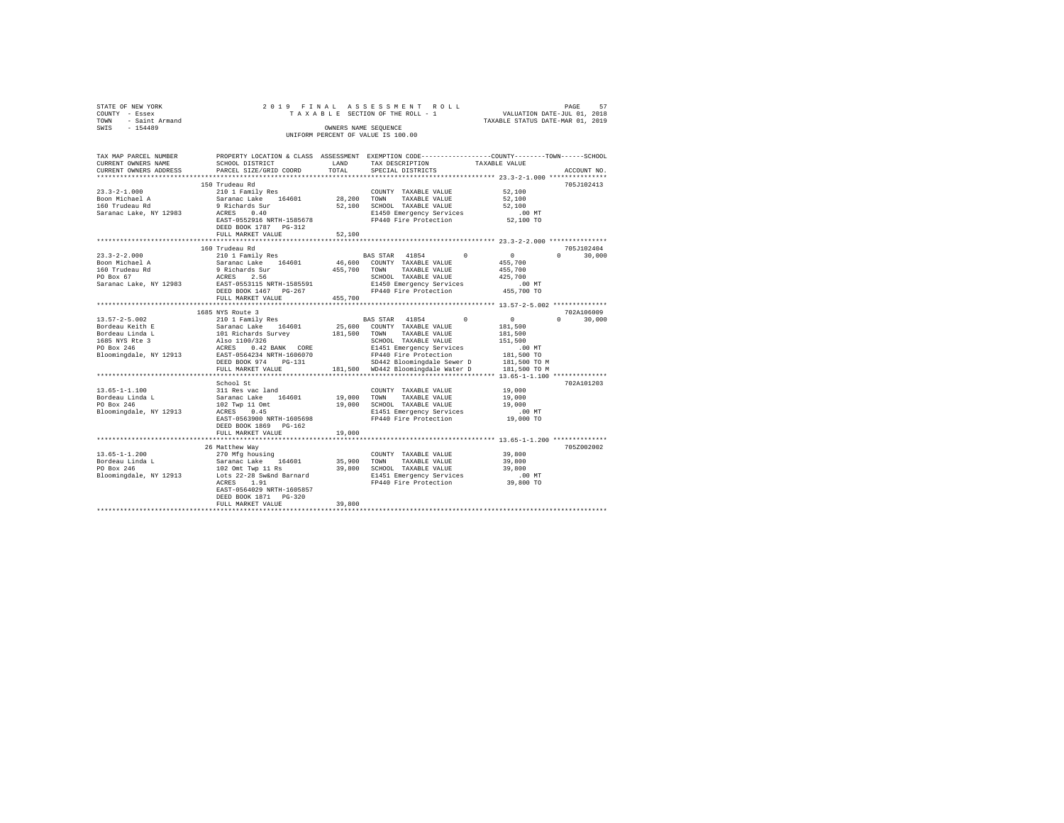| COUNTY<br>TOWN | STATE OF NEW YORK<br>- Essex<br>- Saint Armand |                           |            | 2019 FINAL ASSESSMENT ROLL<br>TAXABLE SECTION OF THE ROLL - 1 | TAXABLE STATUS DATE-MAR 01, 2019 | PAGE<br>VALUATION DATE-JUL 01, 2018 | 57       |
|----------------|------------------------------------------------|---------------------------|------------|---------------------------------------------------------------|----------------------------------|-------------------------------------|----------|
| SWIS           | $-154489$                                      |                           |            | OWNERS NAME SEOUENCE                                          |                                  |                                     |          |
|                |                                                |                           |            | UNIFORM PERCENT OF VALUE IS 100.00                            |                                  |                                     |          |
|                |                                                |                           |            |                                                               |                                  |                                     |          |
|                | TAX MAP PARCEL NUMBER                          | PROPERTY LOCATION & CLASS | ASSESSMENT | EXEMPTION CODE-----------------COUNTY-------TOWN-             |                                  |                                     | -SCHOOL. |

| CURRENT OWNERS NAME               | SCHOOL DISTRICT                                       | LAND         | TAX DESCRIPTION                                                     | TAXABLE VALUE                                                     |
|-----------------------------------|-------------------------------------------------------|--------------|---------------------------------------------------------------------|-------------------------------------------------------------------|
| CURRENT OWNERS ADDRESS            | PARCEL SIZE/GRID COORD                                | TOTAL        | SPECIAL DISTRICTS                                                   | ACCOUNT NO                                                        |
|                                   |                                                       |              |                                                                     | ***************** 23.3-2-1.000 *********                          |
|                                   | 150 Trudeau Rd                                        |              |                                                                     | 705J102413                                                        |
| $23.3 - 2 - 1.000$                | 210 1 Family Res                                      |              | COUNTY TAXABLE VALUE                                                | 52,100                                                            |
|                                   |                                                       |              | TAXABLE VALUE                                                       | 52,100                                                            |
|                                   |                                                       |              | 52,100 SCHOOL TAXABLE VALUE                                         | 52,100                                                            |
| Saranac Lake, NY 12983 ACRES      | 0.40                                                  |              | E1450 Emergency Services                                            |                                                                   |
|                                   | EAST-0552916 NRTH-1585678                             |              | FP440 Fire Protection                                               | $52,100$ TO                                                       |
|                                   | DEED BOOK 1787 PG-312                                 |              |                                                                     |                                                                   |
|                                   | FULL MARKET VALUE                                     | 52,100       |                                                                     |                                                                   |
|                                   | **********************                                | **********   |                                                                     | ********** 23.3-2-2.000 **************                            |
|                                   | 160 Trudeau Rd                                        |              |                                                                     | 705J102404                                                        |
| $23.3 - 2 - 2.000$                | 210 1 Family Res<br>Saranac Lake 164601               |              | BAS STAR 41854 0                                                    | $\begin{array}{c} 0 \\ 455,700 \end{array}$<br>$\Omega$<br>30,000 |
| Boon Michael A                    |                                                       |              | 46,600 COUNTY TAXABLE VALUE                                         |                                                                   |
|                                   |                                                       | 455,700 TOWN | TAXABLE VALUE                                                       | 455,700                                                           |
|                                   |                                                       |              | SCHOOL TAXABLE VALUE                                                | 425,700                                                           |
|                                   | Saranac Lake, NY 12983 EAST-0553115 NRTH-1585591      |              | E1450 Emergency Services                                            | 00 MT.<br>455,700 TO                                              |
|                                   | DEED BOOK 1467 PG-267                                 |              | FP440 Fire Protection                                               |                                                                   |
|                                   | FULL MARKET VALUE                                     | 455,700      |                                                                     |                                                                   |
|                                   |                                                       |              |                                                                     |                                                                   |
|                                   | 1685 NYS Route 3                                      |              |                                                                     | 702A106009                                                        |
|                                   |                                                       |              | $\sim$ 0                                                            | $\sim$ 0<br>$\Omega$ and $\Omega$<br>30,000                       |
|                                   |                                                       |              |                                                                     | $181\,, 500$                                                      |
|                                   |                                                       |              |                                                                     | 181,500                                                           |
|                                   |                                                       |              |                                                                     | 151,500                                                           |
|                                   |                                                       |              |                                                                     | $.00$ MT                                                          |
|                                   | Bloomingdale, NY 12913 EAST-0564234 NRTH-1606070      |              | FP440 Fire Protection                                               | 181,500 TO                                                        |
|                                   | DEED BOOK 974 PG-131                                  |              | SD442 Bloomingdale Sewer D                                          | 181,500 TO M                                                      |
|                                   | FULL MARKET VALUE                                     |              | 181.500 WD442 Bloomingdale Water D                                  | 181,500 TO M                                                      |
|                                   | ***********************                               |              | ******************************** 13.65-1-1.100 *************        |                                                                   |
|                                   | School St                                             |              |                                                                     | 702A101203                                                        |
| $13.65 - 1 - 1.100$               | 311 Res vac land                                      |              | COUNTY TAXABLE VALUE                                                | 19,000                                                            |
| Bordeau Linda L                   | Saranac Lake 164601<br>102 Twp 11 Omt<br>ACRES 0.45   |              | 19,000 TOWN TAXABLE VALUE                                           | 19,000<br>19,000                                                  |
| PO Box 246                        |                                                       |              | 19,000 SCHOOL TAXABLE VALUE                                         |                                                                   |
| Bloomingdale, NY 12913 ACRES 0.45 |                                                       |              | E1451 Emergency Services .00 MT<br>FP440 Fire Protection  19,000 TO |                                                                   |
|                                   | EAST-0563900 NRTH-1605698                             |              |                                                                     |                                                                   |
|                                   | DEED BOOK 1869 PG-162                                 |              |                                                                     |                                                                   |
|                                   | FULL MARKET VALUE<br>******************************** | 19,000       |                                                                     |                                                                   |
|                                   |                                                       |              |                                                                     |                                                                   |
|                                   | 26 Matthew Way                                        |              |                                                                     | 705Z002002                                                        |
| $13.65 - 1 - 1.200$               | 270 Mfg housing<br>Saranac Lake 164601                |              | COUNTY TAXABLE VALUE                                                | 39,800                                                            |
| Bordeau Linda L                   |                                                       |              | 35,900 TOWN TAXABLE VALUE                                           | 39,800                                                            |
| PO Box 246                        |                                                       |              |                                                                     |                                                                   |
| Bloomingdale, NY 12913            |                                                       |              | FP440 Fire Protection 39,800 TO                                     | $.00$ MT                                                          |
|                                   | ACRES 1.91                                            |              |                                                                     |                                                                   |
|                                   | EAST-0564029 NRTH-1605857                             |              |                                                                     |                                                                   |
|                                   | DEED BOOK 1871 PG-320<br>FULL MARKET VALUE            | 39,800       |                                                                     |                                                                   |
|                                   |                                                       |              |                                                                     |                                                                   |
|                                   |                                                       |              |                                                                     |                                                                   |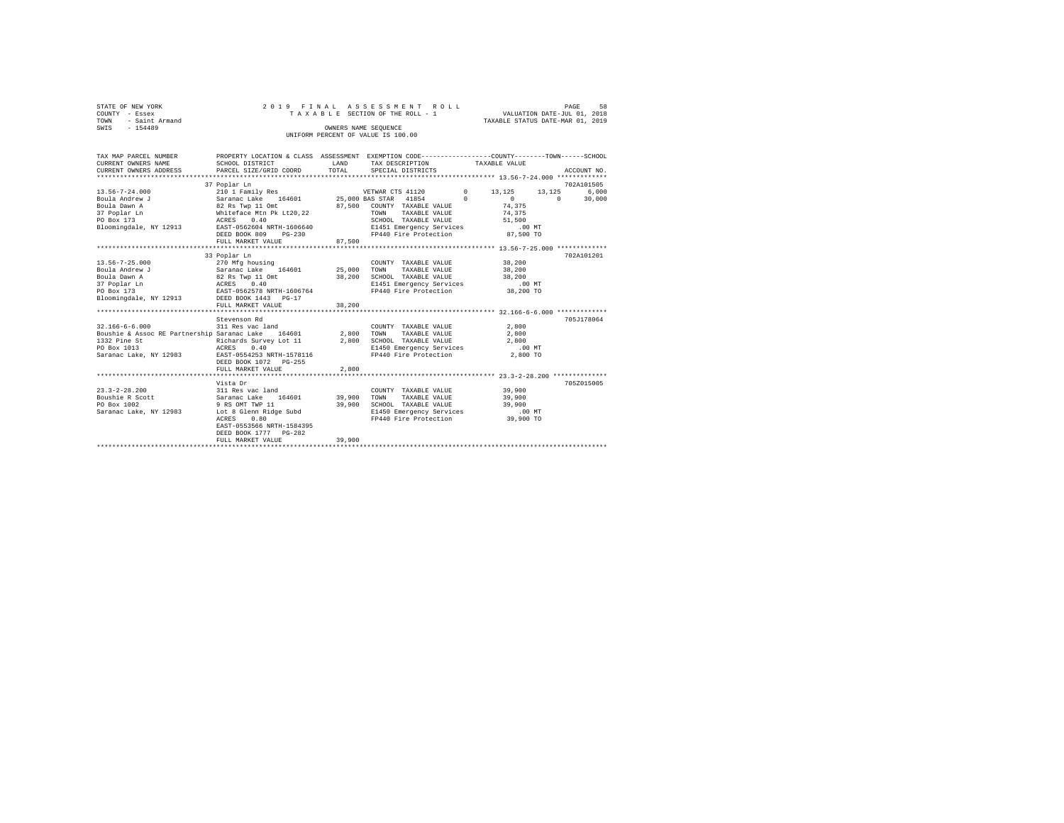| STATE OF NEW YORK      | 2019 FINAL ASSESSMENT ROLL         | 58<br>PAGE                       |
|------------------------|------------------------------------|----------------------------------|
| COUNTY - Essex         | TAXABLE SECTION OF THE ROLL - 1    | VALUATION DATE-JUL 01, 2018      |
| - Saint Armand<br>TOWN |                                    | TAXABLE STATUS DATE-MAR 01, 2019 |
| SWIS<br>$-154489$      | OWNERS NAME SEOUENCE               |                                  |
|                        | UNIFORM PERCENT OF VALUE IS 100.00 |                                  |

| TAX MAP PARCEL NUMBER<br>CURRENT OWNERS NAME                                                                                                                                                                   | PROPERTY LOCATION & CLASS ASSESSMENT EXEMPTION CODE---------------COUNTY-------TOWN-----SCHOOL<br>SCHOOL DISTRICT                                                     | LAND   | TAX DESCRIPTION TAXABLE VALUE                                                                                                                                                                                                                                             |                              |                                      |
|----------------------------------------------------------------------------------------------------------------------------------------------------------------------------------------------------------------|-----------------------------------------------------------------------------------------------------------------------------------------------------------------------|--------|---------------------------------------------------------------------------------------------------------------------------------------------------------------------------------------------------------------------------------------------------------------------------|------------------------------|--------------------------------------|
| $13.56 - 7 - 24.000$<br>Bloomingdale, NY 12913 EAST-0562604 NRTH-1606640                                                                                                                                       | 37 Poplar Ln<br>DEED BOOK 809 PG-230<br>FULL MARKET VALUE                                                                                                             | 87,500 | SCHOOL TAXABLE VALUE 51,500<br>E1451 Emergency Services 60 0 MT<br>FP440 Fire Protection 87,500 TO                                                                                                                                                                        | $\sim$ 0<br>74.375<br>74,375 | 702A101505<br>6.000<br>$0 \t 30,000$ |
|                                                                                                                                                                                                                | 33 Poplar Ln<br>FULL MARKET VALUE                                                                                                                                     | 38,200 | COUNTY TAXABLE VALUE<br>$\begin{tabular}{llll} \texttt{TAXABLE} & \texttt{VALUE} & \texttt{38,200} \\ \texttt{TAXABLE} & \texttt{VALUE} & \texttt{38,200} \\ \end{tabular}$<br>SCHOOL TAXABLE VALUE<br>E1451 Emergency Services 100 MT<br>FP440 Fire Protection 38,200 TO | 38,200                       | 702A101201                           |
| $32.166-6-6.000$ 311 Res vac land $2,800$ COUNT<br>Boushie & Assoc RE Partnership Saranac Lake $164601$ 2,800 TOWN<br>1332 Pine St<br>ACRES<br>PO Box 1013<br>Saranac Lake, NY 12983 EAST-0554253 NRTH-1578116 | Stevenson Rd<br>2,800 10mw TAXABLE VALUE 2,800<br>Richards Survey Lot 11 2,800 SCHOOL TAXABLE VALUE 2,800<br>ACRES 0 40<br>DEED BOOK 1072 PG-255<br>FULL MARKET VALUE | 2,800  | COUNTY TAXABLE VALUE<br>TAXABLE VALUE<br>E1450 Emergency Services 00 MT<br>FP440 Fire Protection 2,800 TO                                                                                                                                                                 | 2,800<br>2,800               | 705J178064                           |
| Saranac Lake, NY 12983 Lot 8 Glenn Ridge Subd                                                                                                                                                                  | Vista Dr<br>ACRES<br>0.80<br>EAST-0553566 NRTH-1584395<br>DEED BOOK 1777 PG-282<br>FULL MARKET VALUE                                                                  | 39,900 | COUNTY TAXABLE VALUE<br>TOWN TAXABLE VALUE 39,900<br>SCHOOL TAXABLE VALUE 39,900<br>E1450 Emergency Services 00 MT<br>FP440 Fire Protection 39,900 TO                                                                                                                     | 39,900                       | 705Z015005                           |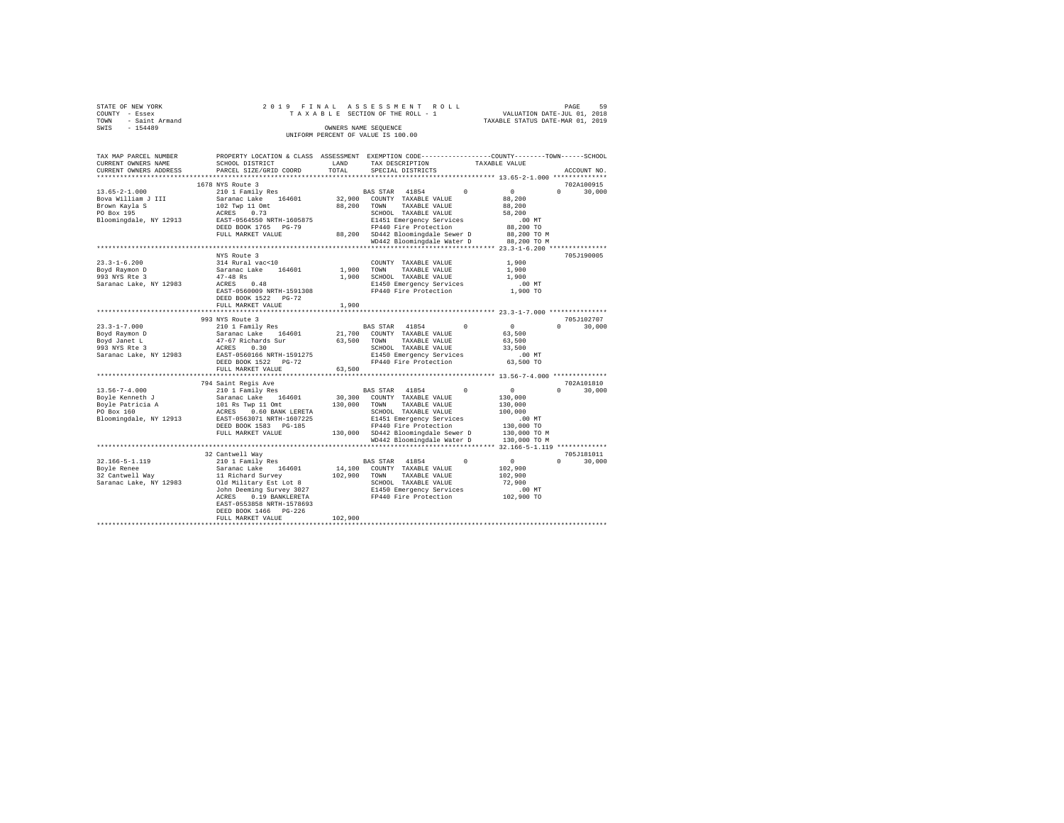|      | STATE OF NEW YORK |  |  |  | 2019 FINAL ASSESSMENT ROLL         |  |  |  |  |                                  |  | PAGE | 59 |
|------|-------------------|--|--|--|------------------------------------|--|--|--|--|----------------------------------|--|------|----|
|      | COUNTY - Essex    |  |  |  | TAXABLE SECTION OF THE ROLL - 1    |  |  |  |  | VALUATION DATE-JUL 01, 2018      |  |      |    |
| TOWN | - Saint Armand    |  |  |  |                                    |  |  |  |  | TAXABLE STATUS DATE-MAR 01, 2019 |  |      |    |
| SWIS | $-154489$         |  |  |  | OWNERS NAME SEOUENCE               |  |  |  |  |                                  |  |      |    |
|      |                   |  |  |  | UNIFORM PERCENT OF VALUE IS 100.00 |  |  |  |  |                                  |  |      |    |

| TAX MAP PARCEL NUMBER<br>CURRENT OWNERS NAME<br>CURRENT OWNERS ADDRESS                             | SCHOOL DISTRICT<br>PARCEL SIZE/GRID COORD                                                                                                                                                                                                    | LAND<br>TOTAL                | PROPERTY LOCATION & CLASS ASSESSMENT EXEMPTION CODE---------------COUNTY-------TOWN-----SCHOOL<br>TAX DESCRIPTION<br>SPECIAL DISTRICTS                                                                                                                                                            | TAXABLE VALUE<br>ACCOUNT NO.                                                                                                            |
|----------------------------------------------------------------------------------------------------|----------------------------------------------------------------------------------------------------------------------------------------------------------------------------------------------------------------------------------------------|------------------------------|---------------------------------------------------------------------------------------------------------------------------------------------------------------------------------------------------------------------------------------------------------------------------------------------------|-----------------------------------------------------------------------------------------------------------------------------------------|
| **********************                                                                             |                                                                                                                                                                                                                                              |                              |                                                                                                                                                                                                                                                                                                   |                                                                                                                                         |
| $13.65 - 2 - 1.000$<br>Bova William J III<br>Brown Kayla S<br>PO Box 195<br>Bloomingdale, NY 12913 | 1678 NYS Route 3<br>210 1 Family Res<br>Saranac Lake 164601<br>102 Twp 11 Omt<br>0.73<br>ACRES<br>EAST-0564550 NRTH-1605875<br>DEED BOOK 1765 PG-79<br>FULL MARKET VALUE                                                                     | 32,900<br>88,200             | BAS STAR 41854<br>$\Omega$<br>COUNTY TAXABLE VALUE<br>TAXABLE VALUE<br>TOWN<br>SCHOOL TAXABLE VALUE<br>E1451 Emergency Services<br>FP440 Fire Protection<br>88,200 SD442 Bloomingdale Sewer D<br>WD442 Bloomingdale Water D<br>************************************* 23.3-1-6.200 *************** | 702A100915<br>$\mathbf{0}$<br>$\Omega$<br>30,000<br>88,200<br>88,200<br>58,200<br>.00MT<br>88,200 TO<br>88,200 TO M<br>88,200 TO M      |
| $23.3 - 1 - 6.200$<br>Boyd Raymon D<br>993 NYS Rte 3<br>Saranac Lake, NY 12983                     | NYS Route 3<br>314 Rural vac<10<br>Saranac Lake 164601<br>$47 - 48$ Rs<br>0.48<br>ACRES<br>EAST-0560009 NRTH-1591308<br>DEED BOOK 1522 PG-72<br>FULL MARKET VALUE                                                                            | 1,900<br>1,900               | COUNTY TAXABLE VALUE<br>1,900 TOWN<br>TAXABLE VALUE<br>SCHOOL TAXABLE VALUE<br>E1450 Emergency Services<br>FP440 Fire Protection                                                                                                                                                                  | 705J190005<br>1,900<br>1,900<br>1,900<br>$.00$ MT<br>1,900 TO                                                                           |
| $23.3 - 1 - 7.000$<br>Boyd Raymon D<br>Boyd Janet L<br>993 NYS Rte 3<br>Saranac Lake, NY 12983     | 993 NYS Route 3<br>210 1 Family Res<br>Saranac Lake<br>164601<br>47-67 Richards Sur<br>ACRES 0.30<br>EAST-0560166 NRTH-1591275<br>DEED BOOK 1522 PG-72<br>FULL MARKET VALUE                                                                  | 21,700<br>63,500<br>63,500   | $\Omega$<br>BAS STAR 41854<br>COUNTY TAXABLE VALUE<br>TAXABLE VALUE<br>TOWN<br>SCHOOL TAXABLE VALUE<br>E1450 Emergency Services<br>FP440 Fire Protection                                                                                                                                          | 705J102707<br>$\Omega$<br>$\overline{0}$<br>30,000<br>63,500<br>63,500<br>33,500<br>$.00$ MT<br>63,500 TO                               |
| $13.56 - 7 - 4.000$<br>Boyle Kenneth J<br>Boyle Patricia A<br>PO Box 160<br>Bloomingdale, NY 12913 | 794 Saint Regis Ave<br>210 1 Family Res<br>Saranac Lake 164601<br>101 Rs Twp 11 Omt<br>0.60 BANK LERETA<br>ACRES<br>EAST-0563071 NRTH-1607225<br>DEED BOOK 1583 PG-185<br>FULL MARKET VALUE                                                  | 30,300<br>130,000            | BAS STAR 41854<br>$\Omega$<br>COUNTY TAXABLE VALUE<br>TOWN<br>TAXABLE VALUE<br>SCHOOL TAXABLE VALUE<br>E1451 Emergency Services<br>FP440 Fire Protection<br>130,000 SD442 Bloomingdale Sewer D<br>WD442 Bloomingdale Water D                                                                      | 702A101810<br>$\sim$ 0<br>$\Omega$<br>30,000<br>130,000<br>130,000<br>100,000<br>$.00$ MT<br>130,000 TO<br>130,000 TO M<br>130,000 TO M |
| $32.166 - 5 - 1.119$<br>Boyle Renee<br>32 Cantwell Way<br>Saranac Lake, NY 12983                   | 32 Cantwell Way<br>210 1 Family Res<br>Saranac Lake 164601<br>11 Richard Survey<br>Old Military Est Lot 8<br>John Deeming Survey 3027<br>ACRES<br>0.19 BANKLERETA<br>EAST-0553858 NRTH-1578693<br>DEED BOOK 1466 PG-226<br>FULL MARKET VALUE | 14,100<br>102,900<br>102,900 | BAS STAR 41854<br>$\Omega$<br>COUNTY TAXABLE VALUE<br>TOWN<br>TAXABLE VALUE<br>SCHOOL TAXABLE VALUE<br>E1450 Emergency Services<br>FP440 Fire Protection                                                                                                                                          | 705J181011<br>$\sim$ 0<br>$\Omega$<br>30,000<br>102,900<br>102,900<br>72,900<br>.00 MT<br>102,900 TO                                    |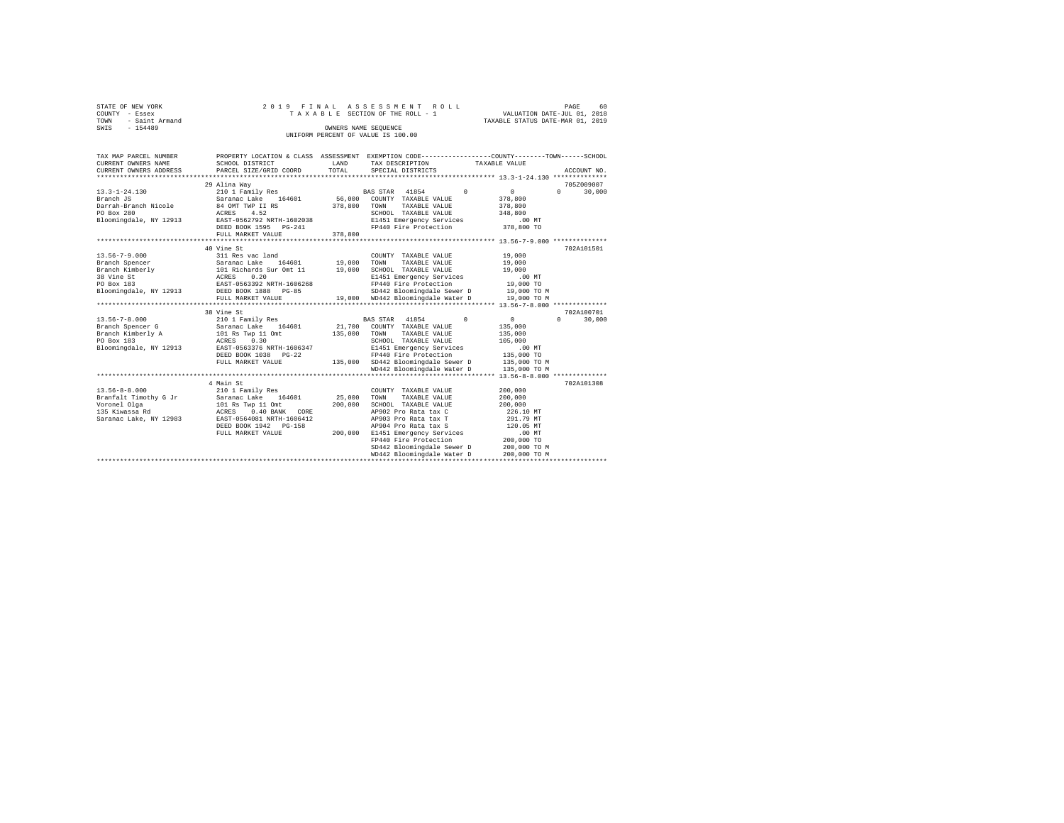| STATE OF NEW YORK      | 2019 FINAL ASSESSMENT ROLL         | 60<br>PAGE                       |  |  |  |  |  |  |  |  |
|------------------------|------------------------------------|----------------------------------|--|--|--|--|--|--|--|--|
| COUNTY - Essex         | TAXABLE SECTION OF THE ROLL - 1    | VALUATION DATE-JUL 01, 2018      |  |  |  |  |  |  |  |  |
| - Saint Armand<br>TOWN |                                    | TAXABLE STATUS DATE-MAR 01, 2019 |  |  |  |  |  |  |  |  |
| SWIS<br>$-154489$      | OWNERS NAME SEOUENCE               |                                  |  |  |  |  |  |  |  |  |
|                        | UNIFORM PERCENT OF VALUE IS 100.00 |                                  |  |  |  |  |  |  |  |  |
|                        |                                    |                                  |  |  |  |  |  |  |  |  |

| TAX MAP PARCEL NUMBER<br>CURRENT OWNERS NAME<br>CURRENT OWNERS ADDRESS | SCHOOL DISTRICT<br>PARCEL SIZE/GRID COORD                                                                                                                                                                                                                                                                          | LAND<br>TOTAL                | PROPERTY LOCATION & CLASS ASSESSMENT EXEMPTION CODE---------------COUNTY-------TOWN-----SCHOOL<br>TAX DESCRIPTION TAXABLE VALUE<br>SPECIAL DISTRICTS                                                                                                                                                                                   | ACCOUNT NO.                                                                                                                        |
|------------------------------------------------------------------------|--------------------------------------------------------------------------------------------------------------------------------------------------------------------------------------------------------------------------------------------------------------------------------------------------------------------|------------------------------|----------------------------------------------------------------------------------------------------------------------------------------------------------------------------------------------------------------------------------------------------------------------------------------------------------------------------------------|------------------------------------------------------------------------------------------------------------------------------------|
| 13.3-1-24.130<br>Branch JS                                             | 29 Alina Way<br>210 1 Family Res<br>Saranac Lake 164601 56,000 COUNTY TAXABLE VALUE<br>Bloomingdale, NY 12913 EAST-0562792 NRTH-1602038<br>DEED BOOK 1595 PG-241<br>FULL MARKET VALUE                                                                                                                              | 378,800                      | BAS STAR 41854 0<br>TAXABLE VALUE<br>TOWN<br>SCHOOL TAXABLE VALUE<br>E1451 Emergency Services<br>FP440 Fire Protection 378,800 TO                                                                                                                                                                                                      | 705Z009007<br>$\sim$ 0<br>$\Omega$<br>30,000<br>378,800<br>378,800<br>348,800<br>$.00 \text{ MT}$                                  |
| $13.56 - 7 - 9.000$                                                    | 40 Vine St<br>311 Res vac land<br>Branch Spencer Saranac Lake 164601 19,000<br>Bloomingdale, NY 12913 DEED BOOK 1888 PG-85<br>FULL MARKET VALUE                                                                                                                                                                    |                              | COUNTY TAXABLE VALUE<br>TAXABLE VALUE<br>TOWN<br>SCHOOL TAXABLE VALUE 19,000<br>E1451 Emergency Services .00 MT<br>FP440 Fire Protection  19,000 TO<br>SD442 Bloomingdale Sewer D 19,000 TO M<br>19,000 WD442 Bloomingdale Water D 19,000 TO M                                                                                         | 702A101501<br>19,000<br>19,000                                                                                                     |
|                                                                        | 38 Vine St<br>13.56-7-8.000<br>Branch Spencer G<br>Branch Spencer G<br>Branch Kimberly A<br>101 Ram Teatro 164601<br>135,000<br>PO Box 183<br>PO Box 183<br>Ram Teatro 1606347<br>Bloomingdale, NY 12913<br>BRAST-0563376<br>RASTRI-1606347<br>RASTRI-1606347<br>RAST<br>DEED BOOK 1038 PG-22<br>FULL MARKET VALUE | 135,000                      | BAS STAR 41854 0<br>21,700 COUNTY TAXABLE VALUE<br>TOWN TAXABLE VALUE<br>SCHOOL TAXABLE VALUE<br>E1451 Emergency Services<br>FP440 Fire Protection<br>135,000 SD442 Bloomingdale Sewer D 135,000 TO M<br>WD442 Bloomingdale Water D                                                                                                    | 702A100701<br>$\sim$ 0<br>$\Omega$<br>30,000<br>135,000<br>135,000<br>105,000<br>.00 MT<br>135,000 TO<br>135,000 TO M              |
|                                                                        | 4 Main St<br>DEED BOOK 1942    PG-158<br>FULL MARKET VALUE                                                                                                                                                                                                                                                         | 25,000<br>200,000<br>200,000 | .************************************* 13.56-8-8.000 ***************<br>COUNTY TAXABLE VALUE<br>TOWN<br>TAXABLE VALUE<br>SCHOOL TAXABLE VALUE<br>AP902 Pro Rata tax C<br>AP903 Pro Rata tax T<br>AP904 Pro Rata tax S<br>E1451 Emergency Services<br>FP440 Fire Protection<br>SD442 Bloomingdale Sewer D<br>WD442 Bloomingdale Water D | 702A101308<br>200,000<br>200,000<br>200,000<br>226.10 MT<br>291.79 MT<br>120.05 MT<br>$200,000$ TO<br>200,000 TO M<br>200,000 TO M |
|                                                                        |                                                                                                                                                                                                                                                                                                                    |                              |                                                                                                                                                                                                                                                                                                                                        |                                                                                                                                    |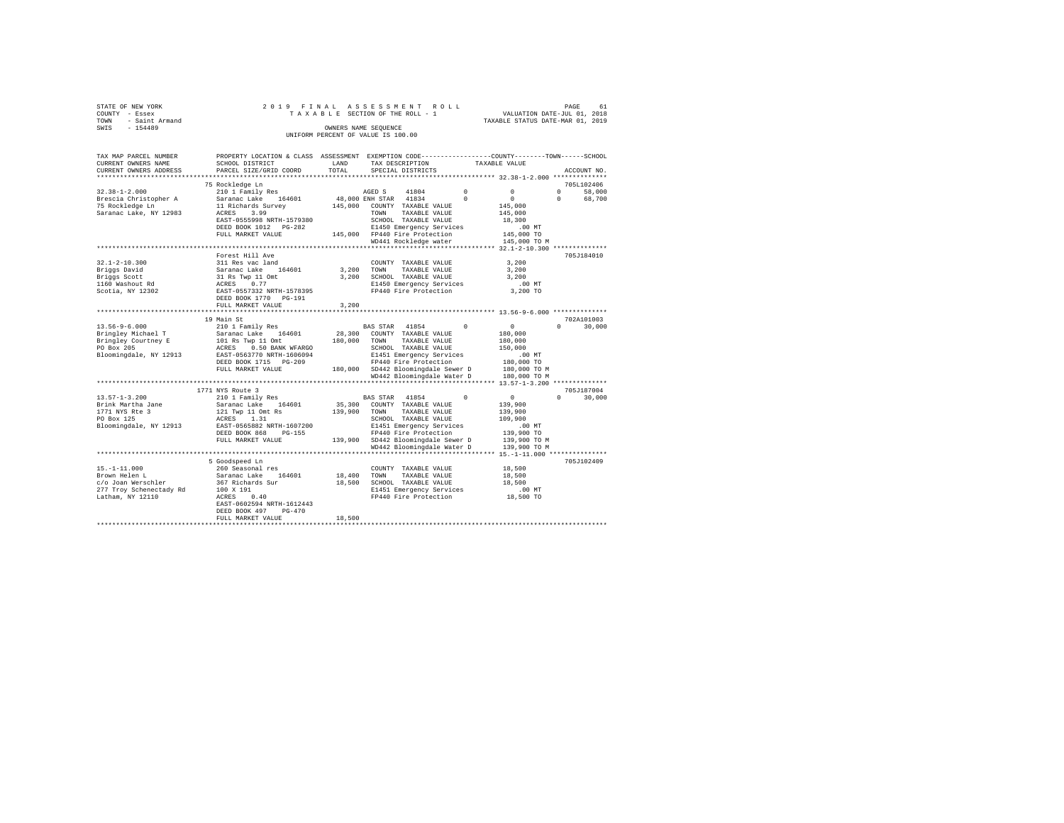| STATE OF NEW YORK                  |  |  |  | 2019 FINAL ASSESSMENT ROLL      |  |                                  | PAGE |  | 61 |
|------------------------------------|--|--|--|---------------------------------|--|----------------------------------|------|--|----|
| COUNTY - Essex                     |  |  |  | TAXABLE SECTION OF THE ROLL - 1 |  | VALUATION DATE-JUL 01, 2018      |      |  |    |
| TOWN - Saint Armand                |  |  |  |                                 |  | TAXABLE STATUS DATE-MAR 01, 2019 |      |  |    |
| SWIS<br>$-154489$                  |  |  |  | OWNERS NAME SEOUENCE            |  |                                  |      |  |    |
| UNIFORM PERCENT OF VALUE IS 100.00 |  |  |  |                                 |  |                                  |      |  |    |

| TAX MAP PARCEL NUMBER<br>CURRENT OWNERS NAME | PROPERTY LOCATION & CLASS ASSESSMENT EXEMPTION CODE----------------COUNTY-------TOWN------SCHOOL<br>SCHOOL DISTRICT | LAND        | TAX DESCRIPTION                                                  |                      | TAXABLE VALUE                 |                                |
|----------------------------------------------|---------------------------------------------------------------------------------------------------------------------|-------------|------------------------------------------------------------------|----------------------|-------------------------------|--------------------------------|
| CURRENT OWNERS ADDRESS                       | PARCEL SIZE/GRID COORD                                                                                              | TOTAL       | SPECIAL DISTRICTS                                                |                      |                               | ACCOUNT NO                     |
|                                              |                                                                                                                     |             |                                                                  |                      |                               |                                |
|                                              | 75 Rockledge Ln                                                                                                     |             |                                                                  |                      |                               | 705L102406                     |
| $32.38 - 1 - 2.000$                          | 210 1 Family Res                                                                                                    |             | 41804<br>AGED S                                                  | $\Omega$<br>$\Omega$ | $\Omega$                      | $\Omega$<br>58,000<br>$\Omega$ |
| Brescia Christopher A                        | Saranac Lake 164601                                                                                                 |             | 48,000 ENH STAR 41834                                            |                      | $\circ$                       | 68,700                         |
| 75 Rockledge Ln<br>Saranac Lake, NY 12983    | 11 Richards Survey<br>ACRES 3.99                                                                                    |             | 145,000 COUNTY TAXABLE VALUE                                     |                      | 145,000<br>145,000            |                                |
|                                              | EAST-0555998 NRTH-1579380                                                                                           |             | TOWN TAXABLE VALUE<br>SCHOOL TAXABLE VALUE                       |                      | 18,300                        |                                |
|                                              |                                                                                                                     |             |                                                                  |                      |                               |                                |
|                                              | DEED BOOK 1012 PG-282<br>FULL MARKET VALUE                                                                          |             | E1450 Emergency Services<br>145,000 FP440 Fire Protection        |                      | $.00$ MT<br>145,000 TO        |                                |
|                                              |                                                                                                                     |             | WD441 Rockledge water                                            |                      | 145,000 TO M                  |                                |
|                                              |                                                                                                                     |             | *************************                                        |                      | *** 32.1-2-10.300 *********** |                                |
|                                              | Forest Hill Ave                                                                                                     |             |                                                                  |                      |                               | 705J184010                     |
| $32.1 - 2 - 10.300$                          | 311 Res vac land                                                                                                    |             | COUNTY TAXABLE VALUE                                             |                      | 3,200                         |                                |
| Briggs David                                 | Saranac Lake 164601                                                                                                 |             | 3.200 TOWN<br>TAXABLE VALUE                                      |                      | 3,200                         |                                |
| Briggs Scott                                 |                                                                                                                     | 3,200       | SCHOOL TAXABLE VALUE                                             |                      | 3,200                         |                                |
| 1160 Washout Rd                              |                                                                                                                     |             | E1450 Emergency Services                                         |                      | $.00$ MT                      |                                |
| Scotia, NY 12302                             | 21 Rs Twp 11 Omt<br>ACRES 0.77<br>EAST-0557332_NRTH-1578395                                                         |             | FP440 Fire Protection                                            |                      | 3,200 TO                      |                                |
|                                              | DEED BOOK 1770 PG-191                                                                                               |             |                                                                  |                      |                               |                                |
|                                              | FULL MARKET VALUE                                                                                                   | 3,200       |                                                                  |                      |                               |                                |
|                                              |                                                                                                                     |             |                                                                  |                      |                               |                                |
|                                              | 19 Main St                                                                                                          |             |                                                                  |                      |                               | 702A101003                     |
| $13.56 - 9 - 6.000$                          | 210 1 Family Res                                                                                                    |             | BAS STAR 41854<br>$\sim$ 0                                       |                      | $\sim$ 0                      | 30,000<br>$\Omega$             |
| Bringley Michael T                           | Saranac Lake 164601                                                                                                 |             | 28,300 COUNTY TAXABLE VALUE                                      |                      | 180,000                       |                                |
| Bringley Courtney E                          |                                                                                                                     |             | 180,000 TOWN TAXABLE VALUE                                       |                      | 180,000                       |                                |
| PO Box 205                                   | 101 Rs Twp 11 Omt<br>ACRES 0.50 BANK WFARGO                                                                         |             | SCHOOL TAXABLE VALUE                                             |                      | 150,000                       |                                |
| Bloomingdale, NY 12913                       | EAST-0563770 NRTH-1606094                                                                                           |             | E1451 Emergency Services                                         |                      | $.00$ MT                      |                                |
|                                              | DEED BOOK 1715 PG-209                                                                                               |             | FP440 Fire Protection                                            |                      | 180,000 TO                    |                                |
|                                              | FULL MARKET VALUE                                                                                                   |             | 180,000 SD442 Bloomingdale Sewer D                               |                      | 180,000 TO M                  |                                |
|                                              |                                                                                                                     |             | WD442 Bloomingdale Water D                                       |                      | 180,000 TO M                  |                                |
|                                              |                                                                                                                     |             |                                                                  |                      |                               |                                |
|                                              | 1771 NYS Route 3                                                                                                    |             |                                                                  |                      |                               | 705J187004                     |
| $13.57 - 1 - 3.200$                          | 210 1 Family Res                                                                                                    |             | BAS STAR 41854                                                   | $\sim$ 0             | $\sim$ 0                      | $\mathsf{n}$<br>30,000         |
| Brink Martha Jane                            | Saranac Lake 164601                                                                                                 | 35,300      | COUNTY TAXABLE VALUE                                             |                      | 139,900                       |                                |
| 1771 NYS Rte 3                               | 121 Twp 11 Omt Rs                                                                                                   | 139,900     | TOWN TAXABLE VALUE                                               |                      | 139,900                       |                                |
| PO Box 125                                   | ACRES 1.31                                                                                                          |             | SCHOOL TAXABLE VALUE                                             |                      | 109,900                       |                                |
| Bloomingdale, NY 12913                       | EAST-0565882 NRTH-1607200                                                                                           |             | E1451 Emergency Services                                         |                      | $.00$ MT                      |                                |
|                                              | DEED BOOK 868 PG-155                                                                                                |             | FP440 Fire Protection                                            |                      | 139,900 TO                    |                                |
|                                              | FULL MARKET VALUE                                                                                                   |             | 139,900 SD442 Bloomingdale Sewer D                               |                      | 139,900 TO M                  |                                |
|                                              |                                                                                                                     |             | WD442 Bloomingdale Water D                                       |                      | 139,900 TO M                  |                                |
|                                              | ***************************                                                                                         |             | ************************************* 15.-1-11.000 ************* |                      |                               |                                |
|                                              | 5 Goodspeed Ln                                                                                                      |             |                                                                  |                      |                               | 705J102409                     |
| $15. - 1 - 11.000$                           | 260 Seasonal res                                                                                                    |             | COUNTY TAXABLE VALUE                                             |                      | 18,500                        |                                |
| Brown Helen L                                | Saranac Lake 164601                                                                                                 | 18,400 TOWN | TAXABLE VALUE                                                    |                      | 18,500                        |                                |
| c/o Joan Werschler                           | 367 Richards Sur                                                                                                    |             | 18,500 SCHOOL TAXABLE VALUE                                      |                      | 18,500                        |                                |
| 277 Troy Schenectady Rd 100 X 191            | $\frac{191}{0.40}$                                                                                                  |             | E1451 Emergency Services                                         |                      |                               |                                |
| Latham, NY 12110                             | ACRES                                                                                                               |             | FP440 Fire Protection                                            |                      | 00 MT.<br>18,500 TO           |                                |
|                                              | EAST-0602594 NRTH-1612443                                                                                           |             |                                                                  |                      |                               |                                |
|                                              | DEED BOOK 497<br>PG-470                                                                                             |             |                                                                  |                      |                               |                                |
|                                              | FULL MARKET VALUE                                                                                                   | 18,500      |                                                                  |                      |                               |                                |
|                                              |                                                                                                                     |             |                                                                  |                      |                               |                                |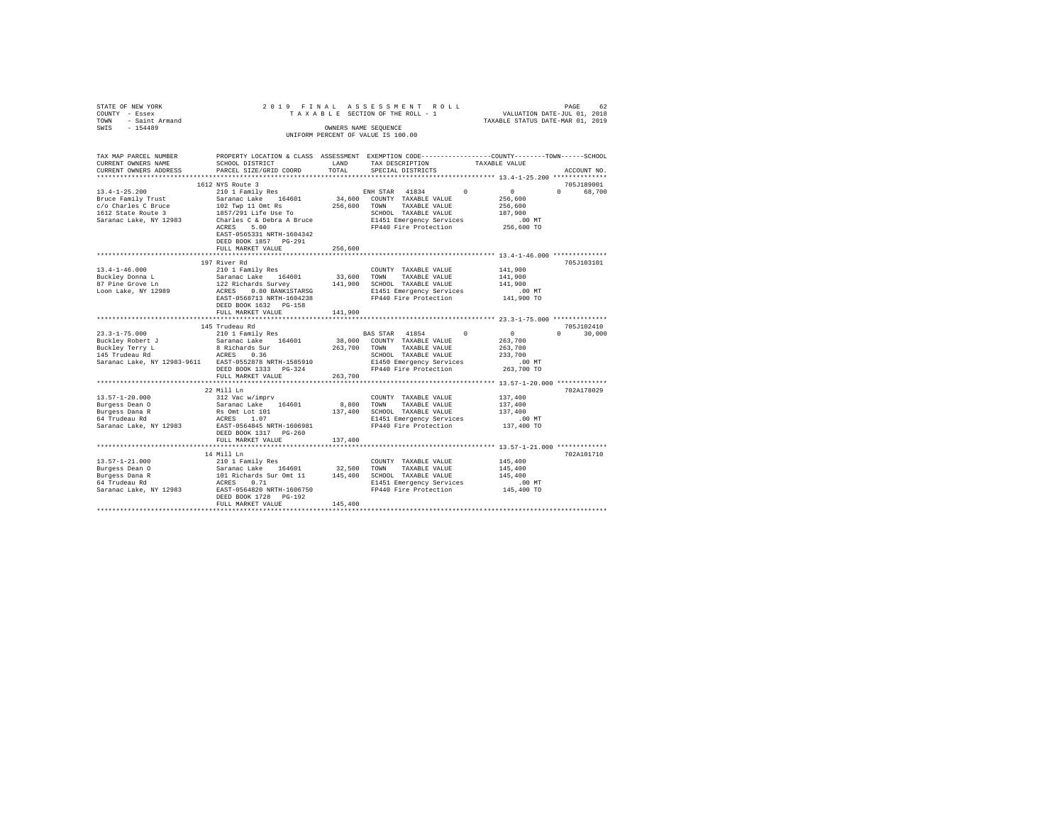| STATE OF NEW YORK                   | 2019 FINAL                              |              | ASSESSMENT<br>ROLL                                                                              |                                  | PAGE<br>62         |
|-------------------------------------|-----------------------------------------|--------------|-------------------------------------------------------------------------------------------------|----------------------------------|--------------------|
| COUNTY - Essex                      |                                         |              | TAXABLE SECTION OF THE ROLL - 1                                                                 | VALUATION DATE-JUL 01, 2018      |                    |
| - Saint Armand<br>TOWN<br>$-154489$ |                                         |              | OWNERS NAME SEOUENCE                                                                            | TAXABLE STATUS DATE-MAR 01, 2019 |                    |
| SWIS                                |                                         |              | UNIFORM PERCENT OF VALUE IS 100.00                                                              |                                  |                    |
|                                     |                                         |              |                                                                                                 |                                  |                    |
|                                     |                                         |              |                                                                                                 |                                  |                    |
| TAX MAP PARCEL NUMBER               |                                         |              | PROPERTY LOCATION & CLASS ASSESSMENT EXEMPTION CODE---------------COUNTY-------TOWN------SCHOOL |                                  |                    |
| CURRENT OWNERS NAME                 | SCHOOL DISTRICT                         | LAND         | TAX DESCRIPTION                                                                                 | TAXABLE VALUE                    |                    |
| CURRENT OWNERS ADDRESS              | PARCEL SIZE/GRID COORD                  | TOTAL        | SPECIAL DISTRICTS                                                                               |                                  | ACCOUNT NO.        |
| ************************            |                                         |              |                                                                                                 |                                  |                    |
|                                     | 1612 NYS Route 3                        |              |                                                                                                 |                                  | 705J189001         |
| $13.4 - 1 - 25.200$                 | 210 1 Family Res                        |              | $\Omega$<br>ENH STAR 41834                                                                      | $\circ$                          | $\cap$<br>68,700   |
| Bruce Family Trust                  | Saranac Lake 164601                     |              | 34,600 COUNTY TAXABLE VALUE                                                                     | 256,600                          |                    |
| c/o Charles C Bruce                 | 102 Twp 11 Omt Rs                       | 256,600 TOWN | TAXABLE VALUE                                                                                   | 256,600                          |                    |
| 1612 State Route 3                  | 1857/291 Life Use To                    |              | SCHOOL TAXABLE VALUE                                                                            | 187,900                          |                    |
| Saranac Lake, NY 12983              | Charles C & Debra A Bruce<br>ACRES 5.00 |              | E1451 Emergency Services<br>FP440 Fire Protection                                               | $.00$ MT<br>256,600 TO           |                    |
|                                     | EAST-0565331 NRTH-1604342               |              |                                                                                                 |                                  |                    |
|                                     | DEED BOOK 1857 PG-291                   |              |                                                                                                 |                                  |                    |
|                                     | FULL MARKET VALUE                       | 256,600      |                                                                                                 |                                  |                    |
|                                     |                                         |              |                                                                                                 |                                  |                    |
|                                     | 197 River Rd                            |              |                                                                                                 |                                  | 705J103101         |
| $13.4 - 1 - 46.000$                 | 210 1 Family Res                        |              | COUNTY TAXABLE VALUE                                                                            | 141,900                          |                    |
| Buckley Donna L                     | Saranac Lake 164601                     | 33,600       | TOWN<br>TAXABLE VALUE                                                                           | 141,900                          |                    |
| 87 Pine Grove Ln                    | 122 Richards Survey                     | 141,900      | SCHOOL TAXABLE VALUE                                                                            | 141,900                          |                    |
| Loon Lake, NY 12989                 | ACRES 0.80 BANK1STARSG                  |              | E1451 Emergency Services                                                                        | $.00$ MT                         |                    |
|                                     | EAST-0568713 NRTH-1604238               |              | FP440 Fire Protection                                                                           | 141,900 TO                       |                    |
|                                     | DEED BOOK 1632 PG-158                   |              |                                                                                                 |                                  |                    |
|                                     | FULL MARKET VALUE                       | 141,900      |                                                                                                 |                                  |                    |
|                                     | ************************                | **********   |                                                                                                 |                                  |                    |
|                                     | 145 Trudeau Rd                          |              |                                                                                                 |                                  | 705J102410         |
| $23.3 - 1 - 75.000$                 | 210 1 Family Res                        |              | $\Omega$<br>BAS STAR 41854                                                                      | $\sim$ 0                         | $\Omega$<br>30,000 |
| Buckley Robert J                    | Saranac Lake 164601                     |              | 38,000 COUNTY TAXABLE VALUE                                                                     | 263,700                          |                    |
| Buckley Terry L                     | 8 Richards Sur                          | 263,700      | TOWN<br>TAXABLE VALUE                                                                           | 263,700                          |                    |
| 145 Trudeau Rd                      | ACRES 0.36                              |              | SCHOOL TAXABLE VALUE                                                                            | 233,700                          |                    |
| Saranac Lake, NY 12983-9611         | EAST-0552878 NRTH-1585910               |              | E1450 Emergency Services                                                                        | $.00$ MT                         |                    |
|                                     | DEED BOOK 1333 PG-324                   |              | FP440 Fire Protection                                                                           | 263,700 TO                       |                    |
|                                     | FULL MARKET VALUE                       | 263,700      |                                                                                                 |                                  |                    |
|                                     | ************************                |              |                                                                                                 |                                  |                    |
|                                     | 22 Mill Ln                              |              |                                                                                                 |                                  | 702A178029         |
| $13.57 - 1 - 20.000$                | 312 Vac w/imprv<br>164601               | 8,800        | COUNTY TAXABLE VALUE                                                                            | 137,400<br>137,400               |                    |
| Burgess Dean O<br>Burgess Dana R    | Saranac Lake<br>Rs Omt Lot 101          | 137,400      | TOWN<br>TAXABLE VALUE<br>SCHOOL TAXABLE VALUE                                                   | 137,400                          |                    |
| Luigess Dana R<br>64 Trudeau Rd     | ACRES 1.07                              |              | E1451 Emergency Services                                                                        | $.00$ MT                         |                    |
| Saranac Lake, NY 12983              | EAST-0564845 NRTH-1606981               |              | FP440 Fire Protection                                                                           | 137,400 TO                       |                    |
|                                     | DEED BOOK 1317 PG-260                   |              |                                                                                                 |                                  |                    |
|                                     | FULL MARKET VALUE                       | 137,400      |                                                                                                 |                                  |                    |
|                                     |                                         |              |                                                                                                 |                                  |                    |
|                                     | 14 Mill Ln                              |              |                                                                                                 |                                  | 702A101710         |
| $13.57 - 1 - 21.000$                | 210 1 Family Res                        |              | COUNTY TAXABLE VALUE                                                                            | 145,400                          |                    |
| Burgess Dean 0                      | Saranac Lake 164601                     | 32,500       | TAXABLE VALUE<br>TOWN                                                                           | 145,400                          |                    |
| Burgess Dana R                      | 101 Richards Sur Omt 11                 |              | 145,400 SCHOOL TAXABLE VALUE                                                                    | 145,400                          |                    |
| 64 Trudeau Rd                       | ACRES 0.71                              |              | E1451 Emergency Services                                                                        | $.00$ MT                         |                    |
| Saranac Lake, NY 12983              | EAST-0564820 NRTH-1606750               |              | FP440 Fire Protection                                                                           | 145,400 TO                       |                    |
|                                     | DEED BOOK 1728 PG-192                   |              |                                                                                                 |                                  |                    |
|                                     | FULL MARKET VALUE                       | 145,400      |                                                                                                 |                                  |                    |
|                                     |                                         |              |                                                                                                 |                                  |                    |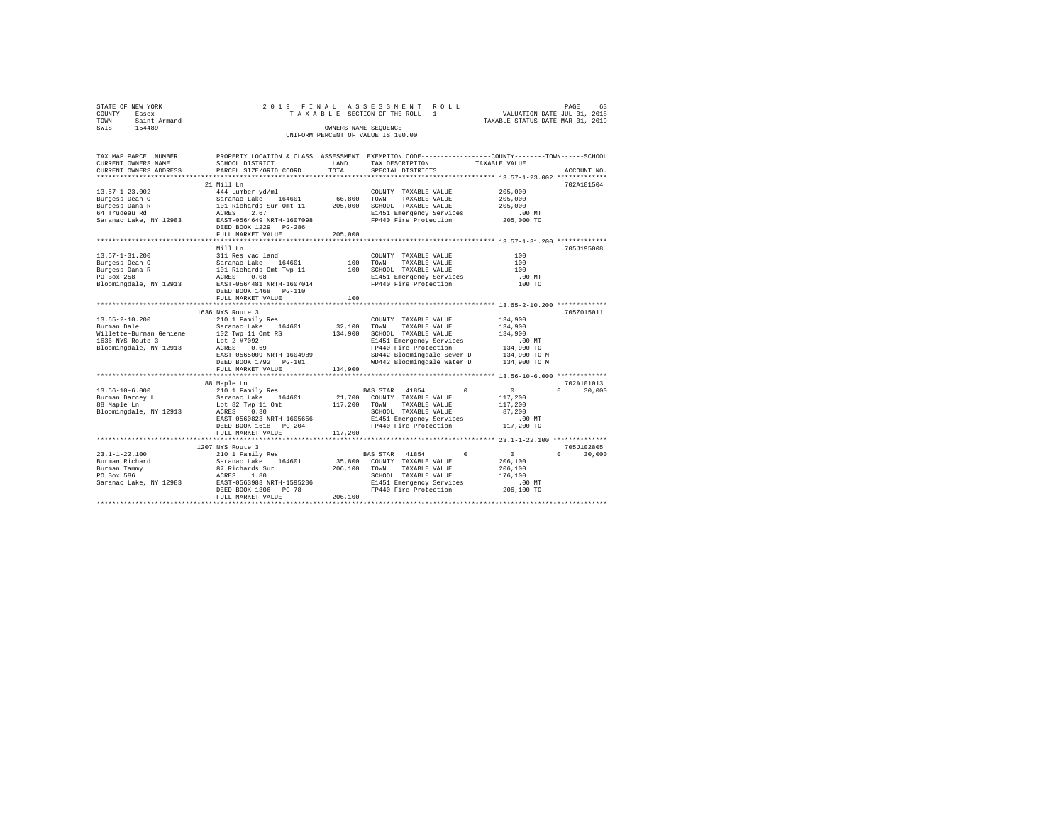|                                    | PAGE                       | 63                                                              |
|------------------------------------|----------------------------|-----------------------------------------------------------------|
| TAXABLE SECTION OF THE ROLL - 1    |                            |                                                                 |
|                                    |                            |                                                                 |
| OWNERS NAME SEOUENCE               |                            |                                                                 |
| UNIFORM PERCENT OF VALUE IS 100.00 |                            |                                                                 |
|                                    |                            |                                                                 |
|                                    | 2019 FINAL ASSESSMENT ROLL | VALUATION DATE-JUL 01, 2018<br>TAXABLE STATUS DATE-MAR 01, 2019 |

| TAX MAP PARCEL NUMBER   |                                     |         |                            | PROPERTY LOCATION & CLASS ASSESSMENT EXEMPTION CODE---------------COUNTY-------TOWN-----SCHOOL |
|-------------------------|-------------------------------------|---------|----------------------------|------------------------------------------------------------------------------------------------|
| CURRENT OWNERS NAME     | SCHOOL DISTRICT                     | LAND    | TAX DESCRIPTION            | TAXABLE VALUE                                                                                  |
| CURRENT OWNERS ADDRESS  | PARCEL SIZE/GRID COORD              | TOTAL   | SPECIAL DISTRICTS          | ACCOUNT NO.                                                                                    |
|                         |                                     |         |                            |                                                                                                |
|                         | 21 Mill Ln                          |         |                            | 702A101504                                                                                     |
| $13.57 - 1 - 23.002$    | 444 Lumber yd/ml                    |         | COUNTY TAXABLE VALUE       | 205,000                                                                                        |
| Burgess Dean O          | Saranac Lake<br>164601              | 66,800  | TOWN<br>TAXABLE VALUE      | 205,000                                                                                        |
| Burgess Dana R          | 101 Richards Sur Omt 11             | 205,000 | SCHOOL TAXABLE VALUE       | 205,000                                                                                        |
| 64 Trudeau Rd           | 2.67<br>ACRES                       |         | E1451 Emergency Services   | .00 MT                                                                                         |
| Saranac Lake, NY 12983  | EAST-0564649 NRTH-1607098           |         | FP440 Fire Protection      | 205,000 TO                                                                                     |
|                         | DEED BOOK 1229 PG-286               |         |                            |                                                                                                |
|                         | FULL MARKET VALUE                   | 205,000 |                            |                                                                                                |
|                         |                                     |         |                            |                                                                                                |
|                         | Mill Ln                             |         |                            | 705J195008                                                                                     |
| $13.57 - 1 - 31.200$    | 311 Res vac land                    |         | COUNTY TAXABLE VALUE       | 100                                                                                            |
|                         | Saranac Lake<br>164601              | 100     | TOWN                       | 100                                                                                            |
| Burgess Dean O          | 101 Richards Omt Twp 11             |         | TAXABLE VALUE              |                                                                                                |
| Burgess Dana R          |                                     | 100     | SCHOOL TAXABLE VALUE       | 100                                                                                            |
| PO Box 258              | ACRES<br>0.08                       |         | E1451 Emergency Services   | .00 MT                                                                                         |
| Bloomingdale, NY 12913  | EAST-0564481 NRTH-1607014           |         | FP440 Fire Protection      | 100 TO                                                                                         |
|                         | DEED BOOK 1468 PG-110               |         |                            |                                                                                                |
|                         | FULL MARKET VALUE                   | 100     |                            |                                                                                                |
|                         |                                     |         |                            |                                                                                                |
|                         | 1636 NYS Route 3                    |         |                            | 705Z015011                                                                                     |
| $13.65 - 2 - 10.200$    | 210 1 Family Res                    |         | COUNTY TAXABLE VALUE       | 134,900                                                                                        |
| Burman Dale             | 164601<br>Saranac Lake              | 32,100  | TOWN<br>TAXABLE VALUE      | 134,900                                                                                        |
| Willette-Burman Geniene | 102 Twp 11 Omt RS                   | 134,900 | SCHOOL TAXABLE VALUE       | 134,900                                                                                        |
| 1636 NYS Route 3        | Lot 2 #7092                         |         | E1451 Emergency Services   | $.00$ MT                                                                                       |
| Bloomingdale, NY 12913  | ACRES<br>0.69                       |         | FP440 Fire Protection      | 134,900 TO                                                                                     |
|                         | EAST-0565009 NRTH-1604989           |         | SD442 Bloomingdale Sewer D | 134,900 TO M                                                                                   |
|                         | DEED BOOK 1792    PG-101            |         | WD442 Bloomingdale Water D | 134,900 TO M                                                                                   |
|                         | FULL MARKET VALUE                   | 134,900 |                            |                                                                                                |
|                         |                                     |         |                            |                                                                                                |
|                         | 88 Maple Ln                         |         |                            | 702A101013                                                                                     |
| $13.56 - 10 - 6.000$    | 210 1 Family Res                    |         | BAS STAR 41854<br>$\Omega$ | $\mathbf{0}$<br>$\Omega$<br>30,000                                                             |
| Burman Darcey L         | Saranac Lake 164601                 | 21,700  | COUNTY TAXABLE VALUE       | 117,200                                                                                        |
| 88 Maple Ln             | Lot 82 Twp 11 Omt                   | 117,200 | TOWN<br>TAXABLE VALUE      | 117,200                                                                                        |
| Bloomingdale, NY 12913  | 0.30<br>ACRES                       |         | SCHOOL TAXABLE VALUE       | 87.200                                                                                         |
|                         | EAST-0560823 NRTH-1605656           |         | E1451 Emergency Services   | $.00$ MT                                                                                       |
|                         | DEED BOOK 1618 PG-204               |         | FP440 Fire Protection      | 117,200 TO                                                                                     |
|                         | FULL MARKET VALUE                   | 117,200 |                            |                                                                                                |
|                         |                                     |         |                            |                                                                                                |
|                         | 1207 NYS Route 3                    |         |                            | 705J102805                                                                                     |
| $23.1 - 1 - 22.100$     | 210 1 Family Res                    |         | BAS STAR 41854<br>$\Omega$ | $\sim$ 0<br>$\Omega$<br>30,000                                                                 |
| Burman Richard          | 164601<br>Saranac Lake              | 35,800  | COUNTY TAXABLE VALUE       | 206,100                                                                                        |
| Burman Tammy            | 87 Richards Sur                     | 206,100 | TOWN<br>TAXABLE VALUE      | 206,100                                                                                        |
| PO Box 586              | ACRES<br>1.80                       |         | SCHOOL TAXABLE VALUE       | 176,100                                                                                        |
| Saranac Lake, NY 12983  | EAST-0563983 NRTH-1595206           |         | E1451 Emergency Services   |                                                                                                |
|                         | $PG-78$                             |         | FP440 Fire Protection      | $.00$ MT<br>206,100 TO                                                                         |
|                         | DEED BOOK 1306<br>FULL MARKET VALUE | 206,100 |                            |                                                                                                |
|                         |                                     |         |                            |                                                                                                |
|                         |                                     |         |                            |                                                                                                |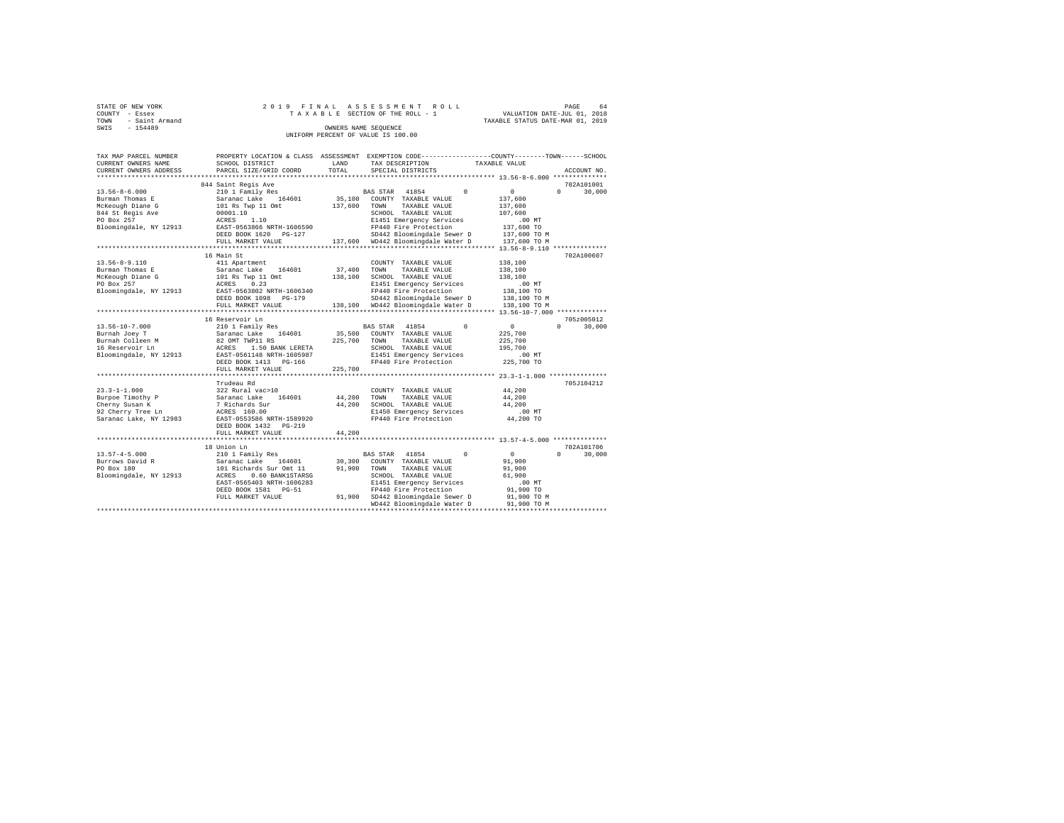| STATE OF NEW YORK   | 2019 FINAL ASSESSMENT ROLL         | 64<br>PAGE                       |
|---------------------|------------------------------------|----------------------------------|
| COUNTY - Essex      | TAXABLE SECTION OF THE ROLL - 1    | VALUATION DATE-JUL 01, 2018      |
| TOWN - Saint Armand |                                    | TAXABLE STATUS DATE-MAR 01, 2019 |
| SWIS<br>$-154489$   | OWNERS NAME SEOUENCE               |                                  |
|                     | UNIFORM PERCENT OF VALUE IS 100.00 |                                  |

| TAX MAP PARCEL NUMBER  | PROPERTY LOCATION & CLASS ASSESSMENT EXEMPTION CODE---------------COUNTY-------TOWN-----SCHOOL |         |                                                                    |          |               |                    |
|------------------------|------------------------------------------------------------------------------------------------|---------|--------------------------------------------------------------------|----------|---------------|--------------------|
| CURRENT OWNERS NAME    | SCHOOL DISTRICT                                                                                | LAND    | TAX DESCRIPTION                                                    |          | TAXABLE VALUE |                    |
| CURRENT OWNERS ADDRESS | PARCEL SIZE/GRID COORD                                                                         | TOTAL   | SPECIAL DISTRICTS                                                  |          |               | ACCOUNT NO.        |
|                        | ***************************                                                                    |         |                                                                    |          |               |                    |
|                        | 844 Saint Regis Ave                                                                            |         |                                                                    |          |               | 702A101001         |
| $13.56 - 8 - 6.000$    | 210 1 Family Res                                                                               |         | BAS STAR 41854                                                     | $\Omega$ | $\circ$       | $\Omega$<br>30,000 |
| Burman Thomas E        | Saranac Lake 164601                                                                            | 35,100  | COUNTY TAXABLE VALUE                                               |          | 137,600       |                    |
| McKeough Diane G       | 101 Rs Twp 11 Omt                                                                              | 137,600 | TAXABLE VALUE<br>TOWN                                              |          | 137,600       |                    |
| 844 St Regis Ave       | 00001.10                                                                                       |         | SCHOOL TAXABLE VALUE                                               |          | 107,600       |                    |
| PO Box 257             | 1.10<br>ACRES                                                                                  |         | E1451 Emergency Services                                           |          | $.00$ MT      |                    |
| Bloomingdale, NY 12913 | EAST-0563866 NRTH-1606590                                                                      |         | FP440 Fire Protection                                              |          | 137,600 TO    |                    |
|                        | DEED BOOK 1620 PG-127                                                                          |         | SD442 Bloomingdale Sewer D                                         |          | 137,600 TO M  |                    |
|                        | FULL MARKET VALUE                                                                              | 137,600 | WD442 Bloomingdale Water D                                         |          | 137,600 TO M  |                    |
|                        |                                                                                                |         | ************************************** 13.56-8-9.110 ************* |          |               |                    |
|                        | 16 Main St                                                                                     |         |                                                                    |          |               | 702A100607         |
| $13.56 - 8 - 9.110$    | 411 Apartment                                                                                  |         | COUNTY TAXABLE VALUE                                               |          | 138,100       |                    |
| Burman Thomas E        | 164601<br>Saranac Lake                                                                         | 37,400  | TOWN<br>TAXABLE VALUE                                              |          | 138,100       |                    |
| McKeough Diane G       | 101 Rs Twp 11 Omt                                                                              | 138,100 | SCHOOL TAXABLE VALUE                                               |          | 138,100       |                    |
| PO Box 257             | ACRES 0.23                                                                                     |         | E1451 Emergency Services                                           |          | $.00$ MT      |                    |
| Bloomingdale, NY 12913 | EAST-0563802 NRTH-1606340                                                                      |         | FP440 Fire Protection                                              |          | 138,100 TO    |                    |
|                        | DEED BOOK 1098<br>PG-179                                                                       |         | SD442 Bloomingdale Sewer D                                         |          | 138,100 TO M  |                    |
|                        | FULL MARKET VALUE                                                                              |         | 138,100 WD442 Bloomingdale Water D                                 |          | 138,100 TO M  |                    |
|                        | *********************                                                                          |         |                                                                    |          |               |                    |
|                        | 16 Reservoir Ln                                                                                |         |                                                                    |          |               | 705z005012         |
| $13.56 - 10 - 7.000$   | 210 1 Family Res                                                                               |         | 41854<br>BAS STAR                                                  | $\Omega$ | $\circ$       | $\Omega$<br>30,000 |
| Burnah Joey T          | Saranac Lake<br>164601                                                                         | 35,500  | COUNTY TAXABLE VALUE                                               |          | 225,700       |                    |
| Burnah Colleen M       | 82 OMT TWP11 RS                                                                                | 225,700 | TOWN<br>TAXABLE VALUE                                              |          | 225,700       |                    |
| 16 Reservoir Ln        | ACRES<br>1.50 BANK LERETA                                                                      |         | SCHOOL TAXABLE VALUE                                               |          | 195,700       |                    |
| Bloomingdale, NY 12913 | EAST-0561148 NRTH-1605987                                                                      |         | E1451 Emergency Services                                           |          | .00MT         |                    |
|                        | DEED BOOK 1413 PG-166                                                                          |         | FP440 Fire Protection                                              |          | 225,700 TO    |                    |
|                        | FULL MARKET VALUE                                                                              | 225,700 |                                                                    |          |               |                    |
|                        | ********************                                                                           |         | **************************** 23.3-1-1.000 ***************          |          |               |                    |
|                        | Trudeau Rd                                                                                     |         |                                                                    |          |               | 705J104212         |
| $23.3 - 1 - 1.000$     | 322 Rural vac>10                                                                               |         | COUNTY TAXABLE VALUE                                               |          | 44.200        |                    |
| Burpoe Timothy P       | 164601<br>Saranac Lake                                                                         | 44,200  | TOWN<br>TAXABLE VALUE                                              |          | 44,200        |                    |
| Cherny Susan K         | 7 Richards Sur                                                                                 | 44,200  | SCHOOL TAXABLE VALUE                                               |          | 44,200        |                    |
| 92 Cherry Tree Ln      | ACRES 160.00                                                                                   |         | E1450 Emergency Services                                           |          | .00MT         |                    |
| Saranac Lake, NY 12983 | EAST-0553586 NRTH-1589920                                                                      |         | FP440 Fire Protection                                              |          | 44,200 TO     |                    |
|                        | DEED BOOK 1432<br>$PG-219$                                                                     |         |                                                                    |          |               |                    |
|                        | FULL MARKET VALUE                                                                              | 44.200  |                                                                    |          |               |                    |
|                        | ***********************                                                                        |         |                                                                    |          |               |                    |
|                        | 18 Union Ln                                                                                    |         |                                                                    |          |               | 702A101706         |
| $13.57 - 4 - 5.000$    | 210 1 Family Res                                                                               |         | BAS STAR 41854                                                     | $\Omega$ | $\circ$       | $\Omega$<br>30,000 |
| Burrows David R        | Saranac Lake<br>164601                                                                         | 30,300  | COUNTY TAXABLE VALUE                                               |          | 91,900        |                    |
| PO Box 180             | 101 Richards Sur Omt 11                                                                        | 91,900  | TAXABLE VALUE<br>TOWN                                              |          | 91,900        |                    |
| Bloomingdale, NY 12913 | ACRES<br>0.60 BANK1STARSG                                                                      |         | SCHOOL TAXABLE VALUE                                               |          | 61,900        |                    |
|                        | EAST-0565403 NRTH-1606283                                                                      |         | E1451 Emergency Services                                           |          | .00MT         |                    |
|                        | DEED BOOK 1581 PG-51                                                                           |         | FP440 Fire Protection                                              |          | 91,900 TO     |                    |
|                        | FULL MARKET VALUE                                                                              |         | 91,900 SD442 Bloomingdale Sewer D                                  |          | 91,900 TO M   |                    |
|                        |                                                                                                |         | WD442 Bloomingdale Water D                                         |          | 91,900 TO M   |                    |
|                        |                                                                                                |         |                                                                    |          |               |                    |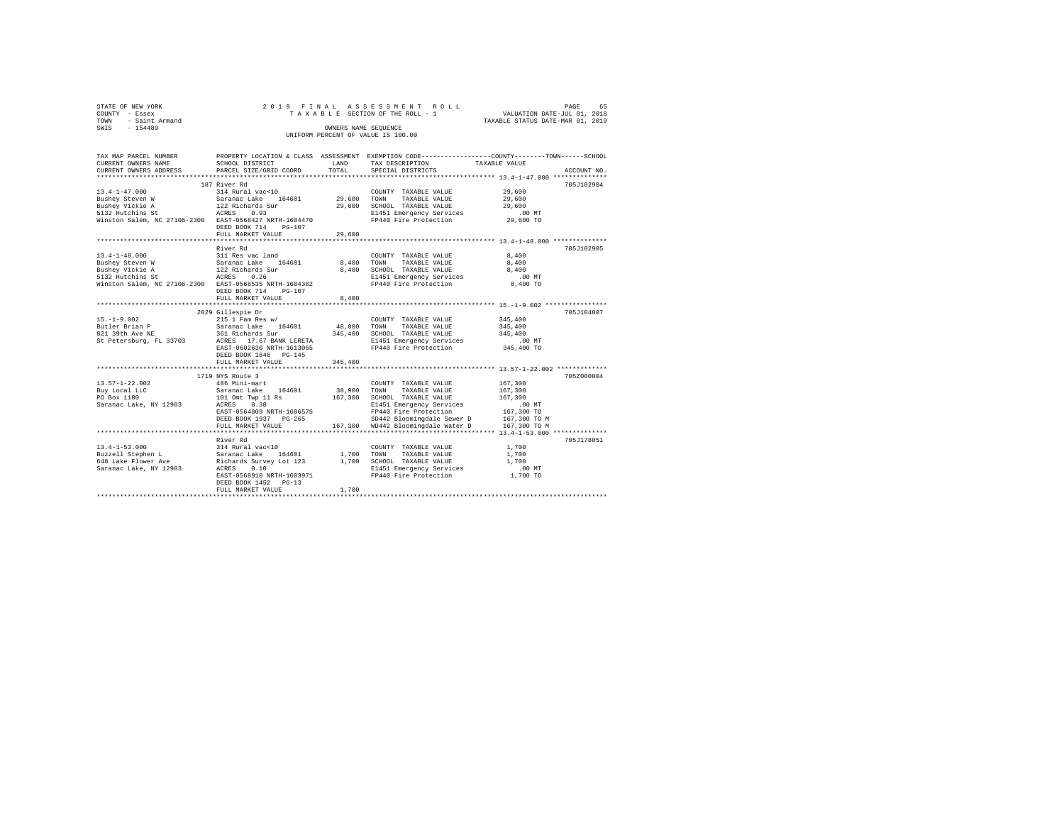| STATE OF NEW YORK   | 2019 FINAL ASSESSMENT ROLL         | 65<br>PAGE                       |
|---------------------|------------------------------------|----------------------------------|
| COUNTY - Essex      | TAXABLE SECTION OF THE ROLL - 1    | VALUATION DATE-JUL 01, 2018      |
| TOWN - Saint Armand |                                    | TAXABLE STATUS DATE-MAR 01, 2019 |
| SWIS<br>$-154489$   | OWNERS NAME SEOUENCE               |                                  |
|                     | UNIFORM PERCENT OF VALUE IS 100.00 |                                  |
|                     |                                    |                                  |

| TAX MAP PARCEL NUMBER                                                                                                                                                                                                                                                                                                                                                                           |                           |         | PROPERTY LOCATION & CLASS ASSESSMENT EXEMPTION CODE---------------COUNTY-------TOWN-----SCHOOL |               |             |
|-------------------------------------------------------------------------------------------------------------------------------------------------------------------------------------------------------------------------------------------------------------------------------------------------------------------------------------------------------------------------------------------------|---------------------------|---------|------------------------------------------------------------------------------------------------|---------------|-------------|
| CURRENT OWNERS NAME                                                                                                                                                                                                                                                                                                                                                                             | SCHOOL DISTRICT           | LAND    | TAX DESCRIPTION                                                                                | TAXABLE VALUE |             |
| CURRENT OWNERS ADDRESS PARCEL SIZE/GRID COORD TOTAL                                                                                                                                                                                                                                                                                                                                             |                           |         | SPECIAL DISTRICTS                                                                              |               | ACCOUNT NO. |
|                                                                                                                                                                                                                                                                                                                                                                                                 |                           |         |                                                                                                |               |             |
|                                                                                                                                                                                                                                                                                                                                                                                                 | 187 River Rd              |         |                                                                                                |               | 705J102904  |
| $\begin{tabular}{lcccc} 13.4-1-47.000 & 187 R1ver K\alpha & 29,600 \\ \hline \end{tabular} \begin{tabular}{lcccc} 13.4-1-47.000 & 187 R1ver K\alpha \\ \hline \end{tabular} \begin{tabular}{lcccc} 13.4-1-47.000 & 1814 R1varal vac-10 \\ \hline \end{tabular} \begin{tabular}{lcccc} 13.4-1-47.000 & 1814 R1varal vac-10 \\ \hline \end{tabular} \begin{tabular}{lcccc} 13.4-1-47.000 & 13.48$ |                           |         |                                                                                                |               |             |
|                                                                                                                                                                                                                                                                                                                                                                                                 |                           |         |                                                                                                |               |             |
|                                                                                                                                                                                                                                                                                                                                                                                                 |                           |         |                                                                                                |               |             |
|                                                                                                                                                                                                                                                                                                                                                                                                 |                           |         |                                                                                                |               |             |
|                                                                                                                                                                                                                                                                                                                                                                                                 |                           |         |                                                                                                |               |             |
|                                                                                                                                                                                                                                                                                                                                                                                                 | DEED BOOK 714 PG-107      |         |                                                                                                |               |             |
|                                                                                                                                                                                                                                                                                                                                                                                                 | FULL MARKET VALUE         | 29,600  |                                                                                                |               |             |
|                                                                                                                                                                                                                                                                                                                                                                                                 |                           |         |                                                                                                |               |             |
|                                                                                                                                                                                                                                                                                                                                                                                                 | River Rd                  |         |                                                                                                |               | 705J102905  |
|                                                                                                                                                                                                                                                                                                                                                                                                 |                           |         |                                                                                                |               |             |
|                                                                                                                                                                                                                                                                                                                                                                                                 |                           |         |                                                                                                |               |             |
|                                                                                                                                                                                                                                                                                                                                                                                                 |                           |         |                                                                                                |               |             |
| $\begin{tabular}{lcccccc} 13.4-1-48.000 & 311 Res vac land & 164601 & 8,400Biology Steven W & Saramac Lake & 164601 & 8,400 TONAT B. W. TANABLE VALUE & 8,400Bushey Yickei A & 122 Richardis Sur & 8,400 TON. TANABLE VALUE & 8,4005132 Hutchins St & 122 Richardis Sur & 8,400 S.2100L TANABLE VALUE & 8,4005132 Hutchins St & 0.26 & E1451 Emergency Services & 0.0 MT$                       |                           |         |                                                                                                |               |             |
|                                                                                                                                                                                                                                                                                                                                                                                                 |                           |         | FP440 Fire Protection 8,400 TO                                                                 |               |             |
|                                                                                                                                                                                                                                                                                                                                                                                                 | DEED BOOK 714 PG-107      |         |                                                                                                |               |             |
|                                                                                                                                                                                                                                                                                                                                                                                                 | FULL MARKET VALUE         |         |                                                                                                |               |             |
|                                                                                                                                                                                                                                                                                                                                                                                                 |                           | 8,400   |                                                                                                |               |             |
|                                                                                                                                                                                                                                                                                                                                                                                                 | 2029 Gillespie Dr         |         |                                                                                                |               | 705J104007  |
|                                                                                                                                                                                                                                                                                                                                                                                                 |                           |         |                                                                                                |               |             |
|                                                                                                                                                                                                                                                                                                                                                                                                 |                           |         |                                                                                                |               |             |
|                                                                                                                                                                                                                                                                                                                                                                                                 |                           |         |                                                                                                |               |             |
|                                                                                                                                                                                                                                                                                                                                                                                                 |                           |         |                                                                                                |               |             |
|                                                                                                                                                                                                                                                                                                                                                                                                 |                           |         |                                                                                                |               |             |
|                                                                                                                                                                                                                                                                                                                                                                                                 | EAST-0602630 NRTH-1613065 |         | FP440 Fire Protection                                                                          | 345,400 TO    |             |
|                                                                                                                                                                                                                                                                                                                                                                                                 | DEED BOOK 1846 PG-145     |         |                                                                                                |               |             |
|                                                                                                                                                                                                                                                                                                                                                                                                 | FULL MARKET VALUE         | 345,400 |                                                                                                |               |             |
|                                                                                                                                                                                                                                                                                                                                                                                                 |                           |         |                                                                                                |               |             |
|                                                                                                                                                                                                                                                                                                                                                                                                 | 1719 NYS Route 3          |         |                                                                                                |               | 705Z000004  |
|                                                                                                                                                                                                                                                                                                                                                                                                 |                           |         |                                                                                                |               |             |
| $\begin{tabular}{lcccccc} 13.57-1-22.002 & 167.300 & 167.300 & 167.300 & 167.300 & 167.300 & 167.300 & 167.300 & 167.300 & 167.300 & 167.300 & 167.300 & 167.300 & 167.300 & 167.300 & 167.300 & 167.300 & 167.300 & 167.300 & 167.300 & 167.300 & 167.300 & 167.$                                                                                                                              |                           |         |                                                                                                |               |             |
|                                                                                                                                                                                                                                                                                                                                                                                                 |                           |         |                                                                                                |               |             |
|                                                                                                                                                                                                                                                                                                                                                                                                 |                           |         |                                                                                                |               |             |
|                                                                                                                                                                                                                                                                                                                                                                                                 |                           |         |                                                                                                |               |             |
|                                                                                                                                                                                                                                                                                                                                                                                                 |                           |         |                                                                                                |               |             |
|                                                                                                                                                                                                                                                                                                                                                                                                 |                           |         |                                                                                                |               |             |
|                                                                                                                                                                                                                                                                                                                                                                                                 |                           |         |                                                                                                |               |             |
|                                                                                                                                                                                                                                                                                                                                                                                                 |                           |         |                                                                                                |               | 705J178051  |
|                                                                                                                                                                                                                                                                                                                                                                                                 |                           |         |                                                                                                |               |             |
|                                                                                                                                                                                                                                                                                                                                                                                                 |                           |         |                                                                                                |               |             |
|                                                                                                                                                                                                                                                                                                                                                                                                 |                           |         |                                                                                                |               |             |
|                                                                                                                                                                                                                                                                                                                                                                                                 |                           |         |                                                                                                | .00 MT        |             |
|                                                                                                                                                                                                                                                                                                                                                                                                 |                           |         |                                                                                                | $1,700$ TO    |             |
|                                                                                                                                                                                                                                                                                                                                                                                                 |                           |         |                                                                                                |               |             |
|                                                                                                                                                                                                                                                                                                                                                                                                 | FULL MARKET VALUE         | 1,700   |                                                                                                |               |             |
|                                                                                                                                                                                                                                                                                                                                                                                                 |                           |         |                                                                                                |               |             |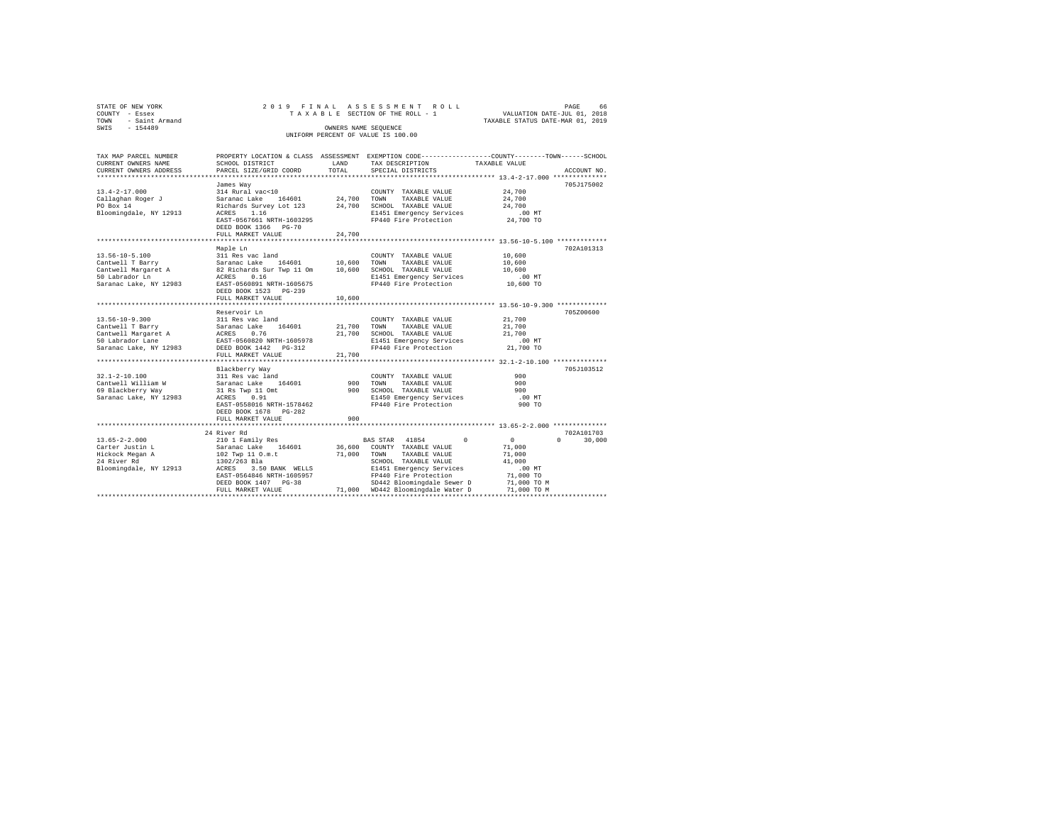| STATE OF NEW YORK      |                                    | 2019 FINAL ASSESSMENT ROLL         |                                  | PAGE | 66 |
|------------------------|------------------------------------|------------------------------------|----------------------------------|------|----|
| COUNTY - Essex         |                                    | TAXABLE SECTION OF THE ROLL - 1    | VALUATION DATE-JUL 01, 2018      |      |    |
| - Saint Armand<br>TOWN |                                    |                                    | TAXABLE STATUS DATE-MAR 01, 2019 |      |    |
| SWIS<br>$-154489$      |                                    | OWNERS NAME SEOUENCE               |                                  |      |    |
|                        |                                    | UNIFORM PERCENT OF VALUE IS 100.00 |                                  |      |    |
|                        |                                    |                                    |                                  |      |    |
| TAV MAD DAD/UT MIIMDUD | DEADERW LACATION & CLASS ACCECMENT |                                    |                                  |      |    |

| CURRENT OWNERS NAME    | SCHOOL DISTRICT                                                                                                               | LAND   | TAX DESCRIPTION                                                                   | TAXABLE VALUE    |                                 |
|------------------------|-------------------------------------------------------------------------------------------------------------------------------|--------|-----------------------------------------------------------------------------------|------------------|---------------------------------|
| CURRENT OWNERS ADDRESS | PARCEL SIZE/GRID COORD                                                                                                        | TOTAL  | SPECIAL DISTRICTS                                                                 |                  | ACCOUNT NO.                     |
|                        |                                                                                                                               |        |                                                                                   |                  |                                 |
|                        | James Way                                                                                                                     |        |                                                                                   |                  | 705J175002                      |
| $13.4 - 2 - 17.000$    | 314 Rural vac<10                                                                                                              |        | COUNTY TAXABLE VALUE                                                              | 24,700           |                                 |
| Callaghan Roger J      | Saranac Lake<br>164601                                                                                                        | 24,700 | TOWN<br>TAXABLE VALUE                                                             | 24,700           |                                 |
| PO Box 14              | Richards Survey Lot 123                                                                                                       | 24,700 | SCHOOL TAXABLE VALUE                                                              | 24,700           |                                 |
| Bloomingdale, NY 12913 | 1.16<br>ACRES                                                                                                                 |        |                                                                                   |                  |                                 |
|                        | EAST-0567661 NRTH-1603295                                                                                                     |        | E1451 Emergency Services .00 MT<br>FP440 Fire Protection 24,700 TO                |                  |                                 |
|                        | DEED BOOK 1366 PG-70                                                                                                          |        |                                                                                   |                  |                                 |
|                        | FULL MARKET VALUE                                                                                                             | 24,700 |                                                                                   |                  |                                 |
|                        |                                                                                                                               |        | ************************************13.56-10-5.100 ****************************** |                  |                                 |
|                        | Maple Ln                                                                                                                      |        |                                                                                   |                  | 702A101313                      |
| $13.56 - 10 - 5.100$   | 311 Res vac land                                                                                                              |        | COUNTY TAXABLE VALUE                                                              | 10,600           |                                 |
| Cantwell T Barry       | Saranac Lake 164601                                                                                                           | 10,600 | TOWN<br>TAXABLE VALUE                                                             | 10,600           |                                 |
| Cantwell Margaret A    | 82 Richards Sur Twp 11 Om                                                                                                     | 10,600 | SCHOOL TAXABLE VALUE                                                              | 10,600           |                                 |
| 50 Labrador Ln         | ACRES<br>0.16                                                                                                                 |        |                                                                                   |                  |                                 |
| Saranac Lake, NY 12983 | EAST-0560891 NRTH-1605675                                                                                                     |        | E1451 Emergency Services .00 MT<br>FP440 Fire Protection  10,600 TO               |                  |                                 |
|                        | DEED BOOK 1523 PG-239                                                                                                         |        |                                                                                   |                  |                                 |
|                        | FULL MARKET VALUE                                                                                                             | 10,600 |                                                                                   |                  |                                 |
|                        |                                                                                                                               |        | *********************************** 13.56-10-9.300 **************                 |                  |                                 |
|                        | Reservoir Ln                                                                                                                  |        |                                                                                   |                  | 705Z00600                       |
| $13.56 - 10 - 9.300$   | 311 Res vac land                                                                                                              |        | COUNTY TAXABLE VALUE                                                              | 21,700           |                                 |
| Cantwell T Barry       |                                                                                                                               | 21,700 | TOWN<br>TAXABLE VALUE                                                             | 21,700           |                                 |
| Cantwell Margaret A    |                                                                                                                               | 21,700 | SCHOOL TAXABLE VALUE                                                              | 21,700           |                                 |
| 50 Labrador Lane       |                                                                                                                               |        |                                                                                   |                  |                                 |
| Saranac Lake, NY 12983 |                                                                                                                               |        | E1451 Emergency Services .00 MT<br>FP440 Fire Protection 21,700 TO                |                  |                                 |
|                        |                                                                                                                               | 21,700 |                                                                                   |                  |                                 |
|                        | Saranac Lan.<br>ACRES 0.76<br>EAST-0560820 NRTH-1605978<br>DEED BOOK 1442 PG-312<br>""".L MARKET VALUE<br>""".L MARKET VALUE" |        |                                                                                   |                  |                                 |
|                        | Blackberry Way                                                                                                                |        |                                                                                   |                  | 705J103512                      |
| $32.1 - 2 - 10.100$    | 311 Res vac land                                                                                                              |        | COUNTY TAXABLE VALUE                                                              | 900              |                                 |
| Cantwell William W     | Saranac Lake 164601                                                                                                           | 900    | TOWN<br>TAXABLE VALUE                                                             | 900              |                                 |
| 69 Blackberry Way      | 31 Rs Twp 11 Omt                                                                                                              | 900    | SCHOOL TAXABLE VALUE                                                              | 900              |                                 |
| Saranac Lake, NY 12983 | ACRES 0.91                                                                                                                    |        | E1450 Emergency Services                                                          | .00MT            |                                 |
|                        | EAST-0558016 NRTH-1578462                                                                                                     |        | FP440 Fire Protection                                                             | 900 TO           |                                 |
|                        | DEED BOOK 1678 PG-282                                                                                                         |        |                                                                                   |                  |                                 |
|                        | FULL MARKET VALUE                                                                                                             | 900    |                                                                                   |                  |                                 |
|                        |                                                                                                                               |        |                                                                                   |                  |                                 |
|                        | 24 River Rd                                                                                                                   |        |                                                                                   |                  | 702A101703                      |
| $13.65 - 2 - 2.000$    | 210 1 Family Res                                                                                                              |        | BAS STAR 41854<br>$\Omega$                                                        | $\sim$ 0         | $\Omega$ and $\Omega$<br>30,000 |
| Carter Justin L        | Saranac Lake 164601                                                                                                           | 36,600 | COUNTY TAXABLE VALUE                                                              |                  |                                 |
| Hickock Megan A        | 102 Twp 11 O.m.t                                                                                                              | 71,000 | TOWN<br>TAXABLE VALUE                                                             | 71,000           |                                 |
| 24 River Rd            | 1302/263 Bla                                                                                                                  |        | SCHOOL TAXABLE VALUE                                                              | 71,000<br>41,000 |                                 |
|                        |                                                                                                                               |        | E1451 Emergency Services                                                          |                  |                                 |
| Bloomingdale, NY 12913 | ACRES 3.50 BANK WELLS                                                                                                         |        | FP440 Fire Protection                                                             | $.00$ MT         |                                 |
|                        | EAST-0564846 NRTH-1605957                                                                                                     |        |                                                                                   | 71,000 TO        |                                 |
|                        | DEED BOOK 1407 PG-38                                                                                                          |        | SD442 Bloomingdale Sewer D                                                        | 71,000 TO M      |                                 |
|                        | FULL MARKET VALUE                                                                                                             |        | 71,000 WD442 Bloomingdale Water D                                                 | 71,000 TO M      |                                 |
|                        |                                                                                                                               |        |                                                                                   |                  |                                 |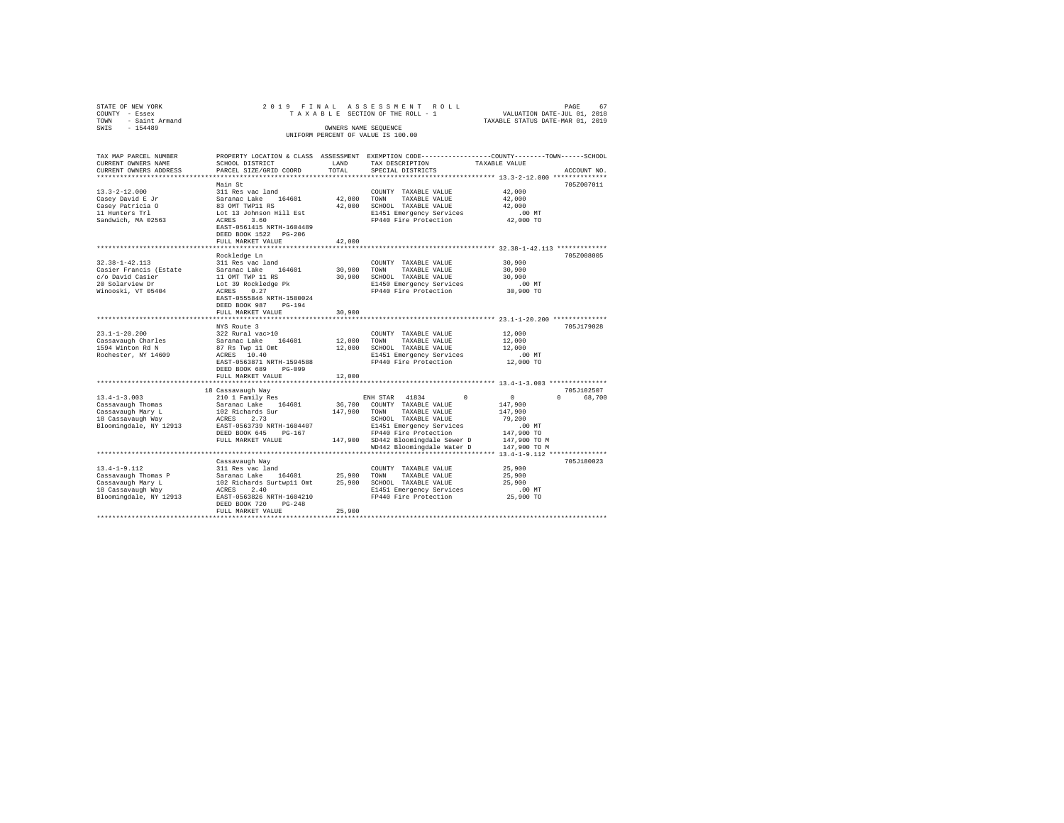| STATE OF NEW YORK                             | 2019 FINAL                                             |                      | ASSESSMENT ROLL                                  | PAGE<br>67                                                                                      |
|-----------------------------------------------|--------------------------------------------------------|----------------------|--------------------------------------------------|-------------------------------------------------------------------------------------------------|
| COUNTY - Essex<br>- Saint Armand<br>TOWN      |                                                        |                      | TAXABLE SECTION OF THE ROLL - 1                  | VALUATION DATE-JUL 01, 2018<br>TAXABLE STATUS DATE-MAR 01, 2019                                 |
| $-154489$<br>SWIS                             |                                                        | OWNERS NAME SEQUENCE |                                                  |                                                                                                 |
|                                               |                                                        |                      | UNIFORM PERCENT OF VALUE IS 100.00               |                                                                                                 |
|                                               |                                                        |                      |                                                  |                                                                                                 |
|                                               |                                                        |                      |                                                  |                                                                                                 |
| TAX MAP PARCEL NUMBER                         |                                                        |                      |                                                  | PROPERTY LOCATION & CLASS ASSESSMENT EXEMPTION CODE---------------COUNTY-------TOWN------SCHOOL |
| CURRENT OWNERS NAME<br>CURRENT OWNERS ADDRESS | SCHOOL DISTRICT<br>PARCEL SIZE/GRID COORD              | LAND<br>TOTAL        | TAX DESCRIPTION<br>SPECIAL DISTRICTS             | TAXABLE VALUE<br>ACCOUNT NO.                                                                    |
|                                               |                                                        |                      |                                                  |                                                                                                 |
|                                               | Main St                                                |                      |                                                  | 705Z007011                                                                                      |
| $13.3 - 2 - 12.000$                           | 311 Res vac land                                       |                      | COUNTY TAXABLE VALUE                             | 42,000                                                                                          |
| Casey David E Jr                              | Saranac Lake 164601                                    | 42,000               | TOWN<br>TAXABLE VALUE                            | 42,000                                                                                          |
| Casey Patricia O                              | 83 OMT TWP11 RS                                        | 42,000               | SCHOOL TAXABLE VALUE                             | 42,000                                                                                          |
| 11 Hunters Trl                                | Lot 13 Johnson Hill Est                                |                      | E1451 Emergency Services                         | .00MT                                                                                           |
| Sandwich, MA 02563                            | ACRES 3.60                                             |                      | FP440 Fire Protection                            | 42,000 TO                                                                                       |
|                                               | EAST-0561415 NRTH-1604489                              |                      |                                                  |                                                                                                 |
|                                               | DEED BOOK 1522 PG-206                                  |                      |                                                  |                                                                                                 |
|                                               | FULL MARKET VALUE                                      | 42,000               |                                                  |                                                                                                 |
|                                               |                                                        |                      |                                                  |                                                                                                 |
|                                               | Rockledge Ln                                           |                      |                                                  | 705Z008005                                                                                      |
| $32.38 - 1 - 42.113$                          | 311 Res vac land                                       |                      | COUNTY TAXABLE VALUE                             | 30,900                                                                                          |
| Casier Francis (Estate                        | Saranac Lake 164601                                    | 30,900               | TOWN<br>TAXABLE VALUE                            | 30,900                                                                                          |
| c/o David Casier<br>20 Solarview Dr           | 11 OMT TWP 11 RS<br>Lot 39 Rockledge Pk                | 30,900               | SCHOOL TAXABLE VALUE<br>E1450 Emergency Services | 30,900<br>.00 MT                                                                                |
| Winooski, VT 05404                            | ACRES<br>0.27                                          |                      | FP440 Fire Protection                            | 30,900 TO                                                                                       |
|                                               | EAST-0555846 NRTH-1580024                              |                      |                                                  |                                                                                                 |
|                                               | DEED BOOK 987<br>$PG-194$                              |                      |                                                  |                                                                                                 |
|                                               | FULL MARKET VALUE                                      | 30,900               |                                                  |                                                                                                 |
|                                               |                                                        |                      |                                                  |                                                                                                 |
|                                               | NYS Route 3                                            |                      |                                                  | 705J179028                                                                                      |
| $23.1 - 1 - 20.200$                           | 322 Rural vac>10                                       |                      | COUNTY TAXABLE VALUE                             | 12,000                                                                                          |
| Cassavaugh Charles                            | Saranac Lake 164601                                    | 12,000               | TOWN<br>TAXABLE VALUE                            | 12,000                                                                                          |
| 1594 Winton Rd N                              | 87 Rs Twp 11 Omt                                       | 12,000               | SCHOOL TAXABLE VALUE                             | 12,000                                                                                          |
| Rochester, NY 14609                           | ACRES 10.40                                            |                      | E1451 Emergency Services                         | $.00$ MT                                                                                        |
|                                               | EAST-0563871 NRTH-1594588                              |                      | FP440 Fire Protection                            | 12,000 TO                                                                                       |
|                                               | PG-099<br>DEED BOOK 689                                |                      |                                                  |                                                                                                 |
|                                               | FULL MARKET VALUE                                      | 12,000               |                                                  |                                                                                                 |
|                                               |                                                        |                      |                                                  | 705J102507                                                                                      |
| $13.4 - 1 - 3.003$                            | 18 Cassavaugh Way<br>210 1 Family Res                  |                      | ENH STAR 41834<br>$\Omega$                       | $\circ$<br>$\Omega$<br>68,700                                                                   |
| Cassavaugh Thomas                             | Saranac Lake 164601                                    | 36,700               | COUNTY TAXABLE VALUE                             | 147,900                                                                                         |
| Cassavaugh Mary L                             | 102 Richards Sur                                       | 147,900              | TOWN<br>TAXABLE VALUE                            | 147,900                                                                                         |
| 18 Cassavaugh Way                             | ACRES 2.73                                             |                      | SCHOOL TAXABLE VALUE                             | 79,200                                                                                          |
| Bloomingdale, NY 12913                        | EAST-0563739 NRTH-1604407                              |                      | E1451 Emergency Services                         | $.00$ MT                                                                                        |
|                                               | DEED BOOK 645 PG-167                                   |                      | FP440 Fire Protection                            | 147,900 TO                                                                                      |
|                                               | FULL MARKET VALUE                                      |                      | 147,900 SD442 Bloomingdale Sewer D               | 147,900 TO M                                                                                    |
|                                               |                                                        |                      | WD442 Bloomingdale Water D                       | 147,900 TO M                                                                                    |
|                                               |                                                        |                      |                                                  |                                                                                                 |
|                                               | Cassavaugh Way                                         |                      |                                                  | 705J180023                                                                                      |
| $13.4 - 1 - 9.112$                            | 311 Res vac land                                       |                      | COUNTY TAXABLE VALUE                             | 25,900                                                                                          |
| Cassavaugh Thomas P                           | Saranac Lake 164601                                    | 25,900               | TOWN<br>TAXABLE VALUE                            | 25,900                                                                                          |
| Cassavaugh Mary L                             | 102 Richards Surtwp11 Omt                              | 25,900               | SCHOOL TAXABLE VALUE                             | 25,900                                                                                          |
| 18 Cassavaugh Way                             | ACRES<br>2.40                                          |                      | E1451 Emergency Services                         | .00MT                                                                                           |
| Bloomingdale, NY 12913                        | EAST-0563826 NRTH-1604210<br>DEED BOOK 720<br>$PG-248$ |                      | FP440 Fire Protection                            | 25,900 TO                                                                                       |
|                                               | FULL MARKET VALUE                                      | 25,900               |                                                  |                                                                                                 |
|                                               |                                                        |                      |                                                  |                                                                                                 |
|                                               |                                                        |                      |                                                  |                                                                                                 |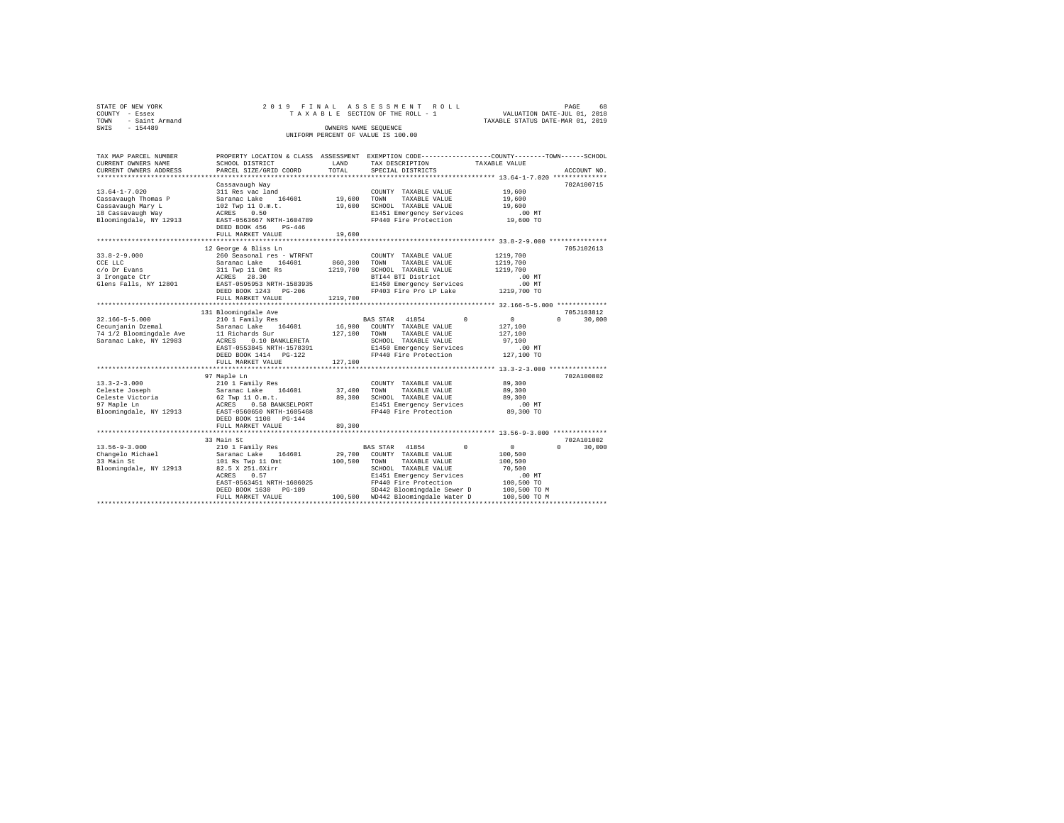| STATE OF NEW YORK<br>COUNTY - Essex<br>TOWN - Saint Armand<br>SWIS - 154489                                    |                                                                                                                                                                                                               |                               | 2019 FINAL ASSESSMENT ROLL<br>TAXABLE SECTION OF THE ROLL - 1<br>WALUATION DATE-JUL 01, 2018<br>TAXABLE CHARGES OF A SALA<br>OWNERS NAME SEQUENCE                                                                                          | TAXABLE STATUS DATE-MAR 01, 2019                                                                       | PAGE<br>68         |
|----------------------------------------------------------------------------------------------------------------|---------------------------------------------------------------------------------------------------------------------------------------------------------------------------------------------------------------|-------------------------------|--------------------------------------------------------------------------------------------------------------------------------------------------------------------------------------------------------------------------------------------|--------------------------------------------------------------------------------------------------------|--------------------|
| UNIFORM PERCENT OF VALUE IS 100.00                                                                             |                                                                                                                                                                                                               |                               |                                                                                                                                                                                                                                            |                                                                                                        |                    |
| TAX MAP PARCEL NUMBER<br>CURRENT OWNERS NAME<br>CURRENT OWNERS ADDRESS                                         | SCHOOL DISTRICT<br>PARCEL SIZE/GRID COORD                                                                                                                                                                     | LAND<br>TOTAL                 | PROPERTY LOCATION & CLASS ASSESSMENT EXEMPTION CODE---------------COUNTY-------TOWN------SCHOOL<br>TAX DESCRIPTION<br>SPECIAL DISTRICTS                                                                                                    | TAXABLE VALUE                                                                                          | ACCOUNT NO.        |
|                                                                                                                | Cassavaugh Way                                                                                                                                                                                                |                               |                                                                                                                                                                                                                                            |                                                                                                        | 702A100715         |
| $13.64 - 1 - 7.020$<br>Cassavaugh Thomas P<br>Cassavaugh Mary L<br>18 Cassavaugh Way<br>Bloomingdale, NY 12913 | 311 Res vac land<br>Saranac Lake 164601 19,600<br>102 Twp 11 O.m.t.<br>ACRES 0.50<br>EAST-0563667 NRTH-1604789<br>DEED BOOK 456 PG-446                                                                        |                               | COUNTY TAXABLE VALUE<br>TOWN<br>TAXABLE VALUE<br>19,600 SCHOOL TAXABLE VALUE<br>E1451 Emergency Services<br>FP440 Fire Protection                                                                                                          | 19,600<br>19,600<br>19,600<br>.00MT<br>19,600 TO                                                       |                    |
|                                                                                                                | FULL MARKET VALUE                                                                                                                                                                                             | 19,600                        |                                                                                                                                                                                                                                            |                                                                                                        |                    |
| $33.8 - 2 - 9.000$<br>CCE LLC<br>c/o Dr Evans<br>3 Irongate Ctr<br>Glens Falls, NY 12801                       | 12 George & Bliss Ln<br>260 Seasonal res - WTRFNT<br>Saranac Lake 164601<br>311 Twp 11 Omt Rs<br>ACRES 28.30<br>EAST-0595953 NRTH-1583935<br>DEED BOOK 1243 PG-206<br>FULL MARKET VALUE                       | 1219,700                      | COUNTY TAXABLE VALUE<br>860,300 TOWN TAXABLE VALUE<br>1219,700 SCHOOL TAXABLE VALUE<br>BTI44 BTI District<br>E1450 Emergency Services<br>FP403 Fire Pro LP Lake 1219,700 TO                                                                | 1219,700<br>1219,700<br>1219,700<br>.00 MT<br>.00MT                                                    | 705J102613         |
|                                                                                                                | 131 Bloomingdale Ave                                                                                                                                                                                          |                               |                                                                                                                                                                                                                                            |                                                                                                        | 705J103812         |
| $32.166 - 5 - 5.000$<br>Cecunjanin Dzemal<br>74 1/2 Bloomingdale Ave<br>Saranac Lake, NY 12983                 | 210 1 Family Res<br>Saranac Lake 164601<br>11 Richards Sur<br>11 Richards Jul<br>ACRES 0.10 BANKLERETA<br>EAST-0553845 NRTH-1578391<br>DEED BOOK 1414 PG-122                                                  | 127,100 TOWN                  | BAS STAR 41854<br>$\Omega$<br>16,900 COUNTY TAXABLE VALUE<br>TAXABLE VALUE<br>SCHOOL TAXABLE VALUE<br>E1450 Emergency Services<br>FP440 Fire Protection 127,100 TO                                                                         | $\sim$ 0<br>127,100<br>127,100<br>97,100<br>.00 MT                                                     | 30,000<br>$\Omega$ |
|                                                                                                                | FULL MARKET VALUE                                                                                                                                                                                             | 127,100                       |                                                                                                                                                                                                                                            |                                                                                                        |                    |
| $13.3 - 2 - 3.000$<br>Celeste Joseph<br>Celeste Victoria<br>97 Maple Ln<br>Bloomingdale, NY 12913              | 97 Maple Ln<br>210 1 Family Res<br>Saranac Lake 164601<br>62 Twp 11 0.m.t.<br>ACRES 0.58 BANKSELPORT<br>EAST-0560650 NRTH-1605468<br>DEED BOOK 1108 PG-144<br>FULL MARKET VALUE<br>************************** | 89,300<br>******************* | COUNTY TAXABLE VALUE<br>37,400 TOWN TAXABLE VALUE<br>89,300 SCHOOL TAXABLE VALUE<br>E1451 Emergency Services<br>FP440 Fire Protection                                                                                                      | 89,300<br>89,300<br>89,300<br>$.00$ MT<br>89,300 TO<br>****************** 13.56-9-3.000 ************** | 702A100802         |
|                                                                                                                | 33 Main St                                                                                                                                                                                                    |                               |                                                                                                                                                                                                                                            |                                                                                                        | 702A101002         |
| $13.56 - 9 - 3.000$<br>Changelo Michael<br>33 Main St<br>Bloomingdale, NY 12913                                | 210 1 Family Res<br>Saranac Lake 164601<br>101 Rs Twp 11 Omt<br>82.5 X 251.6Xirr<br>ACRES 0.57<br>EAST-0563451 NRTH-1606025<br>DEED BOOK 1630 PG-189<br>FULL MARKET VALUE                                     |                               | BAS STAR 41854<br>$^{\circ}$<br>29,700 COUNTY TAXABLE VALUE<br>100,500 TOWN TAXABLE VALUE<br>SCHOOL TAXABLE VALUE<br>E1451 Emergency Services<br>FP440 Fire Protection<br>SD442 Bloomingdale Sewer D<br>100,500 WD442 Bloomingdale Water D | $\sim$ 0<br>100,500<br>100,500<br>70,500<br>$.00$ MT<br>100,500 TO<br>100,500 TO M<br>100,500 TO M     | $\Omega$<br>30,000 |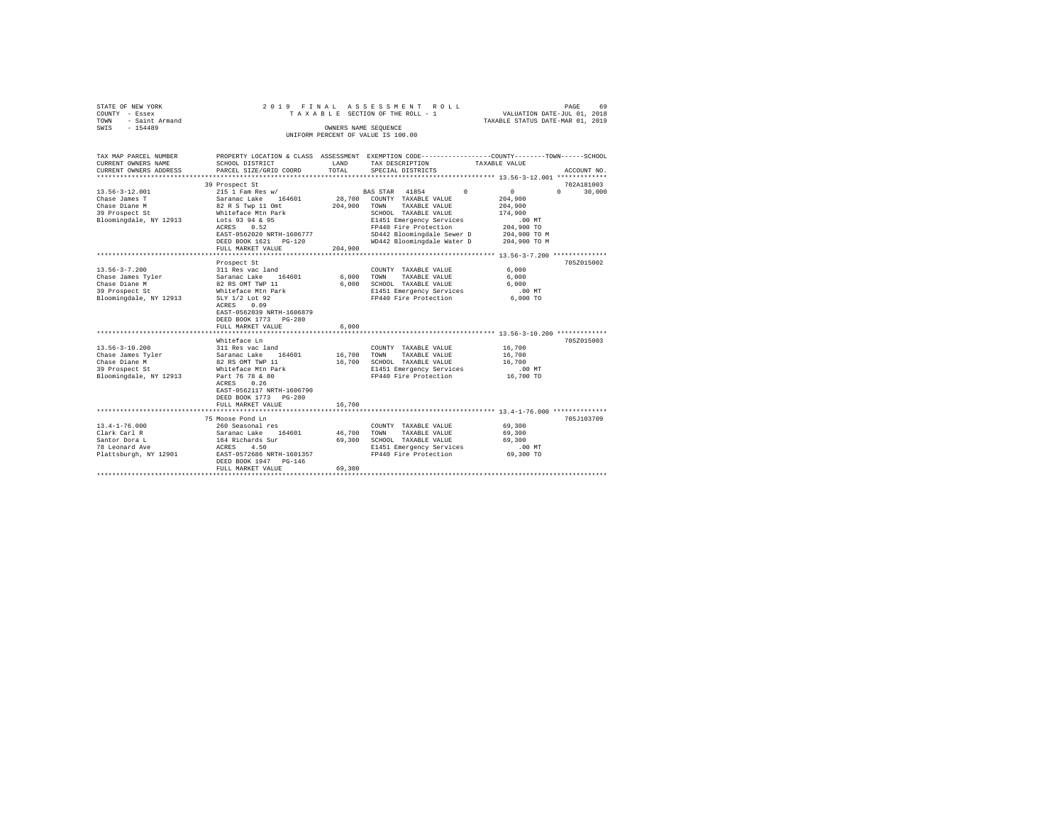| STATE OF NEW YORK      | 2019 FINAL ASSESSMENT ROLL         | 69<br>PAGE                       |
|------------------------|------------------------------------|----------------------------------|
| COUNTY - Essex         | TAXABLE SECTION OF THE ROLL - 1    | VALUATION DATE-JUL 01, 2018      |
| - Saint Armand<br>TOWN |                                    | TAXABLE STATUS DATE-MAR 01, 2019 |
| SWIS<br>$-154489$      | OWNERS NAME SEOUENCE               |                                  |
|                        | UNIFORM PERCENT OF VALUE IS 100.00 |                                  |

| TAX MAP PARCEL NUMBER<br>CURRENT OWNERS NAME                                                                        | SCHOOL DISTRICT                                                                                                                                                                                | LAND                       | TAX DESCRIPTION                                                                                                                                                                                                      | PROPERTY LOCATION & CLASS ASSESSMENT EXEMPTION CODE----------------COUNTY-------TOWN------SCHOOL<br>TAXABLE VALUE                        |
|---------------------------------------------------------------------------------------------------------------------|------------------------------------------------------------------------------------------------------------------------------------------------------------------------------------------------|----------------------------|----------------------------------------------------------------------------------------------------------------------------------------------------------------------------------------------------------------------|------------------------------------------------------------------------------------------------------------------------------------------|
| CURRENT OWNERS ADDRESS<br>*************************                                                                 | PARCEL SIZE/GRID COORD                                                                                                                                                                         | TOTAL                      | SPECIAL DISTRICTS                                                                                                                                                                                                    | ACCOUNT NO.                                                                                                                              |
| $13.56 - 3 - 12.001$<br>Chase James T<br>Chase Diane M<br>39 Prospect St<br>Bloomingdale, NY 12913                  | 39 Prospect St<br>215 1 Fam Res w/<br>Saranac Lake 164601<br>82 R S Twp 11 Omt<br>Whiteface Mtn Park<br>Lots 93 94 & 95<br>ACRES<br>0.52<br>EAST-0562020 NRTH-1606777<br>DEED BOOK 1621 PG-120 | 28,700<br>204,900          | BAS STAR 41854<br>$\Omega$<br>COUNTY TAXABLE VALUE<br>TOWN<br>TAXABLE VALUE<br>SCHOOL TAXABLE VALUE<br>E1451 Emergency Services<br>FP440 Fire Protection<br>SD442 Bloomingdale Sewer D<br>WD442 Bloomingdale Water D | 702A181003<br>30,000<br>$\mathbf{0}$<br>$\Omega$<br>204,900<br>204,900<br>174,900<br>.00MT<br>204,900 TO<br>204,900 TO M<br>204,900 TO M |
|                                                                                                                     | FULL MARKET VALUE                                                                                                                                                                              | 204,900                    |                                                                                                                                                                                                                      |                                                                                                                                          |
| $13.56 - 3 - 7.200$                                                                                                 | Prospect St<br>311 Res vac land                                                                                                                                                                |                            | COUNTY TAXABLE VALUE                                                                                                                                                                                                 | 705Z015002<br>6.000                                                                                                                      |
| Chase James Tyler<br>Chase Diane M<br>39 Prospect St<br>Bloomingdale, NY 12913                                      | Saranac Lake<br>164601<br>82 RS OMT TWP 11<br>Whiteface Mtn Park<br>SLY 1/2 Lot 92<br>ACRES<br>0.09<br>EAST-0562039 NRTH-1606879<br>DEED BOOK 1773 PG-280<br>FULL MARKET VALUE                 | 6,000<br>6.000<br>6.000    | TAXABLE VALUE<br>TOWN<br>SCHOOL TAXABLE VALUE<br>E1451 Emergency Services<br>FP440 Fire Protection                                                                                                                   | 6,000<br>6.000<br>$.00$ MT<br>6,000 TO                                                                                                   |
|                                                                                                                     |                                                                                                                                                                                                |                            |                                                                                                                                                                                                                      |                                                                                                                                          |
| $13.56 - 3 - 10.200$<br>Chase James Tyler Saranac Lake<br>Chase Diane M<br>39 Prospect St<br>Bloomingdale, NY 12913 | Whiteface Ln<br>311 Res vac land<br>164601<br>82 RS OMT TWP 11<br>Whiteface Mtn Park<br>Part 76 78 & 80<br>0.26<br>ACRES<br>EAST-0562117 NRTH-1606790<br>DEED BOOK 1773 PG-280                 | 16,700<br>16,700           | COUNTY TAXABLE VALUE<br>TOWN<br>TAXABLE VALUE<br>SCHOOL TAXABLE VALUE<br>E1451 Emergency Services<br>FP440 Fire Protection                                                                                           | 705Z015003<br>16,700<br>16,700<br>16,700<br>$.00$ MT<br>16,700 TO                                                                        |
|                                                                                                                     | FULL MARKET VALUE                                                                                                                                                                              | 16,700                     |                                                                                                                                                                                                                      |                                                                                                                                          |
|                                                                                                                     | 75 Moose Pond Ln<br>260 Seasonal res                                                                                                                                                           |                            |                                                                                                                                                                                                                      | 705J103709                                                                                                                               |
| $13.4 - 1 - 76.000$<br>Clark Carl R<br>Santor Dora L<br>78 Leonard Ave<br>Plattsburgh, NY 12901                     | 164601<br>Saranac Lake<br>164 Richards Sur<br>4.50<br>ACRES<br>EAST-0572686 NRTH-1601357<br>DEED BOOK 1947 PG-146<br>FULL MARKET VALUE                                                         | 46,700<br>69,300<br>69,300 | COUNTY TAXABLE VALUE<br>TOWN<br>TAXABLE VALUE<br>SCHOOL TAXABLE VALUE<br>E1451 Emergency Services<br>FP440 Fire Protection                                                                                           | 69,300<br>69,300<br>69,300<br>$.00$ MT<br>69,300 TO                                                                                      |
|                                                                                                                     |                                                                                                                                                                                                |                            |                                                                                                                                                                                                                      |                                                                                                                                          |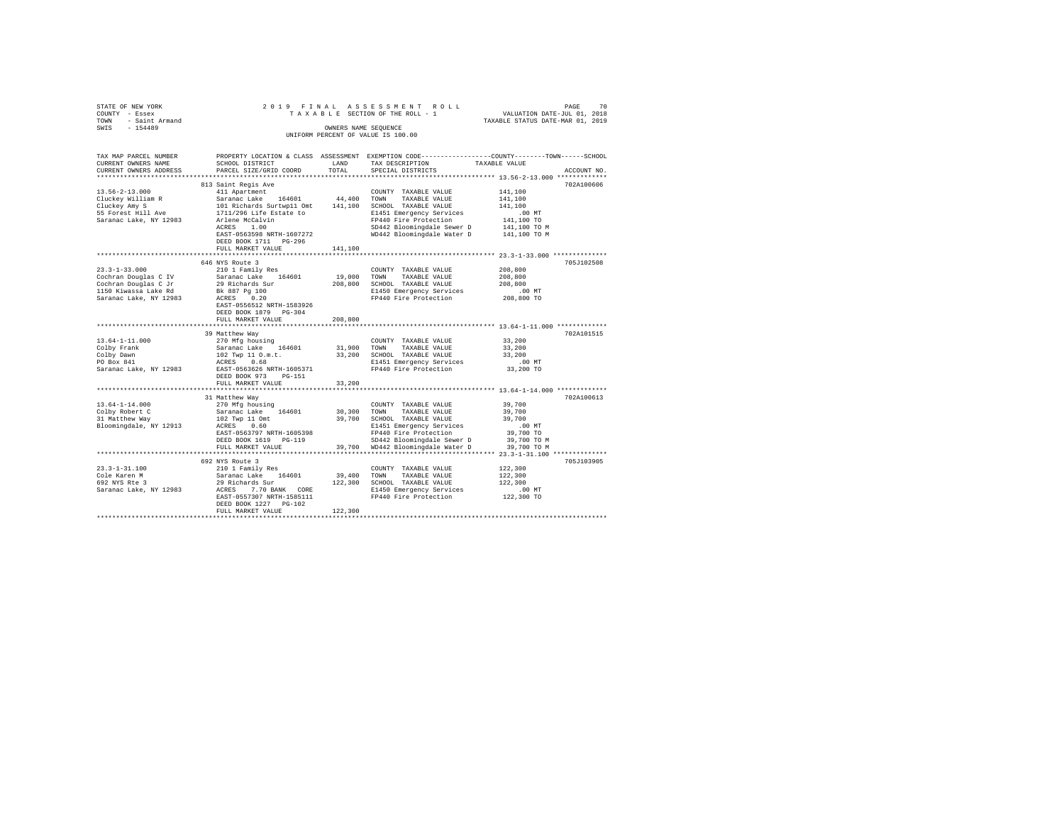| STATE OF NEW YORK<br>COUNTY - Essex<br>TOWN - Saint Armand<br>SWIS - 154489 |                                                    | OWNERS NAME SEOUENCE | 2019 FINAL ASSESSMENT ROLL<br>DAGE PROFILE IS A LATE AND LATE THE ROLL PROFILE OF THE ROLL - 1 WALUATION DATE-JUL 01, 2018<br>TAXABLE STATUS OF THE ROLL - 1 TAXABLE STATUS DATE-MAR 01 2019<br>UNIFORM PERCENT OF VALUE IS 100.00    |                               |             |
|-----------------------------------------------------------------------------|----------------------------------------------------|----------------------|---------------------------------------------------------------------------------------------------------------------------------------------------------------------------------------------------------------------------------------|-------------------------------|-------------|
| TAX MAP PARCEL NUMBER<br>CURRENT OWNERS NAME<br>CURRENT OWNERS ADDRESS      | SCHOOL DISTRICT<br>PARCEL SIZE/GRID COORD          | LAND<br>TOTAL        | PROPERTY LOCATION & CLASS ASSESSMENT EXEMPTION CODE---------------COUNTY-------TOWN------SCHOOL<br>TAX DESCRIPTION TAXABLE VALUE<br>SPECIAL DISTRICTS                                                                                 |                               | ACCOUNT NO. |
|                                                                             | 813 Saint Regis Ave                                |                      |                                                                                                                                                                                                                                       |                               | 702A100606  |
|                                                                             |                                                    |                      |                                                                                                                                                                                                                                       | 141,100<br>141,100<br>141,100 |             |
|                                                                             |                                                    |                      | Arlene McCalvin<br>2014 - Franklin Pictor (1994)<br>2014 - SDA42 Bloomingdale Water David M1,100 TO<br>2014 - EAST-0563598 NRTH-1607272<br>2014 - MD442 Bloomingdale Water David 141,100 TO M                                         | .00 MT                        |             |
|                                                                             | DEED BOOK 1711 PG-296<br>FULL MARKET VALUE         | 141,100              |                                                                                                                                                                                                                                       |                               |             |
|                                                                             |                                                    |                      | **************************** 23.3-1-33.000 **************                                                                                                                                                                             |                               |             |
| $23.3 - 1 - 33.000$                                                         | 646 NYS Route 3<br>210 1 Family Res                |                      | COUNTY TAXABLE VALUE                                                                                                                                                                                                                  | 208,800                       | 705J102508  |
|                                                                             |                                                    |                      | TOWN<br>TAXABLE VALUE<br>208,800 SCHOOL TAXABLE VALUE<br>E1450 Emergency Services<br>FP440 Fire Protection 208,800 TO                                                                                                                 | 208,800<br>208,800            |             |
|                                                                             | EAST-0556512 NRTH-1583926<br>DEED BOOK 1879 PG-304 | 208,800              |                                                                                                                                                                                                                                       |                               |             |
|                                                                             | FULL MARKET VALUE                                  |                      |                                                                                                                                                                                                                                       |                               |             |
|                                                                             | 39 Matthew Way                                     |                      |                                                                                                                                                                                                                                       |                               | 702A101515  |
| 13.64-1-11.000                                                              | 270 Mfg housing                                    |                      | COUNTY TAXABLE VALUE                                                                                                                                                                                                                  | 33,200                        |             |
| Colby Frank<br>Colby Dawn<br>PO Box 841                                     |                                                    |                      |                                                                                                                                                                                                                                       |                               |             |
|                                                                             |                                                    |                      |                                                                                                                                                                                                                                       |                               |             |
|                                                                             |                                                    |                      |                                                                                                                                                                                                                                       | $.00$ MT                      |             |
| Saranac Lake, NY 12983                                                      | DEED BOOK 973 PG-151<br>FULL MARKET VALUE          | 33,200               |                                                                                                                                                                                                                                       | 33,200 TO                     |             |
|                                                                             |                                                    |                      |                                                                                                                                                                                                                                       |                               |             |
|                                                                             |                                                    |                      |                                                                                                                                                                                                                                       |                               | 702A100613  |
| $13.64 - 1 - 14.000$<br>Colby Robert C<br>31 Matthew Way                    |                                                    |                      | 31 Matthew Way<br>270 Mg housing COUNTY TAXABLE VALUE 39,700<br>Saranac Lake 164601 30,300 TOWN TAXABLE VALUE 39,700<br>102 TWP 11 Om: 39,700 SCHOOL TAXABLE VALUE 2010 TO<br>RAST-0563797 NETH-1605398 E1451 Emergency Services 39,7 |                               |             |
| Bloomingdale, NY 12913                                                      |                                                    |                      |                                                                                                                                                                                                                                       |                               |             |
|                                                                             |                                                    |                      |                                                                                                                                                                                                                                       |                               |             |
|                                                                             |                                                    |                      |                                                                                                                                                                                                                                       |                               |             |
|                                                                             |                                                    |                      |                                                                                                                                                                                                                                       |                               | 705J103905  |
|                                                                             |                                                    |                      |                                                                                                                                                                                                                                       | 122,300                       |             |
|                                                                             |                                                    |                      |                                                                                                                                                                                                                                       | 122,300                       |             |
|                                                                             |                                                    |                      |                                                                                                                                                                                                                                       | 122,300                       |             |
|                                                                             |                                                    |                      |                                                                                                                                                                                                                                       | 00 MT.<br>122,300 TO          |             |
|                                                                             | DEED BOOK 1227 PG-102<br>FULL MARKET VALUE         | 122,300              |                                                                                                                                                                                                                                       |                               |             |
|                                                                             |                                                    |                      |                                                                                                                                                                                                                                       |                               |             |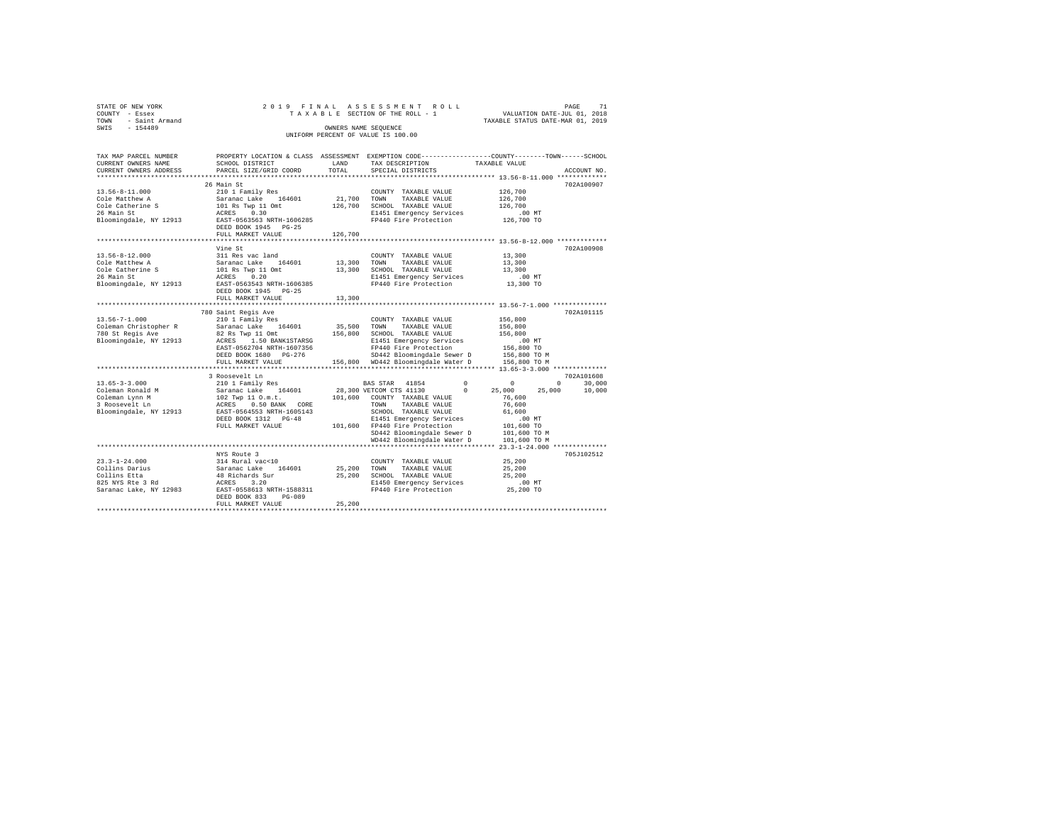| STATE OF NEW YORK      |  |  | 2019 FINAL ASSESSMENT ROLL         |                                  | PAGE | 71 |
|------------------------|--|--|------------------------------------|----------------------------------|------|----|
| COUNTY - Essex         |  |  | TAXABLE SECTION OF THE ROLL - 1    | VALUATION DATE-JUL 01, 2018      |      |    |
| - Saint Armand<br>TOWN |  |  |                                    | TAXABLE STATUS DATE-MAR 01, 2019 |      |    |
| SWIS<br>$-154489$      |  |  | OWNERS NAME SEOUENCE               |                                  |      |    |
|                        |  |  | UNIFORM PERCENT OF VALUE IS 100.00 |                                  |      |    |
|                        |  |  |                                    |                                  |      |    |

| TAX MAP PARCEL NUMBER                            | PROPERTY LOCATION & CLASS ASSESSMENT EXEMPTION CODE----------------COUNTY-------TOWN------SCHOOL |             |                                                                  |                        |                    |
|--------------------------------------------------|--------------------------------------------------------------------------------------------------|-------------|------------------------------------------------------------------|------------------------|--------------------|
| CURRENT OWNERS NAME                              | SCHOOL DISTRICT                                                                                  | LAND        | TAX DESCRIPTION                                                  | TAXABLE VALUE          |                    |
| CURRENT OWNERS ADDRESS                           | PARCEL SIZE/GRID COORD                                                                           | TOTAL       | SPECIAL DISTRICTS                                                |                        | ACCOUNT NO.        |
| **************************                       |                                                                                                  |             |                                                                  |                        |                    |
|                                                  | 26 Main St                                                                                       |             |                                                                  |                        | 702A100907         |
| $13.56 - 8 - 11.000$                             | 210 1 Family Res                                                                                 |             | COUNTY TAXABLE VALUE                                             | 126,700                |                    |
| Cole Matthew A                                   | Saranac Lake 164601                                                                              | 21,700 TOWN | TAXABLE VALUE                                                    | 126,700                |                    |
| Cole Catherine S                                 | 101 Rs Twp 11 Omt                                                                                | 126,700     | SCHOOL TAXABLE VALUE                                             | 126,700                |                    |
| 26 Main St                                       | 0.30<br>ACRES                                                                                    |             | E1451 Emergency Services                                         | $.00$ MT               |                    |
| Bloomingdale, NY 12913                           | EAST-0563563 NRTH-1606285                                                                        |             | FP440 Fire Protection                                            | 126,700 TO             |                    |
|                                                  | DEED BOOK 1945 PG-25                                                                             |             |                                                                  |                        |                    |
|                                                  | FULL MARKET VALUE                                                                                | 126,700     |                                                                  |                        |                    |
|                                                  | ***************************                                                                      |             | ********************************** 13.56-8-12.000 ************** |                        |                    |
|                                                  | Vine St                                                                                          |             |                                                                  |                        | 702A100908         |
| $13.56 - 8 - 12.000$                             | 311 Res vac land                                                                                 |             | COUNTY TAXABLE VALUE                                             | 13,300                 |                    |
| Cole Matthew A                                   | Saranac Lake 164601                                                                              | 13,300 TOWN | TAXABLE VALUE                                                    | 13,300                 |                    |
| Cole Catherine S                                 | 101 Rs Twp 11 Omt<br>ACRES 0.20                                                                  |             | 13,300 SCHOOL TAXABLE VALUE                                      | 13,300                 |                    |
| 26 Main St                                       |                                                                                                  |             | E1451 Emergency Services<br>FP440 Fire Protection                | $.00$ MT               |                    |
| Bloomingdale, NY 12913 EAST-0563543 NRTH-1606385 |                                                                                                  |             |                                                                  | 13,300 TO              |                    |
|                                                  | DEED BOOK 1945 PG-25                                                                             |             |                                                                  |                        |                    |
|                                                  | FULL MARKET VALUE                                                                                | 13,300      |                                                                  |                        |                    |
|                                                  |                                                                                                  |             |                                                                  |                        |                    |
|                                                  | 780 Saint Regis Ave                                                                              |             |                                                                  |                        | 702A101115         |
| $13.56 - 7 - 1.000$                              | 210 1 Family Res                                                                                 |             | COUNTY TAXABLE VALUE                                             | 156,800                |                    |
| Coleman Christopher R                            | Saranac Lake 164601                                                                              |             | 35,500 TOWN<br>TAXABLE VALUE                                     | 156,800                |                    |
| 780 St Regis Ave                                 | 82 Rs Twp 11 Omt                                                                                 |             | 156,800 SCHOOL TAXABLE VALUE                                     | 156,800                |                    |
| Bloomingdale, NY 12913                           | ACRES 1.50 BANK1STARSG                                                                           |             | E1451 Emergency Services                                         | $.00$ MT               |                    |
|                                                  | EAST-0562704 NRTH-1607356                                                                        |             | FP440 Fire Protection                                            | 156,800 TO             |                    |
|                                                  | DEED BOOK 1680 PG-276                                                                            |             | SD442 Bloomingdale Sewer D                                       | 156,800 TO M           |                    |
|                                                  | FULL MARKET VALUE                                                                                |             | 156,800 WD442 Bloomingdale Water D                               | 156,800 TO M           |                    |
|                                                  |                                                                                                  |             |                                                                  |                        |                    |
|                                                  | 3 Roosevelt Ln                                                                                   |             |                                                                  |                        | 702A101608         |
| $13.65 - 3 - 3.000$                              | 210 1 Family Res                                                                                 |             | BAS STAR 41854                                                   | $\Omega$<br>$^{\circ}$ | $\Omega$<br>30,000 |
| Coleman Ronald M                                 | Saranac Lake 164601<br>102 Twp 11 0.m.t.<br>ACRES 0.50 BANK CORE<br>EAST-0564553 NRTH-1605143    |             | 28,300 VETCOM CTS 41130                                          | $\Omega$<br>25,000     | 25,000<br>10,000   |
| Coleman Lynn M                                   |                                                                                                  |             | 101,600 COUNTY TAXABLE VALUE                                     | 76,600                 |                    |
| 3 Roosevelt Ln                                   |                                                                                                  |             | TOWN TAXABLE VALUE                                               | 76,600                 |                    |
| Bloomingdale, NY 12913                           |                                                                                                  |             | SCHOOL TAXABLE VALUE                                             | 61,600                 |                    |
|                                                  | DEED BOOK 1312 PG-48                                                                             |             | E1451 Emergency Services                                         | $.00$ MT               |                    |
|                                                  | FULL MARKET VALUE                                                                                |             | 101,600 FP440 Fire Protection                                    | 101,600 TO             |                    |
|                                                  |                                                                                                  |             | SD442 Bloomingdale Sewer D                                       | 101,600 TO M           |                    |
|                                                  |                                                                                                  |             | WD442 Bloomingdale Water D                                       | 101,600 TO M           |                    |
|                                                  |                                                                                                  |             |                                                                  |                        |                    |
|                                                  | NYS Route 3                                                                                      |             |                                                                  |                        | 705J102512         |
| $23.3 - 1 - 24.000$                              | 314 Rural vac<10                                                                                 |             | COUNTY TAXABLE VALUE                                             | 25,200                 |                    |
| Collins Darius                                   | Saranac Lake<br>164601                                                                           | 25,200 TOWN | TAXABLE VALUE                                                    | 25,200                 |                    |
| Collins Etta                                     | 48 Richards Sur                                                                                  |             | 25,200 SCHOOL TAXABLE VALUE                                      | 25,200                 |                    |
| 825 NYS Rte 3 Rd                                 |                                                                                                  |             | E1450 Emergency Services                                         | $.00$ MT               |                    |
| Saranac Lake, NY 12983                           | ACRES 3.20<br>EAST-0558613 NRTH-1588311                                                          |             | FP440 Fire Protection                                            | 25,200 TO              |                    |
|                                                  | DEED BOOK 833<br>PG-089                                                                          |             |                                                                  |                        |                    |
|                                                  | FULL MARKET VALUE                                                                                | 25,200      |                                                                  |                        |                    |
|                                                  |                                                                                                  |             |                                                                  |                        |                    |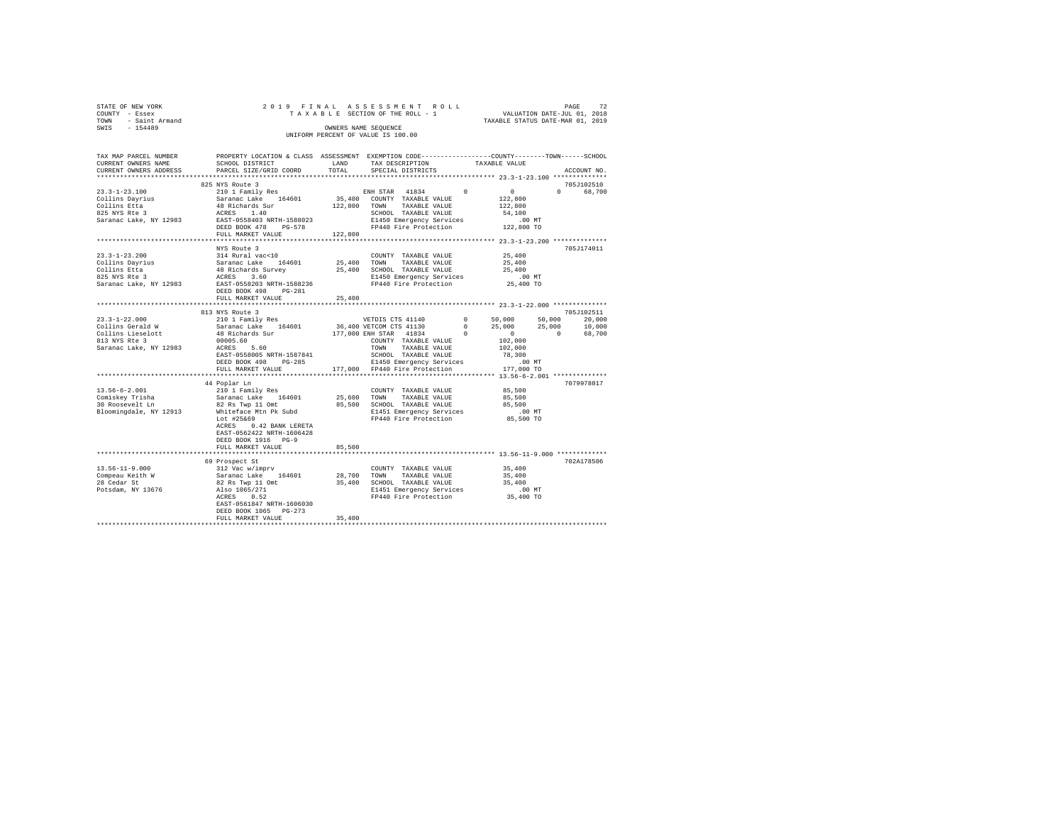| STATE OF NEW YORK   |  | 2019 FINAL ASSESSMENT ROLL         |                                  | PAGE                        | 72 |
|---------------------|--|------------------------------------|----------------------------------|-----------------------------|----|
| COUNTY - Essex      |  | TAXABLE SECTION OF THE ROLL - 1    |                                  | VALUATION DATE-JUL 01, 2018 |    |
| TOWN - Saint Armand |  |                                    | TAXABLE STATUS DATE-MAR 01, 2019 |                             |    |
| SWTS<br>$-154489$   |  | OWNERS NAME SEOUENCE               |                                  |                             |    |
|                     |  | UNIFORM PERCENT OF VALUE IS 100.00 |                                  |                             |    |
|                     |  |                                    |                                  |                             |    |

| TAX MAP PARCEL NUMBER<br>CURRENT OWNERS NAME<br>CURRENT OWNERS ADDRESS                                                                                                                                                                           | PROPERTY LOCATION & CLASS ASSESSMENT EXEMPTION CODE---------------COUNTY-------TOWN-----SCHOOL<br>SCHOOL DISTRICT                                                                                                                                                                                                                                              | LAND<br>TOTAL | TAX DESCRIPTION                                                                                                           | TAXABLE VALUE |                       |                       |             |
|--------------------------------------------------------------------------------------------------------------------------------------------------------------------------------------------------------------------------------------------------|----------------------------------------------------------------------------------------------------------------------------------------------------------------------------------------------------------------------------------------------------------------------------------------------------------------------------------------------------------------|---------------|---------------------------------------------------------------------------------------------------------------------------|---------------|-----------------------|-----------------------|-------------|
|                                                                                                                                                                                                                                                  | PARCEL SIZE/GRID COORD                                                                                                                                                                                                                                                                                                                                         |               | SPECIAL DISTRICTS                                                                                                         |               |                       |                       | ACCOUNT NO. |
|                                                                                                                                                                                                                                                  | 825 NYS Route 3                                                                                                                                                                                                                                                                                                                                                |               |                                                                                                                           |               |                       |                       | 705J102510  |
| $23.3 - 1 - 23.100$                                                                                                                                                                                                                              | 210 1 Family Res                                                                                                                                                                                                                                                                                                                                               |               | ENH STAR 41834                                                                                                            | $\sim$ 0      | $\sim$ 0 $\sim$       | $\Omega$ and $\Omega$ | 68,700      |
|                                                                                                                                                                                                                                                  |                                                                                                                                                                                                                                                                                                                                                                |               | 35,400 COUNTY TAXABLE VALUE                                                                                               | 122,800       |                       |                       |             |
|                                                                                                                                                                                                                                                  |                                                                                                                                                                                                                                                                                                                                                                |               | 122,800 TOWN TAXABLE VALUE                                                                                                |               | 122,800               |                       |             |
| 2.1.3-1.2.1.100<br>2.1.111.3 Dayrius Saranac Lake 164601<br>2.1111.3 Dayrius Saranac Lake 164601<br>2.8 Saranac Lake, NY 12983<br>2.85 1.40<br>2.85 1.40<br>2.85 1.40<br>2.85 1.40<br>2.85 1.40<br>2.85 1.40                                     |                                                                                                                                                                                                                                                                                                                                                                |               | SCHOOL TAXABLE VALUE                                                                                                      |               | 54,100                |                       |             |
|                                                                                                                                                                                                                                                  |                                                                                                                                                                                                                                                                                                                                                                |               | E1450 Emergency Services                                                                                                  |               |                       |                       |             |
|                                                                                                                                                                                                                                                  | DEED BOOK 478 PG-578                                                                                                                                                                                                                                                                                                                                           |               | FP440 Fire Protection                                                                                                     |               | .00 MT.<br>122,800 TO |                       |             |
|                                                                                                                                                                                                                                                  | FULL MARKET VALUE                                                                                                                                                                                                                                                                                                                                              | 122,800       |                                                                                                                           |               |                       |                       |             |
|                                                                                                                                                                                                                                                  |                                                                                                                                                                                                                                                                                                                                                                |               |                                                                                                                           |               |                       |                       |             |
|                                                                                                                                                                                                                                                  | NYS Route 3                                                                                                                                                                                                                                                                                                                                                    |               |                                                                                                                           |               |                       |                       | 705J174011  |
| $23.3 - 1 - 23.200$                                                                                                                                                                                                                              | 314 Rural vac<10                                                                                                                                                                                                                                                                                                                                               |               | COUNTY TAXABLE VALUE 25,400                                                                                               |               |                       |                       |             |
|                                                                                                                                                                                                                                                  |                                                                                                                                                                                                                                                                                                                                                                |               |                                                                                                                           |               |                       |                       |             |
|                                                                                                                                                                                                                                                  |                                                                                                                                                                                                                                                                                                                                                                |               |                                                                                                                           |               |                       |                       |             |
|                                                                                                                                                                                                                                                  |                                                                                                                                                                                                                                                                                                                                                                |               |                                                                                                                           |               |                       |                       |             |
| Collins Dayrius and Saranac Lake 164601 25,400<br>Collins Dayrius Saranac Lake 164601 25,400<br>25,400<br>25,400 25,400<br>25 and 48 Richards Survey 25,400<br>25 and 48 Richards Saranac Lake, NY 12983<br>26 and EAERS 3.60 E11450 Emergency S |                                                                                                                                                                                                                                                                                                                                                                |               |                                                                                                                           |               |                       |                       |             |
|                                                                                                                                                                                                                                                  | DEED BOOK 498 PG-281                                                                                                                                                                                                                                                                                                                                           |               |                                                                                                                           |               |                       |                       |             |
|                                                                                                                                                                                                                                                  | FULL MARKET VALUE                                                                                                                                                                                                                                                                                                                                              | 25,400        |                                                                                                                           |               |                       |                       |             |
|                                                                                                                                                                                                                                                  |                                                                                                                                                                                                                                                                                                                                                                |               |                                                                                                                           |               |                       |                       |             |
|                                                                                                                                                                                                                                                  | 813 NYS Route 3                                                                                                                                                                                                                                                                                                                                                |               |                                                                                                                           |               |                       |                       | 705J102511  |
| $23.3 - 1 - 22.000$                                                                                                                                                                                                                              |                                                                                                                                                                                                                                                                                                                                                                |               |                                                                                                                           |               |                       |                       |             |
| Collins Gerald W                                                                                                                                                                                                                                 | 210 1 Family Res VETDIS CTS 41140<br>Saranac Lake 164601 36,400 VETCOM CTS 41130                                                                                                                                                                                                                                                                               |               |                                                                                                                           |               |                       |                       |             |
|                                                                                                                                                                                                                                                  | 48 Richards Sur (177,000 ENH STAR (1834) 0<br>00005 60                                                                                                                                                                                                                                                                                                         |               | VETDIS CTS 41140 0 50,000 50,000 20,000<br>10 VETCOM CTS 41130 0 25,000 25,000 10,000<br>10 ENH STAR 41834 0 0 0 0 68,700 |               |                       |                       |             |
| Collins Lieselott<br>813 NYS Rte 3                                                                                                                                                                                                               |                                                                                                                                                                                                                                                                                                                                                                |               | COUNTY TAXABLE VALUE                                                                                                      |               | 102,000               |                       |             |
| Saranac Lake, NY 12983                                                                                                                                                                                                                           | 00005.60<br>ACRES 5.60                                                                                                                                                                                                                                                                                                                                         |               | TOWN TAXABLE VALUE                                                                                                        |               | 102,000               |                       |             |
|                                                                                                                                                                                                                                                  | EAST-0558005 NRTH-1587841                                                                                                                                                                                                                                                                                                                                      |               | SCHOOL TAXABLE VALUE                                                                                                      |               | 78,300                |                       |             |
|                                                                                                                                                                                                                                                  |                                                                                                                                                                                                                                                                                                                                                                |               |                                                                                                                           |               |                       |                       |             |
|                                                                                                                                                                                                                                                  | ${\tt DEED\ B0OK\ 498}\ {\tt PC-285}\ {\tt E1450\ Emergency \ 5ervices}\ \text{.00\ MT}\nonumber\\ {\tt FUL\ MARKET\ VALUE}\ {\tt NARKET\ VAUE}\ {\tt I77,000}\ {\tt FP440\ Fire \ 5rotection}\ {\tt 177,000\ TO}\nonumber\\ {\tt 178,000\ 178,000\ 179,000\ 179,000\ TO}\ \text{.000\ 179,000\ 179,000\ TO}\nonumber\\ {\tt 179,000\ 179,000\ 179,000\ 179,0$ |               |                                                                                                                           |               |                       |                       |             |
|                                                                                                                                                                                                                                                  |                                                                                                                                                                                                                                                                                                                                                                |               |                                                                                                                           |               |                       |                       |             |
|                                                                                                                                                                                                                                                  | 44 Poplar Ln                                                                                                                                                                                                                                                                                                                                                   |               |                                                                                                                           |               |                       |                       | 7079978017  |
| $13.56 - 6 - 2.001$                                                                                                                                                                                                                              |                                                                                                                                                                                                                                                                                                                                                                |               | COUNTY TAXABLE VALUE                                                                                                      | 85,500        |                       |                       |             |
|                                                                                                                                                                                                                                                  | 210 1 Family Res<br>Saranac Lake 164601                                                                                                                                                                                                                                                                                                                        |               | 25,600 TOWN TAXABLE VALUE                                                                                                 |               | 85,500                |                       |             |
| Comiskey Trisha<br>30 Roosevelt Ln                                                                                                                                                                                                               |                                                                                                                                                                                                                                                                                                                                                                |               | 85,500 SCHOOL TAXABLE VALUE                                                                                               |               | 85,500                |                       |             |
| Bloomingdale, NY 12913                                                                                                                                                                                                                           |                                                                                                                                                                                                                                                                                                                                                                |               |                                                                                                                           |               | .00 MT                |                       |             |
|                                                                                                                                                                                                                                                  | 82 Rs Twp 11 Omt<br>Whiteface Mtn Pk Subd<br>Lot #25669<br>Lot #25&69                                                                                                                                                                                                                                                                                          |               | E1451 Emergency Services<br>FP440 Fire Protection                                                                         |               | 85,500 TO             |                       |             |
|                                                                                                                                                                                                                                                  | ACRES 0.42 BANK LERETA                                                                                                                                                                                                                                                                                                                                         |               |                                                                                                                           |               |                       |                       |             |
|                                                                                                                                                                                                                                                  | EAST-0562422 NRTH-1606428                                                                                                                                                                                                                                                                                                                                      |               |                                                                                                                           |               |                       |                       |             |
|                                                                                                                                                                                                                                                  | DEED BOOK 1916 PG-9                                                                                                                                                                                                                                                                                                                                            |               |                                                                                                                           |               |                       |                       |             |
|                                                                                                                                                                                                                                                  |                                                                                                                                                                                                                                                                                                                                                                |               |                                                                                                                           |               |                       |                       |             |
|                                                                                                                                                                                                                                                  | FULL MARKET VALUE                                                                                                                                                                                                                                                                                                                                              | 85,500        |                                                                                                                           |               |                       |                       |             |
|                                                                                                                                                                                                                                                  |                                                                                                                                                                                                                                                                                                                                                                |               |                                                                                                                           |               |                       |                       | 702A178506  |
|                                                                                                                                                                                                                                                  | 69 Prospect St                                                                                                                                                                                                                                                                                                                                                 |               |                                                                                                                           |               | 35,400                |                       |             |
|                                                                                                                                                                                                                                                  |                                                                                                                                                                                                                                                                                                                                                                |               |                                                                                                                           |               |                       |                       |             |
|                                                                                                                                                                                                                                                  |                                                                                                                                                                                                                                                                                                                                                                |               |                                                                                                                           |               | 35,400<br>35,400      |                       |             |
|                                                                                                                                                                                                                                                  |                                                                                                                                                                                                                                                                                                                                                                |               |                                                                                                                           |               |                       |                       |             |
|                                                                                                                                                                                                                                                  |                                                                                                                                                                                                                                                                                                                                                                |               | E1451 Emergency Services .00 MT<br>FP440 Fire Protection 35,400 TO                                                        |               |                       |                       |             |
|                                                                                                                                                                                                                                                  |                                                                                                                                                                                                                                                                                                                                                                |               |                                                                                                                           |               |                       |                       |             |
|                                                                                                                                                                                                                                                  | EAST-0561847 NRTH-1606030                                                                                                                                                                                                                                                                                                                                      |               |                                                                                                                           |               |                       |                       |             |
|                                                                                                                                                                                                                                                  | DEED BOOK 1065 PG-273                                                                                                                                                                                                                                                                                                                                          |               |                                                                                                                           |               |                       |                       |             |
|                                                                                                                                                                                                                                                  | FULL MARKET VALUE                                                                                                                                                                                                                                                                                                                                              | 35,400        |                                                                                                                           |               |                       |                       |             |
|                                                                                                                                                                                                                                                  |                                                                                                                                                                                                                                                                                                                                                                |               |                                                                                                                           |               |                       |                       |             |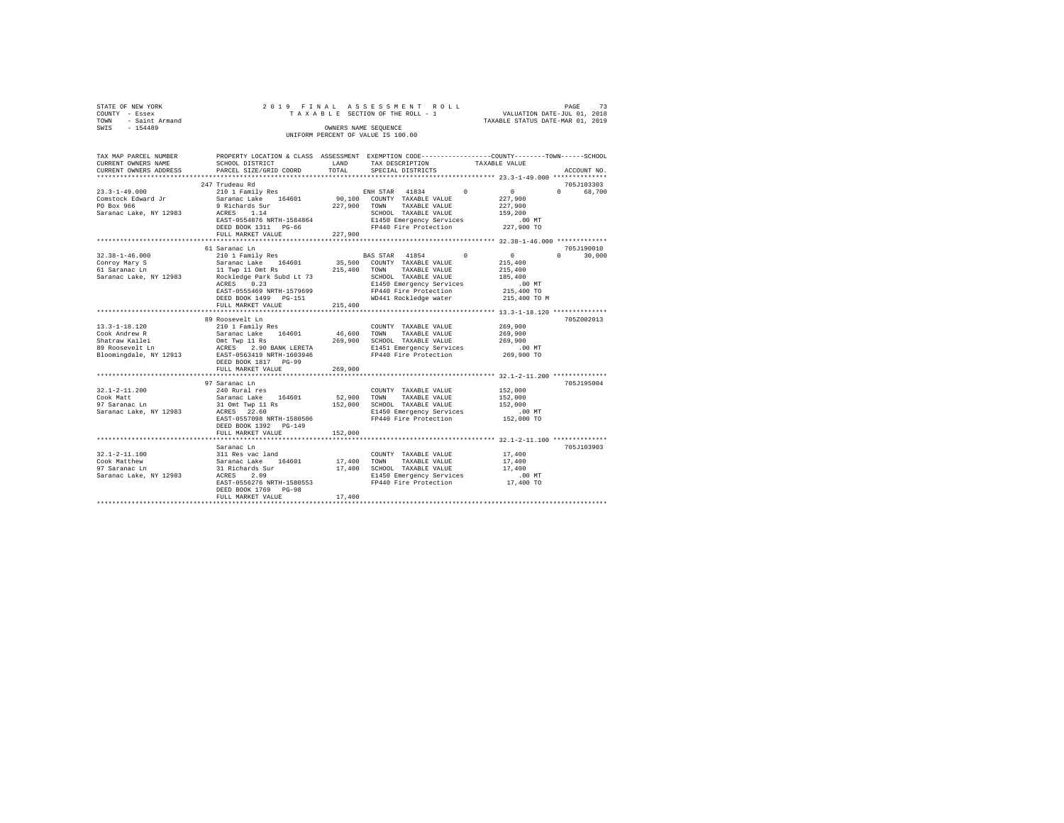| STATE OF NEW YORK<br>COUNTY - Essex | 2019 FINAL ASSESSMENT ROLL<br>TAXABLE SECTION OF THE ROLL - 1 | 73<br>PAGE<br>VALUATION DATE-JUL 01, 2018 |
|-------------------------------------|---------------------------------------------------------------|-------------------------------------------|
| - Saint Armand<br>TOWN              |                                                               | TAXABLE STATUS DATE-MAR 01, 2019          |
| $-154489$<br>SWIS                   | OWNERS NAME SEOUENCE                                          |                                           |
|                                     | UNIFORM PERCENT OF VALUE IS 100.00                            |                                           |

| TAX MAP PARCEL NUMBER<br>CURRENT OWNERS NAME<br>CURRENT OWNERS ADDRESS                              | SCHOOL DISTRICT<br>PARCEL SIZE/GRID COORD                                                                                                                                         | PROPERTY LOCATION & CLASS ASSESSMENT EXEMPTION CODE----------------COUNTY-------TOWN------SCHOOL<br>LAND<br>TAX DESCRIPTION<br>TOTAL<br>SPECIAL DISTRICTS |                                                                                                                                                                                        | TAXABLE VALUE                                                                       | ACCOUNT NO.                 |  |  |
|-----------------------------------------------------------------------------------------------------|-----------------------------------------------------------------------------------------------------------------------------------------------------------------------------------|-----------------------------------------------------------------------------------------------------------------------------------------------------------|----------------------------------------------------------------------------------------------------------------------------------------------------------------------------------------|-------------------------------------------------------------------------------------|-----------------------------|--|--|
|                                                                                                     |                                                                                                                                                                                   |                                                                                                                                                           |                                                                                                                                                                                        |                                                                                     |                             |  |  |
|                                                                                                     | 247 Trudeau Rd                                                                                                                                                                    |                                                                                                                                                           |                                                                                                                                                                                        |                                                                                     | 705J103303                  |  |  |
| $23.3 - 1 - 49.000$<br>Comstock Edward Jr<br>PO Box 966<br>Saranac Lake, NY 12983                   | 210 1 Family Res<br>Saranac Lake 164601<br>9 Richards Sur<br>ACRES 1.14<br>EAST-0554876 NRTH-1584864                                                                              |                                                                                                                                                           | ENH STAR 41834 0<br>90,100 COUNTY TAXABLE VALUE<br>227,900 TOWN TAXABLE VALUE<br>SCHOOL TAXABLE VALUE<br>E1450 Emergency Services                                                      | $\sim$ 0<br>227,900<br>227,900<br>159,200<br>$.00$ MT                               | $0 \qquad \qquad$<br>68,700 |  |  |
|                                                                                                     | DEED BOOK 1311 PG-66                                                                                                                                                              |                                                                                                                                                           | FP440 Fire Protection                                                                                                                                                                  | 227,900 TO                                                                          |                             |  |  |
|                                                                                                     | FULL MARKET VALUE                                                                                                                                                                 | 227,900                                                                                                                                                   |                                                                                                                                                                                        |                                                                                     |                             |  |  |
|                                                                                                     | 61 Saranac Ln                                                                                                                                                                     |                                                                                                                                                           |                                                                                                                                                                                        |                                                                                     | 705J190010                  |  |  |
| $32.38 - 1 - 46.000$<br>Conroy Mary S<br>61 Saranac Ln<br>Saranac Lake, NY 12983                    | 210 1 Family Res<br>Saranac Lake 164601<br>11 Twp 11 Omt Rs<br>Rockledge Park Subd Lt 73<br>ACRES 0.23<br>EAST-0555469 NRTH-1579699<br>DEED BOOK 1499 PG-151<br>FULL MARKET VALUE | 215,400                                                                                                                                                   | BAS STAR 41854 0<br>35,500 COUNTY TAXABLE VALUE<br>215,400 TOWN<br>TAXABLE VALUE<br>SCHOOL TAXABLE VALUE<br>E1450 Emergency Services<br>FP440 Fire Protection<br>WD441 Rockledge water | $\sim$ 0<br>215,400<br>215,400<br>185,400<br>$.00$ MT<br>215,400 TO<br>215,400 TO M | $0 \t 30,000$               |  |  |
|                                                                                                     |                                                                                                                                                                                   |                                                                                                                                                           |                                                                                                                                                                                        |                                                                                     |                             |  |  |
| $13.3 - 1 - 18.120$<br>Cook Andrew R<br>Shatraw Kailei<br>89 Roosevelt Ln<br>Bloomingdale, NY 12913 | 89 Roosevelt Ln<br>210 1 Family Res<br>Saranac Lake 164601<br>Omt Twp 11 Rs<br>ACRES 2.90 BANK LERETA<br>EAST-0563419 NRTH-1603946<br>DEED BOOK 1817 PG-99                        | 46,600 TOWN                                                                                                                                               | COUNTY TAXABLE VALUE<br>TAXABLE VALUE<br>269,900 SCHOOL TAXABLE VALUE<br>E1451 Emergency Services<br>FP440 Fire Protection                                                             | 269,900<br>269,900<br>269,900<br>00 MT.<br>269,900 TO                               | 705Z002013                  |  |  |
|                                                                                                     | FULL MARKET VALUE<br>**************************                                                                                                                                   | 269,900<br>************                                                                                                                                   |                                                                                                                                                                                        | ****************************** 32.1-2-11.200 **************                         |                             |  |  |
| $32.1 - 2 - 11.200$<br>Cook Matt<br>97 Saranac Ln<br>Saranac Lake, NY 12983                         | 97 Saranac Ln<br>240 Rural res<br>Saranac Lake 164601<br>ACRES 22.60<br>EAST-0557098 NRTH-1580506<br>DEED BOOK 1392 PG-149                                                        |                                                                                                                                                           | COUNTY TAXABLE VALUE<br>52,900 TOWN TAXABLE VALUE<br>SCHOOL TAXABLE VALUE<br>E1450 Emergency Services<br>FP440 Fire Protection                                                         | 152,000<br>152,000<br>152,000<br>$.00$ MT<br>152,000 TO                             | 705J195004                  |  |  |
|                                                                                                     | FULL MARKET VALUE                                                                                                                                                                 | 152,000                                                                                                                                                   |                                                                                                                                                                                        |                                                                                     |                             |  |  |
|                                                                                                     |                                                                                                                                                                                   |                                                                                                                                                           |                                                                                                                                                                                        |                                                                                     |                             |  |  |
| $32.1 - 2 - 11.100$<br>Cook Matthew<br>97 Saranac Ln<br>Saranac Lake, NY 12983 ACRES                | Saranac Lu<br>311 Res vac land<br>Saranac Lake 164601<br>31 Richards Sur<br>1996 2.09<br>EAST-0556276 NRTH-1580553<br>DEED BOOK 1769 PG-98<br>FULL MARKET VALUE                   | 17,400<br>17,400                                                                                                                                          | COUNTY TAXABLE VALUE<br>TAXABLE VALUE<br>TOWN<br>17,400 SCHOOL TAXABLE VALUE<br>E1450 Emergency Services<br>FP440 Fire Protection                                                      | 17,400<br>17,400<br>17,400<br>.00 MT<br>17,400 TO                                   | 705J103903                  |  |  |
|                                                                                                     |                                                                                                                                                                                   |                                                                                                                                                           |                                                                                                                                                                                        |                                                                                     |                             |  |  |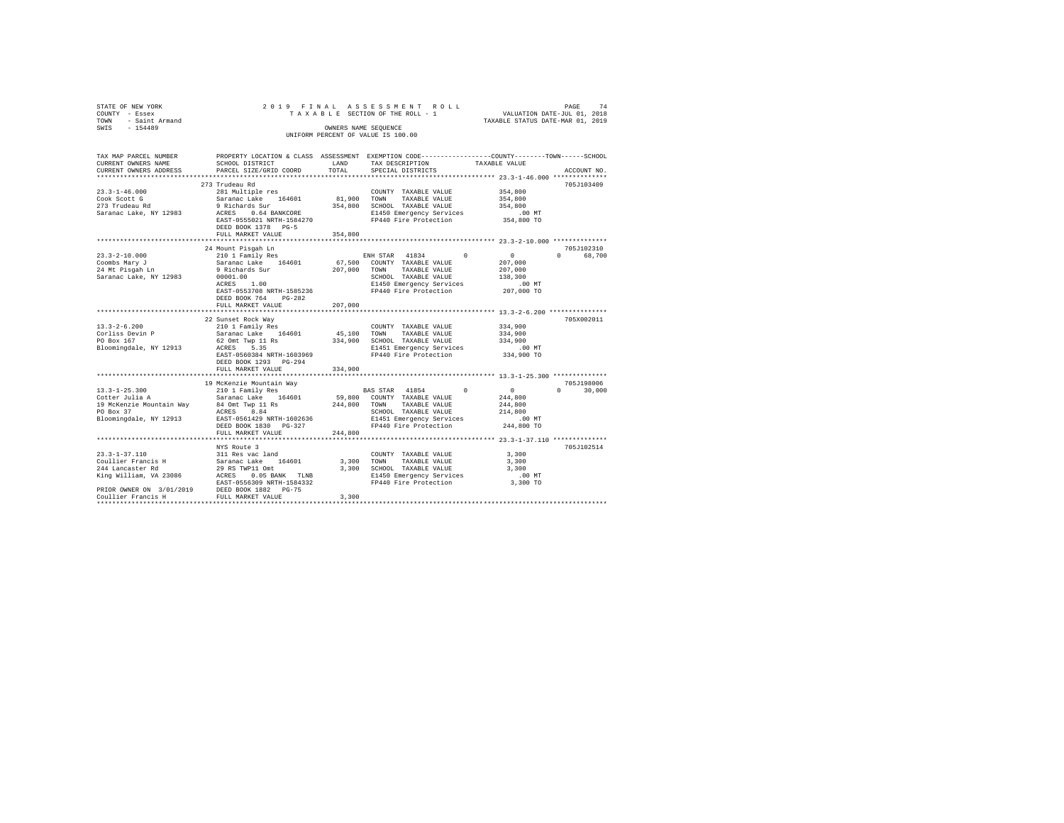| STATE OF NEW YORK                                      | 2019 FINAL                                                               |             | ASSESSMENT ROLL                                                                                |                                  | PAGE<br>74         |
|--------------------------------------------------------|--------------------------------------------------------------------------|-------------|------------------------------------------------------------------------------------------------|----------------------------------|--------------------|
| COUNTY - Essex                                         |                                                                          |             | TAXABLE SECTION OF THE ROLL - 1                                                                | VALUATION DATE-JUL 01, 2018      |                    |
| TOWN - Saint Armand                                    |                                                                          |             |                                                                                                | TAXABLE STATUS DATE-MAR 01, 2019 |                    |
| SWIS<br>$-154489$                                      |                                                                          |             | OWNERS NAME SEQUENCE<br>UNIFORM PERCENT OF VALUE IS 100.00                                     |                                  |                    |
|                                                        |                                                                          |             |                                                                                                |                                  |                    |
|                                                        |                                                                          |             |                                                                                                |                                  |                    |
| TAX MAP PARCEL NUMBER                                  |                                                                          |             | PROPERTY LOCATION & CLASS ASSESSMENT EXEMPTION CODE---------------COUNTY-------TOWN-----SCHOOL |                                  |                    |
| CURRENT OWNERS NAME                                    | SCHOOL DISTRICT                                                          | LAND        | TAX DESCRIPTION                                                                                | TAXABLE VALUE                    |                    |
| CURRENT OWNERS ADDRESS                                 | PARCEL SIZE/GRID COORD                                                   | TOTAL       | SPECIAL DISTRICTS                                                                              |                                  | ACCOUNT NO.        |
|                                                        |                                                                          |             |                                                                                                |                                  |                    |
| $23.3 - 1 - 46.000$                                    | 273 Trudeau Rd<br>281 Multiple res                                       |             |                                                                                                | 354,800                          | 705J103409         |
| Cook Scott G                                           | Saranac Lake 164601                                                      | 81,900 TOWN | COUNTY TAXABLE VALUE<br>TAXABLE VALUE                                                          | 354,800                          |                    |
| 273 Trudeau Rd                                         | 9 Richards Sur                                                           |             | 354,800 SCHOOL TAXABLE VALUE                                                                   | 354,800                          |                    |
| Saranac Lake, NY 12983                                 | ACRES 0.64 BANKCORE                                                      |             | E1450 Emergency Services                                                                       | $.00$ MT                         |                    |
|                                                        | EAST-0555021 NRTH-1584270                                                |             | FP440 Fire Protection                                                                          | 354,800 TO                       |                    |
|                                                        | DEED BOOK 1378 PG-5                                                      |             |                                                                                                |                                  |                    |
|                                                        | FULL MARKET VALUE                                                        | 354,800     |                                                                                                |                                  |                    |
|                                                        | ****************************                                             |             |                                                                                                |                                  |                    |
|                                                        | 24 Mount Pisgah Ln                                                       |             |                                                                                                |                                  | 705J102310         |
| $23.3 - 2 - 10.000$                                    | 210 1 Family Res                                                         |             | ENH STAR 41834<br>$^{\circ}$                                                                   | $\sim$ 0                         | $\Omega$<br>68,700 |
| Coombs Mary J                                          | Saranac Lake 164601                                                      |             | 67,500 COUNTY TAXABLE VALUE                                                                    | 207,000                          |                    |
| 24 Mt Pisqah Ln                                        | 9 Richards Sur                                                           |             | 207,000 TOWN TAXABLE VALUE                                                                     | 207,000                          |                    |
| Saranac Lake, NY 12983                                 | 00001.00                                                                 |             | SCHOOL TAXABLE VALUE                                                                           | 138,300                          |                    |
|                                                        | 1.00<br>ACRES                                                            |             | E1450 Emergency Services                                                                       | $.00$ MT                         |                    |
|                                                        | EAST-0553708 NRTH-1585236                                                |             | FP440 Fire Protection                                                                          | 207,000 TO                       |                    |
|                                                        | DEED BOOK 764 PG-282                                                     |             |                                                                                                |                                  |                    |
|                                                        | FULL MARKET VALUE                                                        | 207,000     |                                                                                                |                                  |                    |
|                                                        | 22 Sunset Rock Way                                                       |             |                                                                                                |                                  | 705X002011         |
| $13.3 - 2 - 6.200$                                     | 210 1 Family Res                                                         |             | COUNTY TAXABLE VALUE                                                                           | 334,900                          |                    |
| Corliss Devin P                                        | Saranac Lake 164601                                                      | 45,100      | TOWN<br>TAXABLE VALUE                                                                          | 334,900                          |                    |
| PO Box 167                                             | 62 Omt Twp 11 Rs                                                         |             | 334,900 SCHOOL TAXABLE VALUE                                                                   | 334,900                          |                    |
| Bloomingdale, NY 12913                                 | ACRES 5.35                                                               |             | E1451 Emergency Services                                                                       | .00 MT                           |                    |
|                                                        | EAST-0560384 NRTH-1603969                                                |             | FP440 Fire Protection                                                                          | 334,900 TO                       |                    |
|                                                        | DEED BOOK 1293 PG-294                                                    |             |                                                                                                |                                  |                    |
|                                                        | FULL MARKET VALUE                                                        | 334,900     |                                                                                                |                                  |                    |
|                                                        |                                                                          |             |                                                                                                |                                  |                    |
|                                                        | 19 McKenzie Mountain Way                                                 |             |                                                                                                |                                  | 705J198006         |
| $13.3 - 1 - 25.300$<br>13.3-1-25.300<br>Cotter Julia A | 210 1 Family Res                                                         |             | BAS STAR 41854<br>$\Omega$<br>59,800 COUNTY TAXABLE VALUE                                      | $\sim$ 0                         | $0 \t 30,000$      |
|                                                        | Saranac Lake 164601                                                      | 244,800     | TOWN<br>TAXABLE VALUE                                                                          | 244,800<br>244,800               |                    |
| 19 McKenzie Mountain Way 84 Omt Twp 11 Rs<br>PO Box 37 | ACRES 8.84                                                               |             | SCHOOL TAXABLE VALUE                                                                           | 214,800                          |                    |
| Bloomingdale, NY 12913                                 | EAST-0561429 NRTH-1602636                                                |             | E1451 Emergency Services                                                                       | .00 MT                           |                    |
|                                                        | DEED BOOK 1830 PG-327                                                    |             | FP440 Fire Protection                                                                          | 244,800 TO                       |                    |
|                                                        | FULL MARKET VALUE                                                        | 244,800     |                                                                                                |                                  |                    |
|                                                        |                                                                          |             |                                                                                                |                                  |                    |
|                                                        | NYS Route 3                                                              |             |                                                                                                |                                  | 705J102514         |
|                                                        |                                                                          |             | COUNTY TAXABLE VALUE                                                                           | 3,300                            |                    |
|                                                        | 23.3-1-37.110 311 Res vac land<br>Coullier Francis H Saranac Lake 164601 |             | 3,300 TOWN<br>TAXABLE VALUE                                                                    | 3,300                            |                    |
| 244 Lancaster Rd                                       | 29 RS TWP11 Omt                                                          |             | 3,300 SCHOOL TAXABLE VALUE                                                                     | 3,300                            |                    |
|                                                        | King William, VA 23086 ACRES 0.05 BANK TLNB                              |             | E1450 Emergency Services                                                                       | $.00$ MT                         |                    |
|                                                        | EAST-0556309 NRTH-1584332                                                |             | FP440 Fire Protection                                                                          | 3,300 TO                         |                    |
| Coullier Francis H                                     | PRIOR OWNER ON 3/01/2019 DEED BOOK 1882 PG-75<br>FULL MARKET VALUE       | 3,300       |                                                                                                |                                  |                    |
| *************************                              |                                                                          |             |                                                                                                |                                  |                    |
|                                                        |                                                                          |             |                                                                                                |                                  |                    |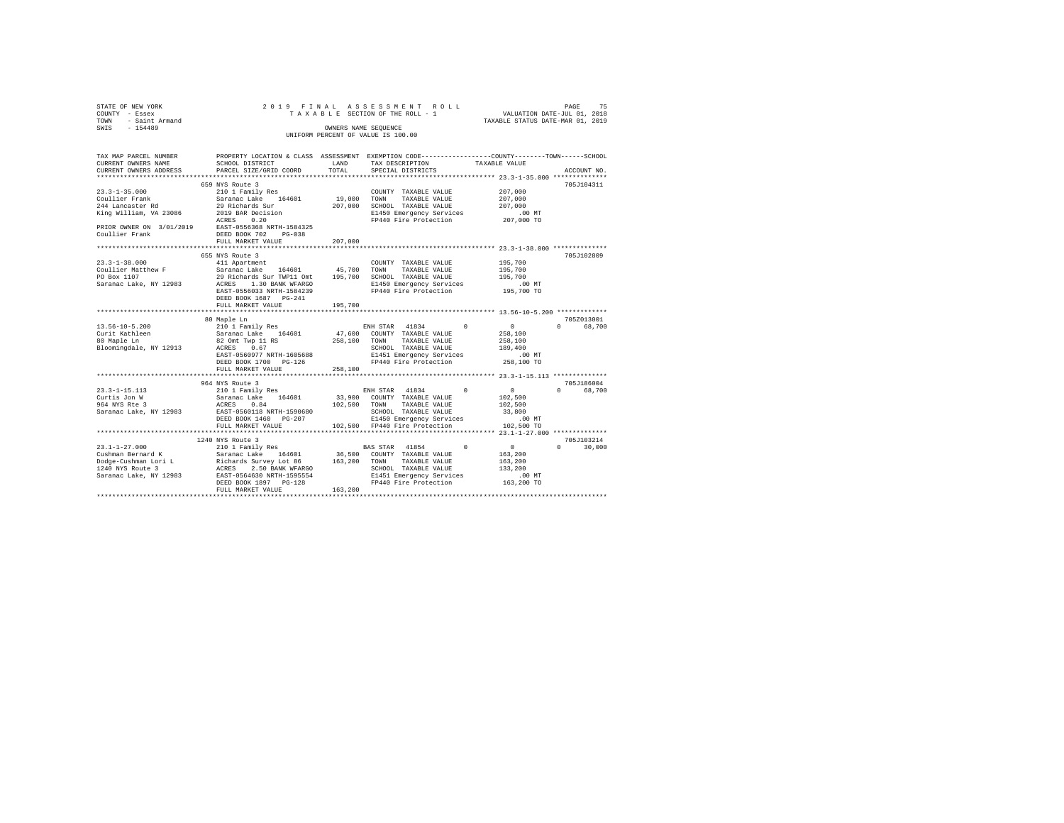| STATE OF NEW YORK                                  | 2019 FINAL                                       |                      | ASSESSMENT<br>ROLL                                                                              |                                         | PAGE<br>75         |
|----------------------------------------------------|--------------------------------------------------|----------------------|-------------------------------------------------------------------------------------------------|-----------------------------------------|--------------------|
| COUNTY - Essex                                     |                                                  |                      | TAXABLE SECTION OF THE ROLL - 1                                                                 | VALUATION DATE-JUL 01, 2018             |                    |
| - Saint Armand<br>TOWN                             |                                                  |                      |                                                                                                 | TAXABLE STATUS DATE-MAR 01, 2019        |                    |
| $-154489$<br>SWIS                                  |                                                  | OWNERS NAME SEQUENCE |                                                                                                 |                                         |                    |
|                                                    |                                                  |                      | UNIFORM PERCENT OF VALUE IS 100.00                                                              |                                         |                    |
|                                                    |                                                  |                      |                                                                                                 |                                         |                    |
| TAX MAP PARCEL NUMBER<br>CURRENT OWNERS NAME       | SCHOOL DISTRICT                                  | LAND                 | PROPERTY LOCATION & CLASS ASSESSMENT EXEMPTION CODE----------------COUNTY-------TOWN-----SCHOOL | TAXABLE VALUE                           |                    |
| CURRENT OWNERS ADDRESS                             | PARCEL SIZE/GRID COORD                           | TOTAL                | TAX DESCRIPTION<br>SPECIAL DISTRICTS                                                            |                                         | ACCOUNT NO.        |
| *************************                          |                                                  |                      |                                                                                                 |                                         |                    |
|                                                    | 659 NYS Route 3                                  |                      |                                                                                                 |                                         | 705J104311         |
| $23.3 - 1 - 35.000$                                | 210 1 Family Res                                 |                      | COUNTY TAXABLE VALUE                                                                            | 207,000                                 |                    |
| Coullier Frank                                     | Saranac Lake 164601                              | 19,000               | TOWN<br>TAXABLE VALUE                                                                           | 207,000                                 |                    |
| 244 Lancaster Rd                                   | 29 Richards Sur                                  | 207,000              | SCHOOL TAXABLE VALUE                                                                            | 207,000                                 |                    |
| King William, VA 23086                             | 2019 BAR Decision                                |                      | E1450 Emergency Services                                                                        | .00 MT                                  |                    |
|                                                    | 0.20<br>ACRES                                    |                      | FP440 Fire Protection                                                                           | 207,000 TO                              |                    |
| PRIOR OWNER ON 3/01/2019 EAST-0556368 NRTH-1584325 |                                                  |                      |                                                                                                 |                                         |                    |
| Coullier Frank                                     | DEED BOOK 702<br>$PG-0.38$                       |                      |                                                                                                 |                                         |                    |
|                                                    | FULL MARKET VALUE                                | 207,000              |                                                                                                 |                                         |                    |
|                                                    |                                                  |                      |                                                                                                 | *********** 23.3-1-38.000 ************* |                    |
|                                                    | 655 NYS Route 3                                  |                      |                                                                                                 |                                         | 705J102809         |
| $23.3 - 1 - 38.000$<br>Coullier Matthew F          | 411 Apartment<br>Saranac Lake<br>164601          | 45,700               | COUNTY TAXABLE VALUE<br>TOWN<br>TAXABLE VALUE                                                   | 195,700<br>195,700                      |                    |
| PO Box 1107                                        | 29 Richards Sur TWP11 Omt                        | 195,700              | SCHOOL TAXABLE VALUE                                                                            | 195,700                                 |                    |
| Saranac Lake, NY 12983                             | ACRES 1.30 BANK WFARGO                           |                      | E1450 Emergency Services                                                                        | $.00$ MT                                |                    |
|                                                    | EAST-0556033 NRTH-1584239                        |                      | FP440 Fire Protection                                                                           | 195,700 TO                              |                    |
|                                                    | DEED BOOK 1687 PG-241                            |                      |                                                                                                 |                                         |                    |
|                                                    | FULL MARKET VALUE                                | 195,700              |                                                                                                 |                                         |                    |
|                                                    | ***************************                      |                      |                                                                                                 |                                         |                    |
|                                                    | 80 Maple Ln                                      |                      |                                                                                                 |                                         | 705Z013001         |
| $13.56 - 10 - 5.200$                               | 210 1 Family Res                                 |                      | ENH STAR 41834<br>$\Omega$                                                                      | $\circ$                                 | $\Omega$<br>68,700 |
| Curit Kathleen                                     | Saranac Lake 164601                              | 47,600               | COUNTY TAXABLE VALUE                                                                            | 258,100                                 |                    |
| 80 Maple Ln                                        | 82 Omt Twp 11 RS                                 | 258,100              | TOWN<br>TAXABLE VALUE                                                                           | 258,100                                 |                    |
| Bloomingdale, NY 12913                             | 0.67<br>ACRES                                    |                      | SCHOOL TAXABLE VALUE                                                                            | 189,400                                 |                    |
|                                                    | EAST-0560977 NRTH-1605688                        |                      | E1451 Emergency Services                                                                        | $.00$ MT                                |                    |
|                                                    | DEED BOOK 1700 PG-126<br>FULL MARKET VALUE       | 258,100              | FP440 Fire Protection                                                                           | 258,100 TO                              |                    |
|                                                    | ***********************                          |                      |                                                                                                 |                                         |                    |
|                                                    | 964 NYS Route 3                                  |                      |                                                                                                 |                                         | 705J186004         |
| $23.3 - 1 - 15.113$                                | 210 1 Family Res                                 |                      | ENH STAR 41834<br>$^{\circ}$                                                                    | $\circ$                                 | $\Omega$<br>68,700 |
| Curtis Jon W                                       | Saranac Lake 164601                              | 33,900               | COUNTY TAXABLE VALUE                                                                            | 102,500                                 |                    |
| 964 NYS Rte 3                                      | ACRES<br>0.84                                    | 102,500              | TAXABLE VALUE<br>TOWN                                                                           | 102,500                                 |                    |
| Saranac Lake, NY 12983                             | EAST-0560118 NRTH-1590680                        |                      | SCHOOL TAXABLE VALUE                                                                            | 33,800                                  |                    |
|                                                    | DEED BOOK 1460 PG-207                            |                      | E1450 Emergency Services                                                                        | .00MT                                   |                    |
|                                                    | FULL MARKET VALUE                                |                      | 102,500 FP440 Fire Protection                                                                   | 102,500 TO                              |                    |
|                                                    | *******************************                  |                      |                                                                                                 |                                         |                    |
|                                                    | 1240 NYS Route 3                                 |                      |                                                                                                 |                                         | 705J103214         |
| $23.1 - 1 - 27.000$                                | 210 1 Family Res                                 |                      | $\circ$<br>BAS STAR 41854                                                                       | $\circ$                                 | $\Omega$<br>30,000 |
| Cushman Bernard K<br>Dodge-Cushman Lori L          | Saranac Lake<br>164601                           | 36,500<br>163,200    | COUNTY TAXABLE VALUE<br>TAXABLE VALUE<br>TOWN                                                   | 163,200<br>163,200                      |                    |
| 1240 NYS Route 3                                   | Richards Survey Lot 86<br>ACRES 2.50 BANK WFARGO |                      | SCHOOL TAXABLE VALUE                                                                            | 133,200                                 |                    |
| Saranac Lake, NY 12983                             | EAST-0564630 NRTH-1595554                        |                      | E1451 Emergency Services                                                                        | .00MT                                   |                    |
|                                                    | DEED BOOK 1897 PG-128                            |                      | FP440 Fire Protection                                                                           | 163,200 TO                              |                    |
|                                                    | FULL MARKET VALUE                                | 163,200              |                                                                                                 |                                         |                    |
|                                                    |                                                  |                      |                                                                                                 |                                         |                    |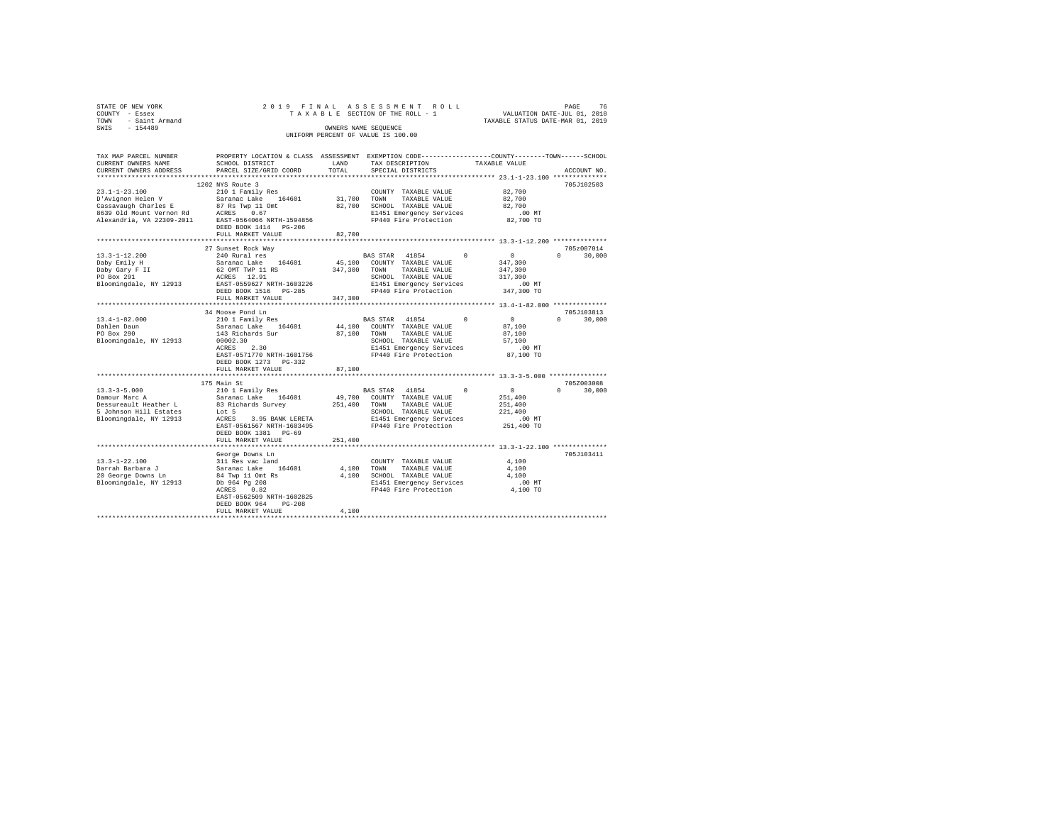| STATE OF NEW YORK<br>COUNTY - Essex<br>TOWN - Saint Armand<br>SWIS - 154489                                                                                          |                                           | OWNERS NAME SEQUENCE | 2019 FINAL ASSESSMENT ROLL<br>UNIFORM PERCENT OF VALUE IS 100.00                                         | PAGE                                               | 76            |
|----------------------------------------------------------------------------------------------------------------------------------------------------------------------|-------------------------------------------|----------------------|----------------------------------------------------------------------------------------------------------|----------------------------------------------------|---------------|
| TAX MAP PARCEL NUMBER PROPERTY LOCATION & CLASS ASSESSMENT EXEMPTION CODE--------------COUNTY-------TOWN-----SCHOOL<br>CURRENT OWNERS NAME<br>CURRENT OWNERS ADDRESS | SCHOOL DISTRICT<br>PARCEL SIZE/GRID COORD | LAND<br>TOTAL        | TAX DESCRIPTION<br>SPECIAL DISTRICTS                                                                     | TAXABLE VALUE                                      | ACCOUNT NO.   |
|                                                                                                                                                                      |                                           |                      |                                                                                                          |                                                    |               |
|                                                                                                                                                                      | 1202 NYS Route 3                          |                      |                                                                                                          | 82,700                                             | 705J102503    |
|                                                                                                                                                                      |                                           |                      |                                                                                                          | 82,700                                             |               |
|                                                                                                                                                                      |                                           |                      |                                                                                                          | 82,700                                             |               |
|                                                                                                                                                                      |                                           |                      |                                                                                                          | $.00$ MT                                           |               |
|                                                                                                                                                                      |                                           |                      |                                                                                                          | 82,700 TO                                          |               |
|                                                                                                                                                                      | DEED BOOK 1414 PG-206                     |                      |                                                                                                          |                                                    |               |
|                                                                                                                                                                      | FULL MARKET VALUE                         | 82,700               |                                                                                                          |                                                    |               |
|                                                                                                                                                                      |                                           |                      |                                                                                                          |                                                    |               |
|                                                                                                                                                                      | 27 Sunset Rock Way                        |                      |                                                                                                          | $\sim$ 0                                           | 705z007014    |
| 13.3-1-12.200                                                                                                                                                        | 240 Rural res<br>Saranac Lake 164601      |                      | BAS STAR 41854 0<br>45,100 COUNTY TAXABLE VALUE                                                          |                                                    | $0 \t 30,000$ |
| Daby Emily H<br>Daby Gary F II<br>PO Box 291                                                                                                                         |                                           |                      |                                                                                                          | 347,300<br>347,300                                 |               |
|                                                                                                                                                                      |                                           |                      | SCHOOL TAXABLE VALUE                                                                                     | 317,300                                            |               |
| Bloomingdale, NY 12913                                                                                                                                               | EAST-0559627 NRTH-1603226                 |                      |                                                                                                          |                                                    |               |
|                                                                                                                                                                      |                                           |                      | E1451 Emergency Services .00 MT<br>FP440 Fire Protection 347,300 TO                                      |                                                    |               |
|                                                                                                                                                                      | FULL MARKET VALUE                         | 347,300              |                                                                                                          |                                                    |               |
|                                                                                                                                                                      |                                           |                      |                                                                                                          |                                                    |               |
|                                                                                                                                                                      | 34 Moose Pond Ln                          |                      |                                                                                                          |                                                    | 705J103813    |
| 13.4-1-82.000<br>Dahlen Daun<br>PO Box 290                                                                                                                           | 210 1 Family Res                          |                      | BAS STAR 41854 0                                                                                         | $\sim$ 0 $\sim$ 0                                  | $0 \t 30,000$ |
|                                                                                                                                                                      |                                           |                      | Saranac Lake $164601$ 44,100 COUNTY TAXABLE VALUE 87,100                                                 |                                                    |               |
| Bloomingdale, NY 12913                                                                                                                                               | 143 Richards Sur                          |                      | 87,100 TOWN TAXABLE VALUE<br>SCHOOL TAXABLE VALUE                                                        | 87,100<br>57,100                                   |               |
|                                                                                                                                                                      | 00002.30<br>ACRES 2.30                    |                      |                                                                                                          | .00 MT                                             |               |
|                                                                                                                                                                      |                                           |                      |                                                                                                          | 87,100 TO                                          |               |
|                                                                                                                                                                      |                                           |                      |                                                                                                          |                                                    |               |
|                                                                                                                                                                      | FULL MARKET VALUE                         | 87,100               |                                                                                                          |                                                    |               |
|                                                                                                                                                                      |                                           | *******************  |                                                                                                          | ******************** 13.3-3-5.000 **************** |               |
|                                                                                                                                                                      | 175 Main St                               |                      |                                                                                                          |                                                    | 705Z003008    |
| $13.3 - 3 - 5.000$                                                                                                                                                   | 210 1 Family Res                          |                      | BAS STAR 41854 0                                                                                         | $\overline{0}$                                     | $0 \t 30,000$ |
| Damour Marc A                                                                                                                                                        | Saranac Lake 164601                       |                      | 49,700 COUNTY TAXABLE VALUE                                                                              | 251,400                                            |               |
| Dessureault Heather L<br>5 Johnson Hill Estates                                                                                                                      |                                           |                      | SCHOOL TAXABLE VALUE                                                                                     | 251,400<br>221,400                                 |               |
| Bloomingdale, NY 12913                                                                                                                                               | ACRES 3.95 BANK LERETA                    |                      |                                                                                                          | .00MT                                              |               |
|                                                                                                                                                                      | EAST-0561567 NRTH-1603495                 |                      | E1451 Emergency Services<br>FP440 Fire Protection                                                        | 251,400 TO                                         |               |
|                                                                                                                                                                      | DEED BOOK 1381 PG-69                      |                      |                                                                                                          |                                                    |               |
|                                                                                                                                                                      | FULL MARKET VALUE                         | 251,400              |                                                                                                          |                                                    |               |
|                                                                                                                                                                      |                                           |                      |                                                                                                          |                                                    |               |
|                                                                                                                                                                      | George Downs Ln                           |                      |                                                                                                          |                                                    | 705J103411    |
|                                                                                                                                                                      |                                           | $4,100$ COUNT        | COUNTY TAXABLE VALUE                                                                                     | 4,100                                              |               |
|                                                                                                                                                                      |                                           |                      | TAXABLE VALUE                                                                                            | 4,100                                              |               |
|                                                                                                                                                                      |                                           |                      | 4,100 SCHOOL TAXABLE VALUE                                                                               | 4,100                                              |               |
| 13.3-1-22.100<br>Darrah Barbara J Sil Res vac land<br>Darrah Barbara J Saranac Lake 164601<br>20 George Downs Ln<br>Bloomingdale, NY 12913 Db 964 Pg 208<br>RES 0.82 |                                           |                      | 00 000000 1AAABLE VALUE 1999 4,100<br>E1451 Emergency Services 100 MT<br>FP440 Fire Protection 14,100 TO |                                                    |               |
|                                                                                                                                                                      | EAST-0562509 NRTH-1602825                 |                      |                                                                                                          |                                                    |               |
|                                                                                                                                                                      | DEED BOOK 964 PG-208                      |                      |                                                                                                          |                                                    |               |
|                                                                                                                                                                      | FULL MARKET VALUE                         | 4,100                |                                                                                                          |                                                    |               |
|                                                                                                                                                                      |                                           |                      |                                                                                                          |                                                    |               |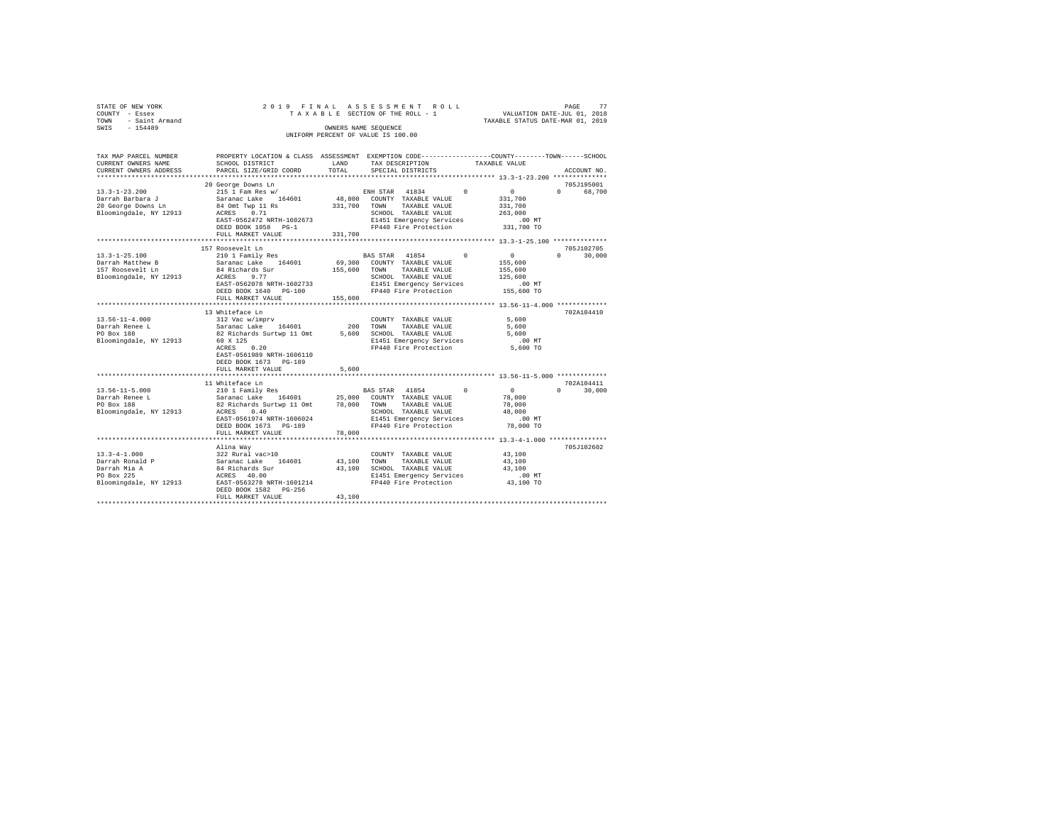| STATE OF NEW YORK<br>COUNTY - Essex | 2019 FINAL                                                                                     |         | ASSESSMENT ROLL<br>TAXABLE SECTION OF THE ROLL - 1                |            | VALUATION DATE-JUL 01, 2018      | PAGE     | 77                   |
|-------------------------------------|------------------------------------------------------------------------------------------------|---------|-------------------------------------------------------------------|------------|----------------------------------|----------|----------------------|
| TOWN<br>- Saint Armand              |                                                                                                |         |                                                                   |            | TAXABLE STATUS DATE-MAR 01, 2019 |          |                      |
| $-154489$<br>SWIS                   |                                                                                                |         | OWNERS NAME SEQUENCE                                              |            |                                  |          |                      |
|                                     |                                                                                                |         | UNIFORM PERCENT OF VALUE IS 100.00                                |            |                                  |          |                      |
|                                     |                                                                                                |         |                                                                   |            |                                  |          |                      |
|                                     |                                                                                                |         |                                                                   |            |                                  |          |                      |
| TAX MAP PARCEL NUMBER               | PROPERTY LOCATION & CLASS ASSESSMENT EXEMPTION CODE---------------COUNTY-------TOWN-----SCHOOL |         |                                                                   |            |                                  |          |                      |
| CURRENT OWNERS NAME                 | SCHOOL DISTRICT                                                                                | LAND    | TAX DESCRIPTION                                                   |            | TAXABLE VALUE                    |          |                      |
| CURRENT OWNERS ADDRESS              | PARCEL SIZE/GRID COORD                                                                         | TOTAL   | SPECIAL DISTRICTS                                                 |            |                                  |          | ACCOUNT NO.          |
|                                     |                                                                                                |         |                                                                   |            |                                  |          |                      |
|                                     | 20 George Downs Ln                                                                             |         |                                                                   |            |                                  |          | 705J195001           |
| $13.3 - 1 - 23.200$                 | 215 1 Fam Res w/                                                                               |         | 41834<br>ENH STAR                                                 | $\Omega$   | $^{\circ}$                       | $\Omega$ | 68,700               |
| Darrah Barbara J                    | Saranac Lake<br>164601                                                                         | 48,800  | COUNTY TAXABLE VALUE                                              |            | 331,700                          |          |                      |
| 20 George Downs Ln                  | 84 Omt Twp 11 Rs                                                                               | 331,700 | TOWN<br>TAXABLE VALUE                                             |            | 331,700                          |          |                      |
| Bloomingdale, NY 12913              | 0.71<br>ACRES                                                                                  |         | SCHOOL TAXABLE VALUE                                              |            | 263,000                          |          |                      |
|                                     | EAST-0562472 NRTH-1602673                                                                      |         | E1451 Emergency Services                                          |            | $.00$ MT                         |          |                      |
|                                     | DEED BOOK 1058 PG-1                                                                            |         | FP440 Fire Protection                                             |            | 331,700 TO                       |          |                      |
|                                     | FULL MARKET VALUE<br>************************                                                  | 331,700 |                                                                   |            |                                  |          |                      |
|                                     |                                                                                                |         |                                                                   |            |                                  |          |                      |
| $13.3 - 1 - 25.100$                 | 157 Roosevelt Ln                                                                               |         |                                                                   |            | $^{\circ}$                       | $\Omega$ | 705J102705<br>30,000 |
| Darrah Matthew B                    | 210 1 Family Res<br>Saranac Lake<br>164601                                                     | 69,300  | BAS STAR<br>41854<br>COUNTY TAXABLE VALUE                         | $^{\circ}$ | 155,600                          |          |                      |
| 157 Roosevelt Ln                    | 84 Richards Sur                                                                                |         | TAXABLE VALUE<br>TOWN                                             |            |                                  |          |                      |
|                                     | ACRES<br>9.77                                                                                  | 155,600 | SCHOOL TAXABLE VALUE                                              |            | 155,600<br>125,600               |          |                      |
| Bloomingdale, NY 12913              | EAST-0562078 NRTH-1602733                                                                      |         | E1451 Emergency Services                                          |            | .00MT                            |          |                      |
|                                     | DEED BOOK 1640 PG-100                                                                          |         | FP440 Fire Protection                                             |            | 155,600 TO                       |          |                      |
|                                     | FULL MARKET VALUE                                                                              | 155,600 |                                                                   |            |                                  |          |                      |
|                                     | ****************************                                                                   |         |                                                                   |            |                                  |          |                      |
|                                     | 13 Whiteface Ln                                                                                |         |                                                                   |            |                                  |          | 702A104410           |
| $13.56 - 11 - 4.000$                | 312 Vac w/imprv                                                                                |         | COUNTY TAXABLE VALUE                                              |            | 5,600                            |          |                      |
| Darrah Renee L                      | Saranac Lake<br>164601                                                                         | 200     | TOWN<br>TAXABLE VALUE                                             |            | 5,600                            |          |                      |
| PO Box 188                          | 82 Richards Surtwp 11 Omt                                                                      | 5,600   | SCHOOL TAXABLE VALUE                                              |            | 5,600                            |          |                      |
| Bloomingdale, NY 12913              | 60 X 125                                                                                       |         | E1451 Emergency Services                                          |            | $.00$ MT                         |          |                      |
|                                     | ACRES<br>0.20                                                                                  |         | FP440 Fire Protection                                             |            | 5,600 TO                         |          |                      |
|                                     | EAST-0561989 NRTH-1606110                                                                      |         |                                                                   |            |                                  |          |                      |
|                                     | DEED BOOK 1673 PG-189                                                                          |         |                                                                   |            |                                  |          |                      |
|                                     | FULL MARKET VALUE                                                                              | 5,600   |                                                                   |            |                                  |          |                      |
|                                     |                                                                                                |         |                                                                   |            |                                  |          |                      |
|                                     | 11 Whiteface Ln                                                                                |         |                                                                   |            |                                  |          | 702A104411           |
| $13.56 - 11 - 5.000$                | 210 1 Family Res                                                                               |         | <b>BAS STAR</b><br>41854                                          | $\Omega$   | $\sim$ 0                         | $\Omega$ | 30,000               |
| Darrah Renee L                      | Saranac Lake<br>164601                                                                         | 25,000  | COUNTY TAXABLE VALUE                                              |            | 78,000                           |          |                      |
| PO Box 188                          | 82 Richards Surtwp 11 Omt                                                                      | 78,000  | TOWN<br>TAXABLE VALUE                                             |            | 78,000                           |          |                      |
| Bloomingdale, NY 12913              | ACRES<br>0.40                                                                                  |         | SCHOOL TAXABLE VALUE                                              |            | 48,000                           |          |                      |
|                                     | EAST-0561974 NRTH-1606024                                                                      |         | E1451 Emergency Services                                          |            | $.00$ MT                         |          |                      |
|                                     | DEED BOOK 1673 PG-189                                                                          |         | FP440 Fire Protection                                             |            | 78,000 TO                        |          |                      |
|                                     | FULL MARKET VALUE                                                                              | 78,000  |                                                                   |            |                                  |          |                      |
|                                     |                                                                                                |         | *********************************** 13.3-4-1.000 **************** |            |                                  |          |                      |
|                                     | Alina Way                                                                                      |         |                                                                   |            |                                  |          | 705J102602           |
| $13.3 - 4 - 1.000$                  | 322 Rural vac>10                                                                               |         | COUNTY TAXABLE VALUE                                              |            | 43,100                           |          |                      |
| Darrah Ronald P                     | Saranac Lake<br>164601                                                                         | 43,100  | TOWN<br>TAXABLE VALUE                                             |            | 43,100                           |          |                      |
| Darrah Mia A                        | 84 Richards Sur                                                                                | 43,100  | SCHOOL TAXABLE VALUE                                              |            | 43,100                           |          |                      |
| PO Box 225                          | ACRES 40.00                                                                                    |         | E1451 Emergency Services                                          |            | $.00$ MT                         |          |                      |
| Bloomingdale, NY 12913              | EAST-0563278 NRTH-1601214                                                                      |         | FP440 Fire Protection                                             |            | 43,100 TO                        |          |                      |
|                                     | DEED BOOK 1582 PG-256                                                                          |         |                                                                   |            |                                  |          |                      |
|                                     | FULL MARKET VALUE                                                                              | 43,100  |                                                                   |            |                                  |          |                      |
|                                     |                                                                                                |         |                                                                   |            |                                  |          |                      |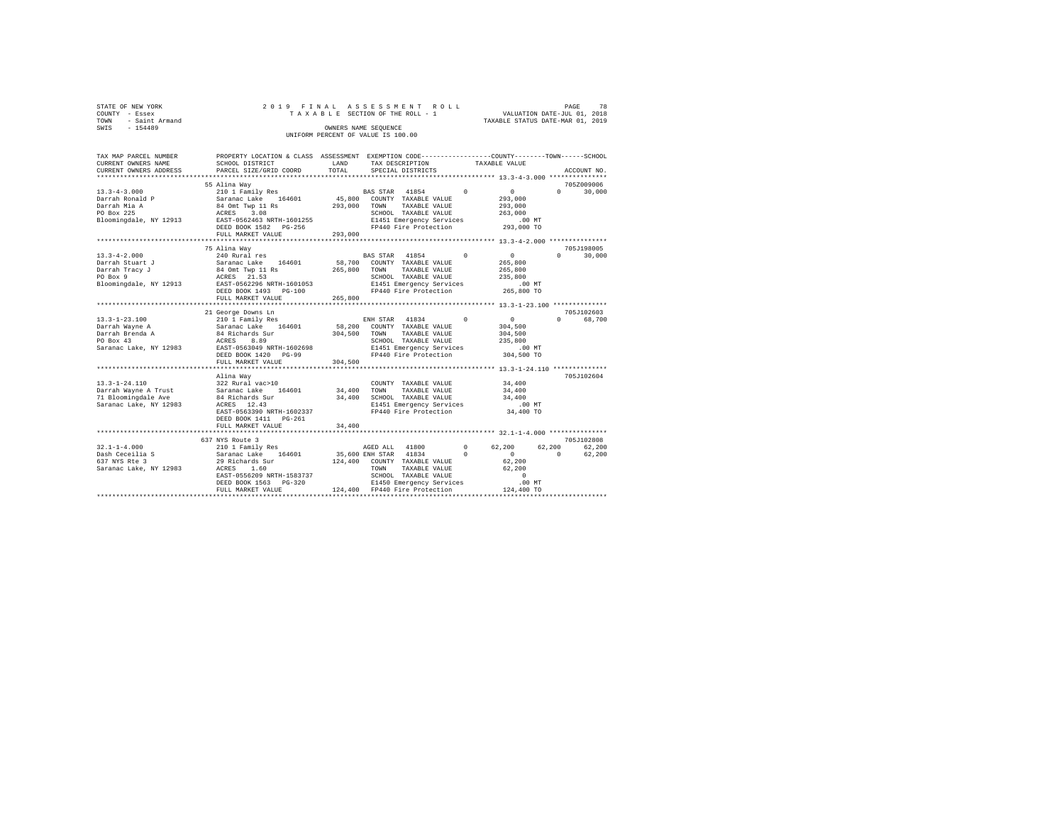| STATE OF NEW YORK   |  | 2019 FINAL ASSESSMENT ROLL         |                                  | PAGE | 78 |
|---------------------|--|------------------------------------|----------------------------------|------|----|
| COUNTY - Essex      |  | TAXABLE SECTION OF THE ROLL - 1    | VALUATION DATE-JUL 01, 2018      |      |    |
| TOWN - Saint Armand |  |                                    | TAXABLE STATUS DATE-MAR 01, 2019 |      |    |
| SWIS<br>$-154489$   |  | OWNERS NAME SEOUENCE               |                                  |      |    |
|                     |  | UNIFORM PERCENT OF VALUE IS 100.00 |                                  |      |    |

| TAX MAP PARCEL NUMBER<br>CURRENT OWNERS NAME                                                                              | PROPERTY LOCATION & CLASS ASSESSMENT EXEMPTION CODE----------------COUNTY-------TOWN------SCHOOL<br>SCHOOL DISTRICT                                 | LAND               | TAX DESCRIPTION                                                                                                                                                                                                                       | TAXABLE VALUE      |                                                                                                                   |
|---------------------------------------------------------------------------------------------------------------------------|-----------------------------------------------------------------------------------------------------------------------------------------------------|--------------------|---------------------------------------------------------------------------------------------------------------------------------------------------------------------------------------------------------------------------------------|--------------------|-------------------------------------------------------------------------------------------------------------------|
| CURRENT OWNERS ADDRESS                                                                                                    | PARCEL SIZE/GRID COORD                                                                                                                              | TOTAL              | SPECIAL DISTRICTS                                                                                                                                                                                                                     |                    | ACCOUNT NO.                                                                                                       |
|                                                                                                                           | 55 Alina Way                                                                                                                                        |                    |                                                                                                                                                                                                                                       |                    | 705Z009006                                                                                                        |
| $13.3 - 4 - 3.000$<br>Darrah Ronald P<br>Darrah Mia A<br>PO Box 225                                                       | 210 1 Family Res 60 BAS STAR 41854 0<br>Saranac Lake 164601<br>84 Omt Twp 11 Rs<br>ACRES 3.08<br>EAST-0562463 NRTH-1601255                          | 293,000            | 45,800 COUNTY TAXABLE VALUE<br>TOWN<br>TAXABLE VALUE<br>SCHOOL TAXABLE VALUE                                                                                                                                                          |                    | $\sim$ 0<br>30,000<br>$\Omega$<br>293,000<br>293,000<br>263,000                                                   |
| Bloomingdale, NY 12913                                                                                                    | DEED BOOK 1582 PG-256<br>FULL MARKET VALUE                                                                                                          | 293,000            | E1451 Emergency Services<br>FP440 Fire Protection 293,000 TO                                                                                                                                                                          |                    | .00 MT                                                                                                            |
|                                                                                                                           |                                                                                                                                                     |                    |                                                                                                                                                                                                                                       |                    |                                                                                                                   |
| $13.3 - 4 - 2.000$<br>Darrah Stuart J<br>Darrah Tracy J<br>Do Box 9                                                       | 75 Alina Wav<br>240 Rural res<br>DEED BOOK 1493 PG-100<br>FULL MARKET VALUE                                                                         | 265,800<br>265,800 | BAS STAR 41854 0<br>58,700 COUNTY TAXABLE VALUE<br>TAXABLE VALUE<br>TOWN<br>SCHOOL TAXABLE VALUE<br>E1451 Emergency Services<br>FP440 Fire Protection 265,800 TO                                                                      | 265,800            | 705J198005<br>$\sim$ 0<br>$\Omega$<br>30,000<br>265,800<br>235,800<br>.00 MT                                      |
|                                                                                                                           |                                                                                                                                                     |                    |                                                                                                                                                                                                                                       |                    |                                                                                                                   |
|                                                                                                                           | 21 George Downs Ln                                                                                                                                  |                    |                                                                                                                                                                                                                                       |                    | 705J102603                                                                                                        |
| $13.3 - 1 - 23.100$<br>Darrah Wayne A<br>Darrah Brenda A<br>PO Box 43<br>Saranac Lake, NY 12983 EAST-0563049 NRTH-1602698 | 210 1 Family Res<br>Saranac Lake    164601<br>84 Richards Sur<br>ACRES 8.89<br>DEED BOOK 1420 PG-99                                                 | 58,200<br>304,500  | ENH STAR 41834<br>COUNTY TAXABLE VALUE<br>TOWN<br>TAXABLE VALUE<br>SCHOOL TAXABLE VALUE<br>E1451 Emergency Services<br>FP440 Fire Protection                                                                                          | $\Omega$           | $\sim$ 0<br>$\Omega$<br>68,700<br>304,500<br>304,500<br>235,800<br>$.00$ MT<br>304,500 TO                         |
|                                                                                                                           | FULL MARKET VALUE                                                                                                                                   | 304,500            |                                                                                                                                                                                                                                       |                    |                                                                                                                   |
|                                                                                                                           |                                                                                                                                                     |                    |                                                                                                                                                                                                                                       |                    |                                                                                                                   |
| $13.3 - 1 - 24.110$<br>Saranac Lake, NY 12983                                                                             | Alina Way<br>322 Rural vac>10<br>ACRES 12.43<br>EAST-0563390 NRTH-1602337<br>DEED BOOK 1411 PG-261                                                  | 34,400             | COUNTY TAXABLE VALUE<br>TOWN<br>TAXABLE VALUE<br>34,400 SCHOOL TAXABLE VALUE<br>E1451 Emergency Services<br>FP440 Fire Protection                                                                                                     |                    | 705J102604<br>34,400<br>34,400<br>34,400<br>.00 MT<br>34,400 TO                                                   |
|                                                                                                                           | FULL MARKET VALUE                                                                                                                                   | 34,400             |                                                                                                                                                                                                                                       |                    |                                                                                                                   |
|                                                                                                                           | 637 NYS Route 3                                                                                                                                     |                    |                                                                                                                                                                                                                                       |                    | 705J102808                                                                                                        |
| $32.1 - 1 - 4.000$<br>Dash Ceceilia S<br>427 NVS Pte 3<br>637 NYS Rte 3<br>Saranac Lake, NY 12983                         | 210 1 Family Res<br>Saranac Lake 164601<br>29 Richards Sur<br>ACRES 1.60<br>EAST-0556209 NRTH-1583737<br>DEED BOOK 1563 PG-320<br>FULL MARKET VALUE |                    | AGED ALL 41800<br>35,600 ENH STAR 41834<br>$\sim$ 0<br>124,400 COUNTY TAXABLE VALUE<br>TOWN<br>TAXABLE VALUE<br>SCHOOL TAXABLE VALUE<br>20<br>20<br>24,400 EP440 Fire Protection<br>E1450 Emergency Services<br>FP440 Fire Protection | $\sim$ 0<br>62,200 | 62.200<br>62,200<br>$\Omega$<br>$\overline{0}$<br>62,200<br>62,200<br>62,200<br>$\sim$ 0<br>.00 MT.<br>124,400 TO |
|                                                                                                                           |                                                                                                                                                     |                    |                                                                                                                                                                                                                                       |                    |                                                                                                                   |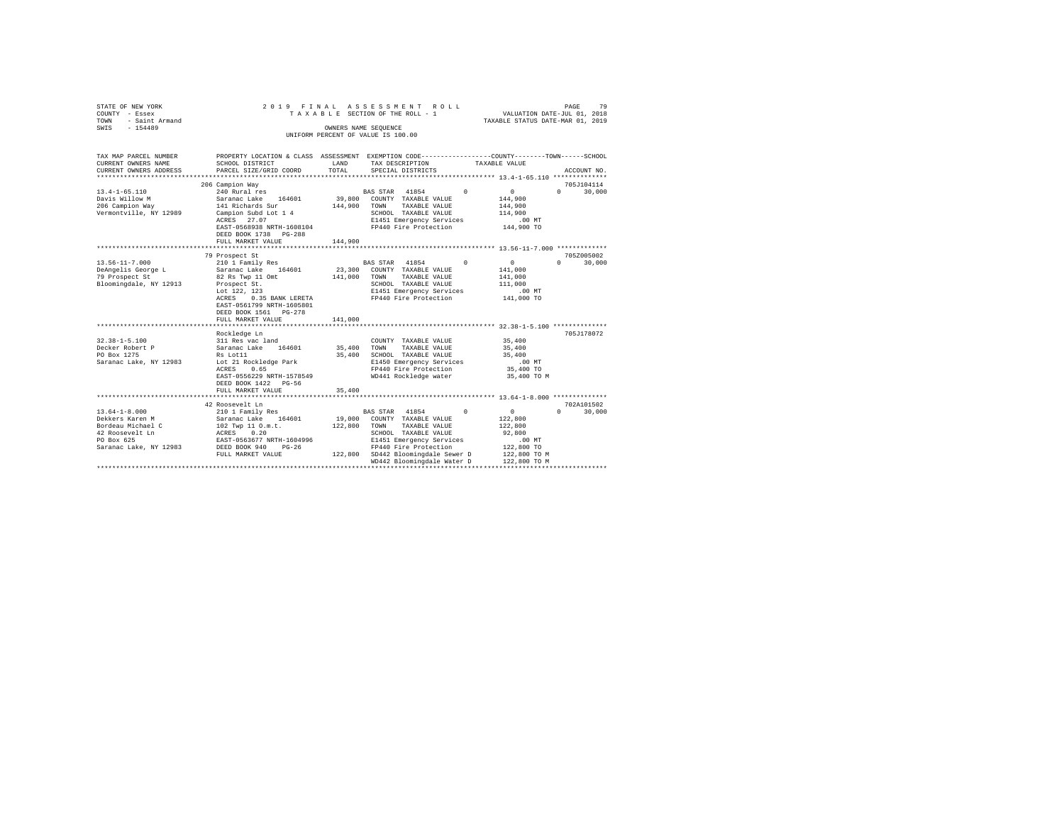| STATE OF NEW YORK<br>COUNTY - Essex<br>- Saint Armand<br>TOWN<br>$-154489$<br>SWIS                                                                                        | 2019 FINAL                                                                                                                                                                                                                                                                                                                                        |                                                  | ASSESSMENT<br>ROLL<br>TAXABLE SECTION OF THE ROLL - 1<br>OWNERS NAME SEQUENCE<br>UNIFORM PERCENT OF VALUE IS 100.00                                                                                                                                                                      | VALUATION DATE-JUL 01, 2018<br>TAXABLE STATUS DATE-MAR 01, 2019                                                                                                              | 79<br>PAGE                       |
|---------------------------------------------------------------------------------------------------------------------------------------------------------------------------|---------------------------------------------------------------------------------------------------------------------------------------------------------------------------------------------------------------------------------------------------------------------------------------------------------------------------------------------------|--------------------------------------------------|------------------------------------------------------------------------------------------------------------------------------------------------------------------------------------------------------------------------------------------------------------------------------------------|------------------------------------------------------------------------------------------------------------------------------------------------------------------------------|----------------------------------|
| TAX MAP PARCEL NUMBER<br>CURRENT OWNERS NAME                                                                                                                              | PROPERTY LOCATION & CLASS ASSESSMENT EXEMPTION CODE---------------COUNTY-------TOWN------SCHOOL<br>SCHOOL DISTRICT                                                                                                                                                                                                                                | LAND                                             | TAX DESCRIPTION                                                                                                                                                                                                                                                                          | TAXABLE VALUE                                                                                                                                                                |                                  |
| CURRENT OWNERS ADDRESS                                                                                                                                                    | PARCEL SIZE/GRID COORD                                                                                                                                                                                                                                                                                                                            | TOTAL                                            | SPECIAL DISTRICTS                                                                                                                                                                                                                                                                        |                                                                                                                                                                              | ACCOUNT NO.                      |
|                                                                                                                                                                           | 206 Campion Way                                                                                                                                                                                                                                                                                                                                   |                                                  |                                                                                                                                                                                                                                                                                          |                                                                                                                                                                              | 705J104114                       |
| $13.4 - 1 - 65.110$<br>Davis Willow M<br>206 Campion Way<br>Vermontville, NY 12989                                                                                        | 240 Rural res<br>Saranac Lake<br>164601<br>141 Richards Sur<br>Campion Subd Lot 1 4<br>ACRES 27.07<br>EAST-0568938 NRTH-1608104<br>DEED BOOK 1738 PG-288                                                                                                                                                                                          | 39,800<br>144,900                                | BAS STAR 41854<br>$\Omega$<br>COUNTY TAXABLE VALUE<br>TAXABLE VALUE<br>TOWN<br>SCHOOL TAXABLE VALUE<br>E1451 Emergency Services<br>FP440 Fire Protection                                                                                                                                 | $\Omega$<br>144,900<br>144,900<br>114,900<br>$.00$ MT<br>144,900 TO                                                                                                          | $\Omega$<br>30,000               |
|                                                                                                                                                                           | FULL MARKET VALUE                                                                                                                                                                                                                                                                                                                                 | 144,900                                          |                                                                                                                                                                                                                                                                                          |                                                                                                                                                                              |                                  |
|                                                                                                                                                                           | *******************************<br>79 Prospect St                                                                                                                                                                                                                                                                                                 |                                                  |                                                                                                                                                                                                                                                                                          |                                                                                                                                                                              | 705Z005002                       |
| $13.56 - 11 - 7.000$<br>DeAngelis George L<br>79 Prospect St<br>Bloomingdale, NY 12913<br>$32.38 - 1 - 5.100$<br>Decker Robert P<br>PO Box 1275<br>Saranac Lake, NY 12983 | 210 1 Family Res<br>Saranac Lake 164601<br>82 Rs Twp 11 Omt<br>Prospect St.<br>Lot 122, 123<br>0.35 BANK LERETA<br>ACRES<br>EAST-0561799 NRTH-1605801<br>DEED BOOK 1561 PG-278<br>FULL MARKET VALUE<br>**********************<br>Rockledge Ln<br>311 Res vac land<br>Saranac Lake<br>164601<br>Rs Lot11<br>Lot 21 Rockledge Park<br>0.65<br>ACRES | 23,300<br>141,000<br>141,000<br>35,400<br>35,400 | BAS STAR 41854<br>$^{\circ}$<br>COUNTY TAXABLE VALUE<br>TAXABLE VALUE<br>TOWN<br>SCHOOL TAXABLE VALUE<br>E1451 Emergency Services<br>FP440 Fire Protection<br>COUNTY TAXABLE VALUE<br>TOWN<br>TAXABLE VALUE<br>SCHOOL TAXABLE VALUE<br>E1450 Emergency Services<br>FP440 Fire Protection | $\circ$<br>141,000<br>141,000<br>111,000<br>.00 MT<br>141,000 TO<br>*********************** 32.38-1-5.100 **************<br>35,400<br>35,400<br>35,400<br>.00MT<br>35,400 TO | $\Omega$<br>30,000<br>705J178072 |
|                                                                                                                                                                           | EAST-0556229 NRTH-1578549<br>DEED BOOK 1422 PG-56<br>FULL MARKET VALUE<br>.                                                                                                                                                                                                                                                                       | 35,400                                           | WD441 Rockledge water                                                                                                                                                                                                                                                                    | 35,400 TO M<br>*************** 13.64-1-8.000 **************                                                                                                                  |                                  |
| $13.64 - 1 - 8.000$<br>Dekkers Karen M<br>Bordeau Michael C<br>42 Roosevelt Ln<br>PO Box 625<br>Saranac Lake, NY 12983                                                    | 42 Roosevelt Ln<br>210 1 Family Res<br>Saranac Lake 164601<br>102 Twp 11 O.m.t.<br>ACRES 0.20<br>EAST-0563677 NRTH-1604996<br>DEED BOOK 940<br>$PG-26$                                                                                                                                                                                            | 19,000<br>122,800                                | BAS STAR 41854<br>$\Omega$<br>COUNTY TAXABLE VALUE<br>TOWN<br>TAXABLE VALUE<br>SCHOOL TAXABLE VALUE<br>E1451 Emergency Services<br>FP440 Fire Protection                                                                                                                                 | $\mathbf{0}$<br>122,800<br>122,800<br>92,800<br>.00MT<br>122,800 TO                                                                                                          | 702A101502<br>$\Omega$<br>30,000 |
|                                                                                                                                                                           | FULL MARKET VALUE                                                                                                                                                                                                                                                                                                                                 |                                                  | 122,800 SD442 Bloomingdale Sewer D<br>WD442 Bloomingdale Water D<br>********************************                                                                                                                                                                                     | 122,800 TO M<br>122,800 TO M                                                                                                                                                 |                                  |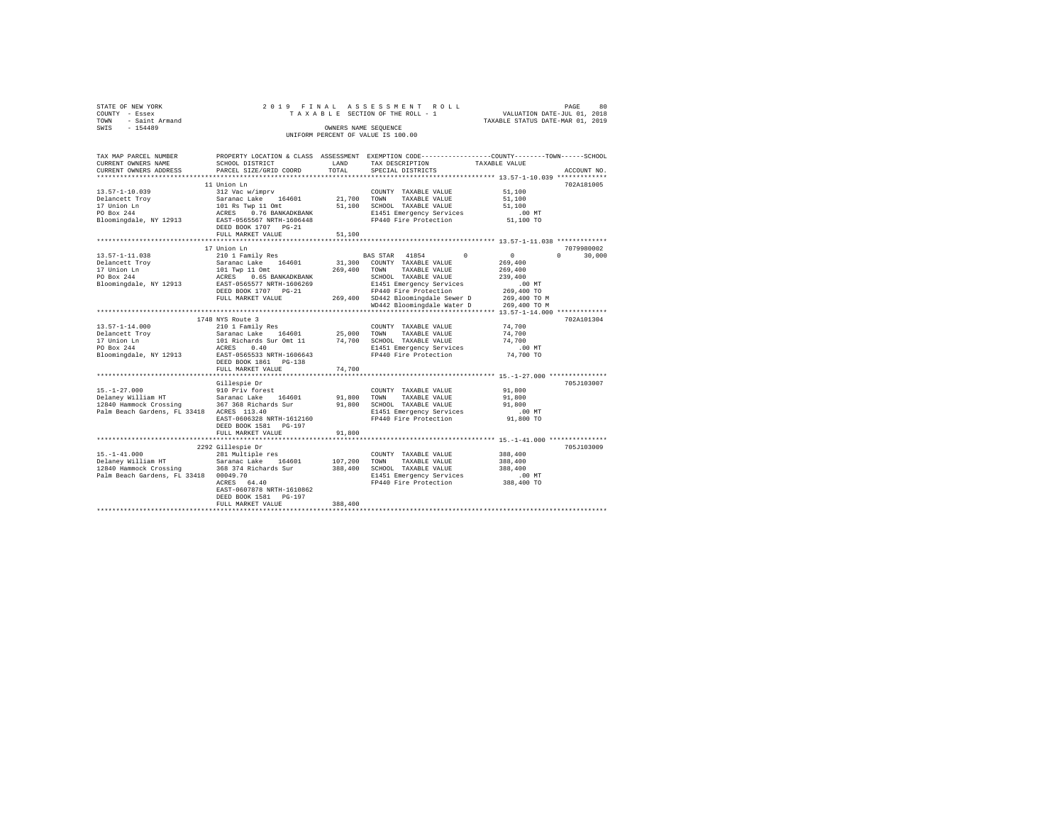| STATE OF NEW YORK      |  |  |  | 2019 FINAL ASSESSMENT ROLL         |  |  |  |                                  | PAGE | 80 |
|------------------------|--|--|--|------------------------------------|--|--|--|----------------------------------|------|----|
| COUNTY - Essex         |  |  |  | TAXABLE SECTION OF THE ROLL - 1    |  |  |  | VALUATION DATE-JUL 01, 2018      |      |    |
| - Saint Armand<br>TOWN |  |  |  |                                    |  |  |  | TAXABLE STATUS DATE-MAR 01, 2019 |      |    |
| SWTS<br>$-154489$      |  |  |  | OWNERS NAME SEOUENCE               |  |  |  |                                  |      |    |
|                        |  |  |  | UNIFORM PERCENT OF VALUE IS 100.00 |  |  |  |                                  |      |    |

| TAX MAP PARCEL NUMBER                       |                                                |             |                                    | PROPERTY LOCATION & CLASS ASSESSMENT EXEMPTION CODE----------------COUNTY-------TOWN-----SCHOOL |  |
|---------------------------------------------|------------------------------------------------|-------------|------------------------------------|-------------------------------------------------------------------------------------------------|--|
| CURRENT OWNERS NAME                         | SCHOOL DISTRICT                                | LAND        | TAX DESCRIPTION                    | TAXABLE VALUE                                                                                   |  |
| CURRENT OWNERS ADDRESS                      | PARCEL SIZE/GRID COORD                         | TOTAL       | SPECIAL DISTRICTS                  | ACCOUNT NO.                                                                                     |  |
|                                             |                                                |             |                                    |                                                                                                 |  |
|                                             | 11 Union Ln                                    |             |                                    | 702A181005                                                                                      |  |
| $13.57 - 1 - 10.039$                        | 312 Vac w/imprv                                |             | COUNTY TAXABLE VALUE               | 51,100                                                                                          |  |
| Delancett Troy                              | Saranac Lake 164601                            | 21,700 TOWN | TAXABLE VALUE                      | 51,100                                                                                          |  |
| 17 Union Ln                                 | 101 Rs Twp 11 Omt<br>ACRES 0.76 BANKADKBAN     | 51,100      | SCHOOL TAXABLE VALUE               | 51,100                                                                                          |  |
| PO Box 244                                  | 0.76 BANKADKBANK                               |             | E1451 Emergency Services           | $.00$ MT                                                                                        |  |
| Bloomingdale, NY 12913                      | EAST-0565567 NRTH-1606448                      |             | FP440 Fire Protection              | 51,100 TO                                                                                       |  |
|                                             | DEED BOOK 1707 PG-21                           |             |                                    |                                                                                                 |  |
|                                             | FULL MARKET VALUE                              | 51,100      |                                    |                                                                                                 |  |
|                                             |                                                |             |                                    |                                                                                                 |  |
|                                             | 17 Union Ln                                    |             |                                    | 7079980002                                                                                      |  |
| $13.57 - 1 - 11.038$                        | 210 1 Family Res                               |             | BAS STAR 41854                     | $^{\circ}$<br>$\mathbf{0}$<br>$\Omega$<br>30,000                                                |  |
| Delancett Troy                              | Saranac Lake 164601                            | 31,300      | COUNTY TAXABLE VALUE               | 269,400                                                                                         |  |
| 17 Union Ln                                 | 101 Twp 11 Omt<br>ACRES 0.65 BANKADKBANK       | 269,400     | TAXABLE VALUE<br>TOWN              | 269,400                                                                                         |  |
| PO Box 244                                  |                                                |             | SCHOOL TAXABLE VALUE               | 239,400                                                                                         |  |
| Bloomingdale, NY 12913                      | EAST-0565577 NRTH-1606269                      |             | E1451 Emergency Services           | .00MT                                                                                           |  |
|                                             | DEED BOOK 1707 PG-21                           |             | FP440 Fire Protection              | 269,400 TO                                                                                      |  |
|                                             | FULL MARKET VALUE                              |             | 269,400 SD442 Bloomingdale Sewer D | 269,400 TO M                                                                                    |  |
|                                             |                                                |             | WD442 Bloomingdale Water D         | 269,400 TO M                                                                                    |  |
|                                             |                                                |             |                                    |                                                                                                 |  |
|                                             | 1748 NYS Route 3                               |             |                                    | 702A101304                                                                                      |  |
| 13.57-1-14.000                              | 210 1 Family Res                               |             | COUNTY TAXABLE VALUE               | 74,700                                                                                          |  |
| Delancett Trov                              |                                                | 25,000 TOWN | TAXABLE VALUE                      | 74,700                                                                                          |  |
| 17 Union Ln                                 | Saranac Lake 164601<br>101 Richards Sur Omt 11 | 74,700      | SCHOOL TAXABLE VALUE               | 74,700                                                                                          |  |
| PO Box 244                                  | ACRES<br>0.40                                  |             | E1451 Emergency Services           | .00MT                                                                                           |  |
| Bloomingdale, NY 12913                      | EAST-0565533 NRTH-1606643                      |             | FP440 Fire Protection              | 74,700 TO                                                                                       |  |
|                                             | DEED BOOK 1861 PG-138                          |             |                                    |                                                                                                 |  |
|                                             | FULL MARKET VALUE                              | 74,700      |                                    |                                                                                                 |  |
|                                             |                                                |             |                                    |                                                                                                 |  |
|                                             | Gillespie Dr                                   |             |                                    | 705J103007                                                                                      |  |
| $15. - 1 - 27.000$                          | 910 Priv forest                                |             | COUNTY TAXABLE VALUE               | 91,800                                                                                          |  |
| Delaney William HT                          | Siver Lucius<br>Saranac Lake 164601            | 91,800      | TOWN<br>TAXABLE VALUE              | 91,800                                                                                          |  |
| 12840 Hammock Crossing 367 368 Richards Sur |                                                | 91,800      | SCHOOL TAXABLE VALUE               | 91,800                                                                                          |  |
| Palm Beach Gardens, FL 33418 ACRES 113.40   |                                                |             | E1451 Emergency Services           | .00 MT                                                                                          |  |
|                                             | EAST-0606328 NRTH-1612160                      |             | FP440 Fire Protection              | 91,800 TO                                                                                       |  |
|                                             | DEED BOOK 1581 PG-197                          |             |                                    |                                                                                                 |  |
|                                             | FULL MARKET VALUE                              | 91,800      |                                    |                                                                                                 |  |
|                                             | **************************                     |             |                                    |                                                                                                 |  |
|                                             | 2292 Gillespie Dr                              |             |                                    | 705J103009                                                                                      |  |
| $15. - 1 - 41.000$                          | 281 Multiple res                               |             | COUNTY TAXABLE VALUE               | 388,400                                                                                         |  |
| Delaney William HT                          | Saranac Lake 164601                            | 107,200     | TOWN<br>TAXABLE VALUE              | 388,400                                                                                         |  |
| 12840 Hammock Crossing 368 374 Richards Sur |                                                | 388,400     | SCHOOL TAXABLE VALUE               | 388,400                                                                                         |  |
| Palm Beach Gardens, FL 33418 00049.70       |                                                |             | E1451 Emergency Services           | .00MT                                                                                           |  |
|                                             | ACRES<br>64.40                                 |             | FP440 Fire Protection              | 388,400 TO                                                                                      |  |
|                                             | EAST-0607878 NRTH-1610862                      |             |                                    |                                                                                                 |  |
|                                             | DEED BOOK 1581 PG-197                          |             |                                    |                                                                                                 |  |
|                                             | FULL MARKET VALUE                              | 388,400     |                                    |                                                                                                 |  |
|                                             |                                                |             |                                    |                                                                                                 |  |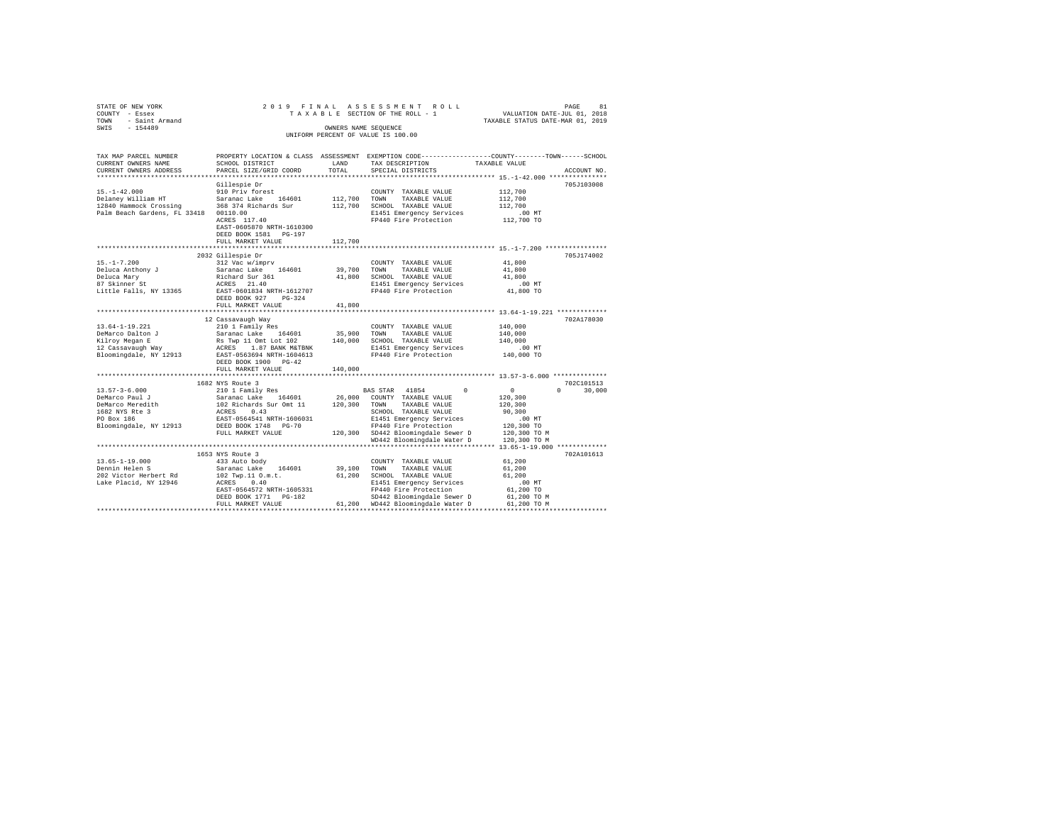| STATE OF NEW YORK                                | 2019 FINAL                     |         | ASSESSMENT ROLL                                                                                 |                                                                 | 81<br>PAGE         |
|--------------------------------------------------|--------------------------------|---------|-------------------------------------------------------------------------------------------------|-----------------------------------------------------------------|--------------------|
| COUNTY - Essex                                   |                                |         | TAXABLE SECTION OF THE ROLL - 1                                                                 | VALUATION DATE-JUL 01, 2018<br>TAXABLE STATUS DATE-MAR 01, 2019 |                    |
| - Saint Armand<br>TOWN                           |                                |         |                                                                                                 |                                                                 |                    |
| SWIS<br>$-154489$                                |                                |         | OWNERS NAME SEQUENCE                                                                            |                                                                 |                    |
|                                                  |                                |         | UNIFORM PERCENT OF VALUE IS 100.00                                                              |                                                                 |                    |
|                                                  |                                |         |                                                                                                 |                                                                 |                    |
|                                                  |                                |         |                                                                                                 |                                                                 |                    |
| TAX MAP PARCEL NUMBER                            |                                |         | PROPERTY LOCATION & CLASS ASSESSMENT EXEMPTION CODE---------------COUNTY-------TOWN------SCHOOL |                                                                 |                    |
| CURRENT OWNERS NAME                              | SCHOOL DISTRICT                | LAND    | TAX DESCRIPTION                                                                                 | TAXABLE VALUE                                                   |                    |
| CURRENT OWNERS ADDRESS                           | PARCEL SIZE/GRID COORD         | TOTAL   | SPECIAL DISTRICTS                                                                               |                                                                 | ACCOUNT NO.        |
|                                                  |                                |         |                                                                                                 |                                                                 |                    |
|                                                  | Gillespie Dr                   |         |                                                                                                 |                                                                 | 705J103008         |
| $15. - 1 - 42.000$                               | 910 Priv forest                |         | COUNTY TAXABLE VALUE                                                                            | 112,700                                                         |                    |
| Delaney William HT                               | Saranac Lake 164601            | 112,700 | TOWN<br>TAXABLE VALUE                                                                           | 112,700                                                         |                    |
| 12840 Hammock Crossing                           | 368 374 Richards Sur           |         | 112,700 SCHOOL TAXABLE VALUE                                                                    | 112,700                                                         |                    |
| Palm Beach Gardens, FL 33418 00110.00            |                                |         | E1451 Emergency Services                                                                        | $.00$ MT                                                        |                    |
|                                                  | ACRES 117.40                   |         | FP440 Fire Protection                                                                           | 112,700 TO                                                      |                    |
|                                                  | EAST-0605870 NRTH-1610300      |         |                                                                                                 |                                                                 |                    |
|                                                  | DEED BOOK 1581 PG-197          |         |                                                                                                 |                                                                 |                    |
|                                                  | FULL MARKET VALUE              | 112,700 |                                                                                                 |                                                                 |                    |
|                                                  |                                |         |                                                                                                 |                                                                 |                    |
|                                                  | 2032 Gillespie Dr              |         |                                                                                                 |                                                                 | 705J174002         |
| $15. - 1 - 7.200$                                | 312 Vac w/imprv                |         | COUNTY TAXABLE VALUE                                                                            | 41,800                                                          |                    |
| Deluca Anthony J                                 | Saranac Lake 164601            | 39,700  | TOWN<br>TAXABLE VALUE                                                                           | 41,800                                                          |                    |
| Deluca Mary                                      | Richard Sur 361<br>ACRES 21.40 |         | 41,800 SCHOOL TAXABLE VALUE                                                                     | 41,800                                                          |                    |
| 87 Skinner St                                    |                                |         | E1451 Emergency Services                                                                        | $.00$ MT                                                        |                    |
| Little Falls, NY 13365 EAST-0601834 NRTH-1612707 |                                |         | FP440 Fire Protection                                                                           | 41,800 TO                                                       |                    |
|                                                  | DEED BOOK 927 PG-324           |         |                                                                                                 |                                                                 |                    |
|                                                  | FULL MARKET VALUE              | 41,800  |                                                                                                 |                                                                 |                    |
|                                                  |                                |         |                                                                                                 |                                                                 |                    |
|                                                  | 12 Cassavaugh Way              |         |                                                                                                 |                                                                 | 702A178030         |
| 13.64-1-19.221                                   | 210 1 Family Res               |         | COUNTY TAXABLE VALUE                                                                            | 140,000                                                         |                    |
| DeMarco Dalton J                                 | Saranac Lake 164601            | 35,900  | TOWN<br>TAXABLE VALUE                                                                           | 140,000                                                         |                    |
| Kilroy Megan E                                   | Rs Twp 11 Omt Lot 102          |         | 140,000 SCHOOL TAXABLE VALUE                                                                    | 140,000                                                         |                    |
| $12$ Cassavaugh Way                              | ACRES 1.87 BANK M&TBNK         |         | E1451 Emergency Services                                                                        | $.00$ MT                                                        |                    |
| Bloomingdale, NY 12913                           | EAST-0563694 NRTH-1604613      |         | FP440 Fire Protection                                                                           | 140,000 TO                                                      |                    |
|                                                  | DEED BOOK 1900 PG-42           |         |                                                                                                 |                                                                 |                    |
|                                                  | FULL MARKET VALUE              | 140,000 |                                                                                                 |                                                                 |                    |
|                                                  | ************************       |         |                                                                                                 | *********************** 13.57-3-6.000 **************            |                    |
|                                                  | 1682 NYS Route 3               |         |                                                                                                 |                                                                 | 702C101513         |
| $13.57 - 3 - 6.000$                              | 210 1 Family Res               |         | BAS STAR 41854<br>$\Omega$                                                                      | $\circ$                                                         | 30,000<br>$\Omega$ |
| DeMarco Paul J                                   | Saranac Lake 164601            |         | 26,000 COUNTY TAXABLE VALUE                                                                     | 120,300                                                         |                    |
| DeMarco Meredith<br>1682 NYS Rte 3<br>PO Box 186 | 102 Richards Sur Omt 11        | 120,300 | TAXABLE VALUE<br>TOWN                                                                           | 120,300                                                         |                    |
|                                                  | ACRES 0.43                     |         | SCHOOL TAXABLE VALUE                                                                            | 90,300                                                          |                    |
|                                                  | EAST-0564541 NRTH-1606031      |         | E1451 Emergency Services                                                                        | .00MT                                                           |                    |
| Bloomingdale, NY 12913                           | DEED BOOK 1748 PG-70           |         | FP440 Fire Protection                                                                           | 120,300 TO                                                      |                    |
|                                                  | FULL MARKET VALUE              |         | 120,300 SD442 Bloomingdale Sewer D                                                              | 120,300 TO M                                                    |                    |
|                                                  |                                |         | WD442 Bloomingdale Water D                                                                      | 120,300 TO M                                                    |                    |
|                                                  |                                |         |                                                                                                 |                                                                 |                    |
|                                                  | 1653 NYS Route 3               |         |                                                                                                 |                                                                 | 702A101613         |
| $13.65 - 1 - 19.000$                             | 433 Auto body                  |         | COUNTY TAXABLE VALUE                                                                            | 61,200                                                          |                    |
| Dennin Helen S                                   | Saranac Lake 164601            | 39,100  | TOWN<br>TAXABLE VALUE                                                                           | 61,200                                                          |                    |
| 202 Victor Herbert Rd                            | 102 Twp.11 O.m.t.              |         | 61,200 SCHOOL TAXABLE VALUE                                                                     | 61,200                                                          |                    |
| Lake Placid, NY 12946                            | ACRES 0.40                     |         | E1451 Emergency Services                                                                        | .00 MT                                                          |                    |
|                                                  | EAST-0564572 NRTH-1605331      |         | FP440 Fire Protection                                                                           | 61,200 TO                                                       |                    |
|                                                  | DEED BOOK 1771 PG-182          |         | SD442 Bloomingdale Sewer D                                                                      | 61,200 TO M                                                     |                    |
|                                                  | FULL MARKET VALUE              |         | 61,200 WD442 Bloomingdale Water D                                                               | 61,200 TO M                                                     |                    |
|                                                  |                                |         |                                                                                                 |                                                                 |                    |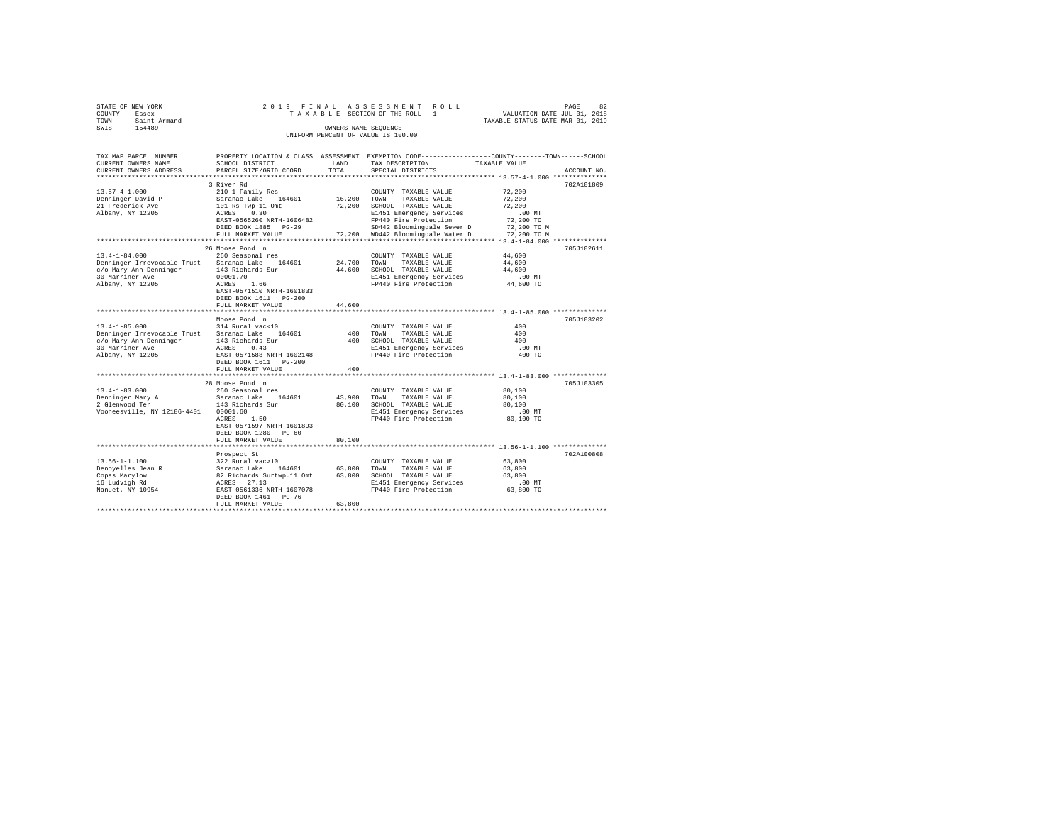| STATE OF NEW YORK   |  |  | 2019 FINAL ASSESSMENT ROLL         |                                  | PAGE | 82 |
|---------------------|--|--|------------------------------------|----------------------------------|------|----|
| COUNTY - Essex      |  |  | TAXABLE SECTION OF THE ROLL - 1    | VALUATION DATE-JUL 01, 2018      |      |    |
| TOWN - Saint Armand |  |  |                                    | TAXABLE STATUS DATE-MAR 01, 2019 |      |    |
| SWIS<br>$-154489$   |  |  | OWNERS NAME SEOUENCE               |                                  |      |    |
|                     |  |  | UNIFORM PERCENT OF VALUE IS 100.00 |                                  |      |    |

| TAX MAP PARCEL NUMBER                           |                                                                                                                  |             |                                                   | PROPERTY LOCATION & CLASS ASSESSMENT EXEMPTION CODE---------------COUNTY-------TOWN-----SCHOOL |
|-------------------------------------------------|------------------------------------------------------------------------------------------------------------------|-------------|---------------------------------------------------|------------------------------------------------------------------------------------------------|
| CURRENT OWNERS NAME                             | SCHOOL DISTRICT                                                                                                  | LAND        | TAX DESCRIPTION                                   | TAXABLE VALUE                                                                                  |
| CURRENT OWNERS ADDRESS                          | PARCEL SIZE/GRID COORD                                                                                           | TOTAL       | SPECIAL DISTRICTS                                 | ACCOUNT NO.                                                                                    |
|                                                 |                                                                                                                  |             |                                                   |                                                                                                |
|                                                 | 3 River Rd                                                                                                       |             |                                                   | 702A101809                                                                                     |
| $13.57 - 4 - 1.000$                             | 210 1 Family Res                                                                                                 |             | COUNTY TAXABLE VALUE                              | 72,200                                                                                         |
| Denninger David P                               | Saranac Lake 164601                                                                                              | 16,200 TOWN | TAXABLE VALUE                                     | 72,200                                                                                         |
| 21 Frederick Ave                                | 101 Rs Twp 11 Omt<br>ACRES 0.30                                                                                  | 72,200      | SCHOOL TAXABLE VALUE                              | 72,200                                                                                         |
| Albany, NY 12205                                |                                                                                                                  |             | E1451 Emergency Services                          | $.00$ MT                                                                                       |
|                                                 | EAST-0565260 NRTH-1606482                                                                                        |             | FP440 Fire Protection                             | 72,200 TO                                                                                      |
|                                                 | DEED BOOK 1885 PG-29                                                                                             |             | SD442 Bloomingdale Sewer D                        | 72,200 TO M                                                                                    |
|                                                 | FULL MARKET VALUE                                                                                                |             | 72,200 WD442 Bloomingdale Water D                 | 72,200 TO M                                                                                    |
|                                                 |                                                                                                                  |             |                                                   |                                                                                                |
|                                                 | 26 Moose Pond Ln                                                                                                 |             |                                                   | 705J102611                                                                                     |
| $13.4 - 1 - 84.000$                             | 260 Seasonal res                                                                                                 |             | COUNTY TAXABLE VALUE                              | 44,600                                                                                         |
| Denninger Irrevocable Trust Saranac Lake 164601 |                                                                                                                  | 24,700 TOWN | TAXABLE VALUE                                     | 44,600                                                                                         |
| c/o Mary Ann Denninger 143 Richards Sur         |                                                                                                                  | 44,600      | SCHOOL TAXABLE VALUE                              | 44,600                                                                                         |
| 30 Marriner Ave                                 | 00001.70                                                                                                         |             |                                                   | $.00$ MT                                                                                       |
| Albany, NY 12205                                | ACRES<br>1.66                                                                                                    |             | E1451 Emergency Services<br>FP440 Fire Protection | 44,600 TO                                                                                      |
|                                                 | EAST-0571510 NRTH-1601833                                                                                        |             |                                                   |                                                                                                |
|                                                 | DEED BOOK 1611 PG-200                                                                                            |             |                                                   |                                                                                                |
|                                                 | FULL MARKET VALUE                                                                                                | 44,600      |                                                   |                                                                                                |
|                                                 |                                                                                                                  |             |                                                   |                                                                                                |
|                                                 | Moose Pond Ln                                                                                                    |             |                                                   | 705J103202                                                                                     |
| $13.4 - 1 - 85.000$                             | 314 Rural vac<10                                                                                                 |             | COUNTY TAXABLE VALUE                              | 400                                                                                            |
| Denninger Irrevocable Trust Saranac Lake        | 164601                                                                                                           | 400         | TOWN<br>TAXABLE VALUE                             | 400                                                                                            |
|                                                 |                                                                                                                  | 400         | SCHOOL TAXABLE VALUE                              | 400                                                                                            |
|                                                 |                                                                                                                  |             | E1451 Emergency Services                          | .00 MT                                                                                         |
|                                                 |                                                                                                                  |             | FP440 Fire Protection                             | 400 TO                                                                                         |
|                                                 | DEED BOOK 1611 PG-200                                                                                            |             |                                                   |                                                                                                |
|                                                 | FULL MARKET VALUE                                                                                                | 400         |                                                   |                                                                                                |
|                                                 |                                                                                                                  |             |                                                   |                                                                                                |
|                                                 | 28 Moose Pond Ln                                                                                                 |             |                                                   | 705J103305                                                                                     |
| $13.4 - 1 - 83.000$                             | 260 Seasonal res                                                                                                 |             | COUNTY TAXABLE VALUE                              | 80,100                                                                                         |
| Denninger Mary A                                | Saranac Lake 164601                                                                                              | 43,900      | TOWN<br>TAXABLE VALUE                             | 80,100                                                                                         |
| 2 Glenwood Ter                                  | 143 Richards Sur                                                                                                 | 80,100      | SCHOOL TAXABLE VALUE                              | 80,100                                                                                         |
| Vooheesville, NY 12186-4401                     | 00001.60                                                                                                         |             | E1451 Emergency Services                          | $.00$ MT                                                                                       |
|                                                 | ACRES<br>1.50                                                                                                    |             | FP440 Fire Protection                             | 80,100 TO                                                                                      |
|                                                 | EAST-0571597 NRTH-1601893                                                                                        |             |                                                   |                                                                                                |
|                                                 | DEED BOOK 1280 PG-60                                                                                             |             |                                                   |                                                                                                |
|                                                 | FULL MARKET VALUE                                                                                                | 80,100      |                                                   |                                                                                                |
|                                                 |                                                                                                                  |             |                                                   |                                                                                                |
|                                                 | Prospect St                                                                                                      |             |                                                   | 702A100808                                                                                     |
| $13.56 - 1 - 1.100$                             | 322 Rural vac>10                                                                                                 |             | COUNTY TAXABLE VALUE                              | 63,800                                                                                         |
| Denoyelles Jean R                               |                                                                                                                  | 63,800 TOWN | TAXABLE VALUE                                     | 63,800                                                                                         |
| Copas Marylow                                   | Szz Kurai varzio<br>Saranac Lake 164601<br>82 Richards Surtwp.11 Omt<br>ACRES 27.13<br>EAST-0561336 NRTH-1607078 |             | 63,800 SCHOOL TAXABLE VALUE                       | 63,800                                                                                         |
| 16 Ludvigh Rd                                   |                                                                                                                  |             | E1451 Emergency Services                          | $.00$ MT                                                                                       |
| Nanuet, NY 10954                                |                                                                                                                  |             | FP440 Fire Protection                             | 63,800 TO                                                                                      |
|                                                 | DEED BOOK 1461 PG-76                                                                                             |             |                                                   |                                                                                                |
|                                                 | FULL MARKET VALUE                                                                                                | 63,800      |                                                   |                                                                                                |
|                                                 |                                                                                                                  |             |                                                   |                                                                                                |
|                                                 |                                                                                                                  |             |                                                   |                                                                                                |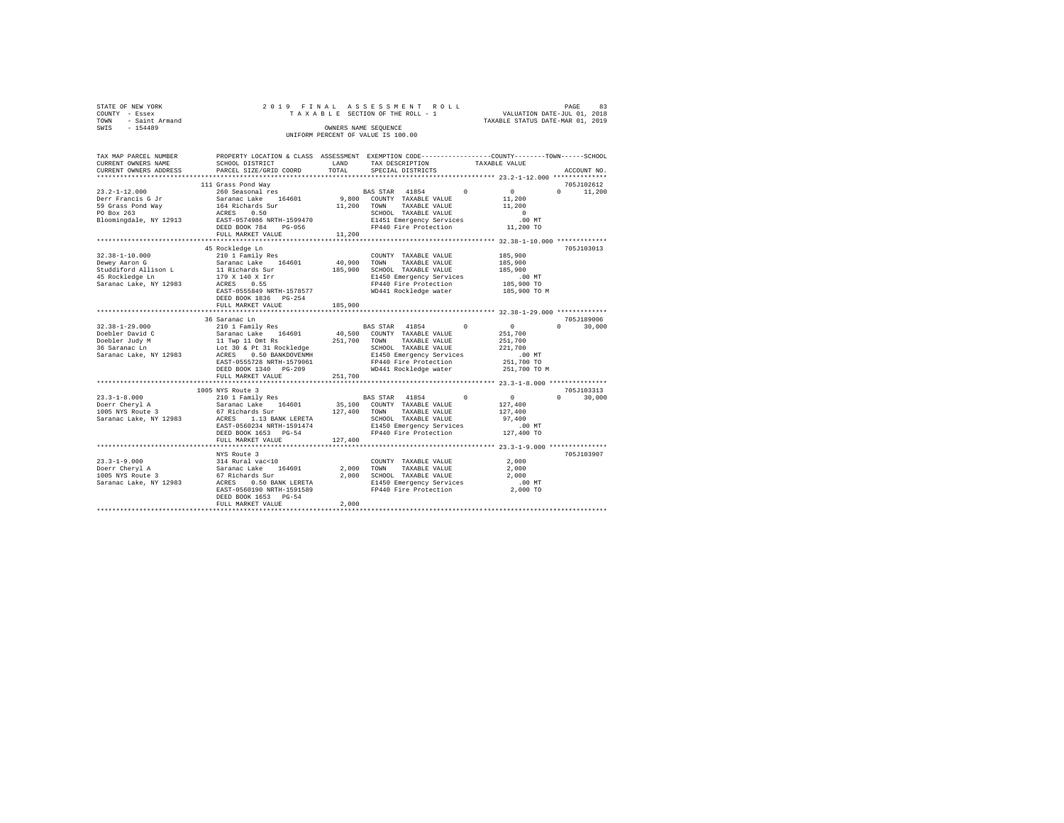| STATE OF NEW YORK   | 2019 FINAL ASSESSMENT ROLL         | PAGE                             | 83 |
|---------------------|------------------------------------|----------------------------------|----|
| COUNTY - Essex      | TAXABLE SECTION OF THE ROLL - 1    | VALUATION DATE-JUL 01, 2018      |    |
| TOWN - Saint Armand |                                    | TAXABLE STATUS DATE-MAR 01, 2019 |    |
| SWIS<br>$-154489$   | OWNERS NAME SEOUENCE               |                                  |    |
|                     | UNIFORM PERCENT OF VALUE IS 100.00 |                                  |    |
|                     |                                    |                                  |    |
|                     |                                    |                                  |    |

| TAX MAP PARCEL NUMBER                         |                           |         | PROPERTY LOCATION & CLASS ASSESSMENT EXEMPTION CODE---------------COUNTY-------TOWN-----SCHOOL                                                                                                                                                                                                                                                                                                       |                            |
|-----------------------------------------------|---------------------------|---------|------------------------------------------------------------------------------------------------------------------------------------------------------------------------------------------------------------------------------------------------------------------------------------------------------------------------------------------------------------------------------------------------------|----------------------------|
| CURRENT OWNERS NAME                           | SCHOOL DISTRICT           | LAND    | TAX DESCRIPTION<br>TAXABLE VALUE                                                                                                                                                                                                                                                                                                                                                                     |                            |
| CURRENT OWNERS ADDRESS PARCEL SIZE/GRID COORD |                           | TOTAL   | SPECIAL DISTRICTS                                                                                                                                                                                                                                                                                                                                                                                    | ACCOUNT NO.                |
|                                               |                           |         |                                                                                                                                                                                                                                                                                                                                                                                                      |                            |
|                                               | 111 Grass Pond Way        |         |                                                                                                                                                                                                                                                                                                                                                                                                      | 705J102612                 |
| $23.2 - 1 - 12.000$                           | 260 Seasonal res          |         | BAS STAR 41854 0 0                                                                                                                                                                                                                                                                                                                                                                                   | $0 \t 11,200$              |
|                                               |                           |         |                                                                                                                                                                                                                                                                                                                                                                                                      |                            |
|                                               |                           |         |                                                                                                                                                                                                                                                                                                                                                                                                      |                            |
|                                               |                           |         |                                                                                                                                                                                                                                                                                                                                                                                                      |                            |
|                                               |                           |         |                                                                                                                                                                                                                                                                                                                                                                                                      |                            |
|                                               |                           |         | E1451 Emergency Services  00 MT<br>FP440 Fire Protection 11,200 TO                                                                                                                                                                                                                                                                                                                                   |                            |
|                                               | FULL MARKET VALUE         | 11,200  |                                                                                                                                                                                                                                                                                                                                                                                                      |                            |
|                                               |                           |         |                                                                                                                                                                                                                                                                                                                                                                                                      |                            |
|                                               | 45 Rockledge Ln           |         |                                                                                                                                                                                                                                                                                                                                                                                                      | 705J103013                 |
|                                               | 210 1 Family Res          |         | COUNTY TAXABLE VALUE                                                                                                                                                                                                                                                                                                                                                                                 | 185,900<br>185,900         |
| 32.38-1-10.000<br>Dewey Aaron G               |                           |         |                                                                                                                                                                                                                                                                                                                                                                                                      |                            |
|                                               |                           |         |                                                                                                                                                                                                                                                                                                                                                                                                      |                            |
|                                               |                           |         | 32.18-1-10.000 2010 210 1 Family Res (1960) 2000 2000 2000 2000 2012 18,900 2012<br>Dewey Aaron G – Saranac Lake 164601 40,900 TOWN TAXABLE VALUE 185,900<br>Studdiford Allieon I – 11 Richards Sur – 185,900 201000 7AXABLE VALUE 1                                                                                                                                                                 | .00 MT                     |
| Saranac Lake, NY 12983 ACRES 0.55             |                           |         |                                                                                                                                                                                                                                                                                                                                                                                                      |                            |
|                                               | EAST-0555849 NRTH-1578577 |         | E1450 Emergency Services<br>FP440 Fire Protection<br>WD441 Rockledge water                                                                                                                                                                                                                                                                                                                           | 185,900 TO<br>185,900 TO M |
|                                               | DEED BOOK 1836 PG-254     |         |                                                                                                                                                                                                                                                                                                                                                                                                      |                            |
|                                               | FULL MARKET VALUE         | 185,900 |                                                                                                                                                                                                                                                                                                                                                                                                      |                            |
|                                               |                           |         |                                                                                                                                                                                                                                                                                                                                                                                                      |                            |
|                                               | 36 Saranac Ln             |         |                                                                                                                                                                                                                                                                                                                                                                                                      | 705J189006                 |
|                                               |                           |         |                                                                                                                                                                                                                                                                                                                                                                                                      | $\sim$ 0<br>$0 \t 30,000$  |
|                                               |                           |         | $\begin{array}{cccc} 32.38\texttt{-}1\texttt{-}29.000 & \texttt{210} & \texttt{210} & \texttt{Family Res} & \texttt{BAS} & \texttt{STAR} & 41854 & 0 \\ \texttt{Doebler~David C} & 210 & 1 & \texttt{Family Res} & 164601 & 40,500 & \texttt{COMINT} & \texttt{TXABLE~VALUE} & 251,700 \\ \texttt{Doebler~Judy~M} & 11 & \texttt{Typ~I10mt~Rs} & 251,700 & \texttt{TOWN} & \texttt{TXABLE~VALUE} & $ |                            |
|                                               |                           |         |                                                                                                                                                                                                                                                                                                                                                                                                      |                            |
|                                               |                           |         |                                                                                                                                                                                                                                                                                                                                                                                                      |                            |
|                                               |                           |         |                                                                                                                                                                                                                                                                                                                                                                                                      | $.00$ MT                   |
|                                               |                           |         |                                                                                                                                                                                                                                                                                                                                                                                                      | 251,700 TO                 |
|                                               | DEED BOOK 1340 PG-209     |         | WD441 Rockledge water                                                                                                                                                                                                                                                                                                                                                                                | 251,700 TO M               |
|                                               | FULL MARKET VALUE         | 251,700 |                                                                                                                                                                                                                                                                                                                                                                                                      |                            |
|                                               |                           |         |                                                                                                                                                                                                                                                                                                                                                                                                      |                            |
|                                               | 1005 NYS Route 3          |         |                                                                                                                                                                                                                                                                                                                                                                                                      | 705J103313                 |
|                                               |                           |         |                                                                                                                                                                                                                                                                                                                                                                                                      | $0 \t 30,000$              |
|                                               |                           |         |                                                                                                                                                                                                                                                                                                                                                                                                      |                            |
|                                               |                           |         |                                                                                                                                                                                                                                                                                                                                                                                                      |                            |
|                                               |                           |         |                                                                                                                                                                                                                                                                                                                                                                                                      |                            |
|                                               |                           |         |                                                                                                                                                                                                                                                                                                                                                                                                      |                            |
|                                               | DEED BOOK 1653 PG-54      |         |                                                                                                                                                                                                                                                                                                                                                                                                      |                            |
|                                               | FULL MARKET VALUE         | 127,400 |                                                                                                                                                                                                                                                                                                                                                                                                      |                            |
|                                               | ************************  |         | ********************************* 23.3-1-9.000 *****************                                                                                                                                                                                                                                                                                                                                     |                            |
|                                               | NYS Route 3               |         |                                                                                                                                                                                                                                                                                                                                                                                                      | 705J103907                 |
|                                               |                           |         |                                                                                                                                                                                                                                                                                                                                                                                                      |                            |
|                                               |                           |         |                                                                                                                                                                                                                                                                                                                                                                                                      |                            |
|                                               |                           |         |                                                                                                                                                                                                                                                                                                                                                                                                      |                            |
|                                               |                           |         |                                                                                                                                                                                                                                                                                                                                                                                                      |                            |
|                                               |                           |         |                                                                                                                                                                                                                                                                                                                                                                                                      |                            |
|                                               | DEED BOOK 1653 PG-54      |         |                                                                                                                                                                                                                                                                                                                                                                                                      |                            |
|                                               | FULL MARKET VALUE         | 2,000   |                                                                                                                                                                                                                                                                                                                                                                                                      |                            |
|                                               |                           |         |                                                                                                                                                                                                                                                                                                                                                                                                      |                            |
|                                               |                           |         |                                                                                                                                                                                                                                                                                                                                                                                                      |                            |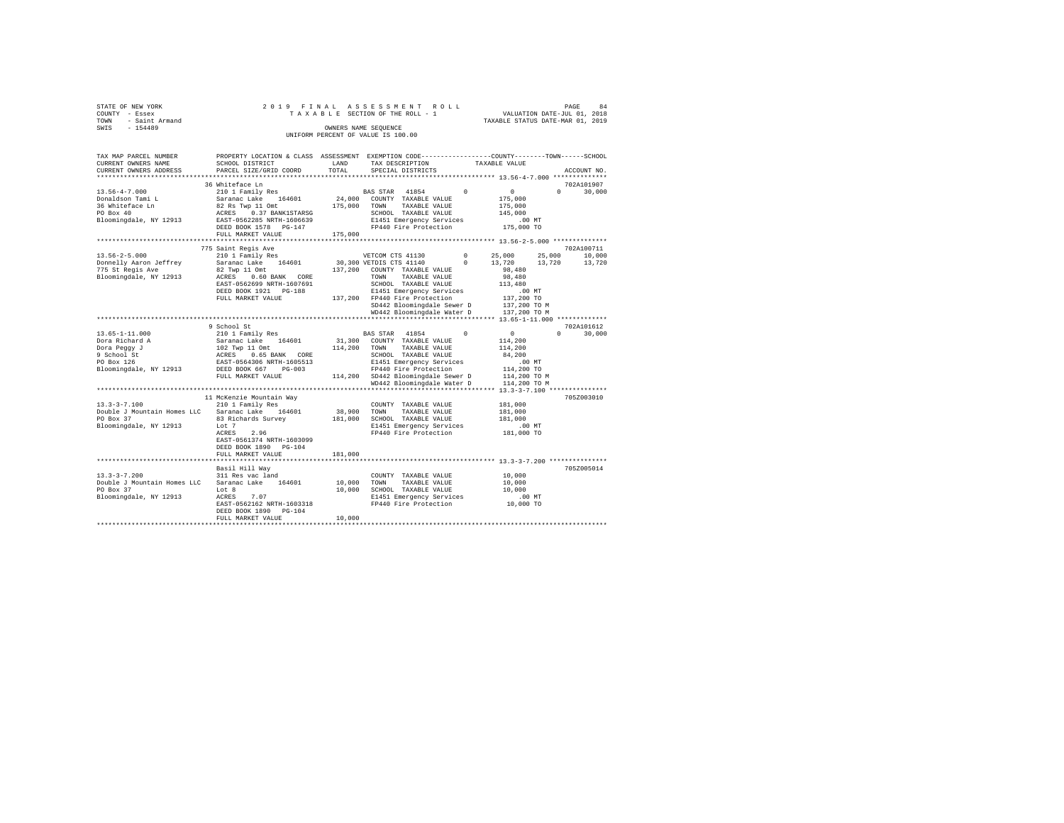| STATE OF NEW YORK      |  |  |  |  | 2019 FINAL ASSESSMENT ROLL         |  |  |  |                                  |                             | PAGE | 84 |
|------------------------|--|--|--|--|------------------------------------|--|--|--|----------------------------------|-----------------------------|------|----|
| COUNTY - Essex         |  |  |  |  | TAXABLE SECTION OF THE ROLL - 1    |  |  |  |                                  | VALUATION DATE-JUL 01, 2018 |      |    |
| - Saint Armand<br>TOWN |  |  |  |  |                                    |  |  |  | TAXABLE STATUS DATE-MAR 01, 2019 |                             |      |    |
| SWTS<br>$-154489$      |  |  |  |  | OWNERS NAME SEOUENCE               |  |  |  |                                  |                             |      |    |
|                        |  |  |  |  | UNIFORM PERCENT OF VALUE IS 100.00 |  |  |  |                                  |                             |      |    |

| TAX MAP PARCEL NUMBER<br>CURRENT OWNERS NAME    | PROPERTY LOCATION & CLASS ASSESSMENT EXEMPTION CODE---------------COUNTY-------TOWN-----SCHOOL<br>SCHOOL DISTRICT                         | LAND        | TAX DESCRIPTION                                         |          | TAXABLE VALUE                   |                                 |
|-------------------------------------------------|-------------------------------------------------------------------------------------------------------------------------------------------|-------------|---------------------------------------------------------|----------|---------------------------------|---------------------------------|
| CURRENT OWNERS ADDRESS                          | PARCEL SIZE/GRID COORD                                                                                                                    | TOTAL       | SPECIAL DISTRICTS                                       |          |                                 | ACCOUNT NO.                     |
|                                                 | 36 Whiteface Ln                                                                                                                           |             |                                                         |          |                                 | 702A101907                      |
| $13.56 - 4 - 7.000$                             | 210 1 Family Res                                                                                                                          |             | BAS STAR 41854                                          | $\Omega$ | $\sim$ 0                        | $\Omega$ and $\Omega$<br>30,000 |
| Donaldson Tami L                                | Saranac Lake 164601 24,000<br>82 Rs Twp 11 Omt 175,000<br>82 Rs Twp 11 Omt 175,000<br>ACRES 0.37 BANK1STARSG<br>EAST-0562285 NRTH-1606639 |             | 24,000 COUNTY TAXABLE VALUE                             |          | 175,000                         |                                 |
| 36 Whiteface Ln                                 |                                                                                                                                           |             | 175,000 TOWN TAXABLE VALUE                              |          | 175,000                         |                                 |
| PO Box 40                                       |                                                                                                                                           |             | SCHOOL TAXABLE VALUE                                    |          | 145,000                         |                                 |
| Bloomingdale, NY 12913                          |                                                                                                                                           |             | E1451 Emergency Services                                |          | $.00$ MT                        |                                 |
|                                                 | DEED BOOK 1578 PG-147                                                                                                                     |             | FP440 Fire Protection                                   |          | 175,000 TO                      |                                 |
|                                                 | FULL MARKET VALUE                                                                                                                         | 175,000     |                                                         |          |                                 |                                 |
|                                                 |                                                                                                                                           |             |                                                         |          |                                 |                                 |
|                                                 | 775 Saint Regis Ave                                                                                                                       |             |                                                         |          |                                 | 702A100711                      |
| $13.56 - 2 - 5.000$                             | 210 1 Family Res                                                                                                                          |             | VETCOM CTS 41130                                        |          | $0 \t 25,000 \t 25,000$         | 10,000                          |
| Donnelly Aaron Jeffrey                          | Saranac Lake 164601                                                                                                                       |             | 30,300 VETDIS CTS 41140                                 |          | $0 \qquad 13,720 \qquad 13,720$ | 13,720                          |
| 775 St Regis Ave                                | 82 Twp 11 Omt                                                                                                                             |             | 137,200 COUNTY TAXABLE VALUE                            |          | 98,480                          |                                 |
| Bloomingdale, NY 12913                          | ACRES 0.60 BANK CORE                                                                                                                      |             | TOWN TAXABLE VALUE                                      |          | 98,480                          |                                 |
|                                                 | EAST-0562699 NRTH-1607691                                                                                                                 |             | SCHOOL TAXABLE VALUE                                    |          | 113,480                         |                                 |
|                                                 | DEED BOOK 1921 PG-188                                                                                                                     |             | E1451 Emergency Services                                |          | $.00$ MT                        |                                 |
|                                                 | FULL MARKET VALUE                                                                                                                         |             | 137,200 FP440 Fire Protection                           |          | 137,200 TO                      |                                 |
|                                                 |                                                                                                                                           |             | SD442 Bloomingdale Sewer D 137,200 TO M                 |          |                                 |                                 |
|                                                 |                                                                                                                                           |             | WD442 Bloomingdale Water D                              |          | 137,200 TO M                    |                                 |
|                                                 | .                                                                                                                                         |             |                                                         |          |                                 |                                 |
|                                                 | 9 School St                                                                                                                               |             |                                                         |          |                                 | 702A101612                      |
| $13.65 - 1 - 11.000$                            | 210 1 Family Res                                                                                                                          |             | BAS STAR 41854                                          | $\Omega$ | $\sim$ 0                        | $\Omega$<br>30,000              |
| Dora Richard A                                  | Saranac Lake 164601 31,300<br>102 Twp 11 Omt 104,200<br>ACRES 0.65 BANK CORE<br>EAST-0564306 NRTH-1605513                                 |             | 31,300 COUNTY TAXABLE VALUE                             |          | 114,200                         |                                 |
| Dora Peqqy J                                    |                                                                                                                                           |             | 114,200 TOWN TAXABLE VALUE                              |          | 114,200                         |                                 |
| 9 School St                                     |                                                                                                                                           |             | SCHOOL TAXABLE VALUE                                    |          | 84,200                          |                                 |
| PO Box 126                                      |                                                                                                                                           |             | E1451 Emergency Services                                |          | $.00$ MT                        |                                 |
| Bloomingdale, NY 12913 DEED BOOK 667            | $PG-003$                                                                                                                                  |             | FP440 Fire Protection                                   |          | 114,200 TO                      |                                 |
|                                                 | FULL MARKET VALUE                                                                                                                         |             | 114,200 SD442 Bloomingdale Sewer D                      |          | 114,200 TO M                    |                                 |
|                                                 |                                                                                                                                           |             | WD442 Bloomingdale Water D                              |          | 114,200 TO M                    |                                 |
|                                                 |                                                                                                                                           |             |                                                         |          |                                 |                                 |
|                                                 | 11 McKenzie Mountain Way                                                                                                                  |             |                                                         |          |                                 | 705Z003010                      |
| $13.3 - 3 - 7.100$                              | 210 1 Family Res                                                                                                                          |             | COUNTY TAXABLE VALUE                                    |          | 181,000                         |                                 |
| Double J Mountain Homes LLC Saranac Lake 164601 |                                                                                                                                           | 38,900 TOWN | TAXABLE VALUE                                           |          | 181,000                         |                                 |
| PO Box 37                                       | 83 Richards Survey                                                                                                                        |             | 181,000 SCHOOL TAXABLE VALUE                            |          | 181,000                         |                                 |
| Bloomingdale, NY 12913                          | Lot 7<br>2.96                                                                                                                             |             | E1451 Emergency Services                                |          | $.00$ MT                        |                                 |
|                                                 | ACRES                                                                                                                                     |             | FP440 Fire Protection                                   |          | 181,000 TO                      |                                 |
|                                                 | EAST-0561374 NRTH-1603099                                                                                                                 |             |                                                         |          |                                 |                                 |
|                                                 | DEED BOOK 1890 PG-104                                                                                                                     |             |                                                         |          |                                 |                                 |
|                                                 | FULL MARKET VALUE                                                                                                                         | 181,000     |                                                         |          |                                 |                                 |
|                                                 |                                                                                                                                           |             |                                                         |          |                                 |                                 |
| $13.3 - 3 - 7.200$                              | Basil Hill Way<br>311 Res vac land                                                                                                        |             |                                                         |          |                                 | 705Z005014                      |
| Double J Mountain Homes LLC Saranac Lake 164601 |                                                                                                                                           |             | COUNTY TAXABLE VALUE<br>10,000 TOWN TAXABLE VALUE       |          | 10,000<br>10,000                |                                 |
| PO Box 37                                       |                                                                                                                                           |             |                                                         |          | 10,000                          |                                 |
| Bloomingdale, NY 12913                          | $ACRES$ 7.07                                                                                                                              |             | 10,000 SCHOOL TAXABLE VALUE<br>E1451 Emergency Services |          | $.00$ MT                        |                                 |
|                                                 | EAST-0562162 NRTH-1603318 FP440 Fire Protection                                                                                           |             |                                                         |          | 10,000 TO                       |                                 |
|                                                 | DEED BOOK 1890 PG-104                                                                                                                     |             |                                                         |          |                                 |                                 |
|                                                 | FULL MARKET VALUE                                                                                                                         | 10,000      |                                                         |          |                                 |                                 |
|                                                 |                                                                                                                                           |             |                                                         |          |                                 |                                 |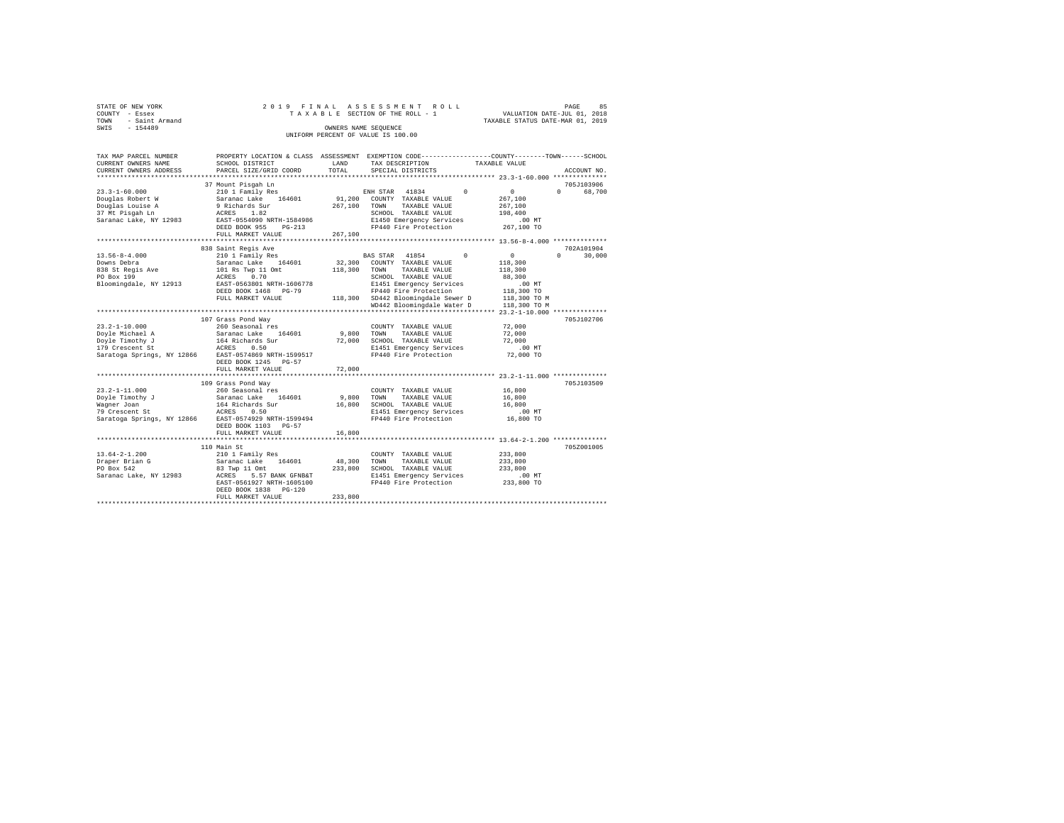| STATE OF NEW YORK   | 2019 FINAL ASSESSMENT ROLL         | PAGE                             | 85 |
|---------------------|------------------------------------|----------------------------------|----|
| COUNTY - Essex      | TAXABLE SECTION OF THE ROLL - 1    | VALUATION DATE-JUL 01, 2018      |    |
| TOWN - Saint Armand |                                    | TAXABLE STATUS DATE-MAR 01, 2019 |    |
| SWIS<br>$-154489$   | OWNERS NAME SEOUENCE               |                                  |    |
|                     | UNIFORM PERCENT OF VALUE IS 100.00 |                                  |    |

| 37 Mount Pisqah Ln<br>705J103906<br>$23.3 - 1 - 60.000$<br>$\Omega$<br>$\sim$ 0<br>210 1 Family Res<br>ENH STAR 41834<br>$\Omega$<br>Saranac Lake 164601<br>91,200<br>267,100<br>Douglas Robert W<br>COUNTY TAXABLE VALUE<br>Douglas Louise A<br>9 Richards Sur<br>267,100<br>TAXABLE VALUE<br>267,100<br>TOWN<br>37 Mt Pisgah Ln<br>ACRES 1.82<br>SCHOOL TAXABLE VALUE<br>198,400<br>Saranac Lake, NY 12983<br>EAST-0554090 NRTH-1584986<br>E1450 Emergency Services<br>.00 MT<br>FP440 Fire Protection<br>267,100 TO<br>$PG-213$<br>DEED BOOK 955<br>267,100<br>FULL MARKET VALUE<br>838 Saint Regis Ave<br>$\circ$<br>$13.56 - 8 - 4.000$<br>210 1 Family Res<br>BAS STAR 41854<br>$\Omega$<br>$\Omega$<br>32,300<br>Downs Debra<br>Saranac Lake 164601<br>COUNTY TAXABLE VALUE<br>118,300<br>TAXABLE VALUE<br>838 St Regis Ave<br>101 Rs Twp 11 Omt<br>118,300<br>TOWN<br>118,300<br>PO Box 199<br>0.70<br>88,300<br>ACRES<br>SCHOOL TAXABLE VALUE<br>Bloomingdale, NY 12913<br>EAST-0563801 NRTH-1606778<br>E1451 Emergency Services<br>.00 MT<br>FP440 Fire Protection<br>DEED BOOK 1468 PG-79<br>118,300 TO<br>118,300 SD442 Bloomingdale Sewer D<br>FULL MARKET VALUE<br>118,300 TO M<br>WD442 Bloomingdale Water D<br>118,300 TO M<br>107 Grass Pond Way<br>$23.2 - 1 - 10.000$<br>72,000<br>260 Seasonal res<br>COUNTY TAXABLE VALUE<br>Doyle Michael A<br>164601<br>9,800<br>72,000<br>Saranac Lake<br>TOWN<br>TAXABLE VALUE<br>Doyle Timothy J<br>164 Richards Sur<br>72,000<br>SCHOOL TAXABLE VALUE<br>72,000<br>179 Crescent St<br>E1451 Emergency Services<br>.00MT<br>ACRES<br>0.50<br>Saratoga Springs, NY 12866 EAST-0574869 NRTH-1599517<br>FP440 Fire Protection<br>72,000 TO<br>DEED BOOK 1245<br>$PG-57$<br>72,000<br>FULL MARKET VALUE<br>*********************************<br>*************<br>******************************** 23.2-1-11.000 **************<br>705J103509<br>109 Grass Pond Wav<br>260 Seasonal res<br>$23.2 - 1 - 11.000$<br>COUNTY TAXABLE VALUE<br>16,800<br>Doyle Timothy J<br>Saranac Lake 164601<br>9,800<br>TOWN<br>16,800<br>TAXABLE VALUE<br>16,800<br>SCHOOL TAXABLE VALUE<br>Waqner Joan<br>164 Richards Sur<br>16,800<br>${\tt ACKES}$<br>79 Crescent St<br>0.50<br>E1451 Emergency Services<br>$.00$ MT<br>FP440 Fire Protection<br>16,800 TO<br>Saratoga Springs, NY 12866 EAST-0574929 NRTH-1599494<br>DEED BOOK 1103 PG-57<br>FULL MARKET VALUE<br>16,800<br>*********************************** 13.64-2-1.200 **************<br>********************<br>705Z001005<br>110 Main St<br>$13.64 - 2 - 1.200$<br>210 1 Family Res<br>233,800<br>COUNTY TAXABLE VALUE<br>48,300<br>Draper Brian G<br>Saranac Lake<br>164601<br>TOWN<br>TAXABLE VALUE<br>233,800<br>233,800<br>PO Box 542<br>83 Twp 11 Omt<br>SCHOOL TAXABLE VALUE<br>233,800<br>Saranac Lake, NY 12983<br>E1451 Emergency Services<br>ACRES<br>5.57 BANK GFNB&T<br>$.00$ MT<br>EAST-0561927 NRTH-1605100<br>FP440 Fire Protection<br>233,800 TO<br>DEED BOOK 1838 PG-120<br>233,800<br>FULL MARKET VALUE | TAX MAP PARCEL NUMBER<br>CURRENT OWNERS NAME<br>CURRENT OWNERS ADDRESS | SCHOOL DISTRICT<br>PARCEL SIZE/GRID COORD | LAND<br>TOTAL | PROPERTY LOCATION & CLASS ASSESSMENT EXEMPTION CODE---------------COUNTY-------TOWN-----SCHOOL<br>TAX DESCRIPTION<br>SPECIAL DISTRICTS | TAXABLE VALUE | ACCOUNT NO. |
|------------------------------------------------------------------------------------------------------------------------------------------------------------------------------------------------------------------------------------------------------------------------------------------------------------------------------------------------------------------------------------------------------------------------------------------------------------------------------------------------------------------------------------------------------------------------------------------------------------------------------------------------------------------------------------------------------------------------------------------------------------------------------------------------------------------------------------------------------------------------------------------------------------------------------------------------------------------------------------------------------------------------------------------------------------------------------------------------------------------------------------------------------------------------------------------------------------------------------------------------------------------------------------------------------------------------------------------------------------------------------------------------------------------------------------------------------------------------------------------------------------------------------------------------------------------------------------------------------------------------------------------------------------------------------------------------------------------------------------------------------------------------------------------------------------------------------------------------------------------------------------------------------------------------------------------------------------------------------------------------------------------------------------------------------------------------------------------------------------------------------------------------------------------------------------------------------------------------------------------------------------------------------------------------------------------------------------------------------------------------------------------------------------------------------------------------------------------------------------------------------------------------------------------------------------------------------------------------------------------------------------------------------------------------------------------------------------------------------------------------------------------------------------------------------------------------------------------------------------------------------------------------------------------------------------------------------------------------------------------------------------------------------|------------------------------------------------------------------------|-------------------------------------------|---------------|----------------------------------------------------------------------------------------------------------------------------------------|---------------|-------------|
|                                                                                                                                                                                                                                                                                                                                                                                                                                                                                                                                                                                                                                                                                                                                                                                                                                                                                                                                                                                                                                                                                                                                                                                                                                                                                                                                                                                                                                                                                                                                                                                                                                                                                                                                                                                                                                                                                                                                                                                                                                                                                                                                                                                                                                                                                                                                                                                                                                                                                                                                                                                                                                                                                                                                                                                                                                                                                                                                                                                                                              |                                                                        |                                           |               |                                                                                                                                        |               |             |
|                                                                                                                                                                                                                                                                                                                                                                                                                                                                                                                                                                                                                                                                                                                                                                                                                                                                                                                                                                                                                                                                                                                                                                                                                                                                                                                                                                                                                                                                                                                                                                                                                                                                                                                                                                                                                                                                                                                                                                                                                                                                                                                                                                                                                                                                                                                                                                                                                                                                                                                                                                                                                                                                                                                                                                                                                                                                                                                                                                                                                              |                                                                        |                                           |               |                                                                                                                                        |               |             |
|                                                                                                                                                                                                                                                                                                                                                                                                                                                                                                                                                                                                                                                                                                                                                                                                                                                                                                                                                                                                                                                                                                                                                                                                                                                                                                                                                                                                                                                                                                                                                                                                                                                                                                                                                                                                                                                                                                                                                                                                                                                                                                                                                                                                                                                                                                                                                                                                                                                                                                                                                                                                                                                                                                                                                                                                                                                                                                                                                                                                                              |                                                                        |                                           |               |                                                                                                                                        |               | 68,700      |
|                                                                                                                                                                                                                                                                                                                                                                                                                                                                                                                                                                                                                                                                                                                                                                                                                                                                                                                                                                                                                                                                                                                                                                                                                                                                                                                                                                                                                                                                                                                                                                                                                                                                                                                                                                                                                                                                                                                                                                                                                                                                                                                                                                                                                                                                                                                                                                                                                                                                                                                                                                                                                                                                                                                                                                                                                                                                                                                                                                                                                              |                                                                        |                                           |               |                                                                                                                                        |               |             |
|                                                                                                                                                                                                                                                                                                                                                                                                                                                                                                                                                                                                                                                                                                                                                                                                                                                                                                                                                                                                                                                                                                                                                                                                                                                                                                                                                                                                                                                                                                                                                                                                                                                                                                                                                                                                                                                                                                                                                                                                                                                                                                                                                                                                                                                                                                                                                                                                                                                                                                                                                                                                                                                                                                                                                                                                                                                                                                                                                                                                                              |                                                                        |                                           |               |                                                                                                                                        |               |             |
|                                                                                                                                                                                                                                                                                                                                                                                                                                                                                                                                                                                                                                                                                                                                                                                                                                                                                                                                                                                                                                                                                                                                                                                                                                                                                                                                                                                                                                                                                                                                                                                                                                                                                                                                                                                                                                                                                                                                                                                                                                                                                                                                                                                                                                                                                                                                                                                                                                                                                                                                                                                                                                                                                                                                                                                                                                                                                                                                                                                                                              |                                                                        |                                           |               |                                                                                                                                        |               |             |
|                                                                                                                                                                                                                                                                                                                                                                                                                                                                                                                                                                                                                                                                                                                                                                                                                                                                                                                                                                                                                                                                                                                                                                                                                                                                                                                                                                                                                                                                                                                                                                                                                                                                                                                                                                                                                                                                                                                                                                                                                                                                                                                                                                                                                                                                                                                                                                                                                                                                                                                                                                                                                                                                                                                                                                                                                                                                                                                                                                                                                              |                                                                        |                                           |               |                                                                                                                                        |               |             |
|                                                                                                                                                                                                                                                                                                                                                                                                                                                                                                                                                                                                                                                                                                                                                                                                                                                                                                                                                                                                                                                                                                                                                                                                                                                                                                                                                                                                                                                                                                                                                                                                                                                                                                                                                                                                                                                                                                                                                                                                                                                                                                                                                                                                                                                                                                                                                                                                                                                                                                                                                                                                                                                                                                                                                                                                                                                                                                                                                                                                                              |                                                                        |                                           |               |                                                                                                                                        |               |             |
|                                                                                                                                                                                                                                                                                                                                                                                                                                                                                                                                                                                                                                                                                                                                                                                                                                                                                                                                                                                                                                                                                                                                                                                                                                                                                                                                                                                                                                                                                                                                                                                                                                                                                                                                                                                                                                                                                                                                                                                                                                                                                                                                                                                                                                                                                                                                                                                                                                                                                                                                                                                                                                                                                                                                                                                                                                                                                                                                                                                                                              |                                                                        |                                           |               |                                                                                                                                        |               |             |
|                                                                                                                                                                                                                                                                                                                                                                                                                                                                                                                                                                                                                                                                                                                                                                                                                                                                                                                                                                                                                                                                                                                                                                                                                                                                                                                                                                                                                                                                                                                                                                                                                                                                                                                                                                                                                                                                                                                                                                                                                                                                                                                                                                                                                                                                                                                                                                                                                                                                                                                                                                                                                                                                                                                                                                                                                                                                                                                                                                                                                              |                                                                        |                                           |               |                                                                                                                                        |               |             |
|                                                                                                                                                                                                                                                                                                                                                                                                                                                                                                                                                                                                                                                                                                                                                                                                                                                                                                                                                                                                                                                                                                                                                                                                                                                                                                                                                                                                                                                                                                                                                                                                                                                                                                                                                                                                                                                                                                                                                                                                                                                                                                                                                                                                                                                                                                                                                                                                                                                                                                                                                                                                                                                                                                                                                                                                                                                                                                                                                                                                                              |                                                                        |                                           |               |                                                                                                                                        |               | 702A101904  |
|                                                                                                                                                                                                                                                                                                                                                                                                                                                                                                                                                                                                                                                                                                                                                                                                                                                                                                                                                                                                                                                                                                                                                                                                                                                                                                                                                                                                                                                                                                                                                                                                                                                                                                                                                                                                                                                                                                                                                                                                                                                                                                                                                                                                                                                                                                                                                                                                                                                                                                                                                                                                                                                                                                                                                                                                                                                                                                                                                                                                                              |                                                                        |                                           |               |                                                                                                                                        |               | 30,000      |
|                                                                                                                                                                                                                                                                                                                                                                                                                                                                                                                                                                                                                                                                                                                                                                                                                                                                                                                                                                                                                                                                                                                                                                                                                                                                                                                                                                                                                                                                                                                                                                                                                                                                                                                                                                                                                                                                                                                                                                                                                                                                                                                                                                                                                                                                                                                                                                                                                                                                                                                                                                                                                                                                                                                                                                                                                                                                                                                                                                                                                              |                                                                        |                                           |               |                                                                                                                                        |               |             |
|                                                                                                                                                                                                                                                                                                                                                                                                                                                                                                                                                                                                                                                                                                                                                                                                                                                                                                                                                                                                                                                                                                                                                                                                                                                                                                                                                                                                                                                                                                                                                                                                                                                                                                                                                                                                                                                                                                                                                                                                                                                                                                                                                                                                                                                                                                                                                                                                                                                                                                                                                                                                                                                                                                                                                                                                                                                                                                                                                                                                                              |                                                                        |                                           |               |                                                                                                                                        |               |             |
|                                                                                                                                                                                                                                                                                                                                                                                                                                                                                                                                                                                                                                                                                                                                                                                                                                                                                                                                                                                                                                                                                                                                                                                                                                                                                                                                                                                                                                                                                                                                                                                                                                                                                                                                                                                                                                                                                                                                                                                                                                                                                                                                                                                                                                                                                                                                                                                                                                                                                                                                                                                                                                                                                                                                                                                                                                                                                                                                                                                                                              |                                                                        |                                           |               |                                                                                                                                        |               |             |
|                                                                                                                                                                                                                                                                                                                                                                                                                                                                                                                                                                                                                                                                                                                                                                                                                                                                                                                                                                                                                                                                                                                                                                                                                                                                                                                                                                                                                                                                                                                                                                                                                                                                                                                                                                                                                                                                                                                                                                                                                                                                                                                                                                                                                                                                                                                                                                                                                                                                                                                                                                                                                                                                                                                                                                                                                                                                                                                                                                                                                              |                                                                        |                                           |               |                                                                                                                                        |               |             |
|                                                                                                                                                                                                                                                                                                                                                                                                                                                                                                                                                                                                                                                                                                                                                                                                                                                                                                                                                                                                                                                                                                                                                                                                                                                                                                                                                                                                                                                                                                                                                                                                                                                                                                                                                                                                                                                                                                                                                                                                                                                                                                                                                                                                                                                                                                                                                                                                                                                                                                                                                                                                                                                                                                                                                                                                                                                                                                                                                                                                                              |                                                                        |                                           |               |                                                                                                                                        |               |             |
|                                                                                                                                                                                                                                                                                                                                                                                                                                                                                                                                                                                                                                                                                                                                                                                                                                                                                                                                                                                                                                                                                                                                                                                                                                                                                                                                                                                                                                                                                                                                                                                                                                                                                                                                                                                                                                                                                                                                                                                                                                                                                                                                                                                                                                                                                                                                                                                                                                                                                                                                                                                                                                                                                                                                                                                                                                                                                                                                                                                                                              |                                                                        |                                           |               |                                                                                                                                        |               |             |
|                                                                                                                                                                                                                                                                                                                                                                                                                                                                                                                                                                                                                                                                                                                                                                                                                                                                                                                                                                                                                                                                                                                                                                                                                                                                                                                                                                                                                                                                                                                                                                                                                                                                                                                                                                                                                                                                                                                                                                                                                                                                                                                                                                                                                                                                                                                                                                                                                                                                                                                                                                                                                                                                                                                                                                                                                                                                                                                                                                                                                              |                                                                        |                                           |               |                                                                                                                                        |               |             |
|                                                                                                                                                                                                                                                                                                                                                                                                                                                                                                                                                                                                                                                                                                                                                                                                                                                                                                                                                                                                                                                                                                                                                                                                                                                                                                                                                                                                                                                                                                                                                                                                                                                                                                                                                                                                                                                                                                                                                                                                                                                                                                                                                                                                                                                                                                                                                                                                                                                                                                                                                                                                                                                                                                                                                                                                                                                                                                                                                                                                                              |                                                                        |                                           |               |                                                                                                                                        |               |             |
|                                                                                                                                                                                                                                                                                                                                                                                                                                                                                                                                                                                                                                                                                                                                                                                                                                                                                                                                                                                                                                                                                                                                                                                                                                                                                                                                                                                                                                                                                                                                                                                                                                                                                                                                                                                                                                                                                                                                                                                                                                                                                                                                                                                                                                                                                                                                                                                                                                                                                                                                                                                                                                                                                                                                                                                                                                                                                                                                                                                                                              |                                                                        |                                           |               |                                                                                                                                        |               | 705J102706  |
|                                                                                                                                                                                                                                                                                                                                                                                                                                                                                                                                                                                                                                                                                                                                                                                                                                                                                                                                                                                                                                                                                                                                                                                                                                                                                                                                                                                                                                                                                                                                                                                                                                                                                                                                                                                                                                                                                                                                                                                                                                                                                                                                                                                                                                                                                                                                                                                                                                                                                                                                                                                                                                                                                                                                                                                                                                                                                                                                                                                                                              |                                                                        |                                           |               |                                                                                                                                        |               |             |
|                                                                                                                                                                                                                                                                                                                                                                                                                                                                                                                                                                                                                                                                                                                                                                                                                                                                                                                                                                                                                                                                                                                                                                                                                                                                                                                                                                                                                                                                                                                                                                                                                                                                                                                                                                                                                                                                                                                                                                                                                                                                                                                                                                                                                                                                                                                                                                                                                                                                                                                                                                                                                                                                                                                                                                                                                                                                                                                                                                                                                              |                                                                        |                                           |               |                                                                                                                                        |               |             |
|                                                                                                                                                                                                                                                                                                                                                                                                                                                                                                                                                                                                                                                                                                                                                                                                                                                                                                                                                                                                                                                                                                                                                                                                                                                                                                                                                                                                                                                                                                                                                                                                                                                                                                                                                                                                                                                                                                                                                                                                                                                                                                                                                                                                                                                                                                                                                                                                                                                                                                                                                                                                                                                                                                                                                                                                                                                                                                                                                                                                                              |                                                                        |                                           |               |                                                                                                                                        |               |             |
|                                                                                                                                                                                                                                                                                                                                                                                                                                                                                                                                                                                                                                                                                                                                                                                                                                                                                                                                                                                                                                                                                                                                                                                                                                                                                                                                                                                                                                                                                                                                                                                                                                                                                                                                                                                                                                                                                                                                                                                                                                                                                                                                                                                                                                                                                                                                                                                                                                                                                                                                                                                                                                                                                                                                                                                                                                                                                                                                                                                                                              |                                                                        |                                           |               |                                                                                                                                        |               |             |
|                                                                                                                                                                                                                                                                                                                                                                                                                                                                                                                                                                                                                                                                                                                                                                                                                                                                                                                                                                                                                                                                                                                                                                                                                                                                                                                                                                                                                                                                                                                                                                                                                                                                                                                                                                                                                                                                                                                                                                                                                                                                                                                                                                                                                                                                                                                                                                                                                                                                                                                                                                                                                                                                                                                                                                                                                                                                                                                                                                                                                              |                                                                        |                                           |               |                                                                                                                                        |               |             |
|                                                                                                                                                                                                                                                                                                                                                                                                                                                                                                                                                                                                                                                                                                                                                                                                                                                                                                                                                                                                                                                                                                                                                                                                                                                                                                                                                                                                                                                                                                                                                                                                                                                                                                                                                                                                                                                                                                                                                                                                                                                                                                                                                                                                                                                                                                                                                                                                                                                                                                                                                                                                                                                                                                                                                                                                                                                                                                                                                                                                                              |                                                                        |                                           |               |                                                                                                                                        |               |             |
|                                                                                                                                                                                                                                                                                                                                                                                                                                                                                                                                                                                                                                                                                                                                                                                                                                                                                                                                                                                                                                                                                                                                                                                                                                                                                                                                                                                                                                                                                                                                                                                                                                                                                                                                                                                                                                                                                                                                                                                                                                                                                                                                                                                                                                                                                                                                                                                                                                                                                                                                                                                                                                                                                                                                                                                                                                                                                                                                                                                                                              |                                                                        |                                           |               |                                                                                                                                        |               |             |
|                                                                                                                                                                                                                                                                                                                                                                                                                                                                                                                                                                                                                                                                                                                                                                                                                                                                                                                                                                                                                                                                                                                                                                                                                                                                                                                                                                                                                                                                                                                                                                                                                                                                                                                                                                                                                                                                                                                                                                                                                                                                                                                                                                                                                                                                                                                                                                                                                                                                                                                                                                                                                                                                                                                                                                                                                                                                                                                                                                                                                              |                                                                        |                                           |               |                                                                                                                                        |               |             |
|                                                                                                                                                                                                                                                                                                                                                                                                                                                                                                                                                                                                                                                                                                                                                                                                                                                                                                                                                                                                                                                                                                                                                                                                                                                                                                                                                                                                                                                                                                                                                                                                                                                                                                                                                                                                                                                                                                                                                                                                                                                                                                                                                                                                                                                                                                                                                                                                                                                                                                                                                                                                                                                                                                                                                                                                                                                                                                                                                                                                                              |                                                                        |                                           |               |                                                                                                                                        |               |             |
|                                                                                                                                                                                                                                                                                                                                                                                                                                                                                                                                                                                                                                                                                                                                                                                                                                                                                                                                                                                                                                                                                                                                                                                                                                                                                                                                                                                                                                                                                                                                                                                                                                                                                                                                                                                                                                                                                                                                                                                                                                                                                                                                                                                                                                                                                                                                                                                                                                                                                                                                                                                                                                                                                                                                                                                                                                                                                                                                                                                                                              |                                                                        |                                           |               |                                                                                                                                        |               |             |
|                                                                                                                                                                                                                                                                                                                                                                                                                                                                                                                                                                                                                                                                                                                                                                                                                                                                                                                                                                                                                                                                                                                                                                                                                                                                                                                                                                                                                                                                                                                                                                                                                                                                                                                                                                                                                                                                                                                                                                                                                                                                                                                                                                                                                                                                                                                                                                                                                                                                                                                                                                                                                                                                                                                                                                                                                                                                                                                                                                                                                              |                                                                        |                                           |               |                                                                                                                                        |               |             |
|                                                                                                                                                                                                                                                                                                                                                                                                                                                                                                                                                                                                                                                                                                                                                                                                                                                                                                                                                                                                                                                                                                                                                                                                                                                                                                                                                                                                                                                                                                                                                                                                                                                                                                                                                                                                                                                                                                                                                                                                                                                                                                                                                                                                                                                                                                                                                                                                                                                                                                                                                                                                                                                                                                                                                                                                                                                                                                                                                                                                                              |                                                                        |                                           |               |                                                                                                                                        |               |             |
|                                                                                                                                                                                                                                                                                                                                                                                                                                                                                                                                                                                                                                                                                                                                                                                                                                                                                                                                                                                                                                                                                                                                                                                                                                                                                                                                                                                                                                                                                                                                                                                                                                                                                                                                                                                                                                                                                                                                                                                                                                                                                                                                                                                                                                                                                                                                                                                                                                                                                                                                                                                                                                                                                                                                                                                                                                                                                                                                                                                                                              |                                                                        |                                           |               |                                                                                                                                        |               |             |
|                                                                                                                                                                                                                                                                                                                                                                                                                                                                                                                                                                                                                                                                                                                                                                                                                                                                                                                                                                                                                                                                                                                                                                                                                                                                                                                                                                                                                                                                                                                                                                                                                                                                                                                                                                                                                                                                                                                                                                                                                                                                                                                                                                                                                                                                                                                                                                                                                                                                                                                                                                                                                                                                                                                                                                                                                                                                                                                                                                                                                              |                                                                        |                                           |               |                                                                                                                                        |               |             |
|                                                                                                                                                                                                                                                                                                                                                                                                                                                                                                                                                                                                                                                                                                                                                                                                                                                                                                                                                                                                                                                                                                                                                                                                                                                                                                                                                                                                                                                                                                                                                                                                                                                                                                                                                                                                                                                                                                                                                                                                                                                                                                                                                                                                                                                                                                                                                                                                                                                                                                                                                                                                                                                                                                                                                                                                                                                                                                                                                                                                                              |                                                                        |                                           |               |                                                                                                                                        |               |             |
|                                                                                                                                                                                                                                                                                                                                                                                                                                                                                                                                                                                                                                                                                                                                                                                                                                                                                                                                                                                                                                                                                                                                                                                                                                                                                                                                                                                                                                                                                                                                                                                                                                                                                                                                                                                                                                                                                                                                                                                                                                                                                                                                                                                                                                                                                                                                                                                                                                                                                                                                                                                                                                                                                                                                                                                                                                                                                                                                                                                                                              |                                                                        |                                           |               |                                                                                                                                        |               |             |
|                                                                                                                                                                                                                                                                                                                                                                                                                                                                                                                                                                                                                                                                                                                                                                                                                                                                                                                                                                                                                                                                                                                                                                                                                                                                                                                                                                                                                                                                                                                                                                                                                                                                                                                                                                                                                                                                                                                                                                                                                                                                                                                                                                                                                                                                                                                                                                                                                                                                                                                                                                                                                                                                                                                                                                                                                                                                                                                                                                                                                              |                                                                        |                                           |               |                                                                                                                                        |               |             |
|                                                                                                                                                                                                                                                                                                                                                                                                                                                                                                                                                                                                                                                                                                                                                                                                                                                                                                                                                                                                                                                                                                                                                                                                                                                                                                                                                                                                                                                                                                                                                                                                                                                                                                                                                                                                                                                                                                                                                                                                                                                                                                                                                                                                                                                                                                                                                                                                                                                                                                                                                                                                                                                                                                                                                                                                                                                                                                                                                                                                                              |                                                                        |                                           |               |                                                                                                                                        |               |             |
|                                                                                                                                                                                                                                                                                                                                                                                                                                                                                                                                                                                                                                                                                                                                                                                                                                                                                                                                                                                                                                                                                                                                                                                                                                                                                                                                                                                                                                                                                                                                                                                                                                                                                                                                                                                                                                                                                                                                                                                                                                                                                                                                                                                                                                                                                                                                                                                                                                                                                                                                                                                                                                                                                                                                                                                                                                                                                                                                                                                                                              |                                                                        |                                           |               |                                                                                                                                        |               |             |
|                                                                                                                                                                                                                                                                                                                                                                                                                                                                                                                                                                                                                                                                                                                                                                                                                                                                                                                                                                                                                                                                                                                                                                                                                                                                                                                                                                                                                                                                                                                                                                                                                                                                                                                                                                                                                                                                                                                                                                                                                                                                                                                                                                                                                                                                                                                                                                                                                                                                                                                                                                                                                                                                                                                                                                                                                                                                                                                                                                                                                              |                                                                        |                                           |               |                                                                                                                                        |               |             |
|                                                                                                                                                                                                                                                                                                                                                                                                                                                                                                                                                                                                                                                                                                                                                                                                                                                                                                                                                                                                                                                                                                                                                                                                                                                                                                                                                                                                                                                                                                                                                                                                                                                                                                                                                                                                                                                                                                                                                                                                                                                                                                                                                                                                                                                                                                                                                                                                                                                                                                                                                                                                                                                                                                                                                                                                                                                                                                                                                                                                                              |                                                                        |                                           |               |                                                                                                                                        |               |             |
|                                                                                                                                                                                                                                                                                                                                                                                                                                                                                                                                                                                                                                                                                                                                                                                                                                                                                                                                                                                                                                                                                                                                                                                                                                                                                                                                                                                                                                                                                                                                                                                                                                                                                                                                                                                                                                                                                                                                                                                                                                                                                                                                                                                                                                                                                                                                                                                                                                                                                                                                                                                                                                                                                                                                                                                                                                                                                                                                                                                                                              |                                                                        |                                           |               |                                                                                                                                        |               |             |
|                                                                                                                                                                                                                                                                                                                                                                                                                                                                                                                                                                                                                                                                                                                                                                                                                                                                                                                                                                                                                                                                                                                                                                                                                                                                                                                                                                                                                                                                                                                                                                                                                                                                                                                                                                                                                                                                                                                                                                                                                                                                                                                                                                                                                                                                                                                                                                                                                                                                                                                                                                                                                                                                                                                                                                                                                                                                                                                                                                                                                              |                                                                        |                                           |               |                                                                                                                                        |               |             |
|                                                                                                                                                                                                                                                                                                                                                                                                                                                                                                                                                                                                                                                                                                                                                                                                                                                                                                                                                                                                                                                                                                                                                                                                                                                                                                                                                                                                                                                                                                                                                                                                                                                                                                                                                                                                                                                                                                                                                                                                                                                                                                                                                                                                                                                                                                                                                                                                                                                                                                                                                                                                                                                                                                                                                                                                                                                                                                                                                                                                                              |                                                                        |                                           |               |                                                                                                                                        |               |             |
|                                                                                                                                                                                                                                                                                                                                                                                                                                                                                                                                                                                                                                                                                                                                                                                                                                                                                                                                                                                                                                                                                                                                                                                                                                                                                                                                                                                                                                                                                                                                                                                                                                                                                                                                                                                                                                                                                                                                                                                                                                                                                                                                                                                                                                                                                                                                                                                                                                                                                                                                                                                                                                                                                                                                                                                                                                                                                                                                                                                                                              |                                                                        |                                           |               |                                                                                                                                        |               |             |
|                                                                                                                                                                                                                                                                                                                                                                                                                                                                                                                                                                                                                                                                                                                                                                                                                                                                                                                                                                                                                                                                                                                                                                                                                                                                                                                                                                                                                                                                                                                                                                                                                                                                                                                                                                                                                                                                                                                                                                                                                                                                                                                                                                                                                                                                                                                                                                                                                                                                                                                                                                                                                                                                                                                                                                                                                                                                                                                                                                                                                              |                                                                        |                                           |               |                                                                                                                                        |               |             |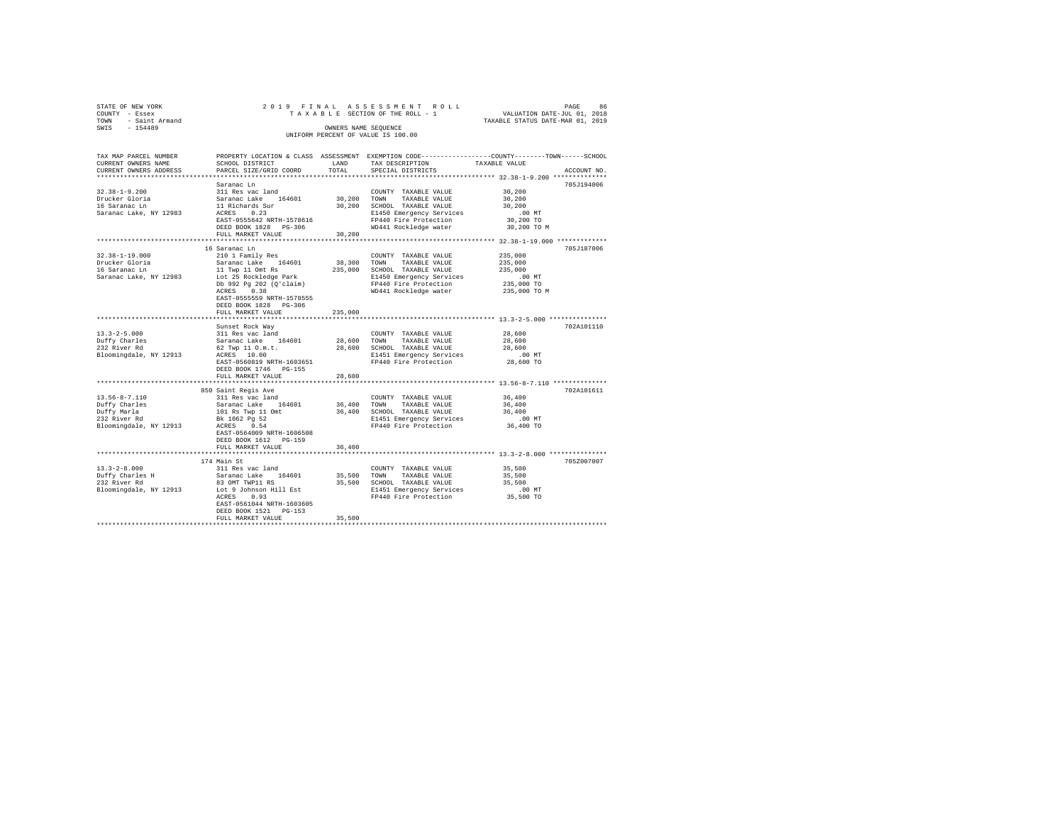| STATE OF NEW YORK      | 2019 FINAL ASSESSMENT ROLL         | 86<br>PAGE                       |
|------------------------|------------------------------------|----------------------------------|
| COUNTY - Essex         | TAXABLE SECTION OF THE ROLL - 1    | VALUATION DATE-JUL 01, 2018      |
| - Saint Armand<br>TOWN |                                    | TAXABLE STATUS DATE-MAR 01, 2019 |
| SWTS<br>$-154489$      | OWNERS NAME SEOUENCE               |                                  |
|                        | UNIFORM PERCENT OF VALUE IS 100.00 |                                  |

| TAX MAP PARCEL NUMBER                         |                                                |             |                              | PROPERTY LOCATION & CLASS ASSESSMENT EXEMPTION CODE---------------COUNTY-------TOWN-----SCHOOL |
|-----------------------------------------------|------------------------------------------------|-------------|------------------------------|------------------------------------------------------------------------------------------------|
| CURRENT OWNERS NAME                           | SCHOOL DISTRICT                                | LAND        | TAX DESCRIPTION              | TAXABLE VALUE                                                                                  |
| CURRENT OWNERS ADDRESS                        | PARCEL SIZE/GRID COORD                         | TOTAL       | SPECIAL DISTRICTS            | ACCOUNT NO.                                                                                    |
|                                               |                                                |             |                              |                                                                                                |
|                                               | Saranac Ln                                     |             |                              | 705J194006                                                                                     |
| $32.38 - 1 - 9.200$                           | 311 Res vac land                               |             | COUNTY TAXABLE VALUE         | 30,200                                                                                         |
| Drucker Gloria                                | Saranac Lake 164601                            | 30,200 TOWN | TAXABLE VALUE                | 30,200                                                                                         |
| 16 Saranac Ln                                 | 11 Richards Sur                                |             | 30,200 SCHOOL TAXABLE VALUE  | 30,200                                                                                         |
| Saranac Lake, NY 12983                        | ACRES 0.23                                     |             | E1450 Emergency Services     | .00 MT                                                                                         |
|                                               | EAST-0555642 NRTH-1578616                      |             | FP440 Fire Protection        | 30,200 TO                                                                                      |
|                                               | DEED BOOK 1828 PG-306                          |             | WD441 Rockledge water        | 30,200 TO M                                                                                    |
|                                               | FULL MARKET VALUE                              | 30,200      |                              |                                                                                                |
|                                               |                                                |             |                              | **************************** 32.38-1-19.000 ***********                                        |
|                                               | 16 Saranac Ln                                  |             |                              | 705J187006                                                                                     |
| $32.38 - 1 - 19.000$                          | 210 1 Family Res                               |             | COUNTY TAXABLE VALUE         | 235,000                                                                                        |
| Drucker Gloria                                | Saranac Lake 164601                            |             | 38,300 TOWN TAXABLE VALUE    | 235,000                                                                                        |
| 16 Saranac Ln                                 | 11 Twp 11 Omt Rs                               |             | 235,000 SCHOOL TAXABLE VALUE | 235,000                                                                                        |
| Saranac Lake, NY 12983                        | Lot 25 Rockledge Park                          |             | E1450 Emergency Services     | $.00$ MT                                                                                       |
|                                               | Db 992 Pg 202 (O'claim)                        |             | FP440 Fire Protection        | 235,000 TO                                                                                     |
|                                               | ACRES 0.38                                     |             | WD441 Rockledge water        | 235,000 TO M                                                                                   |
|                                               | EAST-0555559 NRTH-1578555                      |             |                              |                                                                                                |
|                                               | DEED BOOK 1828 PG-306                          |             |                              |                                                                                                |
|                                               | FULL MARKET VALUE                              | 235,000     |                              |                                                                                                |
|                                               | ************************                       | **********  |                              | ******************** 13.3-2-5.000 **************                                               |
|                                               | Sunset Rock Way                                |             |                              | 702A101110                                                                                     |
| $13.3 - 2 - 5.000$                            | 311 Res vac land                               |             | COUNTY TAXABLE VALUE         | 28,600                                                                                         |
| Duffy Charles                                 | Saranac Lake 164601                            | 28,600 TOWN | TAXABLE VALUE                | 28,600                                                                                         |
| 232 River Rd                                  |                                                |             | 28,600 SCHOOL TAXABLE VALUE  | 28,600                                                                                         |
| Bloomingdale, NY 12913                        | 62 Twp 11 0.m.t.<br>ACRES 10.00<br>ACRES 10.00 |             | E1451 Emergency Services     | $.00$ MT                                                                                       |
|                                               | EAST-0560819 NRTH-1603651                      |             | FP440 Fire Protection        | 28,600 TO                                                                                      |
|                                               | DEED BOOK 1746 PG-155                          |             |                              |                                                                                                |
|                                               | FULL MARKET VALUE                              | 28,600      |                              |                                                                                                |
|                                               |                                                |             |                              |                                                                                                |
|                                               | 850 Saint Regis Ave                            |             |                              | 702A101611                                                                                     |
| $13.56 - 8 - 7.110$                           | 311 Res vac land                               |             |                              | 36,400                                                                                         |
|                                               |                                                |             | COUNTY TAXABLE VALUE         | 36,400                                                                                         |
| Duffy Charles                                 | Saranac Lake 164601<br>101 Rs Twp 11 Omt       |             | 36,400 TOWN TAXABLE VALUE    | 36,400                                                                                         |
| Duffy Marla<br>232 River Rd                   |                                                |             | 36,400 SCHOOL TAXABLE VALUE  |                                                                                                |
|                                               | Bk 1062 Pg 52                                  |             | E1451 Emergency Services     | .00 MT<br>36,400 TO                                                                            |
| Bloomingdale, NY 12913                        | 0.54<br>ACRES                                  |             | FP440 Fire Protection        |                                                                                                |
|                                               | EAST-0564009 NRTH-1606508                      |             |                              |                                                                                                |
|                                               | DEED BOOK 1612 PG-159                          |             |                              |                                                                                                |
|                                               | FULL MARKET VALUE                              | 36,400      |                              |                                                                                                |
|                                               |                                                |             |                              | ******************************* 13.3-2-8.000 *************                                     |
|                                               | 174 Main St                                    |             |                              | 705Z007007                                                                                     |
| $13.3 - 2 - 8.000$                            | 311 Res vac land                               |             | COUNTY TAXABLE VALUE         | 35,500                                                                                         |
| $Duffy$ Charles H Saranac Lake 164601         |                                                | 35,500 TOWN | TAXABLE VALUE                | 35,500                                                                                         |
| 232 River Rd                                  | 83 OMT TWP11 RS                                |             | 35,500 SCHOOL TAXABLE VALUE  | 35,500                                                                                         |
| Bloomingdale, NY 12913 Lot 9 Johnson Hill Est |                                                |             | E1451 Emergency Services     | .00MT                                                                                          |
|                                               | 0.93<br>ACRES                                  |             | FP440 Fire Protection        | $35,500$ TO                                                                                    |
|                                               | EAST-0561044 NRTH-1603605                      |             |                              |                                                                                                |
|                                               | DEED BOOK 1521 PG-153                          |             |                              |                                                                                                |
|                                               | FULL MARKET VALUE                              | 35,500      |                              |                                                                                                |
|                                               |                                                |             |                              |                                                                                                |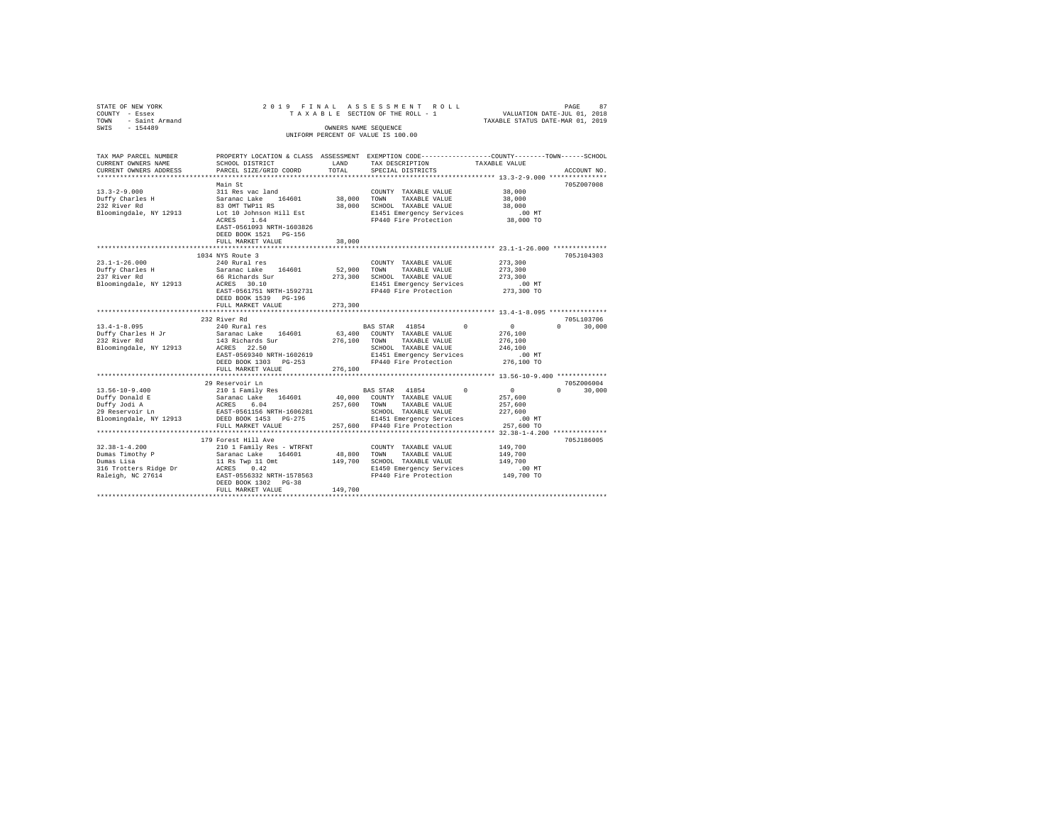| - Saint Armand<br>TAXABLE STATUS DATE-MAR 01, 2019<br>TOWN<br>$-154489$<br>SWIS<br>OWNERS NAME SEQUENCE                                                                                                                                                                                         |                    |
|-------------------------------------------------------------------------------------------------------------------------------------------------------------------------------------------------------------------------------------------------------------------------------------------------|--------------------|
| UNIFORM PERCENT OF VALUE IS 100.00                                                                                                                                                                                                                                                              |                    |
| TAX MAP PARCEL NUMBER<br>PROPERTY LOCATION & CLASS ASSESSMENT EXEMPTION CODE---------------COUNTY-------TOWN-----SCHOOL<br>CURRENT OWNERS NAME<br>SCHOOL DISTRICT<br>LAND<br>TAX DESCRIPTION<br>TAXABLE VALUE<br>CURRENT OWNERS ADDRESS<br>PARCEL SIZE/GRID COORD<br>TOTAL<br>SPECIAL DISTRICTS | ACCOUNT NO.        |
| ************************                                                                                                                                                                                                                                                                        |                    |
| Main St                                                                                                                                                                                                                                                                                         | 705Z007008         |
| $13.3 - 2 - 9.000$<br>311 Res vac land<br>38,000<br>COUNTY TAXABLE VALUE                                                                                                                                                                                                                        |                    |
| Duffy Charles H<br>Saranac Lake 164601<br>38,000<br>TOWN<br>TAXABLE VALUE<br>38,000                                                                                                                                                                                                             |                    |
| 232 River Rd<br>83 OMT TWP11 RS<br>38,000 SCHOOL TAXABLE VALUE<br>38,000                                                                                                                                                                                                                        |                    |
| Bloomingdale, NY 12913<br>Lot 10 Johnson Hill Est<br>E1451 Emergency Services<br>$.00$ MT                                                                                                                                                                                                       |                    |
| FP440 Fire Protection<br>ACRES<br>1.64<br>38,000 TO<br>EAST-0561093 NRTH-1603826<br>DEED BOOK 1521 PG-156                                                                                                                                                                                       |                    |
| FULL MARKET VALUE<br>38,000                                                                                                                                                                                                                                                                     |                    |
| 23.1-1-26.000 **************                                                                                                                                                                                                                                                                    |                    |
| 1034 NYS Route 3                                                                                                                                                                                                                                                                                | 705J104303         |
| $23.1 - 1 - 26.000$<br>240 Rural res<br>273,300<br>COUNTY TAXABLE VALUE                                                                                                                                                                                                                         |                    |
| Duffy Charles H<br>Saranac Lake 164601<br>52,900<br>TOWN<br>TAXABLE VALUE<br>273,300                                                                                                                                                                                                            |                    |
| 237 River Rd<br>66 Richards Sur<br>273,300<br>SCHOOL TAXABLE VALUE<br>273,300<br>Bloomingdale, NY 12913<br>E1451 Emergency Services<br>ACRES 30.10<br>.00 MT                                                                                                                                    |                    |
| EAST-0561751 NRTH-1592731<br>FP440 Fire Protection<br>273,300 TO                                                                                                                                                                                                                                |                    |
| DEED BOOK 1539 PG-196<br>273,300<br>FULL MARKET VALUE                                                                                                                                                                                                                                           |                    |
| **************************                                                                                                                                                                                                                                                                      |                    |
| 232 River Rd                                                                                                                                                                                                                                                                                    | 705L103706         |
| $13.4 - 1 - 8.095$<br>240 Rural res<br>$\Omega$<br>$^{\circ}$<br>BAS STAR 41854                                                                                                                                                                                                                 | $\Omega$<br>30,000 |
| Duffy Charles H Jr<br>Saranac Lake 164601<br>63,400<br>COUNTY TAXABLE VALUE<br>276,100                                                                                                                                                                                                          |                    |
| 232 River Rd<br>143 Richards Sur<br>276,100<br>TOWN<br>TAXABLE VALUE<br>276,100                                                                                                                                                                                                                 |                    |
| Bloomingdale, NY 12913<br>ACRES 22.50<br>SCHOOL TAXABLE VALUE<br>246,100                                                                                                                                                                                                                        |                    |
| EAST-0569340 NRTH-1602619<br>E1451 Emergency Services<br>.00MT                                                                                                                                                                                                                                  |                    |
| FP440 Fire Protection<br>276,100 TO<br>DEED BOOK 1303 PG-253<br>276,100<br>FULL MARKET VALUE                                                                                                                                                                                                    |                    |
| *********************                                                                                                                                                                                                                                                                           |                    |
| 29 Reservoir Ln                                                                                                                                                                                                                                                                                 | 705Z006004         |
| $13.56 - 10 - 9.400$<br>210 1 Family Res<br>$^{\circ}$<br>$^{\circ}$<br>BAS STAR<br>41854                                                                                                                                                                                                       | $\Omega$<br>30,000 |
| Duffy Donald E<br>40,000<br>COUNTY TAXABLE VALUE<br>Saranac Lake 164601<br>257,600                                                                                                                                                                                                              |                    |
| ACRES<br>257,600<br>Duffy Jodi A<br>6.04<br>TOWN<br>TAXABLE VALUE<br>257,600                                                                                                                                                                                                                    |                    |
| 29 Reservoir Ln<br>EAST-0561156 NRTH-1606281<br>SCHOOL TAXABLE VALUE<br>227,600                                                                                                                                                                                                                 |                    |
| Bloomingdale, NY 12913<br>DEED BOOK 1453 PG-275<br>E1451 Emergency Services<br>.00MT                                                                                                                                                                                                            |                    |
| FP440 Fire Protection<br>257,600 TO<br>FULL MARKET VALUE<br>257,600<br>************************                                                                                                                                                                                                 |                    |
| 179 Forest Hill Ave                                                                                                                                                                                                                                                                             | 705J186005         |
| $32.38 - 1 - 4.200$<br>210 1 Family Res - WTRFNT<br>149,700<br>COUNTY TAXABLE VALUE                                                                                                                                                                                                             |                    |
| Dumas Timothy P<br>48,800<br>149,700<br>Saranac Lake<br>164601<br>TOWN<br>TAXABLE VALUE                                                                                                                                                                                                         |                    |
| 149,700<br>Dumas Lisa<br>11 Rs Twp 11 Omt<br>SCHOOL TAXABLE VALUE<br>149,700                                                                                                                                                                                                                    |                    |
| 316 Trotters Ridge Dr<br>ACRES 0.42<br>E1450 Emergency Services<br>.00MT                                                                                                                                                                                                                        |                    |
| Raleigh, NC 27614<br>EAST-0556332 NRTH-1578563<br>FP440 Fire Protection<br>149,700 TO                                                                                                                                                                                                           |                    |
| DEED BOOK 1302 PG-38<br>149,700<br>FULL MARKET VALUE                                                                                                                                                                                                                                            |                    |
|                                                                                                                                                                                                                                                                                                 |                    |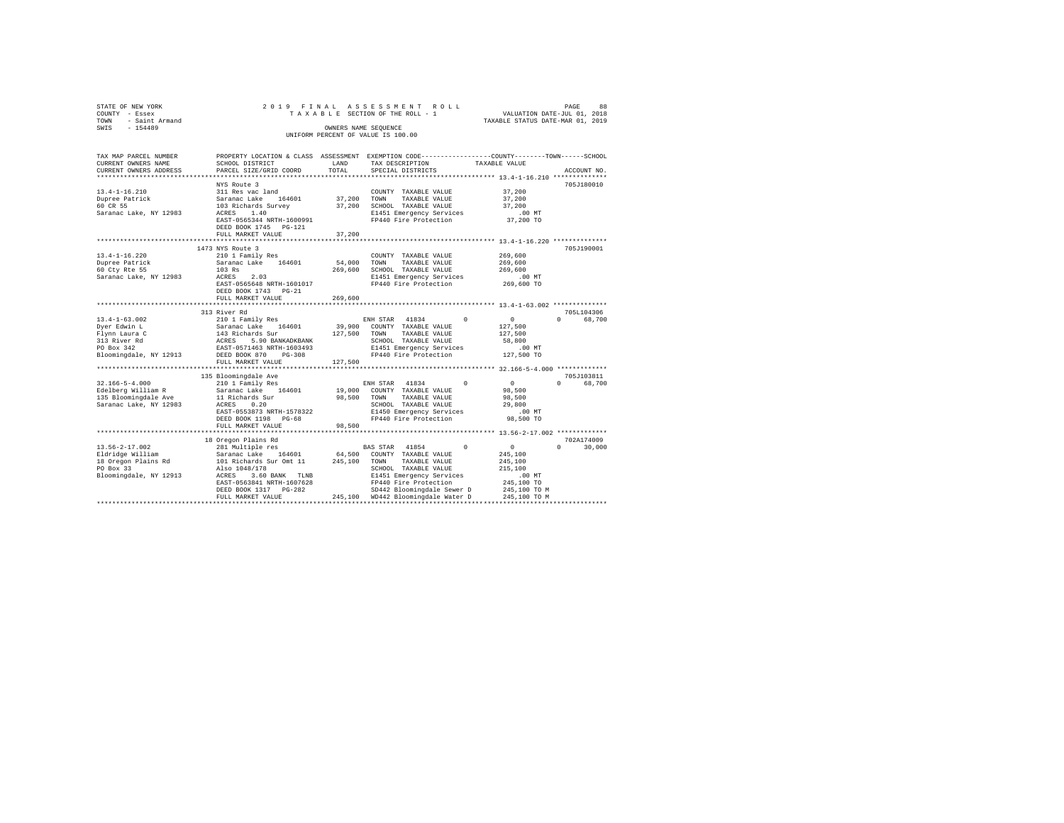| STATE OF NEW YORK<br>COUNTY - Essex<br>TOWN<br>- Saint Armand<br>SWIS<br>$-154489$           | 2019 FINAL ASSESSMENT ROLL<br>TAXABLE SECTION OF THE ROLL - 1<br>VALUATION DATE-JUL 01, 2018<br>TAXABLE STATUS DATE-MAR 01, 2019<br>OWNERS NAME SEQUENCE<br>UNIFORM PERCENT OF VALUE IS 100.00 |                       |                                                                                                                                                                                |                                                                              |                                   |  |  |  |  |
|----------------------------------------------------------------------------------------------|------------------------------------------------------------------------------------------------------------------------------------------------------------------------------------------------|-----------------------|--------------------------------------------------------------------------------------------------------------------------------------------------------------------------------|------------------------------------------------------------------------------|-----------------------------------|--|--|--|--|
| TAX MAP PARCEL NUMBER<br>CURRENT OWNERS NAME<br>CURRENT OWNERS ADDRESS                       | PROPERTY LOCATION & CLASS ASSESSMENT EXEMPTION CODE----------------COUNTY-------TOWN-----SCHOOL<br>SCHOOL DISTRICT<br>PARCEL SIZE/GRID COORD                                                   | LAND<br>TOTAL         | TAX DESCRIPTION<br>SPECIAL DISTRICTS                                                                                                                                           | TAXABLE VALUE<br>****************** 13.4-1-16.210 **************             | ACCOUNT NO.                       |  |  |  |  |
| $13.4 - 1 - 16.210$<br>Dupree Patrick<br>60 CR 55<br>Saranac Lake, NY 12983                  | NYS Route 3<br>311 Res vac land<br>Saranac Lake 164601<br>103 Richards Survey<br>ACRES 1.40<br>EAST-0565344 NRTH-1600991<br>DEED BOOK 1745 PG-121<br>FULL MARKET VALUE                         | 37,200<br>37,200      | COUNTY TAXABLE VALUE<br>TOWN<br>TAXABLE VALUE<br>37,200 SCHOOL TAXABLE VALUE<br>E1451 Emergency Services<br>FP440 Fire Protection                                              | 37,200<br>37,200<br>37,200<br>$.00$ MT<br>37,200 TO                          | 705J180010                        |  |  |  |  |
|                                                                                              | ************************                                                                                                                                                                       |                       |                                                                                                                                                                                | ************************* 13.4-1-16.220 **************                       |                                   |  |  |  |  |
| $13.4 - 1 - 16.220$<br>Dupree Patrick<br>60 Cty Rte 55<br>Saranac Lake, NY 12983             | 1473 NYS Route 3<br>210 1 Family Res<br>Saranac Lake 164601<br>103 Rs<br>ACRES 2.03<br>EAST-0565648 NRTH-1601017<br>DEED BOOK 1743 PG-21                                                       | 54,000<br>269,600     | COUNTY TAXABLE VALUE<br>TOWN<br>TAXABLE VALUE<br>SCHOOL TAXABLE VALUE<br>E1451 Emergency Services<br>FP440 Fire Protection                                                     | 269,600<br>269,600<br>269,600<br>$.00$ MT<br>269,600 TO                      | 705J190001                        |  |  |  |  |
|                                                                                              | FULL MARKET VALUE                                                                                                                                                                              | 269,600               |                                                                                                                                                                                |                                                                              |                                   |  |  |  |  |
| $13.4 - 1 - 63.002$<br>Dyer Edwin L                                                          | 313 River Rd<br>210 1 Family Res<br>Saranac Lake 164601                                                                                                                                        |                       | ENH STAR 41834<br>$\Omega$<br>39,900 COUNTY TAXABLE VALUE                                                                                                                      | $\circ$<br>127,500                                                           | 705L104306<br>$\Omega$<br>68,700  |  |  |  |  |
| Flynn Laura C<br>313 River Rd<br>PO Box 342<br>Bloomingdale, NY 12913                        | 143 Richards Sur<br>ACRES 5.90 BANKADKBANK<br>EAST-0571463 NRTH-1603493<br>DEED BOOK 870 PG-308                                                                                                | 127,500 TOWN          | TAXABLE VALUE<br>SCHOOL TAXABLE VALUE<br>E1451 Emergency Services<br>FP440 Fire Protection                                                                                     | 127,500<br>58,800<br>$.00$ MT<br>127,500 TO                                  |                                   |  |  |  |  |
|                                                                                              | FULL MARKET VALUE                                                                                                                                                                              | 127,500               |                                                                                                                                                                                |                                                                              |                                   |  |  |  |  |
|                                                                                              |                                                                                                                                                                                                |                       |                                                                                                                                                                                |                                                                              |                                   |  |  |  |  |
| $32.166 - 5 - 4.000$<br>Edelberg William R<br>135 Bloomingdale Ave<br>Saranac Lake, NY 12983 | 135 Bloomingdale Ave<br>210 1 Family Res<br>Saranac Lake 164601<br>11 Richards Sur<br>ACRES 0.20<br>EAST-0553873 NRTH-1578322<br>DEED BOOK 1198 PG-68<br>FULL MARKET VALUE                     | 98,500 TOWN<br>98,500 | ENH STAR 41834<br>$\Omega$<br>19,000 COUNTY TAXABLE VALUE<br>TAXABLE VALUE<br>SCHOOL TAXABLE VALUE<br>E1450 Emergency Services<br>FP440 Fire Protection                        | $\sim$ 0<br>98,500<br>98,500<br>29,800<br>.00 MT<br>98,500 TO                | 705.T103811<br>68,700<br>$\Omega$ |  |  |  |  |
|                                                                                              |                                                                                                                                                                                                |                       |                                                                                                                                                                                |                                                                              |                                   |  |  |  |  |
| $13.56 - 2 - 17.002$<br>Eldridge William                                                     | 18 Oregon Plains Rd<br>281 Multiple res                                                                                                                                                        |                       | BAS STAR 41854<br>$\Omega$<br>64,500 COUNTY TAXABLE VALUE                                                                                                                      | $\sim$ 0<br>245,100                                                          | 702A174009<br>$\Omega$<br>30,000  |  |  |  |  |
| 18 Oregon Plains Rd<br>PO Box 33<br>Bloomingdale, NY 12913                                   | Saranac Lake 164601<br>101 Richards Sur Omt 11<br>Also 1048/178<br>ACRES 3.60 BANK TLNB<br>EAST-0563841 NRTH-1607628<br>DEED BOOK 1317 PG-282<br>FULL MARKET VALUE                             |                       | 245,100 TOWN<br>TAXABLE VALUE<br>SCHOOL TAXABLE VALUE<br>E1451 Emergency Services<br>FP440 Fire Protection<br>SD442 Bloomingdale Sewer D<br>245,100 WD442 Bloomingdale Water D | 245,100<br>215,100<br>$.00$ MT<br>245,100 TO<br>245,100 TO M<br>245,100 TO M |                                   |  |  |  |  |
|                                                                                              |                                                                                                                                                                                                |                       |                                                                                                                                                                                |                                                                              |                                   |  |  |  |  |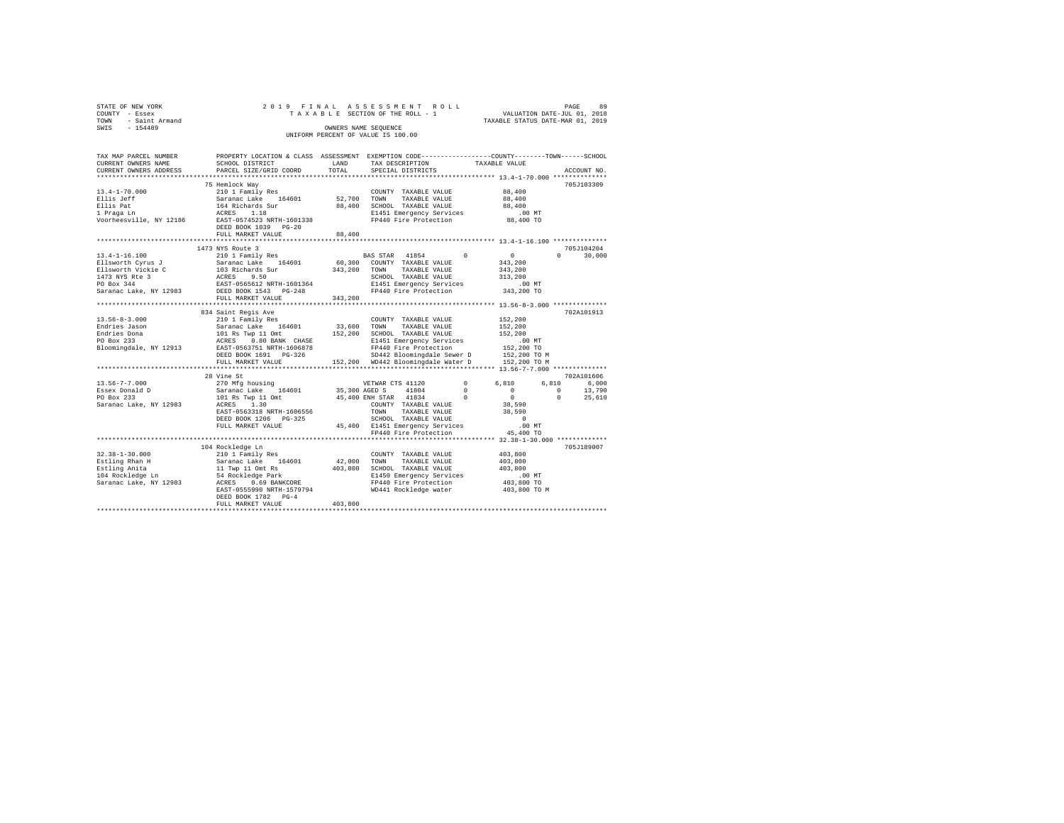| STATE OF NEW YORK   |  |  | 2019 FINAL ASSESSMENT ROLL         |                                  | PAGE                        | 89 |
|---------------------|--|--|------------------------------------|----------------------------------|-----------------------------|----|
| COUNTY - Essex      |  |  | TAXABLE SECTION OF THE ROLL - 1    |                                  | VALUATION DATE-JUL 01, 2018 |    |
| TOWN - Saint Armand |  |  |                                    | TAXABLE STATUS DATE-MAR 01, 2019 |                             |    |
| SWIS<br>$-154489$   |  |  | OWNERS NAME SEOUENCE               |                                  |                             |    |
|                     |  |  | UNIFORM PERCENT OF VALUE IS 100.00 |                                  |                             |    |
|                     |  |  |                                    |                                  |                             |    |

| TAX MAP PARCEL NUMBER                                       | PROPERTY LOCATION & CLASS ASSESSMENT EXEMPTION CODE---------------COUNTY-------TOWN-----SCHOOL                                               |         |                                                                                  |                                                        |                                      |
|-------------------------------------------------------------|----------------------------------------------------------------------------------------------------------------------------------------------|---------|----------------------------------------------------------------------------------|--------------------------------------------------------|--------------------------------------|
| CURRENT OWNERS NAME                                         | SCHOOL DISTRICT                                                                                                                              | LAND    | TAX DESCRIPTION                                                                  | TAXABLE VALUE                                          |                                      |
| CURRENT OWNERS ADDRESS                                      | PARCEL SIZE/GRID COORD                                                                                                                       | TOTAL   | SPECIAL DISTRICTS                                                                |                                                        | ACCOUNT NO.                          |
|                                                             |                                                                                                                                              |         |                                                                                  |                                                        |                                      |
|                                                             | 75 Hemlock Way                                                                                                                               |         |                                                                                  |                                                        | 705J103309                           |
| $13.4 - 1 - 70.000$                                         | 210 1 Family Res                                                                                                                             |         | COUNTY TAXABLE VALUE                                                             | 88,400                                                 |                                      |
| Ellis Jeff                                                  |                                                                                                                                              |         | TAXABLE VALUE                                                                    | 88,400                                                 |                                      |
| Ellis Pat                                                   |                                                                                                                                              |         | 88,400 SCHOOL TAXABLE VALUE                                                      | 88,400                                                 |                                      |
| 1 Praga Ln                                                  |                                                                                                                                              |         | E1451 Emergency Services .00 MT                                                  |                                                        |                                      |
| Voorheesville, NY 12186                                     | 210 1 rauniy Ress<br>Saranac Lake 164601 52,700 TOWN<br>164 Richards Sur 88,400 SCHOS<br>ACRES 1.18 B1451<br>EAST-0574523 NRTH-1601338 F1440 |         | FP440 Fire Protection                                                            | 88,400 TO                                              |                                      |
|                                                             | DEED BOOK 1039 PG-20                                                                                                                         |         |                                                                                  |                                                        |                                      |
|                                                             | FULL MARKET VALUE                                                                                                                            | 88,400  | *********************************** 13.4-1-16.100 ***************                |                                                        |                                      |
|                                                             |                                                                                                                                              |         |                                                                                  |                                                        |                                      |
| $13.4 - 1 - 16.100$                                         | 1473 NYS Route 3<br>210 1 Family Res                                                                                                         |         | BAS STAR 41854 0                                                                 |                                                        | 705J104204<br>$\mathbf{a}$<br>30,000 |
|                                                             |                                                                                                                                              |         |                                                                                  | $\begin{smallmatrix}&&0\\&&343\,,200\end{smallmatrix}$ |                                      |
|                                                             |                                                                                                                                              |         |                                                                                  |                                                        |                                      |
|                                                             |                                                                                                                                              |         |                                                                                  | 343,200                                                |                                      |
|                                                             |                                                                                                                                              |         |                                                                                  | 313,200                                                |                                      |
|                                                             |                                                                                                                                              |         |                                                                                  | 00 MT.<br>343,200 TO                                   |                                      |
|                                                             |                                                                                                                                              |         | E1451 Emergency Services<br>FP440 Fire Protection                                |                                                        |                                      |
|                                                             | FULL MARKET VALUE                                                                                                                            | 343,200 |                                                                                  |                                                        |                                      |
|                                                             |                                                                                                                                              |         |                                                                                  |                                                        | 702A101913                           |
| $13.56 - 8 - 3.000$                                         | 834 Saint Regis Ave                                                                                                                          |         |                                                                                  |                                                        |                                      |
|                                                             | 210 1 Family Res                                                                                                                             |         | COUNTY TAXABLE VALUE                                                             | 152,200                                                |                                      |
| Endries Jason<br>Endries Dona                               |                                                                                                                                              |         |                                                                                  | 152,200<br>152,200                                     |                                      |
| PO Box 233                                                  |                                                                                                                                              |         | E1451 Emergency Services                                                         |                                                        |                                      |
| Bloomingdale, NY 12913 EAST-0563751 NRTH-1606878            |                                                                                                                                              |         | FP440 Fire Protection                                                            | $.00$ MT<br>$152,200$ TO                               |                                      |
|                                                             | DEED BOOK 1691 PG-326                                                                                                                        |         | SD442 Bloomingdale Sewer D                                                       | 152,200 TO M                                           |                                      |
|                                                             | FULL MARKET VALUE                                                                                                                            |         | 152,200 WD442 Bloomingdale Water D 152,200 TO M                                  |                                                        |                                      |
|                                                             |                                                                                                                                              |         |                                                                                  |                                                        |                                      |
|                                                             |                                                                                                                                              |         |                                                                                  |                                                        | 702A101606                           |
| 13.56-7-7.000                                               | 28 Vine 5t<br>270 Mfg housing<br>Saranac Lake 164601 35,300 AGED S<br>101 Rs Twp 11 Omt<br>*^DPS 1.30 100NTY<br>200NTY<br>1.30               |         | VETWAR CTS 41120                                                                 | $\sim$ 0<br>6,810                                      | 6,810 6,000                          |
| Essex Donald D                                              |                                                                                                                                              |         | 41804                                                                            | $\sim$ 0<br>$\sim$ 0                                   | $0 \t 13,790$                        |
| PO Box 233                                                  |                                                                                                                                              |         | 45,400 ENH STAR 41834<br>$\sim$ 0                                                | $\sim$ 0                                               | 25,610<br>$\Omega$                   |
| Saranac Lake, NY 12983 ACRES 1.30                           |                                                                                                                                              |         |                                                                                  | ں<br>38,590<br>38,590                                  |                                      |
|                                                             | EAST-0563318 NRTH-1606556                                                                                                                    |         | COUNTY TAXABLE VALUE<br>TOWN<br>TAXABLE VALUE                                    |                                                        |                                      |
|                                                             | DEED BOOK 1206 PG-325                                                                                                                        |         |                                                                                  | $\qquad \qquad \text{0}$                               |                                      |
|                                                             | FULL MARKET VALUE                                                                                                                            |         |                                                                                  | $.00$ MT                                               |                                      |
|                                                             |                                                                                                                                              |         | SCHOOL TAAABLE volve<br>45,400 E1451 Emergency Services<br>PLAAO Fire Protection | 45,400 TO                                              |                                      |
|                                                             |                                                                                                                                              |         |                                                                                  |                                                        |                                      |
|                                                             | 104 Rockledge Ln                                                                                                                             |         |                                                                                  |                                                        | 705J189007                           |
| $32.38 - 1 - 30.000$                                        | 210 1 Family Res                                                                                                                             |         | COUNTY TAXABLE VALUE                                                             | 403,800                                                |                                      |
| Estling Rhan H                                              |                                                                                                                                              |         | 42,000 TOWN TAXABLE VALUE                                                        | 403,800                                                |                                      |
| Estling Anita                                               |                                                                                                                                              |         | 403,800 SCHOOL TAXABLE VALUE                                                     | 403,800                                                |                                      |
| Estling Anita<br>104 Rockledge Ln<br>Saranac Lake, NY 12983 |                                                                                                                                              |         |                                                                                  | .00 MT                                                 |                                      |
|                                                             |                                                                                                                                              |         | E1450 Emergency Services<br>FP440 Fire Protection                                | 00 MT.<br>403,800 TO                                   |                                      |
|                                                             | EAST-0555990 NRTH-1579794 WD441 Rockledge water                                                                                              |         |                                                                                  | 403,800 TO M                                           |                                      |
|                                                             | DEED BOOK 1782 PG-4                                                                                                                          |         |                                                                                  |                                                        |                                      |
|                                                             | FULL MARKET VALUE                                                                                                                            | 403,800 |                                                                                  |                                                        |                                      |
|                                                             |                                                                                                                                              |         |                                                                                  |                                                        |                                      |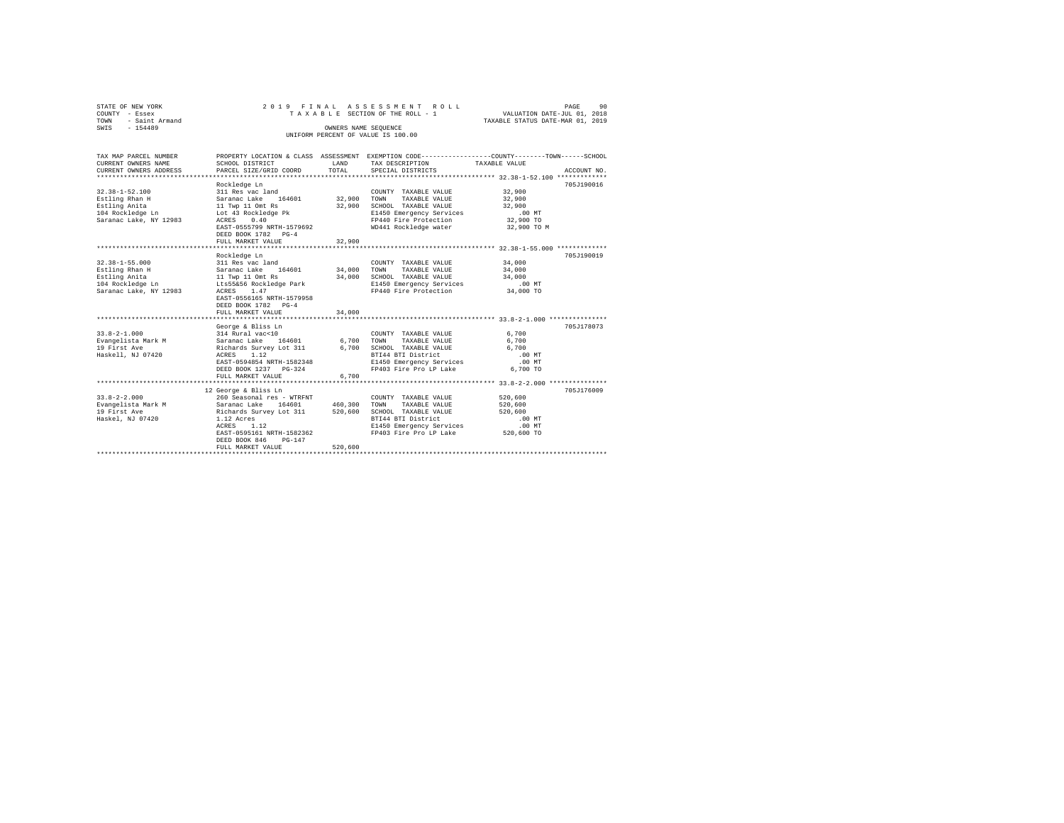|      | STATE OF NEW YORK   | 2019 FINAL ASSESSMENT ROLL |  |                                    |  |  |  |                                  | PAGE | 90 |
|------|---------------------|----------------------------|--|------------------------------------|--|--|--|----------------------------------|------|----|
|      | COUNTY - Essex      |                            |  | TAXABLE SECTION OF THE ROLL - 1    |  |  |  | VALUATION DATE-JUL 01, 2018      |      |    |
|      | TOWN - Saint Armand |                            |  |                                    |  |  |  | TAXABLE STATUS DATE-MAR 01, 2019 |      |    |
| SWIS | - 154489            |                            |  | OWNERS NAME SEOUENCE               |  |  |  |                                  |      |    |
|      |                     |                            |  | UNIFORM PERCENT OF VALUE IS 100.00 |  |  |  |                                  |      |    |
|      |                     |                            |  |                                    |  |  |  |                                  |      |    |

| TAX MAP PARCEL NUMBER  |                                                |         |                                                        | PROPERTY LOCATION & CLASS ASSESSMENT EXEMPTION CODE----------------COUNTY-------TOWN-----SCHOOL |
|------------------------|------------------------------------------------|---------|--------------------------------------------------------|-------------------------------------------------------------------------------------------------|
| CURRENT OWNERS NAME    | SCHOOL DISTRICT                                | LAND    | TAX DESCRIPTION                                        | TAXABLE VALUE                                                                                   |
| CURRENT OWNERS ADDRESS | PARCEL SIZE/GRID COORD                         | TOTAL   | SPECIAL DISTRICTS                                      | ACCOUNT NO.                                                                                     |
|                        |                                                |         |                                                        |                                                                                                 |
|                        | Rockledge Ln                                   |         |                                                        | 705J190016                                                                                      |
| $32.38 - 1 - 52.100$   | 311 Res vac land                               |         | COUNTY TAXABLE VALUE                                   | 32,900                                                                                          |
| Estling Rhan H         |                                                | 32,900  | TOWN<br>TAXABLE VALUE                                  | 32,900                                                                                          |
| Estling Anita          | Saranac Lake 164601<br>11 Twp 11 Omt Rs        | 32,900  | SCHOOL TAXABLE VALUE                                   | 32,900                                                                                          |
| 104 Rockledge Ln       | Lot 43 Rockledge Pk                            |         | E1450 Emergency Services                               | $.00$ MT                                                                                        |
| Saranac Lake, NY 12983 | ACRES 0.40                                     |         | FP440 Fire Protection                                  | 32,900 TO                                                                                       |
|                        | EAST-0555799 NRTH-1579692                      |         | WD441 Rockledge water                                  | 32,900 TO M                                                                                     |
|                        | DEED BOOK 1782 PG-4                            |         |                                                        |                                                                                                 |
|                        | FULL MARKET VALUE                              | 32,900  |                                                        |                                                                                                 |
|                        | *************************                      | .       |                                                        | ***************** 32.38-1-55.000 **************                                                 |
|                        | Rockledge Ln                                   |         |                                                        | 705J190019                                                                                      |
| $32.38 - 1 - 55.000$   | 311 Res vac land                               |         | COUNTY TAXABLE VALUE                                   | 34,000                                                                                          |
| Estling Rhan H         | Saranac Lake 164601 34,000                     |         | TOWN TAXABLE VALUE                                     | 34,000                                                                                          |
| Estling Anita          | 11 Twp 11 Omt Rs                               |         | 34,000 SCHOOL TAXABLE VALUE                            | 34,000                                                                                          |
| 104 Rockledge Ln       | Lts55&56 Rockledge Park                        |         | E1450 Emergency Services                               | $.00$ MT                                                                                        |
| Saranac Lake, NY 12983 | ACRES 1.47                                     |         | FP440 Fire Protection                                  | 34,000 TO                                                                                       |
|                        | EAST-0556165 NRTH-1579958                      |         |                                                        |                                                                                                 |
|                        | DEED BOOK 1782 PG-4                            |         |                                                        |                                                                                                 |
|                        | FULL MARKET VALUE                              | 34,000  |                                                        |                                                                                                 |
|                        |                                                |         |                                                        |                                                                                                 |
|                        | George & Bliss Ln                              |         |                                                        | 705J178073                                                                                      |
| $33.8 - 2 - 1.000$     | 314 Rural vac<10                               |         | COUNTY TAXABLE VALUE                                   | 6,700                                                                                           |
| Evangelista Mark M     | Saranac Lake 164601<br>Richards Survey Lot 311 |         | 6,700 TOWN TAXABLE VALUE<br>6,700 SCHOOL TAXABLE VALUE | 6,700                                                                                           |
| 19 First Ave           |                                                |         |                                                        | 6,700                                                                                           |
| Haskell, NJ 07420      | ACRES 1.12                                     |         | BTI44 BTI District                                     | $.00$ MT                                                                                        |
|                        | EAST-0594854 NRTH-1582348                      |         | E1450 Emergency Services                               | $.00$ MT                                                                                        |
|                        | DEED BOOK 1237 PG-324                          |         | FP403 Fire Pro LP Lake                                 | 6,700 TO                                                                                        |
|                        | FULL MARKET VALUE                              | 6,700   |                                                        |                                                                                                 |
|                        |                                                |         |                                                        |                                                                                                 |
|                        | 12 George & Bliss Ln                           |         |                                                        | 705J176009                                                                                      |
| $33.8 - 2 - 2.000$     | 260 Seasonal res - WTRFNT                      |         | COUNTY TAXABLE VALUE                                   | 520,600                                                                                         |
| Evangelista Mark M     |                                                |         |                                                        | 520,600                                                                                         |
| 19 First Ave           | Richards Survey Lot 311 520,600                |         | SCHOOL TAXABLE VALUE                                   | 520,600                                                                                         |
| Haskel, NJ 07420       | 1.12 Acres                                     |         | BTI44 BTI District                                     | $.00$ MT                                                                                        |
|                        | 1.12<br>ACRES                                  |         | E1450 Emergency Services                               | .00 MT                                                                                          |
|                        | EAST-0595161 NRTH-1582362                      |         | FP403 Fire Pro LP Lake                                 | 520,600 TO                                                                                      |
|                        | DEED BOOK 846<br>$PG-147$                      |         |                                                        |                                                                                                 |
|                        | FULL MARKET VALUE                              | 520,600 |                                                        |                                                                                                 |
|                        |                                                |         |                                                        |                                                                                                 |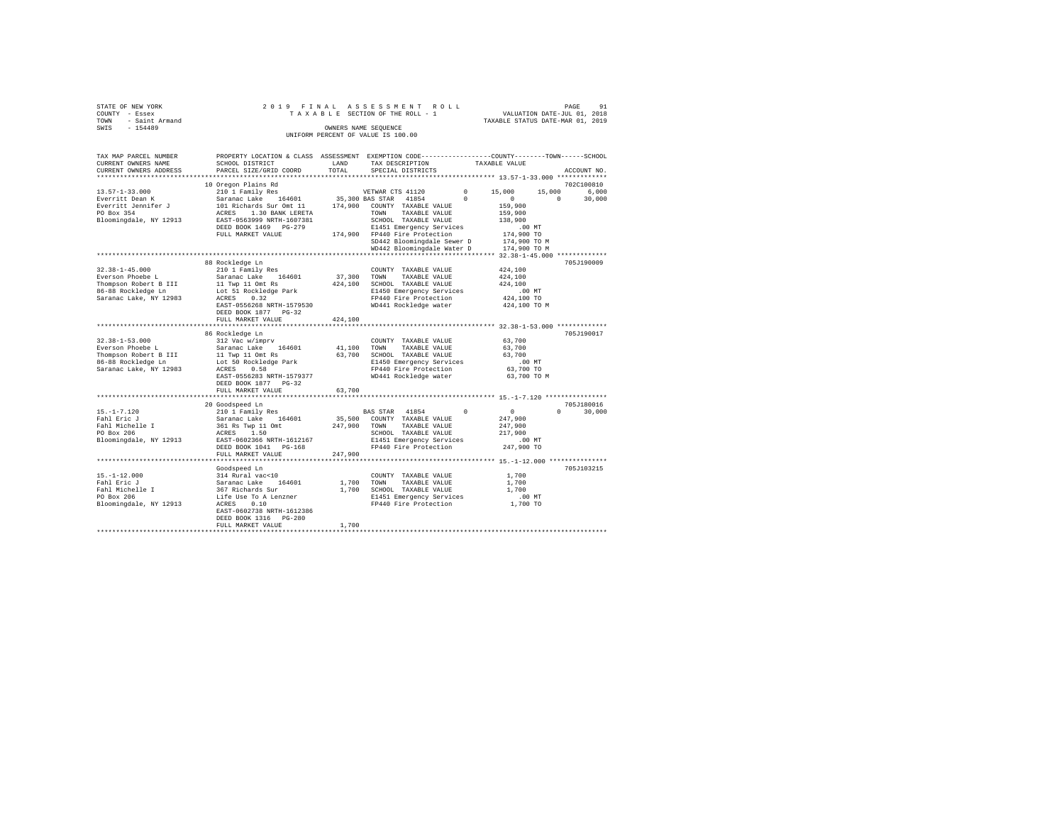| STATE OF NEW YORK<br>COUNTY - Essex<br>- Saint Armand<br>TOWN<br>SWIS<br>$-154489$                                                 |                                                                                                                                                                                                                                                   | OWNERS NAME SEQUENCE         | 2019 FINAL ASSESSMENT ROLL<br>TAXABLE SECTION OF THE ROLL - 1<br>UNIFORM PERCENT OF VALUE IS 100.00                                                                                                 |                                                                                                                                         | 91<br>PAGE<br>VALUATION DATE-JUL 01, 2018<br>TAXABLE STATUS DATE-MAR 01, 2019 |
|------------------------------------------------------------------------------------------------------------------------------------|---------------------------------------------------------------------------------------------------------------------------------------------------------------------------------------------------------------------------------------------------|------------------------------|-----------------------------------------------------------------------------------------------------------------------------------------------------------------------------------------------------|-----------------------------------------------------------------------------------------------------------------------------------------|-------------------------------------------------------------------------------|
| TAX MAP PARCEL NUMBER<br>CURRENT OWNERS NAME<br>CURRENT OWNERS ADDRESS                                                             | PROPERTY LOCATION & CLASS ASSESSMENT EXEMPTION CODE---------------COUNTY-------TOWN-----SCHOOL<br>SCHOOL DISTRICT<br>PARCEL SIZE/GRID COORD                                                                                                       | LAND<br>TOTAL                | TAX DESCRIPTION<br>SPECIAL DISTRICTS                                                                                                                                                                | TAXABLE VALUE                                                                                                                           | ACCOUNT NO.                                                                   |
| $13.57 - 1 - 33.000$<br>Everritt Dean K<br>Everritt Jennifer J<br>PO Box 354<br>Bloomingdale, NY 12913                             | 10 Oregon Plains Rd<br>210 1 Family Res<br>164601 35,300 BAS STAR<br>Saranac Lake<br>101 Richards Sur Omt 11 174,900 COUNTY TAXABLE VALUE<br>ACRES<br>1.30 BANK LERETA<br>EAST-0563999 NRTH-1607381<br>DEED BOOK 1469 PG-279<br>FULL MARKET VALUE |                              | VETWAR CTS 41120<br>41854<br>TAXABLE VALUE<br>TOWN<br>SCHOOL TAXABLE VALUE<br>E1451 Emergency Services<br>174.900 FP440 Fire Protection<br>SD442 Bloomingdale Sewer D<br>WD442 Bloomingdale Water D | $^{\circ}$<br>15,000<br>$\Omega$<br>$\Omega$<br>159,900<br>159,900<br>138,900<br>$.00$ MT<br>174,900 TO<br>174,900 TO M<br>174,900 TO M | 702C100810<br>15,000<br>6,000<br>$\Omega$<br>30,000                           |
| $32.38 - 1 - 45.000$<br>Everson Phoebe L<br>Thompson Robert B III<br>86-88 Rockledge Ln<br>Saranac Lake, NY 12983                  | 88 Rockledge Ln<br>210 1 Family Res<br>Saranac Lake 164601<br>11 Twp 11 Omt Rs<br>Lot 51 Rockledge Park<br>ACRES<br>0.32<br>EAST-0556268 NRTH-1579530<br>DEED BOOK 1877 PG-32<br>FULL MARKET VALUE                                                | 37,300<br>424,100<br>424,100 | COUNTY TAXABLE VALUE<br>TOWN<br>TAXABLE VALUE<br>SCHOOL TAXABLE VALUE<br>E1450 Emergency Services<br>FP440 Fire Protection<br>WD441 Rockledge water                                                 | 424,100<br>424,100<br>424,100<br>$.00$ MT<br>424,100 TO<br>424,100 TO M                                                                 | 705J190009                                                                    |
| $32.38 - 1 - 53.000$<br>Everson Phoebe L<br>Thompson Robert B III 11 Twp 11 Omt Rs<br>86-88 Rockledge Ln<br>Saranac Lake, NY 12983 | 86 Rockledge Ln<br>312 Vac w/imprv<br>Saranac Lake 164601<br>Lot 50 Rockledge Park<br>ACRES<br>0.58<br>EAST-0556283 NRTH-1579377<br>DEED BOOK 1877 PG-32<br>FULL MARKET VALUE                                                                     | 41,100<br>63,700<br>63,700   | COUNTY TAXABLE VALUE<br>TOWN<br>TAXABLE VALUE<br>SCHOOL TAXABLE VALUE<br>E1450 Emergency Services<br>FP440 Fire Protection<br>WD441 Rockledge water                                                 | 63,700<br>63,700<br>63,700<br>$.00$ MT<br>63,700 TO<br>63,700 TO M                                                                      | 705J190017                                                                    |
| $15. -1 - 7.120$<br>Fahl Eric J<br>Fahl Michelle I<br>PO Box 206<br>Bloomingdale, NY 12913                                         | 20 Goodspeed Ln<br>210 1 Family Res<br>Saranac Lake<br>164601<br>361 Rs Twp 11 Omt<br>ACRES<br>1.50<br>EAST-0602366 NRTH-1612167<br>DEED BOOK 1041 PG-168<br>FULL MARKET VALUE                                                                    | 35,500<br>247,900<br>247,900 | BAS STAR 41854<br>COUNTY TAXABLE VALUE<br>TOWN<br>TAXABLE VALUE<br>SCHOOL TAXABLE VALUE<br>E1451 Emergency Services<br>FP440 Fire Protection                                                        | $\Omega$<br>$\Omega$<br>247.900<br>247.900<br>217,900<br>$.00$ MT<br>247,900 TO                                                         | 705J180016<br>$\Omega$<br>30,000                                              |

Goodspeed Ln 705J103215 15.-1-12.000 314 Rural vac<10 COUNTY TAXABLE VALUE 1,700 Fahl Eric J Saranac Lake 164601 1,700 TOWN TAXABLE VALUE 1,700 Fahl Michelle I 367 Richards Sur 1,700 SCHOOL TAXABLE VALUE 1,700 PO Box 206 Life Use To A Lenzner E1451 Emergency Services .00 MT Bloomingdale, NY 12913 ACRES 0.10 FP440 Fire Protection 1,700 TO

EAST-0602738 NRTH-1612386 DEED BOOK 1316 PG-280 FULL MARKET VALUE 1,700 \*\*\*\*\*\*\*\*\*\*\*\*\*\*\*\*\*\*\*\*\*\*\*\*\*\*\*\*\*\*\*\*\*\*\*\*\*\*\*\*\*\*\*\*\*\*\*\*\*\*\*\*\*\*\*\*\*\*\*\*\*\*\*\*\*\*\*\*\*\*\*\*\*\*\*\*\*\*\*\*\*\*\*\*\*\*\*\*\*\*\*\*\*\*\*\*\*\*\*\*\*\*\*\*\*\*\*\*\*\*\*\*\*\*\*\*\*\*\*\*\*\*\*\*\*\*\*\*\*\*\*\*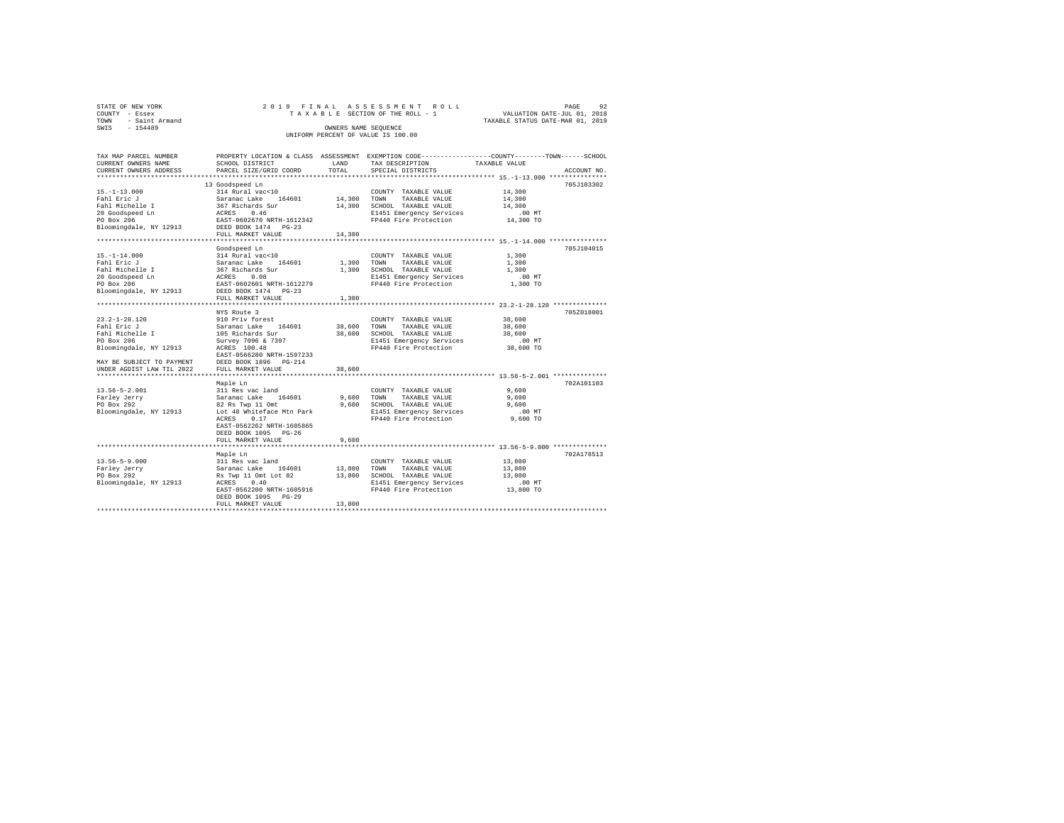| STATE OF NEW YORK   | 2019 FINAL ASSESSMENT ROLL         | 92<br>PAGE                       |
|---------------------|------------------------------------|----------------------------------|
| COUNTY - Essex      | TAXABLE SECTION OF THE ROLL - 1    | VALUATION DATE-JUL 01, 2018      |
| TOWN - Saint Armand |                                    | TAXABLE STATUS DATE-MAR 01, 2019 |
| SWIS<br>$-154489$   | OWNERS NAME SEOUENCE               |                                  |
|                     | UNIFORM PERCENT OF VALUE IS 100.00 |                                  |

| TAX MAP PARCEL NUMBER<br>CURRENT OWNERS NAME               | SCHOOL DISTRICT                                                                   | LAND        | TAX DESCRIPTION             | PROPERTY LOCATION & CLASS ASSESSMENT EXEMPTION CODE----------------COUNTY-------TOWN------SCHOOL<br>TAXABLE VALUE |
|------------------------------------------------------------|-----------------------------------------------------------------------------------|-------------|-----------------------------|-------------------------------------------------------------------------------------------------------------------|
| CURRENT OWNERS ADDRESS                                     | PARCEL SIZE/GRID COORD                                                            | TOTAL       | SPECIAL DISTRICTS           | ACCOUNT NO.                                                                                                       |
|                                                            |                                                                                   |             |                             |                                                                                                                   |
|                                                            | 13 Goodspeed Ln                                                                   |             |                             | 705J103302                                                                                                        |
| $15. - 1 - 13.000$                                         | 314 Rural vac<10                                                                  |             | COUNTY TAXABLE VALUE        | 14,300                                                                                                            |
| Fahl Eric J                                                | Saranac Lake 164601                                                               | 14,300 TOWN | TAXABLE VALUE               | 14,300                                                                                                            |
| Fahl Michelle I                                            | 367 Richards Sur<br>ACRES 0.46<br>EAST-0602670 NRTH-16123<br>DEED BOOK 1474 PG-23 | 14,300      | SCHOOL TAXABLE VALUE        | 14,300                                                                                                            |
| 20 Goodspeed Ln                                            |                                                                                   |             | E1451 Emergency Services    | $.00$ MT                                                                                                          |
| PO Box 206                                                 | EAST-0602670 NRTH-1612342                                                         |             | FP440 Fire Protection       | 14,300 TO                                                                                                         |
| Bloomingdale, NY 12913                                     |                                                                                   |             |                             |                                                                                                                   |
|                                                            | FULL MARKET VALUE                                                                 | 14,300      |                             |                                                                                                                   |
|                                                            | Goodspeed Ln                                                                      |             |                             | 705J104015                                                                                                        |
| $15. - 1 - 14.000$                                         | 314 Rural vac<10                                                                  |             | COUNTY TAXABLE VALUE        | 1,300                                                                                                             |
| Fahl Eric J                                                | Saranac Lake 164601                                                               | 1,300 TOWN  | TAXABLE VALUE               | 1,300                                                                                                             |
| Fahl Michelle I                                            |                                                                                   | 1,300       | SCHOOL TAXABLE VALUE        | 1,300                                                                                                             |
| 20 Goodspeed Ln                                            | 367 Richards Sur<br>ACRES 0.08                                                    |             | E1451 Emergency Services    | $.00$ MT                                                                                                          |
| PO Box 206                                                 | EAST-0602601 NRTH-1612279                                                         |             | FP440 Fire Protection       | 1,300 TO                                                                                                          |
| Bloomingdale, NY 12913                                     | DEED BOOK 1474 PG-23                                                              |             |                             |                                                                                                                   |
|                                                            | FULL MARKET VALUE                                                                 | 1,300       |                             |                                                                                                                   |
|                                                            |                                                                                   |             |                             |                                                                                                                   |
|                                                            | NYS Route 3                                                                       |             |                             | 705Z018001                                                                                                        |
| $23.2 - 1 - 28.120$                                        | 910 Priv forest                                                                   |             | COUNTY TAXABLE VALUE        | 38,600                                                                                                            |
| Fahl Eric J                                                | 164601                                                                            | 38,600 TOWN | TAXABLE VALUE               | 38,600                                                                                                            |
| Fahl Michelle I                                            | Saranac Lake 164<br>105 Richards Sur                                              |             | 38,600 SCHOOL TAXABLE VALUE | 38,600                                                                                                            |
| PO Box 206                                                 | Survey 7096 & 7397                                                                |             | E1451 Emergency Services    | .00 MT                                                                                                            |
| Bloomingdale, NY 12913                                     | ACRES 100.48                                                                      |             | FP440 Fire Protection       | 38,600 TO                                                                                                         |
|                                                            | EAST-0566280 NRTH-1597233                                                         |             |                             |                                                                                                                   |
|                                                            | DEED BOOK 1896 PG-214                                                             |             |                             |                                                                                                                   |
| MAY BE SUBJECT TO PAYMENT<br>All the state of the Til 2022 | FULL MARKET VALUE                                                                 | 38,600      |                             |                                                                                                                   |
|                                                            |                                                                                   |             |                             |                                                                                                                   |
|                                                            | Maple Ln                                                                          |             |                             | 702A101103                                                                                                        |
| $13.56 - 5 - 2.001$                                        | 311 Res vac land                                                                  |             | COUNTY TAXABLE VALUE        | 9,600                                                                                                             |
| Farley Jerry                                               | Saranac Lake 164601                                                               |             | 9,600 TOWN<br>TAXABLE VALUE | 9,600                                                                                                             |
| PO Box 292                                                 | 82 Rs Twp 11 Omt                                                                  | 9,600       | SCHOOL TAXABLE VALUE        | 9,600                                                                                                             |
| Bloomingdale, NY 12913                                     | Lot 48 Whiteface Mtn Park                                                         |             | E1451 Emergency Services    | .00 MT                                                                                                            |
|                                                            | 0.17<br>ACRES                                                                     |             | FP440 Fire Protection       | 9,600 TO                                                                                                          |
|                                                            | EAST-0562262 NRTH-1605865                                                         |             |                             |                                                                                                                   |
|                                                            | DEED BOOK 1095 PG-26                                                              |             |                             |                                                                                                                   |
|                                                            | FULL MARKET VALUE                                                                 | 9,600       |                             |                                                                                                                   |
|                                                            |                                                                                   |             |                             |                                                                                                                   |
|                                                            | Maple Ln                                                                          |             |                             | 702A178513                                                                                                        |
| $13.56 - 5 - 9.000$                                        | 311 Res vac land                                                                  |             | COUNTY TAXABLE VALUE        | 13,800                                                                                                            |
| Farley Jerry                                               | Saranac Lake 164601                                                               | 13,800 TOWN | TAXABLE VALUE               | 13,800                                                                                                            |
| PO Box 292                                                 | Rs Twp 11 Omt Lot 82<br>ACRES 0.40                                                |             | 13,800 SCHOOL TAXABLE VALUE | 13,800                                                                                                            |
| Bloomingdale, NY 12913                                     | ACRES<br>0.40                                                                     |             | E1451 Emergency Services    | $.00$ MT                                                                                                          |
|                                                            | EAST-0562200 NRTH-1605916                                                         |             | FP440 Fire Protection       | 13,800 TO                                                                                                         |
|                                                            | DEED BOOK 1095 PG-29                                                              |             |                             |                                                                                                                   |
|                                                            | FULL MARKET VALUE                                                                 | 13,800      |                             |                                                                                                                   |
|                                                            |                                                                                   |             |                             |                                                                                                                   |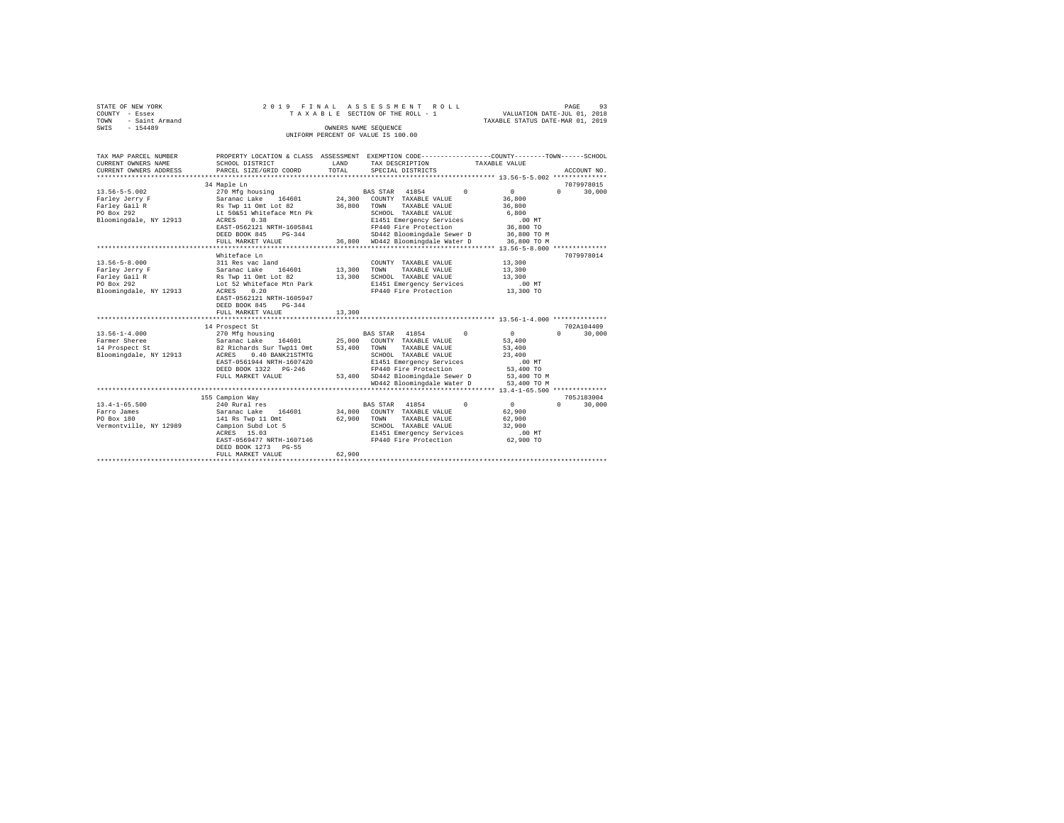|      | STATE OF NEW YORK | 2019 FINAL ASSESSMENT ROLL |  |  |                                    |  |  |  |  |  |                                  | PAGE | - 93 |
|------|-------------------|----------------------------|--|--|------------------------------------|--|--|--|--|--|----------------------------------|------|------|
|      | COUNTY - Essex    |                            |  |  | TAXABLE SECTION OF THE ROLL - 1    |  |  |  |  |  | VALUATION DATE-JUL 01, 2018      |      |      |
| TOWN | - Saint Armand    |                            |  |  |                                    |  |  |  |  |  | TAXABLE STATUS DATE-MAR 01, 2019 |      |      |
| SWIS | $-154489$         |                            |  |  | OWNERS NAME SEOUENCE               |  |  |  |  |  |                                  |      |      |
|      |                   |                            |  |  | UNIFORM PERCENT OF VALUE IS 100.00 |  |  |  |  |  |                                  |      |      |

| TAX MAP PARCEL NUMBER<br>CURRENT OWNERS NAME<br>CURRENT OWNERS ADDRESS                         | SCHOOL DISTRICT<br>PARCEL SIZE/GRID COORD                                                                                                                                                                       | LAND<br>TOTAL              | PROPERTY LOCATION & CLASS ASSESSMENT EXEMPTION CODE---------------COUNTY-------TOWN------SCHOOL<br>TAX DESCRIPTION<br>TAXABLE VALUE<br>SPECIAL DISTRICTS                                                                      | ACCOUNT NO.                                                                                                                           |
|------------------------------------------------------------------------------------------------|-----------------------------------------------------------------------------------------------------------------------------------------------------------------------------------------------------------------|----------------------------|-------------------------------------------------------------------------------------------------------------------------------------------------------------------------------------------------------------------------------|---------------------------------------------------------------------------------------------------------------------------------------|
| $13.56 - 5 - 5.002$<br>Farley Jerry F<br>Farley Gail R<br>PO Box 292<br>Bloomingdale, NY 12913 | 34 Maple Ln<br>270 Mfg housing<br>Saranac Lake 164601<br>Rs Twp 11 Omt Lot 82<br>Lt 50&51 Whiteface Mtn Pk<br>0.38<br>ACRES<br>EAST-0562121 NRTH-1605841<br>DEED BOOK 845<br>$PG-344$<br>FULL MARKET VALUE      | 24,300<br>36,800           | BAS STAR 41854<br>$\Omega$<br>COUNTY TAXABLE VALUE<br>TAXABLE VALUE<br>TOWN<br>SCHOOL TAXABLE VALUE<br>E1451 Emergency Services<br>FP440 Fire Protection<br>SD442 Bloomingdale Sewer D<br>36,800 WD442 Bloomingdale Water D   | 7079978015<br>$\mathbf{0}$<br>$\cap$<br>30,000<br>36,800<br>36,800<br>6,800<br>$.00$ MT<br>36,800 TO<br>36,800 TO M<br>36,800 TO M    |
| $13.56 - 5 - 8.000$<br>Farley Jerry F<br>Farley Gail R<br>PO Box 292<br>Bloomingdale, NY 12913 | Whiteface Ln<br>311 Res vac land<br>164601<br>Saranac Lake<br>Rs Twp 11 Omt Lot 82<br>Lot 52 Whiteface Mtn Park<br>0.20<br>ACRES<br>EAST-0562121 NRTH-1605947<br>DEED BOOK 845<br>$PG-344$<br>FULL MARKET VALUE | 13,300<br>13,300<br>13,300 | COUNTY TAXABLE VALUE<br>TOWN<br>TAXABLE VALUE<br>SCHOOL TAXABLE VALUE<br>E1451 Emergency Services<br>FP440 Fire Protection                                                                                                    | 7079978014<br>13,300<br>13,300<br>13,300<br>$.00$ MT<br>13,300 TO                                                                     |
| $13.56 - 1 - 4.000$<br>Farmer Sheree<br>14 Prospect St<br>Bloomingdale, NY 12913               | 14 Prospect St<br>270 Mfg housing<br>Saranac Lake<br>164601 25,000<br>82 Richards Sur Twp11 Omt<br>ACRES<br>0.40 BANK21STMTG<br>EAST-0561944 NRTH-1607420<br>DEED BOOK 1322 PG-246<br>FULL MARKET VALUE         | 53,400                     | BAS STAR 41854<br>$^{\circ}$<br>COUNTY TAXABLE VALUE<br>TOWN<br>TAXABLE VALUE<br>SCHOOL TAXABLE VALUE<br>E1451 Emergency Services<br>FP440 Fire Protection<br>53,400 SD442 Bloomingdale Sewer D<br>WD442 Bloomingdale Water D | 702A104409<br>$\mathbf{0}$<br>$\Omega$<br>30,000<br>53,400<br>53,400<br>23,400<br>$.00$ MT<br>53,400 TO<br>53,400 TO M<br>53,400 TO M |
| $13.4 - 1 - 65.500$<br>Farro James<br>PO Box 180<br>Vermontville, NY 12989                     | 155 Campion Way<br>240 Rural res<br>164601<br>Saranac Lake<br>141 Rs Twp 11 Omt<br>Campion Subd Lot 5<br>ACRES 15.03<br>EAST-0569477 NRTH-1607146<br>DEED BOOK 1273 PG-55<br>FULL MARKET VALUE                  | 62,900<br>62,900           | BAS STAR 41854<br>$^{\circ}$<br>34,800 COUNTY TAXABLE VALUE<br>TOWN<br>TAXABLE VALUE<br>SCHOOL TAXABLE VALUE<br>E1451 Emergency Services<br>FP440 Fire Protection                                                             | 705J183004<br>30,000<br>$\mathbf{0}$<br>$\Omega$<br>62,900<br>62,900<br>32,900<br>$.00$ MT<br>62,900 TO                               |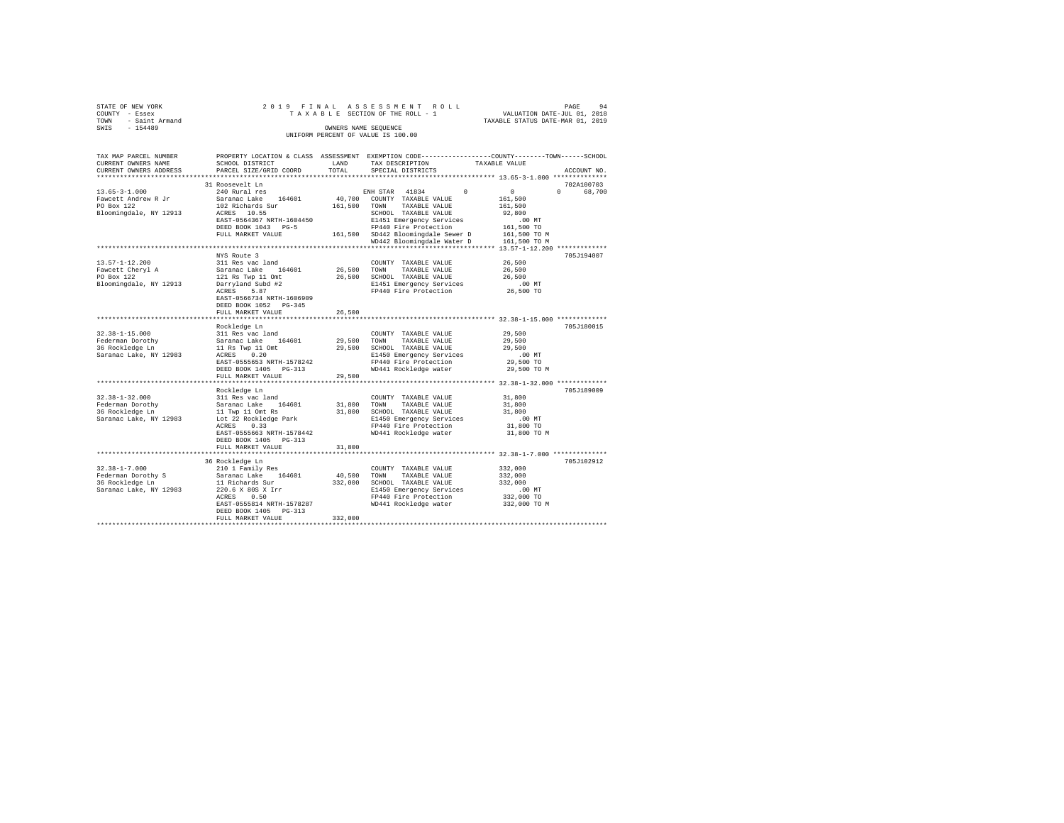| STATE OF NEW YORK   |  |  |  | 2019 FINAL ASSESSMENT ROLL         |  |  |  |                                  |  | PAGE | 94 |
|---------------------|--|--|--|------------------------------------|--|--|--|----------------------------------|--|------|----|
| COUNTY - Essex      |  |  |  | TAXABLE SECTION OF THE ROLL - 1    |  |  |  | VALUATION DATE-JUL 01, 2018      |  |      |    |
| TOWN - Saint Armand |  |  |  |                                    |  |  |  | TAXABLE STATUS DATE-MAR 01, 2019 |  |      |    |
| SWIS<br>$-154489$   |  |  |  | OWNERS NAME SEOUENCE               |  |  |  |                                  |  |      |    |
|                     |  |  |  | UNIFORM PERCENT OF VALUE IS 100.00 |  |  |  |                                  |  |      |    |

| TAX MAP PARCEL NUMBER<br>CURRENT OWNERS NAME<br>CURRENT OWNERS ADDRESS                 | PROPERTY LOCATION & CLASS ASSESSMENT EXEMPTION CODE--------<br>SCHOOL DISTRICT<br>PARCEL SIZE/GRID COORD                                                                                                               | LAND<br>TOTAL                | TAX DESCRIPTION<br>SPECIAL DISTRICTS                                                                                                                                                                                            | ---------COUNTY--------TOWN------SCHOOL<br>TAXABLE VALUE<br>ACCOUNT NO.                                                               |
|----------------------------------------------------------------------------------------|------------------------------------------------------------------------------------------------------------------------------------------------------------------------------------------------------------------------|------------------------------|---------------------------------------------------------------------------------------------------------------------------------------------------------------------------------------------------------------------------------|---------------------------------------------------------------------------------------------------------------------------------------|
|                                                                                        |                                                                                                                                                                                                                        | ********                     |                                                                                                                                                                                                                                 | ************************** 13.65-3-1.000 **************                                                                               |
| $13.65 - 3 - 1.000$<br>Fawcett Andrew R Jr<br>PO Box 122<br>Bloomingdale, NY 12913     | 31 Roosevelt Ln<br>240 Rural res<br>Saranac Lake<br>164601<br>102 Richards Sur<br>ACRES 10.55<br>EAST-0564367 NRTH-1604450<br>DEED BOOK 1043 PG-5<br>FULL MARKET VALUE                                                 | 40,700<br>161,500            | ENH STAR<br>41834<br>$\Omega$<br>COUNTY TAXABLE VALUE<br>TOWN<br>TAXABLE VALUE<br>SCHOOL TAXABLE VALUE<br>E1451 Emergency Services<br>FP440 Fire Protection<br>161,500 SD442 Bloomingdale Sewer D<br>WD442 Bloomingdale Water D | 702A100703<br>$\circ$<br>$\Omega$<br>68,700<br>161,500<br>161,500<br>92,800<br>$.00$ MT<br>161,500 TO<br>161,500 TO M<br>161,500 TO M |
| $13.57 - 1 - 12.200$<br>Fawcett Cheryl A<br>PO Box 122<br>Bloomingdale, NY 12913       | NYS Route 3<br>311 Res vac land<br>Saranac Lake<br>164601<br>121 Rs Twp 11 Omt<br>Darryland Subd #2<br>ACRES<br>5.87<br>EAST-0566734 NRTH-1606909<br>DEED BOOK 1052 PG-345<br>FULL MARKET VALUE<br>******************* | 26,500<br>26,500<br>26,500   | COUNTY TAXABLE VALUE<br>TOWN<br>TAXABLE VALUE<br>SCHOOL TAXABLE VALUE<br>E1451 Emergency Services<br>FP440 Fire Protection                                                                                                      | 705J194007<br>26,500<br>26,500<br>26,500<br>.00MT<br>26,500 TO<br>******************** 32.38-1-15.000 *************                   |
|                                                                                        | Rockledge Ln                                                                                                                                                                                                           |                              |                                                                                                                                                                                                                                 | 705J180015                                                                                                                            |
| $32.38 - 1 - 15.000$<br>Federman Dorothy<br>36 Rockledge Ln<br>Saranac Lake, NY 12983  | 311 Res vac land<br>Saranac Lake<br>164601<br>11 Rs Twp 11 Omt<br>0.20<br>ACRES<br>EAST-0555653 NRTH-1578242<br>DEED BOOK 1405 PG-313<br>FULL MARKET VALUE                                                             | 29,500<br>29,500<br>29,500   | COUNTY TAXABLE VALUE<br>TOWN<br>TAXABLE VALUE<br>SCHOOL TAXABLE VALUE<br>E1450 Emergency Services<br>FP440 Fire Protection<br>WD441 Rockledge water                                                                             | 29,500<br>29,500<br>29,500<br>.00MT<br>29,500 TO<br>29,500 TO M                                                                       |
|                                                                                        | *********************<br>Rockledge Ln                                                                                                                                                                                  |                              |                                                                                                                                                                                                                                 | 705J189009                                                                                                                            |
| $32.38 - 1 - 32.000$<br>Federman Dorothy<br>36 Rockledge Ln<br>Saranac Lake, NY 12983  | 311 Res vac land<br>164601<br>Saranac Lake<br>11 Twp 11 Omt Rs<br>Lot 22 Rockledge Park<br>0.33<br>ACRES<br>EAST-0555663 NRTH-1578442<br>DEED BOOK 1405 PG-313                                                         | 31,800<br>31,800             | COUNTY TAXABLE VALUE<br>TOWN<br>TAXABLE VALUE<br>SCHOOL TAXABLE VALUE<br>E1450 Emergency Services<br>FP440 Fire Protection<br>WD441 Rockledge water                                                                             | 31,800<br>31,800<br>31,800<br>$.00$ MT<br>31,800 TO<br>31,800 TO M                                                                    |
|                                                                                        | FULL MARKET VALUE                                                                                                                                                                                                      | 31,800                       |                                                                                                                                                                                                                                 |                                                                                                                                       |
| $32.38 - 1 - 7.000$<br>Federman Dorothy S<br>36 Rockledge Ln<br>Saranac Lake, NY 12983 | 36 Rockledge Ln<br>210 1 Family Res<br>Saranac Lake<br>164601<br>11 Richards Sur<br>220.6 X 80S X Irr<br>ACRES<br>0.50<br>EAST-0555814 NRTH-1578287<br>DEED BOOK 1405 PG-313<br>FULL MARKET VALUE                      | 40,500<br>332,000<br>332,000 | COUNTY TAXABLE VALUE<br>TOWN<br>TAXABLE VALUE<br>SCHOOL TAXABLE VALUE<br>E1450 Emergency Services<br>FP440 Fire Protection<br>WD441 Rockledge water                                                                             | $32.38 - 1 - 7.000$ *********<br>705J102912<br>332,000<br>332,000<br>332,000<br>.00MT<br>332,000 TO<br>332,000 TO M                   |
|                                                                                        |                                                                                                                                                                                                                        |                              |                                                                                                                                                                                                                                 |                                                                                                                                       |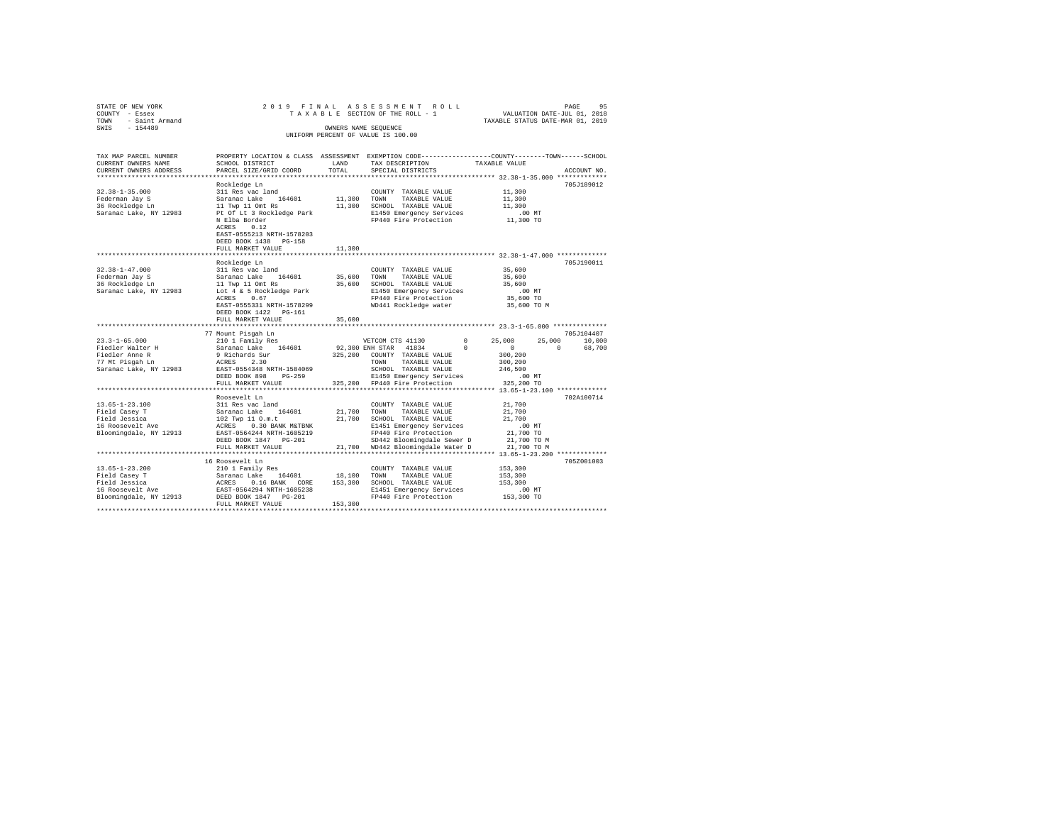| STATE OF NEW YORK<br>COUNTY - Essex<br>TOWN<br>- Saint Armand<br>SWIS - 154489 |                                                                                                                                              | OWNERS NAME SEOUENCE | 2019 FINAL ASSESSMENT ROLL<br>TAXABLE SECTION OF THE ROLL - 1<br>UNIFORM PERCENT OF VALUE IS 100.00 | VALUATION DATE-JUL 01, 2018<br>TAXABLE STATUS DATE-MAR 01, 2019  | 95<br>PAGE    |
|--------------------------------------------------------------------------------|----------------------------------------------------------------------------------------------------------------------------------------------|----------------------|-----------------------------------------------------------------------------------------------------|------------------------------------------------------------------|---------------|
| TAX MAP PARCEL NUMBER<br>CURRENT OWNERS NAME<br>CURRENT OWNERS ADDRESS         | PROPERTY LOCATION & CLASS ASSESSMENT EXEMPTION CODE---------------COUNTY-------TOWN------SCHOOL<br>SCHOOL DISTRICT<br>PARCEL SIZE/GRID COORD | LAND<br>TOTAL        | TAX DESCRIPTION<br>SPECIAL DISTRICTS                                                                | TAXABLE VALUE<br>*************** 32.38-1-35.000 *************    | ACCOUNT NO.   |
|                                                                                | Rockledge Ln                                                                                                                                 |                      |                                                                                                     |                                                                  | 705J189012    |
| $32.38 - 1 - 35.000$                                                           | 311 Res vac land                                                                                                                             |                      | COUNTY TAXABLE VALUE                                                                                | 11,300                                                           |               |
| Federman Jay S                                                                 | Saranac Lake 164601                                                                                                                          | 11,300 TOWN          | TAXABLE VALUE                                                                                       | 11,300                                                           |               |
| regerman Jay S<br>36 Rockledge Ln                                              | 11 Twp 11 Omt Rs                                                                                                                             |                      | 11,300 SCHOOL TAXABLE VALUE                                                                         | 11,300                                                           |               |
| Saranac Lake, NY 12983                                                         | Pt Of Lt 3 Rockledge Park and B1450 Emergency Services<br>N Elba Border and Press PP440 Fire Protection                                      |                      |                                                                                                     | $.00$ MT                                                         |               |
|                                                                                |                                                                                                                                              |                      |                                                                                                     | 11,300 TO                                                        |               |
|                                                                                | ACRES 0.12                                                                                                                                   |                      |                                                                                                     |                                                                  |               |
|                                                                                | EAST-0555213 NRTH-1578203                                                                                                                    |                      |                                                                                                     |                                                                  |               |
|                                                                                | DEED BOOK 1438 PG-158                                                                                                                        |                      |                                                                                                     |                                                                  |               |
|                                                                                | FULL MARKET VALUE                                                                                                                            | 11,300               |                                                                                                     |                                                                  |               |
|                                                                                |                                                                                                                                              |                      |                                                                                                     | *********************************** 32.38-1-47.000 ************* |               |
|                                                                                | Rockledge Ln                                                                                                                                 |                      |                                                                                                     |                                                                  | 705J190011    |
| $32.38 - 1 - 47.000$                                                           | 311 Res vac land                                                                                                                             |                      | COUNTY TAXABLE VALUE                                                                                | 35,600                                                           |               |
| Federman Jay S<br>36 Rockledge Ln                                              | Saranac Lake 164601                                                                                                                          | 35,600               | TOWN<br>TAXABLE VALUE<br>35,600 SCHOOL TAXABLE VALUE                                                | 35,600<br>35,600                                                 |               |
| Saranac Lake, NY 12983                                                         | 11 Twp 11 Omt Rs<br>Lot 4 & 5 Rockledge Park                                                                                                 |                      |                                                                                                     | $.00$ MT                                                         |               |
|                                                                                | ACRES 0.67                                                                                                                                   |                      | E1450 Emergency Services<br>FP440 Fire Protection                                                   | 35,600 TO                                                        |               |
|                                                                                | EAST-0555331 NRTH-1578299                                                                                                                    |                      | WD441 Rockledge water 35,600 TO M                                                                   |                                                                  |               |
|                                                                                | DEED BOOK 1422   PG-161                                                                                                                      |                      |                                                                                                     |                                                                  |               |
|                                                                                | FULL MARKET VALUE                                                                                                                            | 35,600               |                                                                                                     |                                                                  |               |
|                                                                                |                                                                                                                                              |                      |                                                                                                     |                                                                  |               |
|                                                                                | 77 Mount Pisgah Ln                                                                                                                           |                      |                                                                                                     |                                                                  | 705J104407    |
| $23.3 - 1 - 65.000$                                                            | 210 1 Family Res                                                                                                                             |                      | $\sim$ 0<br>VETCOM CTS 41130                                                                        | 25,000                                                           | 25,000 10,000 |
| Fiedler Walter H<br>Fiedler Anne R<br>77 Mt Pisgah Ln                          | Saranac Lake 164601                                                                                                                          |                      | 92,300 ENH STAR 41834<br>$\Omega$                                                                   | $\sim$ 0<br>$\sim$ 0                                             | 68,700        |
|                                                                                | 9 Richards Sur                                                                                                                               |                      | 325,200 COUNTY TAXABLE VALUE                                                                        | 300,200                                                          |               |
|                                                                                | ACRES 2.30                                                                                                                                   |                      | TAXABLE VALUE<br>TOWN                                                                               | 300,200                                                          |               |
| Saranac Lake, NY 12983                                                         | EAST-0554348 NRTH-1584069                                                                                                                    |                      | SCHOOL TAXABLE VALUE                                                                                | 246,500                                                          |               |
|                                                                                | DEED BOOK 898 PG-259                                                                                                                         |                      | E1450 Emergency Services                                                                            | $.00$ MT                                                         |               |
|                                                                                | FULL MARKET VALUE                                                                                                                            |                      | 325,200 FP440 Fire Protection                                                                       | 325,200 TO                                                       |               |
|                                                                                |                                                                                                                                              |                      |                                                                                                     |                                                                  |               |
|                                                                                | Roosevelt Ln                                                                                                                                 |                      |                                                                                                     |                                                                  | 702A100714    |
| $13.65 - 1 - 23.100$                                                           | 311 Res vac land<br>Saranac Lake 164601 21,700 TOWN                                                                                          |                      | COUNTY TAXABLE VALUE                                                                                | 21,700                                                           |               |
| Field Casey T                                                                  |                                                                                                                                              |                      | TAXABLE VALUE                                                                                       | 21,700                                                           |               |
|                                                                                |                                                                                                                                              |                      |                                                                                                     | 21,700<br>$.00$ MT                                               |               |
|                                                                                |                                                                                                                                              |                      |                                                                                                     | 21,700 TO                                                        |               |
|                                                                                |                                                                                                                                              |                      |                                                                                                     | 21,700 TO M                                                      |               |
|                                                                                | FULL MARKET VALUE                                                                                                                            |                      | 21,700 WD442 Bloomingdale Water D                                                                   | 21,700 TO M                                                      |               |
|                                                                                |                                                                                                                                              |                      |                                                                                                     |                                                                  |               |
|                                                                                | 16 Roosevelt Ln                                                                                                                              |                      |                                                                                                     |                                                                  | 705Z001003    |
| $13.65 - 1 - 23.200$                                                           | 210 1 Family Res                                                                                                                             |                      | COUNTY TAXABLE VALUE                                                                                | 153,300                                                          |               |
| Field Casey T                                                                  | Saranac Lake 164601                                                                                                                          | 18,100 TOWN          | TAXABLE VALUE                                                                                       | 153,300                                                          |               |
|                                                                                | ACRES 0.16 BANK CORE                                                                                                                         |                      | 153,300 SCHOOL TAXABLE VALUE                                                                        | 153,300                                                          |               |
| Field Jessica<br>16 Roosevelt Ave                                              | EAST-0564294 NRTH-1605238                                                                                                                    |                      | E1451 Emergency Services                                                                            | $.00$ MT                                                         |               |
| Bloomingdale, NY 12913                                                         | DEED BOOK 1847 PG-201                                                                                                                        |                      | FP440 Fire Protection                                                                               | 153,300 TO                                                       |               |
|                                                                                | FULL MARKET VALUE                                                                                                                            | 153,300              |                                                                                                     |                                                                  |               |
|                                                                                |                                                                                                                                              |                      |                                                                                                     |                                                                  |               |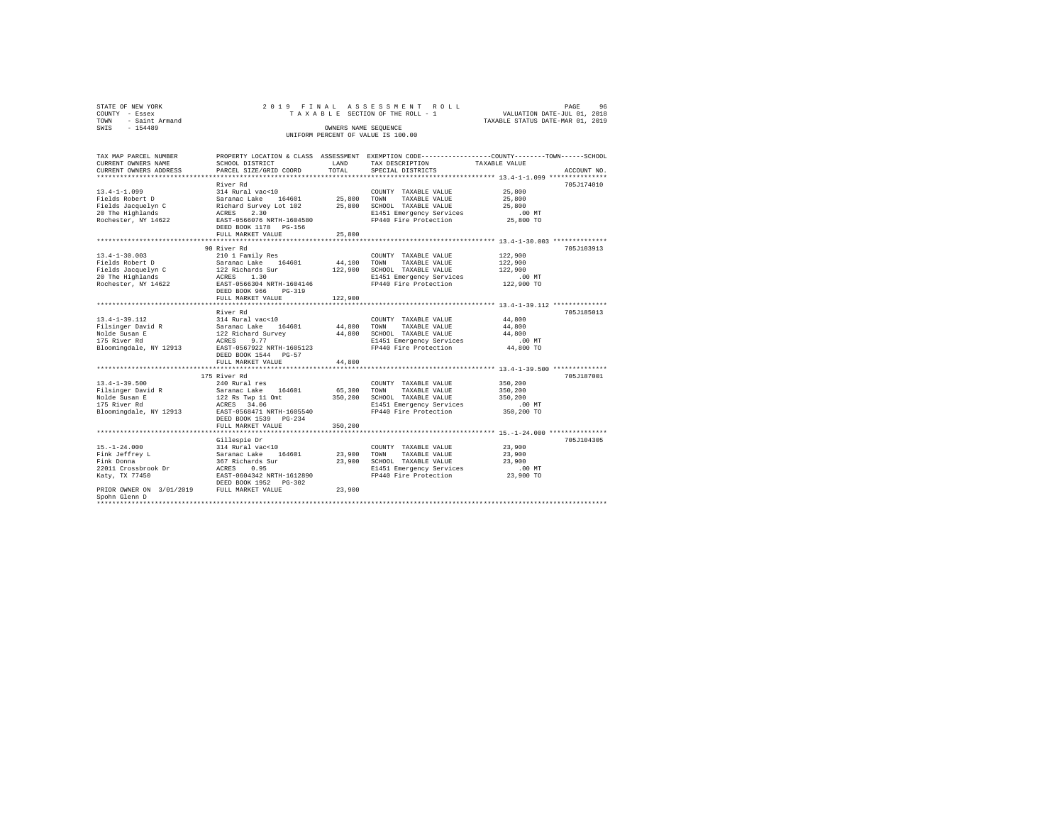| STATE OF NEW YORK<br>COUNTY - Essex   | 2019 FINAL                                |                  | ASSESSMENT ROLL<br>TAXABLE SECTION OF THE ROLL - 1 | PAGE<br>VALUATION DATE-JUL 01, 2018                                                             | 96          |
|---------------------------------------|-------------------------------------------|------------------|----------------------------------------------------|-------------------------------------------------------------------------------------------------|-------------|
| TOWN<br>- Saint Armand                |                                           |                  |                                                    | TAXABLE STATUS DATE-MAR 01, 2019                                                                |             |
| SWIS - 154489                         |                                           |                  | OWNERS NAME SEQUENCE                               |                                                                                                 |             |
|                                       |                                           |                  | UNIFORM PERCENT OF VALUE IS 100.00                 |                                                                                                 |             |
| TAX MAP PARCEL NUMBER                 |                                           |                  |                                                    | PROPERTY LOCATION & CLASS ASSESSMENT EXEMPTION CODE---------------COUNTY-------TOWN------SCHOOL |             |
| CURRENT OWNERS NAME                   | SCHOOL DISTRICT                           | LAND             | TAX DESCRIPTION                                    | TAXABLE VALUE                                                                                   |             |
| CURRENT OWNERS ADDRESS                | PARCEL SIZE/GRID COORD                    | TOTAL            | SPECIAL DISTRICTS                                  |                                                                                                 | ACCOUNT NO. |
|                                       |                                           |                  |                                                    |                                                                                                 |             |
|                                       | River Rd                                  |                  |                                                    |                                                                                                 | 705J174010  |
| $13.4 - 1 - 1.099$                    | 314 Rural vac<10                          |                  | COUNTY TAXABLE VALUE                               | 25,800                                                                                          |             |
| Fields Robert D<br>Fields Jacquelyn C | Saranac Lake 164601                       | 25,800<br>25,800 | TOWN<br>TAXABLE VALUE<br>SCHOOL TAXABLE VALUE      | 25,800<br>25,800                                                                                |             |
| 20 The Highlands                      | Richard Survey Lot 102<br>2.30<br>ACRES   |                  | E1451 Emergency Services                           | $.00$ MT                                                                                        |             |
| Rochester, NY 14622                   | EAST-0566076 NRTH-1604580                 |                  | FP440 Fire Protection                              | 25,800 TO                                                                                       |             |
|                                       | DEED BOOK 1178  PG-156                    |                  |                                                    |                                                                                                 |             |
|                                       | FULL MARKET VALUE                         | 25,800           |                                                    |                                                                                                 |             |
|                                       |                                           |                  |                                                    |                                                                                                 |             |
|                                       | 90 River Rd                               |                  |                                                    |                                                                                                 | 705J103913  |
| $13.4 - 1 - 30.003$                   | 210 1 Family Res                          |                  | COUNTY TAXABLE VALUE                               | 122,900                                                                                         |             |
| Fields Robert D                       | Saranac Lake 164601                       | 44,100           | TOWN<br>TAXABLE VALUE                              | 122,900                                                                                         |             |
| Fields Jacquelyn C                    | 122 Richards Sur                          | 122,900          | SCHOOL TAXABLE VALUE                               | 122,900                                                                                         |             |
| 20 The Highlands                      | ACRES 1.30                                |                  | E1451 Emergency Services                           | $.00$ MT                                                                                        |             |
| Rochester, NY 14622                   | EAST-0566304 NRTH-1604146                 |                  | FP440 Fire Protection                              | 122,900 TO                                                                                      |             |
|                                       | DEED BOOK 966 PG-319<br>FULL MARKET VALUE | 122,900          |                                                    |                                                                                                 |             |
|                                       |                                           |                  |                                                    |                                                                                                 |             |
|                                       | River Rd                                  |                  |                                                    |                                                                                                 | 705J185013  |
| $13.4 - 1 - 39.112$                   | 314 Rural vac<10                          |                  | COUNTY TAXABLE VALUE                               | 44,800                                                                                          |             |
| Filsinger David R                     | Saranac Lake<br>164601                    | 44,800           | TOWN<br>TAXABLE VALUE                              | 44,800                                                                                          |             |
| Nolde Susan E                         | 122 Richard Survey                        | 44,800           | SCHOOL TAXABLE VALUE                               | 44,800                                                                                          |             |
| 175 River Rd                          | ACRES<br>9.77                             |                  | E1451 Emergency Services                           | $.00$ MT                                                                                        |             |
| Bloomingdale, NY 12913                | EAST-0567922 NRTH-1605123                 |                  | FP440 Fire Protection                              | 44,800 TO                                                                                       |             |
|                                       | DEED BOOK 1544 PG-57                      |                  |                                                    |                                                                                                 |             |
|                                       | FULL MARKET VALUE                         | 44,800           |                                                    |                                                                                                 |             |
|                                       |                                           |                  |                                                    |                                                                                                 |             |
| $13.4 - 1 - 39.500$                   | 175 River Rd<br>240 Rural res             |                  |                                                    | 350,200                                                                                         | 705J187001  |
| Filsinger David R                     | Saranac Lake 164601                       | 65,300           | COUNTY TAXABLE VALUE<br>TOWN<br>TAXABLE VALUE      | 350,200                                                                                         |             |
| Nolde Susan E                         | 122 Rs Twp 11 Omt                         | 350,200          | SCHOOL TAXABLE VALUE                               | 350,200                                                                                         |             |
| 175 River Rd                          | ACRES 34.06                               |                  | E1451 Emergency Services                           | $.00$ MT                                                                                        |             |
| Bloomingdale, NY 12913                | EAST-0568471 NRTH-1605540                 |                  | FP440 Fire Protection                              | 350,200 TO                                                                                      |             |
|                                       | DEED BOOK 1539 PG-234                     |                  |                                                    |                                                                                                 |             |
|                                       | FULL MARKET VALUE                         | 350,200          |                                                    |                                                                                                 |             |
|                                       |                                           |                  |                                                    |                                                                                                 |             |
|                                       | Gillespie Dr                              |                  |                                                    |                                                                                                 | 705J104305  |
| $15. - 1 - 24.000$                    | 314 Rural vac<10                          |                  | COUNTY TAXABLE VALUE                               | 23,900                                                                                          |             |
| Fink Jeffrey L                        | Saranac Lake 164601                       | 23,900           | TOWN<br>TAXABLE VALUE                              | 23,900                                                                                          |             |
| Fink Donna                            | 367 Richards Sur                          | 23,900           | SCHOOL TAXABLE VALUE                               | 23,900                                                                                          |             |
| 22011 Crossbrook Dr                   | ACRES<br>0.95                             |                  | E1451 Emergency Services                           | $.00$ MT                                                                                        |             |
| Katy, TX 77450                        | EAST-0604342 NRTH-1612890                 |                  | FP440 Fire Protection                              | 23,900 TO                                                                                       |             |

Fink Jeffrey L<br>
Fink Jeffrey L<br>
Fink Jeffrey L<br>
23,900<br>
22011 Crossbrook Dr<br>
23,900<br>
22011 Crossbrook Dr<br>
23,900<br>
22011 Crossbrook Dr<br>
23,900<br>
23,900<br>
23,900<br>
23,900<br>
23,900<br>
23,900<br>
23,900<br>
23,900<br>
23,900<br>
23,900<br>
23,900 DEED BOOK 1952 PG-302 PRIOR OWNER ON 3/01/2019 FULL MARKET VALUE 23,900 Spohn Glenn D \*\*\*\*\*\*\*\*\*\*\*\*\*\*\*\*\*\*\*\*\*\*\*\*\*\*\*\*\*\*\*\*\*\*\*\*\*\*\*\*\*\*\*\*\*\*\*\*\*\*\*\*\*\*\*\*\*\*\*\*\*\*\*\*\*\*\*\*\*\*\*\*\*\*\*\*\*\*\*\*\*\*\*\*\*\*\*\*\*\*\*\*\*\*\*\*\*\*\*\*\*\*\*\*\*\*\*\*\*\*\*\*\*\*\*\*\*\*\*\*\*\*\*\*\*\*\*\*\*\*\*\*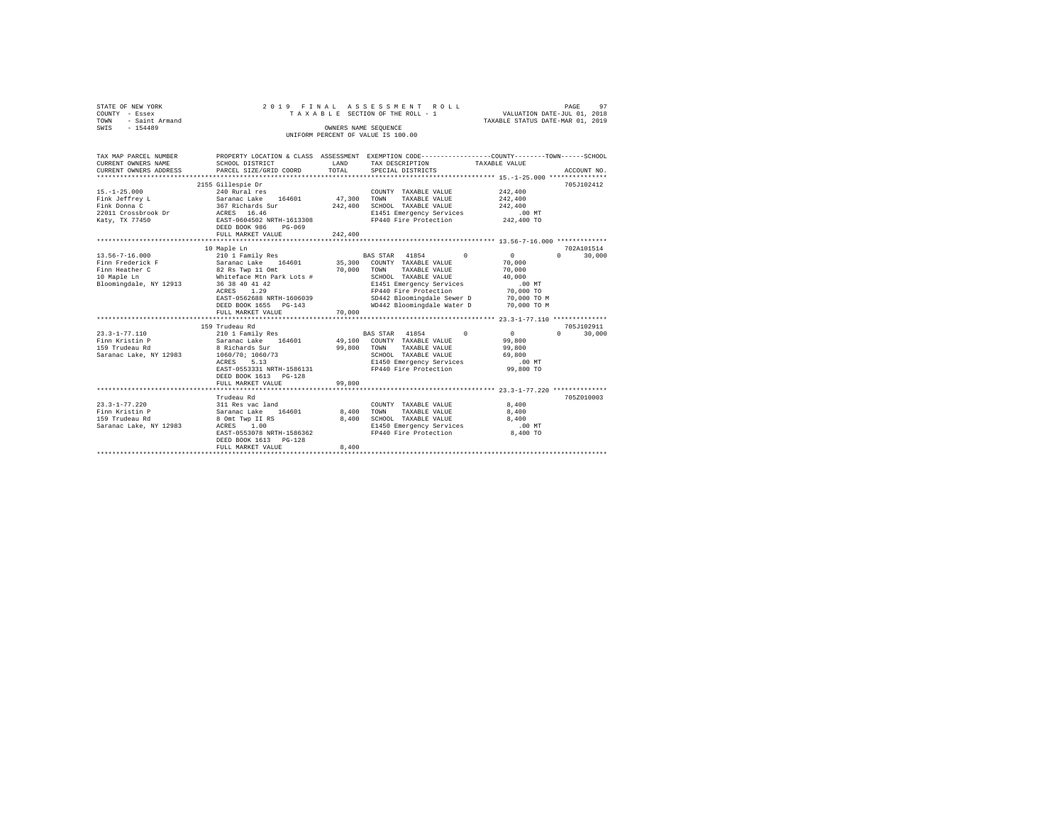| STATE OF NEW YORK<br>COUNTY - Essex<br>TOWN<br>- Saint Armand<br>$-154489$<br>SWIS                                                                                                       | 2019 FINAL                                                                                                                                                                                                                                                                                                                                                                                        |                                      | ASSESSMENT ROLL<br>TAXABLE SECTION OF THE ROLL - 1<br>OWNERS NAME SEOUENCE<br>UNIFORM PERCENT OF VALUE IS 100.00                                                                                                                                                                                                                                                                  | VALUATION DATE-JUL 01, 2018<br>TAXABLE STATUS DATE-MAR 01, 2019                                                                                               | 97<br>PAGE                                             |
|------------------------------------------------------------------------------------------------------------------------------------------------------------------------------------------|---------------------------------------------------------------------------------------------------------------------------------------------------------------------------------------------------------------------------------------------------------------------------------------------------------------------------------------------------------------------------------------------------|--------------------------------------|-----------------------------------------------------------------------------------------------------------------------------------------------------------------------------------------------------------------------------------------------------------------------------------------------------------------------------------------------------------------------------------|---------------------------------------------------------------------------------------------------------------------------------------------------------------|--------------------------------------------------------|
|                                                                                                                                                                                          |                                                                                                                                                                                                                                                                                                                                                                                                   |                                      |                                                                                                                                                                                                                                                                                                                                                                                   |                                                                                                                                                               |                                                        |
| TAX MAP PARCEL NUMBER<br>CURRENT OWNERS NAME<br>CURRENT OWNERS ADDRESS                                                                                                                   | SCHOOL DISTRICT<br>PARCEL SIZE/GRID COORD                                                                                                                                                                                                                                                                                                                                                         | LAND<br>TOTAL                        | PROPERTY LOCATION & CLASS ASSESSMENT EXEMPTION CODE---------------COUNTY-------TOWN------SCHOOL<br>TAX DESCRIPTION<br>SPECIAL DISTRICTS                                                                                                                                                                                                                                           | TAXABLE VALUE                                                                                                                                                 | ACCOUNT NO.                                            |
|                                                                                                                                                                                          |                                                                                                                                                                                                                                                                                                                                                                                                   |                                      |                                                                                                                                                                                                                                                                                                                                                                                   |                                                                                                                                                               |                                                        |
| $15. - 1 - 25.000$<br>Fink Jeffrey L<br>Fink Donna C<br>22011 Crossbrook Dr<br>Katy, TX 77450                                                                                            | 2155 Gillespie Dr<br>240 Rural res<br>Saranac Lake 164601<br>367 Richards Sur<br>ACRES 16.46<br>EAST-0604502 NRTH-1613308<br>DEED BOOK 986<br>PG-069                                                                                                                                                                                                                                              | 47.300 TOWN<br>242,400               | COUNTY TAXABLE VALUE<br>TAXABLE VALUE<br>SCHOOL TAXABLE VALUE<br>E1451 Emergency Services<br>FP440 Fire Protection                                                                                                                                                                                                                                                                | 242,400<br>242,400<br>242,400<br>$.00$ MT<br>242,400 TO                                                                                                       | 705J102412                                             |
|                                                                                                                                                                                          | FULL MARKET VALUE                                                                                                                                                                                                                                                                                                                                                                                 | 242,400                              |                                                                                                                                                                                                                                                                                                                                                                                   |                                                                                                                                                               |                                                        |
|                                                                                                                                                                                          | 10 Maple Ln                                                                                                                                                                                                                                                                                                                                                                                       |                                      |                                                                                                                                                                                                                                                                                                                                                                                   |                                                                                                                                                               | 702A101514                                             |
| $13.56 - 7 - 16.000$<br>Finn Frederick F<br>Finn Heather C<br>10 Maple Ln<br>Bloomingdale, NY 12913<br>$23.3 - 1 - 77.110$<br>Finn Kristin P<br>159 Trudeau Rd<br>Saranac Lake, NY 12983 | 210 1 Family Res<br>210 1 Family kes<br>Saranac Lake 164601<br>82 Rs Twp 11 Omt<br>Whiteface Mtn Park Lots #<br>36 38 40 41 42<br>ACRES 1.29<br>EAST-0562688 NRTH-1606039<br>DEED BOOK 1655 PG-143<br>FULL MARKET VALUE<br>159 Trudeau Rd<br>210 1 Family Res<br>Saranac Lake 164601<br>8 Richards Sur<br>1060/70; 1060/73<br>5.13<br>ACRES<br>EAST-0553331 NRTH-1586131<br>DEED BOOK 1613 PG-128 | 35,300<br>70,000<br>70,000<br>99,800 | BAS STAR 41854<br>$\Omega$<br>COUNTY TAXABLE VALUE<br>TOWN TAXABLE VALUE<br>SCHOOL TAXABLE VALUE<br>E1451 Emergency Services<br>FP440 Fire Protection<br>SD442 Bloomingdale Sewer D<br>WD442 Bloomingdale Water D<br>BAS STAR 41854<br>$\Omega$<br>49,100 COUNTY TAXABLE VALUE<br>TOWN TAXABLE VALUE<br>SCHOOL TAXABLE VALUE<br>E1450 Emergency Services<br>FP440 Fire Protection | $\sim$ 0<br>70,000<br>70,000<br>40,000<br>$.00$ MT<br>70,000 TO<br>70,000 TO M<br>70,000 TO M<br>$\sim$ 0<br>99,800<br>99,800<br>69,800<br>.00MT<br>99,800 TO | $\Omega$<br>30,000<br>705J102911<br>$\Omega$<br>30,000 |
|                                                                                                                                                                                          | FULL MARKET VALUE                                                                                                                                                                                                                                                                                                                                                                                 | 99,800                               |                                                                                                                                                                                                                                                                                                                                                                                   |                                                                                                                                                               |                                                        |
| $23.3 - 1 - 77.220$<br>Finn Kristin P<br>159 Trudeau Rd<br>Saranac Lake, NY 12983                                                                                                        | Trudeau Rd<br>311 Res vac land<br>Saranac Lake 164601<br>8 Omt Twp II RS<br>ACRES 1.00<br>EAST-0553078 NRTH-1586362<br>DEED BOOK 1613 PG-128<br>FULL MARKET VALUE                                                                                                                                                                                                                                 | 8,400<br>8.400<br>8,400              | COUNTY TAXABLE VALUE<br>TOWN<br>TAXABLE VALUE<br>SCHOOL TAXABLE VALUE<br>E1450 Emergency Services<br>FP440 Fire Protection                                                                                                                                                                                                                                                        | 8,400<br>8,400<br>8,400<br>$.00$ MT<br>8,400 TO                                                                                                               | 705Z010003                                             |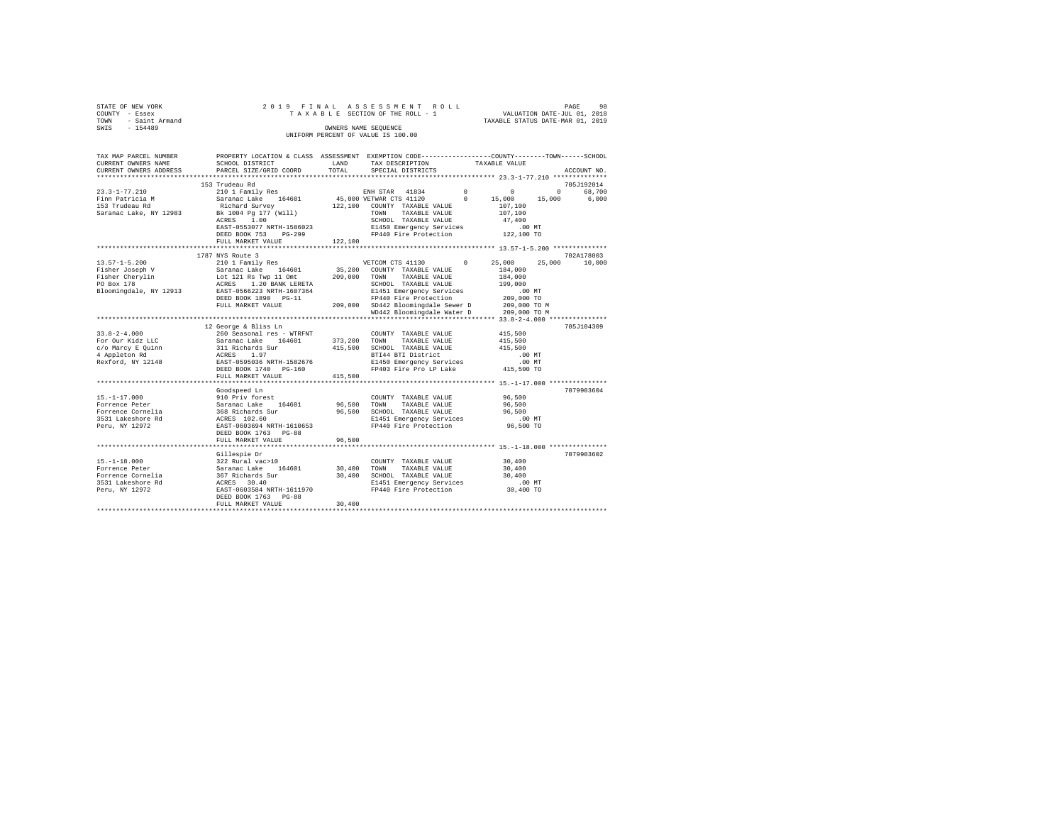| STATE OF NEW YORK   | 2019 FINAL ASSESSMENT ROLL         | 98<br>PAGE                       |
|---------------------|------------------------------------|----------------------------------|
| COUNTY - Essex      | TAXABLE SECTION OF THE ROLL - 1    | VALUATION DATE-JUL 01, 2018      |
| TOWN - Saint Armand |                                    | TAXABLE STATUS DATE-MAR 01, 2019 |
| SWIS<br>$-154489$   | OWNERS NAME SEOUENCE               |                                  |
|                     | UNIFORM PERCENT OF VALUE IS 100.00 |                                  |
|                     |                                    |                                  |

| TAX MAP PARCEL NUMBER  | PROPERTY LOCATION & CLASS ASSESSMENT EXEMPTION CODE---------------COUNTY-------TOWN-----SCHOOL                     |         |                                                                                                    |                    |             |  |
|------------------------|--------------------------------------------------------------------------------------------------------------------|---------|----------------------------------------------------------------------------------------------------|--------------------|-------------|--|
| CURRENT OWNERS NAME    | SCHOOL DISTRICT                                                                                                    | LAND    | TAX DESCRIPTION                                                                                    | TAXABLE VALUE      |             |  |
| CURRENT OWNERS ADDRESS | PARCEL SIZE/GRID COORD                                                                                             | TOTAL   | SPECIAL DISTRICTS                                                                                  |                    | ACCOUNT NO. |  |
|                        |                                                                                                                    |         |                                                                                                    |                    |             |  |
|                        | 153 Trudeau Rd                                                                                                     |         |                                                                                                    |                    | 705J192014  |  |
|                        |                                                                                                                    |         |                                                                                                    |                    |             |  |
|                        |                                                                                                                    |         |                                                                                                    |                    |             |  |
|                        |                                                                                                                    |         |                                                                                                    |                    |             |  |
|                        |                                                                                                                    |         |                                                                                                    |                    |             |  |
|                        |                                                                                                                    |         | ---, TOWN TAXABLE VALUE<br>SCHOOL TAXABLE VALUE<br>----- Services                                  |                    |             |  |
|                        | EAST-0553077 NRTH-1586023 E1450 Emergency Services .00 MT<br>DEED BOOK 753 PG-299 FP440 Fire Protection 122,100 TO |         |                                                                                                    |                    |             |  |
|                        |                                                                                                                    |         |                                                                                                    |                    |             |  |
|                        | FULL MARKET VALUE                                                                                                  | 122,100 |                                                                                                    |                    |             |  |
|                        |                                                                                                                    |         |                                                                                                    |                    |             |  |
|                        | 1787 NYS Route 3                                                                                                   |         |                                                                                                    |                    | 702A178003  |  |
|                        |                                                                                                                    |         | VETCOM CTS 41130 0 25,000 25,000                                                                   |                    | 10,000      |  |
|                        |                                                                                                                    |         |                                                                                                    | 184,000<br>184,000 |             |  |
|                        |                                                                                                                    |         |                                                                                                    |                    |             |  |
|                        |                                                                                                                    |         |                                                                                                    |                    |             |  |
|                        |                                                                                                                    |         |                                                                                                    |                    |             |  |
|                        |                                                                                                                    |         |                                                                                                    |                    |             |  |
|                        |                                                                                                                    |         |                                                                                                    |                    |             |  |
|                        |                                                                                                                    |         |                                                                                                    |                    |             |  |
|                        |                                                                                                                    |         |                                                                                                    |                    |             |  |
|                        | 12 George & Bliss Ln                                                                                               |         |                                                                                                    |                    | 705J104309  |  |
|                        |                                                                                                                    |         |                                                                                                    | 415,500            |             |  |
|                        |                                                                                                                    |         |                                                                                                    |                    |             |  |
|                        |                                                                                                                    |         |                                                                                                    |                    |             |  |
|                        |                                                                                                                    |         |                                                                                                    |                    |             |  |
|                        |                                                                                                                    |         | BTI44 BTI District .00 MT<br>E1450 Emergency Services .00 MT<br>FP403 Fire Pro LP Lake  415,500 TO |                    |             |  |
|                        |                                                                                                                    |         |                                                                                                    |                    |             |  |
|                        | FULL MARKET VALUE                                                                                                  | 415,500 |                                                                                                    |                    |             |  |
|                        |                                                                                                                    |         |                                                                                                    |                    |             |  |
|                        | Goodspeed Ln                                                                                                       |         |                                                                                                    |                    | 7079903604  |  |
|                        |                                                                                                                    |         | COUNTY TAXABLE VALUE 96.500                                                                        |                    |             |  |
|                        |                                                                                                                    |         | 96,500 TOWN TAXABLE VALUE 96,500<br>96,500 SCHOOL TAXABLE VALUE 96,500                             |                    |             |  |
|                        |                                                                                                                    |         |                                                                                                    |                    |             |  |
|                        |                                                                                                                    |         | E1451 Emergency Services .00 MT<br>FP440 Fire Protection  96,500 TO                                |                    |             |  |
|                        |                                                                                                                    |         |                                                                                                    |                    |             |  |
|                        | DEED BOOK 1763 PG-88                                                                                               |         |                                                                                                    |                    |             |  |
|                        | FULL MARKET VALUE                                                                                                  | 96,500  |                                                                                                    |                    |             |  |
|                        |                                                                                                                    |         |                                                                                                    |                    |             |  |
|                        | Gillespie Dr                                                                                                       |         |                                                                                                    |                    | 7079903602  |  |
|                        |                                                                                                                    |         |                                                                                                    |                    |             |  |
|                        |                                                                                                                    |         |                                                                                                    |                    |             |  |
|                        |                                                                                                                    |         |                                                                                                    |                    |             |  |
|                        |                                                                                                                    |         |                                                                                                    |                    |             |  |
|                        |                                                                                                                    |         |                                                                                                    |                    |             |  |
|                        | DEED BOOK 1763 PG-88                                                                                               |         |                                                                                                    |                    |             |  |
|                        | FULL MARKET VALUE                                                                                                  | 30,400  |                                                                                                    |                    |             |  |
|                        |                                                                                                                    |         |                                                                                                    |                    |             |  |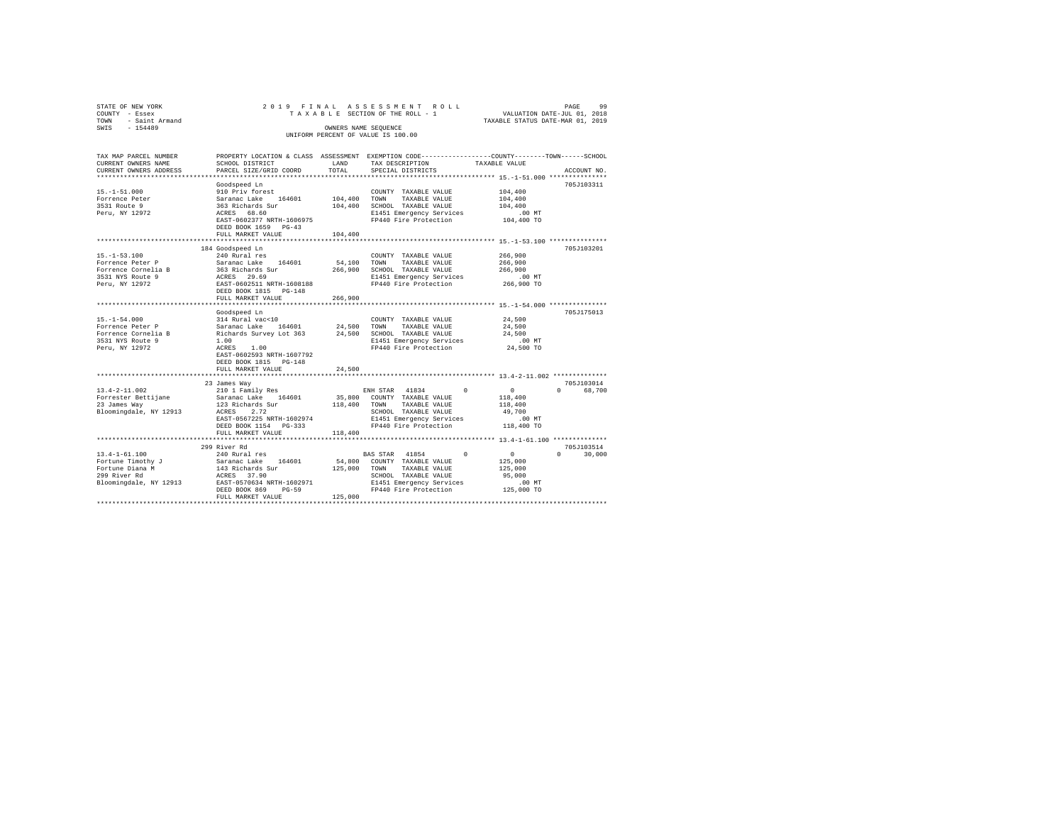| STATE OF NEW YORK      | 2019 FINAL                                      |                        | ASSESSMENT<br>ROLL                                                                             | 99<br>PAGE                                          |
|------------------------|-------------------------------------------------|------------------------|------------------------------------------------------------------------------------------------|-----------------------------------------------------|
| COUNTY - Essex         |                                                 |                        | TAXABLE SECTION OF THE ROLL - 1                                                                | VALUATION DATE-JUL 01, 2018                         |
| - Saint Armand<br>TOWN |                                                 |                        |                                                                                                | TAXABLE STATUS DATE-MAR 01, 2019                    |
| $-154489$<br>SWIS      |                                                 | OWNERS NAME SEQUENCE   |                                                                                                |                                                     |
|                        |                                                 |                        | UNIFORM PERCENT OF VALUE IS 100.00                                                             |                                                     |
|                        |                                                 |                        |                                                                                                |                                                     |
| TAX MAP PARCEL NUMBER  |                                                 |                        | PROPERTY LOCATION & CLASS ASSESSMENT EXEMPTION CODE---------------COUNTY-------TOWN-----SCHOOL |                                                     |
| CURRENT OWNERS NAME    | SCHOOL DISTRICT                                 | LAND                   | TAX DESCRIPTION                                                                                | TAXABLE VALUE                                       |
| CURRENT OWNERS ADDRESS | PARCEL SIZE/GRID COORD                          | TOTAL                  | SPECIAL DISTRICTS                                                                              | ACCOUNT NO.                                         |
|                        |                                                 |                        |                                                                                                |                                                     |
|                        | Goodspeed Ln                                    |                        |                                                                                                | 705J103311                                          |
| $15. -1 - 51.000$      | 910 Priv forest                                 |                        | COUNTY TAXABLE VALUE                                                                           | 104,400                                             |
| Forrence Peter         | Saranac Lake 164601<br>363 Richards Sur         | 104,400                | TOWN<br>TAXABLE VALUE                                                                          | 104,400                                             |
| 3531 Route 9           |                                                 | 104,400                | SCHOOL TAXABLE VALUE                                                                           | 104,400                                             |
| Peru, NY 12972         | ACRES 68.60                                     |                        | E1451 Emergency Services                                                                       | $.00$ MT                                            |
|                        | EAST-0602377 NRTH-1606975                       |                        | FP440 Fire Protection                                                                          | 104,400 TO                                          |
|                        | DEED BOOK 1659 PG-43                            |                        |                                                                                                |                                                     |
|                        | FULL MARKET VALUE                               | 104,400                |                                                                                                |                                                     |
|                        | **********************                          |                        |                                                                                                | ********************** 15.-1-53.100 *************** |
|                        | 184 Goodspeed Ln                                |                        |                                                                                                | 705J103201                                          |
| $15. - 1 - 53.100$     | 240 Rural res                                   |                        | COUNTY TAXABLE VALUE                                                                           | 266,900                                             |
| Forrence Peter P       | Saranac Lake 164601                             | 54,100                 | TOWN<br>TAXABLE VALUE                                                                          | 266,900                                             |
| Forrence Cornelia B    | 363 Richards Sur                                | 266,900                | SCHOOL TAXABLE VALUE                                                                           | 266,900                                             |
| 3531 NYS Route 9       | ACRES 29.69                                     |                        | E1451 Emergency Services                                                                       | .00 MT                                              |
| Peru, NY 12972         | EAST-0602511 NRTH-1608188                       |                        | FP440 Fire Protection                                                                          | 266,900 TO                                          |
|                        | DEED BOOK 1815 PG-148                           |                        |                                                                                                |                                                     |
|                        | FULL MARKET VALUE<br>************************** | 266,900<br>*********** |                                                                                                |                                                     |
|                        |                                                 |                        |                                                                                                | 705.T175013                                         |
| $15. -1 - 54.000$      | Goodspeed Ln<br>314 Rural vac<10                |                        | COUNTY TAXABLE VALUE                                                                           | 24,500                                              |
| Forrence Peter P       | Saranac Lake<br>164601                          | 24,500                 | TOWN<br>TAXABLE VALUE                                                                          | 24,500                                              |
| Forrence Cornelia B    | Richards Survey Lot 363                         | 24,500                 | SCHOOL TAXABLE VALUE                                                                           | 24,500                                              |
| 3531 NYS Route 9       | 1.00                                            |                        | E1451 Emergency Services                                                                       | $.00$ MT                                            |
| Peru, NY 12972         | ACRES 1.00                                      |                        | FP440 Fire Protection                                                                          | 24,500 TO                                           |
|                        | EAST-0602593 NRTH-1607792                       |                        |                                                                                                |                                                     |
|                        | DEED BOOK 1815 PG-148                           |                        |                                                                                                |                                                     |
|                        | FULL MARKET VALUE                               | 24,500                 |                                                                                                |                                                     |
|                        |                                                 |                        |                                                                                                |                                                     |
|                        | 23 James Way                                    |                        |                                                                                                | 705J103014                                          |
| $13.4 - 2 - 11.002$    | 210 1 Family Res                                |                        | ENH STAR 41834<br>$\Omega$                                                                     | $\Omega$<br>$\Omega$<br>68,700                      |
| Forrester Bettijane    | Saranac Lake 164601                             | 35,800                 | COUNTY TAXABLE VALUE                                                                           | 118,400                                             |
| 23 James Way           | 123 Richards Sur                                | 118,400                | TOWN<br>TAXABLE VALUE                                                                          | 118,400                                             |
| Bloomingdale, NY 12913 | ACRES<br>2.72                                   |                        | SCHOOL TAXABLE VALUE                                                                           | 49,700                                              |
|                        | EAST-0567225 NRTH-1602974                       |                        | E1451 Emergency Services                                                                       | $.00$ MT                                            |
|                        | DEED BOOK 1154 PG-333                           |                        | FP440 Fire Protection                                                                          | 118,400 TO                                          |
|                        | FULL MARKET VALUE                               | 118,400                |                                                                                                |                                                     |
|                        |                                                 |                        |                                                                                                |                                                     |
|                        | 299 River Rd                                    |                        |                                                                                                | 705J103514                                          |
| $13.4 - 1 - 61.100$    | 240 Rural res                                   |                        | BAS STAR 41854<br>$^{\circ}$                                                                   | $\circ$<br>30,000<br>$\cap$                         |
| Fortune Timothy J      | Saranac Lake 164601                             | 54,800                 | COUNTY TAXABLE VALUE                                                                           | 125,000                                             |
| Fortune Diana M        | 143 Richards Sur                                | 125,000                | TOWN<br>TAXABLE VALUE                                                                          | 125,000                                             |
| 299 River Rd           | ACRES 37.90                                     |                        | SCHOOL TAXABLE VALUE                                                                           | 95,000                                              |
| Bloomingdale, NY 12913 | EAST-0570634 NRTH-1602971                       |                        | E1451 Emergency Services                                                                       | $.00$ MT                                            |
|                        | DEED BOOK 869<br>$PG-59$                        |                        | FP440 Fire Protection                                                                          | 125,000 TO                                          |
|                        | FULL MARKET VALUE                               | 125,000                |                                                                                                |                                                     |
|                        |                                                 |                        |                                                                                                |                                                     |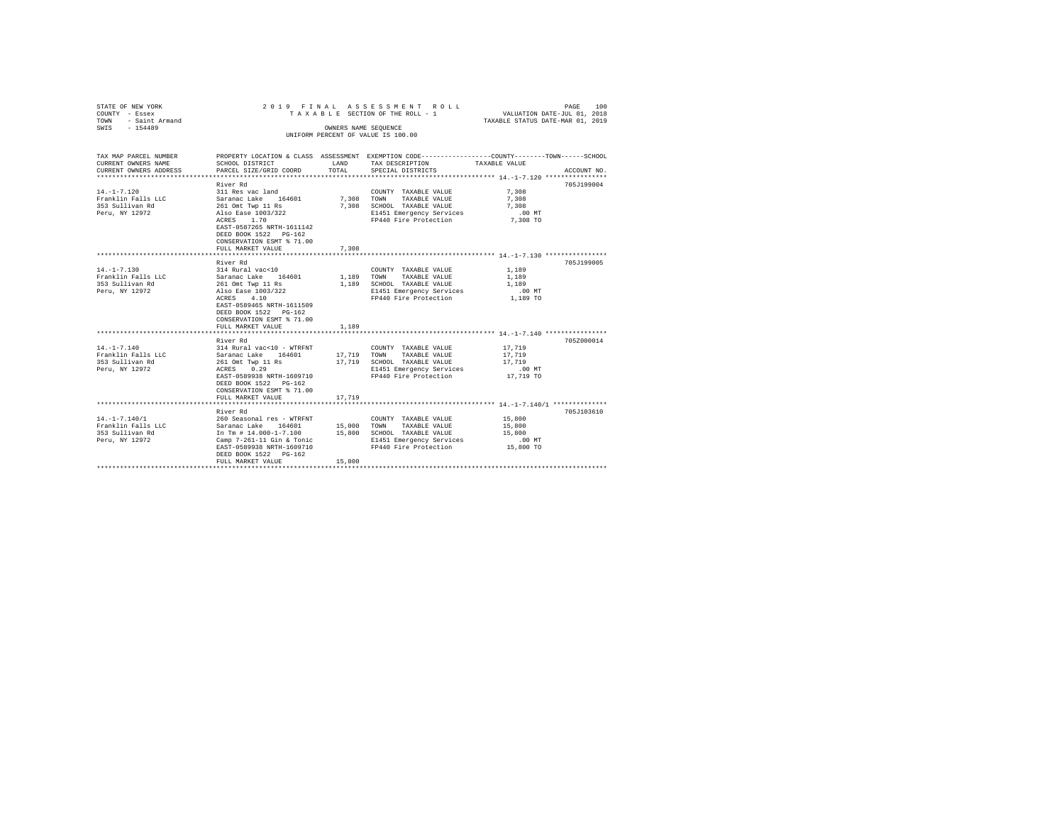| STATE OF NEW YORK<br>COUNTY - Essex<br>TOWN<br>- Saint Armand<br>SWIS - 154489 |                                                                                                                    |                    | 2019 FINAL ASSESSMENT ROLL<br>TAXABLE SECTION OF THE ROLL - 1<br>OWNERS NAME SEOUENCE                              | VALUATION DATE-JUL 01, 2018<br>TAXABLE STATUS DATE-MAR 01, 2019 | 100<br>PAGE |
|--------------------------------------------------------------------------------|--------------------------------------------------------------------------------------------------------------------|--------------------|--------------------------------------------------------------------------------------------------------------------|-----------------------------------------------------------------|-------------|
|                                                                                |                                                                                                                    |                    | UNIFORM PERCENT OF VALUE IS 100.00                                                                                 |                                                                 |             |
| TAX MAP PARCEL NUMBER<br>CURRENT OWNERS NAME                                   | SCHOOL DISTRICT                                                                                                    | LAND               | PROPERTY LOCATION & CLASS ASSESSMENT EXEMPTION CODE---------------COUNTY-------TOWN------SCHOOL<br>TAX DESCRIPTION | TAXABLE VALUE                                                   |             |
| CURRENT OWNERS ADDRESS                                                         | PARCEL SIZE/GRID COORD                                                                                             | TOTAL              | SPECIAL DISTRICTS                                                                                                  |                                                                 | ACCOUNT NO. |
|                                                                                |                                                                                                                    |                    |                                                                                                                    |                                                                 |             |
|                                                                                | River Rd                                                                                                           |                    |                                                                                                                    |                                                                 | 705J199004  |
| $14. - 1 - 7.120$                                                              | 311 Res vac land                                                                                                   |                    | COUNTY TAXABLE VALUE                                                                                               | 7.308                                                           |             |
| Franklin Falls LLC                                                             | Saranac Lake 164601                                                                                                | 7.308 TOWN         | TAXABLE VALUE                                                                                                      | 7.308                                                           |             |
| 353 Sullivan Rd                                                                | 261 Omt Twp 11 Rs                                                                                                  |                    | 7,308 SCHOOL TAXABLE VALUE                                                                                         | 7.308                                                           |             |
| Peru, NY 12972                                                                 | Also Ease 1003/322<br>ACRES 1.70                                                                                   |                    | E1451 Emergency Services<br>FP440 Fire Protection                                                                  | $.00$ MT<br>7,308 TO                                            |             |
|                                                                                | EAST-0587265 NRTH-1611142<br>DEED BOOK 1522 PG-162<br>CONSERVATION ESMT % 71.00                                    |                    |                                                                                                                    |                                                                 |             |
|                                                                                | FULL MARKET VALUE<br>************************                                                                      | 7.308              | ********************************* 14.-1-7.130 ******************                                                   |                                                                 |             |
|                                                                                | River Rd                                                                                                           |                    |                                                                                                                    |                                                                 | 705J199005  |
| $14. - 1 - 7.130$                                                              | 314 Rural vac<10                                                                                                   |                    | COUNTY TAXABLE VALUE                                                                                               | 1,189                                                           |             |
| Franklin Falls LLC                                                             | Saranac Lake 164601<br>261 Omt Twp 11 Rs                                                                           | 1.189 TOWN         | TAXABLE VALUE                                                                                                      | 1,189                                                           |             |
| 353 Sullivan Rd                                                                |                                                                                                                    |                    | 1,189 SCHOOL TAXABLE VALUE                                                                                         | 1,189                                                           |             |
| Peru, NY 12972                                                                 | Also Ease 1003/322                                                                                                 |                    | E1451 Emergency Services                                                                                           | $.00$ MT                                                        |             |
|                                                                                | ACRES 4.10<br>EAST-0589465 NRTH-1611509<br>DEED BOOK 1522 PG-162<br>CONSERVATION ESMT % 71.00<br>FULL MARKET VALUE | 1,189              | FP440 Fire Protection                                                                                              | 1,189 TO                                                        |             |
|                                                                                |                                                                                                                    | ****************** | ********************************** 14.-1-7.140 ******************                                                  |                                                                 |             |
|                                                                                | River Rd                                                                                                           |                    |                                                                                                                    |                                                                 | 705Z000014  |
| $14. - 1 - 7.140$                                                              | 314 Rural vac<10 - WTRFNT                                                                                          |                    | COUNTY TAXABLE VALUE                                                                                               | 17,719                                                          |             |
| Franklin Falls LLC                                                             | Saranac Lake 164601                                                                                                |                    | 17,719 TOWN TAXABLE VALUE                                                                                          | 17,719                                                          |             |
| 353 Sullivan Rd                                                                | 261 Omt Twp 11 Rs                                                                                                  | 17,719             | SCHOOL TAXABLE VALUE                                                                                               | 17,719                                                          |             |
| Peru, NY 12972                                                                 | ACRES 0.29<br>EAST-0589938 NRTH-1609710                                                                            |                    | E1451 Emergency Services<br>FP440 Fire Protection                                                                  | .00 MT<br>17,719 TO                                             |             |
|                                                                                | DEED BOOK 1522 PG-162<br>CONSERVATION ESMT % 71.00<br>FULL MARKET VALUE                                            | 17,719             |                                                                                                                    |                                                                 |             |
|                                                                                |                                                                                                                    |                    |                                                                                                                    |                                                                 |             |
|                                                                                | River Rd                                                                                                           |                    |                                                                                                                    |                                                                 | 705J103610  |
| $14. - 1 - 7.140/1$                                                            | 260 Seasonal res - WTRFNT                                                                                          |                    | COUNTY TAXABLE VALUE                                                                                               | 15,800                                                          |             |
| Franklin Falls LLC                                                             | Saranac Lake 164601                                                                                                | 15,000 TOWN        | TAXABLE VALUE                                                                                                      | 15,800                                                          |             |
| 353 Sullivan Rd                                                                | In Tm # 14.000-1-7.100                                                                                             |                    | 15,800 SCHOOL TAXABLE VALUE                                                                                        | 15,800                                                          |             |
| Peru, NY 12972                                                                 | Camp $7-261-11$ Gin & Tonic                                                                                        |                    | E1451 Emergency Services                                                                                           | .00MT                                                           |             |
|                                                                                | EAST-0589938 NRTH-1609710<br>DEED BOOK 1522 PG-162                                                                 |                    | FP440 Fire Protection                                                                                              | 15,800 TO                                                       |             |
|                                                                                | FULL MARKET VALUE                                                                                                  | 15,800             |                                                                                                                    |                                                                 |             |
|                                                                                |                                                                                                                    |                    |                                                                                                                    |                                                                 |             |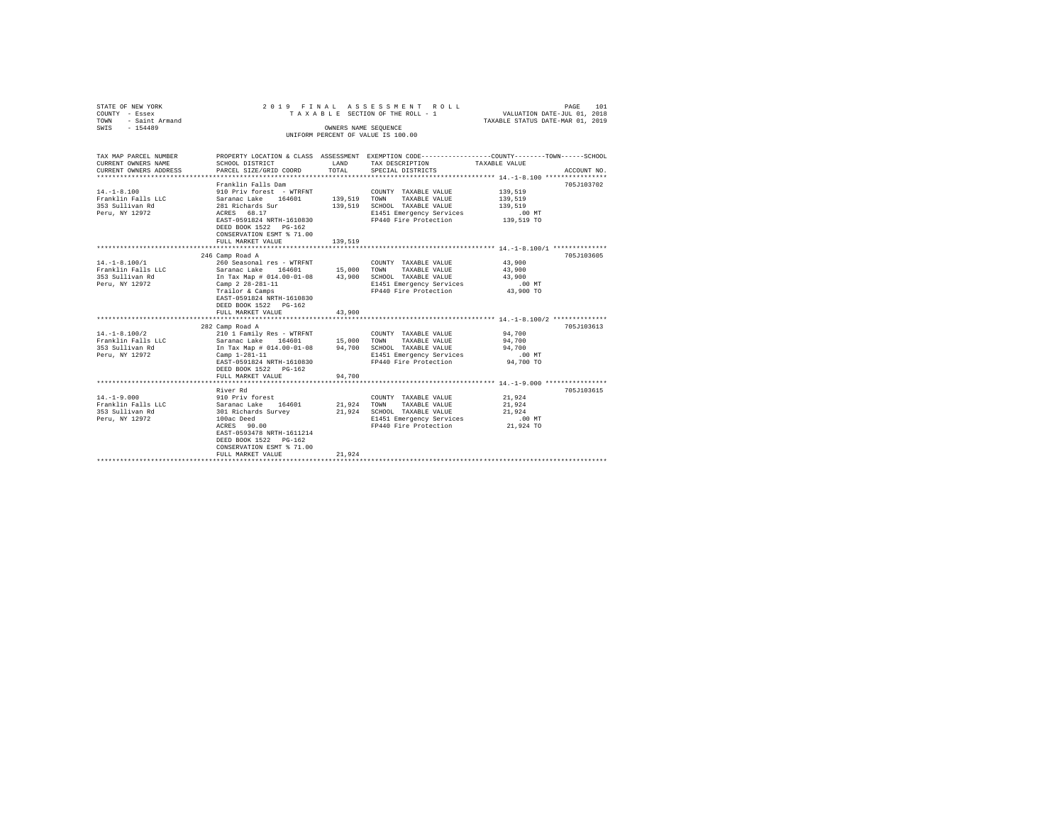| STATE OF NEW YORK<br>COUNTY - Essex<br>TOWN - Saint Armand |                                                                           |                      | 2019 FINAL ASSESSMENT ROLL<br>TAXABLE SECTION OF THE ROLL - 1 | PAGE<br>101<br>VALUATION DATE-JUL 01, 2018<br>TAXABLE STATUS DATE-MAR 01, 2019                  |
|------------------------------------------------------------|---------------------------------------------------------------------------|----------------------|---------------------------------------------------------------|-------------------------------------------------------------------------------------------------|
| SWIS - 154489                                              |                                                                           | OWNERS NAME SEQUENCE |                                                               |                                                                                                 |
|                                                            |                                                                           |                      | UNIFORM PERCENT OF VALUE IS 100.00                            |                                                                                                 |
|                                                            |                                                                           |                      |                                                               |                                                                                                 |
| TAX MAP PARCEL NUMBER                                      |                                                                           |                      |                                                               | PROPERTY LOCATION & CLASS ASSESSMENT EXEMPTION CODE---------------COUNTY-------TOWN------SCHOOL |
| CURRENT OWNERS NAME                                        | SCHOOL DISTRICT                                                           |                      | LAND TAX DESCRIPTION                                          | TAXABLE VALUE                                                                                   |
| CURRENT OWNERS ADDRESS                                     | PARCEL SIZE/GRID COORD                                                    | TOTAL                | SPECIAL DISTRICTS                                             | ACCOUNT NO.                                                                                     |
|                                                            |                                                                           |                      |                                                               |                                                                                                 |
|                                                            | Franklin Falls Dam                                                        |                      |                                                               | 705J103702                                                                                      |
| $14. -1 - 8.100$                                           | 910 Priv forest - WTRFNT                                                  |                      | COUNTY TAXABLE VALUE                                          | 139,519                                                                                         |
| Franklin Falls LLC                                         | Saranac Lake 164601 139,519 TOWN                                          |                      | TAXABLE VALUE                                                 | 139,519                                                                                         |
| 353 Sullivan Rd                                            | 281 Richards Sur                                                          |                      | 139,519 SCHOOL TAXABLE VALUE                                  | 139,519                                                                                         |
| Peru, NY 12972                                             | ACRES 68.17                                                               |                      | E1451 Emergency Services                                      | $.00$ MT                                                                                        |
|                                                            | EAST-0591824 NRTH-1610830                                                 |                      | FP440 Fire Protection 139,519 TO                              |                                                                                                 |
|                                                            | DEED BOOK 1522 PG-162                                                     |                      |                                                               |                                                                                                 |
|                                                            | CONSERVATION ESMT % 71.00                                                 |                      |                                                               |                                                                                                 |
|                                                            | FULL MARKET VALUE                                                         | 139,519              |                                                               |                                                                                                 |
|                                                            |                                                                           |                      |                                                               |                                                                                                 |
| $14. - 1 - 8.100/1$                                        | 246 Camp Road A                                                           |                      |                                                               | 705J103605<br>43,900                                                                            |
|                                                            | 260 Seasonal res - WTRFNT<br>Saranac Lake 164601                          | 15,000 TOWN          | COUNTY TAXABLE VALUE                                          |                                                                                                 |
| Franklin Falls LLC<br>353 Sullivan Rd                      |                                                                           |                      | TAXABLE VALUE                                                 | 43,900<br>43,900                                                                                |
| Peru, NY 12972                                             | In Tax Map # 014.00-01-08 43,900 SCHOOL TAXABLE VALUE<br>Camp 2 28-281-11 |                      | E1451 Emergency Services                                      | $.00$ MT                                                                                        |
|                                                            | Trailor & Camps                                                           |                      | FP440 Fire Protection                                         | 43,900 TO                                                                                       |
|                                                            | EAST-0591824 NRTH-1610830                                                 |                      |                                                               |                                                                                                 |
|                                                            | DEED BOOK 1522 PG-162                                                     |                      |                                                               |                                                                                                 |
|                                                            | FULL MARKET VALUE                                                         | 43,900               |                                                               |                                                                                                 |
|                                                            |                                                                           |                      |                                                               | *********************** 14.-1-8.100/2 **************                                            |
|                                                            | 282 Camp Road A                                                           |                      |                                                               | 705J103613                                                                                      |
| $14. - 1 - 8.100/2$                                        | 210 1 Family Res - WTRFNT                                                 |                      | COUNTY TAXABLE VALUE                                          | 94,700                                                                                          |
| Franklin Falls LLC                                         |                                                                           |                      |                                                               | 94,700                                                                                          |
| 353 Sullivan Rd                                            |                                                                           |                      |                                                               | 94,700                                                                                          |
| Peru, NY 12972                                             | $Camp 1-281-11$                                                           |                      | E1451 Emergency Services                                      | $.00$ MT                                                                                        |
|                                                            | EAST-0591824 NRTH-1610830                                                 |                      | FP440 Fire Protection                                         | 94,700 TO                                                                                       |
|                                                            | DEED BOOK 1522 PG-162                                                     |                      |                                                               |                                                                                                 |
|                                                            | FULL MARKET VALUE                                                         | 94,700               |                                                               |                                                                                                 |
|                                                            |                                                                           |                      |                                                               |                                                                                                 |
|                                                            | River Rd                                                                  |                      |                                                               | 705J103615                                                                                      |
| $14. - 1 - 9.000$                                          | 910 Priv forest                                                           |                      | COUNTY TAXABLE VALUE                                          | 21,924                                                                                          |
|                                                            |                                                                           | 21,924               | TOWN<br>TAXABLE VALUE                                         | 21,924                                                                                          |
|                                                            |                                                                           |                      | 21,924 SCHOOL TAXABLE VALUE                                   | 21,924                                                                                          |
| Peru, NY 12972                                             | 100ac Deed                                                                |                      | E1451 Emergency Services                                      | .00MT                                                                                           |
|                                                            | 100ac Deed<br>ACRES 90.00                                                 |                      | FP440 Fire Protection                                         | 21,924 TO                                                                                       |
|                                                            | EAST-0593478 NRTH-1611214                                                 |                      |                                                               |                                                                                                 |
|                                                            | DEED BOOK 1522 PG-162                                                     |                      |                                                               |                                                                                                 |
|                                                            | CONSERVATION ESMT % 71.00                                                 |                      |                                                               |                                                                                                 |
|                                                            | FULL MARKET VALUE                                                         | 21,924               |                                                               |                                                                                                 |
|                                                            |                                                                           |                      |                                                               |                                                                                                 |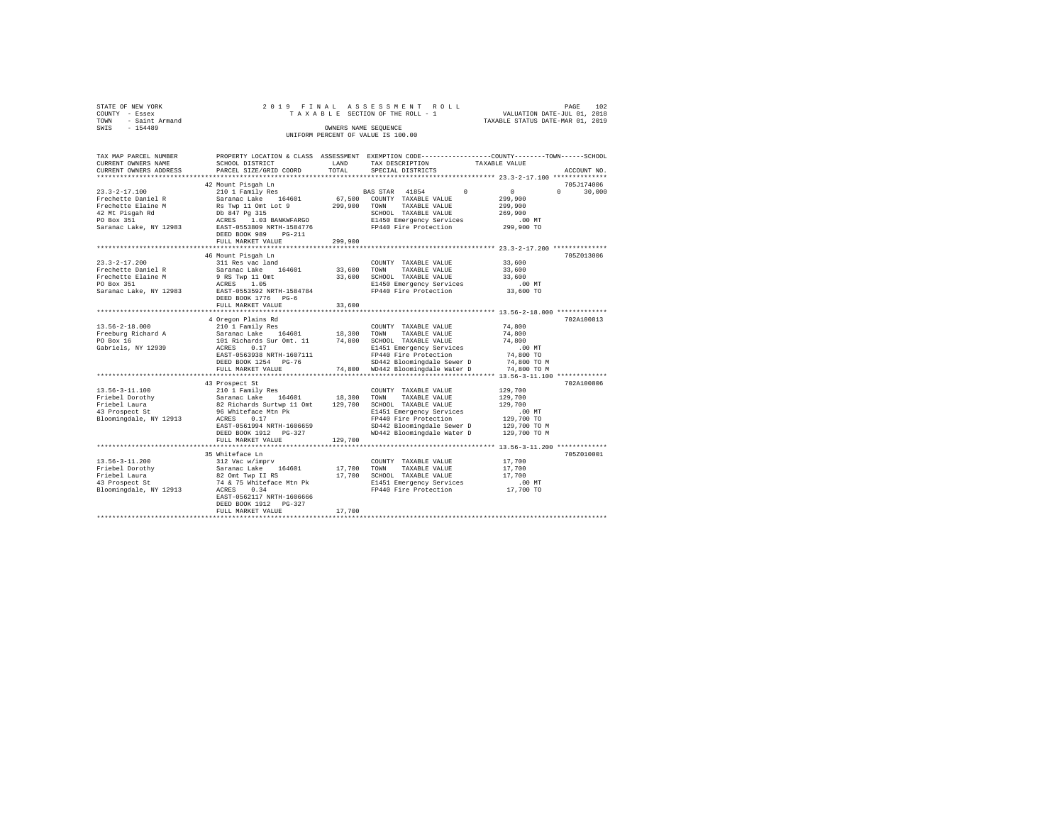| STATE OF NEW YORK               |                                                               |         | 2019 FINAL ASSESSMENT ROLL                                                                      | PAGE 102<br>VALUATION DATE-JUL 01, 2018 |               |
|---------------------------------|---------------------------------------------------------------|---------|-------------------------------------------------------------------------------------------------|-----------------------------------------|---------------|
| COUNTY - Essex                  |                                                               |         | TAXABLE SECTION OF THE ROLL - 1                                                                 |                                         |               |
| TOWN - Saint Armand             |                                                               |         |                                                                                                 | TAXABLE STATUS DATE-MAR 01, 2019        |               |
| SWIS - 154489                   |                                                               |         | OWNERS NAME SEQUENCE                                                                            |                                         |               |
|                                 |                                                               |         | UNIFORM PERCENT OF VALUE IS 100.00                                                              |                                         |               |
|                                 |                                                               |         |                                                                                                 |                                         |               |
|                                 |                                                               |         |                                                                                                 |                                         |               |
| TAX MAP PARCEL NUMBER           |                                                               |         | PROPERTY LOCATION & CLASS ASSESSMENT EXEMPTION CODE---------------COUNTY-------TOWN------SCHOOL |                                         |               |
|                                 |                                                               |         |                                                                                                 |                                         |               |
| CURRENT OWNERS NAME             | SCHOOL DISTRICT                                               | LAND    | TAX DESCRIPTION                                                                                 | TAXABLE VALUE                           |               |
| CURRENT OWNERS ADDRESS          | PARCEL SIZE/GRID COORD                                        | TOTAL   | SPECIAL DISTRICTS                                                                               |                                         | ACCOUNT NO.   |
|                                 |                                                               |         |                                                                                                 |                                         |               |
|                                 | 42 Mount Pisqah Ln                                            |         |                                                                                                 |                                         | 705J174006    |
| $23.3 - 2 - 17.100$             | 210 1 Family Res                                              |         | BAS STAR 41854<br>$\Omega$                                                                      | $\sim$ 0                                | $0 \t 30.000$ |
| Frechette Daniel R              | Saranac Lake 164601                                           |         | 67,500 COUNTY TAXABLE VALUE                                                                     | 299,900                                 |               |
| Frechette Elaine M              |                                                               |         |                                                                                                 | 299,900                                 |               |
| 42 Mt Pisqah Rd                 |                                                               |         |                                                                                                 | 269,900                                 |               |
| PO Box 351                      | ACRES 1.03 BANKWFARGO                                         |         | E1450 Emergency Services                                                                        | $.00$ MT                                |               |
| Saranac Lake, NY 12983          | EAST-0553809 NRTH-1584776                                     |         | FP440 Fire Protection                                                                           | 299,900 TO                              |               |
|                                 | DEED BOOK 989 PG-211                                          |         |                                                                                                 |                                         |               |
|                                 | FULL MARKET VALUE                                             | 299,900 |                                                                                                 |                                         |               |
|                                 |                                                               |         |                                                                                                 |                                         |               |
|                                 |                                                               |         |                                                                                                 |                                         |               |
|                                 | 46 Mount Pisgah Ln                                            |         |                                                                                                 |                                         | 705Z013006    |
| $23.3 - 2 - 17.200$             | 311 Res vac land                                              |         | COUNTY TAXABLE VALUE                                                                            | 33,600                                  |               |
| Frechette Daniel R              | Saranac Lake 164601                                           | 33,600  | TOWN<br>TAXABLE VALUE                                                                           | 33,600                                  |               |
| Frechette Elaine M              |                                                               |         | 33,600 SCHOOL TAXABLE VALUE                                                                     | 33,600                                  |               |
| PO Box 351                      | 9 RS Twp 11 Omt<br>ACRES 1.05                                 |         | E1450 Emergency Services                                                                        | $.00$ MT                                |               |
| Saranac Lake, NY 12983          | EAST-0553592 NRTH-1584784                                     |         | E1450 Emergency Services<br>FP440 Fire Protection                                               | 33,600 TO                               |               |
|                                 | DEED BOOK 1776 PG-6                                           |         |                                                                                                 |                                         |               |
|                                 | FULL MARKET VALUE                                             | 33,600  |                                                                                                 |                                         |               |
|                                 |                                                               |         |                                                                                                 |                                         |               |
|                                 | 4 Oregon Plains Rd                                            |         |                                                                                                 |                                         | 702A100813    |
|                                 |                                                               |         |                                                                                                 |                                         |               |
| $13.56 - 2 - 18.000$            | 210 1 Family Res                                              |         | COUNTY TAXABLE VALUE                                                                            | 74,800                                  |               |
| Freeburg Richard A              | Saranac Lake 164601 18,300<br>101 Richards Sur Omt. 11 74,800 |         | TOWN<br>TAXABLE VALUE                                                                           | 74,800                                  |               |
| PO Box 16                       |                                                               |         | SCHOOL TAXABLE VALUE                                                                            | 74,800                                  |               |
| Gabriels, NY 12939              | ACRES 0.17                                                    |         | E1451 Emergency Services                                                                        | .00MT                                   |               |
|                                 | EAST-0563938 NRTH-1607111                                     |         | FP440 Fire Protection                                                                           | 74,800 TO                               |               |
|                                 | DEED BOOK 1254 PG-76                                          |         | SD442 Bloomingdale Sewer D                                                                      | 74,800 TO M                             |               |
|                                 | FULL MARKET VALUE                                             |         | 74.800 WD442 Bloomingdale Water D                                                               | 74,800 TO M                             |               |
|                                 |                                                               |         |                                                                                                 |                                         |               |
|                                 | 43 Prospect St                                                |         |                                                                                                 |                                         | 702A100806    |
| $13.56 - 3 - 11.100$            |                                                               |         | COUNTY TAXABLE VALUE                                                                            | 129,700                                 |               |
| Friebel Dorothy                 | 210 1 Family Res<br>Saranac Lake 164601                       | 18,300  | TOWN<br>TAXABLE VALUE                                                                           | 129,700                                 |               |
|                                 | 82 Richards Surtwp 11 Omt 129,700                             |         | SCHOOL TAXABLE VALUE                                                                            | 129,700                                 |               |
| Friebel Laura<br>43 Prospect St |                                                               |         |                                                                                                 |                                         |               |
|                                 | 96 Whiteface Mtn Pk<br>ACRES 0.17                             |         | E1451 Emergency Services                                                                        | $.00$ MT                                |               |
| Bloomingdale, NY 12913          |                                                               |         | FP440 Fire Protection                                                                           | 129,700 TO                              |               |
|                                 | EAST-0561994 NRTH-1606659                                     |         | SD442 Bloomingdale Sewer D                                                                      | 129,700 TO M                            |               |
|                                 | DEED BOOK 1912 PG-327                                         |         | WD442 Bloomingdale Water D                                                                      | 129,700 TO M                            |               |
|                                 | FULL MARKET VALUE                                             | 129,700 |                                                                                                 |                                         |               |
|                                 |                                                               |         |                                                                                                 |                                         |               |
|                                 | 35 Whiteface Ln                                               |         |                                                                                                 |                                         | 705Z010001    |
| $13.56 - 3 - 11.200$            | 312 Vac w/imprv                                               |         | COUNTY TAXABLE VALUE                                                                            | 17,700                                  |               |
| Friebel Dorothy                 | Saranac Lake 164601                                           | 17,700  | TOWN<br>TAXABLE VALUE                                                                           | 17,700                                  |               |
|                                 | 82 Omt Twp II RS                                              |         | 17,700 SCHOOL TAXABLE VALUE                                                                     | 17,700                                  |               |
| Friebel Laura<br>43 Prospect St | 74 & 75 Whiteface Mtn Pk                                      |         |                                                                                                 | .00MT                                   |               |
|                                 | ACRES 0.34                                                    |         | E1451 Emergency Services<br>FP440 Fire Protection                                               | 17,700 TO                               |               |
| Bloomingdale, NY 12913          |                                                               |         |                                                                                                 |                                         |               |
|                                 | EAST-0562117 NRTH-1606666                                     |         |                                                                                                 |                                         |               |
|                                 | DEED BOOK 1912 PG-327                                         |         |                                                                                                 |                                         |               |
|                                 | FULL MARKET VALUE                                             | 17,700  |                                                                                                 |                                         |               |
|                                 |                                                               |         |                                                                                                 |                                         |               |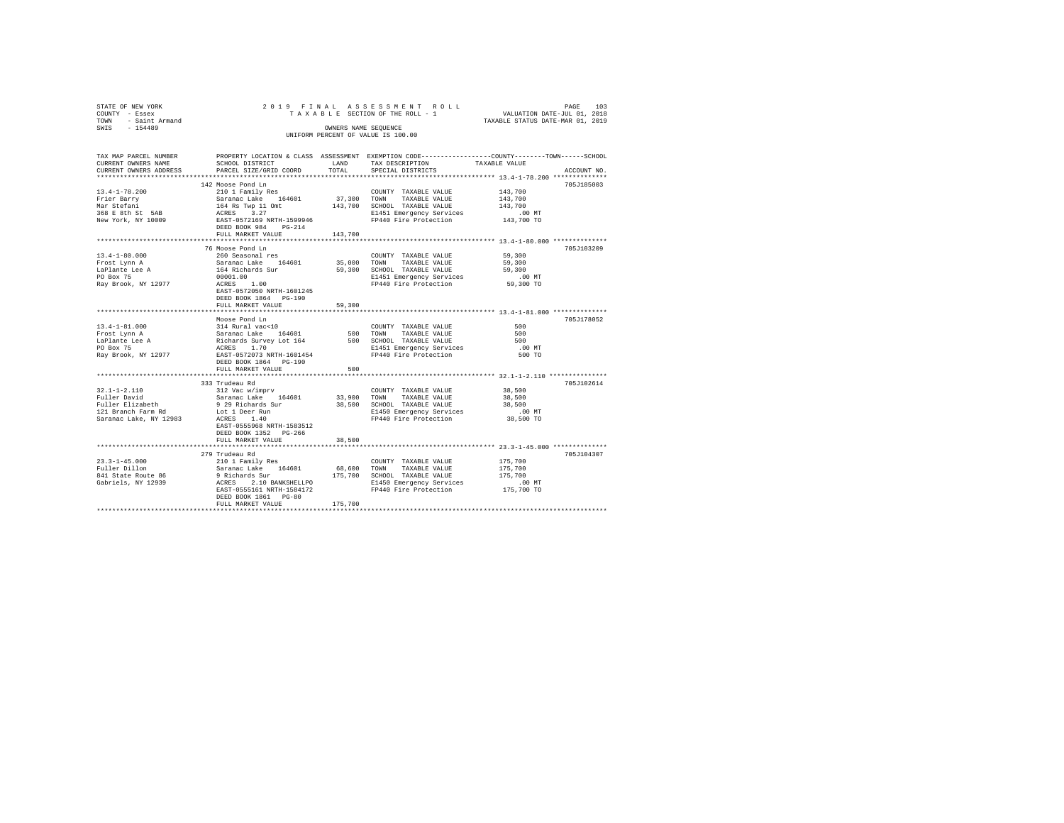| STATE OF NEW YORK<br>COUNTY - Essex<br>TOWN - Saint Armand<br>SWIS - 154489                                                                                                                                                                 |                                                                                                                                                                                                                                                                                                                                                                                                                                                                           |         | 2019 FINAL ASSESSMENT ROLL<br>OWNERS NAME SEQUENCE<br>UNIFORM PERCENT OF VALUE IS 100.00 | PAGE<br>103                                                                                                                                          |
|---------------------------------------------------------------------------------------------------------------------------------------------------------------------------------------------------------------------------------------------|---------------------------------------------------------------------------------------------------------------------------------------------------------------------------------------------------------------------------------------------------------------------------------------------------------------------------------------------------------------------------------------------------------------------------------------------------------------------------|---------|------------------------------------------------------------------------------------------|------------------------------------------------------------------------------------------------------------------------------------------------------|
| CURRENT OWNERS NAME<br>CURRENT OWNERS ADDRESS PARCEL SIZE/GRID COORD                                                                                                                                                                        | SCHOOL DISTRICT<br>LAND TAX DESCRIPTION                                                                                                                                                                                                                                                                                                                                                                                                                                   | TOTAL   | SPECIAL DISTRICTS                                                                        | TAX MAP PARCEL NUMBER PROPERTY LOCATION & CLASS ASSESSMENT EXEMPTION CODE--------------COUNTY-------TOWN------SCHOOL<br>TAXABLE VALUE<br>ACCOUNT NO. |
| $13.4 - 1 - 78.200$<br>Frier Barry<br>Mar Stefani<br>368 E 8th St 5AB<br>New York, NY 10009                                                                                                                                                 | 142 Moose Pond Ln<br>210 1 Family Res                                                                                                                                                                                                                                                                                                                                                                                                                                     |         | COUNTY TAXABLE VALUE                                                                     | 705J185003<br>143,700                                                                                                                                |
| $13.4 - 1 - 80.000$<br>Frost Lynn A<br>Taplante Lee A<br>164 Richards Survey (1990)<br>PO Box 75 (2001)<br>Ray Brook, NY 12977 (2008)<br>200 May Brook, NY 12977 (2008)<br>200 May Brook, NY 12977 (2008)<br>200 May Brook, NY 12977 (2008) | FULL MARKET VALUE 143,700<br>76 Moose Pond Ln<br>260 Seasonal res<br>Saranac Lake 164601 35,000 TOWN TAXABLE VALUE<br>EAST-0572050 NRTH-1601245<br>DEED BOOK 1864 PG-190<br>FULL MARKET VALUE                                                                                                                                                                                                                                                                             | 59,300  | COUNTY TAXABLE VALUE 59,300                                                              | 705J103209<br>59,300                                                                                                                                 |
|                                                                                                                                                                                                                                             | Moose Pond Ln<br>DEED BOOK 1864 PG-190<br>FULL MARKET VALUE                                                                                                                                                                                                                                                                                                                                                                                                               | 500     |                                                                                          | 705J178052                                                                                                                                           |
| $32.1 - 1 - 2.110$<br>Fuller David<br>Fuller Elizabeth<br>121 Branch Farm Rd<br>Saranac Lake, NY 12983                                                                                                                                      | 333 Trudeau Rd<br>312 Vac w/imprv<br>Saranac Lake 164601<br>9 29 Richards Survey - 20,500 SCHOOL TAXABLE VALUE 20,500<br>19 29 Richards Survey - 20,500 SCHOOL TAXABLE VALUE<br>140 - 20 MCRES 1.40 - 20,000 PP440 Fire Protection - 20,000 PO<br>$127$ $\text{N}$ $\text{N}$ $\text{N}$ $\text{N}$ $\text{N}$ $\text{N}$ $\text{N}$ $\text{N}$ $\text{N}$ $\text{N}$ $\text{N}$<br>ACRES 1.40<br>EAST-0555968 NRTH-1583512<br>DEED BOOK 1352 PG-266<br>FULL MARKET VALUE | 38,500  | COUNTY TAXABLE VALUE 38,500<br>33,900 TOWN TAXABLE VALUE                                 | 705J102614<br>38,500                                                                                                                                 |
|                                                                                                                                                                                                                                             | 279 Trudeau Rd<br>DEED BOOK 1861 PG-80<br>FULL MARKET VALUE                                                                                                                                                                                                                                                                                                                                                                                                               | 175,700 |                                                                                          | 705J104307                                                                                                                                           |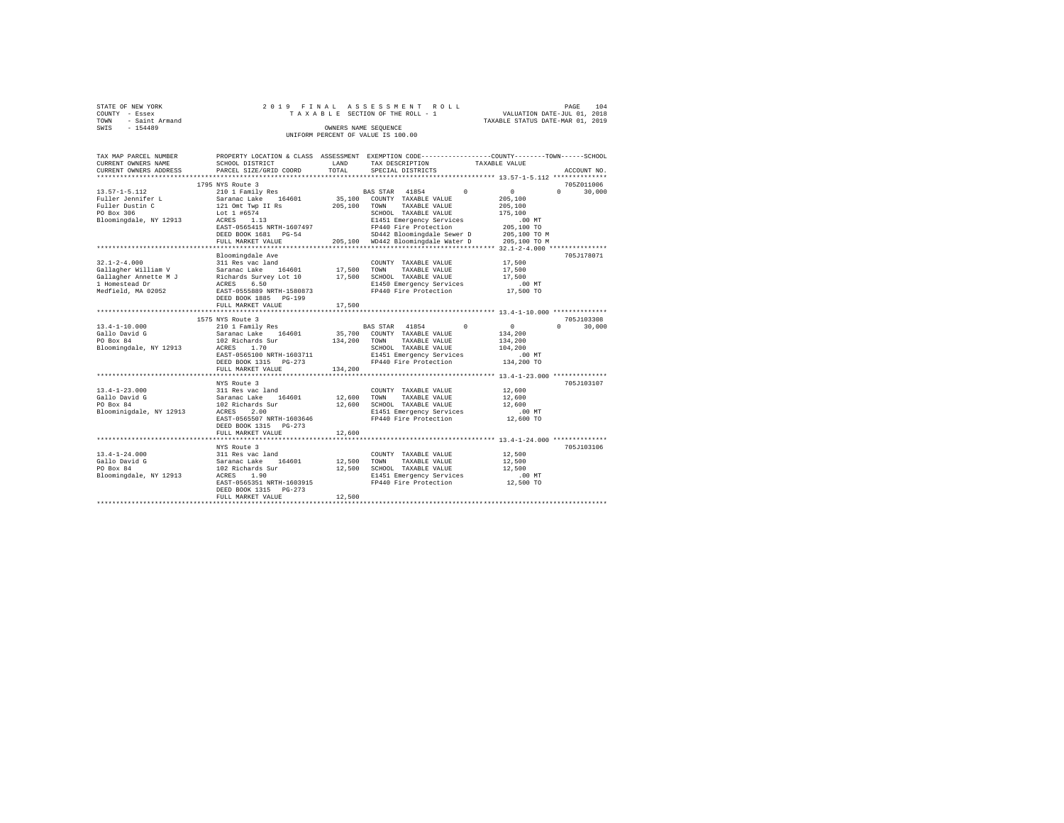| STATE OF NEW YORK   | 2019 FINAL ASSESSMENT ROLL         | PAGE                             | 104 |
|---------------------|------------------------------------|----------------------------------|-----|
| COUNTY - Essex      | TAXABLE SECTION OF THE ROLL - 1    | VALUATION DATE-JUL 01, 2018      |     |
| TOWN - Saint Armand |                                    | TAXABLE STATUS DATE-MAR 01, 2019 |     |
| SWIS<br>$-154489$   | OWNERS NAME SEOUENCE               |                                  |     |
|                     | UNIFORM PERCENT OF VALUE IS 100.00 |                                  |     |

| TAX MAP PARCEL NUMBER<br>CURRENT OWNERS NAME                                           | PROPERTY LOCATION & CLASS ASSESSMENT EXEMPTION CODE---------------COUNTY-------TOWN------SCHOOL<br>SCHOOL DISTRICT                                                | LAND                  | TAX DESCRIPTION                                                                                                                                            | TAXABLE VALUE                                                                                 |                    |
|----------------------------------------------------------------------------------------|-------------------------------------------------------------------------------------------------------------------------------------------------------------------|-----------------------|------------------------------------------------------------------------------------------------------------------------------------------------------------|-----------------------------------------------------------------------------------------------|--------------------|
| CURRENT OWNERS ADDRESS                                                                 | PARCEL SIZE/GRID COORD                                                                                                                                            | TOTAL                 | SPECIAL DISTRICTS                                                                                                                                          |                                                                                               | ACCOUNT NO.        |
|                                                                                        | 1795 NYS Route 3                                                                                                                                                  |                       |                                                                                                                                                            |                                                                                               | 705Z011006         |
| 13.57-1-5.112<br>Fuller Jennifer L<br>Fuller Dustin C<br>PO Box 306                    | 210 1 Family Res BAS STAR 41854 0<br>210 1 Family Res<br>Saranac Lake 164601<br>121 Omt Twp II Rs<br>Lot 1 #6574                                                  | 205,100 TOWN          | 35,100 COUNTY TAXABLE VALUE<br>TAXABLE VALUE<br>SCHOOL TAXABLE VALUE                                                                                       | $\sim$ 0<br>205,100<br>205,100<br>175,100                                                     | $\Omega$<br>30,000 |
|                                                                                        | Bloomingdale, NY 12913 ACRES 1.13<br>EAST-0565415 NRTH-1607497<br>DEED BOOK 1681 PG-54<br>FULL MARKET VALUE                                                       |                       | E1451 Emergency Services<br>FP440 Fire Protection<br>SD442 Bloomingdale Sewer D 205,100 TO M<br>205,100 WD442 Bloomingdale Water D                         | .00MT<br>205,100 TO<br>205,100 TO M                                                           |                    |
|                                                                                        |                                                                                                                                                                   |                       |                                                                                                                                                            |                                                                                               |                    |
| $32.1 - 2 - 4.000$<br>Medfield, MA 02052                                               | Bloomingdale Ave<br>311 Res vac land<br>EAST-0555889 NRTH-1580873<br>DEED BOOK 1885 PG-199<br>FULL MARKET VALUE                                                   | 17,500 TOWN<br>17,500 | COUNTY TAXABLE VALUE<br>TAXABLE VALUE<br>SCHOOL TAXABLE VALUE<br>E1450 Emergency Services<br>FP440 Fire Protection                                         | 17,500<br>17,500<br>17,500<br>$.00$ MT<br>17,500 TO                                           | 705J178071         |
|                                                                                        |                                                                                                                                                                   |                       |                                                                                                                                                            |                                                                                               |                    |
|                                                                                        | 1575 NYS Route 3                                                                                                                                                  |                       |                                                                                                                                                            |                                                                                               | 705J103308         |
| $13.4 - 1 - 10.000$<br>Gallo David G<br>PO Box 84<br>Bloomingdale, NY 12913 ACRES      | 210 1 Family Res<br>Saranac Lake 164601<br>102 Richards Sur<br>1.70<br>EAST-0565100 NRTH-1603711<br>DEED BOOK 1315 PG-273                                         |                       | BAS STAR 41854 0<br>35,700 COUNTY TAXABLE VALUE<br>134,200 TOWN TAXABLE VALUE<br>SCHOOL TAXABLE VALUE<br>E1451 Emergency Services<br>FP440 Fire Protection | $\sim$ 0<br>134,200<br>134,200<br>104,200<br>$.00$ MT<br>134,200 TO                           | $0 \t 30.000$      |
|                                                                                        | FULL MARKET VALUE                                                                                                                                                 | 134,200               |                                                                                                                                                            |                                                                                               |                    |
| $13.4 - 1 - 23.000$<br>Gallo David G<br>PO Box 84<br>Bloominigdale, NY 12913           | *********************<br>NYS Route 3<br>ACRES<br>2.00<br>EAST-0565507 NRTH-1603646<br>DEED BOOK 1315 PG-273                                                       |                       | E1451 Emergency Services<br>FP440 Fire Protection 12,600 TO                                                                                                | ********************** 13.4-1-23.000 **************<br>12,600<br>12,600<br>12,600<br>$.00$ MT | 705J103107         |
|                                                                                        | FULL MARKET VALUE                                                                                                                                                 | 12,600                |                                                                                                                                                            |                                                                                               |                    |
|                                                                                        |                                                                                                                                                                   |                       |                                                                                                                                                            |                                                                                               | 705J103106         |
| $13.4 - 1 - 24.000$<br>Gallo David G<br>PO Box 84<br>Bloomingdale, NY 12913 ACRES 1.90 | NYS Route<br>311 Res vac land<br>Saranac Lake 164601<br>102 Richards Sur<br>~~~~~ 1.90<br>EAST-0565351 NRTH-1603915<br>DEED BOOK 1315 PG-273<br>FULL MARKET VALUE | 12,500<br>12,500      | COUNTY TAXABLE VALUE<br>TOWN<br>TAXABLE VALUE<br>12,500 SCHOOL TAXABLE VALUE<br>E1451 Emergency Services<br>FP440 Fire Protection                          | 12,500<br>12,500<br>12,500<br>.00 MT<br>12,500 TO                                             |                    |
|                                                                                        |                                                                                                                                                                   |                       |                                                                                                                                                            |                                                                                               |                    |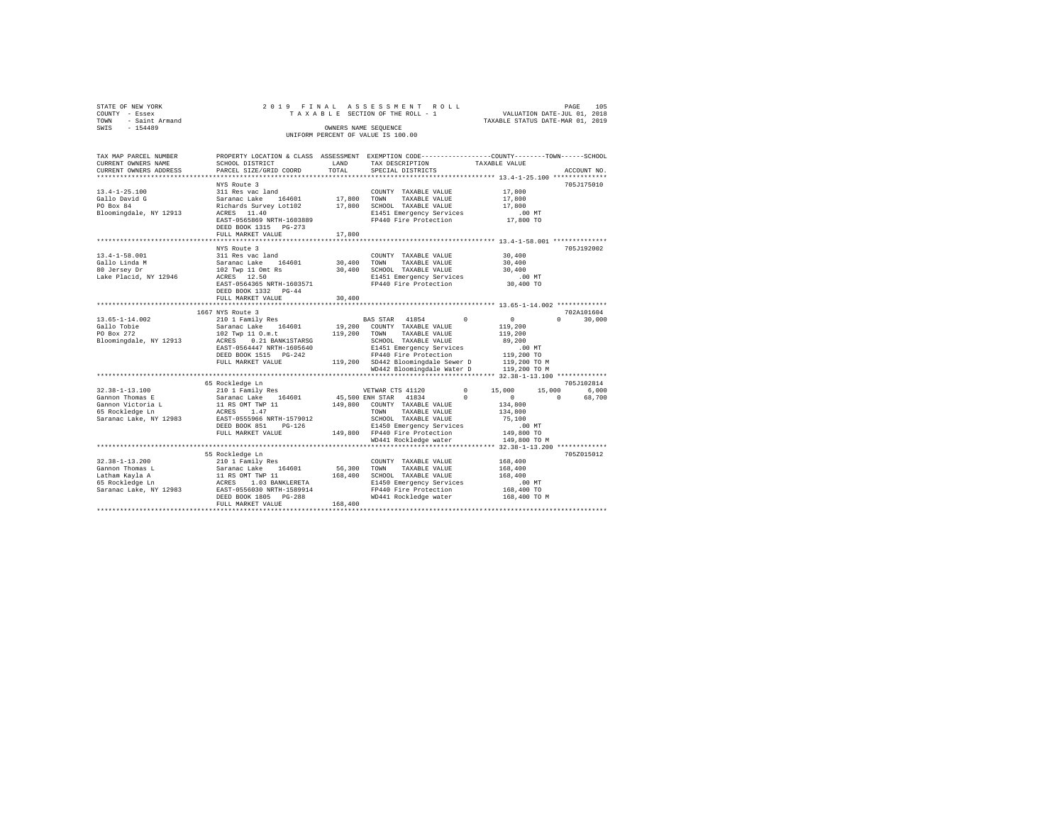| STATE OF NEW YORK<br>COUNTY<br>TOWN | - Essex<br>- Saint Armand |                           |            | 2019 FINAL ASSESSMENT ROLL<br>TAXABLE SECTION OF THE ROLL - 1 |                                                              | 105<br>PAGE<br>VALUATION DATE-JUL 01, 2018<br>TAXABLE STATUS DATE-MAR 01, 2019 |
|-------------------------------------|---------------------------|---------------------------|------------|---------------------------------------------------------------|--------------------------------------------------------------|--------------------------------------------------------------------------------|
| SWIS                                | $-154489$                 |                           |            | OWNERS NAME SEOUENCE                                          |                                                              |                                                                                |
|                                     |                           |                           |            | UNIFORM PERCENT OF VALUE IS 100.00                            |                                                              |                                                                                |
|                                     |                           |                           |            |                                                               |                                                              |                                                                                |
|                                     |                           |                           |            |                                                               |                                                              |                                                                                |
|                                     | TAX MAP PARCEL NUMBER     | PROPERTY LOCATION & CLASS | ASSESSMENT |                                                               | EXEMPTION CODE-----------------COUNTY-------TOWN------SCHOOL |                                                                                |
|                                     | CURRENT OWNERS NAME       | SCHOOL DISTRICT           | LAND       | TAX DESCRIPTION                                               | TAXABLE VALUE                                                |                                                                                |

| CURRENI UWNERS NAME    | SLAVUL DISIRILI                | LAND    | IAA DESCRIFIIUN                    |          |                                           |                                                       |
|------------------------|--------------------------------|---------|------------------------------------|----------|-------------------------------------------|-------------------------------------------------------|
| CURRENT OWNERS ADDRESS | PARCEL SIZE/GRID COORD         | TOTAL   | SPECIAL DISTRICTS                  |          |                                           | ACCOUNT NO.                                           |
|                        |                                |         |                                    |          | ***************** 13.4-1-25.100 ********* |                                                       |
|                        | NYS Route 3                    |         |                                    |          |                                           | 705J175010                                            |
| $13.4 - 1 - 25.100$    | 311 Res vac land               |         | COUNTY TAXABLE VALUE               |          | 17,800                                    |                                                       |
| Gallo David G          | Saranac Lake<br>164601         | 17,800  | TAXABLE VALUE<br>TOWN              |          | 17,800                                    |                                                       |
| PO Box 84              | Richards Survey Lot102         | 17,800  | SCHOOL TAXABLE VALUE               |          | 17,800                                    |                                                       |
| Bloomingdale, NY 12913 | ACRES 11.40                    |         | E1451 Emergency Services           |          | $.00$ MT                                  |                                                       |
|                        |                                |         |                                    |          |                                           |                                                       |
|                        | EAST-0565869 NRTH-1603889      |         | FP440 Fire Protection              |          | 17,800 TO                                 |                                                       |
|                        | DEED BOOK 1315 PG-273          |         |                                    |          |                                           |                                                       |
|                        | FULL MARKET VALUE              | 17,800  |                                    |          |                                           |                                                       |
|                        |                                |         |                                    |          |                                           |                                                       |
|                        | NYS Route 3                    |         |                                    |          |                                           | 705J192002                                            |
| $13.4 - 1 - 58.001$    | 311 Res vac land               |         | COUNTY TAXABLE VALUE               |          | 30,400                                    |                                                       |
| Gallo Linda M          | Saranac Lake<br>164601         | 30,400  | TOWN<br>TAXABLE VALUE              |          | 30,400                                    |                                                       |
| 80 Jersey Dr           | 102 Twp 11 Omt Rs              | 30,400  | SCHOOL TAXABLE VALUE               |          | 30,400                                    |                                                       |
| Lake Placid, NY 12946  | ACRES 12.50                    |         | E1451 Emergency Services           |          | $.00$ MT                                  |                                                       |
|                        | EAST-0564365 NRTH-1603571      |         | FP440 Fire Protection              |          | 30,400 TO                                 |                                                       |
|                        |                                |         |                                    |          |                                           |                                                       |
|                        | DEED BOOK 1332 PG-44           |         |                                    |          |                                           |                                                       |
|                        | FULL MARKET VALUE              | 30,400  |                                    |          |                                           |                                                       |
|                        | **********************         |         |                                    |          |                                           | ************************ 13.65-1-14.002 ************* |
|                        | 1667 NYS Route 3               |         |                                    |          |                                           | 702A101604                                            |
| $13.65 - 1 - 14.002$   | 210 1 Family Res               |         | BAS STAR 41854                     | $\Omega$ | $\mathbf{0}$                              | 30,000<br>$\Omega$                                    |
| Gallo Tobie            | Saranac Lake<br>164601         | 19,200  | COUNTY TAXABLE VALUE               |          | 119,200                                   |                                                       |
| PO Box 272             | 102 Twp 11 0.m.t               | 119,200 | TOWN<br>TAXABLE VALUE              |          | 119,200                                   |                                                       |
| Bloomingdale, NY 12913 | ACRES<br>0.21 BANK1STARSG      |         | SCHOOL TAXABLE VALUE               |          | 89,200                                    |                                                       |
|                        | EAST-0564447 NRTH-1605640      |         | E1451 Emergency Services           |          | $.00$ MT                                  |                                                       |
|                        | DEED BOOK 1515 PG-242          |         | FP440 Fire Protection              |          | 119,200 TO                                |                                                       |
|                        | FULL MARKET VALUE              |         |                                    |          |                                           |                                                       |
|                        |                                |         | 119,200 SD442 Bloomingdale Sewer D |          | 119,200 TO M                              |                                                       |
|                        |                                |         | WD442 Bloomingdale Water D         |          | 119,200 TO M                              |                                                       |
|                        |                                |         |                                    |          |                                           |                                                       |
|                        | 65 Rockledge Ln                |         |                                    |          |                                           | 705J102814                                            |
| $32.38 - 1 - 13.100$   | 210 1 Family Res               |         | VETWAR CTS 41120                   | $\Omega$ | 15,000                                    | 15,000<br>6.000                                       |
| Gannon Thomas E        | 164601<br>Saranac Lake         |         | 45,500 ENH STAR 41834              | $\Omega$ | $\Omega$                                  | $\Omega$<br>68,700                                    |
| Gannon Victoria L      | 11 RS OMT TWP 11               | 149,800 | COUNTY TAXABLE VALUE               |          | 134,800                                   |                                                       |
| 65 Rockledge Ln        | 1.47<br>ACRES                  |         | TAXABLE VALUE<br>TOWN              |          | 134,800                                   |                                                       |
| Saranac Lake, NY 12983 | EAST-0555966 NRTH-1579012      |         | SCHOOL TAXABLE VALUE               |          | 75,100                                    |                                                       |
|                        | DEED BOOK 851<br>$PG-126$      |         | E1450 Emergency Services           |          | .00MT                                     |                                                       |
|                        | FULL MARKET VALUE              |         | 149,800 FP440 Fire Protection      |          | 149,800 TO                                |                                                       |
|                        |                                |         | WD441 Rockledge water              |          | 149,800 TO M                              |                                                       |
|                        |                                |         |                                    |          |                                           |                                                       |
|                        |                                |         |                                    |          |                                           |                                                       |
|                        | 55 Rockledge Ln                |         |                                    |          |                                           | 705Z015012                                            |
| $32.38 - 1 - 13.200$   | 210 1 Family Res               |         | COUNTY TAXABLE VALUE               |          | 168,400                                   |                                                       |
| Gannon Thomas L        | 164601<br>Saranac Lake         | 56,300  | TOWN<br>TAXABLE VALUE              |          | 168,400                                   |                                                       |
| Latham Kayla A         | 11 RS OMT TWP 11               | 168,400 | SCHOOL TAXABLE VALUE               |          | 168,400                                   |                                                       |
| 65 Rockledge Ln        | ACRES 1.03 BANKLERETA          |         | E1450 Emergency Services           |          | .00MT                                     |                                                       |
| Saranac Lake, NY 12983 | EAST-0556030 NRTH-1589914      |         | FP440 Fire Protection              |          | 168,400 TO                                |                                                       |
|                        | DEED BOOK 1805 PG-288          |         | WD441 Rockledge water              |          | 168,400 TO M                              |                                                       |
|                        | FULL MARKET VALUE              | 168,400 |                                    |          |                                           |                                                       |
|                        | ****************************** |         |                                    |          |                                           |                                                       |
|                        |                                |         |                                    |          |                                           |                                                       |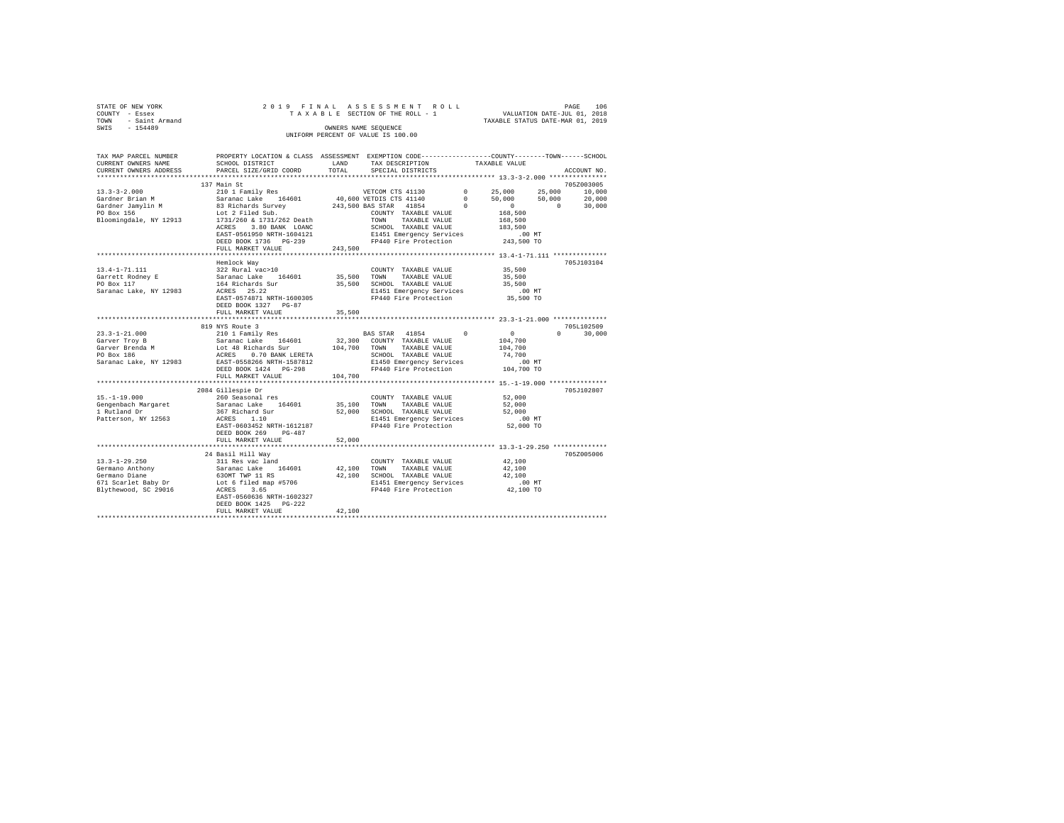| STATE OF NEW YORK   | 2019 FINAL ASSESSMENT ROLL         |                                  | PAGE | 106 |
|---------------------|------------------------------------|----------------------------------|------|-----|
| COUNTY - Essex      | TAXABLE SECTION OF THE ROLL - 1    | VALUATION DATE-JUL 01, 2018      |      |     |
| TOWN - Saint Armand |                                    | TAXABLE STATUS DATE-MAR 01, 2019 |      |     |
| SWIS<br>$-154489$   | OWNERS NAME SEOUENCE               |                                  |      |     |
|                     | UNIFORM PERCENT OF VALUE IS 100.00 |                                  |      |     |

| TAX MAP PARCEL NUMBER<br>CURRENT OWNERS NAME                                                                                                                                                                            | PROPERTY LOCATION & CLASS ASSESSMENT EXEMPTION CODE---------------COUNTY-------TOWN------SCHOOL<br>SCHOOL DISTRICT                                                                                                            | LAND        | TAX DESCRIPTION                                   |                        | TAXABLE VALUE                               |                                   |
|-------------------------------------------------------------------------------------------------------------------------------------------------------------------------------------------------------------------------|-------------------------------------------------------------------------------------------------------------------------------------------------------------------------------------------------------------------------------|-------------|---------------------------------------------------|------------------------|---------------------------------------------|-----------------------------------|
| CURRENT OWNERS ADDRESS                                                                                                                                                                                                  | PARCEL SIZE/GRID COORD                                                                                                                                                                                                        | TOTAL       | SPECIAL DISTRICTS                                 |                        |                                             | ACCOUNT NO.                       |
|                                                                                                                                                                                                                         | 137 Main St                                                                                                                                                                                                                   |             |                                                   |                        |                                             | 705Z003005                        |
| $13.3 - 3 - 2.000$                                                                                                                                                                                                      |                                                                                                                                                                                                                               |             |                                                   |                        |                                             |                                   |
| Gardner Brian M                                                                                                                                                                                                         |                                                                                                                                                                                                                               |             | VETCOM CTS 41130<br>40,600 VETDIS CTS 41140       | $0$ 25,000<br>0 50,000 |                                             | 25,000<br>10,000<br>50,000 20,000 |
|                                                                                                                                                                                                                         |                                                                                                                                                                                                                               |             |                                                   |                        |                                             | $\sim$ 0                          |
| Gardner Jamylin M<br>PO Box 156                                                                                                                                                                                         | 210 1 Family Res<br>Saranac Lake 164601<br>83 Richards Survey<br>Lot 2 Filed Sub.<br>1731/260 & 1731/262 Death                                                                                                                |             | 243,500 BAS STAR 41854 0                          |                        | $\begin{array}{c} 0 \\ 168,500 \end{array}$ | 30,000                            |
|                                                                                                                                                                                                                         |                                                                                                                                                                                                                               |             | COUNTY TAXABLE VALUE                              |                        |                                             |                                   |
| Bloomingdale, NY 12913                                                                                                                                                                                                  | ACRES<br>3.80 BANK LOANC                                                                                                                                                                                                      |             | TOWN TAXABLE VALUE<br>SCHOOL TAXABLE VALUE        |                        | 168,500<br>183,500                          |                                   |
|                                                                                                                                                                                                                         | EAST-0561950 NRTH-1604121                                                                                                                                                                                                     |             | E1451 Emergency Services                          |                        |                                             |                                   |
|                                                                                                                                                                                                                         | DEED BOOK 1736 PG-239                                                                                                                                                                                                         |             | FP440 Fire Protection                             |                        | .00 MT<br>243,500 TO                        |                                   |
|                                                                                                                                                                                                                         | FULL MARKET VALUE                                                                                                                                                                                                             | 243,500     |                                                   |                        |                                             |                                   |
|                                                                                                                                                                                                                         |                                                                                                                                                                                                                               |             |                                                   |                        |                                             |                                   |
|                                                                                                                                                                                                                         | Hemlock Way                                                                                                                                                                                                                   |             |                                                   |                        |                                             | 705J103104                        |
|                                                                                                                                                                                                                         |                                                                                                                                                                                                                               |             | COUNTY TAXABLE VALUE                              |                        | 35,500                                      |                                   |
|                                                                                                                                                                                                                         |                                                                                                                                                                                                                               | 35,500 TOWN | TAXABLE VALUE                                     |                        | 35,500                                      |                                   |
|                                                                                                                                                                                                                         |                                                                                                                                                                                                                               |             | 35,500 SCHOOL TAXABLE VALUE                       |                        | 35,500                                      |                                   |
| $\begin{tabular}{lllllllll} 13.4-1-71.111 & 322 Rural vac>10\\ \text{Garrett Rodney E} & Saranac Lake & 164601\\ \text{PO Box 117} & 164 Richards Sur \\ \text{Sarnaac Lake, NY 12983} & ACRES & 25.22\\ \end{tabular}$ |                                                                                                                                                                                                                               |             |                                                   |                        | $.00$ MT                                    |                                   |
|                                                                                                                                                                                                                         | EAST-0574871 NRTH-1600305                                                                                                                                                                                                     |             | E1451 Emergency Services<br>FP440 Fire Protection |                        | 35,500 TO                                   |                                   |
|                                                                                                                                                                                                                         | DEED BOOK 1327 PG-87                                                                                                                                                                                                          |             |                                                   |                        |                                             |                                   |
|                                                                                                                                                                                                                         | FULL MARKET VALUE                                                                                                                                                                                                             | 35,500      |                                                   |                        |                                             |                                   |
|                                                                                                                                                                                                                         |                                                                                                                                                                                                                               |             |                                                   |                        |                                             |                                   |
|                                                                                                                                                                                                                         | 819 NYS Route 3                                                                                                                                                                                                               |             |                                                   |                        |                                             | 705L102509                        |
| $23.3 - 1 - 21.000$                                                                                                                                                                                                     | 210 1 Family Res                                                                                                                                                                                                              |             | BAS STAR 41854 0                                  |                        | $\sim$ 0                                    | $0 \t 30,000$                     |
| Garver Troy B                                                                                                                                                                                                           |                                                                                                                                                                                                                               |             |                                                   |                        | 104,700                                     |                                   |
| Garver Brenda M                                                                                                                                                                                                         |                                                                                                                                                                                                                               |             |                                                   |                        | 104,700                                     |                                   |
| PO Box 186                                                                                                                                                                                                              |                                                                                                                                                                                                                               |             | SCHOOL TAXABLE VALUE                              |                        | 74,700                                      |                                   |
| Saranac Lake, NY 12983                                                                                                                                                                                                  | Extra a care in the 164601 and the matrix of the same care in the same of the same of the same of the same of the same of the same of the same of the same of the same of the same school. The same of the same school of the |             | E1450 Emergency Services                          |                        | .00 MT                                      |                                   |
|                                                                                                                                                                                                                         |                                                                                                                                                                                                                               |             | FP440 Fire Protection 104,700 TO                  |                        |                                             |                                   |
|                                                                                                                                                                                                                         | FULL MARKET VALUE                                                                                                                                                                                                             | 104,700     |                                                   |                        |                                             |                                   |
|                                                                                                                                                                                                                         |                                                                                                                                                                                                                               |             |                                                   |                        |                                             |                                   |
|                                                                                                                                                                                                                         | 2084 Gillespie Dr                                                                                                                                                                                                             |             |                                                   |                        |                                             | 705J102807                        |
| $15.-1-19.000$                                                                                                                                                                                                          | 260 Seasonal res                                                                                                                                                                                                              |             | COUNTY TAXABLE VALUE                              |                        | 52,000                                      |                                   |
| Gengenbach Margaret                                                                                                                                                                                                     |                                                                                                                                                                                                                               | 35,100 TOWN | TAXABLE VALUE                                     |                        | 52,000                                      |                                   |
| 1 Rutland Dr                                                                                                                                                                                                            |                                                                                                                                                                                                                               |             | 52,000 SCHOOL TAXABLE VALUE                       |                        | 52,000                                      |                                   |
| Patterson, NY 12563                                                                                                                                                                                                     | Saranac Lake 164601<br>367 Richard Sur<br>ACRES 1.10                                                                                                                                                                          |             |                                                   |                        | $.00$ MT                                    |                                   |
|                                                                                                                                                                                                                         | EAST-0603452 NRTH-1612187                                                                                                                                                                                                     |             | E1451 Emergency Services<br>FP440 Fire Protection |                        | 52,000 TO                                   |                                   |
|                                                                                                                                                                                                                         | DEED BOOK 269<br>PG-487                                                                                                                                                                                                       |             |                                                   |                        |                                             |                                   |
|                                                                                                                                                                                                                         | FULL MARKET VALUE                                                                                                                                                                                                             | 52,000      |                                                   |                        |                                             |                                   |
|                                                                                                                                                                                                                         |                                                                                                                                                                                                                               |             |                                                   |                        |                                             |                                   |
|                                                                                                                                                                                                                         | 24 Basil Hill Way                                                                                                                                                                                                             |             |                                                   |                        |                                             | 705Z005006                        |
|                                                                                                                                                                                                                         |                                                                                                                                                                                                                               |             | COUNTY TAXABLE VALUE                              |                        | 42,100                                      |                                   |
|                                                                                                                                                                                                                         |                                                                                                                                                                                                                               |             | 42,100 TOWN TAXABLE VALUE                         |                        | 42,100                                      |                                   |
|                                                                                                                                                                                                                         |                                                                                                                                                                                                                               |             | 42,100 SCHOOL TAXABLE VALUE                       |                        | 42,100                                      |                                   |
|                                                                                                                                                                                                                         |                                                                                                                                                                                                                               |             | E1451 Emergency Services<br>FP440 Fire Protection |                        | .00 MT                                      |                                   |
|                                                                                                                                                                                                                         |                                                                                                                                                                                                                               |             |                                                   |                        | 42,100 TO                                   |                                   |
|                                                                                                                                                                                                                         | EAST-0560636 NRTH-1602327                                                                                                                                                                                                     |             |                                                   |                        |                                             |                                   |
|                                                                                                                                                                                                                         | DEED BOOK 1425 PG-222                                                                                                                                                                                                         |             |                                                   |                        |                                             |                                   |
|                                                                                                                                                                                                                         | FULL MARKET VALUE                                                                                                                                                                                                             | 42,100      |                                                   |                        |                                             |                                   |
|                                                                                                                                                                                                                         |                                                                                                                                                                                                                               |             |                                                   |                        |                                             |                                   |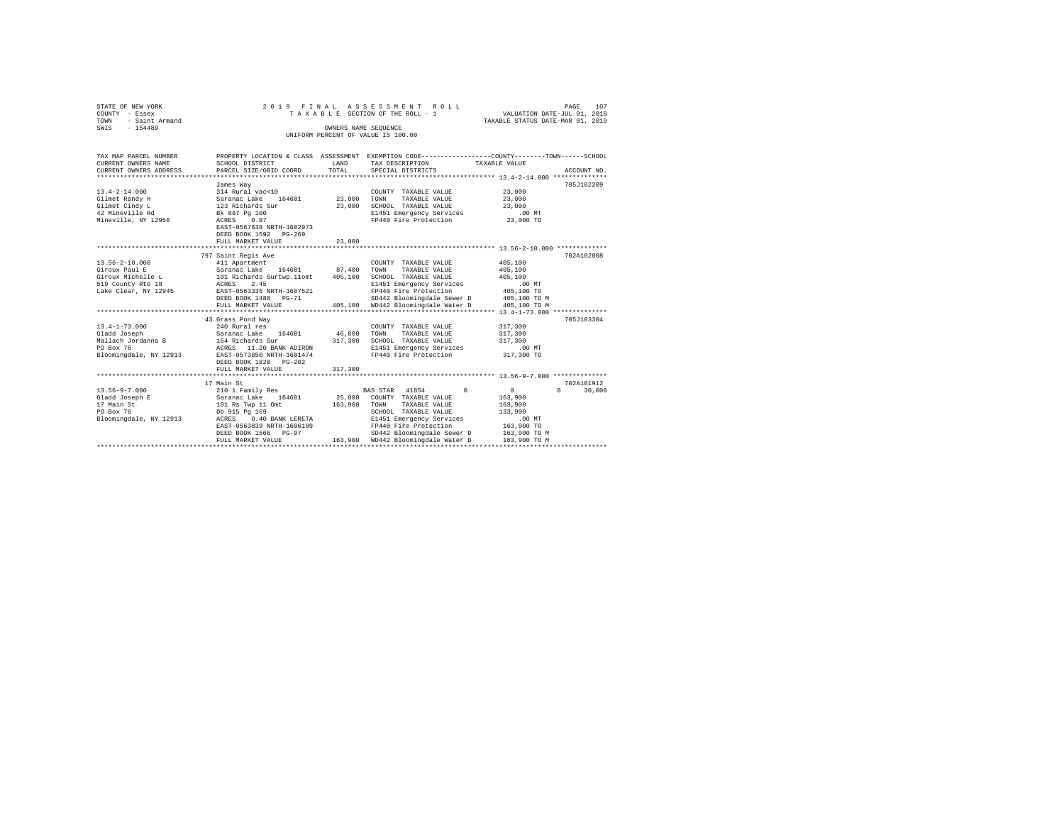| STATE OF NEW YORK<br>COUNTY - Essex<br>- Saint Armand<br>TOWN |                                                  |             | 2019 FINAL ASSESSMENT ROLL<br>TAXABLE SECTION OF THE ROLL - 1                                  | VALUATION DATE-JUL 01, 2018<br>TAXABLE STATUS DATE-MAR 01, 2019 | PAGE<br>107        |  |  |  |  |
|---------------------------------------------------------------|--------------------------------------------------|-------------|------------------------------------------------------------------------------------------------|-----------------------------------------------------------------|--------------------|--|--|--|--|
| SWIS<br>$-154489$                                             | OWNERS NAME SEOUENCE                             |             |                                                                                                |                                                                 |                    |  |  |  |  |
| UNIFORM PERCENT OF VALUE IS 100.00                            |                                                  |             |                                                                                                |                                                                 |                    |  |  |  |  |
|                                                               |                                                  |             |                                                                                                |                                                                 |                    |  |  |  |  |
| TAX MAP PARCEL NUMBER                                         |                                                  |             | PROPERTY LOCATION & CLASS ASSESSMENT EXEMPTION CODE---------------COUNTY-------TOWN-----SCHOOL |                                                                 |                    |  |  |  |  |
| CURRENT OWNERS NAME                                           | SCHOOL DISTRICT                                  | LAND        | TAX DESCRIPTION                                                                                | TAXABLE VALUE                                                   |                    |  |  |  |  |
| CURRENT OWNERS ADDRESS                                        | PARCEL SIZE/GRID COORD                           | TOTAL       | SPECIAL DISTRICTS                                                                              |                                                                 | ACCOUNT NO.        |  |  |  |  |
|                                                               |                                                  |             |                                                                                                |                                                                 |                    |  |  |  |  |
|                                                               | James Way                                        |             |                                                                                                |                                                                 | 705J102209         |  |  |  |  |
| $13.4 - 2 - 14.000$                                           | 314 Rural vac<10                                 |             | COUNTY TAXABLE VALUE                                                                           | 23,000                                                          |                    |  |  |  |  |
| Gilmet Randy H<br>Gilmet Cindy L                              | Saranac Lake 164601                              | 23,000 TOWN | TAXABLE VALUE<br>23,000 SCHOOL TAXABLE VALUE                                                   | 23,000<br>23,000                                                |                    |  |  |  |  |
| 42 Mineville Rd                                               | 123 Richards Sur<br>Bk 887 Pg 100                |             | E1451 Emergency Services                                                                       | $.00$ MT                                                        |                    |  |  |  |  |
| Mineville, NY 12956                                           | ACRES 0.87                                       |             | FP440 Fire Protection                                                                          | 23,000 TO                                                       |                    |  |  |  |  |
|                                                               | EAST-0567638 NRTH-1602973                        |             |                                                                                                |                                                                 |                    |  |  |  |  |
|                                                               | DEED BOOK 1592 PG-269                            |             |                                                                                                |                                                                 |                    |  |  |  |  |
|                                                               | FULL MARKET VALUE                                | 23,000      |                                                                                                |                                                                 |                    |  |  |  |  |
|                                                               | ************************                         | **********  | ********************************* 13.56-2-10.000 ***************                               |                                                                 |                    |  |  |  |  |
|                                                               | 797 Saint Regis Ave                              |             |                                                                                                |                                                                 | 702A102008         |  |  |  |  |
| $13.56 - 2 - 10.000$                                          | 411 Apartment                                    |             | COUNTY TAXABLE VALUE                                                                           | 405,100                                                         |                    |  |  |  |  |
| Giroux Paul E                                                 |                                                  | 87,400      | TOWN<br>TAXABLE VALUE                                                                          | 405,100                                                         |                    |  |  |  |  |
| Giroux Michelle L                                             | Saranac Lake 164601<br>101 Richards Surtwp.11omt | 405,100     | SCHOOL TAXABLE VALUE                                                                           | 405,100                                                         |                    |  |  |  |  |
| 519 County Rte 18                                             | ACRES 2.45                                       |             | E1451 Emergency Services                                                                       | $.00$ MT                                                        |                    |  |  |  |  |
| Lake Clear, NY 12945                                          | EAST-0563335 NRTH-1607521                        |             | FP440 Fire Protection                                                                          | 405,100 TO                                                      |                    |  |  |  |  |
|                                                               | DEED BOOK 1488 PG-71                             |             | SD442 Bloomingdale Sewer D                                                                     | 405,100 TO M                                                    |                    |  |  |  |  |
|                                                               | FULL MARKET VALUE                                |             | 405,100 WD442 Bloomingdale Water D                                                             | 405,100 TO M                                                    |                    |  |  |  |  |
|                                                               |                                                  |             |                                                                                                |                                                                 |                    |  |  |  |  |
|                                                               | 43 Grass Pond Way                                |             |                                                                                                |                                                                 | 705.T103304        |  |  |  |  |
| $13.4 - 1 - 73.000$                                           | 240 Rural res                                    |             | COUNTY TAXABLE VALUE                                                                           | 317,300                                                         |                    |  |  |  |  |
| Gladd Joseph<br>Mallach Jordanna B                            | Saranac Lake 164601                              | 46,800      | TOWN<br>TAXABLE VALUE<br>317,300 SCHOOL TAXABLE VALUE                                          | 317,300<br>317,300                                              |                    |  |  |  |  |
| PO Box 76                                                     | 164 Richards Sur<br>ACRES 11.20 BANK ADIRON      |             | E1451 Emergency Services                                                                       | .00 MT                                                          |                    |  |  |  |  |
| Bloomingdale, NY 12913                                        | EAST-0573850 NRTH-1601474                        |             | FP440 Fire Protection                                                                          | 317,300 TO                                                      |                    |  |  |  |  |
|                                                               | DEED BOOK 1820 PG-202                            |             |                                                                                                |                                                                 |                    |  |  |  |  |
|                                                               | FULL MARKET VALUE                                | 317,300     |                                                                                                |                                                                 |                    |  |  |  |  |
|                                                               |                                                  |             |                                                                                                |                                                                 |                    |  |  |  |  |
|                                                               | 17 Main St                                       |             |                                                                                                |                                                                 | 702A101912         |  |  |  |  |
| $13.56 - 9 - 7.000$                                           | 210 1 Family Res                                 |             | $\Omega$<br>BAS STAR 41854                                                                     | $\circ$                                                         | $\Omega$<br>30,000 |  |  |  |  |
| Gladd Joseph E                                                | Saranac Lake 164601                              | 25,000      | COUNTY TAXABLE VALUE                                                                           | 163,900                                                         |                    |  |  |  |  |
| 17 Main St                                                    | 101 Rs Twp 11 Omt                                | 163,900     | TOWN<br>TAXABLE VALUE                                                                          | 163,900                                                         |                    |  |  |  |  |
| PO Box 76                                                     | Db 915 Pg 169                                    |             | SCHOOL TAXABLE VALUE                                                                           | 133,900                                                         |                    |  |  |  |  |
| Bloomingdale, NY 12913                                        | ACRES 0.40 BANK LERETA                           |             | E1451 Emergency Services                                                                       | $.00$ MT                                                        |                    |  |  |  |  |
|                                                               | EAST-0563839 NRTH-1606109                        |             | FP440 Fire Protection                                                                          | 163,900 TO                                                      |                    |  |  |  |  |
|                                                               | DEED BOOK 1566 PG-97                             |             | SD442 Bloomingdale Sewer D                                                                     | 163,900 TO M                                                    |                    |  |  |  |  |
|                                                               | FULL MARKET VALUE                                |             | 163.900 WD442 Bloomingdale Water D                                                             | 163,900 TO M                                                    |                    |  |  |  |  |
|                                                               |                                                  |             |                                                                                                |                                                                 |                    |  |  |  |  |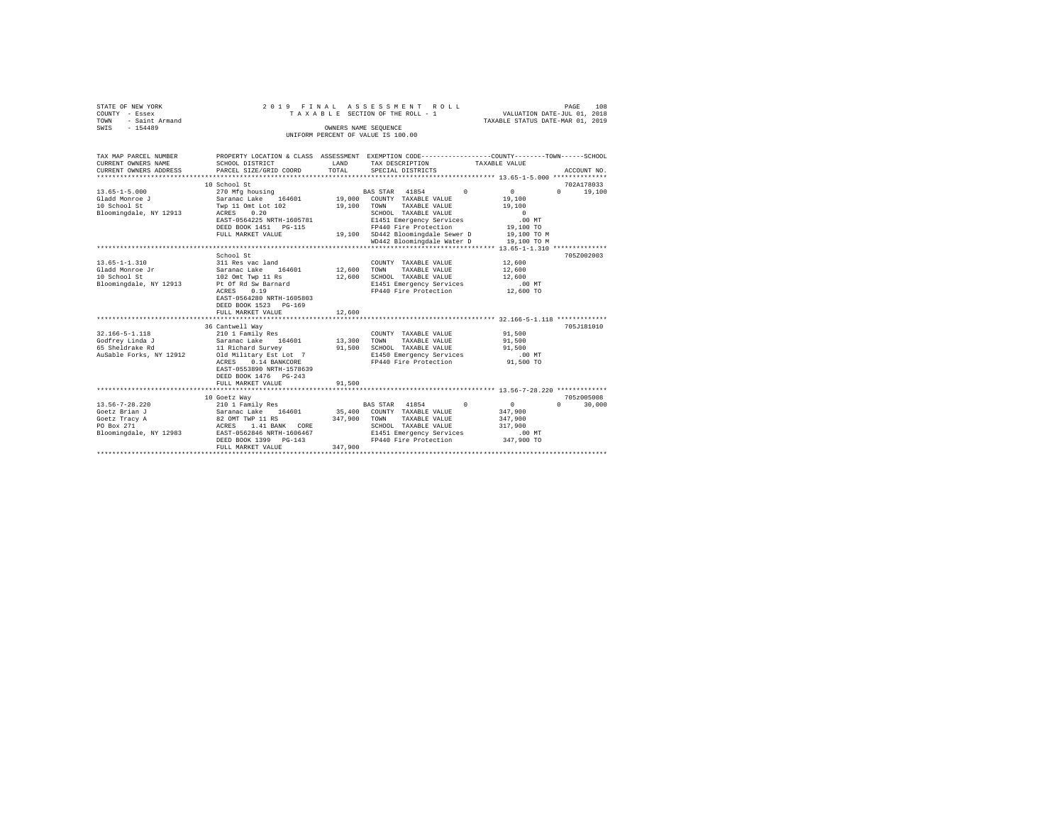|                | STATE OF NEW YORK   | 2019 FINAL ASSESSMENT ROLL |  |                                    |  |  |  |                                  | PAGE | 108 |
|----------------|---------------------|----------------------------|--|------------------------------------|--|--|--|----------------------------------|------|-----|
| COUNTY - Essex |                     |                            |  | TAXABLE SECTION OF THE ROLL - 1    |  |  |  | VALUATION DATE-JUL 01, 2018      |      |     |
|                | TOWN - Saint Armand |                            |  |                                    |  |  |  | TAXABLE STATUS DATE-MAR 01, 2019 |      |     |
| SWIS           | $-154489$           |                            |  | OWNERS NAME SEOUENCE               |  |  |  |                                  |      |     |
|                |                     |                            |  | UNIFORM PERCENT OF VALUE IS 100.00 |  |  |  |                                  |      |     |
|                |                     |                            |  |                                    |  |  |  |                                  |      |     |
|                |                     |                            |  |                                    |  |  |  |                                  |      |     |

| TAX MAP PARCEL NUMBER<br>CURRENT OWNERS NAME<br>CURRENT OWNERS ADDRESS<br>******************************** | SCHOOL DISTRICT<br>PARCEL SIZE/GRID COORD                                                                                                                                                                         | LAND<br>TOTAL                   | PROPERTY LOCATION & CLASS ASSESSMENT EXEMPTION CODE---------------COUNTY-------TOWN-----SCHOOL<br>TAX DESCRIPTION<br>SPECIAL DISTRICTS                                                                                   | TAXABLE VALUE<br>ACCOUNT NO.                                                                                                 |
|------------------------------------------------------------------------------------------------------------|-------------------------------------------------------------------------------------------------------------------------------------------------------------------------------------------------------------------|---------------------------------|--------------------------------------------------------------------------------------------------------------------------------------------------------------------------------------------------------------------------|------------------------------------------------------------------------------------------------------------------------------|
| $13.65 - 1 - 5.000$<br>Gladd Monroe J<br>10 School St<br>Bloomingdale, NY 12913                            | 10 School St<br>270 Mfg housing<br>Saranac Lake 164601<br>Two 11 Omt Lot 102<br>0.20<br>ACRES<br>EAST-0564225 NRTH-1605781<br>DEED BOOK 1451  PG-115<br>FULL MARKET VALUE                                         | 19,100 TOWN                     | $\sim$<br>BAS STAR 41854<br>19,000 COUNTY TAXABLE VALUE<br>TAXABLE VALUE<br>SCHOOL TAXABLE VALUE<br>E1451 Emergency Services<br>FP440 Fire Protection<br>19,100 SD442 Bloomingdale Sewer D<br>WD442 Bloomingdale Water D | 702A178033<br>0<br>19,100<br>$\Omega$<br>19,100<br>19,100<br>$\Omega$<br>$.00$ MT<br>19,100 TO<br>19,100 TO M<br>19,100 TO M |
| $13.65 - 1 - 1.310$<br>Gladd Monroe Jr<br>10 School St<br>Bloomingdale, NY 12913                           | School St<br>311 Res vac land<br>164601 12,600<br>Saranac Lake<br>102 Omt Twp 11 Rs<br>Pt Of Rd Sw Barnard<br>0.19<br>ACRES<br>EAST-0564280 NRTH-1605803<br>DEED BOOK 1523 PG-169<br>FULL MARKET VALUE            | 12,600<br>12,600                | COUNTY TAXABLE VALUE<br>TOWN<br>TAXABLE VALUE<br>SCHOOL TAXABLE VALUE<br>E1451 Emergency Services<br>FP440 Fire Protection                                                                                               | 705Z002003<br>12,600<br>12,600<br>12,600<br>$.00$ MT<br>12,600 TO                                                            |
| $32.166 - 5 - 1.118$<br>Godfrey Linda J<br>65 Sheldrake Rd<br>AuSable Forks, NY 12912                      | 36 Cantwell Wav<br>210 1 Family Res<br>Saranac Lake<br>164601<br>11 Richard Survey<br>Old Military Est Lot 7<br>0.14 BANKCORE<br>ACRES<br>EAST-0553890 NRTH-1578639<br>DEED BOOK 1476 PG-243<br>FULL MARKET VALUE | 13,300 TOWN<br>91,500<br>91,500 | COUNTY TAXABLE VALUE<br>TAXABLE VALUE<br>SCHOOL TAXABLE VALUE<br>E1450 Emergency Services<br>FP440 Fire Protection                                                                                                       | 705J181010<br>91,500<br>91,500<br>91,500<br>$.00$ MT<br>91,500 TO                                                            |
| $13.56 - 7 - 28.220$<br>Goetz Brian J<br>Goetz Tracy A<br>PO Box 271<br>Bloomingdale, NY 12983             | 10 Goetz Way<br>210 1 Family Res<br>210 1 Family Res<br>Saranac Lake     164601<br>82 OMT TWP 11 RS<br>ACRES<br>1.41 BANK CORE<br>EAST-0562846 NRTH-1606467<br>DEED BOOK 1399 PG-143<br>FULL MARKET VALUE         | 347,900<br>347,900              | $^{\circ}$<br>BAS STAR 41854<br>35,400 COUNTY TAXABLE VALUE<br>TAXABLE VALUE<br>TOWN<br>SCHOOL TAXABLE VALUE<br>E1451 Emergency Services<br>FP440 Fire Protection                                                        | 705z005008<br>30,000<br>$\mathbf{0}$<br>$\Omega$<br>347,900<br>347,900<br>317,900<br>.00MT<br>347,900 TO                     |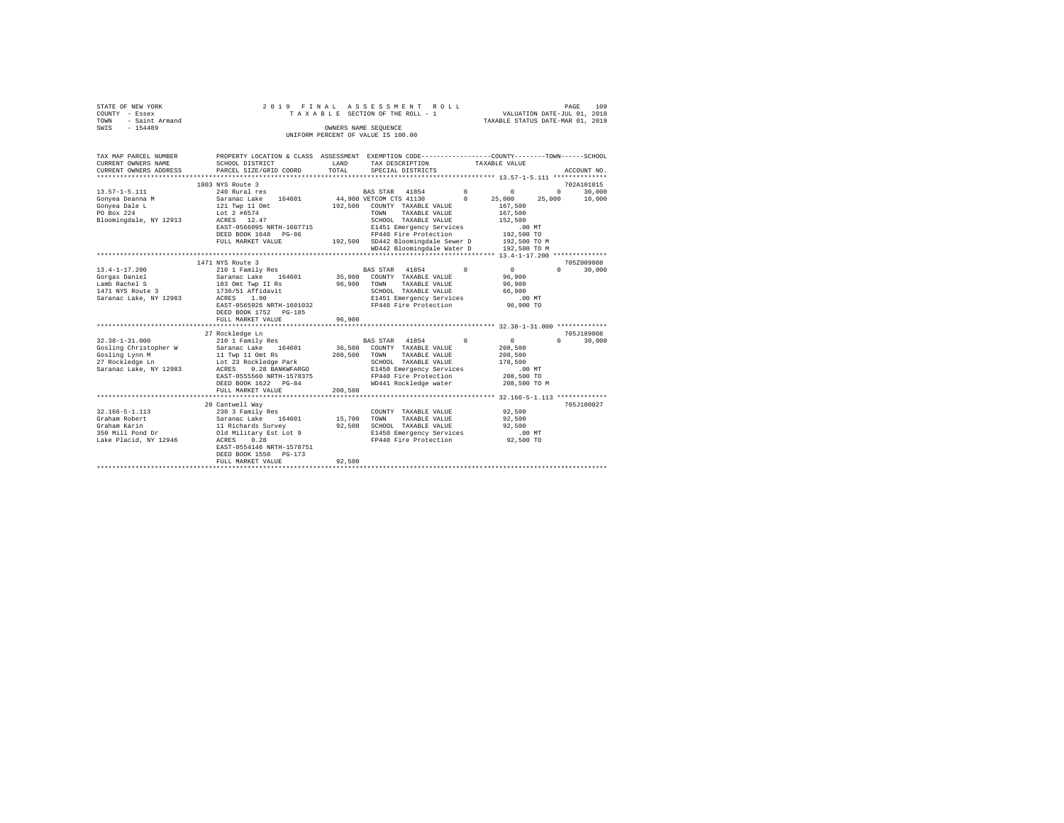| STATE OF NEW YORK<br>COUNTY - Essex<br>TOWN - Saint Armand |                                                        | 2019 FINAL ASSESSMENT ROLL<br>TAXABLE SECTION OF THE ROLL - 1                                                              | 109<br>PAGE<br>VALUATION DATE-JUL 01, 2018<br>TAXABLE STATUS DATE-MAR 01, 2019 |
|------------------------------------------------------------|--------------------------------------------------------|----------------------------------------------------------------------------------------------------------------------------|--------------------------------------------------------------------------------|
| SWIS - 154489                                              |                                                        | OWNERS NAME SEQUENCE                                                                                                       |                                                                                |
|                                                            |                                                        | UNIFORM PERCENT OF VALUE IS 100.00                                                                                         |                                                                                |
|                                                            |                                                        |                                                                                                                            |                                                                                |
| TAX MAP PARCEL NUMBER<br>CURRENT OWNERS NAME               | SCHOOL DISTRICT                                        | PROPERTY LOCATION & CLASS ASSESSMENT EXEMPTION CODE----------------COUNTY-------TOWN-----SCHOOL<br>LAND<br>TAX DESCRIPTION | TAXABLE VALUE                                                                  |
| CURRENT OWNERS ADDRESS<br>********************             | PARCEL SIZE/GRID COORD<br>**************************** | TOTAL<br>SPECIAL DISTRICTS                                                                                                 | ACCOUNT NO.                                                                    |
|                                                            | 1803 NYS Route 3                                       |                                                                                                                            | 702A101815                                                                     |
| $13.57 - 1 - 5.111$                                        | 240 Rural res                                          | BAS STAR 41854<br>$\Omega$                                                                                                 | $^{\circ}$<br>$\Omega$<br>30,000                                               |
| Gonvea Deanna M                                            | Saranac Lake 164601                                    | 44,900 VETCOM CTS 41130<br>$\Omega$                                                                                        | 10,000<br>25,000<br>25,000                                                     |
| Gonvea Dale L                                              | 121 Twp 11 Omt                                         | COUNTY TAXABLE VALUE<br>192,500                                                                                            | 167,500                                                                        |
| PO Box 224                                                 | Lot 2 #6574                                            | TOWN<br>TAXABLE VALUE                                                                                                      | 167,500                                                                        |
| Bloomingdale, NY 12913                                     | ACRES 12.47                                            | SCHOOL TAXABLE VALUE                                                                                                       | 152,500                                                                        |
|                                                            | EAST-0566095 NRTH-1607715                              | E1451 Emergency Services                                                                                                   | .00 MT                                                                         |
|                                                            | DEED BOOK 1648 PG-86                                   | FP440 Fire Protection                                                                                                      | 192,500 TO                                                                     |
|                                                            | FULL MARKET VALUE                                      | 192,500 SD442 Bloomingdale Sewer D                                                                                         | 192,500 TO M                                                                   |
|                                                            |                                                        | WD442 Bloomingdale Water D                                                                                                 | 192,500 TO M                                                                   |
|                                                            | 1471 NYS Route 3                                       |                                                                                                                            | 705Z009008                                                                     |
| $13.4 - 1 - 17.200$                                        |                                                        | $\Omega$                                                                                                                   | $\cap$<br>30,000<br>$\sim$ 0                                                   |
| Gorgas Daniel                                              | 210 1 Family Res<br>Saranac Lake 164601                | BAS STAR 41854<br>35,900<br>COUNTY TAXABLE VALUE                                                                           | 96,900                                                                         |
| Lamb Rachel S                                              | 103 Omt Twp II Rs                                      | 96.900<br>TAXABLE VALUE<br>TOWN                                                                                            | 96,900                                                                         |
| 1471 NYS Route 3                                           | 1736/51 Affidavit                                      | SCHOOL TAXABLE VALUE                                                                                                       | 66,900                                                                         |
| Saranac Lake, NY 12983                                     | ACRES 1.90                                             | E1451 Emergency Services                                                                                                   | $.00$ MT                                                                       |
|                                                            | EAST-0565926 NRTH-1601032                              | FP440 Fire Protection                                                                                                      | 96,900 TO                                                                      |
|                                                            | DEED BOOK 1752 PG-185<br>FULL MARKET VALUE             | 96,900                                                                                                                     |                                                                                |
|                                                            |                                                        |                                                                                                                            |                                                                                |
|                                                            | 27 Rockledge Ln                                        |                                                                                                                            | 705J189008                                                                     |
| $32.38 - 1 - 31.000$                                       | 210 1 Family Res                                       | BAS STAR 41854 0                                                                                                           | $\mathbf{0}$<br>30,000<br>$\Omega$                                             |
| Gosling Christopher W                                      | Saranac Lake 164601                                    | 36,500<br>COUNTY TAXABLE VALUE                                                                                             | 208,500                                                                        |
| Gosling Lynn M<br>27 Rockledge Ln                          | 11 Twp 11 Omt Rs                                       | 208,500<br>TAXABLE VALUE<br>TOWN                                                                                           | 208,500                                                                        |
|                                                            | Lot 23 Rockledge Park                                  | SCHOOL TAXABLE VALUE                                                                                                       | 178,500                                                                        |
| Saranac Lake, NY 12983                                     | ACRES<br>0.28 BANKWFARGO                               | E1450 Emergency Services                                                                                                   | $.00$ MT                                                                       |
|                                                            | EAST-0555560 NRTH-1578375                              | FP440 Fire Protection                                                                                                      | 208,500 TO                                                                     |
|                                                            | DEED BOOK 1622 PG-84                                   | WD441 Rockledge water                                                                                                      | 208,500 TO M                                                                   |
|                                                            | FULL MARKET VALUE                                      | 208,500                                                                                                                    |                                                                                |
|                                                            | 20 Cantwell Way                                        |                                                                                                                            | 705J180027                                                                     |
| $32.166 - 5 - 1.113$                                       | 230 3 Family Res                                       | COUNTY TAXABLE VALUE                                                                                                       | 92,500                                                                         |
| Graham Robert                                              | Saranac Lake 164601                                    | 15,700<br>TOWN<br>TAXABLE VALUE                                                                                            | 92,500                                                                         |
| Graham Karin                                               | Saranno ---<br>11 Richards Survey                      | 92,500<br>SCHOOL TAXABLE VALUE                                                                                             | 92,500                                                                         |
| 350 Mill Pond Dr                                           | Old Military Est Lot 9                                 | E1450 Emergency Services                                                                                                   | $.00$ MT                                                                       |
| Lake Placid, NY 12946                                      | and the first<br>0.28<br>ACRES                         | FP440 Fire Protection                                                                                                      | 92,500 TO                                                                      |
|                                                            | EAST-0554146 NRTH-1578751                              |                                                                                                                            |                                                                                |
|                                                            | DEED BOOK 1550 PG-173                                  |                                                                                                                            |                                                                                |
|                                                            | FULL MARKET VALUE                                      | 92,500                                                                                                                     |                                                                                |
|                                                            |                                                        |                                                                                                                            |                                                                                |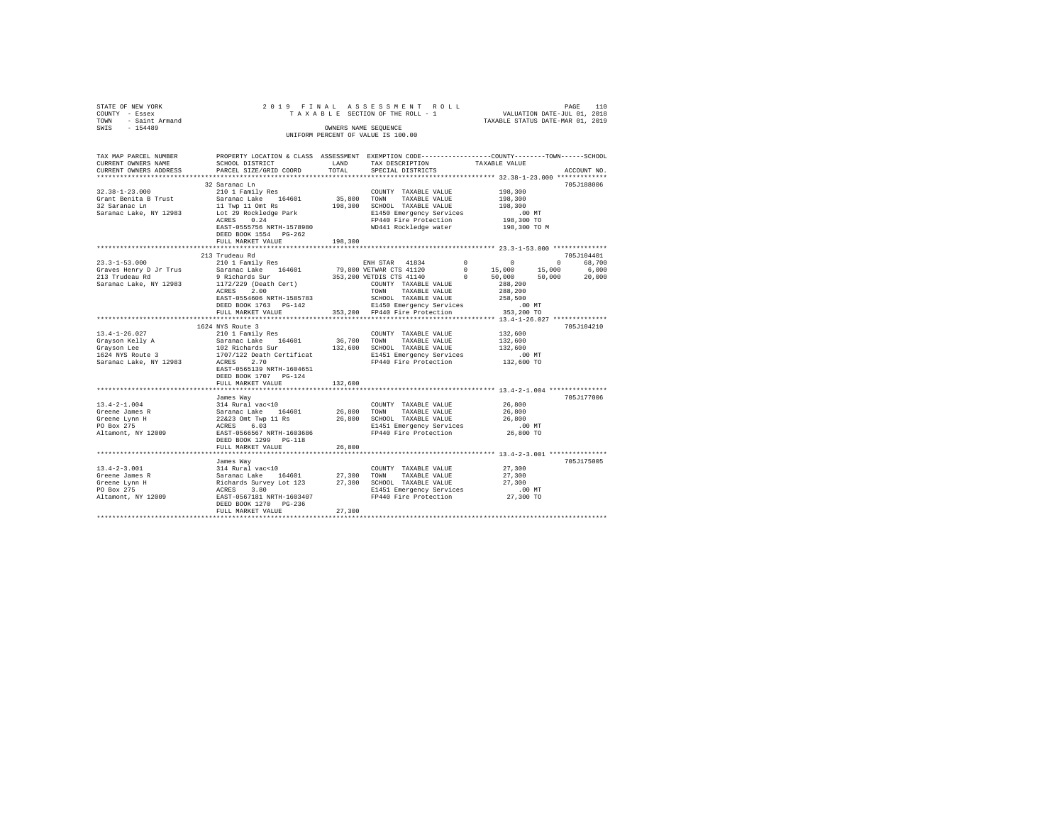| STATE OF NEW YORK<br>COUNTY - Essex<br>TOWN - Saint Armand<br>SWIS - 154489                                                                                                                                                                                                                                                                                                                                                                                    |                                                                                                                                                                                  |               | 2019 FINAL ASSESSMENT ROLL<br>UNIFORM PERCENT OF VALUE IS 100.00                                              |                      |             |
|----------------------------------------------------------------------------------------------------------------------------------------------------------------------------------------------------------------------------------------------------------------------------------------------------------------------------------------------------------------------------------------------------------------------------------------------------------------|----------------------------------------------------------------------------------------------------------------------------------------------------------------------------------|---------------|---------------------------------------------------------------------------------------------------------------|----------------------|-------------|
| CURRENT OWNERS NAME<br>CURRENT OWNERS ADDRESS                                                                                                                                                                                                                                                                                                                                                                                                                  | SCHOOL DISTRICT<br>PARCEL SIZE/GRID COORD                                                                                                                                        | LAND<br>TOTAL | TAX DESCRIPTION TAXABLE VALUE<br>SPECIAL DISTRICTS                                                            |                      | ACCOUNT NO. |
|                                                                                                                                                                                                                                                                                                                                                                                                                                                                | 32 Saranac Ln                                                                                                                                                                    |               |                                                                                                               |                      | 705J188006  |
| $32.38 - 1 - 23.000$                                                                                                                                                                                                                                                                                                                                                                                                                                           | 210 1 Family Res                                                                                                                                                                 |               | COUNTY TAXABLE VALUE 198,300                                                                                  |                      |             |
| Grant Benita B Trust                                                                                                                                                                                                                                                                                                                                                                                                                                           | Saranac Lake 164601                                                                                                                                                              |               | $35\,, 800$ $\,$ TOWN $\,$ TAXABLE VALUE                                                                      | 198,300              |             |
| 32 Saranac Ln                                                                                                                                                                                                                                                                                                                                                                                                                                                  |                                                                                                                                                                                  |               |                                                                                                               | 198,300              |             |
| 32 Saranac Ln<br>32 Saranac Ln<br>32 Saranac Lake, NY 12983<br>198,300 SCHOOL TAXABLE VALUE<br>Saranac Lake, NY 12983<br>20 ACRES 0.24<br>20 EP440 Fire Protection                                                                                                                                                                                                                                                                                             |                                                                                                                                                                                  |               |                                                                                                               | .00MT                |             |
|                                                                                                                                                                                                                                                                                                                                                                                                                                                                |                                                                                                                                                                                  |               |                                                                                                               | 198,300 TO           |             |
|                                                                                                                                                                                                                                                                                                                                                                                                                                                                | EAST-0555756 NRTH-1578980 WD441 Rockledge water<br>DEED BOOK 1554 PG-262<br>FULL MARKET VALUE 198,300                                                                            |               |                                                                                                               | 198,300 TO M         |             |
|                                                                                                                                                                                                                                                                                                                                                                                                                                                                |                                                                                                                                                                                  |               |                                                                                                               |                      |             |
|                                                                                                                                                                                                                                                                                                                                                                                                                                                                |                                                                                                                                                                                  |               |                                                                                                               |                      |             |
|                                                                                                                                                                                                                                                                                                                                                                                                                                                                |                                                                                                                                                                                  |               |                                                                                                               |                      |             |
|                                                                                                                                                                                                                                                                                                                                                                                                                                                                |                                                                                                                                                                                  |               |                                                                                                               |                      |             |
|                                                                                                                                                                                                                                                                                                                                                                                                                                                                |                                                                                                                                                                                  |               |                                                                                                               |                      |             |
|                                                                                                                                                                                                                                                                                                                                                                                                                                                                |                                                                                                                                                                                  |               |                                                                                                               |                      |             |
|                                                                                                                                                                                                                                                                                                                                                                                                                                                                |                                                                                                                                                                                  |               |                                                                                                               |                      |             |
|                                                                                                                                                                                                                                                                                                                                                                                                                                                                |                                                                                                                                                                                  |               |                                                                                                               |                      |             |
|                                                                                                                                                                                                                                                                                                                                                                                                                                                                | ALAES 2.100 MRTH-1585783 10000 TAXABLE VALUE 268,500<br>EAST-0554606 NRTH-1585783 5CHOOL TAXABLE VALUE 258,500<br>DEED BOOK 1763 PG-142 353,200 FP440 Fire Protection 353,200 TO |               |                                                                                                               |                      |             |
|                                                                                                                                                                                                                                                                                                                                                                                                                                                                |                                                                                                                                                                                  |               |                                                                                                               |                      |             |
|                                                                                                                                                                                                                                                                                                                                                                                                                                                                |                                                                                                                                                                                  |               |                                                                                                               |                      |             |
|                                                                                                                                                                                                                                                                                                                                                                                                                                                                |                                                                                                                                                                                  |               |                                                                                                               |                      | 705J104210  |
| $13.4 - 1 - 26.027$                                                                                                                                                                                                                                                                                                                                                                                                                                            |                                                                                                                                                                                  |               |                                                                                                               | 132,600              |             |
|                                                                                                                                                                                                                                                                                                                                                                                                                                                                |                                                                                                                                                                                  |               |                                                                                                               | 132,600<br>132,600   |             |
| Crayson Kelly A<br>Grayson Lee<br>1624 NYS Route 3                                                                                                                                                                                                                                                                                                                                                                                                             |                                                                                                                                                                                  |               |                                                                                                               |                      |             |
| Saranac Lake, NY 12983                                                                                                                                                                                                                                                                                                                                                                                                                                         |                                                                                                                                                                                  |               |                                                                                                               | 00 MT.<br>132,600 TO |             |
|                                                                                                                                                                                                                                                                                                                                                                                                                                                                | EAST-0565139 NRTH-1604651                                                                                                                                                        |               |                                                                                                               |                      |             |
|                                                                                                                                                                                                                                                                                                                                                                                                                                                                | DEED BOOK 1707 PG-124                                                                                                                                                            |               |                                                                                                               |                      |             |
|                                                                                                                                                                                                                                                                                                                                                                                                                                                                | FULL MARKET VALUE                                                                                                                                                                | 132,600       |                                                                                                               |                      |             |
|                                                                                                                                                                                                                                                                                                                                                                                                                                                                |                                                                                                                                                                                  |               | **************************** 13.4-2-1.004 ***************                                                     |                      |             |
|                                                                                                                                                                                                                                                                                                                                                                                                                                                                |                                                                                                                                                                                  |               |                                                                                                               |                      | 705J177006  |
|                                                                                                                                                                                                                                                                                                                                                                                                                                                                |                                                                                                                                                                                  |               |                                                                                                               | 26,800<br>26,800     |             |
| $\begin{tabular}{lcccc} \textbf{13.4-2-1.004} & \textbf{James May} \\ \textbf{Greene James R} & \textbf{314 Rural vac<10} & \textbf{26,800 TONTY TAXABLE VALUES} \\ \textbf{Greene James R} & \textbf{Saranac Lake} & \textbf{164601} & \textbf{26,800 TONTY TAXABLE VALUES} \\ \textbf{Greene J.} & \textbf{52423 O.m. TAXABLE VALUES} & \textbf{26,800 TONTX RAXABLE VALUES} \\ \textbf{PO Box 275} & \textbf{2623 O.m. TAXABLE VALUE} & \textbf{26,800 SCH$ |                                                                                                                                                                                  |               |                                                                                                               |                      |             |
|                                                                                                                                                                                                                                                                                                                                                                                                                                                                |                                                                                                                                                                                  |               |                                                                                                               | 26,800               |             |
|                                                                                                                                                                                                                                                                                                                                                                                                                                                                |                                                                                                                                                                                  |               | 20,000 SCRIME AMANDS VALUE 20,000 SCRIPS<br>E1451 Emergency Services 30 MT<br>FP440 Fire Protection 26,800 TO |                      |             |
|                                                                                                                                                                                                                                                                                                                                                                                                                                                                |                                                                                                                                                                                  |               |                                                                                                               |                      |             |
|                                                                                                                                                                                                                                                                                                                                                                                                                                                                | DEED BOOK 1299 PG-118                                                                                                                                                            |               |                                                                                                               |                      |             |
|                                                                                                                                                                                                                                                                                                                                                                                                                                                                | FULL MARKET VALUE                                                                                                                                                                | 26,800        |                                                                                                               |                      |             |
|                                                                                                                                                                                                                                                                                                                                                                                                                                                                |                                                                                                                                                                                  |               |                                                                                                               |                      | 705J175005  |
|                                                                                                                                                                                                                                                                                                                                                                                                                                                                | James Way                                                                                                                                                                        |               |                                                                                                               | 27,300               |             |
| $\begin{tabular}{lcccc} 13.4-2-3.001 & \mbox{\small\sc d{4}} & \mbox{\small\sc d{4}} & \mbox{\small\sc C{00NTY} & \mbox{\small\sc T{2}} \\ \mbox{\small\sc Green} & \mbox{\small\sc T{2}} & \mbox{\small\sc T{2}} & \mbox{\small\sc T{2}} & \mbox{\small\sc T{2}} & \mbox{\small\sc T{2}} & \mbox{\small\sc T{2}} & \mbox{\small\sc T{2}} \\ \mbox{\small\sc Green} & \mbox{\small\sc T{2}} & \mbox{\small\sc T{2}} & \mbox{\small\sc T{2}} & \mbox{\$         |                                                                                                                                                                                  |               |                                                                                                               | 27,300               |             |
|                                                                                                                                                                                                                                                                                                                                                                                                                                                                |                                                                                                                                                                                  |               |                                                                                                               | 27,300               |             |
|                                                                                                                                                                                                                                                                                                                                                                                                                                                                |                                                                                                                                                                                  |               |                                                                                                               |                      |             |
|                                                                                                                                                                                                                                                                                                                                                                                                                                                                |                                                                                                                                                                                  |               |                                                                                                               | 00 MT.<br>27,300 TO  |             |
|                                                                                                                                                                                                                                                                                                                                                                                                                                                                | DEED BOOK 1270 PG-236                                                                                                                                                            |               |                                                                                                               |                      |             |
|                                                                                                                                                                                                                                                                                                                                                                                                                                                                | FULL MARKET VALUE                                                                                                                                                                | 27,300        |                                                                                                               |                      |             |
|                                                                                                                                                                                                                                                                                                                                                                                                                                                                |                                                                                                                                                                                  |               |                                                                                                               |                      |             |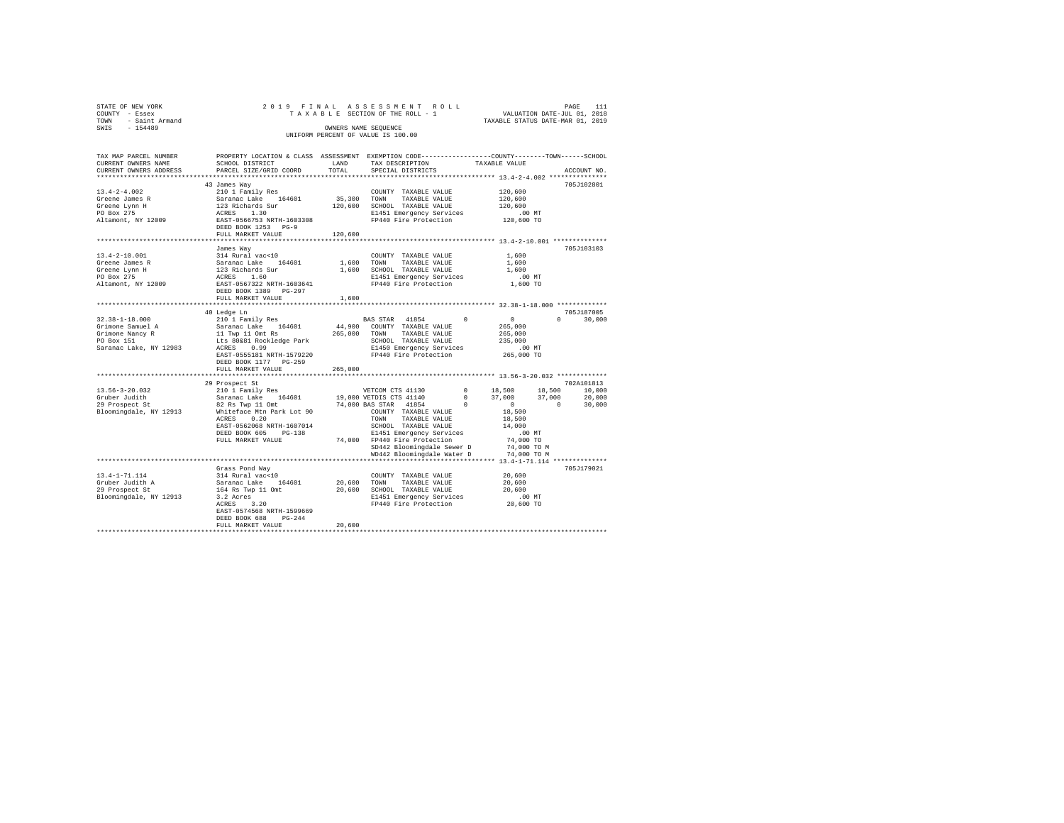| STATE OF NEW YORK<br>$\begin{array}{lll}\n & \text{if } x \in \mathbb{R} \\ \text{TOWN} & -\text{ Saint Armand} \\ \text{SWIS} & -\text{154489}\n\end{array}$ |                                                                                                                                                                                                                                                                                                                                                                                                                                                                                                                            |         | 2019 FINAL ASSESSMENT ROLL<br>ינות PAGE 111 או איז יש PAGE 111 או PAGE 112 או PAGE 112 או יודע איז יודע 12 או יודע די איז יודע 12 איז יודע ש<br>VALUATION DATE-JUL 01, 2018 12 12 13 13 14 14 14 15 16 17 17 18 18 17 18 18 17 18 18 17 18 18 17 18 18 17 18 1<br>OWNERS NAME SEQUENCE<br>UNIFORM PERCENT OF VALUE IS 100.00 |                                              | PAGE<br>111                 |
|---------------------------------------------------------------------------------------------------------------------------------------------------------------|----------------------------------------------------------------------------------------------------------------------------------------------------------------------------------------------------------------------------------------------------------------------------------------------------------------------------------------------------------------------------------------------------------------------------------------------------------------------------------------------------------------------------|---------|------------------------------------------------------------------------------------------------------------------------------------------------------------------------------------------------------------------------------------------------------------------------------------------------------------------------------|----------------------------------------------|-----------------------------|
| TAX MAP PARCEL NUMBER                                                                                                                                         | PROPERTY LOCATION & CLASS ASSESSMENT EXEMPTION CODE----------------COUNTY-------TOWN-----SCHOOL                                                                                                                                                                                                                                                                                                                                                                                                                            |         |                                                                                                                                                                                                                                                                                                                              |                                              | ACCOUNT NO.                 |
|                                                                                                                                                               | $\begin{tabular}{l c c c c c} \hline 13.4-2-4.002 & \hline 13.4-2-4.002 & \hline 2101173123 & \hline 35.300 & \hline 1011812 & \hline 210118 & \hline 35.300 & \hline 1011812 & \hline 35.300 & \hline 1011812 & \hline 120,600 & \hline 120,600 & \hline 212004 & \hline 35.300 & \hline 35.300 & \hline 120118 & \hline 1$                                                                                                                                                                                               |         |                                                                                                                                                                                                                                                                                                                              |                                              | 705.T102801                 |
|                                                                                                                                                               | FULL MARKET VALUE 120,600                                                                                                                                                                                                                                                                                                                                                                                                                                                                                                  |         |                                                                                                                                                                                                                                                                                                                              |                                              |                             |
|                                                                                                                                                               | James Way<br>$\begin{tabular}{lcccc} 13.4-2-10.001 & \mbox{\small\sc d{a}} & \mbox{\small\sc d{a}} & \mbox{\small\sc d{a}} & \mbox{\small\sc C{a}} \\ \hline \texttt{Green & James R} & \mbox{\small\sc Stab} & \mbox{\small\sc Stab} & \mbox{\small\sc T{a}} & \mbox{\small\sc T{a}} \\ \hline \texttt{Green & James R} & \mbox{\small\sc Stabard} & \mbox{\small\sc Stabard} & \mbox{\small\sc T{a}} & \mbox{\small\sc T{a}} \\ \hline \texttt{Green & Form H} & \mbox{\small\sc I{a}} & \mbox$<br>DEED BOOK 1389 PG-297 |         |                                                                                                                                                                                                                                                                                                                              | 1,600<br>1,600<br>1,600<br>.00MT<br>1,600 TO | 705J103103                  |
|                                                                                                                                                               | FULL MARKET VALUE 1,600                                                                                                                                                                                                                                                                                                                                                                                                                                                                                                    |         |                                                                                                                                                                                                                                                                                                                              |                                              |                             |
|                                                                                                                                                               | DEED BOOK 1177 PG-259                                                                                                                                                                                                                                                                                                                                                                                                                                                                                                      |         |                                                                                                                                                                                                                                                                                                                              |                                              | 705J187005<br>$0 \t 30,000$ |
|                                                                                                                                                               | FULL MARKET VALUE                                                                                                                                                                                                                                                                                                                                                                                                                                                                                                          | 265,000 |                                                                                                                                                                                                                                                                                                                              |                                              |                             |
| 13.56-3-20.032<br>Gruber Judith<br>29 Prospect St<br>Bloomingdale, NY 12913                                                                                   | 29 Prospect St                                                                                                                                                                                                                                                                                                                                                                                                                                                                                                             |         | SD442 Bloomingdale Sewer D 74,000 TO M<br>WD442 Bloomingdale Water D 74,000 TO M                                                                                                                                                                                                                                             |                                              | 702A101813                  |
|                                                                                                                                                               |                                                                                                                                                                                                                                                                                                                                                                                                                                                                                                                            |         |                                                                                                                                                                                                                                                                                                                              |                                              |                             |
|                                                                                                                                                               | Grass Pond Way<br>$\begin{tabular}{lcccc} 13.4-1-71.114 & \begin{array}{l} \text{Grass} & \text{Sross} & \text{Mod} \\ \text{Gruber Judith A} & 314 \text{ Rural vac} & 10 & 20,600 & \text{TOWN} & \text{TAXABLE VALUE} & 20,600 \\ \text{Gruber Judith A} & \text{Sarnanc Lake} & 164601 & 20,600 & \text{TOWN} & \text{TAXABLE VALUE} & 20,600 \\ \text{29 Project St} & 164 \text{ RS } \text{NP} & 11 \text{Ont} & 20,600 & \text{TAXABLE$<br>EAST-0574568 NRTH-1599669<br>DEED BOOK 688 PG-244                       | 20,600  |                                                                                                                                                                                                                                                                                                                              |                                              | 705J179021                  |
|                                                                                                                                                               | FULL MARKET VALUE                                                                                                                                                                                                                                                                                                                                                                                                                                                                                                          |         |                                                                                                                                                                                                                                                                                                                              |                                              |                             |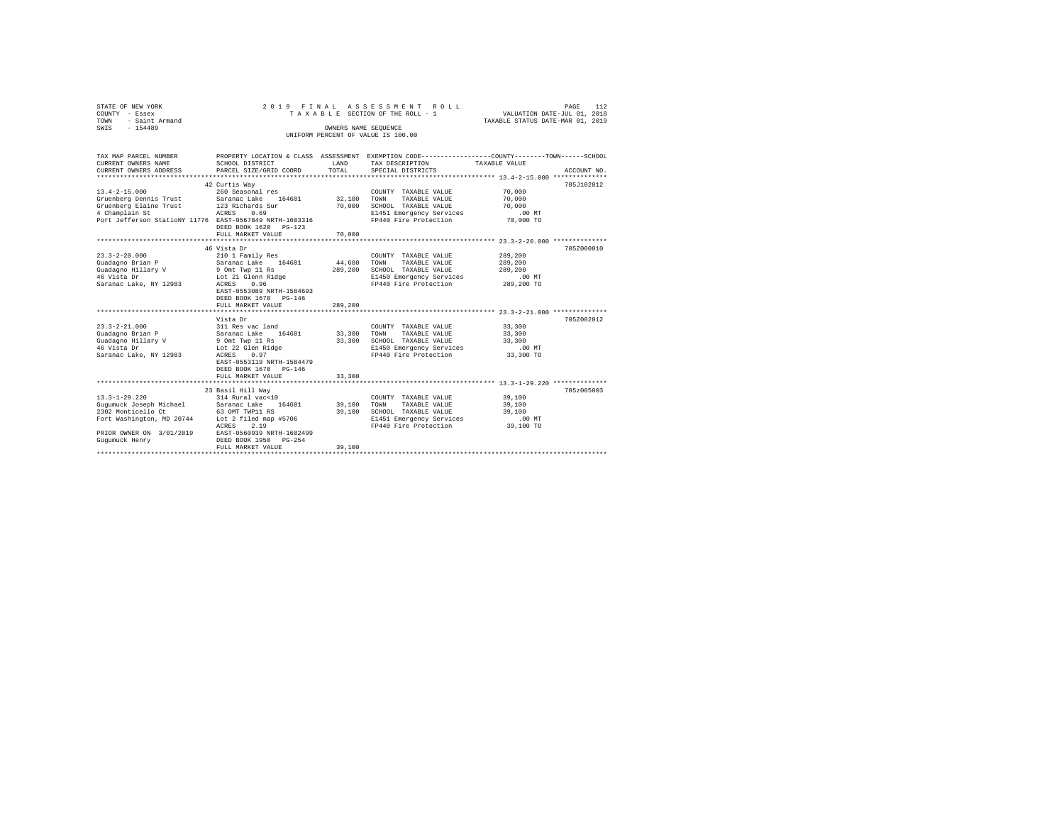| STATE OF NEW YORK<br>COUNTY - Essex<br>- Saint Armand<br>TOWN<br>SWIS - 154489                                                                                                                                   | 2019 FINAL                                                                                                                                                                                                                                                                                                                                                                          | OWNERS NAME SEQUENCE                                       | ASSESSMENT ROLL<br>TAXABLE SECTION OF THE ROLL - 1<br>UNIFORM PERCENT OF VALUE IS 100.00                                                                                                                                                                 | 112<br>PAGE<br>VALUATION DATE-JUL 01, 2018<br>TAXABLE STATUS DATE-MAR 01, 2019                                                             |
|------------------------------------------------------------------------------------------------------------------------------------------------------------------------------------------------------------------|-------------------------------------------------------------------------------------------------------------------------------------------------------------------------------------------------------------------------------------------------------------------------------------------------------------------------------------------------------------------------------------|------------------------------------------------------------|----------------------------------------------------------------------------------------------------------------------------------------------------------------------------------------------------------------------------------------------------------|--------------------------------------------------------------------------------------------------------------------------------------------|
| TAX MAP PARCEL NUMBER<br>CURRENT OWNERS NAME<br>CURRENT OWNERS ADDRESS                                                                                                                                           | SCHOOL DISTRICT<br>PARCEL SIZE/GRID COORD                                                                                                                                                                                                                                                                                                                                           | LAND<br>TOTAL                                              | TAX DESCRIPTION<br>SPECIAL DISTRICTS                                                                                                                                                                                                                     | PROPERTY LOCATION & CLASS ASSESSMENT EXEMPTION CODE---------------COUNTY-------TOWN------SCHOOL<br>TAXABLE VALUE<br>ACCOUNT NO.            |
| $13.4 - 2 - 15.000$<br>Gruenberg Dennis Trust Saranac Lake 164<br>Gruenberg Elaine Trust 123 Richards Sur<br>4 Champlain St ACRES 0.69<br>Port Jefferson StatioNY 11776 EAST-0567849 NRTH-1603316                | 42 Curtis Way<br>260 Seasonal res<br>Saranac Lake 164601<br>DEED BOOK 1620 PG-123                                                                                                                                                                                                                                                                                                   | 32,100<br>70,000                                           | COUNTY TAXABLE VALUE<br>TOWN<br>TAXABLE VALUE<br>SCHOOL TAXABLE VALUE<br>E1451 Emergency Services<br>FP440 Fire Protection                                                                                                                               | 705J102812<br>70,000<br>70,000<br>70,000<br>$.00$ MT<br>70,000 TO                                                                          |
|                                                                                                                                                                                                                  | FULL MARKET VALUE                                                                                                                                                                                                                                                                                                                                                                   | 70,000                                                     |                                                                                                                                                                                                                                                          |                                                                                                                                            |
| $23.3 - 2 - 20.000$<br>Guadagno Brian P<br>Guadagno Hillary V<br>46 Vista Dr<br>Saranac Lake, NY 12983<br>$23.3 - 2 - 21.000$<br>Guadagno Brian P<br>Guadagno Hillary V<br>46 Vista Dr<br>Saranac Lake, NY 12983 | 46 Vista Dr<br>210 1 Family Res<br>Saranac Lake 164601<br>9 Omt Twp 11 Rs<br>Lot 21 Glenn Ridge<br>ACRES<br>0.96<br>EAST-0553089 NRTH-1584693<br>DEED BOOK 1678 PG-146<br>FULL MARKET VALUE<br>Vista Dr<br>311 Res vac land<br>Saranac Lake 164601<br>9 Omt Twp 11 Rs<br>Lot 22 Glen Ridge<br>ACRES 0.97<br>EAST-0553119 NRTH-1584479<br>DEED BOOK 1678 PG-146<br>FULL MARKET VALUE | 44,600<br>289,200<br>289,200<br>33,300<br>33,300<br>33,300 | COUNTY TAXABLE VALUE<br>TOWN<br>TAXABLE VALUE<br>SCHOOL TAXABLE VALUE<br>E1450 Emergency Services<br>FP440 Fire Protection<br>COUNTY TAXABLE VALUE<br>TOWN<br>TAXABLE VALUE<br>SCHOOL TAXABLE VALUE<br>E1450 Emergency Services<br>FP440 Fire Protection | 705Z000010<br>289,200<br>289,200<br>289,200<br>$.00$ MT<br>289,200 TO<br>705Z002012<br>33,300<br>33,300<br>33,300<br>$.00$ MT<br>33,300 TO |
|                                                                                                                                                                                                                  |                                                                                                                                                                                                                                                                                                                                                                                     |                                                            |                                                                                                                                                                                                                                                          |                                                                                                                                            |
| $13.3 - 1 - 29.220$<br>Gugumuck Joseph Michael<br>2302 Monticello Ct 63 OMT TWP11 RS<br>Fort Washington, MD 20744 Lot 2 filed map #5706<br>PRIOR OWNER ON 3/01/2019 EAST-0560939 NRTH-1602499<br>Gugumuck Henry  | 23 Basil Hill Way<br>314 Rural vac<10<br>Saranac Lake 164601<br>ACRES<br>2.19<br>DEED BOOK 1950 PG-254<br>FULL MARKET VALUE                                                                                                                                                                                                                                                         | 39,100<br>39,100<br>39,100                                 | COUNTY TAXABLE VALUE<br>TOWN<br>TAXABLE VALUE<br>SCHOOL TAXABLE VALUE<br>E1451 Emergency Services<br>FP440 Fire Protection                                                                                                                               | 705z005003<br>39,100<br>39,100<br>39,100<br>$.00$ MT<br>39,100 TO                                                                          |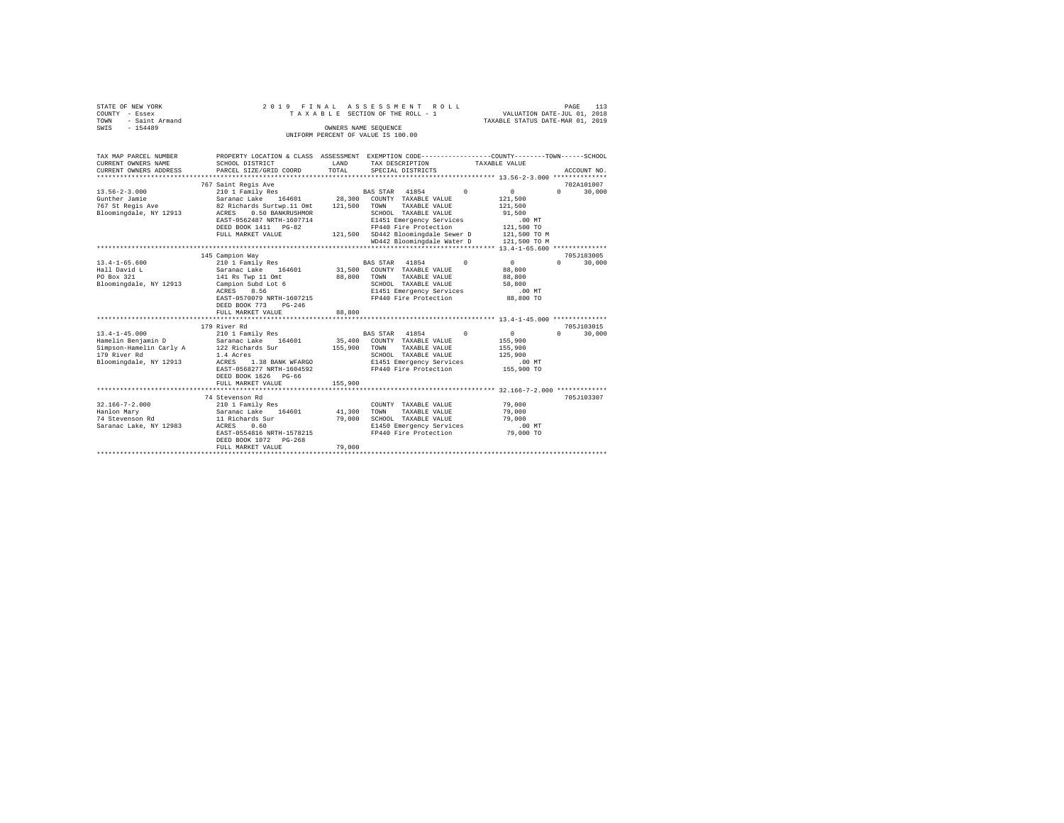| STATE OF NEW YORK<br>COUNTY - Essex | 2019 FINAL                  |                          | ASSESSMENT ROLL<br>TAXABLE SECTION OF THE ROLL - 1                                               | VALUATION DATE-JUL 01, 2018      | 113<br>PAGE        |
|-------------------------------------|-----------------------------|--------------------------|--------------------------------------------------------------------------------------------------|----------------------------------|--------------------|
| - Saint Armand<br>TOWN              |                             |                          |                                                                                                  | TAXABLE STATUS DATE-MAR 01, 2019 |                    |
| $-154489$<br>SWIS                   |                             |                          | OWNERS NAME SEOUENCE                                                                             |                                  |                    |
|                                     |                             |                          | UNIFORM PERCENT OF VALUE IS 100.00                                                               |                                  |                    |
|                                     |                             |                          |                                                                                                  |                                  |                    |
| TAX MAP PARCEL NUMBER               |                             |                          | PROPERTY LOCATION & CLASS ASSESSMENT EXEMPTION CODE----------------COUNTY-------TOWN------SCHOOL |                                  |                    |
| CURRENT OWNERS NAME                 | SCHOOL DISTRICT             | LAND                     | TAX DESCRIPTION                                                                                  | TAXABLE VALUE                    |                    |
| CURRENT OWNERS ADDRESS              | PARCEL SIZE/GRID COORD      | TOTAL                    | SPECIAL DISTRICTS                                                                                |                                  | ACCOUNT NO.        |
|                                     |                             |                          |                                                                                                  |                                  |                    |
|                                     | 767 Saint Regis Ave         |                          |                                                                                                  |                                  | 702A101007         |
| $13.56 - 2 - 3.000$                 | 210 1 Family Res            |                          | BAS STAR 41854<br>$^{\circ}$                                                                     | $\circ$                          | $\Omega$<br>30,000 |
| Gunther Jamie                       | Saranac Lake<br>164601      | 28,300                   | COUNTY TAXABLE VALUE                                                                             | 121,500                          |                    |
| 767 St Regis Ave                    | 82 Richards Surtwp.11 Omt   | 121,500                  | TOWN<br>TAXABLE VALUE                                                                            | 121,500                          |                    |
| Bloomingdale, NY 12913              | 0.50 BANKRUSHMOR<br>ACRES   |                          | SCHOOL TAXABLE VALUE                                                                             | 91,500                           |                    |
|                                     | EAST-0562487 NRTH-1607714   |                          | E1451 Emergency Services                                                                         | .00MT                            |                    |
|                                     | DEED BOOK 1411 PG-82        |                          | FP440 Fire Protection                                                                            | 121,500 TO                       |                    |
|                                     | FULL MARKET VALUE           |                          | 121,500 SD442 Bloomingdale Sewer D                                                               | 121,500 TO M                     |                    |
|                                     |                             |                          | WD442 Bloomingdale Water D                                                                       | 121,500 TO M                     |                    |
|                                     |                             |                          |                                                                                                  |                                  |                    |
|                                     | 145 Campion Way             |                          |                                                                                                  |                                  | 705J183005         |
| $13.4 - 1 - 65.600$                 | 210 1 Family Res            |                          | 41854<br>$\Omega$<br>BAS STAR                                                                    | $\circ$                          | 30,000<br>$\Omega$ |
| Hall David L                        | Saranac Lake<br>164601      | 31,500                   | COUNTY TAXABLE VALUE                                                                             | 88,800                           |                    |
| PO Box 321                          | 141 Rs Twp 11 Omt           | 88,800                   | TOWN<br>TAXABLE VALUE                                                                            | 88,800                           |                    |
| Bloomingdale, NY 12913              | Campion Subd Lot 6          |                          | SCHOOL TAXABLE VALUE                                                                             | 58,800                           |                    |
|                                     | 8.56<br>ACRES               |                          | E1451 Emergency Services                                                                         | .00MT                            |                    |
|                                     | EAST-0570079 NRTH-1607215   |                          | FP440 Fire Protection                                                                            | 88,800 TO                        |                    |
|                                     | DEED BOOK 773<br>$PG - 246$ |                          |                                                                                                  |                                  |                    |
|                                     | FULL MARKET VALUE           | 88,800                   |                                                                                                  |                                  |                    |
|                                     |                             |                          |                                                                                                  |                                  |                    |
|                                     | 179 River Rd                |                          |                                                                                                  |                                  | 705J103015         |
| $13.4 - 1 - 45.000$                 | 210 1 Family Res            |                          | BAS STAR 41854<br>$\Omega$                                                                       | $\circ$                          | 30,000<br>$\Omega$ |
| Hamelin Benjamin D                  | Saranac Lake 164601         | 35,400                   | COUNTY TAXABLE VALUE                                                                             | 155,900                          |                    |
| Simpson-Hamelin Carly A             | 122 Richards Sur            | 155,900                  | TAXABLE VALUE<br>TOWN                                                                            | 155,900                          |                    |
| 179 River Rd                        | 1.4 Acres                   |                          | SCHOOL TAXABLE VALUE                                                                             | 125,900                          |                    |
| Bloomingdale, NY 12913              | ACRES 1.38 BANK WFARGO      |                          | E1451 Emergency Services                                                                         | .00MT                            |                    |
|                                     | EAST-0568277 NRTH-1604592   |                          | FP440 Fire Protection                                                                            | 155,900 TO                       |                    |
|                                     | DEED BOOK 1626 PG-66        |                          |                                                                                                  |                                  |                    |
|                                     | FULL MARKET VALUE           | 155,900                  |                                                                                                  |                                  |                    |
|                                     |                             |                          |                                                                                                  |                                  |                    |
|                                     | 74 Stevenson Rd             |                          |                                                                                                  |                                  | 705J103307         |
| $32.166 - 7 - 2.000$                | 210 1 Family Res            |                          | COUNTY TAXABLE VALUE                                                                             | 79,000                           |                    |
| Hanlon Marv                         | Saranac Lake<br>164601      | 41,300                   | TOWN<br>TAXABLE VALUE                                                                            | 79,000                           |                    |
| 74 Stevenson Rd                     | 11 Richards Sur             | 79,000                   | SCHOOL TAXABLE VALUE                                                                             | 79,000                           |                    |
| Saranac Lake, NY 12983              | ACRES<br>0.60               |                          | E1450 Emergency Services                                                                         | $.00$ MT                         |                    |
|                                     | EAST-0554816 NRTH-1578215   |                          | FP440 Fire Protection                                                                            | 79,000 TO                        |                    |
|                                     | DEED BOOK 1072 PG-268       |                          |                                                                                                  |                                  |                    |
|                                     | FULL MARKET VALUE           | 79,000<br>************** |                                                                                                  |                                  |                    |
|                                     |                             |                          |                                                                                                  |                                  |                    |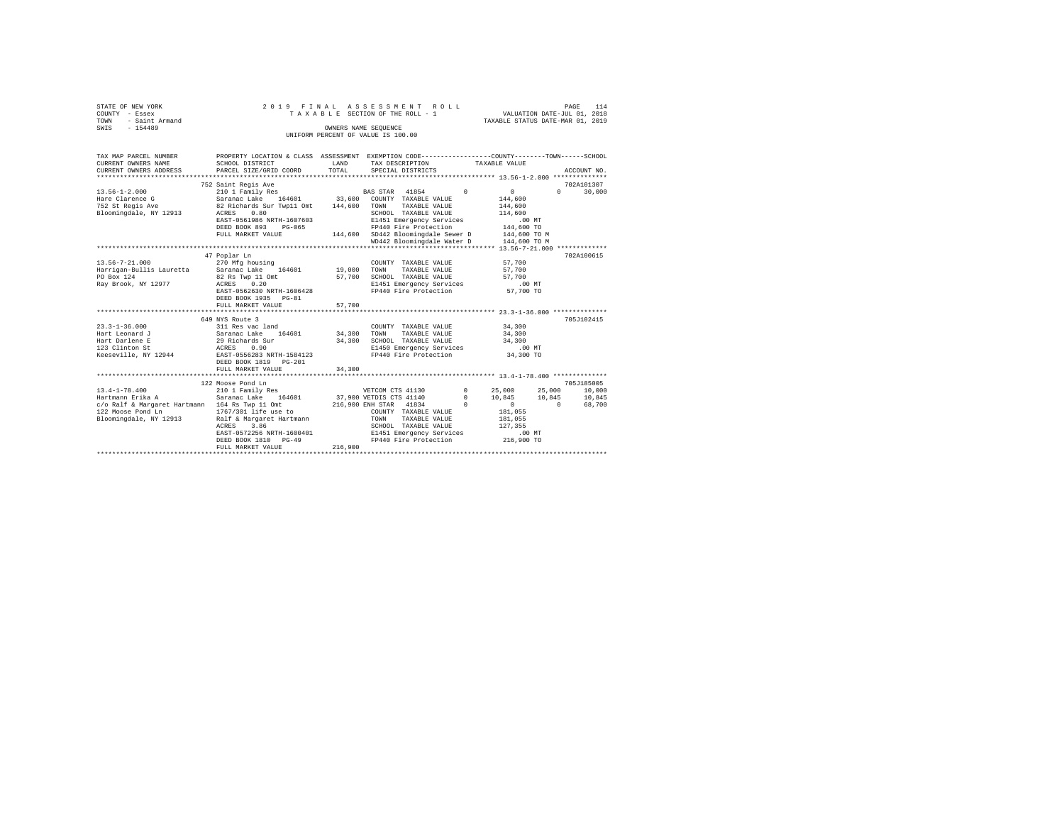| STATE OF NEW YORK                                                                         | 2019 FINAL                                                                                           |         | ASSESSMENT ROLL                                   |                                  | 114<br>PAGE   |
|-------------------------------------------------------------------------------------------|------------------------------------------------------------------------------------------------------|---------|---------------------------------------------------|----------------------------------|---------------|
| COUNTY - Essex                                                                            |                                                                                                      |         | TAXABLE SECTION OF THE ROLL - 1                   | VALUATION DATE-JUL 01, 2018      |               |
| TOWN<br>- Saint Armand                                                                    |                                                                                                      |         |                                                   | TAXABLE STATUS DATE-MAR 01, 2019 |               |
| SWIS - 154489                                                                             |                                                                                                      |         | OWNERS NAME SEOUENCE                              |                                  |               |
|                                                                                           |                                                                                                      |         | UNIFORM PERCENT OF VALUE IS 100.00                |                                  |               |
|                                                                                           |                                                                                                      |         |                                                   |                                  |               |
|                                                                                           |                                                                                                      |         |                                                   |                                  |               |
| TAX MAP PARCEL NUMBER                                                                     | PROPERTY LOCATION & CLASS ASSESSMENT EXEMPTION CODE---------------COUNTY-------TOWN------SCHOOL      |         |                                                   |                                  |               |
| CURRENT OWNERS NAME                                                                       | SCHOOL DISTRICT                                                                                      | LAND    | TAX DESCRIPTION                                   | TAXABLE VALUE                    |               |
| CURRENT OWNERS ADDRESS                                                                    | PARCEL SIZE/GRID COORD                                                                               | TOTAL   | SPECIAL DISTRICTS                                 |                                  | ACCOUNT NO.   |
|                                                                                           |                                                                                                      |         |                                                   |                                  |               |
|                                                                                           | 752 Saint Regis Ave                                                                                  |         |                                                   |                                  | 702A101307    |
| $13.56 - 1 - 2.000$                                                                       |                                                                                                      |         |                                                   | $\sim$ 0                         | $0 \t 30.000$ |
| Hare Clarence G                                                                           |                                                                                                      |         |                                                   | 144,600                          |               |
| 752 St Regis Ave                                                                          | Saranac Lake 164601 33,600 COUNTY TAXABLE VALUE 82 Richards Sur Twp11 Omt 144,600 TOWN TAXABLE VALUE |         |                                                   | 144,600                          |               |
| Bloomingdale, NY 12913                                                                    | 0.80<br>ACRES                                                                                        |         | SCHOOL TAXABLE VALUE                              | 114,600                          |               |
|                                                                                           | EAST-0561986 NRTH-1607603                                                                            |         | E1451 Emergency Services                          | $.00$ MT                         |               |
|                                                                                           | DEED BOOK 893 PG-065                                                                                 |         | FP440 Fire Protection                             | 144,600 TO                       |               |
|                                                                                           | FULL MARKET VALUE                                                                                    |         | 144,600 SD442 Bloomingdale Sewer D                | 144,600 TO M                     |               |
|                                                                                           |                                                                                                      |         | WD442 Bloomingdale Water D                        | 144,600 TO M                     |               |
|                                                                                           |                                                                                                      |         |                                                   |                                  |               |
|                                                                                           |                                                                                                      |         |                                                   |                                  | 702A100615    |
|                                                                                           | 47 Poplar Ln                                                                                         |         |                                                   |                                  |               |
| $13.56 - 7 - 21.000$                                                                      | 270 Mfg housing                                                                                      |         | COUNTY TAXABLE VALUE                              | 57,700                           |               |
| Harrigan-Bullis Lauretta Saranac Lake 164601                                              |                                                                                                      | 19,000  | TAXABLE VALUE<br>TOWN                             | 57,700                           |               |
| PO Box 124                                                                                | 82 Rs Twp 11 Omt<br>ACRES 0.20                                                                       | 57,700  | SCHOOL TAXABLE VALUE                              | 57,700                           |               |
| Ray Brook, NY 12977                                                                       |                                                                                                      |         | E1451 Emergency Services                          | $.00$ MT                         |               |
|                                                                                           | EAST-0562630 NRTH-1606428                                                                            |         | FP440 Fire Protection                             | 57,700 TO                        |               |
|                                                                                           | DEED BOOK 1935 PG-81                                                                                 |         |                                                   |                                  |               |
|                                                                                           | FULL MARKET VALUE                                                                                    | 57,700  |                                                   |                                  |               |
|                                                                                           |                                                                                                      |         |                                                   |                                  |               |
|                                                                                           | 649 NYS Route 3                                                                                      |         |                                                   |                                  | 705J102415    |
| $23.3 - 1 - 36.000$                                                                       | 311 Res vac land                                                                                     |         | COUNTY TAXABLE VALUE                              | 34,300                           |               |
| Hart Leonard J                                                                            | Saranac Lake 164601 34,300                                                                           |         | TAXABLE VALUE<br>TOWN                             | 34,300                           |               |
| Hart Darlene E                                                                            | 29 Richards Sur<br>ACRES 0.90                                                                        | 34,300  | SCHOOL TAXABLE VALUE                              | 34,300                           |               |
| 123 Clinton St                                                                            |                                                                                                      |         | E1450 Emergency Services                          | $.00$ MT                         |               |
| Keeseville, NY 12944                                                                      | EAST-0556283 NRTH-1584123                                                                            |         | FP440 Fire Protection                             | 34,300 TO                        |               |
|                                                                                           | DEED BOOK 1819 PG-201                                                                                |         |                                                   |                                  |               |
|                                                                                           | FULL MARKET VALUE                                                                                    | 34,300  |                                                   |                                  |               |
|                                                                                           |                                                                                                      |         |                                                   |                                  |               |
|                                                                                           | 122 Moose Pond Ln                                                                                    |         |                                                   |                                  | 705.T185005   |
| $13.4 - 1 - 78.400$                                                                       |                                                                                                      |         |                                                   |                                  |               |
| Hartmann Erika A                                                                          |                                                                                                      |         |                                                   |                                  |               |
| c/o Ralf & Margaret Hartmann 164 Rs Twp 11 Omt                                            |                                                                                                      |         |                                                   |                                  |               |
| 122 Moose Pond Ln                                                                         | 1767/301 life use to                                                                                 |         | COUNTY TAXABLE VALUE                              | 181,055                          |               |
| 122 Moose Pond Ln 1767/301 life use to<br>Bloomingdale, NY 12913 Ralf & Margaret Hartmann |                                                                                                      |         | TOWN<br>TAXABLE VALUE                             | 181,055                          |               |
|                                                                                           | 3.86                                                                                                 |         | SCHOOL TAXABLE VALUE                              | 127,355                          |               |
|                                                                                           | ACRES<br>EAST-0572256 NRTH-1600401                                                                   |         |                                                   | .00 MT                           |               |
|                                                                                           |                                                                                                      |         | E1451 Emergency Services<br>FP440 Fire Protection |                                  |               |
|                                                                                           | DEED BOOK 1810 PG-49                                                                                 |         | FP440 Fire Protection 216,900 TO                  |                                  |               |
|                                                                                           | FULL MARKET VALUE                                                                                    | 216,900 |                                                   |                                  |               |
|                                                                                           |                                                                                                      |         |                                                   |                                  |               |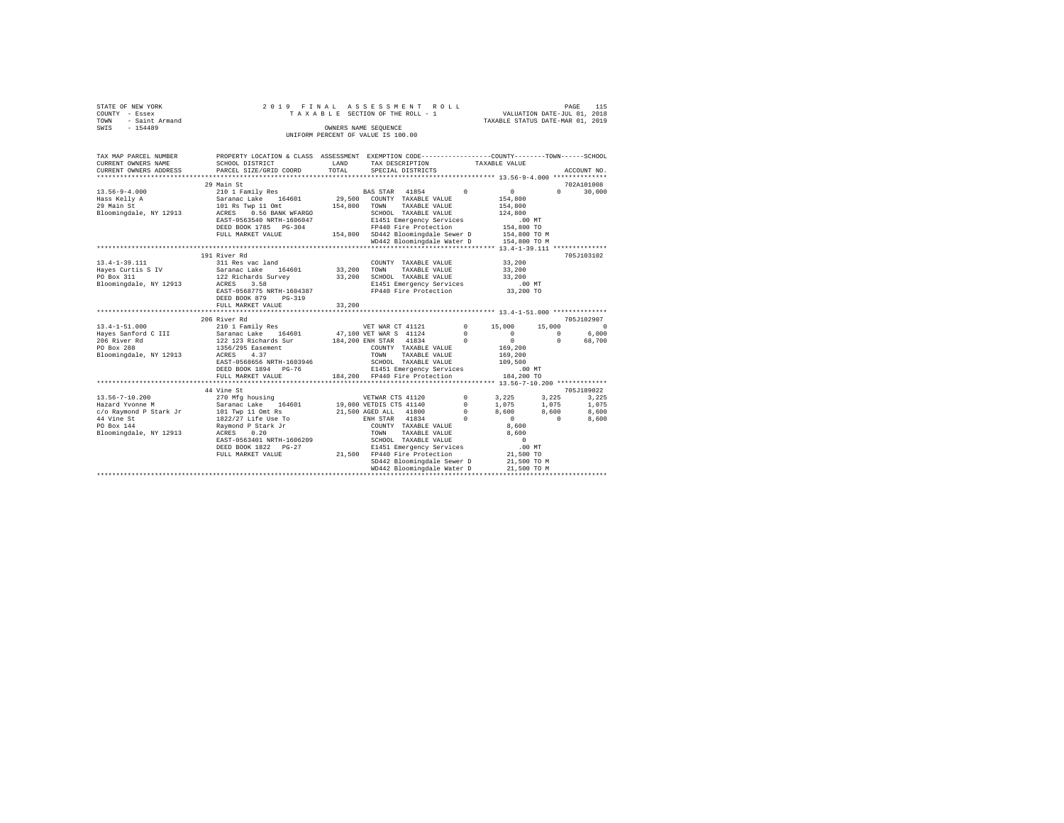|                | STATE OF NEW YORK |  |  |  | 2019 FINAL ASSESSMENT ROLL         |  |  |  |  | 115<br>PAGE                      |
|----------------|-------------------|--|--|--|------------------------------------|--|--|--|--|----------------------------------|
| COUNTY - Essex |                   |  |  |  | TAXABLE SECTION OF THE ROLL - 1    |  |  |  |  | VALUATION DATE-JUL 01, 2018      |
| TOWN           | - Saint Armand    |  |  |  |                                    |  |  |  |  | TAXABLE STATUS DATE-MAR 01, 2019 |
| SWIS           | $-154489$         |  |  |  | OWNERS NAME SEOUENCE               |  |  |  |  |                                  |
|                |                   |  |  |  | UNIFORM PERCENT OF VALUE IS 100.00 |  |  |  |  |                                  |

| 29 Main St<br>702A101008<br>BAS STAR 41854 0<br>$13.56 - 9 - 4.000$<br>30,000<br>210 1 Family Res<br>0<br>$\Omega$<br>29,500<br>Hass Kelly A<br>Saranac Lake 164601<br>COUNTY TAXABLE VALUE<br>154,800<br>101 Rs Twp 11 Omt<br>154,800<br>TOWN<br>TAXABLE VALUE<br>154,800<br>Bloomingdale, NY 12913 ACRES 0.56 BANK WFARGO<br>SCHOOL TAXABLE VALUE<br>124,800<br>E1451 Emergency Services<br>EAST-0563540 NRTH-1606047<br>$.00$ MT<br>FP440 Fire Protection<br>154,800 TO<br>DEED BOOK 1785 PG-304<br>154,800 SD442 Bloomingdale Sewer D<br>FULL MARKET VALUE<br>191 River Rd<br>705J103102<br>$13.4 - 1 - 39.111$<br>33,200<br>311 Res vac land<br>COUNTY TAXABLE VALUE<br>33,200<br>TOWN<br>TAXABLE VALUE<br>33,200<br>33,200<br>SCHOOL TAXABLE VALUE<br>33,200<br>E1451 Emergency Services .00 MT<br>Bloomingdale, NY 12913<br>ACRES<br>3.58<br>EAST-0568775 NRTH-1604387<br>FP440 Fire Protection<br>33,200 TO<br>DEED BOOK 879 PG-319<br>33,200<br>FULL MARKET VALUE<br>705J102907<br>206 River Rd<br>$0 \t 15,000$<br>15,000<br>$\circ$<br>$\mathbf{0}$<br>6,000<br>$\Omega$<br>$\begin{smallmatrix}&&0\\&&2\\0&1\,6\,9\,,\,2\,0\,0\end{smallmatrix}$<br>$\Omega$<br>68,700<br>169,200<br>TAXABLE VALUE<br>4.37<br>ACRES<br>TOWN<br>EAST-0568656 NRTH-1603946<br>SCHOOL TAXABLE VALUE<br>E1451 Emergence: 0<br>109,500<br>DEED BOOK 1894 PG-76<br>E1451 Emergency Services<br>.00 MT<br>184.200 FP440 Fire Protection 184.200 TO<br>FULL MARKET VALUE<br>705J189022<br>44 Vine St<br>270 Mfg housing<br>$0 \t 3,225 \t 3,225$<br>$13.56 - 7 - 10.200$<br>VETWAR CTS 41120<br>3,225<br>19,000 VETDIS CTS 41140<br>Saranac Lake 164601<br>$^{\circ}$<br>1,075<br>1,075<br>1,075<br>Hazard Yvonne M<br>21,500 AGED ALL 41800 0<br>8,600<br>c/o Raymond P Stark Jr 101 Twp 11 Omt Rs<br>8,600<br>8,600<br>ENH STAR 41834<br>44 Vine St<br>1822/27 Life Use To<br>$\sim$ 0<br>$\overline{\mathbf{0}}$<br>$\sim$ 0<br>8,600<br>PO Box 144<br>Raymond P Stark Jr<br>COUNTY TAXABLE VALUE<br>8,600<br>Bloomingdale, NY 12913<br>8,600<br>ACRES<br>0.20<br>TOWN<br>TAXABLE VALUE<br>EAST-0563401 NRTH-1606209<br>SCHOOL TAXABLE VALUE<br>$\sim$ 0<br>$.00$ MT<br>E1451 Emergency Services<br>DEED BOOK 1822 PG-27<br>21,500 FP440 Fire Protection | TAX MAP PARCEL NUMBER<br>CURRENT OWNERS NAME<br>CURRENT OWNERS ADDRESS | PROPERTY LOCATION & CLASS ASSESSMENT EXEMPTION CODE----------------COUNTY-------TOWN------SCHOOL<br>SCHOOL DISTRICT<br>PARCEL SIZE/GRID COORD | LAND<br>TOTAL | TAX DESCRIPTION<br>SPECIAL DISTRICTS | TAXABLE VALUE | ACCOUNT NO. |
|-------------------------------------------------------------------------------------------------------------------------------------------------------------------------------------------------------------------------------------------------------------------------------------------------------------------------------------------------------------------------------------------------------------------------------------------------------------------------------------------------------------------------------------------------------------------------------------------------------------------------------------------------------------------------------------------------------------------------------------------------------------------------------------------------------------------------------------------------------------------------------------------------------------------------------------------------------------------------------------------------------------------------------------------------------------------------------------------------------------------------------------------------------------------------------------------------------------------------------------------------------------------------------------------------------------------------------------------------------------------------------------------------------------------------------------------------------------------------------------------------------------------------------------------------------------------------------------------------------------------------------------------------------------------------------------------------------------------------------------------------------------------------------------------------------------------------------------------------------------------------------------------------------------------------------------------------------------------------------------------------------------------------------------------------------------------------------------------------------------------------------------------------------------------------------------------------------------------------------------------------|------------------------------------------------------------------------|-----------------------------------------------------------------------------------------------------------------------------------------------|---------------|--------------------------------------|---------------|-------------|
|                                                                                                                                                                                                                                                                                                                                                                                                                                                                                                                                                                                                                                                                                                                                                                                                                                                                                                                                                                                                                                                                                                                                                                                                                                                                                                                                                                                                                                                                                                                                                                                                                                                                                                                                                                                                                                                                                                                                                                                                                                                                                                                                                                                                                                                 |                                                                        |                                                                                                                                               |               |                                      |               |             |
|                                                                                                                                                                                                                                                                                                                                                                                                                                                                                                                                                                                                                                                                                                                                                                                                                                                                                                                                                                                                                                                                                                                                                                                                                                                                                                                                                                                                                                                                                                                                                                                                                                                                                                                                                                                                                                                                                                                                                                                                                                                                                                                                                                                                                                                 |                                                                        |                                                                                                                                               |               |                                      |               |             |
|                                                                                                                                                                                                                                                                                                                                                                                                                                                                                                                                                                                                                                                                                                                                                                                                                                                                                                                                                                                                                                                                                                                                                                                                                                                                                                                                                                                                                                                                                                                                                                                                                                                                                                                                                                                                                                                                                                                                                                                                                                                                                                                                                                                                                                                 |                                                                        |                                                                                                                                               |               |                                      |               |             |
|                                                                                                                                                                                                                                                                                                                                                                                                                                                                                                                                                                                                                                                                                                                                                                                                                                                                                                                                                                                                                                                                                                                                                                                                                                                                                                                                                                                                                                                                                                                                                                                                                                                                                                                                                                                                                                                                                                                                                                                                                                                                                                                                                                                                                                                 | 29 Main St                                                             |                                                                                                                                               |               |                                      |               |             |
|                                                                                                                                                                                                                                                                                                                                                                                                                                                                                                                                                                                                                                                                                                                                                                                                                                                                                                                                                                                                                                                                                                                                                                                                                                                                                                                                                                                                                                                                                                                                                                                                                                                                                                                                                                                                                                                                                                                                                                                                                                                                                                                                                                                                                                                 |                                                                        |                                                                                                                                               |               |                                      |               |             |
|                                                                                                                                                                                                                                                                                                                                                                                                                                                                                                                                                                                                                                                                                                                                                                                                                                                                                                                                                                                                                                                                                                                                                                                                                                                                                                                                                                                                                                                                                                                                                                                                                                                                                                                                                                                                                                                                                                                                                                                                                                                                                                                                                                                                                                                 |                                                                        |                                                                                                                                               |               |                                      |               |             |
|                                                                                                                                                                                                                                                                                                                                                                                                                                                                                                                                                                                                                                                                                                                                                                                                                                                                                                                                                                                                                                                                                                                                                                                                                                                                                                                                                                                                                                                                                                                                                                                                                                                                                                                                                                                                                                                                                                                                                                                                                                                                                                                                                                                                                                                 |                                                                        |                                                                                                                                               |               |                                      |               |             |
|                                                                                                                                                                                                                                                                                                                                                                                                                                                                                                                                                                                                                                                                                                                                                                                                                                                                                                                                                                                                                                                                                                                                                                                                                                                                                                                                                                                                                                                                                                                                                                                                                                                                                                                                                                                                                                                                                                                                                                                                                                                                                                                                                                                                                                                 |                                                                        |                                                                                                                                               |               |                                      |               |             |
|                                                                                                                                                                                                                                                                                                                                                                                                                                                                                                                                                                                                                                                                                                                                                                                                                                                                                                                                                                                                                                                                                                                                                                                                                                                                                                                                                                                                                                                                                                                                                                                                                                                                                                                                                                                                                                                                                                                                                                                                                                                                                                                                                                                                                                                 |                                                                        |                                                                                                                                               |               |                                      |               |             |
|                                                                                                                                                                                                                                                                                                                                                                                                                                                                                                                                                                                                                                                                                                                                                                                                                                                                                                                                                                                                                                                                                                                                                                                                                                                                                                                                                                                                                                                                                                                                                                                                                                                                                                                                                                                                                                                                                                                                                                                                                                                                                                                                                                                                                                                 |                                                                        |                                                                                                                                               |               |                                      |               |             |
|                                                                                                                                                                                                                                                                                                                                                                                                                                                                                                                                                                                                                                                                                                                                                                                                                                                                                                                                                                                                                                                                                                                                                                                                                                                                                                                                                                                                                                                                                                                                                                                                                                                                                                                                                                                                                                                                                                                                                                                                                                                                                                                                                                                                                                                 |                                                                        |                                                                                                                                               |               |                                      |               |             |
|                                                                                                                                                                                                                                                                                                                                                                                                                                                                                                                                                                                                                                                                                                                                                                                                                                                                                                                                                                                                                                                                                                                                                                                                                                                                                                                                                                                                                                                                                                                                                                                                                                                                                                                                                                                                                                                                                                                                                                                                                                                                                                                                                                                                                                                 |                                                                        |                                                                                                                                               |               |                                      |               |             |
|                                                                                                                                                                                                                                                                                                                                                                                                                                                                                                                                                                                                                                                                                                                                                                                                                                                                                                                                                                                                                                                                                                                                                                                                                                                                                                                                                                                                                                                                                                                                                                                                                                                                                                                                                                                                                                                                                                                                                                                                                                                                                                                                                                                                                                                 |                                                                        |                                                                                                                                               |               |                                      |               |             |
|                                                                                                                                                                                                                                                                                                                                                                                                                                                                                                                                                                                                                                                                                                                                                                                                                                                                                                                                                                                                                                                                                                                                                                                                                                                                                                                                                                                                                                                                                                                                                                                                                                                                                                                                                                                                                                                                                                                                                                                                                                                                                                                                                                                                                                                 |                                                                        |                                                                                                                                               |               |                                      |               |             |
|                                                                                                                                                                                                                                                                                                                                                                                                                                                                                                                                                                                                                                                                                                                                                                                                                                                                                                                                                                                                                                                                                                                                                                                                                                                                                                                                                                                                                                                                                                                                                                                                                                                                                                                                                                                                                                                                                                                                                                                                                                                                                                                                                                                                                                                 |                                                                        |                                                                                                                                               |               |                                      |               |             |
|                                                                                                                                                                                                                                                                                                                                                                                                                                                                                                                                                                                                                                                                                                                                                                                                                                                                                                                                                                                                                                                                                                                                                                                                                                                                                                                                                                                                                                                                                                                                                                                                                                                                                                                                                                                                                                                                                                                                                                                                                                                                                                                                                                                                                                                 |                                                                        |                                                                                                                                               |               |                                      |               |             |
|                                                                                                                                                                                                                                                                                                                                                                                                                                                                                                                                                                                                                                                                                                                                                                                                                                                                                                                                                                                                                                                                                                                                                                                                                                                                                                                                                                                                                                                                                                                                                                                                                                                                                                                                                                                                                                                                                                                                                                                                                                                                                                                                                                                                                                                 |                                                                        |                                                                                                                                               |               |                                      |               |             |
|                                                                                                                                                                                                                                                                                                                                                                                                                                                                                                                                                                                                                                                                                                                                                                                                                                                                                                                                                                                                                                                                                                                                                                                                                                                                                                                                                                                                                                                                                                                                                                                                                                                                                                                                                                                                                                                                                                                                                                                                                                                                                                                                                                                                                                                 |                                                                        |                                                                                                                                               |               |                                      |               |             |
|                                                                                                                                                                                                                                                                                                                                                                                                                                                                                                                                                                                                                                                                                                                                                                                                                                                                                                                                                                                                                                                                                                                                                                                                                                                                                                                                                                                                                                                                                                                                                                                                                                                                                                                                                                                                                                                                                                                                                                                                                                                                                                                                                                                                                                                 |                                                                        |                                                                                                                                               |               |                                      |               |             |
|                                                                                                                                                                                                                                                                                                                                                                                                                                                                                                                                                                                                                                                                                                                                                                                                                                                                                                                                                                                                                                                                                                                                                                                                                                                                                                                                                                                                                                                                                                                                                                                                                                                                                                                                                                                                                                                                                                                                                                                                                                                                                                                                                                                                                                                 |                                                                        |                                                                                                                                               |               |                                      |               |             |
|                                                                                                                                                                                                                                                                                                                                                                                                                                                                                                                                                                                                                                                                                                                                                                                                                                                                                                                                                                                                                                                                                                                                                                                                                                                                                                                                                                                                                                                                                                                                                                                                                                                                                                                                                                                                                                                                                                                                                                                                                                                                                                                                                                                                                                                 |                                                                        |                                                                                                                                               |               |                                      |               |             |
|                                                                                                                                                                                                                                                                                                                                                                                                                                                                                                                                                                                                                                                                                                                                                                                                                                                                                                                                                                                                                                                                                                                                                                                                                                                                                                                                                                                                                                                                                                                                                                                                                                                                                                                                                                                                                                                                                                                                                                                                                                                                                                                                                                                                                                                 |                                                                        |                                                                                                                                               |               |                                      |               |             |
|                                                                                                                                                                                                                                                                                                                                                                                                                                                                                                                                                                                                                                                                                                                                                                                                                                                                                                                                                                                                                                                                                                                                                                                                                                                                                                                                                                                                                                                                                                                                                                                                                                                                                                                                                                                                                                                                                                                                                                                                                                                                                                                                                                                                                                                 |                                                                        |                                                                                                                                               |               |                                      |               |             |
|                                                                                                                                                                                                                                                                                                                                                                                                                                                                                                                                                                                                                                                                                                                                                                                                                                                                                                                                                                                                                                                                                                                                                                                                                                                                                                                                                                                                                                                                                                                                                                                                                                                                                                                                                                                                                                                                                                                                                                                                                                                                                                                                                                                                                                                 | Bloomingdale, NY 12913                                                 |                                                                                                                                               |               |                                      |               |             |
|                                                                                                                                                                                                                                                                                                                                                                                                                                                                                                                                                                                                                                                                                                                                                                                                                                                                                                                                                                                                                                                                                                                                                                                                                                                                                                                                                                                                                                                                                                                                                                                                                                                                                                                                                                                                                                                                                                                                                                                                                                                                                                                                                                                                                                                 |                                                                        |                                                                                                                                               |               |                                      |               |             |
|                                                                                                                                                                                                                                                                                                                                                                                                                                                                                                                                                                                                                                                                                                                                                                                                                                                                                                                                                                                                                                                                                                                                                                                                                                                                                                                                                                                                                                                                                                                                                                                                                                                                                                                                                                                                                                                                                                                                                                                                                                                                                                                                                                                                                                                 |                                                                        |                                                                                                                                               |               |                                      |               |             |
|                                                                                                                                                                                                                                                                                                                                                                                                                                                                                                                                                                                                                                                                                                                                                                                                                                                                                                                                                                                                                                                                                                                                                                                                                                                                                                                                                                                                                                                                                                                                                                                                                                                                                                                                                                                                                                                                                                                                                                                                                                                                                                                                                                                                                                                 |                                                                        |                                                                                                                                               |               |                                      |               |             |
|                                                                                                                                                                                                                                                                                                                                                                                                                                                                                                                                                                                                                                                                                                                                                                                                                                                                                                                                                                                                                                                                                                                                                                                                                                                                                                                                                                                                                                                                                                                                                                                                                                                                                                                                                                                                                                                                                                                                                                                                                                                                                                                                                                                                                                                 |                                                                        |                                                                                                                                               |               |                                      |               |             |
|                                                                                                                                                                                                                                                                                                                                                                                                                                                                                                                                                                                                                                                                                                                                                                                                                                                                                                                                                                                                                                                                                                                                                                                                                                                                                                                                                                                                                                                                                                                                                                                                                                                                                                                                                                                                                                                                                                                                                                                                                                                                                                                                                                                                                                                 |                                                                        |                                                                                                                                               |               |                                      |               |             |
|                                                                                                                                                                                                                                                                                                                                                                                                                                                                                                                                                                                                                                                                                                                                                                                                                                                                                                                                                                                                                                                                                                                                                                                                                                                                                                                                                                                                                                                                                                                                                                                                                                                                                                                                                                                                                                                                                                                                                                                                                                                                                                                                                                                                                                                 |                                                                        |                                                                                                                                               |               |                                      |               |             |
|                                                                                                                                                                                                                                                                                                                                                                                                                                                                                                                                                                                                                                                                                                                                                                                                                                                                                                                                                                                                                                                                                                                                                                                                                                                                                                                                                                                                                                                                                                                                                                                                                                                                                                                                                                                                                                                                                                                                                                                                                                                                                                                                                                                                                                                 |                                                                        |                                                                                                                                               |               |                                      |               |             |
|                                                                                                                                                                                                                                                                                                                                                                                                                                                                                                                                                                                                                                                                                                                                                                                                                                                                                                                                                                                                                                                                                                                                                                                                                                                                                                                                                                                                                                                                                                                                                                                                                                                                                                                                                                                                                                                                                                                                                                                                                                                                                                                                                                                                                                                 |                                                                        |                                                                                                                                               |               |                                      |               |             |
|                                                                                                                                                                                                                                                                                                                                                                                                                                                                                                                                                                                                                                                                                                                                                                                                                                                                                                                                                                                                                                                                                                                                                                                                                                                                                                                                                                                                                                                                                                                                                                                                                                                                                                                                                                                                                                                                                                                                                                                                                                                                                                                                                                                                                                                 |                                                                        |                                                                                                                                               |               |                                      |               |             |
|                                                                                                                                                                                                                                                                                                                                                                                                                                                                                                                                                                                                                                                                                                                                                                                                                                                                                                                                                                                                                                                                                                                                                                                                                                                                                                                                                                                                                                                                                                                                                                                                                                                                                                                                                                                                                                                                                                                                                                                                                                                                                                                                                                                                                                                 |                                                                        |                                                                                                                                               |               |                                      |               |             |
|                                                                                                                                                                                                                                                                                                                                                                                                                                                                                                                                                                                                                                                                                                                                                                                                                                                                                                                                                                                                                                                                                                                                                                                                                                                                                                                                                                                                                                                                                                                                                                                                                                                                                                                                                                                                                                                                                                                                                                                                                                                                                                                                                                                                                                                 |                                                                        |                                                                                                                                               |               |                                      |               |             |
|                                                                                                                                                                                                                                                                                                                                                                                                                                                                                                                                                                                                                                                                                                                                                                                                                                                                                                                                                                                                                                                                                                                                                                                                                                                                                                                                                                                                                                                                                                                                                                                                                                                                                                                                                                                                                                                                                                                                                                                                                                                                                                                                                                                                                                                 |                                                                        |                                                                                                                                               |               |                                      |               |             |
|                                                                                                                                                                                                                                                                                                                                                                                                                                                                                                                                                                                                                                                                                                                                                                                                                                                                                                                                                                                                                                                                                                                                                                                                                                                                                                                                                                                                                                                                                                                                                                                                                                                                                                                                                                                                                                                                                                                                                                                                                                                                                                                                                                                                                                                 |                                                                        | FULL MARKET VALUE                                                                                                                             |               |                                      | 21,500 TO     |             |
| SD442 Bloomingdale Sewer D<br>21,500 TO M                                                                                                                                                                                                                                                                                                                                                                                                                                                                                                                                                                                                                                                                                                                                                                                                                                                                                                                                                                                                                                                                                                                                                                                                                                                                                                                                                                                                                                                                                                                                                                                                                                                                                                                                                                                                                                                                                                                                                                                                                                                                                                                                                                                                       |                                                                        |                                                                                                                                               |               |                                      |               |             |
| WD442 Bloomingdale Water D<br>21,500 TO M                                                                                                                                                                                                                                                                                                                                                                                                                                                                                                                                                                                                                                                                                                                                                                                                                                                                                                                                                                                                                                                                                                                                                                                                                                                                                                                                                                                                                                                                                                                                                                                                                                                                                                                                                                                                                                                                                                                                                                                                                                                                                                                                                                                                       |                                                                        |                                                                                                                                               |               |                                      |               |             |
|                                                                                                                                                                                                                                                                                                                                                                                                                                                                                                                                                                                                                                                                                                                                                                                                                                                                                                                                                                                                                                                                                                                                                                                                                                                                                                                                                                                                                                                                                                                                                                                                                                                                                                                                                                                                                                                                                                                                                                                                                                                                                                                                                                                                                                                 |                                                                        |                                                                                                                                               |               |                                      |               |             |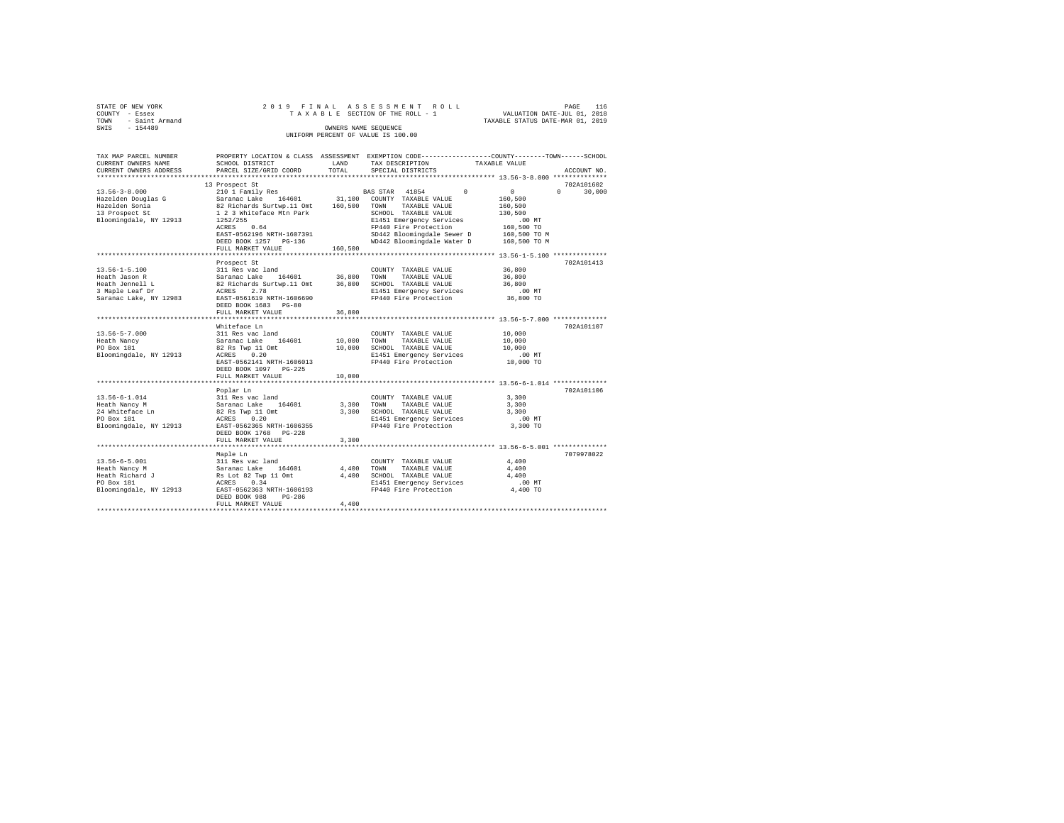|                | STATE OF NEW YORK   |  |  |  | 2019 FINAL ASSESSMENT ROLL         |  |  |  |  |  |  |                                  |                             |  | PAGE | 116 |  |
|----------------|---------------------|--|--|--|------------------------------------|--|--|--|--|--|--|----------------------------------|-----------------------------|--|------|-----|--|
| COUNTY - Essex |                     |  |  |  | TAXABLE SECTION OF THE ROLL - 1    |  |  |  |  |  |  |                                  | VALUATION DATE-JUL 01, 2018 |  |      |     |  |
|                | TOWN - Saint Armand |  |  |  |                                    |  |  |  |  |  |  | TAXABLE STATUS DATE-MAR 01, 2019 |                             |  |      |     |  |
| SWIS           | $-154489$           |  |  |  | OWNERS NAME SEOUENCE               |  |  |  |  |  |  |                                  |                             |  |      |     |  |
|                |                     |  |  |  | UNIFORM PERCENT OF VALUE IS 100.00 |  |  |  |  |  |  |                                  |                             |  |      |     |  |

| 13 Prospect St<br>702A101602<br>$13.56 - 3 - 8.000$<br>210 1 Family Res<br>BAS STAR 41854<br>0<br>$\Omega$<br>30,000<br>$^{\circ}$<br>31,100<br>Hazelden Douglas G<br>Saranac Lake 164601<br>COUNTY TAXABLE VALUE<br>160,500<br>Hazelden Sonia<br>82 Richards Surtwp.11 Omt<br>160,500<br>TOWN<br>TAXABLE VALUE<br>160,500<br>13 Prospect St<br>1 2 3 Whiteface Mtn Park<br>SCHOOL TAXABLE VALUE<br>130,500<br>Bloomingdale, NY 12913<br>1252/255<br>E1451 Emergency Services<br>$.00$ MT<br>FP440 Fire Protection<br>ACRES<br>0.64<br>160,500 TO<br>EAST-0562196 NRTH-1607391<br>SD442 Bloomingdale Sewer D<br>160,500 TO M<br>WD442 Bloomingdale Water D<br>DEED BOOK 1257 PG-136<br>160,500 TO M<br>160,500<br>FULL MARKET VALUE<br>702A101413<br>Prospect St<br>36,800<br>$13.56 - 1 - 5.100$<br>311 Res vac land<br>COUNTY TAXABLE VALUE<br>36,800 TOWN<br>Saranac Lake 164601<br>36,800<br>Heath Jason R<br>TAXABLE VALUE<br>Heath Jennell L<br>82 Richards Surtwp.11 Omt<br>36,800<br>SCHOOL TAXABLE VALUE<br>36,800<br>3 Maple Leaf Dr<br>ACRES<br>2.78<br>E1451 Emergency Services<br>$.00$ MT<br>FP440 Fire Protection<br>Saranac Lake, NY 12983<br>EAST-0561619 NRTH-1606690<br>36,800 TO<br>DEED BOOK 1683 PG-80<br>36,800<br>FULL MARKET VALUE<br>Whiteface Ln<br>702A101107<br>$13.56 - 5 - 7.000$<br>311 Res vac land<br>10,000<br>COUNTY TAXABLE VALUE<br>Saranac Lake<br>164601<br>10,000<br>TAXABLE VALUE<br>10,000<br>Heath Nancy<br>TOWN<br>PO Box 181<br>82 Rs Twp 11 Omt<br>10,000<br>SCHOOL TAXABLE VALUE<br>10,000<br>Bloomingdale, NY 12913<br>0.20<br>E1451 Emergency Services<br>$.00$ MT<br>ACRES<br>FP440 Fire Protection<br>10,000 TO<br>EAST-0562141 NRTH-1606013<br>DEED BOOK 1097 PG-225<br>10,000<br>FULL MARKET VALUE<br>*******************************<br>702A101106<br>Poplar Ln<br>$13.56 - 6 - 1.014$<br>3,300<br>311 Res vac land<br>COUNTY TAXABLE VALUE<br>Heath Nancy M<br>Saranac Lake<br>164601<br>3,300<br>TOWN<br>TAXABLE VALUE<br>3,300<br>24 Whiteface Ln<br>82 Rs Twp 11 Omt<br>3,300<br>SCHOOL TAXABLE VALUE<br>3,300<br>E1451 Emergency Services<br>PO Box 181<br>ACRES 0.20<br>$.00$ MT<br>Bloomingdale, NY 12913<br>EAST-0562365 NRTH-1606355<br>FP440 Fire Protection<br>3,300 TO<br>$PG-228$<br>DEED BOOK 1768<br>3,300<br>FULL MARKET VALUE<br>7079978022<br>Maple Ln<br>$13.56 - 6 - 5.001$<br>311 Res vac land<br>4,400<br>COUNTY TAXABLE VALUE<br>Saranac Lake<br>4,400<br>Heath Nancy M<br>164601<br>TOWN<br>TAXABLE VALUE<br>4,400<br>4,400<br>SCHOOL TAXABLE VALUE<br>Heath Richard J<br>Rs Lot 82 Twp 11 Omt<br>4,400<br>PO Box 181<br>0.34<br>E1451 Emergency Services<br>ACRES<br>.00 MT<br>Bloomingdale, NY 12913<br>EAST-0562363 NRTH-1606193<br>FP440 Fire Protection<br>4,400 TO<br>DEED BOOK 988<br>PG-286<br>4,400<br>FULL MARKET VALUE | TAX MAP PARCEL NUMBER<br>CURRENT OWNERS NAME | SCHOOL DISTRICT        | LAND  | PROPERTY LOCATION & CLASS ASSESSMENT EXEMPTION CODE----------------COUNTY-------TOWN------SCHOOL<br>TAX DESCRIPTION | TAXABLE VALUE |             |
|------------------------------------------------------------------------------------------------------------------------------------------------------------------------------------------------------------------------------------------------------------------------------------------------------------------------------------------------------------------------------------------------------------------------------------------------------------------------------------------------------------------------------------------------------------------------------------------------------------------------------------------------------------------------------------------------------------------------------------------------------------------------------------------------------------------------------------------------------------------------------------------------------------------------------------------------------------------------------------------------------------------------------------------------------------------------------------------------------------------------------------------------------------------------------------------------------------------------------------------------------------------------------------------------------------------------------------------------------------------------------------------------------------------------------------------------------------------------------------------------------------------------------------------------------------------------------------------------------------------------------------------------------------------------------------------------------------------------------------------------------------------------------------------------------------------------------------------------------------------------------------------------------------------------------------------------------------------------------------------------------------------------------------------------------------------------------------------------------------------------------------------------------------------------------------------------------------------------------------------------------------------------------------------------------------------------------------------------------------------------------------------------------------------------------------------------------------------------------------------------------------------------------------------------------------------------------------------------------------------------------------------------------------------------------------------------------------------------------------------------------------------------------------------------------------------|----------------------------------------------|------------------------|-------|---------------------------------------------------------------------------------------------------------------------|---------------|-------------|
|                                                                                                                                                                                                                                                                                                                                                                                                                                                                                                                                                                                                                                                                                                                                                                                                                                                                                                                                                                                                                                                                                                                                                                                                                                                                                                                                                                                                                                                                                                                                                                                                                                                                                                                                                                                                                                                                                                                                                                                                                                                                                                                                                                                                                                                                                                                                                                                                                                                                                                                                                                                                                                                                                                                                                                                                                  | CURRENT OWNERS ADDRESS                       | PARCEL SIZE/GRID COORD | TOTAL | SPECIAL DISTRICTS                                                                                                   |               | ACCOUNT NO. |
|                                                                                                                                                                                                                                                                                                                                                                                                                                                                                                                                                                                                                                                                                                                                                                                                                                                                                                                                                                                                                                                                                                                                                                                                                                                                                                                                                                                                                                                                                                                                                                                                                                                                                                                                                                                                                                                                                                                                                                                                                                                                                                                                                                                                                                                                                                                                                                                                                                                                                                                                                                                                                                                                                                                                                                                                                  |                                              |                        |       |                                                                                                                     |               |             |
|                                                                                                                                                                                                                                                                                                                                                                                                                                                                                                                                                                                                                                                                                                                                                                                                                                                                                                                                                                                                                                                                                                                                                                                                                                                                                                                                                                                                                                                                                                                                                                                                                                                                                                                                                                                                                                                                                                                                                                                                                                                                                                                                                                                                                                                                                                                                                                                                                                                                                                                                                                                                                                                                                                                                                                                                                  |                                              |                        |       |                                                                                                                     |               |             |
|                                                                                                                                                                                                                                                                                                                                                                                                                                                                                                                                                                                                                                                                                                                                                                                                                                                                                                                                                                                                                                                                                                                                                                                                                                                                                                                                                                                                                                                                                                                                                                                                                                                                                                                                                                                                                                                                                                                                                                                                                                                                                                                                                                                                                                                                                                                                                                                                                                                                                                                                                                                                                                                                                                                                                                                                                  |                                              |                        |       |                                                                                                                     |               |             |
|                                                                                                                                                                                                                                                                                                                                                                                                                                                                                                                                                                                                                                                                                                                                                                                                                                                                                                                                                                                                                                                                                                                                                                                                                                                                                                                                                                                                                                                                                                                                                                                                                                                                                                                                                                                                                                                                                                                                                                                                                                                                                                                                                                                                                                                                                                                                                                                                                                                                                                                                                                                                                                                                                                                                                                                                                  |                                              |                        |       |                                                                                                                     |               |             |
|                                                                                                                                                                                                                                                                                                                                                                                                                                                                                                                                                                                                                                                                                                                                                                                                                                                                                                                                                                                                                                                                                                                                                                                                                                                                                                                                                                                                                                                                                                                                                                                                                                                                                                                                                                                                                                                                                                                                                                                                                                                                                                                                                                                                                                                                                                                                                                                                                                                                                                                                                                                                                                                                                                                                                                                                                  |                                              |                        |       |                                                                                                                     |               |             |
|                                                                                                                                                                                                                                                                                                                                                                                                                                                                                                                                                                                                                                                                                                                                                                                                                                                                                                                                                                                                                                                                                                                                                                                                                                                                                                                                                                                                                                                                                                                                                                                                                                                                                                                                                                                                                                                                                                                                                                                                                                                                                                                                                                                                                                                                                                                                                                                                                                                                                                                                                                                                                                                                                                                                                                                                                  |                                              |                        |       |                                                                                                                     |               |             |
|                                                                                                                                                                                                                                                                                                                                                                                                                                                                                                                                                                                                                                                                                                                                                                                                                                                                                                                                                                                                                                                                                                                                                                                                                                                                                                                                                                                                                                                                                                                                                                                                                                                                                                                                                                                                                                                                                                                                                                                                                                                                                                                                                                                                                                                                                                                                                                                                                                                                                                                                                                                                                                                                                                                                                                                                                  |                                              |                        |       |                                                                                                                     |               |             |
|                                                                                                                                                                                                                                                                                                                                                                                                                                                                                                                                                                                                                                                                                                                                                                                                                                                                                                                                                                                                                                                                                                                                                                                                                                                                                                                                                                                                                                                                                                                                                                                                                                                                                                                                                                                                                                                                                                                                                                                                                                                                                                                                                                                                                                                                                                                                                                                                                                                                                                                                                                                                                                                                                                                                                                                                                  |                                              |                        |       |                                                                                                                     |               |             |
|                                                                                                                                                                                                                                                                                                                                                                                                                                                                                                                                                                                                                                                                                                                                                                                                                                                                                                                                                                                                                                                                                                                                                                                                                                                                                                                                                                                                                                                                                                                                                                                                                                                                                                                                                                                                                                                                                                                                                                                                                                                                                                                                                                                                                                                                                                                                                                                                                                                                                                                                                                                                                                                                                                                                                                                                                  |                                              |                        |       |                                                                                                                     |               |             |
|                                                                                                                                                                                                                                                                                                                                                                                                                                                                                                                                                                                                                                                                                                                                                                                                                                                                                                                                                                                                                                                                                                                                                                                                                                                                                                                                                                                                                                                                                                                                                                                                                                                                                                                                                                                                                                                                                                                                                                                                                                                                                                                                                                                                                                                                                                                                                                                                                                                                                                                                                                                                                                                                                                                                                                                                                  |                                              |                        |       |                                                                                                                     |               |             |
|                                                                                                                                                                                                                                                                                                                                                                                                                                                                                                                                                                                                                                                                                                                                                                                                                                                                                                                                                                                                                                                                                                                                                                                                                                                                                                                                                                                                                                                                                                                                                                                                                                                                                                                                                                                                                                                                                                                                                                                                                                                                                                                                                                                                                                                                                                                                                                                                                                                                                                                                                                                                                                                                                                                                                                                                                  |                                              |                        |       |                                                                                                                     |               |             |
|                                                                                                                                                                                                                                                                                                                                                                                                                                                                                                                                                                                                                                                                                                                                                                                                                                                                                                                                                                                                                                                                                                                                                                                                                                                                                                                                                                                                                                                                                                                                                                                                                                                                                                                                                                                                                                                                                                                                                                                                                                                                                                                                                                                                                                                                                                                                                                                                                                                                                                                                                                                                                                                                                                                                                                                                                  |                                              |                        |       |                                                                                                                     |               |             |
|                                                                                                                                                                                                                                                                                                                                                                                                                                                                                                                                                                                                                                                                                                                                                                                                                                                                                                                                                                                                                                                                                                                                                                                                                                                                                                                                                                                                                                                                                                                                                                                                                                                                                                                                                                                                                                                                                                                                                                                                                                                                                                                                                                                                                                                                                                                                                                                                                                                                                                                                                                                                                                                                                                                                                                                                                  |                                              |                        |       |                                                                                                                     |               |             |
|                                                                                                                                                                                                                                                                                                                                                                                                                                                                                                                                                                                                                                                                                                                                                                                                                                                                                                                                                                                                                                                                                                                                                                                                                                                                                                                                                                                                                                                                                                                                                                                                                                                                                                                                                                                                                                                                                                                                                                                                                                                                                                                                                                                                                                                                                                                                                                                                                                                                                                                                                                                                                                                                                                                                                                                                                  |                                              |                        |       |                                                                                                                     |               |             |
|                                                                                                                                                                                                                                                                                                                                                                                                                                                                                                                                                                                                                                                                                                                                                                                                                                                                                                                                                                                                                                                                                                                                                                                                                                                                                                                                                                                                                                                                                                                                                                                                                                                                                                                                                                                                                                                                                                                                                                                                                                                                                                                                                                                                                                                                                                                                                                                                                                                                                                                                                                                                                                                                                                                                                                                                                  |                                              |                        |       |                                                                                                                     |               |             |
|                                                                                                                                                                                                                                                                                                                                                                                                                                                                                                                                                                                                                                                                                                                                                                                                                                                                                                                                                                                                                                                                                                                                                                                                                                                                                                                                                                                                                                                                                                                                                                                                                                                                                                                                                                                                                                                                                                                                                                                                                                                                                                                                                                                                                                                                                                                                                                                                                                                                                                                                                                                                                                                                                                                                                                                                                  |                                              |                        |       |                                                                                                                     |               |             |
|                                                                                                                                                                                                                                                                                                                                                                                                                                                                                                                                                                                                                                                                                                                                                                                                                                                                                                                                                                                                                                                                                                                                                                                                                                                                                                                                                                                                                                                                                                                                                                                                                                                                                                                                                                                                                                                                                                                                                                                                                                                                                                                                                                                                                                                                                                                                                                                                                                                                                                                                                                                                                                                                                                                                                                                                                  |                                              |                        |       |                                                                                                                     |               |             |
|                                                                                                                                                                                                                                                                                                                                                                                                                                                                                                                                                                                                                                                                                                                                                                                                                                                                                                                                                                                                                                                                                                                                                                                                                                                                                                                                                                                                                                                                                                                                                                                                                                                                                                                                                                                                                                                                                                                                                                                                                                                                                                                                                                                                                                                                                                                                                                                                                                                                                                                                                                                                                                                                                                                                                                                                                  |                                              |                        |       |                                                                                                                     |               |             |
|                                                                                                                                                                                                                                                                                                                                                                                                                                                                                                                                                                                                                                                                                                                                                                                                                                                                                                                                                                                                                                                                                                                                                                                                                                                                                                                                                                                                                                                                                                                                                                                                                                                                                                                                                                                                                                                                                                                                                                                                                                                                                                                                                                                                                                                                                                                                                                                                                                                                                                                                                                                                                                                                                                                                                                                                                  |                                              |                        |       |                                                                                                                     |               |             |
|                                                                                                                                                                                                                                                                                                                                                                                                                                                                                                                                                                                                                                                                                                                                                                                                                                                                                                                                                                                                                                                                                                                                                                                                                                                                                                                                                                                                                                                                                                                                                                                                                                                                                                                                                                                                                                                                                                                                                                                                                                                                                                                                                                                                                                                                                                                                                                                                                                                                                                                                                                                                                                                                                                                                                                                                                  |                                              |                        |       |                                                                                                                     |               |             |
|                                                                                                                                                                                                                                                                                                                                                                                                                                                                                                                                                                                                                                                                                                                                                                                                                                                                                                                                                                                                                                                                                                                                                                                                                                                                                                                                                                                                                                                                                                                                                                                                                                                                                                                                                                                                                                                                                                                                                                                                                                                                                                                                                                                                                                                                                                                                                                                                                                                                                                                                                                                                                                                                                                                                                                                                                  |                                              |                        |       |                                                                                                                     |               |             |
|                                                                                                                                                                                                                                                                                                                                                                                                                                                                                                                                                                                                                                                                                                                                                                                                                                                                                                                                                                                                                                                                                                                                                                                                                                                                                                                                                                                                                                                                                                                                                                                                                                                                                                                                                                                                                                                                                                                                                                                                                                                                                                                                                                                                                                                                                                                                                                                                                                                                                                                                                                                                                                                                                                                                                                                                                  |                                              |                        |       |                                                                                                                     |               |             |
|                                                                                                                                                                                                                                                                                                                                                                                                                                                                                                                                                                                                                                                                                                                                                                                                                                                                                                                                                                                                                                                                                                                                                                                                                                                                                                                                                                                                                                                                                                                                                                                                                                                                                                                                                                                                                                                                                                                                                                                                                                                                                                                                                                                                                                                                                                                                                                                                                                                                                                                                                                                                                                                                                                                                                                                                                  |                                              |                        |       |                                                                                                                     |               |             |
|                                                                                                                                                                                                                                                                                                                                                                                                                                                                                                                                                                                                                                                                                                                                                                                                                                                                                                                                                                                                                                                                                                                                                                                                                                                                                                                                                                                                                                                                                                                                                                                                                                                                                                                                                                                                                                                                                                                                                                                                                                                                                                                                                                                                                                                                                                                                                                                                                                                                                                                                                                                                                                                                                                                                                                                                                  |                                              |                        |       |                                                                                                                     |               |             |
|                                                                                                                                                                                                                                                                                                                                                                                                                                                                                                                                                                                                                                                                                                                                                                                                                                                                                                                                                                                                                                                                                                                                                                                                                                                                                                                                                                                                                                                                                                                                                                                                                                                                                                                                                                                                                                                                                                                                                                                                                                                                                                                                                                                                                                                                                                                                                                                                                                                                                                                                                                                                                                                                                                                                                                                                                  |                                              |                        |       |                                                                                                                     |               |             |
|                                                                                                                                                                                                                                                                                                                                                                                                                                                                                                                                                                                                                                                                                                                                                                                                                                                                                                                                                                                                                                                                                                                                                                                                                                                                                                                                                                                                                                                                                                                                                                                                                                                                                                                                                                                                                                                                                                                                                                                                                                                                                                                                                                                                                                                                                                                                                                                                                                                                                                                                                                                                                                                                                                                                                                                                                  |                                              |                        |       |                                                                                                                     |               |             |
|                                                                                                                                                                                                                                                                                                                                                                                                                                                                                                                                                                                                                                                                                                                                                                                                                                                                                                                                                                                                                                                                                                                                                                                                                                                                                                                                                                                                                                                                                                                                                                                                                                                                                                                                                                                                                                                                                                                                                                                                                                                                                                                                                                                                                                                                                                                                                                                                                                                                                                                                                                                                                                                                                                                                                                                                                  |                                              |                        |       |                                                                                                                     |               |             |
|                                                                                                                                                                                                                                                                                                                                                                                                                                                                                                                                                                                                                                                                                                                                                                                                                                                                                                                                                                                                                                                                                                                                                                                                                                                                                                                                                                                                                                                                                                                                                                                                                                                                                                                                                                                                                                                                                                                                                                                                                                                                                                                                                                                                                                                                                                                                                                                                                                                                                                                                                                                                                                                                                                                                                                                                                  |                                              |                        |       |                                                                                                                     |               |             |
|                                                                                                                                                                                                                                                                                                                                                                                                                                                                                                                                                                                                                                                                                                                                                                                                                                                                                                                                                                                                                                                                                                                                                                                                                                                                                                                                                                                                                                                                                                                                                                                                                                                                                                                                                                                                                                                                                                                                                                                                                                                                                                                                                                                                                                                                                                                                                                                                                                                                                                                                                                                                                                                                                                                                                                                                                  |                                              |                        |       |                                                                                                                     |               |             |
|                                                                                                                                                                                                                                                                                                                                                                                                                                                                                                                                                                                                                                                                                                                                                                                                                                                                                                                                                                                                                                                                                                                                                                                                                                                                                                                                                                                                                                                                                                                                                                                                                                                                                                                                                                                                                                                                                                                                                                                                                                                                                                                                                                                                                                                                                                                                                                                                                                                                                                                                                                                                                                                                                                                                                                                                                  |                                              |                        |       |                                                                                                                     |               |             |
|                                                                                                                                                                                                                                                                                                                                                                                                                                                                                                                                                                                                                                                                                                                                                                                                                                                                                                                                                                                                                                                                                                                                                                                                                                                                                                                                                                                                                                                                                                                                                                                                                                                                                                                                                                                                                                                                                                                                                                                                                                                                                                                                                                                                                                                                                                                                                                                                                                                                                                                                                                                                                                                                                                                                                                                                                  |                                              |                        |       |                                                                                                                     |               |             |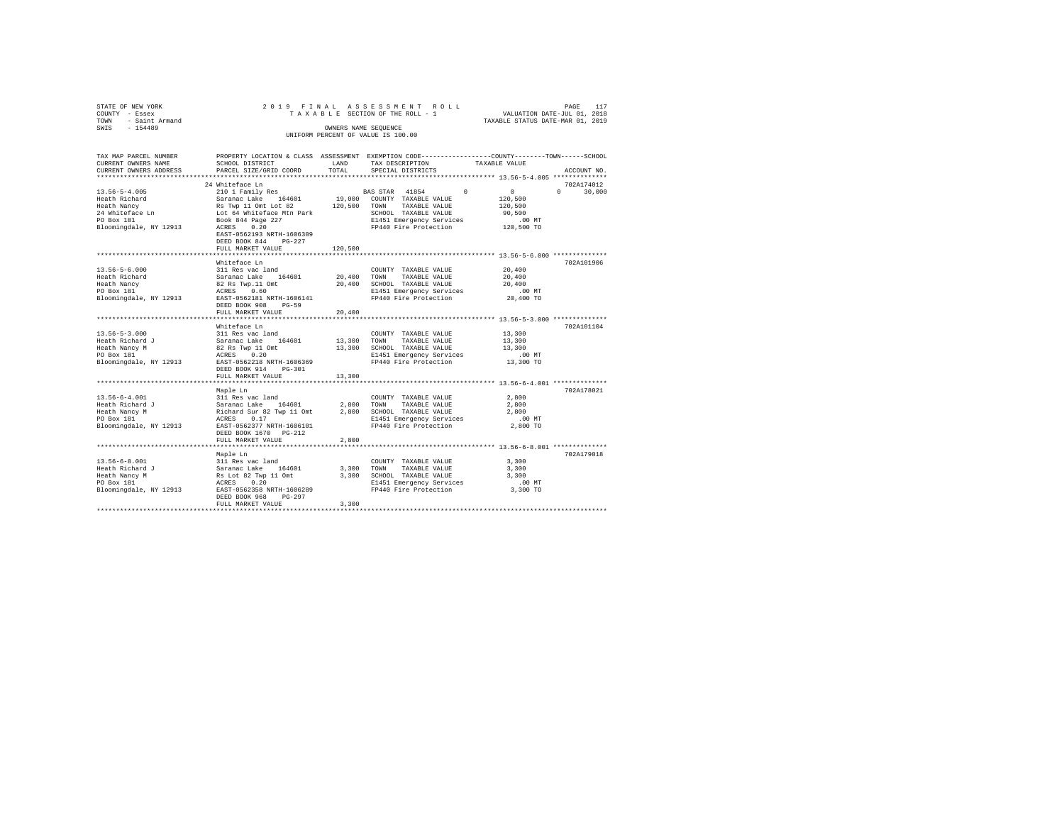| STATE OF NEW YORK   | 2019 FINAL ASSESSMENT ROLL         | 117<br>PAGE                      |
|---------------------|------------------------------------|----------------------------------|
| COUNTY - Essex      | TAXABLE SECTION OF THE ROLL - 1    | VALUATION DATE-JUL 01, 2018      |
| TOWN - Saint Armand |                                    | TAXABLE STATUS DATE-MAR 01, 2019 |
| SWIS<br>$-154489$   | OWNERS NAME SEOUENCE               |                                  |
|                     | UNIFORM PERCENT OF VALUE IS 100.00 |                                  |
|                     |                                    |                                  |
|                     |                                    |                                  |

| TAX MAP PARCEL NUMBER<br>CURRENT OWNERS NAME                                                                                                         | SCHOOL DISTRICT                | LAND        | PROPERTY LOCATION & CLASS ASSESSMENT EXEMPTION CODE---------------COUNTY-------TOWN-----SCHOOL<br>TAX DESCRIPTION<br>TAXABLE VALUE |                                    |
|------------------------------------------------------------------------------------------------------------------------------------------------------|--------------------------------|-------------|------------------------------------------------------------------------------------------------------------------------------------|------------------------------------|
| CURRENT OWNERS ADDRESS                                                                                                                               | PARCEL SIZE/GRID COORD         | TOTAL       | SPECIAL DISTRICTS                                                                                                                  | ACCOUNT NO.                        |
|                                                                                                                                                      |                                |             |                                                                                                                                    |                                    |
|                                                                                                                                                      | 24 Whiteface Ln                |             |                                                                                                                                    | 702A174012                         |
| $13.56 - 5 - 4.005$                                                                                                                                  | 210 1 Family Res               |             | $\sim$ 0<br>BAS STAR 41854                                                                                                         | $\sim$ 0<br>$\mathbf{a}$<br>30,000 |
|                                                                                                                                                      |                                |             |                                                                                                                                    | 120,500                            |
|                                                                                                                                                      |                                |             | 120,500 TOWN TAXABLE VALUE                                                                                                         | 120,500                            |
|                                                                                                                                                      |                                |             | SCHOOL TAXABLE VALUE                                                                                                               | 90,500                             |
|                                                                                                                                                      |                                |             |                                                                                                                                    |                                    |
| Bloomingdale, NY 12913 ACRES 0.20                                                                                                                    |                                |             | E1451 Emergency Services 6 00 MT<br>FP440 Fire Protection 120,500 TO                                                               |                                    |
|                                                                                                                                                      | EAST-0562193 NRTH-1606309      |             |                                                                                                                                    |                                    |
|                                                                                                                                                      | DEED BOOK 844<br>$PG-227$      |             |                                                                                                                                    |                                    |
|                                                                                                                                                      | FULL MARKET VALUE              | 120,500     |                                                                                                                                    |                                    |
|                                                                                                                                                      |                                |             |                                                                                                                                    |                                    |
|                                                                                                                                                      | Whiteface Ln                   |             |                                                                                                                                    | 702A101906                         |
|                                                                                                                                                      |                                |             |                                                                                                                                    |                                    |
| $13.56 - 5 - 6.000$                                                                                                                                  |                                |             |                                                                                                                                    | $\bf{20}$ , $\bf{400}$             |
| Heath Richard                                                                                                                                        |                                |             |                                                                                                                                    | 20,400                             |
| Heath Nancy                                                                                                                                          |                                |             |                                                                                                                                    | 20,400                             |
| PO Box 181                                                                                                                                           |                                |             |                                                                                                                                    | .00 MT                             |
| Bloomingdale, NY 12913                                                                                                                               | EAST-0562181 NRTH-1606141      |             | FP440 Fire Protection                                                                                                              | 20,400 TO                          |
|                                                                                                                                                      | DEED BOOK 908<br>$PG-59$       |             |                                                                                                                                    |                                    |
|                                                                                                                                                      | FULL MARKET VALUE              | 20,400      |                                                                                                                                    |                                    |
|                                                                                                                                                      |                                |             |                                                                                                                                    |                                    |
|                                                                                                                                                      | Whiteface Ln                   |             |                                                                                                                                    | 702A101104                         |
| $13.56 - 5 - 3.000$                                                                                                                                  | 311 Res vac land               |             | COUNTY TAXABLE VALUE                                                                                                               | 13,300                             |
| Heath Richard J                                                                                                                                      | Saranac Lake 164601            | 13,300 TOWN | TAXABLE VALUE                                                                                                                      | 13,300                             |
| Heath Nancy M                                                                                                                                        | 82 Rs Twp 11 Omt<br>ACRES 0.20 |             | 13,300 SCHOOL TAXABLE VALUE                                                                                                        | 13,300                             |
| PO Box 181                                                                                                                                           |                                |             | E1451 Emergency Services                                                                                                           | $.00$ MT                           |
| Bloomingdale, NY 12913 EAST-0562218 NRTH-1606369                                                                                                     |                                |             | FP440 Fire Protection 13,300 TO                                                                                                    |                                    |
|                                                                                                                                                      | DEED BOOK 914 PG-301           |             |                                                                                                                                    |                                    |
|                                                                                                                                                      | FULL MARKET VALUE              | 13,300      |                                                                                                                                    |                                    |
|                                                                                                                                                      |                                |             |                                                                                                                                    |                                    |
|                                                                                                                                                      | Maple Ln                       |             |                                                                                                                                    | 702A178021                         |
|                                                                                                                                                      |                                |             | COUNTY TAXABLE VALUE                                                                                                               | 2,800                              |
|                                                                                                                                                      |                                |             | 2,800 TOWN TAXABLE VALUE                                                                                                           | 2,800                              |
|                                                                                                                                                      |                                |             | 2,800 SCHOOL TAXABLE VALUE                                                                                                         | 2,800                              |
| 13.56-6-4.001<br>Heath Richard J Saramac Lake 164601<br>Heath Richard J Saramac Lake 164601<br>Heath Nancy M Richard Sur 82 Twp 11 Ont<br>PO Box 181 |                                |             | E1451 Emergency Services                                                                                                           | $.00$ MT                           |
| Bloomingdale, NY 12913 EAST-0562377 NRTH-1606101                                                                                                     |                                |             | FP440 Fire Protection                                                                                                              | 2,800 TO                           |
|                                                                                                                                                      | DEED BOOK 1670 PG-212          |             |                                                                                                                                    |                                    |
|                                                                                                                                                      | FULL MARKET VALUE              | 2,800       |                                                                                                                                    |                                    |
|                                                                                                                                                      |                                |             |                                                                                                                                    |                                    |
|                                                                                                                                                      | Maple Ln                       |             |                                                                                                                                    | 702A179018                         |
| $13.56 - 6 - 8.001$                                                                                                                                  |                                |             | COUNTY TAXABLE VALUE                                                                                                               | 3,300                              |
| Heath Richard J                                                                                                                                      |                                | 3,300 TOWN  | TAXABLE VALUE                                                                                                                      | 3,300                              |
| Heath Nancy M                                                                                                                                        |                                |             | 3,300 SCHOOL TAXABLE VALUE                                                                                                         | 3,300                              |
| PO Box 181                                                                                                                                           |                                |             | E1451 Emergency Services                                                                                                           | $.00$ MT                           |
| Bloomingdale, NY 12913                                                                                                                               |                                |             | FP440 Fire Protection                                                                                                              | 3,300 TO                           |
|                                                                                                                                                      | DEED BOOK 968<br>PG-297        |             |                                                                                                                                    |                                    |
|                                                                                                                                                      | FULL MARKET VALUE              | 3,300       |                                                                                                                                    |                                    |
|                                                                                                                                                      |                                |             |                                                                                                                                    |                                    |
|                                                                                                                                                      |                                |             |                                                                                                                                    |                                    |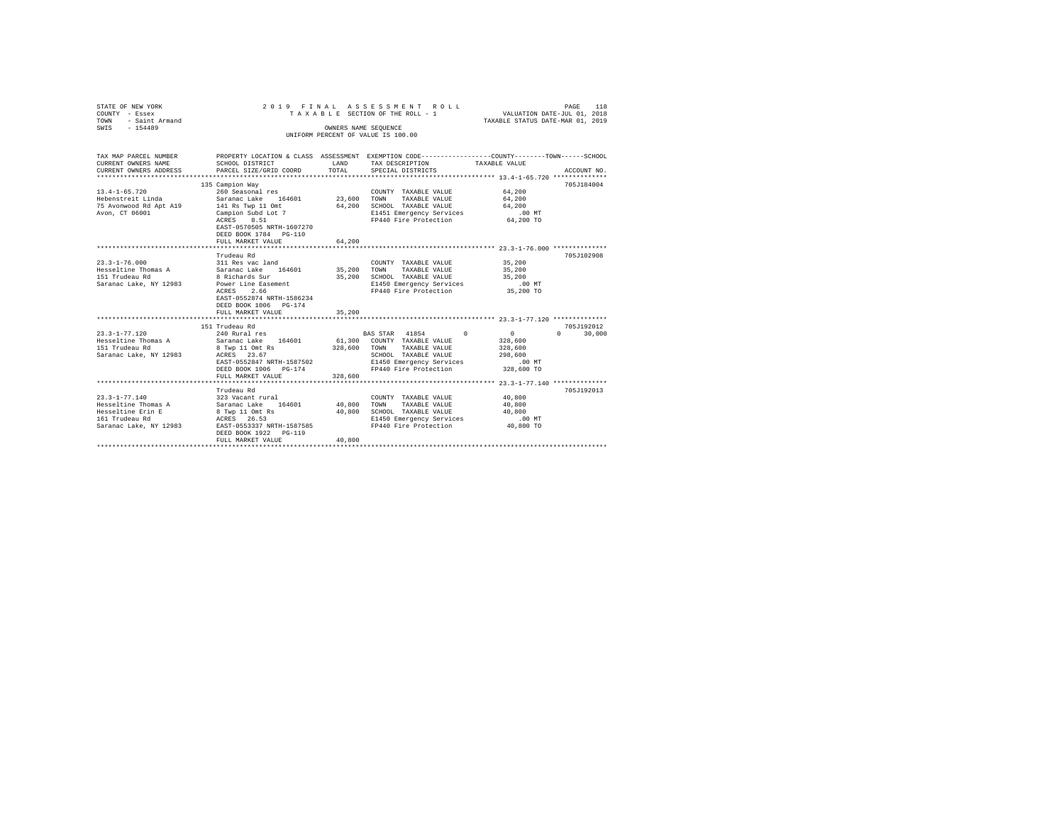| STATE OF NEW YORK<br>COUNTY - Essex<br>TOWN<br>- Saint Armand | 2019 FINAL ASSESSMENT ROLL<br>TAXABLE SECTION OF THE ROLL - 1                                   | PAGE<br>118<br>VALUATION DATE-JUL 01, 2018<br>TAXABLE STATUS DATE-MAR 01, 2019 |                                                                |                    |                        |
|---------------------------------------------------------------|-------------------------------------------------------------------------------------------------|--------------------------------------------------------------------------------|----------------------------------------------------------------|--------------------|------------------------|
| $-154489$<br>SWIS                                             |                                                                                                 | OWNERS NAME SEOUENCE                                                           | UNIFORM PERCENT OF VALUE IS 100.00                             |                    |                        |
|                                                               |                                                                                                 |                                                                                |                                                                |                    |                        |
| TAX MAP PARCEL NUMBER                                         | PROPERTY LOCATION & CLASS ASSESSMENT EXEMPTION CODE---------------COUNTY-------TOWN------SCHOOL |                                                                                |                                                                |                    |                        |
| CURRENT OWNERS NAME                                           | SCHOOL DISTRICT                                                                                 | LAND                                                                           | TAX DESCRIPTION                                                | TAXABLE VALUE      |                        |
| CURRENT OWNERS ADDRESS                                        | PARCEL SIZE/GRID COORD                                                                          | TOTAL                                                                          | SPECIAL DISTRICTS                                              |                    | ACCOUNT NO.            |
|                                                               | 135 Campion Way                                                                                 |                                                                                |                                                                |                    | 705J184004             |
| $13.4 - 1 - 65.720$                                           | 260 Seasonal res                                                                                |                                                                                | COUNTY TAXABLE VALUE                                           | 64,200             |                        |
| Hebenstreit Linda                                             | 164601<br>Saranac Lake                                                                          | 23,600                                                                         | TAXABLE VALUE<br>TOWN                                          | 64,200             |                        |
| 75 Avonwood Rd Apt A19                                        | 141 Rs Twp 11 Omt                                                                               | 64,200                                                                         | SCHOOL TAXABLE VALUE                                           | 64,200             |                        |
| Avon, CT 06001                                                | Campion Subd Lot 7                                                                              |                                                                                | E1451 Emergency Services                                       | $.00$ MT           |                        |
|                                                               | ACRES<br>8.51                                                                                   |                                                                                | FP440 Fire Protection                                          | 64,200 TO          |                        |
|                                                               | EAST-0570505 NRTH-1607270                                                                       |                                                                                |                                                                |                    |                        |
|                                                               | DEED BOOK 1784 PG-110<br>FULL MARKET VALUE                                                      | 64,200                                                                         |                                                                |                    |                        |
|                                                               | .                                                                                               |                                                                                | ******************************** 23.3-1-76.000 *************** |                    |                        |
|                                                               | Trudeau Rd                                                                                      |                                                                                |                                                                |                    | 705J102908             |
| $23.3 - 1 - 76.000$                                           | 311 Res vac land                                                                                |                                                                                | COUNTY TAXABLE VALUE                                           | 35,200             |                        |
| Hesseltine Thomas A                                           | Saranac Lake 164601                                                                             | 35,200                                                                         | TOWN<br>TAXABLE VALUE                                          | 35,200             |                        |
| 151 Trudeau Rd                                                | 8 Richards Sur                                                                                  | 35,200                                                                         | SCHOOL TAXABLE VALUE                                           | 35,200             |                        |
| Saranac Lake, NY 12983                                        | Power Line Easement                                                                             |                                                                                | E1450 Emergency Services                                       | $.00$ MT           |                        |
|                                                               | 2.66<br>ACRES<br>EAST-0552874 NRTH-1586234                                                      |                                                                                | FP440 Fire Protection                                          | 35,200 TO          |                        |
|                                                               | DEED BOOK 1006 PG-174                                                                           |                                                                                |                                                                |                    |                        |
|                                                               | FULL MARKET VALUE                                                                               | 35,200                                                                         |                                                                |                    |                        |
|                                                               |                                                                                                 |                                                                                |                                                                |                    |                        |
|                                                               | 151 Trudeau Rd                                                                                  |                                                                                |                                                                |                    | 705J192012             |
| $23.3 - 1 - 77.120$                                           | 240 Rural res                                                                                   |                                                                                | BAS STAR 41854<br>$^{\circ}$                                   | 0                  | 30,000<br>$\mathbf{a}$ |
| Hesseltine Thomas A                                           | Saranac Lake 164601                                                                             |                                                                                | 61,300 COUNTY TAXABLE VALUE                                    | 328,600            |                        |
| 151 Trudeau Rd                                                | 8 Twp 11 Omt Rs<br>ACRES 23.67                                                                  | 328,600                                                                        | TOWN<br>TAXABLE VALUE                                          | 328,600<br>298,600 |                        |
| Saranac Lake, NY 12983                                        | EAST-0552847 NRTH-1587502                                                                       |                                                                                | SCHOOL TAXABLE VALUE<br>E1450 Emergency Services               | $.00$ MT           |                        |
|                                                               | DEED BOOK 1006 PG-174                                                                           |                                                                                | FP440 Fire Protection                                          | 328,600 TO         |                        |
|                                                               | FULL MARKET VALUE                                                                               | 328,600                                                                        |                                                                |                    |                        |
|                                                               |                                                                                                 |                                                                                |                                                                |                    |                        |
|                                                               | Trudeau Rd                                                                                      |                                                                                |                                                                |                    | 705J192013             |
| $23.3 - 1 - 77.140$                                           | 323 Vacant rural                                                                                |                                                                                | COUNTY TAXABLE VALUE                                           | 40,800             |                        |
| Hesseltine Thomas A                                           | Saranac Lake 164601                                                                             | 40,800                                                                         | TAXABLE VALUE<br>TOWN                                          | 40,800             |                        |
| Hesseltine Erin E<br>161 Trudeau Rd                           | 8 Twp 11 Omt Rs<br>ACRES 26.53                                                                  | 40,800                                                                         | SCHOOL TAXABLE VALUE<br>E1450 Emergency Services               | 40,800<br>.00MT    |                        |
| Saranac Lake, NY 12983                                        | EAST-0553337 NRTH-1587585                                                                       |                                                                                | FP440 Fire Protection                                          | 40,800 TO          |                        |
|                                                               | DEED BOOK 1922 PG-119                                                                           |                                                                                |                                                                |                    |                        |
|                                                               | FULL MARKET VALUE                                                                               | 40,800                                                                         |                                                                |                    |                        |
|                                                               |                                                                                                 |                                                                                |                                                                |                    |                        |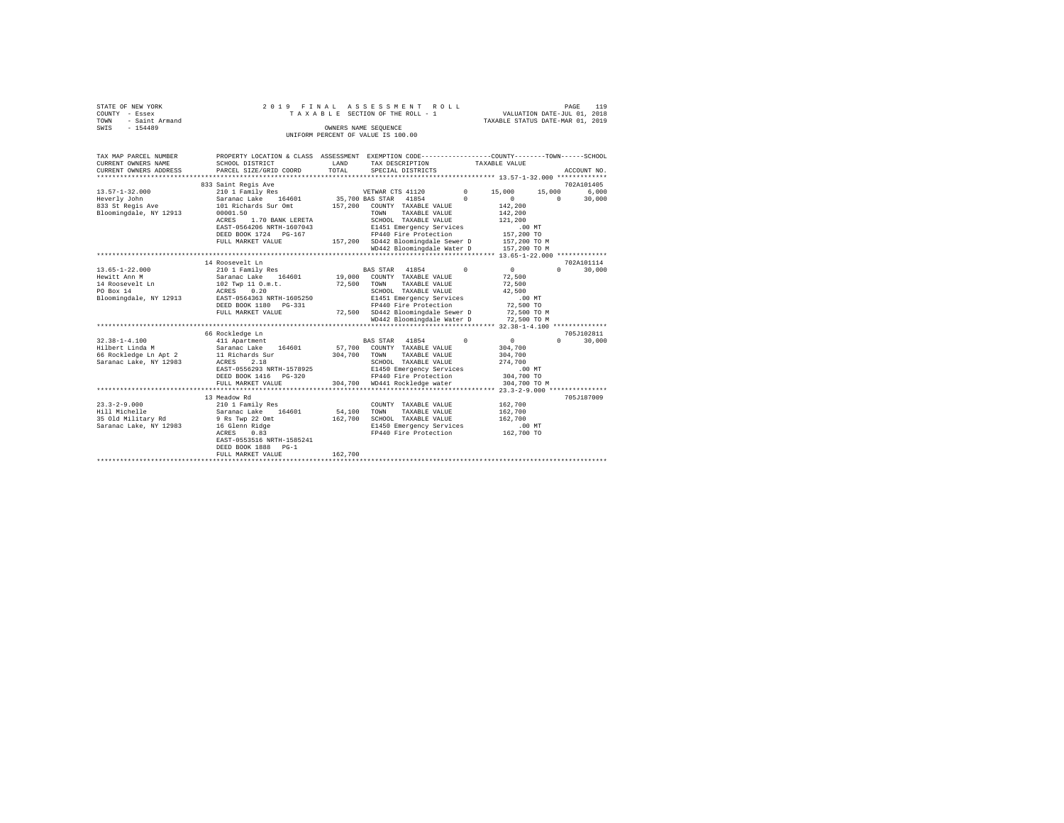| STATE OF NEW YORK   |  |  |  | 2019 FINAL ASSESSMENT ROLL         |  |  |  |                                  | PAGE | 119 |  |
|---------------------|--|--|--|------------------------------------|--|--|--|----------------------------------|------|-----|--|
| COUNTY - Essex      |  |  |  | TAXABLE SECTION OF THE ROLL - 1    |  |  |  | VALUATION DATE-JUL 01, 2018      |      |     |  |
| TOWN - Saint Armand |  |  |  |                                    |  |  |  | TAXABLE STATUS DATE-MAR 01, 2019 |      |     |  |
| SWTS<br>$-154489$   |  |  |  | OWNERS NAME SEOUENCE               |  |  |  |                                  |      |     |  |
|                     |  |  |  | UNIFORM PERCENT OF VALUE IS 100.00 |  |  |  |                                  |      |     |  |
|                     |  |  |  |                                    |  |  |  |                                  |      |     |  |

| TAX MAP PARCEL NUMBER                                    | PROPERTY LOCATION & CLASS ASSESSMENT EXEMPTION CODE----------------COUNTY-------TOWN-----SCHOOL |         |                                                 |            |               |                        |
|----------------------------------------------------------|-------------------------------------------------------------------------------------------------|---------|-------------------------------------------------|------------|---------------|------------------------|
| CURRENT OWNERS NAME                                      | SCHOOL DISTRICT                                                                                 | LAND    | TAX DESCRIPTION                                 |            | TAXABLE VALUE |                        |
| CURRENT OWNERS ADDRESS                                   | PARCEL SIZE/GRID COORD                                                                          | TOTAL   | SPECIAL DISTRICTS                               |            |               | ACCOUNT NO.            |
|                                                          |                                                                                                 |         |                                                 |            |               |                        |
|                                                          | 833 Saint Regis Ave                                                                             |         |                                                 |            |               | 702A101405             |
| $13.57 - 1 - 32.000$                                     | 210 1 Family Res                                                                                |         | VETWAR CTS 41120                                | $\sim$ 0   | 15,000        | 6.000<br>15,000        |
| Heverly John                                             | Saranac Lake 164601                                                                             |         | 35,700 BAS STAR 41854                           | $\Omega$   | $\sim$ 0      | 30,000<br>$\mathbf{r}$ |
| 833 St Regis Ave                                         | 101 Richards Sur Omt                                                                            | 157,200 | COUNTY TAXABLE VALUE                            |            | 142,200       |                        |
| Bloomingdale, NY 12913                                   | 00001.50                                                                                        |         | TOWN<br>TAXABLE VALUE                           |            | 142,200       |                        |
|                                                          | 1.70 BANK LERETA<br>ACRES                                                                       |         | SCHOOL TAXABLE VALUE                            |            | 121,200       |                        |
|                                                          | EAST-0564206 NRTH-1607043                                                                       |         | E1451 Emergency Services                        |            | .00MT         |                        |
|                                                          | DEED BOOK 1724 PG-167                                                                           |         | FP440 Fire Protection                           |            | 157,200 TO    |                        |
|                                                          | FULL MARKET VALUE                                                                               |         | 157,200 SD442 Bloomingdale Sewer D 157,200 TO M |            |               |                        |
|                                                          |                                                                                                 |         | WD442 Bloomingdale Water D 157,200 TO M         |            |               |                        |
|                                                          |                                                                                                 |         |                                                 |            |               |                        |
|                                                          | 14 Roosevelt Ln                                                                                 |         |                                                 |            |               | 702A101114             |
| $13.65 - 1 - 22.000$                                     | 210 1 Family Res                                                                                |         | BAS STAR 41854                                  | $^{\circ}$ | $\sim$ 0      | 30,000<br>$\Omega$     |
| Hewitt Ann M                                             | Saranac Lake 164601                                                                             |         | 19,000 COUNTY TAXABLE VALUE                     |            | 72,500        |                        |
| 14 Roosevelt Ln                                          | 102 Twp 11 0.m.t.                                                                               | 72,500  | TOWN<br>TAXABLE VALUE                           |            | 72,500        |                        |
| PO Box 14                                                | ACRES 0.20                                                                                      |         | SCHOOL TAXABLE VALUE                            |            | 42,500        |                        |
| Bloomingdale, NY 12913                                   | EAST-0564363 NRTH-1605250                                                                       |         | E1451 Emergency Services                        |            | .00MT         |                        |
|                                                          | DEED BOOK 1180 PG-331                                                                           |         | FP440 Fire Protection                           |            | 72,500 TO     |                        |
|                                                          |                                                                                                 |         |                                                 |            |               |                        |
|                                                          | FULL MARKET VALUE                                                                               |         | 72,500 SD442 Bloomingdale Sewer D 72,500 TO M   |            |               |                        |
|                                                          |                                                                                                 |         | WD442 Bloomingdale Water D 72,500 TO M          |            |               |                        |
|                                                          |                                                                                                 |         |                                                 |            |               |                        |
|                                                          | 66 Rockledge Ln                                                                                 |         |                                                 |            |               | 705J102811             |
| $32.38 - 1 - 4.100$                                      | 411 Apartment                                                                                   |         | BAS STAR 41854<br>$\sim$ 0                      |            | 0             | 30,000<br>$\Omega$     |
| Hilbert Linda M<br>66 Rockledge Ln Apt 2 11 Richards Sur | Saranac Lake 164601                                                                             |         | 57,700 COUNTY TAXABLE VALUE                     |            | 304,700       |                        |
|                                                          |                                                                                                 | 304,700 | TOWN<br>TAXABLE VALUE                           |            | 304,700       |                        |
| Saranac Lake, NY 12983                                   | 2.18<br>ACRES                                                                                   |         | SCHOOL TAXABLE VALUE                            |            | 274,700       |                        |
|                                                          | EAST-0556293 NRTH-1578925                                                                       |         | E1450 Emergency Services                        |            | .00 MT        |                        |
|                                                          | DEED BOOK 1416    PG-320                                                                        |         | FP440 Fire Protection                           |            | 304,700 TO    |                        |
|                                                          | FULL MARKET VALUE                                                                               |         | 304.700 WD441 Rockledge water                   |            | 304,700 TO M  |                        |
|                                                          |                                                                                                 |         |                                                 |            |               |                        |
|                                                          | 13 Meadow Rd                                                                                    |         |                                                 |            |               | 705J187009             |
| $23.3 - 2 - 9.000$                                       | 210 1 Family Res                                                                                |         | COUNTY TAXABLE VALUE                            |            | 162,700       |                        |
| Hill Michelle                                            | Saranac Lake 164601                                                                             | 54,100  | TOWN<br>TAXABLE VALUE                           |            | 162,700       |                        |
| 35 Old Military Rd                                       | 9 Rs Twp 22 Omt                                                                                 | 162,700 | SCHOOL TAXABLE VALUE                            |            | 162,700       |                        |
| Saranac Lake, NY 12983                                   | 16 Glenn Ridge                                                                                  |         | E1450 Emergency Services                        |            | $.00$ MT      |                        |
|                                                          | 0.83<br>ACRES                                                                                   |         | FP440 Fire Protection                           |            | 162,700 TO    |                        |
|                                                          | EAST-0553516 NRTH-1585241                                                                       |         |                                                 |            |               |                        |
|                                                          | DEED BOOK 1888 PG-1                                                                             |         |                                                 |            |               |                        |
|                                                          | FULL MARKET VALUE                                                                               | 162,700 |                                                 |            |               |                        |
|                                                          |                                                                                                 |         |                                                 |            |               |                        |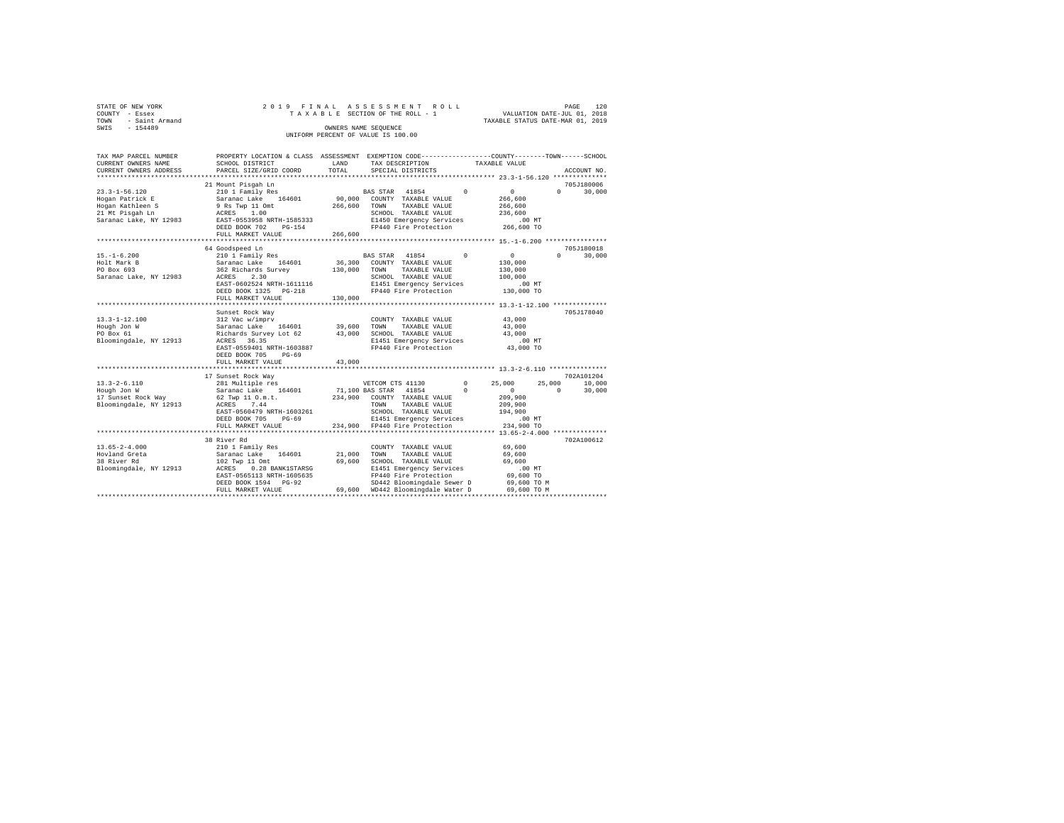|                        |                                    | 120<br>PAGE                      |
|------------------------|------------------------------------|----------------------------------|
| STATE OF NEW YORK      | 2019 FINAL ASSESSMENT ROLL         |                                  |
| COUNTY - Essex         | TAXABLE SECTION OF THE ROLL - 1    | VALUATION DATE-JUL 01, 2018      |
| - Saint Armand<br>TOWN |                                    | TAXABLE STATUS DATE-MAR 01, 2019 |
| SWIS<br>$-154489$      | OWNERS NAME SEOUENCE               |                                  |
|                        | UNIFORM PERCENT OF VALUE IS 100.00 |                                  |

| TAX MAP PARCEL NUMBER<br>CURRENT OWNERS NAME<br>CURRENT OWNERS ADDRESS                            | PROPERTY LOCATION & CLASS ASSESSMENT<br>SCHOOL DISTRICT<br>PARCEL SIZE/GRID COORD                                                                                                | LAND<br>TOTAL                | EXEMPTION CODE-----------------COUNTY-------TOWN------SCHOOL<br>TAX DESCRIPTION<br>SPECIAL DISTRICTS                                                                                   | TAXABLE VALUE                                                                                      | ACCOUNT NO.                                          |
|---------------------------------------------------------------------------------------------------|----------------------------------------------------------------------------------------------------------------------------------------------------------------------------------|------------------------------|----------------------------------------------------------------------------------------------------------------------------------------------------------------------------------------|----------------------------------------------------------------------------------------------------|------------------------------------------------------|
| ************************                                                                          |                                                                                                                                                                                  |                              |                                                                                                                                                                                        |                                                                                                    |                                                      |
|                                                                                                   | 21 Mount Pisqah Ln                                                                                                                                                               |                              |                                                                                                                                                                                        |                                                                                                    | 705J180006                                           |
| 23.3-1-56.120<br>Hogan Patrick E<br>Hogan Kathleen S<br>21 Mt Pisgah Ln<br>Saranac Lake, NY 12983 | 210 1 Family Res<br>Saranac Lake 164601<br>9 Rs Twp 11 Omt<br>ACRES 1.00<br>EAST-0553958 NRTH-1585333<br>DEED BOOK 702<br>PG-154<br>FULL MARKET VALUE                            | 266,600<br>266,600           | BAS STAR 41854<br>90,000 COUNTY TAXABLE VALUE<br>TOWN<br>TAXABLE VALUE<br>SCHOOL TAXABLE VALUE<br>E1450 Emergency Services<br>FP440 Fire Protection 266,600 TO                         | $\sim$<br>$\sim$ 0<br>266,600<br>266,600<br>236,600<br>.00 MT                                      | $\Omega$<br>30,000                                   |
|                                                                                                   |                                                                                                                                                                                  | ***********                  |                                                                                                                                                                                        | *************** 15.-1-6.200 ************                                                           |                                                      |
| $15. - 1 - 6.200$<br>Holt Mark B<br>PO Box 693<br>Saranac Lake, NY 12983                          | 64 Goodspeed Ln<br>210 1 Family Res<br>Saranac Lake 164601<br>362 Richards Survey<br>ACRES<br>2.30<br>EAST-0602524 NRTH-1611116<br>DEED BOOK 1325 PG-218<br>FULL MARKET VALUE    | 36,300<br>130,000<br>130,000 | BAS STAR 41854<br>COUNTY TAXABLE VALUE<br>TAXABLE VALUE<br>TOWN<br>SCHOOL TAXABLE VALUE<br>E1451 Emergency Services<br>FP440 Fire Protection                                           | $^{\circ}$<br>$\circ$<br>130,000<br>130,000<br>100,000<br>$.00$ MT<br>130,000 TO                   | 705J180018<br>$\Omega$<br>30,000                     |
|                                                                                                   | ************************                                                                                                                                                         |                              | *****************************                                                                                                                                                          | **************** 13.3-1-12.100 **************                                                      |                                                      |
| $13.3 - 1 - 12.100$<br>Hough Jon W<br>PO Box 61<br>Bloomingdale, NY 12913                         | Sunset Rock Way<br>312 Vac w/imprv<br>Saranac Lake 164601<br>Richards Survey Lot 62 43,000<br>ACRES 36.35<br>EAST-0559401 NRTH-1603887<br>DEED BOOK 705<br>$PG-69$               | 39,600                       | COUNTY TAXABLE VALUE<br>TOWN<br>TAXABLE VALUE<br>SCHOOL TAXABLE VALUE<br>E1451 Emergency Services<br>FP440 Fire Protection                                                             | 43,000<br>43,000<br>43,000<br>.00 MT<br>43,000 TO                                                  | 705J178040                                           |
|                                                                                                   | FULL MARKET VALUE<br>*********************                                                                                                                                       | 43,000                       |                                                                                                                                                                                        |                                                                                                    |                                                      |
| $13.3 - 2 - 6.110$<br>Hough Jon W<br>17 Sunset Rock Way<br>Bloomingdale, NY 12913                 | 17 Sunset Rock Way<br>281 Multiple res<br>Saranac Lake 164601<br>62 Twp 11 0.m.t.<br>7.44<br>ACRES<br>EAST-0560479 NRTH-1603261<br>DEED BOOK 705<br>$PG-69$<br>FULL MARKET VALUE | 234,900                      | VETCOM CTS 41130<br>71,100 BAS STAR 41854<br>COUNTY TAXABLE VALUE<br>TOWN<br>TAXABLE VALUE<br>SCHOOL TAXABLE VALUE<br>E1451 Emergency Services<br>234,900 FP440 Fire Protection        | $\Omega$<br>25,000<br>$\sim$ 0<br>$\Omega$<br>209,900<br>209,900<br>194,900<br>.00MT<br>234,900 TO | 702A101204<br>25,000<br>10,000<br>$\Omega$<br>30,000 |
|                                                                                                   | *************************                                                                                                                                                        |                              |                                                                                                                                                                                        |                                                                                                    |                                                      |
| $13.65 - 2 - 4.000$<br>Hovland Greta<br>38 River Rd<br>Bloomingdale, NY 12913                     | 38 River Rd<br>210 1 Family Res<br>Saranac Lake 164601<br>102 Twp 11 Omt<br>ACRES 0.28 BANK1STARSG<br>EAST-0565113 NRTH-1605635<br>DEED BOOK 1594 PG-92<br>FULL MARKET VALUE     | 21,000<br>69,600<br>69,600   | COUNTY TAXABLE VALUE<br>TOWN<br>TAXABLE VALUE<br>SCHOOL TAXABLE VALUE<br>E1451 Emergency Services<br>FP440 Fire Protection<br>SD442 Bloomingdale Sewer D<br>WD442 Bloomingdale Water D | 69,600<br>69,600<br>69,600<br>$.00$ MT<br>69,600 TO<br>69,600 TO M<br>69.600 TO M                  | 702A100612                                           |
|                                                                                                   |                                                                                                                                                                                  |                              |                                                                                                                                                                                        |                                                                                                    |                                                      |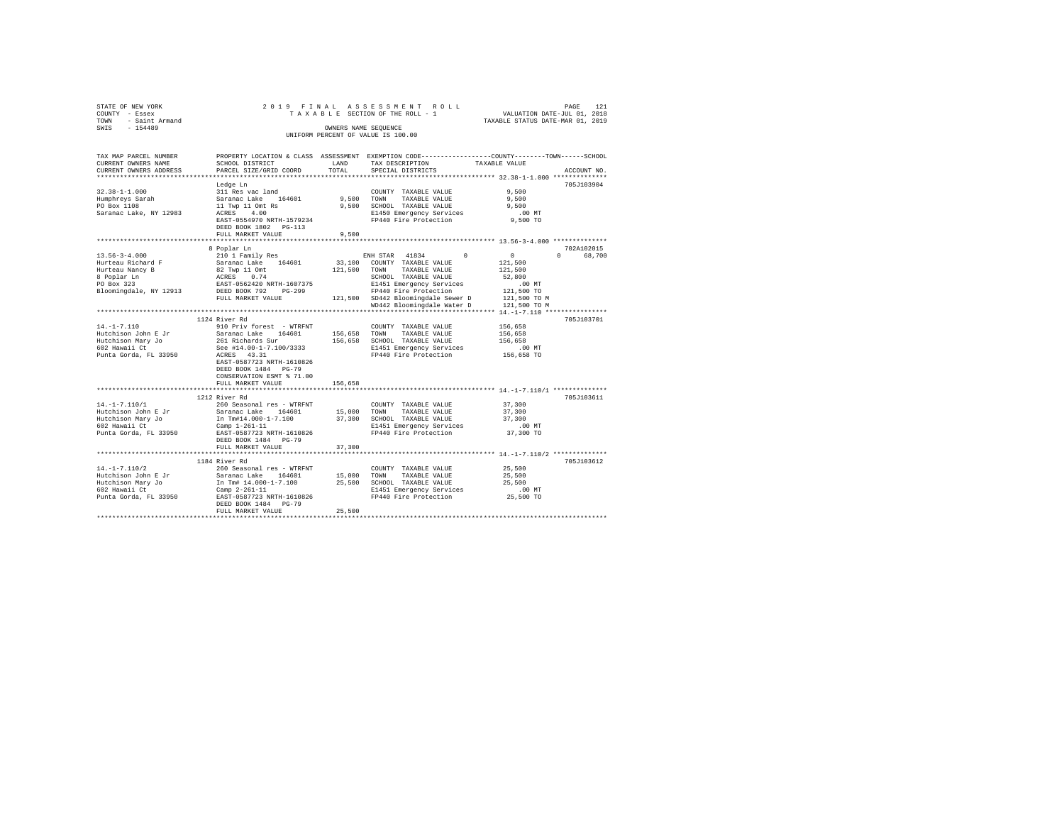| PAGE 121<br>VALUATION DATE-JUL 01, 2018<br>TAXABLE SECTION OF THE ROLL - 1<br>TAXABLE STATUS DATE-MAR 01, 2019<br>TOWN - Saint Armand<br>SWIS - 154489<br>OWNERS NAME SEQUENCE<br>UNIFORM PERCENT OF VALUE IS 100.00<br>PROPERTY LOCATION & CLASS ASSESSMENT EXEMPTION CODE---------------COUNTY-------TOWN------SCHOOL<br>TAX MAP PARCEL NUMBER<br>SCHOOL DISTRICT<br>LAND<br>TAXABLE VALUE<br>CURRENT OWNERS NAME<br>TAX DESCRIPTION<br>TOTAL<br>PARCEL SIZE/GRID COORD<br>CURRENT OWNERS ADDRESS<br>SPECIAL DISTRICTS<br>ACCOUNT NO.<br>Ledge Ln<br>705J103904<br>9,500<br>$32.38 - 1 - 1.000$<br>311 Res vac land<br>COUNTY TAXABLE VALUE<br>Saranac Lake 164601<br>Humphreys Sarah<br>-- naw 1108<br>9,500 TOWN<br>TAXABLE VALUE<br>9,500<br>11 Twp 11 Omt Rs<br>$\frac{10}{4}$ Ont Rs<br>9.500 SCHOOL TAXABLE VALUE<br>9,500<br>Saranac Lake, NY 12983<br>ACRES 4.00<br>E1450 Emergency Services<br>$.00$ MT<br>EAST-0554970 NRTH-1579234<br>FP440 Fire Protection<br>9,500 TO<br>DEED BOOK 1802 PG-113<br>FULL MARKET VALUE<br>9,500<br>8 Poplar Ln<br>702A102015<br>210 1 Family Res<br>$\sim$ 0<br>0 68,700<br>$13.56 - 3 - 4.000$<br>ENH STAR 41834<br>$\Omega$<br>Saranac Lake 164601<br>33,100 COUNTY TAXABLE VALUE<br>Hurteau Richard F<br>121,500<br>82 Twp 11 Omt<br>121,500<br>Hurteau Nancy B<br>121,500 TOWN TAXABLE VALUE<br>8 Poplar Ln<br>PO Box 323<br>ACRES 0.74<br>SCHOOL TAXABLE VALUE<br>52,800<br>EAST-0562420 NRTH-1607375<br>E1451 Emergency Services<br>FP440 Fire Protection<br>.00 MT<br>DEED BOOK 792 PG-299<br>FP440 Fire Protection<br>Bloomingdale, NY 12913<br>121,500 TO<br>121,500 SD442 Bloomingdale Sewer D<br>FULL MARKET VALUE<br>121,500 TO M<br>WD442 Bloomingdale Water D 121,500 TO M<br>1124 River Rd<br>705J103701<br>$14. - 1 - 7.110$<br>156,658<br>910 Priv forest - WTRFNT<br>COUNTY TAXABLE VALUE<br>Hutchison John E Jr<br>Saranac Lake 164601<br>156,658<br>TOWN<br>TAXABLE VALUE<br>156,658<br>261 Richards Sur<br>156,658 SCHOOL TAXABLE VALUE<br>Hutchison Mary Jo<br>602 Hawaii Ct<br>156,658<br>See #14.00-1-7.100/3333<br>E1451 Emergency Services<br>$.00$ MT<br>Punta Gorda, FL 33950<br>ACRES 43.31<br>FP440 Fire Protection<br>156,658 TO<br>EAST-0587723 NRTH-1610826<br>DEED BOOK 1484 PG-79<br>CONSERVATION ESMT % 71.00<br>FULL MARKET VALUE<br>156,658<br>1212 River Rd<br>705J103611<br>14. -1-7.110/1<br>260 Seasonal res - WTRFNT<br>COUNTY TAXABLE VALUE<br>37,300<br>Hutchison John E Jr<br>Saranac Lake 164601<br>15,000<br>37,300<br>TOWN<br>TAXABLE VALUE<br>Hutchison Mary Jo<br>602 Hawaii Ct<br>In Tm#14.000-1-7.100<br>37,300 SCHOOL TAXABLE VALUE<br>37,300<br>E1451 Emergency Services<br>$.00$ MT<br>Camp $1-261-11$<br>Punta Gorda, FL 33950<br>FP440 Fire Protection<br>37,300 TO<br>EAST-0587723 NRTH-1610826<br>DEED BOOK 1484 PG-79<br>FULL MARKET VALUE<br>37,300<br>705J103612<br>1184 River Rd<br>$14. - 1 - 7.110/2$<br>260 Seasonal res - WTRFNT<br>COUNTY TAXABLE VALUE<br>25,500<br>Hutchison John E Jr<br>Saranac Lake 164601<br>15,000 TOWN<br>TAXABLE VALUE<br>25,500<br>25,500 SCHOOL TAXABLE VALUE<br>Hutchison Mary Jo<br>In Tm# 14.000-1-7.100<br>25,500<br>602 Hawaii Ct<br>$Camo 2-261-11$<br>E1451 Emergency Services<br>$.00$ MT<br>25,500 TO<br>Punta Gorda, FL 33950<br>EAST-0587723 NRTH-1610826<br>FP440 Fire Protection<br>DEED BOOK 1484 PG-79<br>25,500<br>FULL MARKET VALUE | STATE OF NEW YORK |  | 2019 FINAL ASSESSMENT ROLL |  |
|--------------------------------------------------------------------------------------------------------------------------------------------------------------------------------------------------------------------------------------------------------------------------------------------------------------------------------------------------------------------------------------------------------------------------------------------------------------------------------------------------------------------------------------------------------------------------------------------------------------------------------------------------------------------------------------------------------------------------------------------------------------------------------------------------------------------------------------------------------------------------------------------------------------------------------------------------------------------------------------------------------------------------------------------------------------------------------------------------------------------------------------------------------------------------------------------------------------------------------------------------------------------------------------------------------------------------------------------------------------------------------------------------------------------------------------------------------------------------------------------------------------------------------------------------------------------------------------------------------------------------------------------------------------------------------------------------------------------------------------------------------------------------------------------------------------------------------------------------------------------------------------------------------------------------------------------------------------------------------------------------------------------------------------------------------------------------------------------------------------------------------------------------------------------------------------------------------------------------------------------------------------------------------------------------------------------------------------------------------------------------------------------------------------------------------------------------------------------------------------------------------------------------------------------------------------------------------------------------------------------------------------------------------------------------------------------------------------------------------------------------------------------------------------------------------------------------------------------------------------------------------------------------------------------------------------------------------------------------------------------------------------------------------------------------------------------------------------------------------------------------------------------------------------------------------------------------------------------------------------------------------------------------------------------------------------------------------------------------------------------------------------------------|-------------------|--|----------------------------|--|
|                                                                                                                                                                                                                                                                                                                                                                                                                                                                                                                                                                                                                                                                                                                                                                                                                                                                                                                                                                                                                                                                                                                                                                                                                                                                                                                                                                                                                                                                                                                                                                                                                                                                                                                                                                                                                                                                                                                                                                                                                                                                                                                                                                                                                                                                                                                                                                                                                                                                                                                                                                                                                                                                                                                                                                                                                                                                                                                                                                                                                                                                                                                                                                                                                                                                                                                                                                                                  | COUNTY - Essex    |  |                            |  |
|                                                                                                                                                                                                                                                                                                                                                                                                                                                                                                                                                                                                                                                                                                                                                                                                                                                                                                                                                                                                                                                                                                                                                                                                                                                                                                                                                                                                                                                                                                                                                                                                                                                                                                                                                                                                                                                                                                                                                                                                                                                                                                                                                                                                                                                                                                                                                                                                                                                                                                                                                                                                                                                                                                                                                                                                                                                                                                                                                                                                                                                                                                                                                                                                                                                                                                                                                                                                  |                   |  |                            |  |
|                                                                                                                                                                                                                                                                                                                                                                                                                                                                                                                                                                                                                                                                                                                                                                                                                                                                                                                                                                                                                                                                                                                                                                                                                                                                                                                                                                                                                                                                                                                                                                                                                                                                                                                                                                                                                                                                                                                                                                                                                                                                                                                                                                                                                                                                                                                                                                                                                                                                                                                                                                                                                                                                                                                                                                                                                                                                                                                                                                                                                                                                                                                                                                                                                                                                                                                                                                                                  |                   |  |                            |  |
|                                                                                                                                                                                                                                                                                                                                                                                                                                                                                                                                                                                                                                                                                                                                                                                                                                                                                                                                                                                                                                                                                                                                                                                                                                                                                                                                                                                                                                                                                                                                                                                                                                                                                                                                                                                                                                                                                                                                                                                                                                                                                                                                                                                                                                                                                                                                                                                                                                                                                                                                                                                                                                                                                                                                                                                                                                                                                                                                                                                                                                                                                                                                                                                                                                                                                                                                                                                                  |                   |  |                            |  |
|                                                                                                                                                                                                                                                                                                                                                                                                                                                                                                                                                                                                                                                                                                                                                                                                                                                                                                                                                                                                                                                                                                                                                                                                                                                                                                                                                                                                                                                                                                                                                                                                                                                                                                                                                                                                                                                                                                                                                                                                                                                                                                                                                                                                                                                                                                                                                                                                                                                                                                                                                                                                                                                                                                                                                                                                                                                                                                                                                                                                                                                                                                                                                                                                                                                                                                                                                                                                  |                   |  |                            |  |
|                                                                                                                                                                                                                                                                                                                                                                                                                                                                                                                                                                                                                                                                                                                                                                                                                                                                                                                                                                                                                                                                                                                                                                                                                                                                                                                                                                                                                                                                                                                                                                                                                                                                                                                                                                                                                                                                                                                                                                                                                                                                                                                                                                                                                                                                                                                                                                                                                                                                                                                                                                                                                                                                                                                                                                                                                                                                                                                                                                                                                                                                                                                                                                                                                                                                                                                                                                                                  |                   |  |                            |  |
|                                                                                                                                                                                                                                                                                                                                                                                                                                                                                                                                                                                                                                                                                                                                                                                                                                                                                                                                                                                                                                                                                                                                                                                                                                                                                                                                                                                                                                                                                                                                                                                                                                                                                                                                                                                                                                                                                                                                                                                                                                                                                                                                                                                                                                                                                                                                                                                                                                                                                                                                                                                                                                                                                                                                                                                                                                                                                                                                                                                                                                                                                                                                                                                                                                                                                                                                                                                                  |                   |  |                            |  |
|                                                                                                                                                                                                                                                                                                                                                                                                                                                                                                                                                                                                                                                                                                                                                                                                                                                                                                                                                                                                                                                                                                                                                                                                                                                                                                                                                                                                                                                                                                                                                                                                                                                                                                                                                                                                                                                                                                                                                                                                                                                                                                                                                                                                                                                                                                                                                                                                                                                                                                                                                                                                                                                                                                                                                                                                                                                                                                                                                                                                                                                                                                                                                                                                                                                                                                                                                                                                  |                   |  |                            |  |
|                                                                                                                                                                                                                                                                                                                                                                                                                                                                                                                                                                                                                                                                                                                                                                                                                                                                                                                                                                                                                                                                                                                                                                                                                                                                                                                                                                                                                                                                                                                                                                                                                                                                                                                                                                                                                                                                                                                                                                                                                                                                                                                                                                                                                                                                                                                                                                                                                                                                                                                                                                                                                                                                                                                                                                                                                                                                                                                                                                                                                                                                                                                                                                                                                                                                                                                                                                                                  |                   |  |                            |  |
|                                                                                                                                                                                                                                                                                                                                                                                                                                                                                                                                                                                                                                                                                                                                                                                                                                                                                                                                                                                                                                                                                                                                                                                                                                                                                                                                                                                                                                                                                                                                                                                                                                                                                                                                                                                                                                                                                                                                                                                                                                                                                                                                                                                                                                                                                                                                                                                                                                                                                                                                                                                                                                                                                                                                                                                                                                                                                                                                                                                                                                                                                                                                                                                                                                                                                                                                                                                                  |                   |  |                            |  |
|                                                                                                                                                                                                                                                                                                                                                                                                                                                                                                                                                                                                                                                                                                                                                                                                                                                                                                                                                                                                                                                                                                                                                                                                                                                                                                                                                                                                                                                                                                                                                                                                                                                                                                                                                                                                                                                                                                                                                                                                                                                                                                                                                                                                                                                                                                                                                                                                                                                                                                                                                                                                                                                                                                                                                                                                                                                                                                                                                                                                                                                                                                                                                                                                                                                                                                                                                                                                  |                   |  |                            |  |
|                                                                                                                                                                                                                                                                                                                                                                                                                                                                                                                                                                                                                                                                                                                                                                                                                                                                                                                                                                                                                                                                                                                                                                                                                                                                                                                                                                                                                                                                                                                                                                                                                                                                                                                                                                                                                                                                                                                                                                                                                                                                                                                                                                                                                                                                                                                                                                                                                                                                                                                                                                                                                                                                                                                                                                                                                                                                                                                                                                                                                                                                                                                                                                                                                                                                                                                                                                                                  |                   |  |                            |  |
|                                                                                                                                                                                                                                                                                                                                                                                                                                                                                                                                                                                                                                                                                                                                                                                                                                                                                                                                                                                                                                                                                                                                                                                                                                                                                                                                                                                                                                                                                                                                                                                                                                                                                                                                                                                                                                                                                                                                                                                                                                                                                                                                                                                                                                                                                                                                                                                                                                                                                                                                                                                                                                                                                                                                                                                                                                                                                                                                                                                                                                                                                                                                                                                                                                                                                                                                                                                                  |                   |  |                            |  |
|                                                                                                                                                                                                                                                                                                                                                                                                                                                                                                                                                                                                                                                                                                                                                                                                                                                                                                                                                                                                                                                                                                                                                                                                                                                                                                                                                                                                                                                                                                                                                                                                                                                                                                                                                                                                                                                                                                                                                                                                                                                                                                                                                                                                                                                                                                                                                                                                                                                                                                                                                                                                                                                                                                                                                                                                                                                                                                                                                                                                                                                                                                                                                                                                                                                                                                                                                                                                  |                   |  |                            |  |
|                                                                                                                                                                                                                                                                                                                                                                                                                                                                                                                                                                                                                                                                                                                                                                                                                                                                                                                                                                                                                                                                                                                                                                                                                                                                                                                                                                                                                                                                                                                                                                                                                                                                                                                                                                                                                                                                                                                                                                                                                                                                                                                                                                                                                                                                                                                                                                                                                                                                                                                                                                                                                                                                                                                                                                                                                                                                                                                                                                                                                                                                                                                                                                                                                                                                                                                                                                                                  |                   |  |                            |  |
|                                                                                                                                                                                                                                                                                                                                                                                                                                                                                                                                                                                                                                                                                                                                                                                                                                                                                                                                                                                                                                                                                                                                                                                                                                                                                                                                                                                                                                                                                                                                                                                                                                                                                                                                                                                                                                                                                                                                                                                                                                                                                                                                                                                                                                                                                                                                                                                                                                                                                                                                                                                                                                                                                                                                                                                                                                                                                                                                                                                                                                                                                                                                                                                                                                                                                                                                                                                                  |                   |  |                            |  |
|                                                                                                                                                                                                                                                                                                                                                                                                                                                                                                                                                                                                                                                                                                                                                                                                                                                                                                                                                                                                                                                                                                                                                                                                                                                                                                                                                                                                                                                                                                                                                                                                                                                                                                                                                                                                                                                                                                                                                                                                                                                                                                                                                                                                                                                                                                                                                                                                                                                                                                                                                                                                                                                                                                                                                                                                                                                                                                                                                                                                                                                                                                                                                                                                                                                                                                                                                                                                  |                   |  |                            |  |
|                                                                                                                                                                                                                                                                                                                                                                                                                                                                                                                                                                                                                                                                                                                                                                                                                                                                                                                                                                                                                                                                                                                                                                                                                                                                                                                                                                                                                                                                                                                                                                                                                                                                                                                                                                                                                                                                                                                                                                                                                                                                                                                                                                                                                                                                                                                                                                                                                                                                                                                                                                                                                                                                                                                                                                                                                                                                                                                                                                                                                                                                                                                                                                                                                                                                                                                                                                                                  |                   |  |                            |  |
|                                                                                                                                                                                                                                                                                                                                                                                                                                                                                                                                                                                                                                                                                                                                                                                                                                                                                                                                                                                                                                                                                                                                                                                                                                                                                                                                                                                                                                                                                                                                                                                                                                                                                                                                                                                                                                                                                                                                                                                                                                                                                                                                                                                                                                                                                                                                                                                                                                                                                                                                                                                                                                                                                                                                                                                                                                                                                                                                                                                                                                                                                                                                                                                                                                                                                                                                                                                                  |                   |  |                            |  |
|                                                                                                                                                                                                                                                                                                                                                                                                                                                                                                                                                                                                                                                                                                                                                                                                                                                                                                                                                                                                                                                                                                                                                                                                                                                                                                                                                                                                                                                                                                                                                                                                                                                                                                                                                                                                                                                                                                                                                                                                                                                                                                                                                                                                                                                                                                                                                                                                                                                                                                                                                                                                                                                                                                                                                                                                                                                                                                                                                                                                                                                                                                                                                                                                                                                                                                                                                                                                  |                   |  |                            |  |
|                                                                                                                                                                                                                                                                                                                                                                                                                                                                                                                                                                                                                                                                                                                                                                                                                                                                                                                                                                                                                                                                                                                                                                                                                                                                                                                                                                                                                                                                                                                                                                                                                                                                                                                                                                                                                                                                                                                                                                                                                                                                                                                                                                                                                                                                                                                                                                                                                                                                                                                                                                                                                                                                                                                                                                                                                                                                                                                                                                                                                                                                                                                                                                                                                                                                                                                                                                                                  |                   |  |                            |  |
|                                                                                                                                                                                                                                                                                                                                                                                                                                                                                                                                                                                                                                                                                                                                                                                                                                                                                                                                                                                                                                                                                                                                                                                                                                                                                                                                                                                                                                                                                                                                                                                                                                                                                                                                                                                                                                                                                                                                                                                                                                                                                                                                                                                                                                                                                                                                                                                                                                                                                                                                                                                                                                                                                                                                                                                                                                                                                                                                                                                                                                                                                                                                                                                                                                                                                                                                                                                                  |                   |  |                            |  |
|                                                                                                                                                                                                                                                                                                                                                                                                                                                                                                                                                                                                                                                                                                                                                                                                                                                                                                                                                                                                                                                                                                                                                                                                                                                                                                                                                                                                                                                                                                                                                                                                                                                                                                                                                                                                                                                                                                                                                                                                                                                                                                                                                                                                                                                                                                                                                                                                                                                                                                                                                                                                                                                                                                                                                                                                                                                                                                                                                                                                                                                                                                                                                                                                                                                                                                                                                                                                  |                   |  |                            |  |
|                                                                                                                                                                                                                                                                                                                                                                                                                                                                                                                                                                                                                                                                                                                                                                                                                                                                                                                                                                                                                                                                                                                                                                                                                                                                                                                                                                                                                                                                                                                                                                                                                                                                                                                                                                                                                                                                                                                                                                                                                                                                                                                                                                                                                                                                                                                                                                                                                                                                                                                                                                                                                                                                                                                                                                                                                                                                                                                                                                                                                                                                                                                                                                                                                                                                                                                                                                                                  |                   |  |                            |  |
|                                                                                                                                                                                                                                                                                                                                                                                                                                                                                                                                                                                                                                                                                                                                                                                                                                                                                                                                                                                                                                                                                                                                                                                                                                                                                                                                                                                                                                                                                                                                                                                                                                                                                                                                                                                                                                                                                                                                                                                                                                                                                                                                                                                                                                                                                                                                                                                                                                                                                                                                                                                                                                                                                                                                                                                                                                                                                                                                                                                                                                                                                                                                                                                                                                                                                                                                                                                                  |                   |  |                            |  |
|                                                                                                                                                                                                                                                                                                                                                                                                                                                                                                                                                                                                                                                                                                                                                                                                                                                                                                                                                                                                                                                                                                                                                                                                                                                                                                                                                                                                                                                                                                                                                                                                                                                                                                                                                                                                                                                                                                                                                                                                                                                                                                                                                                                                                                                                                                                                                                                                                                                                                                                                                                                                                                                                                                                                                                                                                                                                                                                                                                                                                                                                                                                                                                                                                                                                                                                                                                                                  |                   |  |                            |  |
|                                                                                                                                                                                                                                                                                                                                                                                                                                                                                                                                                                                                                                                                                                                                                                                                                                                                                                                                                                                                                                                                                                                                                                                                                                                                                                                                                                                                                                                                                                                                                                                                                                                                                                                                                                                                                                                                                                                                                                                                                                                                                                                                                                                                                                                                                                                                                                                                                                                                                                                                                                                                                                                                                                                                                                                                                                                                                                                                                                                                                                                                                                                                                                                                                                                                                                                                                                                                  |                   |  |                            |  |
|                                                                                                                                                                                                                                                                                                                                                                                                                                                                                                                                                                                                                                                                                                                                                                                                                                                                                                                                                                                                                                                                                                                                                                                                                                                                                                                                                                                                                                                                                                                                                                                                                                                                                                                                                                                                                                                                                                                                                                                                                                                                                                                                                                                                                                                                                                                                                                                                                                                                                                                                                                                                                                                                                                                                                                                                                                                                                                                                                                                                                                                                                                                                                                                                                                                                                                                                                                                                  |                   |  |                            |  |
|                                                                                                                                                                                                                                                                                                                                                                                                                                                                                                                                                                                                                                                                                                                                                                                                                                                                                                                                                                                                                                                                                                                                                                                                                                                                                                                                                                                                                                                                                                                                                                                                                                                                                                                                                                                                                                                                                                                                                                                                                                                                                                                                                                                                                                                                                                                                                                                                                                                                                                                                                                                                                                                                                                                                                                                                                                                                                                                                                                                                                                                                                                                                                                                                                                                                                                                                                                                                  |                   |  |                            |  |
|                                                                                                                                                                                                                                                                                                                                                                                                                                                                                                                                                                                                                                                                                                                                                                                                                                                                                                                                                                                                                                                                                                                                                                                                                                                                                                                                                                                                                                                                                                                                                                                                                                                                                                                                                                                                                                                                                                                                                                                                                                                                                                                                                                                                                                                                                                                                                                                                                                                                                                                                                                                                                                                                                                                                                                                                                                                                                                                                                                                                                                                                                                                                                                                                                                                                                                                                                                                                  |                   |  |                            |  |
|                                                                                                                                                                                                                                                                                                                                                                                                                                                                                                                                                                                                                                                                                                                                                                                                                                                                                                                                                                                                                                                                                                                                                                                                                                                                                                                                                                                                                                                                                                                                                                                                                                                                                                                                                                                                                                                                                                                                                                                                                                                                                                                                                                                                                                                                                                                                                                                                                                                                                                                                                                                                                                                                                                                                                                                                                                                                                                                                                                                                                                                                                                                                                                                                                                                                                                                                                                                                  |                   |  |                            |  |
|                                                                                                                                                                                                                                                                                                                                                                                                                                                                                                                                                                                                                                                                                                                                                                                                                                                                                                                                                                                                                                                                                                                                                                                                                                                                                                                                                                                                                                                                                                                                                                                                                                                                                                                                                                                                                                                                                                                                                                                                                                                                                                                                                                                                                                                                                                                                                                                                                                                                                                                                                                                                                                                                                                                                                                                                                                                                                                                                                                                                                                                                                                                                                                                                                                                                                                                                                                                                  |                   |  |                            |  |
|                                                                                                                                                                                                                                                                                                                                                                                                                                                                                                                                                                                                                                                                                                                                                                                                                                                                                                                                                                                                                                                                                                                                                                                                                                                                                                                                                                                                                                                                                                                                                                                                                                                                                                                                                                                                                                                                                                                                                                                                                                                                                                                                                                                                                                                                                                                                                                                                                                                                                                                                                                                                                                                                                                                                                                                                                                                                                                                                                                                                                                                                                                                                                                                                                                                                                                                                                                                                  |                   |  |                            |  |
|                                                                                                                                                                                                                                                                                                                                                                                                                                                                                                                                                                                                                                                                                                                                                                                                                                                                                                                                                                                                                                                                                                                                                                                                                                                                                                                                                                                                                                                                                                                                                                                                                                                                                                                                                                                                                                                                                                                                                                                                                                                                                                                                                                                                                                                                                                                                                                                                                                                                                                                                                                                                                                                                                                                                                                                                                                                                                                                                                                                                                                                                                                                                                                                                                                                                                                                                                                                                  |                   |  |                            |  |
|                                                                                                                                                                                                                                                                                                                                                                                                                                                                                                                                                                                                                                                                                                                                                                                                                                                                                                                                                                                                                                                                                                                                                                                                                                                                                                                                                                                                                                                                                                                                                                                                                                                                                                                                                                                                                                                                                                                                                                                                                                                                                                                                                                                                                                                                                                                                                                                                                                                                                                                                                                                                                                                                                                                                                                                                                                                                                                                                                                                                                                                                                                                                                                                                                                                                                                                                                                                                  |                   |  |                            |  |
|                                                                                                                                                                                                                                                                                                                                                                                                                                                                                                                                                                                                                                                                                                                                                                                                                                                                                                                                                                                                                                                                                                                                                                                                                                                                                                                                                                                                                                                                                                                                                                                                                                                                                                                                                                                                                                                                                                                                                                                                                                                                                                                                                                                                                                                                                                                                                                                                                                                                                                                                                                                                                                                                                                                                                                                                                                                                                                                                                                                                                                                                                                                                                                                                                                                                                                                                                                                                  |                   |  |                            |  |
|                                                                                                                                                                                                                                                                                                                                                                                                                                                                                                                                                                                                                                                                                                                                                                                                                                                                                                                                                                                                                                                                                                                                                                                                                                                                                                                                                                                                                                                                                                                                                                                                                                                                                                                                                                                                                                                                                                                                                                                                                                                                                                                                                                                                                                                                                                                                                                                                                                                                                                                                                                                                                                                                                                                                                                                                                                                                                                                                                                                                                                                                                                                                                                                                                                                                                                                                                                                                  |                   |  |                            |  |
|                                                                                                                                                                                                                                                                                                                                                                                                                                                                                                                                                                                                                                                                                                                                                                                                                                                                                                                                                                                                                                                                                                                                                                                                                                                                                                                                                                                                                                                                                                                                                                                                                                                                                                                                                                                                                                                                                                                                                                                                                                                                                                                                                                                                                                                                                                                                                                                                                                                                                                                                                                                                                                                                                                                                                                                                                                                                                                                                                                                                                                                                                                                                                                                                                                                                                                                                                                                                  |                   |  |                            |  |
|                                                                                                                                                                                                                                                                                                                                                                                                                                                                                                                                                                                                                                                                                                                                                                                                                                                                                                                                                                                                                                                                                                                                                                                                                                                                                                                                                                                                                                                                                                                                                                                                                                                                                                                                                                                                                                                                                                                                                                                                                                                                                                                                                                                                                                                                                                                                                                                                                                                                                                                                                                                                                                                                                                                                                                                                                                                                                                                                                                                                                                                                                                                                                                                                                                                                                                                                                                                                  |                   |  |                            |  |
|                                                                                                                                                                                                                                                                                                                                                                                                                                                                                                                                                                                                                                                                                                                                                                                                                                                                                                                                                                                                                                                                                                                                                                                                                                                                                                                                                                                                                                                                                                                                                                                                                                                                                                                                                                                                                                                                                                                                                                                                                                                                                                                                                                                                                                                                                                                                                                                                                                                                                                                                                                                                                                                                                                                                                                                                                                                                                                                                                                                                                                                                                                                                                                                                                                                                                                                                                                                                  |                   |  |                            |  |
|                                                                                                                                                                                                                                                                                                                                                                                                                                                                                                                                                                                                                                                                                                                                                                                                                                                                                                                                                                                                                                                                                                                                                                                                                                                                                                                                                                                                                                                                                                                                                                                                                                                                                                                                                                                                                                                                                                                                                                                                                                                                                                                                                                                                                                                                                                                                                                                                                                                                                                                                                                                                                                                                                                                                                                                                                                                                                                                                                                                                                                                                                                                                                                                                                                                                                                                                                                                                  |                   |  |                            |  |
|                                                                                                                                                                                                                                                                                                                                                                                                                                                                                                                                                                                                                                                                                                                                                                                                                                                                                                                                                                                                                                                                                                                                                                                                                                                                                                                                                                                                                                                                                                                                                                                                                                                                                                                                                                                                                                                                                                                                                                                                                                                                                                                                                                                                                                                                                                                                                                                                                                                                                                                                                                                                                                                                                                                                                                                                                                                                                                                                                                                                                                                                                                                                                                                                                                                                                                                                                                                                  |                   |  |                            |  |
|                                                                                                                                                                                                                                                                                                                                                                                                                                                                                                                                                                                                                                                                                                                                                                                                                                                                                                                                                                                                                                                                                                                                                                                                                                                                                                                                                                                                                                                                                                                                                                                                                                                                                                                                                                                                                                                                                                                                                                                                                                                                                                                                                                                                                                                                                                                                                                                                                                                                                                                                                                                                                                                                                                                                                                                                                                                                                                                                                                                                                                                                                                                                                                                                                                                                                                                                                                                                  |                   |  |                            |  |
|                                                                                                                                                                                                                                                                                                                                                                                                                                                                                                                                                                                                                                                                                                                                                                                                                                                                                                                                                                                                                                                                                                                                                                                                                                                                                                                                                                                                                                                                                                                                                                                                                                                                                                                                                                                                                                                                                                                                                                                                                                                                                                                                                                                                                                                                                                                                                                                                                                                                                                                                                                                                                                                                                                                                                                                                                                                                                                                                                                                                                                                                                                                                                                                                                                                                                                                                                                                                  |                   |  |                            |  |
|                                                                                                                                                                                                                                                                                                                                                                                                                                                                                                                                                                                                                                                                                                                                                                                                                                                                                                                                                                                                                                                                                                                                                                                                                                                                                                                                                                                                                                                                                                                                                                                                                                                                                                                                                                                                                                                                                                                                                                                                                                                                                                                                                                                                                                                                                                                                                                                                                                                                                                                                                                                                                                                                                                                                                                                                                                                                                                                                                                                                                                                                                                                                                                                                                                                                                                                                                                                                  |                   |  |                            |  |
|                                                                                                                                                                                                                                                                                                                                                                                                                                                                                                                                                                                                                                                                                                                                                                                                                                                                                                                                                                                                                                                                                                                                                                                                                                                                                                                                                                                                                                                                                                                                                                                                                                                                                                                                                                                                                                                                                                                                                                                                                                                                                                                                                                                                                                                                                                                                                                                                                                                                                                                                                                                                                                                                                                                                                                                                                                                                                                                                                                                                                                                                                                                                                                                                                                                                                                                                                                                                  |                   |  |                            |  |
|                                                                                                                                                                                                                                                                                                                                                                                                                                                                                                                                                                                                                                                                                                                                                                                                                                                                                                                                                                                                                                                                                                                                                                                                                                                                                                                                                                                                                                                                                                                                                                                                                                                                                                                                                                                                                                                                                                                                                                                                                                                                                                                                                                                                                                                                                                                                                                                                                                                                                                                                                                                                                                                                                                                                                                                                                                                                                                                                                                                                                                                                                                                                                                                                                                                                                                                                                                                                  |                   |  |                            |  |
|                                                                                                                                                                                                                                                                                                                                                                                                                                                                                                                                                                                                                                                                                                                                                                                                                                                                                                                                                                                                                                                                                                                                                                                                                                                                                                                                                                                                                                                                                                                                                                                                                                                                                                                                                                                                                                                                                                                                                                                                                                                                                                                                                                                                                                                                                                                                                                                                                                                                                                                                                                                                                                                                                                                                                                                                                                                                                                                                                                                                                                                                                                                                                                                                                                                                                                                                                                                                  |                   |  |                            |  |
|                                                                                                                                                                                                                                                                                                                                                                                                                                                                                                                                                                                                                                                                                                                                                                                                                                                                                                                                                                                                                                                                                                                                                                                                                                                                                                                                                                                                                                                                                                                                                                                                                                                                                                                                                                                                                                                                                                                                                                                                                                                                                                                                                                                                                                                                                                                                                                                                                                                                                                                                                                                                                                                                                                                                                                                                                                                                                                                                                                                                                                                                                                                                                                                                                                                                                                                                                                                                  |                   |  |                            |  |
|                                                                                                                                                                                                                                                                                                                                                                                                                                                                                                                                                                                                                                                                                                                                                                                                                                                                                                                                                                                                                                                                                                                                                                                                                                                                                                                                                                                                                                                                                                                                                                                                                                                                                                                                                                                                                                                                                                                                                                                                                                                                                                                                                                                                                                                                                                                                                                                                                                                                                                                                                                                                                                                                                                                                                                                                                                                                                                                                                                                                                                                                                                                                                                                                                                                                                                                                                                                                  |                   |  |                            |  |
|                                                                                                                                                                                                                                                                                                                                                                                                                                                                                                                                                                                                                                                                                                                                                                                                                                                                                                                                                                                                                                                                                                                                                                                                                                                                                                                                                                                                                                                                                                                                                                                                                                                                                                                                                                                                                                                                                                                                                                                                                                                                                                                                                                                                                                                                                                                                                                                                                                                                                                                                                                                                                                                                                                                                                                                                                                                                                                                                                                                                                                                                                                                                                                                                                                                                                                                                                                                                  |                   |  |                            |  |
|                                                                                                                                                                                                                                                                                                                                                                                                                                                                                                                                                                                                                                                                                                                                                                                                                                                                                                                                                                                                                                                                                                                                                                                                                                                                                                                                                                                                                                                                                                                                                                                                                                                                                                                                                                                                                                                                                                                                                                                                                                                                                                                                                                                                                                                                                                                                                                                                                                                                                                                                                                                                                                                                                                                                                                                                                                                                                                                                                                                                                                                                                                                                                                                                                                                                                                                                                                                                  |                   |  |                            |  |
|                                                                                                                                                                                                                                                                                                                                                                                                                                                                                                                                                                                                                                                                                                                                                                                                                                                                                                                                                                                                                                                                                                                                                                                                                                                                                                                                                                                                                                                                                                                                                                                                                                                                                                                                                                                                                                                                                                                                                                                                                                                                                                                                                                                                                                                                                                                                                                                                                                                                                                                                                                                                                                                                                                                                                                                                                                                                                                                                                                                                                                                                                                                                                                                                                                                                                                                                                                                                  |                   |  |                            |  |
|                                                                                                                                                                                                                                                                                                                                                                                                                                                                                                                                                                                                                                                                                                                                                                                                                                                                                                                                                                                                                                                                                                                                                                                                                                                                                                                                                                                                                                                                                                                                                                                                                                                                                                                                                                                                                                                                                                                                                                                                                                                                                                                                                                                                                                                                                                                                                                                                                                                                                                                                                                                                                                                                                                                                                                                                                                                                                                                                                                                                                                                                                                                                                                                                                                                                                                                                                                                                  |                   |  |                            |  |
|                                                                                                                                                                                                                                                                                                                                                                                                                                                                                                                                                                                                                                                                                                                                                                                                                                                                                                                                                                                                                                                                                                                                                                                                                                                                                                                                                                                                                                                                                                                                                                                                                                                                                                                                                                                                                                                                                                                                                                                                                                                                                                                                                                                                                                                                                                                                                                                                                                                                                                                                                                                                                                                                                                                                                                                                                                                                                                                                                                                                                                                                                                                                                                                                                                                                                                                                                                                                  |                   |  |                            |  |
|                                                                                                                                                                                                                                                                                                                                                                                                                                                                                                                                                                                                                                                                                                                                                                                                                                                                                                                                                                                                                                                                                                                                                                                                                                                                                                                                                                                                                                                                                                                                                                                                                                                                                                                                                                                                                                                                                                                                                                                                                                                                                                                                                                                                                                                                                                                                                                                                                                                                                                                                                                                                                                                                                                                                                                                                                                                                                                                                                                                                                                                                                                                                                                                                                                                                                                                                                                                                  |                   |  |                            |  |
|                                                                                                                                                                                                                                                                                                                                                                                                                                                                                                                                                                                                                                                                                                                                                                                                                                                                                                                                                                                                                                                                                                                                                                                                                                                                                                                                                                                                                                                                                                                                                                                                                                                                                                                                                                                                                                                                                                                                                                                                                                                                                                                                                                                                                                                                                                                                                                                                                                                                                                                                                                                                                                                                                                                                                                                                                                                                                                                                                                                                                                                                                                                                                                                                                                                                                                                                                                                                  |                   |  |                            |  |
|                                                                                                                                                                                                                                                                                                                                                                                                                                                                                                                                                                                                                                                                                                                                                                                                                                                                                                                                                                                                                                                                                                                                                                                                                                                                                                                                                                                                                                                                                                                                                                                                                                                                                                                                                                                                                                                                                                                                                                                                                                                                                                                                                                                                                                                                                                                                                                                                                                                                                                                                                                                                                                                                                                                                                                                                                                                                                                                                                                                                                                                                                                                                                                                                                                                                                                                                                                                                  |                   |  |                            |  |
|                                                                                                                                                                                                                                                                                                                                                                                                                                                                                                                                                                                                                                                                                                                                                                                                                                                                                                                                                                                                                                                                                                                                                                                                                                                                                                                                                                                                                                                                                                                                                                                                                                                                                                                                                                                                                                                                                                                                                                                                                                                                                                                                                                                                                                                                                                                                                                                                                                                                                                                                                                                                                                                                                                                                                                                                                                                                                                                                                                                                                                                                                                                                                                                                                                                                                                                                                                                                  |                   |  |                            |  |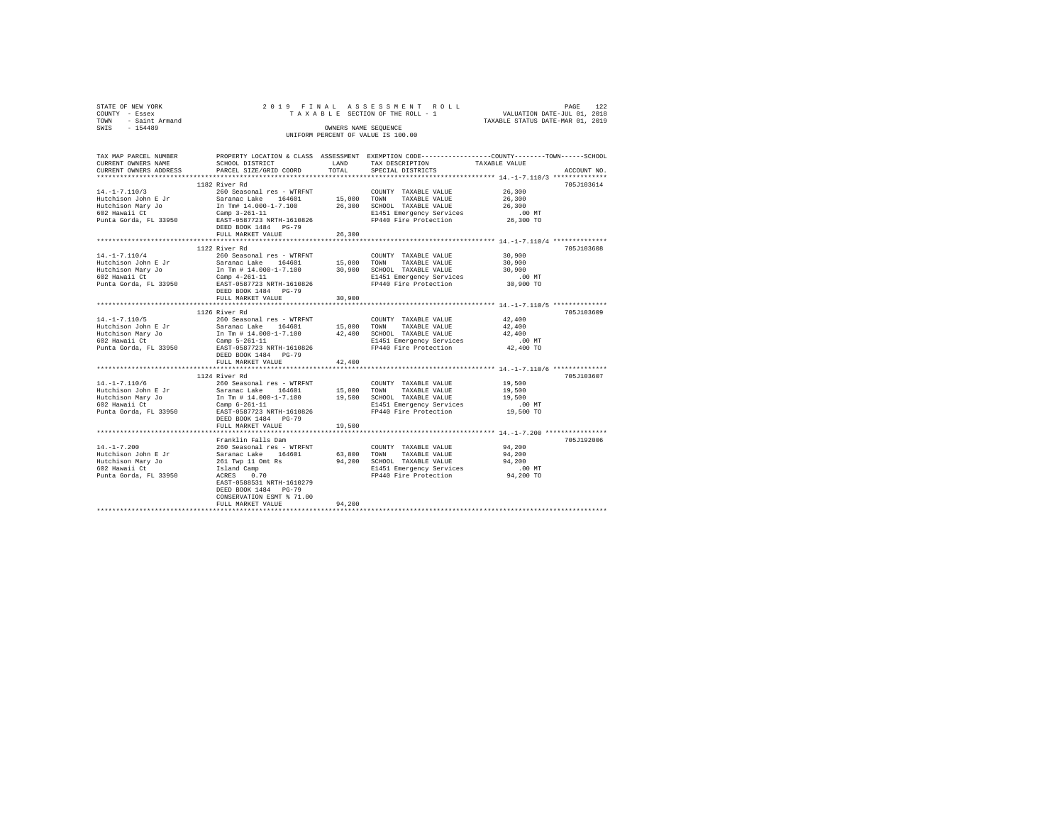| STATE OF NEW YORK<br>COUNTY - Essex<br>TOWN - Saint Armand<br>SWIS - 154489 |                                                                                                                                                                                                                                                                                                                                                                                                                                                                                                   |        | 2019 FINAL ASSESSMENT ROLL<br>TAXABLE SECTION OF THE ROLL - 1                                     | PAGE 122<br>VALUATION DATE-JUL 01, 2018 |             |
|-----------------------------------------------------------------------------|---------------------------------------------------------------------------------------------------------------------------------------------------------------------------------------------------------------------------------------------------------------------------------------------------------------------------------------------------------------------------------------------------------------------------------------------------------------------------------------------------|--------|---------------------------------------------------------------------------------------------------|-----------------------------------------|-------------|
|                                                                             |                                                                                                                                                                                                                                                                                                                                                                                                                                                                                                   |        |                                                                                                   | TAXABLE STATUS DATE-MAR 01, 2019        |             |
|                                                                             |                                                                                                                                                                                                                                                                                                                                                                                                                                                                                                   |        | OWNERS NAME SEQUENCE                                                                              |                                         |             |
|                                                                             |                                                                                                                                                                                                                                                                                                                                                                                                                                                                                                   |        | UNIFORM PERCENT OF VALUE IS 100.00                                                                |                                         |             |
|                                                                             |                                                                                                                                                                                                                                                                                                                                                                                                                                                                                                   |        |                                                                                                   |                                         |             |
| TAX MAP PARCEL NUMBER                                                       |                                                                                                                                                                                                                                                                                                                                                                                                                                                                                                   |        | PROPERTY LOCATION & CLASS ASSESSMENT EXEMPTION CODE---------------COUNTY-------TOWN------SCHOOL   |                                         |             |
| CURRENT OWNERS NAME                                                         |                                                                                                                                                                                                                                                                                                                                                                                                                                                                                                   |        | SCHOOL DISTRICT                        LAND        TAX DESCRIPTION                  TAXABLE VALUE |                                         |             |
| CURRENT OWNERS ADDRESS                                                      | PARCEL SIZE/GRID COORD TOTAL                                                                                                                                                                                                                                                                                                                                                                                                                                                                      |        | SPECIAL DISTRICTS                                                                                 |                                         | ACCOUNT NO. |
|                                                                             |                                                                                                                                                                                                                                                                                                                                                                                                                                                                                                   |        |                                                                                                   |                                         |             |
|                                                                             | 1182 River Rd                                                                                                                                                                                                                                                                                                                                                                                                                                                                                     |        |                                                                                                   |                                         | 705J103614  |
| $14. - 1 - 7.110/3$                                                         | 260 Seasonal res - WTRFNT                                                                                                                                                                                                                                                                                                                                                                                                                                                                         |        | COUNTY TAXABLE VALUE                                                                              | 26,300                                  |             |
| Hutchison John E Jr<br>Hutchison Mary Jo                                    | Saranac Lake 164601 15,000 COMM 17AXABLE VALUE<br>11 Tm   14.000-1-7.100 26,300 SCHOOL TAXABLE VALUE<br>Camp 3-261-11 2000-1-7.100 26,300 SCHOOL TAXABLE VALUE                                                                                                                                                                                                                                                                                                                                    |        |                                                                                                   | 26,300                                  |             |
|                                                                             |                                                                                                                                                                                                                                                                                                                                                                                                                                                                                                   |        |                                                                                                   | 26,300                                  |             |
|                                                                             |                                                                                                                                                                                                                                                                                                                                                                                                                                                                                                   |        |                                                                                                   |                                         |             |
|                                                                             | DEED BOOK 1484 PG-79                                                                                                                                                                                                                                                                                                                                                                                                                                                                              |        |                                                                                                   |                                         |             |
|                                                                             | FULL MARKET VALUE                                                                                                                                                                                                                                                                                                                                                                                                                                                                                 | 26,300 |                                                                                                   |                                         |             |
|                                                                             |                                                                                                                                                                                                                                                                                                                                                                                                                                                                                                   |        |                                                                                                   |                                         |             |
|                                                                             | 1122 River Rd                                                                                                                                                                                                                                                                                                                                                                                                                                                                                     |        |                                                                                                   |                                         | 705J103608  |
| $14. - 1 - 7.110/4$                                                         | 260 Seasonal res - WTRFNT                                                                                                                                                                                                                                                                                                                                                                                                                                                                         |        | COUNTY TAXABLE VALUE                                                                              | 30,900                                  |             |
| $Hutchison$ John E Jr                                                       |                                                                                                                                                                                                                                                                                                                                                                                                                                                                                                   |        |                                                                                                   | 30,900                                  |             |
| Hutchison Mary Jo                                                           | Saranac Lake 164601 15,000 TOWN TAXABLE VALUE<br>In Tm # 14.000-1-7.100 30,900 SCHOOL TAXABLE VALUE                                                                                                                                                                                                                                                                                                                                                                                               |        |                                                                                                   | 30,900                                  |             |
|                                                                             |                                                                                                                                                                                                                                                                                                                                                                                                                                                                                                   |        |                                                                                                   |                                         |             |
|                                                                             | $\texttt{E1451} \begin{tabular}{lcccc} \texttt{H01} & \texttt{H1} & \texttt{H2} & \texttt{H31} & \texttt{H41} & \texttt{H51} & \texttt{H51} & \texttt{H61} & \texttt{H61} & \texttt{H71} & \texttt{H71} & \texttt{H71} & \texttt{H71} & \texttt{H71} & \texttt{H71} & \texttt{H71} & \texttt{H71} & \texttt{H71} & \texttt{H71} & \texttt{H71} & \texttt{H71} & \texttt{H71} & \texttt{H$                                                                                                         |        |                                                                                                   |                                         |             |
|                                                                             | DEED BOOK 1484 PG-79                                                                                                                                                                                                                                                                                                                                                                                                                                                                              |        |                                                                                                   |                                         |             |
|                                                                             | FULL MARKET VALUE                                                                                                                                                                                                                                                                                                                                                                                                                                                                                 | 30,900 |                                                                                                   |                                         |             |
|                                                                             |                                                                                                                                                                                                                                                                                                                                                                                                                                                                                                   |        |                                                                                                   |                                         |             |
|                                                                             | 1126 River Rd                                                                                                                                                                                                                                                                                                                                                                                                                                                                                     |        |                                                                                                   |                                         | 705J103609  |
| $14. -1 - 7.110/5$                                                          | 260 Seasonal res - WTRFNT                                                                                                                                                                                                                                                                                                                                                                                                                                                                         |        | COUNTY TAXABLE VALUE                                                                              | 42,400<br>42,400                        |             |
|                                                                             |                                                                                                                                                                                                                                                                                                                                                                                                                                                                                                   |        |                                                                                                   | 42,400                                  |             |
|                                                                             |                                                                                                                                                                                                                                                                                                                                                                                                                                                                                                   |        |                                                                                                   |                                         |             |
|                                                                             |                                                                                                                                                                                                                                                                                                                                                                                                                                                                                                   |        |                                                                                                   |                                         |             |
|                                                                             | DEED BOOK 1484 PG-79                                                                                                                                                                                                                                                                                                                                                                                                                                                                              |        |                                                                                                   |                                         |             |
|                                                                             | FULL MARKET VALUE                                                                                                                                                                                                                                                                                                                                                                                                                                                                                 | 42,400 |                                                                                                   |                                         |             |
|                                                                             |                                                                                                                                                                                                                                                                                                                                                                                                                                                                                                   |        |                                                                                                   |                                         |             |
|                                                                             | 1124 River Rd                                                                                                                                                                                                                                                                                                                                                                                                                                                                                     |        |                                                                                                   |                                         | 705J103607  |
| $14. - 1 - 7.110/6$                                                         | 260 Seasonal res - WTRFNT                                                                                                                                                                                                                                                                                                                                                                                                                                                                         |        | COUNTY TAXABLE VALUE                                                                              | 19,500                                  |             |
|                                                                             | ${\small \texttt{Hutchison John E Jr}} \begin{tabular}{lcccc} {\bf{Futchison John E Jr}} \end{tabular} \begin{tabular}{lcccc} {\bf{Sarana C lake}} \end{tabular} \begin{tabular}{lcccc} {\bf{164601}} \end{tabular} \begin{tabular}{lcccc} {\bf{17.5,000}} \end{tabular} \begin{tabular}{lcccc} {\bf{7.5,000}} \end{tabular} \begin{tabular}{lcccc} {\bf{7.5,000}} \end{tabular} \end{tabular} \begin{tabular}{lcccc} {\bf{7.5,000}} \end{tabular} \end{tabular} \begin{tabular}{lcccc} {\bf{7.5$ |        | TAXABLE VALUE                                                                                     | 19,500                                  |             |
|                                                                             | In Tm $\#$ 14.000-1-7.100                                                                                                                                                                                                                                                                                                                                                                                                                                                                         |        |                                                                                                   | 19,500                                  |             |
| 602 Hawaii Ct                                                               | Camp $6 - 261 - 11$                                                                                                                                                                                                                                                                                                                                                                                                                                                                               |        | E1451 Emergency Services                                                                          | $.00$ MT                                |             |
|                                                                             |                                                                                                                                                                                                                                                                                                                                                                                                                                                                                                   |        |                                                                                                   |                                         |             |
|                                                                             | DEED BOOK 1484 PG-79                                                                                                                                                                                                                                                                                                                                                                                                                                                                              |        |                                                                                                   |                                         |             |
|                                                                             | FULL MARKET VALUE                                                                                                                                                                                                                                                                                                                                                                                                                                                                                 | 19,500 |                                                                                                   |                                         |             |
|                                                                             | Franklin Falls Dam                                                                                                                                                                                                                                                                                                                                                                                                                                                                                |        |                                                                                                   |                                         | 705J192006  |
| $14. - 1 - 7.200$                                                           | 260 Seasonal res - WTRFNT                                                                                                                                                                                                                                                                                                                                                                                                                                                                         |        | COUNTY TAXABLE VALUE                                                                              | 94,200                                  |             |
| Hutchison John E Jr                                                         | Saranac Lake 164601 63,800 TOWN TAXABLE VALUE                                                                                                                                                                                                                                                                                                                                                                                                                                                     |        |                                                                                                   | 94,200                                  |             |
| Hutchison Mary Jo                                                           | 261 Twp 11 Omt Rs                                                                                                                                                                                                                                                                                                                                                                                                                                                                                 |        | 94,200 SCHOOL TAXABLE VALUE                                                                       | 94,200                                  |             |
| 602 Hawaii Ct                                                               |                                                                                                                                                                                                                                                                                                                                                                                                                                                                                                   |        | E1451 Emergency Services                                                                          | .00 MT                                  |             |
| Punta Gorda, FL 33950                                                       | Island Camp<br>ACRES 0.70                                                                                                                                                                                                                                                                                                                                                                                                                                                                         |        | FP440 Fire Protection                                                                             | $94,200$ TO                             |             |
|                                                                             | EAST-0588531 NRTH-1610279                                                                                                                                                                                                                                                                                                                                                                                                                                                                         |        |                                                                                                   |                                         |             |
|                                                                             | DEED BOOK 1484 PG-79                                                                                                                                                                                                                                                                                                                                                                                                                                                                              |        |                                                                                                   |                                         |             |
|                                                                             | CONSERVATION ESMT & 71.00                                                                                                                                                                                                                                                                                                                                                                                                                                                                         |        |                                                                                                   |                                         |             |

CONSERVATION ESMT % 71.00 FULL MARKET VALUE 94,200 \*\*\*\*\*\*\*\*\*\*\*\*\*\*\*\*\*\*\*\*\*\*\*\*\*\*\*\*\*\*\*\*\*\*\*\*\*\*\*\*\*\*\*\*\*\*\*\*\*\*\*\*\*\*\*\*\*\*\*\*\*\*\*\*\*\*\*\*\*\*\*\*\*\*\*\*\*\*\*\*\*\*\*\*\*\*\*\*\*\*\*\*\*\*\*\*\*\*\*\*\*\*\*\*\*\*\*\*\*\*\*\*\*\*\*\*\*\*\*\*\*\*\*\*\*\*\*\*\*\*\*\*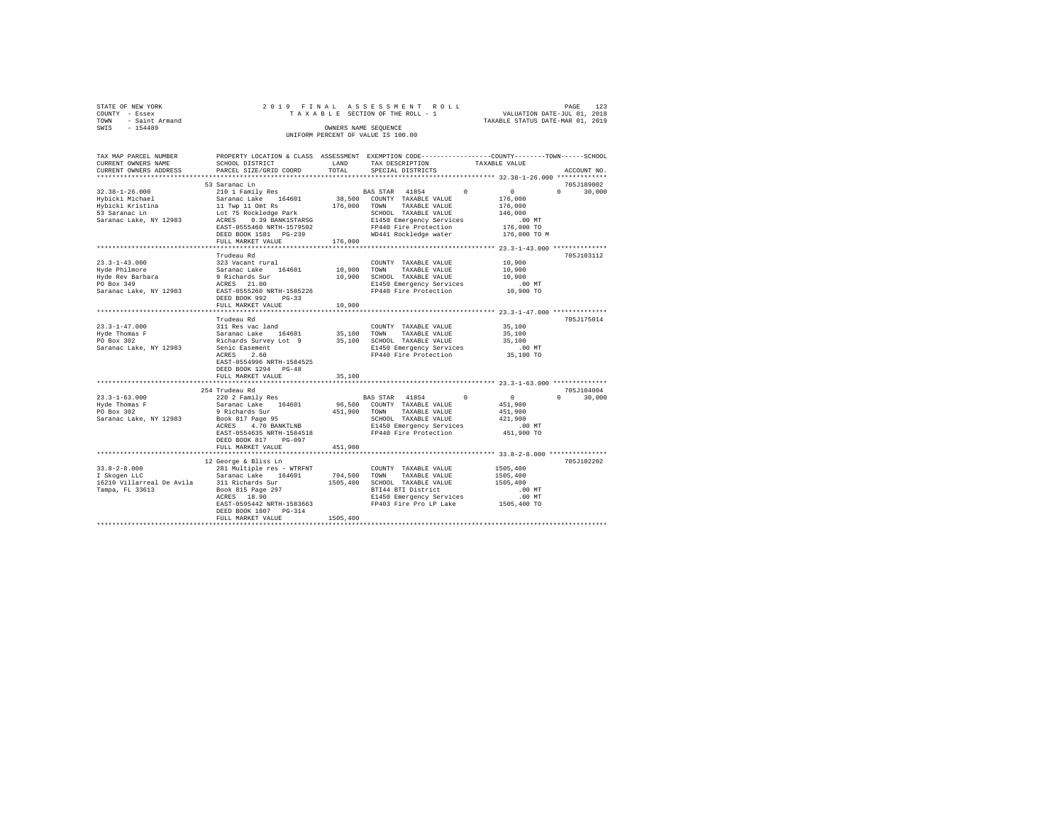| STATE OF NEW YORK   | 2019 FINAL ASSESSMENT ROLL         | PAGE                             | 123 |
|---------------------|------------------------------------|----------------------------------|-----|
| COUNTY - Essex      | TAXABLE SECTION OF THE ROLL - 1    | VALUATION DATE-JUL 01, 2018      |     |
| TOWN - Saint Armand |                                    | TAXABLE STATUS DATE-MAR 01, 2019 |     |
| SWIS<br>$-154489$   | OWNERS NAME SEOUENCE               |                                  |     |
|                     | UNIFORM PERCENT OF VALUE IS 100.00 |                                  |     |

| TAX MAP PARCEL NUMBER<br>CURRENT OWNERS NAME                                                           | SCHOOL DISTRICT                                                                                                                                                                              | LAND                         | PROPERTY LOCATION & CLASS ASSESSMENT EXEMPTION CODE----------------COUNTY-------TOWN-----SCHOOL<br>TAX DESCRIPTION                                                 | TAXABLE VALUE                                                                                    |                    |
|--------------------------------------------------------------------------------------------------------|----------------------------------------------------------------------------------------------------------------------------------------------------------------------------------------------|------------------------------|--------------------------------------------------------------------------------------------------------------------------------------------------------------------|--------------------------------------------------------------------------------------------------|--------------------|
| CURRENT OWNERS ADDRESS<br>************************                                                     | PARCEL SIZE/GRID COORD                                                                                                                                                                       | TOTAL                        | SPECIAL DISTRICTS                                                                                                                                                  |                                                                                                  | ACCOUNT NO.        |
|                                                                                                        | 53 Saranac Ln                                                                                                                                                                                |                              |                                                                                                                                                                    |                                                                                                  | 705J189002         |
| $32.38 - 1 - 26.000$<br>Hybicki Michael<br>Hybicki Kristina<br>53 Saranac Ln<br>Saranac Lake, NY 12983 | 210 1 Family Res<br>Saranac Lake 164601<br>11 Twp 11 Omt Rs<br>Lot 75 Rockledge Park<br>ACRES 0.39 BANK1STARSG<br>EAST-0555460 NRTH-1579502<br>DEED BOOK 1581    PG-239<br>FULL MARKET VALUE | 38,500<br>176,000<br>176,000 | BAS STAR 41854<br>COUNTY TAXABLE VALUE<br>TOWN TAXABLE VALUE<br>SCHOOL TAXABLE VALUE<br>E1450 Emergency Services<br>FP440 Fire Protection<br>WD441 Rockledge water | $\Omega$<br>$\mathbf{0}$<br>176,000<br>176,000<br>146,000<br>.00MT<br>176,000 TO<br>176,000 TO M | $\cap$<br>30,000   |
|                                                                                                        | Trudeau Rd                                                                                                                                                                                   |                              |                                                                                                                                                                    |                                                                                                  | 705J103112         |
| $23.3 - 1 - 43.000$<br>Hyde Philmore<br>Hyde Rev Barbara<br>PO Box 349<br>Saranac Lake, NY 12983       | 323 Vacant rural<br>Saranac Lake 164601<br>9 Richards Sur<br>ACRES 21.00<br>EAST-0555260 NRTH-1585226<br>$PG-33$<br>DEED BOOK 992<br>FULL MARKET VALUE                                       | 10,900 TOWN<br>10,900        | COUNTY TAXABLE VALUE<br>TAXABLE VALUE<br>10,900 SCHOOL TAXABLE VALUE<br>E1450 Emergency Services<br>FP440 Fire Protection                                          | 10,900<br>10,900<br>10,900<br>$.00$ MT<br>10,900 TO                                              |                    |
|                                                                                                        |                                                                                                                                                                                              |                              |                                                                                                                                                                    |                                                                                                  | 705J175014         |
| $23.3 - 1 - 47.000$<br>Hyde Thomas F<br>PO Box 302<br>Saranac Lake, NY 12983                           | Trudeau Rd<br>311 Res vac land<br>Saranac Lake 164601<br>Richards Survey Lot 9<br>Senic Easement<br>Achec 2.60<br>EAST-0554996 NRTH-1584525<br>DEED BOOK 1294 PG-48<br>FULL MARKET VALUE     | 35,100<br>35,100             | COUNTY TAXABLE VALUE<br>TOWN<br>TAXABLE VALUE<br>35,100 SCHOOL TAXABLE VALUE<br>E1450 Emergency Services<br>FP440 Fire Protection                                  | 35,100<br>35,100<br>35,100<br>.00 MT<br>35,100 TO                                                |                    |
|                                                                                                        | 254 Trudeau Rd                                                                                                                                                                               |                              |                                                                                                                                                                    |                                                                                                  | 705J104004         |
| $23.3 - 1 - 63.000$<br>Hyde Thomas F<br>PO Box 302<br>Saranac Lake, NY 12983                           | 220 2 Family Res<br>Saranac Lake 164601<br>9 Richards Sur<br>Book 817 Page 95<br>4.70 BANKTLNB<br>ACRES<br>EAST-0554635 NRTH-1584518<br>DEED BOOK 817<br>PG-097                              | 451,900                      | BAS STAR 41854 0<br>96,500 COUNTY TAXABLE VALUE<br>TOWN TAXABLE VALUE<br>SCHOOL TAXABLE VALUE<br>E1450 Emergency Services<br>FP440 Fire Protection                 | $\sim$ 0<br>451,900<br>451,900<br>421,900<br>$.00$ MT<br>451,900 TO                              | 30,000<br>$\Omega$ |
|                                                                                                        | FULL MARKET VALUE                                                                                                                                                                            | 451,900                      |                                                                                                                                                                    |                                                                                                  |                    |
| $33.8 - 2 - 8.000$<br>Tampa, FL 33613                                                                  | 12 George & Bliss Ln<br>281 Multiple res - WTRFNT<br>164601<br>Book 815 Page 297<br>ACRES 18.90<br>ACRES 18.90<br>EAST-0595442 NRTH-1583663<br>DEED BOOK 1807 PG-314<br>FULL MARKET VALUE    | 1505,400                     | COUNTY TAXABLE VALUE<br>794,500 TOWN<br>TAXABLE VALUE<br>1505,400 SCHOOL TAXABLE VALUE<br>BTI44 BTI District<br>E1450 Emergency Services<br>FP403 Fire Pro LP Lake | 1505,400<br>1505,400<br>1505,400<br>.00MT<br>.00 MT<br>1505,400 TO                               | 705J102202         |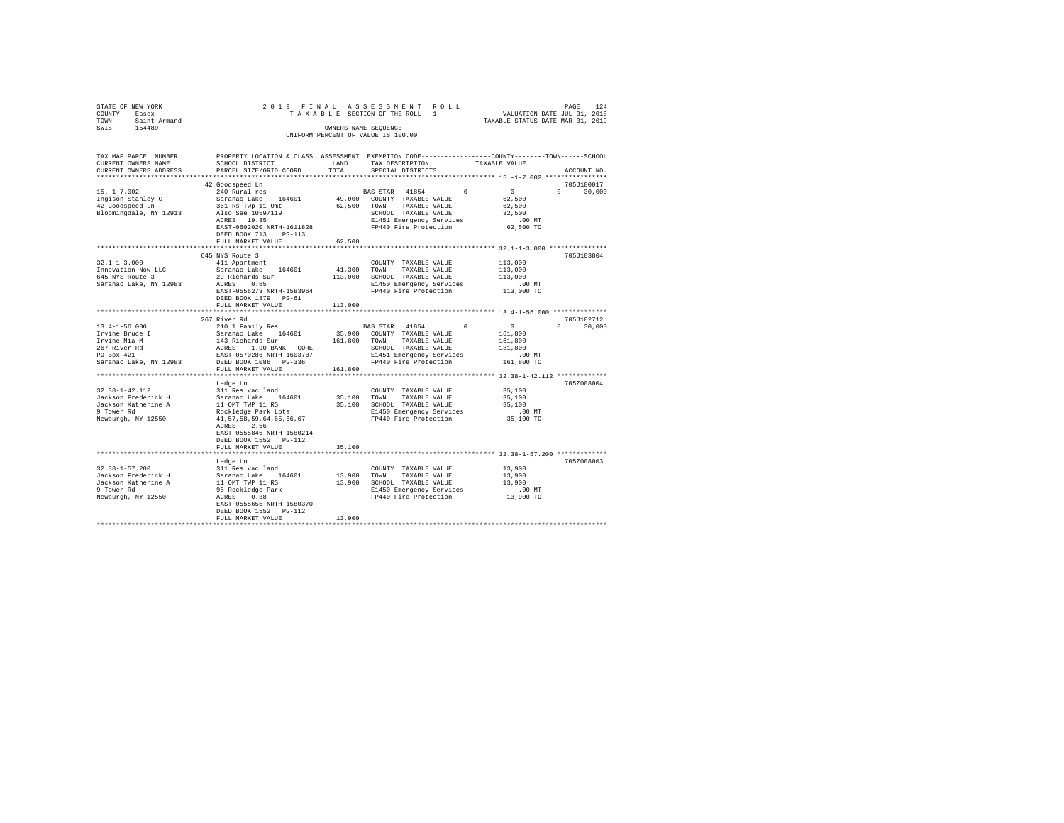| STATE OF NEW YORK<br>COUNTY - Essex<br>TOWN - Saint Armand<br>SWIS - 154489 |                                           |               | 2019 FINAL ASSESSMENT ROLL<br>TAXABLE SECTION OF THE ROLL - 1 VALUATION DATE-JUL 01, 2018<br>TAXABLE STATUS DATE-MAR 01, 2019<br>OWNERS NAME SEQUENCE<br>UNIFORM PERCENT OF VALUE IS 100.00                                                                                                                                                                                                                                                                      |                                                         | PAGE<br>124   |
|-----------------------------------------------------------------------------|-------------------------------------------|---------------|------------------------------------------------------------------------------------------------------------------------------------------------------------------------------------------------------------------------------------------------------------------------------------------------------------------------------------------------------------------------------------------------------------------------------------------------------------------|---------------------------------------------------------|---------------|
| TAX MAP PARCEL NUMBER<br>CURRENT OWNERS NAME<br>CURRENT OWNERS ADDRESS      | SCHOOL DISTRICT<br>PARCEL SIZE/GRID COORD | LAND<br>TOTAL | PROPERTY LOCATION & CLASS ASSESSMENT EXEMPTION CODE----------------COUNTY-------TOWN------SCHOOL<br>TAX DESCRIPTION TAXABLE VALUE<br>SPECIAL DISTRICTS                                                                                                                                                                                                                                                                                                           |                                                         | ACCOUNT NO.   |
|                                                                             | 42 Goodspeed Ln                           |               |                                                                                                                                                                                                                                                                                                                                                                                                                                                                  |                                                         | 705J180017    |
|                                                                             | 240 Rural res                             |               |                                                                                                                                                                                                                                                                                                                                                                                                                                                                  | $\sim$ 0                                                | $0 \t 30.000$ |
|                                                                             |                                           |               |                                                                                                                                                                                                                                                                                                                                                                                                                                                                  | 62,500                                                  |               |
|                                                                             |                                           |               |                                                                                                                                                                                                                                                                                                                                                                                                                                                                  | 62,500                                                  |               |
|                                                                             |                                           |               |                                                                                                                                                                                                                                                                                                                                                                                                                                                                  | 32,500                                                  |               |
|                                                                             | EAST-0602020 NRTH-1611828                 |               | FP440 Fire Protection                                                                                                                                                                                                                                                                                                                                                                                                                                            | 00 MT.<br>62,500 TO                                     |               |
|                                                                             | DEED BOOK 713 PG-113                      |               |                                                                                                                                                                                                                                                                                                                                                                                                                                                                  |                                                         |               |
|                                                                             | FULL MARKET VALUE                         | 62,500        |                                                                                                                                                                                                                                                                                                                                                                                                                                                                  |                                                         |               |
|                                                                             |                                           |               |                                                                                                                                                                                                                                                                                                                                                                                                                                                                  | ************************** 32.1-1-3.000 *************** |               |
|                                                                             | 645 NYS Route 3                           |               |                                                                                                                                                                                                                                                                                                                                                                                                                                                                  |                                                         | 705J103804    |
| $32.1 - 1 - 3.000$                                                          | 411 Apartment                             |               | COUNTY TAXABLE VALUE                                                                                                                                                                                                                                                                                                                                                                                                                                             | 113,000                                                 |               |
| Innovation Now LLC                                                          | Saranac Lake 164601                       |               | 41,300 TOWN TAXABLE VALUE                                                                                                                                                                                                                                                                                                                                                                                                                                        | 113,000                                                 |               |
| 645 NYS Route 3                                                             |                                           |               | 29 Richards Ether (1999) 113,000 SCHOOL TAXABLE VALUE 113,000 2012<br>29 Richards Sur (113,000 SCHOOL TAXABLE VALUE 113,000 120 11450 Emergency Services (10 MT)                                                                                                                                                                                                                                                                                                 |                                                         |               |
| Saranac Lake, NY 12983                                                      |                                           |               |                                                                                                                                                                                                                                                                                                                                                                                                                                                                  |                                                         |               |
|                                                                             | EAST-0556273 NRTH-1583964                 |               | FP440 Fire Protection                                                                                                                                                                                                                                                                                                                                                                                                                                            | 113,000 TO                                              |               |
|                                                                             | DEED BOOK 1879 PG-61                      |               |                                                                                                                                                                                                                                                                                                                                                                                                                                                                  |                                                         |               |
|                                                                             | FULL MARKET VALUE                         | 113,000       |                                                                                                                                                                                                                                                                                                                                                                                                                                                                  |                                                         |               |
|                                                                             |                                           |               |                                                                                                                                                                                                                                                                                                                                                                                                                                                                  |                                                         | 705J102712    |
| $13.4 - 1 - 56.000$                                                         | 267 River Rd                              |               |                                                                                                                                                                                                                                                                                                                                                                                                                                                                  |                                                         | $0 \t 30.000$ |
| Irvine Bruce I                                                              |                                           |               |                                                                                                                                                                                                                                                                                                                                                                                                                                                                  |                                                         |               |
| Irvine Mia M                                                                |                                           |               |                                                                                                                                                                                                                                                                                                                                                                                                                                                                  |                                                         |               |
| 267 River Rd                                                                |                                           |               |                                                                                                                                                                                                                                                                                                                                                                                                                                                                  |                                                         |               |
| 267 River Rd<br>PO Box 421                                                  |                                           |               |                                                                                                                                                                                                                                                                                                                                                                                                                                                                  |                                                         |               |
| Saranac Lake, NY 12983                                                      |                                           |               | $\begin{tabular}{l c c c c c} \multicolumn{3}{c}{\text{\emph{a}}}{\textem{a}} & \multicolumn{3}{c}{\textem{a}}{\textem{b}} & \multicolumn{3}{c}{\textem{a}}{\textem{c}} & \multicolumn{3}{c}{\textem{b}} & \multicolumn{3}{c}{\textem{c}} & \multicolumn{3}{c}{\textem{c}} & \multicolumn{3}{c}{\textem{c}} & \multicolumn{3}{c}{\textem{c}} & \multicolumn{3}{c}{\textem{c}} & \multicolumn{3}{c}{\textem{c}} & \multicolumn{3}{c}{\textem{c}} & \multicolumn{$ |                                                         |               |
|                                                                             | FULL MARKET VALUE 161,800                 |               |                                                                                                                                                                                                                                                                                                                                                                                                                                                                  |                                                         |               |
|                                                                             |                                           |               |                                                                                                                                                                                                                                                                                                                                                                                                                                                                  |                                                         |               |
|                                                                             | Ledge Ln                                  |               |                                                                                                                                                                                                                                                                                                                                                                                                                                                                  |                                                         | 705Z008004    |
|                                                                             |                                           |               |                                                                                                                                                                                                                                                                                                                                                                                                                                                                  | 35,100                                                  |               |
|                                                                             |                                           |               |                                                                                                                                                                                                                                                                                                                                                                                                                                                                  | 35,100                                                  |               |
|                                                                             |                                           |               |                                                                                                                                                                                                                                                                                                                                                                                                                                                                  | 35,100                                                  |               |
| Newburgh, NY 12550                                                          | 41, 57, 58, 59, 64, 65, 66, 67            |               | FP440 Fire Protection                                                                                                                                                                                                                                                                                                                                                                                                                                            | .00 MT.<br>35,100 TO                                    |               |
|                                                                             | ACRES 2.56                                |               |                                                                                                                                                                                                                                                                                                                                                                                                                                                                  |                                                         |               |
|                                                                             | EAST-0555846 NRTH-1580214                 |               |                                                                                                                                                                                                                                                                                                                                                                                                                                                                  |                                                         |               |
|                                                                             | DEED BOOK 1552 PG-112                     |               |                                                                                                                                                                                                                                                                                                                                                                                                                                                                  |                                                         |               |
|                                                                             | FULL MARKET VALUE                         | 35,100        |                                                                                                                                                                                                                                                                                                                                                                                                                                                                  |                                                         |               |
|                                                                             |                                           |               |                                                                                                                                                                                                                                                                                                                                                                                                                                                                  |                                                         |               |
|                                                                             | Ledge Ln                                  |               |                                                                                                                                                                                                                                                                                                                                                                                                                                                                  |                                                         | 705Z008003    |
| $32.38 - 1 - 57.200$                                                        | 311 Res vac land                          |               | COUNTY TAXABLE VALUE 13,900                                                                                                                                                                                                                                                                                                                                                                                                                                      |                                                         |               |
| Jackson Frederick H                                                         |                                           |               |                                                                                                                                                                                                                                                                                                                                                                                                                                                                  |                                                         |               |
| Jackson Katherine A                                                         |                                           |               | 311 Res vac Ianu<br>Saranac Lake 164601 13,900 TOWN TAXABLE VALUE 13,900<br>11 OMT TWP 11 RS 13,900 SCHOOL TAXABLE VALUE 13,900<br>95 Rockledge Park 13,900 E1450 Emergency Services<br>PP440 Fire Protection 13,900 TO                                                                                                                                                                                                                                          |                                                         |               |
| 9 Tower Rd                                                                  | ACRES 0.38                                |               |                                                                                                                                                                                                                                                                                                                                                                                                                                                                  |                                                         |               |
| Newburgh, NY 12550                                                          |                                           |               |                                                                                                                                                                                                                                                                                                                                                                                                                                                                  |                                                         |               |
|                                                                             | DEED BOOK 1552 PG-112                     |               |                                                                                                                                                                                                                                                                                                                                                                                                                                                                  |                                                         |               |
|                                                                             | FULL MARKET VALUE                         | 13,900        |                                                                                                                                                                                                                                                                                                                                                                                                                                                                  |                                                         |               |
|                                                                             |                                           |               |                                                                                                                                                                                                                                                                                                                                                                                                                                                                  |                                                         |               |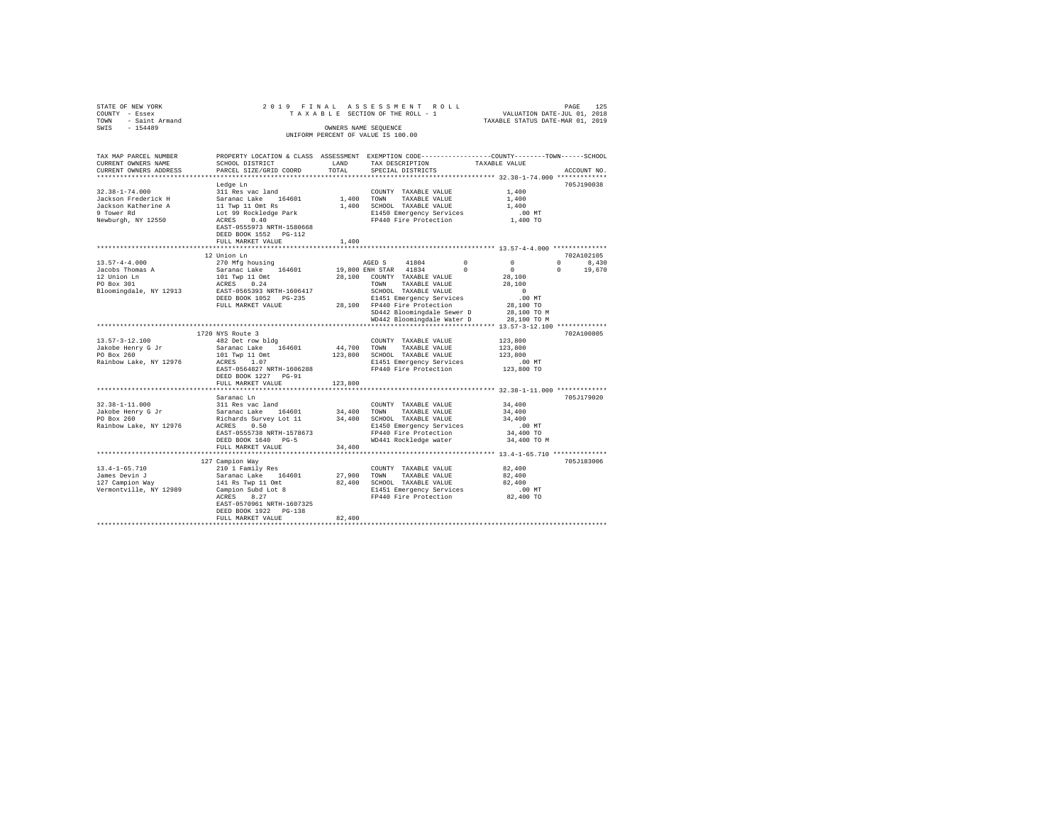| STATE OF NEW YORK               |                                                                                                 |              |                                                                                                                                        |                      |              |
|---------------------------------|-------------------------------------------------------------------------------------------------|--------------|----------------------------------------------------------------------------------------------------------------------------------------|----------------------|--------------|
| COUNTY - Essex                  |                                                                                                 |              |                                                                                                                                        |                      |              |
| TOWN - Saint Armand             |                                                                                                 |              | 2019 FINAL ASSESSMENT ROLL PAGE 125<br>TAXABLE SECTION OF THE ROLL - 1 VALUATION DATE-JUL 01, 2019<br>TAXABLE STATUS DATE-MAR 01, 2019 |                      |              |
| SWTS - 154489                   |                                                                                                 |              | OWNERS NAME SEOUENCE                                                                                                                   |                      |              |
|                                 |                                                                                                 |              | UNIFORM PERCENT OF VALUE IS 100.00                                                                                                     |                      |              |
|                                 |                                                                                                 |              |                                                                                                                                        |                      |              |
|                                 |                                                                                                 |              |                                                                                                                                        |                      |              |
| TAX MAP PARCEL NUMBER           | PROPERTY LOCATION & CLASS ASSESSMENT EXEMPTION CODE---------------COUNTY-------TOWN------SCHOOL |              |                                                                                                                                        |                      |              |
| CURRENT OWNERS NAME             | SCHOOL DISTRICT                                                                                 | LAND         | TAX DESCRIPTION                                                                                                                        | TAXABLE VALUE        |              |
| CURRENT OWNERS ADDRESS          | PARCEL SIZE/GRID COORD                                                                          | TOTAL        | SPECIAL DISTRICTS                                                                                                                      |                      | ACCOUNT NO.  |
|                                 |                                                                                                 |              |                                                                                                                                        |                      |              |
|                                 | Ledge Ln                                                                                        |              |                                                                                                                                        |                      | 705J190038   |
| $32.38 - 1 - 74.000$            | 311 Res vac land                                                                                |              | COUNTY TAXABLE VALUE                                                                                                                   | 1,400                |              |
| Jackson Frederick H             | Saranac Lake 164601                                                                             |              | 1,400 TOWN TAXABLE VALUE                                                                                                               | 1,400                |              |
| Jackson Katherine A             | 11 Twp 11 Omt Rs<br>Lot 99 Rockledge Park                                                       |              | 1,400 SCHOOL TAXABLE VALUE                                                                                                             | 1,400                |              |
| 9 Tower Rd                      |                                                                                                 |              | E1450 Emergency Services                                                                                                               | $.00$ MT             |              |
| Newburgh, NY 12550              | ACRES 0.40                                                                                      |              | FP440 Fire Protection                                                                                                                  | 1,400 TO             |              |
|                                 | EAST-0555973 NRTH-1580668                                                                       |              |                                                                                                                                        |                      |              |
|                                 | DEED BOOK 1552 PG-112                                                                           |              |                                                                                                                                        |                      |              |
|                                 | FULL MARKET VALUE                                                                               | 1,400        |                                                                                                                                        |                      |              |
|                                 |                                                                                                 | ************ |                                                                                                                                        |                      |              |
|                                 | 12 Union Ln                                                                                     |              |                                                                                                                                        |                      | 702A102105   |
| $13.57 - 4 - 4.000$             | 270 Mfg housing                                                                                 |              | AGED S 41804                                                                                                                           | $\Omega$<br>$\Omega$ | $0 \t 8,430$ |
|                                 |                                                                                                 |              |                                                                                                                                        | $\Omega$             | $\Omega$     |
| Jacobs Thomas A                 | Saranac Lake 164601                                                                             |              | 19,800 ENH STAR 41834 0                                                                                                                |                      | 19,670       |
| 12 Union Ln<br>PO Box 301       | $101$ Twp 11 Omt<br>$\frac{101 \text{ FW}}{24}$                                                 |              | 28,100 COUNTY TAXABLE VALUE                                                                                                            | 28,100               |              |
|                                 | ACRES 0.24                                                                                      |              | TOWN TAXABLE VALUE                                                                                                                     | 28,100               |              |
| Bloomingdale, NY 12913          | EAST-0565393 NRTH-1606417                                                                       |              | SCHOOL TAXABLE VALUE                                                                                                                   | $\sim$ 0             |              |
|                                 | DEED BOOK 1052 PG-235                                                                           |              | E1451 Emergency Services                                                                                                               | .00MT                |              |
|                                 | FULL MARKET VALUE                                                                               |              | 28,100 FP440 Fire Protection                                                                                                           | 28,100 TO            |              |
|                                 |                                                                                                 |              | SD442 Bloomingdale Sewer D                                                                                                             | 28,100 TO M          |              |
|                                 |                                                                                                 |              | WD442 Bloomingdale Water D                                                                                                             | 28,100 TO M          |              |
|                                 | .                                                                                               |              | ************************************ 13.57-3-12.100 ***********                                                                        |                      |              |
|                                 | 1720 NYS Route 3                                                                                |              |                                                                                                                                        |                      | 702A100805   |
| $13.57 - 3 - 12.100$            | 482 Det row bldg                                                                                |              | COUNTY TAXABLE VALUE                                                                                                                   | 123,800              |              |
| Jakobe Henry G Jr               | Saranac Lake 164601                                                                             |              | 44,700 TOWN TAXABLE VALUE                                                                                                              | 123,800              |              |
| PO Box 260                      |                                                                                                 |              | 123,800 SCHOOL TAXABLE VALUE                                                                                                           | 123,800              |              |
| Rainbow Lake, NY 12976          | 101 Twp 11 Omt<br>ACRES 1.07                                                                    |              | E1451 Emergency Services                                                                                                               | .00 MT               |              |
|                                 | EAST-0564827 NRTH-1606288                                                                       |              | FP440 Fire Protection                                                                                                                  | 123,800 TO           |              |
|                                 | DEED BOOK 1227 PG-91                                                                            |              |                                                                                                                                        |                      |              |
|                                 | FULL MARKET VALUE                                                                               | 123,800      |                                                                                                                                        |                      |              |
|                                 |                                                                                                 |              |                                                                                                                                        |                      |              |
|                                 | Saranac Ln                                                                                      |              |                                                                                                                                        |                      | 705J179020   |
| $32.38 - 1 - 11.000$            | 311 Res vac land                                                                                |              | COUNTY TAXABLE VALUE                                                                                                                   | 34,400               |              |
|                                 | Saranac Lake 164601                                                                             |              | 34,400 TOWN TAXABLE VALUE                                                                                                              | 34,400               |              |
| Jakobe Henry G Jr<br>PO Box 260 |                                                                                                 |              |                                                                                                                                        |                      |              |
|                                 | Richards Survey Lot 11                                                                          |              | 34,400 SCHOOL TAXABLE VALUE                                                                                                            | 34,400               |              |
| Rainbow Lake, NY 12976          | ACRES 0.50                                                                                      |              | E1450 Emergency Services                                                                                                               | $.00$ MT             |              |
|                                 | EAST-0555738 NRTH-1578673                                                                       |              | FP440 Fire Protection                                                                                                                  | 34,400 TO            |              |
|                                 | DEED BOOK 1640 PG-5                                                                             |              | WD441 Rockledge water                                                                                                                  | 34,400 TO M          |              |
|                                 | FULL MARKET VALUE                                                                               | 34,400       |                                                                                                                                        |                      |              |
|                                 |                                                                                                 |              |                                                                                                                                        |                      |              |
|                                 | 127 Campion Way                                                                                 |              |                                                                                                                                        |                      | 705J183006   |
| $13.4 - 1 - 65.710$             | 210 1 Family Res                                                                                |              | COUNTY TAXABLE VALUE                                                                                                                   | 82,400               |              |
|                                 | Saranac Lake 164601                                                                             |              | 27,900 TOWN TAXABLE VALUE                                                                                                              | 82,400               |              |
| 127 Campion Way<br>Vermontisi   | 141 Rs Twp 11 Omt                                                                               |              | 82,400 SCHOOL TAXABLE VALUE                                                                                                            | 82,400               |              |
| Vermontville, NY 12989          | Campion Subd Lot 8                                                                              |              | E1451 Emergency Services                                                                                                               | $.00$ MT             |              |
|                                 | ACRES 8.27                                                                                      |              | FP440 Fire Protection                                                                                                                  | 82,400 TO            |              |
|                                 | EAST-0570961 NRTH-1607325                                                                       |              |                                                                                                                                        |                      |              |
|                                 | DEED BOOK 1922 PG-138                                                                           |              |                                                                                                                                        |                      |              |
|                                 | FULL MARKET VALUE                                                                               | 82,400       |                                                                                                                                        |                      |              |
|                                 |                                                                                                 |              |                                                                                                                                        |                      |              |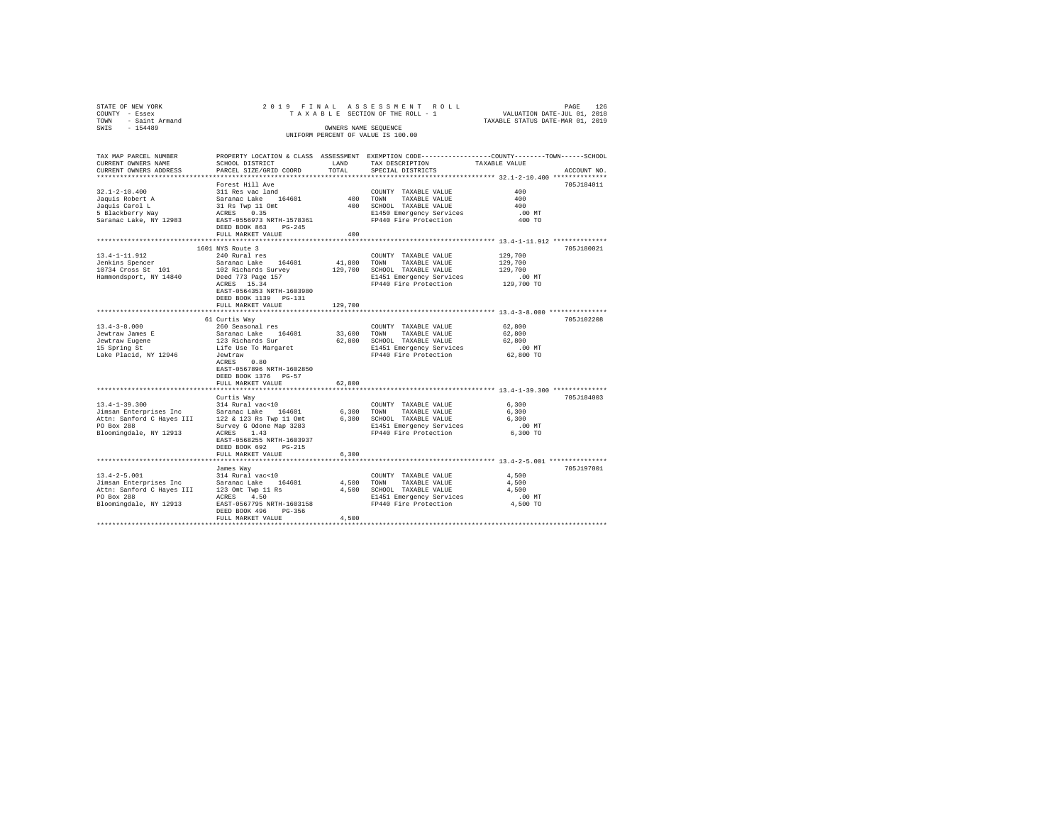| STATE OF NEW YORK                                                                         |                           |              | 2019 FINAL ASSESSMENT ROLL PAGE 126<br>TAXABLE SECTION OF THE ROLL - 1 VALUATION DATE-JUL 01, 2019<br>TAXABLE STATUS DATE-MAR 01, 2019 |                                                                |             |
|-------------------------------------------------------------------------------------------|---------------------------|--------------|----------------------------------------------------------------------------------------------------------------------------------------|----------------------------------------------------------------|-------------|
| COUNTY - Essex                                                                            |                           |              |                                                                                                                                        |                                                                |             |
| TOWN - Saint Armand                                                                       |                           |              |                                                                                                                                        |                                                                |             |
| SWTS - 154489                                                                             |                           |              | OWNERS NAME SEOUENCE                                                                                                                   |                                                                |             |
|                                                                                           |                           |              | UNIFORM PERCENT OF VALUE IS 100.00                                                                                                     |                                                                |             |
|                                                                                           |                           |              |                                                                                                                                        |                                                                |             |
|                                                                                           |                           |              |                                                                                                                                        |                                                                |             |
| TAX MAP PARCEL NUMBER                                                                     |                           |              | PROPERTY LOCATION & CLASS ASSESSMENT EXEMPTION CODE---------------COUNTY-------TOWN------SCHOOL                                        |                                                                |             |
| CURRENT OWNERS NAME                                                                       | SCHOOL DISTRICT           | LAND         | TAX DESCRIPTION                                                                                                                        | TAXABLE VALUE                                                  |             |
| CURRENT OWNERS ADDRESS                                                                    | PARCEL SIZE/GRID COORD    | TOTAL        | SPECIAL DISTRICTS                                                                                                                      |                                                                | ACCOUNT NO. |
|                                                                                           |                           |              |                                                                                                                                        |                                                                |             |
|                                                                                           | Forest Hill Ave           |              |                                                                                                                                        |                                                                | 705J184011  |
| $32.1 - 2 - 10.400$                                                                       | 311 Res vac land          |              | COUNTY TAXABLE VALUE                                                                                                                   | 400                                                            |             |
| Jaquis Robert A                                                                           | Saranac Lake 164601       |              | 400 TOWN TAXABLE VALUE                                                                                                                 | 400                                                            |             |
| Jaquis Carol L                                                                            | 31 Rs Twp 11 Omt          |              | 400 SCHOOL TAXABLE VALUE                                                                                                               | 400                                                            |             |
| 5 Blackberry Way                                                                          | ACRES 0.35                |              | E1450 Emergency Services                                                                                                               | $.00$ MT                                                       |             |
| Saranac Lake, NY 12983                                                                    | EAST-0556973 NRTH-1578361 |              | FP440 Fire Protection                                                                                                                  | 400 TO                                                         |             |
|                                                                                           | DEED BOOK 863 PG-245      |              |                                                                                                                                        |                                                                |             |
|                                                                                           |                           | 400          |                                                                                                                                        |                                                                |             |
|                                                                                           | FULL MARKET VALUE         | ************ |                                                                                                                                        | ********************************* 13.4-1-11.912 ************** |             |
|                                                                                           |                           |              |                                                                                                                                        |                                                                |             |
|                                                                                           | 1601 NYS Route 3          |              |                                                                                                                                        |                                                                | 705J180021  |
| 13.4-1-11.912                                                                             | 240 Rural res             |              | COUNTY TAXABLE VALUE                                                                                                                   | 129,700                                                        |             |
| Jenkins Spencer                                                                           | Saranac Lake 164601       |              | 41,800 TOWN TAXABLE VALUE                                                                                                              | 129,700                                                        |             |
| 10734 Cross St 101                                                                        | 102 Richards Survey       |              | 129,700 SCHOOL TAXABLE VALUE                                                                                                           | 129,700                                                        |             |
| Hammondsport, NY 14840                                                                    | Deed 773 Page 157         |              | E1451 Emergency Services                                                                                                               | $.00$ MT                                                       |             |
|                                                                                           | ACRES 15.34               |              | FP440 Fire Protection                                                                                                                  | 129,700 TO                                                     |             |
|                                                                                           | EAST-0564353 NRTH-1603980 |              |                                                                                                                                        |                                                                |             |
|                                                                                           | DEED BOOK 1139 PG-131     |              |                                                                                                                                        |                                                                |             |
|                                                                                           | FULL MARKET VALUE         | 129,700      |                                                                                                                                        |                                                                |             |
|                                                                                           | ***********************   |              |                                                                                                                                        | **************************** 13.4-3-8.000 ***************      |             |
|                                                                                           | 61 Curtis Way             |              |                                                                                                                                        |                                                                | 705J102208  |
| $13.4 - 3 - 8.000$                                                                        | 260 Seasonal res          |              | COUNTY TAXABLE VALUE                                                                                                                   | 62,800                                                         |             |
| Jewtraw James E                                                                           | Saranac Lake 164601       |              | 33,600 TOWN TAXABLE VALUE                                                                                                              | 62,800                                                         |             |
|                                                                                           |                           |              |                                                                                                                                        | 62,800                                                         |             |
| Jewtraw Eugene<br>15 Spring St                                                            | 123 Richards Sur          |              | 62,800 SCHOOL TAXABLE VALUE                                                                                                            |                                                                |             |
|                                                                                           | Life Use To Margaret      |              | E1451 Emergency Services                                                                                                               | $.00$ MT                                                       |             |
| Lake Placid, NY 12946                                                                     | Jewtraw                   |              | FP440 Fire Protection 62,800 TO                                                                                                        |                                                                |             |
|                                                                                           | ACRES 0.80                |              |                                                                                                                                        |                                                                |             |
|                                                                                           | EAST-0567896 NRTH-1602850 |              |                                                                                                                                        |                                                                |             |
|                                                                                           | DEED BOOK 1376 PG-57      |              |                                                                                                                                        |                                                                |             |
|                                                                                           | FULL MARKET VALUE         | 62,800       |                                                                                                                                        |                                                                |             |
|                                                                                           |                           |              |                                                                                                                                        |                                                                |             |
|                                                                                           | Curtis Way                |              |                                                                                                                                        |                                                                | 705J184003  |
| $13.4 - 1 - 39.300$                                                                       | 314 Rural vac<10          |              | COUNTY TAXABLE VALUE                                                                                                                   | 6,300                                                          |             |
|                                                                                           |                           |              | 6,300 TOWN TAXABLE VALUE                                                                                                               | 6,300                                                          |             |
|                                                                                           |                           |              | 6,300 SCHOOL TAXABLE VALUE                                                                                                             | 6,300                                                          |             |
| PO Box 288                                                                                | Survey G Odone Map 3283   |              | E1451 Emergency Services                                                                                                               | $.00$ MT                                                       |             |
| Bloomingdale, NY 12913                                                                    | ACRES 1.43                |              | FP440 Fire Protection                                                                                                                  | 6,300 TO                                                       |             |
|                                                                                           | EAST-0568255 NRTH-1603937 |              |                                                                                                                                        |                                                                |             |
|                                                                                           |                           |              |                                                                                                                                        |                                                                |             |
|                                                                                           | DEED BOOK 692 PG-215      |              |                                                                                                                                        |                                                                |             |
|                                                                                           | FULL MARKET VALUE         | 6,300        |                                                                                                                                        |                                                                |             |
|                                                                                           |                           |              |                                                                                                                                        |                                                                |             |
|                                                                                           | James Way                 |              |                                                                                                                                        |                                                                | 705J197001  |
| $13.4 - 2 - 5.001$                                                                        | 314 Rural vac<10          |              | COUNTY TAXABLE VALUE                                                                                                                   | 4,500                                                          |             |
| Jimsan Enterprises Inc Saranac Lake 164601<br>Attn: Sanford C Hayes III 123 Omt Twp 11 Rs |                           |              | 4,500 TOWN TAXABLE VALUE                                                                                                               | 4,500                                                          |             |
|                                                                                           |                           |              | 4,500 SCHOOL TAXABLE VALUE                                                                                                             | 4.500                                                          |             |
| PO Box 288                                                                                | ACRES 4.50                |              | E1451 Emergency Services                                                                                                               | $.00$ MT                                                       |             |
| Bloomingdale, NY 12913                                                                    | EAST-0567795 NRTH-1603158 |              | FP440 Fire Protection                                                                                                                  | 4,500 TO                                                       |             |
|                                                                                           | DEED BOOK 496 PG-356      |              |                                                                                                                                        |                                                                |             |
|                                                                                           | FULL MARKET VALUE         | 4,500        |                                                                                                                                        |                                                                |             |
|                                                                                           |                           |              |                                                                                                                                        |                                                                |             |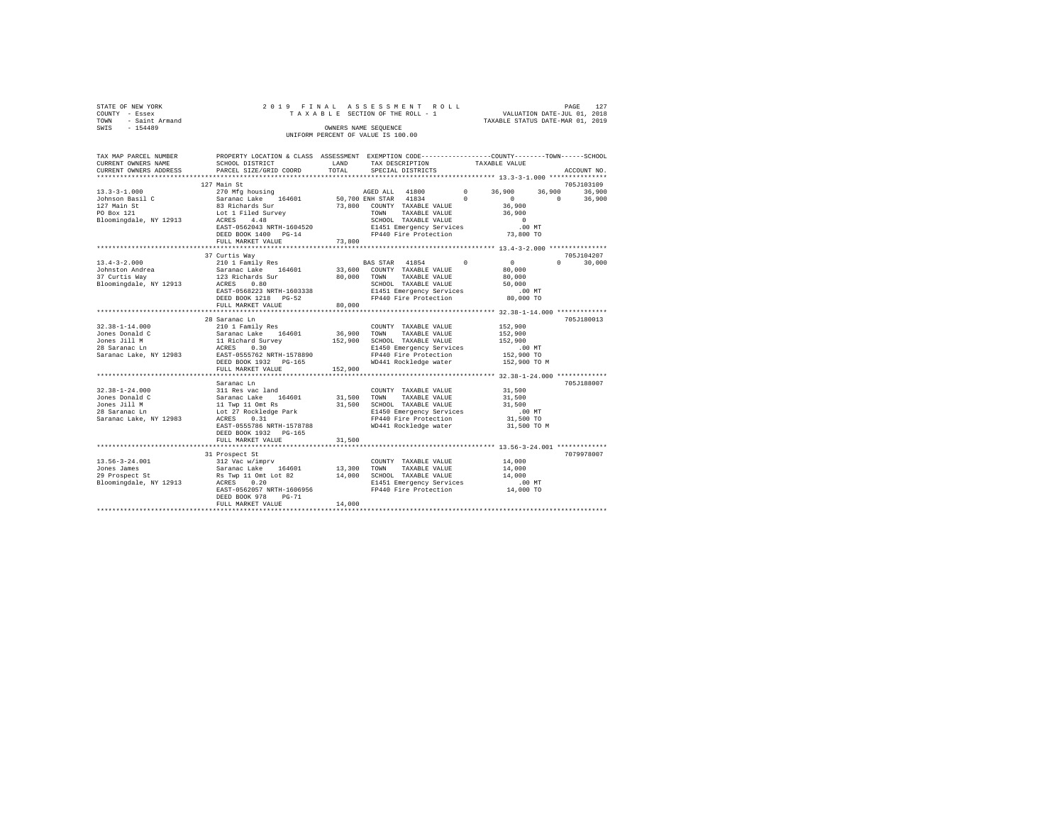|      | STATE OF NEW YORK |  |  |  | 2019 FINAL ASSESSMENT ROLL         |  |  |  |                                  | PAGE | 127 |
|------|-------------------|--|--|--|------------------------------------|--|--|--|----------------------------------|------|-----|
|      | COUNTY - Essex    |  |  |  | TAXABLE SECTION OF THE ROLL - 1    |  |  |  | VALUATION DATE-JUL 01, 2018      |      |     |
| TOWN | - Saint Armand    |  |  |  |                                    |  |  |  | TAXABLE STATUS DATE-MAR 01, 2019 |      |     |
| SWIS | $-154489$         |  |  |  | OWNERS NAME SEOUENCE               |  |  |  |                                  |      |     |
|      |                   |  |  |  | UNIFORM PERCENT OF VALUE IS 100.00 |  |  |  |                                  |      |     |

| TAX MAP PARCEL NUMBER<br>CURRENT OWNERS NAME                                                      | PROPERTY LOCATION & CLASS ASSESSMENT EXEMPTION CODE----------------COUNTY-------TOWN-----SCHOOL<br>SCHOOL DISTRICT                                                        | LAND                  | TAX DESCRIPTION                                                                                                                                                     | TAXABLE VALUE |                                                                                          |
|---------------------------------------------------------------------------------------------------|---------------------------------------------------------------------------------------------------------------------------------------------------------------------------|-----------------------|---------------------------------------------------------------------------------------------------------------------------------------------------------------------|---------------|------------------------------------------------------------------------------------------|
| CURRENT OWNERS ADDRESS<br>***********************                                                 | PARCEL SIZE/GRID COORD                                                                                                                                                    | TOTAL                 | SPECIAL DISTRICTS                                                                                                                                                   |               | ACCOUNT NO.                                                                              |
| $13.3 - 3 - 1.000$<br>Johnson Basil C                                                             | 127 Main St<br>270 Mfg housing<br>Saranac Lake 164601                                                                                                                     |                       | AGED ALL 41800 0 36,900<br>50,700 ENH STAR 41834                                                                                                                    | $\sim$ 0      | 705J103109<br>36,900<br>36,900<br>$\sim$ 0<br>$\Omega$<br>36,900                         |
| 127 Main St<br>PO Box 121<br>Bloomingdale, NY 12913                                               | 83 Richards Sur<br>Lot 1 Filed Survey<br>ACRES<br>4.48<br>EAST-0562043 NRTH-1604520<br>DEED BOOK 1400 PG-14                                                               |                       | 73,800 COUNTY TAXABLE VALUE<br>TOWN<br>TAXABLE VALUE<br>SCHOOL TAXABLE VALUE<br>E1451 Emergency Services<br>FP440 Fire Protection                                   |               | 36,900<br>36,900<br>$\sim$ 0<br>$.00$ MT<br>73,800 TO                                    |
|                                                                                                   | FULL MARKET VALUE                                                                                                                                                         | 73,800                |                                                                                                                                                                     |               |                                                                                          |
|                                                                                                   | 37 Curtis Way                                                                                                                                                             |                       |                                                                                                                                                                     |               | 705J104207                                                                               |
| $13.4 - 3 - 2.000$<br>Johnston Andrea<br>37 Curtis Way<br>Bloomingdale, NY 12913                  | 210 1 Family Res<br>Saranac Lake 164601<br>123 Richards Sur<br>ACRES<br>0.80<br>EAST-0568223 NRTH-1603338<br>DEED BOOK 1218 PG-52<br>FULL MARKET VALUE                    | 80,000                | $\sim$ 0<br>BAS STAR 41854<br>33,600 COUNTY TAXABLE VALUE<br>80,000 TOWN TAXABLE VALUE<br>SCHOOL TAXABLE VALUE<br>E1451 Emergency Services<br>FP440 Fire Protection | 80,000        | $\sim$ 0<br>$\Omega$ and $\Omega$<br>30,000<br>80,000<br>50,000<br>$.00$ MT<br>80,000 TO |
|                                                                                                   | 28 Saranac Ln                                                                                                                                                             |                       |                                                                                                                                                                     |               | 705J180013                                                                               |
| $32.38 - 1 - 14.000$<br>Jones Donald C<br>Jones Jill M<br>28 Saranac Ln<br>Saranac Lake, NY 12983 | 210 1 Family Res<br>DEED BOOK 1932 PG-165<br>FULL MARKET VALUE                                                                                                            | 152,900               | COUNTY TAXABLE VALUE<br>E1450 Emergency Services<br>FP440 Fire Protection<br>WD441 Rockledge water                                                                  |               | 152,900<br>152,900<br>152,900<br>$.00$ MT<br>152,900 TO<br>152,900 TO M                  |
|                                                                                                   | Saranac Ln                                                                                                                                                                |                       |                                                                                                                                                                     |               | 705J188007                                                                               |
| $32.38 - 1 - 24.000$<br>Jones Donald C<br>Jones Jill M<br>28 Saranac Ln<br>Saranac Lake, NY 12983 | 311 Res vac land<br>Saranac Lake 164601<br>11 Twp 11 Omt Rs<br>Lot 27 Rockledge Park<br>ACRES 0.31<br>ACRES<br>0.31<br>EAST-0555786 NRTH-1578788<br>DEED BOOK 1932 PG-165 | 31,500 TOWN<br>31,500 | COUNTY TAXABLE VALUE<br>TAXABLE VALUE<br>SCHOOL TAXABLE VALUE<br>E1450 Emergency Services<br>FP440 Fire Protection<br>WD441 Rockledge water                         |               | 31,500<br>31,500<br>31,500<br>.00 MT<br>31,500 TO<br>31,500 TO M                         |
|                                                                                                   | FULL MARKET VALUE                                                                                                                                                         | 31,500                |                                                                                                                                                                     |               |                                                                                          |
|                                                                                                   |                                                                                                                                                                           |                       |                                                                                                                                                                     |               |                                                                                          |
| 13.56-3-24.001<br>Jones James<br>29 Prospect St<br>Bloomingdale, NY 12913                         | 31 Prospect St<br>EAST-0562057 NRTH-1606956<br>DEED BOOK 978<br>$PG-71$<br>FULL MARKET VALUE                                                                              | 13,300 TOWN<br>14,000 | COUNTY TAXABLE VALUE<br>TAXABLE VALUE<br>14,000 SCHOOL TAXABLE VALUE<br>E1451 Emergency Services<br>FP440 Fire Protection                                           |               | 7079978007<br>14,000<br>14,000<br>14,000<br>$.00$ MT<br>14,000 TO                        |
|                                                                                                   |                                                                                                                                                                           |                       |                                                                                                                                                                     |               |                                                                                          |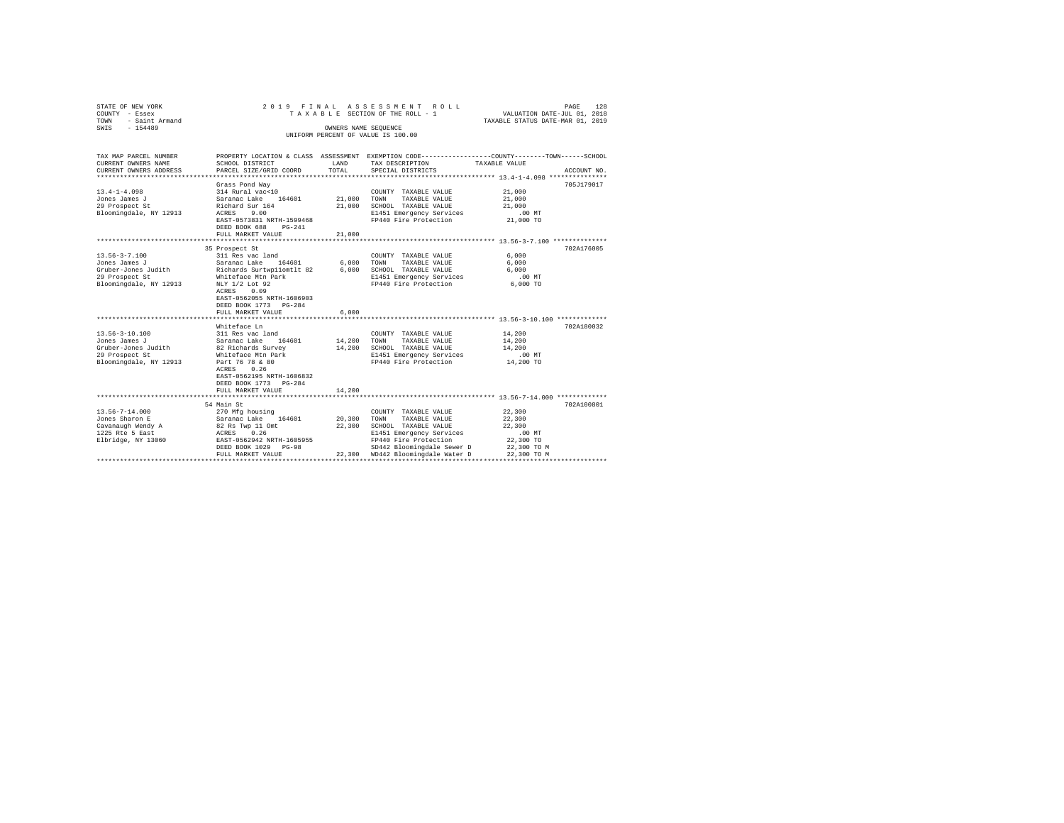| STATE OF NEW YORK<br>COUNTY - Essex<br>TOWN - Saint Armand<br>SWIS - 154489                              |                                                                                                                                                                                                                         | OWNERS NAME SEQUENCE  | 2019 FINAL ASSESSMENT ROLL<br>TAXABLE SECTION OF THE ROLL - 1<br>UNIFORM PERCENT OF VALUE IS 100.00                                                                                          | VALUATION DATE-JUL 01, 2018<br>TAXABLE STATUS DATE-MAR 01, 2019                                      | PAGE<br>128 |
|----------------------------------------------------------------------------------------------------------|-------------------------------------------------------------------------------------------------------------------------------------------------------------------------------------------------------------------------|-----------------------|----------------------------------------------------------------------------------------------------------------------------------------------------------------------------------------------|------------------------------------------------------------------------------------------------------|-------------|
| TAX MAP PARCEL NUMBER<br>CURRENT OWNERS NAME<br>CURRENT OWNERS ADDRESS                                   | SCHOOL DISTRICT<br>PARCEL SIZE/GRID COORD                                                                                                                                                                               | LAND<br>TOTAL.        | PROPERTY LOCATION & CLASS ASSESSMENT EXEMPTION CODE---------------COUNTY-------TOWN------SCHOOL<br>TAX DESCRIPTION<br>SPECIAL DISTRICTS                                                      | TAXABLE VALUE                                                                                        | ACCOUNT NO. |
| $13.4 - 1 - 4.098$<br>Jones James J<br>29 Prospect St<br>Bloomingdale, NY 12913                          | Grass Pond Way<br>314 Rural vac<10<br>Saranac Lake 164601<br>Richard Sur 164<br>ACRES 9.00<br>EAST-0573831 NRTH-1599468<br>DEED BOOK 688 PG-241<br>FULL MARKET VALUE                                                    | 21,000                | COUNTY TAXABLE VALUE<br>21,000 TOWN TAXABLE VALUE<br>21,000 SCHOOL TAXABLE VALUE<br>E1451 Emergency Services<br>FP440 Fire Protection                                                        | 21,000<br>21,000<br>21,000<br>$.00$ MT<br>21,000 TO                                                  | 705J179017  |
| $13.56 - 3 - 7.100$<br>Jones James J<br>Gruber-Jones Judith<br>29 Prospect St<br>Bloomingdale, NY 12913  | 35 Prospect St<br>311 Res vac land<br>Saranac Lake 164601<br>Richards Surtwpllomtlt 82<br>Whiteface Mtn Park<br>NLY 1/2 Lot 92<br>ACRES 0.09<br>EAST-0562055 NRTH-1606903<br>DEED BOOK 1773 PG-284<br>FULL MARKET VALUE | 6.000                 | COUNTY TAXABLE VALUE<br>6,000 TOWN<br>TAXABLE VALUE<br>6,000 SCHOOL TAXABLE VALUE<br>E1451 Emergency Services<br>FP440 Fire Protection                                                       | 6.000<br>6,000<br>6.000<br>.00 MT<br>$6.000$ TO<br>******************** 13.56-3-10.100 ************* | 702A176005  |
| $13.56 - 3 - 10.100$<br>Jones James J<br>Gruber-Jones Judith<br>29 Prospect St<br>Bloomingdale, NY 12913 | Whiteface Ln<br>311 Res vac land<br>Saranac Lake 164601<br>82 Richards Survey<br>Whiteface Mtn Park<br>Part 76 78 & 80<br>ACRES 0.26<br>EAST-0562195 NRTH-1606832<br>DEED BOOK 1773 PG-284<br>FULL MARKET VALUE         | 14,200 TOWN<br>14,200 | COUNTY TAXABLE VALUE<br>TAXABLE VALUE<br>14,200 SCHOOL TAXABLE VALUE<br>E1451 Emergency Services<br>FP440 Fire Protection                                                                    | 14,200<br>14,200<br>14,200<br>$.00$ MT<br>14,200 TO                                                  | 702A180032  |
| $13.56 - 7 - 14.000$<br>Jones Sharon E<br>Cavanaugh Wendy A<br>1225 Rte 5 East<br>Elbridge, NY 13060     | 54 Main St<br>270 Mfg housing<br>Saranac Lake 164601<br>82 Rs Twp 11 Omt<br>ACRES 0.26<br>EAST-0562942 NRTH-1605955<br>DEED BOOK 1029 PG-98<br>FULL MARKET VALUE                                                        | 20,300 TOWN           | COUNTY TAXABLE VALUE<br>TAXABLE VALUE<br>22,300 SCHOOL TAXABLE VALUE<br>E1451 Emergency Services<br>FP440 Fire Protection<br>SD442 Bloomingdale Sewer D<br>22,300 WD442 Bloomingdale Water D | 22,300<br>22,300<br>22,300<br>.00MT<br>22,300 TO<br>22,300 TO M<br>22,300 TO M                       | 702A100801  |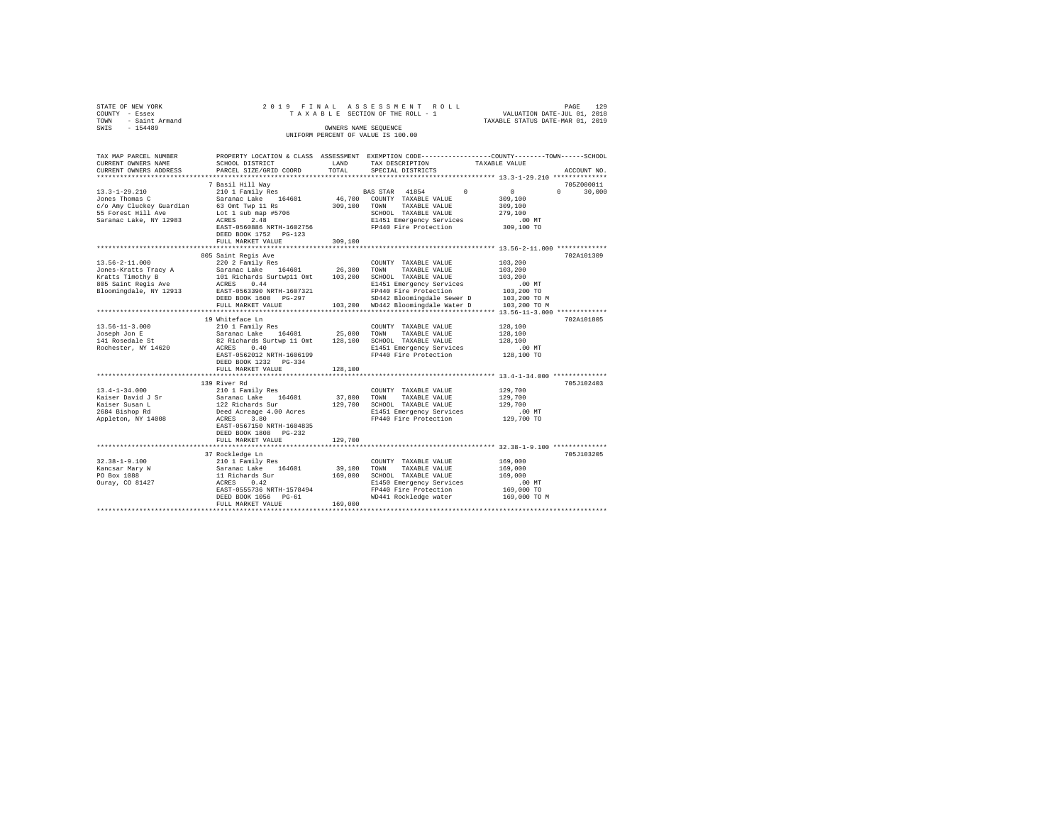| STATE OF NEW YORK<br>COUNTY - Essex<br>TOWN - Saint Armand<br>SWIS - 154489 |                                                                                                                                                                                                                                                                                                                                                                                                                                                  | OWNERS NAME SEQUENCE | 2019 FINAL ASSESSMENT ROLL<br>TAXABLE SECTION OF THE ROLL - 1<br>UNIFORM PERCENT OF VALUE IS 100.00 | 129<br>PAGE<br>VALUATION DATE-JUL 01, 2018<br>TAXABLE STATUS DATE-MAR 01, 2019                  |
|-----------------------------------------------------------------------------|--------------------------------------------------------------------------------------------------------------------------------------------------------------------------------------------------------------------------------------------------------------------------------------------------------------------------------------------------------------------------------------------------------------------------------------------------|----------------------|-----------------------------------------------------------------------------------------------------|-------------------------------------------------------------------------------------------------|
| TAX MAP PARCEL NUMBER                                                       |                                                                                                                                                                                                                                                                                                                                                                                                                                                  |                      |                                                                                                     | PROPERTY LOCATION & CLASS ASSESSMENT EXEMPTION CODE---------------COUNTY-------TOWN------SCHOOL |
| CURRENT OWNERS NAME                                                         | SCHOOL DISTRICT                                                                                                                                                                                                                                                                                                                                                                                                                                  | LAND                 | TAX DESCRIPTION                                                                                     | TAXABLE VALUE                                                                                   |
| CURRENT OWNERS ADDRESS<br>***********************                           | PARCEL SIZE/GRID COORD                                                                                                                                                                                                                                                                                                                                                                                                                           | TOTAL                | SPECIAL DISTRICTS                                                                                   | ACCOUNT NO.                                                                                     |
|                                                                             | 7 Basil Hill Way                                                                                                                                                                                                                                                                                                                                                                                                                                 |                      |                                                                                                     | 705Z000011                                                                                      |
| $13.3 - 1 - 29.210$                                                         | 210 1 Family Res                                                                                                                                                                                                                                                                                                                                                                                                                                 |                      | BAS STAR 41854<br>$\Omega$                                                                          | $\sim$ 0<br>$0 \t 30,000$                                                                       |
| Jones Thomas C                                                              | Saranac Lake 164601                                                                                                                                                                                                                                                                                                                                                                                                                              |                      | 46,700 COUNTY TAXABLE VALUE                                                                         | 309,100                                                                                         |
| c/o Amy Cluckey Guardian                                                    | 63 Omt Twp 11 Rs                                                                                                                                                                                                                                                                                                                                                                                                                                 |                      | 309,100 TOWN TAXABLE VALUE                                                                          | 309,100                                                                                         |
| 55 Forest Hill Ave                                                          | Lot 1 sub map #5706                                                                                                                                                                                                                                                                                                                                                                                                                              |                      | SCHOOL TAXABLE VALUE                                                                                | 279,100                                                                                         |
| Saranac Lake, NY 12983                                                      | ACRES 2.48                                                                                                                                                                                                                                                                                                                                                                                                                                       |                      | E1451 Emergency Services                                                                            | $.00$ MT                                                                                        |
|                                                                             | EAST-0560886 NRTH-1602756                                                                                                                                                                                                                                                                                                                                                                                                                        |                      | FP440 Fire Protection                                                                               | 309,100 TO                                                                                      |
|                                                                             | DEED BOOK 1752 PG-123                                                                                                                                                                                                                                                                                                                                                                                                                            |                      |                                                                                                     |                                                                                                 |
|                                                                             | FULL MARKET VALUE                                                                                                                                                                                                                                                                                                                                                                                                                                | 309,100              |                                                                                                     |                                                                                                 |
|                                                                             |                                                                                                                                                                                                                                                                                                                                                                                                                                                  |                      |                                                                                                     |                                                                                                 |
|                                                                             | 805 Saint Regis Ave                                                                                                                                                                                                                                                                                                                                                                                                                              |                      |                                                                                                     | 702A101309                                                                                      |
| $13.56 - 2 - 11.000$                                                        | 220 2 Family Res                                                                                                                                                                                                                                                                                                                                                                                                                                 |                      | COUNTY TAXABLE VALUE                                                                                | 103,200                                                                                         |
| Jones-Kratts Tracy A                                                        | $\begin{tabular}{lllll} \multicolumn{2}{l}{{\small\tt Staranac} \textbf{ Lake}} & \multicolumn{2}{l}{} 164601 & \multicolumn{2}{l}{{\small\tt 26,300}} & \multicolumn{2}{l}{{\small\tt 70W}} & \multicolumn{2}{l}{{\small\tt 70W}} & \multicolumn{2}{l}{{\small\tt 70W}} & \multicolumn{2}{l}{{\small\tt 70W}} & \multicolumn{2}{l}{{\small\tt 70W}} & \multicolumn{2}{l}{{\small\tt 70W}} & \multicolumn{2}{l}{{\small\tt 70W}} & \multicolumn$ |                      |                                                                                                     | 103,200                                                                                         |
| Kratts Timothy B<br>805 Saint Regis Ave                                     | 101 Richards Surtwp11 Omt 103,200 SCHOOL TAXABLE VALUE                                                                                                                                                                                                                                                                                                                                                                                           |                      |                                                                                                     | 103,200                                                                                         |
|                                                                             | ACRES 0.44                                                                                                                                                                                                                                                                                                                                                                                                                                       |                      | E1451 Emergency Services                                                                            | $.00$ MT                                                                                        |
| Bloomingdale, NY 12913                                                      | EAST-0563390 NRTH-1607321                                                                                                                                                                                                                                                                                                                                                                                                                        |                      | FP440 Fire Protection                                                                               | 103,200 TO<br>103,200 TO M                                                                      |
|                                                                             | DEED BOOK 1608 PG-297<br>FULL MARKET VALUE                                                                                                                                                                                                                                                                                                                                                                                                       |                      | SD442 Bloomingdale Sewer D<br>103,200 WD442 Bloomingdale Water D                                    | 103,200 TO M                                                                                    |
|                                                                             |                                                                                                                                                                                                                                                                                                                                                                                                                                                  |                      |                                                                                                     |                                                                                                 |
|                                                                             | 19 Whiteface Ln                                                                                                                                                                                                                                                                                                                                                                                                                                  |                      |                                                                                                     | 702A101805                                                                                      |
| $13.56 - 11 - 3.000$                                                        | 210 1 Family Res                                                                                                                                                                                                                                                                                                                                                                                                                                 |                      | COUNTY TAXABLE VALUE                                                                                | 128,100                                                                                         |
| Joseph Jon E                                                                | Saranac Lake 164601 25,000 TOWN TAXABLE VALUE                                                                                                                                                                                                                                                                                                                                                                                                    |                      |                                                                                                     | 128,100                                                                                         |
| 141 Rosedale St                                                             | 82 Richards Surtwp 11 Omt 128,100 SCHOOL TAXABLE VALUE                                                                                                                                                                                                                                                                                                                                                                                           |                      |                                                                                                     | 128,100                                                                                         |
| Rochester, NY 14620                                                         | ACRES 0.40                                                                                                                                                                                                                                                                                                                                                                                                                                       |                      | E1451 Emergency Services                                                                            | $.00$ MT                                                                                        |
|                                                                             | EAST-0562012 NRTH-1606199                                                                                                                                                                                                                                                                                                                                                                                                                        |                      | FP440 Fire Protection                                                                               | 128,100 TO                                                                                      |
|                                                                             | DEED BOOK 1232 PG-334                                                                                                                                                                                                                                                                                                                                                                                                                            |                      |                                                                                                     |                                                                                                 |
|                                                                             | FULL MARKET VALUE                                                                                                                                                                                                                                                                                                                                                                                                                                | 128,100              |                                                                                                     |                                                                                                 |
|                                                                             |                                                                                                                                                                                                                                                                                                                                                                                                                                                  |                      |                                                                                                     |                                                                                                 |
|                                                                             | 139 River Rd                                                                                                                                                                                                                                                                                                                                                                                                                                     |                      |                                                                                                     | 705J102403                                                                                      |
| $13.4 - 1 - 34.000$                                                         | 210 1 Family Res                                                                                                                                                                                                                                                                                                                                                                                                                                 |                      | COUNTY TAXABLE VALUE                                                                                | 129,700                                                                                         |
| Kaiser David J Sr                                                           | Saranac Lake 164601                                                                                                                                                                                                                                                                                                                                                                                                                              | 37.800 TOWN          | TAXABLE VALUE                                                                                       | 129,700                                                                                         |
| Kaiser Susan L                                                              | 122 Richards Sur                                                                                                                                                                                                                                                                                                                                                                                                                                 |                      | 129,700 SCHOOL TAXABLE VALUE                                                                        | 129,700                                                                                         |
| $2684$ Bishop Rd                                                            | Deed Acreage 4.00 Acres                                                                                                                                                                                                                                                                                                                                                                                                                          |                      | E1451 Emergency Services                                                                            | $.00$ MT                                                                                        |
| Appleton, NY 14008                                                          | ACRES 3.80<br>EAST-0567150 NRTH-1604835                                                                                                                                                                                                                                                                                                                                                                                                          |                      | FP440 Fire Protection                                                                               | 129,700 TO                                                                                      |
|                                                                             | DEED BOOK 1808 PG-232                                                                                                                                                                                                                                                                                                                                                                                                                            |                      |                                                                                                     |                                                                                                 |
|                                                                             | FULL MARKET VALUE                                                                                                                                                                                                                                                                                                                                                                                                                                | 129,700              |                                                                                                     |                                                                                                 |
|                                                                             |                                                                                                                                                                                                                                                                                                                                                                                                                                                  |                      |                                                                                                     |                                                                                                 |
|                                                                             | 37 Rockledge Ln                                                                                                                                                                                                                                                                                                                                                                                                                                  |                      |                                                                                                     | 705J103205                                                                                      |
| $32.38 - 1 - 9.100$                                                         | 210 1 Family Res                                                                                                                                                                                                                                                                                                                                                                                                                                 |                      | COUNTY TAXABLE VALUE                                                                                | 169,000                                                                                         |
| Kancsar Mary W                                                              | Saranac Lake 164601                                                                                                                                                                                                                                                                                                                                                                                                                              |                      | 39,100 TOWN TAXABLE VALUE                                                                           | 169,000                                                                                         |
| PO Box 1088                                                                 | 11 Richards Sur                                                                                                                                                                                                                                                                                                                                                                                                                                  |                      | 169,000 SCHOOL TAXABLE VALUE                                                                        | 169,000                                                                                         |
| Ouray, CO 81427                                                             | ACRES 0.42                                                                                                                                                                                                                                                                                                                                                                                                                                       |                      | E1450 Emergency Services                                                                            | $.00$ MT                                                                                        |
|                                                                             | EAST-0555736 NRTH-1578494                                                                                                                                                                                                                                                                                                                                                                                                                        |                      | FP440 Fire Protection                                                                               | 169,000 TO                                                                                      |
|                                                                             | DEED BOOK 1056 PG-61                                                                                                                                                                                                                                                                                                                                                                                                                             |                      | WD441 Rockledge water                                                                               | 169,000 TO M                                                                                    |
|                                                                             | FULL MARKET VALUE                                                                                                                                                                                                                                                                                                                                                                                                                                | 169,000              |                                                                                                     |                                                                                                 |
|                                                                             |                                                                                                                                                                                                                                                                                                                                                                                                                                                  |                      |                                                                                                     |                                                                                                 |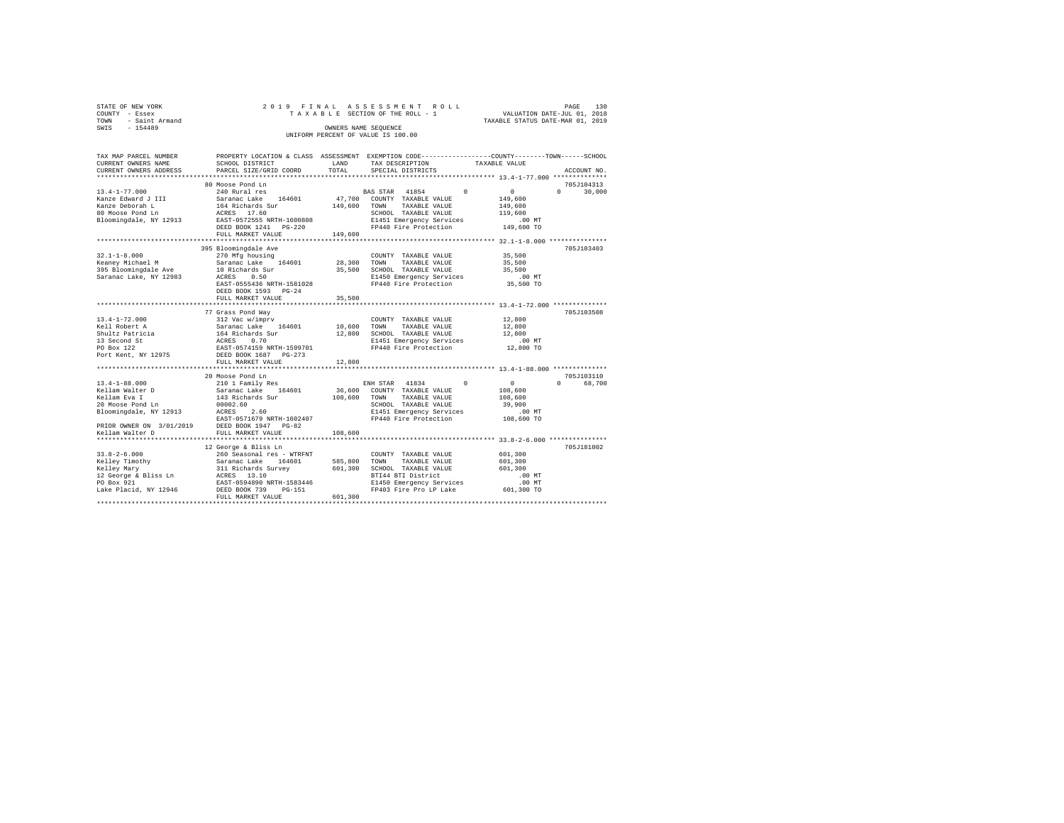| STATE OF NEW YORK   |  | 2019 FINAL ASSESSMENT ROLL         |                                  | PAGE | 130 |
|---------------------|--|------------------------------------|----------------------------------|------|-----|
| COUNTY - Essex      |  | TAXABLE SECTION OF THE ROLL - 1    | VALUATION DATE-JUL 01, 2018      |      |     |
| TOWN - Saint Armand |  |                                    | TAXABLE STATUS DATE-MAR 01, 2019 |      |     |
| SWIS<br>$-154489$   |  | OWNERS NAME SEOUENCE               |                                  |      |     |
|                     |  | UNIFORM PERCENT OF VALUE IS 100.00 |                                  |      |     |

| TAX MAP PARCEL NUMBER                                                                                                                                                                                    | PROPERTY LOCATION & CLASS ASSESSMENT EXEMPTION CODE---------------COUNTY-------TOWN-----SCHOOL                                                         | LAND         |                                                                     |                                                                   |                    |
|----------------------------------------------------------------------------------------------------------------------------------------------------------------------------------------------------------|--------------------------------------------------------------------------------------------------------------------------------------------------------|--------------|---------------------------------------------------------------------|-------------------------------------------------------------------|--------------------|
| CURRENT OWNERS NAME                                                                                                                                                                                      | SCHOOL DISTRICT                                                                                                                                        | TOTAL        | TAX DESCRIPTION                                                     | TAXABLE VALUE                                                     | ACCOUNT NO.        |
| CURRENT OWNERS ADDRESS                                                                                                                                                                                   | PARCEL SIZE/GRID COORD                                                                                                                                 |              | SPECIAL DISTRICTS                                                   |                                                                   |                    |
|                                                                                                                                                                                                          |                                                                                                                                                        |              |                                                                     |                                                                   |                    |
|                                                                                                                                                                                                          | 80 Moose Pond Ln                                                                                                                                       |              |                                                                     |                                                                   | 705J104313         |
| $13.4 - 1 - 77.000$                                                                                                                                                                                      | 240 Rural res                                                                                                                                          |              | <b>BAS STAR 41854</b>                                               | $\sim$<br>$\Omega$                                                | $\Omega$<br>30,000 |
|                                                                                                                                                                                                          |                                                                                                                                                        |              | 47,700 COUNTY TAXABLE VALUE                                         | 149,600                                                           |                    |
|                                                                                                                                                                                                          |                                                                                                                                                        | 149,600      | TOWN<br>TAXABLE VALUE                                               | 149,600                                                           |                    |
|                                                                                                                                                                                                          |                                                                                                                                                        |              | SCHOOL TAXABLE VALUE                                                | 119,600                                                           |                    |
| Example Report of Marian Care and Maria Saranac Lake 164601<br>164 Maria Deborah Lake 1646 Richards Sur<br>20 Moose Pond Ln 164 Richards 217.60<br>20 Moose Pond Ln 2013<br>20 RAST-0572555 NRTH-1600808 |                                                                                                                                                        |              | E1451 Emergency Services                                            | .00 MT                                                            |                    |
|                                                                                                                                                                                                          |                                                                                                                                                        |              | FP440 Fire Protection                                               | 149,600 TO                                                        |                    |
|                                                                                                                                                                                                          | FULL MARKET VALUE                                                                                                                                      | 149,600      |                                                                     |                                                                   |                    |
|                                                                                                                                                                                                          |                                                                                                                                                        |              |                                                                     |                                                                   |                    |
|                                                                                                                                                                                                          | 395 Bloomingdale Ave                                                                                                                                   |              |                                                                     |                                                                   | 705J103403         |
| $32.1 - 1 - 8.000$                                                                                                                                                                                       | 270 Mfg housing                                                                                                                                        |              | COUNTY TAXABLE VALUE                                                | 35,500                                                            |                    |
|                                                                                                                                                                                                          |                                                                                                                                                        | 28,300       | TOWN<br>TAXABLE VALUE                                               | 35,500                                                            |                    |
|                                                                                                                                                                                                          |                                                                                                                                                        | 35,500       | SCHOOL TAXABLE VALUE                                                | 35,500                                                            |                    |
|                                                                                                                                                                                                          |                                                                                                                                                        |              |                                                                     | $.00$ MT                                                          |                    |
|                                                                                                                                                                                                          | EAST-0555436 NRTH-1581028                                                                                                                              |              | E1450 Emergency Services<br>FP440 Fire Protection                   | 35,500 TO                                                         |                    |
|                                                                                                                                                                                                          |                                                                                                                                                        |              |                                                                     |                                                                   |                    |
|                                                                                                                                                                                                          | DEED BOOK 1593 PG-24                                                                                                                                   |              |                                                                     |                                                                   |                    |
|                                                                                                                                                                                                          | FULL MARKET VALUE                                                                                                                                      | 35,500       |                                                                     | **************************** 13.4-1-72.000 *************          |                    |
|                                                                                                                                                                                                          |                                                                                                                                                        |              |                                                                     |                                                                   |                    |
|                                                                                                                                                                                                          | 77 Grass Pond Way                                                                                                                                      |              |                                                                     |                                                                   | 705J103508         |
| $13.4 - 1 - 72.000$                                                                                                                                                                                      |                                                                                                                                                        |              | COUNTY TAXABLE VALUE                                                | 12,800                                                            |                    |
| Kell Robert A                                                                                                                                                                                            |                                                                                                                                                        |              | TOWN<br>TAXABLE VALUE                                               | 12,800                                                            |                    |
| Shultz Patricia                                                                                                                                                                                          | % 2012<br>212 Nac W/Impry<br>Saranac Lake 164601 10,600<br>164 Richards Sur 12,800<br>ACRES 0.70<br>BEST D574159 NRTH-1599701<br>DEED BOOK 1687 PG-273 |              | SCHOOL TAXABLE VALUE                                                | 12,800                                                            |                    |
|                                                                                                                                                                                                          |                                                                                                                                                        |              |                                                                     |                                                                   |                    |
| 13 Second St<br>PO Box 122<br>Port Kent, NY 12975                                                                                                                                                        |                                                                                                                                                        |              | E1451 Emergency Services .00 MT<br>FP440 Fire Protection  12,800 TO |                                                                   |                    |
|                                                                                                                                                                                                          |                                                                                                                                                        |              |                                                                     |                                                                   |                    |
|                                                                                                                                                                                                          | FULL MARKET VALUE                                                                                                                                      | 12,800       |                                                                     |                                                                   |                    |
|                                                                                                                                                                                                          | ***********************                                                                                                                                |              |                                                                     | ********************************** 13.4-1-88.000 **************** |                    |
|                                                                                                                                                                                                          | 20 Moose Pond Ln                                                                                                                                       |              |                                                                     |                                                                   | 705J103110         |
| 13.4-1-88.000                                                                                                                                                                                            | 210 1 Family Res                                                                                                                                       |              | ENH STAR 41834 0                                                    | $\sim$ 0                                                          | $\Omega$<br>68,700 |
| Kellam Walter D                                                                                                                                                                                          |                                                                                                                                                        |              | 36,600 COUNTY TAXABLE VALUE                                         | 108,600                                                           |                    |
| Kellam Eva I                                                                                                                                                                                             | Saranac Lake 164601<br>143 Richards Sur                                                                                                                | 108,600 TOWN | TAXABLE VALUE                                                       | 108,600                                                           |                    |
|                                                                                                                                                                                                          |                                                                                                                                                        |              |                                                                     |                                                                   |                    |
| 20 Moose Pond Ln                                                                                                                                                                                         | 00002.60<br>ACRES<br>2.60                                                                                                                              |              | SCHOOL TAXABLE VALUE                                                | 39,900                                                            |                    |
| Bloomingdale, NY 12913                                                                                                                                                                                   |                                                                                                                                                        |              | E1451 Emergency Services                                            | $.00$ MT                                                          |                    |
| EAST-0571679 NRTH-1602407<br>PRIOR OWNER ON 3/01/2019 DEED BOOK 1947 PG-82                                                                                                                               |                                                                                                                                                        |              | FP440 Fire Protection 108,600 TO                                    |                                                                   |                    |
|                                                                                                                                                                                                          |                                                                                                                                                        |              |                                                                     |                                                                   |                    |
| Kellam Walter D                                                                                                                                                                                          | FULL MARKET VALUE                                                                                                                                      | 108,600      |                                                                     |                                                                   |                    |
|                                                                                                                                                                                                          |                                                                                                                                                        |              |                                                                     |                                                                   |                    |
|                                                                                                                                                                                                          | 12 George & Bliss Ln                                                                                                                                   |              |                                                                     |                                                                   | 705J181002         |
|                                                                                                                                                                                                          |                                                                                                                                                        |              | COUNTY TAXABLE VALUE                                                | 601,300                                                           |                    |
|                                                                                                                                                                                                          |                                                                                                                                                        | 585,800      | TOWN<br>TAXABLE VALUE                                               | 601,300                                                           |                    |
|                                                                                                                                                                                                          |                                                                                                                                                        | 601,300      | SCHOOL TAXABLE VALUE                                                | 601,300                                                           |                    |
|                                                                                                                                                                                                          |                                                                                                                                                        |              | BTI44 BTI District                                                  | .00 MT                                                            |                    |
|                                                                                                                                                                                                          |                                                                                                                                                        |              | E1450 Emergency Services                                            | .00 MT                                                            |                    |
| Lake Placid, NY 12946 DEED BOOK 739                                                                                                                                                                      | $PG-151$                                                                                                                                               |              | FP403 Fire Pro LP Lake 601,300 TO                                   |                                                                   |                    |
|                                                                                                                                                                                                          | FULL MARKET VALUE                                                                                                                                      | 601,300      |                                                                     |                                                                   |                    |
|                                                                                                                                                                                                          |                                                                                                                                                        |              |                                                                     |                                                                   |                    |
|                                                                                                                                                                                                          |                                                                                                                                                        |              |                                                                     |                                                                   |                    |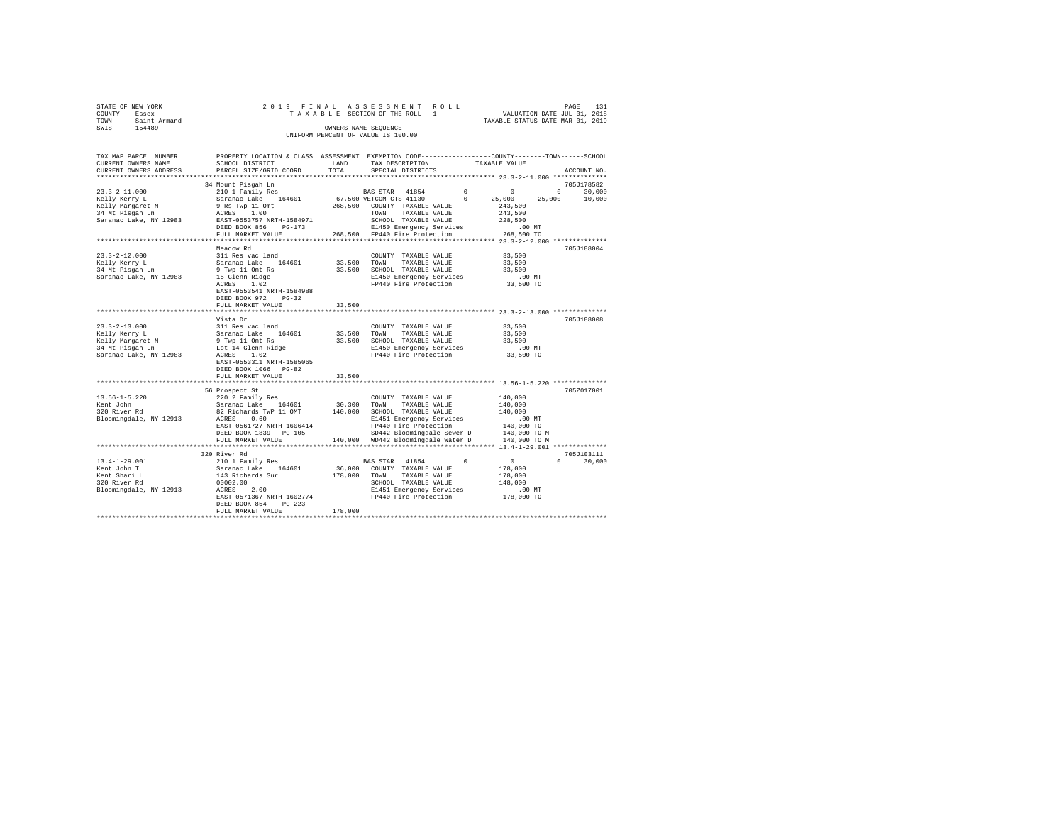|      | STATE OF NEW YORK |  |  |  | 2019 FINAL ASSESSMENT ROLL         |  |  |  |  | 131<br>PAGE                      |
|------|-------------------|--|--|--|------------------------------------|--|--|--|--|----------------------------------|
|      | COUNTY - Essex    |  |  |  | TAXABLE SECTION OF THE ROLL - 1    |  |  |  |  | VALUATION DATE-JUL 01, 2018      |
| TOWN | - Saint Armand    |  |  |  |                                    |  |  |  |  | TAXABLE STATUS DATE-MAR 01, 2019 |
| SWIS | $-154489$         |  |  |  | OWNERS NAME SEOUENCE               |  |  |  |  |                                  |
|      |                   |  |  |  | UNIFORM PERCENT OF VALUE IS 100.00 |  |  |  |  |                                  |

| TAX MAP PARCEL NUMBER<br>CURRENT OWNERS NAME | PROPERTY LOCATION & CLASS ASSESSMENT EXEMPTION CODE----------------COUNTY-------TOWN-----SCHOOL<br>SCHOOL DISTRICT | LAND        | TAX DESCRIPTION                    |          | TAXABLE VALUE    |                    |
|----------------------------------------------|--------------------------------------------------------------------------------------------------------------------|-------------|------------------------------------|----------|------------------|--------------------|
| CURRENT OWNERS ADDRESS                       | PARCEL SIZE/GRID COORD                                                                                             | TOTAL       | SPECIAL DISTRICTS                  |          |                  | ACCOUNT NO.        |
|                                              | 34 Mount Pisgah Ln                                                                                                 |             |                                    |          |                  | 705J178582         |
| $23.3 - 2 - 11.000$                          |                                                                                                                    |             | BAS STAR 41854                     | $\circ$  | $\circ$          | $\circ$<br>30,000  |
| Kelly Kerry L                                | 210 1 Family Res<br>Saranac Lake    164601                                                                         |             | 67,500 VETCOM CTS 41130            | $\sim$ 0 | 25,000<br>25,000 | 10,000             |
| Kelly Margaret M                             | 9 Rs Twp 11 Omt                                                                                                    |             | 268,500 COUNTY TAXABLE VALUE       |          | 243,500          |                    |
| 34 Mt Pisgah Ln                              | 1.00<br>ACRES                                                                                                      |             | TOWN<br>TAXABLE VALUE              |          | 243,500          |                    |
| Saranac Lake, NY 12983                       | EAST-0553757 NRTH-1584971                                                                                          |             | SCHOOL TAXABLE VALUE               |          | 228,500          |                    |
|                                              | DEED BOOK 856<br>PG-173                                                                                            |             | E1450 Emergency Services           |          | .00 MT           |                    |
|                                              | FULL MARKET VALUE                                                                                                  |             | 268,500 FP440 Fire Protection      |          | 268,500 TO       |                    |
|                                              |                                                                                                                    |             |                                    |          |                  |                    |
|                                              | Meadow Rd                                                                                                          |             |                                    |          |                  | 705J188004         |
| $23.3 - 2 - 12.000$                          | 311 Res vac land                                                                                                   |             | COUNTY TAXABLE VALUE               |          | 33,500           |                    |
| Kelly Kerry L                                | Saranac Lake 164601                                                                                                | 33,500 TOWN | TAXABLE VALUE                      |          | 33,500           |                    |
| 34 Mt Pisqah Ln                              | 9 Twp 11 Omt Rs                                                                                                    |             | 33,500 SCHOOL TAXABLE VALUE        |          | 33,500           |                    |
| Saranac Lake, NY 12983                       | 15 Glenn Ridge                                                                                                     |             | E1450 Emergency Services           |          | .00MT            |                    |
|                                              | ACRES 1.02                                                                                                         |             | FP440 Fire Protection              |          | 33,500 TO        |                    |
|                                              | EAST-0553541 NRTH-1584988                                                                                          |             |                                    |          |                  |                    |
|                                              | DEED BOOK 972<br>$PG-32$                                                                                           |             |                                    |          |                  |                    |
|                                              | FULL MARKET VALUE                                                                                                  | 33,500      |                                    |          |                  |                    |
|                                              |                                                                                                                    |             |                                    |          |                  |                    |
|                                              | Vista Dr                                                                                                           |             |                                    |          |                  | 705J188008         |
| $23.3 - 2 - 13.000$                          | 311 Res vac land                                                                                                   |             | COUNTY TAXABLE VALUE               |          | 33,500           |                    |
| Kelly Kerry L                                | Saranac Lake 164601                                                                                                | 33,500 TOWN | TAXABLE VALUE                      |          | 33,500           |                    |
| Kelly Margaret M                             | 9 Twp 11 Omt Rs                                                                                                    | 33,500      | SCHOOL TAXABLE VALUE               |          | 33,500           |                    |
| 34 Mt Pisgah Ln                              | Lot 14 Glenn Ridge                                                                                                 |             | E1450 Emergency Services           |          | $.00$ MT         |                    |
| Saranac Lake, NY 12983                       | ACRES 1.02                                                                                                         |             | FP440 Fire Protection              |          | 33,500 TO        |                    |
|                                              | EAST-0553311 NRTH-1585065                                                                                          |             |                                    |          |                  |                    |
|                                              | DEED BOOK 1066 PG-82                                                                                               |             |                                    |          |                  |                    |
|                                              | FULL MARKET VALUE                                                                                                  | 33,500      |                                    |          |                  |                    |
|                                              |                                                                                                                    |             |                                    |          |                  |                    |
|                                              | 56 Prospect St                                                                                                     |             |                                    |          |                  | 705Z017001         |
| $13.56 - 1 - 5.220$                          | 220 2 Family Res                                                                                                   |             | COUNTY TAXABLE VALUE               |          | 140,000          |                    |
| Kent John                                    | Saranac Lake 164601<br>82 Richards TWP 11 OMT                                                                      | 30,300      | TOWN<br>TAXABLE VALUE              |          | 140,000          |                    |
| Rent John<br>320 River Rd                    |                                                                                                                    | 140,000     | SCHOOL TAXABLE VALUE               |          | 140,000          |                    |
| Bloomingdale, NY 12913                       | ACRES 0.60                                                                                                         |             | E1451 Emergency Services           |          | $.00$ MT         |                    |
|                                              | EAST-0561727 NRTH-1606414                                                                                          |             | FP440 Fire Protection              |          | 140,000 TO       |                    |
|                                              | DEED BOOK 1839 PG-105                                                                                              |             | SD442 Bloomingdale Sewer D         |          | 140,000 TO M     |                    |
|                                              | FULL MARKET VALUE                                                                                                  |             | 140,000 WD442 Bloomingdale Water D |          | 140,000 TO M     |                    |
|                                              |                                                                                                                    |             |                                    |          |                  |                    |
|                                              | 320 River Rd                                                                                                       |             |                                    |          |                  | 705J103111         |
| $13.4 - 1 - 29.001$                          | 210 1 Family Res                                                                                                   |             | BAS STAR 41854                     | $\circ$  | $\sim$ 0         | 30,000<br>$\Omega$ |
| Kent John T                                  | 164601                                                                                                             | 36,000      | COUNTY TAXABLE VALUE               |          | 178,000          |                    |
| Kent Shari L                                 | Saranac Lake 1646<br>143 Richards Sur                                                                              | 178,000     | TOWN TAXABLE VALUE                 |          | 178,000          |                    |
| 320 River Rd                                 | 00002.00                                                                                                           |             | SCHOOL TAXABLE VALUE               |          | 148,000          |                    |
| Bloomingdale, NY 12913                       | $ACRES$ 2.00                                                                                                       |             | E1451 Emergency Services           |          | $.00$ MT         |                    |
|                                              | EAST-0571367 NRTH-1602774                                                                                          |             | FP440 Fire Protection              |          | 178,000 TO       |                    |
|                                              | DEED BOOK 854<br>$PG-223$                                                                                          |             |                                    |          |                  |                    |
|                                              | FULL MARKET VALUE                                                                                                  | 178,000     |                                    |          |                  |                    |
|                                              |                                                                                                                    |             |                                    |          |                  |                    |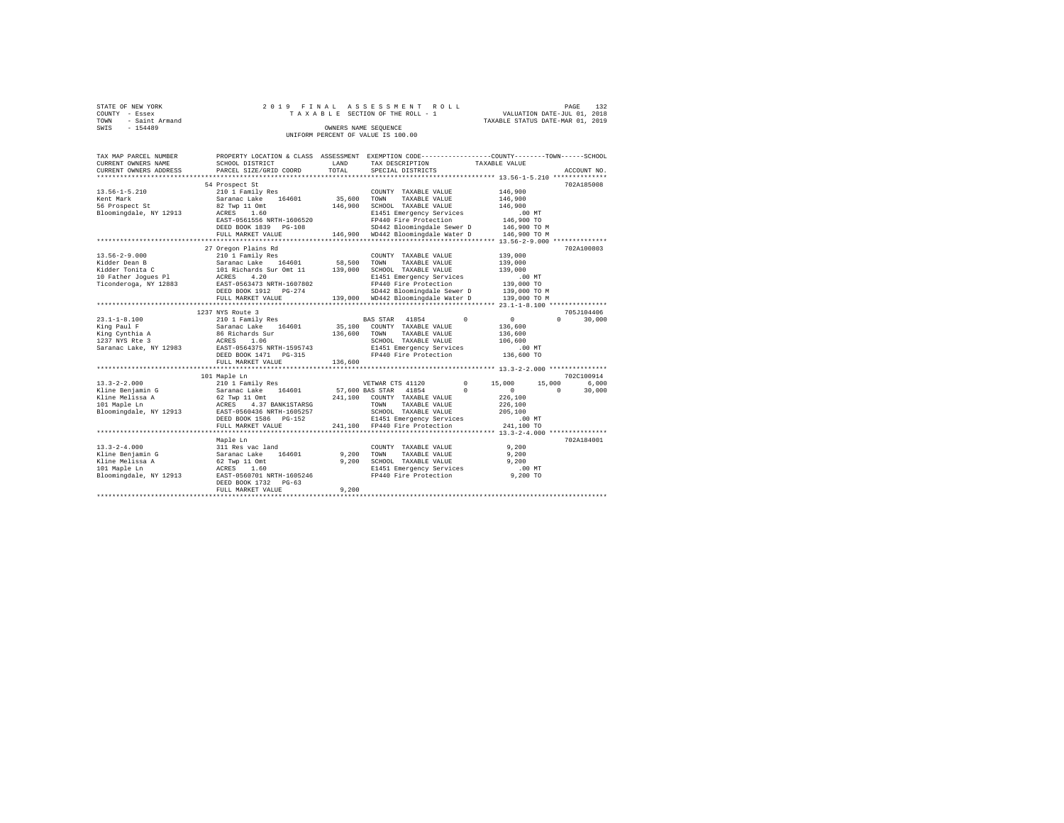|                | STATE OF NEW YORK |  |  |  | 2019 FINAL ASSESSMENT ROLL         |  |  |  |  |                                  |                             | PAGE | 132 |
|----------------|-------------------|--|--|--|------------------------------------|--|--|--|--|----------------------------------|-----------------------------|------|-----|
| COUNTY - Essex |                   |  |  |  | TAXABLE SECTION OF THE ROLL - 1    |  |  |  |  |                                  | VALUATION DATE-JUL 01, 2018 |      |     |
| TOWN           | - Saint Armand    |  |  |  |                                    |  |  |  |  | TAXABLE STATUS DATE-MAR 01, 2019 |                             |      |     |
| SWIS           | $-154489$         |  |  |  | OWNERS NAME SEOUENCE               |  |  |  |  |                                  |                             |      |     |
|                |                   |  |  |  | UNIFORM PERCENT OF VALUE IS 100.00 |  |  |  |  |                                  |                             |      |     |

| TAX MAP PARCEL NUMBER<br>CURRENT OWNERS NAME<br>CURRENT OWNERS ADDRESS | SCHOOL DISTRICT<br>PARCEL SIZE/GRID COORD | LAND<br>TOTAL | PROPERTY LOCATION & CLASS ASSESSMENT EXEMPTION CODE----------------COUNTY-------TOWN------SCHOOL<br>TAX DESCRIPTION<br>SPECIAL DISTRICTS | TAXABLE VALUE    | ACCOUNT NO.        |
|------------------------------------------------------------------------|-------------------------------------------|---------------|------------------------------------------------------------------------------------------------------------------------------------------|------------------|--------------------|
|                                                                        |                                           |               |                                                                                                                                          |                  |                    |
|                                                                        | 54 Prospect St                            |               |                                                                                                                                          |                  | 702A185008         |
| $13.56 - 1 - 5.210$                                                    | 210 1 Family Res                          |               | COUNTY TAXABLE VALUE                                                                                                                     | 146,900          |                    |
| Kent Mark                                                              | 164601<br>Saranac Lake                    | 35,600        | TOWN<br>TAXABLE VALUE                                                                                                                    | 146,900          |                    |
| 56 Prospect St                                                         | 82 Twp 11 Omt                             | 146,900       | SCHOOL TAXABLE VALUE                                                                                                                     | 146,900          |                    |
| Bloomingdale, NY 12913                                                 | ACRES<br>1.60                             |               | E1451 Emergency Services                                                                                                                 | .00MT            |                    |
|                                                                        | EAST-0561556 NRTH-1606520                 |               | FP440 Fire Protection                                                                                                                    | 146,900 TO       |                    |
|                                                                        | DEED BOOK 1839 PG-108                     |               | SD442 Bloomingdale Sewer D                                                                                                               | 146,900 TO M     |                    |
|                                                                        | FULL MARKET VALUE                         |               | 146,900 WD442 Bloomingdale Water D                                                                                                       | 146,900 TO M     |                    |
|                                                                        |                                           |               |                                                                                                                                          |                  |                    |
|                                                                        | 27 Oregon Plains Rd                       |               |                                                                                                                                          |                  | 702A100803         |
| $13.56 - 2 - 9.000$                                                    | 210 1 Family Res                          |               | COUNTY TAXABLE VALUE                                                                                                                     | 139,000          |                    |
| Kidder Dean B                                                          | Saranac Lake 164601                       | 58,500 TOWN   | TAXABLE VALUE                                                                                                                            | 139,000          |                    |
| Kidder Tonita C                                                        | 101 Richards Sur Omt 11                   | 139,000       | SCHOOL TAXABLE VALUE                                                                                                                     | 139,000          |                    |
| 10 Father Joques Pl                                                    | ACRES<br>4.20                             |               | E1451 Emergency Services                                                                                                                 | .00MT            |                    |
| Ticonderoga, NY 12883                                                  | EAST-0563473 NRTH-1607802                 |               | FP440 Fire Protection                                                                                                                    | 139,000 TO       |                    |
|                                                                        | DEED BOOK 1912 PG-274                     |               | SD442 Bloomingdale Sewer D                                                                                                               | 139,000 TO M     |                    |
|                                                                        | FULL MARKET VALUE                         |               | 139,000 WD442 Bloomingdale Water D                                                                                                       | 139,000 TO M     |                    |
|                                                                        |                                           |               |                                                                                                                                          |                  |                    |
|                                                                        | 1237 NYS Route 3                          |               |                                                                                                                                          |                  | 705J104406         |
| $23.1 - 1 - 8.100$                                                     | 210 1 Family Res                          |               | 41854<br>$\Omega$<br>BAS STAR                                                                                                            | $\circ$          | $\Omega$<br>30,000 |
| King Paul F                                                            | Saranac Lake 164601                       | 35,100        | COUNTY TAXABLE VALUE                                                                                                                     | 136,600          |                    |
| King Cynthia A                                                         | 86 Richards Sur                           | 136,600       | TAXABLE VALUE<br>TOWN                                                                                                                    | 136,600          |                    |
| 1237 NYS Rte 3                                                         | 1.06<br>ACRES                             |               | SCHOOL TAXABLE VALUE                                                                                                                     | 106,600          |                    |
| Saranac Lake, NY 12983                                                 | EAST-0564375 NRTH-1595743                 |               | E1451 Emergency Services                                                                                                                 | .00 MT           |                    |
|                                                                        | DEED BOOK 1471 PG-315                     |               | FP440 Fire Protection                                                                                                                    | 136,600 TO       |                    |
|                                                                        | FULL MARKET VALUE                         | 136,600       |                                                                                                                                          |                  |                    |
|                                                                        |                                           |               |                                                                                                                                          |                  |                    |
|                                                                        | 101 Maple Ln                              |               |                                                                                                                                          |                  | 702C100914         |
| $13.3 - 2 - 2.000$                                                     | 210 1 Family Res                          |               | $^{\circ}$<br>VETWAR CTS 41120                                                                                                           | 15,000<br>15,000 | 6,000              |
| Kline Benjamin G                                                       | Saranac Lake<br>164601                    |               | 57,600 BAS STAR 41854<br>$\Omega$                                                                                                        | $\sim$ 0         | 30,000<br>$\Omega$ |
| Kline Melissa A                                                        | 62 Twp 11 Omt                             |               | 241,100 COUNTY TAXABLE VALUE                                                                                                             | 226,100          |                    |
| 101 Maple Ln                                                           | 4.37 BANK1STARSG<br>ACRES                 |               | TOWN<br>TAXABLE VALUE                                                                                                                    | 226,100          |                    |
| Bloomingdale, NY 12913                                                 | EAST-0560436 NRTH-1605257                 |               | SCHOOL TAXABLE VALUE                                                                                                                     | 205,100          |                    |
|                                                                        | DEED BOOK 1586 PG-152                     |               | E1451 Emergency Services                                                                                                                 | .00MT            |                    |
|                                                                        | FULL MARKET VALUE                         |               | 241,100 FP440 Fire Protection                                                                                                            | 241,100 TO       |                    |
|                                                                        |                                           |               |                                                                                                                                          |                  |                    |
|                                                                        | Maple Ln                                  |               |                                                                                                                                          |                  | 702A184001         |
| $13.3 - 2 - 4.000$                                                     | 311 Res vac land                          |               | COUNTY TAXABLE VALUE                                                                                                                     | 9.200            |                    |
| Kline Benjamin G                                                       | Saranac Lake<br>164601                    | 9.200         | TAXABLE VALUE<br>TOWN                                                                                                                    | 9,200            |                    |
| Kline Melissa A                                                        | 62 Twp 11 Omt                             | 9.200         | SCHOOL TAXABLE VALUE                                                                                                                     | 9.200            |                    |
| 101 Maple Ln                                                           | 1.60<br>ACRES                             |               | E1451 Emergency Services                                                                                                                 | $.00$ MT         |                    |
| Bloomingdale, NY 12913                                                 | EAST-0560701 NRTH-1605246                 |               | FP440 Fire Protection                                                                                                                    | 9,200 TO         |                    |
|                                                                        | DEED BOOK 1732 PG-63                      |               |                                                                                                                                          |                  |                    |
|                                                                        | FULL MARKET VALUE                         | 9.200         |                                                                                                                                          |                  |                    |
|                                                                        |                                           |               |                                                                                                                                          |                  |                    |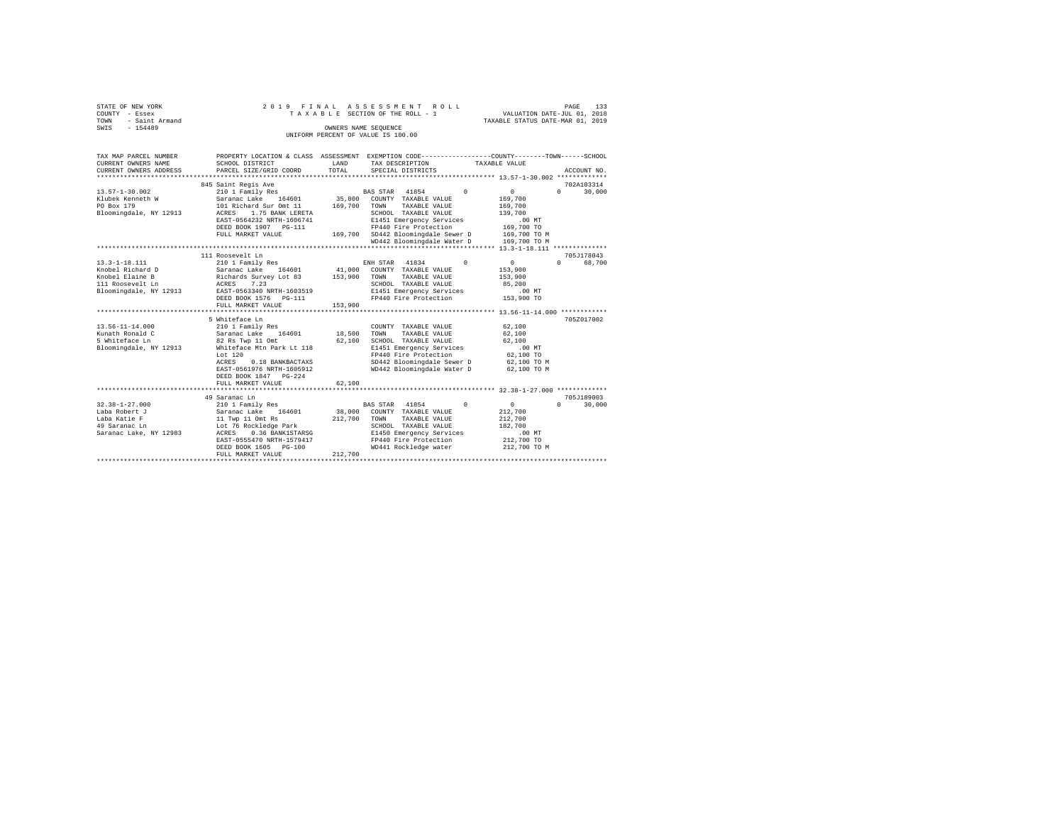| STATE OF NEW YORK     |           |                        |                           |  |  |       |            | 2019 FINAL ASSESSMENT ROLL         |  |                   |  |  |                                                              | PAGE          | 133                  |
|-----------------------|-----------|------------------------|---------------------------|--|--|-------|------------|------------------------------------|--|-------------------|--|--|--------------------------------------------------------------|---------------|----------------------|
| COUNTY - Essex        |           |                        |                           |  |  |       |            | TAXABLE SECTION OF THE ROLL - 1    |  |                   |  |  | VALUATION DATE-JUL 01, 2018                                  |               |                      |
| TOWN                  |           | - Saint Armand         |                           |  |  |       |            |                                    |  |                   |  |  | TAXABLE STATUS DATE-MAR 01, 2019                             |               |                      |
| SWIS                  | $-154489$ |                        |                           |  |  |       |            | OWNERS NAME SEOUENCE               |  |                   |  |  |                                                              |               |                      |
|                       |           |                        |                           |  |  |       |            | UNIFORM PERCENT OF VALUE IS 100.00 |  |                   |  |  |                                                              |               |                      |
|                       |           |                        |                           |  |  |       |            |                                    |  |                   |  |  |                                                              |               |                      |
|                       |           |                        |                           |  |  |       |            |                                    |  |                   |  |  |                                                              |               |                      |
| TAX MAP PARCEL NUMBER |           |                        | PROPERTY LOCATION & CLASS |  |  |       | ASSESSMENT |                                    |  |                   |  |  | EXEMPTION CODE-----------------COUNTY-------TOWN------SCHOOL |               |                      |
| CURRENT OWNERS NAME   |           |                        | SCHOOL DISTRICT           |  |  |       | LAND       |                                    |  | TAX DESCRIPTION   |  |  | TAXABLE VALUE                                                |               |                      |
|                       |           | CURRENT OWNERS ADDRESS | PARCEL SIZE/GRID COORD    |  |  | TOTAL |            |                                    |  | SPECIAL DISTRICTS |  |  |                                                              |               | ACCOUNT NO.          |
|                       |           |                        |                           |  |  |       |            |                                    |  |                   |  |  |                                                              | ************* |                      |
|                       |           |                        | 845 Saint Regis Ave       |  |  |       |            |                                    |  |                   |  |  |                                                              |               | 702A103314           |
| .                     |           |                        |                           |  |  |       |            |                                    |  |                   |  |  |                                                              |               | $\sim$ $\sim$ $\sim$ |

| $13.57 - 1 - 30.002$   | 210 1 Family Res          |         | 41854<br>$\Omega$<br><b>BAS STAR</b> | $\Omega$                                         | 30,000<br>$\Omega$ |
|------------------------|---------------------------|---------|--------------------------------------|--------------------------------------------------|--------------------|
| Klubek Kenneth W       | Saranac Lake<br>164601    | 35,800  | COUNTY TAXABLE VALUE                 | 169,700                                          |                    |
| PO Box 179             | 101 Richard Sur Omt 11    | 169,700 | TOWN<br>TAXABLE VALUE                | 169,700                                          |                    |
| Bloomingdale, NY 12913 | 1.75 BANK LERETA<br>ACRES |         | SCHOOL TAXABLE VALUE                 | 139,700                                          |                    |
|                        | EAST-0564232 NRTH-1606741 |         | E1451 Emergency Services             | $.00$ MT                                         |                    |
|                        | DEED BOOK 1907 PG-111     |         | FP440 Fire Protection                | 169,700 TO                                       |                    |
|                        | FULL MARKET VALUE         | 169,700 | SD442 Bloomingdale Sewer D           | 169,700 TO M                                     |                    |
|                        |                           |         | WD442 Bloomingdale Water D           | 169,700 TO M                                     |                    |
|                        |                           |         |                                      |                                                  |                    |
|                        | 111 Roosevelt Ln          |         |                                      |                                                  | 705J178043         |
| $13.3 - 1 - 18.111$    | 210 1 Family Res          |         | ENH STAR<br>41834<br>$\Omega$        | $\circ$                                          | $\Omega$<br>68,700 |
| Knobel Richard D       | Saranac Lake<br>164601    | 41,000  | COUNTY TAXABLE VALUE                 | 153,900                                          |                    |
| Knobel Elaine B        | Richards Survey Lot 83    | 153,900 | TAXABLE VALUE<br>TOWN                | 153,900                                          |                    |
| 111 Roosevelt Ln       | 7.23<br>ACRES             |         | SCHOOL TAXABLE VALUE                 | 85,200                                           |                    |
| Bloomingdale, NY 12913 | EAST-0563340 NRTH-1603519 |         | E1451 Emergency Services             | .00MT                                            |                    |
|                        | DEED BOOK 1576   PG-111   |         | FP440 Fire Protection                | 153,900 TO                                       |                    |
|                        | FULL MARKET VALUE         | 153,900 |                                      |                                                  |                    |
|                        |                           |         |                                      | ******************* 13.56-11-14.000 ************ |                    |
|                        | 5 Whiteface Ln            |         |                                      |                                                  | 705Z017002         |
| $13.56 - 11 - 14.000$  | 210 1 Family Res          |         | COUNTY TAXABLE VALUE                 | 62,100                                           |                    |
| Kunath Ronald C        | Saranac Lake<br>164601    | 18,500  | TOWN<br>TAXABLE VALUE                | 62,100                                           |                    |
| 5 Whiteface Ln         | 82 Rs Twp 11 Omt          | 62,100  | SCHOOL TAXABLE VALUE                 | 62,100                                           |                    |
| Bloomingdale, NY 12913 | Whiteface Mtn Park Lt 118 |         | E1451 Emergency Services             | $.00$ MT                                         |                    |
|                        | Lot 120                   |         | FP440 Fire Protection                | 62,100 TO                                        |                    |
|                        | 0.18 BANKBACTAXS<br>ACRES |         | SD442 Bloomingdale Sewer D           | 62,100 TO M                                      |                    |
|                        | EAST-0561976 NRTH-1605912 |         | WD442 Bloomingdale Water D           | 62,100 TO M                                      |                    |
|                        | DEED BOOK 1847 PG-224     |         |                                      |                                                  |                    |
|                        | FULL MARKET VALUE         | 62,100  |                                      |                                                  |                    |
|                        | ************************* |         |                                      |                                                  |                    |
|                        | 49 Saranac Ln             |         |                                      |                                                  | 705J189003         |
| $32.38 - 1 - 27.000$   | 210 1 Family Res          |         | BAS STAR<br>41854<br>$^{\circ}$      | $\circ$                                          | 0<br>30,000        |
| Laba Robert J          | Saranac Lake<br>164601    | 38,000  | COUNTY TAXABLE VALUE                 | 212,700                                          |                    |
| Laba Katie F           | 11 Twp 11 Omt Rs          | 212,700 | TOWN<br>TAXABLE VALUE                | 212,700                                          |                    |
| 49 Saranac Ln          | Lot 76 Rockledge Park     |         | SCHOOL TAXABLE VALUE                 | 182,700                                          |                    |
| Saranac Lake, NY 12983 | ACRES<br>0.36 BANK1STARSG |         | E1450 Emergency Services             | $.00$ MT                                         |                    |
|                        | EAST-0555470 NRTH-1579417 |         | FP440 Fire Protection                | 212,700 TO                                       |                    |
|                        | DEED BOOK 1605 PG-100     |         | WD441 Rockledge water                | 212,700 TO M                                     |                    |
|                        | FULL MARKET VALUE         | 212,700 |                                      |                                                  |                    |
|                        | **********************    |         |                                      |                                                  |                    |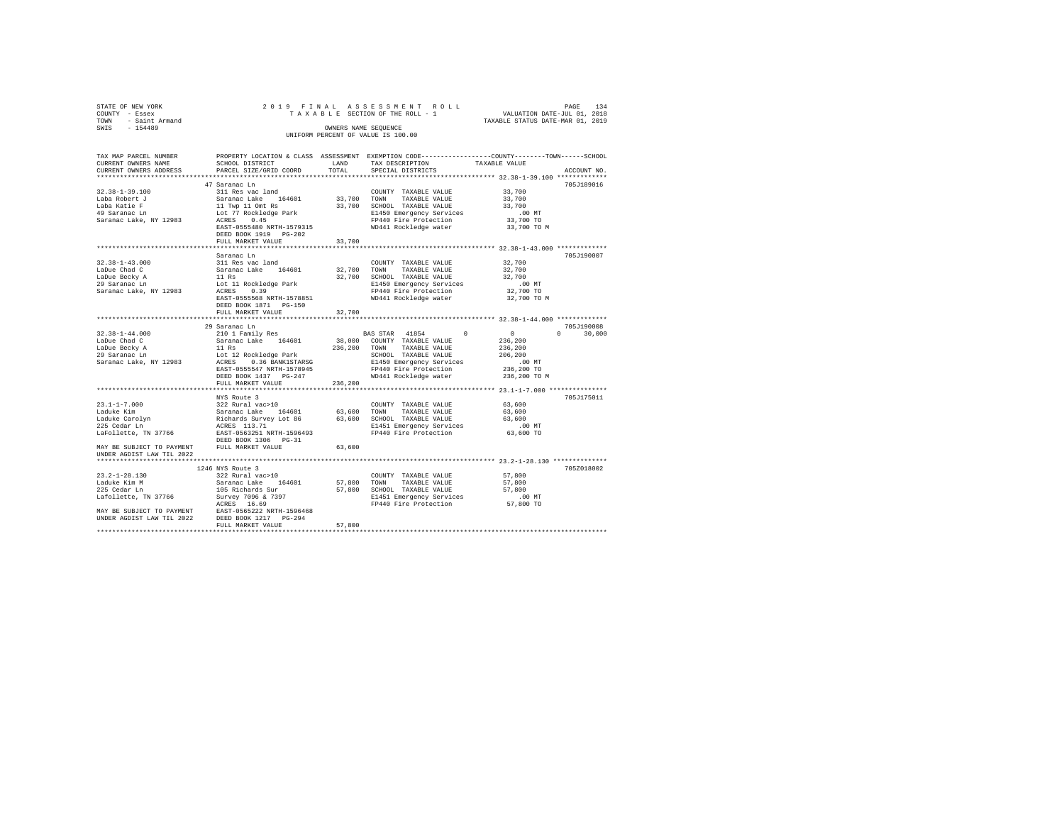| STATE OF NEW YORK |                     |  |  |  | 2019 FINAL ASSESSMENT ROLL         |  |  |  |  |  |  |                                  |  | PAGE | 134 |
|-------------------|---------------------|--|--|--|------------------------------------|--|--|--|--|--|--|----------------------------------|--|------|-----|
| COUNTY - Essex    |                     |  |  |  | TAXABLE SECTION OF THE ROLL - 1    |  |  |  |  |  |  | VALUATION DATE-JUL 01, 2018      |  |      |     |
|                   | TOWN - Saint Armand |  |  |  |                                    |  |  |  |  |  |  | TAXABLE STATUS DATE-MAR 01, 2019 |  |      |     |
| SWIS              | $-154489$           |  |  |  | OWNERS NAME SEOUENCE               |  |  |  |  |  |  |                                  |  |      |     |
|                   |                     |  |  |  | UNIFORM PERCENT OF VALUE IS 100.00 |  |  |  |  |  |  |                                  |  |      |     |

| TAX MAP PARCEL NUMBER<br>CURRENT OWNERS NAME                                                                                                                                                                                | PROPERTY LOCATION & CLASS ASSESSMENT EXEMPTION CODE----------------COUNTY-------TOWN-----SCHOOL<br>SCHOOL DISTRICT | LAND        | TAX DESCRIPTION             | TAXABLE VALUE                                                   |                                 |
|-----------------------------------------------------------------------------------------------------------------------------------------------------------------------------------------------------------------------------|--------------------------------------------------------------------------------------------------------------------|-------------|-----------------------------|-----------------------------------------------------------------|---------------------------------|
| CURRENT OWNERS ADDRESS                                                                                                                                                                                                      | PARCEL SIZE/GRID COORD                                                                                             | TOTAL.      | SPECIAL DISTRICTS           |                                                                 | ACCOUNT NO.                     |
|                                                                                                                                                                                                                             |                                                                                                                    |             |                             |                                                                 |                                 |
|                                                                                                                                                                                                                             | 47 Saranac Ln                                                                                                      |             |                             |                                                                 | 705J189016                      |
| $32.38 - 1 - 39.100$                                                                                                                                                                                                        | 311 Res vac land                                                                                                   |             | COUNTY TAXABLE VALUE        | 33,700                                                          |                                 |
| Laba Robert J                                                                                                                                                                                                               | Saranac Lake 164601<br>11 Twp 11 Omt Rs<br>Lot 77 Rockledge Park<br>ACRES 0.45                                     | 33,700 TOWN | TAXABLE VALUE               | 33,700                                                          |                                 |
| Laba Katie F                                                                                                                                                                                                                |                                                                                                                    |             | 33,700 SCHOOL TAXABLE VALUE | 33,700                                                          |                                 |
| 49 Saranac Ln                                                                                                                                                                                                               | ACRES 0.45                                                                                                         |             | E1450 Emergency Services    | $.00$ MT                                                        |                                 |
| Saranac Lake, NY 12983                                                                                                                                                                                                      |                                                                                                                    |             | FP440 Fire Protection       | 33,700 TO                                                       |                                 |
|                                                                                                                                                                                                                             | EAST-0555480 NRTH-1579315<br>DEED BOOK 1919 PG-202                                                                 |             | WD441 Rockledge water       | 33,700 TO M                                                     |                                 |
|                                                                                                                                                                                                                             | FULL MARKET VALUE                                                                                                  | 33,700      |                             |                                                                 |                                 |
|                                                                                                                                                                                                                             |                                                                                                                    |             |                             |                                                                 |                                 |
| $32.38 - 1 - 43.000$                                                                                                                                                                                                        | Saranac Ln                                                                                                         |             |                             |                                                                 | 705J190007                      |
|                                                                                                                                                                                                                             | 311 Res vac land                                                                                                   |             | COUNTY TAXABLE VALUE        | 32,700                                                          |                                 |
| LaDue Chad C                                                                                                                                                                                                                | Saranac Lake 164601                                                                                                | 32,700 TOWN | TAXABLE VALUE               | 32,700                                                          |                                 |
| LaDue Becky A                                                                                                                                                                                                               | 11 Rs                                                                                                              |             | 32,700 SCHOOL TAXABLE VALUE | 32,700                                                          |                                 |
| 29 Saranac Ln                                                                                                                                                                                                               | Lot 11 Rockledge Park                                                                                              |             | E1450 Emergency Services    | .00 MT                                                          |                                 |
| Saranac Lake, NY 12983                                                                                                                                                                                                      | ACRES 0.39                                                                                                         |             | FP440 Fire Protection       | 32,700 TO                                                       |                                 |
|                                                                                                                                                                                                                             | EAST-0555568 NRTH-1578851                                                                                          |             | WD441 Rockledge water       | 32,700 TO M                                                     |                                 |
|                                                                                                                                                                                                                             | DEED BOOK 1871 PG-150                                                                                              |             |                             |                                                                 |                                 |
|                                                                                                                                                                                                                             | FULL MARKET VALUE<br>**********************                                                                        | 32,700      |                             | ********************************* 32.38-1-44.000 ************** |                                 |
|                                                                                                                                                                                                                             | 29 Saranac Ln                                                                                                      |             |                             |                                                                 | 705J190008                      |
| $32.38 - 1 - 44.000$                                                                                                                                                                                                        | 210 1 Family Res                                                                                                   |             | BAS STAR 41854              | $\sim$ 0<br>$\Omega$                                            | $\Omega$ and $\Omega$<br>30,000 |
| LaDue Chad C                                                                                                                                                                                                                | Saranac Lake 164601                                                                                                |             | 38,000 COUNTY TAXABLE VALUE | 236,200                                                         |                                 |
| LaDue Becky A                                                                                                                                                                                                               | 11 Rs                                                                                                              |             | 236,200 TOWN TAXABLE VALUE  | 236,200                                                         |                                 |
| 29 Saranac Ln                                                                                                                                                                                                               | Lot 12 Rockledge Park                                                                                              |             | SCHOOL TAXABLE VALUE        | 206,200                                                         |                                 |
| Saranac Lake, NY 12983                                                                                                                                                                                                      | ACRES 0.36 BANK1STARSG                                                                                             |             | E1450 Emergency Services    | .00 MT                                                          |                                 |
|                                                                                                                                                                                                                             | EAST-0555547 NRTH-1578945                                                                                          |             | FP440 Fire Protection       | 236,200 TO                                                      |                                 |
|                                                                                                                                                                                                                             | DEED BOOK 1437 PG-247                                                                                              |             | WD441 Rockledge water       | 236,200 TO M                                                    |                                 |
|                                                                                                                                                                                                                             | FULL MARKET VALUE                                                                                                  | 236,200     |                             |                                                                 |                                 |
|                                                                                                                                                                                                                             |                                                                                                                    |             |                             |                                                                 |                                 |
|                                                                                                                                                                                                                             | NYS Route 3                                                                                                        |             |                             |                                                                 | 705J175011                      |
| $23.1 - 1 - 7.000$                                                                                                                                                                                                          |                                                                                                                    |             | COUNTY TAXABLE VALUE        | 63,600                                                          |                                 |
| Laduke Kim                                                                                                                                                                                                                  |                                                                                                                    |             | 63,600 TOWN TAXABLE VALUE   | 63,600                                                          |                                 |
|                                                                                                                                                                                                                             |                                                                                                                    |             | 63,600 SCHOOL TAXABLE VALUE | 63,600                                                          |                                 |
| Laduke Carolyn<br>225 Cedar Ln                                                                                                                                                                                              | 322 Rural vac>10<br>Saranac Lake 164601<br>Richards Survey Lot 86<br>ACRES 113.71                                  |             | E1451 Emergency Services    | .00 MT                                                          |                                 |
| LaFollette, TN 37766                                                                                                                                                                                                        | EAST-0563251 NRTH-1596493                                                                                          |             | FP440 Fire Protection       | 63,600 TO                                                       |                                 |
|                                                                                                                                                                                                                             | DEED BOOK 1306 PG-31                                                                                               |             |                             |                                                                 |                                 |
| MAY BE SUBJECT TO PAYMENT FULL MARKET VALUE                                                                                                                                                                                 |                                                                                                                    | 63,600      |                             |                                                                 |                                 |
| UNDER AGDIST LAW TIL 2022                                                                                                                                                                                                   |                                                                                                                    |             |                             |                                                                 |                                 |
|                                                                                                                                                                                                                             |                                                                                                                    |             |                             |                                                                 |                                 |
|                                                                                                                                                                                                                             | 1246 NYS Route 3                                                                                                   |             |                             |                                                                 | 705Z018002                      |
| $23.2 - 1 - 28.130$                                                                                                                                                                                                         | 322 Rural vac>10                                                                                                   |             | COUNTY TAXABLE VALUE        | 57,800                                                          |                                 |
| Laduke Kim M                                                                                                                                                                                                                | Saranac Lake 164601                                                                                                |             | 57,800 TOWN TAXABLE VALUE   | 57,800                                                          |                                 |
| 225 Cedar Ln                                                                                                                                                                                                                | 105 Richards Sur                                                                                                   |             | 57,800 SCHOOL TAXABLE VALUE | 57,800                                                          |                                 |
|                                                                                                                                                                                                                             |                                                                                                                    |             | E1451 Emergency Services    | .00 MT                                                          |                                 |
| 223 Cedar III 19766 - 1981 Norman Saint States 121<br>MAY BE SUBJECT TO PAYMENT - EAST-0565222 NRTH-1596468<br>NAY BE SUBJECT TO PAYMENT - EAST-0565222 NRTH-1596468<br>UNDER AGDIST LAW TIL 2022 - DEED BOOK 1217 - PG-294 |                                                                                                                    |             | FP440 Fire Protection       | 57,800 TO                                                       |                                 |
|                                                                                                                                                                                                                             |                                                                                                                    |             |                             |                                                                 |                                 |
|                                                                                                                                                                                                                             |                                                                                                                    |             |                             |                                                                 |                                 |
|                                                                                                                                                                                                                             | FULL MARKET VALUE                                                                                                  | 57,800      |                             |                                                                 |                                 |
|                                                                                                                                                                                                                             |                                                                                                                    |             |                             |                                                                 |                                 |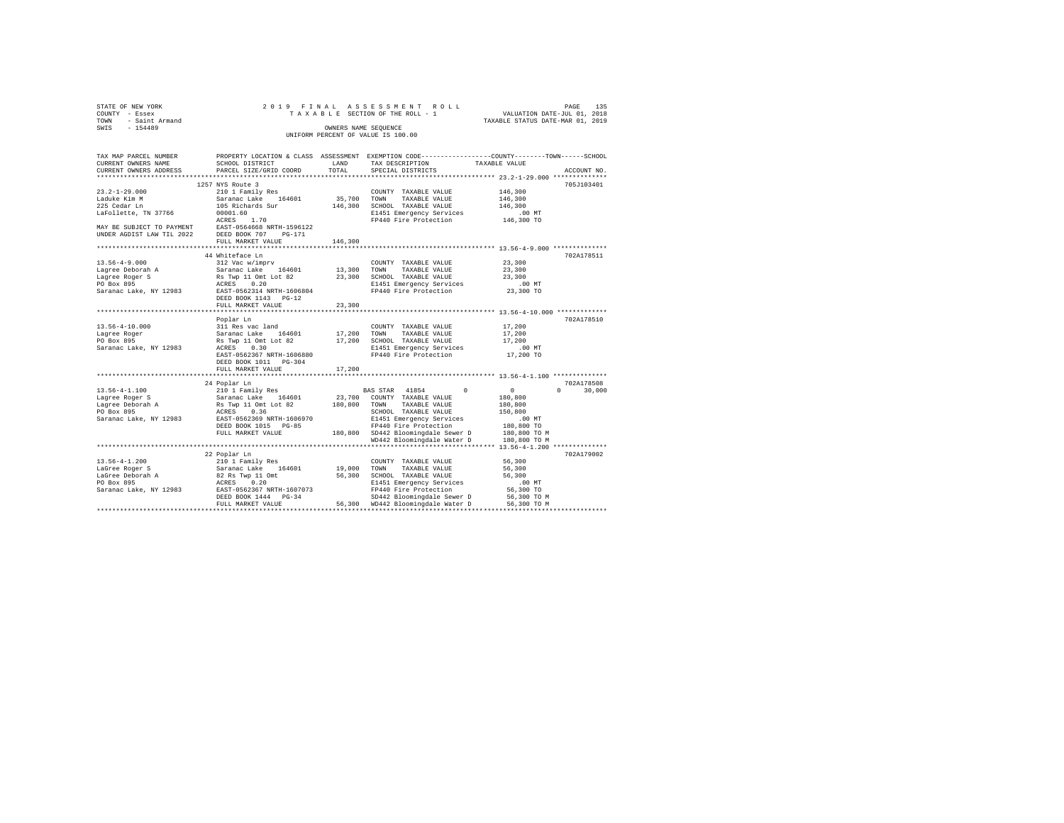| STATE OF NEW YORK                                                                                        |                                                                                                                |             | 2019 FINAL ASSESSMENT ROLL                                       |                                                                             |                    |
|----------------------------------------------------------------------------------------------------------|----------------------------------------------------------------------------------------------------------------|-------------|------------------------------------------------------------------|-----------------------------------------------------------------------------|--------------------|
| COUNTY - Essex                                                                                           |                                                                                                                |             | TAXABLE SECTION OF THE ROLL - 1                                  | PAGE 135<br>VALUATION DATE-JUL 01, 2018<br>TAXABLE STATUS DATE-MAR 01, 2019 |                    |
| TOWN - Saint Armand                                                                                      |                                                                                                                |             |                                                                  |                                                                             |                    |
| $-154489$<br>SWIS                                                                                        |                                                                                                                |             | OWNERS NAME SEOUENCE                                             |                                                                             |                    |
|                                                                                                          |                                                                                                                |             | UNIFORM PERCENT OF VALUE IS 100.00                               |                                                                             |                    |
|                                                                                                          |                                                                                                                |             |                                                                  |                                                                             |                    |
| TAX MAP PARCEL NUMBER                                                                                    | PROPERTY LOCATION & CLASS ASSESSMENT EXEMPTION CODE----------------COUNTY-------TOWN-----SCHOOL                |             |                                                                  |                                                                             |                    |
| CURRENT OWNERS NAME                                                                                      | SCHOOL DISTRICT                                                                                                | LAND        | TAX DESCRIPTION                                                  | TAXABLE VALUE                                                               |                    |
| CURRENT OWNERS ADDRESS                                                                                   | PARCEL SIZE/GRID COORD                                                                                         | TOTAL       | SPECIAL DISTRICTS                                                |                                                                             | ACCOUNT NO.        |
| *************************                                                                                |                                                                                                                |             |                                                                  |                                                                             |                    |
|                                                                                                          | 1257 NYS Route 3                                                                                               |             |                                                                  |                                                                             | 705J103401         |
| $23.2 - 1 - 29.000$                                                                                      | 210 1 Family Res                                                                                               |             | COUNTY TAXABLE VALUE                                             | 146,300                                                                     |                    |
| Laduke Kim M                                                                                             | Saranac Lake 164601                                                                                            | 35,700 TOWN | TAXABLE VALUE                                                    | 146,300                                                                     |                    |
| 225 Cedar Ln                                                                                             | 105 Richards Sur                                                                                               |             | 146,300 SCHOOL TAXABLE VALUE                                     | 146,300                                                                     |                    |
| LaFollette, TN 37766                                                                                     | 00001.60                                                                                                       |             | E1451 Emergency Services                                         | $.00$ MT                                                                    |                    |
|                                                                                                          | ACRES 1.70                                                                                                     |             | FP440 Fire Protection                                            | 146,300 TO                                                                  |                    |
|                                                                                                          |                                                                                                                |             |                                                                  |                                                                             |                    |
| MAY BE SUBJECT TO PAYMENT<br>EAST-0564668 NRTH-1596122<br>UNDER AGDIST LAW TIL 2022 DEED BOOK 707 PG-171 |                                                                                                                |             |                                                                  |                                                                             |                    |
|                                                                                                          | FULL MARKET VALUE                                                                                              | 146,300     |                                                                  |                                                                             |                    |
|                                                                                                          |                                                                                                                |             |                                                                  |                                                                             |                    |
|                                                                                                          | 44 Whiteface Ln                                                                                                |             |                                                                  |                                                                             | 702A178511         |
| $13.56 - 4 - 9.000$                                                                                      | 312 Vac w/imprv                                                                                                |             | COUNTY TAXABLE VALUE                                             | 23,300                                                                      |                    |
|                                                                                                          | Saranac Lake 164601                                                                                            | 13,300 TOWN | TAXABLE VALUE                                                    | 23,300                                                                      |                    |
|                                                                                                          |                                                                                                                |             | 23,300 SCHOOL TAXABLE VALUE                                      | 23,300                                                                      |                    |
| Lagree Deborah A<br>Lagree Roger S<br>PO Box 895                                                         | Rs Twp 11 Omt Lot 82<br>ACRES 0.20                                                                             |             | E1451 Emergency Services                                         | $.00$ MT                                                                    |                    |
|                                                                                                          |                                                                                                                |             | FP440 Fire Protection                                            | 23,300 TO                                                                   |                    |
|                                                                                                          | Saranac Lake, NY 12983 EAST-0562314 NRTH-1606804<br>DEED BOOK 1143 PG-12                                       |             |                                                                  |                                                                             |                    |
|                                                                                                          | FULL MARKET VALUE                                                                                              | 23,300      |                                                                  |                                                                             |                    |
|                                                                                                          |                                                                                                                |             |                                                                  |                                                                             |                    |
|                                                                                                          |                                                                                                                |             |                                                                  |                                                                             | 702A178510         |
| $13.56 - 4 - 10.000$                                                                                     | Poplar Ln<br>311 Res vac land                                                                                  |             | COUNTY TAXABLE VALUE                                             | 17,200                                                                      |                    |
|                                                                                                          |                                                                                                                |             |                                                                  |                                                                             |                    |
| Lagree Roger<br>PO Box 895                                                                               | Saranac Lake 164601 17,200 TOWN TAXABLE VALUE RS TWP 11 Omt Lot 82 17,200 SCHOOL TAXABLE VALUE RS TWP 11 Omt 1 |             |                                                                  | 17,200<br>17,200                                                            |                    |
| Saranac Lake, NY 12983                                                                                   |                                                                                                                |             |                                                                  |                                                                             |                    |
|                                                                                                          | EAST-0562367 NRTH-1606880                                                                                      |             | FP440 Fire Protection                                            | $.00$ MT<br>17,200 TO                                                       |                    |
|                                                                                                          |                                                                                                                |             |                                                                  |                                                                             |                    |
|                                                                                                          | DEED BOOK 1011 PG-304                                                                                          |             |                                                                  |                                                                             |                    |
|                                                                                                          | FULL MARKET VALUE                                                                                              | 17,200      | *********************************** 13.56-4-1.100 ************** |                                                                             |                    |
|                                                                                                          |                                                                                                                |             |                                                                  |                                                                             | 702A178508         |
| $13.56 - 4 - 1.100$                                                                                      | 24 Poplar Ln                                                                                                   |             | BAS STAR 41854<br>$^{\circ}$                                     | $\sim$ 0                                                                    | $\Omega$<br>30,000 |
|                                                                                                          | 210 1 Family Res                                                                                               |             |                                                                  |                                                                             |                    |
| Lagree Roger S                                                                                           | Saranac Lake 164601                                                                                            |             | 23,700 COUNTY TAXABLE VALUE                                      | 180,800                                                                     |                    |
| Lagree Deborah A<br>Lagree Deborah A<br>PO Box 895                                                       | Rs Twp 11 Omt Lot 82<br>ACRES 0.36                                                                             |             | 180,800 TOWN TAXABLE VALUE                                       | 180,800                                                                     |                    |
|                                                                                                          |                                                                                                                |             | SCHOOL TAXABLE VALUE                                             | 150,800                                                                     |                    |
| Saranac Lake, NY 12983                                                                                   | EAST-0562369 NRTH-1606970                                                                                      |             | E1451 Emergency Services                                         | $.00$ MT                                                                    |                    |
|                                                                                                          | DEED BOOK 1015 PG-85                                                                                           |             | FP440 Fire Protection                                            | 180,800 TO                                                                  |                    |
|                                                                                                          | FULL MARKET VALUE                                                                                              |             | 180,800 SD442 Bloomingdale Sewer D                               | 180,800 TO M                                                                |                    |
|                                                                                                          |                                                                                                                |             | WD442 Bloomingdale Water D                                       | 180,800 TO M                                                                |                    |
|                                                                                                          |                                                                                                                |             |                                                                  |                                                                             |                    |
|                                                                                                          | 22 Poplar Ln                                                                                                   |             |                                                                  |                                                                             | 702A179002         |
| $13.56 - 4 - 1.200$                                                                                      | 210 1 Family Res<br>Saranac Lake 164601                                                                        |             | COUNTY TAXABLE VALUE                                             | 56,300                                                                      |                    |
| LaGree Roger S                                                                                           |                                                                                                                | 19,000 TOWN | TAXABLE VALUE                                                    | 56,300                                                                      |                    |
| LaGree Deborah A                                                                                         | 82 Rs Twp 11 Omt<br>ACRES 0.20                                                                                 |             | 56,300 SCHOOL TAXABLE VALUE                                      | 56,300                                                                      |                    |
| PO Box 895                                                                                               |                                                                                                                |             | E1451 Emergency Services                                         | .00 MT                                                                      |                    |
| Saranac Lake, NY 12983                                                                                   | EAST-0562367 NRTH-1607073                                                                                      |             | FP440 Fire Protection                                            | 56,300 TO                                                                   |                    |
|                                                                                                          | DEED BOOK 1444 PG-34                                                                                           |             | SD442 Bloomingdale Sewer D                                       | 56,300 TO M                                                                 |                    |
|                                                                                                          | FULL MARKET VALUE                                                                                              |             | 56,300 WD442 Bloomingdale Water D                                | 56,300 TO M                                                                 |                    |
|                                                                                                          |                                                                                                                |             |                                                                  |                                                                             |                    |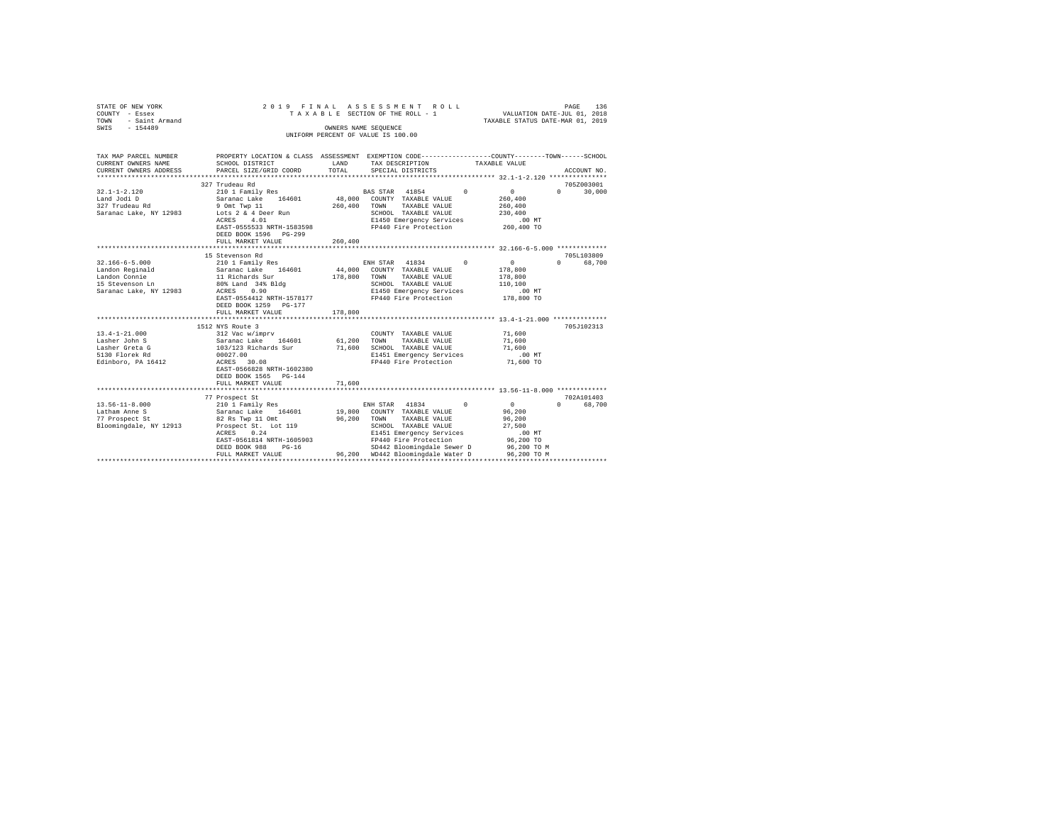| STATE OF NEW YORK<br>COUNTY - Essex<br>TOWN<br>- Saint Armand<br>$-154489$<br>SWIS | ASSESSMENT<br>2019 FINAL<br>ROLL<br>VALUATION DATE-JUL 01, 2018<br>TAXABLE SECTION OF THE ROLL - 1<br>TAXABLE STATUS DATE-MAR 01, 2019<br>OWNERS NAME SEQUENCE<br>UNIFORM PERCENT OF VALUE IS 100.00 |                   |                                                                 |            |                              |                                  |  |
|------------------------------------------------------------------------------------|------------------------------------------------------------------------------------------------------------------------------------------------------------------------------------------------------|-------------------|-----------------------------------------------------------------|------------|------------------------------|----------------------------------|--|
|                                                                                    |                                                                                                                                                                                                      |                   |                                                                 |            |                              |                                  |  |
| TAX MAP PARCEL NUMBER<br>CURRENT OWNERS NAME<br>CURRENT OWNERS ADDRESS             | PROPERTY LOCATION & CLASS ASSESSMENT EXEMPTION CODE---------------COUNTY-------TOWN------SCHOOL<br>SCHOOL DISTRICT<br>PARCEL SIZE/GRID COORD                                                         | LAND<br>TOTAL     | TAX DESCRIPTION<br>SPECIAL DISTRICTS                            |            | TAXABLE VALUE                | ACCOUNT NO.                      |  |
|                                                                                    |                                                                                                                                                                                                      |                   |                                                                 |            |                              |                                  |  |
|                                                                                    | 327 Trudeau Rd                                                                                                                                                                                       |                   |                                                                 |            |                              | 705Z003001                       |  |
| $32.1 - 1 - 2.120$<br>Land Jodi D<br>327 Trudeau Rd                                | 210 1 Family Res<br>Saranac Lake 164601<br>9 Omt Twp 11                                                                                                                                              | 48,000<br>260,400 | BAS STAR 41854<br>COUNTY TAXABLE VALUE<br>TOWN<br>TAXABLE VALUE | $\Omega$   | $\sim$<br>260,400<br>260,400 | $\Omega$<br>30,000               |  |
| Saranac Lake, NY 12983                                                             | Lots 2 & 4 Deer Run<br>ACRES 4.01                                                                                                                                                                    |                   | SCHOOL TAXABLE VALUE<br>E1450 Emergency Services                |            | 230,400<br>.00 MT            |                                  |  |
|                                                                                    | EAST-0555533 NRTH-1583598<br>DEED BOOK 1596 PG-299<br>FULL MARKET VALUE                                                                                                                              | 260,400           | FP440 Fire Protection                                           |            | 260,400 TO                   |                                  |  |
|                                                                                    |                                                                                                                                                                                                      |                   |                                                                 |            |                              |                                  |  |
|                                                                                    | 15 Stevenson Rd                                                                                                                                                                                      |                   |                                                                 |            |                              | 705L103809                       |  |
| $32.166 - 6 - 5.000$<br>Landon Reginald                                            | 210 1 Family Res<br>Saranac Lake<br>164601                                                                                                                                                           | 44,000            | ENH STAR 41834<br>COUNTY TAXABLE VALUE                          | $^{\circ}$ | $\overline{0}$<br>178,800    | 68,700<br>$\Omega$               |  |
| Landon Connie<br>15 Stevenson Ln                                                   | 11 Richards Sur<br>80% Land 34% Bldg                                                                                                                                                                 | 178,800           | TAXABLE VALUE<br>TOWN<br>SCHOOL TAXABLE VALUE                   |            | 178,800<br>110,100           |                                  |  |
| Saranac Lake, NY 12983                                                             | ACRES 0.90<br>EAST-0554412 NRTH-1578177<br>DEED BOOK 1259 PG-177                                                                                                                                     |                   | E1450 Emergency Services<br>FP440 Fire Protection               |            | $.00$ MT<br>178,800 TO       |                                  |  |
|                                                                                    | FULL MARKET VALUE                                                                                                                                                                                    | 178,800           |                                                                 |            |                              |                                  |  |
|                                                                                    | 1512 NYS Route 3                                                                                                                                                                                     |                   |                                                                 |            |                              | 705J102313                       |  |
| $13.4 - 1 - 21.000$                                                                | 312 Vac w/imprv                                                                                                                                                                                      |                   | COUNTY TAXABLE VALUE                                            |            | 71,600                       |                                  |  |
| Lasher John S<br>Lasher Greta G                                                    | Saranac Lake 164601<br>103/123 Richards Sur                                                                                                                                                          | 61,200<br>71,600  | TOWN<br>TAXABLE VALUE<br>SCHOOL TAXABLE VALUE                   |            | 71,600<br>71,600             |                                  |  |
| 5130 Florek Rd                                                                     | 00027.00                                                                                                                                                                                             |                   | E1451 Emergency Services                                        |            | $.00$ MT                     |                                  |  |
| Edinboro, PA 16412                                                                 | ACRES 30.08<br>EAST-0566828 NRTH-1602380<br>DEED BOOK 1565 PG-144                                                                                                                                    |                   | FP440 Fire Protection                                           |            | 71,600 TO                    |                                  |  |
|                                                                                    | FULL MARKET VALUE                                                                                                                                                                                    | 71,600            |                                                                 |            |                              |                                  |  |
|                                                                                    |                                                                                                                                                                                                      |                   |                                                                 |            |                              |                                  |  |
| $13.56 - 11 - 8.000$                                                               | 77 Prospect St<br>210 1 Family Res                                                                                                                                                                   |                   | ENH STAR 41834                                                  | $^{\circ}$ | 0                            | 702A101403<br>68,700<br>$\Omega$ |  |
| Latham Anne S<br>77 Prospect St                                                    | Saranac Lake 164601                                                                                                                                                                                  | 19,800<br>96,200  | COUNTY TAXABLE VALUE<br>TOWN<br>TAXABLE VALUE                   |            | 96,200<br>96,200             |                                  |  |
| Bloomingdale, NY 12913                                                             | 82 Rs Twp 11 Omt<br>Prospect St. Lot 119                                                                                                                                                             |                   | SCHOOL TAXABLE VALUE                                            |            | 27,500                       |                                  |  |
|                                                                                    | ACRES<br>0.24                                                                                                                                                                                        |                   | E1451 Emergency Services                                        |            | $.00$ MT                     |                                  |  |
|                                                                                    | EAST-0561814 NRTH-1605903                                                                                                                                                                            |                   | FP440 Fire Protection                                           |            | 96,200 TO                    |                                  |  |
|                                                                                    | DEED BOOK 988<br>$PG-16$                                                                                                                                                                             |                   | SD442 Bloomingdale Sewer D                                      |            | 96,200 TO M                  |                                  |  |
|                                                                                    | FULL MARKET VALUE                                                                                                                                                                                    |                   | 96.200 WD442 Bloomingdale Water D                               |            | 96,200 TO M                  |                                  |  |
|                                                                                    |                                                                                                                                                                                                      |                   |                                                                 |            |                              |                                  |  |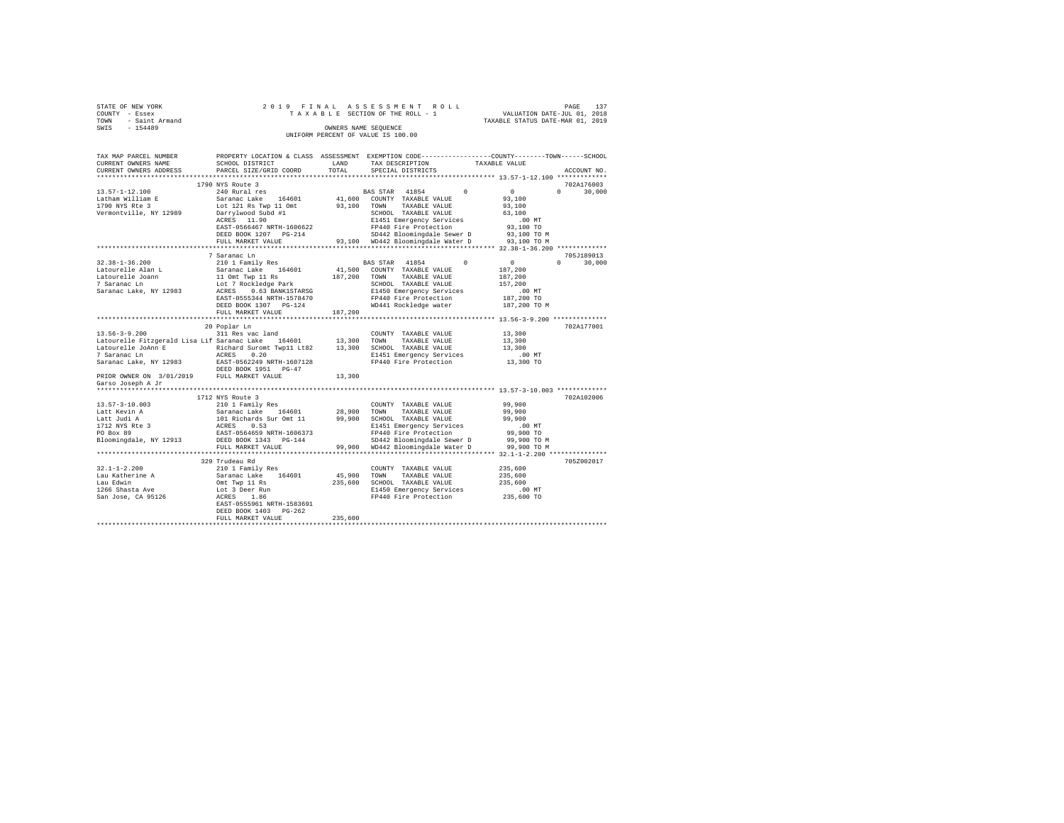| STATE OF NEW YORK   |  | 2019 FINAL ASSESSMENT ROLL         |                                  | PAGE                        | 137 |
|---------------------|--|------------------------------------|----------------------------------|-----------------------------|-----|
| COUNTY - Essex      |  | TAXABLE SECTION OF THE ROLL - 1    |                                  | VALUATION DATE-JUL 01, 2018 |     |
| TOWN - Saint Armand |  |                                    | TAXABLE STATUS DATE-MAR 01, 2019 |                             |     |
| SWIS<br>$-154489$   |  | OWNERS NAME SEOUENCE               |                                  |                             |     |
|                     |  | UNIFORM PERCENT OF VALUE IS 100.00 |                                  |                             |     |
|                     |  |                                    |                                  |                             |     |

| TAX MAP PARCEL NUMBER                               |                                                                                                                                                                                                                                                                                                                                                                                                                                                                   |             |                                                                                         | PROPERTY LOCATION & CLASS ASSESSMENT EXEMPTION CODE---------------COUNTY------TOWN-----SCHOOL                                                                                                                                                                                                                                                                         |
|-----------------------------------------------------|-------------------------------------------------------------------------------------------------------------------------------------------------------------------------------------------------------------------------------------------------------------------------------------------------------------------------------------------------------------------------------------------------------------------------------------------------------------------|-------------|-----------------------------------------------------------------------------------------|-----------------------------------------------------------------------------------------------------------------------------------------------------------------------------------------------------------------------------------------------------------------------------------------------------------------------------------------------------------------------|
| CURRENT OWNERS NAME                                 | SCHOOL DISTRICT                                                                                                                                                                                                                                                                                                                                                                                                                                                   | LAND        | TAX DESCRIPTION                                                                         | TAXABLE VALUE                                                                                                                                                                                                                                                                                                                                                         |
| CURRENT OWNERS ADDRESS PARCEL SIZE/GRID COORD       |                                                                                                                                                                                                                                                                                                                                                                                                                                                                   | TOTAL       | SPECIAL DISTRICTS                                                                       | ACCOUNT NO.                                                                                                                                                                                                                                                                                                                                                           |
|                                                     |                                                                                                                                                                                                                                                                                                                                                                                                                                                                   |             |                                                                                         |                                                                                                                                                                                                                                                                                                                                                                       |
|                                                     | 1790 NYS Route 3                                                                                                                                                                                                                                                                                                                                                                                                                                                  |             |                                                                                         | 702A176003                                                                                                                                                                                                                                                                                                                                                            |
| 13.57-1-12.100                                      | 240 Rural res                                                                                                                                                                                                                                                                                                                                                                                                                                                     |             | BAS STAR 41854<br>$\sim$                                                                | $\sim$ 0<br>$\Omega$ and $\Omega$<br>30,000                                                                                                                                                                                                                                                                                                                           |
|                                                     |                                                                                                                                                                                                                                                                                                                                                                                                                                                                   |             | 41,600 COUNTY TAXABLE VALUE                                                             | 93,100                                                                                                                                                                                                                                                                                                                                                                |
| Latham William E<br>1790 NYS Rte 3                  |                                                                                                                                                                                                                                                                                                                                                                                                                                                                   |             |                                                                                         | 93,100                                                                                                                                                                                                                                                                                                                                                                |
| Vermontville, NY 12989                              |                                                                                                                                                                                                                                                                                                                                                                                                                                                                   |             |                                                                                         | 63,100                                                                                                                                                                                                                                                                                                                                                                |
|                                                     | ACRES 11.90                                                                                                                                                                                                                                                                                                                                                                                                                                                       |             | E1451 Emergency Services                                                                |                                                                                                                                                                                                                                                                                                                                                                       |
|                                                     | EAST-0566467 NRTH-1606622                                                                                                                                                                                                                                                                                                                                                                                                                                         |             | FP440 Fire Protection                                                                   | 00 MT.<br>93,100 TO                                                                                                                                                                                                                                                                                                                                                   |
|                                                     | DEED BOOK 1207 PG-214                                                                                                                                                                                                                                                                                                                                                                                                                                             |             | SD442 Bloomingdale Sewer D                                                              | 93,100 TO M                                                                                                                                                                                                                                                                                                                                                           |
|                                                     |                                                                                                                                                                                                                                                                                                                                                                                                                                                                   |             | 93,100 WD442 Bloomingdale Water D 93,100 TO M                                           |                                                                                                                                                                                                                                                                                                                                                                       |
|                                                     | FULL MARKET VALUE                                                                                                                                                                                                                                                                                                                                                                                                                                                 |             |                                                                                         |                                                                                                                                                                                                                                                                                                                                                                       |
|                                                     |                                                                                                                                                                                                                                                                                                                                                                                                                                                                   |             |                                                                                         |                                                                                                                                                                                                                                                                                                                                                                       |
|                                                     | 7 Saranac Ln                                                                                                                                                                                                                                                                                                                                                                                                                                                      |             |                                                                                         | 705J189013                                                                                                                                                                                                                                                                                                                                                            |
| $32.38 - 1 - 36.200$                                | 210 1 Family Res                                                                                                                                                                                                                                                                                                                                                                                                                                                  |             | BAS STAR 41854                                                                          | $\overline{0}$ and $\overline{0}$ and $\overline{0}$ and $\overline{0}$ and $\overline{0}$ and $\overline{0}$ and $\overline{0}$ and $\overline{0}$ and $\overline{0}$ and $\overline{0}$ and $\overline{0}$ and $\overline{0}$ and $\overline{0}$ and $\overline{0}$ and $\overline{0}$ and $\overline{0}$ and $\overline{0}$ and<br>$\Omega$ and $\Omega$<br>30,000 |
|                                                     | $\begin{tabular}{lcccccc} \texttt{Latourelle Alan L} &\texttt{Sarna} &\texttt{Sarna} &\texttt{Safanac Lake} & 164601 & 41,500 & \texttt{CONTY} & \texttt{TXABLE VALUE} \\ \texttt{Latourelle Joan} & & 110m1 & \texttt{Two} & 187,200 & \texttt{TONY} & \texttt{TXABLE VALUE} \\ \texttt{T Saranac Lan} & & 110m1 & \texttt{New} & \texttt{SCHODL} & \texttt{TXABLE VALUE} \\ \texttt{Saranac Lake, NY 12983} & & & \texttt{ACRES} & 0.63 & \texttt{RANKISTARSG}$ |             |                                                                                         | 187,200                                                                                                                                                                                                                                                                                                                                                               |
|                                                     |                                                                                                                                                                                                                                                                                                                                                                                                                                                                   |             |                                                                                         | 187,200                                                                                                                                                                                                                                                                                                                                                               |
|                                                     |                                                                                                                                                                                                                                                                                                                                                                                                                                                                   |             |                                                                                         | 157,200                                                                                                                                                                                                                                                                                                                                                               |
|                                                     |                                                                                                                                                                                                                                                                                                                                                                                                                                                                   |             |                                                                                         |                                                                                                                                                                                                                                                                                                                                                                       |
|                                                     | EAST-0555344 NRTH-1578470                                                                                                                                                                                                                                                                                                                                                                                                                                         |             | FP440 Fire Protection                                                                   | .00 MT<br>187,200 TO                                                                                                                                                                                                                                                                                                                                                  |
|                                                     | DEED BOOK 1307 PG-124                                                                                                                                                                                                                                                                                                                                                                                                                                             |             | WD441 Rockledge water                                                                   | 187,200 TO M                                                                                                                                                                                                                                                                                                                                                          |
|                                                     | FULL MARKET VALUE                                                                                                                                                                                                                                                                                                                                                                                                                                                 | 187.200     |                                                                                         |                                                                                                                                                                                                                                                                                                                                                                       |
|                                                     |                                                                                                                                                                                                                                                                                                                                                                                                                                                                   |             |                                                                                         |                                                                                                                                                                                                                                                                                                                                                                       |
|                                                     | 20 Poplar Ln                                                                                                                                                                                                                                                                                                                                                                                                                                                      |             |                                                                                         | 702A177001                                                                                                                                                                                                                                                                                                                                                            |
| $13.56 - 3 - 9.200$                                 |                                                                                                                                                                                                                                                                                                                                                                                                                                                                   |             |                                                                                         |                                                                                                                                                                                                                                                                                                                                                                       |
|                                                     | 311 Res vac land                                                                                                                                                                                                                                                                                                                                                                                                                                                  |             | COUNTY TAXABLE VALUE                                                                    | 13,300                                                                                                                                                                                                                                                                                                                                                                |
|                                                     | Latourelle Fitzgerald Lisa Lif Saranac Lake 164601 13,300 TOWN                                                                                                                                                                                                                                                                                                                                                                                                    |             | TAXABLE VALUE                                                                           | 13,300                                                                                                                                                                                                                                                                                                                                                                |
|                                                     |                                                                                                                                                                                                                                                                                                                                                                                                                                                                   |             |                                                                                         | 13,300                                                                                                                                                                                                                                                                                                                                                                |
|                                                     |                                                                                                                                                                                                                                                                                                                                                                                                                                                                   |             | E1451 Emergency Services                                                                | .00 MT                                                                                                                                                                                                                                                                                                                                                                |
|                                                     |                                                                                                                                                                                                                                                                                                                                                                                                                                                                   |             | FP440 Fire Protection                                                                   | 13,300 TO                                                                                                                                                                                                                                                                                                                                                             |
|                                                     |                                                                                                                                                                                                                                                                                                                                                                                                                                                                   | 13,300      |                                                                                         |                                                                                                                                                                                                                                                                                                                                                                       |
| Garso Joseph A Jr                                   |                                                                                                                                                                                                                                                                                                                                                                                                                                                                   |             |                                                                                         |                                                                                                                                                                                                                                                                                                                                                                       |
|                                                     |                                                                                                                                                                                                                                                                                                                                                                                                                                                                   |             |                                                                                         |                                                                                                                                                                                                                                                                                                                                                                       |
|                                                     | 1712 NYS Route 3                                                                                                                                                                                                                                                                                                                                                                                                                                                  |             |                                                                                         | 702A102006                                                                                                                                                                                                                                                                                                                                                            |
| 13.57-3-10.003                                      | 210 1 Family Res COUNTY TAXABLE VALUE Saranac Lake 164601 28,900 TOWN TAXABLE VALUE 101 Richards Dr. 21,900 20100 20100 20100 20100 20100 20100 20100 20100 20100 20100 20100 20100 20100 20100 20100 20100 20100 20100 20100                                                                                                                                                                                                                                     |             |                                                                                         |                                                                                                                                                                                                                                                                                                                                                                       |
|                                                     |                                                                                                                                                                                                                                                                                                                                                                                                                                                                   |             |                                                                                         | 99,900<br>99,900                                                                                                                                                                                                                                                                                                                                                      |
| Latt Kevin A                                        |                                                                                                                                                                                                                                                                                                                                                                                                                                                                   |             |                                                                                         |                                                                                                                                                                                                                                                                                                                                                                       |
| Latt Judi A                                         |                                                                                                                                                                                                                                                                                                                                                                                                                                                                   |             |                                                                                         | 99,900                                                                                                                                                                                                                                                                                                                                                                |
| Latt Juur A<br>1712 NYS Rte 3<br>PO Box 89          |                                                                                                                                                                                                                                                                                                                                                                                                                                                                   |             | E1451 Emergency Services                                                                | $.00$ MT                                                                                                                                                                                                                                                                                                                                                              |
|                                                     |                                                                                                                                                                                                                                                                                                                                                                                                                                                                   |             | FP440 Fire Protection                                                                   | 99,900 TO                                                                                                                                                                                                                                                                                                                                                             |
|                                                     | Bloomingdale, NY 12913 DEED BOOK 1343 PG-144                                                                                                                                                                                                                                                                                                                                                                                                                      |             | SD442 Bloomingdale Sewer D 99,900 TO M<br>99,900 WD442 Bloomingdale Water D 99,900 TO M |                                                                                                                                                                                                                                                                                                                                                                       |
|                                                     | FULL MARKET VALUE                                                                                                                                                                                                                                                                                                                                                                                                                                                 |             |                                                                                         |                                                                                                                                                                                                                                                                                                                                                                       |
|                                                     |                                                                                                                                                                                                                                                                                                                                                                                                                                                                   |             |                                                                                         |                                                                                                                                                                                                                                                                                                                                                                       |
|                                                     | 329 Trudeau Rd                                                                                                                                                                                                                                                                                                                                                                                                                                                    |             |                                                                                         | 705Z002017                                                                                                                                                                                                                                                                                                                                                            |
| $32.1 - 1 - 2.200$                                  | 210 1 Family Res                                                                                                                                                                                                                                                                                                                                                                                                                                                  |             | COUNTY TAXABLE VALUE                                                                    | 235,600                                                                                                                                                                                                                                                                                                                                                               |
| Lau Katherine A                                     |                                                                                                                                                                                                                                                                                                                                                                                                                                                                   | 45,900 TOWN | TAXABLE VALUE                                                                           | 235,600                                                                                                                                                                                                                                                                                                                                                               |
| Lau Edwin                                           |                                                                                                                                                                                                                                                                                                                                                                                                                                                                   |             | 235,600 SCHOOL TAXABLE VALUE                                                            | 235,600                                                                                                                                                                                                                                                                                                                                                               |
| naa nawii:<br>1266 Shasta Ave<br>San Jose, CA 95126 |                                                                                                                                                                                                                                                                                                                                                                                                                                                                   |             | E1450 Emergency Services                                                                | $.00$ MT                                                                                                                                                                                                                                                                                                                                                              |
|                                                     |                                                                                                                                                                                                                                                                                                                                                                                                                                                                   |             | FP440 Fire Protection                                                                   |                                                                                                                                                                                                                                                                                                                                                                       |
|                                                     | Saranac Lake 164601<br>Saranac Lake 164601<br>Omt Twp 11 Rs<br>Lot 3 Deer Run<br>ACRES 1.86<br>EAST-0555961 NRTH-1583691                                                                                                                                                                                                                                                                                                                                          |             |                                                                                         | $235,600$ TO                                                                                                                                                                                                                                                                                                                                                          |
|                                                     |                                                                                                                                                                                                                                                                                                                                                                                                                                                                   |             |                                                                                         |                                                                                                                                                                                                                                                                                                                                                                       |
|                                                     | DEED BOOK 1403 PG-262                                                                                                                                                                                                                                                                                                                                                                                                                                             |             |                                                                                         |                                                                                                                                                                                                                                                                                                                                                                       |
|                                                     | FULL MARKET VALUE                                                                                                                                                                                                                                                                                                                                                                                                                                                 | 235,600     |                                                                                         |                                                                                                                                                                                                                                                                                                                                                                       |
|                                                     |                                                                                                                                                                                                                                                                                                                                                                                                                                                                   |             |                                                                                         |                                                                                                                                                                                                                                                                                                                                                                       |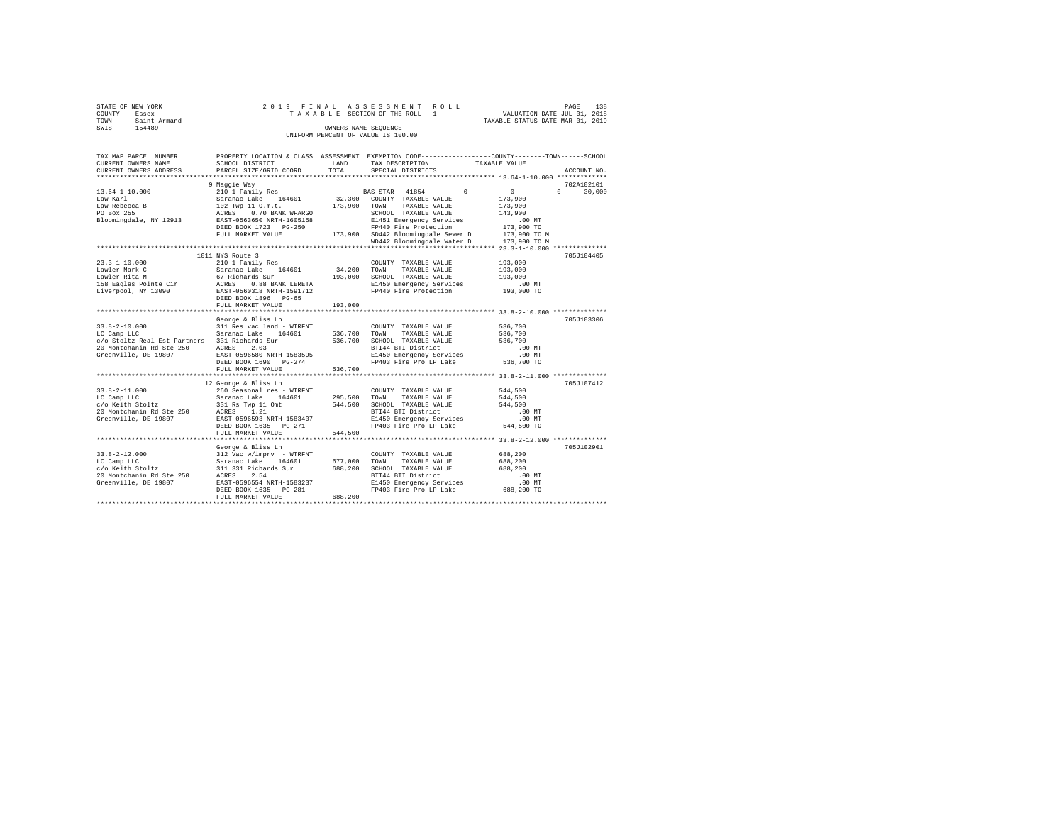| STATE OF NEW YORK   | 2019 FINAL ASSESSMENT ROLL         | 138<br>PAGE                      |
|---------------------|------------------------------------|----------------------------------|
| COUNTY - Essex      | TAXABLE SECTION OF THE ROLL - 1    | VALUATION DATE-JUL 01, 2018      |
| TOWN - Saint Armand |                                    | TAXABLE STATUS DATE-MAR 01, 2019 |
| SWIS<br>$-154489$   | OWNERS NAME SEOUENCE               |                                  |
|                     | UNIFORM PERCENT OF VALUE IS 100.00 |                                  |

| TAX MAP PARCEL NUMBER<br>CURRENT OWNERS NAME<br>CURRENT OWNERS ADDRESS                                                                                        | SCHOOL DISTRICT<br>PARCEL SIZE/GRID COORD                                                                                                                                                         | LAND<br>TOTAL                     | PROPERTY LOCATION & CLASS ASSESSMENT EXEMPTION CODE----------------COUNTY-------TOWN-----SCHOOL<br>TAX DESCRIPTION<br>SPECIAL DISTRICTS                      | TAXABLE VALUE                                                       | ACCOUNT NO.        |
|---------------------------------------------------------------------------------------------------------------------------------------------------------------|---------------------------------------------------------------------------------------------------------------------------------------------------------------------------------------------------|-----------------------------------|--------------------------------------------------------------------------------------------------------------------------------------------------------------|---------------------------------------------------------------------|--------------------|
|                                                                                                                                                               |                                                                                                                                                                                                   |                                   |                                                                                                                                                              |                                                                     |                    |
|                                                                                                                                                               | 9 Maggie Way                                                                                                                                                                                      |                                   |                                                                                                                                                              |                                                                     | 702A102101         |
| $13.64 - 1 - 10.000$<br>Law Karl<br>Law Rebecca B                                                                                                             | Saranac Lake 164601<br>102 Twp 11 O.m.t.<br>ACRES 0.70 BANK WFARGO<br>EAST-0563650 NRTH-1605158                                                                                                   |                                   | 210 1 Family Res 60 BAS STAR 41854 0<br>32,300 COUNTY TAXABLE VALUE<br>173,900 TOWN TAXABLE VALUE                                                            | $\sim$ 0 $\sim$<br>173,900<br>173,900                               | $\Omega$<br>30,000 |
| PO Box 255<br>Bloomingdale, NY 12913                                                                                                                          | DEED BOOK 1723 PG-250<br>FULL MARKET VALUE                                                                                                                                                        |                                   | SCHOOL TAXABLE VALUE<br>E1451 Emergency Services<br>FP440 Fire Protection<br>173,900 SD442 Bloomingdale Sewer D                                              | 143,900<br>$.00$ MT<br>173,900 TO<br>173,900 TO M                   |                    |
|                                                                                                                                                               |                                                                                                                                                                                                   |                                   | WD442 Bloomingdale Water D                                                                                                                                   | 173,900 TO M                                                        |                    |
|                                                                                                                                                               |                                                                                                                                                                                                   |                                   |                                                                                                                                                              |                                                                     |                    |
| $23.3 - 1 - 10.000$                                                                                                                                           | 1011 NYS Route 3<br>210 1 Family Res<br>DEED BOOK 1896 PG-65<br>FULL MARKET VALUE                                                                                                                 | 34,200 TOWN<br>193,000<br>193,000 | COUNTY TAXABLE VALUE<br>TAXABLE VALUE<br>SCHOOL TAXABLE VALUE<br>E1450 Emergency Services<br>FP440 Fire Protection                                           | 193,000<br>193,000<br>193,000<br>.00 MT<br>193,000 TO               | 705J104405         |
|                                                                                                                                                               |                                                                                                                                                                                                   |                                   |                                                                                                                                                              |                                                                     |                    |
| $33.8 - 2 - 10.000$<br>Saranac Lake<br>LC Camp LLC<br>c/o Stoltz Real Est Partners 331 Richards Sur<br>20 Montchanin Rd Ste 250 ACRES<br>Greenville, DE 19807 | George & Bliss Ln<br>311 Res vac land - WTRFNT<br>164601<br>2.03<br>EAST-0596580 NRTH-1583595<br>DEED BOOK 1690 PG-274                                                                            | 536,700 TOWN                      | COUNTY TAXABLE VALUE<br>TAXABLE VALUE<br>536,700 SCHOOL TAXABLE VALUE<br>BTI44 BTI District<br>E1450 Emergency Services<br>FP403 Fire Pro LP Lake 536,700 TO | 536,700<br>536,700<br>536,700<br>.00 MT<br>.00MT                    | 705J103306         |
|                                                                                                                                                               | FULL MARKET VALUE                                                                                                                                                                                 | 536,700                           |                                                                                                                                                              |                                                                     |                    |
| $33.8 - 2 - 11.000$<br>LC Camp LLC<br>LC Camp LLC<br>c/o Keith Stoltz<br>20 Montchanin Rd Ste 250<br>Greenville, DE 19807                                     | 12 George & Bliss Ln<br>260 Seasonal res - WTRFNT<br>Saranac Lake 164601<br>331 Rs Twp 11 Omt<br>ACRES 1.21<br>EAST-0596593 NRTH-1583407<br>DEED BOOK 1635 PG-271<br>FULL MARKET VALUE            | 544,500<br>544,500                | COUNTY TAXABLE VALUE<br>295,500 TOWN TAXABLE VALUE<br>SCHOOL TAXABLE VALUE<br>BTI44 BTI District<br>E1450 Emergency Services<br>FP403 Fire Pro LP Lake       | 544,500<br>544,500<br>544,500<br>$.00$ MT<br>$.00$ MT<br>544,500 TO | 705J107412         |
|                                                                                                                                                               |                                                                                                                                                                                                   |                                   |                                                                                                                                                              |                                                                     |                    |
| $33.8 - 2 - 12.000$<br>LC Camp LLC<br>c/o Keith Stoltz<br>20 Montchanin Rd Ste 250 ACRES<br>Greenville, DE 19807                                              | George & Bliss Ln<br>312 Vac w/imprv - WTRFNT<br>Saranac Lake 164601<br>311 331 Richards Sur<br>164601 677,000<br>2.54<br>EAST-0596554 NRTH-1583237<br>DEED BOOK 1635 PG-281<br>FULL MARKET VALUE | 688,200<br>688,200                | COUNTY TAXABLE VALUE<br>TOWN<br>TAXABLE VALUE<br>SCHOOL TAXABLE VALUE                                                                                        | 688,200<br>688,200<br>688,200                                       | 705J102901         |
|                                                                                                                                                               |                                                                                                                                                                                                   |                                   |                                                                                                                                                              |                                                                     |                    |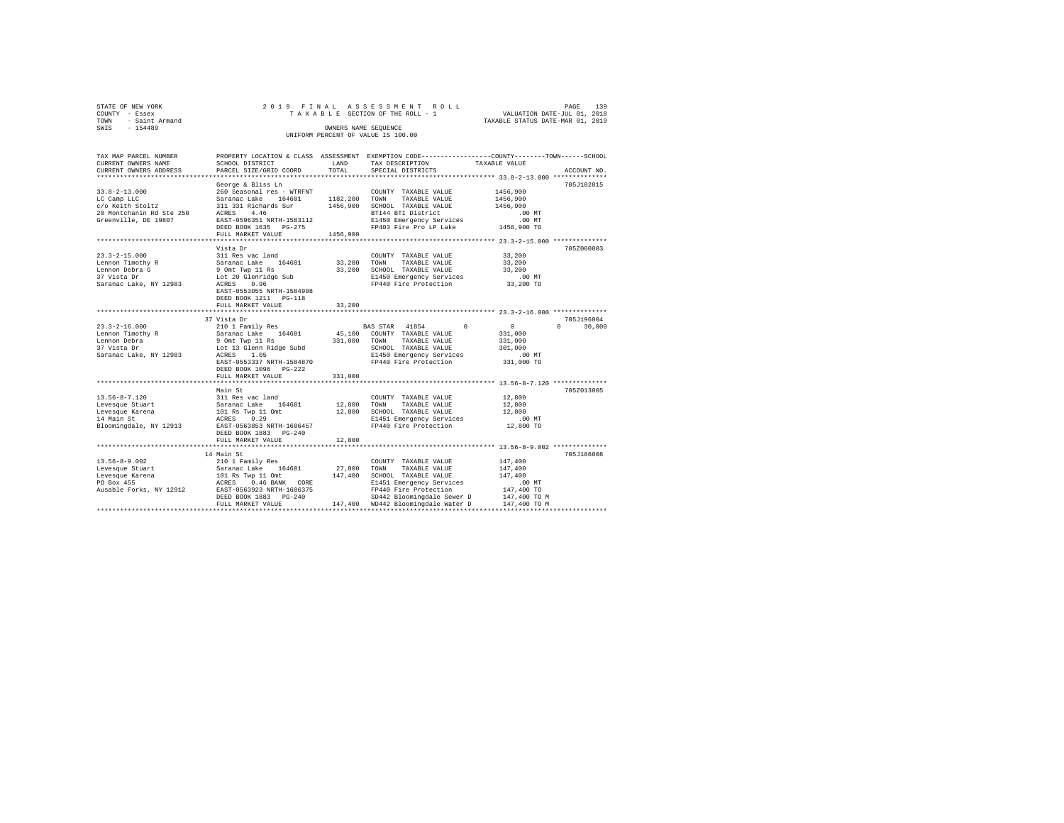| STATE OF NEW YORK                  |  |  | 2019 FINAL ASSESSMENT ROLL      |  |                                  | PAGE | 139 |  |  |  |
|------------------------------------|--|--|---------------------------------|--|----------------------------------|------|-----|--|--|--|
| COUNTY - Essex                     |  |  | TAXABLE SECTION OF THE ROLL - 1 |  | VALUATION DATE-JUL 01, 2018      |      |     |  |  |  |
| TOWN - Saint Armand                |  |  |                                 |  | TAXABLE STATUS DATE-MAR 01, 2019 |      |     |  |  |  |
| SWTS<br>$-154489$                  |  |  | OWNERS NAME SEOUENCE            |  |                                  |      |     |  |  |  |
| UNIFORM PERCENT OF VALUE IS 100.00 |  |  |                                 |  |                                  |      |     |  |  |  |

| TAX MAP PARCEL NUMBER                                                                                                                                                                                                                                                                                                                                                                                                                      |                                                                                   |          | PROPERTY LOCATION & CLASS ASSESSMENT EXEMPTION CODE----------------COUNTY-------TOWN-----SCHOOL          |                                                           |                    |
|--------------------------------------------------------------------------------------------------------------------------------------------------------------------------------------------------------------------------------------------------------------------------------------------------------------------------------------------------------------------------------------------------------------------------------------------|-----------------------------------------------------------------------------------|----------|----------------------------------------------------------------------------------------------------------|-----------------------------------------------------------|--------------------|
| CURRENT OWNERS NAME                                                                                                                                                                                                                                                                                                                                                                                                                        | SCHOOL DISTRICT                                                                   | LAND     | TAX DESCRIPTION                                                                                          | TAXABLE VALUE                                             |                    |
| CURRENT OWNERS ADDRESS                                                                                                                                                                                                                                                                                                                                                                                                                     | PARCEL SIZE/GRID COORD                                                            | TOTAL    | SPECIAL DISTRICTS                                                                                        |                                                           | ACCOUNT NO.        |
|                                                                                                                                                                                                                                                                                                                                                                                                                                            |                                                                                   |          |                                                                                                          |                                                           |                    |
|                                                                                                                                                                                                                                                                                                                                                                                                                                            | George & Bliss Ln                                                                 |          |                                                                                                          |                                                           | 705J102815         |
| $33.8 - 2 - 13.000$                                                                                                                                                                                                                                                                                                                                                                                                                        | 260 Seasonal res - WTRFNT                                                         |          | COUNTY TAXABLE VALUE                                                                                     | 1456,900                                                  |                    |
| LC Camp LLC                                                                                                                                                                                                                                                                                                                                                                                                                                | Saranac Lake 164601 1182,200 TOWN                                                 |          | TAXABLE VALUE                                                                                            | 1456,900                                                  |                    |
|                                                                                                                                                                                                                                                                                                                                                                                                                                            |                                                                                   |          | 1456,900 SCHOOL TAXABLE VALUE                                                                            | 1456,900                                                  |                    |
|                                                                                                                                                                                                                                                                                                                                                                                                                                            |                                                                                   |          | BTI44 BTI District                                                                                       | $.00$ MT                                                  |                    |
| Greenville, DE 19807                                                                                                                                                                                                                                                                                                                                                                                                                       |                                                                                   |          |                                                                                                          |                                                           |                    |
|                                                                                                                                                                                                                                                                                                                                                                                                                                            | EAST-0596351 NRTH-1583112<br>DEED BOOK 1635 PG-275                                |          | E1450 Emergency Services .00 MT<br>FP403 Fire Pro LP Lake .01456,900 TO                                  |                                                           |                    |
|                                                                                                                                                                                                                                                                                                                                                                                                                                            |                                                                                   |          |                                                                                                          |                                                           |                    |
|                                                                                                                                                                                                                                                                                                                                                                                                                                            | FULL MARKET VALUE                                                                 | 1456,900 |                                                                                                          |                                                           |                    |
|                                                                                                                                                                                                                                                                                                                                                                                                                                            |                                                                                   |          |                                                                                                          |                                                           |                    |
|                                                                                                                                                                                                                                                                                                                                                                                                                                            | Vista Dr                                                                          |          |                                                                                                          |                                                           | 705Z000003         |
| $23.3 - 2 - 15.000$                                                                                                                                                                                                                                                                                                                                                                                                                        | 311 Res vac land                                                                  |          | COUNTY TAXABLE VALUE                                                                                     | 33,200                                                    |                    |
| Lennon Timothy R                                                                                                                                                                                                                                                                                                                                                                                                                           | Saranac Lake 164601                                                               |          | 33,200 TOWN<br>TAXABLE VALUE                                                                             | 33,200                                                    |                    |
| Lennon Debra G                                                                                                                                                                                                                                                                                                                                                                                                                             |                                                                                   |          | 33,200 SCHOOL TAXABLE VALUE                                                                              | 33,200                                                    |                    |
| 37 Vista Dr                                                                                                                                                                                                                                                                                                                                                                                                                                |                                                                                   |          |                                                                                                          |                                                           |                    |
| Saranac Lake, NY 12983                                                                                                                                                                                                                                                                                                                                                                                                                     | 9 Omt Twp 11 Rs<br>Lot 20 Glenridge Sub<br>ACRES 0.96<br>ACRES 0.96               |          | E1450 Emergency Services .00 MT<br>FP440 Fire Protection 33,200 TO                                       |                                                           |                    |
|                                                                                                                                                                                                                                                                                                                                                                                                                                            | EAST-0553055 NRTH-1584908                                                         |          |                                                                                                          |                                                           |                    |
|                                                                                                                                                                                                                                                                                                                                                                                                                                            | DEED BOOK 1211    PG-118                                                          |          |                                                                                                          |                                                           |                    |
|                                                                                                                                                                                                                                                                                                                                                                                                                                            | FULL MARKET VALUE                                                                 | 33,200   |                                                                                                          |                                                           |                    |
|                                                                                                                                                                                                                                                                                                                                                                                                                                            |                                                                                   |          |                                                                                                          |                                                           |                    |
|                                                                                                                                                                                                                                                                                                                                                                                                                                            | 37 Vista Dr                                                                       |          |                                                                                                          |                                                           | 705J196004         |
| $23.3 - 2 - 16.000$                                                                                                                                                                                                                                                                                                                                                                                                                        | 210 1 Family Res                                                                  |          | $\Omega$<br>BAS STAR 41854                                                                               | $\sim$ 0 $\sim$                                           | $\Omega$<br>30,000 |
|                                                                                                                                                                                                                                                                                                                                                                                                                                            | Saranac Lake<br>Saranac Lake 164601<br>9 Omt Twp 11 Rs<br>Lot 13 Glenn Ridge Subd |          |                                                                                                          | 331,000                                                   |                    |
| Lennon Timothy R<br>Lennon Debra<br>37 Vista Dr                                                                                                                                                                                                                                                                                                                                                                                            |                                                                                   |          | 45,100 COUNTY TAXABLE VALUE                                                                              |                                                           |                    |
|                                                                                                                                                                                                                                                                                                                                                                                                                                            |                                                                                   |          | 331,000 TOWN<br>TAXABLE VALUE                                                                            | 331,000                                                   |                    |
|                                                                                                                                                                                                                                                                                                                                                                                                                                            |                                                                                   |          | SCHOOL TAXABLE VALUE                                                                                     | 301,000                                                   |                    |
| Saranac Lake, NY 12983                                                                                                                                                                                                                                                                                                                                                                                                                     | ACRES 1.05                                                                        |          | E1450 Emergency Services                                                                                 | $.00$ MT                                                  |                    |
|                                                                                                                                                                                                                                                                                                                                                                                                                                            | EAST-0553337 NRTH-1584870                                                         |          | FP440 Fire Protection                                                                                    | 331,000 TO                                                |                    |
|                                                                                                                                                                                                                                                                                                                                                                                                                                            | DEED BOOK 1096 PG-222                                                             |          |                                                                                                          |                                                           |                    |
|                                                                                                                                                                                                                                                                                                                                                                                                                                            | FULL MARKET VALUE                                                                 | 331,000  |                                                                                                          |                                                           |                    |
|                                                                                                                                                                                                                                                                                                                                                                                                                                            |                                                                                   |          |                                                                                                          | **************************** 13.56-8-7.120 ************** |                    |
|                                                                                                                                                                                                                                                                                                                                                                                                                                            | Main St                                                                           |          |                                                                                                          |                                                           | 705Z013005         |
|                                                                                                                                                                                                                                                                                                                                                                                                                                            |                                                                                   |          | COUNTY TAXABLE VALUE                                                                                     | 12,800                                                    |                    |
|                                                                                                                                                                                                                                                                                                                                                                                                                                            |                                                                                   |          | 12,800 TOWN TAXABLE VALUE                                                                                | 12,800                                                    |                    |
|                                                                                                                                                                                                                                                                                                                                                                                                                                            |                                                                                   |          | 12,800 SCHOOL TAXABLE VALUE                                                                              | 12,800                                                    |                    |
|                                                                                                                                                                                                                                                                                                                                                                                                                                            |                                                                                   |          | E1451 Emergency Services                                                                                 | $.00$ MT                                                  |                    |
|                                                                                                                                                                                                                                                                                                                                                                                                                                            |                                                                                   |          | FP440 Fire Protection                                                                                    | 12,800 TO                                                 |                    |
|                                                                                                                                                                                                                                                                                                                                                                                                                                            |                                                                                   |          |                                                                                                          |                                                           |                    |
|                                                                                                                                                                                                                                                                                                                                                                                                                                            | DEED BOOK 1883 PG-240                                                             |          |                                                                                                          |                                                           |                    |
|                                                                                                                                                                                                                                                                                                                                                                                                                                            | FULL MARKET VALUE                                                                 | 12,800   |                                                                                                          |                                                           |                    |
|                                                                                                                                                                                                                                                                                                                                                                                                                                            |                                                                                   |          |                                                                                                          |                                                           |                    |
|                                                                                                                                                                                                                                                                                                                                                                                                                                            | 14 Main St                                                                        |          |                                                                                                          |                                                           | 705J186008         |
|                                                                                                                                                                                                                                                                                                                                                                                                                                            |                                                                                   |          |                                                                                                          | 147,400                                                   |                    |
|                                                                                                                                                                                                                                                                                                                                                                                                                                            |                                                                                   |          |                                                                                                          | 147,400                                                   |                    |
| $\begin{tabular}{lcccc} 13.56-8-9.002 & & 210 & 1 Family Res & & 200 INTY TAXABLE VALUE \\ \hline \textit{Levesque Stuart} & & 210 & 1 Family Res & & 27,000 TOWN TXXABLE VALUE \\ \textit{Levesque Xarena} & & 101 Rs Type 11 Omt & 147,400 SCHODL TAXABLE VALUE \\ \textit{PO Box 455} & & 2CRES & 0.46 BANK & CORE & & 147,400 \\ \textit{PO Box 455} & & 2CRES & 0.46 BANT & & 147,400 & 1511 Emergency Services \\ \textit{Alussable$ |                                                                                   |          |                                                                                                          | 147,400                                                   |                    |
|                                                                                                                                                                                                                                                                                                                                                                                                                                            |                                                                                   |          | E1451 Emergency Services                                                                                 | $.00$ MT                                                  |                    |
|                                                                                                                                                                                                                                                                                                                                                                                                                                            |                                                                                   |          | FP440 Fire Protection                                                                                    | 147,400 TO                                                |                    |
|                                                                                                                                                                                                                                                                                                                                                                                                                                            |                                                                                   |          | SD442 Bloomingdale Sewer D 147,400 TO M                                                                  |                                                           |                    |
|                                                                                                                                                                                                                                                                                                                                                                                                                                            |                                                                                   |          | DEED BOOK 1883 PG-240 5D442 Bloomingdale Sewer D<br>FULL MARKET VALUE 147,400 WD442 Bloomingdale Water D | 147,400 TO M                                              |                    |
|                                                                                                                                                                                                                                                                                                                                                                                                                                            |                                                                                   |          |                                                                                                          |                                                           |                    |
|                                                                                                                                                                                                                                                                                                                                                                                                                                            |                                                                                   |          |                                                                                                          |                                                           |                    |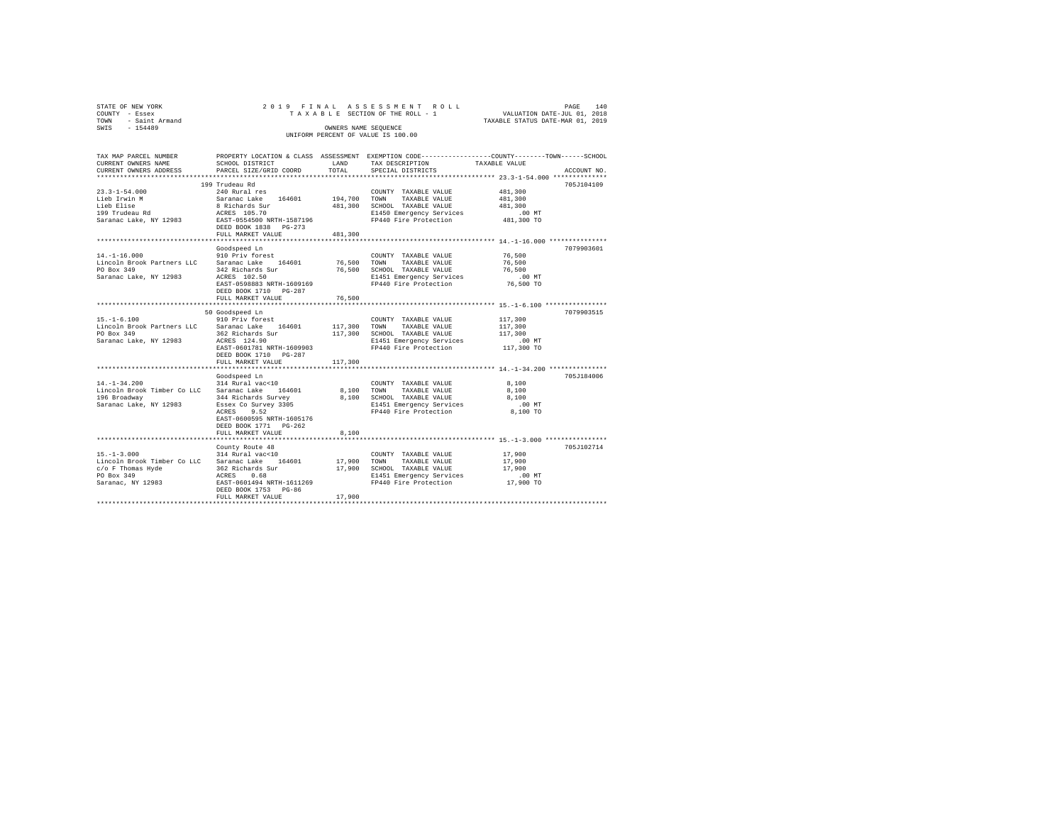|      | STATE OF NEW YORK   |  |  |                                    |                                 | 2019 FINAL ASSESSMENT ROLL |                                  | PAGE | 140 |
|------|---------------------|--|--|------------------------------------|---------------------------------|----------------------------|----------------------------------|------|-----|
|      | COUNTY - Essex      |  |  |                                    | TAXABLE SECTION OF THE ROLL - 1 |                            | VALUATION DATE-JUL 01, 2018      |      |     |
|      | TOWN - Saint Armand |  |  |                                    |                                 |                            | TAXABLE STATUS DATE-MAR 01, 2019 |      |     |
| SWIS | - 154489            |  |  | OWNERS NAME SEOUENCE               |                                 |                            |                                  |      |     |
|      |                     |  |  | UNIFORM PERCENT OF VALUE IS 100.00 |                                 |                            |                                  |      |     |
|      |                     |  |  |                                    |                                 |                            |                                  |      |     |

| TAX MAP PARCEL NUMBER                           |                           |              | PROPERTY LOCATION & CLASS ASSESSMENT EXEMPTION CODE---------------COUNTY-------TOWN-----SCHOOL |               |             |
|-------------------------------------------------|---------------------------|--------------|------------------------------------------------------------------------------------------------|---------------|-------------|
| CURRENT OWNERS NAME                             | SCHOOL DISTRICT           | LAND         | TAX DESCRIPTION                                                                                | TAXABLE VALUE |             |
| CURRENT OWNERS ADDRESS                          | PARCEL SIZE/GRID COORD    | TOTAL        | SPECIAL DISTRICTS                                                                              |               | ACCOUNT NO. |
|                                                 |                           |              |                                                                                                |               |             |
|                                                 | 199 Trudeau Rd            |              |                                                                                                |               | 705J104109  |
| $23.3 - 1 - 54.000$                             | 240 Rural res             |              | COUNTY TAXABLE VALUE                                                                           | 481,300       |             |
| Lieb Irwin M                                    | Saranac Lake 164601       | 194,700 TOWN | TAXABLE VALUE                                                                                  | 481,300       |             |
| Lieb Elise                                      | 8 Richards Sur            |              | 481,300 SCHOOL TAXABLE VALUE                                                                   | 481,300       |             |
| 199 Trudeau Rd                                  | ACRES 105.70              |              | E1450 Emergency Services                                                                       | .00 MT        |             |
| Saranac Lake, NY 12983                          | EAST-0554500 NRTH-1587196 |              | FP440 Fire Protection                                                                          | 481,300 TO    |             |
|                                                 | DEED BOOK 1838 PG-273     |              |                                                                                                |               |             |
|                                                 | FULL MARKET VALUE         | 481,300      |                                                                                                |               |             |
|                                                 |                           |              |                                                                                                |               |             |
|                                                 | Goodspeed Ln              |              |                                                                                                |               | 7079903601  |
| $14. - 1 - 16.000$                              | 910 Priv forest           |              | COUNTY TAXABLE VALUE                                                                           | 76,500        |             |
| Lincoln Brook Partners LLC Saranac Lake 164601  |                           | 76,500 TOWN  | TAXABLE VALUE                                                                                  | 76,500        |             |
| PO Box 349                                      | 342 Richards Sur          | 76,500       | SCHOOL TAXABLE VALUE                                                                           | 76,500        |             |
| Saranac Lake, NY 12983                          | ACRES 102.50              |              | E1451 Emergency Services                                                                       | $.00$ MT      |             |
|                                                 | EAST-0598883 NRTH-1609169 |              | FP440 Fire Protection                                                                          | 76,500 TO     |             |
|                                                 | DEED BOOK 1710 PG-287     |              |                                                                                                |               |             |
|                                                 | FULL MARKET VALUE         | 76,500       |                                                                                                |               |             |
|                                                 |                           |              |                                                                                                |               |             |
|                                                 | 50 Goodspeed Ln           |              |                                                                                                |               | 7079903515  |
| $15. - 1 - 6.100$                               | 910 Priv forest           |              | COUNTY TAXABLE VALUE                                                                           | 117,300       |             |
| Lincoln Brook Partners LLC Saranac Lake 164601  |                           | 117,300 TOWN | TAXABLE VALUE                                                                                  | 117,300       |             |
| PO Box 349                                      | 362 Richards Sur          |              | 117,300 SCHOOL TAXABLE VALUE                                                                   | 117,300       |             |
| Saranac Lake, NY 12983                          | ACRES 124.90              |              | E1451 Emergency Services                                                                       | $.00$ MT      |             |
|                                                 | EAST-0601781 NRTH-1609903 |              | FP440 Fire Protection                                                                          | 117,300 TO    |             |
|                                                 | DEED BOOK 1710 PG-287     |              |                                                                                                |               |             |
|                                                 | FULL MARKET VALUE         | 117,300      |                                                                                                |               |             |
|                                                 |                           |              |                                                                                                |               |             |
|                                                 | Goodspeed Ln              |              |                                                                                                |               | 705J184006  |
| $14. - 1 - 34.200$                              | 314 Rural vac<10          |              | COUNTY TAXABLE VALUE                                                                           | 8,100         |             |
|                                                 | 164601                    |              |                                                                                                |               |             |
| Lincoln Brook Timber Co LLC                     | Saranac Lake              |              | 8,100 TOWN TAXABLE VALUE                                                                       | 8,100         |             |
| 196 Broadway                                    | 344 Richards Survey       |              | 8,100 SCHOOL TAXABLE VALUE                                                                     | 8,100         |             |
| Saranac Lake, NY 12983                          | Essex Co Survey 3305      |              | E1451 Emergency Services                                                                       | $.00$ MT      |             |
|                                                 | ACRES<br>9.52             |              | FP440 Fire Protection                                                                          | 8,100 TO      |             |
|                                                 | EAST-0600595 NRTH-1605176 |              |                                                                                                |               |             |
|                                                 | DEED BOOK 1771 PG-262     |              |                                                                                                |               |             |
|                                                 | FULL MARKET VALUE         | 8,100        |                                                                                                |               |             |
|                                                 |                           |              |                                                                                                |               |             |
|                                                 | County Route 48           |              |                                                                                                |               | 705J102714  |
| $15. - 1 - 3.000$                               | 314 Rural vac<10          |              | COUNTY TAXABLE VALUE                                                                           | 17,900        |             |
| Lincoln Brook Timber Co LLC Saranac Lake 164601 |                           | 17,900 TOWN  | TAXABLE VALUE                                                                                  | 17,900        |             |
| $c/o$ F Thomas Hyde                             | 362 Richards Sur          |              | 17,900 SCHOOL TAXABLE VALUE                                                                    | 17,900        |             |
| PO Box 349                                      | ACRES 0.68                |              | E1451 Emergency Services                                                                       | $.00$ MT      |             |
| Saranac, NY 12983                               | EAST-0601494 NRTH-1611269 |              | FP440 Fire Protection                                                                          | 17,900 TO     |             |
|                                                 | DEED BOOK 1753 PG-86      |              |                                                                                                |               |             |
|                                                 | FULL MARKET VALUE         | 17,900       |                                                                                                |               |             |
|                                                 |                           |              |                                                                                                |               |             |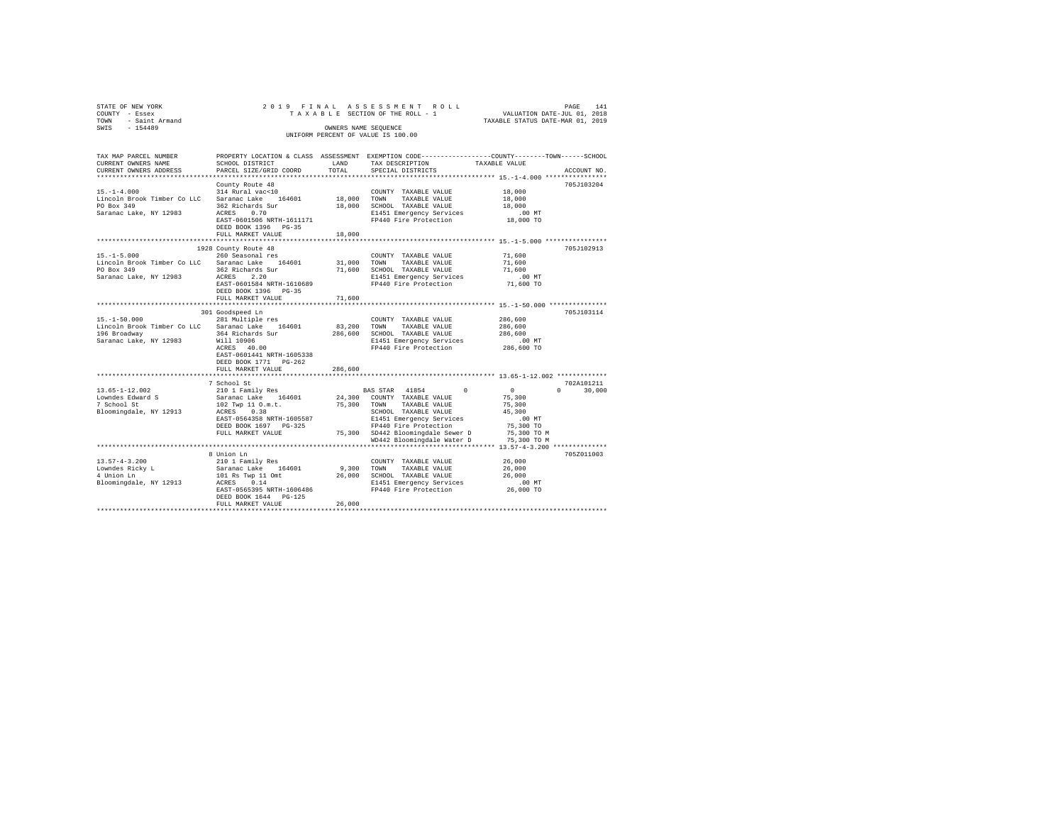|                   | STATE OF NEW YORK           |                                                                             |                      | 2019 FINAL ASSESSMENT ROLL         |                                                              |                                  | PAGE        | 141 |
|-------------------|-----------------------------|-----------------------------------------------------------------------------|----------------------|------------------------------------|--------------------------------------------------------------|----------------------------------|-------------|-----|
| COUNTY - Essex    |                             |                                                                             |                      | TAXABLE SECTION OF THE ROLL - 1    |                                                              | VALUATION DATE-JUL 01, 2018      |             |     |
| TOWN              | - Saint Armand              |                                                                             |                      |                                    |                                                              | TAXABLE STATUS DATE-MAR 01, 2019 |             |     |
| SWIS              | $-154489$                   |                                                                             | OWNERS NAME SEOUENCE |                                    |                                                              |                                  |             |     |
|                   |                             |                                                                             |                      | UNIFORM PERCENT OF VALUE IS 100.00 |                                                              |                                  |             |     |
|                   |                             |                                                                             |                      |                                    |                                                              |                                  |             |     |
|                   |                             |                                                                             |                      |                                    |                                                              |                                  |             |     |
|                   | TAX MAP PARCEL NUMBER       | PROPERTY LOCATION & CLASS                                                   | ASSESSMENT           |                                    | EXEMPTION CODE-----------------COUNTY-------TOWN------SCHOOL |                                  |             |     |
|                   | CURRENT OWNERS NAME         | SCHOOL DISTRICT                                                             | LAND                 | TAX DESCRIPTION                    |                                                              | TAXABLE VALUE                    |             |     |
|                   |                             | CURRENT OWNERS ADDRESS . PARCEL SIZE/GRID COORD . TOTAL . SPECIAL DISTRICTS |                      |                                    |                                                              |                                  | ACCOUNT NO. |     |
|                   |                             |                                                                             |                      |                                    |                                                              |                                  |             |     |
|                   |                             | County Route 48                                                             |                      |                                    |                                                              |                                  | 705J103204  |     |
| $15. - 1 - 4.000$ |                             | 314 Rural vac<10                                                            |                      | COUNTY<br>TAXABLE VALUE            |                                                              | 18,000                           |             |     |
|                   | Lincoln Brook Timber Co LLC | Saranac Lake 164601                                                         | 18,000               | TOWN<br>TAXABLE VALUE              |                                                              | 18,000                           |             |     |
| PO Box 349        |                             | 362 Richards Sur                                                            | 18,000               | SCHOOL TAXABLE VALUE               |                                                              | 18,000                           |             |     |
|                   |                             |                                                                             |                      |                                    |                                                              |                                  |             |     |

| Saranac Lake, NY 12983      | 0.70<br>ACRES<br>EAST-0601506 NRTH-1611171<br>DEED BOOK 1396 PG-35 |             | E1451 Emergency Services<br>FP440 Fire Protection | $.00$ MT<br>18,000 TO |                    |
|-----------------------------|--------------------------------------------------------------------|-------------|---------------------------------------------------|-----------------------|--------------------|
|                             | FULL MARKET VALUE                                                  | 18,000      |                                                   |                       |                    |
|                             |                                                                    |             |                                                   |                       |                    |
|                             | 1928 County Route 48                                               |             |                                                   |                       | 705J102913         |
| $15. -1 - 5.000$            | 260 Seasonal res                                                   |             | COUNTY TAXABLE VALUE                              | 71,600                |                    |
| Lincoln Brook Timber Co LLC | Saranac Lake 164601                                                | 31,000      | TAXABLE VALUE<br>TOWN                             | 71,600                |                    |
| PO Box 349                  | 362 Richards Sur                                                   | 71,600      | SCHOOL TAXABLE VALUE                              | 71,600                |                    |
| Saranac Lake, NY 12983      | ACRES<br>2.20                                                      |             | E1451 Emergency Services                          | .00 MT                |                    |
|                             | EAST-0601584 NRTH-1610689                                          |             | FP440 Fire Protection                             | 71,600 TO             |                    |
|                             | DEED BOOK 1396 PG-35                                               |             |                                                   |                       |                    |
|                             | FULL MARKET VALUE                                                  | 71,600      |                                                   |                       |                    |
|                             |                                                                    |             |                                                   |                       |                    |
|                             | 301 Goodspeed Ln                                                   |             |                                                   |                       | 705J103114         |
| $15. - 1 - 50.000$          | 281 Multiple res                                                   |             | COUNTY TAXABLE VALUE                              | 286,600               |                    |
| Lincoln Brook Timber Co LLC | Saranac Lake<br>164601                                             | 83,200      | TAXABLE VALUE<br>TOWN                             | 286,600               |                    |
| 196 Broadway                | 364 Richards Sur                                                   | 286,600     | SCHOOL TAXABLE VALUE                              | 286,600               |                    |
| Saranac Lake, NY 12983      | Will 10906                                                         |             | E1451 Emergency Services .00 MT                   |                       |                    |
|                             | ACRES 40.00                                                        |             | FP440 Fire Protection                             | 286,600 TO            |                    |
|                             | EAST-0601441 NRTH-1605338                                          |             |                                                   |                       |                    |
|                             | DEED BOOK 1771 PG-262                                              |             |                                                   |                       |                    |
|                             | FULL MARKET VALUE                                                  | 286,600     |                                                   |                       |                    |
|                             |                                                                    |             |                                                   |                       |                    |
|                             | 7 School St                                                        |             |                                                   |                       | 702A101211         |
| 13.65-1-12.002              | 210 1 Family Res                                                   |             | BAS STAR 41854 0                                  | $\sim$ 0              | 30,000<br>$\Omega$ |
| Lowndes Edward S            | Saranac Lake                                                       |             | 164601 24,300 COUNTY TAXABLE VALUE                | 75,300                |                    |
| 7 School St                 | 102 Twp 11 O.m.t.                                                  | 75,300 TOWN | TAXABLE VALUE                                     | 75,300                |                    |
| Bloomingdale, NY 12913      | 0.38<br>ACRES                                                      |             | SCHOOL TAXABLE VALUE                              | 45,300                |                    |
|                             | EAST-0564358 NRTH-1605587                                          |             | E1451 Emergency Services                          | $.00$ MT              |                    |
|                             | DEED BOOK 1697 PG-325                                              |             | FP440 Fire Protection                             | 75,300 TO             |                    |
|                             | FULL MARKET VALUE                                                  |             | 75,300 SD442 Bloomingdale Sewer D                 | 75,300 TO M           |                    |
|                             |                                                                    |             | WD442 Bloomingdale Water D                        | 75,300 TO M           |                    |
|                             |                                                                    |             |                                                   |                       |                    |
|                             | 8 Union Ln                                                         |             |                                                   |                       | 705Z011003         |
| $13.57 - 4 - 3.200$         | 210 1 Family Res                                                   |             | COUNTY TAXABLE VALUE                              | 26,000                |                    |
| Lowndes Ricky L             | Saranac Lake 164601                                                | 9,300 TOWN  | TAXABLE VALUE                                     | 26,000                |                    |
| 4 Union Ln                  | 101 Rs Twp 11 Omt                                                  | 26,000      | SCHOOL TAXABLE VALUE                              | 26,000                |                    |
| Bloomingdale, NY 12913      | ACRES<br>0.14                                                      |             | E1451 Emergency Services                          | $.00$ MT              |                    |
|                             | EAST-0565395 NRTH-1606486                                          |             | FP440 Fire Protection                             | 26,000 TO             |                    |
|                             | DEED BOOK 1644 PG-125                                              |             |                                                   |                       |                    |
|                             | FULL MARKET VALUE                                                  | 26,000      |                                                   |                       |                    |
|                             |                                                                    |             |                                                   |                       |                    |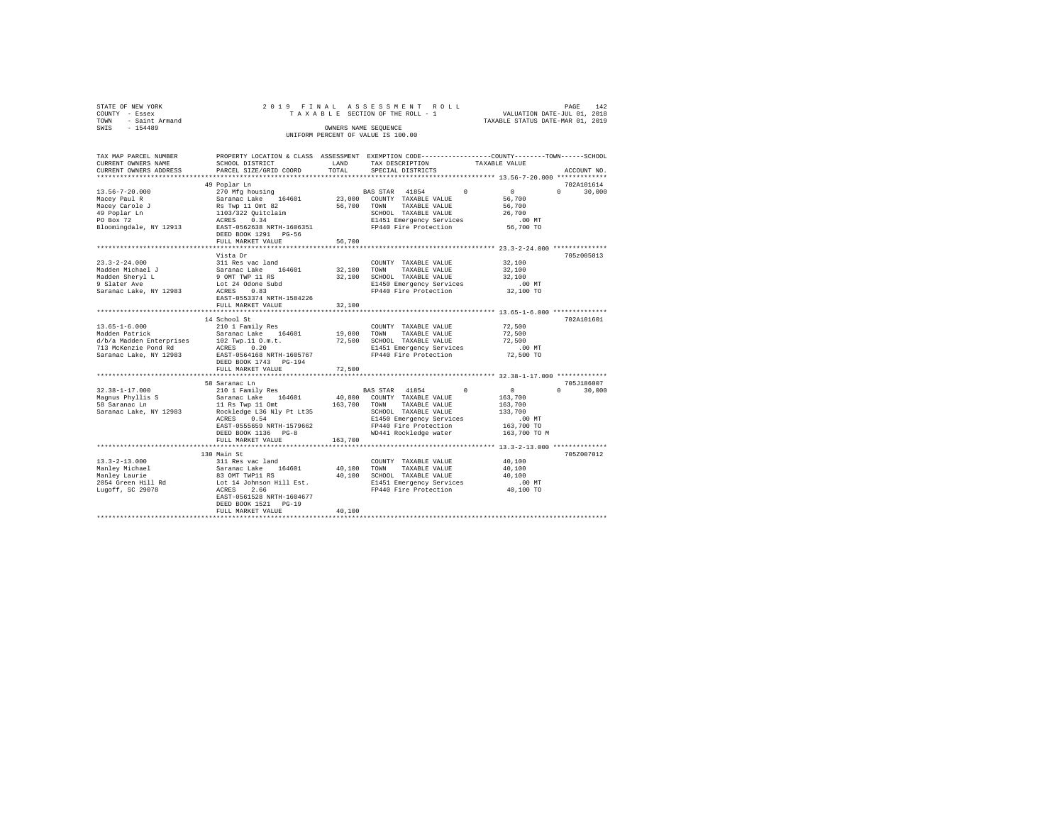|      | STATE OF NEW YORK   |  |  |                                    | 2019 FINAL ASSESSMENT ROLL      |                                  | PAGE | 142 |
|------|---------------------|--|--|------------------------------------|---------------------------------|----------------------------------|------|-----|
|      | COUNTY - Essex      |  |  |                                    | TAXABLE SECTION OF THE ROLL - 1 | VALUATION DATE-JUL 01, 2018      |      |     |
|      | TOWN - Saint Armand |  |  |                                    |                                 | TAXABLE STATUS DATE-MAR 01, 2019 |      |     |
| SWIS | $-154489$           |  |  | OWNERS NAME SEOUENCE               |                                 |                                  |      |     |
|      |                     |  |  | UNIFORM PERCENT OF VALUE IS 100.00 |                                 |                                  |      |     |
|      |                     |  |  |                                    |                                 |                                  |      |     |

| TAX MAP PARCEL NUMBER<br>CURRENT OWNERS NAME<br>CURRENT OWNERS ADDRESS                                              | PROPERTY LOCATION & CLASS ASSESSMENT EXEMPTION CODE---------------COUNTY-------TOWN-----SCHOOL<br>SCHOOL DISTRICT<br>PARCEL SIZE/GRID COORD                                        | LAND<br>TOTAL              | TAX DESCRIPTION<br>SPECIAL DISTRICTS                                                                                                                                 | TAXABLE VALUE |                                                                                     | ACCOUNT NO.        |
|---------------------------------------------------------------------------------------------------------------------|------------------------------------------------------------------------------------------------------------------------------------------------------------------------------------|----------------------------|----------------------------------------------------------------------------------------------------------------------------------------------------------------------|---------------|-------------------------------------------------------------------------------------|--------------------|
| ***********************                                                                                             |                                                                                                                                                                                    |                            |                                                                                                                                                                      |               |                                                                                     |                    |
|                                                                                                                     | 49 Poplar Ln                                                                                                                                                                       |                            |                                                                                                                                                                      |               |                                                                                     | 702A101614         |
| $13.56 - 7 - 20.000$<br>Macey Paul R<br>Macey Carole J<br>49 Poplar Ln<br>PO Box 72<br>Bloomingdale, NY 12913       | 270 Mfg housing<br>Saranac Lake 164601<br>Rs Twp 11 Omt 82<br>1103/322 Quitclaim<br>ACRES 0.34<br>ACRES<br>EAST-0562638 NRTH-1606351<br>DEED BOOK 1291 PG-56                       |                            | <b>BAS STAR 41854</b><br>23,000 COUNTY TAXABLE VALUE<br>56,700 TOWN<br>TAXABLE VALUE<br>SCHOOL TAXABLE VALUE<br>E1451 Emergency Services<br>FP440 Fire Protection    | $\Omega$      | $\sim$ 0<br>56,700<br>56,700<br>26,700<br>$.00$ MT<br>56,700 TO                     | $\Omega$<br>30,000 |
|                                                                                                                     | FULL MARKET VALUE                                                                                                                                                                  | 56,700                     |                                                                                                                                                                      |               |                                                                                     |                    |
|                                                                                                                     |                                                                                                                                                                                    |                            |                                                                                                                                                                      |               |                                                                                     |                    |
| $23.3 - 2 - 24.000$<br>Madden Michael J<br>Madden Sheryl L<br>9 Slater Ave<br>Saranac Lake, NY 12983                | Vista Dr<br>311 Res vac land<br>Saranac Lake 164601<br>9 OMT TWP 11 RS<br>Lot 24 Odone Subd<br>ACRES<br>0.83<br>EAST-0553374 NRTH-1584226                                          | 32,100 TOWN                | COUNTY TAXABLE VALUE<br>TAXABLE VALUE<br>32,100 SCHOOL TAXABLE VALUE<br>E1450 Emergency Services<br>FP440 Fire Protection                                            |               | 32,100<br>32,100<br>32,100<br>$.00$ MT<br>32,100 TO                                 | 705z005013         |
|                                                                                                                     | FULL MARKET VALUE                                                                                                                                                                  | 32,100                     |                                                                                                                                                                      |               |                                                                                     |                    |
|                                                                                                                     |                                                                                                                                                                                    |                            |                                                                                                                                                                      |               |                                                                                     |                    |
|                                                                                                                     | 14 School St                                                                                                                                                                       |                            |                                                                                                                                                                      |               |                                                                                     | 702A101601         |
| $13.65 - 1 - 6.000$<br>Madden Patrick<br>d/b/a Madden Enterprises<br>713 McKenzie Pond Rd<br>Saranac Lake, NY 12983 | 210 1 Family Res<br>Saranac Lake 164601<br>102 Twp.11 O.m.t.<br>ACRES 0.20<br>EAST-0564168 NRTH-1605767<br>DEED BOOK 1743 PG-194<br>FULL MARKET VALUE                              | 19,000<br>72,500<br>72,500 | COUNTY TAXABLE VALUE<br>TAXABLE VALUE<br>TOWN<br>SCHOOL TAXABLE VALUE<br>E1451 Emergency Services<br>FP440 Fire Protection                                           |               | 72,500<br>72,500<br>72,500<br>.00 MT<br>72,500 TO                                   |                    |
|                                                                                                                     | ********************                                                                                                                                                               |                            |                                                                                                                                                                      |               | ************** 32.38-1-17.000 **************                                        |                    |
|                                                                                                                     | 58 Saranac Ln                                                                                                                                                                      |                            |                                                                                                                                                                      |               |                                                                                     | 705J186007         |
| $32.38 - 1 - 17.000$<br>Magnus Phyllis S<br>58 Saranac Ln<br>Saranac Lake, NY 12983                                 | 210 1 Family Res<br>Saranac Lake 164601<br>11 Rs Twp 11 Omt<br>Rockledge L36 Nly Pt Lt35<br>0.54<br>ACRES<br>EAST-0555659 NRTH-1579662<br>DEED BOOK 1136 PG-8<br>FULL MARKET VALUE | 163,700 TOWN<br>163,700    | BAS STAR 41854<br>40,800 COUNTY TAXABLE VALUE<br>TAXABLE VALUE<br>SCHOOL TAXABLE VALUE<br>E1450 Emergency Services<br>FP440 Fire Protection<br>WD441 Rockledge water | $\sim$ 0      | $\sim$ 0<br>163,700<br>163,700<br>133,700<br>$.00$ MT<br>163,700 TO<br>163,700 TO M | $\Omega$<br>30,000 |
|                                                                                                                     |                                                                                                                                                                                    |                            |                                                                                                                                                                      |               |                                                                                     |                    |
| $13.3 - 2 - 13.000$<br>Manley Michael<br>Manley Laurie<br>2054 Green Hill Rd<br>Lugoff, SC 29078                    | 130 Main St<br>311 Res vac land<br>Saranac Lake 164601<br>83 OMT TWP11 RS<br>Lot 14 Johnson Hill Est.<br>2.66<br>ACRES<br>EAST-0561528 NRTH-1604677<br>DEED BOOK 1521 PG-19        |                            | COUNTY TAXABLE VALUE<br>40.100 TOWN<br>TAXABLE VALUE<br>40,100 SCHOOL TAXABLE VALUE<br>E1451 Emergency Services<br>FP440 Fire Protection                             |               | 40,100<br>40,100<br>40,100<br>.00 MT<br>40,100 TO                                   | 705Z007012         |
|                                                                                                                     | FULL MARKET VALUE                                                                                                                                                                  | 40,100                     |                                                                                                                                                                      |               |                                                                                     |                    |
|                                                                                                                     |                                                                                                                                                                                    |                            |                                                                                                                                                                      |               |                                                                                     |                    |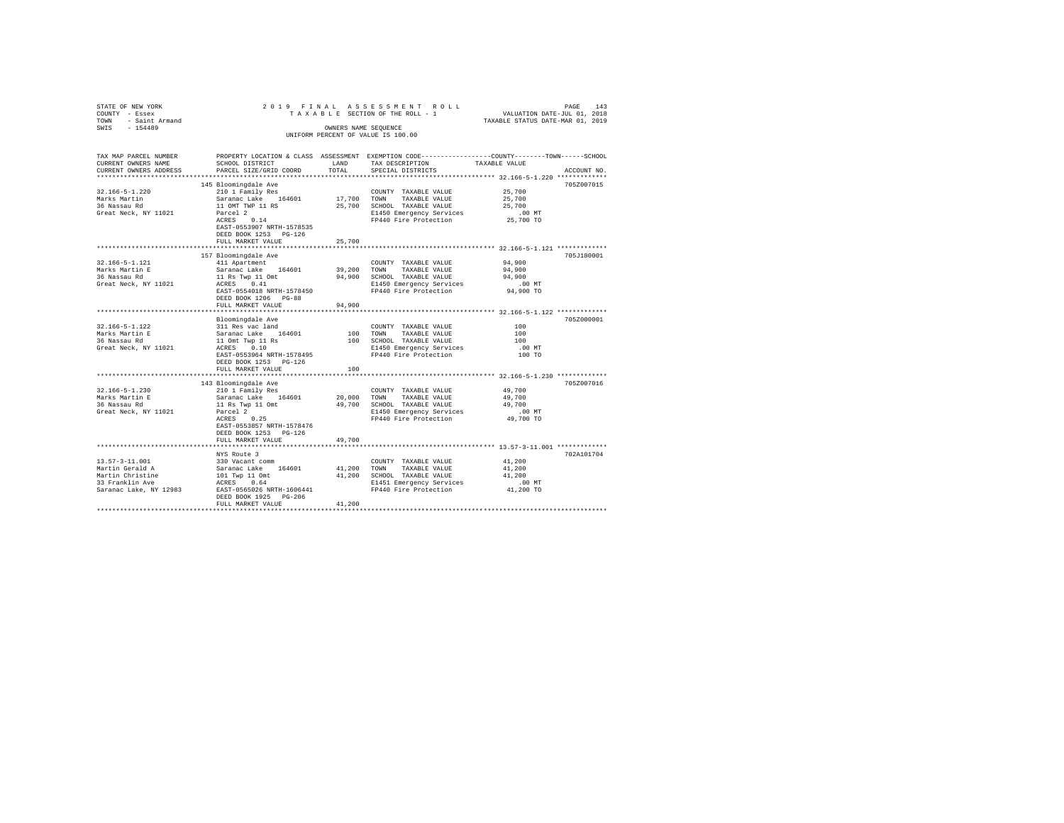| STATE OF NEW YORK                   |                                                       |             | 2019 FINAL ASSESSMENT ROLL                                                    | PAGE<br>143                                                                                    |  |  |  |  |  |  |  |  |
|-------------------------------------|-------------------------------------------------------|-------------|-------------------------------------------------------------------------------|------------------------------------------------------------------------------------------------|--|--|--|--|--|--|--|--|
| COUNTY - Essex                      |                                                       |             | TAXABLE SECTION OF THE ROLL - 1                                               | VALUATION DATE-JUL 01, 2018                                                                    |  |  |  |  |  |  |  |  |
| TOWN - Saint Armand                 |                                                       |             |                                                                               | TAXABLE STATUS DATE-MAR 01, 2019                                                               |  |  |  |  |  |  |  |  |
| SWIS<br>$-154489$                   |                                                       |             | OWNERS NAME SEQUENCE                                                          |                                                                                                |  |  |  |  |  |  |  |  |
| UNIFORM PERCENT OF VALUE IS 100.00  |                                                       |             |                                                                               |                                                                                                |  |  |  |  |  |  |  |  |
|                                     |                                                       |             |                                                                               |                                                                                                |  |  |  |  |  |  |  |  |
|                                     |                                                       |             |                                                                               |                                                                                                |  |  |  |  |  |  |  |  |
| TAX MAP PARCEL NUMBER               |                                                       |             |                                                                               | PROPERTY LOCATION & CLASS ASSESSMENT EXEMPTION CODE---------------COUNTY-------TOWN-----SCHOOL |  |  |  |  |  |  |  |  |
| CURRENT OWNERS NAME                 | SCHOOL DISTRICT                                       | LAND        | TAX DESCRIPTION                                                               | TAXABLE VALUE                                                                                  |  |  |  |  |  |  |  |  |
| CURRENT OWNERS ADDRESS              | PARCEL SIZE/GRID COORD                                | TOTAL       | SPECIAL DISTRICTS                                                             | ACCOUNT NO.                                                                                    |  |  |  |  |  |  |  |  |
|                                     |                                                       |             |                                                                               |                                                                                                |  |  |  |  |  |  |  |  |
|                                     | 145 Bloomingdale Ave                                  |             |                                                                               | 705Z007015                                                                                     |  |  |  |  |  |  |  |  |
| $32.166 - 5 - 1.220$                | 210 1 Family Res                                      |             | COUNTY TAXABLE VALUE                                                          | 25,700                                                                                         |  |  |  |  |  |  |  |  |
| Marks Martin                        | Saranac Lake 164601                                   | 17,700 TOWN | TAXABLE VALUE                                                                 | 25,700                                                                                         |  |  |  |  |  |  |  |  |
| 36 Nassau Rd                        | 11 OMT TWP 11 RS                                      |             | 25,700 SCHOOL TAXABLE VALUE                                                   | 25,700                                                                                         |  |  |  |  |  |  |  |  |
| Great Neck, NY 11021                | Parcel 2                                              |             | E1450 Emergency Services                                                      | $.00$ MT                                                                                       |  |  |  |  |  |  |  |  |
|                                     | ACRES 0.14                                            |             | FP440 Fire Protection                                                         | 25,700 TO                                                                                      |  |  |  |  |  |  |  |  |
|                                     | EAST-0553907 NRTH-1578535                             |             |                                                                               |                                                                                                |  |  |  |  |  |  |  |  |
|                                     | DEED BOOK 1253 PG-126                                 |             |                                                                               |                                                                                                |  |  |  |  |  |  |  |  |
|                                     | FULL MARKET VALUE                                     | 25,700      |                                                                               |                                                                                                |  |  |  |  |  |  |  |  |
|                                     |                                                       |             |                                                                               |                                                                                                |  |  |  |  |  |  |  |  |
|                                     | 157 Bloomingdale Ave                                  |             |                                                                               | 705J180001                                                                                     |  |  |  |  |  |  |  |  |
| 32.166-5-1.121                      | 411 Apartment                                         |             | COUNTY TAXABLE VALUE                                                          | 94,900                                                                                         |  |  |  |  |  |  |  |  |
| Marks Martin E                      | Saranac Lake 164601                                   | 39,200      | TOWN TAXABLE VALUE                                                            | 94,900                                                                                         |  |  |  |  |  |  |  |  |
| 36 Nassau Rd                        | 11 Rs Twp 11 Omt                                      |             | 94,900 SCHOOL TAXABLE VALUE                                                   | 94,900                                                                                         |  |  |  |  |  |  |  |  |
|                                     | ACRES 0.41                                            |             |                                                                               |                                                                                                |  |  |  |  |  |  |  |  |
| Great Neck, NY 11021                | EAST-0554018 NRTH-1578450                             |             | E1450 Emergency Services<br>E1450 Emergency Services<br>FP440 Fire Protection | .00MT<br>94,900 TO                                                                             |  |  |  |  |  |  |  |  |
|                                     |                                                       |             |                                                                               |                                                                                                |  |  |  |  |  |  |  |  |
|                                     | DEED BOOK 1206 PG-88                                  |             |                                                                               |                                                                                                |  |  |  |  |  |  |  |  |
|                                     | FULL MARKET VALUE                                     | 94,900      |                                                                               |                                                                                                |  |  |  |  |  |  |  |  |
|                                     |                                                       |             |                                                                               |                                                                                                |  |  |  |  |  |  |  |  |
|                                     | Bloomingdale Ave                                      |             |                                                                               | 705Z000001                                                                                     |  |  |  |  |  |  |  |  |
| 32.166-5-1.122<br>Marks Martin E    | 311 Res vac land                                      |             | COUNTY TAXABLE VALUE                                                          | 100                                                                                            |  |  |  |  |  |  |  |  |
|                                     |                                                       | 100 TOWN    | TAXABLE VALUE                                                                 | 100                                                                                            |  |  |  |  |  |  |  |  |
| 36 Nassau Rd                        | Saranac Lake 164601<br>11 Omt Twp 11 Rs<br>ACRES 0.10 |             | 100 SCHOOL TAXABLE VALUE                                                      | 100                                                                                            |  |  |  |  |  |  |  |  |
| Great Neck, NY 11021                |                                                       |             | E1450 Emergency Services                                                      | $.00$ MT                                                                                       |  |  |  |  |  |  |  |  |
|                                     | EAST-0553964 NRTH-1578495                             |             | FP440 Fire Protection                                                         | 100 TO                                                                                         |  |  |  |  |  |  |  |  |
|                                     | DEED BOOK 1253 PG-126                                 |             |                                                                               |                                                                                                |  |  |  |  |  |  |  |  |
|                                     | FULL MARKET VALUE                                     | 100         |                                                                               |                                                                                                |  |  |  |  |  |  |  |  |
|                                     | ***********************                               |             |                                                                               | *********************** 32.166-5-1.230 *************                                           |  |  |  |  |  |  |  |  |
|                                     | 143 Bloomingdale Ave                                  |             |                                                                               | 705Z007016                                                                                     |  |  |  |  |  |  |  |  |
| 32.166-5-1.230                      | 210 1 Family Res                                      |             | COUNTY TAXABLE VALUE                                                          | 49,700                                                                                         |  |  |  |  |  |  |  |  |
| Marks Martin E                      | Saranac Lake 164601                                   |             | 20,000 TOWN TAXABLE VALUE                                                     | 49,700                                                                                         |  |  |  |  |  |  |  |  |
| 36 Nassau Rd                        | 11 Rs Twp 11 Omt                                      |             | 49,700 SCHOOL TAXABLE VALUE                                                   | 49,700                                                                                         |  |  |  |  |  |  |  |  |
| Great Neck, NY 11021                | Parcel 2                                              |             | E1450 Emergency Services                                                      | $.00$ MT                                                                                       |  |  |  |  |  |  |  |  |
|                                     | ACRES 0.25                                            |             | FP440 Fire Protection                                                         | 49,700 TO                                                                                      |  |  |  |  |  |  |  |  |
|                                     | EAST-0553857 NRTH-1578476                             |             |                                                                               |                                                                                                |  |  |  |  |  |  |  |  |
|                                     | DEED BOOK 1253 PG-126                                 |             |                                                                               |                                                                                                |  |  |  |  |  |  |  |  |
|                                     | FULL MARKET VALUE                                     | 49,700      |                                                                               |                                                                                                |  |  |  |  |  |  |  |  |
|                                     |                                                       |             |                                                                               |                                                                                                |  |  |  |  |  |  |  |  |
|                                     | NYS Route 3                                           |             |                                                                               | 702A101704                                                                                     |  |  |  |  |  |  |  |  |
| 13.57-3-11.001                      | 330 Vacant comm                                       |             | COUNTY TAXABLE VALUE                                                          | 41,200                                                                                         |  |  |  |  |  |  |  |  |
| Martin Gerald A                     |                                                       | 41,200 TOWN | TAXABLE VALUE                                                                 | 41,200                                                                                         |  |  |  |  |  |  |  |  |
|                                     | Saranac Lake 164601<br>101 Twp 11 Omt                 |             | 41,200 SCHOOL TAXABLE VALUE                                                   | 41,200                                                                                         |  |  |  |  |  |  |  |  |
| Martin Christine<br>33 Franklin Ave | ACRES 0.64                                            |             | E1451 Emergency Services                                                      | $.00$ MT                                                                                       |  |  |  |  |  |  |  |  |
| Saranac Lake, NY 12983              | EAST-0565026 NRTH-1606441                             |             | FP440 Fire Protection                                                         | 41,200 TO                                                                                      |  |  |  |  |  |  |  |  |
|                                     | DEED BOOK 1925 PG-206                                 |             |                                                                               |                                                                                                |  |  |  |  |  |  |  |  |
|                                     | FULL MARKET VALUE                                     | 41,200      |                                                                               |                                                                                                |  |  |  |  |  |  |  |  |
|                                     |                                                       |             |                                                                               |                                                                                                |  |  |  |  |  |  |  |  |
|                                     |                                                       |             |                                                                               |                                                                                                |  |  |  |  |  |  |  |  |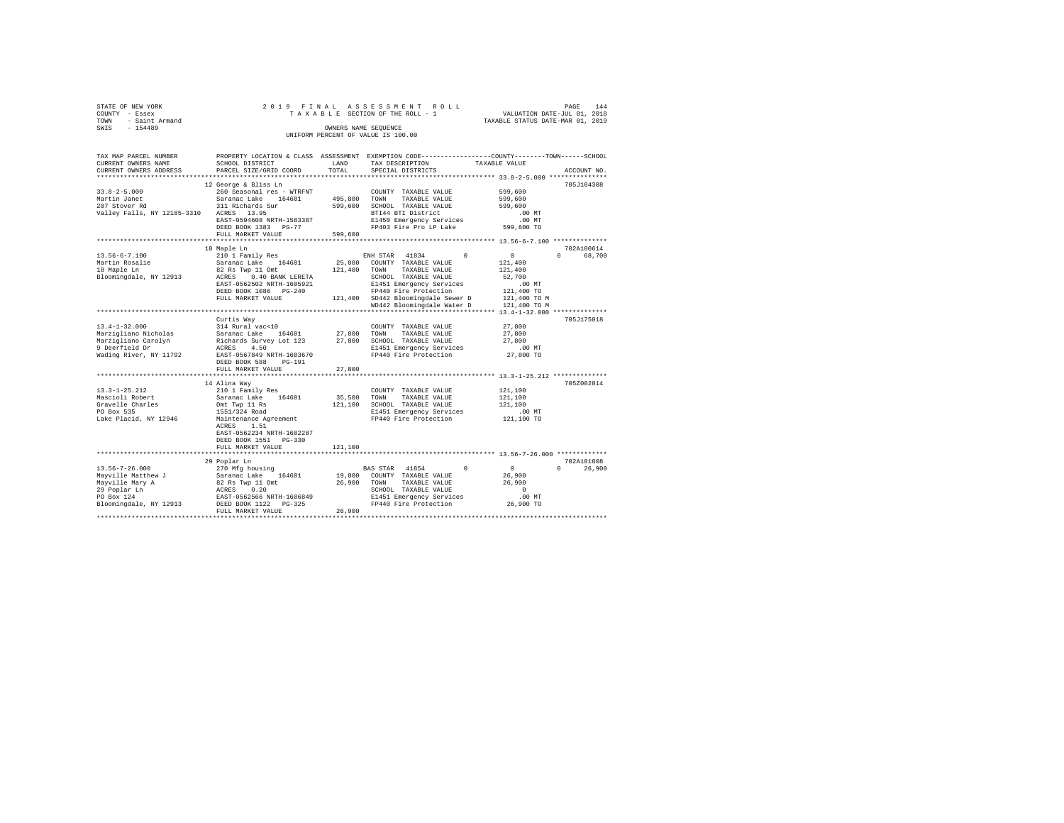|      | STATE OF NEW YORK |  |  |  |  | 2019 FINAL ASSESSMENT ROLL         |  |  |  |  |  |                                  |  | PAGE |  | 144 |
|------|-------------------|--|--|--|--|------------------------------------|--|--|--|--|--|----------------------------------|--|------|--|-----|
|      | COUNTY - Essex    |  |  |  |  | TAXABLE SECTION OF THE ROLL - 1    |  |  |  |  |  | VALUATION DATE-JUL 01, 2018      |  |      |  |     |
| TOWN | - Saint Armand    |  |  |  |  |                                    |  |  |  |  |  | TAXABLE STATUS DATE-MAR 01, 2019 |  |      |  |     |
| SWIS | $-154489$         |  |  |  |  | OWNERS NAME SEOUENCE               |  |  |  |  |  |                                  |  |      |  |     |
|      |                   |  |  |  |  | UNIFORM PERCENT OF VALUE IS 100.00 |  |  |  |  |  |                                  |  |      |  |     |

| TAX MAP PARCEL NUMBER<br>CURRENT OWNERS NAME<br>CURRENT OWNERS ADDRESS | PROPERTY LOCATION & CLASS ASSESSMENT<br>SCHOOL DISTRICT<br>PARCEL SIZE/GRID COORD | LAND<br>TOTAL | EXEMPTION CODE----------------COUNTY-------TOWN------SCHOOL<br>TAX DESCRIPTION<br>SPECIAL DISTRICTS | TAXABLE VALUE<br>ACCOUNT NO.  |
|------------------------------------------------------------------------|-----------------------------------------------------------------------------------|---------------|-----------------------------------------------------------------------------------------------------|-------------------------------|
| **********************                                                 |                                                                                   |               |                                                                                                     |                               |
|                                                                        | 12 George & Bliss Ln                                                              |               |                                                                                                     | 705J104308                    |
| $33.8 - 2 - 5.000$                                                     | 260 Seasonal res - WTRFNT                                                         |               | COUNTY TAXABLE VALUE                                                                                | 599,600                       |
| Martin Janet                                                           | Saranac Lake<br>164601                                                            | 495,800       | TOWN<br>TAXABLE VALUE                                                                               | 599,600                       |
| 207 Stover Rd                                                          | 311 Richards Sur                                                                  | 599,600       | SCHOOL TAXABLE VALUE                                                                                | 599,600                       |
| Valley Falls, NY 12185-3310                                            | ACRES 13.95                                                                       |               | BTI44 BTI District                                                                                  | $.00$ MT                      |
|                                                                        | EAST-0594608 NRTH-1583387                                                         |               | E1450 Emergency Services                                                                            |                               |
|                                                                        |                                                                                   |               | FP403 Fire Pro LP Lake                                                                              | .00 MT<br>599,600 TO          |
|                                                                        | DEED BOOK 1383 PG-77                                                              |               |                                                                                                     |                               |
|                                                                        | FULL MARKET VALUE                                                                 | 599,600       |                                                                                                     |                               |
|                                                                        |                                                                                   |               |                                                                                                     |                               |
|                                                                        | 18 Maple Ln                                                                       |               |                                                                                                     | 702A100614                    |
| $13.56 - 6 - 7.100$                                                    | 210 1 Family Res                                                                  |               | ENH STAR 41834<br>$^{\circ}$                                                                        | $\circ$<br>68,700<br>$\cap$   |
| Martin Rosalie                                                         | Saranac Lake<br>164601                                                            | 25,000        | COUNTY TAXABLE VALUE                                                                                | 121,400                       |
| 18 Maple Ln                                                            | 82 Rs Twp 11 Omt                                                                  | 121,400       | TOWN<br>TAXABLE VALUE                                                                               | 121,400                       |
| Bloomingdale, NY 12913                                                 | ACRES 0.40 BANK LERETA                                                            |               | SCHOOL TAXABLE VALUE                                                                                | 52,700                        |
|                                                                        | EAST-0562502 NRTH-1605921                                                         |               | E1451 Emergency Services                                                                            | $.00$ MT                      |
|                                                                        | DEED BOOK 1086 PG-240                                                             |               | FP440 Fire Protection                                                                               | 121,400 TO                    |
|                                                                        | FULL MARKET VALUE                                                                 |               | 121,400 SD442 Bloomingdale Sewer D                                                                  | 121,400 TO M                  |
|                                                                        |                                                                                   |               | WD442 Bloomingdale Water D                                                                          | 121,400 TO M                  |
|                                                                        |                                                                                   |               |                                                                                                     | *** $13.4 - 1 - 32.000$ *     |
|                                                                        | Curtis Way                                                                        |               |                                                                                                     | 705J175018                    |
| $13.4 - 1 - 32.000$                                                    | 314 Rural vac<10                                                                  |               | COUNTY TAXABLE VALUE                                                                                | 27,800                        |
| Marzigliano Nicholas                                                   | Saranac Lake 164601                                                               | 27,800        | TOWN<br>TAXABLE VALUE                                                                               | 27,800                        |
| Marzigliano Carolyn                                                    | Richards Survey Lot 123                                                           | 27,800        | SCHOOL TAXABLE VALUE                                                                                | 27,800                        |
| 9 Deerfield Dr                                                         | 4.50<br>ACRES                                                                     |               | E1451 Emergency Services                                                                            | $.00$ MT                      |
| Wading River, NY 11792                                                 | EAST-0567849 NRTH-1603670                                                         |               | FP440 Fire Protection                                                                               | 27,800 TO                     |
|                                                                        | DEED BOOK 588<br>$PG-191$                                                         |               |                                                                                                     |                               |
|                                                                        | FULL MARKET VALUE                                                                 | 27,800        |                                                                                                     |                               |
|                                                                        | ********************************                                                  |               |                                                                                                     |                               |
|                                                                        | 14 Alina Wav                                                                      |               |                                                                                                     | 705Z002014                    |
| $13.3 - 1 - 25.212$                                                    | 210 1 Family Res                                                                  |               | COUNTY TAXABLE VALUE                                                                                | 121,100                       |
| Mascioli Robert                                                        | Saranac Lake 164601                                                               | 35,500        | TOWN<br>TAXABLE VALUE                                                                               | 121,100                       |
| Gravelle Charles                                                       | Omt Twp 11 Rs                                                                     | 121,100       | SCHOOL TAXABLE VALUE                                                                                | 121,100                       |
| PO Box 535                                                             | 1551/324 Road                                                                     |               | E1451 Emergency Services                                                                            | $.00$ MT                      |
| Lake Placid, NY 12946                                                  | Maintenance Agreement                                                             |               | FP440 Fire Protection                                                                               | 121,100 TO                    |
|                                                                        | 1.51<br>ACRES                                                                     |               |                                                                                                     |                               |
|                                                                        | EAST-0562234 NRTH-1602287                                                         |               |                                                                                                     |                               |
|                                                                        | DEED BOOK 1551 PG-330                                                             |               |                                                                                                     |                               |
|                                                                        |                                                                                   |               |                                                                                                     |                               |
|                                                                        | FULL MARKET VALUE<br>**************************                                   | 121,100       |                                                                                                     |                               |
|                                                                        |                                                                                   |               |                                                                                                     |                               |
|                                                                        | 29 Poplar Ln                                                                      |               |                                                                                                     | 702A101808                    |
| $13.56 - 7 - 26.000$                                                   | 270 Mfg housing                                                                   |               | $^{\circ}$<br>BAS STAR 41854                                                                        | $\circ$<br>$\Omega$<br>26,900 |
| Mayville Matthew J                                                     | Saranac Lake 164601                                                               | 19,000        | COUNTY TAXABLE VALUE                                                                                | 26,900                        |
| Mayville Mary A                                                        | 82 Rs Twp 11 Omt                                                                  | 26,900        | TAXABLE VALUE<br>TOWN                                                                               | 26,900                        |
| 29 Poplar Ln                                                           | ACRES<br>0.20                                                                     |               | SCHOOL TAXABLE VALUE                                                                                | $\Omega$                      |
| PO Box 124                                                             | EAST-0562566 NRTH-1606849                                                         |               | E1451 Emergency Services                                                                            | $.00$ MT                      |
| Bloomingdale, NY 12913                                                 | DEED BOOK 1122 PG-325                                                             |               | FP440 Fire Protection                                                                               | 26,900 TO                     |
|                                                                        | FULL MARKET VALUE                                                                 | 26,900        |                                                                                                     |                               |
|                                                                        |                                                                                   |               |                                                                                                     |                               |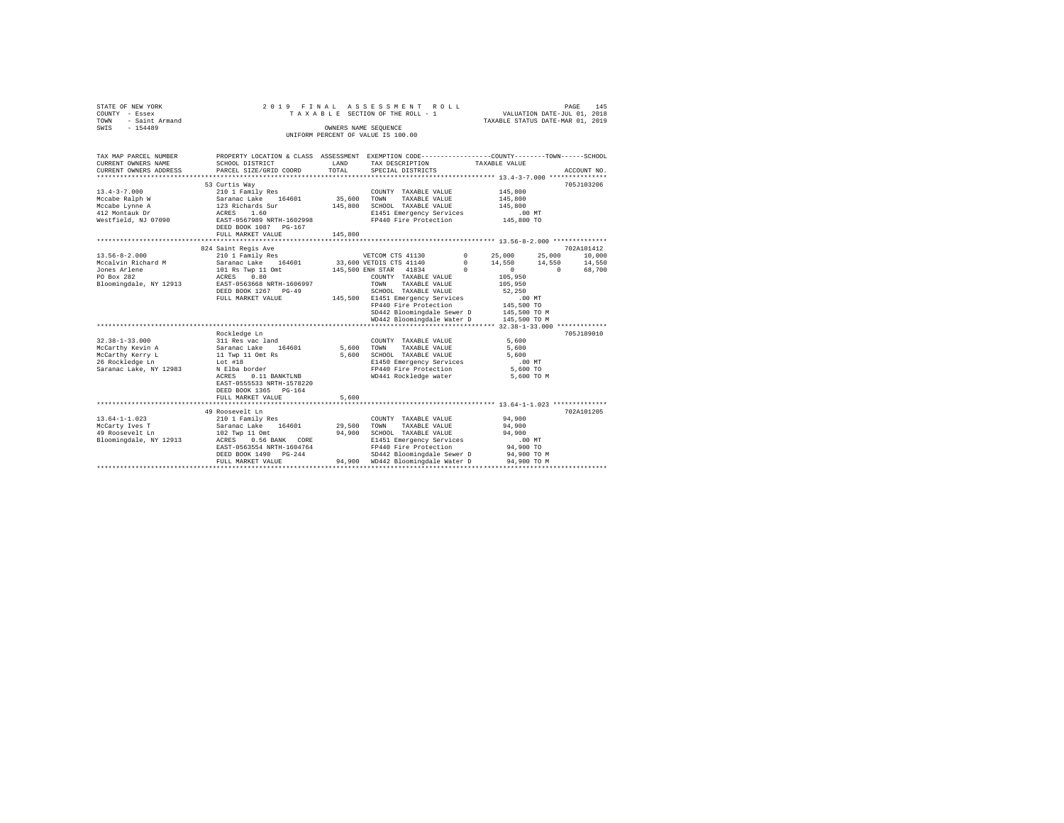|      | STATE OF NEW YORK   |  |  | 2019 FINAL ASSESSMENT ROLL         |                                  | PAGE | 145 |
|------|---------------------|--|--|------------------------------------|----------------------------------|------|-----|
|      | COUNTY - Essex      |  |  | TAXABLE SECTION OF THE ROLL - 1    | VALUATION DATE-JUL 01, 2018      |      |     |
|      | TOWN - Saint Armand |  |  |                                    | TAXABLE STATUS DATE-MAR 01, 2019 |      |     |
| SWIS | $-154489$           |  |  | OWNERS NAME SEOUENCE               |                                  |      |     |
|      |                     |  |  | UNIFORM PERCENT OF VALUE IS 100.00 |                                  |      |     |
|      |                     |  |  |                                    |                                  |      |     |

| TAX MAP PARCEL NUMBER  |                                   |         | PROPERTY LOCATION & CLASS ASSESSMENT EXEMPTION CODE----------------COUNTY-------TOWN-----SCHOOL |                                       |                    |
|------------------------|-----------------------------------|---------|-------------------------------------------------------------------------------------------------|---------------------------------------|--------------------|
| CURRENT OWNERS NAME    | SCHOOL DISTRICT                   | LAND    | TAX DESCRIPTION                                                                                 | TAXABLE VALUE                         |                    |
| CURRENT OWNERS ADDRESS | PARCEL SIZE/GRID COORD            | TOTAL.  | SPECIAL DISTRICTS                                                                               |                                       | ACCOUNT NO.        |
|                        |                                   |         |                                                                                                 |                                       |                    |
|                        | 53 Curtis Way                     |         |                                                                                                 |                                       | 705J103206         |
| $13.4 - 3 - 7.000$     | 210 1 Family Res                  |         | COUNTY TAXABLE VALUE                                                                            | 145,800                               |                    |
| Mccabe Ralph W         | 164601<br>Saranac Lake            | 35,600  | TOWN<br>TAXABLE VALUE                                                                           | 145,800                               |                    |
| Mccabe Lynne A         | 123 Richards Sur                  | 145,800 | SCHOOL TAXABLE VALUE                                                                            | 145,800                               |                    |
| 412 Montauk Dr         | 1.60<br>ACRES                     |         | E1451 Emergency Services                                                                        | $.00$ MT                              |                    |
| Westfield, NJ 07090    | EAST-0567989 NRTH-1602998         |         | FP440 Fire Protection                                                                           | 145,800 TO                            |                    |
|                        | DEED BOOK 1087 PG-167             |         |                                                                                                 |                                       |                    |
|                        | FULL MARKET VALUE                 | 145,800 |                                                                                                 |                                       |                    |
|                        |                                   |         |                                                                                                 |                                       |                    |
|                        | 824 Saint Regis Ave               |         |                                                                                                 |                                       | 702A101412         |
| $13.56 - 8 - 2.000$    | 210 1 Family Res                  |         | VETCOM CTS 41130                                                                                | $0 \qquad \qquad$<br>25,000<br>25,000 | 10,000             |
| Mccalvin Richard M     | Saranac Lake 164601               |         | 33,600 VETDIS CTS 41140                                                                         | $\sim$ 0<br>14,550<br>14,550          | 14,550             |
| Jones Arlene           | 101 Rs Twp 11 Omt                 |         | 145,500 ENH STAR 41834<br>$\Omega$                                                              | $\Omega$                              | 68,700<br>$\Omega$ |
| PO Box 282             | 0.80<br>ACRES                     |         | COUNTY TAXABLE VALUE                                                                            | 105,950                               |                    |
| Bloomingdale, NY 12913 | EAST-0563668 NRTH-1606997         |         | TOWN<br>TAXABLE VALUE                                                                           | 105,950                               |                    |
|                        | DEED BOOK 1267 PG-49              |         | SCHOOL TAXABLE VALUE                                                                            | 52,250                                |                    |
|                        | FULL MARKET VALUE                 |         | 145,500 E1451 Emergency Services                                                                | .00MT                                 |                    |
|                        |                                   |         | FP440 Fire Protection                                                                           | 145,500 TO                            |                    |
|                        |                                   |         | SD442 Bloomingdale Sewer D                                                                      | 145,500 TO M                          |                    |
|                        |                                   |         | WD442 Bloomingdale Water D                                                                      | 145,500 TO M                          |                    |
|                        |                                   |         |                                                                                                 |                                       |                    |
|                        | Rockledge Ln                      |         |                                                                                                 |                                       | 705J189010         |
| $32.38 - 1 - 33.000$   | 311 Res vac land                  |         | COUNTY TAXABLE VALUE                                                                            | 5,600                                 |                    |
| McCarthy Kevin A       | Saranac Lake<br>164601            | 5,600   | TOWN<br>TAXABLE VALUE                                                                           | 5,600                                 |                    |
| McCarthy Kerry L       | 11 Twp 11 Omt Rs                  | 5,600   | SCHOOL TAXABLE VALUE                                                                            | 5,600                                 |                    |
| 26 Rockledge Ln        | Lot #18                           |         | E1450 Emergency Services                                                                        | $.00$ MT                              |                    |
| Saranac Lake, NY 12983 | N Elba border                     |         | FP440 Fire Protection                                                                           | 5,600 TO                              |                    |
|                        | 0.11 BANKTLNB<br>ACRES            |         | WD441 Rockledge water                                                                           | 5,600 TO M                            |                    |
|                        | EAST-0555533 NRTH-1578220         |         |                                                                                                 |                                       |                    |
|                        | DEED BOOK 1365 PG-164             |         |                                                                                                 |                                       |                    |
|                        | FULL MARKET VALUE                 | 5,600   |                                                                                                 |                                       |                    |
|                        | ********************************* |         |                                                                                                 |                                       |                    |
|                        | 49 Roosevelt Ln                   |         |                                                                                                 |                                       | 702A101205         |
| $13.64 - 1 - 1.023$    | 210 1 Family Res                  |         | COUNTY TAXABLE VALUE                                                                            | 94,900                                |                    |
| McCarty Ives T         | Saranac Lake 164601               | 29,500  | TOWN<br>TAXABLE VALUE                                                                           | 94,900                                |                    |
| 49 Roosevelt Ln        | 102 Twp 11 Omt                    | 94,900  | SCHOOL TAXABLE VALUE                                                                            | 94,900                                |                    |
| Bloomingdale, NY 12913 | ACRES 0.56 BANK CORE              |         | E1451 Emergency Services                                                                        | .00MT                                 |                    |
|                        | EAST-0563554 NRTH-1604764         |         | FP440 Fire Protection                                                                           | 94,900 TO                             |                    |
|                        | DEED BOOK 1490 PG-244             |         | SD442 Bloomingdale Sewer D                                                                      | 94,900 TO M                           |                    |
|                        | FULL MARKET VALUE                 | 94,900  | WD442 Bloomingdale Water D                                                                      | 94,900 TO M                           |                    |
|                        |                                   |         |                                                                                                 |                                       |                    |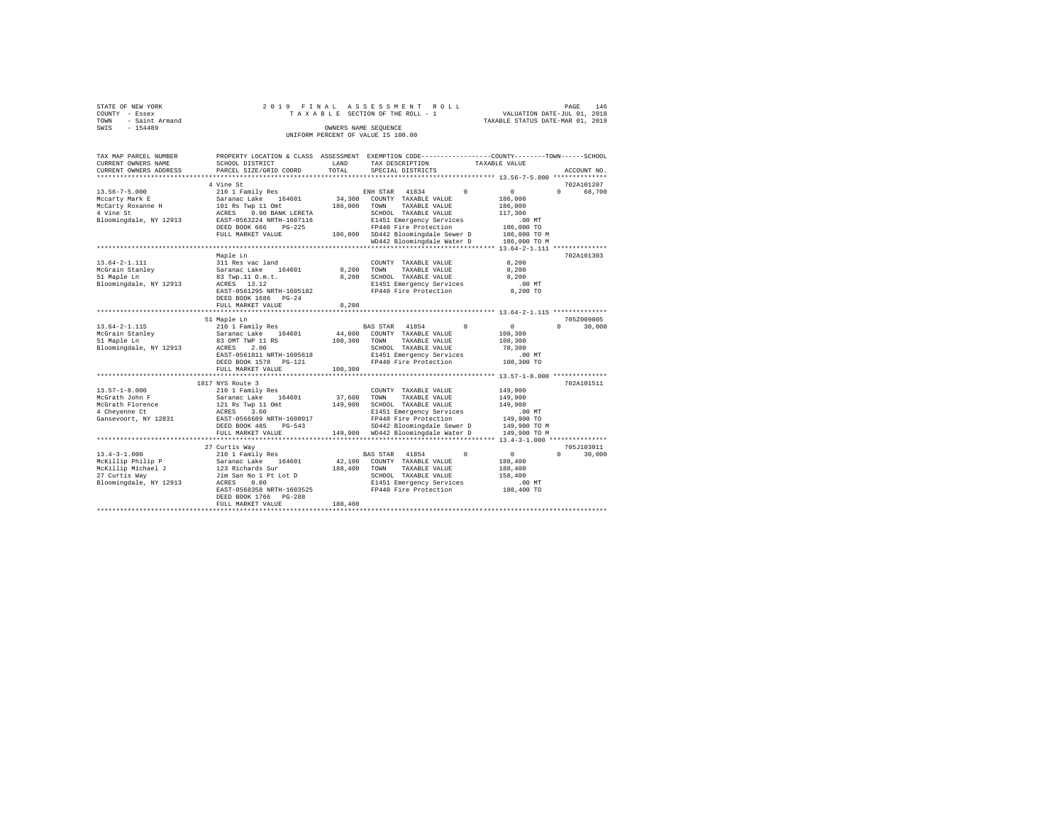|      | STATE OF NEW YORK |  |  |  | 2019 FINAL ASSESSMENT ROLL         |  |  |  |  |                                  |  | PAGE | 146 |
|------|-------------------|--|--|--|------------------------------------|--|--|--|--|----------------------------------|--|------|-----|
|      | COUNTY - Essex    |  |  |  | TAXABLE SECTION OF THE ROLL - 1    |  |  |  |  | VALUATION DATE-JUL 01, 2018      |  |      |     |
| TOWN | - Saint Armand    |  |  |  |                                    |  |  |  |  | TAXABLE STATUS DATE-MAR 01, 2019 |  |      |     |
| SWIS | $-154489$         |  |  |  | OWNERS NAME SEOUENCE               |  |  |  |  |                                  |  |      |     |
|      |                   |  |  |  | UNIFORM PERCENT OF VALUE IS 100.00 |  |  |  |  |                                  |  |      |     |

| TAX MAP PARCEL NUMBER<br>CURRENT OWNERS NAME                                                                   | PROPERTY LOCATION & CLASS ASSESSMENT EXEMPTION CODE----------------COUNTY-------TOWN------SCHOOL<br>SCHOOL DISTRICT                                                                   | LAND                 | TAX DESCRIPTION                                                                                                                                                                                        | TAXABLE VALUE |                                                                                      |                                  |
|----------------------------------------------------------------------------------------------------------------|---------------------------------------------------------------------------------------------------------------------------------------------------------------------------------------|----------------------|--------------------------------------------------------------------------------------------------------------------------------------------------------------------------------------------------------|---------------|--------------------------------------------------------------------------------------|----------------------------------|
| CURRENT OWNERS ADDRESS<br>*************************                                                            | PARCEL SIZE/GRID COORD                                                                                                                                                                | TOTAL                | SPECIAL DISTRICTS                                                                                                                                                                                      |               |                                                                                      | ACCOUNT NO.                      |
|                                                                                                                | 4 Vine St                                                                                                                                                                             |                      |                                                                                                                                                                                                        |               |                                                                                      | 702A101207                       |
| $13.56 - 7 - 5.000$<br>Mccarty Mark E<br>McCarty Roxanne H<br>4 Vine St<br>Bloomingdale, NY 12913              | 210 1 Family Res<br>Saranac Lake 164601<br>101 Rs Twp 11 Omt<br>ACRES 0.90 BANK LERETA<br>EAST-0563224 NRTH-1607116<br>DEED BOOK 666 PG-225<br>FULL MARKET VALUE                      | 186,000              | ENH STAR 41834<br>34,300 COUNTY TAXABLE VALUE<br>TOWN<br>TAXABLE VALUE<br>SCHOOL TAXABLE VALUE<br>E1451 Emergency Services<br>FP440 Fire Protection<br>186,000 SD442 Bloomingdale Sewer D 186,000 TO M | $\Omega$      | $\sim$ 0<br>186,000<br>186,000<br>117,300<br>$.00$ MT<br>186,000 TO                  | $\Omega$<br>68,700               |
|                                                                                                                |                                                                                                                                                                                       |                      | WD442 Bloomingdale Water D                                                                                                                                                                             |               | 186,000 TO M                                                                         |                                  |
|                                                                                                                |                                                                                                                                                                                       |                      |                                                                                                                                                                                                        |               |                                                                                      |                                  |
| $13.64 - 2 - 1.111$<br>McGrain Stanlev<br>51 Maple Ln<br>Bloomingdale, NY 12913                                | Maple Ln<br>311 Res vac land<br>Saranac Lake 164601<br>83 Twp.11 O.m.t.<br>ACRES 13.12<br>EAST-0561295 NRTH-1605182<br>DEED BOOK 1686 PG-24                                           | 8,200<br>8,200       | COUNTY TAXABLE VALUE<br>TAXABLE VALUE<br>TOWN<br>SCHOOL TAXABLE VALUE<br>E1451 Emergency Services<br>FP440 Fire Protection                                                                             |               | 8,200<br>8,200<br>8,200<br>$.00$ MT<br>8,200 TO                                      | 702A101303                       |
|                                                                                                                | FULL MARKET VALUE<br>*****************************                                                                                                                                    | 8.200<br>*********** |                                                                                                                                                                                                        |               |                                                                                      |                                  |
|                                                                                                                |                                                                                                                                                                                       |                      | ********************************* 13.64-2-1.115 ***************                                                                                                                                        |               |                                                                                      |                                  |
| 13.64-2-1.115<br>McGrain Stanley<br>McGrain Stanley<br>Bloomingdale, NY 12913                                  | 51 Maple Ln<br>210 1 Family Res<br>Saranac Lake 164601<br>83 OMT TWP 11 RS<br>ACRES<br>2.00<br>EAST-0561811 NRTH-1605618<br>DEED BOOK 1578 PG-121<br>FULL MARKET VALUE                | 108,300<br>108,300   | BAS STAR 41854<br>44,800 COUNTY TAXABLE VALUE<br>TOWN<br>TAXABLE VALUE<br>SCHOOL TAXABLE VALUE<br>E1451 Emergency Services<br>FP440 Fire Protection                                                    | $^{\circ}$    | $\sim$ 0<br>108,300<br>108,300<br>78,300<br>$.00$ MT<br>108,300 TO                   | 705Z009005<br>$\Omega$<br>30,000 |
|                                                                                                                |                                                                                                                                                                                       |                      |                                                                                                                                                                                                        |               |                                                                                      |                                  |
| $13.57 - 1 - 8.000$<br>McGrath John F<br>McGrath Florence<br>4 Cheyenne Ct<br>Gansevoort, NY 12831             | 1817 NYS Route 3<br>210 1 Family Res<br>Saranac Lake 164601<br>121 Rs Twp 11 Omt<br>ACRES<br>3.60<br>EAST-0566689 NRTH-1608017<br>DEED BOOK 485<br>$PG-543$<br>FULL MARKET VALUE      | 37,600<br>149,900    | COUNTY TAXABLE VALUE<br>TOWN<br>TAXABLE VALUE<br>SCHOOL TAXABLE VALUE<br>E1451 Emergency Services<br>FP440 Fire Protection<br>SD442 Bloomingdale Sewer D<br>149,900 WD442 Bloomingdale Water D         |               | 149,900<br>149,900<br>149,900<br>.00MT<br>149,900 TO<br>149,900 TO M<br>149,900 TO M | 702A101511                       |
|                                                                                                                |                                                                                                                                                                                       |                      |                                                                                                                                                                                                        |               |                                                                                      |                                  |
|                                                                                                                | 27 Curtis Way                                                                                                                                                                         |                      |                                                                                                                                                                                                        |               |                                                                                      | 705J103011                       |
| $13.4 - 3 - 1.000$<br>McKillip Philip P<br>McKillip Michael J<br>27 Curtis Way<br>Bloomingdale, NY 12913 ACRES | 210 1 Family Res<br>Saranac Lake 164601<br>123 Richards Sur<br>Jim San No 1 Pt Lot D<br>ACRES 0.80<br>0.80<br>EAST-0568358 NRTH-1603525<br>DEED BOOK 1766 PG-288<br>FULL MARKET VALUE | 188,400<br>188,400   | BAS STAR 41854<br>42,100 COUNTY TAXABLE VALUE<br>TOWN<br>TAXABLE VALUE<br>SCHOOL TAXABLE VALUE<br>E1451 Emergency Services<br>FP440 Fire Protection                                                    | $^{\circ}$    | $\sim$ 0<br>188,400<br>188,400<br>158,400<br>$.00$ MT<br>188,400 TO                  | $\Omega$<br>30,000               |
|                                                                                                                |                                                                                                                                                                                       |                      |                                                                                                                                                                                                        |               |                                                                                      |                                  |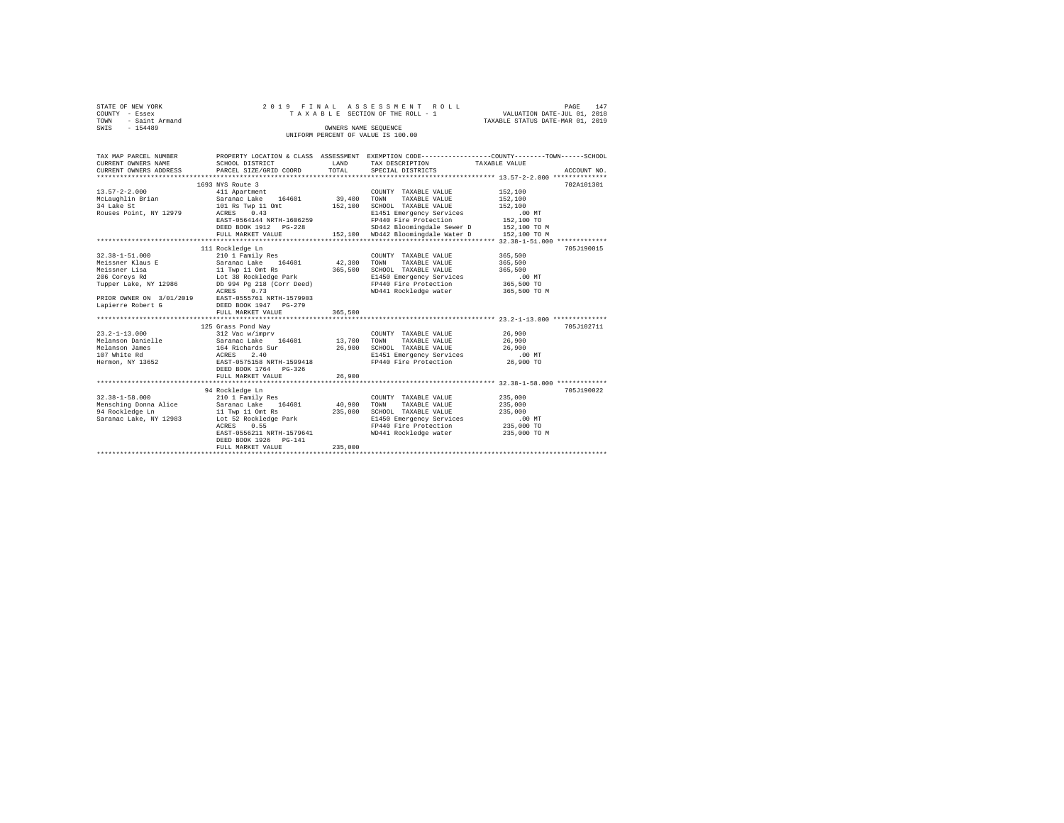| STATE OF NEW YORK   | 2019 FINAL ASSESSMENT ROLL         |                                  | PAGE | 147 |
|---------------------|------------------------------------|----------------------------------|------|-----|
| COUNTY - Essex      | TAXABLE SECTION OF THE ROLL - 1    | VALUATION DATE-JUL 01, 2018      |      |     |
| TOWN - Saint Armand |                                    | TAXABLE STATUS DATE-MAR 01, 2019 |      |     |
| SWIS<br>- 154489    | OWNERS NAME SEOUENCE               |                                  |      |     |
|                     | UNIFORM PERCENT OF VALUE IS 100.00 |                                  |      |     |
|                     |                                    |                                  |      |     |

| TAX MAP PARCEL NUMBER     |                                                    |             |                                         | PROPERTY LOCATION & CLASS ASSESSMENT EXEMPTION CODE----------------COUNTY-------TOWN-----SCHOOL |
|---------------------------|----------------------------------------------------|-------------|-----------------------------------------|-------------------------------------------------------------------------------------------------|
| CURRENT OWNERS NAME       | SCHOOL DISTRICT                                    | LAND        | TAX DESCRIPTION                         | TAXABLE VALUE                                                                                   |
| CURRENT OWNERS ADDRESS    | PARCEL SIZE/GRID COORD                             | TOTAL       | SPECIAL DISTRICTS                       | ACCOUNT NO.                                                                                     |
| ************************* |                                                    |             |                                         |                                                                                                 |
|                           | 1693 NYS Route 3                                   |             |                                         | 702A101301                                                                                      |
| $13.57 - 2 - 2.000$       | 411 Apartment                                      |             | COUNTY TAXABLE VALUE                    | 152,100                                                                                         |
| McLaughlin Brian          | Saranac Lake 164601                                | 39,400      | TOWN<br>TAXABLE VALUE                   | 152,100                                                                                         |
| 34 Lake St                | 101 Rs Twp 11 Omt                                  | 152,100     | SCHOOL TAXABLE VALUE                    | 152,100                                                                                         |
| Rouses Point, NY 12979    | ACRES<br>0.43                                      |             | E1451 Emergency Services                | .00MT                                                                                           |
|                           | EAST-0564144 NRTH-1606259                          |             | FP440 Fire Protection 152,100 TO        |                                                                                                 |
|                           | DEED BOOK 1912 PG-228                              |             | SD442 Bloomingdale Sewer D 152,100 TO M |                                                                                                 |
|                           | FULL MARKET VALUE                                  |             | 152,100 WD442 Bloomingdale Water D      | 152,100 TO M                                                                                    |
|                           |                                                    |             |                                         |                                                                                                 |
|                           | 111 Rockledge Ln                                   |             |                                         | 705J190015                                                                                      |
| $32.38 - 1 - 51.000$      | 210 1 Family Res                                   |             | COUNTY TAXABLE VALUE                    | 365,500                                                                                         |
| Meissner Klaus E          | Saranac Lake 164601 42,300                         |             | TOWN<br>TAXABLE VALUE                   | 365,500                                                                                         |
| Meissner Lisa             | 11 Twp 11 Omt Rs                                   | 365,500     | SCHOOL TAXABLE VALUE                    | 365,500                                                                                         |
| 206 Coreys Rd             | Lot 38 Rockledge Park                              |             | E1450 Emergency Services                | $.00$ MT                                                                                        |
| Tupper Lake, NY 12986     | Db 994 Pg 218 (Corr Deed)                          |             | FP440 Fire Protection                   | 365,500 TO                                                                                      |
|                           | ACRES 0.73                                         |             | WD441 Rockledge water                   | 365,500 TO M                                                                                    |
|                           | PRIOR OWNER ON 3/01/2019 EAST-0555761 NRTH-1579903 |             |                                         |                                                                                                 |
| Lapierre Robert G         | DEED BOOK 1947 PG-279                              |             |                                         |                                                                                                 |
|                           | FULL MARKET VALUE                                  | 365,500     |                                         |                                                                                                 |
|                           |                                                    |             |                                         |                                                                                                 |
|                           | 125 Grass Pond Way                                 |             |                                         | 705J102711                                                                                      |
| $23.2 - 1 - 13.000$       | 312 Vac w/imprv                                    |             | COUNTY TAXABLE VALUE                    | 26,900                                                                                          |
| Melanson Danielle         |                                                    | 13,700 TOWN | TAXABLE VALUE                           | 26,900                                                                                          |
| Melanson James            | Saranac Lake 164601<br>164 Richards Sur            | 26,900      | SCHOOL TAXABLE VALUE                    | 26,900                                                                                          |
| 107 White Rd              | ACRES<br>2.40                                      |             | E1451 Emergency Services                | $.00$ MT                                                                                        |
|                           | Hermon, NY 13652 EAST-0575158 NRTH-1599418         |             | FP440 Fire Protection                   | 26,900 TO                                                                                       |
|                           | DEED BOOK 1764 PG-326                              |             |                                         |                                                                                                 |
|                           | FULL MARKET VALUE                                  | 26,900      |                                         |                                                                                                 |
|                           |                                                    |             |                                         |                                                                                                 |
|                           | 94 Rockledge Ln                                    |             |                                         | 705J190022                                                                                      |
| $32.38 - 1 - 58.000$      | 210 1 Family Res                                   |             | COUNTY TAXABLE VALUE                    | 235,000                                                                                         |
| Mensching Donna Alice     | Saranac Lake 164601                                | 40,900      | TOWN<br>TAXABLE VALUE                   | 235,000                                                                                         |
| 94 Rockledge Ln           | 11 Twp 11 Omt Rs                                   | 235,000     | SCHOOL TAXABLE VALUE                    | 235,000                                                                                         |
| Saranac Lake, NY 12983    | Lot 52 Rockledge Park                              |             | E1450 Emergency Services                | $.00$ MT                                                                                        |
|                           | ACRES 0.55                                         |             | FP440 Fire Protection                   | 235,000 TO                                                                                      |
|                           | EAST-0556211 NRTH-1579641                          |             | WD441 Rockledge water                   | 235,000 TO M                                                                                    |
|                           | DEED BOOK 1926 PG-141                              |             |                                         |                                                                                                 |
|                           | FULL MARKET VALUE                                  | 235,000     |                                         |                                                                                                 |
|                           |                                                    |             |                                         |                                                                                                 |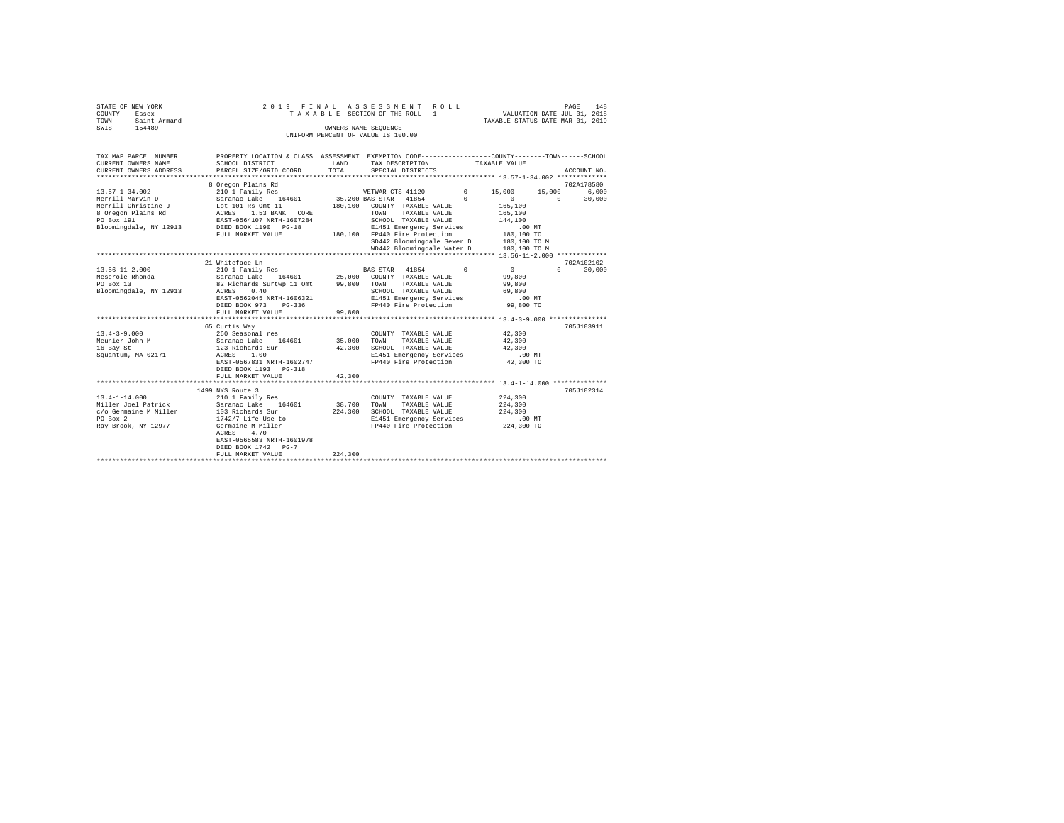| STATE OF NEW YORK      | 2019 FINAL ASSESSMENT ROLL         | 148<br>PAGE                      |
|------------------------|------------------------------------|----------------------------------|
| COUNTY - Essex         | TAXABLE SECTION OF THE ROLL - 1    | VALUATION DATE-JUL 01, 2018      |
| - Saint Armand<br>TOWN |                                    | TAXABLE STATUS DATE-MAR 01, 2019 |
| SWIS<br>$-154489$      | OWNERS NAME SEOUENCE               |                                  |
|                        | UNIFORM PERCENT OF VALUE IS 100.00 |                                  |

| TAX MAP PARCEL NUMBER<br>CURRENT OWNERS NAME<br>CURRENT OWNERS ADDRESS                                                        | PROPERTY LOCATION & CLASS ASSESSMENT EXEMPTION CODE----------------COUNTY-------TOWN------SCHOOL<br>SCHOOL DISTRICT<br>PARCEL SIZE/GRID COORD                                                                        | LAND<br>TOTAL                | TAX DESCRIPTION<br>SPECIAL DISTRICTS                                                                                                                                                                                               | TAXABLE VALUE                                                                              | ACCOUNT NO.                                                               |
|-------------------------------------------------------------------------------------------------------------------------------|----------------------------------------------------------------------------------------------------------------------------------------------------------------------------------------------------------------------|------------------------------|------------------------------------------------------------------------------------------------------------------------------------------------------------------------------------------------------------------------------------|--------------------------------------------------------------------------------------------|---------------------------------------------------------------------------|
| $13.57 - 1 - 34.002$<br>Merrill Marvin D<br>Merrill Christine J<br>8 Oregon Plains Rd<br>PO Box 191<br>Bloomingdale, NY 12913 | 8 Oregon Plains Rd<br>210 1 Family Res<br>Saranac Lake 164601<br>Lot 101 Rs Omt 11<br>ACRES 1.53 BANK CORE<br>EAST-0564107 NRTH-1607284<br>DEED BOOK 1190 PG-18<br>FULL MARKET VALUE                                 |                              | VETWAR CTS 41120<br>35,200 BAS STAR 41854<br>180.100 COUNTY TAXABLE VALUE<br>TAXABLE VALUE<br>TOWN<br>SCHOOL TAXABLE VALUE<br>E1451 Emergency Services<br>180.100 FP440 Fire Protection<br>SD442 Bloomingdale Sewer D 180,100 TO M | $^{\circ}$<br>15,000<br>$\Omega$<br>$\circ$<br>165,100<br>165,100<br>144,100<br>180,100 TO | 702A178580<br>6.000<br>15,000<br>$\Omega$<br>30,000<br>.00MT              |
| $13.56 - 11 - 2.000$<br>Meserole Rhonda<br>PO Box 13<br>Bloomingdale, NY 12913                                                | 21 Whiteface Ln<br>210 1 Family Res<br>Saranac Lake 164601 25,000 COUNTY TAXABLE VALUE<br>82 Richards Surtwp 11 Omt<br>0.40<br>ACRES<br>EAST-0562045 NRTH-1606321<br>DEED BOOK 973<br>$PG-336$<br>FULL MARKET VALUE  | 99,800<br>99,800             | WD442 Bloomingdale Water D<br>BAS STAR 41854<br>TOWN<br>TAXABLE VALUE<br>SCHOOL TAXABLE VALUE<br>E1451 Emergency Services<br>FP440 Fire Protection                                                                                 | $\Omega$<br>$\mathbf{0}$<br>99,800<br>99,800<br>69,800                                     | 180,100 TO M<br>702A102102<br>$\Omega$<br>30,000<br>$.00$ MT<br>99,800 TO |
| $13.4 - 3 - 9.000$<br>Meunier John M<br>16 Bay St<br>Squantum, MA 02171                                                       | 65 Curtis Way<br>260 Seasonal res<br>164601<br>Saranac Lake 164601<br>123 Richards Sur<br>ACRES 1.00<br>EAST-0567831 NRTH-1602747<br>DEED BOOK 1193 PG-318<br>FULL MARKET VALUE                                      | 35,000<br>42,300<br>42,300   | COUNTY TAXABLE VALUE<br>TOWN<br>TAXABLE VALUE<br>SCHOOL TAXABLE VALUE<br>E1451 Emergency Services<br>FP440 Fire Protection 42,300 TO                                                                                               | 42,300<br>42,300<br>42,300<br>.00 MT                                                       | 705.T103911                                                               |
| $13.4 - 1 - 14.000$<br>Miller Joel Patrick Saranac Lake<br>c/o Germaine M Miller<br>PO Box 2<br>Ray Brook, NY 12977           | 1499 NYS Route 3<br>210 1 Family Res<br>164601<br>103 Richards Sur<br>103 Richard .<br>1742/7 Life Use to<br>$\sim$ Willer<br>ACRES<br>4.70<br>EAST-0565583 NRTH-1601978<br>DEED BOOK 1742 PG-7<br>FULL MARKET VALUE | 38,700<br>224,300<br>224,300 | COUNTY TAXABLE VALUE<br>TOWN<br>TAXABLE VALUE<br>SCHOOL TAXABLE VALUE<br>E1451 Emergency Services<br>FP440 Fire Protection                                                                                                         | 224,300<br>224,300<br>224,300                                                              | 705J102314<br>$.00$ MT<br>224,300 TO                                      |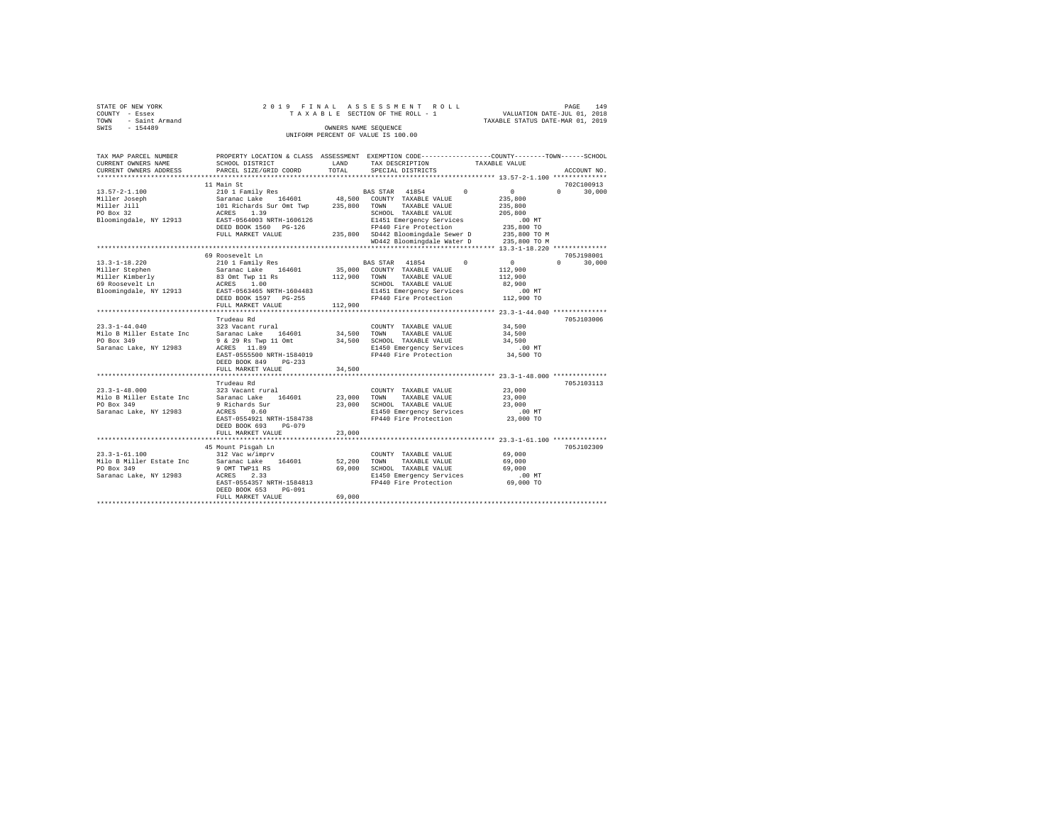|                | STATE OF NEW YORK   |  |  |  | 2019 FINAL ASSESSMENT ROLL         |  |  |  |  |  |  |                                  |                             | PAGE | 149 |  |
|----------------|---------------------|--|--|--|------------------------------------|--|--|--|--|--|--|----------------------------------|-----------------------------|------|-----|--|
| COUNTY - Essex |                     |  |  |  | TAXABLE SECTION OF THE ROLL - 1    |  |  |  |  |  |  |                                  | VALUATION DATE-JUL 01, 2018 |      |     |  |
|                | TOWN - Saint Armand |  |  |  |                                    |  |  |  |  |  |  | TAXABLE STATUS DATE-MAR 01, 2019 |                             |      |     |  |
| SWIS           | $-154489$           |  |  |  | OWNERS NAME SEOUENCE               |  |  |  |  |  |  |                                  |                             |      |     |  |
|                |                     |  |  |  | UNIFORM PERCENT OF VALUE IS 100.00 |  |  |  |  |  |  |                                  |                             |      |     |  |

| TAX MAP PARCEL NUMBER<br>CURRENT OWNERS NAME                 | PROPERTY LOCATION & CLASS ASSESSMENT EXEMPTION CODE---------------COUNTY-------TOWN------SCHOOL<br>SCHOOL DISTRICT | LAND    | TAX DESCRIPTION                                             | TAXABLE VALUE                                |                                  |
|--------------------------------------------------------------|--------------------------------------------------------------------------------------------------------------------|---------|-------------------------------------------------------------|----------------------------------------------|----------------------------------|
| CURRENT OWNERS ADDRESS                                       | PARCEL SIZE/GRID COORD                                                                                             | TOTAL   | SPECIAL DISTRICTS                                           |                                              | ACCOUNT NO.                      |
| *************************                                    |                                                                                                                    |         |                                                             |                                              |                                  |
|                                                              | 11 Main St<br>210 1 Family Res                                                                                     |         | BAS STAR 41854 0                                            | $\sim$ 0                                     | 702C100913<br>$\Omega$<br>30,000 |
| 13.57-2-1.100<br>Miller Joseph<br>Miller Jill<br>Andrew Cons |                                                                                                                    |         |                                                             | 235,800                                      |                                  |
|                                                              |                                                                                                                    |         |                                                             | 235,800                                      |                                  |
|                                                              |                                                                                                                    |         |                                                             | 205,800                                      |                                  |
| Bloomingdale, NY 12913 EAST-0564003 NRTH-1606126             |                                                                                                                    |         | E1451 Emergency Services                                    | $.00$ MT                                     |                                  |
|                                                              | DEED BOOK 1560 PG-126                                                                                              |         | FP440 Fire Protection                                       | 235,800 TO                                   |                                  |
|                                                              | FULL MARKET VALUE                                                                                                  |         | 235,800 SD442 Bloomingdale Sewer D 235,800 TO M             |                                              |                                  |
|                                                              |                                                                                                                    |         | WD442 Bloomingdale Water D                                  | 235,800 TO M                                 |                                  |
|                                                              |                                                                                                                    |         |                                                             |                                              |                                  |
|                                                              | 69 Roosevelt Ln                                                                                                    |         |                                                             |                                              | 705J198001                       |
| $13.3 - 1 - 18.220$                                          | 210 1 Family Res                                                                                                   |         | BAS STAR 41854 0                                            | $\sim$ 0                                     | 30,000<br>$\Omega$ and $\Omega$  |
| Miller Stephen                                               |                                                                                                                    |         | 35,000 COUNTY TAXABLE VALUE                                 | 112,900                                      |                                  |
| Miller Kimberly                                              |                                                                                                                    |         | TAXABLE VALUE                                               | 112,900                                      |                                  |
| 69 Roosevelt Ln                                              |                                                                                                                    |         | SCHOOL TAXABLE VALUE                                        | 82,900                                       |                                  |
| Bloomingdale, NY 12913 EAST-0563465 NRTH-1604483             |                                                                                                                    |         | E1451 Emergency Services                                    | $.00$ MT                                     |                                  |
|                                                              | DEED BOOK 1597 PG-255                                                                                              |         | FP440 Fire Protection                                       | 112,900 TO                                   |                                  |
|                                                              | FULL MARKET VALUE                                                                                                  | 112,900 |                                                             |                                              |                                  |
|                                                              | ***********************************                                                                                |         |                                                             |                                              |                                  |
|                                                              | Trudeau Rd                                                                                                         |         |                                                             |                                              | 705J103006                       |
| $23.3 - 1 - 44.040$                                          | 323 Vacant rural                                                                                                   |         | COUNTY TAXABLE VALUE                                        | 34,500                                       |                                  |
| Milo B Miller Estate Inc                                     | Saranac Lake 164601                                                                                                | 34,500  | TOWN<br>TAXABLE VALUE                                       | 34,500<br>34,500                             |                                  |
| PO Box 349                                                   | 9 & 29 Rs Twp 11 Omt                                                                                               |         | 34,500 SCHOOL TAXABLE VALUE                                 |                                              |                                  |
| Saranac Lake, NY 12983                                       | ACRES 11.89                                                                                                        |         | E1450 Emergency Services<br>FP440 Fire Protection           |                                              |                                  |
|                                                              | EAST-0555500 NRTH-1584019                                                                                          |         |                                                             | $34,500$ TO                                  |                                  |
|                                                              | DEED BOOK 849<br>$PG-233$                                                                                          |         |                                                             |                                              |                                  |
|                                                              | FULL MARKET VALUE                                                                                                  | 34,500  |                                                             |                                              |                                  |
|                                                              | ********************                                                                                               |         |                                                             | *************** 23.3-1-48.000 ************** |                                  |
|                                                              | Trudeau Rd                                                                                                         |         |                                                             |                                              | 705J103113                       |
| $23.3 - 1 - 48.000$                                          | 323 Vacant rural<br>Saranac Lake 164601                                                                            |         | COUNTY TAXABLE VALUE                                        | 23,000                                       |                                  |
| Milo B Miller Estate Inc                                     |                                                                                                                    |         | 23,000 TOWN<br>TAXABLE VALUE                                | 23,000                                       |                                  |
| PO Box 349                                                   | 9 Richards Sur $23,000$ SCHOOL TAXABLE VALUE                                                                       |         |                                                             | 23,000                                       |                                  |
| Saranac Lake, NY 12983                                       | ACRES<br>0.60<br>EAST-0554921 NRTH-1584738                                                                         |         | E1450 Emergency Services<br>FP440 Fire Protection 23,000 TO | $.00$ MT                                     |                                  |
|                                                              | DEED BOOK 693 PG-079                                                                                               |         |                                                             |                                              |                                  |
|                                                              | FULL MARKET VALUE                                                                                                  | 23,000  |                                                             |                                              |                                  |
|                                                              |                                                                                                                    |         |                                                             |                                              |                                  |
|                                                              | 45 Mount Pisgah Ln                                                                                                 |         |                                                             |                                              | 705J102309                       |
| $23.3 - 1 - 61.100$                                          | 312 Vac w/imprv                                                                                                    |         | COUNTY TAXABLE VALUE                                        | 69,000                                       |                                  |
| Milo B Miller Estate Inc Saranac Lake 164601                 |                                                                                                                    | 52,200  | TOWN<br>TAXABLE VALUE                                       | 69,000                                       |                                  |
| PO Box 349                                                   |                                                                                                                    | 69,000  | SCHOOL TAXABLE VALUE                                        | 69,000                                       |                                  |
| Saranac Lake, NY 12983                                       | 9 OMT TWP11 RS<br>ACRES 2.33<br>ACRES                                                                              |         | E1450 Emergency Services .00 MT                             |                                              |                                  |
|                                                              | EAST-0554357 NRTH-1584813                                                                                          |         | FP440 Fire Protection                                       | 69,000 TO                                    |                                  |
|                                                              | DEED BOOK 653<br>PG-091                                                                                            |         |                                                             |                                              |                                  |
|                                                              | FULL MARKET VALUE                                                                                                  | 69,000  |                                                             |                                              |                                  |
|                                                              |                                                                                                                    |         |                                                             |                                              |                                  |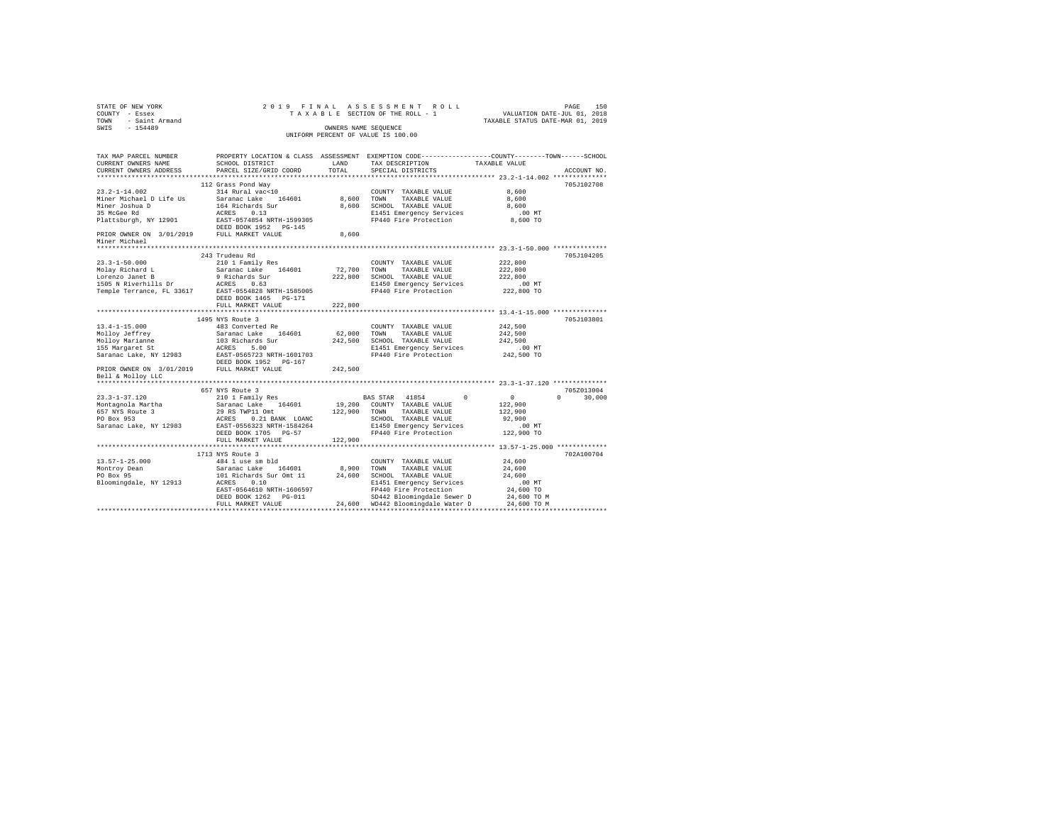| $\begin{array}{cccccc} \texttt{STATE OF NEW YORK} & & & & & & & & & 2\ 0 & 1 & 9 & \texttt{F} \text{ I} \text{ N} \text{ A} \text{ L} & \text{ A} \text{ S} \text{ S} \text{ E} \text{ S} \text{ M} \text{ E} \text{ N} \text{ T} & \text{ R} \text{ O} \text{ L} \text{L} \end{array}$ |                                            |         | PAGE 150 PLA A S S E S S M E N T R O L L PAGE 150 PAGE 150 PAGE 150 PAGE 150 PAGE 150 PAGE 150 PAGE 150 PLA A COLL TA K A COLL TA XABLE STATUS DATE-NAR 01, 2019 |                    |               |
|-----------------------------------------------------------------------------------------------------------------------------------------------------------------------------------------------------------------------------------------------------------------------------------------|--------------------------------------------|---------|------------------------------------------------------------------------------------------------------------------------------------------------------------------|--------------------|---------------|
|                                                                                                                                                                                                                                                                                         |                                            |         |                                                                                                                                                                  |                    |               |
|                                                                                                                                                                                                                                                                                         |                                            |         |                                                                                                                                                                  |                    |               |
|                                                                                                                                                                                                                                                                                         |                                            |         |                                                                                                                                                                  |                    |               |
|                                                                                                                                                                                                                                                                                         |                                            |         | UNIFORM PERCENT OF VALUE IS 100.00                                                                                                                               |                    |               |
|                                                                                                                                                                                                                                                                                         |                                            |         |                                                                                                                                                                  |                    |               |
|                                                                                                                                                                                                                                                                                         |                                            |         |                                                                                                                                                                  |                    |               |
| TAX MAP PARCEL NUMBER                                                                                                                                                                                                                                                                   |                                            |         | PROPERTY LOCATION & CLASS ASSESSMENT EXEMPTION CODE---------------COUNTY-------TOWN-----SCHOOL                                                                   |                    |               |
| CURRENT OWNERS NAME                                                                                                                                                                                                                                                                     | SCHOOL DISTRICT LAND                       |         | TAX DESCRIPTION                                                                                                                                                  | TAXABLE VALUE      |               |
| CURRENT OWNERS ADDRESS                                                                                                                                                                                                                                                                  | PARCEL SIZE/GRID COORD                     | TOTAL   | SPECIAL DISTRICTS                                                                                                                                                |                    | ACCOUNT NO.   |
|                                                                                                                                                                                                                                                                                         |                                            |         |                                                                                                                                                                  |                    |               |
|                                                                                                                                                                                                                                                                                         | 112 Grass Pond Way                         |         |                                                                                                                                                                  |                    | 705J102708    |
| $23.2 - 1 - 14.002$                                                                                                                                                                                                                                                                     | 314 Rural vac<10                           |         | COUNTY TAXABLE VALUE                                                                                                                                             | 8,600              |               |
| Miner Michael D Life Us Saranac Lake 164601                                                                                                                                                                                                                                             |                                            |         | 8,600 TOWN TAXABLE VALUE                                                                                                                                         | 8,600              |               |
|                                                                                                                                                                                                                                                                                         |                                            |         | 8,600 SCHOOL TAXABLE VALUE                                                                                                                                       | 8,600              |               |
| Miner Michael D Duits Company<br>Miner Joshua D D - 164 Richards Sur<br>35 McGee Rd - RACRES 0.13<br>Flattsburgh, NY 12901 - EAST-0574854 NRTH-1599305<br>ERED BOOK 1952 PG-145                                                                                                         |                                            |         | E1451 Emergency Services<br>FP440 Fire Protection                                                                                                                | $.00$ MT           |               |
|                                                                                                                                                                                                                                                                                         |                                            |         |                                                                                                                                                                  | 8,600 TO           |               |
|                                                                                                                                                                                                                                                                                         |                                            | 8,600   |                                                                                                                                                                  |                    |               |
| DEED BOOK 1952 PG-145<br>Minor Michael 3/01/2019 PULL MARKET VALUE<br>Miner Michael                                                                                                                                                                                                     |                                            |         |                                                                                                                                                                  |                    |               |
|                                                                                                                                                                                                                                                                                         |                                            |         |                                                                                                                                                                  |                    |               |
|                                                                                                                                                                                                                                                                                         | 243 Trudeau Rd                             |         |                                                                                                                                                                  |                    | 705J104205    |
| $23.3 - 1 - 50.000$                                                                                                                                                                                                                                                                     | 210 1 Family Res                           |         | COUNTY TAXABLE VALUE                                                                                                                                             | 222,800            |               |
|                                                                                                                                                                                                                                                                                         |                                            |         |                                                                                                                                                                  |                    |               |
|                                                                                                                                                                                                                                                                                         |                                            |         |                                                                                                                                                                  | 222,800<br>222,800 |               |
|                                                                                                                                                                                                                                                                                         |                                            |         |                                                                                                                                                                  | $.00$ MT           |               |
|                                                                                                                                                                                                                                                                                         |                                            |         |                                                                                                                                                                  | 222,800 TO         |               |
|                                                                                                                                                                                                                                                                                         |                                            |         |                                                                                                                                                                  |                    |               |
|                                                                                                                                                                                                                                                                                         | DEED BOOK 1465 PG-171<br>FULL MARKET VALUE |         |                                                                                                                                                                  |                    |               |
|                                                                                                                                                                                                                                                                                         |                                            | 222,800 |                                                                                                                                                                  |                    |               |
|                                                                                                                                                                                                                                                                                         | 1495 NYS Route 3                           |         |                                                                                                                                                                  |                    | 705J103801    |
| $13.4 - 1 - 15.000$                                                                                                                                                                                                                                                                     | 483 Converted Re                           |         | COUNTY TAXABLE VALUE                                                                                                                                             | 242,500            |               |
|                                                                                                                                                                                                                                                                                         |                                            |         | 62,000 TOWN TAXABLE VALUE                                                                                                                                        | 242,500            |               |
| Molloy Jeffrey<br>Molloy Jeffrey<br>103 Richards Saranac Lake 164601<br>155 Margaret St<br>Saranac Lake, NY 12983<br>103 Richards 201711-1601703<br>102 RED BOOK 1952<br>PRIOR OWNER ON 3/01/2019<br>102 RD BOOK 1952<br>102 ROLEY ROLEY                                                |                                            |         | 242,500 SCHOOL TAXABLE VALUE                                                                                                                                     | 242,500            |               |
|                                                                                                                                                                                                                                                                                         |                                            |         | E1451 Emergency Services                                                                                                                                         | .00 MT             |               |
|                                                                                                                                                                                                                                                                                         |                                            |         | FP440 Fire Protection                                                                                                                                            | 242,500 TO         |               |
|                                                                                                                                                                                                                                                                                         |                                            |         |                                                                                                                                                                  |                    |               |
|                                                                                                                                                                                                                                                                                         |                                            | 242,500 |                                                                                                                                                                  |                    |               |
| Bell & Molloy LLC                                                                                                                                                                                                                                                                       |                                            |         |                                                                                                                                                                  |                    |               |
|                                                                                                                                                                                                                                                                                         |                                            |         |                                                                                                                                                                  |                    |               |
|                                                                                                                                                                                                                                                                                         | 657 NYS Route 3                            |         |                                                                                                                                                                  |                    | 705Z013004    |
| $23.3 - 1 - 37.120$                                                                                                                                                                                                                                                                     | 210 1 Family Res                           |         | BAS STAR 41854 0 0 0                                                                                                                                             |                    | $0 \t 30,000$ |
|                                                                                                                                                                                                                                                                                         | Saranac Lake 164601                        |         | 19,200 COUNTY TAXABLE VALUE                                                                                                                                      | 122,900            |               |
|                                                                                                                                                                                                                                                                                         | 29 RS TWP11 Omt (22,900 TOWN TAXABLE VALUE |         |                                                                                                                                                                  | 122,900            |               |
| Montagnola Martha<br>657 NYS Route 3<br>PO Box 953                                                                                                                                                                                                                                      | ACRES 0.21 BANK LOANC                      |         | SCHOOL TAXABLE VALUE                                                                                                                                             | 92,900             |               |
| Saranac Lake, NY 12983                                                                                                                                                                                                                                                                  | EAST-0556323 NRTH-1584264                  |         | E1450 Emergency Services                                                                                                                                         | $.00$ MT           |               |
|                                                                                                                                                                                                                                                                                         | DEED BOOK 1705 PG-57                       |         | FP440 Fire Protection 122,900 TO                                                                                                                                 |                    |               |
|                                                                                                                                                                                                                                                                                         | FULL MARKET VALUE                          | 122,900 |                                                                                                                                                                  |                    |               |
|                                                                                                                                                                                                                                                                                         |                                            |         |                                                                                                                                                                  |                    |               |
|                                                                                                                                                                                                                                                                                         | 1713 NYS Route 3                           |         |                                                                                                                                                                  |                    | 702A100704    |
|                                                                                                                                                                                                                                                                                         |                                            |         |                                                                                                                                                                  | 24,600             |               |
|                                                                                                                                                                                                                                                                                         |                                            |         |                                                                                                                                                                  | 24,600             |               |
|                                                                                                                                                                                                                                                                                         |                                            |         |                                                                                                                                                                  | 24,600             |               |
|                                                                                                                                                                                                                                                                                         |                                            |         |                                                                                                                                                                  | .00MT              |               |
|                                                                                                                                                                                                                                                                                         | EAST-0564610 NRTH-1606597                  |         | E1451 Emergency Services<br>FP440 Fire Protection<br>SD442 Bloomingdale Sewer D                                                                                  | 24,600 TO          |               |
|                                                                                                                                                                                                                                                                                         | DEED BOOK 1262 PG-011                      |         | SD442 Bloomingdale Sewer D                                                                                                                                       | 24,600 TO M        |               |
|                                                                                                                                                                                                                                                                                         | FULL MARKET VALUE                          |         | 24,600 WD442 Bloomingdale Water D                                                                                                                                | 24,600 TO M        |               |
|                                                                                                                                                                                                                                                                                         |                                            |         |                                                                                                                                                                  |                    |               |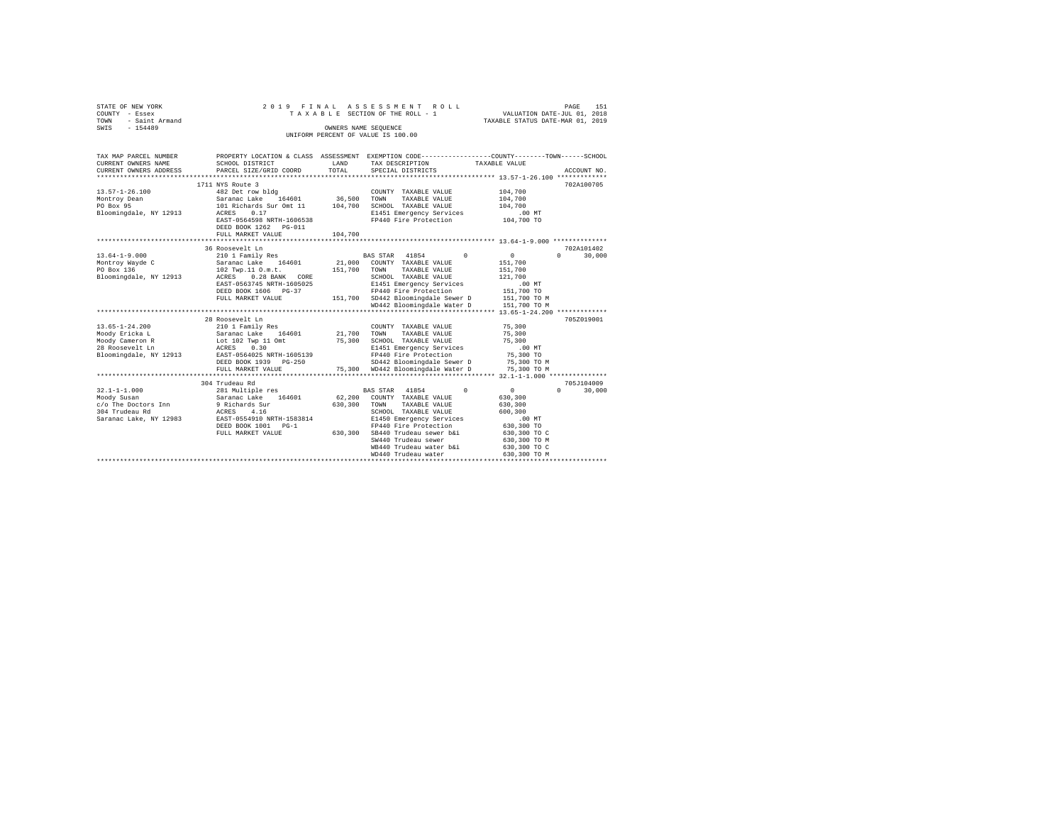| STATE OF NEW YORK   | 2019 FINAL ASSESSMENT ROLL         | 151<br>PAGE                      |
|---------------------|------------------------------------|----------------------------------|
| COUNTY - Essex      | TAXABLE SECTION OF THE ROLL - 1    | VALUATION DATE-JUL 01, 2018      |
| TOWN - Saint Armand |                                    | TAXABLE STATUS DATE-MAR 01, 2019 |
| SWIS<br>$-154489$   | OWNERS NAME SEOUENCE               |                                  |
|                     | UNIFORM PERCENT OF VALUE IS 100.00 |                                  |
|                     |                                    |                                  |
|                     |                                    |                                  |

| TAX MAP PARCEL NUMBER  |                                                      |                       |                                                                                              | PROPERTY LOCATION & CLASS ASSESSMENT EXEMPTION CODE----------------COUNTY-------TOWN-----SCHOOL |
|------------------------|------------------------------------------------------|-----------------------|----------------------------------------------------------------------------------------------|-------------------------------------------------------------------------------------------------|
| CURRENT OWNERS NAME    | SCHOOL DISTRICT                                      | LAND                  | TAX DESCRIPTION                                                                              | TAXABLE VALUE                                                                                   |
| CURRENT OWNERS ADDRESS | PARCEL SIZE/GRID COORD                               | TOTAL                 | SPECIAL DISTRICTS                                                                            | ACCOUNT NO.                                                                                     |
|                        |                                                      |                       |                                                                                              |                                                                                                 |
|                        | 1711 NYS Route 3                                     |                       |                                                                                              | 702A100705                                                                                      |
| $13.57 - 1 - 26.100$   |                                                      | COUNTY<br>36,500 TOWN | COUNTY TAXABLE VALUE                                                                         | 104,700                                                                                         |
| Montrov Dean           | 482 Det row bldg<br>Saranac Lake 164601              |                       | TAXABLE VALUE                                                                                | 104,700                                                                                         |
| PO Box 95              | 101 Richards Sur Omt 11 104,700 SCHOOL TAXABLE VALUE |                       |                                                                                              | 104,700                                                                                         |
| Bloomingdale, NY 12913 | 0.17<br>ACRES                                        |                       |                                                                                              |                                                                                                 |
|                        | EAST-0564598 NRTH-1606538                            |                       | E1451 Emergency Services .00 MT<br>FP440 Fire Protection .04,700 TO<br>FP440 Fire Protection |                                                                                                 |
|                        | DEED BOOK 1262 PG-011                                |                       |                                                                                              |                                                                                                 |
|                        | FULL MARKET VALUE                                    | 104,700               |                                                                                              |                                                                                                 |
|                        |                                                      |                       |                                                                                              |                                                                                                 |
|                        | 36 Roosevelt Ln                                      |                       |                                                                                              | 702A101402                                                                                      |
| $13.64 - 1 - 9.000$    | 210 1 Family Res                                     |                       | $\sim$ 0<br>BAS STAR 41854                                                                   | $\sim$ 0<br>$\cap$<br>30,000                                                                    |
| Montroy Wayde C        | Saranac Lake 164601                                  |                       | 21,000 COUNTY TAXABLE VALUE                                                                  | 151,700                                                                                         |
| PO Box 136             | 102 Twp.11 O.m.t. 151,700 TOWN TAXABLE VALUE         |                       |                                                                                              | 151,700                                                                                         |
| Bloomingdale, NY 12913 | ACRES 0.28 BANK CORE                                 |                       | SCHOOL TAXABLE VALUE                                                                         | 121,700                                                                                         |
|                        | EAST-0563745 NRTH-1605025                            |                       | E1451 Emergency Services                                                                     | .00MT                                                                                           |
|                        | DEED BOOK 1606 PG-37                                 |                       | FP440 Fire Protection                                                                        |                                                                                                 |
|                        | FULL MARKET VALUE                                    |                       | 151,700 SD442 Bloomingdale Sewer D                                                           | 151,700 TO<br>151,700 TO M                                                                      |
|                        |                                                      |                       | WD442 Bloomingdale Water D                                                                   | 151,700 TO M                                                                                    |
|                        |                                                      |                       |                                                                                              |                                                                                                 |
|                        | 28 Roosevelt Ln                                      |                       |                                                                                              | 705Z019001                                                                                      |
| $13.65 - 1 - 24.200$   | 210 1 Family Res                                     |                       | COUNTY TAXABLE VALUE                                                                         | 75,300                                                                                          |
| Moody Ericka L         |                                                      |                       | TOWN<br>TAXABLE VALUE                                                                        | 75,300                                                                                          |
| Moody Cameron R        |                                                      |                       | 75,300 SCHOOL TAXABLE VALUE                                                                  | 75,300                                                                                          |
| 28 Roosevelt Ln        |                                                      |                       | E1451 Emergency Services                                                                     | $.00$ MT                                                                                        |
|                        | Bloomingdale, NY 12913 EAST-0564025 NRTH-1605139     |                       | FP440 Fire Protection                                                                        | 75,300 TO                                                                                       |
|                        | DEED BOOK 1939 PG-250                                |                       |                                                                                              |                                                                                                 |
|                        |                                                      |                       | SD442 Bloomingdale Sewer D 75,300 TO M<br>75,300 WD442 Bloomingdale Water D                  |                                                                                                 |
|                        | FULL MARKET VALUE                                    |                       |                                                                                              | 75,300 TO M                                                                                     |
|                        | 304 Trudeau Rd                                       |                       |                                                                                              | 705J104009                                                                                      |
| $32.1 - 1 - 1.000$     |                                                      |                       | $\sim$ 0                                                                                     | $\sim$ 0<br>$\Omega$<br>30,000                                                                  |
| Moody Susan            |                                                      |                       |                                                                                              | 630,300                                                                                         |
|                        |                                                      | 630.300 TOWN          | TAXABLE VALUE                                                                                |                                                                                                 |
|                        | c/o The Doctors Inn 9 Richards Sur                   |                       |                                                                                              | 630,300                                                                                         |
| 304 Trudeau Rd         | ACRES 4.16                                           |                       | SCHOOL TAXABLE VALUE                                                                         | 600,300                                                                                         |
| Saranac Lake, NY 12983 | EAST-0554910 NRTH-1583814                            |                       | E1450 Emergency Services                                                                     | $.00$ MT                                                                                        |
|                        | DEED BOOK 1001 PG-1<br>FULL MARKET VALUE 630,300     |                       | FP440 Fire Protection                                                                        | 630,300 TO                                                                                      |
|                        |                                                      |                       | SB440 Trudeau sewer b&i                                                                      | 630,300 TO C                                                                                    |
|                        |                                                      |                       | SW440 Trudeau sewer                                                                          | 630,300 TO M                                                                                    |
|                        |                                                      |                       | WB440 Trudeau water b&i                                                                      | 630,300 TO C                                                                                    |
|                        |                                                      |                       | WD440 Trudeau water                                                                          | 630,300 TO M                                                                                    |
|                        |                                                      |                       |                                                                                              |                                                                                                 |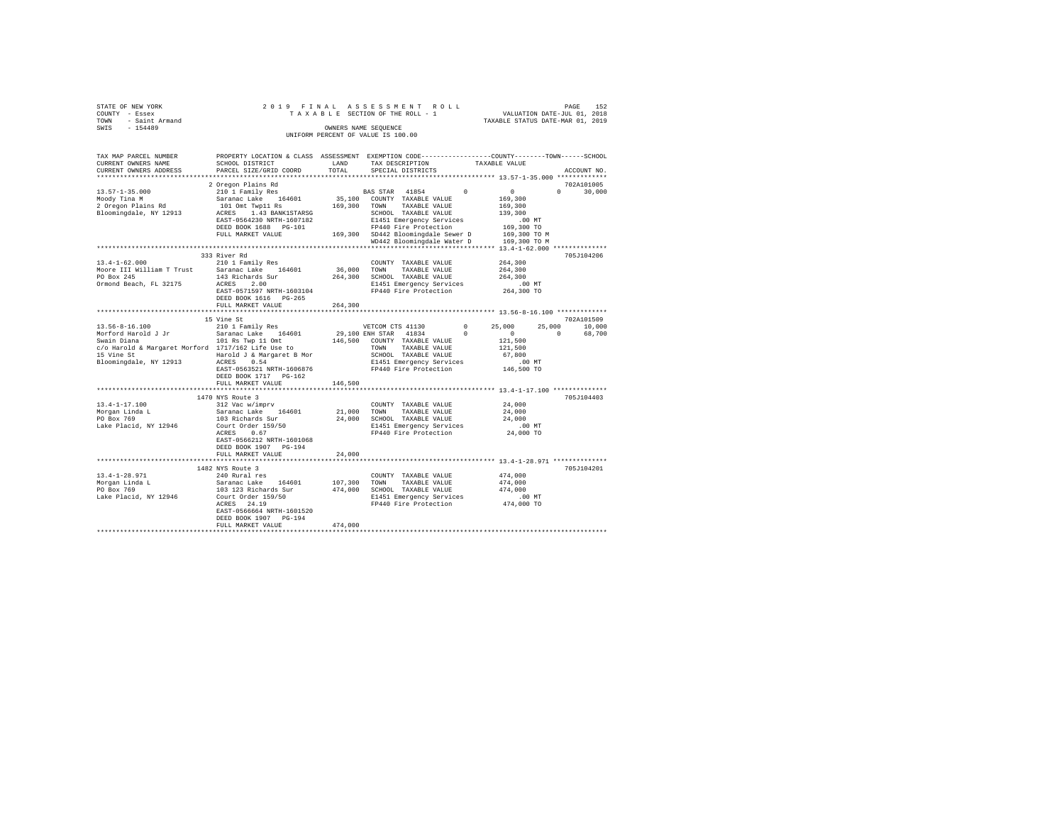| STATE OF NEW YORK COUNTY - Essex<br>TOWN - Saint Armand T A COWN - CALL Armand County County County County County County County County County County County County County County County County County County County County Coun                                                                                                                                                        |                                                                                                                                                                                                                                                                                                                       | $\begin{tabular}{ccccc} 2 & 0 & 1 & 9 & F I N A L & A S S S S S S M E N T & R O L L & & & & & \texttt{PAGE} & 152 \\ T A X A B L E & SECTIDON OF THE ROLL - 1 & & & & \texttt{VALUATION DATE-MD A R 01, 2019 \\ \end{tabular}$<br>OWNERS NAME SEQUENCE<br>UNIFORM PERCENT OF VALUE IS 100.00 |                      |                             |             |
|----------------------------------------------------------------------------------------------------------------------------------------------------------------------------------------------------------------------------------------------------------------------------------------------------------------------------------------------------------------------------------------|-----------------------------------------------------------------------------------------------------------------------------------------------------------------------------------------------------------------------------------------------------------------------------------------------------------------------|----------------------------------------------------------------------------------------------------------------------------------------------------------------------------------------------------------------------------------------------------------------------------------------------|----------------------|-----------------------------|-------------|
| TAX MAP PARCEL NUMBER                                                                                                                                                                                                                                                                                                                                                                  | PROPERTY LOCATION & CLASS ASSESSMENT EXEMPTION CODE----------------COUNTY-------TOWN------SCHOOL                                                                                                                                                                                                                      |                                                                                                                                                                                                                                                                                              |                      |                             | ACCOUNT NO. |
| $[10, 57 - 1 - 35.000 \begin{pmatrix} 2 & 0 \text{regon} \text{ Plans Rd} & 10 & 0 & 0 \\ 2 & 0 \text{regon} \text{Planar} \text{Re} & 164601 & 35,100 & 000 \text{UVITY} & 7 \text{XXABLE VALUE} & 169,300 \\ 2 & 0 \text{regon} \text{ Plans Rd} & 101 \text{ Omt: T \text{Wp1} \text{R3} & 169,300 & 70 \text{MW} & 7 \text{XXABLE VALUE} & 169,300 \\ 2 & 0 \text{regon} \text{Pl$ |                                                                                                                                                                                                                                                                                                                       |                                                                                                                                                                                                                                                                                              |                      | 702A101005<br>$0 \t 30,000$ |             |
|                                                                                                                                                                                                                                                                                                                                                                                        | 333 River Rd<br>DEED BOOK 1616 PG-265                                                                                                                                                                                                                                                                                 |                                                                                                                                                                                                                                                                                              |                      |                             | 705J104206  |
|                                                                                                                                                                                                                                                                                                                                                                                        | FULL MARKET VALUE 264,300<br>15 Vine St                                                                                                                                                                                                                                                                               |                                                                                                                                                                                                                                                                                              |                      | 702A101509                  |             |
|                                                                                                                                                                                                                                                                                                                                                                                        | DEED BOOK 1717 PG-162                                                                                                                                                                                                                                                                                                 |                                                                                                                                                                                                                                                                                              |                      |                             |             |
|                                                                                                                                                                                                                                                                                                                                                                                        | FULL MARKET VALUE                                                                                                                                                                                                                                                                                                     | 146,500                                                                                                                                                                                                                                                                                      |                      |                             |             |
| 13.4-1-17.100<br>Morgan Linda L<br>PO Box 769<br>Lake Placid, NY 12946                                                                                                                                                                                                                                                                                                                 | 1470 NYS Route 3<br>1470 NYS Route 3<br>24,000<br>21,000 TOWN TAXABLE VALUE 24,000<br>24,000 Saranac Lake 164601 21,000 TOWN TAXABLE VALUE 24,000<br>103 Richards Sur 24,000 SCHOOL TAXABLE VALUE 24,000<br>COURT OF 24,000 SCHOOL RANGE 2<br>EAST-0566212 NRTH-1601068<br>DEED BOOK 1907 PG-194<br>FULL MARKET VALUE | 24,000                                                                                                                                                                                                                                                                                       |                      |                             | 705J104403  |
|                                                                                                                                                                                                                                                                                                                                                                                        |                                                                                                                                                                                                                                                                                                                       |                                                                                                                                                                                                                                                                                              |                      |                             |             |
| 13.4-1-28.971                                                                                                                                                                                                                                                                                                                                                                          | 1482 NYS Route 3<br>240 Rural res<br>EAST-0566664 NRTH-1601520<br>DEED BOOK 1907 PG-194<br>FULL MARKET VALUE                                                                                                                                                                                                          | 474,000                                                                                                                                                                                                                                                                                      | COUNTY TAXABLE VALUE | 474,000                     | 705J104201  |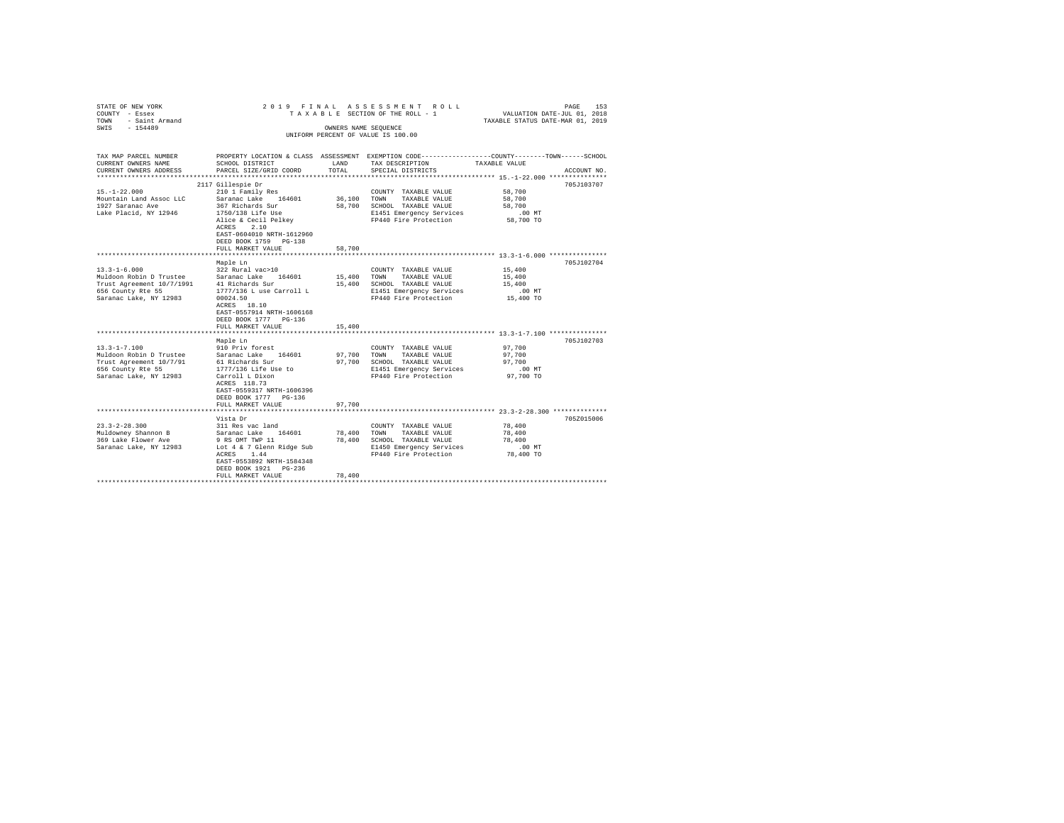| STATE OF NEW YORK                                                                        |                           |        | 2019 FINAL ASSESSMENT ROLL                                                                     |                                                       | 153<br>PAGE |
|------------------------------------------------------------------------------------------|---------------------------|--------|------------------------------------------------------------------------------------------------|-------------------------------------------------------|-------------|
| COUNTY - Essex                                                                           |                           |        | TAXABLE SECTION OF THE ROLL - 1                                                                | VALUATION DATE-JUL 01, 2018                           |             |
| TOWN<br>- Saint Armand                                                                   |                           |        |                                                                                                | TAXABLE STATUS DATE-MAR 01, 2019                      |             |
| $-154489$<br>SWTS                                                                        |                           |        | OWNERS NAME SEQUENCE                                                                           |                                                       |             |
|                                                                                          |                           |        | UNIFORM PERCENT OF VALUE IS 100.00                                                             |                                                       |             |
|                                                                                          |                           |        |                                                                                                |                                                       |             |
|                                                                                          |                           |        |                                                                                                |                                                       |             |
| TAX MAP PARCEL NUMBER                                                                    |                           |        | PROPERTY LOCATION & CLASS ASSESSMENT EXEMPTION CODE---------------COUNTY-------TOWN-----SCHOOL |                                                       |             |
| CURRENT OWNERS NAME                                                                      | SCHOOL DISTRICT           | LAND   | TAX DESCRIPTION                                                                                | TAXABLE VALUE                                         |             |
| CURRENT OWNERS ADDRESS                                                                   | PARCEL SIZE/GRID COORD    | TOTAL. | SPECIAL DISTRICTS                                                                              |                                                       | ACCOUNT NO. |
| **********************                                                                   |                           |        |                                                                                                |                                                       |             |
|                                                                                          | 2117 Gillespie Dr         |        |                                                                                                |                                                       | 705J103707  |
| $15. - 1 - 22.000$                                                                       | 210 1 Family Res          |        | COUNTY TAXABLE VALUE                                                                           | 58,700                                                |             |
| Mountain Land Assoc LLC                                                                  | Saranac Lake 164601       |        | 36,100 TOWN TAXABLE VALUE                                                                      | 58,700                                                |             |
| 1927 Saranac Ave                                                                         | 367 Richards Sur          |        | 58,700 SCHOOL TAXABLE VALUE                                                                    | 58,700                                                |             |
| Lake Placid, NY 12946                                                                    | 1750/138 Life Use         |        | E1451 Emergency Services                                                                       | $.00$ MT                                              |             |
|                                                                                          | Alice & Cecil Pelkey      |        | FP440 Fire Protection                                                                          | 58,700 TO                                             |             |
|                                                                                          | ACRES 2.10                |        |                                                                                                |                                                       |             |
|                                                                                          | EAST-0604010 NRTH-1612960 |        |                                                                                                |                                                       |             |
|                                                                                          | DEED BOOK 1759 PG-138     |        |                                                                                                |                                                       |             |
|                                                                                          | FULL MARKET VALUE         | 58,700 |                                                                                                |                                                       |             |
|                                                                                          |                           |        |                                                                                                |                                                       |             |
|                                                                                          | Maple Ln                  |        |                                                                                                |                                                       | 705J102704  |
| $13.3 - 1 - 6.000$                                                                       | 322 Rural vac>10          |        | COUNTY TAXABLE VALUE                                                                           | 15,400                                                |             |
|                                                                                          |                           |        | 15,400 TOWN TAXABLE VALUE                                                                      | 15,400                                                |             |
| Muldoon Robin D Trustee Saranac Lake 164601<br>Trust Agreement 10/7/1991 41 Richards Sur |                           |        | 15,400 SCHOOL TAXABLE VALUE                                                                    | 15,400                                                |             |
| 656 County Rte 55                                                                        | 1777/136 L use Carroll L  |        | E1451 Emergency Services                                                                       | .00 MT                                                |             |
| Saranac Lake, NY 12983                                                                   | 00024.50                  |        | FP440 Fire Protection                                                                          | 15,400 TO                                             |             |
|                                                                                          | ACRES 18.10               |        |                                                                                                |                                                       |             |
|                                                                                          | EAST-0557914 NRTH-1606168 |        |                                                                                                |                                                       |             |
|                                                                                          | DEED BOOK 1777 PG-136     |        |                                                                                                |                                                       |             |
|                                                                                          | FULL MARKET VALUE         | 15,400 |                                                                                                |                                                       |             |
|                                                                                          | ************************  |        |                                                                                                |                                                       |             |
|                                                                                          | Maple Ln                  |        |                                                                                                |                                                       | 705J102703  |
| $13.3 - 1 - 7.100$                                                                       | 910 Priv forest           |        | COUNTY TAXABLE VALUE                                                                           | 97,700                                                |             |
| Muldoon Robin D Trustee                                                                  | Saranac Lake 164601       |        | 97.700 TOWN TAXABLE VALUE                                                                      | 97,700                                                |             |
|                                                                                          |                           |        |                                                                                                |                                                       |             |
| Trust Agreement 10/7/91                                                                  | 61 Richards Sur           |        | 97,700 SCHOOL TAXABLE VALUE                                                                    | 97,700                                                |             |
| 656 County Rte 55                                                                        | 1777/136 Life Use to      |        | E1451 Emergency Services                                                                       | .00 MT                                                |             |
| Saranac Lake, NY 12983                                                                   | Carroll L Dixon           |        | FP440 Fire Protection                                                                          | 97,700 TO                                             |             |
|                                                                                          | ACRES 118.73              |        |                                                                                                |                                                       |             |
|                                                                                          | EAST-0559317 NRTH-1606396 |        |                                                                                                |                                                       |             |
|                                                                                          | DEED BOOK 1777 PG-136     |        |                                                                                                |                                                       |             |
|                                                                                          | FULL MARKET VALUE         | 97,700 |                                                                                                |                                                       |             |
|                                                                                          |                           |        |                                                                                                | ************************ 23.3-2-28.300 ************** |             |
|                                                                                          | Vista Dr                  |        |                                                                                                |                                                       | 705Z015006  |
| $23.3 - 2 - 28.300$                                                                      | 311 Res vac land          |        | COUNTY TAXABLE VALUE                                                                           | 78,400                                                |             |
| Muldowney Shannon B                                                                      | Saranac Lake 164601       |        | 78,400 TOWN TAXABLE VALUE                                                                      | 78,400                                                |             |
| 369 Lake Flower Ave                                                                      | 9 RS OMT TWP 11           |        | 78,400 SCHOOL TAXABLE VALUE                                                                    | 78,400                                                |             |
| Saranac Lake, NY 12983                                                                   | Lot 4 & 7 Glenn Ridge Sub |        | E1450 Emergency Services                                                                       | $.00$ MT                                              |             |
|                                                                                          | ACRES 1.44                |        | FP440 Fire Protection                                                                          | 78,400 TO                                             |             |
|                                                                                          | EAST-0553892 NRTH-1584348 |        |                                                                                                |                                                       |             |
|                                                                                          | DEED BOOK 1921 PG-236     |        |                                                                                                |                                                       |             |
|                                                                                          | FULL MARKET VALUE         | 78,400 |                                                                                                |                                                       |             |
|                                                                                          |                           |        |                                                                                                |                                                       |             |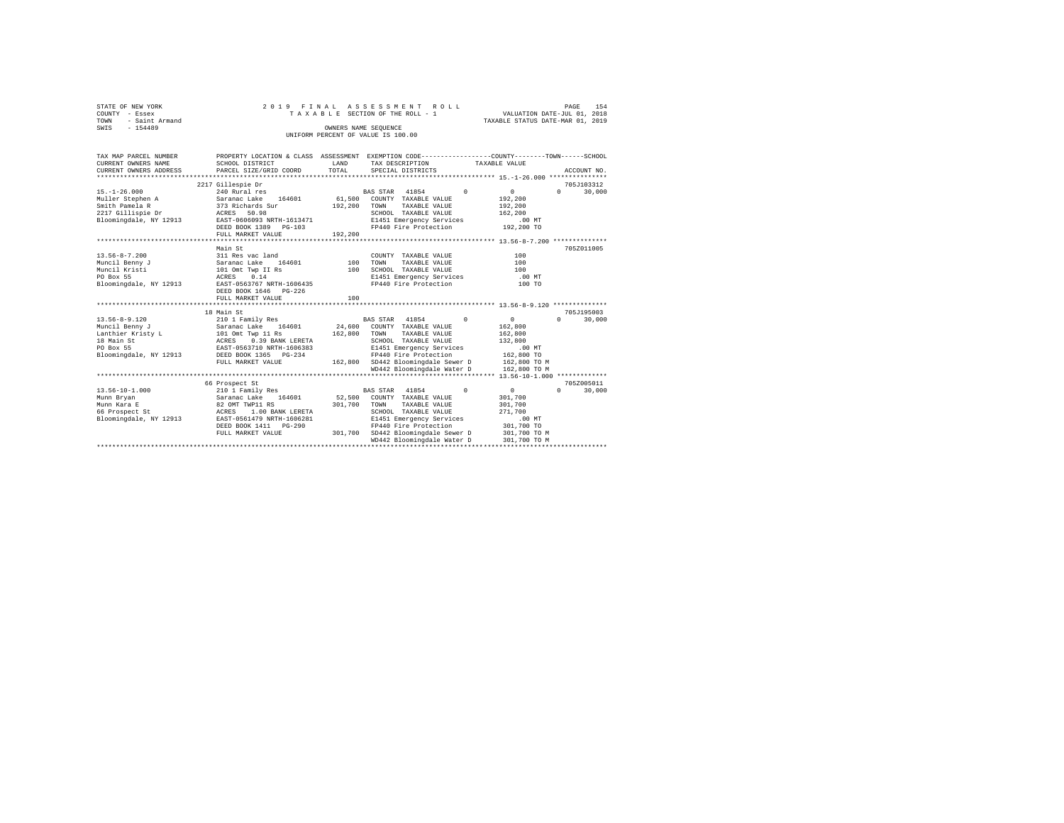| STATE OF NEW YORK   |  |  |                                    | 2019 FINAL ASSESSMENT ROLL      |                                  | PAGE                        | 154 |
|---------------------|--|--|------------------------------------|---------------------------------|----------------------------------|-----------------------------|-----|
| COUNTY - Essex      |  |  |                                    | TAXABLE SECTION OF THE ROLL - 1 |                                  | VALUATION DATE-JUL 01, 2018 |     |
| TOWN - Saint Armand |  |  |                                    |                                 | TAXABLE STATUS DATE-MAR 01, 2019 |                             |     |
| SWIS<br>$-154489$   |  |  | OWNERS NAME SEOUENCE               |                                 |                                  |                             |     |
|                     |  |  | UNIFORM PERCENT OF VALUE IS 100.00 |                                 |                                  |                             |     |
|                     |  |  |                                    |                                 |                                  |                             |     |

| TAX MAP PARCEL NUMBER |                                                                                                                                                                                                                                  |     | PROPERTY LOCATION & CLASS ASSESSMENT EXEMPTION CODE---------------COUNTY-------TOWN------SCHOOL                                                                                                                                                                                                                                                 |                                                                      |
|-----------------------|----------------------------------------------------------------------------------------------------------------------------------------------------------------------------------------------------------------------------------|-----|-------------------------------------------------------------------------------------------------------------------------------------------------------------------------------------------------------------------------------------------------------------------------------------------------------------------------------------------------|----------------------------------------------------------------------|
| CURRENT OWNERS NAME   | SCHOOL DISTRICT                                                                                                                                                                                                                  |     | LAND TAX DESCRIPTION TAXABLE VALUE                                                                                                                                                                                                                                                                                                              |                                                                      |
|                       | CURRENT OWNERS ADDRESS PARCEL SIZE/GRID COORD TOTAL                                                                                                                                                                              |     | SPECIAL DISTRICTS                                                                                                                                                                                                                                                                                                                               | ACCOUNT NO.                                                          |
|                       |                                                                                                                                                                                                                                  |     |                                                                                                                                                                                                                                                                                                                                                 |                                                                      |
|                       | 2217 Gillespie Dr                                                                                                                                                                                                                |     |                                                                                                                                                                                                                                                                                                                                                 | 705J103312                                                           |
|                       |                                                                                                                                                                                                                                  |     |                                                                                                                                                                                                                                                                                                                                                 | $\sim$ 0<br>$\mathbf{r}$<br>30,000                                   |
|                       |                                                                                                                                                                                                                                  |     |                                                                                                                                                                                                                                                                                                                                                 | 192,200                                                              |
|                       | outer or and the state of the state of the state of the state of the state of the state of the state of the st<br>2217 Gillispie Dr and ACRES 50.98 (1918) SCROOM SCROOM SCROOM Bloomingdale, NY 12913 EAST-0606093 NRTH-1613471 |     | TAXABLE VALUE                                                                                                                                                                                                                                                                                                                                   | 192,200                                                              |
|                       |                                                                                                                                                                                                                                  |     | SCHOOL TAXABLE VALUE                                                                                                                                                                                                                                                                                                                            | 162,200                                                              |
|                       |                                                                                                                                                                                                                                  |     | E1451 Emergency Services<br>FP440 Fire Protection                                                                                                                                                                                                                                                                                               | .00MT                                                                |
|                       | DEED BOOK 1389 PG-103<br>FULL MARKET VALUE 192,200                                                                                                                                                                               |     |                                                                                                                                                                                                                                                                                                                                                 | 192,200 TO                                                           |
|                       |                                                                                                                                                                                                                                  |     |                                                                                                                                                                                                                                                                                                                                                 |                                                                      |
|                       | Main St                                                                                                                                                                                                                          |     |                                                                                                                                                                                                                                                                                                                                                 | 705Z011005                                                           |
|                       |                                                                                                                                                                                                                                  |     | COUNTY TAXABLE VALUE                                                                                                                                                                                                                                                                                                                            | 100                                                                  |
|                       |                                                                                                                                                                                                                                  |     | TOWN<br>TAXABLE VALUE                                                                                                                                                                                                                                                                                                                           | 100                                                                  |
|                       |                                                                                                                                                                                                                                  |     | SCHOOL TAXABLE VALUE                                                                                                                                                                                                                                                                                                                            | 100                                                                  |
| PO Box 55             | ACRES 0.14                                                                                                                                                                                                                       |     | E1451 Emergency Services .00 MT                                                                                                                                                                                                                                                                                                                 |                                                                      |
|                       | Bloomingdale, NY 12913 EAST-0563767 NRTH-1606435                                                                                                                                                                                 |     | FP440 Fire Protection 100 TO                                                                                                                                                                                                                                                                                                                    |                                                                      |
|                       | DEED BOOK 1646   PG-226                                                                                                                                                                                                          |     |                                                                                                                                                                                                                                                                                                                                                 |                                                                      |
|                       | FULL MARKET VALUE                                                                                                                                                                                                                | 100 |                                                                                                                                                                                                                                                                                                                                                 |                                                                      |
|                       |                                                                                                                                                                                                                                  |     |                                                                                                                                                                                                                                                                                                                                                 |                                                                      |
|                       | 18 Main St                                                                                                                                                                                                                       |     |                                                                                                                                                                                                                                                                                                                                                 | 705J195003                                                           |
|                       |                                                                                                                                                                                                                                  |     |                                                                                                                                                                                                                                                                                                                                                 | $\begin{array}{c} 0 \\ 0 \end{array}$<br>$0 \qquad \qquad$<br>30,000 |
|                       |                                                                                                                                                                                                                                  |     |                                                                                                                                                                                                                                                                                                                                                 | 162,800                                                              |
|                       |                                                                                                                                                                                                                                  |     |                                                                                                                                                                                                                                                                                                                                                 | 162,800                                                              |
|                       |                                                                                                                                                                                                                                  |     | SCHOOL TAXABLE VALUE                                                                                                                                                                                                                                                                                                                            | 132,800                                                              |
|                       |                                                                                                                                                                                                                                  |     | $\texttt{G-234} \begin{tabular}{lcccc} 1606383 & \texttt{E1451} \texttt{Emergency Services} & .00 MT \\ \texttt{G-234} & \texttt{PP440 Fire Protection} & 162,800~\texttt{TO} \\ 162,800 & \texttt{SD442 Bloomingdale Sever D} & 162,800~\texttt{TO} \\ 162,800 & \texttt{NDA42 Bloomingdale Nater D} & 162,800~\texttt{TO M} \\ \end{tabular}$ |                                                                      |
|                       |                                                                                                                                                                                                                                  |     |                                                                                                                                                                                                                                                                                                                                                 |                                                                      |
|                       | FULL MARKET VALUE                                                                                                                                                                                                                |     |                                                                                                                                                                                                                                                                                                                                                 |                                                                      |
|                       |                                                                                                                                                                                                                                  |     |                                                                                                                                                                                                                                                                                                                                                 |                                                                      |
|                       |                                                                                                                                                                                                                                  |     |                                                                                                                                                                                                                                                                                                                                                 |                                                                      |
|                       | 66 Prospect St                                                                                                                                                                                                                   |     |                                                                                                                                                                                                                                                                                                                                                 | 705Z005011                                                           |
| $13.56 - 10 - 1.000$  | 210 1 Family Res<br>Saranac Lake 164601<br>82 OMT TWP11 RS<br>ACRES 1.00 BANK LERETA                                                                                                                                             |     | $\sim$ 0<br>BAS STAR 41854                                                                                                                                                                                                                                                                                                                      | $0 \qquad \qquad$<br>$\sim$ 0<br>30,000                              |
| Munn Bryan            |                                                                                                                                                                                                                                  |     | 52,500 COUNTY TAXABLE VALUE                                                                                                                                                                                                                                                                                                                     | 301,700                                                              |
| Munn Kara E           |                                                                                                                                                                                                                                  |     | 301,700 TOWN TAXABLE VALUE                                                                                                                                                                                                                                                                                                                      | 301,700                                                              |
| 66 Prospect St        |                                                                                                                                                                                                                                  |     | SCHOOL TAXABLE VALUE                                                                                                                                                                                                                                                                                                                            | 271,700                                                              |
|                       | Bloomingdale, NY 12913 EAST-0561479 NRTH-1606281                                                                                                                                                                                 |     | E1451 Emergency Services                                                                                                                                                                                                                                                                                                                        | 00 MT.<br>301,700 TO                                                 |
|                       | DEED BOOK 1411 PG-290                                                                                                                                                                                                            |     | FP440 Fire Protection                                                                                                                                                                                                                                                                                                                           |                                                                      |
|                       | FULL MARKET VALUE                                                                                                                                                                                                                |     | 301,700 SD442 Bloomingdale Sewer D 301,700 TO M                                                                                                                                                                                                                                                                                                 |                                                                      |
|                       |                                                                                                                                                                                                                                  |     | WD442 Bloomingdale Water D                                                                                                                                                                                                                                                                                                                      | 301,700 TO M                                                         |
|                       |                                                                                                                                                                                                                                  |     |                                                                                                                                                                                                                                                                                                                                                 |                                                                      |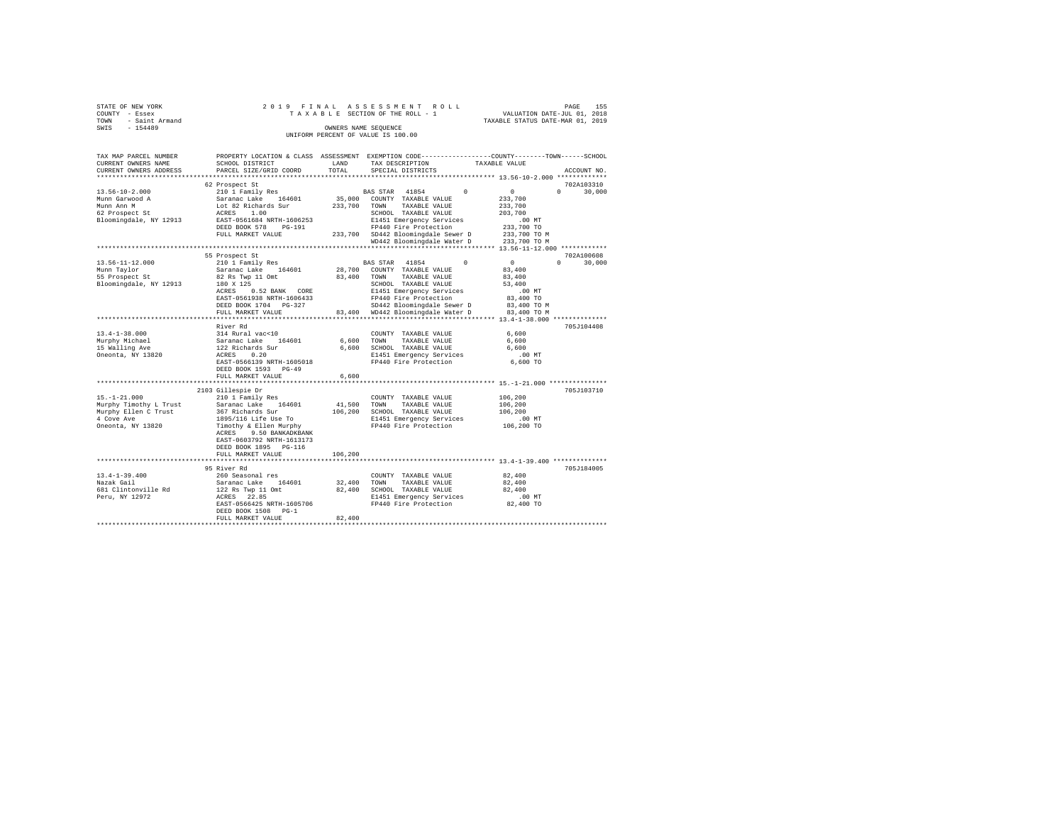| STATE OF NEW YORK                  |  |  |  |  |  | 2019 FINAL ASSESSMENT ROLL      |  |                                  | PAGE | 155 |
|------------------------------------|--|--|--|--|--|---------------------------------|--|----------------------------------|------|-----|
| COUNTY - Essex                     |  |  |  |  |  | TAXABLE SECTION OF THE ROLL - 1 |  | VALUATION DATE-JUL 01, 2018      |      |     |
| TOWN - Saint Armand                |  |  |  |  |  |                                 |  | TAXABLE STATUS DATE-MAR 01, 2019 |      |     |
| SWIS<br>$-154489$                  |  |  |  |  |  | OWNERS NAME SEOUENCE            |  |                                  |      |     |
| UNIFORM PERCENT OF VALUE IS 100.00 |  |  |  |  |  |                                 |  |                                  |      |     |

| TAX MAP PARCEL NUMBER<br>CURRENT OWNERS NAME<br>CURRENT OWNERS ADDRESS                                  | PROPERTY LOCATION & CLASS ASSESSMENT<br>SCHOOL DISTRICT<br>PARCEL SIZE/GRID COORD                                                                                                                                        | LAND<br>TOTAL                | EXEMPTION CODE------<br>TAX DESCRIPTION<br>SPECIAL DISTRICTS                                                                                                                                                                   | -----COUNTY--------TOWN------SCHOOL<br>TAXABLE VALUE<br>ACCOUNT NO.                                                                 |
|---------------------------------------------------------------------------------------------------------|--------------------------------------------------------------------------------------------------------------------------------------------------------------------------------------------------------------------------|------------------------------|--------------------------------------------------------------------------------------------------------------------------------------------------------------------------------------------------------------------------------|-------------------------------------------------------------------------------------------------------------------------------------|
|                                                                                                         |                                                                                                                                                                                                                          | *******                      |                                                                                                                                                                                                                                | ************************* 13.56-10-2.000 *************                                                                              |
|                                                                                                         | 62 Prospect St                                                                                                                                                                                                           |                              |                                                                                                                                                                                                                                | 702A103310                                                                                                                          |
| $13.56 - 10 - 2.000$<br>Munn Garwood A<br>Munn Ann M<br>62 Prospect St<br>Bloomingdale, NY 12913        | 210 1 Family Res<br>Saranac Lake<br>164601<br>Lot 82 Richards Sur<br>1.00<br>ACRES<br>EAST-0561684 NRTH-1606253<br>DEED BOOK 578<br>$PG-191$<br>FULL MARKET VALUE                                                        | 35,000<br>233,700<br>233,700 | BAS STAR<br>41854<br>$\Omega$<br>COUNTY TAXABLE VALUE<br>TOWN<br>TAXABLE VALUE<br>SCHOOL TAXABLE VALUE<br>E1451 Emergency Services<br>FP440 Fire Protection<br>SD442 Bloomingdale Sewer D<br>WD442 Bloomingdale Water D        | $\Omega$<br>$\Omega$<br>30,000<br>233,700<br>233,700<br>203,700<br>$.00$ MT<br>233,700 TO<br>233,700 TO M<br>233,700 TO M           |
|                                                                                                         |                                                                                                                                                                                                                          |                              |                                                                                                                                                                                                                                | *** 13.56-11-12.000 ************                                                                                                    |
| $13.56 - 11 - 12.000$<br>Munn Tavlor<br>55 Prospect St<br>Bloomingdale, NY 12913                        | 55 Prospect St<br>210 1 Family Res<br>Saranac Lake<br>164601<br>82 Rs Twp 11 Omt<br>180 X 125<br>ACRES<br>0.52 BANK<br>CORE<br>EAST-0561938 NRTH-1606433<br>DEED BOOK 1704 PG-327<br>FULL MARKET VALUE                   | 28,700<br>83,400<br>83,400   | <b>BAS STAR</b><br>41854<br>$\Omega$<br>COUNTY TAXABLE VALUE<br>TAXABLE VALUE<br>TOWN<br>SCHOOL TAXABLE VALUE<br>E1451 Emergency Services<br>FP440 Fire Protection<br>SD442 Bloomingdale Sewer D<br>WD442 Bloomingdale Water D | 702A100608<br>$^{\circ}$<br>$\Omega$<br>30,000<br>83,400<br>83,400<br>53,400<br>$.00$ MT<br>83,400 TO<br>83,400 TO M<br>83,400 TO M |
|                                                                                                         | ****************                                                                                                                                                                                                         |                              |                                                                                                                                                                                                                                | $13.4 - 1 - 38.000$ *************                                                                                                   |
| $13.4 - 1 - 38.000$<br>Murphy Michael<br>15 Walling Ave<br>Oneonta, NY 13820                            | River Rd<br>314 Rural vac<10<br>Saranac Lake<br>164601<br>122 Richards Sur<br>0.20<br>ACRES<br>EAST-0566139 NRTH-1605018<br>DEED BOOK 1593 PG-49<br>FULL MARKET VALUE                                                    | 6,600<br>6,600<br>6,600      | COUNTY TAXABLE VALUE<br>TOWN<br>TAXABLE VALUE<br>SCHOOL TAXABLE VALUE<br>E1451 Emergency Services<br>FP440 Fire Protection                                                                                                     | 705J104408<br>6,600<br>6,600<br>6,600<br>$.00$ MT<br>6,600 TO                                                                       |
|                                                                                                         | ************************                                                                                                                                                                                                 |                              |                                                                                                                                                                                                                                |                                                                                                                                     |
| $15. - 1 - 21.000$<br>Murphy Timothy L Trust<br>Murphy Ellen C Trust<br>4 Cove Ave<br>Oneonta, NY 13820 | 2103 Gillespie Dr<br>210 1 Family Res<br>164601<br>Saranac Lake<br>367 Richards Sur<br>1895/116 Life Use To<br>Timothy & Ellen Murphy<br>ACRES<br>9.50 BANKADKBANK<br>EAST-0603792 NRTH-1613173<br>DEED BOOK 1895 PG-116 | 41,500<br>106,200            | COUNTY TAXABLE VALUE<br>TOWN<br>TAXABLE VALUE<br>SCHOOL TAXABLE VALUE<br>E1451 Emergency Services<br>FP440 Fire Protection                                                                                                     | 705J103710<br>106,200<br>106,200<br>106,200<br>$.00$ MT<br>106,200 TO                                                               |
|                                                                                                         | FULL MARKET VALUE                                                                                                                                                                                                        | 106,200                      |                                                                                                                                                                                                                                |                                                                                                                                     |
|                                                                                                         | ************************                                                                                                                                                                                                 |                              |                                                                                                                                                                                                                                |                                                                                                                                     |
| $13.4 - 1 - 39.400$<br>Nazak Gail<br>681 Clintonville Rd<br>Peru, NY 12972                              | 95 River Rd<br>260 Seasonal res<br>Saranac Lake<br>164601<br>122 Rs Twp 11 Omt<br>22.85<br>ACRES<br>EAST-0566425 NRTH-1605706<br>DEED BOOK 1508<br>$PG-1$<br>FULL MARKET VALUE                                           | 32,400<br>82,400<br>82,400   | COUNTY TAXABLE VALUE<br>TOWN<br>TAXABLE VALUE<br>SCHOOL TAXABLE VALUE<br>E1451 Emergency Services<br>FP440 Fire Protection                                                                                                     | 705J184005<br>82,400<br>82,400<br>82,400<br>$.00$ MT<br>82,400 TO                                                                   |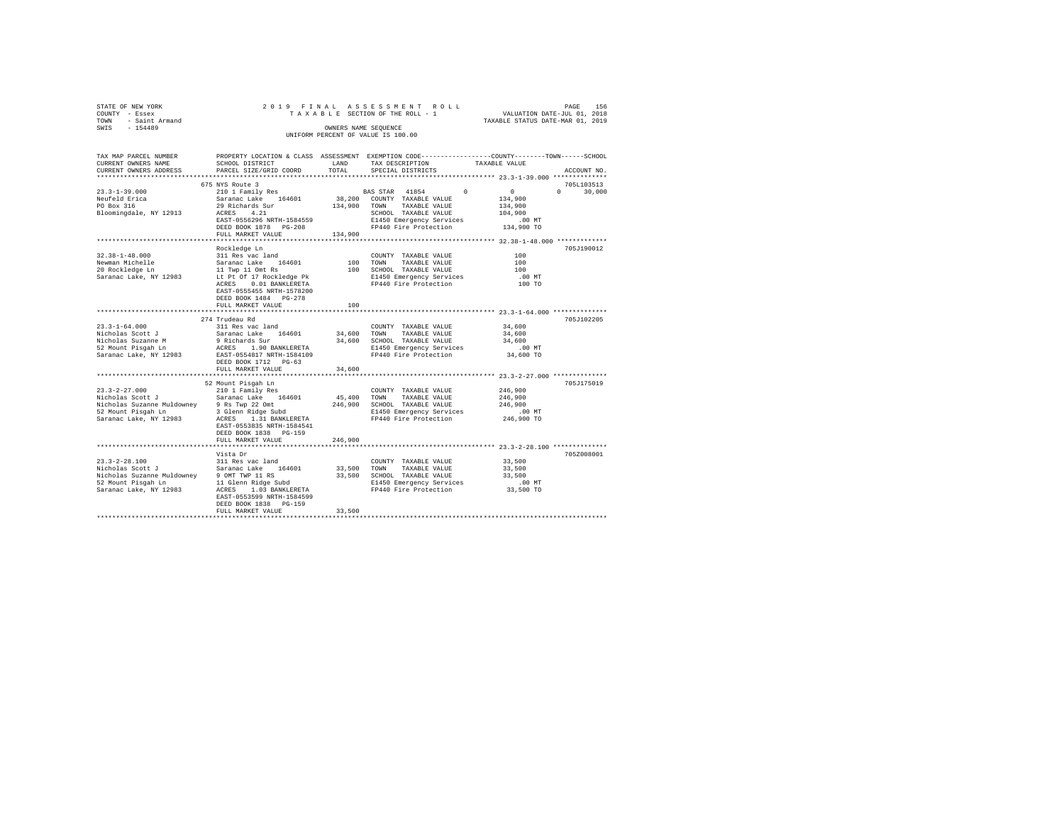| STATE OF NEW YORK   |                                    |  |  | 2019 FINAL ASSESSMENT ROLL      |  |                                  | PAGE | 156 |
|---------------------|------------------------------------|--|--|---------------------------------|--|----------------------------------|------|-----|
| COUNTY - Essex      |                                    |  |  | TAXABLE SECTION OF THE ROLL - 1 |  | VALUATION DATE-JUL 01, 2018      |      |     |
| TOWN - Saint Armand |                                    |  |  |                                 |  | TAXABLE STATUS DATE-MAR 01, 2019 |      |     |
| SWIS<br>$-154489$   |                                    |  |  | OWNERS NAME SEOUENCE            |  |                                  |      |     |
|                     | UNIFORM PERCENT OF VALUE IS 100.00 |  |  |                                 |  |                                  |      |     |
|                     |                                    |  |  |                                 |  |                                  |      |     |

| TAX MAP PARCEL NUMBER                                                            |                             |         | PROPERTY LOCATION & CLASS ASSESSMENT EXEMPTION CODE---------------COUNTY-------TOWN-----SCHOOL                                                                                                                                                                                 |                               |                             |
|----------------------------------------------------------------------------------|-----------------------------|---------|--------------------------------------------------------------------------------------------------------------------------------------------------------------------------------------------------------------------------------------------------------------------------------|-------------------------------|-----------------------------|
| CURRENT OWNERS NAME                                                              | SCHOOL DISTRICT             | LAND    | TAX DESCRIPTION                                                                                                                                                                                                                                                                | TAXABLE VALUE                 |                             |
| CURRENT OWNERS ADDRESS PARCEL SIZE/GRID COORD TOTAL                              |                             |         | SPECIAL DISTRICTS                                                                                                                                                                                                                                                              |                               | ACCOUNT NO.                 |
|                                                                                  | *************************** |         |                                                                                                                                                                                                                                                                                |                               |                             |
|                                                                                  | 675 NYS Route 3             |         |                                                                                                                                                                                                                                                                                |                               | 705L103513                  |
|                                                                                  |                             |         |                                                                                                                                                                                                                                                                                |                               | $0 \qquad \qquad$<br>30,000 |
|                                                                                  |                             |         |                                                                                                                                                                                                                                                                                |                               |                             |
|                                                                                  |                             |         |                                                                                                                                                                                                                                                                                |                               |                             |
|                                                                                  |                             |         |                                                                                                                                                                                                                                                                                |                               |                             |
|                                                                                  |                             |         |                                                                                                                                                                                                                                                                                |                               |                             |
|                                                                                  |                             |         |                                                                                                                                                                                                                                                                                |                               |                             |
|                                                                                  | FULL MARKET VALUE           | 134,900 |                                                                                                                                                                                                                                                                                |                               |                             |
|                                                                                  |                             |         |                                                                                                                                                                                                                                                                                |                               |                             |
|                                                                                  | Rockledge Ln                |         |                                                                                                                                                                                                                                                                                |                               | 705J190012                  |
| $32.38 - 1 - 48.000$                                                             | 311 Res vac land            |         | COUNTY TAXABLE VALUE                                                                                                                                                                                                                                                           | 100                           |                             |
|                                                                                  |                             |         |                                                                                                                                                                                                                                                                                |                               |                             |
|                                                                                  |                             |         |                                                                                                                                                                                                                                                                                |                               |                             |
|                                                                                  |                             |         |                                                                                                                                                                                                                                                                                |                               |                             |
|                                                                                  |                             |         | Newman Michelle (1998)<br>Newman Michelle (1998)<br>20 Rockledge Ln (11 Twp 11 Ont Rs 100 SCHOOL TAXABLE VALUE 100<br>20 Rockledge Ln (11 Twp 11 Ont Rs 1998)<br>20 Rockledge Pk (12 Rockledge Pk 1998)<br>20 Rockledge Ln (10 TO BANKLE                                       |                               |                             |
|                                                                                  |                             |         |                                                                                                                                                                                                                                                                                |                               |                             |
|                                                                                  | EAST-0555455 NRTH-1578200   |         |                                                                                                                                                                                                                                                                                |                               |                             |
|                                                                                  | DEED BOOK 1484 PG-278       |         |                                                                                                                                                                                                                                                                                |                               |                             |
|                                                                                  | FULL MARKET VALUE           | 100     |                                                                                                                                                                                                                                                                                |                               |                             |
|                                                                                  |                             |         | ********************************** 23.3-1-64.000 ***************                                                                                                                                                                                                               |                               |                             |
|                                                                                  | 274 Trudeau Rd              |         |                                                                                                                                                                                                                                                                                |                               | 705J102205                  |
| $23.3 - 1 - 64.000$                                                              | 311 Res vac land            |         | COUNTY TAXABLE VALUE                                                                                                                                                                                                                                                           | 34,600<br>34,600              |                             |
|                                                                                  |                             |         |                                                                                                                                                                                                                                                                                |                               |                             |
|                                                                                  |                             |         |                                                                                                                                                                                                                                                                                | 34,600<br>00 MT.<br>34,600 TO |                             |
|                                                                                  |                             |         |                                                                                                                                                                                                                                                                                |                               |                             |
|                                                                                  |                             |         |                                                                                                                                                                                                                                                                                |                               |                             |
|                                                                                  |                             |         |                                                                                                                                                                                                                                                                                |                               |                             |
|                                                                                  | FULL MARKET VALUE           | 34,600  |                                                                                                                                                                                                                                                                                |                               |                             |
|                                                                                  |                             |         |                                                                                                                                                                                                                                                                                |                               |                             |
|                                                                                  | 52 Mount Pisgah Ln          |         |                                                                                                                                                                                                                                                                                |                               | 705J175019                  |
|                                                                                  |                             |         |                                                                                                                                                                                                                                                                                |                               |                             |
| $23.3-2-27.000$<br>$210$ 1 Family Res<br>Nicholas Scott J<br>Saranac Lake 164601 |                             |         | $\begin{array}{cccc}\text{COUNTY} & \text{TAXABLE VALUE} & \text{0.46, 900}\\ \text{45, 400} & \text{TOWN} & \text{TAXABLE VALUE} & \text{246, 900}\end{array}$                                                                                                                |                               |                             |
|                                                                                  |                             |         |                                                                                                                                                                                                                                                                                |                               |                             |
|                                                                                  |                             |         |                                                                                                                                                                                                                                                                                |                               |                             |
|                                                                                  |                             |         |                                                                                                                                                                                                                                                                                |                               |                             |
|                                                                                  |                             |         |                                                                                                                                                                                                                                                                                |                               |                             |
|                                                                                  | EAST-0553835 NRTH-1584541   |         |                                                                                                                                                                                                                                                                                |                               |                             |
|                                                                                  | DEED BOOK 1838 PG-159       |         |                                                                                                                                                                                                                                                                                |                               |                             |
|                                                                                  | FULL MARKET VALUE           | 246,900 |                                                                                                                                                                                                                                                                                |                               |                             |
|                                                                                  |                             |         |                                                                                                                                                                                                                                                                                |                               |                             |
|                                                                                  | Vista Dr                    |         |                                                                                                                                                                                                                                                                                |                               | 705Z008001                  |
|                                                                                  |                             |         |                                                                                                                                                                                                                                                                                |                               |                             |
|                                                                                  |                             |         |                                                                                                                                                                                                                                                                                |                               |                             |
|                                                                                  |                             |         |                                                                                                                                                                                                                                                                                |                               |                             |
|                                                                                  |                             |         | 23.3-2-28.100<br>23.3-2-28.100<br>23.1 Res vac land<br>23.500<br>23.500<br>23.500<br>23.500<br>23.500<br>23.500<br>23.500<br>23.500<br>23.500<br>23.500<br>23.500<br>23.500<br>23.500<br>23.500<br>23.500<br>23.500<br>23.500<br>23.500<br>23.500<br>23.500<br>23.500<br>23.50 |                               |                             |
|                                                                                  |                             |         |                                                                                                                                                                                                                                                                                |                               |                             |
|                                                                                  | EAST-0553599 NRTH-1584599   |         |                                                                                                                                                                                                                                                                                |                               |                             |
|                                                                                  | DEED BOOK 1838 PG-159       |         |                                                                                                                                                                                                                                                                                |                               |                             |
|                                                                                  | FULL MARKET VALUE           | 33,500  |                                                                                                                                                                                                                                                                                |                               |                             |
|                                                                                  |                             |         |                                                                                                                                                                                                                                                                                |                               |                             |
|                                                                                  |                             |         |                                                                                                                                                                                                                                                                                |                               |                             |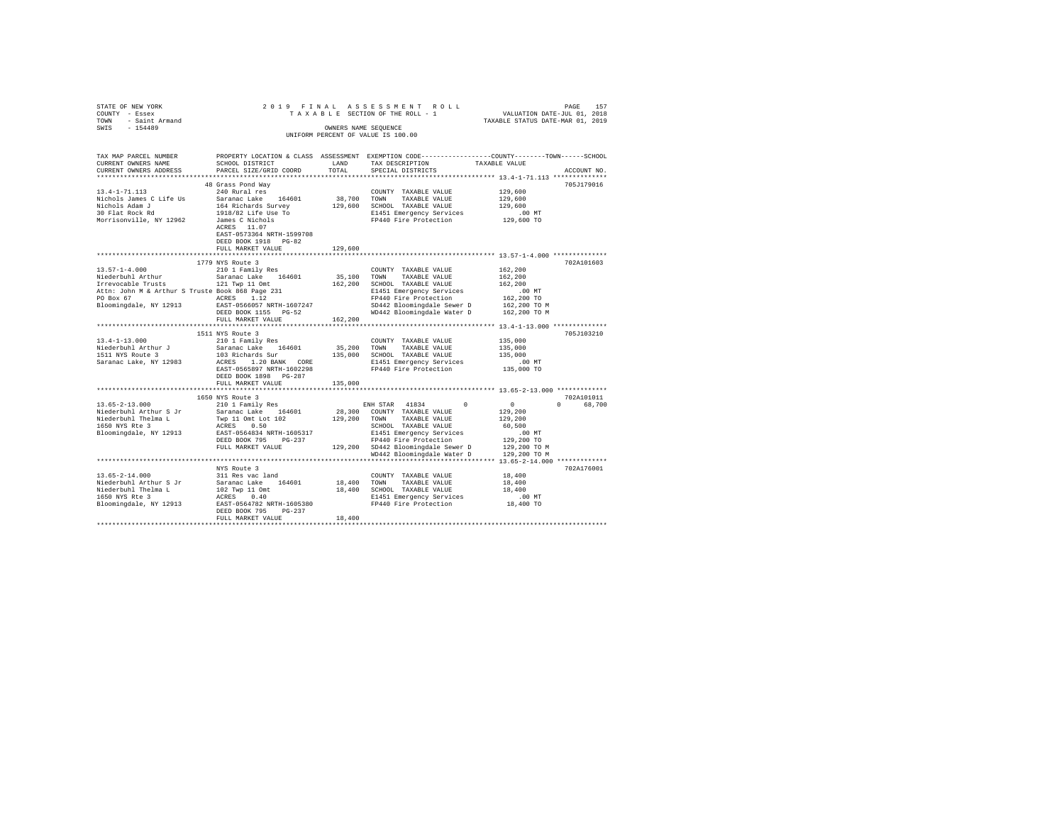| STATE OF NEW YORK                                                 |                                   |         |                                                                                                                          |                       |             |
|-------------------------------------------------------------------|-----------------------------------|---------|--------------------------------------------------------------------------------------------------------------------------|-----------------------|-------------|
| COUNTY - Essex                                                    |                                   |         |                                                                                                                          |                       |             |
| TOWN - Saint Armand                                               |                                   |         | PAGE 157 PLAN A S S E S S M E N T R O L L PROE 157 PAGE 157 PAGE 157 PAGE 157 PAGE 2 O L 2 OLD AT STET-VILOU, 2019       |                       |             |
| SWIS - 154489                                                     |                                   |         | OWNERS NAME SEOUENCE                                                                                                     |                       |             |
|                                                                   |                                   |         | UNIFORM PERCENT OF VALUE IS 100.00                                                                                       |                       |             |
|                                                                   |                                   |         |                                                                                                                          |                       |             |
|                                                                   |                                   |         |                                                                                                                          |                       |             |
| TAX MAP PARCEL NUMBER                                             |                                   |         | PROPERTY LOCATION & CLASS ASSESSMENT EXEMPTION CODE---------------COUNTY-------TOWN------SCHOOL                          |                       |             |
| CURRENT OWNERS NAME                                               | SCHOOL DISTRICT                   | LAND    | TAX DESCRIPTION                                                                                                          | TAXABLE VALUE         |             |
| CURRENT OWNERS ADDRESS                                            | PARCEL SIZE/GRID COORD            | TOTAL   | SPECIAL DISTRICTS                                                                                                        |                       | ACCOUNT NO. |
|                                                                   |                                   |         |                                                                                                                          |                       |             |
|                                                                   | 48 Grass Pond Way                 |         |                                                                                                                          |                       | 705J179016  |
| 13.4-1-71.113                                                     | 240 Rural res                     |         | COUNTY TAXABLE VALUE                                                                                                     | 129,600               |             |
| Nichols James C Life Us                                           | Saranac Lake 164601               |         | 38,700 TOWN TAXABLE VALUE                                                                                                | 129,600               |             |
| Nichols Adam J                                                    | 164 Richards Survey               |         | 129,600 SCHOOL TAXABLE VALUE                                                                                             | 129,600               |             |
| 30 Flat Rock Rd                                                   | 1918/82 Life Use To               |         | E1451 Emergency Services                                                                                                 | 00 MT.<br>129,600 TO  |             |
| Morrisonville, NY 12962                                           | James C Nichols                   |         | FP440 Fire Protection                                                                                                    |                       |             |
|                                                                   | ACRES 11.07                       |         |                                                                                                                          |                       |             |
|                                                                   | EAST-0573364 NRTH-1599708         |         |                                                                                                                          |                       |             |
|                                                                   | DEED BOOK 1918 PG-82              |         |                                                                                                                          |                       |             |
|                                                                   | FULL MARKET VALUE                 | 129,600 |                                                                                                                          |                       |             |
|                                                                   | ********************************* |         |                                                                                                                          |                       |             |
|                                                                   | 1779 NYS Route 3                  |         |                                                                                                                          |                       | 702A101603  |
| $13.57 - 1 - 4.000$                                               | 210 1 Family Res                  |         | COUNTY TAXABLE VALUE                                                                                                     | 162,200               |             |
| Niederbuhl Arthur                                                 | Saranac Lake 164601               |         | 35,100 TOWN TAXABLE VALUE                                                                                                | 162,200               |             |
| Irrevocable Trusts 121 Twp 11 Omt                                 |                                   |         | 162,200 SCHOOL TAXABLE VALUE                                                                                             | 162,200               |             |
|                                                                   |                                   |         | E1451 Emergency Services                                                                                                 | $.00$ MT              |             |
|                                                                   |                                   |         | FP440 Fire Protection                                                                                                    | 162,200 TO            |             |
|                                                                   |                                   |         | SD442 Bloomingdale Sewer D                                                                                               | 162,200 TO M          |             |
|                                                                   | DEED BOOK 1155 PG-52              |         | WD442 Bloomingdale Water D                                                                                               | 162,200 TO M          |             |
|                                                                   | FULL MARKET VALUE                 | 162,200 |                                                                                                                          |                       |             |
|                                                                   | *************************         |         |                                                                                                                          |                       |             |
|                                                                   | 1511 NYS Route 3                  |         |                                                                                                                          |                       | 705J103210  |
| $13.4 - 1 - 13.000$                                               | 210 1 Family Res                  |         | COUNTY TAXABLE VALUE                                                                                                     | 135,000               |             |
| Niederbuhl Arthur J                                               | Saranac Lake 164601               |         | 35,200 TOWN TAXABLE VALUE                                                                                                | 135,000               |             |
| 1511 NYS Route 3                                                  | 103 Richards Sur                  |         | 135,000 SCHOOL TAXABLE VALUE                                                                                             | 135,000               |             |
| Saranac Lake, NY 12983                                            | ACRES 1.20 BANK CORE              |         | E1451 Emergency Services                                                                                                 |                       |             |
|                                                                   | EAST-0565897 NRTH-1602298         |         | FP440 Fire Protection                                                                                                    | .00 MT.<br>135,000 TO |             |
|                                                                   | DEED BOOK 1898 PG-287             |         |                                                                                                                          |                       |             |
|                                                                   | FULL MARKET VALUE                 | 135,000 |                                                                                                                          |                       |             |
|                                                                   |                                   |         |                                                                                                                          |                       |             |
|                                                                   | 1650 NYS Route 3                  |         |                                                                                                                          |                       | 702A101011  |
| 13.65-2-13.000                                                    | 210 1 Family Res                  |         | ENH STAR 41834 0                                                                                                         | $\sim$ 0              | 0 68,700    |
|                                                                   |                                   |         | 28,300 COUNTY TAXABLE VALUE                                                                                              | 129,200               |             |
| Niederbuhl Arthur S Jr Saranac Lake 164601<br>Niederbuhl Thelma L |                                   |         | 129,200 TOWN TAXABLE VALUE                                                                                               | 129,200               |             |
| 1650 NYS Rte 3                                                    | Twp 11 Omt Lot 102<br>ACRES 0.50  |         | SCHOOL TAXABLE VALUE                                                                                                     | 60,500                |             |
| Bloomingdale, NY 12913                                            | EAST-0564834 NRTH-1605317         |         |                                                                                                                          | $.00$ MT              |             |
|                                                                   |                                   |         | E1451 Emergency Services<br>FP440 Fire Protection                                                                        |                       |             |
|                                                                   | DEED BOOK 795 PG-237              |         |                                                                                                                          | 129,200 TO            |             |
|                                                                   | FULL MARKET VALUE                 |         | 129,200 SD442 Bloomingdale Sewer D<br>SD442 Bloomingdale Sewer D 129,200 TO M<br>WD442 Bloomingdale Water D 129,200 TO M |                       |             |
|                                                                   |                                   |         |                                                                                                                          |                       |             |
|                                                                   |                                   |         |                                                                                                                          |                       |             |
|                                                                   | NYS Route 3                       |         |                                                                                                                          |                       | 702A176001  |
| 13.65-2-14.000                                                    | 311 Res vac land                  |         | COUNTY TAXABLE VALUE                                                                                                     | 18,400                |             |
| Niederbuhl Arthur S Jr                                            | Saranac Lake 164601               |         | 18,400 TOWN TAXABLE VALUE                                                                                                | 18,400                |             |
| Niederbuhl Thelma L                                               | 102 Twp 11 Omt                    |         | 18,400 SCHOOL TAXABLE VALUE                                                                                              | 18,400                |             |
| 1650 NYS Rte 3                                                    | ACRES 0.40                        |         | E1451 Emergency Services                                                                                                 | 00 MT.<br>18,400 TO   |             |
| Bloomingdale, NY 12913                                            | EAST-0564782 NRTH-1605380         |         | FP440 Fire Protection                                                                                                    |                       |             |
|                                                                   | DEED BOOK 795 PG-237              |         |                                                                                                                          |                       |             |
|                                                                   | FULL MARKET VALUE                 | 18,400  |                                                                                                                          |                       |             |
|                                                                   |                                   |         |                                                                                                                          |                       |             |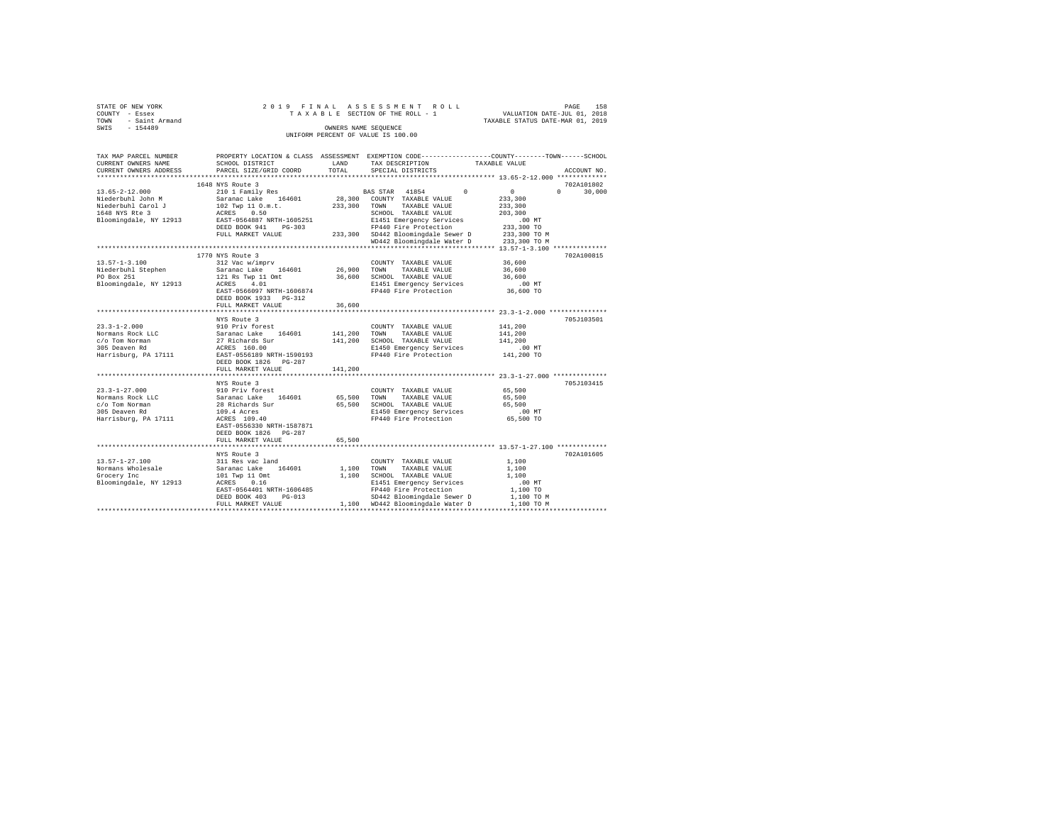| STATE OF NEW YORK   | 2019 FINAL ASSESSMENT ROLL         | 158<br>PAGE                      |
|---------------------|------------------------------------|----------------------------------|
| COUNTY - Essex      | TAXABLE SECTION OF THE ROLL - 1    | VALUATION DATE-JUL 01, 2018      |
| TOWN - Saint Armand |                                    | TAXABLE STATUS DATE-MAR 01, 2019 |
| SWIS<br>$-154489$   | OWNERS NAME SEOUENCE               |                                  |
|                     | UNIFORM PERCENT OF VALUE IS 100.00 |                                  |
|                     |                                    |                                  |
|                     |                                    |                                  |

| TAX MAP PARCEL NUMBER             |                                                                                                                                                                                                                                         |              | PROPERTY LOCATION & CLASS ASSESSMENT EXEMPTION CODE---------------COUNTY-------TOWN-----SCHOOL |                            |                    |
|-----------------------------------|-----------------------------------------------------------------------------------------------------------------------------------------------------------------------------------------------------------------------------------------|--------------|------------------------------------------------------------------------------------------------|----------------------------|--------------------|
| CURRENT OWNERS NAME               | SCHOOL DISTRICT                                                                                                                                                                                                                         | LAND         | TAX DESCRIPTION                                                                                | TAXABLE VALUE              |                    |
| CURRENT OWNERS ADDRESS            | PARCEL SIZE/GRID COORD                                                                                                                                                                                                                  | TOTAL        | SPECIAL DISTRICTS                                                                              |                            | ACCOUNT NO.        |
|                                   |                                                                                                                                                                                                                                         |              |                                                                                                |                            |                    |
|                                   | 1648 NYS Route 3                                                                                                                                                                                                                        |              |                                                                                                |                            | 702A101802         |
| $13.65 - 2 - 12.000$              | 210 1 Family Res                                                                                                                                                                                                                        |              | BAS STAR 41854 0                                                                               | $\mathbf{0}$               | $\Omega$<br>30,000 |
| Niederbuhl John M                 |                                                                                                                                                                                                                                         |              |                                                                                                | 233,300                    |                    |
| Niederbuhl Carol J                |                                                                                                                                                                                                                                         |              | 233,300 TOWN TAXABLE VALUE                                                                     | 233,300                    |                    |
| 1648 NYS Rte 3                    |                                                                                                                                                                                                                                         |              | SCHOOL TAXABLE VALUE                                                                           | 203,300                    |                    |
| Bloomingdale, NY 12913            | 21 1 1 0 1 1 0 1 1 0 1 28, 300 COUNTY TAXABLE VALUE<br>102 TWR 1 0 1 0 1 1 0 1 1 0 233, 300 TOWN TAXABLE VALUE<br>233, 300 TOWN TAXABLE VALUE<br>233, 300 TOWN TAXABLE VALUE<br>233, 300 SCHOOL TAXABLE VALUE<br>2451 Emergency Service |              | E1451 Emergency Services                                                                       | $.00$ MT                   |                    |
|                                   | DEED BOOK 941<br>$PG-303$                                                                                                                                                                                                               |              | FP440 Fire Protection<br>FP440 Fire Protection<br>233,300 SD442 Bloomingdale Sewer D           |                            |                    |
|                                   | FULL MARKET VALUE                                                                                                                                                                                                                       |              |                                                                                                | 233,300 TO<br>233,300 TO M |                    |
|                                   |                                                                                                                                                                                                                                         |              | WD442 Bloomingdale Water D 233,300 TO M                                                        |                            |                    |
|                                   |                                                                                                                                                                                                                                         |              |                                                                                                |                            |                    |
|                                   | 1770 NYS Route 3                                                                                                                                                                                                                        |              |                                                                                                |                            | 702A100815         |
| $13.57 - 1 - 3.100$               | 312 Vac w/imprv                                                                                                                                                                                                                         |              | COUNTY TAXABLE VALUE 36,600                                                                    |                            |                    |
|                                   |                                                                                                                                                                                                                                         |              | 26,900 TOWN TAXABLE VALUE                                                                      | 36,600                     |                    |
|                                   |                                                                                                                                                                                                                                         |              | 36,600 SCHOOL TAXABLE VALUE                                                                    | 36,600                     |                    |
|                                   |                                                                                                                                                                                                                                         |              |                                                                                                | $.00$ MT                   |                    |
|                                   |                                                                                                                                                                                                                                         |              | E1451 Emergency Services<br>FP440 Fire Protection                                              | 36,600 TO                  |                    |
|                                   |                                                                                                                                                                                                                                         |              |                                                                                                |                            |                    |
|                                   | DEED BOOK 1933 PG-312                                                                                                                                                                                                                   |              |                                                                                                |                            |                    |
|                                   | FULL MARKET VALUE                                                                                                                                                                                                                       | 36,600       |                                                                                                |                            |                    |
|                                   |                                                                                                                                                                                                                                         |              |                                                                                                |                            |                    |
|                                   | NYS Route 3                                                                                                                                                                                                                             |              |                                                                                                |                            | 705J103501         |
|                                   |                                                                                                                                                                                                                                         |              | COUNTY TAXABLE VALUE                                                                           | 141,200                    |                    |
|                                   |                                                                                                                                                                                                                                         | 141,200 TOWN | TAXABLE VALUE                                                                                  | 141,200                    |                    |
|                                   |                                                                                                                                                                                                                                         |              | 141,200 SCHOOL TAXABLE VALUE                                                                   | 141,200                    |                    |
|                                   |                                                                                                                                                                                                                                         |              | E1450 Emergency Services .00 MT<br>FP440 Fire Protection .01 141,200 TO                        |                            |                    |
|                                   |                                                                                                                                                                                                                                         |              | FP440 Fire Protection                                                                          |                            |                    |
|                                   | DEED BOOK 1826 PG-287                                                                                                                                                                                                                   |              |                                                                                                |                            |                    |
|                                   | FULL MARKET VALUE                                                                                                                                                                                                                       | 141,200      |                                                                                                |                            |                    |
|                                   |                                                                                                                                                                                                                                         |              |                                                                                                |                            |                    |
|                                   | NYS Route 3                                                                                                                                                                                                                             |              |                                                                                                |                            | 705J103415         |
| $23.3 - 1 - 27.000$               |                                                                                                                                                                                                                                         |              | COUNTY TAXABLE VALUE                                                                           | 65,500                     |                    |
| Normans Rock LLC                  |                                                                                                                                                                                                                                         |              | TAXABLE VALUE                                                                                  | 65,500                     |                    |
| c/o Tom Norman                    |                                                                                                                                                                                                                                         |              | 65,500 SCHOOL TAXABLE VALUE                                                                    | 65,500                     |                    |
| 305 Deaven Rd                     |                                                                                                                                                                                                                                         |              | E1450 Emergency Services                                                                       | $.00$ MT                   |                    |
| Harrisburg, PA 17111              | NYS Noute J<br>910 Priv forest<br>Saranac Lake 164601 65,500 TOWN<br>28 Richards Sur 65,500 SCHOC<br>109.4 Acres 109.40 FP44                                                                                                            |              | FP440 Fire Protection                                                                          | 65,500 TO                  |                    |
|                                   |                                                                                                                                                                                                                                         |              |                                                                                                |                            |                    |
|                                   | DEED BOOK 1826 PG-287                                                                                                                                                                                                                   |              |                                                                                                |                            |                    |
|                                   | FULL MARKET VALUE                                                                                                                                                                                                                       | 65,500       |                                                                                                |                            |                    |
|                                   |                                                                                                                                                                                                                                         |              |                                                                                                |                            |                    |
|                                   | NYS Route 3                                                                                                                                                                                                                             |              |                                                                                                |                            | 702A101605         |
|                                   |                                                                                                                                                                                                                                         |              | COUNTY TAXABLE VALUE                                                                           | 1,100                      |                    |
|                                   |                                                                                                                                                                                                                                         | 1,100 TOWN   | TAXABLE VALUE                                                                                  | 1,100                      |                    |
|                                   | $13.57 - 1 - 27.100$ $311$ Res vac land<br>Normans Wholesale $164601$<br>Grocery Inc                                                                                                                                                    |              | 1,100 SCHOOL TAXABLE VALUE                                                                     | 1,100                      |                    |
| Bloomingdale, NY 12913 ACRES 0.16 |                                                                                                                                                                                                                                         |              | E1451 Emergency Services                                                                       | .00MT                      |                    |
|                                   | EAST-0564401 NRTH-1606485                                                                                                                                                                                                               |              | FP440 Fire Protection                                                                          | 1,100 TO                   |                    |
|                                   | DEED BOOK 403<br>$PG-013$                                                                                                                                                                                                               |              |                                                                                                |                            |                    |
|                                   | FULL MARKET VALUE                                                                                                                                                                                                                       |              | SD442 Bloomingdale Sewer D 1,100 TO M<br>1,100 WD442 Bloomingdale Water D                      | 1,100 TO M                 |                    |
|                                   |                                                                                                                                                                                                                                         |              |                                                                                                |                            |                    |
|                                   |                                                                                                                                                                                                                                         |              |                                                                                                |                            |                    |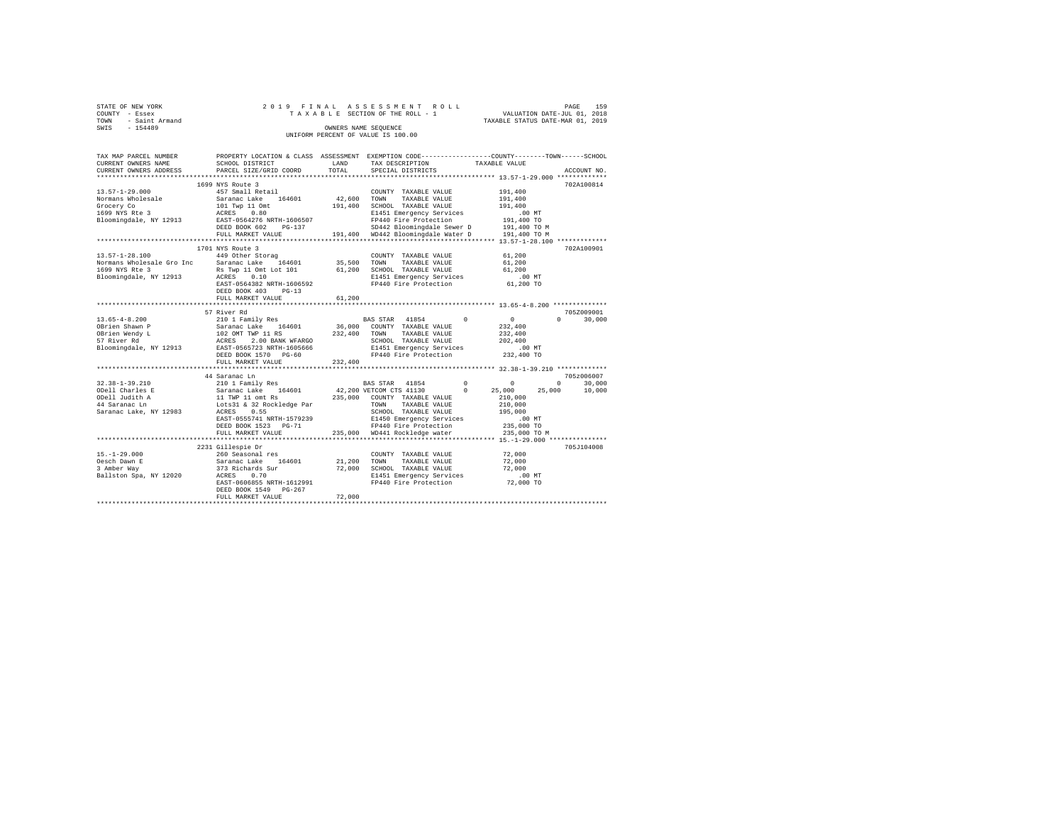| STATE OF NEW YORK   |  |  | 2019 FINAL ASSESSMENT ROLL         |                                  | PAGE                        | 159 |
|---------------------|--|--|------------------------------------|----------------------------------|-----------------------------|-----|
| COUNTY - Essex      |  |  | TAXABLE SECTION OF THE ROLL - 1    |                                  | VALUATION DATE-JUL 01, 2018 |     |
| TOWN - Saint Armand |  |  |                                    | TAXABLE STATUS DATE-MAR 01, 2019 |                             |     |
| SWIS<br>$-154489$   |  |  | OWNERS NAME SEOUENCE               |                                  |                             |     |
|                     |  |  | UNIFORM PERCENT OF VALUE IS 100.00 |                                  |                             |     |
|                     |  |  |                                    |                                  |                             |     |

| TAX MAP PARCEL NUMBER                             |                                                                                                                                                                                                                                                                                                                                                                               |               |                                                                             | PROPERTY LOCATION & CLASS ASSESSMENT EXEMPTION CODE---------------COUNTY-------TOWN-----SCHOOL |
|---------------------------------------------------|-------------------------------------------------------------------------------------------------------------------------------------------------------------------------------------------------------------------------------------------------------------------------------------------------------------------------------------------------------------------------------|---------------|-----------------------------------------------------------------------------|------------------------------------------------------------------------------------------------|
| CURRENT OWNERS NAME                               | SCHOOL DISTRICT                                                                                                                                                                                                                                                                                                                                                               | LAND          | TAX DESCRIPTION                                                             | TAXABLE VALUE                                                                                  |
| CURRENT OWNERS ADDRESS                            | PARCEL SIZE/GRID COORD                                                                                                                                                                                                                                                                                                                                                        | TOTAL         | SPECIAL DISTRICTS                                                           | ACCOUNT NO.                                                                                    |
|                                                   |                                                                                                                                                                                                                                                                                                                                                                               |               |                                                                             |                                                                                                |
|                                                   | 1699 NYS Route 3                                                                                                                                                                                                                                                                                                                                                              |               |                                                                             | 702A100814                                                                                     |
| $13.57 - 1 - 29.000$                              | 457 Small Retail                                                                                                                                                                                                                                                                                                                                                              |               | COUNTY TAXABLE VALUE                                                        | 191,400                                                                                        |
|                                                   | Saranac Lake 164601                                                                                                                                                                                                                                                                                                                                                           | $42,600$ TOWN | TAXABLE VALUE                                                               | 191,400                                                                                        |
|                                                   |                                                                                                                                                                                                                                                                                                                                                                               | 191,400       | SCHOOL TAXABLE VALUE                                                        | 191,400                                                                                        |
| Normans Wholesale<br>Grocery Co<br>1699 NYS Rte 3 | 101 Twp 11 Omt<br>ACRES 0.80                                                                                                                                                                                                                                                                                                                                                  |               | E1451 Emergency Services                                                    | $.00$ MT                                                                                       |
|                                                   | Bloomingdale, NY 12913 EAST-0564276 NRTH-1606507                                                                                                                                                                                                                                                                                                                              |               |                                                                             |                                                                                                |
|                                                   | DEED BOOK 602<br>$PG-137$                                                                                                                                                                                                                                                                                                                                                     |               | FP440 Fire Protection 191,400 TO<br>SD442 Bloomingdale Sewer D 191,400 TO M |                                                                                                |
|                                                   | FULL MARKET VALUE                                                                                                                                                                                                                                                                                                                                                             |               | 191,400 WD442 Bloomingdale Water D 191,400 TO M                             |                                                                                                |
|                                                   |                                                                                                                                                                                                                                                                                                                                                                               |               |                                                                             |                                                                                                |
|                                                   | 1701 NYS Route 3                                                                                                                                                                                                                                                                                                                                                              |               |                                                                             | 702A100901                                                                                     |
| $13.57 - 1 - 28.100$                              | 449 Other Storag                                                                                                                                                                                                                                                                                                                                                              |               | COUNTY TAXABLE VALUE                                                        | 61,200                                                                                         |
|                                                   |                                                                                                                                                                                                                                                                                                                                                                               | 35,500        |                                                                             |                                                                                                |
|                                                   | Normans Wholesale Gro Inc Saranac Lake 164601                                                                                                                                                                                                                                                                                                                                 |               | TOWN<br>TAXABLE VALUE                                                       | 61,200                                                                                         |
| 1699 NYS Rte 3                                    | Rs Twp 11 Omt Lot 101                                                                                                                                                                                                                                                                                                                                                         | 61,200        | SCHOOL TAXABLE VALUE                                                        | 61,200                                                                                         |
| Bloomingdale, NY 12913                            | ACRES 0.10                                                                                                                                                                                                                                                                                                                                                                    |               | E1451 Emergency Services<br>FP440 Fire Protection                           | .00 MT                                                                                         |
|                                                   | EAST-0564382 NRTH-1606592                                                                                                                                                                                                                                                                                                                                                     |               |                                                                             | 61,200 TO                                                                                      |
|                                                   | DEED BOOK 403 PG-13                                                                                                                                                                                                                                                                                                                                                           |               |                                                                             |                                                                                                |
|                                                   | FULL MARKET VALUE                                                                                                                                                                                                                                                                                                                                                             | 61,200        |                                                                             |                                                                                                |
|                                                   |                                                                                                                                                                                                                                                                                                                                                                               |               |                                                                             |                                                                                                |
|                                                   | 57 River Rd<br>$\begin{tabular}{lcccc} 13.65-4-8.200 & -0.2101 Paully Res & BAS STR & 41854 & (2000) and (2110) and (2110) and (2110) and (2110) and (2110) and (2110) and (2110) and (2110) and (2110) and (2110) and (2110) and (2110) and (2110) and (2110) and (2110) and (2110) and (2110) and (2110) and (2110) and (2110) and (2110) and (2110) and (2110) and (2110)$ |               |                                                                             | 705Z009001                                                                                     |
|                                                   |                                                                                                                                                                                                                                                                                                                                                                               |               | BAS STAR 41854 0                                                            | $\overline{0}$<br>$\Omega$<br>30,000                                                           |
|                                                   |                                                                                                                                                                                                                                                                                                                                                                               |               |                                                                             | 232,400                                                                                        |
|                                                   |                                                                                                                                                                                                                                                                                                                                                                               |               |                                                                             | 232,400                                                                                        |
|                                                   |                                                                                                                                                                                                                                                                                                                                                                               |               |                                                                             | 202,400                                                                                        |
|                                                   |                                                                                                                                                                                                                                                                                                                                                                               |               | E1451 Emergency Services                                                    | $.00$ MT                                                                                       |
|                                                   | DEED BOOK 1570 PG-60                                                                                                                                                                                                                                                                                                                                                          |               | FP440 Fire Protection                                                       | 232,400 TO                                                                                     |
|                                                   | FULL MARKET VALUE                                                                                                                                                                                                                                                                                                                                                             | 232,400       |                                                                             |                                                                                                |
|                                                   |                                                                                                                                                                                                                                                                                                                                                                               |               |                                                                             |                                                                                                |
|                                                   | 44 Saranac Ln                                                                                                                                                                                                                                                                                                                                                                 |               |                                                                             | 705z006007                                                                                     |
| 32.38-1-39.210                                    | 210 1 Family Res                                                                                                                                                                                                                                                                                                                                                              |               | BAS STAR 41854 0                                                            | $0 \qquad \qquad$<br>30,000<br>$^{\circ}$                                                      |
| ODell Charles E                                   |                                                                                                                                                                                                                                                                                                                                                                               |               | $42,200$ VETCOM CTS $41130$ 0<br>235,000 COUNTY TAXABLE VALUE               | 25,000<br>25,000<br>10,000                                                                     |
| ODell Judith A                                    |                                                                                                                                                                                                                                                                                                                                                                               |               |                                                                             | 210,000                                                                                        |
| 44 Saranac Ln                                     | Saranac Lake     164601<br>11 TWP 11 omt Rs<br>Lots31 & 32 Rockledge Par                                                                                                                                                                                                                                                                                                      |               | TOWN<br>TAXABLE VALUE                                                       | 210,000                                                                                        |
| Saranac Lake, NY 12983                            | ACRES 0.55                                                                                                                                                                                                                                                                                                                                                                    |               | SCHOOL TAXABLE VALUE                                                        | 195,000                                                                                        |
|                                                   | EAST-0555741 NRTH-1579239                                                                                                                                                                                                                                                                                                                                                     |               | E1450 Emergency Services                                                    |                                                                                                |
|                                                   | DEED BOOK 1523 PG-71                                                                                                                                                                                                                                                                                                                                                          |               | FP440 Fire Protection                                                       | 00 MT.<br>235,000 TO                                                                           |
|                                                   | FULL MARKET VALUE                                                                                                                                                                                                                                                                                                                                                             |               | 235,000 WD441 Rockledge water                                               | 235,000 TO M                                                                                   |
|                                                   |                                                                                                                                                                                                                                                                                                                                                                               |               |                                                                             |                                                                                                |
|                                                   | 2231 Gillespie Dr                                                                                                                                                                                                                                                                                                                                                             |               |                                                                             | 705J104008                                                                                     |
| $15. - 1 - 29.000$                                | 260 Seasonal res                                                                                                                                                                                                                                                                                                                                                              |               | COUNTY TAXABLE VALUE                                                        | 72,000                                                                                         |
| Oesch Dawn E                                      |                                                                                                                                                                                                                                                                                                                                                                               | 21,200        | TOWN<br>TAXABLE VALUE                                                       | 72,000                                                                                         |
|                                                   | Saranac Lake 164601<br>373 Richards Sur                                                                                                                                                                                                                                                                                                                                       |               |                                                                             |                                                                                                |
| 3 Amber Way                                       | market and the state                                                                                                                                                                                                                                                                                                                                                          | 72,000        | SCHOOL TAXABLE VALUE                                                        | 72,000                                                                                         |
| Ballston Spa, NY 12020 ACRES 0.70                 |                                                                                                                                                                                                                                                                                                                                                                               |               | E1451 Emergency Services                                                    | $.00$ MT                                                                                       |
|                                                   | EAST-0606855 NRTH-1612991                                                                                                                                                                                                                                                                                                                                                     |               | FP440 Fire Protection                                                       | 72,000 TO                                                                                      |
|                                                   | DEED BOOK 1549 PG-267                                                                                                                                                                                                                                                                                                                                                         |               |                                                                             |                                                                                                |
|                                                   | FULL MARKET VALUE                                                                                                                                                                                                                                                                                                                                                             | 72,000        |                                                                             |                                                                                                |
|                                                   |                                                                                                                                                                                                                                                                                                                                                                               |               |                                                                             |                                                                                                |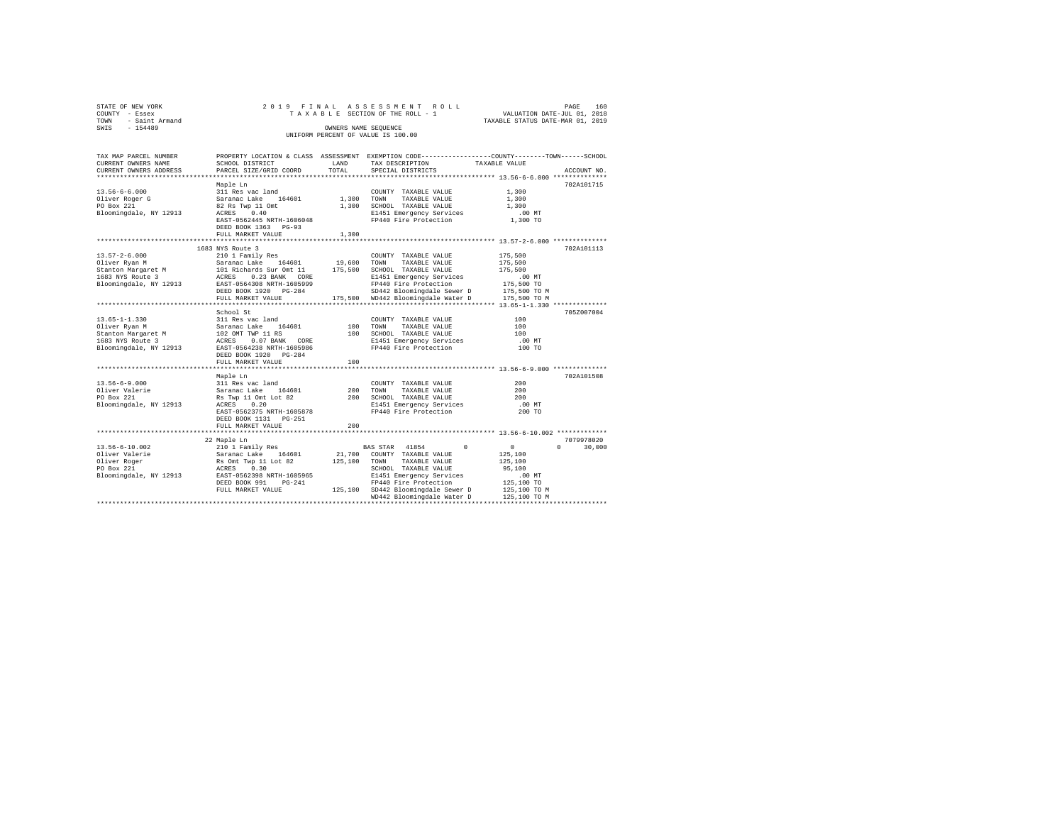| STATE OF NEW YORK   |  | 2019 FINAL ASSESSMENT ROLL         |                                  | PAGE                        | 160 |
|---------------------|--|------------------------------------|----------------------------------|-----------------------------|-----|
| COUNTY - Essex      |  | TAXABLE SECTION OF THE ROLL - 1    |                                  | VALUATION DATE-JUL 01, 2018 |     |
| TOWN - Saint Armand |  |                                    | TAXABLE STATUS DATE-MAR 01, 2019 |                             |     |
| SWIS<br>$-154489$   |  | OWNERS NAME SEOUENCE               |                                  |                             |     |
|                     |  | UNIFORM PERCENT OF VALUE IS 100.00 |                                  |                             |     |
|                     |  |                                    |                                  |                             |     |

| TAX MAP PARCEL NUMBER  |                             |            | PROPERTY LOCATION & CLASS ASSESSMENT EXEMPTION CODE---------------COUNTY-------TOWN-----SCHOOL |                |                    |
|------------------------|-----------------------------|------------|------------------------------------------------------------------------------------------------|----------------|--------------------|
| CURRENT OWNERS NAME    | SCHOOL DISTRICT             | LAND       | TAX DESCRIPTION                                                                                | TAXABLE VALUE  |                    |
| CURRENT OWNERS ADDRESS | PARCEL SIZE/GRID COORD      | TOTAL      | SPECIAL DISTRICTS                                                                              |                | ACCOUNT NO.        |
|                        |                             |            |                                                                                                |                |                    |
|                        | Maple Ln                    |            |                                                                                                |                | 702A101715         |
| $13.56 - 6 - 6.000$    | 311 Res vac land            |            | COUNTY TAXABLE VALUE                                                                           | 1,300          |                    |
| Oliver Roger G         | Saranac Lake<br>164601      | 1,300 TOWN | TAXABLE VALUE                                                                                  | 1,300          |                    |
| PO Box 221             | 82 Rs Twp 11 Omt            |            | 1,300 SCHOOL TAXABLE VALUE                                                                     | 1,300          |                    |
| Bloomingdale, NY 12913 | 0.40<br>ACRES               |            | E1451 Emergency Services                                                                       | $.00$ MT       |                    |
|                        | EAST-0562445 NRTH-1606048   |            | FP440 Fire Protection                                                                          | 1,300 TO       |                    |
|                        | DEED BOOK 1363 PG-93        |            |                                                                                                |                |                    |
|                        | FULL MARKET VALUE           | 1,300      |                                                                                                |                |                    |
|                        |                             |            |                                                                                                |                |                    |
|                        |                             |            |                                                                                                |                |                    |
|                        | 1683 NYS Route 3            |            |                                                                                                |                | 702A101113         |
| $13.57 - 2 - 6.000$    | 210 1 Family Res            |            | COUNTY TAXABLE VALUE                                                                           | 175,500        |                    |
| Oliver Ryan M          | 164601<br>Saranac Lake      | 19,600     | TOWN<br>TAXABLE VALUE                                                                          | 175,500        |                    |
| Stanton Margaret M     | 101 Richards Sur Omt 11     | 175,500    | SCHOOL TAXABLE VALUE                                                                           | 175,500        |                    |
| 1683 NYS Route 3       | $0.23$ BANK $CORE$<br>ACRES |            | E1451 Emergency Services                                                                       | .00 MT         |                    |
| Bloomingdale, NY 12913 | EAST-0564308 NRTH-1605999   |            | FP440 Fire Protection                                                                          | 175,500 TO     |                    |
|                        | DEED BOOK 1920 PG-284       |            | SD442 Bloomingdale Sewer D                                                                     | 175,500 TO M   |                    |
|                        | FULL MARKET VALUE           |            | SD442 Bloomingdale Sewer D 175,500 TO M<br>175,500 WD442 Bloomingdale Water D 175,500 TO M     |                |                    |
|                        |                             |            |                                                                                                |                |                    |
|                        | School St                   |            |                                                                                                |                | 705Z007004         |
| $13.65 - 1 - 1.330$    | 311 Res vac land            |            | COUNTY TAXABLE VALUE                                                                           | 100            |                    |
| Oliver Ryan M          | Saranac Lake<br>164601      | 100        | TOWN<br>TAXABLE VALUE                                                                          | 100            |                    |
| Stanton Margaret M     | 102 OMT TWP 11 RS           |            | 100 SCHOOL TAXABLE VALUE                                                                       | 100            |                    |
| 1683 NYS Route 3       | 0.07 BANK CORE<br>ACRES     |            | E1451 Emergency Services                                                                       | $.00$ MT       |                    |
| Bloomingdale, NY 12913 | EAST-0564238 NRTH-1605986   |            | FP440 Fire Protection                                                                          | 100 TO         |                    |
|                        | DEED BOOK 1920 PG-284       |            |                                                                                                |                |                    |
|                        | FULL MARKET VALUE           | 100        |                                                                                                |                |                    |
|                        |                             |            |                                                                                                |                |                    |
|                        |                             |            |                                                                                                |                |                    |
|                        | Maple Ln                    |            |                                                                                                |                | 702A101508         |
| $13.56 - 6 - 9.000$    | 311 Res vac land            |            | COUNTY TAXABLE VALUE                                                                           | 200            |                    |
| Oliver Valerie         | Saranac Lake 164601         | 200        | TOWN<br>TAXABLE VALUE                                                                          | 200            |                    |
| PO Box 221             | Rs Twp 11 Omt Lot 82        |            | 200 SCHOOL TAXABLE VALUE                                                                       | 200            |                    |
| Bloomingdale, NY 12913 | 0.20<br>ACRES               |            | E1451 Emergency Services                                                                       | .00 MT         |                    |
|                        | EAST-0562375 NRTH-1605878   |            | FP440 Fire Protection                                                                          | 200 TO         |                    |
|                        | DEED BOOK 1131   PG-251     |            |                                                                                                |                |                    |
|                        | FULL MARKET VALUE           | 200        |                                                                                                |                |                    |
|                        |                             |            |                                                                                                |                |                    |
|                        | 22 Maple Ln                 |            |                                                                                                |                | 7079978020         |
| $13.56 - 6 - 10.002$   | 210 1 Family Res            |            | $\Omega$<br>BAS STAR 41854                                                                     | $\overline{0}$ | $\Omega$<br>30,000 |
| Oliver Valerie         | Saranac Lake 164601         | 21,700     | COUNTY TAXABLE VALUE                                                                           | 125,100        |                    |
| Oliver Roger           | Rs Omt Twp 11 Lot 82        | 125,100    | TAXABLE VALUE<br>TOWN                                                                          | 125,100        |                    |
| PO Box 221             | 0.30<br>ACRES               |            | SCHOOL TAXABLE VALUE                                                                           | 95,100         |                    |
| Bloomingdale, NY 12913 | EAST-0562398 NRTH-1605965   |            | E1451 Emergency Services                                                                       | $.00$ MT       |                    |
|                        | DEED BOOK 991<br>$PG-241$   |            | FP440 Fire Protection                                                                          | 125,100 TO     |                    |
|                        | FULL MARKET VALUE           |            | 125,100 SD442 Bloomingdale Sewer D                                                             | 125,100 TO M   |                    |
|                        |                             |            | WD442 Bloomingdale Water D                                                                     | 125,100 TO M   |                    |
|                        |                             |            |                                                                                                |                |                    |
|                        |                             |            |                                                                                                |                |                    |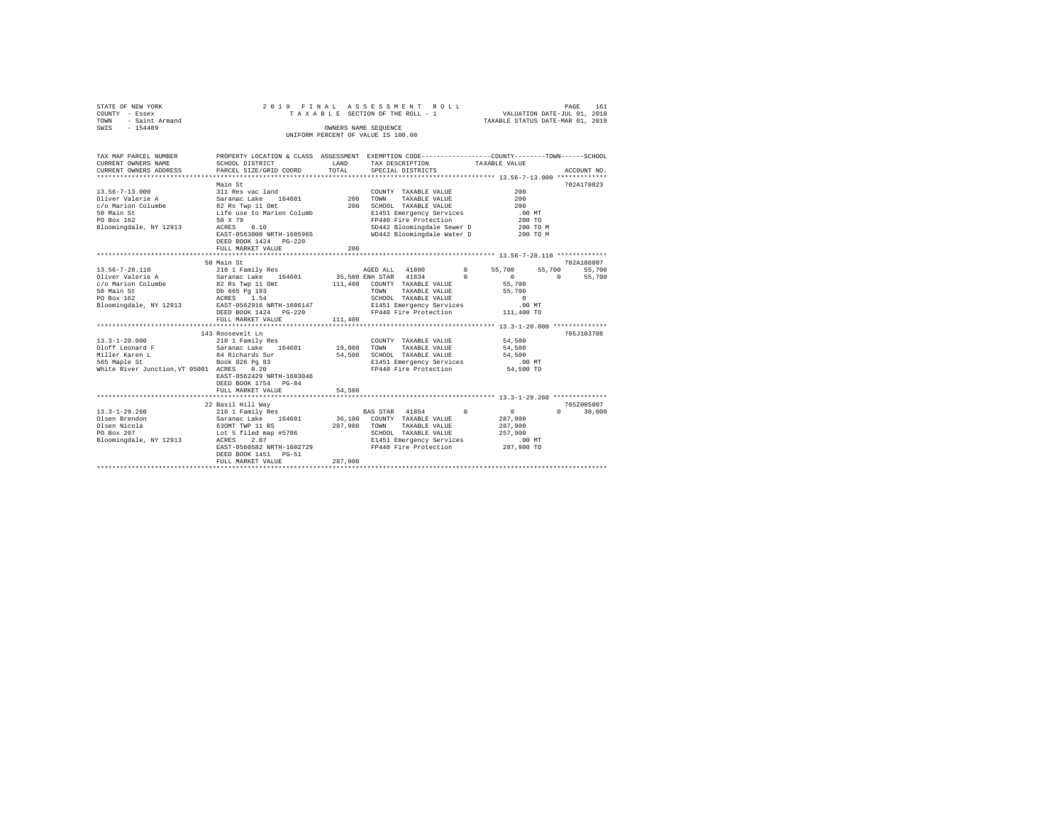| STATE OF NEW YORK<br>COUNTY - Essex<br>- Saint Armand<br>TOWN<br>SWIS - 154489                                                        | 2019 FINAL                                                                                                                                                                                                                                   |                            | ASSESSMENT ROLL<br>TAXABLE SECTION OF THE ROLL - 1<br>OWNERS NAME SEQUENCE<br>UNIFORM PERCENT OF VALUE IS 100.00                                                                                    | VALUATION DATE-JUL 01, 2018<br>TAXABLE STATUS DATE-MAR 01, 2019                                                                                                      | PAGE               | 161                            |
|---------------------------------------------------------------------------------------------------------------------------------------|----------------------------------------------------------------------------------------------------------------------------------------------------------------------------------------------------------------------------------------------|----------------------------|-----------------------------------------------------------------------------------------------------------------------------------------------------------------------------------------------------|----------------------------------------------------------------------------------------------------------------------------------------------------------------------|--------------------|--------------------------------|
|                                                                                                                                       |                                                                                                                                                                                                                                              |                            |                                                                                                                                                                                                     |                                                                                                                                                                      |                    |                                |
| TAX MAP PARCEL NUMBER<br>CURRENT OWNERS NAME<br>CURRENT OWNERS ADDRESS                                                                | PROPERTY LOCATION & CLASS ASSESSMENT EXEMPTION CODE---------------COUNTY-------TOWN------SCHOOL<br>SCHOOL DISTRICT<br>PARCEL SIZE/GRID COORD                                                                                                 | LAND<br>TOTAL              | TAX DESCRIPTION<br>SPECIAL DISTRICTS                                                                                                                                                                | TAXABLE VALUE                                                                                                                                                        |                    | ACCOUNT NO.                    |
|                                                                                                                                       |                                                                                                                                                                                                                                              |                            |                                                                                                                                                                                                     |                                                                                                                                                                      |                    |                                |
| $13.56 - 7 - 13.000$<br>Oliver Valerie A<br>c/o Marion Columbe<br>50 Main St<br>PO Box 162<br>Bloomingdale, NY 12913                  | Main St<br>311 Res vac land<br>Saranac Lake 164601<br>82 Rs Twp 11 Omt<br>Life use to Marion Columb<br>50 X 79<br>ACRES 0.10<br>EAST-0563000 NRTH-1605965                                                                                    | 200                        | COUNTY TAXABLE VALUE<br>TAXABLE VALUE<br>TOWN<br>200 SCHOOL TAXABLE VALUE<br>E1451 Emergency Services<br>FP440 Fire Protection<br>SD442 Bloomingdale Sewer D<br>WD442 Bloomingdale Water D 200 TO M | $200 -$<br>200<br>200<br>.00 MT<br>200 TO<br>200 TO M                                                                                                                |                    | 702A178023                     |
|                                                                                                                                       | DEED BOOK 1424   PG-220<br>FULL MARKET VALUE                                                                                                                                                                                                 | 200                        |                                                                                                                                                                                                     |                                                                                                                                                                      |                    |                                |
|                                                                                                                                       |                                                                                                                                                                                                                                              |                            |                                                                                                                                                                                                     |                                                                                                                                                                      |                    |                                |
|                                                                                                                                       | 50 Main St                                                                                                                                                                                                                                   |                            |                                                                                                                                                                                                     |                                                                                                                                                                      |                    | 702A100807                     |
| 13.56-7-28.110<br>Oliver Valerie A<br>c/o Marion Columbe<br>50 Main St<br>PO Box 162<br>Bloomingdale, NY 12913<br>$13.3 - 1 - 20.000$ | 210 1 Family Res<br>Saranac Lake 164601<br>82 Rs Twp 11 Omt<br>Db 665 Pg 193<br>ACRES 1.54<br>EAST-0562916 NRTH-1606147<br>DEED BOOK 1424    PG-220<br>FULL MARKET VALUE<br>************************<br>143 Roosevelt Ln<br>210 1 Family Res | 111,400                    | AGED ALL 41800<br>35,500 ENH STAR 41834<br>111,400 COUNTY TAXABLE VALUE<br>TOWN TAXABLE VALUE<br>SCHOOL TAXABLE VALUE<br>E1451 Emergency Services<br>FP440 Fire Protection<br>COUNTY TAXABLE VALUE  | $\Omega$<br>55,700<br>$\Omega$<br>$\sim$ 0<br>55,700<br>55,700<br>$\Omega$<br>$.00$ MT<br>111,400 TO<br>********************* 13.3-1-20.000 **************<br>54,500 | 55,700<br>$\sim$ 0 | 55,700<br>55,700<br>705J103708 |
| Oloff Leonard F<br>Miller Karen L 84 Richards Sur<br>565 Maple St Book 826 Pg 83<br>White River Junction, VT 05001 ACRES 0.20         | Saranac Lake 164601<br>EAST-0562429 NRTH-1603046<br>DEED BOOK 1754 PG-84<br>FULL MARKET VALUE                                                                                                                                                | 19,000<br>54,500<br>54,500 | TOWN<br>TAXABLE VALUE<br>SCHOOL TAXABLE VALUE<br>E1451 Emergency Services<br>FP440 Fire Protection                                                                                                  | 54,500<br>54,500<br>$.00$ MT<br>54,500 TO                                                                                                                            |                    |                                |
|                                                                                                                                       | *************************                                                                                                                                                                                                                    |                            | ********************************** 13.3-1-29.260 **************                                                                                                                                     |                                                                                                                                                                      |                    |                                |
| $13.3 - 1 - 29.260$<br>Olsen Brendon<br>Olsen Brendon<br>Olsen Nicola<br>PO Box 207<br>PO Box 207<br>Bloomingdale, NY 12913           | 22 Basil Hill Way<br>210 1 Family Res<br>Saranac Lake 164601<br>630MT TWP 11 RS<br>Lot 5 filed map #5706<br>ACRES 2.07<br>2.07<br>ACRES<br>EAST-0560582 NRTH-1602729<br>DEED BOOK 1451 PG-51<br>FULL MARKET VALUE                            | 287.900<br>287,900         | BAS STAR 41854 0<br>36,100 COUNTY TAXABLE VALUE<br>TOWN TAXABLE VALUE<br>SCHOOL TAXABLE VALUE<br>E1451 Emergency Services<br>FP440 Fire Protection                                                  | $\sim$ 0<br>287,900<br>287,900<br>257,900<br>$.00$ MT<br>287,900 TO                                                                                                  |                    | 705Z005007<br>$0 \t 30.000$    |
|                                                                                                                                       |                                                                                                                                                                                                                                              |                            |                                                                                                                                                                                                     |                                                                                                                                                                      |                    |                                |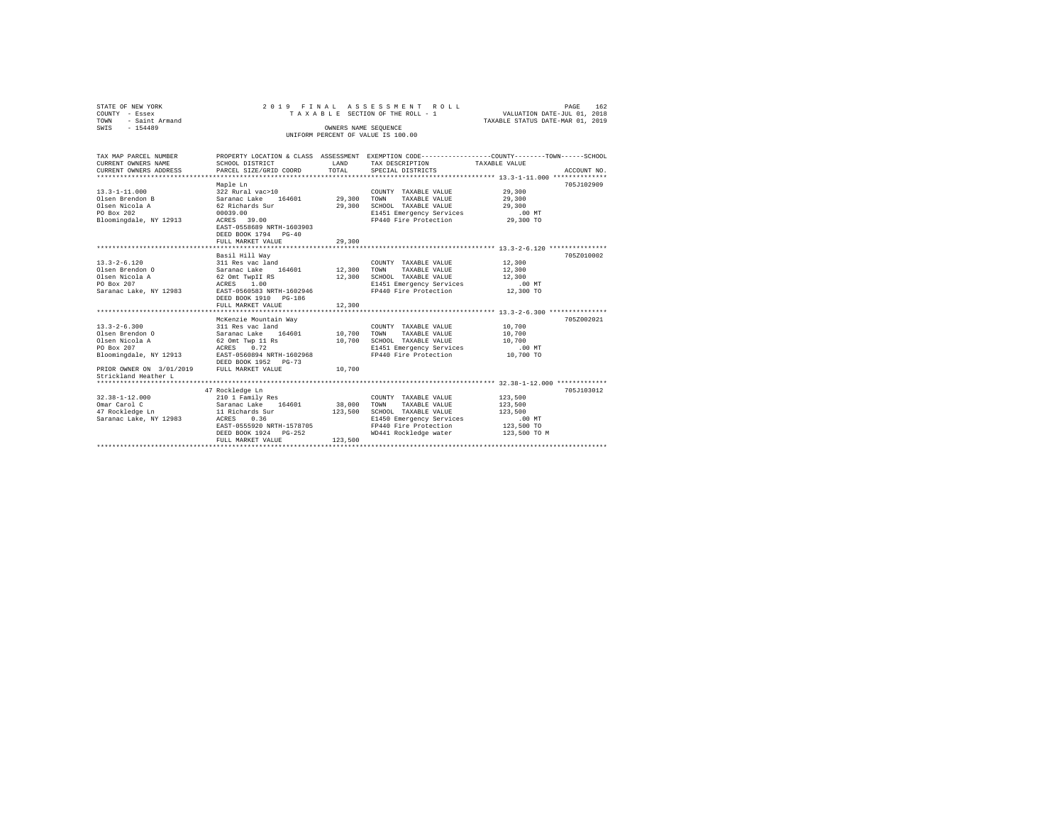| STATE OF NEW YORK<br>COUNTY - Essex              |                                                                                                 |                                                                | 2019 FINAL ASSESSMENT ROLL<br>TAXABLE SECTION OF THE ROLL - 1 VALUATION DATE-JUL 01, 2018 |                                  | PAGE<br>162 |
|--------------------------------------------------|-------------------------------------------------------------------------------------------------|----------------------------------------------------------------|-------------------------------------------------------------------------------------------|----------------------------------|-------------|
| TOWN - Saint Armand                              |                                                                                                 |                                                                |                                                                                           | TAXABLE STATUS DATE-MAR 01, 2019 |             |
| SWIS - 154489                                    |                                                                                                 | OWNERS NAME SEQUENCE                                           |                                                                                           |                                  |             |
|                                                  |                                                                                                 |                                                                | UNIFORM PERCENT OF VALUE IS 100.00                                                        |                                  |             |
|                                                  |                                                                                                 |                                                                |                                                                                           |                                  |             |
| TAX MAP PARCEL NUMBER                            | PROPERTY LOCATION & CLASS ASSESSMENT EXEMPTION CODE---------------COUNTY-------TOWN------SCHOOL |                                                                |                                                                                           |                                  |             |
| CURRENT OWNERS NAME                              | SCHOOL DISTRICT                                                                                 | LAND                                                           | TAX DESCRIPTION TAXABLE VALUE                                                             |                                  |             |
| CURRENT OWNERS ADDRESS                           | PARCEL SIZE/GRID COORD                                                                          | TOTAL                                                          | SPECIAL DISTRICTS                                                                         |                                  | ACCOUNT NO. |
|                                                  |                                                                                                 |                                                                |                                                                                           |                                  |             |
|                                                  | Maple Ln                                                                                        |                                                                |                                                                                           |                                  | 705J102909  |
| $13.3 - 1 - 11.000$                              | 322 Rural vac>10                                                                                |                                                                | COUNTY TAXABLE VALUE                                                                      | 29,300                           |             |
| Olsen Brendon B                                  | Saranac Lake 164601                                                                             | 29,300 TOWN                                                    | TAXABLE VALUE                                                                             | 29,300                           |             |
| Olsen Nicola A                                   | 62 Richards Sur                                                                                 | 29,300                                                         | SCHOOL TAXABLE VALUE                                                                      | 29,300                           |             |
| PO Box 202                                       | 00039.00                                                                                        |                                                                | E1451 Emergency Services                                                                  | $.00$ MT                         |             |
| Bloomingdale, NY 12913                           | ACRES 39.00                                                                                     |                                                                | FP440 Fire Protection 29,300 TO                                                           |                                  |             |
|                                                  | EAST-0558689 NRTH-1603903                                                                       |                                                                |                                                                                           |                                  |             |
|                                                  | DEED BOOK 1794 PG-40                                                                            |                                                                |                                                                                           |                                  |             |
|                                                  | FULL MARKET VALUE                                                                               | 29,300                                                         |                                                                                           |                                  |             |
|                                                  |                                                                                                 |                                                                |                                                                                           |                                  | 705Z010002  |
| $13.3 - 2 - 6.120$                               | Basil Hill Wav<br>311 Res vac land                                                              |                                                                | COUNTY TAXABLE VALUE 12,300                                                               |                                  |             |
| Olsen Brendon O                                  |                                                                                                 | 12,300 TOWN                                                    | TAXABLE VALUE                                                                             | 12,300                           |             |
| Olsen Nicola A                                   | Saranac Lake 164601<br>62 Omt TwpII RS                                                          | 12,300                                                         | SCHOOL TAXABLE VALUE                                                                      | 12,300                           |             |
| PO Box 207                                       | ACRES 1.00                                                                                      |                                                                | E1451 Emergency Services                                                                  | $.00$ MT                         |             |
| Saranac Lake, NY 12983                           | EAST-0560583 NRTH-1602946                                                                       |                                                                | FP440 Fire Protection                                                                     | 12,300 TO                        |             |
|                                                  | DEED BOOK 1910 PG-186                                                                           |                                                                |                                                                                           |                                  |             |
|                                                  | FULL MARKET VALUE                                                                               | 12,300                                                         |                                                                                           |                                  |             |
|                                                  |                                                                                                 |                                                                |                                                                                           |                                  |             |
|                                                  | McKenzie Mountain Wav                                                                           |                                                                |                                                                                           |                                  | 7057002021  |
| $13.3 - 2 - 6.300$                               | 311 Res vac land                                                                                |                                                                | COUNTY TAXABLE VALUE                                                                      | 10,700                           |             |
| Olsen Brendon O                                  | 311 Res vac Ianu<br>Saranac Lake 164601                                                         | $\begin{array}{cc} \text{COUNTY} \\ \text{10,700} \end{array}$ | TAXABLE VALUE                                                                             | 10,700                           |             |
| Olsen Nicola A                                   | $62$ Omt Twp 11 Rs $10,700$<br>aCRES $0,72$                                                     |                                                                | SCHOOL TAXABLE VALUE                                                                      | 10,700                           |             |
| PO Box 207                                       | ACRES 0.72                                                                                      |                                                                | E1451 Emergency Services                                                                  | $.00$ MT                         |             |
| Bloomingdale, NY 12913 EAST-0560894 NRTH-1602968 |                                                                                                 |                                                                | FP440 Fire Protection 10,700 TO                                                           |                                  |             |
|                                                  | DEED BOOK 1952 PG-73                                                                            |                                                                |                                                                                           |                                  |             |
| PRIOR OWNER ON 3/01/2019 FULL MARKET VALUE       |                                                                                                 | 10,700                                                         |                                                                                           |                                  |             |
| Strickland Heather L                             |                                                                                                 |                                                                |                                                                                           |                                  |             |
|                                                  |                                                                                                 |                                                                |                                                                                           |                                  |             |
| $32.38 - 1 - 12.000$                             | 47 Rockledge Ln<br>210 1 Family Res                                                             |                                                                |                                                                                           | 123,500                          | 705J103012  |
| Omar Carol C                                     |                                                                                                 | 38,000                                                         | COUNTY TAXABLE VALUE<br>TAXABLE VALUE<br>TOWN                                             | 123,500                          |             |
| <sub>Jamar</sub> Carol C<br>47 Rockledge Ln      |                                                                                                 | 123,500                                                        | SCHOOL TAXABLE VALUE                                                                      | 123,500                          |             |
| Saranac Lake, NY 12983                           | Saranac Lake 164601<br>11 Richards Sur<br>ACRES 0.36                                            |                                                                | E1450 Emergency Services                                                                  | $.00$ MT                         |             |
|                                                  | EAST-0555920 NRTH-1578705                                                                       |                                                                | FP440 Fire Protection                                                                     | 123,500 TO                       |             |
|                                                  | DEED BOOK 1924 PG-252                                                                           |                                                                | WD441 Rockledge water                                                                     | 123,500 TO M                     |             |
|                                                  | FULL MARKET VALUE                                                                               | 123,500                                                        |                                                                                           |                                  |             |
|                                                  |                                                                                                 |                                                                |                                                                                           |                                  |             |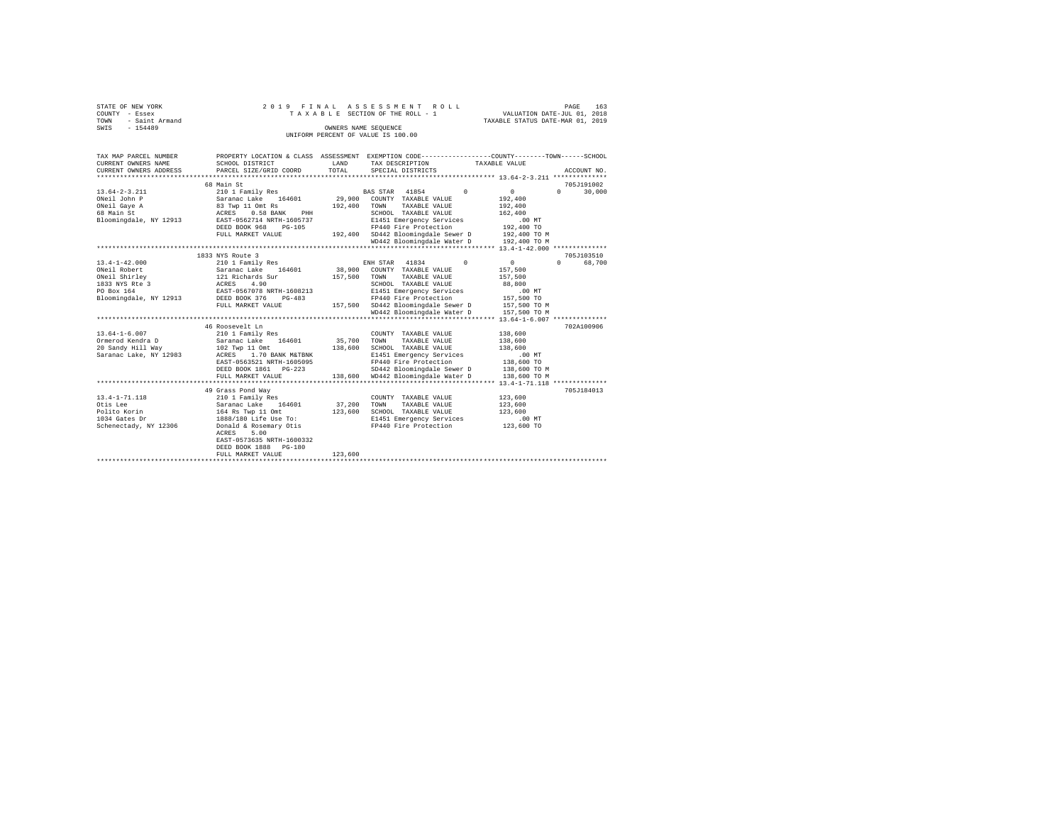|      | STATE OF NEW YORK |  |  |  | 2019 FINAL ASSESSMENT ROLL         |  |  |  |  |  |                                  | PAGE | 163 |
|------|-------------------|--|--|--|------------------------------------|--|--|--|--|--|----------------------------------|------|-----|
|      | COUNTY - Essex    |  |  |  | TAXABLE SECTION OF THE ROLL - 1    |  |  |  |  |  | VALUATION DATE-JUL 01, 2018      |      |     |
| TOWN | - Saint Armand    |  |  |  |                                    |  |  |  |  |  | TAXABLE STATUS DATE-MAR 01, 2019 |      |     |
| SWIS | $-154489$         |  |  |  | OWNERS NAME SEOUENCE               |  |  |  |  |  |                                  |      |     |
|      |                   |  |  |  | UNIFORM PERCENT OF VALUE IS 100.00 |  |  |  |  |  |                                  |      |     |

| TAX MAP PARCEL NUMBER<br>CURRENT OWNERS NAME<br>CURRENT OWNERS ADDRESS | SCHOOL DISTRICT<br>PARCEL SIZE/GRID COORD  | LAND<br>TOTAL | PROPERTY LOCATION & CLASS ASSESSMENT EXEMPTION CODE---------------COUNTY-------TOWN-----SCHOOL<br>TAX DESCRIPTION TAXABLE VALUE<br>SPECIAL DISTRICTS | ACCOUNT NO.                  |
|------------------------------------------------------------------------|--------------------------------------------|---------------|------------------------------------------------------------------------------------------------------------------------------------------------------|------------------------------|
|                                                                        |                                            |               |                                                                                                                                                      |                              |
|                                                                        | 68 Main St                                 |               |                                                                                                                                                      | 705J191002                   |
| $13.64 - 2 - 3.211$                                                    | 210 1 Family Res                           |               | BAS STAR 41854<br>$\Omega$                                                                                                                           | $\Omega$<br>$\cap$<br>30,000 |
| ONeil John P                                                           | Saranac Lake 164601                        | 29,900        | COUNTY TAXABLE VALUE                                                                                                                                 | 192,400                      |
| ONeil Gave A                                                           |                                            | 192,400       | TAXABLE VALUE<br>TOWN                                                                                                                                | 192,400                      |
| 68 Main St                                                             | 83 Twp 11 Omt Rs<br>ACRES 0.58 BANK<br>PHH |               | SCHOOL TAXABLE VALUE                                                                                                                                 | 162,400                      |
| Bloomingdale, NY 12913                                                 | EAST-0562714 NRTH-1605737                  |               | E1451 Emergency Services                                                                                                                             | $.00$ MT                     |
|                                                                        | DEED BOOK 968<br>$PG-105$                  |               | FP440 Fire Protection                                                                                                                                | 192,400 TO                   |
|                                                                        | FULL MARKET VALUE                          |               | 192.400 SD442 Bloomingdale Sewer D                                                                                                                   | 192,400 TO M                 |
|                                                                        |                                            |               | WD442 Bloomingdale Water D                                                                                                                           | 192,400 TO M                 |
|                                                                        |                                            |               |                                                                                                                                                      |                              |
|                                                                        | 1833 NYS Route 3                           |               |                                                                                                                                                      | 705J103510                   |
| $13.4 - 1 - 42.000$                                                    | 210 1 Family Res 60 ENH STAR 41834         |               | $\sim$ 0                                                                                                                                             | $\sim$<br>$\Omega$<br>68,700 |
| ONeil Robert                                                           | Saranac Lake 164601 38,900                 |               | COUNTY TAXABLE VALUE                                                                                                                                 | 157,500                      |
| ONeil Shirley                                                          | 121 Richards Sur                           | 157,500       | TOWN<br>TAXABLE VALUE                                                                                                                                | 157,500                      |
|                                                                        | ACRES 4.90                                 |               | SCHOOL TAXABLE VALUE                                                                                                                                 | 88,800                       |
| 1833 NYS Rte 3                                                         | EAST-0567078 NRTH-1608213                  |               | E1451 Emergency Services                                                                                                                             | $.00$ MT                     |
| Bloomingdale, NY 12913 DEED BOOK 376                                   | PG-483                                     |               | FP440 Fire Protection                                                                                                                                | 157,500 TO                   |
|                                                                        | FULL MARKET VALUE                          |               | 157,500 SD442 Bloomingdale Sewer D                                                                                                                   | 157,500 TO M                 |
|                                                                        |                                            |               | WD442 Bloomingdale Water D                                                                                                                           | 157,500 TO M                 |
|                                                                        |                                            |               |                                                                                                                                                      |                              |
|                                                                        | 46 Roosevelt Ln                            |               |                                                                                                                                                      | 702A100906                   |
| $13.64 - 1 - 6.007$                                                    | 210 1 Family Res                           |               | COUNTY TAXABLE VALUE                                                                                                                                 | 138,600                      |
| Ormerod Kendra D                                                       | Saranac Lake 164601                        | 35,700        | TOWN<br>TAXABLE VALUE                                                                                                                                | 138,600                      |
| 20 Sandy Hill Way                                                      | 102 Two 11 Omt                             | 138,600       | SCHOOL TAXABLE VALUE                                                                                                                                 | 138,600                      |
| Saranac Lake, NY 12983                                                 | ACRES 1.70 BANK M&TBNK                     |               | E1451 Emergency Services                                                                                                                             | .00MT                        |
|                                                                        | EAST-0563521 NRTH-1605095                  |               | FP440 Fire Protection                                                                                                                                | 138,600 TO                   |
|                                                                        | DEED BOOK 1861 PG-223                      |               | SD442 Bloomingdale Sewer D 138,600 TO M                                                                                                              |                              |
|                                                                        | FULL MARKET VALUE                          |               | 138,600 WD442 Bloomingdale Water D                                                                                                                   | 138,600 TO M                 |
|                                                                        |                                            |               |                                                                                                                                                      |                              |
|                                                                        | 49 Grass Pond Way                          |               |                                                                                                                                                      | 705J184013                   |
| $13.4 - 1 - 71.118$                                                    | 210 1 Family Res                           |               | COUNTY TAXABLE VALUE                                                                                                                                 | 123,600                      |
| Otis Lee                                                               | Saranac Lake 164601                        | 37,200        | TOWN<br>TAXABLE VALUE                                                                                                                                | 123,600                      |
| Polito Korin                                                           | 164 Rs Twp 11 Omt                          | 123,600       | SCHOOL TAXABLE VALUE                                                                                                                                 | 123,600                      |
| 1034 Gates Dr                                                          | 1888/180 Life Use To:                      |               | E1451 Emergency Services                                                                                                                             | $.00$ MT                     |
| Schenectady, NY 12306                                                  | Donald & Rosemary Otis                     |               | FP440 Fire Protection                                                                                                                                | 123,600 TO                   |
|                                                                        | 5.00<br>ACRES                              |               |                                                                                                                                                      |                              |
|                                                                        | EAST-0573635 NRTH-1600332                  |               |                                                                                                                                                      |                              |
|                                                                        | DEED BOOK 1888 PG-180                      | 123,600       |                                                                                                                                                      |                              |
|                                                                        | FULL MARKET VALUE                          |               |                                                                                                                                                      |                              |
|                                                                        |                                            |               |                                                                                                                                                      |                              |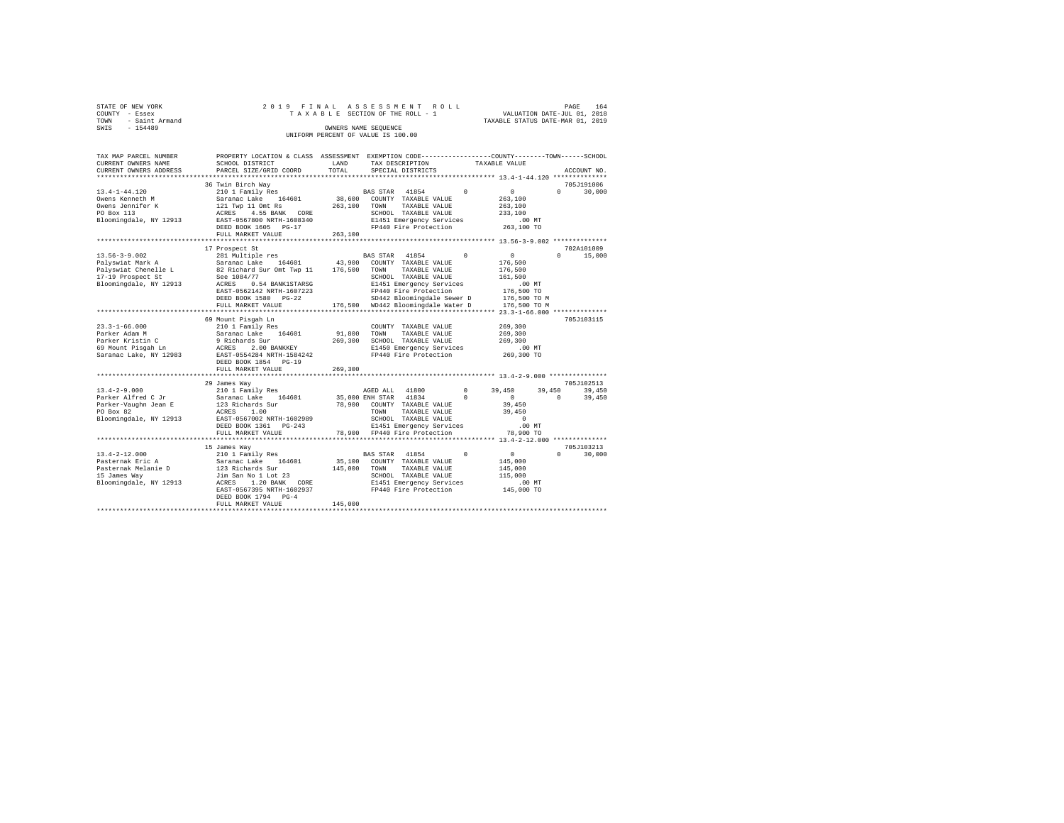| STATE OF NEW YORK      | 2019 FINAL ASSESSMENT ROLL         | PAGE                             | 164 |
|------------------------|------------------------------------|----------------------------------|-----|
| COUNTY - Essex         | TAXABLE SECTION OF THE ROLL - 1    | VALUATION DATE-JUL 01, 2018      |     |
| - Saint Armand<br>TOWN |                                    | TAXABLE STATUS DATE-MAR 01, 2019 |     |
| $-154489$<br>SWIS      | OWNERS NAME SEOUENCE               |                                  |     |
|                        | UNIFORM PERCENT OF VALUE IS 100.00 |                                  |     |

| TAX MAP PARCEL NUMBER<br>CURRENT OWNERS NAME<br>CURRENT OWNERS ADDRESS                                         | PROPERTY LOCATION & CLASS ASSESSMENT<br>SCHOOL DISTRICT                                                                                                                                                         | LAND<br>TOTAL                | EXEMPTION CODE----------------COUNTY-------TOWN------SCHOOL<br>TAX DESCRIPTION<br>SPECIAL DISTRICTS                                                                                                      |                        | TAXABLE VALUE                                                                                   | ACCOUNT NO                                 |
|----------------------------------------------------------------------------------------------------------------|-----------------------------------------------------------------------------------------------------------------------------------------------------------------------------------------------------------------|------------------------------|----------------------------------------------------------------------------------------------------------------------------------------------------------------------------------------------------------|------------------------|-------------------------------------------------------------------------------------------------|--------------------------------------------|
| .                                                                                                              | PARCEL SIZE/GRID COORD                                                                                                                                                                                          |                              |                                                                                                                                                                                                          |                        |                                                                                                 |                                            |
|                                                                                                                |                                                                                                                                                                                                                 |                              |                                                                                                                                                                                                          |                        |                                                                                                 | 705J191006                                 |
| $13.4 - 1 - 44.120$<br>Owens Kenneth M<br>Owens Jennifer K<br>PO Box 113<br>Bloomingdale, NY 12913             | 36 Twin Birch Way<br>210 1 Family Res<br>164601<br>Saranac Lake<br>121 Twp 11 Omt Rs<br>ACRES<br>4.55 BANK CORE<br>EAST-0567800 NRTH-1608340<br>DEED BOOK 1605<br>$PG-17$<br>FULL MARKET VALUE                  | 38,600<br>263,100<br>263,100 | 41854<br><b>BAS STAR</b><br>COUNTY TAXABLE VALUE<br>TOWN<br>TAXABLE VALUE<br>SCHOOL TAXABLE VALUE<br>E1451 Emergency Services<br>FP440 Fire Protection                                                   | $\Omega$               | $\circ$<br>263,100<br>263,100<br>233,100<br>.00MT<br>263,100 TO                                 | $\Omega$<br>30,000                         |
|                                                                                                                | *******************                                                                                                                                                                                             |                              |                                                                                                                                                                                                          |                        |                                                                                                 |                                            |
| $13.56 - 3 - 9.002$<br>Palyswiat Mark A<br>Palyswiat Chenelle L<br>17-19 Prospect St<br>Bloomingdale, NY 12913 | 17 Prospect St<br>281 Multiple res<br>Saranac Lake<br>164601<br>82 Richard Sur Omt Twp 11<br>See 1084/77<br>ACRES<br>0.54 BANK1STARSG<br>EAST-0562142 NRTH-1607223<br>DEED BOOK 1580 PG-22<br>FULL MARKET VALUE | 43,900<br>176,500<br>176,500 | BAS STAR 41854<br>COUNTY TAXABLE VALUE<br>TOWN<br>TAXABLE VALUE<br>SCHOOL TAXABLE VALUE<br>E1451 Emergency Services<br>FP440 Fire Protection<br>SD442 Bloomingdale Sewer D<br>WD442 Bloomingdale Water D | $\Omega$               | $\circ$<br>176,500<br>176,500<br>161,500<br>.00MT<br>176,500 TO<br>176,500 TO M<br>176,500 TO M | 702A101009<br>$\Omega$<br>15,000           |
|                                                                                                                |                                                                                                                                                                                                                 |                              |                                                                                                                                                                                                          |                        | $23.3 - 1 - 66.000$ *************                                                               |                                            |
| $23.3 - 1 - 66.000$<br>Parker Adam M<br>Parker Kristin C<br>69 Mount Pisqah Ln<br>Saranac Lake, NY 12983       | 69 Mount Pisgah Ln<br>210 1 Family Res<br>Saranac Lake<br>164601<br>9 Richards Sur<br>2.00 BANKKEY<br>ACRES<br>EAST-0554284 NRTH-1584242<br>DEED BOOK 1854<br>$PG-19$<br>FULL MARKET VALUE                      | 91,800<br>269,300<br>269,300 | COUNTY TAXABLE VALUE<br>TOWN<br>TAXABLE VALUE<br>SCHOOL TAXABLE VALUE<br>E1450 Emergency Services<br>FP440 Fire Protection                                                                               |                        | 269,300<br>269,300<br>269,300<br>$.00$ MT<br>269,300 TO                                         | 705J103115                                 |
|                                                                                                                |                                                                                                                                                                                                                 |                              |                                                                                                                                                                                                          |                        |                                                                                                 |                                            |
| $13.4 - 2 - 9.000$<br>Parker Alfred C Jr<br>Parker-Vaughn Jean E<br>PO Box 82<br>Bloomingdale, NY 12913        | 29 James Way<br>210 1 Family Res<br>Saranac Lake<br>164601<br>123 Richards Sur<br>ACRES<br>1.00<br>EAST-0567002 NRTH-1602989<br>DEED BOOK 1361<br>$PG-243$<br>FULL MARKET VALUE                                 | 78,900<br>78,900             | 41800<br>AGED ALL<br>41834<br>35,000 ENH STAR<br>COUNTY TAXABLE VALUE<br>TOWN<br>TAXABLE VALUE<br>SCHOOL TAXABLE VALUE<br>E1451 Emergency Services<br>FP440 Fire Protection                              | $\Omega$<br>$^{\circ}$ | 39,450<br>39,450<br>$\circ$<br>39,450<br>39,450<br>$\Omega$<br>$.00$ MT<br>78,900 TO            | 705J102513<br>39,450<br>$\Omega$<br>39,450 |
|                                                                                                                | ***********************                                                                                                                                                                                         |                              |                                                                                                                                                                                                          |                        |                                                                                                 |                                            |
|                                                                                                                | 15 James Way                                                                                                                                                                                                    |                              |                                                                                                                                                                                                          |                        |                                                                                                 | 705J103213                                 |
| $13.4 - 2 - 12.000$<br>Pasternak Eric A<br>Pasternak Melanie D<br>15 James Way<br>Bloomingdale, NY 12913       | 210 1 Family Res<br>164601<br>Saranac Lake<br>123 Richards Sur<br>Jim San No 1 Lot 23<br>ACRES<br>1.20 BANK<br>CORE<br>EAST-0567395 NRTH-1602937<br>DEED BOOK 1794<br>$PG-4$<br>FULL MARKET VALUE               | 35,100<br>145,000<br>145,000 | 41854<br><b>BAS STAR</b><br>COUNTY TAXABLE VALUE<br>TOWN<br>TAXABLE VALUE<br>SCHOOL TAXABLE VALUE<br>E1451 Emergency Services<br>FP440 Fire Protection                                                   | $\Omega$               | $\circ$<br>145,000<br>145,000<br>115,000<br>.00MT<br>145,000 TO                                 | $\Omega$<br>30,000                         |
|                                                                                                                |                                                                                                                                                                                                                 |                              |                                                                                                                                                                                                          |                        |                                                                                                 |                                            |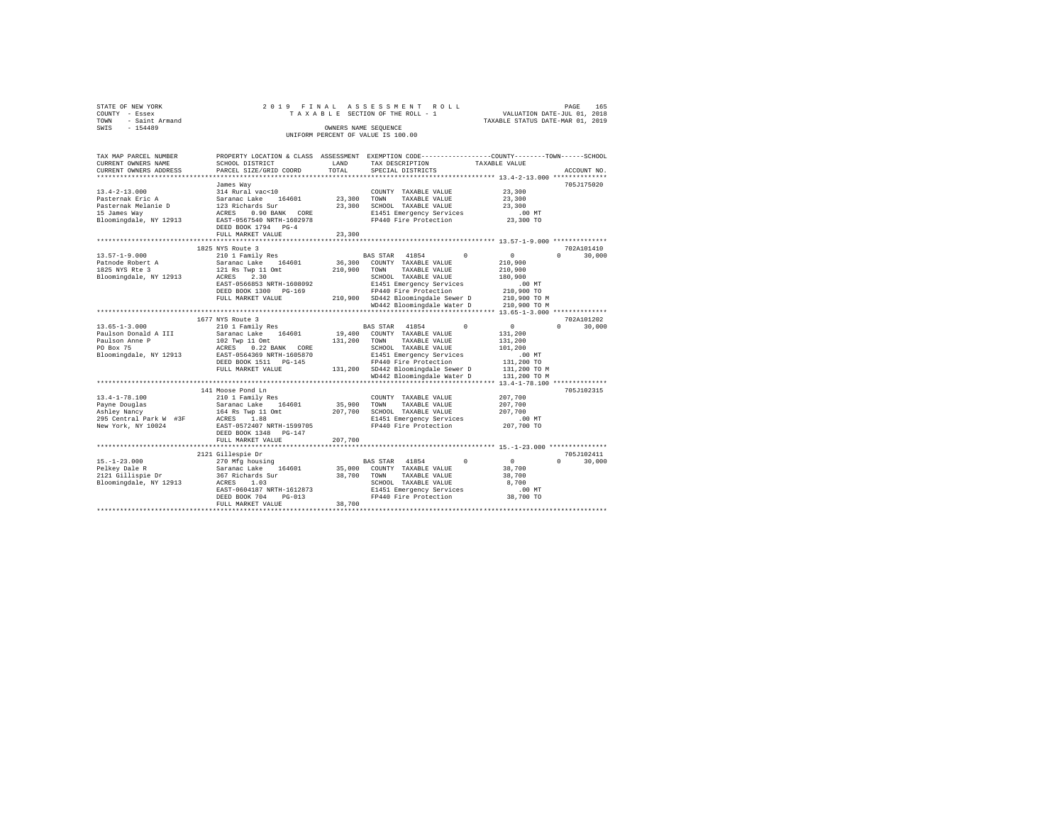| STATE OF NEW YORK   | 2019 FINAL ASSESSMENT ROLL         | 165<br>PAGE                      |
|---------------------|------------------------------------|----------------------------------|
| COUNTY - Essex      | TAXABLE SECTION OF THE ROLL - 1    | VALUATION DATE-JUL 01, 2018      |
| TOWN - Saint Armand |                                    | TAXABLE STATUS DATE-MAR 01, 2019 |
| SWIS<br>$-154489$   | OWNERS NAME SEOUENCE               |                                  |
|                     | UNIFORM PERCENT OF VALUE IS 100.00 |                                  |

| TAX MAP PARCEL NUMBER  |                                  |         | PROPERTY LOCATION & CLASS ASSESSMENT EXEMPTION CODE----------------COUNTY-------TOWN-----SCHOOL |                            |             |
|------------------------|----------------------------------|---------|-------------------------------------------------------------------------------------------------|----------------------------|-------------|
| CURRENT OWNERS NAME    | SCHOOL DISTRICT                  | LAND    | TAX DESCRIPTION                                                                                 | TAXABLE VALUE              |             |
| CURRENT OWNERS ADDRESS | PARCEL SIZE/GRID COORD           | TOTAL   | SPECIAL DISTRICTS                                                                               |                            | ACCOUNT NO. |
|                        |                                  |         |                                                                                                 |                            |             |
|                        | James Way                        |         |                                                                                                 |                            | 705J175020  |
| $13.4 - 2 - 13.000$    | 314 Rural vac<10                 |         | COUNTY TAXABLE VALUE                                                                            | 23,300                     |             |
| Pasternak Eric A       | Saranac Lake<br>164601           |         | 23,300 TOWN<br>TAXABLE VALUE                                                                    | 23,300                     |             |
| Pasternak Melanie D    | 123 Richards Sur                 | 23,300  | SCHOOL TAXABLE VALUE                                                                            | 23,300                     |             |
| 15 James Way           | ACRES<br>0.90 BANK CORE          |         | E1451 Emergency Services                                                                        | $.00$ MT                   |             |
| Bloomingdale, NY 12913 | EAST-0567540 NRTH-1602978        |         | FP440 Fire Protection                                                                           | 23,300 TO                  |             |
|                        | DEED BOOK 1794 PG-4              |         |                                                                                                 |                            |             |
|                        | FULL MARKET VALUE                | 23,300  |                                                                                                 |                            |             |
|                        |                                  |         |                                                                                                 |                            |             |
|                        | 1825 NYS Route 3                 |         |                                                                                                 |                            | 702A101410  |
| $13.57 - 1 - 9.000$    | 210 1 Family Res                 |         | BAS STAR<br>41854<br>$^{\circ}$                                                                 | 0<br>$\cap$                | 30,000      |
| Patnode Robert A       | 164601<br>Saranac Lake           | 36,300  | COUNTY TAXABLE VALUE                                                                            | 210,900                    |             |
| 1825 NYS Rte 3         | 121 Rs Twp 11 Omt                | 210,900 | TAXABLE VALUE<br>TOWN                                                                           | 210,900                    |             |
| Bloomingdale, NY 12913 | 2.30<br>ACRES                    |         | SCHOOL TAXABLE VALUE                                                                            | 180,900                    |             |
|                        | EAST-0566853 NRTH-1608092        |         | E1451 Emergency Services                                                                        | $.00$ MT                   |             |
|                        | DEED BOOK 1300 PG-169            |         | FP440 Fire Protection                                                                           | 210,900 TO                 |             |
|                        | FULL MARKET VALUE                |         | 210,900 SD442 Bloomingdale Sewer D                                                              | 210,900 TO M               |             |
|                        |                                  |         | WD442 Bloomingdale Water D                                                                      | 210,900 TO M               |             |
|                        |                                  |         |                                                                                                 |                            |             |
|                        | 1677 NYS Route 3                 |         |                                                                                                 |                            | 702A101202  |
| $13.65 - 1 - 3.000$    | 210 1 Family Res                 |         | $\Omega$<br>BAS STAR<br>41854                                                                   | $\overline{0}$<br>$\Omega$ | 30,000      |
| Paulson Donald A III   | Saranac Lake 164601              |         | 19,400 COUNTY TAXABLE VALUE                                                                     | 131,200                    |             |
| Paulson Anne P         | 102 Twp 11 Omt                   | 131,200 | TAXABLE VALUE<br>TOWN                                                                           | 131,200                    |             |
| PO Box 75              | 0.22 BANK CORE<br>ACRES          |         | SCHOOL TAXABLE VALUE                                                                            | 101,200                    |             |
| Bloomingdale, NY 12913 | EAST-0564369 NRTH-1605870        |         | E1451 Emergency Services                                                                        | $.00$ MT                   |             |
|                        | DEED BOOK 1511 PG-145            |         | FP440 Fire Protection                                                                           | 131,200 TO                 |             |
|                        | FULL MARKET VALUE                |         | 131,200 SD442 Bloomingdale Sewer D                                                              | 131,200 TO M               |             |
|                        |                                  |         | WD442 Bloomingdale Water D                                                                      | 131,200 TO M               |             |
|                        | ******************************** |         |                                                                                                 |                            |             |
|                        | 141 Moose Pond Ln                |         |                                                                                                 |                            | 705J102315  |
| $13.4 - 1 - 78.100$    | 210 1 Family Res                 |         | COUNTY TAXABLE VALUE                                                                            | 207,700                    |             |
| Payne Douglas          | 164601<br>Saranac Lake           | 35,900  | TOWN<br>TAXABLE VALUE                                                                           | 207,700                    |             |
| Ashley Nancy           | 164 Rs Twp 11 Omt                | 207,700 | SCHOOL TAXABLE VALUE                                                                            | 207,700                    |             |
| 295 Central Park W #3F | ACRES 1.88                       |         | E1451 Emergency Services                                                                        | $.00$ MT                   |             |
| New York, NY 10024     | EAST-0572407 NRTH-1599705        |         | FP440 Fire Protection                                                                           | 207,700 TO                 |             |
|                        | DEED BOOK 1348 PG-147            |         |                                                                                                 |                            |             |
|                        | FULL MARKET VALUE                | 207,700 |                                                                                                 |                            |             |
|                        |                                  |         |                                                                                                 |                            |             |
|                        | 2121 Gillespie Dr                |         |                                                                                                 |                            | 705J102411  |
| $15. - 1 - 23.000$     |                                  |         | $\Omega$<br>BAS STAR 41854                                                                      | $\overline{0}$<br>$\Omega$ | 30,000      |
|                        | 270 Mfg housing                  |         |                                                                                                 |                            |             |
| Pelkey Dale R          | Saranac Lake<br>164601           | 35,000  | COUNTY TAXABLE VALUE                                                                            | 38,700                     |             |
| 2121 Gillispie Dr      | 367 Richards Sur                 | 38,700  | TOWN<br>TAXABLE VALUE                                                                           | 38,700                     |             |
| Bloomingdale, NY 12913 | ACRES<br>1.03                    |         | SCHOOL TAXABLE VALUE                                                                            | 8,700                      |             |
|                        | EAST-0604187 NRTH-1612873        |         | E1451 Emergency Services                                                                        | $.00$ MT                   |             |
|                        | DEED BOOK 704<br>$PG-013$        |         | FP440 Fire Protection                                                                           | 38,700 TO                  |             |
|                        | FULL MARKET VALUE                | 38,700  |                                                                                                 |                            |             |
|                        |                                  |         |                                                                                                 |                            |             |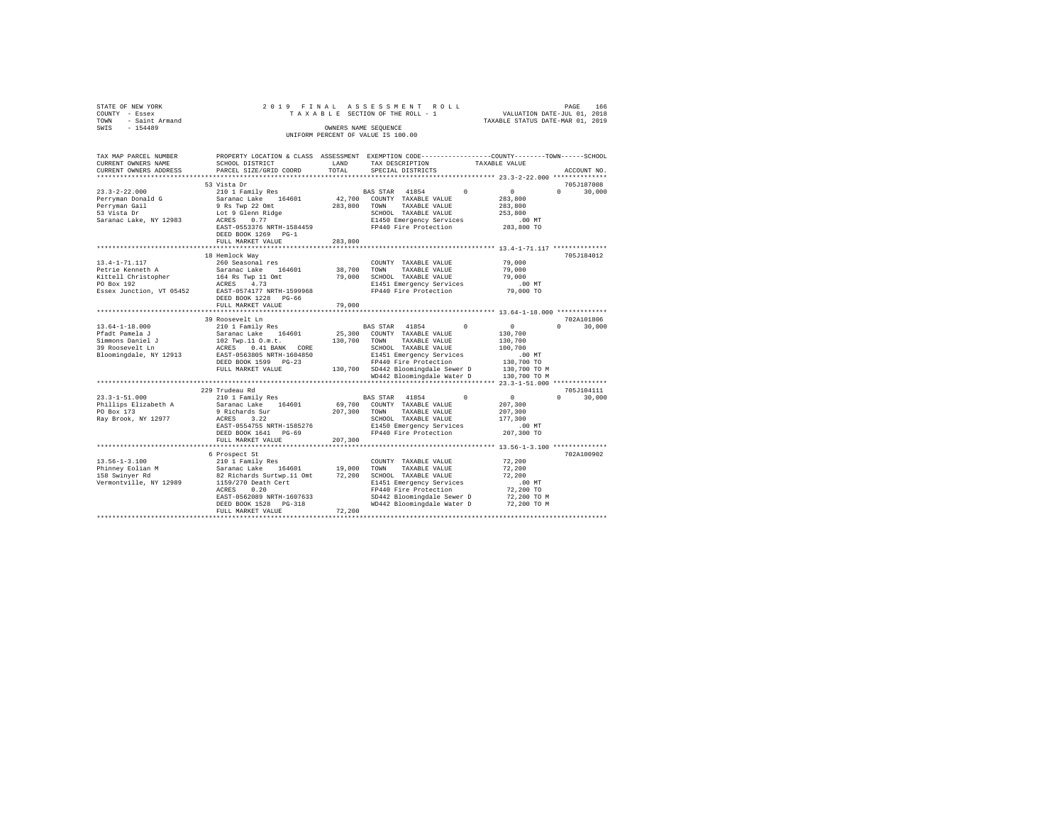| STATE OF NEW YORK                        | 2019 FINAL                                |                      | ASSESSMENT ROLL                                                                                 | PAGE 166<br>VALUATION DATE-JUL 01, 2018 |                                  |
|------------------------------------------|-------------------------------------------|----------------------|-------------------------------------------------------------------------------------------------|-----------------------------------------|----------------------------------|
| COUNTY - Essex<br>TOWN<br>- Saint Armand |                                           |                      | TAXABLE SECTION OF THE ROLL - 1                                                                 | TAXABLE STATUS DATE-MAR 01, 2019        |                                  |
| SWIS<br>$-154489$                        |                                           | OWNERS NAME SEQUENCE |                                                                                                 |                                         |                                  |
|                                          |                                           |                      | UNIFORM PERCENT OF VALUE IS 100.00                                                              |                                         |                                  |
|                                          |                                           |                      |                                                                                                 |                                         |                                  |
|                                          |                                           |                      |                                                                                                 |                                         |                                  |
| TAX MAP PARCEL NUMBER                    |                                           |                      | PROPERTY LOCATION & CLASS ASSESSMENT EXEMPTION CODE---------------COUNTY-------TOWN------SCHOOL |                                         |                                  |
| CURRENT OWNERS NAME                      | SCHOOL DISTRICT                           | LAND                 | TAX DESCRIPTION                                                                                 | TAXABLE VALUE                           |                                  |
| CURRENT OWNERS ADDRESS                   | PARCEL SIZE/GRID COORD                    | TOTAL                | SPECIAL DISTRICTS                                                                               |                                         | ACCOUNT NO.                      |
|                                          |                                           |                      |                                                                                                 |                                         |                                  |
|                                          | 53 Vista Dr                               |                      |                                                                                                 |                                         | 705J187008                       |
| $23.3 - 2 - 22.000$                      | 210 1 Family Res                          |                      | 41854<br>$\Omega$<br>BAS STAR                                                                   | $\sim$ 0                                | $0 \t 30.000$                    |
| Perryman Donald G                        | Saranac Lake 164601                       |                      | 42,700 COUNTY TAXABLE VALUE                                                                     | 283,800                                 |                                  |
| Perryman Gail<br>53 Vista Dr             | 9 Rs Twp 22 Omt                           | 283,800 TOWN         | TAXABLE VALUE<br>SCHOOL TAXABLE VALUE                                                           | 283,800<br>253,800                      |                                  |
| Saranac Lake, NY 12983                   | Lot 9 Glenn Ridge<br>ACRES 0.77           |                      | E1450 Emergency Services                                                                        | $.00$ MT                                |                                  |
|                                          | EAST-0553376 NRTH-1584459                 |                      | FP440 Fire Protection                                                                           | 283,800 TO                              |                                  |
|                                          | DEED BOOK 1269 PG-1                       |                      |                                                                                                 |                                         |                                  |
|                                          | FULL MARKET VALUE                         | 283,800              |                                                                                                 |                                         |                                  |
|                                          |                                           |                      |                                                                                                 |                                         |                                  |
|                                          | 18 Hemlock Way                            |                      |                                                                                                 |                                         | 705J184012                       |
| 13.4-1-71.117                            | 260 Seasonal res                          |                      | COUNTY TAXABLE VALUE                                                                            | 79,000                                  |                                  |
| Petrie Kenneth A                         | Saranac Lake 164601                       | 38,700               | TOWN<br>TAXABLE VALUE                                                                           | 79,000                                  |                                  |
|                                          | 164 Rs Twp 11 Omt<br>ACRES 4.73           | 79,000               | SCHOOL TAXABLE VALUE                                                                            | 79,000                                  |                                  |
| Kittell Christopher<br>PO Box 192        |                                           |                      | E1451 Emergency Services                                                                        | $.00$ MT                                |                                  |
| Essex Junction, VT 05452                 | EAST-0574177 NRTH-1599968                 |                      | FP440 Fire Protection                                                                           | 79,000 TO                               |                                  |
|                                          | DEED BOOK 1228 PG-66                      |                      |                                                                                                 |                                         |                                  |
|                                          | FULL MARKET VALUE                         | 79,000               |                                                                                                 |                                         |                                  |
|                                          |                                           |                      |                                                                                                 |                                         |                                  |
| $13.64 - 1 - 18.000$                     | 39 Roosevelt Ln<br>210 1 Family Res       |                      | BAS STAR 41854<br>$\Omega$                                                                      | $\sim$ 0                                | 702A101806<br>$\Omega$<br>30,000 |
| Pfadt Pamela J                           | Saranac Lake 164601                       |                      | 25,300 COUNTY TAXABLE VALUE                                                                     | 130,700                                 |                                  |
| Simmons Daniel J                         | 102 Twp.11 O.m.t.                         |                      | 130,700 TOWN TAXABLE VALUE                                                                      | 130,700                                 |                                  |
| 39 Roosevelt Ln                          | ACRES 0.41 BANK CORE                      |                      | SCHOOL TAXABLE VALUE                                                                            | 100,700                                 |                                  |
| Bloomingdale, NY 12913                   | EAST-0563805 NRTH-1604850                 |                      | E1451 Emergency Services                                                                        | $.00$ MT                                |                                  |
|                                          | DEED BOOK 1599 PG-23                      |                      | FP440 Fire Protection                                                                           | 130,700 TO                              |                                  |
|                                          | FULL MARKET VALUE                         |                      | 130,700 SD442 Bloomingdale Sewer D                                                              | 130,700 TO M                            |                                  |
|                                          |                                           |                      | WD442 Bloomingdale Water D                                                                      | 130,700 TO M                            |                                  |
|                                          |                                           |                      |                                                                                                 |                                         |                                  |
|                                          | 229 Trudeau Rd                            |                      |                                                                                                 |                                         | 705J104111                       |
| $23.3 - 1 - 51.000$                      | $210$ 1 Family Res                        |                      | BAS STAR 41854<br>$\Omega$                                                                      | $\sim$ 0                                | $\Omega$<br>30,000               |
| Phillips Elizabeth A                     | Saranac Lake 164601                       |                      | 69,700 COUNTY TAXABLE VALUE                                                                     | 207,300                                 |                                  |
| PO Box 173                               | 9 Richards Sur                            | 207,300              | TOWN<br>TAXABLE VALUE                                                                           | 207,300                                 |                                  |
| Ray Brook, NY 12977                      | ACRES 3.22                                |                      | SCHOOL TAXABLE VALUE                                                                            | 177,300                                 |                                  |
|                                          | EAST-0554755 NRTH-1585276                 |                      | E1450 Emergency Services                                                                        | $.00$ MT                                |                                  |
|                                          | DEED BOOK 1641 PG-69<br>FULL MARKET VALUE | 207,300              | FP440 Fire Protection                                                                           | 207,300 TO                              |                                  |
|                                          |                                           |                      |                                                                                                 |                                         |                                  |
|                                          | 6 Prospect St                             |                      |                                                                                                 |                                         | 702A100902                       |
| $13.56 - 1 - 3.100$                      | 210 1 Family Res                          |                      | COUNTY TAXABLE VALUE                                                                            | 72,200                                  |                                  |
| Phinney Eolian M                         | Saranac Lake 164601 19,000                |                      | TOWN<br>TAXABLE VALUE                                                                           | 72,200                                  |                                  |
| 158 Swinyer Rd                           | 82 Richards Surtwp.11 Omt                 |                      | 72,200 SCHOOL TAXABLE VALUE                                                                     | 72,200                                  |                                  |
| Vermontville, NY 12989                   | 1159/270 Death Cert                       |                      | E1451 Emergency Services                                                                        | $.00$ MT                                |                                  |
|                                          | ACRES<br>0.20                             |                      | FP440 Fire Protection                                                                           | 72,200 TO                               |                                  |
|                                          | EAST-0562089 NRTH-1607633                 |                      | SD442 Bloomingdale Sewer D                                                                      | 72,200 TO M                             |                                  |
|                                          | DEED BOOK 1528 PG-318                     |                      | WD442 Bloomingdale Water D                                                                      | 72,200 TO M                             |                                  |
|                                          | FULL MARKET VALUE                         | 72,200               |                                                                                                 |                                         |                                  |
|                                          |                                           |                      |                                                                                                 |                                         |                                  |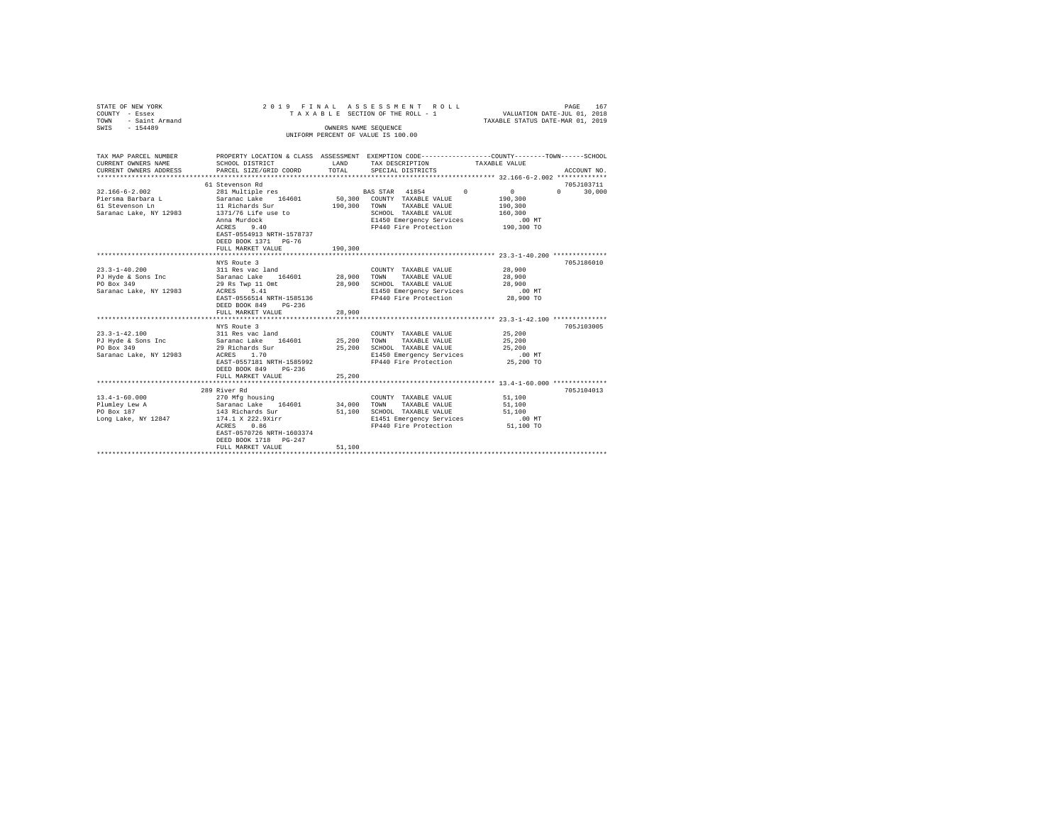| STATE OF NEW YORK<br>COUNTY - Essex<br>- Saint Armand<br>TOWN<br>$-154489$<br>SWIS |                                                                                                                                                                                                                | OWNERS NAME SEQUENCE | 2019 FINAL ASSESSMENT ROLL<br>TAXABLE SECTION OF THE ROLL - 1 VALUATION DATE-JUL 01, 2018<br>UNIFORM PERCENT OF VALUE IS 100.00 | TAXABLE STATUS DATE-MAR 01, 2019 | 167<br>PAGE   |
|------------------------------------------------------------------------------------|----------------------------------------------------------------------------------------------------------------------------------------------------------------------------------------------------------------|----------------------|---------------------------------------------------------------------------------------------------------------------------------|----------------------------------|---------------|
| CURRENT OWNERS NAME SCHOOL DISTRICT                                                | TAX MAP PARCEL NUMBER THE PROPERTY LOCATION & CLASS ASSESSMENT EXEMPTION CODE-------------COUNTY-------TOWN-----SCHOOL<br><b>LAND</b><br>CURRENT OWNERS ADDRESS PARCEL SIZE/GRID COORD TOTAL SPECIAL DISTRICTS |                      | TAX DESCRIPTION TAXABLE VALUE                                                                                                   |                                  | ACCOUNT NO.   |
|                                                                                    |                                                                                                                                                                                                                |                      |                                                                                                                                 |                                  |               |
|                                                                                    | 61 Stevenson Rd                                                                                                                                                                                                |                      |                                                                                                                                 |                                  | 705J103711    |
| 32.166-6-2.002                                                                     | 281 Multiple res                                                                                                                                                                                               |                      | BAS STAR 41854 0 0                                                                                                              |                                  | $0 \t 30.000$ |
| Piersma Barbara L                                                                  | Saranac Lake 164601 50,300 COUNTY TAXABLE VALUE                                                                                                                                                                |                      |                                                                                                                                 | 190,300                          |               |
|                                                                                    | 61 Stevenson Ln 11 Richards Sur                                                                                                                                                                                | 190.300              | TOWN<br>TAXABLE VALUE                                                                                                           | 190,300                          |               |
|                                                                                    | Saranac Lake, NY 12983 1371/76 Life use to                                                                                                                                                                     |                      | SCHOOL                                                                                                                          | TAXABLE VALUE 160,300            |               |
|                                                                                    | Anna Murdock                                                                                                                                                                                                   |                      | E1450 Emergency Services .00 MT                                                                                                 |                                  |               |
|                                                                                    | ACRES 9.40                                                                                                                                                                                                     |                      | FP440 Fire Protection 190,300 TO                                                                                                |                                  |               |
|                                                                                    | EAST-0554913 NRTH-1578737                                                                                                                                                                                      |                      |                                                                                                                                 |                                  |               |
|                                                                                    | DEED BOOK 1371 PG-76                                                                                                                                                                                           |                      |                                                                                                                                 |                                  |               |
|                                                                                    | FULL MARKET VALUE 190,300                                                                                                                                                                                      |                      |                                                                                                                                 |                                  |               |
|                                                                                    |                                                                                                                                                                                                                |                      |                                                                                                                                 |                                  |               |
|                                                                                    | NYS Route 3                                                                                                                                                                                                    |                      |                                                                                                                                 |                                  | 705J186010    |
| $23.3 - 1 - 40.200$                                                                | 311 Res vac land                                                                                                                                                                                               |                      | COUNTY TAXABLE VALUE                                                                                                            | 28,900                           |               |

| 23.3-1-40.200          | 311 Res vac land          |        | COUNTY TAXABLE VALUE     | 28.900     |  |
|------------------------|---------------------------|--------|--------------------------|------------|--|
| PJ Hyde & Sons Inc     | Saranac Lake 164601       | 28,900 | TOWN<br>TAXABLE VALUE    | 28,900     |  |
| PO Box 349             | 29 Rs Twp 11 Omt          | 28,900 | SCHOOL TAXABLE VALUE     | 28,900     |  |
| Saranac Lake, NY 12983 | ACRES 5.41                |        | E1450 Emergency Services | $.00$ MT   |  |
|                        | EAST-0556514 NRTH-1585136 |        | FP440 Fire Protection    | 28,900 TO  |  |
|                        | DEED BOOK 849<br>$PG-236$ |        |                          |            |  |
|                        | FULL MARKET VALUE         | 28,900 |                          |            |  |
|                        |                           |        |                          |            |  |
|                        | NYS Route 3               |        |                          | 705J103005 |  |
| $23.3 - 1 - 42.100$    | 311 Res vac land          |        | COUNTY TAXABLE VALUE     | 25,200     |  |
| PJ Hyde & Sons Inc     | Saranac Lake 164601       | 25,200 | TOWN<br>TAXABLE VALUE    | 25,200     |  |
| PO Box 349             | 29 Richards Sur           | 25,200 | SCHOOL TAXABLE VALUE     | 25,200     |  |
| Saranac Lake, NY 12983 | ACRES 1.70                |        | E1450 Emergency Services | $.00$ MT   |  |
|                        | EAST-0557181 NRTH-1585992 |        | FP440 Fire Protection    | 25,200 TO  |  |
|                        | DEED BOOK 849<br>$PG-236$ |        |                          |            |  |
|                        | FULL MARKET VALUE         | 25,200 |                          |            |  |
|                        |                           |        |                          |            |  |
|                        | 289 River Rd              |        |                          | 705J104013 |  |
| $13.4 - 1 - 60.000$    | 270 Mfg housing           |        | COUNTY TAXABLE VALUE     | 51,100     |  |
| Plumley Lew A          | Saranac Lake 164601       | 34,000 | TOWN<br>TAXABLE VALUE    | 51,100     |  |
| PO Box 187             | 143 Richards Sur          | 51,100 | SCHOOL TAXABLE VALUE     | 51,100     |  |
| Long Lake, NY 12847    | 174.1 X 222.9Xirr         |        | E1451 Emergency Services | $.00$ MT   |  |
|                        | 0.86<br>ACRES             |        | FP440 Fire Protection    | 51,100 TO  |  |
|                        | EAST-0570726 NRTH-1603374 |        |                          |            |  |
|                        | DEED BOOK 1718 PG-247     |        |                          |            |  |
|                        | FULL MARKET VALUE         | 51,100 |                          |            |  |
|                        |                           |        |                          |            |  |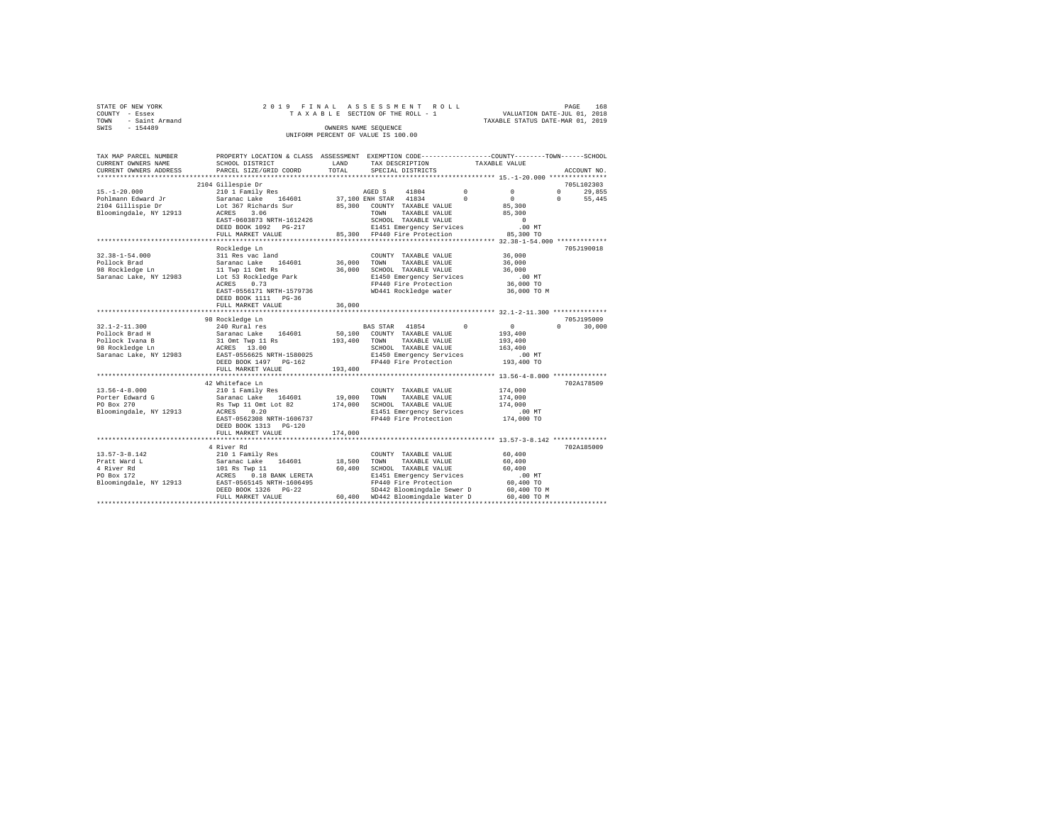|      | STATE OF NEW YORK<br>COUNTY - Essex |  | 2019 FINAL ASSESSMENT ROLL<br>TAXABLE SECTION OF THE ROLL - 1 | PAGE<br>VALUATION DATE-JUL 01, 2018 | 168 |
|------|-------------------------------------|--|---------------------------------------------------------------|-------------------------------------|-----|
| TOWN | - Saint Armand                      |  |                                                               | TAXABLE STATUS DATE-MAR 01, 2019    |     |
| SWIS | $-154489$                           |  | OWNERS NAME SEOUENCE<br>UNIFORM PERCENT OF VALUE IS 100.00    |                                     |     |

| TAX MAP PARCEL NUMBER<br>CURRENT OWNERS NAME | PROPERTY LOCATION & CLASS ASSESSMENT EXEMPTION CODE---------------COUNTY-------TOWN-----SCHOOL<br>SCHOOL DISTRICT | LAND    | TAX DESCRIPTION                                                               |               | TAXABLE VALUE |                                              |                   |               |
|----------------------------------------------|-------------------------------------------------------------------------------------------------------------------|---------|-------------------------------------------------------------------------------|---------------|---------------|----------------------------------------------|-------------------|---------------|
| CURRENT OWNERS ADDRESS                       | PARCEL SIZE/GRID COORD                                                                                            | TOTAL   | SPECIAL DISTRICTS                                                             |               |               |                                              |                   | ACCOUNT NO.   |
|                                              |                                                                                                                   |         |                                                                               |               |               |                                              |                   |               |
|                                              | 2104 Gillespie Dr                                                                                                 |         |                                                                               |               |               |                                              |                   | 705L102303    |
| $15. - 1 - 20.000$                           | 210 1 Family Res<br>Saranac Lake 164601 37,10                                                                     |         | AGED S 41804 0                                                                |               |               | $^{\circ}$                                   | $0 \qquad \qquad$ | 29,855        |
| Pohlmann Edward Jr<br>2104 Gillispie Dr      |                                                                                                                   |         | 37,100 ENH STAR 41834 0                                                       |               |               | $\sim$                                       | $\Omega$          | 55,445        |
|                                              | Lot 367 Richards Sur 85,300 COUNTY TAXABLE VALUE                                                                  |         |                                                                               |               |               | 85,300                                       |                   |               |
| Bloomingdale, NY 12913                       | ACRES 3.06                                                                                                        |         | TOWN                                                                          | TAXABLE VALUE |               | 85,300                                       |                   |               |
|                                              | EAST-0603873 NRTH-1612426                                                                                         |         | SCHOOL TAXABLE VALUE                                                          |               |               | $\circ$                                      |                   |               |
|                                              | DEED BOOK 1092 PG-217                                                                                             |         | 217 E1451 Emergency Services .00 MT<br>85,300 FP440 Fire Protection 85,300 TO |               |               |                                              |                   |               |
|                                              | FULL MARKET VALUE                                                                                                 |         |                                                                               |               |               |                                              |                   |               |
|                                              |                                                                                                                   |         |                                                                               |               |               |                                              |                   |               |
|                                              | Rockledge Ln                                                                                                      |         |                                                                               |               |               |                                              |                   | 705J190018    |
|                                              |                                                                                                                   |         | COUNTY TAXABLE VALUE                                                          |               |               | 36,000                                       |                   |               |
|                                              |                                                                                                                   |         | TOWN                                                                          | TAXABLE VALUE |               | 36,000                                       |                   |               |
|                                              |                                                                                                                   |         | SCHOOL TAXABLE VALUE                                                          |               |               | 36,000                                       |                   |               |
|                                              |                                                                                                                   |         | E1450 Emergency Services                                                      |               |               | .00MT                                        |                   |               |
|                                              | 0.73<br>ACRES                                                                                                     |         | FP440 Fire Protection<br>WD441 Rockledge water                                |               |               | 36,000 TO                                    |                   |               |
|                                              | EAST-0556171 NRTH-1579736                                                                                         |         |                                                                               |               |               | 36,000 TO M                                  |                   |               |
|                                              | DEED BOOK 1111 PG-36                                                                                              |         |                                                                               |               |               |                                              |                   |               |
|                                              | FULL MARKET VALUE                                                                                                 | 36,000  |                                                                               |               |               |                                              |                   |               |
|                                              | 98 Rockledge Ln                                                                                                   |         |                                                                               |               |               |                                              |                   | 705J195009    |
| $32.1 - 2 - 11.300$                          | 240 Rural res                                                                                                     |         | BAS STAR 41854 0 0                                                            |               |               |                                              |                   | $0 \t 30.000$ |
| Pollock Brad H                               |                                                                                                                   |         | 50,100 COUNTY TAXABLE VALUE                                                   |               |               | 193,400                                      |                   |               |
| Pollock Ivana B                              | --- --<br>Saranac Lake 164601<br>31 Omt Twp 11 Rs<br>ACRES 13.00<br>EAST-0556625 NRTH-1580025                     |         | 193,400 TOWN TAXABLE VALUE                                                    |               |               | 193,400                                      |                   |               |
| 98 Rockledge Ln                              |                                                                                                                   |         | SCHOOL TAXABLE VALUE                                                          |               |               | 163,400                                      |                   |               |
| Saranac Lake, NY 12983                       |                                                                                                                   |         | E1450 Emergency Services                                                      |               |               | .00 MT                                       |                   |               |
|                                              | DEED BOOK 1497 PG-162                                                                                             |         | FP440 Fire Protection 193,400 TO                                              |               |               |                                              |                   |               |
|                                              | FULL MARKET VALUE                                                                                                 | 193,400 |                                                                               |               |               |                                              |                   |               |
|                                              | ***********************                                                                                           |         |                                                                               |               |               | **************** 13.56-4-8.000 ************* |                   |               |
|                                              | 42 Whiteface Ln                                                                                                   |         |                                                                               |               |               |                                              |                   | 702A178509    |
| $13.56 - 4 - 8.000$                          |                                                                                                                   |         | COUNTY TAXABLE VALUE                                                          |               |               | 174,000                                      |                   |               |
| Porter Edward G                              | 210 1 Family Res<br>Saranac Lake 164601                                                                           |         | COUNTY TAXABLE VALUE<br>19,000 TOWN TAXABLE VALUE                             |               |               | 174,000                                      |                   |               |
| PO Box 270                                   |                                                                                                                   |         |                                                                               |               |               |                                              |                   |               |
| Bloomingdale, NY 12913                       | $R_S$ Twp 11 Omt Lot 82 $174,000$ SCHOOL TAXABLE VALUE $174,000$ R1451 Emergency Services $0.20$ MT               |         |                                                                               |               |               |                                              |                   |               |
|                                              | EAST-0562308 NRTH-1606737                                                                                         |         | FP440 Fire Protection 174,000 TO                                              |               |               |                                              |                   |               |
|                                              | DEED BOOK 1313 PG-120                                                                                             |         |                                                                               |               |               |                                              |                   |               |
|                                              | FULL MARKET VALUE                                                                                                 | 174,000 |                                                                               |               |               |                                              |                   |               |
|                                              |                                                                                                                   |         |                                                                               |               |               |                                              |                   |               |
|                                              | 4 River Rd                                                                                                        |         |                                                                               |               |               |                                              |                   | 702A185009    |
| $13.57 - 3 - 8.142$                          | 210 1 Family Res                                                                                                  |         | COUNTY TAXABLE VALUE                                                          |               |               | 60,400                                       |                   |               |
| Pratt Ward L                                 |                                                                                                                   |         |                                                                               |               |               | 60,400                                       |                   |               |
| 4 River Rd                                   |                                                                                                                   |         |                                                                               |               |               | 60,400                                       |                   |               |
| PO Box 172                                   |                                                                                                                   |         | E1451 Emergency Services<br>FP440 Fire Protection                             |               |               | .00 MT                                       |                   |               |
| Bloomingdale, NY 12913                       |                                                                                                                   |         |                                                                               |               |               | 60,400 TO                                    |                   |               |
|                                              |                                                                                                                   |         | SD442 Bloomingdale Sewer D 60,400 TO M                                        |               |               |                                              |                   |               |
|                                              |                                                                                                                   |         |                                                                               |               |               | 60,400 TO M                                  |                   |               |
|                                              |                                                                                                                   |         |                                                                               |               |               |                                              |                   |               |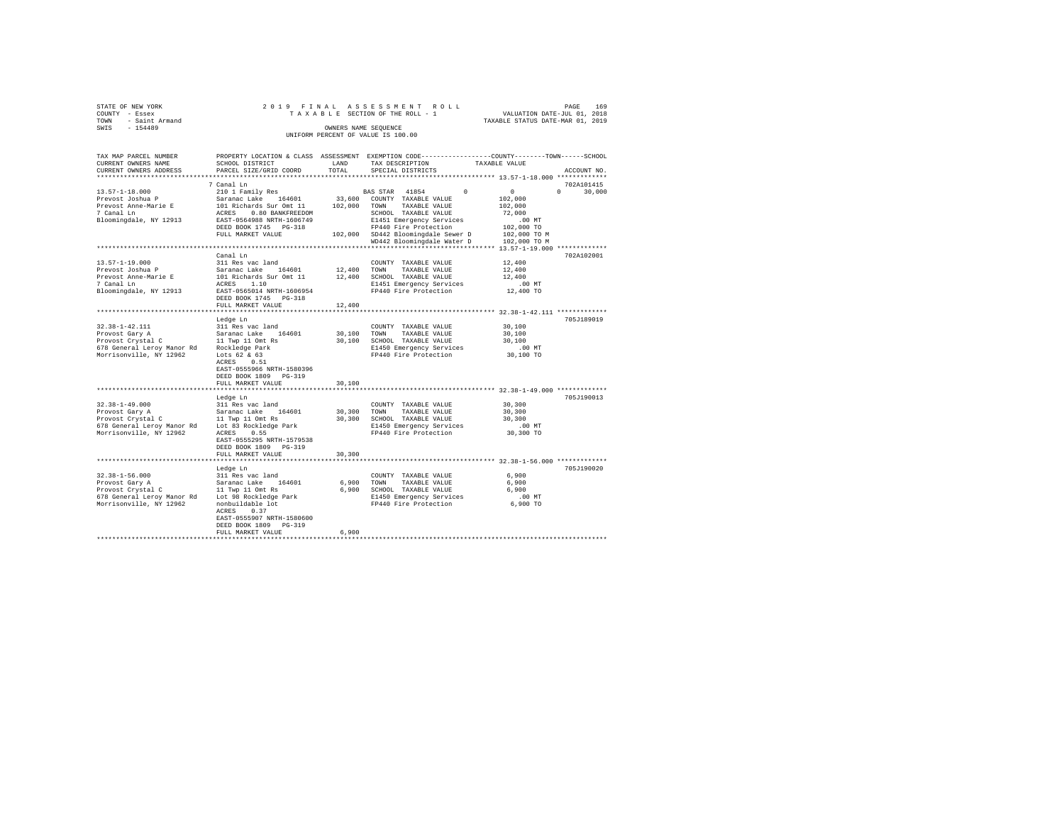|                | STATE OF NEW YORK   |  |  |  | 2019 FINAL ASSESSMENT ROLL         |  |  |  |  |  |                                  |                             | PAGE | 169 |
|----------------|---------------------|--|--|--|------------------------------------|--|--|--|--|--|----------------------------------|-----------------------------|------|-----|
| COUNTY - Essex |                     |  |  |  | TAXABLE SECTION OF THE ROLL - 1    |  |  |  |  |  |                                  | VALUATION DATE-JUL 01, 2018 |      |     |
|                | TOWN - Saint Armand |  |  |  |                                    |  |  |  |  |  | TAXABLE STATUS DATE-MAR 01, 2019 |                             |      |     |
| SWIS           | $-154489$           |  |  |  | OWNERS NAME SEOUENCE               |  |  |  |  |  |                                  |                             |      |     |
|                |                     |  |  |  | UNIFORM PERCENT OF VALUE IS 100.00 |  |  |  |  |  |                                  |                             |      |     |

| TAX MAP PARCEL NUMBER<br>CURRENT OWNERS NAME                                                             | SCHOOL DISTRICT                                                                                                           | LAND        | PROPERTY LOCATION & CLASS ASSESSMENT EXEMPTION CODE----------------COUNTY-------TOWN------SCHOOL<br>TAX DESCRIPTION                         | TAXABLE VALUE                                        |                    |
|----------------------------------------------------------------------------------------------------------|---------------------------------------------------------------------------------------------------------------------------|-------------|---------------------------------------------------------------------------------------------------------------------------------------------|------------------------------------------------------|--------------------|
| CURRENT OWNERS ADDRESS                                                                                   | PARCEL SIZE/GRID COORD                                                                                                    | TOTAL       | SPECIAL DISTRICTS                                                                                                                           |                                                      | ACCOUNT NO.        |
|                                                                                                          | 7 Canal Ln                                                                                                                |             |                                                                                                                                             |                                                      | 702A101415         |
| $13.57 - 1 - 18.000$<br>Prevost Joshua P<br>Prevost Anne-Marie E<br>7 Canal Ln<br>Bloomingdale, NY 12913 | 210 1 Family Res<br>Saranac Lake 164601<br>101 Richards Sur Omt 11<br>ACRES 0.80 BANKFREEDOM<br>EAST-0564988 NRTH-1606749 |             | BAS STAR 41854<br>$\Omega$<br>33,600 COUNTY TAXABLE VALUE<br>102,000 TOWN TAXABLE VALUE<br>SCHOOL TAXABLE VALUE<br>E1451 Emergency Services | $\Omega$<br>102,000<br>102,000<br>72,000<br>$.00$ MT | $\Omega$<br>30,000 |
|                                                                                                          | DEED BOOK 1745 PG-318<br>FULL MARKET VALUE                                                                                |             | FP440 Fire Protection<br>102,000 SD442 Bloomingdale Sewer D<br>WD442 Bloomingdale Water D                                                   | 102,000 TO<br>102,000 TO M<br>102,000 TO M           |                    |
|                                                                                                          |                                                                                                                           |             |                                                                                                                                             | ************ 13.57-1-19.000 *************            |                    |
| $13.57 - 1 - 19.000$                                                                                     | Canal Ln<br>311 Res vac land                                                                                              |             |                                                                                                                                             | 12,400                                               | 702A102001         |
|                                                                                                          |                                                                                                                           |             | COUNTY TAXABLE VALUE                                                                                                                        |                                                      |                    |
| Prevost Joshua P<br>Prevost Anne-Marie E                                                                 | Saranac Lake 164601<br>101 Richards Sur Omt 11                                                                            |             | 12,400 TOWN TAXABLE VALUE<br>12,400 SCHOOL TAXABLE VALUE                                                                                    | 12,400<br>12,400                                     |                    |
| 7 Canal Ln                                                                                               | ACRES 1.10                                                                                                                |             | E1451 Emergency Services                                                                                                                    | $.00$ MT                                             |                    |
| Bloomingdale, NY 12913                                                                                   | EAST-0565014 NRTH-1606954                                                                                                 |             | FP440 Fire Protection                                                                                                                       | 12,400 TO                                            |                    |
|                                                                                                          | DEED BOOK 1745 PG-318                                                                                                     |             |                                                                                                                                             |                                                      |                    |
|                                                                                                          | FULL MARKET VALUE                                                                                                         | 12,400      |                                                                                                                                             |                                                      |                    |
|                                                                                                          |                                                                                                                           |             |                                                                                                                                             |                                                      |                    |
|                                                                                                          | Ledge Ln                                                                                                                  |             |                                                                                                                                             |                                                      | 705J189019         |
| $32.38 - 1 - 42.111$                                                                                     | 311 Res vac land                                                                                                          |             | COUNTY TAXABLE VALUE                                                                                                                        | 30,100                                               |                    |
| Provost Gary A<br>Provost Gary A<br>Provost Crystal C<br>11 Twp 11 Omt Rs                                |                                                                                                                           | 30,100 TOWN | TAXABLE VALUE                                                                                                                               | 30,100                                               |                    |
|                                                                                                          |                                                                                                                           |             | 30,100 SCHOOL TAXABLE VALUE                                                                                                                 | 30,100                                               |                    |
| 678 General Leroy Manor Rd Rockledge Park<br>Morrisonville, NY 12962                                     | Lots 62 & 63                                                                                                              |             | E1450 Emergency Services<br>FP440 Fire Protection                                                                                           | $.00$ MT<br>30,100 TO                                |                    |
|                                                                                                          | ACRES 0.51<br>EAST-0555966 NRTH-1580396<br>DEED BOOK 1809 PG-319                                                          |             |                                                                                                                                             |                                                      |                    |
|                                                                                                          | FULL MARKET VALUE                                                                                                         | 30,100      |                                                                                                                                             |                                                      |                    |
|                                                                                                          |                                                                                                                           |             |                                                                                                                                             |                                                      |                    |
|                                                                                                          | Ledge Ln                                                                                                                  |             |                                                                                                                                             |                                                      | 705J190013         |
| $32.38 - 1 - 49.000$                                                                                     | 311 Res vac land                                                                                                          |             | COUNTY TAXABLE VALUE                                                                                                                        | 30,300                                               |                    |
|                                                                                                          |                                                                                                                           | 30,300      | TOWN<br>TAXABLE VALUE                                                                                                                       | 30,300                                               |                    |
|                                                                                                          |                                                                                                                           |             | 30,300 SCHOOL TAXABLE VALUE                                                                                                                 | 30,300                                               |                    |
| 678 General Leroy Manor Rd Lot 83 Rockledge Park                                                         |                                                                                                                           |             | E1450 Emergency Services                                                                                                                    | $.00$ MT                                             |                    |
| Morrisonville, NY 12962                                                                                  | ACRES 0.55<br>EAST-0555295 NRTH-1579538<br>DEED BOOK 1809 PG-319                                                          |             | FP440 Fire Protection                                                                                                                       | 30,300 TO                                            |                    |
|                                                                                                          | FULL MARKET VALUE                                                                                                         | 30,300      |                                                                                                                                             |                                                      |                    |
|                                                                                                          |                                                                                                                           |             |                                                                                                                                             |                                                      |                    |
|                                                                                                          | Ledge Ln                                                                                                                  |             |                                                                                                                                             |                                                      | 705J190020         |
| $32.38 - 1 - 56.000$                                                                                     |                                                                                                                           |             | COUNTY TAXABLE VALUE                                                                                                                        | 6,900                                                |                    |
| Provost Gary A<br>Provost Crystal C                                                                      | 311 Res vac land<br>Saranac Lake 164601<br>11 Twp 11 Omt Rs                                                               |             | 6,900 TOWN<br>TAXABLE VALUE<br>6,900 SCHOOL TAXABLE VALUE                                                                                   | 6,900<br>6,900                                       |                    |
| 678 General Leroy Manor Rd Lot 98 Rockledge Park                                                         |                                                                                                                           |             | E1450 Emergency Services                                                                                                                    | $.00$ MT                                             |                    |
| Morrisonville, NY 12962                                                                                  | nonbuildable lot                                                                                                          |             | FP440 Fire Protection                                                                                                                       | 6,900 TO                                             |                    |
|                                                                                                          | ACRES 0.37<br>EAST-0555907 NRTH-1580600                                                                                   |             |                                                                                                                                             |                                                      |                    |
|                                                                                                          | DEED BOOK 1809 PG-319                                                                                                     |             |                                                                                                                                             |                                                      |                    |
|                                                                                                          | FULL MARKET VALUE                                                                                                         | 6,900       |                                                                                                                                             |                                                      |                    |
|                                                                                                          |                                                                                                                           |             |                                                                                                                                             |                                                      |                    |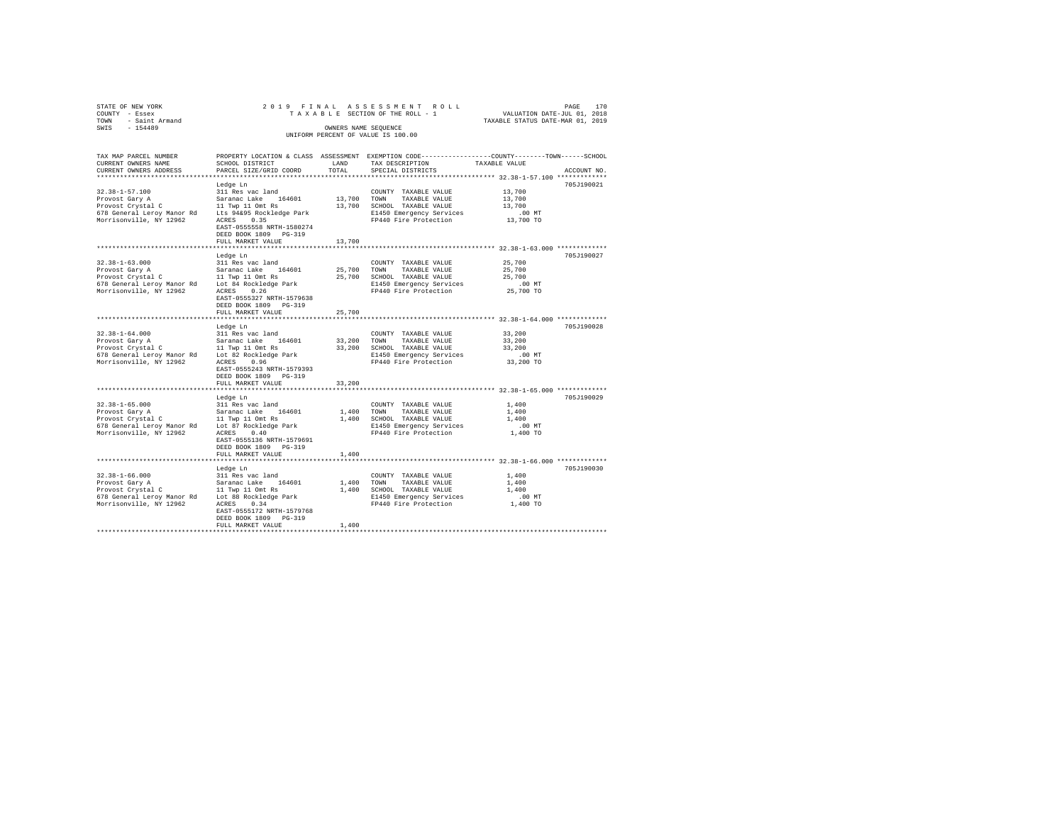| STATE OF NEW YORK<br>COUNTY<br>- Essex<br>- Saint Armand<br>TOWN | 2019 FINAL ASSESSMENT ROLL<br>TAXABLE SECTION OF THE ROLL - 1                            | 170<br>PAGE<br>VALUATION DATE-JUL 01, 2018<br>TAXABLE STATUS DATE-MAR 01, 2019 |
|------------------------------------------------------------------|------------------------------------------------------------------------------------------|--------------------------------------------------------------------------------|
| SWIS<br>$-154489$                                                | OWNERS NAME SEOUENCE<br>UNIFORM PERCENT OF VALUE IS 100.00                               |                                                                                |
|                                                                  |                                                                                          |                                                                                |
| TAX MAP PARCEL NUMBER                                            | PROPERTY LOCATION & CLASS ASSESSMENT EXEMPTION CODE---------------COUNTY-------TOWN----- | -SCHOOL                                                                        |

| CURRENT OWNERS NAME<br>CURRENT OWNERS ADDRESS | SCHOOL DISTRICT<br>PARCEL SIZE/GRID COORD | LAND<br>TOTAL | TAX DESCRIPTION<br>SPECIAL DISTRICTS                                | TAXABLE VALUE                   | ACCOUNT NO. |
|-----------------------------------------------|-------------------------------------------|---------------|---------------------------------------------------------------------|---------------------------------|-------------|
| *************************                     |                                           |               |                                                                     |                                 |             |
|                                               | Ledge Ln                                  |               |                                                                     |                                 | 705J190021  |
| $32.38 - 1 - 57.100$                          | 311 Res vac land                          |               | COUNTY TAXABLE VALUE                                                | 13,700                          |             |
| Provost Gary A                                | Saranac Lake 164601                       | 13,700        | TOWN<br>TAXABLE VALUE                                               | 13,700                          |             |
| Provost Crystal C                             | 11 Twp 11 Omt Rs                          | 13,700        | SCHOOL TAXABLE VALUE                                                | 13,700                          |             |
| 678 General Leroy Manor Rd                    | Lts 94&95 Rockledge Park                  |               | E1450 Emergency Services                                            | $.00$ MT                        |             |
| Morrisonville, NY 12962                       | 0.35<br>ACRES                             |               | FP440 Fire Protection                                               | 13,700 TO                       |             |
|                                               | EAST-0555558 NRTH-1580274                 |               |                                                                     |                                 |             |
|                                               | DEED BOOK 1809 PG-319                     |               |                                                                     |                                 |             |
|                                               | FULL MARKET VALUE                         | 13,700        |                                                                     |                                 |             |
|                                               |                                           |               |                                                                     | ** 32.38-1-63.000 ************* |             |
|                                               | Ledge Ln                                  |               |                                                                     |                                 | 705J190027  |
| $32.38 - 1 - 63.000$                          | 311 Res vac land                          |               | COUNTY TAXABLE VALUE                                                | 25,700                          |             |
| Provost Gary A                                | Saranac Lake 164601                       | 25,700        | TOWN<br>TAXABLE VALUE                                               | 25,700                          |             |
| Provost Crystal C                             | 11 Twp 11 Omt Rs                          | 25,700        | SCHOOL TAXABLE VALUE                                                | 25,700                          |             |
| 678 General Leroy Manor Rd                    | Lot 84 Rockledge Park                     |               | E1450 Emergency Services                                            | $.00$ MT                        |             |
| Morrisonville, NY 12962                       | ACRES<br>0.26                             |               | FP440 Fire Protection                                               | 25,700 TO                       |             |
|                                               | EAST-0555327 NRTH-1579638                 |               |                                                                     |                                 |             |
|                                               | DEED BOOK 1809 PG-319                     |               |                                                                     |                                 |             |
|                                               | FULL MARKET VALUE                         | 25,700        |                                                                     |                                 |             |
|                                               |                                           |               |                                                                     |                                 |             |
|                                               | Ledge Ln                                  |               |                                                                     |                                 | 705J190028  |
| $32.38 - 1 - 64.000$                          | 311 Res vac land                          |               | COUNTY TAXABLE VALUE                                                | 33,200                          |             |
| Provost Gary A                                | Saranac Lake 164601                       | 33,200        | TOWN<br>TAXABLE VALUE                                               | 33,200                          |             |
| Provost Crystal C                             | 11 Twp 11 Omt Rs                          |               | 33,200 SCHOOL TAXABLE VALUE                                         | 33,200                          |             |
| 678 General Leroy Manor Rd                    | Lot 82 Rockledge Park                     |               | E1450 Emergency Services                                            | .00 MT                          |             |
| Morrisonville, NY 12962                       | 0.96<br>ACRES                             |               | FP440 Fire Protection                                               | 33,200 TO                       |             |
|                                               | EAST-0555243 NRTH-1579393                 |               |                                                                     |                                 |             |
|                                               | DEED BOOK 1809 PG-319                     |               |                                                                     |                                 |             |
|                                               | FULL MARKET VALUE                         | 33,200        |                                                                     |                                 |             |
|                                               | *******************************           |               | ************************************** 32.38-1-65.000 ************* |                                 |             |
|                                               | Ledge Ln                                  |               |                                                                     |                                 | 705J190029  |
| $32.38 - 1 - 65.000$                          | 311 Res vac land                          |               | COUNTY TAXABLE VALUE                                                | 1,400                           |             |
| Provost Gary A                                | Saranac Lake<br>164601                    | 1,400         | TOWN<br>TAXABLE VALUE                                               | 1,400                           |             |
| Provost Crystal C                             | 11 Twp 11 Omt Rs                          |               | 1,400 SCHOOL TAXABLE VALUE                                          | 1,400                           |             |
| 678 General Leroy Manor Rd                    | Lot 87 Rockledge Park                     |               | E1450 Emergency Services                                            | .00 MT                          |             |
| Morrisonville, NY 12962                       | 0.40<br>ACRES                             |               | FP440 Fire Protection                                               | 1,400 TO                        |             |
|                                               | EAST-0555136 NRTH-1579691                 |               |                                                                     |                                 |             |
|                                               | DEED BOOK 1809 PG-319                     |               |                                                                     |                                 |             |
|                                               | FULL MARKET VALUE                         | 1,400         |                                                                     |                                 |             |
|                                               | **************************                |               | **************************** 32.38-1-66.000 *************           |                                 |             |
|                                               | Ledge Ln                                  |               |                                                                     |                                 | 705J190030  |
| $32.38 - 1 - 66.000$                          | 311 Res vac land                          |               | COUNTY TAXABLE VALUE                                                | 1,400                           |             |
| Provost Gary A                                | Saranac Lake<br>164601                    | 1,400         | TAXABLE VALUE<br>TOWN                                               | 1,400                           |             |
| Provost Crystal C                             | 11 Twp 11 Omt Rs                          |               | 1,400 SCHOOL TAXABLE VALUE                                          | 1,400                           |             |
| 678 General Leroy Manor Rd                    | Lot 88 Rockledge Park                     |               | E1450 Emergency Services                                            | $.00$ MT                        |             |
| Morrisonville, NY 12962                       | 0.34<br>ACRES                             |               | FP440 Fire Protection                                               | 1,400 TO                        |             |
|                                               | EAST-0555172 NRTH-1579768                 |               |                                                                     |                                 |             |
|                                               | DEED BOOK 1809 PG-319                     |               |                                                                     |                                 |             |
|                                               | FULL MARKET VALUE                         | 1,400         |                                                                     |                                 |             |
|                                               |                                           |               |                                                                     |                                 |             |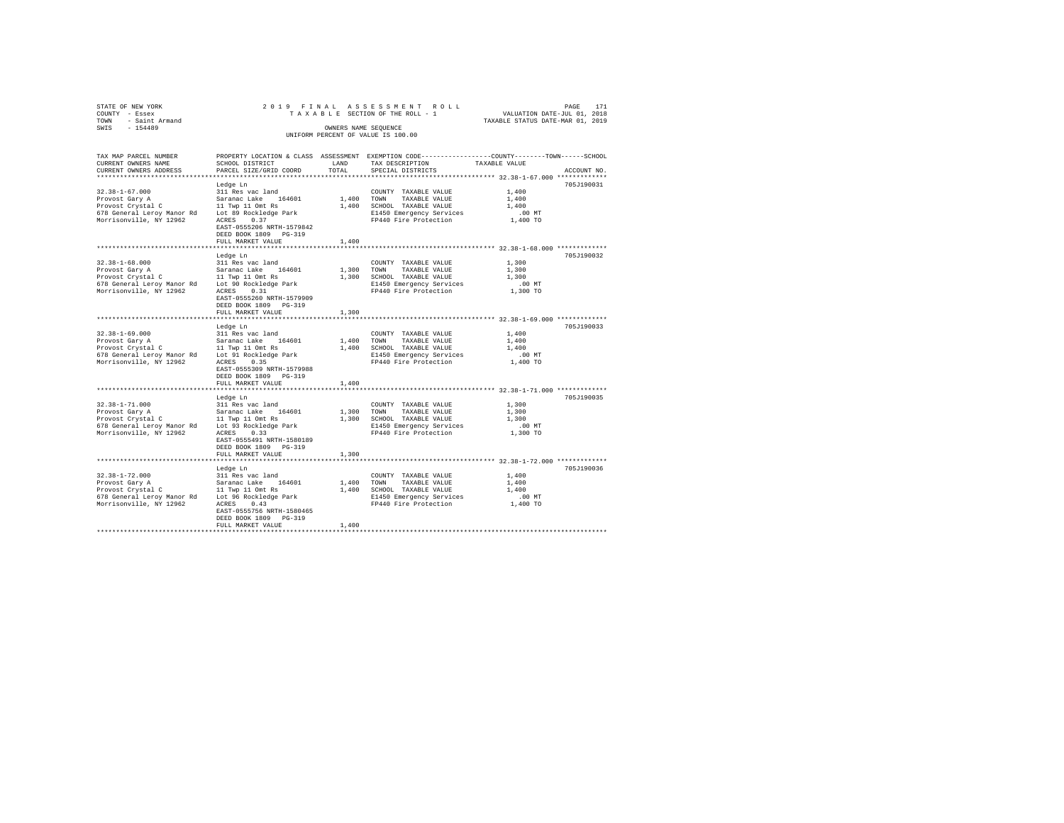| STATE OF NEW YORK      |                           |            | 2019 FINAL ASSESSMENT ROLL         | 171<br>PAGE                                                  |
|------------------------|---------------------------|------------|------------------------------------|--------------------------------------------------------------|
| COUNTY - Essex         |                           |            | TAXABLE SECTION OF THE ROLL - 1    | VALUATION DATE-JUL 01, 2018                                  |
| - Saint Armand<br>TOWN |                           |            |                                    | TAXABLE STATUS DATE-MAR 01, 2019                             |
| $-154489$<br>SWIS      |                           |            | OWNERS NAME SEQUENCE               |                                                              |
|                        |                           |            | UNIFORM PERCENT OF VALUE IS 100.00 |                                                              |
|                        |                           |            |                                    |                                                              |
|                        |                           |            |                                    |                                                              |
| TAX MAP PARCEL NUMBER  | PROPERTY LOCATION & CLASS | ASSESSMENT |                                    | EXEMPTION CODE-----------------COUNTY-------TOWN------SCHOOL |
| CURRENT OWNERS NAME    | SCHOOL DISTRICT           | LAND       | TAX DESCRIPTION                    | TAXABLE VALUE                                                |
| CURRENT OWNERS ADDRESS | PARCEL SIZE/GRID COORD    | TOTAL      | SPECIAL DISTRICTS                  | ACCOUNT NO.                                                  |
|                        |                           |            |                                    |                                                              |

|                                                  |                                |            | ************** 32.38-1-67.000 *************           |          |            |
|--------------------------------------------------|--------------------------------|------------|-------------------------------------------------------|----------|------------|
|                                                  | Ledge Ln                       |            |                                                       |          | 705J190031 |
| $32.38 - 1 - 67.000$                             | 311 Res vac land               |            | COUNTY TAXABLE VALUE                                  | 1,400    |            |
| Provost Gary A                                   | Saranac Lake 164601            | 1,400 TOWN | TAXABLE VALUE                                         | 1,400    |            |
| Provost Crystal C 11 Twp 11 Omt Rs               |                                |            | 1,400 SCHOOL TAXABLE VALUE                            | 1,400    |            |
| 678 General Leroy Manor Rd                       | Lot 89 Rockledge Park          |            | E1450 Emergency Services                              | $.00$ MT |            |
| Morrisonville, NY 12962                          | 0.37<br>ACRES                  |            | FP440 Fire Protection                                 | 1,400 TO |            |
|                                                  | EAST-0555206 NRTH-1579842      |            |                                                       |          |            |
|                                                  | DEED BOOK 1809 PG-319          |            |                                                       |          |            |
|                                                  | FULL MARKET VALUE              | 1,400      |                                                       |          |            |
|                                                  |                                |            | *************** 32.38-1-68.000 *********              |          |            |
|                                                  | Ledge Ln                       |            |                                                       |          | 705J190032 |
| $32.38 - 1 - 68.000$                             | 311 Res vac land               |            | COUNTY TAXABLE VALUE                                  | 1,300    |            |
| Provost Gary A                                   | Saranac Lake 164601            |            | 1,300 TOWN<br>TAXABLE VALUE                           | 1,300    |            |
| Provost Crystal C                                | 11 Twp 11 Omt Rs               |            | 1,300 SCHOOL TAXABLE VALUE                            | 1,300    |            |
| 678 General Leroy Manor Rd Lot 90 Rockledge Park |                                |            | E1450 Emergency Services                              | $.00$ MT |            |
| Morrisonville, NY 12962                          | ACRES<br>0.31                  |            | FP440 Fire Protection                                 | 1,300 TO |            |
|                                                  | EAST-0555260 NRTH-1579909      |            |                                                       |          |            |
|                                                  | DEED BOOK 1809 PG-319          |            |                                                       |          |            |
|                                                  | FULL MARKET VALUE              | 1,300      |                                                       |          |            |
|                                                  | ****************************** |            | ***************** 32.38-1-69.000 ************         |          |            |
|                                                  | Ledge Ln                       |            |                                                       |          | 705J190033 |
| $32.38 - 1 - 69.000$                             | 311 Res vac land               |            | COUNTY TAXABLE VALUE                                  | 1,400    |            |
| Provost Gary A                                   | Saranac Lake<br>164601         |            | 1,400 TOWN<br>TAXABLE VALUE                           | 1,400    |            |
| Provost Crystal C                                | 11 Twp 11 Omt Rs               |            | 1,400 SCHOOL TAXABLE VALUE                            | 1,400    |            |
| 678 General Leroy Manor Rd                       | Lot 91 Rockledge Park          |            | E1450 Emergency Services                              | .00MT    |            |
| Morrisonville, NY 12962                          | ACRES 0.35                     |            | FP440 Fire Protection                                 | 1,400 TO |            |
|                                                  | EAST-0555309 NRTH-1579988      |            |                                                       |          |            |
|                                                  | DEED BOOK 1809 PG-319          |            |                                                       |          |            |
|                                                  | FULL MARKET VALUE              | 1,400      |                                                       |          |            |
|                                                  |                                |            | ******************** 32.38-1-71.000 **********        |          |            |
|                                                  | Ledge Ln                       |            |                                                       |          | 705J190035 |
| $32.38 - 1 - 71.000$                             | 311 Res vac land               |            | COUNTY TAXABLE VALUE                                  | 1,300    |            |
| Provost Gary A                                   | Saranac Lake 164601            | 1,300 TOWN | TAXABLE VALUE                                         | 1,300    |            |
| Provost Crystal C                                | 11 Twp 11 Omt Rs               |            | 1,300 SCHOOL TAXABLE VALUE                            | 1,300    |            |
| 678 General Leroy Manor Rd                       | Lot 93 Rockledge Park          |            | E1450 Emergency Services                              | $.00$ MT |            |
| Morrisonville, NY 12962                          | 0.33<br>ACRES                  |            | FP440 Fire Protection                                 | 1,300 TO |            |
|                                                  | EAST-0555491 NRTH-1580189      |            |                                                       |          |            |
|                                                  | DEED BOOK 1809 PG-319          |            |                                                       |          |            |
|                                                  | FULL MARKET VALUE              | 1,300      |                                                       |          |            |
|                                                  | ****************************   |            | ************************ 32.38-1-72.000 ************* |          |            |
|                                                  | Ledge Ln                       |            |                                                       |          | 705J190036 |
| $32.38 - 1 - 72.000$                             | 311 Res vac land               |            | COUNTY TAXABLE VALUE                                  | 1,400    |            |
| Provost Gary A                                   | Saranac Lake 164601            |            | 1,400 TOWN<br>TAXABLE VALUE                           | 1,400    |            |
| Provost Crystal C                                |                                |            |                                                       | 1,400    |            |
|                                                  | 11 Twp 11 Omt Rs               |            | 1,400 SCHOOL TAXABLE VALUE                            |          |            |
| 678 General Leroy Manor Rd                       | Lot 96 Rockledge Park          |            | E1450 Emergency Services                              | $.00$ MT |            |
| Morrisonville, NY 12962                          | ACRES<br>0.43                  |            | FP440 Fire Protection                                 | 1,400 TO |            |
|                                                  | EAST-0555756 NRTH-1580465      |            |                                                       |          |            |
|                                                  | DEED BOOK 1809 PG-319          |            |                                                       |          |            |
|                                                  | FULL MARKET VALUE              | 1,400      |                                                       |          |            |
|                                                  |                                |            |                                                       |          |            |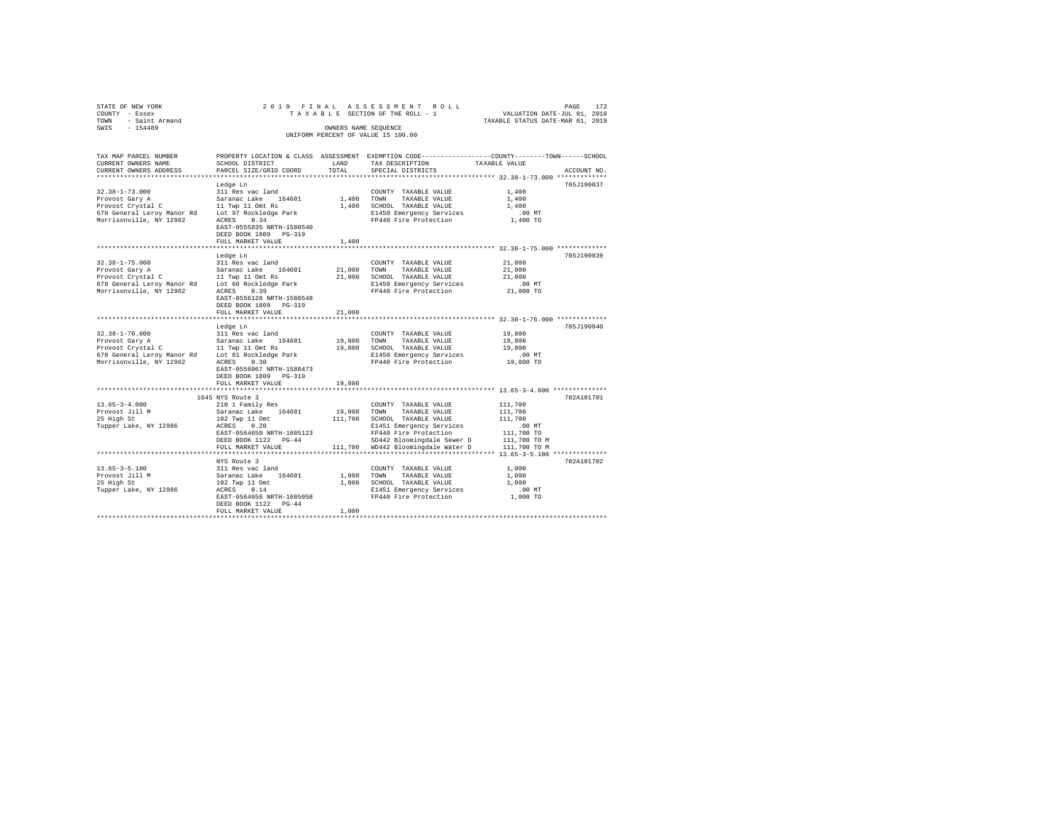| STATE OF NEW YORK<br>COUNTY - Essex<br>- Saint Armand<br>TOWN                          |                                         |                      | 2019 FINAL ASSESSMENT ROLL<br>TAXABLE SECTION OF THE ROLL - 1                                   | VALUATION DATE-JUL 01, 2018<br>TAXABLE STATUS DATE-MAR 01, 2019 | PAGE<br>172 |
|----------------------------------------------------------------------------------------|-----------------------------------------|----------------------|-------------------------------------------------------------------------------------------------|-----------------------------------------------------------------|-------------|
| $-154489$<br>SWIS                                                                      |                                         | OWNERS NAME SEQUENCE |                                                                                                 |                                                                 |             |
|                                                                                        |                                         |                      | UNIFORM PERCENT OF VALUE IS 100.00                                                              |                                                                 |             |
|                                                                                        |                                         |                      |                                                                                                 |                                                                 |             |
| TAX MAP PARCEL NUMBER                                                                  |                                         |                      | PROPERTY LOCATION & CLASS ASSESSMENT EXEMPTION CODE---------------COUNTY-------TOWN------SCHOOL |                                                                 |             |
| CURRENT OWNERS NAME                                                                    | SCHOOL DISTRICT                         | LAND                 | TAX DESCRIPTION                                                                                 | TAXABLE VALUE                                                   |             |
| CURRENT OWNERS ADDRESS                                                                 | PARCEL SIZE/GRID COORD                  | TOTAL                | SPECIAL DISTRICTS                                                                               |                                                                 | ACCOUNT NO. |
|                                                                                        |                                         |                      |                                                                                                 |                                                                 |             |
|                                                                                        | Ledge Ln                                |                      |                                                                                                 |                                                                 | 705J190037  |
| $32.38 - 1 - 73.000$                                                                   | 311 Res vac land                        |                      | COUNTY TAXABLE VALUE                                                                            | 1,400                                                           |             |
| Provost Gary A<br>Provost Crystal C                                                    | Saranac Lake 164601<br>11 Twp 11 Omt Rs | 1,400 TOWN           | TAXABLE VALUE<br>1,400 SCHOOL TAXABLE VALUE                                                     | 1,400<br>1,400                                                  |             |
| 678 General Leroy Manor Rd                                                             | Lot 97 Rockledge Park                   |                      | E1450 Emergency Services                                                                        | $.00$ MT                                                        |             |
| Morrisonville, NY 12962                                                                | ACRES 0.34                              |                      | FP440 Fire Protection                                                                           | 1,400 TO                                                        |             |
|                                                                                        | EAST-0555835 NRTH-1580540               |                      |                                                                                                 |                                                                 |             |
|                                                                                        | DEED BOOK 1809 PG-319                   |                      |                                                                                                 |                                                                 |             |
|                                                                                        | FULL MARKET VALUE                       | 1,400                |                                                                                                 |                                                                 |             |
|                                                                                        |                                         |                      |                                                                                                 |                                                                 |             |
|                                                                                        | Ledge Ln                                |                      |                                                                                                 |                                                                 | 705J190039  |
| $32.38 - 1 - 75.000$                                                                   | 311 Res vac land                        |                      | COUNTY TAXABLE VALUE                                                                            | 21,000                                                          |             |
| Provost Gary A                                                                         | Saranac Lake 164601                     | 21,000               | TOWN<br>TAXABLE VALUE<br>21,000 SCHOOL TAXABLE VALUE                                            | 21,000<br>21,000                                                |             |
| Provost Crystal C 11 Twp 11 Omt Rs<br>678 General Leroy Manor Rd Lot 60 Rockledge Park |                                         |                      | E1450 Emergency Services                                                                        | .00MT                                                           |             |
| Morrisonville, NY 12962                                                                | ACRES 0.39                              |                      | FP440 Fire Protection                                                                           | 21,000 TO                                                       |             |
|                                                                                        | EAST-0556128 NRTH-1580548               |                      |                                                                                                 |                                                                 |             |
|                                                                                        | DEED BOOK 1809 PG-319                   |                      |                                                                                                 |                                                                 |             |
|                                                                                        | FULL MARKET VALUE                       | 21,000               |                                                                                                 |                                                                 |             |
|                                                                                        |                                         |                      |                                                                                                 |                                                                 |             |
| $32.38 - 1 - 76.000$                                                                   | Ledge Ln<br>311 Res vac land            |                      | COUNTY TAXABLE VALUE                                                                            | 19,800                                                          | 705J190040  |
| Provost Gary A                                                                         | Saranac Lake 164601                     | 19,800               | TOWN TAXABLE VALUE                                                                              | 19,800                                                          |             |
| Provost Crystal C                                                                      | 11 Twp 11 Omt Rs                        |                      | 19,800 SCHOOL TAXABLE VALUE                                                                     | 19,800                                                          |             |
| 678 General Leroy Manor Rd Lot 61 Rockledge Park                                       |                                         |                      | E1450 Emergency Services                                                                        | $.00$ MT                                                        |             |
| Morrisonville, NY 12962                                                                | ACRES<br>0.30                           |                      | FP440 Fire Protection                                                                           | 19,800 TO                                                       |             |
|                                                                                        | EAST-0556067 NRTH-1580473               |                      |                                                                                                 |                                                                 |             |
|                                                                                        | DEED BOOK 1809 PG-319                   |                      |                                                                                                 |                                                                 |             |
|                                                                                        | FULL MARKET VALUE                       | 19,800               |                                                                                                 |                                                                 |             |
|                                                                                        | 1645 NYS Route 3                        |                      |                                                                                                 |                                                                 | 702A101701  |
| $13.65 - 3 - 4.000$                                                                    | 210 1 Family Res                        |                      | COUNTY TAXABLE VALUE                                                                            | 111,700                                                         |             |
| Provost Jill M                                                                         | Saranac Lake 164601                     | 19,000               | TOWN<br>TAXABLE VALUE                                                                           | 111,700                                                         |             |
| 25 High St                                                                             | 102 Twp 11 Omt                          | 111,700              | SCHOOL TAXABLE VALUE                                                                            | 111,700                                                         |             |
| Tupper Lake, NY 12986                                                                  | ACRES 0.20                              |                      | E1451 Emergency Services                                                                        | $.00$ MT                                                        |             |
|                                                                                        | EAST-0564650 NRTH-1605123               |                      | FP440 Fire Protection                                                                           | 111,700 TO                                                      |             |
|                                                                                        | DEED BOOK 1122 PG-44                    |                      | SD442 Bloomingdale Sewer D                                                                      | 111,700 TO M                                                    |             |
|                                                                                        | FULL MARKET VALUE                       |                      | 111,700 WD442 Bloomingdale Water D                                                              | 111,700 TO M                                                    |             |
|                                                                                        |                                         |                      |                                                                                                 |                                                                 |             |
| $13.65 - 3 - 5.100$                                                                    | NYS Route 3<br>311 Res vac land         |                      | COUNTY TAXABLE VALUE                                                                            | 1,000                                                           | 702A101702  |
| Provost Jill M                                                                         | Saranac Lake 164601                     | 1,000 TOWN           | TAXABLE VALUE                                                                                   | 1,000                                                           |             |
| 25 High St                                                                             | 102 Twp 11 Omt                          |                      | 1,000 SCHOOL TAXABLE VALUE                                                                      | 1,000                                                           |             |
| Tupper Lake, NY 12986                                                                  | ACRES 0.14                              |                      | E1451 Emergency Services                                                                        | $.00$ MT                                                        |             |
|                                                                                        | EAST-0564656 NRTH-1605058               |                      | FP440 Fire Protection                                                                           | 1,000 TO                                                        |             |
|                                                                                        | DEED BOOK 1122 PG-44                    |                      |                                                                                                 |                                                                 |             |
|                                                                                        | FULL MARKET VALUE                       | 1,000                |                                                                                                 |                                                                 |             |
|                                                                                        |                                         |                      |                                                                                                 |                                                                 |             |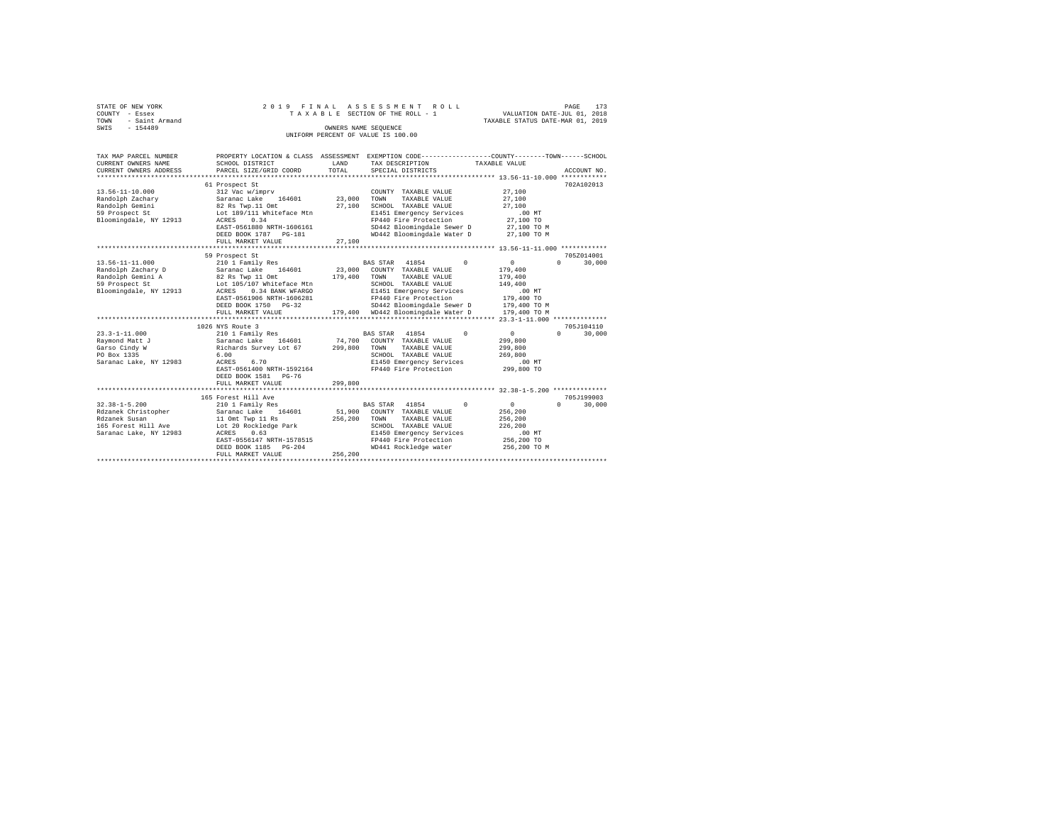| STATE OF NEW YORK   |  |  | 2019 FINAL ASSESSMENT ROLL         |                                  | PAGE                        | 173 |
|---------------------|--|--|------------------------------------|----------------------------------|-----------------------------|-----|
| COUNTY - Essex      |  |  | TAXABLE SECTION OF THE ROLL - 1    |                                  | VALUATION DATE-JUL 01, 2018 |     |
| TOWN - Saint Armand |  |  |                                    | TAXABLE STATUS DATE-MAR 01, 2019 |                             |     |
| SWIS<br>$-154489$   |  |  | OWNERS NAME SEOUENCE               |                                  |                             |     |
|                     |  |  | UNIFORM PERCENT OF VALUE IS 100.00 |                                  |                             |     |
|                     |  |  |                                    |                                  |                             |     |

| TAX MAP PARCEL NUMBER                   |                                               |         |                                         | PROPERTY LOCATION & CLASS ASSESSMENT EXEMPTION CODE----------------COUNTY-------TOWN-----SCHOOL |  |
|-----------------------------------------|-----------------------------------------------|---------|-----------------------------------------|-------------------------------------------------------------------------------------------------|--|
| CURRENT OWNERS NAME                     | SCHOOL DISTRICT                               | LAND    | TAX DESCRIPTION                         | TAXABLE VALUE                                                                                   |  |
| CURRENT OWNERS ADDRESS                  | PARCEL SIZE/GRID COORD                        | TOTAL   | SPECIAL DISTRICTS                       | ACCOUNT NO.                                                                                     |  |
|                                         |                                               |         |                                         |                                                                                                 |  |
|                                         | 61 Prospect St                                |         |                                         | 702A102013                                                                                      |  |
| $13.56 - 11 - 10.000$                   | 312 Vac w/imprv                               |         | COUNTY TAXABLE VALUE                    | 27,100                                                                                          |  |
| Randolph Zachary                        | 164601<br>Saranac Lake                        | 23,000  | TOWN<br>TAXABLE VALUE                   | 27,100                                                                                          |  |
| Randolph Gemini                         | 82 Rs Twp.11 Omt                              | 27,100  | SCHOOL TAXABLE VALUE                    | 27,100                                                                                          |  |
| 59 Prospect St                          | Lot 189/111 Whiteface Mtn                     |         | E1451 Emergency Services                | $.00$ MT                                                                                        |  |
| Bloomingdale, NY 12913                  | 0.34<br>ACRES                                 |         | FP440 Fire Protection                   | 27,100 TO                                                                                       |  |
|                                         | EAST-0561880 NRTH-1606161                     |         | SD442 Bloomingdale Sewer D              | 27,100 TO M                                                                                     |  |
|                                         | DEED BOOK 1787 PG-181                         |         | WD442 Bloomingdale Water D              | 27,100 TO M                                                                                     |  |
|                                         | FULL MARKET VALUE                             | 27,100  |                                         |                                                                                                 |  |
|                                         |                                               |         |                                         |                                                                                                 |  |
|                                         | 59 Prospect St                                |         |                                         | 705Z014001                                                                                      |  |
| $13.56 - 11 - 11.000$                   | 210 1 Family Res                              |         | BAS STAR 41854<br>$^{\circ}$            | 30,000<br>$^{\circ}$<br>$\Omega$                                                                |  |
|                                         |                                               |         | 23,000 COUNTY TAXABLE VALUE             | 179,400                                                                                         |  |
| Randolph Zachary D<br>Randolph Gemini A | Saranac Lake 164601<br>82 Rs Twp 11 Omt       | 179,400 | TOWN<br>TAXABLE VALUE                   | 179,400                                                                                         |  |
| 59 Prospect St                          | Lot 105/107 Whiteface Mtn                     |         | SCHOOL TAXABLE VALUE                    | 149,400                                                                                         |  |
| Bloomingdale, NY 12913                  | ACRES<br>0.34 BANK WFARGO                     |         | E1451 Emergency Services                | .00MT                                                                                           |  |
|                                         | EAST-0561906 NRTH-1606281                     |         | FP440 Fire Protection                   | 179,400 TO                                                                                      |  |
|                                         | DEED BOOK 1750 PG-32                          |         | SD442 Bloomingdale Sewer D 179.400 TO M |                                                                                                 |  |
|                                         | FULL MARKET VALUE                             |         | 179,400 WD442 Bloomingdale Water D      | 179,400 TO M                                                                                    |  |
|                                         |                                               |         |                                         |                                                                                                 |  |
|                                         | 1026 NYS Route 3                              |         |                                         | 705J104110                                                                                      |  |
| $23.3 - 1 - 11.000$                     | 210 1 Family Res                              |         | $^{\circ}$<br>BAS STAR 41854            | 30,000<br>0<br>$\Omega$                                                                         |  |
| Raymond Matt J                          |                                               | 74,700  | COUNTY TAXABLE VALUE                    | 299,800                                                                                         |  |
| Garso Cindy W                           | Saranac Lake 164601<br>Richards Survey Lot 67 | 299,800 | TOWN<br>TAXABLE VALUE                   | 299,800                                                                                         |  |
| PO Box 1335                             | 6.00                                          |         | SCHOOL TAXABLE VALUE                    | 269,800                                                                                         |  |
| Saranac Lake, NY 12983                  | ACRES<br>6.70                                 |         | E1450 Emergency Services                | $.00$ MT                                                                                        |  |
|                                         | EAST-0561400 NRTH-1592164                     |         | FP440 Fire Protection                   | 299,800 TO                                                                                      |  |
|                                         | DEED BOOK 1581 PG-76                          |         |                                         |                                                                                                 |  |
|                                         | FULL MARKET VALUE                             | 299,800 |                                         |                                                                                                 |  |
|                                         |                                               |         |                                         |                                                                                                 |  |
|                                         | 165 Forest Hill Ave                           |         |                                         | 705.7199003                                                                                     |  |
| $32.38 - 1 - 5.200$                     | 210 1 Family Res                              |         | BAS STAR 41854<br>$\Omega$              | $\circ$<br>$\Omega$<br>30,000                                                                   |  |
| Rdzanek Christopher                     | Saranac Lake 164601                           |         | 51,900 COUNTY TAXABLE VALUE             | 256,200                                                                                         |  |
| Rdzanek Susan                           | 11 Omt Twp 11 Rs                              | 256,200 | TOWN<br>TAXABLE VALUE                   | 256,200                                                                                         |  |
| 165 Forest Hill Ave                     | Lot 20 Rockledge Park                         |         | SCHOOL TAXABLE VALUE                    | 226,200                                                                                         |  |
| Saranac Lake, NY 12983                  | 0.63<br>ACRES                                 |         | E1450 Emergency Services                | $.00$ MT                                                                                        |  |
|                                         | EAST-0556147 NRTH-1578515                     |         | FP440 Fire Protection                   | 256,200 TO                                                                                      |  |
|                                         | DEED BOOK 1185 PG-204                         |         | WD441 Rockledge water                   | 256,200 TO M                                                                                    |  |
|                                         | FULL MARKET VALUE                             | 256,200 |                                         |                                                                                                 |  |
|                                         |                                               |         |                                         |                                                                                                 |  |
|                                         |                                               |         |                                         |                                                                                                 |  |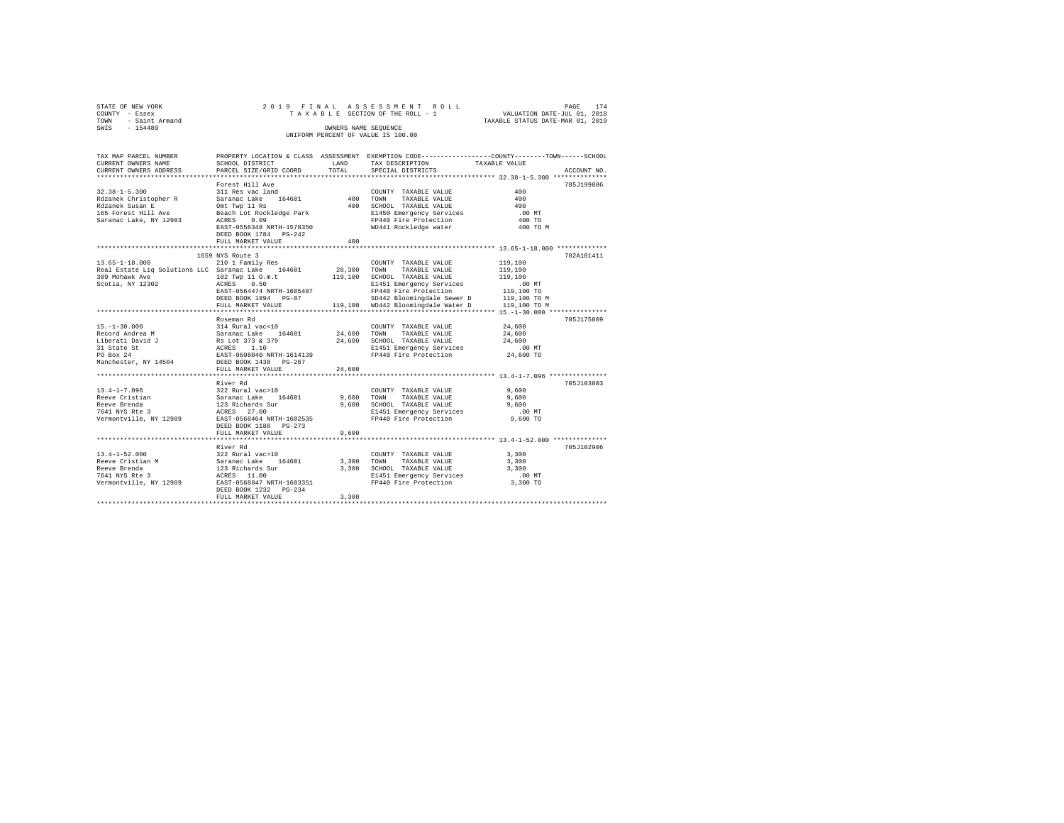| STATE OF NEW YORK     |           |                        |                                      |      | 2019 FINAL ASSESSMENT ROLL         |                                                              |                                  | PAGE | 174         |  |
|-----------------------|-----------|------------------------|--------------------------------------|------|------------------------------------|--------------------------------------------------------------|----------------------------------|------|-------------|--|
| COUNTY - Essex        |           |                        |                                      |      | TAXABLE SECTION OF THE ROLL - 1    |                                                              | VALUATION DATE-JUL 01, 2018      |      |             |  |
| TOWN                  |           | - Saint Armand         |                                      |      |                                    |                                                              | TAXABLE STATUS DATE-MAR 01, 2019 |      |             |  |
| SWTS                  | $-154489$ |                        |                                      |      | OWNERS NAME SEOUENCE               |                                                              |                                  |      |             |  |
|                       |           |                        |                                      |      | UNIFORM PERCENT OF VALUE IS 100.00 |                                                              |                                  |      |             |  |
|                       |           |                        |                                      |      |                                    |                                                              |                                  |      |             |  |
|                       |           |                        |                                      |      |                                    |                                                              |                                  |      |             |  |
| TAX MAP PARCEL NUMBER |           |                        | PROPERTY LOCATION & CLASS ASSESSMENT |      |                                    | EXEMPTION CODE-----------------COUNTY-------TOWN------SCHOOL |                                  |      |             |  |
| CURRENT OWNERS NAME   |           |                        | SCHOOL DISTRICT                      | LAND | TAX DESCRIPTION                    |                                                              | TAXARLE VALUE                    |      |             |  |
|                       |           | CURRENT OWNERS ADDRESS | PARCEL SIZE/GRID COORD TOTAL         |      | SPECIAL DISTRICTS                  |                                                              |                                  |      | ACCOUNT NO. |  |
|                       |           |                        |                                      |      |                                    |                                                              |                                  |      |             |  |
|                       |           |                        | Forest Hill Ave                      |      |                                    |                                                              |                                  |      | 705.T199006 |  |
|                       |           |                        |                                      |      |                                    |                                                              |                                  |      |             |  |

| $32.38 - 1 - 5.300$                                                                                   | 311 Res vac land                        |            | COUNTY TAXABLE VALUE                                                                     | 400        |            |
|-------------------------------------------------------------------------------------------------------|-----------------------------------------|------------|------------------------------------------------------------------------------------------|------------|------------|
| Rdzanek Christopher R                                                                                 | Saranac Lake 164601                     | 400        | TOWN<br>TAXABLE VALUE                                                                    | 400        |            |
|                                                                                                       |                                         |            | --- ---<br>400 SCHOOL TAXABLE VALUE<br>E1450 Emergency Services<br>FP440 Fire Protection | 400        |            |
|                                                                                                       |                                         |            |                                                                                          | .00 MT     |            |
| Saranac Lake, NY 12983 ACRES 0.09                                                                     |                                         |            |                                                                                          | 400 TO     |            |
|                                                                                                       | EAST-0556348 NRTH-1578350               |            | WD441 Rockledge water                                                                    | 400 TO M   |            |
|                                                                                                       | DEED BOOK 1784 PG-242                   |            |                                                                                          |            |            |
|                                                                                                       | FULL MARKET VALUE                       | 400        |                                                                                          |            |            |
|                                                                                                       |                                         |            |                                                                                          |            |            |
|                                                                                                       | 1659 NYS Route 3                        |            |                                                                                          |            | 702A101411 |
| $13.65 - 1 - 18.000$                                                                                  | 210 1 Family Res                        |            | COUNTY TAXABLE VALUE                                                                     | 119,100    |            |
| Real Estate Liq Solutions LLC Saranac Lake 164601                                                     |                                         |            |                                                                                          | 119,100    |            |
| 309 Mohawk Ave                                                                                        | 102 Twp 11 O.m.t                        |            | 28,300 TOWN TAXABLE VALUE<br>119,100 SCHOOL TAXABLE VALUE                                | 119,100    |            |
| Scotia, NY 12302 ACRES 0.50                                                                           |                                         |            | E1451 Emergency Services                                                                 | .00 MT     |            |
|                                                                                                       | EAST-0564474 NRTH-1605407               |            | FP440 Fire Protection                                                                    | 119,100 TO |            |
|                                                                                                       | DEED BOOK 1894 PG-87                    |            | SD442 Bloomingdale Sewer D 119,100 TO M                                                  |            |            |
|                                                                                                       |                                         |            | FULL MARKET VALUE 119,100 WD442 Bloomingdale Water D 119,100 TO M                        |            |            |
|                                                                                                       |                                         |            |                                                                                          |            |            |
|                                                                                                       | Roseman Rd                              |            |                                                                                          |            | 705J175009 |
|                                                                                                       |                                         |            | COUNTY TAXABLE VALUE                                                                     | 24,600     |            |
|                                                                                                       |                                         |            | 24,600 TOWN TAXABLE VALUE                                                                | 24,600     |            |
|                                                                                                       |                                         |            | 24,600 SCHOOL TAXABLE VALUE                                                              | 24,600     |            |
|                                                                                                       |                                         |            | E1451 Emergency Services                                                                 | .00 MT     |            |
| 31 State St<br>20 Box 24 24 24 25 2606040 NRTH-1614139<br>PManchester, NY 14504 DEED BOOK 1438 PG-267 |                                         |            | FP440 Fire Protection                                                                    | 24,600 TO  |            |
|                                                                                                       |                                         |            |                                                                                          |            |            |
|                                                                                                       |                                         |            |                                                                                          |            |            |
|                                                                                                       | FULL MARKET VALUE                       | 24,600     |                                                                                          |            |            |
|                                                                                                       |                                         |            |                                                                                          |            |            |
|                                                                                                       | River Rd                                |            |                                                                                          |            | 705J103803 |
| $13.4 - 1 - 7.096$                                                                                    | 322 Rural vac>10                        |            | COUNTY TAXABLE VALUE                                                                     | 9,600      |            |
| Reeve Cristian                                                                                        | Saranac Lake 164601<br>123 Richards Sur | 9,600 TOWN | TAXABLE VALUE                                                                            | 9,600      |            |
| Reeve Brenda                                                                                          |                                         |            | 9,600 SCHOOL TAXABLE VALUE                                                               | 9,600      |            |
| 7641 NYS Rte 3 ACRES 27.00                                                                            |                                         |            | E1451 Emergency Services .00 MT                                                          |            |            |
| Vermontville, NY 12989                                                                                | EAST-0568464 NRTH-1602535               |            | FP440 Fire Protection                                                                    | 9,600 TO   |            |
|                                                                                                       | DEED BOOK 1188 PG-273                   |            |                                                                                          |            |            |
|                                                                                                       | FULL MARKET VALUE                       | 9,600      |                                                                                          |            |            |
|                                                                                                       |                                         |            |                                                                                          |            |            |
|                                                                                                       | River Rd                                |            |                                                                                          |            | 705J102906 |
| $13.4 - 1 - 52.000$                                                                                   | 322 Rural vac>10                        |            | COUNTY TAXABLE VALUE 3,300                                                               |            |            |
|                                                                                                       |                                         |            | 3,300 TOWN TAXABLE VALUE                                                                 | 3,300      |            |
|                                                                                                       |                                         |            | 3,300 SCHOOL TAXABLE VALUE                                                               | 3,300      |            |
|                                                                                                       |                                         |            | E1451 Emergency Services                                                                 | $.00$ MT   |            |
| Vermontville, NY 12989 EAST-0568847 NRTH-1603351                                                      |                                         |            | FP440 Fire Protection                                                                    | 3,300 TO   |            |
|                                                                                                       | DEED BOOK 1232 PG-234                   |            |                                                                                          |            |            |
|                                                                                                       | FULL MARKET VALUE                       | 3,300      |                                                                                          |            |            |
|                                                                                                       |                                         |            |                                                                                          |            |            |
|                                                                                                       |                                         |            |                                                                                          |            |            |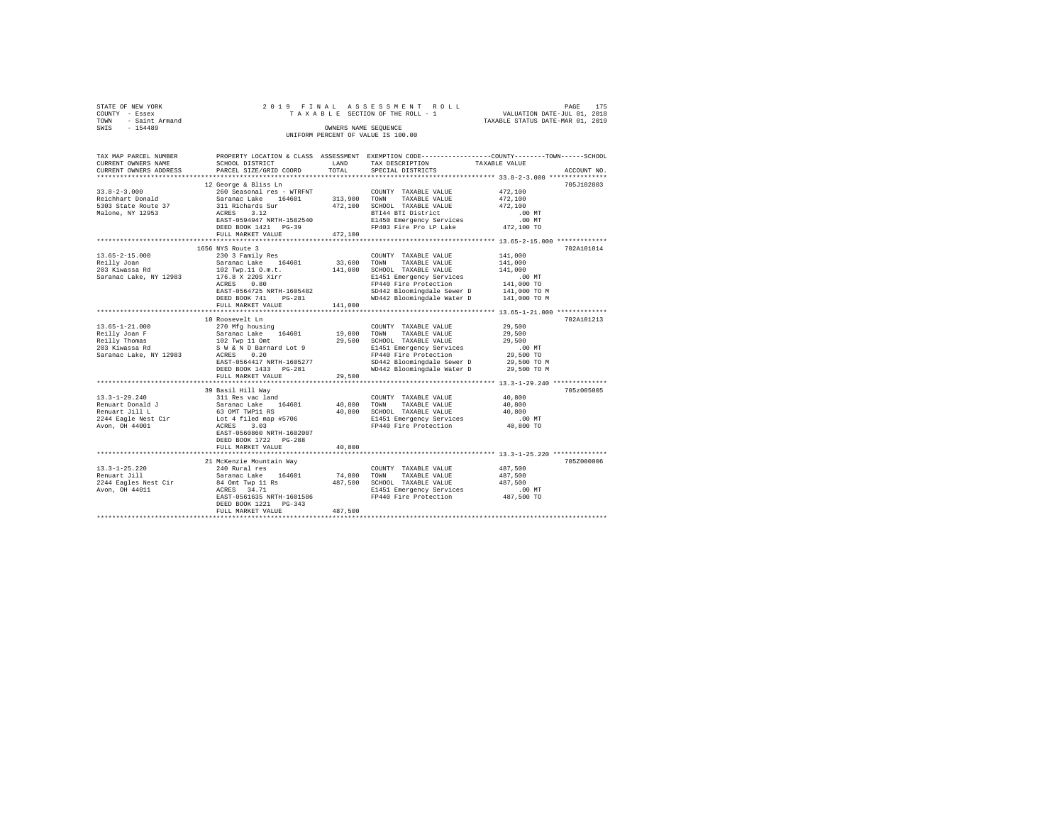| STATE OF NEW YORK   |  |  | 2019 FINAL ASSESSMENT ROLL         |                                  | PAGE | 175 |
|---------------------|--|--|------------------------------------|----------------------------------|------|-----|
| COUNTY - Essex      |  |  | TAXABLE SECTION OF THE ROLL - 1    | VALUATION DATE-JUL 01, 2018      |      |     |
| TOWN - Saint Armand |  |  |                                    | TAXABLE STATUS DATE-MAR 01, 2019 |      |     |
| SWIS<br>$-154489$   |  |  | OWNERS NAME SEOUENCE               |                                  |      |     |
|                     |  |  | UNIFORM PERCENT OF VALUE IS 100.00 |                                  |      |     |

| TAX MAP PARCEL NUMBER<br>CURRENT OWNERS NAME | SCHOOL DISTRICT                           | LAND         | PROPERTY LOCATION & CLASS ASSESSMENT EXEMPTION CODE---------------COUNTY-------TOWN------SCHOOL<br>TAX DESCRIPTION | TAXABLE VALUE        |             |
|----------------------------------------------|-------------------------------------------|--------------|--------------------------------------------------------------------------------------------------------------------|----------------------|-------------|
| CURRENT OWNERS ADDRESS                       | PARCEL SIZE/GRID COORD                    | TOTAL        | SPECIAL DISTRICTS                                                                                                  |                      | ACCOUNT NO. |
|                                              | 12 George & Bliss Ln                      |              |                                                                                                                    |                      | 705J102803  |
| $33.8 - 2 - 3.000$                           | 260 Seasonal res - WTRFNT                 |              | COUNTY TAXABLE VALUE                                                                                               | 472,100              |             |
| Reichhart Donald                             | Saranac Lake 164601                       | 313,900 TOWN | TAXABLE VALUE                                                                                                      | 472,100              |             |
| 5303 State Route 37                          | 311 Richards Sur                          |              | 472.100 SCHOOL TAXABLE VALUE                                                                                       | 472,100              |             |
| Malone, NY 12953                             | ACRES 3.12                                |              | BTI44 BTI District                                                                                                 | $.00$ MT             |             |
|                                              | EAST-0594947 NRTH-1582540                 |              | E1450 Emergency Services                                                                                           | $.00$ MT             |             |
|                                              | DEED BOOK 1421 PG-39                      |              | FP403 Fire Pro LP Lake 472,100 TO                                                                                  |                      |             |
|                                              | FULL MARKET VALUE                         | 472,100      |                                                                                                                    |                      |             |
|                                              |                                           |              |                                                                                                                    |                      |             |
|                                              | 1656 NYS Route 3                          |              |                                                                                                                    |                      | 702A101014  |
| $13.65 - 2 - 15.000$                         | 230 3 Family Res                          |              | COUNTY TAXABLE VALUE                                                                                               | 141,000              |             |
| Reilly Joan                                  |                                           | 33,600 TOWN  | TAXABLE VALUE                                                                                                      | 141,000              |             |
| 203 Kiwassa Rd                               | Saranac Lake 164601<br>102 Twp.11 0.m.t.  |              | 141,000 SCHOOL TAXABLE VALUE                                                                                       | 141,000              |             |
| Saranac Lake, NY 12983 176.8 X 220S Xirr     |                                           |              | E1451 Emergency Services                                                                                           | $.00$ MT             |             |
|                                              | ACRES 0.80                                |              | FP440 Fire Protection                                                                                              | 00 MT.<br>141,000 TO |             |
|                                              | EAST-0564725 NRTH-1605482                 |              |                                                                                                                    |                      |             |
|                                              | DEED BOOK 741<br>$PG-281$                 |              | SD442 Bloomingdale Sewer D 141,000 TO M<br>WD442 Bloomingdale Water D 141,000 TO M                                 |                      |             |
|                                              | FULL MARKET VALUE                         | 141,000      |                                                                                                                    |                      |             |
|                                              |                                           |              |                                                                                                                    |                      |             |
|                                              | 10 Roosevelt Ln                           |              |                                                                                                                    |                      | 702A101213  |
| $13.65 - 1 - 21.000$                         | 270 Mfg housing                           |              | COUNTY TAXABLE VALUE                                                                                               | 29,500               |             |
| Reilly Joan F                                | Saranac Lake 164601                       | 19,000 TOWN  | TAXABLE VALUE                                                                                                      | 29,500               |             |
| Reilly Thomas                                | 102 Twp 11 Omt<br>S W & N D Barnard Lot 9 |              | 29,500 SCHOOL TAXABLE VALUE                                                                                        | 29,500               |             |
| 203 Kiwassa Rd                               |                                           |              | E1451 Emergency Services                                                                                           | $.00$ MT             |             |
| Saranac Lake, NY 12983                       | ACRES 0.20                                |              | FP440 Fire Protection                                                                                              | 29,500 TO            |             |
|                                              | EAST-0564417 NRTH-1605277                 |              | SD442 Bloomingdale Sewer D                                                                                         | 29,500 TO M          |             |
|                                              | DEED BOOK 1433 PG-281                     |              | WD442 Bloomingdale Water D                                                                                         | 29,500 TO M          |             |
|                                              | FULL MARKET VALUE                         | 29,500       |                                                                                                                    |                      |             |
|                                              |                                           |              |                                                                                                                    |                      |             |
|                                              | 39 Basil Hill Way                         |              |                                                                                                                    |                      | 705z005005  |
| $13.3 - 1 - 29.240$                          | 311 Res vac land                          |              | COUNTY TAXABLE VALUE                                                                                               | 40,800               |             |
| Renuart Donald J<br>Renuart Jill L           | Saranac Lake 164601<br>63 OMT TWP11 RS    | 40,800       | TOWN<br>TAXABLE VALUE                                                                                              | 40,800               |             |
|                                              |                                           |              | 40,800 SCHOOL TAXABLE VALUE                                                                                        | 40,800               |             |
| 2244 Eagle Nest Cir                          | Lot 4 filed map #5706<br>ACRES 3.03       |              | E1451 Emergency Services .00 MT<br>FP440 Fire Protection .00 40,800 TO                                             |                      |             |
| Avon, OH 44001                               |                                           |              |                                                                                                                    |                      |             |
|                                              | EAST-0560860 NRTH-1602007                 |              |                                                                                                                    |                      |             |
|                                              | DEED BOOK 1722 PG-288                     |              |                                                                                                                    |                      |             |
|                                              | FULL MARKET VALUE                         | 40,800       |                                                                                                                    |                      |             |
|                                              |                                           |              | ********************************* 13.3-1-25.220 ***************                                                    |                      |             |
|                                              | 21 McKenzie Mountain Way                  |              |                                                                                                                    |                      | 705Z000006  |
| $13.3 - 1 - 25.220$                          | 240 Rural res                             |              | COUNTY TAXABLE VALUE                                                                                               | 487,500              |             |
| Renuart Jill                                 | Saranac Lake 164601                       | 74,000 TOWN  | TAXABLE VALUE                                                                                                      | 487,500              |             |
| 2244 Eagles Nest Cir                         | 84 Omt Twp 11 Rs<br>ACRES 34.71           |              | 487,500 SCHOOL TAXABLE VALUE                                                                                       | 487.500              |             |
| Avon, OH 44011                               |                                           |              | E1451 Emergency Services                                                                                           | $.00$ MT             |             |
|                                              |                                           |              | EAST-0561635 NRTH-1601586 PP440 Fire Protection                                                                    | 487,500 TO           |             |
|                                              | DEED BOOK 1221 PG-343                     |              |                                                                                                                    |                      |             |
|                                              | FULL MARKET VALUE                         | 487,500      |                                                                                                                    |                      |             |
|                                              |                                           |              |                                                                                                                    |                      |             |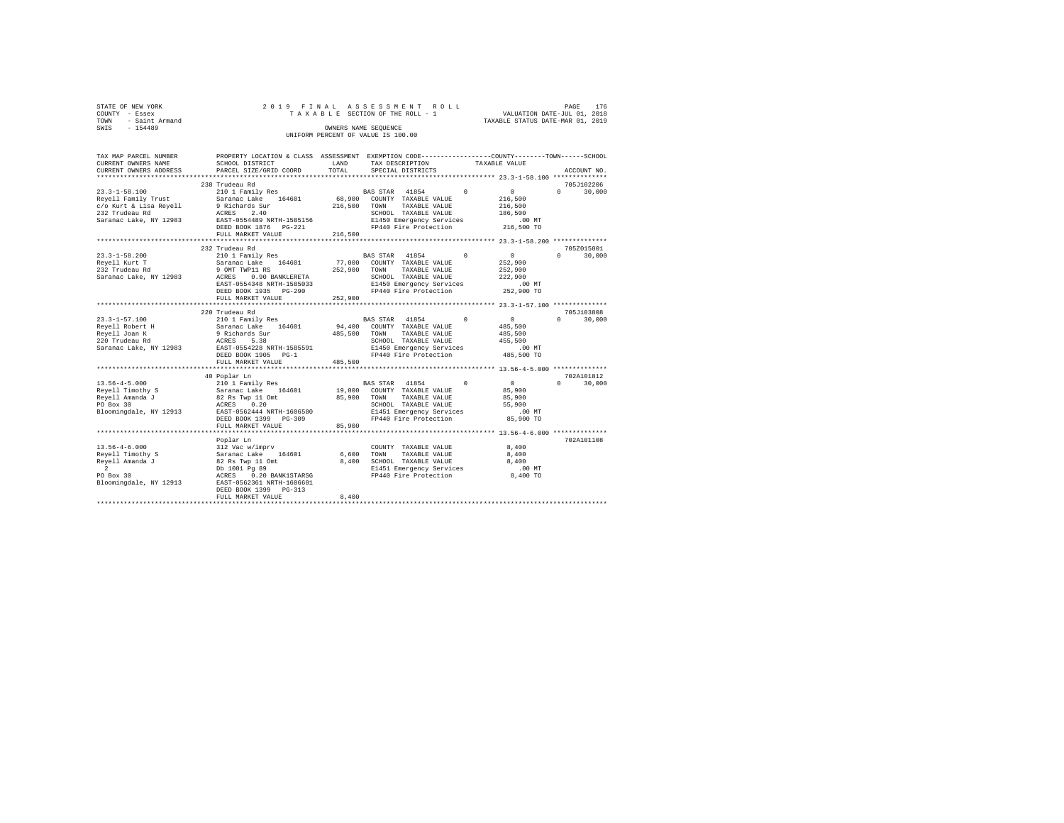| STATE OF NEW YORK |                |  | 2019 FINAL ASSESSMENT ROLL         | 176<br>PAGE                      |
|-------------------|----------------|--|------------------------------------|----------------------------------|
| COUNTY - Essex    |                |  | TAXABLE SECTION OF THE ROLL - 1    | VALUATION DATE-JUL 01, 2018      |
|                   |                |  |                                    |                                  |
| TOWN              | - Saint Armand |  |                                    | TAXABLE STATUS DATE-MAR 01, 2019 |
| SWIS              | $-154489$      |  | OWNERS NAME SEOUENCE               |                                  |
|                   |                |  | UNIFORM PERCENT OF VALUE IS 100.00 |                                  |

| TAX MAP PARCEL NUMBER<br>CURRENT OWNERS NAME<br>CURRENT OWNERS ADDRESS                                              | PROPERTY LOCATION & CLASS ASSESSMENT EXEMPTION CODE---------------COUNTY-------TOWN-----SCHOOL<br>SCHOOL DISTRICT<br>PARCEL SIZE/GRID COORD                                                      | LAND<br>TOTAL                | TAX DESCRIPTION<br>SPECIAL DISTRICTS                                                                                                                     |            | TAXABLE VALUE                                                           | ACCOUNT NO.                      |
|---------------------------------------------------------------------------------------------------------------------|--------------------------------------------------------------------------------------------------------------------------------------------------------------------------------------------------|------------------------------|----------------------------------------------------------------------------------------------------------------------------------------------------------|------------|-------------------------------------------------------------------------|----------------------------------|
|                                                                                                                     |                                                                                                                                                                                                  |                              |                                                                                                                                                          |            |                                                                         |                                  |
|                                                                                                                     | 238 Trudeau Rd                                                                                                                                                                                   |                              |                                                                                                                                                          |            |                                                                         | 705J102206                       |
| $23.3 - 1 - 58.100$<br>Reyell Family Trust<br>c/o Kurt & Lisa Reyell<br>232 Trudeau Rd<br>Saranac Lake, NY 12983    | 210 1 Family Res<br>Saranac Lake 164601<br>9 Richards Sur<br>ACRES 2.40<br>EAST-0554489 NRTH-1585156<br>DEED BOOK 1876    PG-221<br>FULL MARKET VALUE                                            | 216,500<br>216,500           | BAS STAR 41854<br>68,900 COUNTY TAXABLE VALUE<br>TOWN<br>TAXABLE VALUE<br>SCHOOL TAXABLE VALUE<br>E1450 Emergency Services<br>FP440 Fire Protection      | $^{\circ}$ | $\sim$ 0<br>216,500<br>216,500<br>186,500<br>.00 MT<br>216,500 TO       | $\Omega$<br>30,000               |
|                                                                                                                     | *********************                                                                                                                                                                            |                              |                                                                                                                                                          |            |                                                                         |                                  |
| $23.3 - 1 - 58.200$<br>Reyell Kurt T<br>232 Trudeau Rd<br>Saranac Lake, NY 12983                                    | 232 Trudeau Rd<br>210 1 Family Res<br>Saranac Lake 164601<br>9 OMT TWP11 RS<br>0.90 BANKLERETA<br>ACRES<br>EAST-0554348 NRTH-1585033<br>DEED BOOK 1935 PG-290<br>FULL MARKET VALUE               | 77,000<br>252,900<br>252,900 | BAS STAR 41854<br>COUNTY TAXABLE VALUE<br>TOWN<br>TAXABLE VALUE<br>SCHOOL TAXABLE VALUE<br>E1450 Emergency Services<br>FP440 Fire Protection             | $\Omega$   | 0<br>252,900<br>252,900<br>222,900<br>$.00$ MT<br>252,900 TO            | 705Z015001<br>$\Omega$<br>30,000 |
|                                                                                                                     | 220 Trudeau Rd                                                                                                                                                                                   |                              |                                                                                                                                                          |            |                                                                         | 705J103808                       |
| $23.3 - 1 - 57.100$<br>23.3-1-57.1<br>Reyell Robert H<br>Tran K<br>220 Trudeau Rd<br>Saranac Lake, NY 12983         | 210 1 Family Res<br>Saranac Lake 164601<br>9 Richards Sur<br>ACRES 5.38<br>EAST-0554228 NRTH-1585591<br>DEED BOOK 1905 PG-1<br>FULL MARKET VALUE                                                 | 485,500<br>485,500           | BAS STAR 41854<br>94,400 COUNTY TAXABLE VALUE<br>TOWN<br>TAXABLE VALUE<br>SCHOOL TAXABLE VALUE<br>E1450 Emergency Services<br>FP440 Fire Protection      | $\Omega$   | $\overline{0}$<br>485,500<br>485,500<br>455,500<br>.00 MT<br>485,500 TO | 30,000<br>$\Omega$               |
|                                                                                                                     |                                                                                                                                                                                                  |                              |                                                                                                                                                          |            |                                                                         |                                  |
| $13.56 - 4 - 5.000$<br>Reyell Timothy S<br>Reyell Amanda J<br>PO Box 30<br>Bloomingdale, NY 12913                   | 40 Poplar Ln<br>210 1 Family Res<br>Saranac Lake 164601<br>82 Rs Twp 11 Omt<br>ACRES<br>0.20<br>EAST-0562444 NRTH-1606580<br>DEED BOOK 1399 PG-309<br>FULL MARKET VALUE                          | 19,000<br>85,900<br>85,900   | $\sim$ 0<br>BAS STAR 41854<br>COUNTY TAXABLE VALUE<br>TOWN<br>TAXABLE VALUE<br>SCHOOL TAXABLE VALUE<br>E1451 Emergency Services<br>FP440 Fire Protection |            | 0<br>85,900<br>85,900<br>55,900<br>$.00$ MT<br>85,900 TO                | 702A101812<br>$\cap$<br>30,000   |
|                                                                                                                     |                                                                                                                                                                                                  |                              |                                                                                                                                                          |            | ************* 13.56-4-6.000 ************                                |                                  |
| $13.56 - 4 - 6.000$<br>Reyell Timothy S<br>Revell Amanda J<br>$\overline{2}$<br>PO Box 30<br>Bloomingdale, NY 12913 | Poplar Ln<br>312 Vac w/imprv<br>Saranac Lake 164601<br>82 Rs Twp 11 Omt<br>Db 1001 Pg 89<br>0.20 BANK1STARSG<br>ACRES<br>EAST-0562361 NRTH-1606601<br>DEED BOOK 1399 PG-313<br>FULL MARKET VALUE | 6,600<br>8,400<br>8,400      | COUNTY TAXABLE VALUE<br>TOWN<br>TAXABLE VALUE<br>SCHOOL TAXABLE VALUE<br>E1451 Emergency Services<br>FP440 Fire Protection 8,400 TO                      |            | 8,400<br>8,400<br>8,400<br>$.00$ MT                                     | 702A101108                       |
|                                                                                                                     |                                                                                                                                                                                                  |                              |                                                                                                                                                          |            |                                                                         |                                  |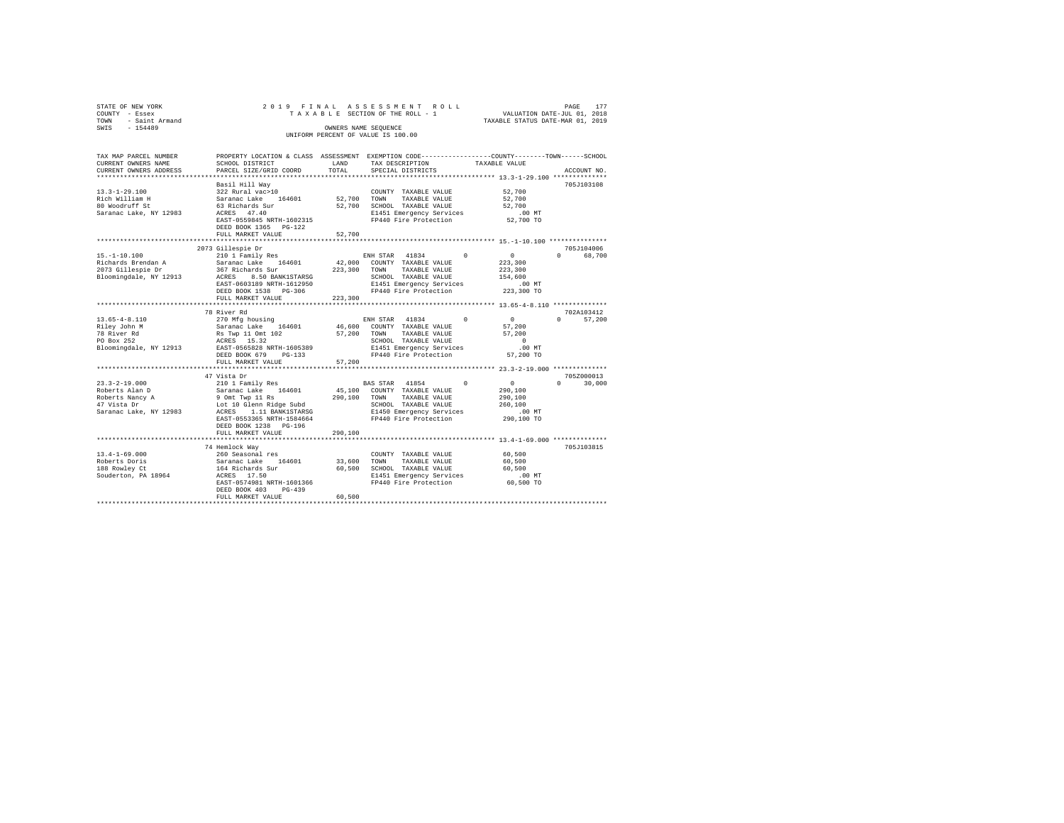| STATE OF NEW YORK                        | 2019 FINAL                                 |                   | ASSESSMENT ROLL                                                                                |                                                                 | PAGE<br>177            |
|------------------------------------------|--------------------------------------------|-------------------|------------------------------------------------------------------------------------------------|-----------------------------------------------------------------|------------------------|
| COUNTY - Essex<br>TOWN<br>- Saint Armand |                                            |                   | TAXABLE SECTION OF THE ROLL - 1                                                                | VALUATION DATE-JUL 01, 2018<br>TAXABLE STATUS DATE-MAR 01, 2019 |                        |
| SWIS<br>$-154489$                        |                                            |                   | OWNERS NAME SEQUENCE                                                                           |                                                                 |                        |
|                                          |                                            |                   | UNIFORM PERCENT OF VALUE IS 100.00                                                             |                                                                 |                        |
|                                          |                                            |                   |                                                                                                |                                                                 |                        |
|                                          |                                            |                   |                                                                                                |                                                                 |                        |
| TAX MAP PARCEL NUMBER                    |                                            |                   | PROPERTY LOCATION & CLASS ASSESSMENT EXEMPTION CODE---------------COUNTY-------TOWN-----SCHOOL |                                                                 |                        |
| CURRENT OWNERS NAME                      | SCHOOL DISTRICT                            | LAND              | TAX DESCRIPTION                                                                                | TAXABLE VALUE                                                   |                        |
| CURRENT OWNERS ADDRESS                   | PARCEL SIZE/GRID COORD                     | TOTAL             | SPECIAL DISTRICTS                                                                              |                                                                 | ACCOUNT NO.            |
|                                          |                                            |                   |                                                                                                |                                                                 |                        |
|                                          | Basil Hill Way                             |                   |                                                                                                |                                                                 | 705J103108             |
| $13.3 - 1 - 29.100$                      | 322 Rural vac>10                           | 52,700            | COUNTY TAXABLE VALUE                                                                           | 52,700                                                          |                        |
| Rich William H<br>80 Woodruff St         | Saranac Lake 164601<br>63 Richards Sur     | 52,700            | TOWN<br>TAXABLE VALUE                                                                          | 52,700<br>52,700                                                |                        |
| Saranac Lake, NY 12983                   | ACRES 47.40                                |                   | SCHOOL TAXABLE VALUE<br>E1451 Emergency Services                                               | $.00$ MT                                                        |                        |
|                                          | EAST-0559845 NRTH-1602315                  |                   | FP440 Fire Protection                                                                          | 52,700 TO                                                       |                        |
|                                          | DEED BOOK 1365 PG-122                      |                   |                                                                                                |                                                                 |                        |
|                                          | FULL MARKET VALUE                          | 52,700            |                                                                                                |                                                                 |                        |
|                                          | *********************                      |                   |                                                                                                |                                                                 |                        |
|                                          | 2073 Gillespie Dr                          |                   |                                                                                                |                                                                 | 705J104006             |
| $15. - 1 - 10.100$                       | 210 1 Family Res                           |                   | ENH STAR<br>41834                                                                              | $\circ$<br>$^{\circ}$                                           | $\Omega$<br>68,700     |
| Richards Brendan A                       | Saranac Lake 164601                        | 42,000            | COUNTY TAXABLE VALUE                                                                           | 223,300                                                         |                        |
| 2073 Gillespie Dr                        | 367 Richards Sur                           | 223,300           | TAXABLE VALUE<br>TOWN                                                                          | 223,300                                                         |                        |
| Bloomingdale, NY 12913                   | ACRES<br>8.50 BANK1STARSG                  |                   | SCHOOL TAXABLE VALUE                                                                           | 154,600                                                         |                        |
|                                          | EAST-0603189 NRTH-1612950                  |                   | E1451 Emergency Services                                                                       | $.00$ MT                                                        |                        |
|                                          | DEED BOOK 1538 PG-306                      |                   | FP440 Fire Protection                                                                          | 223,300 TO                                                      |                        |
|                                          | FULL MARKET VALUE                          | 223,300           |                                                                                                |                                                                 |                        |
|                                          | ******************************             |                   |                                                                                                |                                                                 |                        |
|                                          | 78 River Rd                                |                   |                                                                                                | $\Omega$<br>$\Omega$                                            | 702A103412<br>$\Omega$ |
| $13.65 - 4 - 8.110$<br>Riley John M      | 270 Mfg housing<br>Saranac Lake 164601     | 46,600            | ENH STAR<br>41834<br>COUNTY TAXABLE VALUE                                                      | 57,200                                                          | 57,200                 |
| 78 River Rd                              | Rs Twp 11 Omt 102                          | 57,200            | TOWN<br>TAXABLE VALUE                                                                          | 57,200                                                          |                        |
| PO Box 252                               | ACRES 15.32                                |                   | SCHOOL TAXABLE VALUE                                                                           | $\Omega$                                                        |                        |
| Bloomingdale, NY 12913                   | EAST-0565828 NRTH-1605389                  |                   | E1451 Emergency Services                                                                       | $.00$ MT                                                        |                        |
|                                          | DEED BOOK 679 PG-133                       |                   | FP440 Fire Protection                                                                          | 57,200 TO                                                       |                        |
|                                          | FULL MARKET VALUE                          | 57,200            |                                                                                                |                                                                 |                        |
|                                          | ******************                         | ***************** |                                                                                                | ***************** 23.3-2-19.000 **************                  |                        |
|                                          | 47 Vista Dr                                |                   |                                                                                                |                                                                 | 705Z000013             |
| $23.3 - 2 - 19.000$                      | 210 1 Family Res                           |                   | BAS STAR 41854                                                                                 | $\circ$<br>$\Omega$                                             | $\Omega$<br>30,000     |
| Roberts Alan D                           | Saranac Lake 164601                        | 45,100            | COUNTY TAXABLE VALUE                                                                           | 290,100                                                         |                        |
| Roberts Nancy A                          | 9 Omt Twp 11 Rs                            | 290,100           | TOWN<br>TAXABLE VALUE                                                                          | 290,100                                                         |                        |
| 47 Vista Dr                              | Lot 10 Glenn Ridge Subd                    |                   | SCHOOL TAXABLE VALUE                                                                           | 260,100                                                         |                        |
| Saranac Lake, NY 12983                   | ACRES<br>1.11 BANK1STARSG                  |                   | E1450 Emergency Services                                                                       | $.00$ MT                                                        |                        |
|                                          | EAST-0553365 NRTH-1584664                  |                   | FP440 Fire Protection                                                                          | 290,100 TO                                                      |                        |
|                                          | DEED BOOK 1238 PG-196<br>FULL MARKET VALUE | 290,100           |                                                                                                |                                                                 |                        |
|                                          |                                            |                   |                                                                                                |                                                                 |                        |
|                                          | 74 Hemlock Way                             |                   |                                                                                                |                                                                 | 705J103815             |
| $13.4 - 1 - 69.000$                      | 260 Seasonal res                           |                   | COUNTY TAXABLE VALUE                                                                           | 60,500                                                          |                        |
| Roberts Doris                            | Saranac Lake 164601                        | 33,600            | TOWN<br>TAXABLE VALUE                                                                          | 60,500                                                          |                        |
| 188 Rowley Ct                            | 164 Richards Sur                           | 60,500            | SCHOOL TAXABLE VALUE                                                                           | 60,500                                                          |                        |
| Souderton, PA 18964                      | ACRES 17.50                                |                   | E1451 Emergency Services                                                                       | $.00$ MT                                                        |                        |
|                                          | EAST-0574981 NRTH-1601366                  |                   | FP440 Fire Protection                                                                          | 60,500 TO                                                       |                        |
|                                          | DEED BOOK 403 PG-439                       |                   |                                                                                                |                                                                 |                        |
|                                          | FULL MARKET VALUE                          | 60,500            |                                                                                                |                                                                 |                        |
|                                          |                                            |                   |                                                                                                |                                                                 |                        |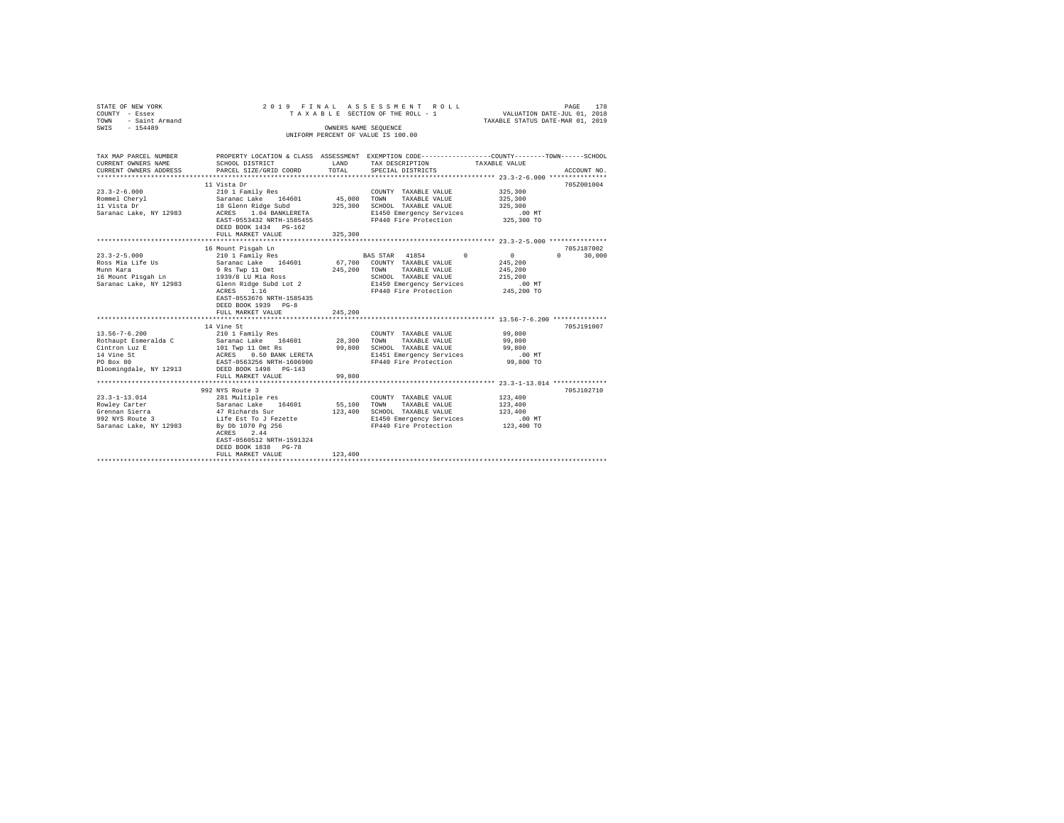| STATE OF NEW YORK<br>COUNTY - Essex<br>- Saint Armand<br>TOWN<br>SWIS - 154489                                    | 2019 FINAL                                                                                                                                                                                                                                                                                                         |                         | ASSESSMENT ROLL<br>TAXABLE SECTION OF THE ROLL - 1 VALUATION DATE-JUL 01, 2018<br>OWNERS NAME SEQUENCE<br>UNIFORM PERCENT OF VALUE IS 100.00 | TAXABLE STATUS DATE-MAR 01, 2019                        | PAGE<br>178                 |
|-------------------------------------------------------------------------------------------------------------------|--------------------------------------------------------------------------------------------------------------------------------------------------------------------------------------------------------------------------------------------------------------------------------------------------------------------|-------------------------|----------------------------------------------------------------------------------------------------------------------------------------------|---------------------------------------------------------|-----------------------------|
| TAX MAP PARCEL NUMBER<br>CURRENT OWNERS NAME<br>CURRENT OWNERS ADDRESS                                            | PROPERTY LOCATION & CLASS ASSESSMENT EXEMPTION CODE----------------COUNTY-------TOWN-----SCHOOL<br>SCHOOL DISTRICT<br>PARCEL SIZE/GRID COORD                                                                                                                                                                       | LAND<br>TOTAL           | TAX DESCRIPTION TAXABLE VALUE<br>SPECIAL DISTRICTS                                                                                           |                                                         | ACCOUNT NO.                 |
| $23.3 - 2 - 6.000$<br>Rommel Chervl<br>11 Vista Dr<br>Saranac Lake, NY 12983                                      | 11 Vista Dr<br>210 1 Family Res<br>Saranac Lake 164601 45,000<br>18 Glenn Ridge Subd 325,300<br>ACRES 1.04 BANKLERETA<br>EAST-0553432 NRTH-1585455<br>DEED BOOK 1434 PG-162                                                                                                                                        |                         | COUNTY TAXABLE VALUE<br>TOWN<br>TAXABLE VALUE 325,300<br>SCHOOL TAXABLE VALUE<br>E1450 Emergency Services<br>FP440 Fire Protection           | 325,300<br>325,300<br>.00 MT<br>325,300 TO              | 705Z001004                  |
| $23.3 - 2 - 5.000$<br>Ross Mia Life Us<br>Munn Kara<br>Saranac Lake, NY 12983                                     | 16 Mount Pisgah Ln<br>nount Fisyan Bn<br>210 1 Family Res<br>Saranac Lake 164601 67,700 COUNTY TAXABLE VALUE<br>9 Rs Twp 11 Omt<br>16 Mount Pisqah Ln 1939/8 LU Mia Ross<br>Glenn Ridge Subd Lot 2 E1450 Emergency Services<br>ACRES 1.16<br>EAST-0553676 NRTH-1585435<br>DEED BOOK 1939 PG-8<br>FULL MARKET VALUE | 245,200 TOWN<br>245,200 | BAS STAR 41854 0<br>TAXABLE VALUE<br>SCHOOL TAXABLE VALUE<br>FP440 Fire Protection 245,200 TO                                                | $\mathbf{0}$<br>245,200<br>245,200<br>215,200<br>.00 MT | 705-187002<br>$0 \t 30,000$ |
| $13.56 - 7 - 6.200$<br>Rothaupt Esmeralda C<br>Cintron Luz E<br>14 Vine St<br>PO Box 80<br>Bloomingdale, NY 12913 | 14 Vine St<br>ACRES 0.50 BANK LERETA<br>EAST-0563256 NRTH-1606900<br>DEED BOOK 1498 PG-143<br>FULL MARKET VALUE                                                                                                                                                                                                    | 99,800                  | COUNTY TAXABLE VALUE<br>TOWN<br>TAXABLE VALUE<br>SCHOOL TAXABLE VALUE<br>E1451 Emergency Services .00 MT<br>FP440 Fire Protection 99,800 TO  | 99,800<br>99,800<br>99,800                              | 705.T191007                 |
|                                                                                                                   | 992 NYS Route 3                                                                                                                                                                                                                                                                                                    |                         |                                                                                                                                              |                                                         | 705J102710                  |

| ru bux su<br>Bloomingdale, NY 12913 | BASI-USOSZSO NRIA-IOUOSUU<br>DEED BOOK 1498 PG-143 |         | PRESU PILE PLOLECLION    | <b>22.000 IU</b> |            |
|-------------------------------------|----------------------------------------------------|---------|--------------------------|------------------|------------|
|                                     | FULL MARKET VALUE                                  | 99,800  |                          |                  |            |
|                                     |                                                    |         |                          |                  |            |
|                                     | 992 NYS Route 3                                    |         |                          |                  | 705J102710 |
| 23.3-1-13.014                       | 281 Multiple res                                   |         | TAXABLE VALUE<br>COUNTY  | 123,400          |            |
| Rowlev Carter                       | Saranac Lake 164601                                | 55,100  | TOWN<br>TAXABLE VALUE    | 123,400          |            |
| Grennan Sierra                      | 47 Richards Sur                                    | 123,400 | SCHOOL TAXABLE VALUE     | 123,400          |            |
| 992 NYS Route 3                     | Life Est To J Fezette                              |         | E1450 Emergency Services | $.00$ MT         |            |
| Saranac Lake, NY 12983              | By Db 1070 Pg 256                                  |         | FP440 Fire Protection    | 123,400 TO       |            |
|                                     | ACRES 2.44                                         |         |                          |                  |            |
|                                     | EAST-0560512 NRTH-1591324                          |         |                          |                  |            |
|                                     | DEED BOOK 1838 PG-78                               |         |                          |                  |            |
|                                     | FULL MARKET VALUE                                  | 123,400 |                          |                  |            |
|                                     |                                                    |         |                          |                  |            |
|                                     |                                                    |         |                          |                  |            |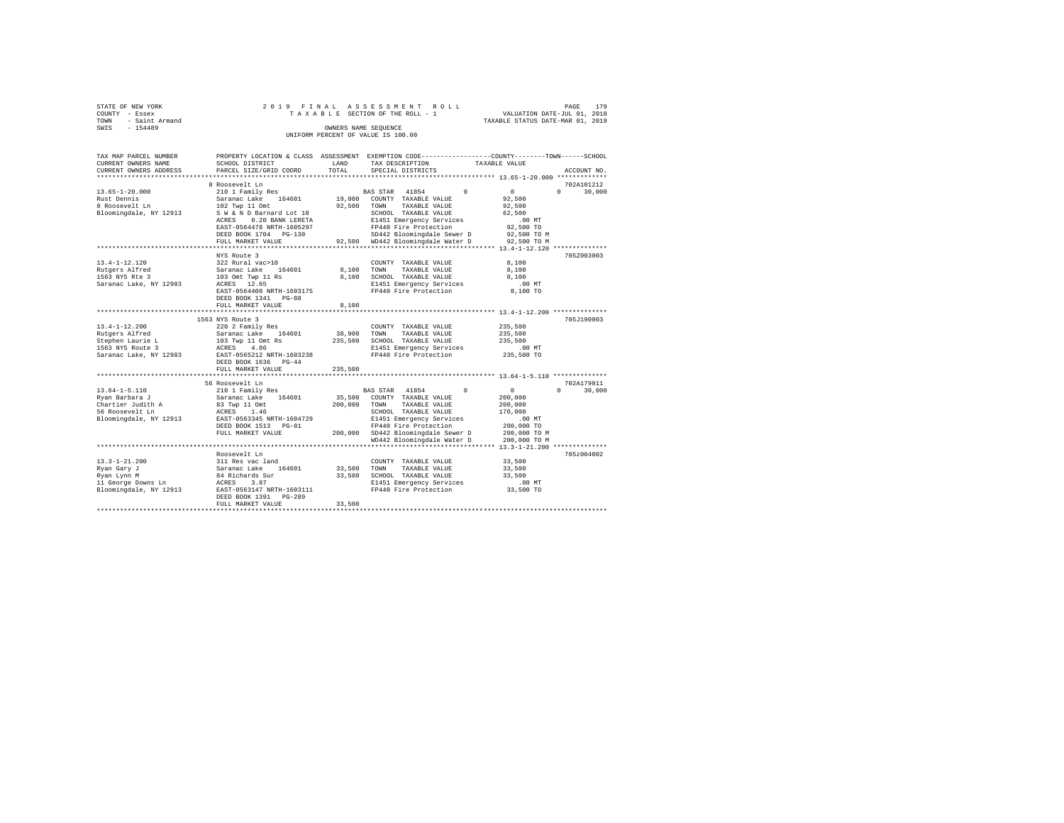| STATE OF NEW YORK   |  | 2019 FINAL ASSESSMENT ROLL         | PAGE                             | 179 |
|---------------------|--|------------------------------------|----------------------------------|-----|
| COUNTY - Essex      |  | TAXABLE SECTION OF THE ROLL - 1    | VALUATION DATE-JUL 01, 2018      |     |
| TOWN - Saint Armand |  |                                    | TAXABLE STATUS DATE-MAR 01, 2019 |     |
| SWIS<br>$-154489$   |  | OWNERS NAME SEOUENCE               |                                  |     |
|                     |  | UNIFORM PERCENT OF VALUE IS 100.00 |                                  |     |

| TAX MAP PARCEL NUMBER<br>CURRENT OWNERS NAME                                                            | PROPERTY LOCATION & CLASS ASSESSMENT EXEMPTION CODE---------------COUNTY-------TOWN-----SCHOOL<br>SCHOOL DISTRICT                                                                   | LAND                         | TAX DESCRIPTION                                                                                                                                                                                             | TAXABLE VALUE                                                                                               |                                  |
|---------------------------------------------------------------------------------------------------------|-------------------------------------------------------------------------------------------------------------------------------------------------------------------------------------|------------------------------|-------------------------------------------------------------------------------------------------------------------------------------------------------------------------------------------------------------|-------------------------------------------------------------------------------------------------------------|----------------------------------|
| CURRENT OWNERS ADDRESS<br>*******************                                                           | PARCEL SIZE/GRID COORD<br>*************************                                                                                                                                 | TOTAL                        | SPECIAL DISTRICTS                                                                                                                                                                                           |                                                                                                             | ACCOUNT NO.                      |
|                                                                                                         | 8 Roosevelt Ln                                                                                                                                                                      |                              |                                                                                                                                                                                                             |                                                                                                             | 702A101212                       |
| $13.65 - 1 - 20.000$<br>Rust Dennis<br>8 Roosevelt Ln<br>Bloomingdale, NY 12913                         | 210 1 Family Res<br>164601<br>Saranac Lake<br>102 Twp 11 Omt<br>S W & N D Barnard Lot 10<br>ACRES<br>0.20 BANK LERETA<br>EAST-0564478 NRTH-1605297<br>DEED BOOK 1704 PG-130         | 19,000<br>92,500             | 41854<br>BAS STAR<br>COUNTY TAXABLE VALUE<br>TOWN<br>TAXABLE VALUE<br>SCHOOL TAXABLE VALUE<br>E1451 Emergency Services<br>FP440 Fire Protection<br>SD442 Bloomingdale Sewer D                               | $\Omega$<br>$\mathbf{0}$<br>92,500<br>92,500<br>62,500<br>$.00$ MT<br>92,500 TO<br>92,500 TO M              | $\Omega$<br>30,000               |
|                                                                                                         | FULL MARKET VALUE                                                                                                                                                                   |                              | 92,500 WD442 Bloomingdale Water D<br>************************************** 13.4-1-12.120 **************                                                                                                    | 92,500 TO M                                                                                                 |                                  |
| $13.4 - 1 - 12.120$<br>Rutgers Alfred<br>1563 NYS Rte 3<br>Saranac Lake, NY 12983                       | NYS Route 3<br>322 Rural vac>10<br>164601<br>Saranac Lake<br>103 Omt Twp 11 Rs<br>12.65<br>ACRES<br>EAST-0564408 NRTH-1603175<br>DEED BOOK 1341<br>$PG-88$<br>FULL MARKET VALUE     | 8,100<br>8,100<br>8,100      | COUNTY TAXABLE VALUE<br>TAXABLE VALUE<br>TOWN<br>SCHOOL TAXABLE VALUE<br>E1451 Emergency Services<br>FP440 Fire Protection                                                                                  | 8,100<br>8,100<br>8,100<br>$.00$ MT<br>8,100 TO                                                             | 705Z003003                       |
|                                                                                                         |                                                                                                                                                                                     |                              |                                                                                                                                                                                                             | **************** 13.4-1-12.200 **************                                                               |                                  |
| $13.4 - 1 - 12.200$<br>Rutgers Alfred<br>Stephen Laurie L<br>1563 NYS Route 3<br>Saranac Lake, NY 12983 | 1563 NYS Route 3<br>220 2 Family Res<br>Saranac Lake<br>164601<br>103 Twp 11 Omt Rs<br>4.86<br>ACRES<br>EAST-0565212 NRTH-1603238<br>DEED BOOK 1636<br>$PG-44$<br>FULL MARKET VALUE | 38,900<br>235,500<br>235,500 | COUNTY TAXABLE VALUE<br>TOWN<br>TAXABLE VALUE<br>SCHOOL TAXABLE VALUE<br>E1451 Emergency Services<br>FP440 Fire Protection                                                                                  | 235,500<br>235,500<br>235,500<br>$.00$ MT<br>235,500 TO                                                     | 705J190003                       |
|                                                                                                         | *********************                                                                                                                                                               |                              | ********************************** 13.64-1-5.110 ***************                                                                                                                                            |                                                                                                             |                                  |
| $13.64 - 1 - 5.110$<br>Ryan Barbara J<br>Chartier Judith A<br>56 Roosevelt Ln<br>Bloomingdale, NY 12913 | 56 Roosevelt Ln<br>210 1 Family Res<br>Saranac Lake<br>164601<br>83 Twp 11 Omt<br>ACRES<br>1.46<br>EAST-0563345 NRTH-1604729<br>DEED BOOK 1513<br>$PG-81$<br>FULL MARKET VALUE      | 35,500<br>200,000<br>200,000 | BAS STAR<br>41854<br>COUNTY TAXABLE VALUE<br>TOWN<br>TAXABLE VALUE<br>SCHOOL TAXABLE VALUE<br>E1451 Emergency Services<br>FP440 Fire Protection<br>SD442 Bloomingdale Sewer D<br>WD442 Bloomingdale Water D | $\circ$<br>$\Omega$<br>200,000<br>200,000<br>170,000<br>.00MT<br>200,000 TO<br>200,000 TO M<br>200,000 TO M | 702A179011<br>$\Omega$<br>30,000 |
|                                                                                                         |                                                                                                                                                                                     |                              |                                                                                                                                                                                                             |                                                                                                             |                                  |
| $13.3 - 1 - 21.200$<br>Ryan Gary J<br>Ryan Lynn M<br>11 George Downs Ln<br>Bloomingdale, NY 12913       | Roosevelt Ln<br>311 Res vac land<br>164601<br>Saranac Lake<br>84 Richards Sur<br>ACRES<br>3.87<br>EAST-0563147 NRTH-1603111<br>DEED BOOK 1391<br>$PG-289$<br>FULL MARKET VALUE      | 33,500<br>33,500<br>33,500   | COUNTY TAXABLE VALUE<br>TOWN<br>TAXABLE VALUE<br>SCHOOL TAXABLE VALUE<br>E1451 Emergency Services<br>FP440 Fire Protection                                                                                  | 33,500<br>33,500<br>33,500<br>$.00$ MT<br>33,500 TO                                                         | 705z004002                       |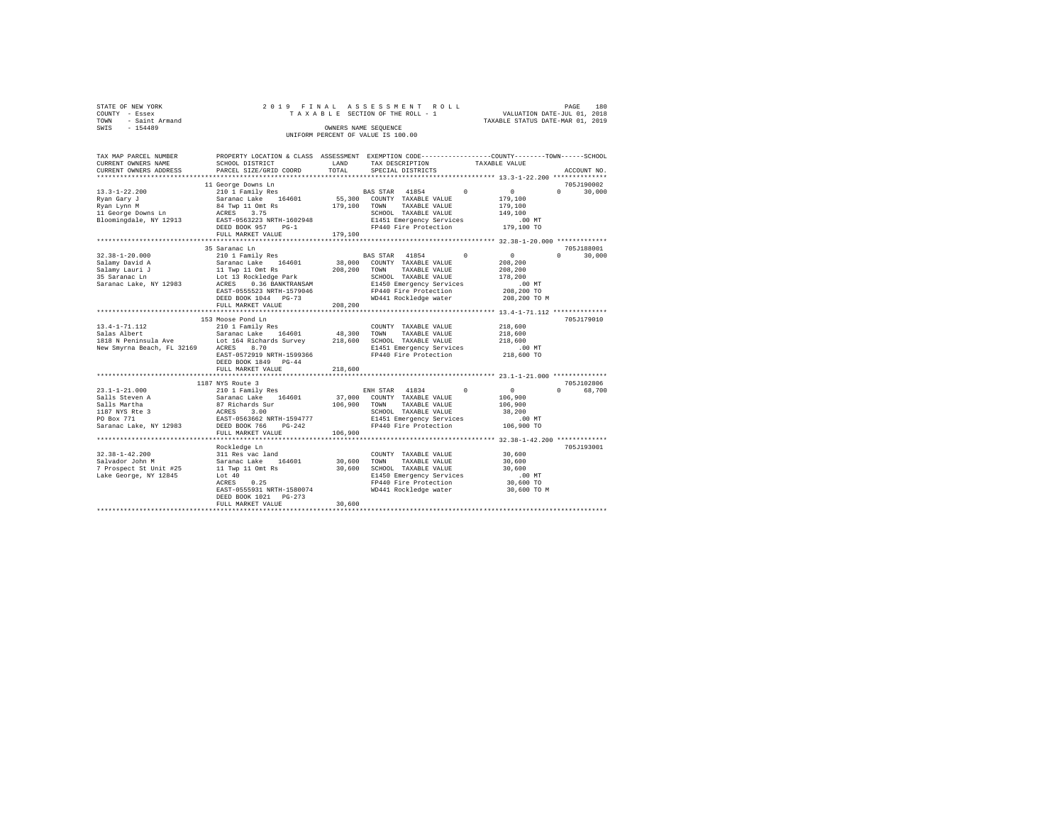|                                    | STATE OF NEW YORK<br>COUNTY - Essex |  |  | 2019 FINAL ASSESSMENT ROLL<br>TAXABLE SECTION OF THE ROLL - 1 |  |                                  | PAGE<br>VALUATION DATE-JUL 01, 2018 | 180 |
|------------------------------------|-------------------------------------|--|--|---------------------------------------------------------------|--|----------------------------------|-------------------------------------|-----|
| TOWN<br>SWIS                       | - Saint Armand<br>$-154489$         |  |  | OWNERS NAME SEOUENCE                                          |  | TAXABLE STATUS DATE-MAR 01, 2019 |                                     |     |
| UNIFORM PERCENT OF VALUE IS 100.00 |                                     |  |  |                                                               |  |                                  |                                     |     |

| TAX MAP PARCEL NUMBER<br>CURRENT OWNERS NAME    | PROPERTY LOCATION & CLASS ASSESSMENT EXEMPTION CODE---------------COUNTY-------TOWN-----SCHOOL<br>SCHOOL DISTRICT | LAND    | TAX DESCRIPTION                                                  |          | TAXABLE VALUE           |                        |
|-------------------------------------------------|-------------------------------------------------------------------------------------------------------------------|---------|------------------------------------------------------------------|----------|-------------------------|------------------------|
| CURRENT OWNERS ADDRESS<br>********************* | PARCEL SIZE/GRID COORD<br>**************************                                                              | TOTAL   | SPECIAL DISTRICTS                                                |          |                         | ACCOUNT NO.            |
|                                                 |                                                                                                                   |         |                                                                  |          |                         |                        |
|                                                 | 11 George Downs Ln                                                                                                |         |                                                                  | $\Omega$ |                         | 705J190002<br>$\Omega$ |
| $13.3 - 1 - 22.200$                             | 210 1 Family Res                                                                                                  | 55,300  | BAS STAR 41854<br>COUNTY TAXABLE VALUE                           |          | $\mathbf{0}$<br>179,100 | 30,000                 |
| Ryan Gary J                                     | Saranac Lake 164601                                                                                               |         | TOWN<br>TAXABLE VALUE                                            |          |                         |                        |
| Ryan Lynn M<br>11 George Downs Ln               | 84 Twp 11 Omt Rs<br>ACRES<br>3.75                                                                                 | 179,100 | SCHOOL TAXABLE VALUE                                             |          | 179,100<br>149,100      |                        |
| Bloomingdale, NY 12913                          | EAST-0563223 NRTH-1602948                                                                                         |         | E1451 Emergency Services                                         |          | .00 MT                  |                        |
|                                                 | DEED BOOK 957<br>$PG-1$                                                                                           |         | FP440 Fire Protection                                            |          | 179,100 TO              |                        |
|                                                 | FULL MARKET VALUE                                                                                                 | 179,100 |                                                                  |          |                         |                        |
|                                                 | ********************                                                                                              |         |                                                                  |          |                         |                        |
|                                                 | 35 Saranac Ln                                                                                                     |         |                                                                  |          |                         | 705J188001             |
| $32.38 - 1 - 20.000$                            | 210 1 Family Res                                                                                                  |         | BAS STAR 41854                                                   | $\Omega$ | $\circ$                 | $\Omega$<br>30,000     |
| Salamy David A                                  | 164601<br>Saranac Lake                                                                                            | 38,000  | COUNTY TAXABLE VALUE                                             |          | 208,200                 |                        |
| Salamy Lauri J                                  | 11 Twp 11 Omt Rs                                                                                                  | 208,200 | TAXABLE VALUE<br>TOWN                                            |          | 208,200                 |                        |
| 35 Saranac Ln                                   | Lot 13 Rockledge Park                                                                                             |         | SCHOOL TAXABLE VALUE                                             |          | 178,200                 |                        |
| Saranac Lake, NY 12983                          | 0.36 BANKTRANSAM<br>ACRES                                                                                         |         | E1450 Emergency Services                                         |          | .00MT                   |                        |
|                                                 | EAST-0555523 NRTH-1579046                                                                                         |         | FP440 Fire Protection                                            |          | 208,200 TO              |                        |
|                                                 | DEED BOOK 1044 PG-73                                                                                              |         | WD441 Rockledge water                                            |          | 208,200 TO M            |                        |
|                                                 | FULL MARKET VALUE                                                                                                 | 208,200 |                                                                  |          |                         |                        |
|                                                 | **********************                                                                                            |         | ************************ 13.4-1-71.112 **************            |          |                         |                        |
|                                                 | 153 Moose Pond Ln                                                                                                 |         |                                                                  |          |                         | 705J179010             |
| $13.4 - 1 - 71.112$                             | 210 1 Family Res                                                                                                  |         | COUNTY TAXABLE VALUE                                             |          | 218,600                 |                        |
| Salas Albert                                    | Saranac Lake<br>164601                                                                                            | 48,300  | TOWN<br>TAXABLE VALUE                                            |          | 218,600                 |                        |
| 1818 N Peninsula Ave                            | Lot 164 Richards Survey                                                                                           | 218,600 | SCHOOL TAXABLE VALUE                                             |          | 218,600                 |                        |
| New Smyrna Beach, FL 32169                      | 8.70<br>ACRES                                                                                                     |         | E1451 Emergency Services                                         |          | .00 MT                  |                        |
|                                                 | EAST-0572919 NRTH-1599366                                                                                         |         | FP440 Fire Protection                                            |          | 218,600 TO              |                        |
|                                                 | DEED BOOK 1849<br>$PG-44$                                                                                         |         |                                                                  |          |                         |                        |
|                                                 | FULL MARKET VALUE                                                                                                 | 218,600 |                                                                  |          |                         |                        |
|                                                 | **********************                                                                                            |         | ***************************** 23.1-1-21.000 **************       |          |                         |                        |
|                                                 | 1187 NYS Route 3                                                                                                  |         | 41834                                                            | $\Omega$ | $\circ$                 | 705J102806<br>$\Omega$ |
| $23.1 - 1 - 21.000$<br>Salls Steven A           | 210 1 Family Res<br>Saranac Lake<br>164601                                                                        | 37,000  | ENH STAR<br>COUNTY TAXABLE VALUE                                 |          | 106,900                 | 68,700                 |
| Salls Martha                                    | 87 Richards Sur                                                                                                   | 106,900 | TOWN<br>TAXABLE VALUE                                            |          | 106,900                 |                        |
| 1187 NYS Rte 3                                  | ACRES<br>3.00                                                                                                     |         | SCHOOL TAXABLE VALUE                                             |          | 38,200                  |                        |
| PO Box 771                                      | EAST-0563662 NRTH-1594777                                                                                         |         | E1451 Emergency Services                                         |          | .00 MT                  |                        |
| Saranac Lake, NY 12983                          | DEED BOOK 766<br>$PG-242$                                                                                         |         | FP440 Fire Protection                                            |          | 106,900 TO              |                        |
|                                                 | FULL MARKET VALUE                                                                                                 | 106,900 |                                                                  |          |                         |                        |
|                                                 | ***********************                                                                                           |         | *********************************** 32.38-1-42.200 ************* |          |                         |                        |
|                                                 | Rockledge Ln                                                                                                      |         |                                                                  |          |                         | 705J193001             |
| $32.38 - 1 - 42.200$                            | 311 Res vac land                                                                                                  |         | COUNTY TAXABLE VALUE                                             |          | 30,600                  |                        |
| Salvador John M                                 | 164601<br>Saranac Lake                                                                                            | 30,600  | TOWN<br>TAXABLE VALUE                                            |          | 30,600                  |                        |
| 7 Prospect St Unit #25                          | 11 Twp 11 Omt Rs                                                                                                  | 30,600  | SCHOOL TAXABLE VALUE                                             |          | 30,600                  |                        |
| Lake George, NY 12845                           | Lot 40                                                                                                            |         | E1450 Emergency Services                                         |          | $.00$ MT                |                        |
|                                                 | ACRES<br>0.25                                                                                                     |         | FP440 Fire Protection                                            |          | 30,600 TO               |                        |
|                                                 | EAST-0555931 NRTH-1580074                                                                                         |         | WD441 Rockledge water                                            |          | 30,600 TO M             |                        |
|                                                 | DEED BOOK 1021<br>$PG-273$                                                                                        |         |                                                                  |          |                         |                        |
|                                                 | FULL MARKET VALUE                                                                                                 | 30,600  |                                                                  |          |                         |                        |
|                                                 |                                                                                                                   |         |                                                                  |          |                         |                        |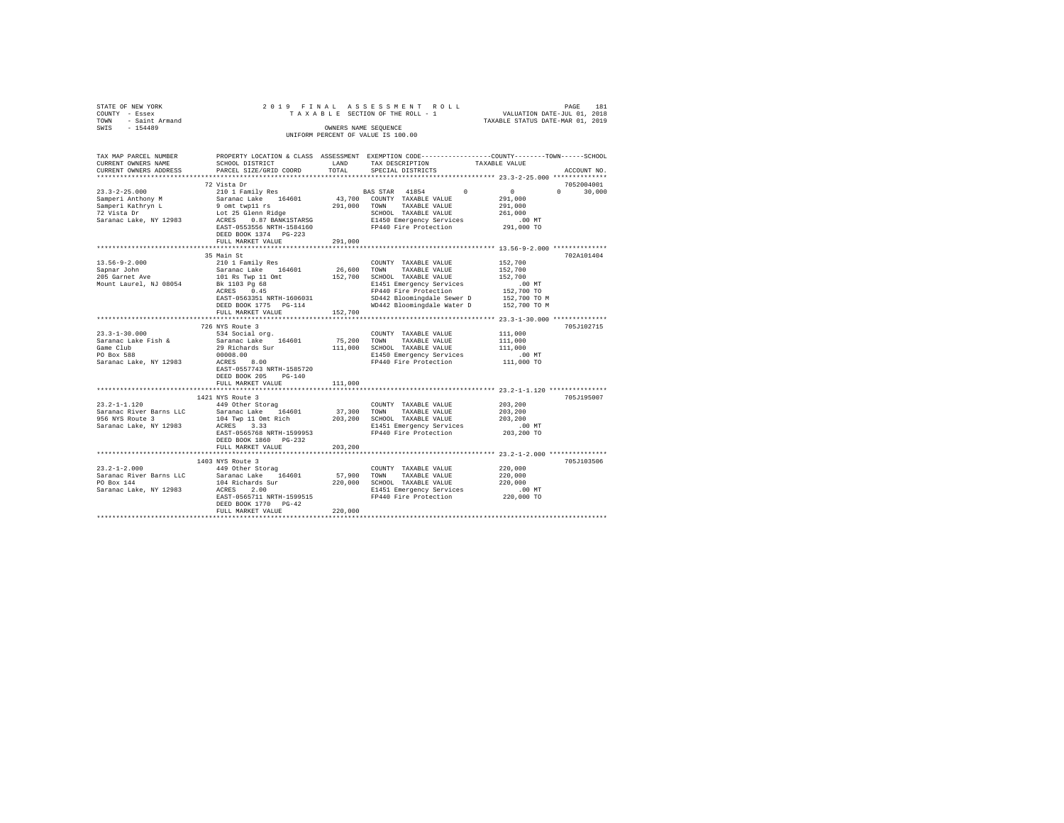| STATE OF NEW YORK $201$<br>COUNTY - Essex 2<br>TOWN - Saint Armand<br>SWIS - 154489 |                                                                                                                                                                                |                      | PAGE 181 את PAGE 181 את PAGE 181 את PAGE 181 את PAGE 181 מת T A X A B LE SECTION OF THE ROLL .<br>T A X A B L E SECTION OF THE ROLL - 1 . TAXABLE STATIUS DATE-JUL 01, 2019                                                          |                                            |               |
|-------------------------------------------------------------------------------------|--------------------------------------------------------------------------------------------------------------------------------------------------------------------------------|----------------------|--------------------------------------------------------------------------------------------------------------------------------------------------------------------------------------------------------------------------------------|--------------------------------------------|---------------|
|                                                                                     |                                                                                                                                                                                |                      |                                                                                                                                                                                                                                      |                                            |               |
|                                                                                     |                                                                                                                                                                                | OWNERS NAME SEQUENCE |                                                                                                                                                                                                                                      |                                            |               |
|                                                                                     |                                                                                                                                                                                |                      | UNIFORM PERCENT OF VALUE IS 100.00                                                                                                                                                                                                   |                                            |               |
|                                                                                     |                                                                                                                                                                                |                      |                                                                                                                                                                                                                                      |                                            |               |
|                                                                                     |                                                                                                                                                                                |                      |                                                                                                                                                                                                                                      |                                            |               |
| CURRENT OWNERS NAME                                                                 | TAX MAP PARCEL NUMBER PROPERTY LOCATION & CLASS ASSESSMENT EXEMPTION CODE---------------COUNTY-------TOWN-----SCHOOL<br>SCHOOL DISTRICT                                        | LAND                 | TAX DESCRIPTION                                                                                                                                                                                                                      | TAXABLE VALUE                              |               |
| CURRENT OWNERS ADDRESS                                                              | PARCEL SIZE/GRID COORD                                                                                                                                                         | TOTAL                | SPECIAL DISTRICTS                                                                                                                                                                                                                    |                                            | ACCOUNT NO.   |
|                                                                                     |                                                                                                                                                                                |                      |                                                                                                                                                                                                                                      |                                            |               |
|                                                                                     | 72 Vista Dr                                                                                                                                                                    |                      |                                                                                                                                                                                                                                      |                                            | 7052004001    |
|                                                                                     |                                                                                                                                                                                |                      |                                                                                                                                                                                                                                      | $\begin{array}{ccc} & & & 0 & \end{array}$ | $0 \t 30.000$ |
|                                                                                     |                                                                                                                                                                                |                      |                                                                                                                                                                                                                                      | 291,000                                    |               |
|                                                                                     |                                                                                                                                                                                |                      |                                                                                                                                                                                                                                      | 291,000                                    |               |
|                                                                                     |                                                                                                                                                                                |                      |                                                                                                                                                                                                                                      | 261,000                                    |               |
|                                                                                     |                                                                                                                                                                                |                      |                                                                                                                                                                                                                                      | .00 MT<br>291,000 TO                       |               |
|                                                                                     |                                                                                                                                                                                |                      |                                                                                                                                                                                                                                      |                                            |               |
|                                                                                     | FULL MARKET VALUE                                                                                                                                                              | 291,000              |                                                                                                                                                                                                                                      |                                            |               |
|                                                                                     |                                                                                                                                                                                |                      |                                                                                                                                                                                                                                      |                                            |               |
|                                                                                     | 35 Main St                                                                                                                                                                     |                      |                                                                                                                                                                                                                                      |                                            | 702A101404    |
|                                                                                     |                                                                                                                                                                                |                      | COUNTY TAXABLE VALUE 152,700                                                                                                                                                                                                         |                                            |               |
|                                                                                     |                                                                                                                                                                                |                      | 26,600 TOWN TAXABLE VALUE                                                                                                                                                                                                            | 152,700                                    |               |
|                                                                                     |                                                                                                                                                                                |                      |                                                                                                                                                                                                                                      |                                            |               |
|                                                                                     | 13.56-9-2.000<br>Sapra John 2010 I Family Res<br>Sapra John Saranet Lake 164601<br>205 Garnet Ave 101.88 Twp 11 Omt<br>Mount Laurel, NJ 08054 Bk 1103 Pg 68<br>RCRES 0.45      |                      | 152,700 SCHOOL TRABLE VALUE 152,700 SCHOOL TRABLE VALUE 141511 EMPIRENCY SETTLE 152,700 TO FT442 Bloomingdale Sever D 152,700 TO N<br>152,700 TO FT442 Bloomingdale Sever D 152,700 TO N<br>152,700 TO SD442 Bloomingdale Sever D 15 |                                            |               |
|                                                                                     | EAST-0563351 NRTH-1606031                                                                                                                                                      |                      |                                                                                                                                                                                                                                      |                                            |               |
|                                                                                     | DEED BOOK 1775 PG-114                                                                                                                                                          |                      |                                                                                                                                                                                                                                      |                                            |               |
|                                                                                     | FULL MARKET VALUE                                                                                                                                                              | 152,700              |                                                                                                                                                                                                                                      |                                            |               |
|                                                                                     |                                                                                                                                                                                |                      |                                                                                                                                                                                                                                      |                                            |               |
|                                                                                     | 726 NYS Route 3                                                                                                                                                                |                      |                                                                                                                                                                                                                                      |                                            | 705J102715    |
| $23.3 - 1 - 30.000$                                                                 | 534 Social org.                                                                                                                                                                |                      | COUNTY TAXABLE VALUE                                                                                                                                                                                                                 | 111,000                                    |               |
| Saranac Lake Fish &                                                                 | Saranac Lake 164601                                                                                                                                                            |                      | 75,200 TOWN TAXABLE VALUE                                                                                                                                                                                                            | 111,000                                    |               |
| Game Club<br>PO Box 588                                                             | 29 Richards Sur                                                                                                                                                                |                      | 111,000 SCHOOL TAXABLE VALUE                                                                                                                                                                                                         | 111,000                                    |               |
|                                                                                     | PO Box 588 00008.00<br>Saranac Lake, NY 12983 ACRES 8.00                                                                                                                       |                      | E1450 Emergency Services<br>FP440 Fire Protection 111,000 TO                                                                                                                                                                         | $.00$ MT                                   |               |
|                                                                                     | EAST-0557743 NRTH-1585720                                                                                                                                                      |                      |                                                                                                                                                                                                                                      |                                            |               |
|                                                                                     | DEED BOOK 205 PG-140                                                                                                                                                           |                      |                                                                                                                                                                                                                                      |                                            |               |
|                                                                                     | FULL MARKET VALUE                                                                                                                                                              | 111,000              |                                                                                                                                                                                                                                      |                                            |               |
|                                                                                     |                                                                                                                                                                                |                      |                                                                                                                                                                                                                                      |                                            |               |
|                                                                                     | 1421 NYS Route 3                                                                                                                                                               |                      |                                                                                                                                                                                                                                      |                                            | 705J195007    |
| $23.2 - 1 - 1.120$                                                                  | 449 Other Storag                                                                                                                                                               |                      | COUNTY TAXABLE VALUE                                                                                                                                                                                                                 | 203,200                                    |               |
| Saranac River Barns LLC                                                             | 919 Donel Journal of Maria 197, 200 DOWN TAXABLE VALUE<br>104 Twp 11 Omt Rich 203, 200 SCHOOL TAXABLE VALUE<br>104 Twp 11 Omt Rich 203, 200 SCHOOL TAXABLE VALUE<br>ACRES 3.33 |                      |                                                                                                                                                                                                                                      | 203,200<br>203,200                         |               |
| 956 NYS Route 3                                                                     |                                                                                                                                                                                |                      |                                                                                                                                                                                                                                      |                                            |               |
| Saranac Lake, NY 12983                                                              | EAST-0565768 NRTH-1599953                                                                                                                                                      |                      | E1451 Emergency Services<br>FP440 Fire Protection                                                                                                                                                                                    | .00 MT<br>203,200 TO                       |               |
|                                                                                     | DEED BOOK 1860 PG-232                                                                                                                                                          |                      |                                                                                                                                                                                                                                      |                                            |               |
|                                                                                     | FULL MARKET VALUE                                                                                                                                                              | 203,200              |                                                                                                                                                                                                                                      |                                            |               |
|                                                                                     |                                                                                                                                                                                |                      |                                                                                                                                                                                                                                      |                                            |               |
|                                                                                     | 1403 NYS Route 3                                                                                                                                                               |                      |                                                                                                                                                                                                                                      |                                            | 705J103506    |
|                                                                                     | 23.2-1-2.000 449 Other Storag                                                                                                                                                  |                      | COUNTY TAXABLE VALUE                                                                                                                                                                                                                 | 220,000                                    |               |
|                                                                                     |                                                                                                                                                                                |                      |                                                                                                                                                                                                                                      | 220,000                                    |               |
|                                                                                     |                                                                                                                                                                                |                      |                                                                                                                                                                                                                                      | 220,000                                    |               |
|                                                                                     |                                                                                                                                                                                |                      |                                                                                                                                                                                                                                      | .00 MT<br>220,000 TO                       |               |
|                                                                                     | DEED BOOK 1770 PG-42                                                                                                                                                           |                      |                                                                                                                                                                                                                                      |                                            |               |
|                                                                                     | FULL MARKET VALUE                                                                                                                                                              | 220,000              |                                                                                                                                                                                                                                      |                                            |               |
|                                                                                     |                                                                                                                                                                                |                      |                                                                                                                                                                                                                                      |                                            |               |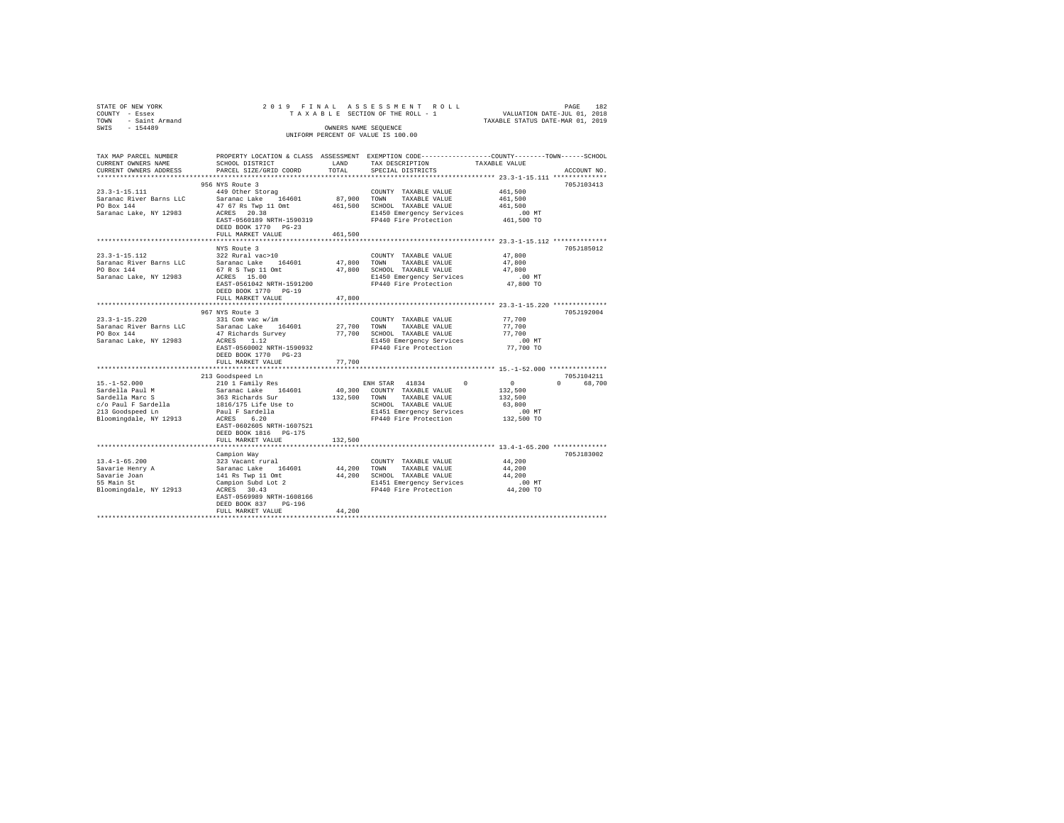| STATE OF NEW YORK<br>COUNTY - Essex<br>TOWN - Saint Armand<br>SWIS - 154489                                                                                                                                                                                                                                                                                                                                                                               |                                                                                       |         | 2019 FINAL ASSESSMENT ROLL<br>OWNERS NAME SEQUENCE<br>UNIFORM PERCENT OF VALUE IS 100.00            | PAGE<br>182                                                                                                    |
|-----------------------------------------------------------------------------------------------------------------------------------------------------------------------------------------------------------------------------------------------------------------------------------------------------------------------------------------------------------------------------------------------------------------------------------------------------------|---------------------------------------------------------------------------------------|---------|-----------------------------------------------------------------------------------------------------|----------------------------------------------------------------------------------------------------------------|
| TAX MAP PARCEL NUMBER<br>CURRENT OWNERS NAME<br>CURRENT OWNERS ADDRESS                                                                                                                                                                                                                                                                                                                                                                                    | SCHOOL DISTRICT<br>PARCEL SIZE/GRID COORD                                             | TOTAL   | LAND TAX DESCRIPTION TAXABLE VALUE<br>SPECIAL DISTRICTS                                             | PROPERTY LOCATION & CLASS ASSESSMENT EXEMPTION CODE---------------COUNTY-------TOWN------SCHOOL<br>ACCOUNT NO. |
|                                                                                                                                                                                                                                                                                                                                                                                                                                                           | 956 NYS Route 3                                                                       |         |                                                                                                     | 705J103413                                                                                                     |
| $\begin{tabular}{lllllllll} \multicolumn{3}{c}{\text{\small 23.3--1--15.111}} & \multicolumn{3}{c}{\text{\small 9.901}} & \multicolumn{3}{c}{\text{\small 9.901}} & \multicolumn{3}{c}{\text{\small 9.901}} & \multicolumn{3}{c}{\text{\small 9.901}} & \multicolumn{3}{c}{\text{\small 9.901}} & \multicolumn{3}{c}{\text{\small 9.901}} & \multicolumn{3}{c}{\text{\small 9.902}} & \multicolumn{3}{c}{\text{\small 9.903}} & \multicolumn{3}{c}{\text$ | DEED BOOK 1770 PG-23                                                                  |         |                                                                                                     | 461,500 TO                                                                                                     |
|                                                                                                                                                                                                                                                                                                                                                                                                                                                           | FULL MARKET VALUE                                                                     | 461,500 |                                                                                                     |                                                                                                                |
| $23.3 - 1 - 15.112$<br>Saranac River Barns LLC - Saranac Lake 164601 - 47,800 TOWN TAXABLE VALUE<br>PO Box 144<br>Saranac Lake, NY 12983 - 67 R S TWP 11 ON HOT BOLDOL TAXABLE VALUE<br>Saranac Lake, NY 12983 - ACRES 15.00 - BI450 Emergency Services                                                                                                                                                                                                   | NYS Route 3<br>322 Rural vac>10<br>$EAST-0561042$ NRTH-1591200<br>DEED BOOK 1770      |         | COUNTY TAXABLE VALUE<br>E1450 Emergency Services 6.00 MT<br>FP440 Fire Protection 6.00 TO 47,800 TO | 705J185012<br>47,800<br>47,800<br>47,800                                                                       |
|                                                                                                                                                                                                                                                                                                                                                                                                                                                           | FULL MARKET VALUE 47,800                                                              |         |                                                                                                     |                                                                                                                |
|                                                                                                                                                                                                                                                                                                                                                                                                                                                           |                                                                                       |         |                                                                                                     |                                                                                                                |
|                                                                                                                                                                                                                                                                                                                                                                                                                                                           | 967 NYS Route 3<br>DEED BOOK 1770 PG-23                                               |         |                                                                                                     | 705J192004<br>77,700<br>77,700<br>77,700<br>$.00$ MT<br>77,700 TO                                              |
|                                                                                                                                                                                                                                                                                                                                                                                                                                                           | FULL MARKET VALUE                                                                     | 77,700  |                                                                                                     |                                                                                                                |
|                                                                                                                                                                                                                                                                                                                                                                                                                                                           | EAST-0602605 NRTH-1607521<br>DEED BOOK 1816 PG-175<br>FULL MARKET VALUE               | 132,500 |                                                                                                     |                                                                                                                |
|                                                                                                                                                                                                                                                                                                                                                                                                                                                           |                                                                                       |         |                                                                                                     |                                                                                                                |
| 13.4-1-65.200<br>Savarie Henry A<br>Savarie Joan<br>55 Main St<br>Doomings                                                                                                                                                                                                                                                                                                                                                                                | Campion Way<br>EAST-0569989 NRTH-1608166<br>DEED BOOK 837 PG-196<br>FULL MARKET VALUE | 44,200  |                                                                                                     | 705J183002                                                                                                     |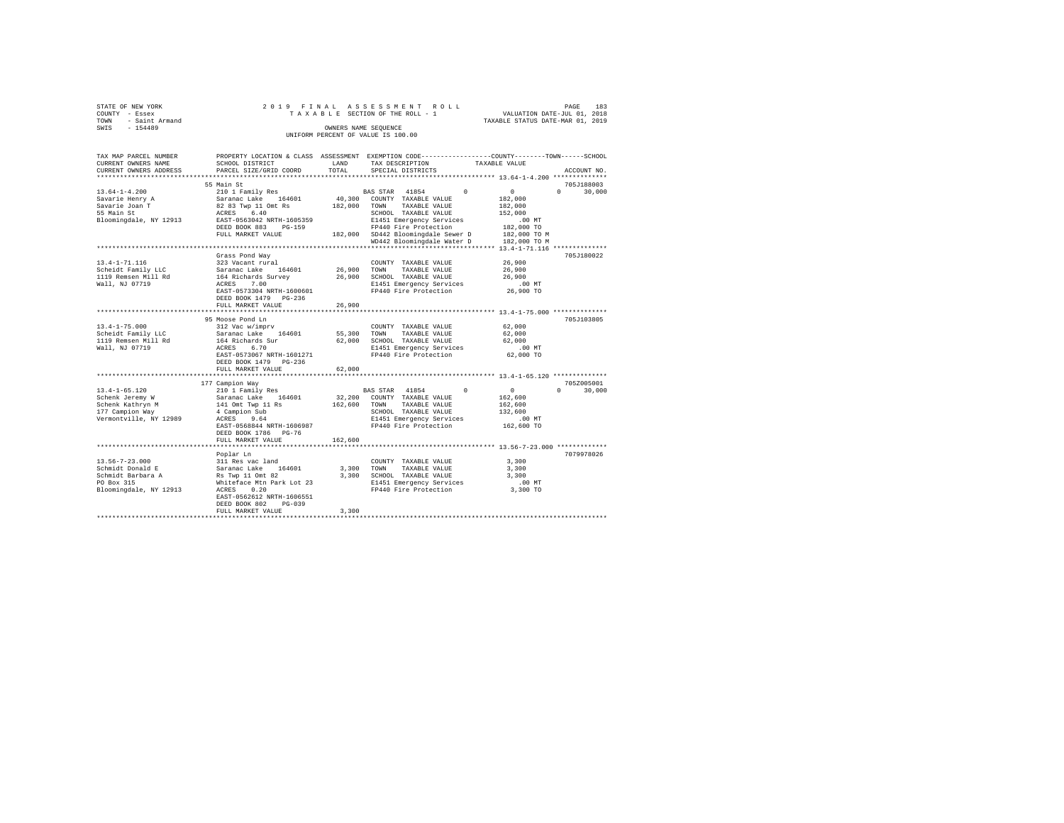|      | STATE OF NEW YORK |  |  |  | 2019 FINAL ASSESSMENT ROLL         |  |  |  |  |                                  |  | PAGE | 183 |
|------|-------------------|--|--|--|------------------------------------|--|--|--|--|----------------------------------|--|------|-----|
|      | COUNTY - Essex    |  |  |  | TAXABLE SECTION OF THE ROLL - 1    |  |  |  |  | VALUATION DATE-JUL 01, 2018      |  |      |     |
| TOWN | - Saint Armand    |  |  |  |                                    |  |  |  |  | TAXABLE STATUS DATE-MAR 01, 2019 |  |      |     |
| SWIS | $-154489$         |  |  |  | OWNERS NAME SEOUENCE               |  |  |  |  |                                  |  |      |     |
|      |                   |  |  |  | UNIFORM PERCENT OF VALUE IS 100.00 |  |  |  |  |                                  |  |      |     |

| TAX MAP PARCEL NUMBER<br>CURRENT OWNERS NAME        | SCHOOL DISTRICT                                   | LAND        | PROPERTY LOCATION & CLASS ASSESSMENT EXEMPTION CODE---------------COUNTY-------TOWN-----SCHOOL<br>TAX DESCRIPTION | TAXABLE VALUE                                     |
|-----------------------------------------------------|---------------------------------------------------|-------------|-------------------------------------------------------------------------------------------------------------------|---------------------------------------------------|
| CURRENT OWNERS ADDRESS<br>************************* | PARCEL SIZE/GRID COORD                            | TOTAL       | SPECIAL DISTRICTS                                                                                                 | ACCOUNT NO.                                       |
|                                                     | 55 Main St                                        |             |                                                                                                                   | 705J188003                                        |
| $13.64 - 1 - 4.200$                                 | 210 1 Family Res                                  |             | 41854<br>$\Omega$<br>BAS STAR                                                                                     | $\overline{0}$<br>$\Omega$<br>30,000              |
| Savarie Henry A                                     | Saranac Lake 164601                               | 40,300      | COUNTY TAXABLE VALUE                                                                                              | 182,000                                           |
| Savarie Joan T                                      | 82 83 Twp 11 Omt Rs                               | 182,000     | TOWN<br>TAXABLE VALUE                                                                                             | 182,000                                           |
| 55 Main St                                          | 6.40<br>ACRES                                     |             | SCHOOL TAXABLE VALUE                                                                                              | 152,000                                           |
| Bloomingdale, NY 12913                              | EAST-0563042 NRTH-1605359                         |             | E1451 Emergency Services                                                                                          | $.00$ MT                                          |
|                                                     | DEED BOOK 883<br>$PG-159$                         |             | FP440 Fire Protection                                                                                             | 182,000 TO                                        |
|                                                     | FULL MARKET VALUE                                 |             | 182,000 SD442 Bloomingdale Sewer D                                                                                | 182,000 TO M                                      |
|                                                     |                                                   |             | WD442 Bloomingdale Water D                                                                                        | 182,000 TO M                                      |
|                                                     |                                                   |             | ************************************** 13.4-1-71.116 ***************                                              |                                                   |
|                                                     | Grass Pond Way                                    |             |                                                                                                                   | 705J180022                                        |
| $13.4 - 1 - 71.116$                                 | 323 Vacant rural                                  |             | COUNTY TAXABLE VALUE                                                                                              | 26,900                                            |
| Scheidt Family LLC                                  | Saranac Lake 164601                               | 26,900 TOWN | TAXABLE VALUE                                                                                                     | 26,900                                            |
| 1119 Remsen Mill Rd                                 | 164 Richards Survey                               |             | 26,900 SCHOOL TAXABLE VALUE                                                                                       | 26,900                                            |
| Wall, NJ 07719                                      | ACRES 7.00                                        |             | E1451 Emergency Services                                                                                          | $.00$ MT                                          |
|                                                     | EAST-0573304 NRTH-1600601                         |             | FP440 Fire Protection                                                                                             | 26,900 TO                                         |
|                                                     | DEED BOOK 1479 PG-236                             |             |                                                                                                                   |                                                   |
|                                                     | FULL MARKET VALUE                                 | 26,900      |                                                                                                                   |                                                   |
|                                                     | ************************                          |             | ********************************** 13.4-1-75.000 ***************                                                  |                                                   |
|                                                     | 95 Moose Pond Ln                                  |             |                                                                                                                   | 705J103805                                        |
| $13.4 - 1 - 75.000$                                 | 312 Vac w/imprv                                   |             | COUNTY TAXABLE VALUE                                                                                              | 62,000                                            |
| Scheidt Family LLC                                  | Saranac Lake 164601                               | 55,300      | TOWN<br>TAXABLE VALUE                                                                                             | 62,000                                            |
| 1119 Remsen Mill Rd                                 | 164 Richards Sur                                  | 62,000      | SCHOOL TAXABLE VALUE                                                                                              | 62,000                                            |
| Wall, NJ 07719                                      | 6.70<br>ACRES                                     |             | E1451 Emergency Services                                                                                          | $.00$ MT                                          |
|                                                     | EAST-0573067 NRTH-1601271                         |             | FP440 Fire Protection                                                                                             | 62,000 TO                                         |
|                                                     | DEED BOOK 1479 PG-236                             |             |                                                                                                                   |                                                   |
|                                                     | FULL MARKET VALUE                                 | 62,000      |                                                                                                                   |                                                   |
|                                                     | ************************                          |             |                                                                                                                   | ******************** 13.4-1-65.120 ************** |
|                                                     | 177 Campion Way                                   |             |                                                                                                                   | 705Z005001                                        |
| $13.4 - 1 - 65.120$                                 | 210 1 Family Res                                  |             | BAS STAR 41854<br>$^{\circ}$                                                                                      | $^{\circ}$<br>$\Omega$<br>30,000                  |
| Schenk Jeremy W                                     | Saranac Lake 164601                               | 32,200      | COUNTY TAXABLE VALUE                                                                                              | 162,600                                           |
| Schenk Kathryn M                                    | 141 Omt Twp 11 Rs                                 | 162,600     | TOWN<br>TAXABLE VALUE                                                                                             | 162,600                                           |
| 177 Campion Way                                     | 4 Campion Sub                                     |             | SCHOOL TAXABLE VALUE                                                                                              | 132,600                                           |
| Vermontville, NY 12989                              | ACRES<br>9.64                                     |             | E1451 Emergency Services<br>FP440 Fire Protection                                                                 | .00 MT                                            |
|                                                     | EAST-0568844 NRTH-1606987<br>DEED BOOK 1786 PG-76 |             |                                                                                                                   | 162,600 TO                                        |
|                                                     | FULL MARKET VALUE                                 | 162,600     |                                                                                                                   |                                                   |
|                                                     |                                                   |             |                                                                                                                   |                                                   |
|                                                     | Poplar Ln                                         |             |                                                                                                                   | 7079978026                                        |
| $13.56 - 7 - 23.000$                                | 311 Res vac land                                  |             | COUNTY TAXABLE VALUE                                                                                              | 3,300                                             |
| Schmidt Donald E                                    | 164601<br>Saranac Lake                            | 3,300       | TOWN<br>TAXABLE VALUE                                                                                             | 3,300                                             |
| Schmidt Barbara A                                   | Rs Twp 11 Omt 82                                  | 3,300       | SCHOOL TAXABLE VALUE                                                                                              | 3,300                                             |
| PO Box 315                                          | Whiteface Mtn Park Lot 23                         |             | E1451 Emergency Services                                                                                          | .00 MT                                            |
| Bloomingdale, NY 12913                              | 0.20<br>ACRES                                     |             | FP440 Fire Protection                                                                                             | 3,300 TO                                          |
|                                                     | EAST-0562612 NRTH-1606551                         |             |                                                                                                                   |                                                   |
|                                                     | DEED BOOK 802<br>$PG-039$                         |             |                                                                                                                   |                                                   |
|                                                     | FULL MARKET VALUE                                 | 3,300       |                                                                                                                   |                                                   |
|                                                     |                                                   |             |                                                                                                                   |                                                   |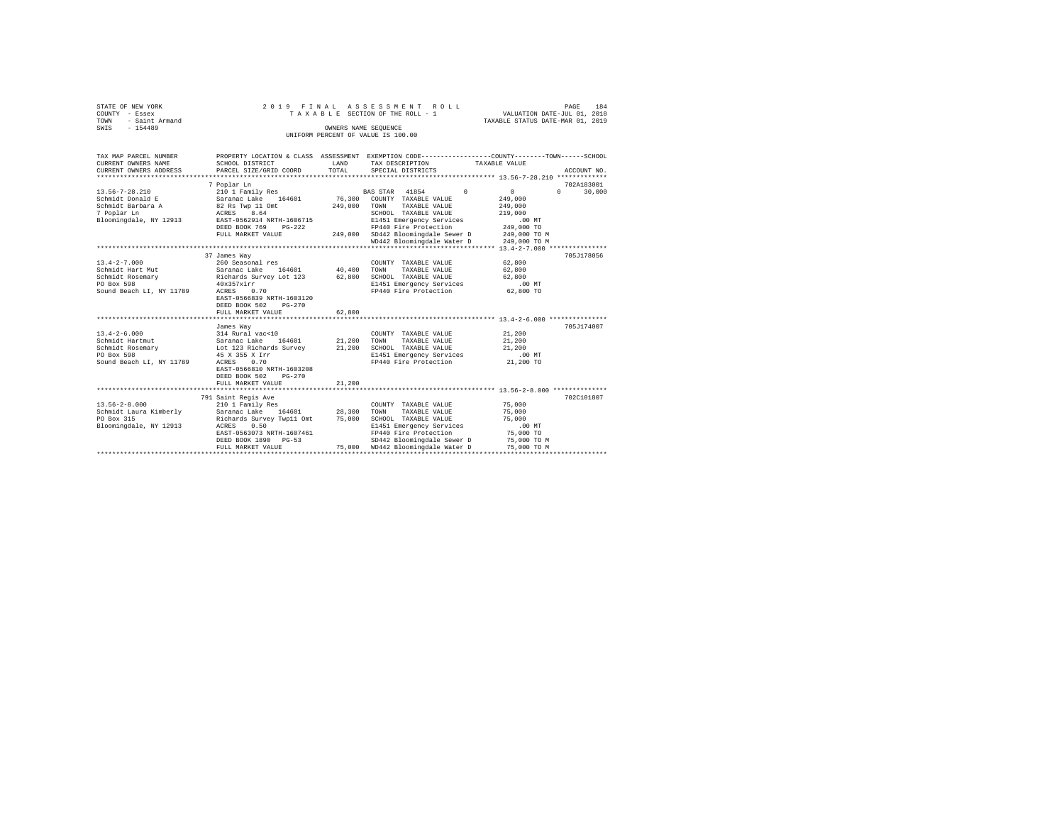| STATE OF NEW YORK<br>COUNTY - Essex<br>- Saint Armand<br>TOWN | 2019 FINAL<br>ASSESSMENT<br>ROLL<br>PAGE<br>VALUATION DATE-JUL 01, 2018<br>TAXABLE SECTION OF THE ROLL - 1<br>TAXABLE STATUS DATE-MAR 01, 2019 |                      |                                    |                                                                                                 |  |  |  |  |
|---------------------------------------------------------------|------------------------------------------------------------------------------------------------------------------------------------------------|----------------------|------------------------------------|-------------------------------------------------------------------------------------------------|--|--|--|--|
| $-154489$<br>SWIS                                             |                                                                                                                                                | OWNERS NAME SEQUENCE |                                    |                                                                                                 |  |  |  |  |
|                                                               |                                                                                                                                                |                      | UNIFORM PERCENT OF VALUE IS 100.00 |                                                                                                 |  |  |  |  |
|                                                               |                                                                                                                                                |                      |                                    |                                                                                                 |  |  |  |  |
| TAX MAP PARCEL NUMBER                                         |                                                                                                                                                |                      |                                    | PROPERTY LOCATION & CLASS ASSESSMENT EXEMPTION CODE---------------COUNTY-------TOWN------SCHOOL |  |  |  |  |
| CURRENT OWNERS NAME                                           | SCHOOL DISTRICT                                                                                                                                | LAND                 | TAX DESCRIPTION                    | TAXABLE VALUE                                                                                   |  |  |  |  |
| CURRENT OWNERS ADDRESS                                        | PARCEL SIZE/GRID COORD                                                                                                                         | TOTAL                | SPECIAL DISTRICTS                  | ACCOUNT NO.                                                                                     |  |  |  |  |
| *************************                                     |                                                                                                                                                |                      |                                    |                                                                                                 |  |  |  |  |
|                                                               | 7 Poplar Ln                                                                                                                                    |                      |                                    | 702A183001                                                                                      |  |  |  |  |
| 13.56-7-28.210                                                | 210 1 Family Res                                                                                                                               |                      | BAS STAR 41854 0                   | 30,000<br>$\sim$ 0<br>$\Omega$                                                                  |  |  |  |  |
| Schmidt Donald E                                              | Saranac Lake 164601                                                                                                                            |                      | 76,300 COUNTY TAXABLE VALUE        | 249,000                                                                                         |  |  |  |  |
| Schmidt Barbara A                                             | 82 Rs Twp 11 Omt                                                                                                                               | 249,000              | TOWN TAXABLE VALUE                 | 249,000                                                                                         |  |  |  |  |
| 7 Poplar Ln                                                   | ACRES 8.64                                                                                                                                     |                      | SCHOOL TAXABLE VALUE               | 219,000                                                                                         |  |  |  |  |
| Bloomingdale, NY 12913                                        | EAST-0562914 NRTH-1606715                                                                                                                      |                      | E1451 Emergency Services           | $.00$ MT                                                                                        |  |  |  |  |
|                                                               | DEED BOOK 769<br>$PG-222$                                                                                                                      |                      | FP440 Fire Protection              | 249,000 TO                                                                                      |  |  |  |  |
|                                                               | FULL MARKET VALUE                                                                                                                              |                      | 249,000 SD442 Bloomingdale Sewer D | 249,000 TO M                                                                                    |  |  |  |  |
|                                                               |                                                                                                                                                |                      | WD442 Bloomingdale Water D         | 249,000 TO M                                                                                    |  |  |  |  |
|                                                               |                                                                                                                                                |                      |                                    |                                                                                                 |  |  |  |  |
|                                                               | 37 James Way                                                                                                                                   |                      |                                    | 705J178056                                                                                      |  |  |  |  |
| $13.4 - 2 - 7.000$                                            | 260 Seasonal res                                                                                                                               |                      | COUNTY TAXABLE VALUE               | 62,800                                                                                          |  |  |  |  |
| Schmidt Hart Mut                                              | Saranac Lake 164601                                                                                                                            | 40,400               | TOWN<br>TAXABLE VALUE              | 62,800                                                                                          |  |  |  |  |
| Schmidt Rosemary                                              | Richards Survey Lot 123                                                                                                                        | 62,800               | SCHOOL TAXABLE VALUE               | 62,800                                                                                          |  |  |  |  |
| PO Box 598                                                    | 40x357xirr                                                                                                                                     |                      | E1451 Emergency Services           | $.00$ MT                                                                                        |  |  |  |  |
| Sound Beach LI, NY 11789                                      | 0.70<br>ACRES                                                                                                                                  |                      | FP440 Fire Protection              | 62,800 TO                                                                                       |  |  |  |  |
|                                                               | EAST-0566839 NRTH-1603120<br>DEED BOOK 502                                                                                                     |                      |                                    |                                                                                                 |  |  |  |  |
|                                                               | $PG-270$<br>FULL MARKET VALUE                                                                                                                  | 62,800               |                                    |                                                                                                 |  |  |  |  |
|                                                               |                                                                                                                                                |                      |                                    |                                                                                                 |  |  |  |  |
|                                                               | James Way                                                                                                                                      |                      |                                    | 705J174007                                                                                      |  |  |  |  |
| $13.4 - 2 - 6.000$                                            | 314 Rural vac<10                                                                                                                               |                      | COUNTY TAXABLE VALUE               | 21,200                                                                                          |  |  |  |  |
| Schmidt Hartmut                                               |                                                                                                                                                | 21,200 TOWN          | TAXABLE VALUE                      | 21,200                                                                                          |  |  |  |  |
| Schmidt Rosemary                                              | Saranac Lake 164601<br>Lot 123 Richards Survey                                                                                                 | 21,200               | SCHOOL TAXABLE VALUE               | 21,200                                                                                          |  |  |  |  |
| PO Box 598                                                    | 45 X 355 X Irr                                                                                                                                 |                      | E1451 Emergency Services           | .00 MT                                                                                          |  |  |  |  |
| Sound Beach LI, NY 11789                                      | 0.70<br>ACRES                                                                                                                                  |                      | FP440 Fire Protection              | 21,200 TO                                                                                       |  |  |  |  |
|                                                               | EAST-0566810 NRTH-1603208                                                                                                                      |                      |                                    |                                                                                                 |  |  |  |  |
|                                                               | $PG-270$<br>DEED BOOK 502                                                                                                                      |                      |                                    |                                                                                                 |  |  |  |  |
|                                                               | FULL MARKET VALUE                                                                                                                              | 21,200               |                                    |                                                                                                 |  |  |  |  |
|                                                               |                                                                                                                                                |                      |                                    |                                                                                                 |  |  |  |  |
|                                                               | 791 Saint Regis Ave                                                                                                                            |                      |                                    | 702C101807                                                                                      |  |  |  |  |
| $13.56 - 2 - 8.000$                                           | 210 1 Family Res                                                                                                                               |                      | COUNTY TAXABLE VALUE               | 75,000                                                                                          |  |  |  |  |
| Schmidt Laura Kimberly                                        | Saranac Lake 164601                                                                                                                            | 28,300               | TOWN<br>TAXABLE VALUE              | 75,000                                                                                          |  |  |  |  |
| PO Box 315                                                    | Richards Survey Twp11 Omt                                                                                                                      | 75,000               | SCHOOL TAXABLE VALUE               | 75,000                                                                                          |  |  |  |  |
| Bloomingdale, NY 12913                                        | ACRES<br>0.50                                                                                                                                  |                      | E1451 Emergency Services           | .00 MT                                                                                          |  |  |  |  |
|                                                               | EAST-0563073 NRTH-1607461                                                                                                                      |                      | FP440 Fire Protection              | 75,000 TO                                                                                       |  |  |  |  |
|                                                               | DEED BOOK 1890 PG-53                                                                                                                           |                      | SD442 Bloomingdale Sewer D         | 75,000 TO M                                                                                     |  |  |  |  |
|                                                               | FULL MARKET VALUE                                                                                                                              |                      | 75,000 WD442 Bloomingdale Water D  | 75,000 TO M                                                                                     |  |  |  |  |
|                                                               |                                                                                                                                                |                      |                                    |                                                                                                 |  |  |  |  |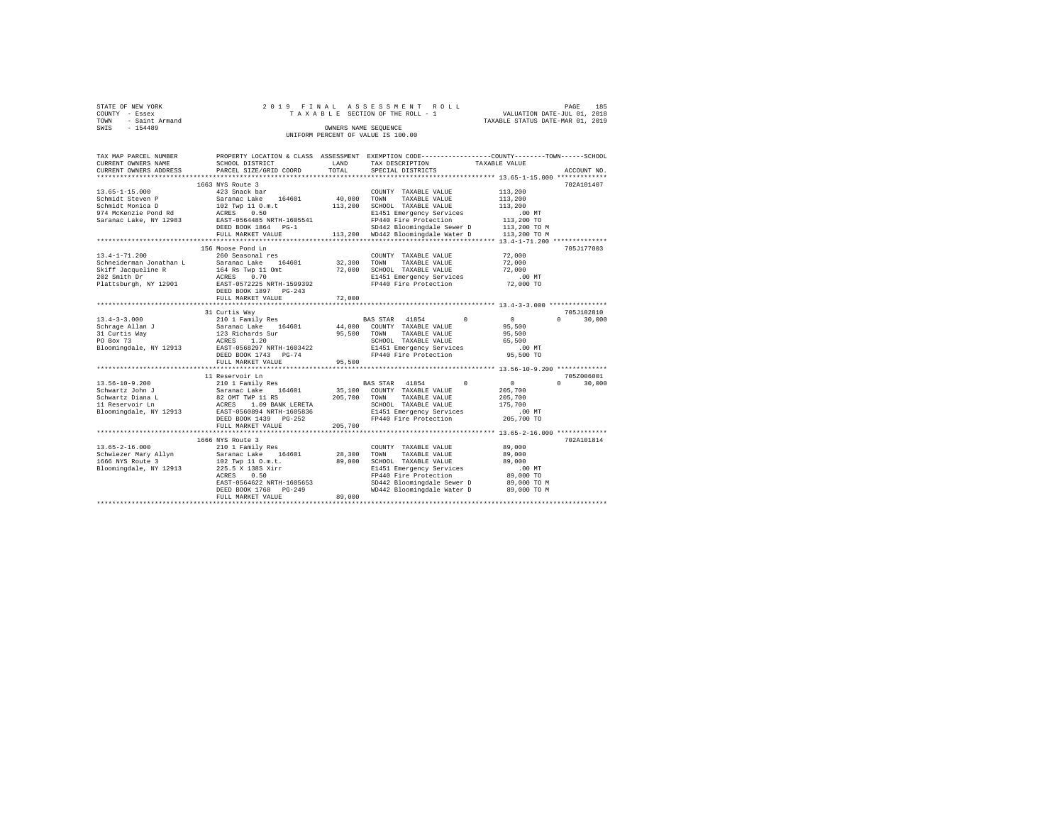| STATE OF NEW YORK   |  | 2019 FINAL ASSESSMENT ROLL         |                                  | PAGE                        | 185 |
|---------------------|--|------------------------------------|----------------------------------|-----------------------------|-----|
| COUNTY - Essex      |  | TAXABLE SECTION OF THE ROLL - 1    |                                  | VALUATION DATE-JUL 01, 2018 |     |
| TOWN - Saint Armand |  |                                    | TAXABLE STATUS DATE-MAR 01, 2019 |                             |     |
| SWTS<br>$-154489$   |  | OWNERS NAME SEOUENCE               |                                  |                             |     |
|                     |  | UNIFORM PERCENT OF VALUE IS 100.00 |                                  |                             |     |
|                     |  |                                    |                                  |                             |     |

| TAX MAP PARCEL NUMBER   |                                                              |               |                                                           | PROPERTY LOCATION & CLASS ASSESSMENT EXEMPTION CODE---------------COUNTY-------TOWN-----SCHOOL |  |
|-------------------------|--------------------------------------------------------------|---------------|-----------------------------------------------------------|------------------------------------------------------------------------------------------------|--|
| CURRENT OWNERS NAME     | SCHOOL DISTRICT                                              | LAND          | TAX DESCRIPTION                                           | TAXABLE VALUE                                                                                  |  |
| CURRENT OWNERS ADDRESS  | PARCEL SIZE/GRID COORD                                       | TOTAL         | SPECIAL DISTRICTS                                         | ACCOUNT NO.                                                                                    |  |
| *********************** |                                                              |               |                                                           |                                                                                                |  |
|                         | 1663 NYS Route 3                                             |               |                                                           | 702A101407                                                                                     |  |
| 13.65-1-15.000          | 423 Snack bar                                                |               | COUNTY TAXABLE VALUE                                      | 113,200                                                                                        |  |
| Schmidt Steven P        | Saranac Lake 164601                                          | $40,000$ TOWN | TAXABLE VALUE                                             | 113,200                                                                                        |  |
| Schmidt Monica D        |                                                              | 113,200       | SCHOOL TAXABLE VALUE                                      | 113,200                                                                                        |  |
| 974 McKenzie Pond Rd    | 102 Twp 11 O.m.t<br>ACRES 0.50                               |               | E1451 Emergency Services                                  | $.00$ MT                                                                                       |  |
|                         | Saranac Lake, NY 12983 EAST-0564485 NRTH-1605541             |               | FP440 Fire Protection                                     |                                                                                                |  |
|                         | DEED BOOK 1864 PG-1                                          |               | SD442 Bloomingdale Sewer D                                | 113,200 TO<br>113,200 TO M                                                                     |  |
|                         | FULL MARKET VALUE                                            |               | 113,200 WD442 Bloomingdale Water D 113,200 TO M           |                                                                                                |  |
|                         |                                                              |               |                                                           |                                                                                                |  |
|                         | 156 Moose Pond Ln                                            |               |                                                           | 705J177003                                                                                     |  |
| $13.4 - 1 - 71.200$     | 260 Seasonal res                                             |               | COUNTY TAXABLE VALUE                                      | 72,000                                                                                         |  |
| Schneiderman Jonathan L | Saranac Lake 164601                                          | 32,300        | TOWN<br>TAXABLE VALUE                                     | 72,000                                                                                         |  |
| Skiff Jacqueline R      |                                                              | 72,000        | SCHOOL TAXABLE VALUE                                      | 72,000                                                                                         |  |
| 202 Smith Dr            |                                                              |               |                                                           | $.00$ MT                                                                                       |  |
|                         | 164 Rs Twp 11 Omt<br>ACRES 0.70<br>EAST-0572225 NRTH-1599392 |               | E1451 Emergency Services<br>FP440 Fire Protection         |                                                                                                |  |
| Plattsburgh, NY 12901   |                                                              |               |                                                           | 72,000 TO                                                                                      |  |
|                         | DEED BOOK 1897 PG-243                                        |               |                                                           |                                                                                                |  |
|                         | FULL MARKET VALUE                                            | 72,000        |                                                           |                                                                                                |  |
|                         |                                                              |               |                                                           |                                                                                                |  |
|                         | 31 Curtis Way                                                |               |                                                           | 705J102810                                                                                     |  |
|                         |                                                              |               | BAS STAR 41854 0                                          | $\Omega$<br>30,000<br>$\mathbf{0}$                                                             |  |
|                         |                                                              |               | 44,000 COUNTY TAXABLE VALUE                               | 95,500                                                                                         |  |
|                         |                                                              |               | 95,500 TOWN TAXABLE VALUE                                 | 95,500                                                                                         |  |
|                         |                                                              |               | SCHOOL TAXABLE VALUE                                      | 65,500                                                                                         |  |
|                         |                                                              |               | E1451 Emergency Services                                  | $.00$ MT                                                                                       |  |
|                         | DEED BOOK 1743 PG-74                                         |               | FP440 Fire Protection                                     | 95,500 TO                                                                                      |  |
|                         | FULL MARKET VALUE                                            | 95,500        |                                                           |                                                                                                |  |
|                         |                                                              |               |                                                           |                                                                                                |  |
|                         | 11 Reservoir Ln                                              |               |                                                           | 705Z006001                                                                                     |  |
| 13.56-10-9.200          | 210 1 Family Res                                             |               | BAS STAR 41854 0                                          | $\sim$ 0<br>$\Omega$ and $\Omega$<br>30,000                                                    |  |
| Schwartz John J         |                                                              |               | 35,100 COUNTY TAXABLE VALUE<br>205,700 TOWN TAXABLE VALUE | 205,700                                                                                        |  |
| Schwartz Diana L        | Saranac Lake 164601<br>82 OMT TWP 11 RS                      |               |                                                           | 205,700                                                                                        |  |
| 11 Reservoir Ln         |                                                              |               | SCHOOL TAXABLE VALUE                                      | 175,700                                                                                        |  |
| Bloomingdale, NY 12913  | ACRES 1.09 BANK LERETA<br>EAST-0560894 NRTH-1605836          |               | E1451 Emergency Services                                  | .00 MT                                                                                         |  |
|                         | DEED BOOK 1439 PG-252                                        |               | FP440 Fire Protection 205,700 TO                          |                                                                                                |  |
|                         | FULL MARKET VALUE                                            | 205,700       |                                                           |                                                                                                |  |
|                         |                                                              |               |                                                           |                                                                                                |  |
|                         | 1666 NYS Route 3                                             |               |                                                           | 702A101814                                                                                     |  |
| $13.65 - 2 - 16.000$    | 210 1 Family Res                                             |               | COUNTY TAXABLE VALUE                                      | 89,000                                                                                         |  |
| Schwiezer Mary Allyn    | Saranac Lake 164601                                          |               | 28,300 TOWN<br>TAXABLE VALUE                              | 89,000                                                                                         |  |
| 1666 NYS Route 3        |                                                              | 89,000        | SCHOOL TAXABLE VALUE                                      | 89,000                                                                                         |  |
| Bloomingdale, NY 12913  | 102 Twp 11 O.m.t.<br>225.5 X 138S Xirr                       |               | E1451 Emergency Services                                  | .00 MT                                                                                         |  |
|                         | ACRES<br>0.50                                                |               | FP440 Fire Protection                                     | 89,000 TO                                                                                      |  |
|                         | EAST-0564622 NRTH-1605653                                    |               | SD442 Bloomingdale Sewer D                                | 89,000 TO M                                                                                    |  |
|                         | DEED BOOK 1768 PG-249                                        |               | WD442 Bloomingdale Water D 89,000 TO M                    |                                                                                                |  |
|                         | FULL MARKET VALUE                                            | 89,000        |                                                           |                                                                                                |  |
|                         |                                                              |               |                                                           |                                                                                                |  |
|                         |                                                              |               |                                                           |                                                                                                |  |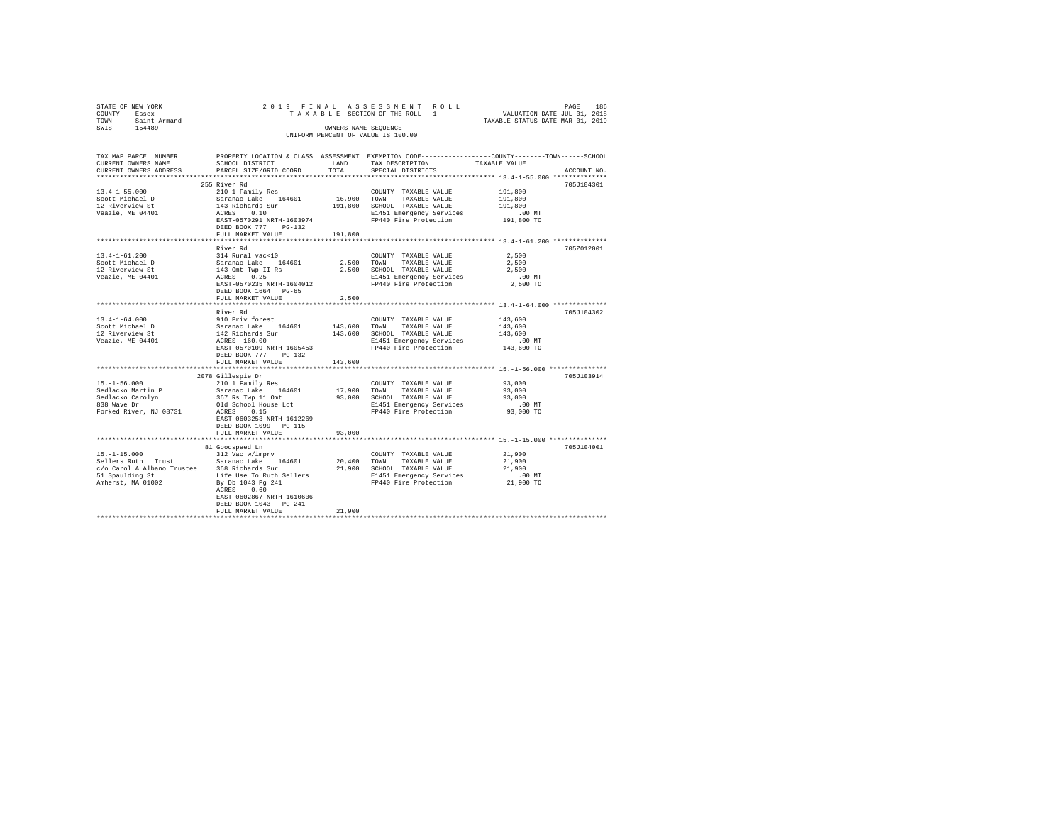| STATE OF NEW YORK                           |                                         |             | 2019 FINAL ASSESSMENT ROLL         | PAGE 186<br>VALUATION DATE-JUL 01, 2018                                                         |
|---------------------------------------------|-----------------------------------------|-------------|------------------------------------|-------------------------------------------------------------------------------------------------|
| COUNTY - Essex                              |                                         |             | TAXABLE SECTION OF THE ROLL - 1    |                                                                                                 |
| TOWN - Saint Armand                         |                                         |             |                                    | TAXABLE STATUS DATE-MAR 01, 2019                                                                |
| SWIS - 154489                               |                                         |             | OWNERS NAME SEQUENCE               |                                                                                                 |
|                                             |                                         |             | UNIFORM PERCENT OF VALUE IS 100.00 |                                                                                                 |
|                                             |                                         |             |                                    |                                                                                                 |
|                                             |                                         |             |                                    |                                                                                                 |
| TAX MAP PARCEL NUMBER                       |                                         |             |                                    | PROPERTY LOCATION & CLASS ASSESSMENT EXEMPTION CODE---------------COUNTY-------TOWN------SCHOOL |
| CURRENT OWNERS NAME                         | SCHOOL DISTRICT                         | LAND        | TAX DESCRIPTION                    | TAXABLE VALUE                                                                                   |
|                                             |                                         |             |                                    |                                                                                                 |
| CURRENT OWNERS ADDRESS                      | PARCEL SIZE/GRID COORD                  | TOTAL       | SPECIAL DISTRICTS                  | ACCOUNT NO.                                                                                     |
|                                             |                                         |             |                                    |                                                                                                 |
|                                             | 255 River Rd                            |             |                                    | 705J104301                                                                                      |
| $13.4 - 1 - 55.000$                         | 210 1 Family Res                        |             | COUNTY TAXABLE VALUE               | 191,800                                                                                         |
| Scott Michael D                             | Saranac Lake 164601                     | 16,900 TOWN | TAXABLE VALUE                      | 191,800                                                                                         |
| 12 Riverview St                             | 143 Richards Sur                        |             | 191,800 SCHOOL TAXABLE VALUE       | 191,800                                                                                         |
| Veazie, ME 04401                            | ACRES 0.10                              |             | E1451 Emergency Services           | $.00$ MT                                                                                        |
|                                             | EAST-0570291 NRTH-1603974               |             | FP440 Fire Protection              | 191,800 TO                                                                                      |
|                                             | DEED BOOK 777 PG-132                    |             |                                    |                                                                                                 |
|                                             | FULL MARKET VALUE                       | 191,800     |                                    |                                                                                                 |
|                                             |                                         |             |                                    |                                                                                                 |
|                                             |                                         |             |                                    |                                                                                                 |
|                                             | River Rd                                |             |                                    | 705Z012001                                                                                      |
| 13.4-1-61.200                               | 314 Rural vac<10                        |             | COUNTY TAXABLE VALUE               | 2,500                                                                                           |
| Scott Michael D                             | Saranac Lake 164601                     |             | 2,500 TOWN TAXABLE VALUE           | 2,500                                                                                           |
| 12 Riverview St                             | 143 Omt Twp II Rs<br>ACRES 0.25         |             | 2,500 SCHOOL TAXABLE VALUE         | 2,500                                                                                           |
| Veazie, ME 04401                            |                                         |             | E1451 Emergency Services           | $.00$ MT                                                                                        |
|                                             | EAST-0570235 NRTH-1604012               |             | FP440 Fire Protection              | 2,500 TO                                                                                        |
|                                             | DEED BOOK 1664 PG-65                    |             |                                    |                                                                                                 |
|                                             | FULL MARKET VALUE                       | 2,500       |                                    |                                                                                                 |
|                                             |                                         |             |                                    |                                                                                                 |
|                                             | River Rd                                |             |                                    | 705J104302                                                                                      |
| $13.4 - 1 - 64.000$                         | 910 Priv forest                         |             | COUNTY TAXABLE VALUE               | 143,600                                                                                         |
| Scott Michael D                             |                                         | 143,600     | TOWN<br>TAXABLE VALUE              | 143,600                                                                                         |
| 12 Riverview St                             | Saranac Lake 164601<br>142 Richards Sur |             |                                    | 143,600                                                                                         |
|                                             |                                         |             | 143,600 SCHOOL TAXABLE VALUE       |                                                                                                 |
| Veazie, ME 04401                            | ACRES 160.00                            |             | E1451 Emergency Services           | .00MT                                                                                           |
|                                             | EAST-0570109 NRTH-1605453               |             | FP440 Fire Protection              | 143,600 TO                                                                                      |
|                                             | DEED BOOK 777 PG-132                    |             |                                    |                                                                                                 |
|                                             | FULL MARKET VALUE                       | 143,600     |                                    |                                                                                                 |
|                                             |                                         |             |                                    |                                                                                                 |
|                                             | 2078 Gillespie Dr                       |             |                                    | 705J103914                                                                                      |
| $15. - 1 - 56.000$                          | 210 1 Family Res                        |             | COUNTY TAXABLE VALUE               | 93,000                                                                                          |
| Sedlacko Martin P                           | Saranac Lake 164601                     | 17,900      | TOWN<br>TAXABLE VALUE              | 93,000                                                                                          |
|                                             | 367 Rs Twp 11 Omt                       |             | 93,000 SCHOOL TAXABLE VALUE        | 93,000                                                                                          |
| Sedlacko Carolyn<br>838 Wave Dr             | Old School House Lot                    |             | E1451 Emergency Services           | $.00$ MT                                                                                        |
|                                             | ACRES 0.15                              |             | FP440 Fire Protection              |                                                                                                 |
| Forked River, NJ 08731                      |                                         |             |                                    | 93,000 TO                                                                                       |
|                                             | EAST-0603253 NRTH-1612269               |             |                                    |                                                                                                 |
|                                             | DEED BOOK 1099 PG-115                   |             |                                    |                                                                                                 |
|                                             | FULL MARKET VALUE                       | 93,000      |                                    |                                                                                                 |
|                                             |                                         |             |                                    | **************** 15.-1-15.000 ***************                                                   |
|                                             | 81 Goodspeed Ln                         |             |                                    | 705J104001                                                                                      |
| $15. - 1 - 15.000$                          | 312 Vac w/imprv                         |             | COUNTY TAXABLE VALUE               | 21,900                                                                                          |
| Sellers Ruth L Trust                        | Saranac Lake 164601                     | 20,400 TOWN | TAXABLE VALUE                      | 21,900                                                                                          |
| c/o Carol A Albano Trustee 368 Richards Sur |                                         |             | 21,900 SCHOOL TAXABLE VALUE        | 21,900                                                                                          |
| 51 Spaulding St  Life Use To Ruth Sellers   |                                         |             | E1451 Emergency Services           | $.00$ MT                                                                                        |
| Amherst, MA 01002                           | By Db 1043 Pg 241                       |             | FP440 Fire Protection              | 21,900 TO                                                                                       |
|                                             | ACRES 0.60                              |             |                                    |                                                                                                 |
|                                             |                                         |             |                                    |                                                                                                 |
|                                             | EAST-0602867 NRTH-1610606               |             |                                    |                                                                                                 |
|                                             | DEED BOOK 1043 PG-241                   |             |                                    |                                                                                                 |
|                                             | FULL MARKET VALUE                       | 21,900      |                                    |                                                                                                 |
|                                             |                                         |             |                                    |                                                                                                 |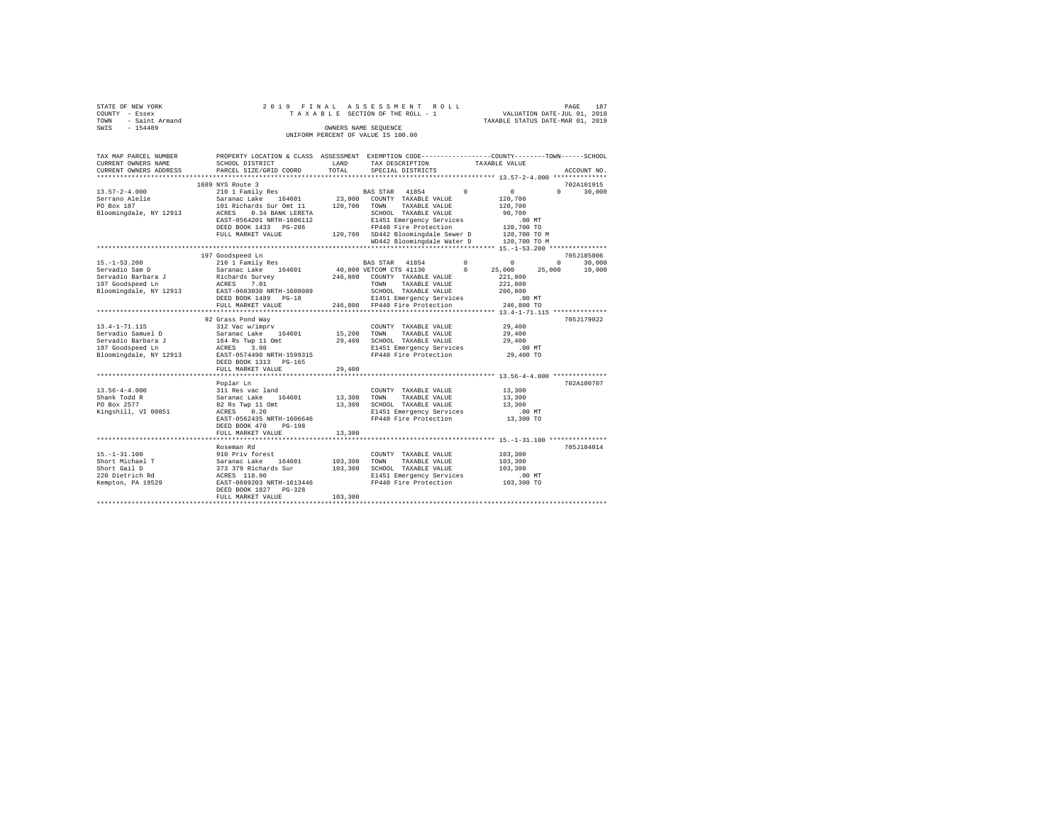| STATE OF NEW YORK                  |  |  |  | 2019 FINAL ASSESSMENT ROLL      |  |                                  | PAGE | 187 |  |
|------------------------------------|--|--|--|---------------------------------|--|----------------------------------|------|-----|--|
| COUNTY - Essex                     |  |  |  | TAXABLE SECTION OF THE ROLL - 1 |  | VALUATION DATE-JUL 01, 2018      |      |     |  |
| TOWN - Saint Armand                |  |  |  |                                 |  | TAXABLE STATUS DATE-MAR 01, 2019 |      |     |  |
| SWIS<br>$-154489$                  |  |  |  | OWNERS NAME SEOUENCE            |  |                                  |      |     |  |
| UNIFORM PERCENT OF VALUE IS 100.00 |  |  |  |                                 |  |                                  |      |     |  |

| TAX MAP PARCEL NUMBER<br>CURRENT OWNERS NAME<br>CURRENT OWNERS ADDRESS                                  | PROPERTY LOCATION & CLASS ASSESSMENT EXEMPTION CODE---------------COUNTY-------TOWN------SCHOOL<br>SCHOOL DISTRICT<br>PARCEL SIZE/GRID COORD                              | LAND<br>TOTAL              | TAX DESCRIPTION<br>SPECIAL DISTRICTS                                                                                                                                                    | TAXABLE VALUE                                                                                           | ACCOUNT NO.                            |
|---------------------------------------------------------------------------------------------------------|---------------------------------------------------------------------------------------------------------------------------------------------------------------------------|----------------------------|-----------------------------------------------------------------------------------------------------------------------------------------------------------------------------------------|---------------------------------------------------------------------------------------------------------|----------------------------------------|
| ************************                                                                                |                                                                                                                                                                           |                            |                                                                                                                                                                                         |                                                                                                         |                                        |
|                                                                                                         | 1689 NYS Route 3                                                                                                                                                          |                            |                                                                                                                                                                                         |                                                                                                         | 702A101915                             |
| $13.57 - 2 - 4.000$<br>Serrano Alelie<br>PO Box 187<br>Bloomingdale, NY 12913                           | 210 1 Family Res<br>Saranac Lake 164601<br>101 Richards Sur Omt 11<br>ACRES 0.34 BANK LERETA                                                                              | 120,700 TOWN               | <b>BAS STAR</b> 41854<br>23,000 COUNTY TAXABLE VALUE<br>TAXABLE VALUE<br>SCHOOL TAXABLE VALUE                                                                                           | $\sim$ 0<br>$\sim$ 0<br>120,700<br>120,700<br>90,700                                                    | $\Omega$<br>30,000                     |
|                                                                                                         | EAST-0564201 NRTH-1606112<br>DEED BOOK 1433 PG-286<br>FULL MARKET VALUE                                                                                                   |                            | E1451 Emergency Services<br>FP440 Fire Protection<br>120,700 SD442 Bloomingdale Sewer D 120,700 TO M<br>WD442 Bloomingdale Water D                                                      | $.00$ MT<br>120,700 TO<br>120,700 TO M                                                                  |                                        |
|                                                                                                         |                                                                                                                                                                           |                            |                                                                                                                                                                                         |                                                                                                         |                                        |
|                                                                                                         | 197 Goodspeed Ln                                                                                                                                                          |                            |                                                                                                                                                                                         |                                                                                                         | 705J185006                             |
| $15. -1 - 53.200$<br>Servadio Sam D<br>Servadio Barbara J<br>197 Goodspeed Ln<br>Bloomingdale, NY 12913 | 210 1 Family Res<br>Saranac Lake 164601<br>Richards Survey<br>ACRES<br>7.01<br>EAST-0603030 NRTH-1608089<br>DEED BOOK 1489 PG-18<br>FULL MARKET VALUE                     |                            | BAS STAR 41854<br>40,800 VETCOM CTS 41130<br>246,800 COUNTY TAXABLE VALUE<br>TOWN<br>TAXABLE VALUE<br>SCHOOL TAXABLE VALUE<br>E1451 Emergency Services<br>246,800 FP440 Fire Protection | $\Omega$<br>$\Omega$<br>$^{\circ}$<br>25,000<br>221,800<br>221,800<br>206,800<br>$.00$ MT<br>246,800 TO | $\Omega$<br>30,000<br>10,000<br>25,000 |
|                                                                                                         | *****************************                                                                                                                                             |                            |                                                                                                                                                                                         |                                                                                                         |                                        |
| 13.4-1-71.115<br>Servadio Samuel D<br>Servadio Barbara J<br>197 Goodspeed Ln<br>Bloomingdale, NY 12913  | 92 Grass Pond Way<br>312 Vac w/imprv<br>Saranac Lake 164601<br>164 Rs Twp 11 Omt<br>ACRES 3.98<br>EAST-0574490 NRTH-1599315<br>DEED BOOK 1313 PG-165<br>FULL MARKET VALUE | 15,200<br>29,400<br>29,400 | COUNTY TAXABLE VALUE<br>TOWN<br>TAXABLE VALUE<br>SCHOOL TAXABLE VALUE<br>E1451 Emergency Services<br>FP440 Fire Protection                                                              | 29,400<br>29,400<br>29,400<br>.00MT<br>29,400 TO                                                        | 705J179022                             |
|                                                                                                         |                                                                                                                                                                           |                            |                                                                                                                                                                                         |                                                                                                         |                                        |
| $13.56 - 4 - 4.000$<br>Shank Todd R<br>PO Box 2577<br>Kingshill, VI 00851                               | Poplar Ln<br>311 Res vac land<br>Saranac Lake 164601<br>82 Rs Twp 11 Omt<br>ACRES 0.20<br>EAST-0562435 NRTH-1606646<br>DEED BOOK 470<br>$PG-198$                          | 13,300 TOWN                | COUNTY TAXABLE VALUE<br>TAXABLE VALUE<br>13,300 SCHOOL TAXABLE VALUE<br>E1451 Emergency Services<br>FP440 Fire Protection                                                               | 13,300<br>13,300<br>13,300<br>$.00$ MT<br>13,300 TO                                                     | 702A100707                             |
|                                                                                                         | FULL MARKET VALUE                                                                                                                                                         | 13,300                     |                                                                                                                                                                                         |                                                                                                         |                                        |
| $15. - 1 - 31.100$<br>Short Michael T<br>Short Gail D                                                   | ************************<br>Roseman Rd<br>910 Priv forest<br>Saranac Lake 164601<br>373 379 Richards Sur                                                                  | 103,300<br>103,300         | COUNTY TAXABLE VALUE<br>TAXABLE VALUE<br>TOWN<br>SCHOOL TAXABLE VALUE                                                                                                                   | 103,300<br>103,300<br>103,300                                                                           | 705J104014                             |
| 220 Dietrich Rd<br>Kempton, PA 19529                                                                    | ACRES 118.90<br>EAST-0609203 NRTH-1613446<br>DEED BOOK 1827 PG-328<br>FULL MARKET VALUE                                                                                   | 103,300                    | E1451 Emergency Services<br>FP440 Fire Protection                                                                                                                                       | $.00$ MT<br>103,300 TO                                                                                  |                                        |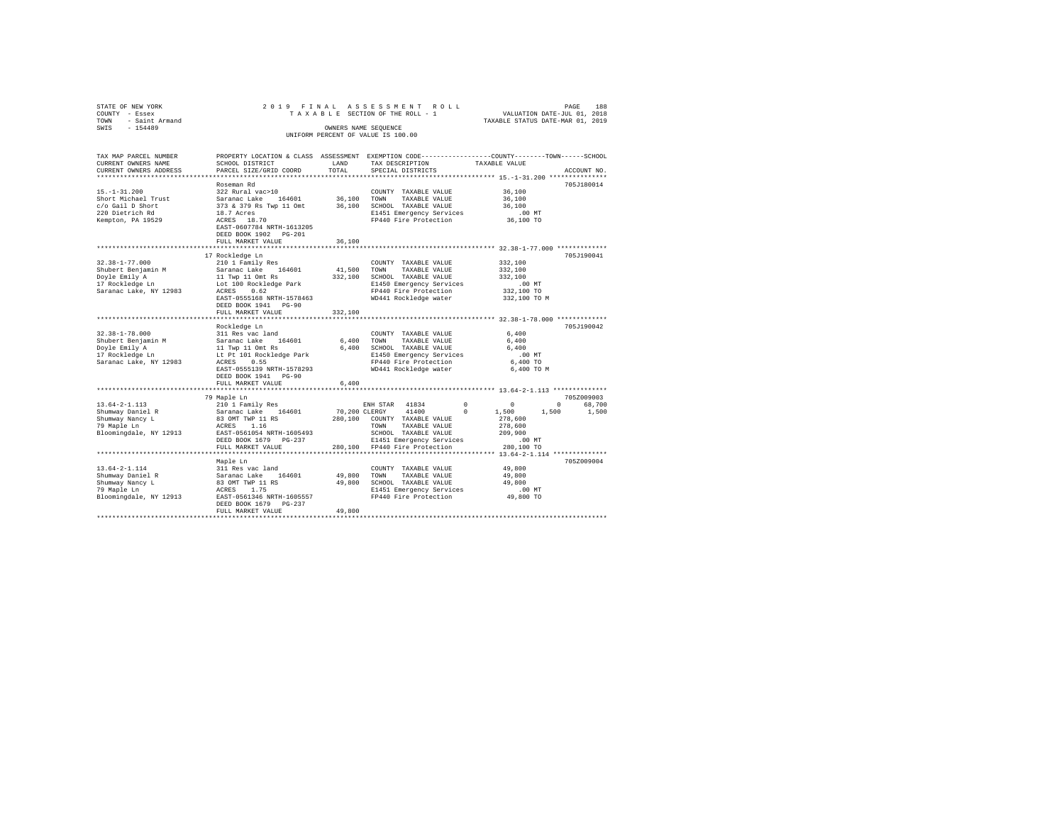| STATE OF NEW YORK<br>COUNTY - Essex<br>- Saint Armand<br>TOWN<br>SWIS<br>$-154489$ | 2019 FINAL ASSESSMENT ROLL                                                                                                                    | OWNERS NAME SEOUENCE | UNIFORM PERCENT OF VALUE IS 100.00 | TAXABLE SECTION OF THE ROLL - 1 |               | VALUATION DATE-JUL 01, 2018<br>TAXABLE STATUS DATE-MAR 01, 2019 | PAGE<br>188 |
|------------------------------------------------------------------------------------|-----------------------------------------------------------------------------------------------------------------------------------------------|----------------------|------------------------------------|---------------------------------|---------------|-----------------------------------------------------------------|-------------|
| TAX MAP PARCEL NUMBER<br>CURRENT OWNERS NAME<br>CURRENT OWNERS ADDRESS             | PROPERTY LOCATION & CLASS ASSESSMENT EXEMPTION CODE----------------COUNTY-------TOWN------SCHOOL<br>SCHOOL DISTRICT<br>PARCEL SIZE/GRID COORD | LAND<br>TOTAL        | SPECIAL DISTRICTS                  | TAX DESCRIPTION                 | TAXABLE VALUE |                                                                 | ACCOUNT NO. |
|                                                                                    | Roseman Rd                                                                                                                                    |                      |                                    |                                 |               |                                                                 | 705J180014  |
| $15. - 1 - 31.200$                                                                 | 322 Rural vac>10                                                                                                                              |                      |                                    | COUNTY TAXABLE VALUE            |               | 36,100                                                          |             |
| Short Michael Trust                                                                | Saranac Lake 164601<br>373 & 379 Rs Twp 11 Omt                                                                                                | 36,100 TOWN          |                                    | TAXABLE VALUE                   |               | 36,100                                                          |             |
| c/o Gail D Short                                                                   | 373 & 379 Rs Twp 11 Omt                                                                                                                       |                      |                                    | 36,100 SCHOOL TAXABLE VALUE     |               | 36,100                                                          |             |
| 220 Dietrich Rd                                                                    | 18.7 Acres                                                                                                                                    |                      |                                    | E1451 Emergency Services        |               | .00MT                                                           |             |
| Kempton, PA 19529                                                                  | ACRES 18.70<br>EAST-0607784 NRTH-1613205<br>DEED BOOK 1902 PG-201<br>FULL MARKET VALUE                                                        | 36,100               |                                    | FP440 Fire Protection           |               | 36,100 TO                                                       |             |
|                                                                                    | **************************                                                                                                                    | *****************    |                                    |                                 |               |                                                                 |             |
|                                                                                    | 17 Rockledge Ln                                                                                                                               |                      |                                    |                                 |               |                                                                 | 705J190041  |
| 32.38-1-77.000                                                                     | 210 1 Family Res                                                                                                                              |                      |                                    | COUNTY TAXABLE VALUE            |               | 332,100                                                         |             |
| Shubert Benjamin M                                                                 | Saranac Lake 164601                                                                                                                           | 41,500               | TOWN                               | TAXABLE VALUE                   |               | 332,100                                                         |             |
| Doyle Emily A<br>17 Rockledge Ln                                                   | 11 Twp 11 Omt Rs                                                                                                                              | 332,100              |                                    | SCHOOL TAXABLE VALUE            |               | 332,100                                                         |             |
|                                                                                    | Lot 100 Rockledge Park                                                                                                                        |                      |                                    | E1450 Emergency Services        |               | $.00$ MT                                                        |             |
| Saranac Lake, NY 12983                                                             | ACRES 0.62                                                                                                                                    |                      |                                    | FP440 Fire Protection           |               | 332,100 TO                                                      |             |
|                                                                                    | EAST-0555168 NRTH-1578463<br>DEED BOOK 1941 PG-90                                                                                             |                      |                                    | WD441 Rockledge water           |               | 332,100 TO M                                                    |             |
|                                                                                    | FULL MARKET VALUE                                                                                                                             | 332,100              |                                    |                                 |               |                                                                 |             |
|                                                                                    | Rockledge Ln                                                                                                                                  |                      |                                    |                                 |               |                                                                 | 705J190042  |
| $32.38 - 1 - 78.000$                                                               | 311 Res vac land                                                                                                                              |                      |                                    | COUNTY TAXABLE VALUE            |               | 6,400                                                           |             |
| Shubert Benjamin M                                                                 | Saranac Lake 164601                                                                                                                           | 6,400                | TOWN                               | TAXABLE VALUE                   |               | 6,400                                                           |             |
| Doyle Emily A                                                                      | 11 Twp 11 Omt Rs                                                                                                                              |                      |                                    | 6,400 SCHOOL TAXABLE VALUE      |               | 6,400                                                           |             |
| 17 Rockledge Ln                                                                    | Lt Pt 101 Rockledge Park                                                                                                                      |                      |                                    | E1450 Emergency Services        |               | $.00$ MT                                                        |             |
| Saranac Lake, NY 12983                                                             | ACRES 0.55                                                                                                                                    |                      |                                    | FP440 Fire Protection           |               | 6,400 TO                                                        |             |
|                                                                                    | EAST-0555139 NRTH-1578293<br>DEED BOOK 1941 PG-90                                                                                             |                      |                                    | WD441 Rockledge water           |               | 6,400 TO M                                                      |             |
|                                                                                    | FULL MARKET VALUE                                                                                                                             | 6.400                |                                    |                                 |               |                                                                 |             |
|                                                                                    | 79 Maple Ln                                                                                                                                   |                      |                                    |                                 |               |                                                                 | 705Z009003  |
| $13.64 - 2 - 1.113$                                                                | 210 1 Family Res                                                                                                                              |                      | ENH STAR 41834                     |                                 | $^{\circ}$    | $\sim$ 0<br>$^{\circ}$                                          | 68,700      |
| Shumway Daniel R                                                                   | Saranac Lake 164601                                                                                                                           | 70,200 CLERGY        |                                    | 41400                           | $\Omega$      | 1,500<br>1,500                                                  | 1,500       |
|                                                                                    |                                                                                                                                               |                      |                                    | 280,100 COUNTY TAXABLE VALUE    |               | 278,600                                                         |             |
| Shumway Nancy L<br>79 Maple Ln                                                     | 83 OMT TWP 11 RS<br>ACRES 1.16                                                                                                                |                      |                                    | TOWN TAXABLE VALUE              |               | 278,600                                                         |             |
| Bloomingdale, NY 12913                                                             | EAST-0561054 NRTH-1605493                                                                                                                     |                      |                                    | SCHOOL TAXABLE VALUE            |               | 209,900                                                         |             |
|                                                                                    | DEED BOOK 1679 PG-237                                                                                                                         |                      |                                    | E1451 Emergency Services        |               | $.00$ MT                                                        |             |
|                                                                                    | FULL MARKET VALUE                                                                                                                             |                      |                                    | 280,100 FP440 Fire Protection   |               | 280,100 TO                                                      |             |
|                                                                                    |                                                                                                                                               |                      |                                    |                                 |               |                                                                 |             |
|                                                                                    | Maple Ln                                                                                                                                      |                      |                                    |                                 |               |                                                                 | 705Z009004  |
| 13.64-2-1.114                                                                      | 311 Res vac land<br>Saranac Lake 164601                                                                                                       |                      |                                    | COUNTY TAXABLE VALUE            |               | 49,800                                                          |             |
| Shumway Daniel R<br>Shumway Nancy L<br>79 Maple Ln                                 |                                                                                                                                               | 49,800               | TOWN                               | TAXABLE VALUE                   |               | 49,800                                                          |             |
|                                                                                    | 83 OMT TWP 11 RS                                                                                                                              | 49,800               |                                    | SCHOOL TAXABLE VALUE            |               | 49,800                                                          |             |
|                                                                                    | ACRES 1.75                                                                                                                                    |                      |                                    | E1451 Emergency Services        |               | .00MT                                                           |             |
| Bloomingdale, NY 12913                                                             | EAST-0561346 NRTH-1605557<br>DEED BOOK 1679 PG-237                                                                                            |                      |                                    | FP440 Fire Protection           |               | 49,800 TO                                                       |             |
|                                                                                    | FULL MARKET VALUE                                                                                                                             | 49,800               |                                    |                                 |               |                                                                 |             |
|                                                                                    |                                                                                                                                               |                      |                                    |                                 |               |                                                                 |             |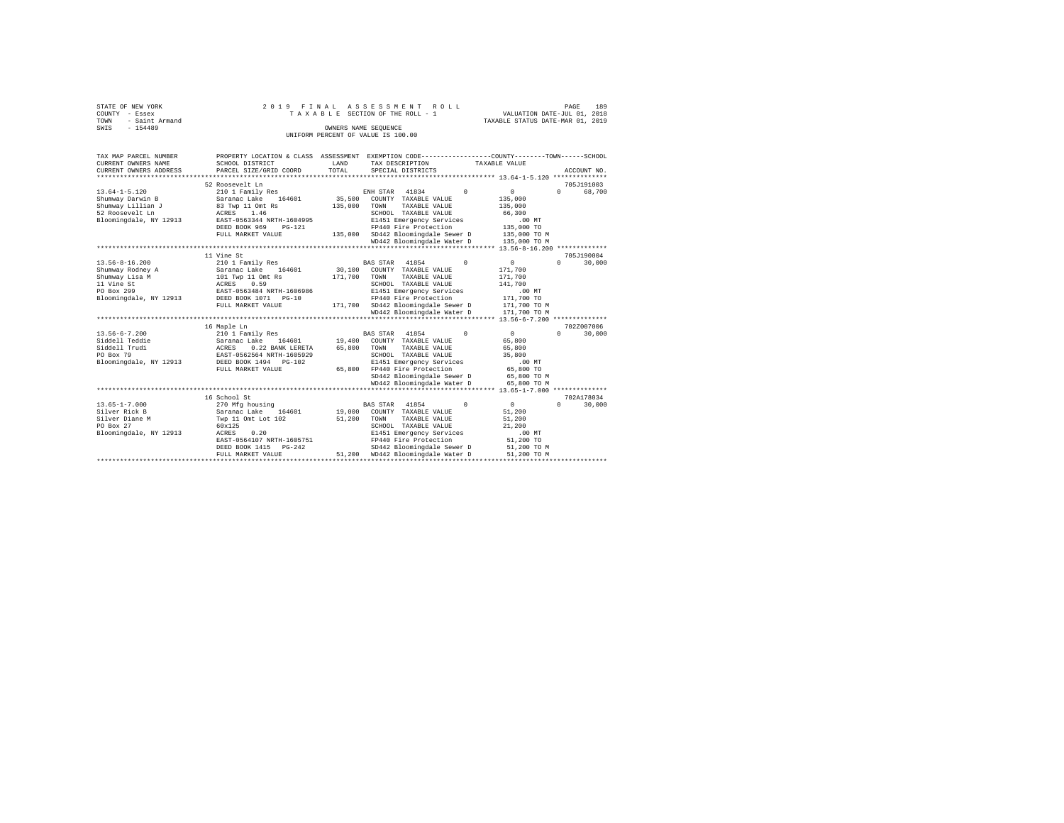| STATE OF NEW YORK      | 2019 FINAL ASSESSMENT ROLL         | 189<br>PAGE                      |
|------------------------|------------------------------------|----------------------------------|
| COUNTY - Essex         | TAXABLE SECTION OF THE ROLL - 1    | VALUATION DATE-JUL 01, 2018      |
| - Saint Armand<br>TOWN |                                    | TAXABLE STATUS DATE-MAR 01, 2019 |
| SWIS<br>$-154489$      | OWNERS NAME SEOUENCE               |                                  |
|                        | UNIFORM PERCENT OF VALUE IS 100.00 |                                  |

| TAX MAP PARCEL NUMBER<br>CURRENT OWNERS NAME<br>CURRENT OWNERS ADDRESS                                           | SCHOOL DISTRICT<br>PARCEL SIZE/GRID COORD                                                                                                                                                                                   | LAND<br>TOTAL                | PROPERTY LOCATION & CLASS ASSESSMENT EXEMPTION CODE-----------------COUNTY-------TOWN------SCHOOL<br>TAX DESCRIPTION<br>SPECIAL DISTRICTS                                                                                        | TAXABLE VALUE                                                                                      | ACCOUNT NO.                       |
|------------------------------------------------------------------------------------------------------------------|-----------------------------------------------------------------------------------------------------------------------------------------------------------------------------------------------------------------------------|------------------------------|----------------------------------------------------------------------------------------------------------------------------------------------------------------------------------------------------------------------------------|----------------------------------------------------------------------------------------------------|-----------------------------------|
| $13.64 - 1 - 5.120$<br>Shumway Darwin B<br>Shumway Lillian J<br>52 Roosevelt Ln<br>Bloomingdale, NY 12913        | 52 Roosevelt Ln<br>210 1 Family Res<br>Saranac Lake<br>164601<br>83 Twp 11 Omt Rs<br>ACRES<br>1.46<br>EAST-0563344 NRTH-1604995<br>DEED BOOK 969<br>$PG-121$<br>FULL MARKET VALUE<br>************************************** | 35,500<br>135,000<br>135,000 | 41834<br>$\Omega$<br>ENH STAR<br>COUNTY TAXABLE VALUE<br>TAXABLE VALUE<br>TOWN<br>SCHOOL TAXABLE VALUE<br>E1451 Emergency Services<br>FP440 Fire Protection<br>SD442 Bloomingdale Sewer D<br>WD442 Bloomingdale Water D          | $\circ$<br>135,000<br>135,000<br>66,300<br>$.00$ MT<br>135,000 TO<br>135,000 TO M<br>135,000 TO M  | 705J191003<br>$\Omega$<br>68,700  |
| $13.56 - 8 - 16.200$<br>Shumway Rodney A<br>Shumway Lisa M<br>11 Vine St<br>PO Box 299<br>Bloomingdale, NY 12913 | 11 Vine St<br>210 1 Family Res<br>Saranac Lake<br>164601<br>101 Twp 11 Omt Rs<br>0.59<br>ACRES<br>EAST-0563484 NRTH-1606986<br>DEED BOOK 1071<br>$PG-10$<br>FULL MARKET VALUE                                               | 30,100<br>171,700<br>171,700 | 41854<br><b>BAS STAR</b><br>$^{\circ}$<br>COUNTY TAXABLE VALUE<br>TOWN<br>TAXABLE VALUE<br>SCHOOL TAXABLE VALUE<br>E1451 Emergency Services<br>FP440 Fire Protection<br>SD442 Bloomingdale Sewer D<br>WD442 Bloomingdale Water D | $\circ$<br>171,700<br>171,700<br>141,700<br>$.00$ MT<br>171,700 TO<br>171,700 TO M<br>171,700 TO M | 705.T190004<br>$\Omega$<br>30,000 |
| $13.56 - 6 - 7.200$<br>Siddell Teddie<br>Siddell Trudi<br>PO Box 79<br>Bloomingdale, NY 12913                    | 16 Maple Ln<br>210 1 Family Res<br>164601<br>Saranac Lake<br>ACRES<br>0.22 BANK LERETA<br>EAST-0562564 NRTH-1605929<br>DEED BOOK 1494<br>$PG-102$<br>FULL MARKET VALUE                                                      | 19,400<br>65,800<br>65,800   | 41854<br>$\Omega$<br><b>BAS STAR</b><br>COUNTY TAXABLE VALUE<br>TAXABLE VALUE<br>TOWN<br>SCHOOL TAXABLE VALUE<br>E1451 Emergency Services<br>FP440 Fire Protection<br>SD442 Bloomingdale Sewer D<br>WD442 Bloomingdale Water D   | $\circ$<br>65,800<br>65,800<br>35,800<br>$.00$ MT<br>65,800 TO<br>65,800 TO M<br>65,800 TO M       | 702Z007006<br>$\Omega$<br>30,000  |
| $13.65 - 1 - 7.000$<br>Silver Rick B<br>Silver Diane M<br>PO Box 27<br>Bloomingdale, NY 12913                    | 16 School St<br>270 Mfg housing<br>Saranac Lake<br>164601<br>Twp 11 Omt Lot 102<br>60x125<br>0.20<br>ACRES<br>EAST-0564107 NRTH-1605751<br>DEED BOOK 1415<br>$PG-242$<br>FULL MARKET VALUE<br>*************************     | 19,000<br>51,200<br>51,200   | 41854<br>$^{\circ}$<br><b>BAS STAR</b><br>COUNTY TAXABLE VALUE<br>TOWN<br>TAXABLE VALUE<br>SCHOOL TAXABLE VALUE<br>E1451 Emergency Services<br>FP440 Fire Protection<br>SD442 Bloomingdale Sewer D<br>WD442 Bloomingdale Water D | $\circ$<br>51,200<br>51,200<br>21,200<br>.00MT<br>51,200 TO<br>51,200 TO M<br>51,200 TO M          | 702A178034<br>$\Omega$<br>30,000  |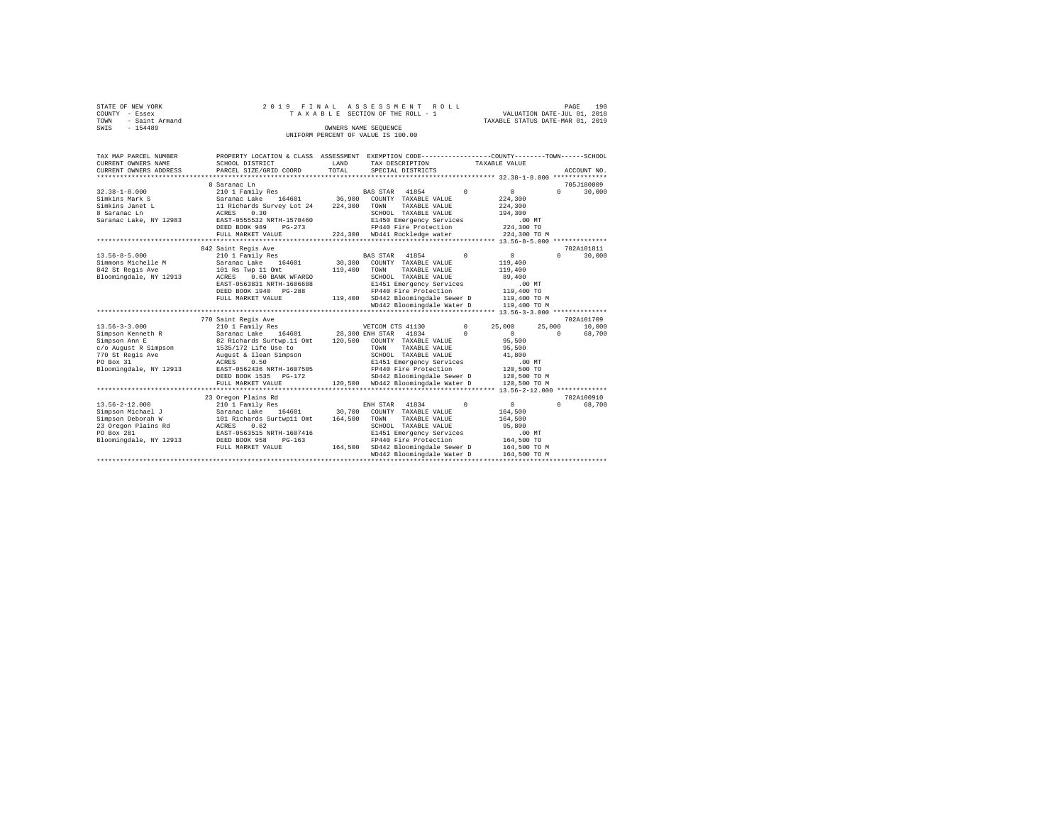| STATE OF NEW YORK                  | 2019 FINAL ASSESSMENT ROLL      | 190<br>PAGE                      |  |  |  |  |  |  |  |
|------------------------------------|---------------------------------|----------------------------------|--|--|--|--|--|--|--|
| COUNTY - Essex                     | TAXABLE SECTION OF THE ROLL - 1 | VALUATION DATE-JUL 01, 2018      |  |  |  |  |  |  |  |
| TOWN - Saint Armand                |                                 | TAXABLE STATUS DATE-MAR 01, 2019 |  |  |  |  |  |  |  |
| SWIS<br>$-154489$                  | OWNERS NAME SEOUENCE            |                                  |  |  |  |  |  |  |  |
| UNIFORM PERCENT OF VALUE IS 100.00 |                                 |                                  |  |  |  |  |  |  |  |

| TAX MAP PARCEL NUMBER<br>CURRENT OWNERS NAME<br>CURRENT OWNERS ADDRESS                                                                       | PROPERTY LOCATION & CLASS ASSESSMENT<br>SCHOOL DISTRICT<br>PARCEL SIZE/GRID COORD                                                                                                                                                               | LAND<br>TOTAL                | EXEMPTION CODE----------------COUNTY-------TOWN------SCHOOL<br>TAX DESCRIPTION<br>SPECIAL DISTRICTS                                                                                                                                    |                        | TAXABLE VALUE                                                                                                                                    |          | ACCOUNT NO.                    |
|----------------------------------------------------------------------------------------------------------------------------------------------|-------------------------------------------------------------------------------------------------------------------------------------------------------------------------------------------------------------------------------------------------|------------------------------|----------------------------------------------------------------------------------------------------------------------------------------------------------------------------------------------------------------------------------------|------------------------|--------------------------------------------------------------------------------------------------------------------------------------------------|----------|--------------------------------|
| $32.38 - 1 - 8.000$<br>Simkins Mark S<br>Simkins Janet L<br>8 Saranac Ln<br>Saranac Lake, NY 12983                                           | 8 Saranac Ln<br>210 1 Family Res<br>164601<br>Saranac Lake<br>11 Richards Survey Lot 24<br>ACRES<br>0.30<br>EAST-0555532 NRTH-1578460<br>DEED BOOK 989<br>$PG-273$<br>FULL MARKET VALUE<br>**************************                           | 36,900<br>224,300            | 41854<br>BAS STAR<br>COUNTY TAXABLE VALUE<br>TOWN<br>TAXABLE VALUE<br>SCHOOL TAXABLE VALUE<br>E1450 Emergency Services<br>FP440 Fire Protection<br>224.300 WD441 Rockledge water                                                       | $\Omega$               | $\Omega$<br>224,300<br>224,300<br>194,300<br>$.00$ MT<br>224,300 TO<br>224,300 TO M                                                              | $\Omega$ | 705J180009<br>30,000           |
| $13.56 - 8 - 5.000$<br>Simmons Michelle M<br>842 St Regis Ave<br>Bloomingdale, NY 12913                                                      | 842 Saint Regis Ave<br>210 1 Family Res<br>164601<br>Saranac Lake<br>101 Rs Twp 11 Omt<br>0.60 BANK WFARGO<br>ACRES<br>EAST-0563831 NRTH-1606688<br>DEED BOOK 1940 PG-288<br>FULL MARKET VALUE                                                  | 30,300<br>119,400<br>119,400 | 41854<br>BAS STAR<br>COUNTY TAXABLE VALUE<br>TOWN<br>TAXABLE VALUE<br>SCHOOL TAXABLE VALUE<br>E1451 Emergency Services<br>FP440 Fire Protection<br>SD442 Bloomingdale Sewer D<br>WD442 Bloomingdale Water D                            | $^{\circ}$             | $\circ$<br>119,400<br>119,400<br>89,400<br>$.00$ MT<br>119,400 TO<br>119,400 TO M<br>119,400 TO M<br>************** 13.56-3-3.000 ************** | $\Omega$ | 702A101811<br>30,000           |
| $13.56 - 3 - 3.000$<br>Simpson Kenneth R<br>Simpson Ann E<br>c/o August R Simpson<br>770 St Regis Ave<br>PO Box 31<br>Bloomingdale, NY 12913 | 770 Saint Regis Ave<br>210 1 Family Res<br>164601<br>Saranac Lake<br>82 Richards Surtwp.11 Omt<br>1535/172 Life Use to<br>August & Ilean Simpson<br>0.50<br>ACRES<br>EAST-0562436 NRTH-1607505<br>DEED BOOK 1535<br>PG-172<br>FULL MARKET VALUE | 120,500<br>120,500           | VETCOM CTS 41130<br>28,300 ENH STAR<br>41834<br>COUNTY TAXABLE VALUE<br>TAXABLE VALUE<br>TOWN<br>SCHOOL TAXABLE VALUE<br>E1451 Emergency Services<br>FP440 Fire Protection<br>SD442 Bloomingdale Sewer D<br>WD442 Bloomingdale Water D | $^{\circ}$<br>$\Omega$ | 25,000<br>25,000<br>$\Omega$<br>95,500<br>95,500<br>41,800<br>$.00$ $MT$<br>120,500 TO<br>120,500 TO M<br>120,500 TO M                           | $\Omega$ | 702A101709<br>10,000<br>68,700 |
| $13.56 - 2 - 12.000$<br>Simpson Michael J<br>Simpson Deborah W<br>23 Oregon Plains Rd<br>PO Box 281<br>Bloomingdale, NY 12913                | 23 Oregon Plains Rd<br>210 1 Family Res<br>Saranac Lake<br>164601<br>101 Richards Surtwp11 Omt<br>0.62<br>ACRES<br>EAST-0563515 NRTH-1607416<br>DEED BOOK 958<br>$PG-163$<br>FULL MARKET VALUE                                                  | 30,700<br>164,500<br>164,500 | 41834<br>ENH STAR<br>COUNTY TAXABLE VALUE<br>TOWN<br>TAXABLE VALUE<br>SCHOOL TAXABLE VALUE<br>E1451 Emergency Services<br>FP440 Fire Protection<br>SD442 Bloomingdale Sewer D<br>WD442 Bloomingdale Water D                            | $\Omega$               | $\circ$<br>164,500<br>164,500<br>95,800<br>.00MT<br>164,500 TO<br>164,500 TO M<br>164,500 TO M                                                   | $\Omega$ | 702A100910<br>68,700           |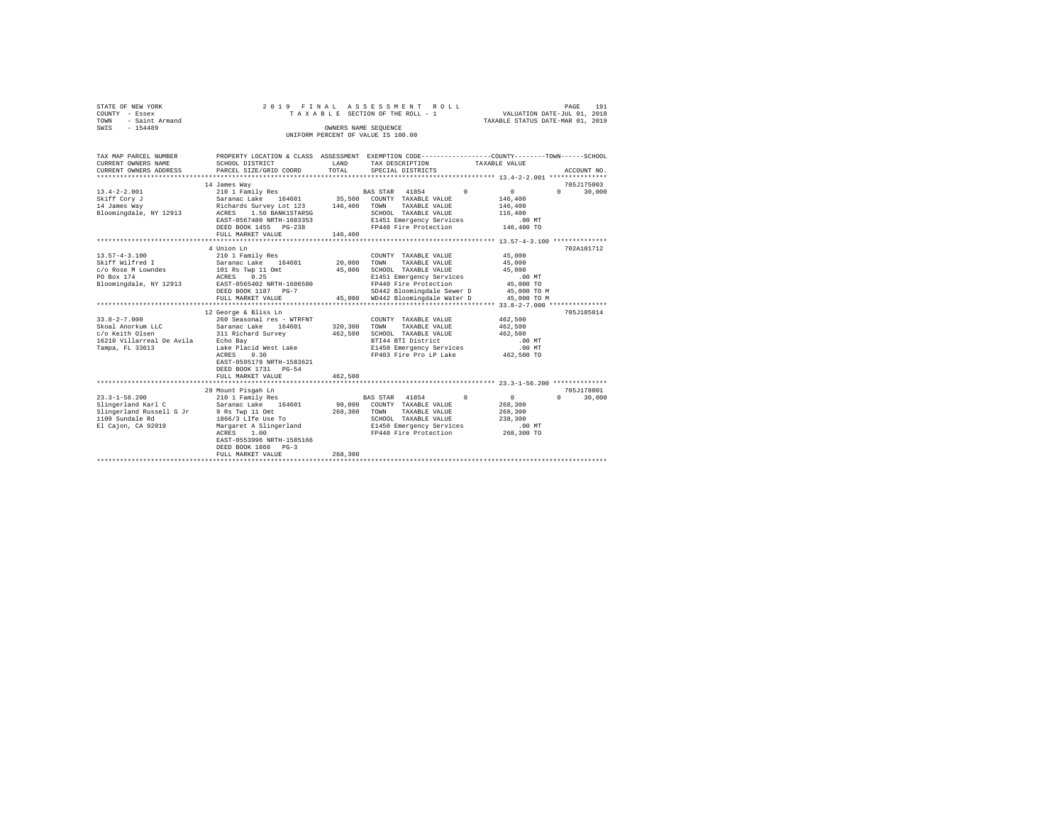|      | STATE OF NEW YORK | 2019 FINAL ASSESSMENT ROLL         | PAGE                             | 191 |
|------|-------------------|------------------------------------|----------------------------------|-----|
|      | COUNTY - Essex    | TAXABLE SECTION OF THE ROLL - 1    | VALUATION DATE-JUL 01, 2018      |     |
| TOWN | - Saint Armand    |                                    | TAXABLE STATUS DATE-MAR 01, 2019 |     |
| SWIS | $-154489$         | OWNERS NAME SEOUENCE               |                                  |     |
|      |                   | UNIFORM PERCENT OF VALUE IS 100.00 |                                  |     |

| TAX MAP PARCEL NUMBER<br>CURRENT OWNERS NAME<br>CURRENT OWNERS ADDRESS                                                         | SCHOOL DISTRICT<br>PARCEL SIZE/GRID COORD                                                                                                                                                                                              | LAND<br>TOTAL           | PROPERTY LOCATION & CLASS ASSESSMENT EXEMPTION CODE----------------COUNTY-------TOWN-----SCHOOL<br>TAX DESCRIPTION TAXABLE VALUE<br>SPECIAL DISTRICTS           | ACCOUNT NO.                                                                                      |
|--------------------------------------------------------------------------------------------------------------------------------|----------------------------------------------------------------------------------------------------------------------------------------------------------------------------------------------------------------------------------------|-------------------------|-----------------------------------------------------------------------------------------------------------------------------------------------------------------|--------------------------------------------------------------------------------------------------|
| $13.4 - 2 - 2.001$<br>Skiff Corv J<br>14 James Wav<br>Bloomingdale, NY 12913                                                   | 14 James Way<br>210 1 Family Res<br>Saranac Lake 164601 35,500 COUNTY TAXABLE VALUE<br>Richards Survey Lot 123 146,400 TOWN<br>ACRES 1.50 BANK1STARSG SCHOO<br>EAST-0567480 NRTH-1603353<br>DEED BOOK 1455 PG-238<br>FULL MARKET VALUE | 146,400                 | BAS STAR 41854 0<br>TAXABLE VALUE<br>SCHOOL TAXABLE VALUE<br>E1451 Emergency Services<br>FP440 Fire Protection 146,400 TO                                       | 705J175003<br>$\sim$ 0<br>$0 \qquad \qquad$<br>30,000<br>146,400<br>146,400<br>116,400<br>.00 MT |
| $13.57 - 4 - 3.100$<br>Skiff Wilfred I<br>PO Box 174<br>Bloomingdale, NY 12913                                                 | 4 Union Ln<br>210 1 Family Res<br>Saranac Lake 164601 20,000 TOWN<br>$c/o$ Rose M Lowndes $101$ Rs Twp 11 Omt $45,000$<br>ACRES 0.25<br>EAST-0565402 NRTH-1606580<br>DEED BOOK 1187 PG-7<br>FULL MARKET VALUE                          |                         | COUNTY TAXABLE VALUE<br>TAXABLE VALUE<br>SCHOOL TAXABLE VALUE 45,000<br>SD442 Bloomingdale Sewer D 45,000 TO M<br>45,000 WD442 Bloomingdale Water D 45,000 TO M | 702A101712<br>45,000<br>45,000                                                                   |
| 16210 Villarreal De Avila - Echo Bay<br>Tampa, FL 33613                                                                        | 12 George & Bliss Ln<br>Lake Placid West Lake<br>ACRES 9.30<br>EAST-0595179 NRTH-1583621<br>DEED BOOK 1731 PG-54<br>FULL MARKET VALUE                                                                                                  | 462,500                 | SCHOOL TAXABLE VALUE<br>BTI44 BTI District<br>E1450 Emergency Services<br>FP403 Fire Pro LP Lake 462.500 TO                                                     | 705J185014<br>462,500<br>462,500<br>462,500<br>.00 MT<br>$.00$ MT                                |
| $23.3 - 1 - 56.200$<br>Slingerland Karl C<br>Slingerland Russell G Jr 9 Rs Twp 11 Omt<br>1109 Sundale Rd<br>El Cajon, CA 92019 | 29 Mount Pisgah Ln<br>mount Pisgan Ln<br>210 1 Family Res<br>Saranac Lake 164601 90,000 COUNTY TAXABLE VALUE<br>1866/3 LIfe Use To<br>ACRES 1.00<br>EAST-0553996 NRTH-1585166<br>DEED BOOK 1866 PG-3<br>FULL MARKET VALUE              | 268,300 TOWN<br>268,300 | BAS STAR 41854 0<br>TAXABLE VALUE<br>SCHOOL TAXABLE VALUE<br>Margaret A Slingerland E1450 Emergency Services<br>FP440 Fire Protection 268,300 TO                | 705J178001<br>$\sim$ 0<br>$\mathbf{r}$<br>30,000<br>268,300<br>268,300<br>238,300<br>$.00$ MT    |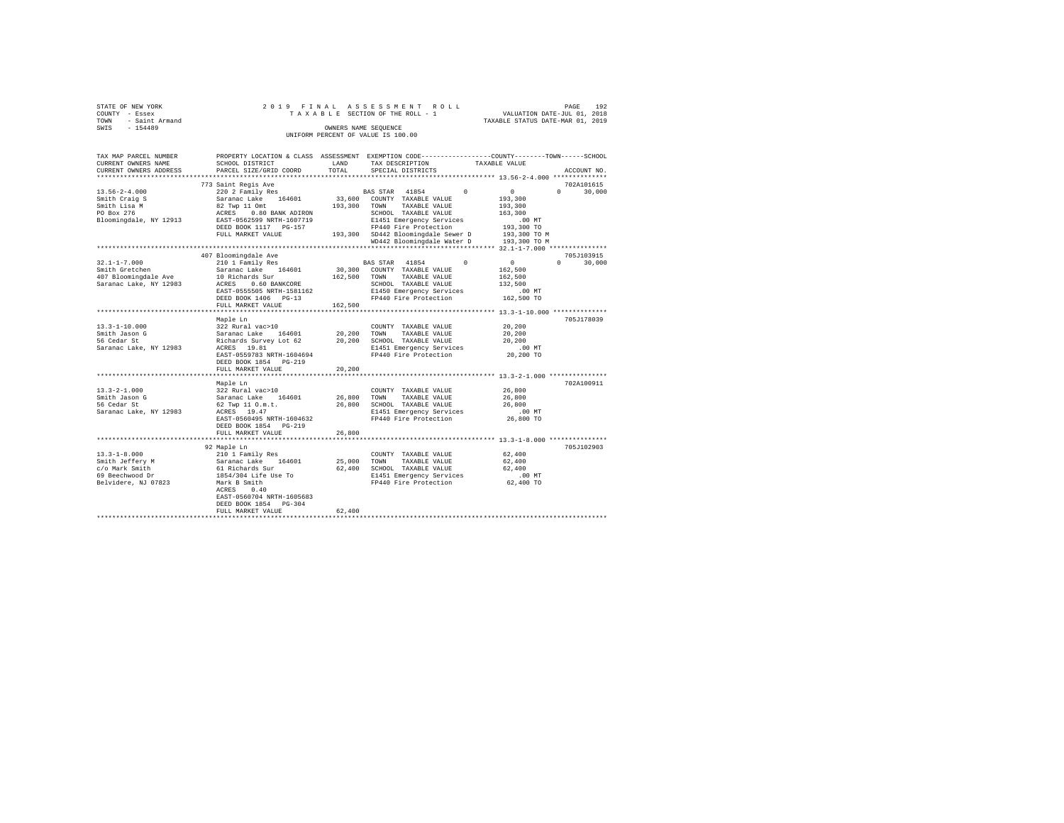|      | STATE OF NEW YORK |                      |  |  |  |  |  |  | 2019 FINAL ASSESSMENT ROLL         |  |  |  |  |  |                                  |  | PAGE | 192 |
|------|-------------------|----------------------|--|--|--|--|--|--|------------------------------------|--|--|--|--|--|----------------------------------|--|------|-----|
|      | COUNTY - Essex    |                      |  |  |  |  |  |  | TAXABLE SECTION OF THE ROLL - 1    |  |  |  |  |  | VALUATION DATE-JUL 01, 2018      |  |      |     |
| TOWN | - Saint Armand    |                      |  |  |  |  |  |  |                                    |  |  |  |  |  | TAXABLE STATUS DATE-MAR 01, 2019 |  |      |     |
| SWIS | $-154489$         | OWNERS NAME SEOUENCE |  |  |  |  |  |  |                                    |  |  |  |  |  |                                  |  |      |     |
|      |                   |                      |  |  |  |  |  |  | UNIFORM PERCENT OF VALUE IS 100.00 |  |  |  |  |  |                                  |  |      |     |

| TAX MAP PARCEL NUMBER<br>CURRENT OWNERS NAME | SCHOOL DISTRICT                            | LAND    | PROPERTY LOCATION & CLASS ASSESSMENT EXEMPTION CODE---------------COUNTY-------TOWN-----SCHOOL<br>TAX DESCRIPTION | TAXABLE VALUE |                                  |
|----------------------------------------------|--------------------------------------------|---------|-------------------------------------------------------------------------------------------------------------------|---------------|----------------------------------|
| CURRENT OWNERS ADDRESS                       | PARCEL SIZE/GRID COORD                     | TOTAL   | SPECIAL DISTRICTS                                                                                                 |               | ACCOUNT NO.                      |
|                                              | ******************                         |         |                                                                                                                   |               |                                  |
| $13.56 - 2 - 4.000$                          | 773 Saint Regis Ave<br>220 2 Family Res    |         | BAS STAR 41854<br>$\Omega$                                                                                        | $\mathbf{0}$  | 702A101615<br>30,000<br>$\Omega$ |
| Smith Craig S                                | Saranac Lake<br>164601                     | 33,600  | COUNTY TAXABLE VALUE                                                                                              | 193,300       |                                  |
| Smith Lisa M                                 | 82 Twp 11 Omt                              | 193,300 | TAXABLE VALUE<br>TOWN                                                                                             | 193,300       |                                  |
| PO Box 276                                   | ACRES<br>0.80 BANK ADIRON                  |         | SCHOOL TAXABLE VALUE                                                                                              | 163,300       |                                  |
| Bloomingdale, NY 12913                       | EAST-0562599 NRTH-1607719                  |         | E1451 Emergency Services                                                                                          | .00MT         |                                  |
|                                              | DEED BOOK 1117 PG-157                      |         | FP440 Fire Protection                                                                                             | 193,300 TO    |                                  |
|                                              | FULL MARKET VALUE                          |         | 193,300 SD442 Bloomingdale Sewer D                                                                                | 193,300 TO M  |                                  |
|                                              |                                            |         | WD442 Bloomingdale Water D                                                                                        | 193,300 TO M  |                                  |
|                                              |                                            |         |                                                                                                                   |               |                                  |
|                                              | 407 Bloomingdale Ave                       |         |                                                                                                                   |               | 705J103915                       |
| $32.1 - 1 - 7.000$                           | 210 1 Family Res                           |         | $\Omega$<br>BAS STAR 41854                                                                                        | 0             | $\Omega$<br>30,000               |
| Smith Gretchen                               | Saranac Lake 164601                        |         | 30,300 COUNTY TAXABLE VALUE                                                                                       | 162,500       |                                  |
| 407 Bloomingdale Ave                         | 10 Richards Sur                            | 162,500 | TAXABLE VALUE<br>TOWN                                                                                             | 162,500       |                                  |
| Saranac Lake, NY 12983                       | ACRES 0.60 BANKCORE                        |         | SCHOOL TAXABLE VALUE                                                                                              | 132,500       |                                  |
|                                              | EAST-0555505 NRTH-1581162                  |         | E1450 Emergency Services                                                                                          | $.00$ MT      |                                  |
|                                              | DEED BOOK 1406 PG-13<br>FULL MARKET VALUE  | 162,500 | FP440 Fire Protection                                                                                             | 162,500 TO    |                                  |
|                                              |                                            |         |                                                                                                                   |               |                                  |
|                                              | Maple Ln                                   |         |                                                                                                                   |               | 705J178039                       |
| $13.3 - 1 - 10.000$                          | 322 Rural vac>10                           |         | COUNTY TAXABLE VALUE                                                                                              | 20,200        |                                  |
| Smith Jason G                                | Saranac Lake 164601                        | 20,200  | TOWN<br>TAXABLE VALUE                                                                                             | 20,200        |                                  |
| 56 Cedar St                                  | Richards Survey Lot 62                     | 20,200  | SCHOOL TAXABLE VALUE                                                                                              | 20,200        |                                  |
| Saranac Lake, NY 12983                       | ACRES 19.81                                |         | E1451 Emergency Services                                                                                          | $.00$ MT      |                                  |
|                                              | EAST-0559783 NRTH-1604694                  |         | FP440 Fire Protection                                                                                             | 20,200 TO     |                                  |
|                                              | DEED BOOK 1854 PG-219                      |         |                                                                                                                   |               |                                  |
|                                              | FULL MARKET VALUE                          | 20,200  |                                                                                                                   |               |                                  |
|                                              | ***********************                    |         | **************************** 13.3-2-1.000 ***************                                                         |               |                                  |
|                                              | Maple Ln                                   |         |                                                                                                                   |               | 702A100911                       |
| $13.3 - 2 - 1.000$                           | 322 Rural vac>10                           |         | COUNTY TAXABLE VALUE                                                                                              | 26,800        |                                  |
| Smith Jason G                                | Saranac Lake 164601                        | 26,800  | TOWN<br>TAXABLE VALUE                                                                                             | 26,800        |                                  |
| 56 Cedar St                                  | 62 Twp 11 O.m.t.                           | 26,800  | SCHOOL TAXABLE VALUE                                                                                              | 26,800        |                                  |
| Saranac Lake, NY 12983                       | ACRES 19.47                                |         | E1451 Emergency Services                                                                                          | $.00$ MT      |                                  |
|                                              | EAST-0560495 NRTH-1604632                  |         | FP440 Fire Protection                                                                                             | 26,800 TO     |                                  |
|                                              | DEED BOOK 1854 PG-219<br>FULL MARKET VALUE | 26,800  |                                                                                                                   |               |                                  |
|                                              |                                            |         | ********************************** 13.3-1-8.000 *****************                                                 |               |                                  |
|                                              | 92 Maple Ln                                |         |                                                                                                                   |               | 705J102903                       |
| $13.3 - 1 - 8.000$                           | 210 1 Family Res                           |         | COUNTY TAXABLE VALUE                                                                                              | 62,400        |                                  |
| Smith Jeffery M                              | Saranac Lake 164601                        | 25,000  | TOWN<br>TAXABLE VALUE                                                                                             | 62,400        |                                  |
| c/o Mark Smith                               | 61 Richards Sur                            | 62,400  | SCHOOL TAXABLE VALUE                                                                                              | 62,400        |                                  |
| 69 Beechwood Dr                              | 1854/304 Life Use To                       |         | E1451 Emergency Services                                                                                          | .00 MT        |                                  |
| Belvidere, NJ 07823                          | Mark B Smith                               |         | FP440 Fire Protection                                                                                             | 62,400 TO     |                                  |
|                                              | 0.40<br>ACRES                              |         |                                                                                                                   |               |                                  |
|                                              | EAST-0560704 NRTH-1605683                  |         |                                                                                                                   |               |                                  |
|                                              | DEED BOOK 1854 PG-304                      |         |                                                                                                                   |               |                                  |
|                                              | FULL MARKET VALUE                          | 62,400  |                                                                                                                   |               |                                  |
|                                              |                                            |         |                                                                                                                   |               |                                  |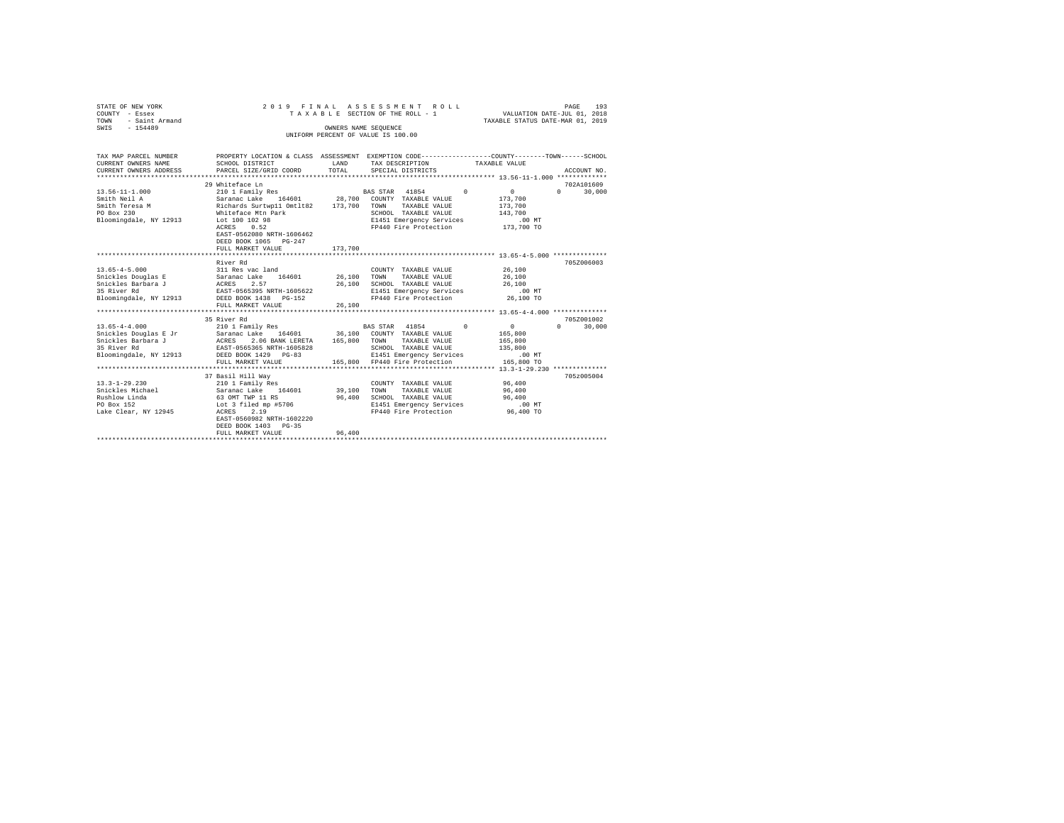| STATE OF NEW YORK      |                                                                                                                                                                                                                                       |             | 2019 FINAL ASSESSMENT ROLL                        |                                  | PAGE<br>193                     |
|------------------------|---------------------------------------------------------------------------------------------------------------------------------------------------------------------------------------------------------------------------------------|-------------|---------------------------------------------------|----------------------------------|---------------------------------|
| COUNTY - Essex         |                                                                                                                                                                                                                                       |             | TAXABLE SECTION OF THE ROLL - 1                   | VALUATION DATE-JUL 01, 2018      |                                 |
| TOWN - Saint Armand    |                                                                                                                                                                                                                                       |             |                                                   | TAXABLE STATUS DATE-MAR 01, 2019 |                                 |
| SWTS - 154489          |                                                                                                                                                                                                                                       |             | OWNERS NAME SEOUENCE                              |                                  |                                 |
|                        |                                                                                                                                                                                                                                       |             | UNIFORM PERCENT OF VALUE IS 100.00                |                                  |                                 |
|                        |                                                                                                                                                                                                                                       |             |                                                   |                                  |                                 |
|                        |                                                                                                                                                                                                                                       |             |                                                   |                                  |                                 |
| TAX MAP PARCEL NUMBER  | PROPERTY LOCATION & CLASS ASSESSMENT EXEMPTION CODE----------------COUNTY-------TOWN------SCHOOL                                                                                                                                      |             |                                                   |                                  |                                 |
| CURRENT OWNERS NAME    | SCHOOL DISTRICT TAND TAX DESCRIPTION                                                                                                                                                                                                  |             |                                                   | TAXABLE VALUE                    |                                 |
| CURRENT OWNERS ADDRESS | PARCEL SIZE/GRID COORD TOTAL                                                                                                                                                                                                          |             | SPECIAL DISTRICTS                                 |                                  | ACCOUNT NO.                     |
|                        |                                                                                                                                                                                                                                       |             |                                                   |                                  |                                 |
|                        | 29 Whiteface Ln                                                                                                                                                                                                                       |             |                                                   |                                  | 702A101609                      |
| $13.56 - 11 - 1.000$   | 210 1 Family Res                                                                                                                                                                                                                      |             | BAS STAR 41854 0                                  | $\sim$ 0                         | 30,000<br>$\Omega$ and $\Omega$ |
| Smith Neil A           | Saranac Lake 164601 28,700 COUNTY TAXABLE VALUE<br>Richards Surtwp11 Omtlt82 173,700 TOWN TAXABLE VALUE                                                                                                                               |             |                                                   | 173,700<br>173,700               |                                 |
| Smith Teresa M         |                                                                                                                                                                                                                                       |             |                                                   |                                  |                                 |
| PO Box 230             | Whiteface Mtn Park                                                                                                                                                                                                                    |             | SCHOOL TAXABLE VALUS<br>E1451 Emergency Services  |                                  |                                 |
| Bloomingdale, NY 12913 | Lot 100 102 98<br>ACRES 0.52                                                                                                                                                                                                          |             |                                                   |                                  |                                 |
|                        |                                                                                                                                                                                                                                       |             | FP440 Fire Protection                             | 173,700 TO                       |                                 |
|                        | EAST-0562080 NRTH-1606462                                                                                                                                                                                                             |             |                                                   |                                  |                                 |
|                        | DEED BOOK 1065 PG-247                                                                                                                                                                                                                 |             |                                                   |                                  |                                 |
|                        | FULL MARKET VALUE                                                                                                                                                                                                                     | 173,700     |                                                   |                                  |                                 |
|                        |                                                                                                                                                                                                                                       |             |                                                   |                                  |                                 |
|                        | River Rd                                                                                                                                                                                                                              |             |                                                   |                                  | 705Z006003                      |
| $13.65 - 4 - 5.000$    | 311 Res vac land                                                                                                                                                                                                                      |             | COUNTY TAXABLE VALUE                              | 26,100                           |                                 |
|                        | Snickles Douglas E<br>$\begin{tabular}{lllllll} \multicolumn{2}{l}{{\bf Snickles}} & {\bf Doudlas} & {\bf E} & {\bf Saranac} & {\bf Lake} & 164601 \\ {\bf Snickles} & {\bf Barbara} & {\bf J} & {\bf ACRES} & 2.57 \\ \end{tabular}$ | 26,100 TOWN | TAXABLE VALUE                                     | 26,100                           |                                 |
|                        |                                                                                                                                                                                                                                       |             | 26.100 SCHOOL TAXABLE VALUE                       | 26,100                           |                                 |
| 35 River Rd            | EAST-0565395 NRTH-1605622<br>DEED BOOK 1438 PG-152                                                                                                                                                                                    |             | E1451 Emergency Services<br>FP440 Fire Protection | .00 MT                           |                                 |
| Bloomingdale, NY 12913 | DEED BOOK 1438 PG-152                                                                                                                                                                                                                 |             |                                                   | 26,100 TO                        |                                 |
|                        | FULL MARKET VALUE                                                                                                                                                                                                                     | 26,100      |                                                   |                                  |                                 |
|                        |                                                                                                                                                                                                                                       |             |                                                   |                                  |                                 |
|                        | 35 River Rd                                                                                                                                                                                                                           |             |                                                   |                                  | 705Z001002                      |
| $13.65 - 4 - 4.000$    | 210 1 Family Res                                                                                                                                                                                                                      |             | BAS STAR 41854 0                                  | $\mathbf{0}$                     | $0 \t 30.000$                   |
|                        |                                                                                                                                                                                                                                       |             |                                                   | 165,800                          |                                 |
|                        |                                                                                                                                                                                                                                       |             | TAXABLE VALUE                                     | 165,800                          |                                 |
| 35 River Rd            | EAST-0565365 NRTH-1605828                                                                                                                                                                                                             |             | SCHOOL TAXABLE VALUE                              | 135,800                          |                                 |
| Bloomingdale, NY 12913 | DEED BOOK 1429 PG-83                                                                                                                                                                                                                  |             | E1451 Emergency Services                          | $.00$ MT                         |                                 |
|                        | FULL MARKET VALUE                                                                                                                                                                                                                     |             | 165,800 FP440 Fire Protection                     | 165,800 TO                       |                                 |
|                        |                                                                                                                                                                                                                                       |             |                                                   |                                  |                                 |
|                        | 37 Basil Hill Wav<br>210 1 Family Res                                                                                                                                                                                                 |             |                                                   |                                  | 705z005004                      |
| $13.3 - 1 - 29.230$    |                                                                                                                                                                                                                                       |             | COUNTY TAXABLE VALUE                              | 96,400                           |                                 |
| Snickles Michael       | Saranac Lake 164601                                                                                                                                                                                                                   | 39,100 TOWN | TAXABLE VALUE                                     | 96,400                           |                                 |
| Rushlow Linda          | 63 OMT TWP 11 RS                                                                                                                                                                                                                      |             | 96,400 SCHOOL TAXABLE VALUE                       | 96,400                           |                                 |
| PO Box 152             | Lot 3 filed mp #5706                                                                                                                                                                                                                  |             | E1451 Emergency Services<br>FP440 Fire Brotaction | .00MT                            |                                 |
| Lake Clear, NY 12945   | ACRES 2.19                                                                                                                                                                                                                            |             |                                                   | 96,400 TO                        |                                 |
|                        | EAST-0560982 NRTH-1602220                                                                                                                                                                                                             |             |                                                   |                                  |                                 |
|                        | DEED BOOK 1403 PG-35                                                                                                                                                                                                                  |             |                                                   |                                  |                                 |

DEED BOOK 1403 PG-35 FULL MARKET VALUE 96,400 \*\*\*\*\*\*\*\*\*\*\*\*\*\*\*\*\*\*\*\*\*\*\*\*\*\*\*\*\*\*\*\*\*\*\*\*\*\*\*\*\*\*\*\*\*\*\*\*\*\*\*\*\*\*\*\*\*\*\*\*\*\*\*\*\*\*\*\*\*\*\*\*\*\*\*\*\*\*\*\*\*\*\*\*\*\*\*\*\*\*\*\*\*\*\*\*\*\*\*\*\*\*\*\*\*\*\*\*\*\*\*\*\*\*\*\*\*\*\*\*\*\*\*\*\*\*\*\*\*\*\*\*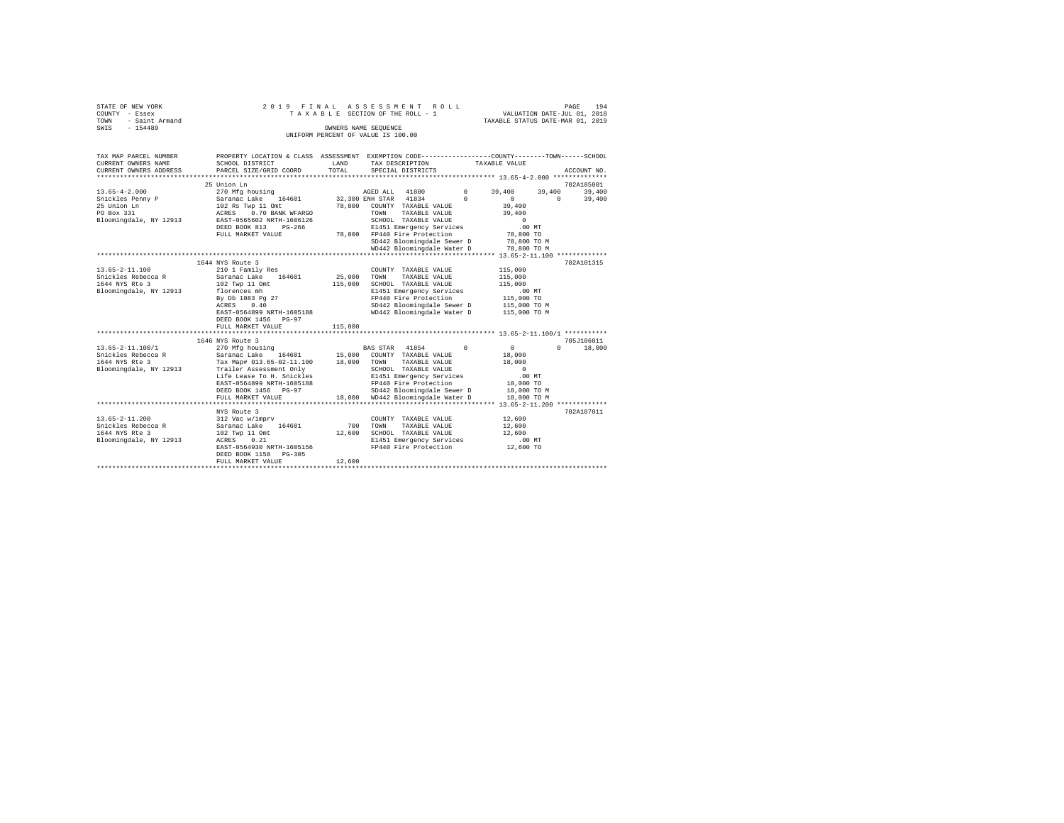| STATE OF NEW YORK      | 2019 FINAL ASSESSMENT ROLL         | 194<br>PAGE                      |  |  |  |  |  |  |  |
|------------------------|------------------------------------|----------------------------------|--|--|--|--|--|--|--|
| COUNTY - Essex         | TAXABLE SECTION OF THE ROLL - 1    | VALUATION DATE-JUL 01, 2018      |  |  |  |  |  |  |  |
| - Saint Armand<br>TOWN |                                    | TAXABLE STATUS DATE-MAR 01, 2019 |  |  |  |  |  |  |  |
| SWIS<br>$-154489$      | OWNERS NAME SEOUENCE               |                                  |  |  |  |  |  |  |  |
|                        | UNIFORM PERCENT OF VALUE IS 100.00 |                                  |  |  |  |  |  |  |  |

| TAX MAP PARCEL NUMBER<br>CURRENT OWNERS NAME<br>CURRENT OWNERS ADDRESS | PROPERTY LOCATION & CLASS ASSESSMENT EXEMPTION CODE----------------COUNTY-------TOWN-----SCHOOL<br>SCHOOL DISTRICT<br>PARCEL SIZE/GRID COORD | LAND<br>TOTAL | TAX DESCRIPTION<br>SPECIAL DISTRICTS                     |            | TAXABLE VALUE              | ACCOUNT NO.        |
|------------------------------------------------------------------------|----------------------------------------------------------------------------------------------------------------------------------------------|---------------|----------------------------------------------------------|------------|----------------------------|--------------------|
|                                                                        |                                                                                                                                              |               |                                                          |            |                            |                    |
|                                                                        | 25 Union Ln                                                                                                                                  |               |                                                          |            |                            | 702A185001         |
| $13.65 - 4 - 2.000$                                                    | 270 Mfg housing                                                                                                                              |               | AGED ALL 41800                                           | $^{\circ}$ | 39,400<br>39,400           | 39,400             |
| Snickles Penny P                                                       | Saranac Lake<br>164601                                                                                                                       |               | 32,300 ENH STAR 41834                                    | $\Omega$   | $^{\circ}$                 | $\Omega$<br>39,400 |
| 25 Union Ln                                                            | 102 Rs Twp 11 Omt                                                                                                                            | 78,800        | COUNTY TAXABLE VALUE                                     |            | 39,400                     |                    |
| PO Box 331                                                             | 0.70 BANK WFARGO<br>ACRES                                                                                                                    |               | TOWN<br>TAXABLE VALUE                                    |            | 39,400                     |                    |
| Bloomingdale, NY 12913                                                 | EAST-0565602 NRTH-1606126                                                                                                                    |               | SCHOOL TAXABLE VALUE                                     |            | $\Omega$                   |                    |
|                                                                        | DEED BOOK 813<br>$PG-266$                                                                                                                    |               | E1451 Emergency Services                                 |            | .00MT                      |                    |
|                                                                        | FULL MARKET VALUE                                                                                                                            | 78,800        | FP440 Fire Protection                                    |            | 78,800 TO                  |                    |
|                                                                        |                                                                                                                                              |               | SD442 Bloomingdale Sewer D<br>WD442 Bloomingdale Water D |            | 78,800 TO M<br>78,800 TO M |                    |
|                                                                        |                                                                                                                                              |               |                                                          |            |                            |                    |
|                                                                        | 1644 NYS Route 3                                                                                                                             |               |                                                          |            |                            | 702A101315         |
| $13.65 - 2 - 11.100$                                                   | 210 1 Family Res                                                                                                                             |               | COUNTY TAXABLE VALUE                                     |            | 115,000                    |                    |
| Snickles Rebecca R                                                     | Saranac Lake 164601                                                                                                                          | 25,000        | TAXABLE VALUE<br>TOWN                                    |            | 115,000                    |                    |
| 1644 NYS Rte 3                                                         | 102 Twp 11 Omt                                                                                                                               | 115,000       | SCHOOL TAXABLE VALUE                                     |            | 115,000                    |                    |
| Bloomingdale, NY 12913                                                 | florences mh                                                                                                                                 |               | E1451 Emergency Services                                 |            | .00MT                      |                    |
|                                                                        | By Db 1083 Pg 27                                                                                                                             |               | FP440 Fire Protection                                    |            | 115,000 TO                 |                    |
|                                                                        | ACRES<br>0.40                                                                                                                                |               | SD442 Bloomingdale Sewer D                               |            | 115,000 TO M               |                    |
|                                                                        | EAST-0564899 NRTH-1605188                                                                                                                    |               | WD442 Bloomingdale Water D                               |            | 115,000 TO M               |                    |
|                                                                        | DEED BOOK 1456 PG-97                                                                                                                         |               |                                                          |            |                            |                    |
|                                                                        | FULL MARKET VALUE                                                                                                                            | 115,000       |                                                          |            |                            |                    |
|                                                                        |                                                                                                                                              |               |                                                          |            |                            |                    |
|                                                                        | 1646 NYS Route 3                                                                                                                             |               |                                                          |            |                            | 705J186011         |
| 13.65-2-11.100/1                                                       | 270 Mfg housing                                                                                                                              |               | BAS STAR 41854                                           | $^{\circ}$ | $^{\circ}$                 | $\Omega$<br>18,000 |
| Snickles Rebecca R                                                     | Saranac Lake<br>164601                                                                                                                       | 15,000        | COUNTY TAXABLE VALUE                                     |            | 18,000                     |                    |
| 1644 NYS Rte 3                                                         | Tax Map# 013.65-02-11.100                                                                                                                    | 18,000        | TOWN<br>TAXABLE VALUE                                    |            | 18,000                     |                    |
| Bloomingdale, NY 12913                                                 | Trailer Assessment Only                                                                                                                      |               | SCHOOL TAXABLE VALUE                                     |            | $^{\circ}$                 |                    |
|                                                                        | Life Lease To H. Snickles<br>EAST-0564899 NRTH-1605188                                                                                       |               | E1451 Emergency Services<br>FP440 Fire Protection        |            | $.00$ MT<br>18,000 TO      |                    |
|                                                                        | DEED BOOK 1456 PG-97                                                                                                                         |               | SD442 Bloomingdale Sewer D                               |            | 18,000 TO M                |                    |
|                                                                        | FULL MARKET VALUE                                                                                                                            |               | 18,000 WD442 Bloomingdale Water D                        |            | 18,000 TO M                |                    |
|                                                                        |                                                                                                                                              |               |                                                          |            |                            |                    |
|                                                                        | NYS Route 3                                                                                                                                  |               |                                                          |            |                            | 702A187011         |
| $13.65 - 2 - 11.200$                                                   | 312 Vac w/imprv                                                                                                                              |               | COUNTY TAXABLE VALUE                                     |            | 12,600                     |                    |
| Snickles Rebecca R                                                     | Saranac Lake 164601                                                                                                                          | 700           | TOWN<br>TAXABLE VALUE                                    |            | 12,600                     |                    |
| 1644 NYS Rte 3                                                         | 102 Twp 11 Omt                                                                                                                               | 12,600        | SCHOOL TAXABLE VALUE                                     |            | 12,600                     |                    |
| Bloomingdale, NY 12913                                                 | 0.21<br>ACRES                                                                                                                                |               | E1451 Emergency Services                                 |            | $.00$ MT                   |                    |
|                                                                        | EAST-0564930 NRTH-1605156                                                                                                                    |               | FP440 Fire Protection                                    |            | 12,600 TO                  |                    |
|                                                                        | DEED BOOK 1158 PG-305                                                                                                                        |               |                                                          |            |                            |                    |
|                                                                        | FULL MARKET VALUE                                                                                                                            | 12,600        |                                                          |            |                            |                    |
|                                                                        |                                                                                                                                              |               |                                                          |            |                            |                    |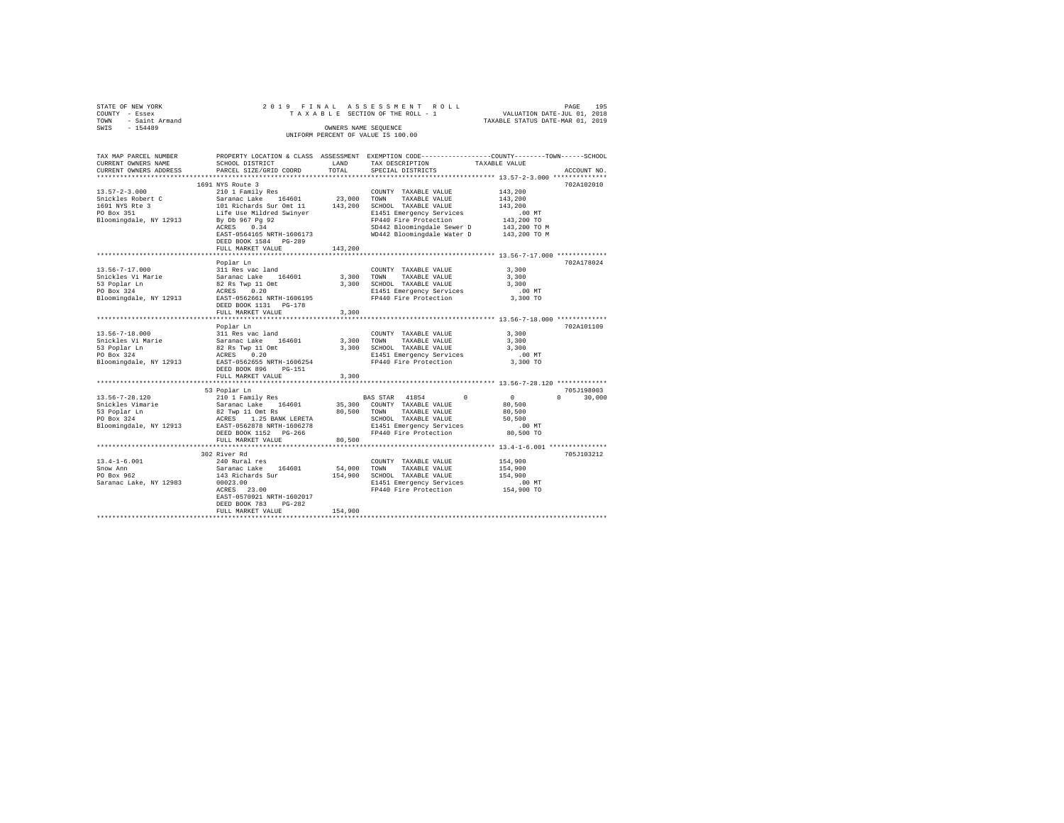| STATE OF NEW YORK   |  | 2019 FINAL ASSESSMENT ROLL         |                                  | PAGE                        | 195 |
|---------------------|--|------------------------------------|----------------------------------|-----------------------------|-----|
| COUNTY - Essex      |  | TAXABLE SECTION OF THE ROLL - 1    |                                  | VALUATION DATE-JUL 01, 2018 |     |
| TOWN - Saint Armand |  |                                    | TAXABLE STATUS DATE-MAR 01, 2019 |                             |     |
| SWIS<br>$-154489$   |  | OWNERS NAME SEOUENCE               |                                  |                             |     |
|                     |  | UNIFORM PERCENT OF VALUE IS 100.00 |                                  |                             |     |

| TAX MAP PARCEL NUMBER<br>CURRENT OWNERS NAME                                                                                                                                                                                   | SCHOOL DISTRICT                                                                                                                                       | LAND       | PROPERTY LOCATION & CLASS ASSESSMENT EXEMPTION CODE---------------COUNTY-------TOWN-----SCHOOL<br>TAX DESCRIPTION | TAXABLE VALUE                   |
|--------------------------------------------------------------------------------------------------------------------------------------------------------------------------------------------------------------------------------|-------------------------------------------------------------------------------------------------------------------------------------------------------|------------|-------------------------------------------------------------------------------------------------------------------|---------------------------------|
| CURRENT OWNERS ADDRESS                                                                                                                                                                                                         | PARCEL SIZE/GRID COORD                                                                                                                                | TOTAL      | SPECIAL DISTRICTS                                                                                                 | ACCOUNT NO.                     |
|                                                                                                                                                                                                                                |                                                                                                                                                       |            |                                                                                                                   |                                 |
|                                                                                                                                                                                                                                | 1691 NYS Route 3                                                                                                                                      |            |                                                                                                                   | 702A102010                      |
| $13.57 - 2 - 3.000$                                                                                                                                                                                                            | 210 1 Family Res                                                                                                                                      |            | COUNTY TAXABLE VALUE                                                                                              | 143,200                         |
| Snickles Robert C                                                                                                                                                                                                              |                                                                                                                                                       |            | TAXABLE VALUE                                                                                                     | 143,200                         |
| 1691 NYS Rte 3                                                                                                                                                                                                                 |                                                                                                                                                       |            | 143,200 SCHOOL TAXABLE VALUE                                                                                      | 143,200                         |
| $\frac{3}{2}$<br>PO Box 351                                                                                                                                                                                                    |                                                                                                                                                       |            | E1451 Emergency Services                                                                                          |                                 |
| Bloomingdale, NY 12913                                                                                                                                                                                                         | 210 1 raming res<br>Saranac Lake 164601 23,000 TOWN<br>101 Richards Sur Ont 11 143,200 SCHOO<br>116 Life Use Mildred Swinyer<br>By Db 967 Pg 92 FP440 |            | FP440 Fire Protection                                                                                             | .00 MT<br>143,200 TO            |
|                                                                                                                                                                                                                                | ACRES 0.34                                                                                                                                            |            |                                                                                                                   |                                 |
|                                                                                                                                                                                                                                | EAST-0564165 NRTH-1606173                                                                                                                             |            | SD442 Bloomingdale Sewer D 143,200 TO M<br>WD442 Bloomingdale Water D 143,200 TO M                                |                                 |
|                                                                                                                                                                                                                                | DEED BOOK 1584 PG-289                                                                                                                                 |            |                                                                                                                   |                                 |
|                                                                                                                                                                                                                                | FULL MARKET VALUE                                                                                                                                     | 143,200    |                                                                                                                   |                                 |
|                                                                                                                                                                                                                                |                                                                                                                                                       |            |                                                                                                                   |                                 |
|                                                                                                                                                                                                                                | Poplar Ln                                                                                                                                             |            |                                                                                                                   | 702A178024                      |
| 13.56-7-17.000                                                                                                                                                                                                                 |                                                                                                                                                       |            | COUNTY TAXABLE VALUE                                                                                              | 3,300                           |
| Snickles Vi Marie                                                                                                                                                                                                              |                                                                                                                                                       | 3,300 TOWN | TAXABLE VALUE                                                                                                     | 3,300                           |
| 53 Poplar Ln                                                                                                                                                                                                                   |                                                                                                                                                       |            | 3,300 SCHOOL TAXABLE VALUE                                                                                        | 3,300                           |
| PO Box 324                                                                                                                                                                                                                     | 311 Res vac land<br>Saranac Lake 164601<br>82 Rs Twp 11 Omt<br>ACRES 0.20<br>EAST-0562661 NRTH-1606195                                                |            | E1451 Emergency Services                                                                                          | $.00$ MT                        |
| Bloomingdale, NY 12913                                                                                                                                                                                                         |                                                                                                                                                       |            | FP440 Fire Protection                                                                                             | 3,300 TO                        |
|                                                                                                                                                                                                                                | DEED BOOK 1131    PG-178                                                                                                                              |            |                                                                                                                   |                                 |
|                                                                                                                                                                                                                                | FULL MARKET VALUE                                                                                                                                     | 3,300      |                                                                                                                   |                                 |
|                                                                                                                                                                                                                                |                                                                                                                                                       |            |                                                                                                                   |                                 |
|                                                                                                                                                                                                                                |                                                                                                                                                       |            |                                                                                                                   | 702A101109                      |
| 13.56-7-18.000                                                                                                                                                                                                                 | Poplar Ln                                                                                                                                             |            |                                                                                                                   | 3,300                           |
|                                                                                                                                                                                                                                | 311 Res vac land                                                                                                                                      |            | COUNTY TAXABLE VALUE                                                                                              |                                 |
|                                                                                                                                                                                                                                |                                                                                                                                                       |            | 3,300 TOWN TAXABLE VALUE                                                                                          | 3,300                           |
|                                                                                                                                                                                                                                |                                                                                                                                                       |            | 3,300 SCHOOL TAXABLE VALUE                                                                                        | 3,300                           |
| 2012 11:00:00 2012 10:00 2012 10:00 2012 10:00 2012 10:00 2012 10:00 2012 10:00 2012 10:00 2012 10:00 2012 12:00 2012 12:00 2012 12:00 2012 12:00 2012 12:00 2012 12:00 2012 12:00 2012 12:00 2012 12:00 2012 12:00 2012 12:00 |                                                                                                                                                       |            | E1451 Emergency Services                                                                                          | .00 MT                          |
|                                                                                                                                                                                                                                |                                                                                                                                                       |            | FP440 Fire Protection                                                                                             | 3,300 TO                        |
|                                                                                                                                                                                                                                | DEED BOOK 896 PG-151                                                                                                                                  |            |                                                                                                                   |                                 |
|                                                                                                                                                                                                                                | FULL MARKET VALUE                                                                                                                                     | 3,300      |                                                                                                                   |                                 |
|                                                                                                                                                                                                                                |                                                                                                                                                       |            |                                                                                                                   |                                 |
|                                                                                                                                                                                                                                | 53 Poplar Ln                                                                                                                                          |            |                                                                                                                   | 705J198003                      |
|                                                                                                                                                                                                                                |                                                                                                                                                       |            | BAS STAR 41854<br>$\sim$ 0                                                                                        | $\overline{0}$<br>$0 \t 30,000$ |
|                                                                                                                                                                                                                                |                                                                                                                                                       |            | 35,300 COUNTY TAXABLE VALUE                                                                                       | 80,500                          |
|                                                                                                                                                                                                                                |                                                                                                                                                       |            | 80,500 TOWN TAXABLE VALUE                                                                                         | 80,500                          |
|                                                                                                                                                                                                                                |                                                                                                                                                       |            | SCHOOL TAXABLE VALUE                                                                                              | 50,500                          |
|                                                                                                                                                                                                                                |                                                                                                                                                       |            | E1451 Emergency Services                                                                                          | $.00$ MT                        |
|                                                                                                                                                                                                                                | DEED BOOK 1152 PG-266                                                                                                                                 |            | FP440 Fire Protection                                                                                             | 80,500 TO                       |
|                                                                                                                                                                                                                                | FULL MARKET VALUE                                                                                                                                     | 80,500     |                                                                                                                   |                                 |
|                                                                                                                                                                                                                                |                                                                                                                                                       |            |                                                                                                                   |                                 |
|                                                                                                                                                                                                                                | 302 River Rd                                                                                                                                          |            |                                                                                                                   | 705J103212                      |
| $13.4 - 1 - 6.001$                                                                                                                                                                                                             | 240 Rural res                                                                                                                                         |            | COUNTY TAXABLE VALUE                                                                                              | 154,900                         |
| Snow Ann                                                                                                                                                                                                                       | Saranac Lake 164601<br>143 Richards Sur                                                                                                               |            | 54,000 TOWN TAXABLE VALUE                                                                                         | 154,900                         |
| PO Box 962                                                                                                                                                                                                                     |                                                                                                                                                       |            | 154,900 SCHOOL TAXABLE VALUE                                                                                      | 154,900                         |
| Saranac Lake, NY 12983                                                                                                                                                                                                         | 00023.00                                                                                                                                              |            | E1451 Emergency Services                                                                                          | .00 MT                          |
|                                                                                                                                                                                                                                | ACRES 23.00                                                                                                                                           |            | FP440 Fire Protection                                                                                             | 154,900 TO                      |
|                                                                                                                                                                                                                                | EAST-0570921 NRTH-1602017                                                                                                                             |            |                                                                                                                   |                                 |
|                                                                                                                                                                                                                                | DEED BOOK 783<br>$PG-282$                                                                                                                             |            |                                                                                                                   |                                 |
|                                                                                                                                                                                                                                | FULL MARKET VALUE                                                                                                                                     | 154,900    |                                                                                                                   |                                 |
|                                                                                                                                                                                                                                |                                                                                                                                                       |            |                                                                                                                   |                                 |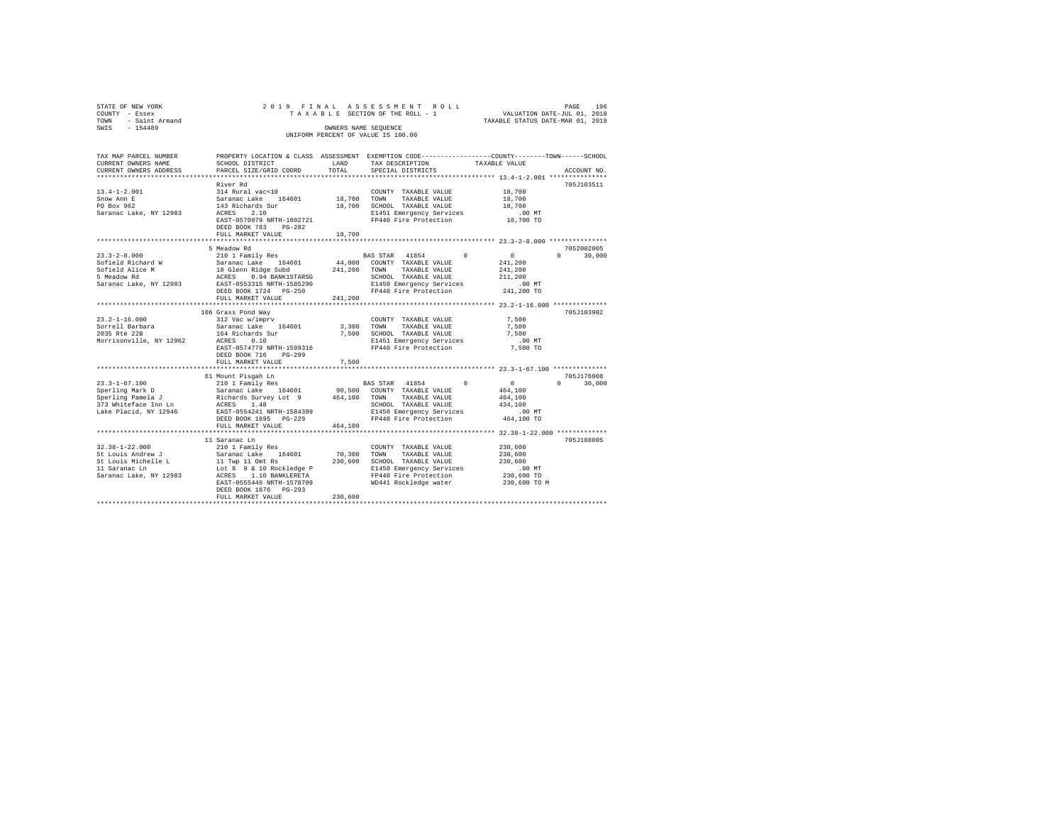| STATE OF NEW YORK   |                      |  | 2019 FINAL ASSESSMENT ROLL         |  |                                  | PAGE                        | 196 |  |  |  |  |
|---------------------|----------------------|--|------------------------------------|--|----------------------------------|-----------------------------|-----|--|--|--|--|
| COUNTY - Essex      |                      |  | TAXABLE SECTION OF THE ROLL - 1    |  |                                  | VALUATION DATE-JUL 01, 2018 |     |  |  |  |  |
| TOWN - Saint Armand |                      |  |                                    |  | TAXABLE STATUS DATE-MAR 01, 2019 |                             |     |  |  |  |  |
| SWIS<br>- 154489    | OWNERS NAME SEOUENCE |  |                                    |  |                                  |                             |     |  |  |  |  |
|                     |                      |  | UNIFORM PERCENT OF VALUE IS 100.00 |  |                                  |                             |     |  |  |  |  |
|                     |                      |  |                                    |  |                                  |                             |     |  |  |  |  |

| TAX MAP PARCEL NUMBER          | PROPERTY LOCATION & CLASS ASSESSMENT                                                              |             | EXEMPTION CODE----------------COUNTY-------TOWN------SCHOOL |               |              |                        |
|--------------------------------|---------------------------------------------------------------------------------------------------|-------------|-------------------------------------------------------------|---------------|--------------|------------------------|
| CURRENT OWNERS NAME            | SCHOOL DISTRICT                                                                                   | LAND        | TAX DESCRIPTION                                             | TAXABLE VALUE |              |                        |
| CURRENT OWNERS ADDRESS         | PARCEL SIZE/GRID COORD                                                                            | TOTAL       | SPECIAL DISTRICTS                                           |               |              | ACCOUNT NO.            |
| ****************************** |                                                                                                   |             |                                                             |               |              |                        |
|                                | River Rd                                                                                          |             |                                                             |               |              | 705J103511             |
| $13.4 - 1 - 2.001$             | 314 Rural vac<10                                                                                  |             | COUNTY TAXABLE VALUE                                        |               | 18,700       |                        |
| Snow Ann E                     | Saranac Lake 164601                                                                               | 18,700 TOWN | TAXABLE VALUE                                               |               | 18,700       |                        |
| PO Box 962                     | 143 Richards Sur                                                                                  |             | 18,700 SCHOOL TAXABLE VALUE                                 |               | 18,700       |                        |
| Saranac Lake, NY 12983         | 2.10<br>ACRES                                                                                     |             | E1451 Emergency Services                                    |               | $.00$ MT     |                        |
|                                | EAST-0570979 NRTH-1602721                                                                         |             | FP440 Fire Protection                                       |               | 18,700 TO    |                        |
|                                | DEED BOOK 783<br>$PG-282$                                                                         |             |                                                             |               |              |                        |
|                                | FULL MARKET VALUE                                                                                 | 18,700      |                                                             |               |              |                        |
|                                |                                                                                                   |             |                                                             |               |              |                        |
|                                | 5 Meadow Rd                                                                                       |             |                                                             |               |              | 7052002005             |
| $23.3 - 2 - 8.000$             | 210 1 Family Res                                                                                  |             | BAS STAR 41854                                              | $\Omega$      | $\circ$      | 30,000<br>$\Omega$     |
| Sofield Richard W              | Saranac Lake 164601<br>18 Glenn Ridge Subd<br>ACRES 0.94 BANK1STARSG<br>EAST-0553315 NRTH-1585290 |             | 44,000 COUNTY TAXABLE VALUE                                 |               | 241,200      |                        |
| Sofield Alice M                |                                                                                                   | 241,200     | TOWN<br>TAXABLE VALUE                                       |               | 241,200      |                        |
| 5 Meadow Rd                    |                                                                                                   |             | SCHOOL TAXABLE VALUE                                        |               | 211,200      |                        |
| Saranac Lake, NY 12983         |                                                                                                   |             | E1450 Emergency Services                                    |               | .00 MT       |                        |
|                                | DEED BOOK 1724 PG-250                                                                             |             | FP440 Fire Protection 241,200 TO                            |               |              |                        |
|                                | FULL MARKET VALUE                                                                                 | 241,200     |                                                             |               |              |                        |
|                                |                                                                                                   |             |                                                             |               |              |                        |
|                                | 106 Grass Pond Way                                                                                |             |                                                             |               |              | 705J103902             |
| $23.2 - 1 - 16.000$            | 312 Vac w/imprv                                                                                   |             | COUNTY TAXABLE VALUE                                        |               | 7,500        |                        |
| Sorrell Barbara                | Saranac Lake 164601                                                                               | 3,300 TOWN  | TAXABLE VALUE                                               |               | 7,500        |                        |
| 2035 Rte 22B                   | 164 Richards Sur                                                                                  |             | 7,500 SCHOOL TAXABLE VALUE                                  |               | 7.500        |                        |
|                                | 0.10                                                                                              |             |                                                             |               |              |                        |
| Morrisonville, NY 12962        | ACRES                                                                                             |             | E1451 Emergency Services                                    |               | $.00$ MT     |                        |
|                                | EAST-0574779 NRTH-1599316                                                                         |             | FP440 Fire Protection                                       |               | 7,500 TO     |                        |
|                                | DEED BOOK 716<br>$PG-299$                                                                         |             |                                                             |               |              |                        |
|                                | FULL MARKET VALUE                                                                                 | 7,500       |                                                             |               |              |                        |
|                                |                                                                                                   |             |                                                             |               |              |                        |
|                                | 61 Mount Pisqah Ln                                                                                |             |                                                             |               |              | 705J176008             |
| $23.3 - 1 - 67.100$            | 210 1 Family Res                                                                                  |             | BAS STAR 41854 0                                            |               | $\sim$ 0     | 30,000<br>$\mathbf{r}$ |
| Sperling Mark D                | Saranac Lake 164601<br>Richards Survey Lot 9                                                      |             | 90,500 COUNTY TAXABLE VALUE<br>464,100 TOWN TAXABLE VALUE   |               | 464,100      |                        |
| Sperling Pamela J              |                                                                                                   |             | TAXABLE VALUE                                               |               | 464,100      |                        |
| 373 Whiteface Inn Ln           | ACRES 1.48<br>EAST-0554241 NRTH-1584399                                                           |             | SCHOOL TAXABLE VALUE                                        |               | 434,100      |                        |
| Lake Placid, NY 12946          |                                                                                                   |             | E1450 Emergency Services                                    |               | .00 MT       |                        |
|                                | DEED BOOK 1695 PG-229                                                                             |             | FP440 Fire Protection                                       |               | 464,100 TO   |                        |
|                                | FULL MARKET VALUE                                                                                 | 464,100     |                                                             |               |              |                        |
|                                |                                                                                                   |             |                                                             |               |              |                        |
|                                | 11 Saranac Ln                                                                                     |             |                                                             |               |              | 705-7188005            |
| $32.38 - 1 - 22.000$           | 210 1 Family Res                                                                                  |             | COUNTY TAXABLE VALUE                                        |               | 230,600      |                        |
| St Louis Andrew J              | Saranac Lake 164601                                                                               | 70,300 TOWN | TAXABLE VALUE                                               |               | 230,600      |                        |
| St Louis Michelle L            |                                                                                                   | 230,600     | SCHOOL TAXABLE VALUE                                        |               | 230,600      |                        |
| 11 Saranac Ln                  | 11 Twp 11 Omt Rs<br>Lot 8 9 & 10 Rockledge P                                                      |             | E1450 Emergency Services                                    |               | .00 MT       |                        |
| Saranac Lake, NY 12983         | ACRES 1.10 BANKLERETA                                                                             |             | FP440 Fire Protection                                       |               | 230,600 TO   |                        |
|                                | EAST-0555446 NRTH-1578709                                                                         |             | WD441 Rockledge water                                       |               | 230,600 TO M |                        |
|                                | DEED BOOK 1876 PG-293                                                                             |             |                                                             |               |              |                        |
|                                | FULL MARKET VALUE                                                                                 | 230,600     |                                                             |               |              |                        |
|                                |                                                                                                   |             |                                                             |               |              |                        |
|                                |                                                                                                   |             |                                                             |               |              |                        |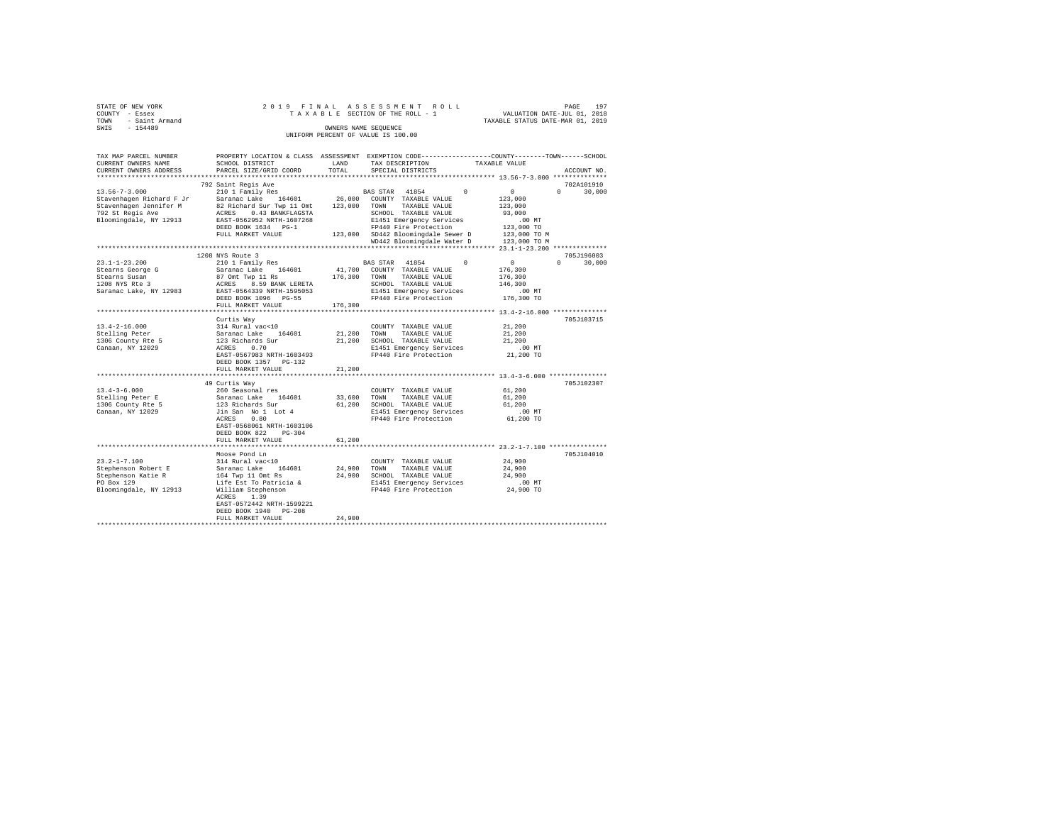| STATE OF NEW YORK<br>COUNTY - Essex |                                                                                                                                                                                                                                                                                                                                                                                                                                               |        | 2019 FINAL ASSESSMENT ROLL                                                                                                      |               | PAGE<br>197   |
|-------------------------------------|-----------------------------------------------------------------------------------------------------------------------------------------------------------------------------------------------------------------------------------------------------------------------------------------------------------------------------------------------------------------------------------------------------------------------------------------------|--------|---------------------------------------------------------------------------------------------------------------------------------|---------------|---------------|
| TOWN - Saint Armand                 |                                                                                                                                                                                                                                                                                                                                                                                                                                               |        | TAXABLE SECTION OF THE ROLL - 1 VALUATION DATE-JUL 01, 2018<br>TAXABLE SECTION OF THE ROLL - 1 TAXABLE STATUS DATE-MAR 01, 2019 |               |               |
| SWIS - 154489                       |                                                                                                                                                                                                                                                                                                                                                                                                                                               |        | OWNERS NAME SEQUENCE                                                                                                            |               |               |
|                                     |                                                                                                                                                                                                                                                                                                                                                                                                                                               |        | UNIFORM PERCENT OF VALUE IS 100.00                                                                                              |               |               |
|                                     |                                                                                                                                                                                                                                                                                                                                                                                                                                               |        |                                                                                                                                 |               |               |
| TAX MAP PARCEL NUMBER               | PROPERTY LOCATION & CLASS ASSESSMENT EXEMPTION CODE----------------COUNTY-------TOWN------SCHOOL                                                                                                                                                                                                                                                                                                                                              |        |                                                                                                                                 |               |               |
| CURRENT OWNERS NAME                 | SCHOOL DISTRICT TAND TAX DESCRIPTION                                                                                                                                                                                                                                                                                                                                                                                                          |        |                                                                                                                                 | TAXABLE VALUE |               |
| CURRENT OWNERS ADDRESS              | PARCEL SIZE/GRID COORD TOTAL                                                                                                                                                                                                                                                                                                                                                                                                                  |        | SPECIAL DISTRICTS                                                                                                               |               | ACCOUNT NO.   |
|                                     |                                                                                                                                                                                                                                                                                                                                                                                                                                               |        |                                                                                                                                 |               |               |
|                                     | 792 Saint Regis Ave                                                                                                                                                                                                                                                                                                                                                                                                                           |        |                                                                                                                                 |               | 702A101910    |
|                                     |                                                                                                                                                                                                                                                                                                                                                                                                                                               |        |                                                                                                                                 |               | $0 \t 30.000$ |
|                                     |                                                                                                                                                                                                                                                                                                                                                                                                                                               |        |                                                                                                                                 |               |               |
|                                     |                                                                                                                                                                                                                                                                                                                                                                                                                                               |        |                                                                                                                                 |               |               |
|                                     |                                                                                                                                                                                                                                                                                                                                                                                                                                               |        |                                                                                                                                 |               |               |
|                                     |                                                                                                                                                                                                                                                                                                                                                                                                                                               |        |                                                                                                                                 |               |               |
|                                     |                                                                                                                                                                                                                                                                                                                                                                                                                                               |        |                                                                                                                                 |               |               |
|                                     |                                                                                                                                                                                                                                                                                                                                                                                                                                               |        |                                                                                                                                 |               |               |
|                                     | $[13.56-7-3.000 \newline \hline \texttt{Stavenhagen Richard F Jr} \texttt{Syl and F Jr} \texttt{Syl and F, Jr} \texttt{Syl and F, Jr} \texttt{Syl and F, Jr} \texttt{Syl and F, Jr} \texttt{Syl and F, Jr} \texttt{Syl and F, Jr} \texttt{Syl and F, Jr} \texttt{Syl and F, Jr} \texttt{Syl and F, Jr} \texttt{Syl and F, Jr} \texttt{Syl and F, Jr} \texttt{Syl and F, Jr} \texttt{Syl and F, Jr} \texttt{Syl and F, Jr} \texttt{Syl and F,$ |        |                                                                                                                                 |               |               |
|                                     |                                                                                                                                                                                                                                                                                                                                                                                                                                               |        |                                                                                                                                 |               | 705J196003    |
|                                     | 1208 NYS Route 3                                                                                                                                                                                                                                                                                                                                                                                                                              |        |                                                                                                                                 |               |               |
|                                     |                                                                                                                                                                                                                                                                                                                                                                                                                                               |        |                                                                                                                                 |               |               |
|                                     |                                                                                                                                                                                                                                                                                                                                                                                                                                               |        |                                                                                                                                 |               |               |
|                                     |                                                                                                                                                                                                                                                                                                                                                                                                                                               |        |                                                                                                                                 |               |               |
|                                     |                                                                                                                                                                                                                                                                                                                                                                                                                                               |        |                                                                                                                                 |               |               |
|                                     |                                                                                                                                                                                                                                                                                                                                                                                                                                               |        |                                                                                                                                 |               |               |
|                                     | FULL MARKET VALUE 176,300                                                                                                                                                                                                                                                                                                                                                                                                                     |        |                                                                                                                                 |               |               |
|                                     |                                                                                                                                                                                                                                                                                                                                                                                                                                               |        |                                                                                                                                 |               |               |
|                                     | Curtis Way                                                                                                                                                                                                                                                                                                                                                                                                                                    |        |                                                                                                                                 |               | 705J103715    |
| $13.4 - 2 - 16.000$                 | CUURII MARINE IN CUURII IMANUM INTERNATIONALE SATARBE VALUE SATARBE VALUE 121,200 SCHOOL TAXABLE VALUE 123 Richards Sur 21,200 SCHOOL TAXABLE VALUE 123 Richards Sur 21,200 SCHOOL TAXABLE VALUE 123 Richards Sur 21,200 SCHOO                                                                                                                                                                                                                |        |                                                                                                                                 | 21,200        |               |
| Stelling Peter                      |                                                                                                                                                                                                                                                                                                                                                                                                                                               |        |                                                                                                                                 | 21,200        |               |
| 1306 County Rte 5                   |                                                                                                                                                                                                                                                                                                                                                                                                                                               |        |                                                                                                                                 | 21,200        |               |
| Canaan, NY 12029                    |                                                                                                                                                                                                                                                                                                                                                                                                                                               |        | E1451 Emergency Services                                                                                                        | $.00$ MT      |               |
|                                     | EAST-0567983 NRTH-1603493                                                                                                                                                                                                                                                                                                                                                                                                                     |        | FP440 Fire Protection 21,200 TO                                                                                                 |               |               |
|                                     | DEED BOOK 1357 PG-132                                                                                                                                                                                                                                                                                                                                                                                                                         |        |                                                                                                                                 |               |               |
|                                     | FULL MARKET VALUE                                                                                                                                                                                                                                                                                                                                                                                                                             | 21,200 |                                                                                                                                 |               |               |
|                                     |                                                                                                                                                                                                                                                                                                                                                                                                                                               |        |                                                                                                                                 |               |               |
|                                     | 49 Curtis Way                                                                                                                                                                                                                                                                                                                                                                                                                                 |        |                                                                                                                                 |               | 705J102307    |
| $13.4 - 3 - 6.000$                  | 260 Seasonal res                                                                                                                                                                                                                                                                                                                                                                                                                              |        | COUNTY TAXABLE VALUE                                                                                                            | 61,200        |               |
| Stelling Peter E                    | Saranac Lake 164601 33,600 TOWN TAXABLE VALUE                                                                                                                                                                                                                                                                                                                                                                                                 |        |                                                                                                                                 | 61,200        |               |
| 1306 County Rte 5                   |                                                                                                                                                                                                                                                                                                                                                                                                                                               |        |                                                                                                                                 |               |               |
| Canaan, NY 12029                    | 01/200 Minimids the computer of the computation of the computation of the computation of the computation of the<br>difficult sam would be the computation of the computation of the computation of the computation of the computa                                                                                                                                                                                                             |        |                                                                                                                                 |               |               |
|                                     |                                                                                                                                                                                                                                                                                                                                                                                                                                               |        |                                                                                                                                 |               |               |
|                                     | EAST-0568061 NRTH-1603106                                                                                                                                                                                                                                                                                                                                                                                                                     |        |                                                                                                                                 |               |               |
|                                     | DEED BOOK 822 PG-304                                                                                                                                                                                                                                                                                                                                                                                                                          |        |                                                                                                                                 |               |               |
|                                     | FULL MARKET VALUE                                                                                                                                                                                                                                                                                                                                                                                                                             | 61,200 |                                                                                                                                 |               |               |
|                                     |                                                                                                                                                                                                                                                                                                                                                                                                                                               |        |                                                                                                                                 |               |               |
| $23.2 - 1 - 7.100$                  | Moose Pond Ln<br>314 Rural vac<10                                                                                                                                                                                                                                                                                                                                                                                                             |        |                                                                                                                                 | 24,900        | 705J104010    |
|                                     |                                                                                                                                                                                                                                                                                                                                                                                                                                               |        | COUNTY TAXABLE VALUE                                                                                                            | 24,900        |               |
| Stephenson Robert E                 | Saranac Lake 164601<br>164 Twp 11 Omt Rs                                                                                                                                                                                                                                                                                                                                                                                                      |        | 24,900 TOWN TAXABLE VALUE<br>24,900 SCHOOL TAXABLE VALUE                                                                        | 24,900        |               |
| Stephenson Katie R<br>PO Box 129    |                                                                                                                                                                                                                                                                                                                                                                                                                                               |        |                                                                                                                                 |               |               |
| Bloomingdale, NY 12913              | Life Est To Patricia &                                                                                                                                                                                                                                                                                                                                                                                                                        |        | E1451 Emergency Services 6.00 MT<br>FP440 Fire Protection 24,900 TO                                                             |               |               |
|                                     | William Stephenson<br>ACRES 1.39                                                                                                                                                                                                                                                                                                                                                                                                              |        |                                                                                                                                 |               |               |
|                                     | EAST-0572442 NRTH-1599221                                                                                                                                                                                                                                                                                                                                                                                                                     |        |                                                                                                                                 |               |               |
|                                     | DEED BOOK 1940 PG-208                                                                                                                                                                                                                                                                                                                                                                                                                         |        |                                                                                                                                 |               |               |

| FULL<br>7 H.LU | 4,900 |
|----------------|-------|
|                |       |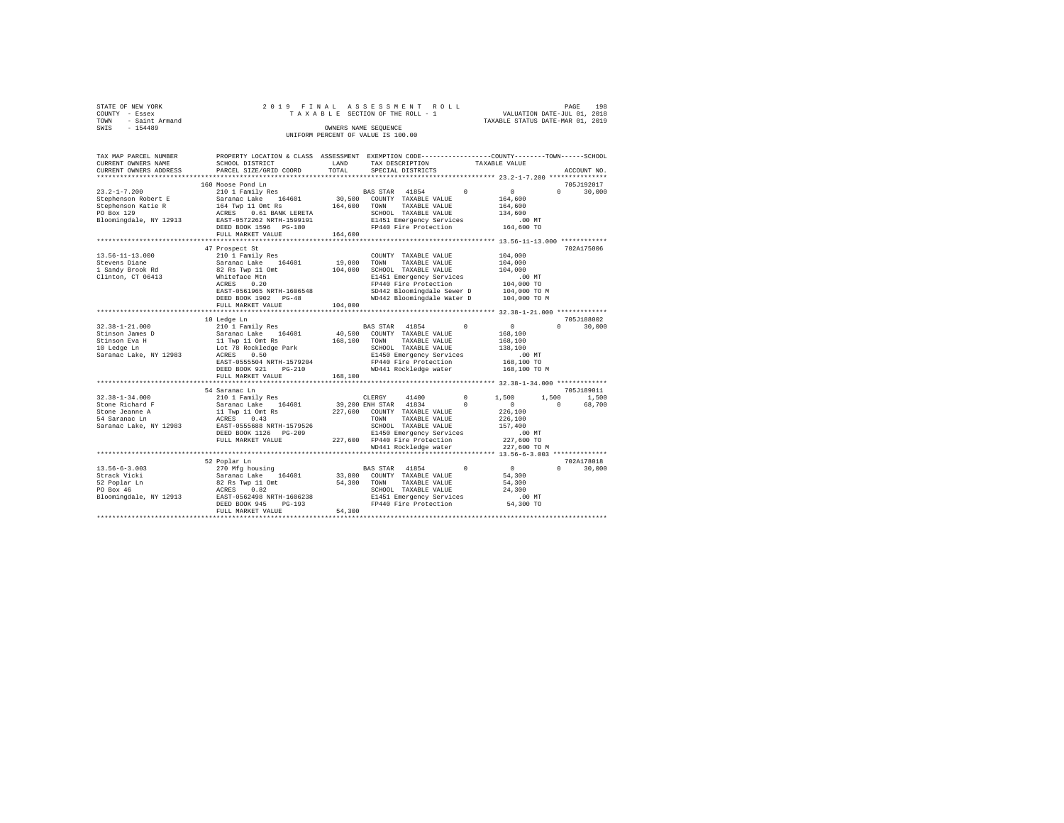| STATE OF NEW YORK |                |                      |  |  |  |  |  | 2019 FINAL ASSESSMENT ROLL         |  |  |  |  |                                  | PAGE | 198 |
|-------------------|----------------|----------------------|--|--|--|--|--|------------------------------------|--|--|--|--|----------------------------------|------|-----|
| COUNTY - Essex    |                |                      |  |  |  |  |  | TAXABLE SECTION OF THE ROLL - 1    |  |  |  |  | VALUATION DATE-JUL 01, 2018      |      |     |
| TOWN              | - Saint Armand |                      |  |  |  |  |  |                                    |  |  |  |  | TAXABLE STATUS DATE-MAR 01, 2019 |      |     |
| SWIS              | $-154489$      | OWNERS NAME SEOUENCE |  |  |  |  |  |                                    |  |  |  |  |                                  |      |     |
|                   |                |                      |  |  |  |  |  | UNIFORM PERCENT OF VALUE IS 100.00 |  |  |  |  |                                  |      |     |

| TAX MAP PARCEL NUMBER<br>CURRENT OWNERS NAME | PROPERTY LOCATION & CLASS ASSESSMENT EXEMPTION CODE---------------COUNTY-------TOWN-----SCHOOL<br>SCHOOL DISTRICT | LAND    | TAX DESCRIPTION               |            | TAXABLE VALUE |                    |
|----------------------------------------------|-------------------------------------------------------------------------------------------------------------------|---------|-------------------------------|------------|---------------|--------------------|
| CURRENT OWNERS ADDRESS                       | PARCEL SIZE/GRID COORD                                                                                            | TOTAL   | SPECIAL DISTRICTS             |            |               | ACCOUNT NO.        |
|                                              | 160 Moose Pond Ln                                                                                                 |         |                               |            |               | 705J192017         |
| $23.2 - 1 - 7.200$                           | 210 1 Family Res                                                                                                  |         | BAS STAR 41854                | $\Omega$   | $\circ$       | $\Omega$<br>30,000 |
| Stephenson Robert E                          | Saranac Lake<br>164601                                                                                            | 30,500  | COUNTY TAXABLE VALUE          |            | 164,600       |                    |
| Stephenson Katie R                           | 164 Twp 11 Omt Rs                                                                                                 | 164,600 | TAXABLE VALUE<br>TOWN         |            | 164,600       |                    |
| PO Box 129                                   | ACRES<br>0.61 BANK LERETA                                                                                         |         | SCHOOL TAXABLE VALUE          |            | 134,600       |                    |
| Bloomingdale, NY 12913                       | EAST-0572262 NRTH-1599191                                                                                         |         | E1451 Emergency Services      |            | $.00$ MT      |                    |
|                                              | DEED BOOK 1596 PG-180                                                                                             |         | FP440 Fire Protection         |            | 164,600 TO    |                    |
|                                              | FULL MARKET VALUE                                                                                                 | 164,600 |                               |            |               |                    |
|                                              | ***************************                                                                                       |         |                               |            |               |                    |
|                                              | 47 Prospect St                                                                                                    |         |                               |            |               | 702A175006         |
| $13.56 - 11 - 13.000$                        | 210 1 Family Res                                                                                                  |         | COUNTY TAXABLE VALUE          |            | 104,000       |                    |
| Stevens Diane                                | Saranac Lake<br>164601                                                                                            | 19,000  | TOWN<br>TAXABLE VALUE         |            | 104,000       |                    |
| 1 Sandy Brook Rd                             | 82 Rs Twp 11 Omt                                                                                                  | 104,000 | SCHOOL TAXABLE VALUE          |            | 104,000       |                    |
| Clinton, CT 06413                            | Whiteface Mtn                                                                                                     |         | E1451 Emergency Services      |            | $.00$ MT      |                    |
|                                              | 0.20<br>ACRES                                                                                                     |         | FP440 Fire Protection         |            | 104,000 TO    |                    |
|                                              | EAST-0561965 NRTH-1606548                                                                                         |         | SD442 Bloomingdale Sewer D    |            | 104,000 TO M  |                    |
|                                              | DEED BOOK 1902 PG-48                                                                                              |         | WD442 Bloomingdale Water D    |            | 104,000 TO M  |                    |
|                                              | FULL MARKET VALUE                                                                                                 | 104,000 |                               |            |               |                    |
|                                              |                                                                                                                   |         |                               |            |               |                    |
|                                              | 10 Ledge Ln                                                                                                       |         |                               |            |               | 705J188002         |
| $32.38 - 1 - 21.000$                         | 210 1 Family Res                                                                                                  |         | 41854<br><b>BAS STAR</b>      | $\Omega$   | $\circ$       | $\cap$<br>30,000   |
| Stinson James D                              | Saranac Lake 164601                                                                                               | 40,500  | COUNTY TAXABLE VALUE          |            | 168,100       |                    |
| Stinson Eva H                                | 11 Twp 11 Omt Rs                                                                                                  | 168,100 | TOWN<br>TAXABLE VALUE         |            | 168,100       |                    |
| 10 Ledge Ln                                  | Lot 78 Rockledge Park                                                                                             |         | SCHOOL TAXABLE VALUE          |            | 138,100       |                    |
| Saranac Lake, NY 12983                       | ACRES<br>0.50                                                                                                     |         | E1450 Emergency Services      |            | .00MT         |                    |
|                                              | EAST-0555504 NRTH-1579204                                                                                         |         | FP440 Fire Protection         |            | 168,100 TO    |                    |
|                                              | DEED BOOK 921<br>$PG-210$                                                                                         |         | WD441 Rockledge water         |            | 168,100 TO M  |                    |
|                                              | FULL MARKET VALUE                                                                                                 | 168,100 |                               |            |               |                    |
|                                              |                                                                                                                   |         |                               |            |               |                    |
|                                              | 54 Saranac Ln                                                                                                     |         |                               |            |               | 705.T189011        |
| $32.38 - 1 - 34.000$                         | 210 1 Family Res                                                                                                  |         | 41400<br>CLERGY               | $^{\circ}$ | 1,500         | 1,500<br>1,500     |
| Stone Richard F                              | Saranac Lake<br>164601                                                                                            |         | 39,200 ENH STAR 41834         | $\Omega$   | $^{\circ}$    | 68,700<br>$\Omega$ |
| Stone Jeanne A                               | 11 Twp 11 Omt Rs                                                                                                  | 227,600 | COUNTY TAXABLE VALUE          |            | 226,100       |                    |
| 54 Saranac Ln                                | 0.43<br>ACRES                                                                                                     |         | TOWN<br>TAXABLE VALUE         |            | 226,100       |                    |
| Saranac Lake, NY 12983                       | EAST-0555688 NRTH-1579526                                                                                         |         | SCHOOL TAXABLE VALUE          |            | 157,400       |                    |
|                                              | DEED BOOK 1126 PG-209                                                                                             |         | E1450 Emergency Services      |            | $.00$ MT      |                    |
|                                              | FULL MARKET VALUE                                                                                                 |         | 227,600 FP440 Fire Protection |            | 227,600 TO    |                    |
|                                              |                                                                                                                   |         | WD441 Rockledge water         |            | 227,600 TO M  |                    |
|                                              | ***************************                                                                                       |         |                               |            |               |                    |
|                                              | 52 Poplar Ln                                                                                                      |         |                               |            |               | 702A178018         |
| $13.56 - 6 - 3.003$                          | 270 Mfg housing                                                                                                   |         | BAS STAR 41854                | $\Omega$   | 0             | $\Omega$<br>30,000 |
| Strack Vicki                                 | Saranac Lake<br>164601                                                                                            | 33,800  | COUNTY TAXABLE VALUE          |            | 54,300        |                    |
| 52 Poplar Ln                                 | 82 Rs Twp 11 Omt                                                                                                  | 54,300  | TAXABLE VALUE<br>TOWN         |            | 54,300        |                    |
| PO Box 46                                    | 0.82<br>ACRES                                                                                                     |         | SCHOOL TAXABLE VALUE          |            | 24,300        |                    |
| Bloomingdale, NY 12913                       | EAST-0562498 NRTH-1606238                                                                                         |         | E1451 Emergency Services      |            | $.00$ MT      |                    |
|                                              | DEED BOOK 945<br>$PG-193$                                                                                         |         | FP440 Fire Protection         |            | 54,300 TO     |                    |
|                                              | FULL MARKET VALUE                                                                                                 | 54,300  |                               |            |               |                    |
|                                              |                                                                                                                   |         |                               |            |               |                    |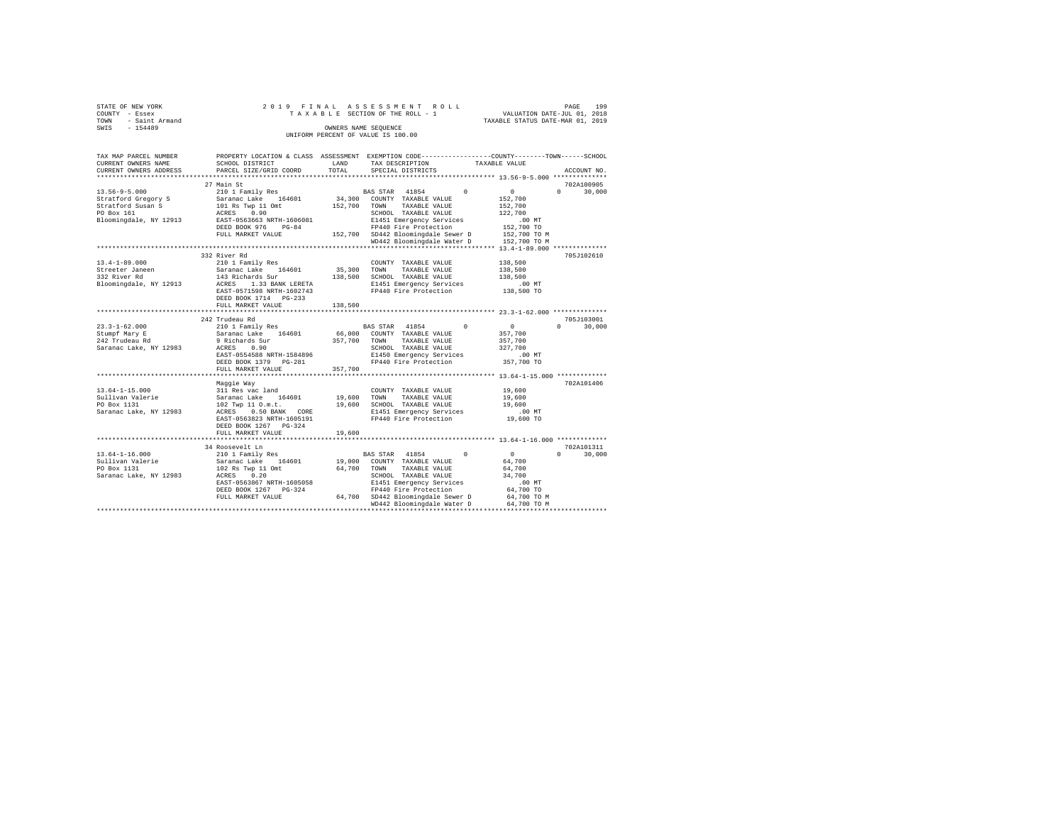| STATE OF NEW YORK<br>COUNTY<br>- Essex<br>- Saint Armand<br>TOWN<br>$-154489$<br>SWIS |                                                                                                                                                |                             | 2019 FINAL ASSESSMENT ROLL<br>OWNERS NAME SEOUENCE<br>UNIFORM PERCENT OF VALUE IS 100.00                                              |          | T A X A B L E SECTION OF THE ROLL - 1 WALUATION DATE-JUL 01, 2018<br>TAXABLE STATUS DATE-MAR 01, 2019                                    | 199<br>PAGE                      |
|---------------------------------------------------------------------------------------|------------------------------------------------------------------------------------------------------------------------------------------------|-----------------------------|---------------------------------------------------------------------------------------------------------------------------------------|----------|------------------------------------------------------------------------------------------------------------------------------------------|----------------------------------|
| TAX MAP PARCEL NUMBER<br>CURRENT OWNERS NAME                                          | PROPERTY LOCATION & CLASS<br>SCHOOL DISTRICT<br>CURRENT OWNERS ADDRESS PARCEL SIZE/GRID COORD                                                  | ASSESSMENT<br>LAND<br>TOTAL | TAX DESCRIPTION<br>SPECIAL DISTRICTS                                                                                                  |          | EXEMPTION CODE-----------------COUNTY-------TOWN------SCHOOL<br>TAXABLE VALUE                                                            | ACCOUNT NO.                      |
| **************************                                                            |                                                                                                                                                |                             |                                                                                                                                       |          |                                                                                                                                          |                                  |
| $13.56 - 9 - 5.000$                                                                   | 27 Main St<br>210 1 Family Res                                                                                                                 |                             | 41854<br>BAS STAR                                                                                                                     | $\Omega$ | $^{\circ}$                                                                                                                               | 702A100905<br>30,000<br>$\Omega$ |
| Stratford Gregory S<br>Stratford Susan S<br>PO Box 161<br>Bloomingdale, NY 12913      | Saranac Lake 164601 34,300<br>101 Rs Twp 11 Omt<br>0.90<br>ACRES<br>EAST-0563663 NRTH-1606081<br>$PG-84$<br>DEED BOOK 976<br>FULL MARKET VALUE | 152,700<br>152,700          | COUNTY<br>TAXABLE VALUE<br>TOWN<br>TAXABLE VALUE<br>SCHOOL<br>TAXABLE VALUE<br>E1451 Emergency Services<br>WD442 Bloomingdale Water D |          | 152,700<br>152,700<br>122,700<br>$.00$ MT<br>FP440 Fire Protection 152,700 TO<br>SD442 Bloomingdale Sewer D 152,700 TO M<br>152,700 TO M |                                  |

|                        |                              |         | WD442 Bloomingdale Water D    | 152,700 TO M                             |                    |
|------------------------|------------------------------|---------|-------------------------------|------------------------------------------|--------------------|
|                        | *************************    |         |                               | *********** 13.4-1-89.000 ************** |                    |
|                        | 332 River Rd                 |         |                               |                                          | 705J102610         |
| $13.4 - 1 - 89.000$    | 210 1 Family Res             |         | COUNTY TAXABLE VALUE          | 138,500                                  |                    |
| Streeter Janeen        | 164601<br>Saranac Lake       | 35,300  | TOWN<br>TAXABLE VALUE         | 138,500                                  |                    |
| 332 River Rd           | 143 Richards Sur             | 138,500 | SCHOOL TAXABLE VALUE          | 138,500                                  |                    |
| Bloomingdale, NY 12913 | 1.33 BANK LERETA<br>ACRES    |         | E1451 Emergency Services      | $.00$ MT                                 |                    |
|                        | EAST-0571598 NRTH-1602743    |         | FP440 Fire Protection         | 138,500 TO                               |                    |
|                        | DEED BOOK 1714<br>$PG - 233$ |         |                               |                                          |                    |
|                        | FULL MARKET VALUE            | 138,500 |                               |                                          |                    |
|                        |                              |         |                               |                                          |                    |
|                        | 242 Trudeau Rd               |         |                               |                                          | 705J103001         |
| $23.3 - 1 - 62.000$    | 210 1 Family Res             |         | $\Omega$<br>BAS STAR<br>41854 | $\circ$                                  | 30,000<br>$\Omega$ |
| Stumpf Mary E          | 164601<br>Saranac Lake       | 66,000  | COUNTY TAXABLE VALUE          | 357,700                                  |                    |
| 242 Trudeau Rd         | 9 Richards Sur               | 357,700 | TOWN<br>TAXABLE VALUE         | 357,700                                  |                    |
| Saranac Lake, NY 12983 | 0.90<br>ACRES                |         | SCHOOL TAXABLE VALUE          | 327,700                                  |                    |
|                        | EAST-0554588 NRTH-1584896    |         | E1450 Emergency Services      | $.00$ MT                                 |                    |
|                        | DEED BOOK 1379 PG-281        |         | FP440 Fire Protection         | 357,700 TO                               |                    |
|                        | FULL MARKET VALUE            | 357,700 |                               |                                          |                    |
|                        | ***********************      |         |                               |                                          |                    |
|                        | Maggie Way                   |         |                               |                                          | 702A101406         |
| $13.64 - 1 - 15.000$   | 311 Res vac land             |         | COUNTY TAXABLE VALUE          | 19,600                                   |                    |
| Sullivan Valerie       | Saranac Lake<br>164601       | 19,600  | TOWN<br>TAXABLE VALUE         | 19,600                                   |                    |
| PO Box 1131            | 102 Twp 11 0.m.t.            | 19,600  | SCHOOL TAXABLE VALUE          | 19,600                                   |                    |
| Saranac Lake, NY 12983 | ACRES<br>$0.50$ BANK<br>CORE |         | E1451 Emergency Services      | $.00$ MT                                 |                    |
|                        | EAST-0563823 NRTH-1605191    |         | FP440 Fire Protection         | 19,600 TO                                |                    |
|                        | DEED BOOK 1267 PG-324        |         |                               |                                          |                    |
|                        | FULL MARKET VALUE            | 19,600  |                               |                                          |                    |
|                        |                              |         |                               |                                          |                    |
|                        | 34 Roosevelt Ln              |         |                               |                                          | 702A101311         |
| $13.64 - 1 - 16.000$   | 210 1 Family Res             |         | BAS STAR 41854<br>$\Omega$    | $\Omega$                                 | $\Omega$<br>30,000 |
| Sullivan Valerie       | Saranac Lake<br>164601       | 19,000  | COUNTY TAXABLE VALUE          | 64,700                                   |                    |
| PO Box 1131            | 102 Rs Twp 11 Omt            | 64,700  | TOWN<br>TAXABLE VALUE         | 64,700                                   |                    |
| Saranac Lake, NY 12983 | 0.20<br>ACRES                |         | SCHOOL TAXABLE VALUE          | 34,700                                   |                    |
|                        | EAST-0563867 NRTH-1605058    |         | E1451 Emergency Services      | $.00$ MT                                 |                    |
|                        | DEED BOOK 1267 PG-324        |         | FP440 Fire Protection         | 64,700 TO                                |                    |
|                        | FULL MARKET VALUE            | 64,700  | SD442 Bloomingdale Sewer D    | 64,700 TO M                              |                    |
|                        |                              |         | WD442 Bloomingdale Water D    | 64,700 TO M                              |                    |
|                        |                              |         |                               |                                          |                    |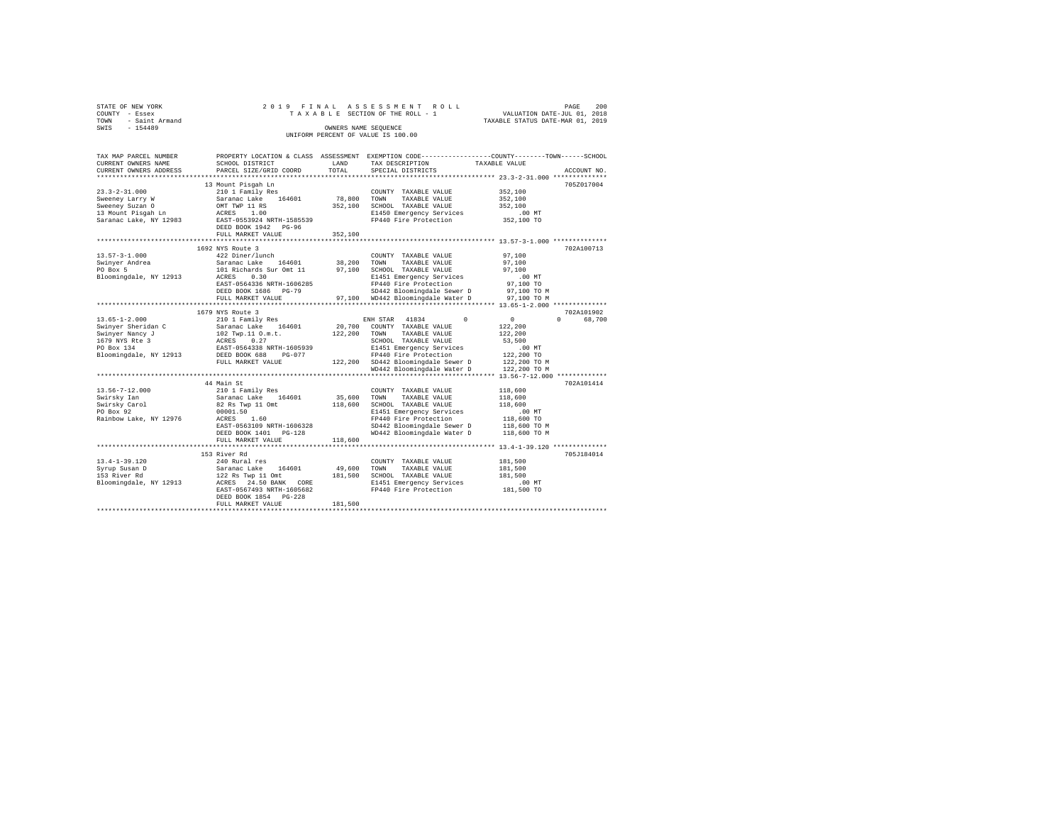| TOWN | STATE OF NEW YORK<br>COUNTY - Essex<br>- Saint Armand |                                                         |                      | 2019 FINAL ASSESSMENT ROLL<br>TAXABLE SECTION OF THE ROLL - 1 | TAXABLE STATUS DATE-MAR 01, 2019                                              | PAGE<br>VALUATION DATE-JUL 01, 2018 | 200 |
|------|-------------------------------------------------------|---------------------------------------------------------|----------------------|---------------------------------------------------------------|-------------------------------------------------------------------------------|-------------------------------------|-----|
| SWIS | $-154489$                                             |                                                         | OWNERS NAME SEOUENCE | UNIFORM PERCENT OF VALUE IS 100.00                            |                                                                               |                                     |     |
|      | TAX MAP PARCEL NUMBER<br>CURRENT OWNERS NAME          | PROPERTY LOCATION & CLASS ASSESSMENT<br>SCHOOL DISTRICT | LAND                 | TAX DESCRIPTION                                               | EXEMPTION CODE-----------------COUNTY-------TOWN------SCHOOL<br>TAXABLE VALUE |                                     |     |

| CURRENT OWNERS ADDRESS | PARCEL SIZE/GRID COORD     | TOTAL   | SPECIAL DISTRICTS                  |              | ACCOUNT NO.        |
|------------------------|----------------------------|---------|------------------------------------|--------------|--------------------|
|                        |                            |         |                                    |              |                    |
|                        | 13 Mount Pisgah Ln         |         |                                    |              | 705Z017004         |
| $23.3 - 2 - 31.000$    | 210 1 Family Res           |         | COUNTY TAXABLE VALUE               | 352,100      |                    |
| Sweeney Larry W        | 164601<br>Saranac Lake     | 78,800  | TAXABLE VALUE<br>TOWN              | 352,100      |                    |
| Sweeney Suzan 0        | OMT TWP 11 RS              | 352,100 | SCHOOL TAXABLE VALUE               | 352,100      |                    |
| 13 Mount Pisgah Ln     | ACRES<br>1.00              |         | E1450 Emergency Services           | $.00$ MT     |                    |
| Saranac Lake, NY 12983 | EAST-0553924 NRTH-1585539  |         | FP440 Fire Protection              | 352,100 TO   |                    |
|                        | DEED BOOK 1942 PG-96       |         |                                    |              |                    |
|                        | FULL MARKET VALUE          | 352,100 |                                    |              |                    |
|                        |                            |         |                                    |              |                    |
|                        | 1692 NYS Route 3           |         |                                    |              | 702A100713         |
| $13.57 - 3 - 1.000$    | 422 Diner/lunch            |         | COUNTY TAXABLE VALUE               | 97,100       |                    |
| Swinyer Andrea         | Saranac Lake<br>164601     | 38,200  | TOWN<br>TAXABLE VALUE              | 97,100       |                    |
| PO Box 5               | 101 Richards Sur Omt 11    | 97,100  | SCHOOL TAXABLE VALUE               | 97,100       |                    |
| Bloomingdale, NY 12913 | 0.30<br>ACRES              |         | E1451 Emergency Services           | $.00$ MT     |                    |
|                        | EAST-0564336 NRTH-1606285  |         | FP440 Fire Protection              | 97,100 TO    |                    |
|                        | DEED BOOK 1686 PG-79       |         | SD442 Bloomingdale Sewer D         | 97,100 TO M  |                    |
|                        | FULL MARKET VALUE          | 97.100  | WD442 Bloomingdale Water D         |              |                    |
|                        |                            |         |                                    | 97,100 TO M  |                    |
|                        |                            |         |                                    |              |                    |
|                        | 1679 NYS Route 3           |         |                                    |              | 702A101902         |
| $13.65 - 1 - 2.000$    | 210 1 Family Res           |         | ENH STAR 41834<br>$^{\circ}$       | $\sim$       | $\Omega$<br>68,700 |
| Swinver Sheridan C     | Saranac Lake<br>164601     | 20,700  | COUNTY TAXABLE VALUE               | 122,200      |                    |
| Swinyer Nancy J        | 102 Twp.11 O.m.t.          | 122,200 | TOWN<br>TAXABLE VALUE              | 122,200      |                    |
| 1679 NYS Rte 3         | ACRES<br>0.27              |         | SCHOOL TAXABLE VALUE               | 53,500       |                    |
| PO Box 134             | EAST-0564338 NRTH-1605939  |         | E1451 Emergency Services           | $.00$ MT     |                    |
| Bloomingdale, NY 12913 | DEED BOOK 688<br>$PG-077$  |         | FP440 Fire Protection              | 122,200 TO   |                    |
|                        | FULL MARKET VALUE          |         | 122,200 SD442 Bloomingdale Sewer D | 122,200 TO M |                    |
|                        |                            |         | WD442 Bloomingdale Water D         | 122,200 TO M |                    |
|                        |                            |         |                                    |              |                    |
|                        | 44 Main St                 |         |                                    |              | 702A101414         |
| $13.56 - 7 - 12.000$   | 210 1 Family Res           |         | COUNTY TAXABLE VALUE               | 118,600      |                    |
| Swirsky Ian            | 164601<br>Saranac Lake     | 35,600  | TOWN<br>TAXABLE VALUE              | 118,600      |                    |
| Swirsky Carol          | 82 Rs Twp 11 Omt           | 118,600 | SCHOOL TAXABLE VALUE               | 118,600      |                    |
| PO Box 92              | 00001.50                   |         | E1451 Emergency Services           | $.00$ MT     |                    |
| Rainbow Lake, NY 12976 | ACRES<br>1.60              |         | FP440 Fire Protection              | 118,600 TO   |                    |
|                        | EAST-0563109 NRTH-1606328  |         | SD442 Bloomingdale Sewer D         | 118,600 TO M |                    |
|                        | DEED BOOK 1401 PG-128      |         | WD442 Bloomingdale Water D         | 118,600 TO M |                    |
|                        | FULL MARKET VALUE          | 118,600 |                                    |              |                    |
|                        |                            |         |                                    |              |                    |
|                        | 153 River Rd               |         |                                    |              | 705J184014         |
| $13.4 - 1 - 39.120$    | 240 Rural res              |         | COUNTY TAXABLE VALUE               | 181,500      |                    |
| Syrup Susan D          | Saranac Lake<br>164601     | 49,600  | TOWN<br>TAXABLE VALUE              | 181,500      |                    |
| 153 River Rd           | 122 Rs Twp 11 Omt          | 181,500 | SCHOOL TAXABLE VALUE               | 181,500      |                    |
| Bloomingdale, NY 12913 | ACRES 24.50 BANK CORE      |         | E1451 Emergency Services           | $.00$ MT     |                    |
|                        | EAST-0567493 NRTH-1605682  |         | FP440 Fire Protection              | 181,500 TO   |                    |
|                        | DEED BOOK 1854<br>$PG-228$ |         |                                    |              |                    |
|                        | FULL MARKET VALUE          | 181,500 |                                    |              |                    |
|                        |                            |         |                                    |              |                    |
|                        |                            |         |                                    |              |                    |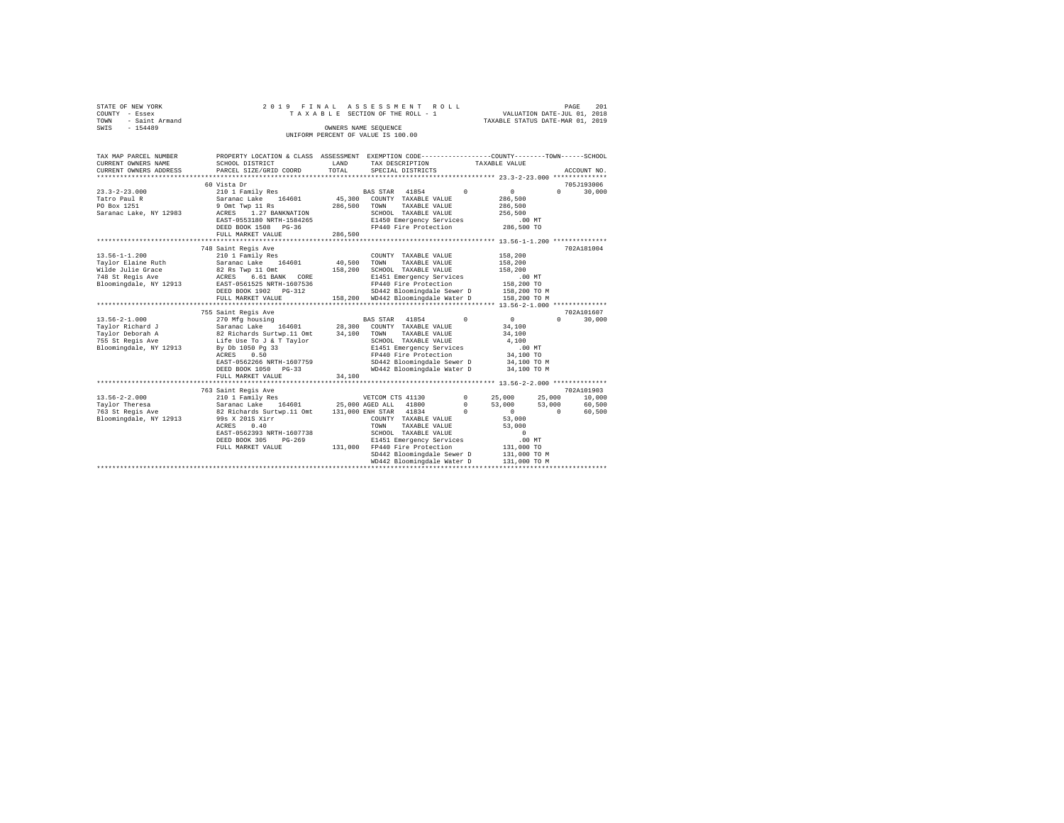| STATE OF NEW YORK   | 2019 FINAL ASSESSMENT ROLL         | 201<br>PAGE                      |
|---------------------|------------------------------------|----------------------------------|
| COUNTY - Essex      | TAXABLE SECTION OF THE ROLL - 1    | VALUATION DATE-JUL 01, 2018      |
| TOWN - Saint Armand |                                    | TAXABLE STATUS DATE-MAR 01, 2019 |
| SWIS<br>$-154489$   | OWNERS NAME SEOUENCE               |                                  |
|                     | UNIFORM PERCENT OF VALUE IS 100.00 |                                  |

| TAX MAP PARCEL NUMBER<br>CURRENT OWNERS NAME<br>CURRENT OWNERS ADDRESS | PROPERTY LOCATION & CLASS ASSESSMENT EXEMPTION CODE----------------COUNTY-------TOWN------SCHOOL<br>SCHOOL DISTRICT<br>PARCEL SIZE/GRID COORD | LAND<br>TOTAL | TAX DESCRIPTION<br>SPECIAL DISTRICTS | TAXABLE VALUE |              | ACCOUNT NO. |        |
|------------------------------------------------------------------------|-----------------------------------------------------------------------------------------------------------------------------------------------|---------------|--------------------------------------|---------------|--------------|-------------|--------|
|                                                                        |                                                                                                                                               |               |                                      |               |              |             |        |
|                                                                        | 60 Vista Dr                                                                                                                                   |               |                                      |               |              | 705J193006  |        |
| $23.3 - 2 - 23.000$                                                    | 210 1 Family Res                                                                                                                              |               | BAS STAR 41854                       | $\Omega$      | $\mathbf{0}$ | $\Omega$    | 30,000 |
| Tatro Paul R                                                           | Saranac Lake<br>164601                                                                                                                        | 45,300        | COUNTY TAXABLE VALUE                 |               | 286,500      |             |        |
| PO Box 1251                                                            | 9 Omt Twp 11 Rs                                                                                                                               | 286,500       | TOWN<br>TAXABLE VALUE                |               | 286,500      |             |        |
| Saranac Lake, NY 12983                                                 | 1.27 BANKNATION<br>ACRES                                                                                                                      |               | SCHOOL TAXABLE VALUE                 |               | 256,500      |             |        |
|                                                                        | EAST-0553180 NRTH-1584265                                                                                                                     |               | E1450 Emergency Services             |               | $.00$ MT     |             |        |
|                                                                        | DEED BOOK 1508 PG-36                                                                                                                          |               | FP440 Fire Protection                |               | 286,500 TO   |             |        |
|                                                                        | FULL MARKET VALUE                                                                                                                             | 286,500       |                                      |               |              |             |        |
|                                                                        |                                                                                                                                               |               |                                      |               |              |             |        |
|                                                                        | 748 Saint Regis Ave                                                                                                                           |               |                                      |               |              | 702A181004  |        |
| $13.56 - 1 - 1.200$                                                    | 210 1 Family Res                                                                                                                              |               | COUNTY TAXABLE VALUE                 |               | 158,200      |             |        |
| Taylor Elaine Ruth                                                     | Saranac Lake 164601                                                                                                                           | 40,500        | TOWN<br>TAXABLE VALUE                |               | 158,200      |             |        |
| Wilde Julie Grace                                                      | 82 Rs Twp 11 Omt                                                                                                                              | 158,200       | SCHOOL TAXABLE VALUE                 |               | 158,200      |             |        |
| 748 St Regis Ave                                                       | 6.61 BANK CORE<br>ACRES                                                                                                                       |               | E1451 Emergency Services             |               | $.00$ MT     |             |        |
| Bloomingdale, NY 12913                                                 | EAST-0561525 NRTH-1607536                                                                                                                     |               | FP440 Fire Protection                |               | 158,200 TO   |             |        |
|                                                                        | DEED BOOK 1902 PG-312                                                                                                                         |               | SD442 Bloomingdale Sewer D           |               | 158,200 TO M |             |        |
|                                                                        | FULL MARKET VALUE                                                                                                                             | 158,200       | WD442 Bloomingdale Water D           |               | 158,200 TO M |             |        |
|                                                                        |                                                                                                                                               |               |                                      |               |              |             |        |
|                                                                        | 755 Saint Regis Ave                                                                                                                           |               |                                      |               |              | 702A101607  |        |
| $13.56 - 2 - 1.000$                                                    | 270 Mfg housing                                                                                                                               |               | BAS STAR 41854                       | $\Omega$      | $\mathbf{0}$ | $\Omega$    | 30,000 |
| Taylor Richard J                                                       | Saranac Lake 164601 28,300                                                                                                                    |               | COUNTY TAXABLE VALUE                 |               | 34,100       |             |        |
| Taylor Deborah A                                                       | 82 Richards Surtwp.11 Omt                                                                                                                     | 34,100        | TOWN<br>TAXABLE VALUE                |               | 34,100       |             |        |
| 755 St Regis Ave                                                       |                                                                                                                                               |               | SCHOOL TAXABLE VALUE                 |               | 4,100        |             |        |
| Bloomingdale, NY 12913                                                 | Life Use To J & T Taylor<br>By Db 1050 Pg 33                                                                                                  |               | E1451 Emergency Services             |               | .00MT        |             |        |
|                                                                        |                                                                                                                                               |               |                                      |               |              |             |        |
|                                                                        | 0.50<br>ACRES                                                                                                                                 |               | FP440 Fire Protection                |               | 34,100 TO    |             |        |
|                                                                        | EAST-0562266 NRTH-1607759                                                                                                                     |               | SD442 Bloomingdale Sewer D           |               | 34,100 TO M  |             |        |
|                                                                        | DEED BOOK 1050 PG-33                                                                                                                          |               | WD442 Bloomingdale Water D           |               | 34,100 TO M  |             |        |
|                                                                        | FULL MARKET VALUE                                                                                                                             | 34,100        |                                      |               |              |             |        |
|                                                                        |                                                                                                                                               |               |                                      |               |              |             |        |
|                                                                        | 763 Saint Regis Ave                                                                                                                           |               |                                      |               |              | 702A101903  |        |
| $13.56 - 2 - 2.000$                                                    | 210 1 Family Res                                                                                                                              |               | VETCOM CTS 41130                     | $^{\circ}$    | 25,000       | 25,000      | 10,000 |
| Taylor Theresa                                                         | Saranac Lake 164601                                                                                                                           |               | 25,000 AGED ALL 41800                | $^{\circ}$    | 53,000       | 53,000      | 60,500 |
| 763 St Regis Ave                                                       | 82 Richards Surtwp.11 Omt                                                                                                                     |               | 131,000 ENH STAR 41834               | $\Omega$      | $\circ$      | $\sim$ 0    | 60,500 |
| Bloomingdale, NY 12913                                                 | 99s X 201S Xirr                                                                                                                               |               | COUNTY TAXABLE VALUE                 |               | 53,000       |             |        |
|                                                                        | ACRES<br>0.40                                                                                                                                 |               | TOWN<br>TAXABLE VALUE                |               | 53,000       |             |        |
|                                                                        | EAST-0562393 NRTH-1607738                                                                                                                     |               | SCHOOL TAXABLE VALUE                 |               | $^{\circ}$   |             |        |
|                                                                        | DEED BOOK 305<br>$PG-269$                                                                                                                     |               | E1451 Emergency Services             |               | $.00$ MT     |             |        |
|                                                                        | FULL MARKET VALUE                                                                                                                             | 131,000       | FP440 Fire Protection                |               | 131,000 TO   |             |        |
|                                                                        |                                                                                                                                               |               | SD442 Bloomingdale Sewer D           |               | 131,000 TO M |             |        |
|                                                                        |                                                                                                                                               |               | WD442 Bloomingdale Water D           |               | 131,000 TO M |             |        |
|                                                                        |                                                                                                                                               |               |                                      |               |              |             |        |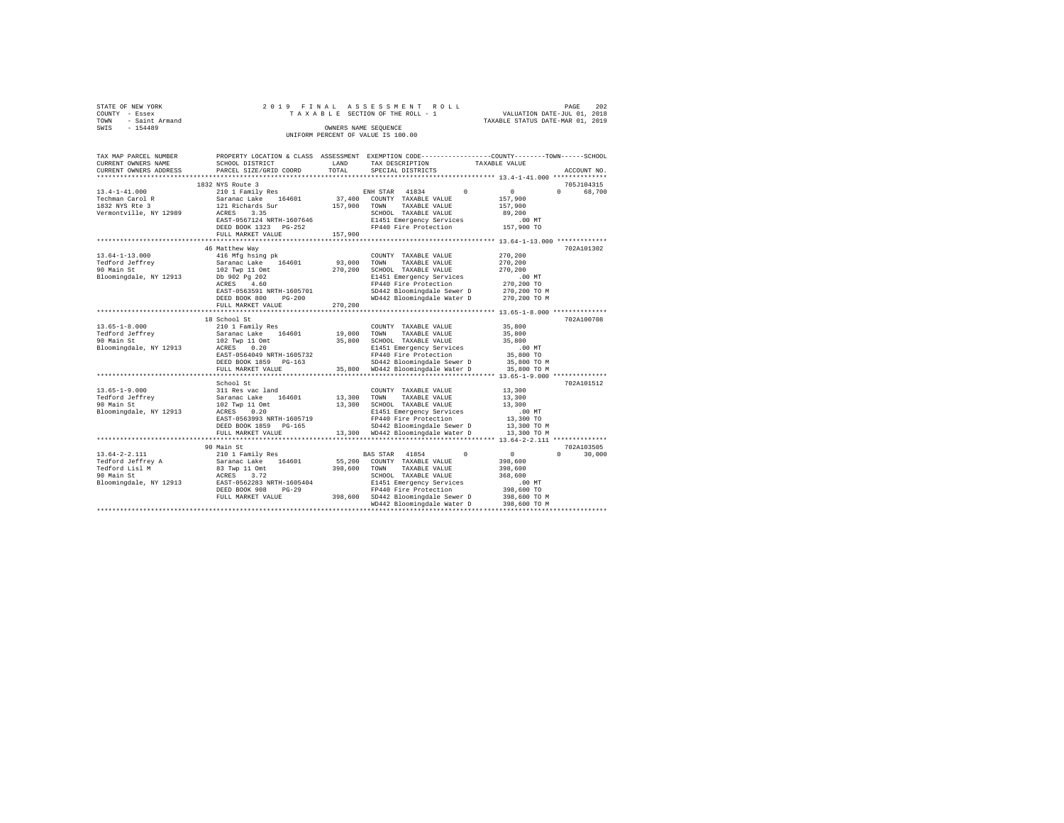|      | STATE OF NEW YORK | 2019 FINAL ASSESSMENT ROLL         |                                  | PAGE | 202 |
|------|-------------------|------------------------------------|----------------------------------|------|-----|
|      | COUNTY - Essex    | TAXABLE SECTION OF THE ROLL - 1    | VALUATION DATE-JUL 01, 2018      |      |     |
| TOWN | - Saint Armand    |                                    | TAXABLE STATUS DATE-MAR 01, 2019 |      |     |
| SWIS | $-154489$         | OWNERS NAME SEOUENCE               |                                  |      |     |
|      |                   | UNIFORM PERCENT OF VALUE IS 100.00 |                                  |      |     |

| TAX MAP PARCEL NUMBER<br>CURRENT OWNERS NAME                                                       | PROPERTY LOCATION & CLASS ASSESSMENT EXEMPTION CODE---------------COUNTY-------TOWN-----SCHOOL<br>SCHOOL DISTRICT                                                                        | LAND<br>TOTAL              | TAX DESCRIPTION                                                                                                                                                                                                     | TAXABLE VALUE                                                                                                                     |                    |
|----------------------------------------------------------------------------------------------------|------------------------------------------------------------------------------------------------------------------------------------------------------------------------------------------|----------------------------|---------------------------------------------------------------------------------------------------------------------------------------------------------------------------------------------------------------------|-----------------------------------------------------------------------------------------------------------------------------------|--------------------|
| CURRENT OWNERS ADDRESS                                                                             | PARCEL SIZE/GRID COORD                                                                                                                                                                   |                            | SPECIAL DISTRICTS                                                                                                                                                                                                   |                                                                                                                                   | ACCOUNT NO.        |
|                                                                                                    | 1832 NYS Route 3                                                                                                                                                                         |                            |                                                                                                                                                                                                                     |                                                                                                                                   | 705J104315         |
| $13.4 - 1 - 41.000$<br>Techman Carol R<br>1832 NYS Rte 3<br>Vermontville, NY 12989                 | 210 1 Family Res<br>Saranac Lake<br>164601<br>121 Richards Sur<br>ACRES<br>3.35                                                                                                          | 37,400<br>157,900          | 41834<br>ENH STAR<br>COUNTY TAXABLE VALUE<br>TOWN<br>TAXABLE VALUE<br>SCHOOL TAXABLE VALUE                                                                                                                          | $\circ$<br>$\Omega$<br>157,900<br>157,900<br>89,200                                                                               | $\Omega$<br>68,700 |
|                                                                                                    | EAST-0567124 NRTH-1607646<br>DEED BOOK 1323 PG-252<br>FULL MARKET VALUE                                                                                                                  | 157,900                    | E1451 Emergency Services<br>FP440 Fire Protection                                                                                                                                                                   | $.00$ MT<br>157,900 TO                                                                                                            |                    |
|                                                                                                    | ***********************                                                                                                                                                                  | .                          | ************************************** 13.64-1-13.000 *************                                                                                                                                                 |                                                                                                                                   |                    |
| $13.64 - 1 - 13.000$<br>Tedford Jeffrey<br>90 Main St<br>Bloomingdale, NY 12913                    | 46 Matthew Way<br>416 Mfg hsing pk<br>Saranac Lake<br>164601<br>102 Twp 11 Omt<br>Db 902 Pg 202<br>4.60<br>ACRES                                                                         | 93,000<br>270,200          | COUNTY TAXABLE VALUE<br>TOWN<br>TAXABLE VALUE<br>SCHOOL TAXABLE VALUE<br>E1451 Emergency Services<br>FP440 Fire Protection                                                                                          | 270,200<br>270,200<br>270,200<br>$.00$ MT<br>270,200 TO                                                                           | 702A101302         |
|                                                                                                    | EAST-0563591 NRTH-1605701<br>DEED BOOK 800<br>$PG-200$<br>FULL MARKET VALUE                                                                                                              | 270,200<br>                | SD442 Bloomingdale Sewer D<br>WD442 Bloomingdale Water D                                                                                                                                                            | 270,200 TO M<br>270,200 TO M<br>*********** 13.65-1-8.000 *************                                                           |                    |
|                                                                                                    | 18 School St                                                                                                                                                                             |                            |                                                                                                                                                                                                                     |                                                                                                                                   | 702A100708         |
| $13.65 - 1 - 8.000$<br>Tedford Jeffrey<br>90 Main St<br>Bloomingdale, NY 12913                     | 210 1 Family Res<br>Saranac Lake<br>164601<br>102 Twp 11 Omt<br>0.20<br>ACRES<br>EAST-0564049 NRTH-1605732<br>DEED BOOK 1859<br>$PG-163$<br>FULL MARKET VALUE<br>*********************** | 19,000<br>35,800<br>35,800 | COUNTY TAXABLE VALUE<br>TOWN<br>TAXABLE VALUE<br>SCHOOL TAXABLE VALUE<br>E1451 Emergency Services<br>FP440 Fire Protection<br>SD442 Bloomingdale Sewer D<br>WD442 Bloomingdale Water D                              | 35,800<br>35,800<br>35,800<br>$.00$ MT<br>35,800 TO<br>35,800 TO M<br>35,800 TO M<br>*************** 13.65-1-9.000 ************** |                    |
|                                                                                                    | School St                                                                                                                                                                                |                            |                                                                                                                                                                                                                     |                                                                                                                                   | 702A101512         |
| $13.65 - 1 - 9.000$<br>Tedford Jeffrey<br>90 Main St<br>Bloomingdale, NY 12913                     | 311 Res vac land<br>Saranac Lake 164601<br>102 Twp 11 Omt<br>ACRES<br>0.20<br>EAST-0563993 NRTH-1605719<br>DEED BOOK 1859<br>$PG-165$                                                    | 13,300<br>13,300           | COUNTY TAXABLE VALUE<br>TOWN<br>TAXABLE VALUE<br>SCHOOL TAXABLE VALUE<br>E1451 Emergency Services<br>FP440 Fire Protection<br>SD442 Bloomingdale Sewer D                                                            | 13,300<br>13,300<br>13,300<br>.00 MT<br>13,300 TO<br>13,300 TO M                                                                  |                    |
|                                                                                                    | FULL MARKET VALUE<br>******************                                                                                                                                                  | 13,300                     | WD442 Bloomingdale Water D<br>************************************* 13.64-2-2.111 ***************                                                                                                                   | 13,300 TO M                                                                                                                       |                    |
|                                                                                                    | 90 Main St                                                                                                                                                                               |                            |                                                                                                                                                                                                                     |                                                                                                                                   | 702A103505         |
| $13.64 - 2 - 2.111$<br>Tedford Jeffrey A<br>Tedford Lisl M<br>90 Main St<br>Bloomingdale, NY 12913 | 210 1 Family Res<br>Saranac Lake 164601<br>83 Twp 11 Omt<br>ACRES<br>3.72<br>EAST-0562283 NRTH-1605404<br>DEED BOOK 908<br>$PG-29$<br>FULL MARKET VALUE                                  | 55,200<br>398,600          | 41854<br>BAS STAR<br>COUNTY TAXABLE VALUE<br>TOWN<br>TAXABLE VALUE<br>SCHOOL TAXABLE VALUE<br>E1451 Emergency Services<br>FP440 Fire Protection<br>398,600 SD442 Bloomingdale Sewer D<br>WD442 Bloomingdale Water D | $^{\circ}$<br>$\circ$<br>398,600<br>398,600<br>368,600<br>.00MT<br>398,600 TO<br>398,600 TO M<br>398,600 TO M                     | $\Omega$<br>30,000 |
|                                                                                                    |                                                                                                                                                                                          |                            |                                                                                                                                                                                                                     |                                                                                                                                   |                    |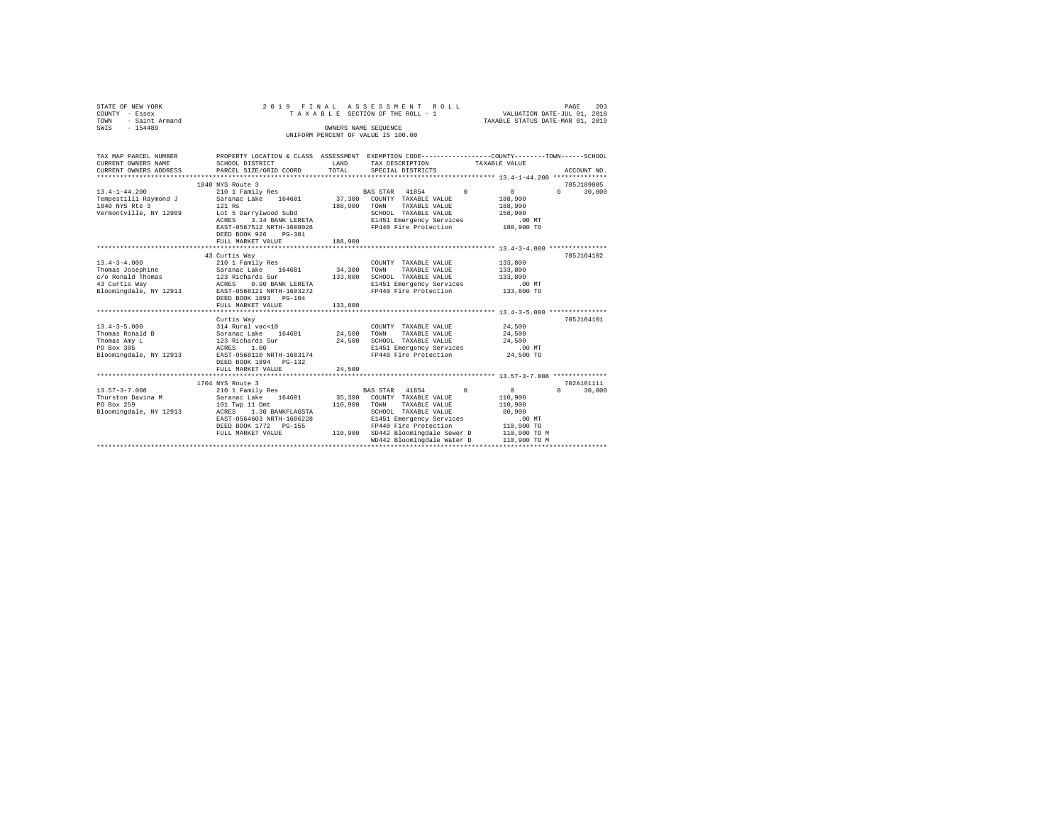| STATE OF NEW YORK<br>COUNTY - Essex                                                                                  |                                                                                                   |                      | 2019 FINAL ASSESSMENT ROLL<br>TAXABLE SECTION OF THE ROLL - 1    | VALUATION DATE-JUL 01, 2018 | 203<br>PAGE        |  |  |
|----------------------------------------------------------------------------------------------------------------------|---------------------------------------------------------------------------------------------------|----------------------|------------------------------------------------------------------|-----------------------------|--------------------|--|--|
| TOWN - Saint Armand                                                                                                  | TAXABLE STATUS DATE-MAR 01, 2019                                                                  |                      |                                                                  |                             |                    |  |  |
| SWIS - 154489                                                                                                        |                                                                                                   | OWNERS NAME SEOUENCE |                                                                  |                             |                    |  |  |
|                                                                                                                      |                                                                                                   |                      | UNIFORM PERCENT OF VALUE IS 100.00                               |                             |                    |  |  |
|                                                                                                                      |                                                                                                   |                      |                                                                  |                             |                    |  |  |
| TAX MAP PARCEL NUMBER PROPERTY LOCATION & CLASS ASSESSMENT EXEMPTION CODE--------------COUNTY-------TOWN------SCHOOL |                                                                                                   |                      |                                                                  |                             |                    |  |  |
| CURRENT OWNERS NAME                                                                                                  | SCHOOL DISTRICT                                                                                   | LAND                 | TAX DESCRIPTION TAXABLE VALUE                                    |                             |                    |  |  |
| CURRENT OWNERS ADDRESS                                                                                               | PARCEL SIZE/GRID COORD                                                                            | TOTAL                | SPECIAL DISTRICTS                                                |                             | ACCOUNT NO.        |  |  |
|                                                                                                                      |                                                                                                   |                      |                                                                  |                             |                    |  |  |
|                                                                                                                      | 1840 NYS Route 3                                                                                  |                      |                                                                  |                             | 705J189005         |  |  |
| $13.4 - 1 - 44.200$                                                                                                  | 210 1 Family Res                                                                                  |                      | $\Omega$<br>BAS STAR 41854                                       | $\sim$ 0                    | $0 \t 30.000$      |  |  |
| Tempestilli Raymond J<br>Tempestilli Raymond J<br>Saranac Lake 164601 37,300 COUNTY TAXABLE VALUE                    |                                                                                                   |                      |                                                                  | 188,900                     |                    |  |  |
| 1840 NYS Rte 3                                                                                                       | 121 Rs                                                                                            | 188,900 TOWN         | TAXABLE VALUE                                                    | 188,900                     |                    |  |  |
| Vermontville, NY 12989                                                                                               | Lot 5 Darrylwood Subd                                                                             |                      | SCHOOL TAXABLE VALUE                                             | 158,900                     |                    |  |  |
|                                                                                                                      |                                                                                                   |                      |                                                                  | 00 MT.<br>188,900 TO        |                    |  |  |
|                                                                                                                      | Lot 5 Darry wood suce<br>ACRES 3.34 BANK LERETA E1451 Emergency Services<br>E1440 Fire Protection |                      |                                                                  |                             |                    |  |  |
|                                                                                                                      | DEED BOOK 926 PG-301                                                                              |                      |                                                                  |                             |                    |  |  |
|                                                                                                                      | FULL MARKET VALUE                                                                                 | 188,900              |                                                                  |                             |                    |  |  |
|                                                                                                                      | ***************************                                                                       | *************        | ********************************** 13.4-3-4.000 **************** |                             |                    |  |  |
|                                                                                                                      | 43 Curtis Way                                                                                     |                      |                                                                  |                             | 705J104102         |  |  |
| $13.4 - 3 - 4.000$                                                                                                   | 210 1 Family Res                                                                                  |                      | COUNTY TAXABLE VALUE                                             | 133,800                     |                    |  |  |
|                                                                                                                      |                                                                                                   | 34,300               | TOWN<br>TAXABLE VALUE                                            | 133,800                     |                    |  |  |
|                                                                                                                      |                                                                                                   | 133,800              | SCHOOL TAXABLE VALUE                                             | 133,800                     |                    |  |  |
|                                                                                                                      |                                                                                                   |                      | E1451 Emergency Services                                         | .00 MT                      |                    |  |  |
|                                                                                                                      |                                                                                                   |                      | FP440 Fire Protection                                            | 133,800 TO                  |                    |  |  |
|                                                                                                                      | DEED BOOK 1893    PG-104                                                                          |                      |                                                                  |                             |                    |  |  |
|                                                                                                                      | FULL MARKET VALUE                                                                                 | 133,800              |                                                                  |                             |                    |  |  |
|                                                                                                                      |                                                                                                   |                      |                                                                  |                             |                    |  |  |
|                                                                                                                      | Curtis Way                                                                                        |                      |                                                                  |                             | 705.T104101        |  |  |
| $13.4 - 3 - 5.000$                                                                                                   |                                                                                                   |                      |                                                                  | 24,500                      |                    |  |  |
| Thomas Ronald B                                                                                                      |                                                                                                   |                      |                                                                  | 24,500                      |                    |  |  |
| Thomas Amy L<br>PO Box 305                                                                                           |                                                                                                   |                      |                                                                  | 24,500<br>$.00$ MT          |                    |  |  |
| Bloomingdale, NY 12913 EAST-0568110 NRTH-1603174                                                                     |                                                                                                   |                      | FP440 Fire Protection 24,500 TO                                  |                             |                    |  |  |
|                                                                                                                      | DEED BOOK 1894 PG-132                                                                             |                      |                                                                  |                             |                    |  |  |
|                                                                                                                      |                                                                                                   |                      |                                                                  |                             |                    |  |  |
|                                                                                                                      | FULL MARKET VALUE                                                                                 | 24,500               |                                                                  |                             |                    |  |  |
|                                                                                                                      | 1704 NYS Route 3                                                                                  |                      |                                                                  |                             | 702A101111         |  |  |
| $13.57 - 3 - 7.008$                                                                                                  | 210 1 Family Res                                                                                  |                      | BAS STAR 41854<br>$^{\circ}$                                     | 0                           | $\Omega$<br>30,000 |  |  |
| Thurston Davina M                                                                                                    | Saranac Lake 164601                                                                               | 35,300               | COUNTY TAXABLE VALUE                                             | 110,900                     |                    |  |  |
| PO Box 259                                                                                                           | 101 Twp 11 Omt                                                                                    | 110,900              | TAXABLE VALUE<br>TOWN                                            | 110,900                     |                    |  |  |
| Bloomingdale, NY 12913 ACRES 1.30 BANKFLAGSTA                                                                        |                                                                                                   |                      | SCHOOL TAXABLE VALUE                                             | 80,900                      |                    |  |  |
|                                                                                                                      | EAST-0564603 NRTH-1606228                                                                         |                      |                                                                  | $.00$ MT                    |                    |  |  |
|                                                                                                                      | DEED BOOK 1772 PG-155                                                                             |                      | E1451 Emergency Services<br>FP440 Fire Protection                | 110,900 TO                  |                    |  |  |
|                                                                                                                      | FULL MARKET VALUE                                                                                 |                      | 110,900 SD442 Bloomingdale Sewer D                               | 110,900 TO M                |                    |  |  |
|                                                                                                                      |                                                                                                   |                      | WD442 Bloomingdale Water D                                       | 110,900 TO M                |                    |  |  |
|                                                                                                                      |                                                                                                   |                      |                                                                  |                             |                    |  |  |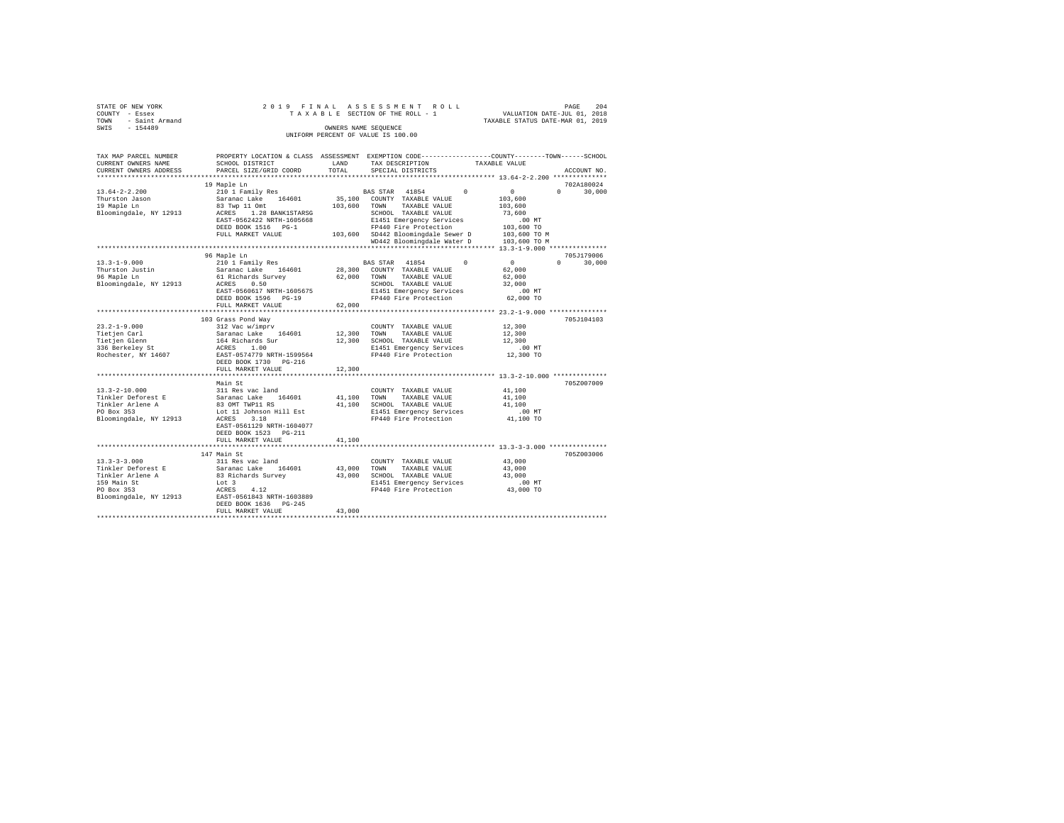| STATE OF NEW YORK   |  |  | 2019 FINAL ASSESSMENT ROLL         |                                  | PAGE | 204 |
|---------------------|--|--|------------------------------------|----------------------------------|------|-----|
| COUNTY - Essex      |  |  | TAXABLE SECTION OF THE ROLL - 1    | VALUATION DATE-JUL 01, 2018      |      |     |
| TOWN - Saint Armand |  |  |                                    | TAXABLE STATUS DATE-MAR 01, 2019 |      |     |
| SWIS<br>$-154489$   |  |  | OWNERS NAME SEOUENCE               |                                  |      |     |
|                     |  |  | UNIFORM PERCENT OF VALUE IS 100.00 |                                  |      |     |

| TAX MAP PARCEL NUMBER<br>CURRENT OWNERS NAME      | PROPERTY LOCATION & CLASS ASSESSMENT EXEMPTION CODE----------------COUNTY-------TOWN------SCHOOL<br>SCHOOL DISTRICT | LAND         | TAX DESCRIPTION |                                    |          | TAXABLE VALUE |                    |
|---------------------------------------------------|---------------------------------------------------------------------------------------------------------------------|--------------|-----------------|------------------------------------|----------|---------------|--------------------|
| CURRENT OWNERS ADDRESS<br>*********************** | PARCEL SIZE/GRID COORD<br>****************************                                                              | TOTAL        |                 | SPECIAL DISTRICTS                  |          |               | ACCOUNT NO.        |
|                                                   | 19 Maple Ln                                                                                                         |              |                 |                                    |          |               | 702A180024         |
| $13.64 - 2 - 2.200$                               | 210 1 Family Res                                                                                                    |              | BAS STAR 41854  |                                    | $\Omega$ | $\Omega$      | $\cap$<br>30,000   |
| Thurston Jason                                    | Saranac Lake 164601                                                                                                 | 35,100       |                 | COUNTY TAXABLE VALUE               |          | 103,600       |                    |
| 19 Maple Ln                                       | 83 Twp 11 Omt                                                                                                       | 103,600 TOWN |                 | TAXABLE VALUE                      |          | 103,600       |                    |
| Bloomingdale, NY 12913                            | ACRES<br>1.28 BANK1STARSG                                                                                           |              |                 | SCHOOL TAXABLE VALUE               |          | 73,600        |                    |
|                                                   | EAST-0562422 NRTH-1605668                                                                                           |              |                 | E1451 Emergency Services           |          | $.00$ MT      |                    |
|                                                   | DEED BOOK 1516 PG-1                                                                                                 |              |                 | FP440 Fire Protection              |          | 103,600 TO    |                    |
|                                                   | FULL MARKET VALUE                                                                                                   |              |                 | 103,600 SD442 Bloomingdale Sewer D |          | 103,600 TO M  |                    |
|                                                   |                                                                                                                     |              |                 | WD442 Bloomingdale Water D         |          | 103,600 TO M  |                    |
|                                                   |                                                                                                                     |              |                 |                                    |          |               |                    |
|                                                   | 96 Maple Ln                                                                                                         |              |                 |                                    |          |               | 705J179006         |
| $13.3 - 1 - 9.000$                                | 210 1 Family Res                                                                                                    |              | BAS STAR 41854  |                                    | $\Omega$ | $\sim$        | $\Omega$<br>30,000 |
| Thurston Justin                                   | Saranac Lake 164601                                                                                                 |              |                 | 28,300 COUNTY TAXABLE VALUE        |          | 62,000        |                    |
| 96 Maple Ln                                       | 61 Richards Survey                                                                                                  | 62,000 TOWN  |                 | TAXABLE VALUE                      |          | 62,000        |                    |
| Bloomingdale, NY 12913                            | ACRES 0.50                                                                                                          |              |                 | SCHOOL TAXABLE VALUE               |          | 32,000        |                    |
|                                                   | EAST-0560617 NRTH-1605675                                                                                           |              |                 | E1451 Emergency Services           |          | $.00$ MT      |                    |
|                                                   | DEED BOOK 1596 PG-19                                                                                                |              |                 | FP440 Fire Protection              |          | 62,000 TO     |                    |
|                                                   | FULL MARKET VALUE                                                                                                   | 62,000       |                 |                                    |          |               |                    |
|                                                   |                                                                                                                     |              |                 |                                    |          |               |                    |
|                                                   | 103 Grass Pond Way                                                                                                  |              |                 |                                    |          |               | 705J104103         |
| $23.2 - 1 - 9.000$                                | 312 Vac w/imprv                                                                                                     |              |                 | COUNTY TAXABLE VALUE               |          | 12,300        |                    |
| Tietjen Carl                                      | Saranac Lake 164601                                                                                                 | 12,300 TOWN  |                 | TAXABLE VALUE                      |          | 12,300        |                    |
| Tietjen Glenn                                     | 164 Richards Sur                                                                                                    |              |                 | 12,300 SCHOOL TAXABLE VALUE        |          | 12,300        |                    |
| 336 Berkeley St                                   | ACRES 1.00                                                                                                          |              |                 | E1451 Emergency Services           |          | $.00$ MT      |                    |
| Rochester, NY 14607                               | EAST-0574779 NRTH-1599564                                                                                           |              |                 | FP440 Fire Protection              |          | 12,300 TO     |                    |
|                                                   | DEED BOOK 1730<br>$PG-216$                                                                                          |              |                 |                                    |          |               |                    |
|                                                   | FULL MARKET VALUE                                                                                                   | 12,300       |                 |                                    |          |               |                    |
|                                                   | ***************************                                                                                         |              |                 |                                    |          |               |                    |
|                                                   | Main St                                                                                                             |              |                 |                                    |          |               | 705Z007009         |
| $13.3 - 2 - 10.000$                               | 311 Res vac land                                                                                                    |              |                 | COUNTY TAXABLE VALUE               |          | 41,100        |                    |
| Tinkler Deforest E                                | Saranac Lake 164601                                                                                                 |              | 41.100 TOWN     | TAXABLE VALUE                      |          | 41,100        |                    |
| Tinkler Arlene A                                  | 83 OMT TWP11 RS                                                                                                     |              |                 | 41,100 SCHOOL TAXABLE VALUE        |          | 41,100        |                    |
| PO Box 353                                        | Lot 11 Johnson Hill Est                                                                                             |              |                 | E1451 Emergency Services           |          | $.00$ MT      |                    |
| Bloomingdale, NY 12913                            | ACRES<br>3.18                                                                                                       |              |                 | FP440 Fire Protection              |          | 41,100 TO     |                    |
|                                                   | EAST-0561129 NRTH-1604077                                                                                           |              |                 |                                    |          |               |                    |
|                                                   | DEED BOOK 1523 PG-211                                                                                               |              |                 |                                    |          |               |                    |
|                                                   | FULL MARKET VALUE                                                                                                   | 41,100       |                 |                                    |          |               |                    |
|                                                   |                                                                                                                     |              |                 |                                    |          |               |                    |
|                                                   | 147 Main St                                                                                                         |              |                 |                                    |          |               | 705Z003006         |
| $13.3 - 3 - 3.000$                                | 311 Res vac land                                                                                                    |              |                 | COUNTY TAXABLE VALUE               |          | 43,000        |                    |
| Tinkler Deforest E                                | Saranac Lake 164601                                                                                                 |              | 43,000 TOWN     | TAXABLE VALUE                      |          | 43,000        |                    |
| Tinkler Arlene A                                  | 83 Richards Survey                                                                                                  |              |                 | 43,000 SCHOOL TAXABLE VALUE        |          | 43,000        |                    |
| 159 Main St                                       | Lot 3                                                                                                               |              |                 | E1451 Emergency Services           |          | $.00$ MT      |                    |
| PO Box 353                                        | ACRES<br>4.12                                                                                                       |              |                 | FP440 Fire Protection              |          | 43,000 TO     |                    |
| Bloomingdale, NY 12913                            | EAST-0561843 NRTH-1603889                                                                                           |              |                 |                                    |          |               |                    |
|                                                   | DEED BOOK 1636 PG-245                                                                                               |              |                 |                                    |          |               |                    |
|                                                   | FULL MARKET VALUE                                                                                                   | 43,000       |                 |                                    |          |               |                    |
|                                                   |                                                                                                                     |              |                 |                                    |          |               |                    |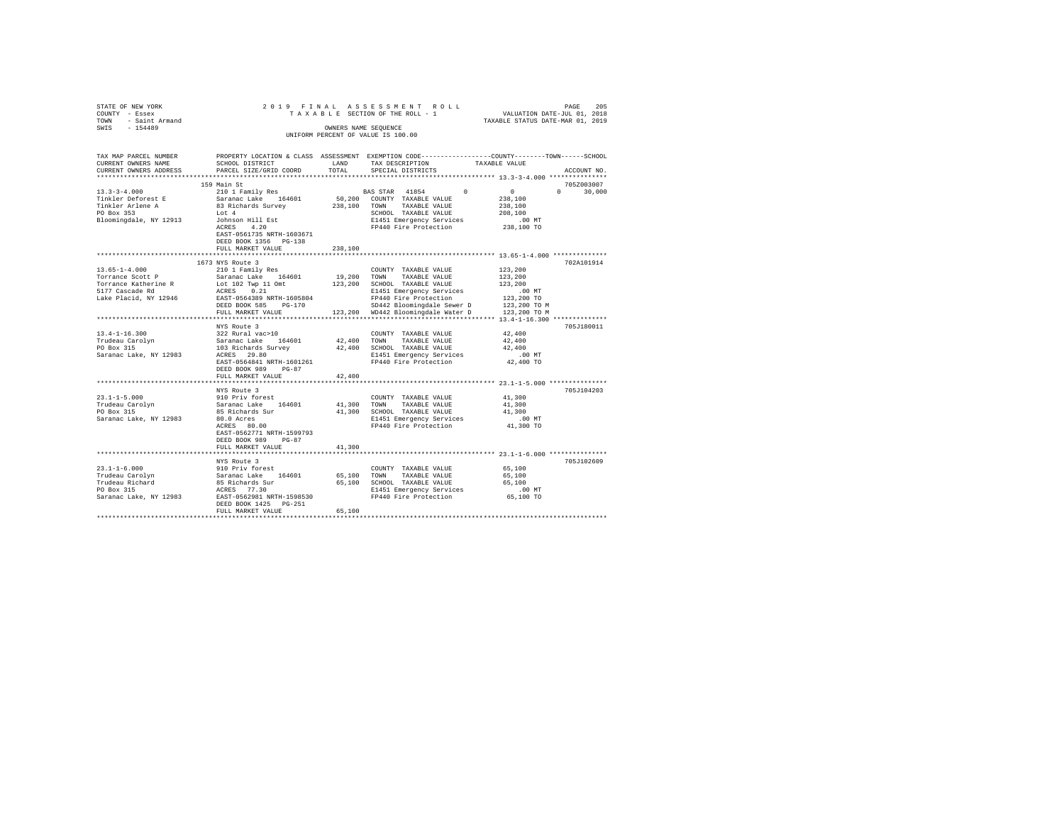| $\begin{tabular}{lllllllllll} \multicolumn{2}{c}{STATE} \hspace{0.08cm} \text{OF NEW YORK} & & & & & & & \\ \multicolumn{2}{c}{\text{COUNTY}} & - \hspace{0.08cm} \text{Eseex} & & & & & \hspace{0.08cm} \text{T A X} \\ \text{TOWN} & - \hspace{0.08cm} \text{Saint Armand} & & & & \hspace{0.08cm} \text{T D} \\ \multicolumn{2}{c}{\text{T A X}} & & & & \hspace{0.08cm} \text{T D} \\ \multicolumn{2}{c}{\text{T D}} & & & \hspace{0.08cm} \text{UNIFO$ |                                                      |         | 2019 FINAL ASSESSMENT ROLL<br>OWNERS NAME SEQUENCE<br>UNIFORM PERCENT OF VALUE IS 100.00 | PAGE<br>DAGE PARA LASSESSMENT ROLL<br>TAXABLE SECTION OF THE ROLL – 1<br>TAXABLE STATUS DATE-JUL 01, 2018<br>TAXABLE STATUS DATE-MAR 01, 2019 |
|-------------------------------------------------------------------------------------------------------------------------------------------------------------------------------------------------------------------------------------------------------------------------------------------------------------------------------------------------------------------------------------------------------------------------------------------------------------|------------------------------------------------------|---------|------------------------------------------------------------------------------------------|-----------------------------------------------------------------------------------------------------------------------------------------------|
| TAX MAP PARCEL NUMBER<br>CURRENT OWNERS NAME<br>CURRENT OWNERS ADDRESS                                                                                                                                                                                                                                                                                                                                                                                      | SCHOOL DISTRICT LAND<br>PARCEL SIZE/GRID COORD TOTAL |         | TAX DESCRIPTION TAXABLE VALUE<br>SPECIAL DISTRICTS                                       | PROPERTY LOCATION & CLASS ASSESSMENT EXEMPTION CODE---------------COUNTY-------TOWN------SCHOOL<br>ACCOUNT NO.                                |
|                                                                                                                                                                                                                                                                                                                                                                                                                                                             |                                                      |         |                                                                                          |                                                                                                                                               |
|                                                                                                                                                                                                                                                                                                                                                                                                                                                             |                                                      |         |                                                                                          |                                                                                                                                               |
|                                                                                                                                                                                                                                                                                                                                                                                                                                                             |                                                      |         |                                                                                          |                                                                                                                                               |
|                                                                                                                                                                                                                                                                                                                                                                                                                                                             |                                                      |         |                                                                                          |                                                                                                                                               |
|                                                                                                                                                                                                                                                                                                                                                                                                                                                             |                                                      |         |                                                                                          |                                                                                                                                               |
|                                                                                                                                                                                                                                                                                                                                                                                                                                                             |                                                      |         |                                                                                          |                                                                                                                                               |
|                                                                                                                                                                                                                                                                                                                                                                                                                                                             | EAST-0561735 NRTH-1603671<br>DEED BOOK 1356 PG-138   |         |                                                                                          |                                                                                                                                               |
|                                                                                                                                                                                                                                                                                                                                                                                                                                                             | FULL MARKET VALUE                                    | 238,100 |                                                                                          |                                                                                                                                               |
|                                                                                                                                                                                                                                                                                                                                                                                                                                                             |                                                      |         |                                                                                          | **************************** 13.65-1-4.000 **************                                                                                     |
|                                                                                                                                                                                                                                                                                                                                                                                                                                                             | 1673 NYS Route 3                                     |         |                                                                                          | 702A101914                                                                                                                                    |
| $\begin{tabular}{l c c c c c} \hline 13.65-1-4.000 & 1093 \; \text{NO} & 1093 \; \text{NO} & 1093 \; \text{NO} & 1093 \; \text{NO} & 1093 \; \text{NO} & 1093 \; \text{NO} & 1093 \; \text{O} & 1093 \; \text{O} & 1093 \; \text{O} & 1093 \; \text{O} & 1093 \; \text{O} & 1093 \; \text{O} & 1093 \; \text{O} & 1093 \; \text{O} & 1$                                                                                                                     |                                                      |         |                                                                                          |                                                                                                                                               |
|                                                                                                                                                                                                                                                                                                                                                                                                                                                             |                                                      |         |                                                                                          |                                                                                                                                               |
|                                                                                                                                                                                                                                                                                                                                                                                                                                                             |                                                      |         |                                                                                          |                                                                                                                                               |
|                                                                                                                                                                                                                                                                                                                                                                                                                                                             |                                                      |         |                                                                                          |                                                                                                                                               |
|                                                                                                                                                                                                                                                                                                                                                                                                                                                             |                                                      |         |                                                                                          |                                                                                                                                               |
|                                                                                                                                                                                                                                                                                                                                                                                                                                                             |                                                      |         |                                                                                          |                                                                                                                                               |
|                                                                                                                                                                                                                                                                                                                                                                                                                                                             |                                                      |         |                                                                                          |                                                                                                                                               |
|                                                                                                                                                                                                                                                                                                                                                                                                                                                             | NYS Route 3                                          |         |                                                                                          | 705J180011                                                                                                                                    |
| $[13.4-1-16.300$ $[14.4-1-16.300$ $[14.4-1-16.300]$ $[14.4-1-16.300]$ $[14.4-16.300]$ $[14.4-16.300]$ $[14.4-16.300]$ $[14.4-16.300]$ $[14.4-16.300]$ $[14.4-16.300]$ $[14.4-16.300]$ $[14.4-16.300]$ $[14.4-16.300]$ $[14.4-$                                                                                                                                                                                                                              |                                                      |         | COUNTY TAXABLE VALUE 42,400                                                              |                                                                                                                                               |
|                                                                                                                                                                                                                                                                                                                                                                                                                                                             |                                                      |         |                                                                                          | 42,400                                                                                                                                        |
|                                                                                                                                                                                                                                                                                                                                                                                                                                                             |                                                      |         |                                                                                          | 42,400                                                                                                                                        |
|                                                                                                                                                                                                                                                                                                                                                                                                                                                             |                                                      |         |                                                                                          |                                                                                                                                               |
|                                                                                                                                                                                                                                                                                                                                                                                                                                                             |                                                      |         |                                                                                          | .00 MT<br>42,400 TO                                                                                                                           |
|                                                                                                                                                                                                                                                                                                                                                                                                                                                             | DEED BOOK 989 PG-87                                  |         |                                                                                          |                                                                                                                                               |
|                                                                                                                                                                                                                                                                                                                                                                                                                                                             | FULL MARKET VALUE                                    | 42,400  |                                                                                          |                                                                                                                                               |
|                                                                                                                                                                                                                                                                                                                                                                                                                                                             |                                                      |         |                                                                                          |                                                                                                                                               |
|                                                                                                                                                                                                                                                                                                                                                                                                                                                             | NYS Route 3                                          |         |                                                                                          | 705J104203                                                                                                                                    |
|                                                                                                                                                                                                                                                                                                                                                                                                                                                             |                                                      |         |                                                                                          |                                                                                                                                               |
|                                                                                                                                                                                                                                                                                                                                                                                                                                                             |                                                      |         |                                                                                          |                                                                                                                                               |
|                                                                                                                                                                                                                                                                                                                                                                                                                                                             |                                                      |         |                                                                                          |                                                                                                                                               |
|                                                                                                                                                                                                                                                                                                                                                                                                                                                             |                                                      |         |                                                                                          | .00 MT<br>41,300 TO                                                                                                                           |
|                                                                                                                                                                                                                                                                                                                                                                                                                                                             |                                                      |         |                                                                                          |                                                                                                                                               |
|                                                                                                                                                                                                                                                                                                                                                                                                                                                             | EAST-0562771 NRTH-1599793                            |         |                                                                                          |                                                                                                                                               |
|                                                                                                                                                                                                                                                                                                                                                                                                                                                             | DEED BOOK 989 PG-87                                  |         |                                                                                          |                                                                                                                                               |
|                                                                                                                                                                                                                                                                                                                                                                                                                                                             | FULL MARKET VALUE                                    | 41,300  |                                                                                          |                                                                                                                                               |
|                                                                                                                                                                                                                                                                                                                                                                                                                                                             |                                                      |         |                                                                                          |                                                                                                                                               |
|                                                                                                                                                                                                                                                                                                                                                                                                                                                             | NYS Route 3                                          |         |                                                                                          | 705J102609                                                                                                                                    |
|                                                                                                                                                                                                                                                                                                                                                                                                                                                             |                                                      |         | COUNTY TAXABLE VALUE 65,100                                                              |                                                                                                                                               |
|                                                                                                                                                                                                                                                                                                                                                                                                                                                             |                                                      |         |                                                                                          | 65,100                                                                                                                                        |
|                                                                                                                                                                                                                                                                                                                                                                                                                                                             |                                                      |         |                                                                                          | 65,100                                                                                                                                        |
|                                                                                                                                                                                                                                                                                                                                                                                                                                                             |                                                      |         |                                                                                          | 00 MT.<br>65,100 TO                                                                                                                           |
|                                                                                                                                                                                                                                                                                                                                                                                                                                                             |                                                      |         |                                                                                          |                                                                                                                                               |
|                                                                                                                                                                                                                                                                                                                                                                                                                                                             | DEED BOOK 1425 PG-251<br>FULL MARKET VALUE           | 65,100  |                                                                                          |                                                                                                                                               |
|                                                                                                                                                                                                                                                                                                                                                                                                                                                             |                                                      |         |                                                                                          |                                                                                                                                               |
|                                                                                                                                                                                                                                                                                                                                                                                                                                                             |                                                      |         |                                                                                          |                                                                                                                                               |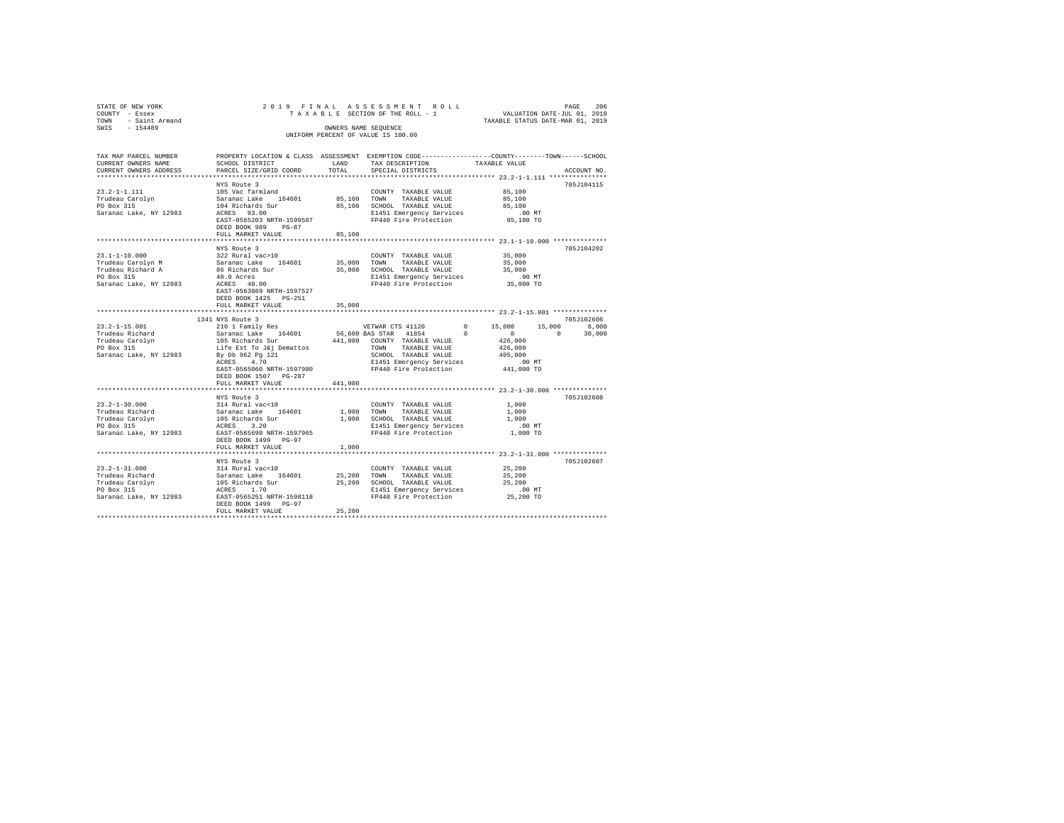| STATE OF NEW YORK<br>COUNTY - Essex<br>- Saint Armand<br>TOWN |                                                                                                 |             | 206 PAGE 206 PINAL ASSESSMENT ROLL (PAGE 206 PAGE 206 PAGE 206 PAGE 206 PAGE 206 PAGE 206 PAGE 2019 PAGE 2019 PAGE 2019 PAGE 2019 PAGE 2019 PAGE 2019 PAGE 2019 PAGE 2019 PAGE 2019 PAGE 2019 PAGE 2019 PAGE 2019 PAGE 2019 PA |                        |                    |
|---------------------------------------------------------------|-------------------------------------------------------------------------------------------------|-------------|--------------------------------------------------------------------------------------------------------------------------------------------------------------------------------------------------------------------------------|------------------------|--------------------|
| SWIS - 154489                                                 |                                                                                                 |             | OWNERS NAME SEQUENCE                                                                                                                                                                                                           |                        |                    |
|                                                               |                                                                                                 |             | UNIFORM PERCENT OF VALUE IS 100.00                                                                                                                                                                                             |                        |                    |
|                                                               |                                                                                                 |             |                                                                                                                                                                                                                                |                        |                    |
| TAX MAP PARCEL NUMBER                                         | PROPERTY LOCATION & CLASS ASSESSMENT EXEMPTION CODE---------------COUNTY-------TOWN------SCHOOL |             |                                                                                                                                                                                                                                |                        |                    |
| CURRENT OWNERS NAME                                           | SCHOOL DISTRICT                                                                                 | LAND        | TAX DESCRIPTION                                                                                                                                                                                                                | TAXABLE VALUE          |                    |
| CURRENT OWNERS ADDRESS                                        | PARCEL SIZE/GRID COORD                                                                          | TOTAL       | SPECIAL DISTRICTS                                                                                                                                                                                                              |                        | ACCOUNT NO.        |
|                                                               |                                                                                                 |             |                                                                                                                                                                                                                                |                        |                    |
|                                                               | NYS Route 3                                                                                     |             |                                                                                                                                                                                                                                |                        | 705J104115         |
| $23.2 - 1 - 1.111$                                            | 105 Vac farmland                                                                                |             | COUNTY TAXABLE VALUE                                                                                                                                                                                                           | 85,100                 |                    |
| Trudeau Carolyn<br>DO Box 315                                 | Saranac Lake 164601                                                                             | 85,100 TOWN | TAXABLE VALUE                                                                                                                                                                                                                  | 85,100                 |                    |
| Saranac Lake, NY 12983                                        | 104 Richards Sur<br>ACRES 93.00                                                                 |             | 85,100 SCHOOL TAXABLE VALUE<br>E1451 Emergency Services                                                                                                                                                                        | 85,100<br>$.00$ MT     |                    |
|                                                               | EAST-0565203 NRTH-1599507                                                                       |             | FP440 Fire Protection                                                                                                                                                                                                          | 85,100 TO              |                    |
|                                                               | DEED BOOK 989 PG-87                                                                             |             |                                                                                                                                                                                                                                |                        |                    |
|                                                               | FULL MARKET VALUE                                                                               | 85,100      |                                                                                                                                                                                                                                |                        |                    |
|                                                               |                                                                                                 |             |                                                                                                                                                                                                                                |                        |                    |
|                                                               | NYS Route 3                                                                                     |             |                                                                                                                                                                                                                                |                        | 705J104202         |
| 23.1-1-10.000                                                 | 322 Rural vac>10                                                                                |             | COUNTY TAXABLE VALUE                                                                                                                                                                                                           | 35,000                 |                    |
| Trudeau Carolyn M                                             | Saranac Lake 164601                                                                             | 35,000      | TOWN TAXABLE VALUE                                                                                                                                                                                                             | 35,000                 |                    |
| Trudeau Richard A                                             | 86 Richards Sur                                                                                 |             | 35,000 SCHOOL TAXABLE VALUE                                                                                                                                                                                                    | 35,000                 |                    |
| PO Box 315<br>Saranac Lake, NY 12983                          | 40.0 Acres<br>ACRES 40.00                                                                       |             | E1451 Emergency Services<br>FP440 Fire Protection 35,000 TO                                                                                                                                                                    | $.00$ MT               |                    |
|                                                               | EAST-0563089 NRTH-1597527                                                                       |             |                                                                                                                                                                                                                                |                        |                    |
|                                                               | DEED BOOK 1425 PG-251                                                                           |             |                                                                                                                                                                                                                                |                        |                    |
|                                                               | FULL MARKET VALUE                                                                               | 35,000      |                                                                                                                                                                                                                                |                        |                    |
|                                                               |                                                                                                 |             |                                                                                                                                                                                                                                |                        |                    |
|                                                               | 1341 NYS Route 3                                                                                |             |                                                                                                                                                                                                                                |                        | 705J102606         |
| $23.2 - 1 - 15.001$                                           | 210 1 Family Res                                                                                |             | VETWAR CTS 41120                                                                                                                                                                                                               | $0 \t 15,000$          | 15,000<br>6.000    |
| Trudeau Richard                                               | Saranac Lake 164601                                                                             |             | 56,600 BAS STAR 41854                                                                                                                                                                                                          | $^{\circ}$<br>$\sim$ 0 | $\sim$ 0<br>30,000 |
| Trudeau Carolyn<br>PO Box 315                                 | 105 Richards Sur<br>Life Est To J&j Demattos                                                    |             | 441,000 COUNTY TAXABLE VALUE                                                                                                                                                                                                   | 426,000<br>426,000     |                    |
| Saranac Lake, NY 12983                                        |                                                                                                 |             | TOWN TAXABLE VALUE<br>SCHOOL TAXABLE VALUE                                                                                                                                                                                     | 405,000                |                    |
|                                                               | By Db 962 Pg 121<br>ACRES 4.70                                                                  |             | E1451 Emergency Services                                                                                                                                                                                                       | .00 MT                 |                    |
|                                                               | EAST-0565060 NRTH-1597980                                                                       |             | FP440 Fire Protection                                                                                                                                                                                                          | 441,000 TO             |                    |
|                                                               | DEED BOOK 1507 PG-287                                                                           |             |                                                                                                                                                                                                                                |                        |                    |
|                                                               | FULL MARKET VALUE                                                                               | 441,000     |                                                                                                                                                                                                                                |                        |                    |
|                                                               |                                                                                                 |             |                                                                                                                                                                                                                                |                        |                    |
|                                                               | NYS Route 3                                                                                     |             |                                                                                                                                                                                                                                |                        | 705J102608         |
| $23.2 - 1 - 30.000$                                           | 314 Rural vac<10                                                                                |             | COUNTY TAXABLE VALUE                                                                                                                                                                                                           | 1,000                  |                    |
|                                                               | Saranac Lake 164601                                                                             | 1,000 TOWN  | TAXABLE VALUE<br>1,000 SCHOOL TAXABLE VALUE                                                                                                                                                                                    | 1,000<br>1,000         |                    |
| Trudeau Richard<br>Trudeau Carolyn<br>PO Box 315              | 105 Richards Sur<br>ACRES 3.20                                                                  |             | E1451 Emergency Services                                                                                                                                                                                                       | $.00$ MT               |                    |
| Saranac Lake, NY 12983                                        | EAST-0565690 NRTH-1597965                                                                       |             | FP440 Fire Protection                                                                                                                                                                                                          | 1,000 TO               |                    |
|                                                               | DEED BOOK 1499 PG-97                                                                            |             |                                                                                                                                                                                                                                |                        |                    |
|                                                               | FULL MARKET VALUE                                                                               | 1,000       |                                                                                                                                                                                                                                |                        |                    |
|                                                               |                                                                                                 |             |                                                                                                                                                                                                                                |                        |                    |
|                                                               | NYS Route 3                                                                                     |             |                                                                                                                                                                                                                                |                        | 705J102607         |
| $23.2 - 1 - 31.000$                                           | 314 Rural vac<10                                                                                |             | COUNTY TAXABLE VALUE                                                                                                                                                                                                           | 25,200                 |                    |
| Trudeau Richard                                               | Saranac Lake 164601                                                                             |             | 25,200 TOWN TAXABLE VALUE                                                                                                                                                                                                      | 25,200                 |                    |
| Trudeau Carolyn<br>PO Box 315                                 | 105 Richards Sur<br>ACRES 1.70                                                                  |             | 25,200 SCHOOL TAXABLE VALUE                                                                                                                                                                                                    | 25,200<br>$.00$ MT     |                    |
| Saranac Lake, NY 12983                                        | EAST-0565251 NRTH-1598118                                                                       |             | E1451 Emergency Services<br>FP440 Fire Protection                                                                                                                                                                              | 25,200 TO              |                    |
|                                                               | DEED BOOK 1499 PG-97                                                                            |             |                                                                                                                                                                                                                                |                        |                    |
|                                                               | FULL MARKET VALUE                                                                               | 25,200      |                                                                                                                                                                                                                                |                        |                    |
|                                                               |                                                                                                 |             |                                                                                                                                                                                                                                |                        |                    |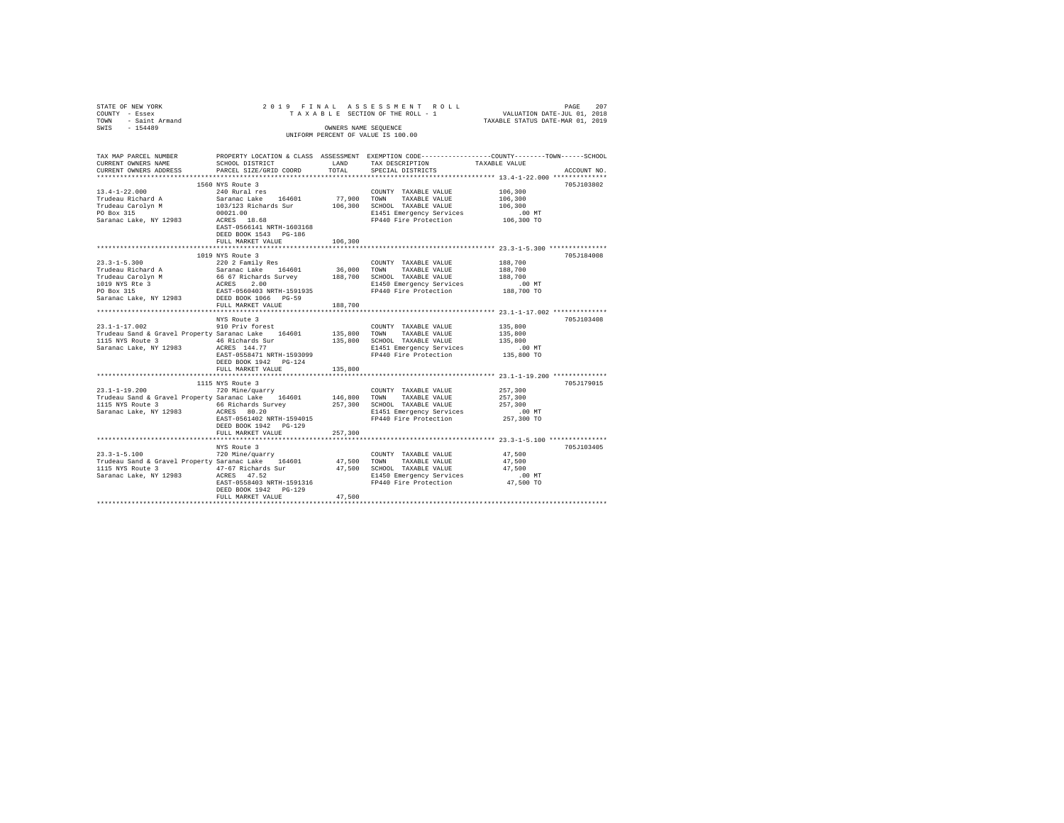| STATE OF NEW YORK STATE OF NEW YORK ASSESSMENT PROPERTY - ESSEX TO A TRACK THAT TO A TRACK THE ROLL TOWN THE ROLL TOWN THE ROLL TOWN THE ROLL TOWN THE ROLL TOWN THE ROLL TO A TRACK THAT THE ROLL TO A THAT THE ROLL TO A TH        |                                            |         | TAXABLE SECTION OF THE ROLL - 1                                                                                                                                                                      | PAGE 207<br>1 VALUATION DATE-JUL 01, 2018<br>TAXABLE STATUS DATE-MAR 01, 2019                                  |
|--------------------------------------------------------------------------------------------------------------------------------------------------------------------------------------------------------------------------------------|--------------------------------------------|---------|------------------------------------------------------------------------------------------------------------------------------------------------------------------------------------------------------|----------------------------------------------------------------------------------------------------------------|
|                                                                                                                                                                                                                                      |                                            |         | UNIFORM PERCENT OF VALUE IS 100.00                                                                                                                                                                   |                                                                                                                |
| TAX MAP PARCEL NUMBER<br>CURRENT OWNERS NAME<br>CURRENT OWNERS ADDRESS                                                                                                                                                               |                                            |         |                                                                                                                                                                                                      | PROPERTY LOCATION & CLASS ASSESSMENT EXEMPTION CODE---------------COUNTY-------TOWN------SCHOOL<br>ACCOUNT NO. |
|                                                                                                                                                                                                                                      |                                            |         |                                                                                                                                                                                                      |                                                                                                                |
|                                                                                                                                                                                                                                      |                                            |         |                                                                                                                                                                                                      | 705J103802                                                                                                     |
|                                                                                                                                                                                                                                      |                                            |         |                                                                                                                                                                                                      |                                                                                                                |
|                                                                                                                                                                                                                                      |                                            |         |                                                                                                                                                                                                      |                                                                                                                |
|                                                                                                                                                                                                                                      |                                            |         |                                                                                                                                                                                                      |                                                                                                                |
|                                                                                                                                                                                                                                      |                                            |         |                                                                                                                                                                                                      |                                                                                                                |
|                                                                                                                                                                                                                                      | EAST-0566141 NRTH-1603168                  |         |                                                                                                                                                                                                      |                                                                                                                |
|                                                                                                                                                                                                                                      | DEED BOOK 1543 PG-186                      |         |                                                                                                                                                                                                      |                                                                                                                |
|                                                                                                                                                                                                                                      | FULL MARKET VALUE                          | 106,300 |                                                                                                                                                                                                      |                                                                                                                |
|                                                                                                                                                                                                                                      |                                            |         |                                                                                                                                                                                                      |                                                                                                                |
|                                                                                                                                                                                                                                      | 1019 NYS Route 3                           |         |                                                                                                                                                                                                      | 705J184008                                                                                                     |
|                                                                                                                                                                                                                                      |                                            |         | COUNTY TAXABLE VALUE 188,700                                                                                                                                                                         |                                                                                                                |
|                                                                                                                                                                                                                                      |                                            |         |                                                                                                                                                                                                      | 188,700                                                                                                        |
|                                                                                                                                                                                                                                      |                                            |         |                                                                                                                                                                                                      |                                                                                                                |
|                                                                                                                                                                                                                                      |                                            |         | 188,700 SCHOOL TAXABLE VALUE 189,700<br>E1450 Emergency Services .00 MT<br>FP440 Fire Protection 188,700 TO                                                                                          |                                                                                                                |
|                                                                                                                                                                                                                                      |                                            |         |                                                                                                                                                                                                      |                                                                                                                |
| Saranac Lake, NY 12983 DEED BOOK 1066 PG-59                                                                                                                                                                                          |                                            |         |                                                                                                                                                                                                      |                                                                                                                |
|                                                                                                                                                                                                                                      | FULL MARKET VALUE                          | 188,700 |                                                                                                                                                                                                      |                                                                                                                |
|                                                                                                                                                                                                                                      |                                            |         |                                                                                                                                                                                                      |                                                                                                                |
|                                                                                                                                                                                                                                      | NYS Route 3                                |         |                                                                                                                                                                                                      | 705J103408                                                                                                     |
|                                                                                                                                                                                                                                      |                                            |         | COUNTY TAXABLE VALUE 435,800                                                                                                                                                                         |                                                                                                                |
|                                                                                                                                                                                                                                      |                                            |         |                                                                                                                                                                                                      | 135,800<br>135,800                                                                                             |
|                                                                                                                                                                                                                                      |                                            |         |                                                                                                                                                                                                      |                                                                                                                |
|                                                                                                                                                                                                                                      |                                            |         |                                                                                                                                                                                                      | 00 MT.<br>135,800 TO                                                                                           |
|                                                                                                                                                                                                                                      | DEED BOOK 1942    PG-124                   |         |                                                                                                                                                                                                      |                                                                                                                |
|                                                                                                                                                                                                                                      | FULL MARKET VALUE 135,800                  |         |                                                                                                                                                                                                      |                                                                                                                |
|                                                                                                                                                                                                                                      |                                            |         |                                                                                                                                                                                                      |                                                                                                                |
|                                                                                                                                                                                                                                      | 1115 NYS Route 3                           |         |                                                                                                                                                                                                      | 705J179015                                                                                                     |
| $23.1 - 1 - 19.200$                                                                                                                                                                                                                  | 720 Mine/quarry                            |         | COUNTY TAXABLE VALUE                                                                                                                                                                                 | 257,300                                                                                                        |
|                                                                                                                                                                                                                                      |                                            |         |                                                                                                                                                                                                      |                                                                                                                |
|                                                                                                                                                                                                                                      |                                            |         |                                                                                                                                                                                                      |                                                                                                                |
|                                                                                                                                                                                                                                      |                                            |         |                                                                                                                                                                                                      |                                                                                                                |
|                                                                                                                                                                                                                                      |                                            |         |                                                                                                                                                                                                      |                                                                                                                |
|                                                                                                                                                                                                                                      | DEED BOOK 1942 PG-129                      |         |                                                                                                                                                                                                      |                                                                                                                |
|                                                                                                                                                                                                                                      | FULL MARKET VALUE                          | 257,300 |                                                                                                                                                                                                      |                                                                                                                |
|                                                                                                                                                                                                                                      |                                            |         |                                                                                                                                                                                                      |                                                                                                                |
|                                                                                                                                                                                                                                      | NYS Route 3                                |         |                                                                                                                                                                                                      | 705J103405                                                                                                     |
| $23.3 - 1 - 5.100$                                                                                                                                                                                                                   | 720 Mine/quarry                            |         | COUNTY TAXABLE VALUE                                                                                                                                                                                 | 47,500                                                                                                         |
| Expression of a Gravel Property Saranac Lake 164601 and a TAXABLE VALUE 1115 NYS ROUGE 1115 NYS ROUGE 1115 NYS<br>1115 NYS ROUGE 3 AT 47,500 TOWN TAXABLE VALUE 1115 NYS ROUGE 1716 AT 47,500 SCHOOL TAXABLE VALUE<br>147,500 SATARA |                                            |         |                                                                                                                                                                                                      | 47,500                                                                                                         |
|                                                                                                                                                                                                                                      |                                            |         |                                                                                                                                                                                                      | 47.500                                                                                                         |
| Saranac Lake, NY 12983 ACRES 47.52                                                                                                                                                                                                   |                                            |         | r. v. success and the match of the match of the second the second of the second the second of the second the s<br>200 E1450 Energency Services (00 MT<br>247,500 TO FP440 Fire Protection (47,500 TO |                                                                                                                |
|                                                                                                                                                                                                                                      |                                            |         |                                                                                                                                                                                                      |                                                                                                                |
|                                                                                                                                                                                                                                      | DEED BOOK 1942 PG-129<br>FULL MARKET VALUE | 47.500  |                                                                                                                                                                                                      |                                                                                                                |
|                                                                                                                                                                                                                                      |                                            |         |                                                                                                                                                                                                      |                                                                                                                |
|                                                                                                                                                                                                                                      |                                            |         |                                                                                                                                                                                                      |                                                                                                                |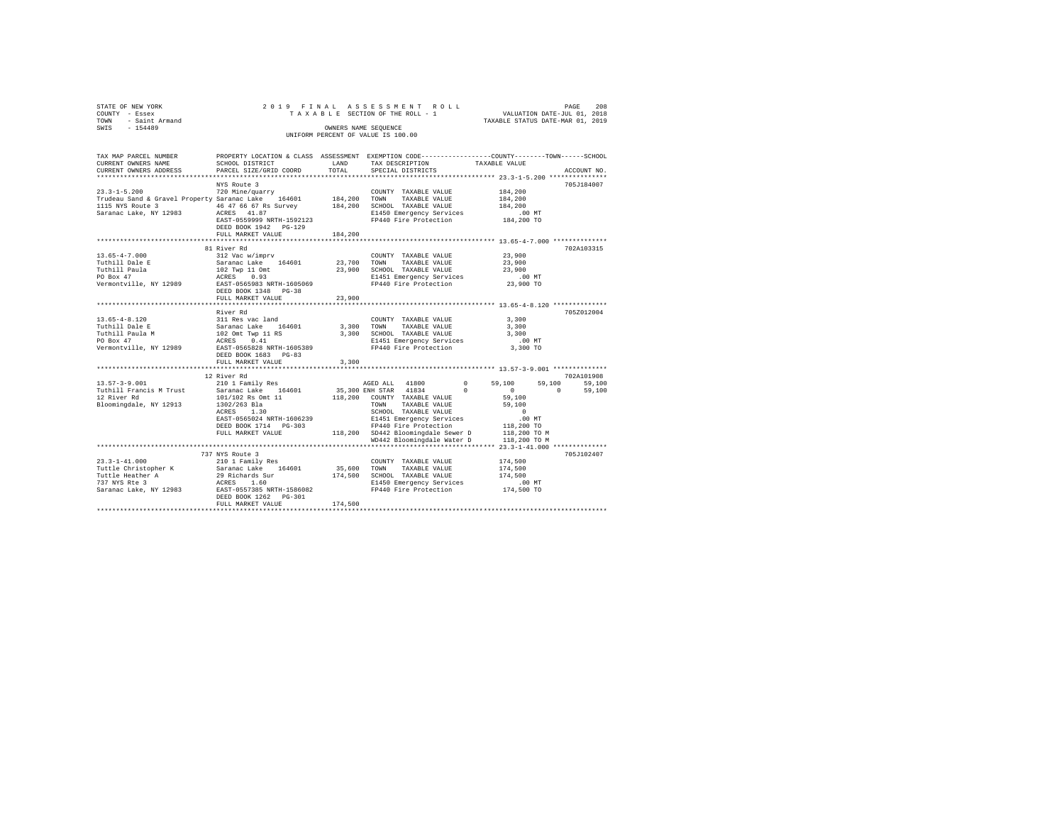| COUNTY - Essex<br>TOWN - Saint Armand<br>SWIS - 154489                                                                                                                                                                                                                                                                                                                                                                                                       |                                                                      |       | OWNERS NAME SEQUENCE<br>UNIFORM PERCENT OF VALUE IS 100.00 | $\begin{array}{ccccccccc}\n\text{Y} & \text{Y} & \text{Y} & \text{Y} & \text{Y} & \text{Y} & \text{Y} & \text{Y} & \text{Y} & \text{Y} & \text{Y} & \text{Y} & \text{Y} & \text{Y} & \text{Y} & \text{Y} & \text{Y} & \text{Y} & \text{Y} & \text{Y} & \text{Y} & \text{Y} & \text{Y} & \text{Y} & \text{Y} & \text{Y} & \text{Y} & \text{Y} & \text{Y} & \text{Y} & \text{Y} & \text{Y} & \text{Y} & \text{Y} & \text{Y} &$ |
|--------------------------------------------------------------------------------------------------------------------------------------------------------------------------------------------------------------------------------------------------------------------------------------------------------------------------------------------------------------------------------------------------------------------------------------------------------------|----------------------------------------------------------------------|-------|------------------------------------------------------------|------------------------------------------------------------------------------------------------------------------------------------------------------------------------------------------------------------------------------------------------------------------------------------------------------------------------------------------------------------------------------------------------------------------------------|
| CURRENT OWNERS NAME SCHOOL DISTRICT TAND TAX DESCRIPTION TAXABLE VALUE                                                                                                                                                                                                                                                                                                                                                                                       |                                                                      |       |                                                            | TAX MAP PARCEL NUMBER PROPERTY LOCATION & CLASS ASSESSMENT EXEMPTION CODE--------------COUNTY-------TOWN-----SCHOOL                                                                                                                                                                                                                                                                                                          |
| $\begin{array}{cccc} 23.3\text{--}1\text{--}5.200 & 720 \text{ Min} \text{/quarry} & \text{COUNTY TAXABLE VALUE} & 184,200 \\ \text{Trudeau Sand & \text{Gravel Property Saranac Lake} & 164601 & 184,200 \text{ TOWN} & \text{TAXABLE VALUE} & 184,200 \end{array}$<br>194,200 SCHOOL TAXABLE VALUE 184,200<br>194,200 SCHOOL TAXABLE VALUE 184,200<br>Saranac Lake, NY 12983 ACRES 41.87<br>200 EXST-0559999 NRTH-1592123 FP440 Fire Protection 184,200 TO | NYS Route 3<br>DEED BOOK 1942    PG-129<br>FULL MARKET VALUE 184,200 |       |                                                            | 705J184007                                                                                                                                                                                                                                                                                                                                                                                                                   |
|                                                                                                                                                                                                                                                                                                                                                                                                                                                              |                                                                      |       |                                                            |                                                                                                                                                                                                                                                                                                                                                                                                                              |
|                                                                                                                                                                                                                                                                                                                                                                                                                                                              | 81 River Rd<br>DEED BOOK 1348 PG-38<br>FULL MARKET VALUE 23,900      |       |                                                            | 702A103315                                                                                                                                                                                                                                                                                                                                                                                                                   |
|                                                                                                                                                                                                                                                                                                                                                                                                                                                              | FULL MARKET VALUE                                                    | 3,300 |                                                            | 705Z012004                                                                                                                                                                                                                                                                                                                                                                                                                   |
|                                                                                                                                                                                                                                                                                                                                                                                                                                                              |                                                                      |       |                                                            |                                                                                                                                                                                                                                                                                                                                                                                                                              |

STATE OF NEW YORK 2 0 1 9 F I N A L A S S E S S M E N T R O L L PAGE 208

FULL MARKET VALUE 174,500 \*\*\*\*\*\*\*\*\*\*\*\*\*\*\*\*\*\*\*\*\*\*\*\*\*\*\*\*\*\*\*\*\*\*\*\*\*\*\*\*\*\*\*\*\*\*\*\*\*\*\*\*\*\*\*\*\*\*\*\*\*\*\*\*\*\*\*\*\*\*\*\*\*\*\*\*\*\*\*\*\*\*\*\*\*\*\*\*\*\*\*\*\*\*\*\*\*\*\*\*\*\*\*\*\*\*\*\*\*\*\*\*\*\*\*\*\*\*\*\*\*\*\*\*\*\*\*\*\*\*\*\*

12 River Rd 702A101908 13.57-3-9.001 210 1 Family Res AGED ALL 41800 0 59,100 59,100 59,100 Tuthill Francis M Trust Saranac Lake 164601 35,300 ENH STAR 41834 0 0 0 59,100 12 River Rd 101/102 Rs Omt 11 118,200 COUNTY TAXABLE VALUE 59,100

 WD442 Bloomingdale Water D 118,200 TO M \*\*\*\*\*\*\*\*\*\*\*\*\*\*\*\*\*\*\*\*\*\*\*\*\*\*\*\*\*\*\*\*\*\*\*\*\*\*\*\*\*\*\*\*\*\*\*\*\*\*\*\*\*\*\*\*\*\*\*\*\*\*\*\*\*\*\*\*\*\*\*\*\*\*\*\*\*\*\*\*\*\*\*\*\*\*\*\*\*\*\*\*\*\*\*\*\*\*\*\*\*\*\* 23.3-1-41.000 \*\*\*\*\*\*\*\*\*\*\*\*\*\* 737 NYS Route 3 705J102407 23.3-1-41.000 210 1 Family Res COUNTY TAXABLE VALUE 174,500

Bloomingdale, NY 12913 1302/263 Bla TOWN TAXABLE VALUE 59,100 ACRES 1.30 SCHOOL TAXABLE VALUE 0 EAST-0565024 NRTH-1606239 E1451 Emergency Services .00 MT DEED BOOK 1714 PG-303 FP440 Fire Protection 118,200 TO FULL MARKET VALUE 118,200 SD442 Bloomingdale Sewer D 118,200 TO M

Tuttle Christopher K Saranac Lake 164601 35,600 TOWN TAXABLE VALUE 174,500 Tuttle Heather A 29 Richards Sur 174,500 SCHOOL TAXABLE VALUE 174,500 737 NYS Rte 3 ACRES 1.60 E1450 Emergency Services .00 MT Saranac Lake, NY 12983 EAST-0557385 NRTH-1586082 FP440 Fire Protection 174,500 TO DEED BOOK 1262 PG-301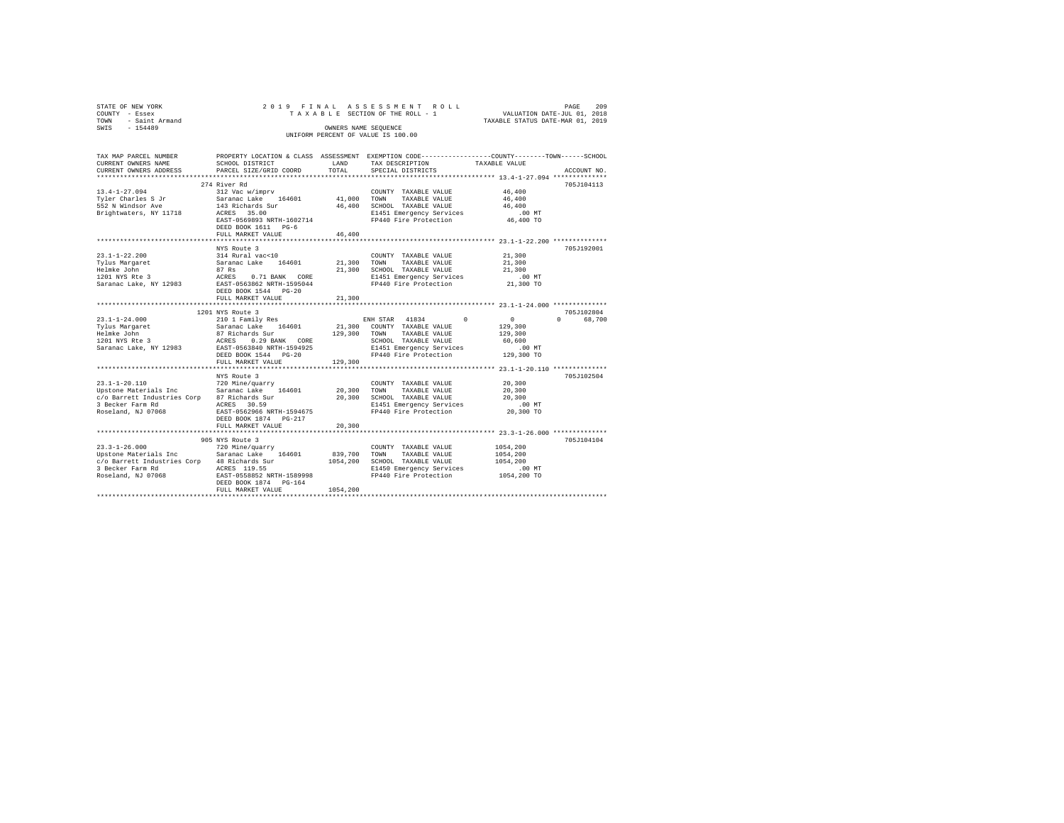| STATE OF NEW YORK                                                                                                                                                             |                                                                                                                                     |                                                                                    | 2019 FINAL ASSESSMENT ROLL                                                                      |                                  | PAGE<br>209 |  |  |
|-------------------------------------------------------------------------------------------------------------------------------------------------------------------------------|-------------------------------------------------------------------------------------------------------------------------------------|------------------------------------------------------------------------------------|-------------------------------------------------------------------------------------------------|----------------------------------|-------------|--|--|
| COUNTY - Essex                                                                                                                                                                | TAXABLE SECTION OF THE ROLL - 1 VALUATION DATE-JUL 01, 2018                                                                         |                                                                                    |                                                                                                 |                                  |             |  |  |
| TOWN - Saint Armand                                                                                                                                                           |                                                                                                                                     |                                                                                    |                                                                                                 | TAXABLE STATUS DATE-MAR 01, 2019 |             |  |  |
| SWIS - 154489                                                                                                                                                                 |                                                                                                                                     |                                                                                    | OWNERS NAME SEQUENCE                                                                            |                                  |             |  |  |
|                                                                                                                                                                               |                                                                                                                                     |                                                                                    | UNIFORM PERCENT OF VALUE IS 100.00                                                              |                                  |             |  |  |
|                                                                                                                                                                               |                                                                                                                                     |                                                                                    |                                                                                                 |                                  |             |  |  |
| TAX MAP PARCEL NUMBER                                                                                                                                                         |                                                                                                                                     |                                                                                    | PROPERTY LOCATION & CLASS ASSESSMENT EXEMPTION CODE---------------COUNTY-------TOWN------SCHOOL |                                  |             |  |  |
| CURRENT OWNERS NAME                                                                                                                                                           |                                                                                                                                     |                                                                                    | SCHOOL DISTRICT $\hfill\textsc{land}$ $\qquad$ TAX DESCRIPTION $\qquad$ TAXABLE VALUE           |                                  |             |  |  |
| CURRENT OWNERS ADDRESS                                                                                                                                                        | PARCEL SIZE/GRID COORD                                                                                                              | TOTAL                                                                              | SPECIAL DISTRICTS                                                                               |                                  | ACCOUNT NO. |  |  |
|                                                                                                                                                                               |                                                                                                                                     |                                                                                    |                                                                                                 |                                  |             |  |  |
|                                                                                                                                                                               | 274 River Rd                                                                                                                        |                                                                                    |                                                                                                 |                                  | 705J104113  |  |  |
| $13.4 - 1 - 27.094$                                                                                                                                                           | 312 Vac w/imprv                                                                                                                     | $\begin{array}{cc} \texttt{COUNTY} \\ \texttt{41,000} & \texttt{TOWN} \end{array}$ | COUNTY TAXABLE VALUE                                                                            | 46,400                           |             |  |  |
| Tyler Charles S Jr                                                                                                                                                            | Saranac Lake 164601                                                                                                                 |                                                                                    | TAXABLE VALUE                                                                                   | 46,400                           |             |  |  |
| 552 N Windsor Ave                                                                                                                                                             |                                                                                                                                     |                                                                                    |                                                                                                 | 46,400                           |             |  |  |
| Brightwaters, NY 11718                                                                                                                                                        |                                                                                                                                     |                                                                                    | ACRES 35.00 E1451 Emergency Services<br>EAST-0569893 NRTH-1602714 FP440 Fire Protection         | .00 MT                           |             |  |  |
|                                                                                                                                                                               |                                                                                                                                     |                                                                                    |                                                                                                 | 46,400 TO                        |             |  |  |
|                                                                                                                                                                               | DEED BOOK 1611 PG-6                                                                                                                 | 46,400                                                                             |                                                                                                 |                                  |             |  |  |
|                                                                                                                                                                               | FULL MARKET VALUE                                                                                                                   |                                                                                    |                                                                                                 |                                  |             |  |  |
|                                                                                                                                                                               | NYS Route 3                                                                                                                         |                                                                                    |                                                                                                 |                                  | 705J192001  |  |  |
| $23.1 - 1 - 22.200$                                                                                                                                                           | 314 Rural vac<10                                                                                                                    |                                                                                    | COUNTY TAXABLE VALUE 21,300                                                                     |                                  |             |  |  |
| Tylus Margaret                                                                                                                                                                | Saranac Lake 164601 21,300 TOWN TAXABLE VALUE                                                                                       |                                                                                    |                                                                                                 | 21,300                           |             |  |  |
| Helmke John<br>1201 NYS Rte 3                                                                                                                                                 |                                                                                                                                     |                                                                                    |                                                                                                 | 21,300                           |             |  |  |
| Helmke John Market Barnes (1978)<br>1201 NYS Rte 3 (1971 BANK CORE 11,300 SCHOOL TAXABLE VALUE<br>1949 Saranac Lake, NY 12983 EAST-0563862 NRTH-1595044 PP440 Fire Protection |                                                                                                                                     |                                                                                    |                                                                                                 | .00 MT                           |             |  |  |
|                                                                                                                                                                               |                                                                                                                                     |                                                                                    |                                                                                                 | 21,300 TO                        |             |  |  |
|                                                                                                                                                                               | DEED BOOK 1544 PG-20                                                                                                                |                                                                                    |                                                                                                 |                                  |             |  |  |
|                                                                                                                                                                               | FULL MARKET VALUE                                                                                                                   | 21,300                                                                             |                                                                                                 |                                  |             |  |  |
|                                                                                                                                                                               |                                                                                                                                     |                                                                                    |                                                                                                 |                                  |             |  |  |
|                                                                                                                                                                               | 1201 NYS Route 3                                                                                                                    |                                                                                    |                                                                                                 |                                  | 705J102804  |  |  |
| $23.1 - 1 - 24.000$                                                                                                                                                           | views and the series of the series of the series of the series of the series of the series of the series of the<br>ENH STAR 41834 0 |                                                                                    |                                                                                                 | $\sim$ 0                         | 0 68,700    |  |  |
|                                                                                                                                                                               |                                                                                                                                     |                                                                                    |                                                                                                 |                                  |             |  |  |
|                                                                                                                                                                               |                                                                                                                                     |                                                                                    |                                                                                                 |                                  |             |  |  |
|                                                                                                                                                                               |                                                                                                                                     |                                                                                    |                                                                                                 |                                  |             |  |  |
|                                                                                                                                                                               |                                                                                                                                     |                                                                                    |                                                                                                 |                                  |             |  |  |
|                                                                                                                                                                               |                                                                                                                                     |                                                                                    |                                                                                                 |                                  |             |  |  |
|                                                                                                                                                                               | FULL MARKET VALUE                                                                                                                   | 129,300                                                                            |                                                                                                 |                                  |             |  |  |
|                                                                                                                                                                               |                                                                                                                                     |                                                                                    |                                                                                                 |                                  |             |  |  |
|                                                                                                                                                                               | NYS Route 3<br>720 Mine/quarry                                                                                                      |                                                                                    |                                                                                                 | 20,300                           | 705J102504  |  |  |
| 23.1-1-20.110<br>Upstone Materials Inc Saranac Lake 164601                                                                                                                    |                                                                                                                                     |                                                                                    | COUNTY TAXABLE VALUE                                                                            | 20,300                           |             |  |  |
|                                                                                                                                                                               |                                                                                                                                     |                                                                                    | 20,300 TOWN TAXABLE VALUE<br>20,300 SCHOOL TAXABLE VALUE                                        | 20,300                           |             |  |  |
| c/o Barrett Industries Corp 87 Richards Sur<br>3 Becker Farm Rd                                                                                                               | ACRES 30.59                                                                                                                         |                                                                                    |                                                                                                 | $.00$ MT                         |             |  |  |
| Roseland, NJ 07068                                                                                                                                                            | EAST-0562966 NRTH-1594675                                                                                                           |                                                                                    | E1451 Emergency Services<br>FP440 Fire Protection                                               | 20,300 TO                        |             |  |  |
|                                                                                                                                                                               | DEED BOOK 1874 PG-217                                                                                                               |                                                                                    |                                                                                                 |                                  |             |  |  |
|                                                                                                                                                                               | FULL MARKET VALUE                                                                                                                   | 20,300                                                                             |                                                                                                 |                                  |             |  |  |
|                                                                                                                                                                               |                                                                                                                                     |                                                                                    |                                                                                                 |                                  |             |  |  |
|                                                                                                                                                                               | 905 NYS Route 3                                                                                                                     |                                                                                    |                                                                                                 |                                  | 705J104104  |  |  |
| $23.3 - 1 - 26.000$                                                                                                                                                           | 720 Mine/quarry                                                                                                                     |                                                                                    | COUNTY TAXABLE VALUE                                                                            | 1054,200                         |             |  |  |
|                                                                                                                                                                               |                                                                                                                                     |                                                                                    | TAXABLE VALUE<br>TOWN                                                                           | 1054,200                         |             |  |  |
|                                                                                                                                                                               |                                                                                                                                     |                                                                                    | 1054,200 SCHOOL TAXABLE VALUE                                                                   | 1054,200                         |             |  |  |
|                                                                                                                                                                               |                                                                                                                                     |                                                                                    | E1450 Emergency Services                                                                        | $.00$ MT                         |             |  |  |
| Roseland, NJ 07068                                                                                                                                                            | EAST-0558852 NRTH-1589998                                                                                                           |                                                                                    | FP440 Fire Protection                                                                           | 1054,200 TO                      |             |  |  |
|                                                                                                                                                                               | DEED BOOK 1874 PG-164                                                                                                               |                                                                                    |                                                                                                 |                                  |             |  |  |
|                                                                                                                                                                               | FULL MARKET VALUE                                                                                                                   | 1054,200                                                                           |                                                                                                 |                                  |             |  |  |
|                                                                                                                                                                               |                                                                                                                                     |                                                                                    |                                                                                                 |                                  |             |  |  |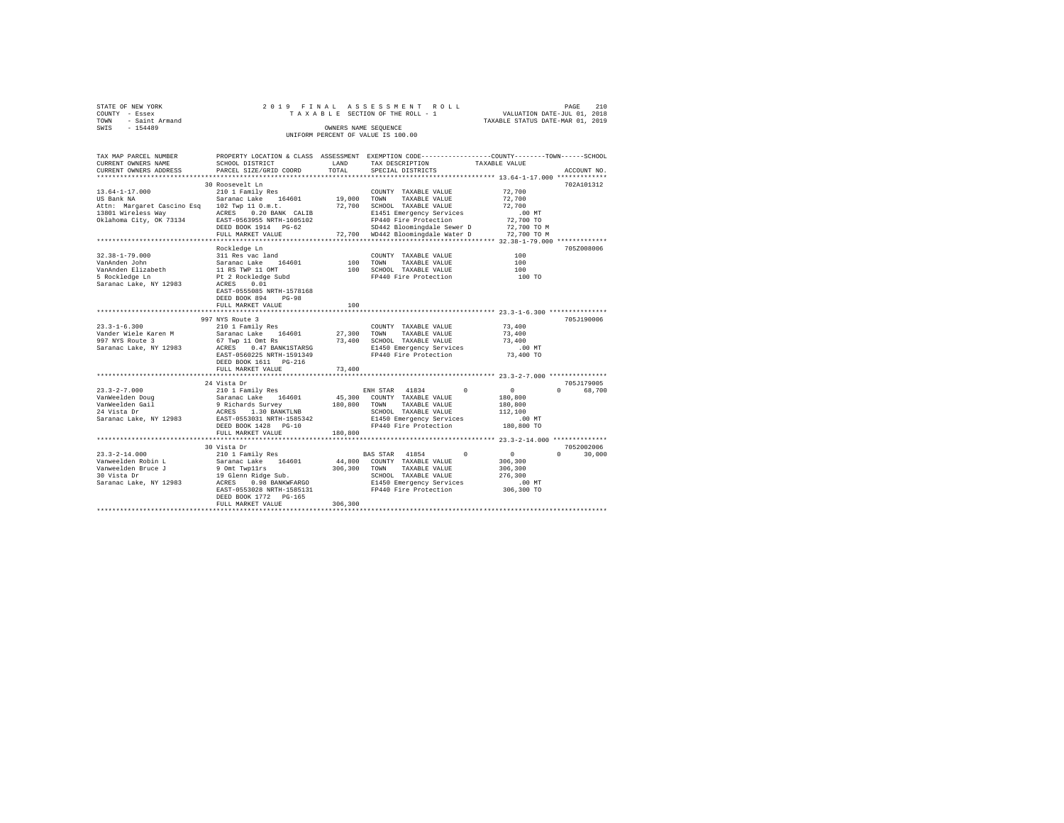| STATE OF NEW YORK   | 2019 FINAL ASSESSMENT ROLL         | 210<br>PAGE                      |
|---------------------|------------------------------------|----------------------------------|
| COUNTY - Essex      | TAXABLE SECTION OF THE ROLL - 1    | VALUATION DATE-JUL 01, 2018      |
| TOWN - Saint Armand |                                    | TAXABLE STATUS DATE-MAR 01, 2019 |
| SWIS<br>$-154489$   | OWNERS NAME SEOUENCE               |                                  |
|                     | UNIFORM PERCENT OF VALUE IS 100.00 |                                  |

| TAX MAP PARCEL NUMBER<br>CURRENT OWNERS NAME                                                                                        | SCHOOL DISTRICT                                                                                                                                                                                       | LAND                         | TAX DESCRIPTION                                                                                                                                                                       | PROPERTY LOCATION & CLASS ASSESSMENT EXEMPTION CODE----------------COUNTY-------TOWN-----SCHOOL<br>TAXABLE VALUE          |
|-------------------------------------------------------------------------------------------------------------------------------------|-------------------------------------------------------------------------------------------------------------------------------------------------------------------------------------------------------|------------------------------|---------------------------------------------------------------------------------------------------------------------------------------------------------------------------------------|---------------------------------------------------------------------------------------------------------------------------|
| CURRENT OWNERS ADDRESS<br>**********************                                                                                    | PARCEL SIZE/GRID COORD<br>**************************                                                                                                                                                  | TOTAL                        | SPECIAL DISTRICTS                                                                                                                                                                     | ACCOUNT NO.                                                                                                               |
|                                                                                                                                     | 30 Roosevelt Ln                                                                                                                                                                                       |                              |                                                                                                                                                                                       | 702A101312                                                                                                                |
| $13.64 - 1 - 17.000$<br>US Bank NA<br>Attn: Margaret Cascino Esg 102 Twp 11 O.m.t.<br>13801 Wireless Way<br>Oklahoma City, OK 73134 | 210 1 Family Res<br>Saranac Lake 164601<br>ACRES 0.20 BANK CALIB<br>EAST-0563955 NRTH-1605102<br>DEED BOOK 1914 PG-62<br>FULL MARKET VALUE                                                            | 19,000 TOWN<br>72,700        | COUNTY TAXABLE VALUE<br>TAXABLE VALUE<br>SCHOOL TAXABLE VALUE<br>E1451 Emergency Services<br>FP440 Fire Protection<br>SD442 Bloomingdale Sewer D<br>72,700 WD442 Bloomingdale Water D | 72,700<br>72,700<br>72,700<br>$.00$ MT<br>72,700 TO<br>72,700 TO M<br>72,700 TO M                                         |
|                                                                                                                                     |                                                                                                                                                                                                       |                              |                                                                                                                                                                                       | ************ 32.38-1-79.000 *************                                                                                 |
| $32.38 - 1 - 79.000$<br>VanAnden John<br>VanAnden Elizabeth<br>5 Rockledge Ln<br>Saranac Lake, NY 12983                             | Rockledge Ln<br>311 Res vac land<br>Saranac Lake 164601<br>11 RS TWP 11 OMT<br>Pt 2 Rockledge Subd<br>0.01<br>ACRES<br>EAST-0555085 NRTH-1578168<br>DEED BOOK 894<br>$PG-98$<br>FULL MARKET VALUE     | 100<br>100<br>*********      | COUNTY TAXABLE VALUE<br>100 TOWN<br>TAXABLE VALUE<br>SCHOOL TAXABLE VALUE<br>FP440 Fire Protection                                                                                    | 705Z008006<br>100<br>100<br>100<br>100 TO<br>********************************* 23.3-1-6.300 ***************               |
|                                                                                                                                     | 997 NYS Route 3                                                                                                                                                                                       |                              |                                                                                                                                                                                       | 705J190006                                                                                                                |
| $23.3 - 1 - 6.300$<br>Vander Wiele Karen M<br>997 NYS Route 3<br>Saranac Lake, NY 12983                                             | 210 1 Family Res<br>Saranac Lake 164601<br>67 Twp 11 Omt Rs<br>0.47 BANK1STARSG<br>ACRES<br>EAST-0560225 NRTH-1591349<br>DEED BOOK 1611 PG-216<br>FULL MARKET VALUE                                   | 27,300<br>73,400<br>73,400   | COUNTY TAXABLE VALUE<br>TOWN<br>TAXABLE VALUE<br>SCHOOL TAXABLE VALUE<br>E1450 Emergency Services<br>FP440 Fire Protection                                                            | 73,400<br>73,400<br>73,400<br>$.00$ MT<br>73,400 TO                                                                       |
|                                                                                                                                     | 24 Vista Dr                                                                                                                                                                                           |                              |                                                                                                                                                                                       | 705J179005                                                                                                                |
| $23.3 - 2 - 7.000$<br>VanWeelden Doug<br>VanWeelden Gail<br>24 Vista Dr<br>Saranac Lake, NY 12983                                   | 210 1 Family Res<br>Saranac Lake 164601<br>9 Richards Survey<br>ACRES 1.30 BANKTLNB<br>EAST-0553031 NRTH-1585342<br>DEED BOOK 1428 PG-10<br>FULL MARKET VALUE                                         | 45,300<br>180,800<br>180,800 | ENH STAR 41834<br>COUNTY TAXABLE VALUE<br>TOWN TAXABLE VALUE<br>SCHOOL TAXABLE VALUE<br>E1450 Emergency Services<br>FP440 Fire Protection                                             | $\Omega$<br>$\mathbf{0}$<br>68,700<br>$\Omega$<br>180,800<br>180,800<br>112,100<br>.00 MT<br>180,800 TO                   |
|                                                                                                                                     | **********************                                                                                                                                                                                |                              |                                                                                                                                                                                       |                                                                                                                           |
| $23.3 - 2 - 14.000$<br>Vanweelden Robin L<br>Vanweelden Bruce J<br>30 Vista Dr<br>Saranac Lake, NY 12983                            | 30 Vista Dr<br>210 1 Family Res<br>Saranac Lake 164601<br>9 Omt Twpllrs<br>19 Glenn Ridge Sub.<br>ACRES<br>0.98 BANKWFARGO<br>EAST-0553028 NRTH-1585131<br>DEED BOOK 1772 PG-165<br>FULL MARKET VALUE | 306,300<br>306,300           | BAS STAR 41854<br>44,800 COUNTY TAXABLE VALUE<br>TOWN<br>TAXABLE VALUE<br>SCHOOL TAXABLE VALUE<br>E1450 Emergency Services<br>FP440 Fire Protection                                   | 7052002006<br>$\overline{0}$<br>$\sim$ 0<br>$\Omega$<br>30,000<br>306,300<br>306,300<br>276,300<br>$.00$ MT<br>306,300 TO |
|                                                                                                                                     |                                                                                                                                                                                                       |                              |                                                                                                                                                                                       |                                                                                                                           |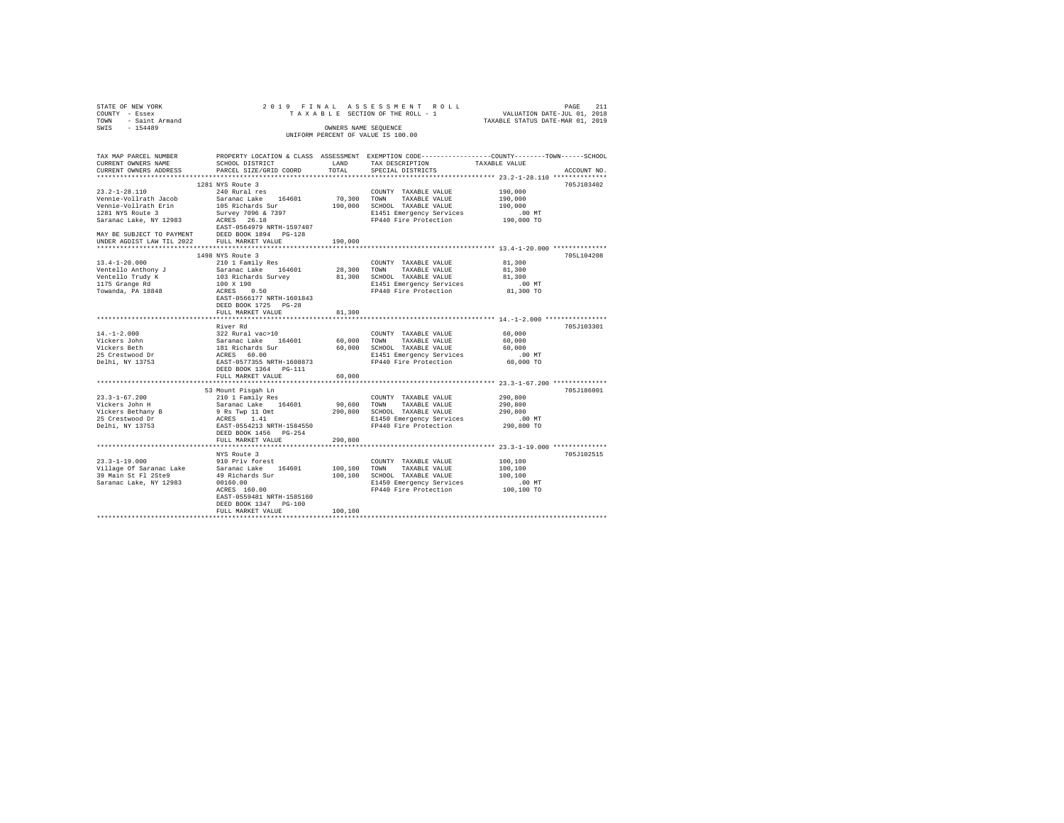| STATE OF NEW YORK                                        | 2019 FINAL                                                            |                      | ASSESSMENT ROLL                                                                                |                                         |             |
|----------------------------------------------------------|-----------------------------------------------------------------------|----------------------|------------------------------------------------------------------------------------------------|-----------------------------------------|-------------|
| COUNTY - Essex                                           |                                                                       |                      | TAXABLE SECTION OF THE ROLL - 1                                                                | PAGE 211<br>VALUATION DATE-JUL 01, 2018 |             |
| - Saint Armand<br>TOWN                                   |                                                                       |                      |                                                                                                | TAXABLE STATUS DATE-MAR 01, 2019        |             |
| $-154489$<br>SWIS                                        |                                                                       | OWNERS NAME SEQUENCE |                                                                                                |                                         |             |
|                                                          |                                                                       |                      | UNIFORM PERCENT OF VALUE IS 100.00                                                             |                                         |             |
|                                                          |                                                                       |                      |                                                                                                |                                         |             |
|                                                          |                                                                       |                      |                                                                                                |                                         |             |
| TAX MAP PARCEL NUMBER                                    |                                                                       |                      | PROPERTY LOCATION & CLASS ASSESSMENT EXEMPTION CODE---------------COUNTY-------TOWN-----SCHOOL |                                         |             |
| CURRENT OWNERS NAME                                      | SCHOOL DISTRICT                                                       | LAND                 | TAX DESCRIPTION                                                                                | TAXABLE VALUE                           |             |
|                                                          |                                                                       | TOTAL                |                                                                                                |                                         |             |
| CURRENT OWNERS ADDRESS                                   | PARCEL SIZE/GRID COORD                                                |                      | SPECIAL DISTRICTS                                                                              |                                         | ACCOUNT NO. |
|                                                          |                                                                       |                      |                                                                                                |                                         |             |
|                                                          | 1281 NYS Route 3                                                      |                      |                                                                                                |                                         | 705J103402  |
| $23.2 - 1 - 28.110$                                      | 240 Rural res                                                         |                      | COUNTY TAXABLE VALUE                                                                           | 190,000                                 |             |
| Vennie-Vollrath Jacob                                    | Saranac Lake 164601                                                   | 70,300               | TOWN<br>TAXABLE VALUE                                                                          | 190,000                                 |             |
| Vennie-Vollrath Erin                                     | 105 Richards Sur                                                      |                      | 190,000 SCHOOL TAXABLE VALUE                                                                   | 190,000                                 |             |
| 1281 NYS Route 3                                         | Survey 7096 & 7397                                                    |                      | E1451 Emergency Services                                                                       | $.00$ MT                                |             |
| Saranac Lake, NY 12983                                   | ACRES 26.18                                                           |                      | FP440 Fire Protection                                                                          | 190,000 TO                              |             |
|                                                          | EAST-0564979 NRTH-1597407                                             |                      |                                                                                                |                                         |             |
| MAY BE SUBJECT TO PAYMENT                                | DEED BOOK 1894 PG-128<br>FULL MARKET VALUE                            |                      |                                                                                                |                                         |             |
| UNDER AGDIST LAW TIL 2022                                |                                                                       | 190,000              |                                                                                                |                                         |             |
|                                                          |                                                                       |                      |                                                                                                |                                         |             |
|                                                          | 1498 NYS Route 3                                                      |                      |                                                                                                |                                         | 705L104208  |
| $13.4 - 1 - 20.000$                                      | 210 1 Family Res                                                      |                      | COUNTY TAXABLE VALUE                                                                           | 81,300                                  |             |
| Ventello Anthony J                                       | Saranac Lake 164601<br>103 Richards Survey<br>100 X 190<br>ACRES 0.50 | 28,300 TOWN          | TAXABLE VALUE                                                                                  | 81,300                                  |             |
| Ventello Anthony o<br>Ventello Trudy K<br>1175 Grange Rd |                                                                       |                      | 81,300 SCHOOL TAXABLE VALUE                                                                    | 81,300                                  |             |
|                                                          |                                                                       |                      | E1451 Emergency Services                                                                       | $.00$ MT                                |             |
| Towanda, PA 18848                                        |                                                                       |                      | FP440 Fire Protection                                                                          | 81,300 TO                               |             |
|                                                          | EAST-0566177 NRTH-1601843                                             |                      |                                                                                                |                                         |             |
|                                                          | DEED BOOK 1725 PG-28                                                  |                      |                                                                                                |                                         |             |
|                                                          | FULL MARKET VALUE                                                     | 81,300               |                                                                                                |                                         |             |
|                                                          |                                                                       |                      |                                                                                                |                                         |             |
|                                                          | River Rd                                                              |                      |                                                                                                |                                         | 705J103301  |
| $14. - 1 - 2.000$                                        | 322 Rural vac>10                                                      |                      |                                                                                                | 60,000                                  |             |
| Vickers John                                             |                                                                       |                      | COUNTY TAXABLE VALUE                                                                           |                                         |             |
|                                                          | Saranac Lake 164601                                                   | 60,000               | TOWN<br>TAXABLE VALUE                                                                          | 60,000                                  |             |
| Vickers Beth                                             | 181 Richards Sur                                                      |                      | 60,000 SCHOOL TAXABLE VALUE                                                                    | 60,000                                  |             |
| 25 Crestwood Dr<br>Delhi, NY 13753                       | ACRES 60.00                                                           |                      | E1451 Emergency Services                                                                       | $.00$ MT                                |             |
|                                                          | EAST-0577355 NRTH-1608873                                             |                      | FP440 Fire Protection                                                                          | 60,000 TO                               |             |
|                                                          | DEED BOOK 1364    PG-111                                              |                      |                                                                                                |                                         |             |
|                                                          | FULL MARKET VALUE                                                     | 60,000               |                                                                                                |                                         |             |
|                                                          |                                                                       |                      |                                                                                                |                                         |             |
|                                                          | 53 Mount Pisqah Ln                                                    |                      |                                                                                                |                                         | 705J186001  |
| $23.3 - 1 - 67.200$                                      | nount Pisgan Lh.<br>210 1 Family Res                                  |                      | COUNTY TAXABLE VALUE                                                                           | 290,800                                 |             |
| Vickers John H                                           | Saranac Lake 164601                                                   | 90,600               | TOWN<br>TAXABLE VALUE                                                                          | 290,800                                 |             |
| Vickers Bethany B<br>25 Crestwood Dr                     | 9 Rs Twp 11 Omt                                                       |                      | 290,800 SCHOOL TAXABLE VALUE                                                                   | 290,800                                 |             |
|                                                          | ACRES 1.41                                                            |                      | E1450 Emergency Services                                                                       | $.00$ MT                                |             |
| Delhi, NY 13753                                          | EAST-0554213 NRTH-1584550                                             |                      | FP440 Fire Protection                                                                          | 290,800 TO                              |             |
|                                                          | DEED BOOK 1456 PG-254                                                 |                      |                                                                                                |                                         |             |
|                                                          | FULL MARKET VALUE                                                     | 290,800              |                                                                                                |                                         |             |
|                                                          |                                                                       |                      |                                                                                                |                                         |             |
|                                                          | NYS Route 3                                                           |                      |                                                                                                |                                         | 705J102515  |
| $23.3 - 1 - 19.000$                                      | 910 Priv forest                                                       |                      | COUNTY TAXABLE VALUE                                                                           | 100,100                                 |             |
| Village Of Saranac Lake                                  | Saranac Lake 164601                                                   | 100,100              | TOWN<br>TAXABLE VALUE                                                                          | 100,100                                 |             |
| 39 Main St Fl 2Ste9                                      | 49 Richards Sur                                                       |                      | 100,100 SCHOOL TAXABLE VALUE                                                                   | 100,100                                 |             |
|                                                          | 00160.00                                                              |                      |                                                                                                |                                         |             |
| Saranac Lake, NY 12983                                   |                                                                       |                      | E1450 Emergency Services                                                                       | $.00$ MT                                |             |
|                                                          | ACRES 160.00                                                          |                      | FP440 Fire Protection                                                                          | 100,100 TO                              |             |
|                                                          | EAST-0559481 NRTH-1585160                                             |                      |                                                                                                |                                         |             |
|                                                          | DEED BOOK 1347 PG-100                                                 |                      |                                                                                                |                                         |             |
|                                                          | FULL MARKET VALUE                                                     | 100,100              |                                                                                                |                                         |             |
|                                                          |                                                                       |                      |                                                                                                |                                         |             |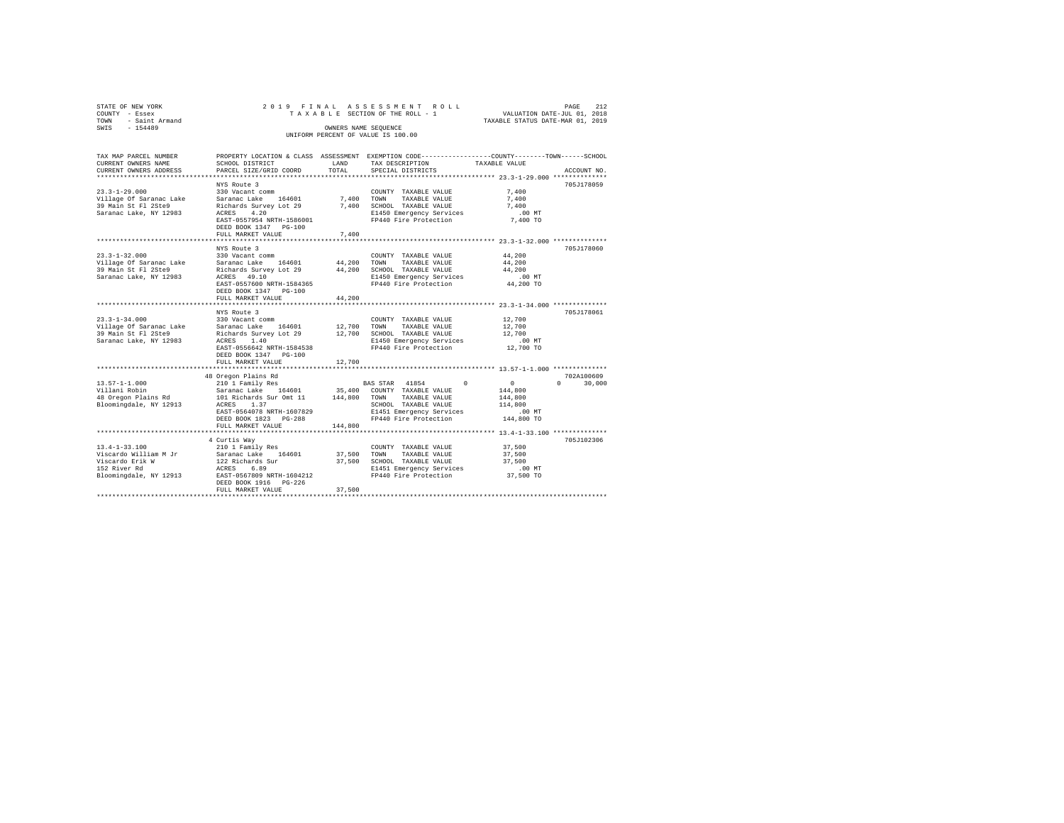| STATE OF NEW YORK<br>COUNTY - Essex          |                                                                                                                                                                                                                                                                                                  |         | 2019 FINAL ASSESSMENT ROLL<br>TAXABLE SECTION OF THE ROLL - 1                                                                    | VALUATION DATE-JUL 01, 2018      | PAGE<br>212   |
|----------------------------------------------|--------------------------------------------------------------------------------------------------------------------------------------------------------------------------------------------------------------------------------------------------------------------------------------------------|---------|----------------------------------------------------------------------------------------------------------------------------------|----------------------------------|---------------|
| TOWN - Saint Armand                          |                                                                                                                                                                                                                                                                                                  |         |                                                                                                                                  | TAXABLE STATUS DATE-MAR 01, 2019 |               |
| SWIS - 154489                                |                                                                                                                                                                                                                                                                                                  |         | OWNERS NAME SEQUENCE                                                                                                             |                                  |               |
|                                              |                                                                                                                                                                                                                                                                                                  |         | UNIFORM PERCENT OF VALUE IS 100.00                                                                                               |                                  |               |
|                                              |                                                                                                                                                                                                                                                                                                  |         |                                                                                                                                  |                                  |               |
| TAX MAP PARCEL NUMBER<br>CURRENT OWNERS NAME | SCHOOL DISTRICT                                                                                                                                                                                                                                                                                  | LAND    | PROPERTY LOCATION & CLASS ASSESSMENT EXEMPTION CODE---------------COUNTY-------TOWN------SCHOOL<br>TAX DESCRIPTION TAXABLE VALUE |                                  |               |
| CURRENT OWNERS ADDRESS                       | PARCEL SIZE/GRID COORD                                                                                                                                                                                                                                                                           | TOTAL   | SPECIAL DISTRICTS                                                                                                                |                                  | ACCOUNT NO.   |
|                                              |                                                                                                                                                                                                                                                                                                  |         |                                                                                                                                  |                                  |               |
|                                              | NYS Route 3                                                                                                                                                                                                                                                                                      |         |                                                                                                                                  |                                  | 705J178059    |
| $23.3 - 1 - 29.000$                          | 330 Vacant comm                                                                                                                                                                                                                                                                                  |         | COUNTY TAXABLE VALUE                                                                                                             | 7,400                            |               |
| Village Of Saranac Lake                      | Saranac Lake 164601                                                                                                                                                                                                                                                                              | 7,400   | TAXABLE VALUE<br>TOWN                                                                                                            | 7,400                            |               |
| 39 Main St Fl 2Ste9                          |                                                                                                                                                                                                                                                                                                  |         | Richards Survey Lot 29 7,400 SCHOOL TAXABLE VALUE                                                                                | 7,400                            |               |
| Saranac Lake, NY 12983                       | ACRES 4.20                                                                                                                                                                                                                                                                                       |         | E1450 Emergency Services                                                                                                         | $.00$ MT                         |               |
|                                              | EAST-0557954 NRTH-1586001                                                                                                                                                                                                                                                                        |         | FP440 Fire Protection                                                                                                            | 7,400 TO                         |               |
|                                              | DEED BOOK 1347 PG-100                                                                                                                                                                                                                                                                            |         |                                                                                                                                  |                                  |               |
|                                              | FULL MARKET VALUE                                                                                                                                                                                                                                                                                | 7.400   |                                                                                                                                  |                                  |               |
|                                              | NYS Route 3                                                                                                                                                                                                                                                                                      |         |                                                                                                                                  |                                  | 705J178060    |
| $23.3 - 1 - 32.000$                          | 330 Vacant comm                                                                                                                                                                                                                                                                                  |         | COUNTY TAXABLE VALUE                                                                                                             | 44,200                           |               |
| Village Of Saranac Lake                      | Saranac Lake 164601                                                                                                                                                                                                                                                                              | 44,200  | TOWN<br>TAXABLE VALUE                                                                                                            | 44,200                           |               |
| 39 Main St Fl 2Ste9                          |                                                                                                                                                                                                                                                                                                  |         | Richards Survey Lot 29 44, 200 SCHOOL TAXABLE VALUE                                                                              | 44,200                           |               |
| Saranac Lake, NY 12983                       | ACRES 49.10                                                                                                                                                                                                                                                                                      |         | E1450 Emergency Services                                                                                                         | $.00$ MT                         |               |
|                                              |                                                                                                                                                                                                                                                                                                  |         | ACRES 49.10 EMPERENT E1450 Emergency Services<br>EAST-0557600 NRTH-1584365 FP440 Fire Protection                                 | 44,200 TO                        |               |
|                                              | DEED BOOK 1347 PG-100                                                                                                                                                                                                                                                                            |         |                                                                                                                                  |                                  |               |
|                                              | FULL MARKET VALUE                                                                                                                                                                                                                                                                                | 44,200  |                                                                                                                                  |                                  |               |
|                                              |                                                                                                                                                                                                                                                                                                  |         |                                                                                                                                  |                                  |               |
|                                              | NYS Route 3                                                                                                                                                                                                                                                                                      |         |                                                                                                                                  |                                  | 705J178061    |
| $23.3 - 1 - 34.000$                          | 330 Vacant comm                                                                                                                                                                                                                                                                                  |         | COUNTY TAXABLE VALUE                                                                                                             | 12,700                           |               |
|                                              | Village Of Saranac Lake Saranac Lake 164601 12,700<br>39 Main St Fl 2Ste9 Richards Survey Lot 29 12,700                                                                                                                                                                                          |         | TOWN<br>TAXABLE VALUE                                                                                                            | 12,700                           |               |
| Saranac Lake, NY 12983                       | ACRES 1.40                                                                                                                                                                                                                                                                                       |         | Richards Survey Lot 29 12,700 SCHOOL TAXABLE VALUE<br>E1450 Emergency Services                                                   | 12,700<br>$.00$ MT               |               |
|                                              | EAST-0556642 NRTH-1584538                                                                                                                                                                                                                                                                        |         | FP440 Fire Protection                                                                                                            | 12,700 TO                        |               |
|                                              | DEED BOOK 1347 PG-100                                                                                                                                                                                                                                                                            |         |                                                                                                                                  |                                  |               |
|                                              | FULL MARKET VALUE                                                                                                                                                                                                                                                                                | 12,700  |                                                                                                                                  |                                  |               |
|                                              |                                                                                                                                                                                                                                                                                                  |         |                                                                                                                                  |                                  |               |
|                                              | 48 Oregon Plains Rd $\begin{tabular}{lcccc} 48 & 210 & 1 & 375 & 41854 & 0 \\ 230 & 1 & 57 & 400 & 57 & 41854 & 0 \\ 57 & 57 & 57 & 400 & 57 & 57 & 57 \\ 67 & 57 & 57 & 57 & 57 & 57 & 57 \\ 70 & 87 & 57 & 57 & 57 & 57 & 57 \\ 71 & 71 & 71 & 71 & 71 & 71 & 71 & 71 & 71 \\ 72 & 73 & 74 & $ |         |                                                                                                                                  |                                  | 702A100609    |
| $13.57 - 1 - 1.000$                          |                                                                                                                                                                                                                                                                                                  |         | BAS STAR 41854 0                                                                                                                 | $\sim$ 0                         | $0 \t 30,000$ |
| Villani Robin                                |                                                                                                                                                                                                                                                                                                  |         |                                                                                                                                  | 144,800                          |               |
| 48 Oregon Plains Rd                          |                                                                                                                                                                                                                                                                                                  |         |                                                                                                                                  | 144,800                          |               |
| Bloomingdale, NY 12913                       | ACRES 1.37                                                                                                                                                                                                                                                                                       |         | SCHOOL TAXABLE VALUE                                                                                                             | 114,800                          |               |
|                                              | EAST-0564078 NRTH-1607829                                                                                                                                                                                                                                                                        |         | E1451 Emergency Services<br>FP440 Fire Protection                                                                                | .00 MT                           |               |
|                                              | DEED BOOK 1823 PG-288                                                                                                                                                                                                                                                                            |         |                                                                                                                                  | 144,800 TO                       |               |
|                                              | FULL MARKET VALUE                                                                                                                                                                                                                                                                                | 144,800 |                                                                                                                                  |                                  |               |
|                                              |                                                                                                                                                                                                                                                                                                  |         |                                                                                                                                  |                                  | 705J102306    |
| $13.4 - 1 - 33.100$                          | 4 Curtis Way<br>210 1 Family Res                                                                                                                                                                                                                                                                 |         | COUNTY TAXABLE VALUE                                                                                                             | 37,500                           |               |
| Viscardo William M Jr                        |                                                                                                                                                                                                                                                                                                  |         | TAXABLE VALUE                                                                                                                    | 37,500                           |               |
| Viscardo Erik W                              | Saranac Lake 164601<br>122 Richards Sur                                                                                                                                                                                                                                                          |         | 37,500 TOWN TAXABLE VALUE<br>37,500 SCHOOL TAXABLE VALUE                                                                         | 37,500                           |               |
| 152 River Rd                                 | ACRES 6.89                                                                                                                                                                                                                                                                                       |         | E1451 Emergency Services                                                                                                         | $.00$ MT                         |               |
| Bloomingdale, NY 12913                       | EAST-0567809 NRTH-1604212                                                                                                                                                                                                                                                                        |         | FP440 Fire Protection                                                                                                            | 37,500 TO                        |               |
|                                              |                                                                                                                                                                                                                                                                                                  |         |                                                                                                                                  |                                  |               |
|                                              | FULL MARKET VALUE                                                                                                                                                                                                                                                                                | 37,500  |                                                                                                                                  |                                  |               |
|                                              |                                                                                                                                                                                                                                                                                                  |         |                                                                                                                                  |                                  |               |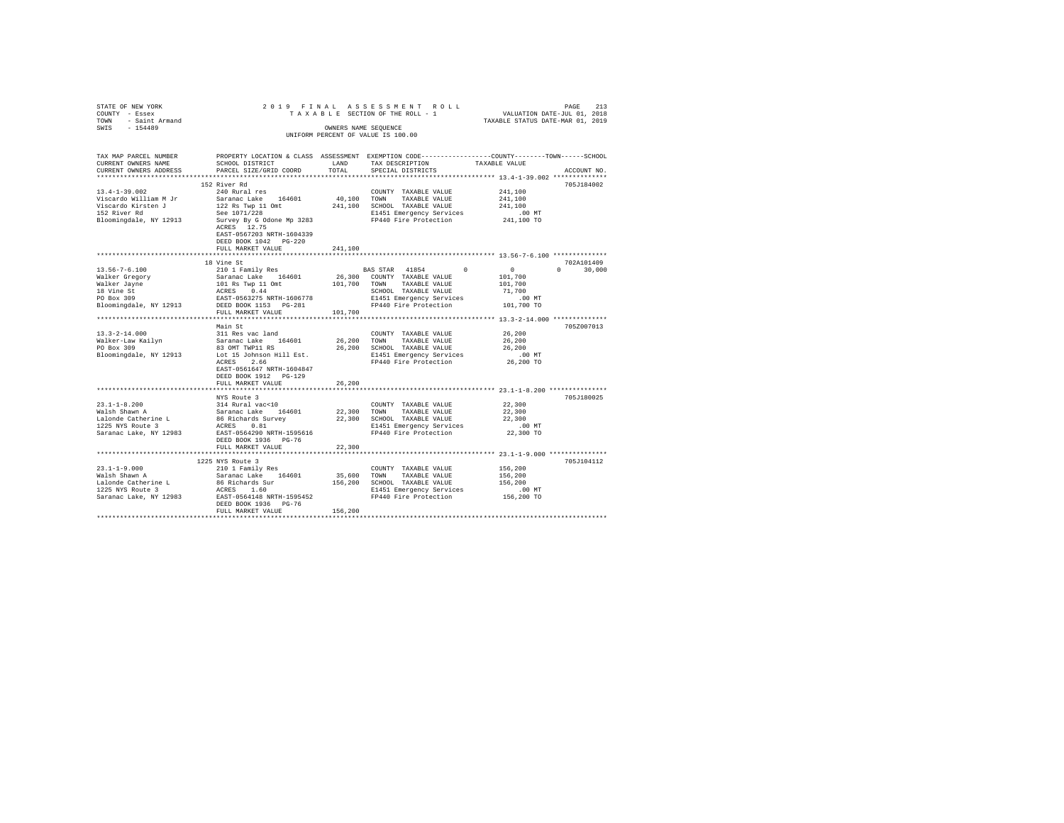| STATE OF NEW YORK 2018<br>COUNTY - Essex 2018<br>TOWN - Saint Armand<br>SWIS - 154489 |                                                         |             | PAGE 213 PAGE 213<br>TAXABLE SECTION OF THE ROLL - 1 VALUATION DATE-JUL 01, 2018<br>TAXABLE STATUS DATE-MAR 01, 2019 |                           |
|---------------------------------------------------------------------------------------|---------------------------------------------------------|-------------|----------------------------------------------------------------------------------------------------------------------|---------------------------|
|                                                                                       |                                                         |             | OWNERS NAME SEQUENCE                                                                                                 |                           |
|                                                                                       |                                                         |             | UNIFORM PERCENT OF VALUE IS 100.00                                                                                   |                           |
|                                                                                       |                                                         |             | TAX MAP PARCEL NUMBER PROPERTY LOCATION & CLASS ASSESSMENT EXEMPTION CODE--------------COUNTY-------TOWN-----SCHOOL  |                           |
| CURRENT OWNERS NAME                                                                   | SCHOOL DISTRICT                                         | LAND        | TAX DESCRIPTION                                                                                                      | TAXABLE VALUE             |
| CURRENT OWNERS ADDRESS                                                                | PARCEL SIZE/GRID COORD                                  | TOTAL       | SPECIAL DISTRICTS                                                                                                    | ACCOUNT NO.               |
|                                                                                       |                                                         |             |                                                                                                                      |                           |
|                                                                                       | 152 River Rd                                            |             |                                                                                                                      | 705J184002                |
| $13.4 - 1 - 39.002$                                                                   | 240 Rural res                                           |             | COUNTY TAXABLE VALUE                                                                                                 | 241,100                   |
| Viscardo William M Jr                                                                 | Saranac Lake 164601<br>122 Rs Twp 11 Omt                |             | 40,100 TOWN TAXABLE VALUE<br>241,100 SCHOOL TAXABLE VALUE                                                            | 241,100<br>241,100        |
| Viscardo Kirsten J<br>152 River Rd                                                    | See 1071/228                                            |             | E1451 Emergency Services                                                                                             | $.00$ MT                  |
| Bloomingdale, NY 12913                                                                | Survey By G Odone Mp 3283                               |             | FP440 Fire Protection                                                                                                | 241,100 TO                |
|                                                                                       | ACRES 12.75                                             |             |                                                                                                                      |                           |
|                                                                                       | EAST-0567203 NRTH-1604339                               |             |                                                                                                                      |                           |
|                                                                                       | DEED BOOK 1042 PG-220                                   |             |                                                                                                                      |                           |
|                                                                                       | FULL MARKET VALUE                                       | 241,100     |                                                                                                                      |                           |
|                                                                                       |                                                         |             |                                                                                                                      |                           |
|                                                                                       | 18 Vine St                                              |             |                                                                                                                      | 702A101409                |
| $13.56 - 7 - 6.100$                                                                   | 210 1 Family Res                                        |             | $\sim$ 0<br>BAS STAR 41854                                                                                           | $\sim$ 0<br>$0 \t 30,000$ |
| Walker Gregory<br>Walker Jayne<br>18 Vine St<br>PO Box 309                            |                                                         |             |                                                                                                                      | 101,700                   |
|                                                                                       |                                                         |             |                                                                                                                      | 101,700                   |
|                                                                                       |                                                         |             |                                                                                                                      | 71,700                    |
|                                                                                       |                                                         |             | E1451 Emergency Services                                                                                             | $.00$ MT                  |
| Bloomingdale, NY 12913 DEED BOOK 1153 PG-281                                          | FULL MARKET VALUE                                       | 101,700     | FP440 Fire Protection 101,700 TO                                                                                     |                           |
|                                                                                       |                                                         |             |                                                                                                                      |                           |
|                                                                                       | Main St                                                 |             |                                                                                                                      | 705Z007013                |
|                                                                                       | 311 Res vac land                                        |             | COUNTY TAXABLE VALUE                                                                                                 | 26,200                    |
| 13.3-2-14.000<br>Walker-Law Kailyn<br>PO Box 309                                      | Saranac Lake 164601                                     |             | 26,200 TOWN TAXABLE VALUE                                                                                            | 26,200                    |
|                                                                                       | 83 OMT TWP11 RS                                         |             | 26,200 SCHOOL TAXABLE VALUE                                                                                          | 26,200                    |
| Bloomingdale, NY 12913                                                                | Lot 15 Johnson Hill Est.                                |             | E1451 Emergency Services                                                                                             | .00MT                     |
|                                                                                       | ACRES 2.66                                              |             | FP440 Fire Protection 26,200 TO                                                                                      |                           |
|                                                                                       | EAST-0561647 NRTH-1604847                               |             |                                                                                                                      |                           |
|                                                                                       | DEED BOOK 1912 PG-129                                   |             |                                                                                                                      |                           |
|                                                                                       | FULL MARKET VALUE                                       | 26,200<br>. | *********************************** 23.1-1-8.200 ****************                                                    |                           |
|                                                                                       | NYS Route 3                                             |             |                                                                                                                      | 705J180025                |
| $23.1 - 1 - 8.200$                                                                    | 314 Rural vac<10                                        |             | COUNTY TAXABLE VALUE                                                                                                 | 22,300                    |
| Walsh Shawn A                                                                         |                                                         |             |                                                                                                                      | 22,300                    |
| Lalonde Catherine L<br>1225 NYS Route 3                                               | Saranac Lake 164601<br>86 Richards Survey<br>ACRES 0.81 |             | 22,300 TOWN TAXABLE VALUE<br>22,300 SCHOOL TAXABLE VALUE                                                             | 22,300                    |
|                                                                                       |                                                         |             | E1451 Emergency Services                                                                                             | $.00$ MT                  |
| Saranac Lake, NY 12983 EAST-0564290 NRTH-1595616                                      |                                                         |             | FP440 Fire Protection                                                                                                | 22,300 TO                 |
|                                                                                       | DEED BOOK 1936 PG-76                                    |             |                                                                                                                      |                           |
|                                                                                       | FULL MARKET VALUE                                       | 22,300      |                                                                                                                      |                           |
|                                                                                       |                                                         |             |                                                                                                                      |                           |
|                                                                                       | 1225 NYS Route 3                                        |             |                                                                                                                      | 705J104112                |
| 23.1-1-9.000<br>Walsh Shawn A                                                         | 210 1 Family Res                                        |             | COUNTY TAXABLE VALUE                                                                                                 | 156,200                   |
|                                                                                       | Saranac Lake 164601<br>86 Richards Sur                  |             | 35,600 TOWN TAXABLE VALUE                                                                                            | 156,200                   |
| Lalonde Catherine L<br>1225 NYS Route 3                                               |                                                         |             | 156,200 SCHOOL TAXABLE VALUE                                                                                         | 156,200                   |
|                                                                                       | ACRES 1.60<br>EAST-0564148 NRTH-1595452                 |             | E1451 Emergency Services<br>FP440 Fire Protection                                                                    | 00 MT.<br>156,200 TO      |
| Saranac Lake, NY 12983                                                                | DEED BOOK 1936 PG-76                                    |             |                                                                                                                      |                           |
|                                                                                       | FULL MARKET VALUE                                       | 156,200     |                                                                                                                      |                           |
|                                                                                       |                                                         |             |                                                                                                                      |                           |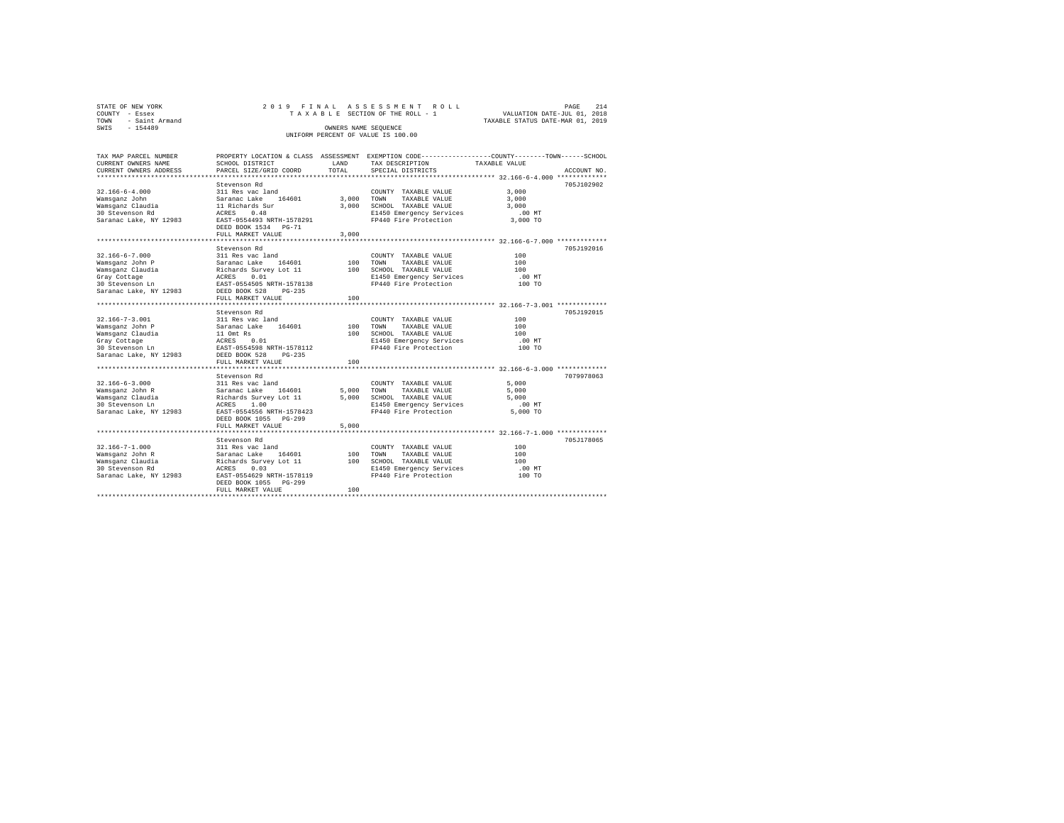| STATE OF NEW YORK      | 2019 FINAL ASSESSMENT ROLL         | PAGE                             | 214 |
|------------------------|------------------------------------|----------------------------------|-----|
| COUNTY - Essex         | TAXABLE SECTION OF THE ROLL - 1    | VALUATION DATE-JUL 01, 2018      |     |
| - Saint Armand<br>TOWN |                                    | TAXABLE STATUS DATE-MAR 01, 2019 |     |
| $-154489$<br>SWIS      | OWNERS NAME SEOUENCE               |                                  |     |
|                        | UNIFORM PERCENT OF VALUE IS 100.00 |                                  |     |

| TAX MAP PARCEL NUMBER<br>CURRENT OWNERS NAME<br>CURRENT OWNERS ADDRESS                                                   | PROPERTY LOCATION & CLASS ASSESSMENT<br>SCHOOL DISTRICT<br>PARCEL SIZE/GRID COORD                                                                                                                                                          | LAND<br>TOTAL.                 | EXEMPTION CODE-----------------COUNTY-------TOWN------SCHOOL<br>TAX DESCRIPTION<br>SPECIAL DISTRICTS                              | TAXABLE VALUE                                                                   | ACCOUNT NO. |
|--------------------------------------------------------------------------------------------------------------------------|--------------------------------------------------------------------------------------------------------------------------------------------------------------------------------------------------------------------------------------------|--------------------------------|-----------------------------------------------------------------------------------------------------------------------------------|---------------------------------------------------------------------------------|-------------|
| $32.166 - 6 - 4.000$<br>Wamsqanz John<br>Wamsganz Claudia<br>30 Stevenson Rd<br>Saranac Lake, NY 12983                   | Stevenson Rd<br>311 Res vac land<br>164601<br>Saranac Lake<br>11 Richards Sur<br>0.48<br>ACRES<br>EAST-0554493 NRTH-1578291<br>DEED BOOK 1534 PG-71<br>FULL MARKET VALUE                                                                   | 3,000<br>3,000<br>3.000        | COUNTY TAXABLE VALUE<br>TOWN<br>TAXABLE VALUE<br>SCHOOL TAXABLE VALUE<br>E1450 Emergency Services<br>FP440 Fire Protection        | 3,000<br>3.000<br>3,000<br>$.00$ MT<br>3,000 TO                                 | 705J102902  |
| $32.166 - 6 - 7.000$<br>Wamsqanz John P<br>Wamsganz Claudia<br>Gray Cottage<br>30 Stevenson Ln<br>Saranac Lake, NY 12983 | Stevenson Rd<br>311 Res vac land<br>Saranac Lake<br>164601<br>Richards Survey Lot 11<br>ACRES<br>0.01<br>EAST-0554505 NRTH-1578138<br>DEED BOOK 528<br>$PG-235$<br>FULL MARKET VALUE                                                       | 100<br>100<br>100              | COUNTY TAXABLE VALUE<br>TOWN<br>TAXABLE VALUE<br>SCHOOL TAXABLE VALUE<br>E1450 Emergency Services<br>FP440 Fire Protection        | 100<br>100<br>100<br>.00MT<br>100 TO                                            | 705J192016  |
| $32.166 - 7 - 3.001$<br>Wamsganz John P<br>Wamsganz Claudia<br>Gray Cottage<br>30 Stevenson Ln<br>Saranac Lake, NY 12983 | <br>Stevenson Rd<br>311 Res vac land<br>Saranac Lake<br>164601<br>11 Omt Rs<br>ACRES<br>0.01<br>EAST-0554598 NRTH-1578112<br>DEED BOOK 528<br>$PG-235$                                                                                     | 100<br>100                     | COUNTY TAXABLE VALUE<br>TOWN<br>TAXABLE VALUE<br>SCHOOL TAXABLE VALUE<br>E1450 Emergency Services<br>FP440 Fire Protection        | *********** 32.166-7-3.001 *********<br>100<br>100<br>100<br>$.00$ MT<br>100 TO | 705J192015  |
| $32.166 - 6 - 3.000$<br>Wamsqanz John R<br>Wamsganz Claudia<br>30 Stevenson Ln<br>Saranac Lake, NY 12983                 | FULL MARKET VALUE<br>Stevenson Rd<br>311 Res vac land<br>Saranac Lake<br>164601<br>Richards Survey Lot 11<br>ACRES<br>1.00<br>EAST-0554556 NRTH-1578423<br>DEED BOOK 1055 PG-299<br>FULL MARKET VALUE<br>********************************* | 100<br>5,000<br>5,000<br>5,000 | COUNTY TAXABLE VALUE<br>TOWN<br>TAXABLE VALUE<br>SCHOOL TAXABLE VALUE<br>E1450 Emergency Services<br>FP440 Fire Protection        | 5,000<br>5,000<br>5,000<br>$.00$ MT<br>5,000 TO                                 | 7079978063  |
| $32.166 - 7 - 1.000$<br>Wamsqanz John R<br>Wamsganz Claudia<br>30 Stevenson Rd<br>Saranac Lake, NY 12983                 | Stevenson Rd<br>311 Res vac land<br>Saranac Lake<br>164601<br>Richards Survey Lot 11<br>ACRES<br>0.03<br>EAST-0554629 NRTH-1578119<br>DEED BOOK 1055 PG-299<br>FULL MARKET VALUE                                                           | 100<br>100<br>100              | COUNTY TAXABLE VALUE<br><b>TOWN</b><br>TAXABLE VALUE<br>SCHOOL TAXABLE VALUE<br>E1450 Emergency Services<br>FP440 Fire Protection | 100<br>100<br>100<br>.00 MT<br>100 TO                                           | 705J178065  |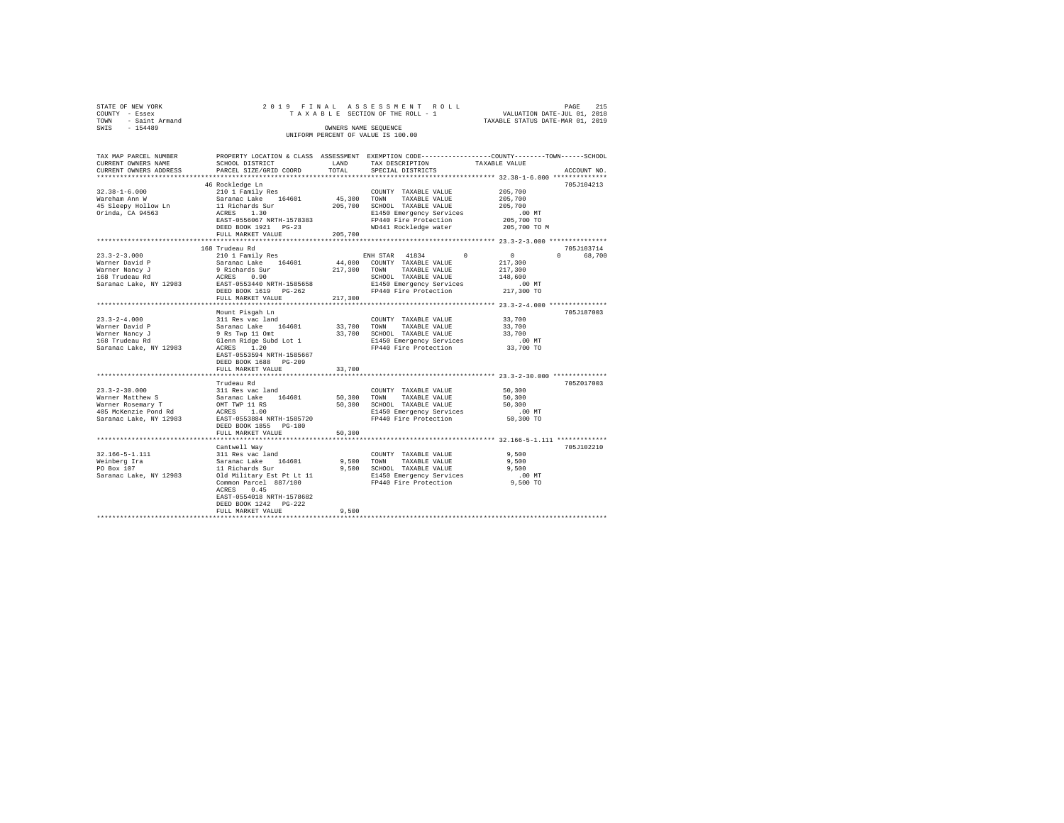| STATE OF NEW YORK   |  |  |  | 2019 FINAL ASSESSMENT ROLL         |  |  |                                  | PAGE | 215 |
|---------------------|--|--|--|------------------------------------|--|--|----------------------------------|------|-----|
| COUNTY - Essex      |  |  |  | TAXABLE SECTION OF THE ROLL - 1    |  |  | VALUATION DATE-JUL 01, 2018      |      |     |
| TOWN - Saint Armand |  |  |  |                                    |  |  | TAXABLE STATUS DATE-MAR 01, 2019 |      |     |
| SWIS<br>$-154489$   |  |  |  | OWNERS NAME SEOUENCE               |  |  |                                  |      |     |
|                     |  |  |  | UNIFORM PERCENT OF VALUE IS 100.00 |  |  |                                  |      |     |
|                     |  |  |  |                                    |  |  |                                  |      |     |

| TAX MAP PARCEL NUMBER                                                                                                                                                                                                                              |                                                                                         |                        | PROPERTY LOCATION & CLASS ASSESSMENT EXEMPTION CODE----------------COUNTY-------TOWN-----SCHOOL                                                                                                                                                                                                                                                                                                                                                                                              |                                               |             |
|----------------------------------------------------------------------------------------------------------------------------------------------------------------------------------------------------------------------------------------------------|-----------------------------------------------------------------------------------------|------------------------|----------------------------------------------------------------------------------------------------------------------------------------------------------------------------------------------------------------------------------------------------------------------------------------------------------------------------------------------------------------------------------------------------------------------------------------------------------------------------------------------|-----------------------------------------------|-------------|
| CURRENT OWNERS NAME                                                                                                                                                                                                                                | SCHOOL DISTRICT                                                                         | LAND                   | TAX DESCRIPTION                                                                                                                                                                                                                                                                                                                                                                                                                                                                              | TAXABLE VALUE                                 |             |
| CURRENT OWNERS ADDRESS                                                                                                                                                                                                                             | PARCEL SIZE/GRID COORD                                                                  | TOTAL                  | SPECIAL DISTRICTS                                                                                                                                                                                                                                                                                                                                                                                                                                                                            |                                               | ACCOUNT NO. |
|                                                                                                                                                                                                                                                    |                                                                                         | ********************** |                                                                                                                                                                                                                                                                                                                                                                                                                                                                                              | **************** 32.38-1-6.000 ************** |             |
|                                                                                                                                                                                                                                                    | 46 Rockledge Ln                                                                         |                        |                                                                                                                                                                                                                                                                                                                                                                                                                                                                                              |                                               | 705J104213  |
| $32.38 - 1 - 6.000$                                                                                                                                                                                                                                | 210 1 Family Res                                                                        |                        | COUNTY TAXABLE VALUE                                                                                                                                                                                                                                                                                                                                                                                                                                                                         | 205,700                                       |             |
| Wareham Ann W                                                                                                                                                                                                                                      |                                                                                         |                        | 45,300 TOWN TAXABLE VALUE                                                                                                                                                                                                                                                                                                                                                                                                                                                                    | 205,700                                       |             |
| 45 Sleepy Hollow Ln                                                                                                                                                                                                                                | Saranac Lake 164601<br>11 Richards Sur<br>ACRES 1.30                                    |                        | 205,700 SCHOOL TAXABLE VALUE                                                                                                                                                                                                                                                                                                                                                                                                                                                                 | 205,700                                       |             |
| Orinda, CA 94563                                                                                                                                                                                                                                   |                                                                                         |                        |                                                                                                                                                                                                                                                                                                                                                                                                                                                                                              | $.00$ MT                                      |             |
|                                                                                                                                                                                                                                                    | EAST-0556067 NRTH-1578383                                                               |                        | E1450 Emergency Services<br>FP440 Fire Protection                                                                                                                                                                                                                                                                                                                                                                                                                                            | 205,700 TO                                    |             |
|                                                                                                                                                                                                                                                    | DEED BOOK 1921    PG-23                                                                 |                        | WD441 Rockledge water                                                                                                                                                                                                                                                                                                                                                                                                                                                                        | 205,700 TO M                                  |             |
|                                                                                                                                                                                                                                                    | FULL MARKET VALUE                                                                       | 205,700                |                                                                                                                                                                                                                                                                                                                                                                                                                                                                                              |                                               |             |
|                                                                                                                                                                                                                                                    | **************************                                                              |                        |                                                                                                                                                                                                                                                                                                                                                                                                                                                                                              |                                               |             |
|                                                                                                                                                                                                                                                    | 168 Trudeau Rd                                                                          |                        |                                                                                                                                                                                                                                                                                                                                                                                                                                                                                              |                                               | 705J103714  |
| $23.3 - 2 - 3.000$                                                                                                                                                                                                                                 | 210 1 Family Res                                                                        |                        | ENH STAR 41834 0 0                                                                                                                                                                                                                                                                                                                                                                                                                                                                           |                                               | 0 68,700    |
| Warner David P                                                                                                                                                                                                                                     |                                                                                         |                        |                                                                                                                                                                                                                                                                                                                                                                                                                                                                                              |                                               |             |
|                                                                                                                                                                                                                                                    |                                                                                         |                        | 44,000 COUNTY TAXABLE VALUE                                                                                                                                                                                                                                                                                                                                                                                                                                                                  | 217,300                                       |             |
|                                                                                                                                                                                                                                                    |                                                                                         |                        | 217,300 TOWN TAXABLE VALUE                                                                                                                                                                                                                                                                                                                                                                                                                                                                   | 217,300                                       |             |
| Warner David P<br>Warner Nancy J (1988) 9 Richards Sur<br>168 Trudeau Rd (1988) 2 ACRES (1989)<br>Saranac Lake, NY 12983 (1883-19553440 NRTH-1585658                                                                                               |                                                                                         |                        | SCHOOL TAXABLE VALUE                                                                                                                                                                                                                                                                                                                                                                                                                                                                         | 148,600                                       |             |
|                                                                                                                                                                                                                                                    |                                                                                         |                        | E1450 Emergency Services                                                                                                                                                                                                                                                                                                                                                                                                                                                                     | .00 MT                                        |             |
|                                                                                                                                                                                                                                                    | DEED BOOK 1619 PG-262                                                                   |                        | FP440 Fire Protection                                                                                                                                                                                                                                                                                                                                                                                                                                                                        | 217,300 TO                                    |             |
|                                                                                                                                                                                                                                                    | FULL MARKET VALUE                                                                       | 217,300                |                                                                                                                                                                                                                                                                                                                                                                                                                                                                                              |                                               |             |
|                                                                                                                                                                                                                                                    |                                                                                         |                        |                                                                                                                                                                                                                                                                                                                                                                                                                                                                                              |                                               |             |
|                                                                                                                                                                                                                                                    | Mount Pisgah Ln                                                                         |                        |                                                                                                                                                                                                                                                                                                                                                                                                                                                                                              |                                               | 705J187003  |
| $23.3 - 2 - 4.000$                                                                                                                                                                                                                                 |                                                                                         |                        | COUNTY TAXABLE VALUE                                                                                                                                                                                                                                                                                                                                                                                                                                                                         | 33,700                                        |             |
| Warner David P                                                                                                                                                                                                                                     |                                                                                         | 33,700 TOWN            | TAXABLE VALUE                                                                                                                                                                                                                                                                                                                                                                                                                                                                                | 33,700                                        |             |
| Warner Nancy J                                                                                                                                                                                                                                     |                                                                                         |                        | 33,700 SCHOOL TAXABLE VALUE                                                                                                                                                                                                                                                                                                                                                                                                                                                                  | 33,700                                        |             |
| 168 Trudeau Rd                                                                                                                                                                                                                                     |                                                                                         |                        | E1450 Emergency Services .00 MT<br>FP440 Fire Protection 33,700 TO                                                                                                                                                                                                                                                                                                                                                                                                                           |                                               |             |
| Saranac Lake, NY 12983                                                                                                                                                                                                                             |                                                                                         |                        |                                                                                                                                                                                                                                                                                                                                                                                                                                                                                              |                                               |             |
|                                                                                                                                                                                                                                                    | EAST-0553594 NRTH-1585667                                                               |                        |                                                                                                                                                                                                                                                                                                                                                                                                                                                                                              |                                               |             |
|                                                                                                                                                                                                                                                    | DEED BOOK 1688 PG-209                                                                   |                        |                                                                                                                                                                                                                                                                                                                                                                                                                                                                                              |                                               |             |
|                                                                                                                                                                                                                                                    | FULL MARKET VALUE                                                                       | 33,700                 |                                                                                                                                                                                                                                                                                                                                                                                                                                                                                              |                                               |             |
|                                                                                                                                                                                                                                                    |                                                                                         | ***********            | ***************************** 23.3-2-30.000 **************                                                                                                                                                                                                                                                                                                                                                                                                                                   |                                               |             |
|                                                                                                                                                                                                                                                    | Trudeau Rd                                                                              |                        |                                                                                                                                                                                                                                                                                                                                                                                                                                                                                              |                                               | 705Z017003  |
|                                                                                                                                                                                                                                                    |                                                                                         |                        |                                                                                                                                                                                                                                                                                                                                                                                                                                                                                              |                                               |             |
|                                                                                                                                                                                                                                                    |                                                                                         |                        | $\begin{tabular}{llllllll} \multicolumn{2}{c}{\textbf{COUNTY}} & \textbf{TAXABLE VALUE} & \multicolumn{2}{c}{\textbf{S0, 300}} \\ \multicolumn{2}{c}{\textbf{TOWN}} & \textbf{TAXABLE VALUE} & \multicolumn{2}{c}{\textbf{S0, 300}} \\ \multicolumn{2}{c}{\textbf{TOWN}} & \multicolumn{2}{c}{\textbf{TAXABLE VALUE}} & \multicolumn{2}{c}{\textbf{S0, 300}} \\ \multicolumn{2}{c}{\textbf{S0, 300}} & \multicolumn{2}{c}{\textbf{S0, 300}} & \multicolumn{2}{$<br>50,300 TOWN TAXABLE VALUE |                                               |             |
|                                                                                                                                                                                                                                                    |                                                                                         |                        |                                                                                                                                                                                                                                                                                                                                                                                                                                                                                              |                                               |             |
|                                                                                                                                                                                                                                                    |                                                                                         |                        | $50,300$ SCHOOL TAXABLE VALUE<br>$F1450$ Fmargancy Savulges<br>E1450 Emergency Services                                                                                                                                                                                                                                                                                                                                                                                                      | 50,300<br>.00 MT                              |             |
|                                                                                                                                                                                                                                                    |                                                                                         |                        | FP440 Fire Protection                                                                                                                                                                                                                                                                                                                                                                                                                                                                        | 50,300 TO                                     |             |
| 23.3-2-30.000<br>Marner Matthew S<br>Warner Rosemary T<br>Marner Rosemary T<br>405 McKenzie Pond Rd<br>2008 Marner Rosemary T<br>2008 McKenzie Pond Rd<br>2008 Marner 1585384<br>2008 Marner 1585384<br>2008 Marner 1585384<br>2008 Marner 1585384 |                                                                                         |                        |                                                                                                                                                                                                                                                                                                                                                                                                                                                                                              |                                               |             |
|                                                                                                                                                                                                                                                    |                                                                                         |                        |                                                                                                                                                                                                                                                                                                                                                                                                                                                                                              |                                               |             |
|                                                                                                                                                                                                                                                    | FULL MARKET VALUE                                                                       | 50,300                 | ***************************** 32.166-5-1.111 ************                                                                                                                                                                                                                                                                                                                                                                                                                                    |                                               |             |
|                                                                                                                                                                                                                                                    |                                                                                         |                        |                                                                                                                                                                                                                                                                                                                                                                                                                                                                                              |                                               |             |
|                                                                                                                                                                                                                                                    | Cantwell Way                                                                            |                        |                                                                                                                                                                                                                                                                                                                                                                                                                                                                                              |                                               | 705J102210  |
| 32.166-5-1.111                                                                                                                                                                                                                                     |                                                                                         |                        | COUNTY TAXABLE VALUE                                                                                                                                                                                                                                                                                                                                                                                                                                                                         | 9,500                                         |             |
| Weinberg Ira                                                                                                                                                                                                                                       |                                                                                         |                        | 9,500 TOWN TAXABLE VALUE                                                                                                                                                                                                                                                                                                                                                                                                                                                                     | 9,500                                         |             |
| PO Box 107                                                                                                                                                                                                                                         | 311 Res vac land<br>Saranac Lake 164601<br>11 Richards Sur<br>Old Military Est Pt Lt 11 |                        | 9,500 SCHOOL TAXABLE VALUE                                                                                                                                                                                                                                                                                                                                                                                                                                                                   | 9,500                                         |             |
| Saranac Lake, NY 12983                                                                                                                                                                                                                             |                                                                                         |                        | E1450 Emergency Services                                                                                                                                                                                                                                                                                                                                                                                                                                                                     | $.00$ MT                                      |             |
|                                                                                                                                                                                                                                                    | Common Parcel 887/100                                                                   |                        | FP440 Fire Protection                                                                                                                                                                                                                                                                                                                                                                                                                                                                        | 9,500 TO                                      |             |
|                                                                                                                                                                                                                                                    | 0.45<br>ACRES                                                                           |                        |                                                                                                                                                                                                                                                                                                                                                                                                                                                                                              |                                               |             |
|                                                                                                                                                                                                                                                    | EAST-0554018 NRTH-1578682                                                               |                        |                                                                                                                                                                                                                                                                                                                                                                                                                                                                                              |                                               |             |
|                                                                                                                                                                                                                                                    | DEED BOOK 1242 PG-222                                                                   |                        |                                                                                                                                                                                                                                                                                                                                                                                                                                                                                              |                                               |             |
|                                                                                                                                                                                                                                                    | FULL MARKET VALUE                                                                       | 9,500                  |                                                                                                                                                                                                                                                                                                                                                                                                                                                                                              |                                               |             |
|                                                                                                                                                                                                                                                    |                                                                                         |                        |                                                                                                                                                                                                                                                                                                                                                                                                                                                                                              |                                               |             |
|                                                                                                                                                                                                                                                    |                                                                                         |                        |                                                                                                                                                                                                                                                                                                                                                                                                                                                                                              |                                               |             |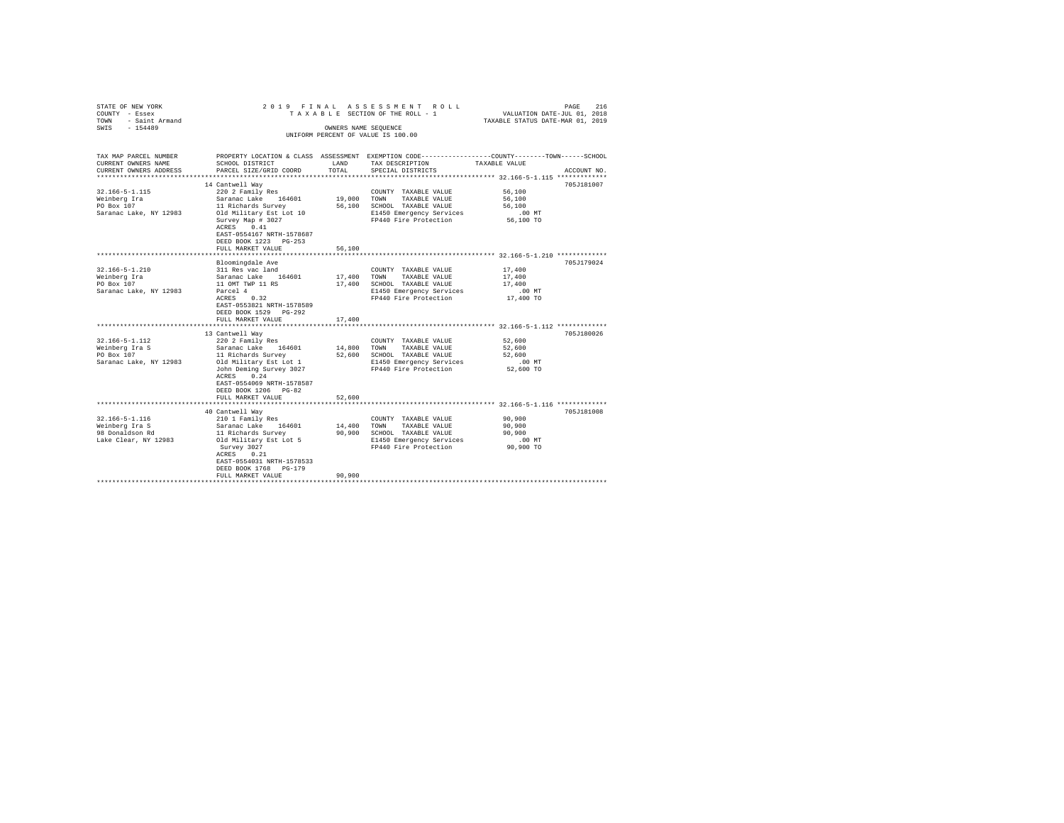| STATE OF NEW YORK<br>COUNTY - Essex<br>- Saint Armand<br>TOWN<br>SWTS<br>$-154489$ | 2019 FINAL ASSESSMENT ROLL<br>TAXABLE SECTION OF THE ROLL - 1<br>VALUATION DATE-JUL 01, 2018<br>TAXABLE STATUS DATE-MAR 01, 2019<br>OWNERS NAME SEOUENCE<br>UNIFORM PERCENT OF VALUE IS 100.00 |                       |                                                                   |                              |             |  |  |  |  |
|------------------------------------------------------------------------------------|------------------------------------------------------------------------------------------------------------------------------------------------------------------------------------------------|-----------------------|-------------------------------------------------------------------|------------------------------|-------------|--|--|--|--|
| TAX MAP PARCEL NUMBER<br>CURRENT OWNERS NAME<br>CURRENT OWNERS ADDRESS             | PROPERTY LOCATION & CLASS ASSESSMENT EXEMPTION CODE---------------COUNTY-------TOWN------SCHOOL<br>SCHOOL DISTRICT<br>PARCEL SIZE/GRID COORD                                                   | <b>T.AND</b><br>TOTAL | TAX DESCRIPTION<br>SPECIAL DISTRICTS                              | TAXABLE VALUE                | ACCOUNT NO. |  |  |  |  |
| ***********************                                                            |                                                                                                                                                                                                |                       |                                                                   |                              |             |  |  |  |  |
| $32.166 - 5 - 1.115$                                                               | 14 Cantwell Wav<br>220 2 Family Res                                                                                                                                                            |                       | COUNTY TAXABLE VALUE                                              | 56,100                       | 705J181007  |  |  |  |  |
| Weinberg Ira<br>PO Box 107<br>Saranac Lake, NY 12983                               | Saranac Lake 164601<br>11 Richards Survey<br>Old Military Est Lot 10                                                                                                                           | 19,000 TOWN<br>56,100 | TAXABLE VALUE<br>SCHOOL TAXABLE VALUE<br>E1450 Emergency Services | 56,100<br>56,100<br>$.00$ MT |             |  |  |  |  |
|                                                                                    | Survey Map # 3027<br>ACRES 0.41<br>EAST-0554167 NRTH-1578687<br>DEED BOOK 1223 PG-253                                                                                                          |                       | FP440 Fire Protection                                             | 56,100 TO                    |             |  |  |  |  |
|                                                                                    | FULL MARKET VALUE<br>********************                                                                                                                                                      | 56,100                |                                                                   |                              |             |  |  |  |  |
|                                                                                    |                                                                                                                                                                                                |                       |                                                                   |                              | 705J179024  |  |  |  |  |
| $32.166 - 5 - 1.210$<br>Weinberg Ira                                               | Bloomingdale Ave<br>311 Res vac land<br>Saranac Lake 164601                                                                                                                                    |                       | COUNTY TAXABLE VALUE<br>TOWN<br>TAXABLE VALUE                     | 17,400                       |             |  |  |  |  |
| PO Box 107                                                                         | 11 OMT TWP 11 RS                                                                                                                                                                               | 17,400<br>17,400      | SCHOOL TAXABLE VALUE                                              | 17,400<br>17,400             |             |  |  |  |  |
| Saranac Lake, NY 12983                                                             | Parcel 4                                                                                                                                                                                       |                       | E1450 Emergency Services                                          | $.00$ MT                     |             |  |  |  |  |
|                                                                                    | ACRES 0.32<br>EAST-0553821 NRTH-1578589<br>DEED BOOK 1529 PG-292                                                                                                                               |                       | FP440 Fire Protection                                             | 17,400 TO                    |             |  |  |  |  |
|                                                                                    | FULL MARKET VALUE                                                                                                                                                                              | 17,400                |                                                                   |                              |             |  |  |  |  |
|                                                                                    |                                                                                                                                                                                                |                       |                                                                   |                              |             |  |  |  |  |
|                                                                                    | 13 Cantwell Way                                                                                                                                                                                |                       |                                                                   |                              | 705J180026  |  |  |  |  |
| $32.166 - 5 - 1.112$                                                               | 220 2 Family Res<br>Saranac Lake                                                                                                                                                               |                       | COUNTY TAXABLE VALUE                                              | 52,600                       |             |  |  |  |  |
| Weinberg Ira S<br>PO Box 107                                                       | 164601<br>11 Richards Survey                                                                                                                                                                   | 14,800<br>52,600      | TOWN<br>TAXABLE VALUE<br>SCHOOL TAXABLE VALUE                     | 52,600<br>52,600             |             |  |  |  |  |
| Saranac Lake, NY 12983                                                             | Old Military Est Lot 1                                                                                                                                                                         |                       | E1450 Emergency Services                                          | $.00$ MT                     |             |  |  |  |  |
|                                                                                    | John Deming Survey 3027<br>ACRES 0.24<br>EAST-0554069 NRTH-1578587                                                                                                                             |                       | FP440 Fire Protection                                             | 52,600 TO                    |             |  |  |  |  |
|                                                                                    | DEED BOOK 1206 PG-82                                                                                                                                                                           |                       |                                                                   |                              |             |  |  |  |  |
|                                                                                    | FULL MARKET VALUE                                                                                                                                                                              | 52,600<br>********    |                                                                   |                              |             |  |  |  |  |
|                                                                                    | 40 Cantwell Wav                                                                                                                                                                                |                       |                                                                   |                              | 705J181008  |  |  |  |  |
| $32.166 - 5 - 1.116$                                                               | 210 1 Family Res                                                                                                                                                                               |                       | COUNTY TAXABLE VALUE                                              | 90,900                       |             |  |  |  |  |
| Weinberg Ira S                                                                     | Saranac Lake<br>164601                                                                                                                                                                         | 14,400                | TOWN<br>TAXABLE VALUE                                             | 90,900                       |             |  |  |  |  |
| 98 Donaldson Rd                                                                    | 11 Richards Survey                                                                                                                                                                             | 90,900                | SCHOOL TAXABLE VALUE                                              | 90,900                       |             |  |  |  |  |
| Lake Clear, NY 12983                                                               | Old Military Est Lot 5                                                                                                                                                                         |                       | E1450 Emergency Services                                          | $.00$ MT                     |             |  |  |  |  |
|                                                                                    | Survey 3027<br>ACRES 0.21<br>EAST-0554031 NRTH-1578533<br>DEED BOOK 1768 PG-179                                                                                                                |                       | FP440 Fire Protection                                             | 90,900 TO                    |             |  |  |  |  |
|                                                                                    | FULL MARKET VALUE                                                                                                                                                                              | 90,900                |                                                                   |                              |             |  |  |  |  |
|                                                                                    |                                                                                                                                                                                                |                       |                                                                   |                              |             |  |  |  |  |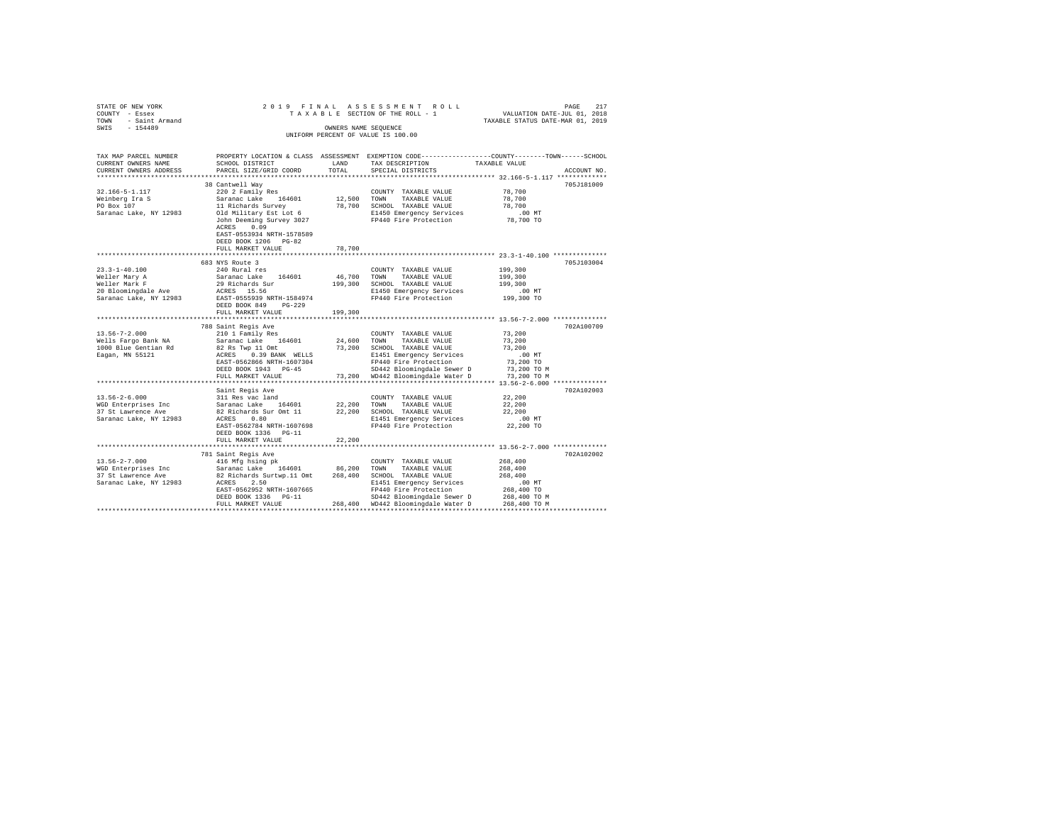| STATE OF NEW YORK<br>COUNTY - Essex<br>TOWN - Saint Armand<br>SWIS - 154489 |                                                                 | OWNERS NAME SEOUENCE | 2019 FINAL ASSESSMENT ROLL<br>TAXABLE SECTION OF THE ROLL - 1<br>UNIFORM PERCENT OF VALUE IS 100.00                                                                                                                          | PAGE<br>217<br>VALUATION DATE-JUL 01, 2018<br>TAXABLE STATUS DATE-MAR 01, 2019                                                                       |  |
|-----------------------------------------------------------------------------|-----------------------------------------------------------------|----------------------|------------------------------------------------------------------------------------------------------------------------------------------------------------------------------------------------------------------------------|------------------------------------------------------------------------------------------------------------------------------------------------------|--|
| CURRENT OWNERS NAME<br>CURRENT OWNERS ADDRESS                               | SCHOOL DISTRICT<br>PARCEL SIZE/GRID COORD                       | LAND<br>TOTAL        | TAX DESCRIPTION<br>SPECIAL DISTRICTS                                                                                                                                                                                         | TAX MAP PARCEL NUMBER PROPERTY LOCATION & CLASS ASSESSMENT EXEMPTION CODE--------------COUNTY-------TOWN------SCHOOL<br>TAXABLE VALUE<br>ACCOUNT NO. |  |
|                                                                             |                                                                 |                      |                                                                                                                                                                                                                              | ***************** 32.166-5-1.117 *************                                                                                                       |  |
| 32.166-5-1.117<br>Weinberg Ira S<br>PO Box 107<br>Saranac Lake, NY 12983    | 38 Cantwell Way<br>220 2 Family Res<br>Old Military Est Lot 6   |                      | COUNTY TAXABLE VALUE<br>Saranac Lake 164601 12,500 TOWN TAXABLE VALUE<br>11 Richards Survey 18,700 SCHOOL TAXABLE VALUE<br>01d Military Est Lot 6 81450 Emergency Services<br>50hn Deeming Survey 3027 FP440 Fire Protection | 705J181009<br>78,700<br>78,700<br>78,700<br>$.00$ MT                                                                                                 |  |
|                                                                             | ACRES 0.09<br>EAST-0553934 NRTH-1578589<br>DEED BOOK 1206 PG-82 |                      |                                                                                                                                                                                                                              | 78,700 TO                                                                                                                                            |  |
|                                                                             | FULL MARKET VALUE                                               | 78,700               |                                                                                                                                                                                                                              |                                                                                                                                                      |  |
|                                                                             |                                                                 |                      |                                                                                                                                                                                                                              |                                                                                                                                                      |  |
|                                                                             | 683 NYS Route 3                                                 |                      |                                                                                                                                                                                                                              | 705J103004                                                                                                                                           |  |
| $23.3 - 1 - 40.100$                                                         | 240 Rural res                                                   |                      | COUNTY TAXABLE VALUE                                                                                                                                                                                                         | 199,300                                                                                                                                              |  |
| Weller Mary A<br>Weller Mark F<br>20 Bloomingdale Ave                       |                                                                 |                      |                                                                                                                                                                                                                              | 199,300                                                                                                                                              |  |
|                                                                             |                                                                 |                      |                                                                                                                                                                                                                              | 199,300<br>.00 MT                                                                                                                                    |  |
| Saranac Lake, NY 12983                                                      | EAST-0555939 NRTH-1584974                                       |                      | E1450 Emergency Services<br>FP440 Fire Protection                                                                                                                                                                            | 199,300 TO                                                                                                                                           |  |
|                                                                             | DEED BOOK 849 PG-229                                            |                      |                                                                                                                                                                                                                              |                                                                                                                                                      |  |
|                                                                             | FULL MARKET VALUE                                               | 199,300              |                                                                                                                                                                                                                              |                                                                                                                                                      |  |
|                                                                             |                                                                 |                      |                                                                                                                                                                                                                              |                                                                                                                                                      |  |
|                                                                             | 788 Saint Regis Ave                                             |                      |                                                                                                                                                                                                                              | 702A100709                                                                                                                                           |  |
| $13.56 - 7 - 2.000$                                                         | 210 1 Family Res                                                |                      | COUNTY TAXABLE VALUE                                                                                                                                                                                                         | 73,200                                                                                                                                               |  |
| Wells Fargo Bank NA                                                         | Saranac Lake 164601                                             |                      | 24,600 TOWN TAXABLE VALUE                                                                                                                                                                                                    | 73,200                                                                                                                                               |  |
| 1000 Blue Gentian Rd                                                        | 82 Rs Twp 11 Omt                                                |                      | 73,200 SCHOOL TAXABLE VALUE                                                                                                                                                                                                  | 73,200                                                                                                                                               |  |
| Eagan, MN 55121                                                             | ACRES 0.39 BANK WELLS                                           |                      | E1451 Emergency Services<br>FP440 Fire Protection                                                                                                                                                                            | $.00$ MT                                                                                                                                             |  |
|                                                                             | EAST-0562866 NRTH-1607304                                       |                      |                                                                                                                                                                                                                              | 73,200 TO                                                                                                                                            |  |
|                                                                             | DEED BOOK 1943 PG-45                                            |                      | SD442 Bloomingdale Sewer D 73,200 TO M<br>73,200 WD442 Bloomingdale Water D 73,200 TO M                                                                                                                                      |                                                                                                                                                      |  |
| *****************************                                               | FULL MARKET VALUE                                               |                      |                                                                                                                                                                                                                              |                                                                                                                                                      |  |
|                                                                             | Saint Regis Ave                                                 |                      |                                                                                                                                                                                                                              | 702A102003                                                                                                                                           |  |
| $13.56 - 2 - 6.000$                                                         | 311 Res vac land                                                |                      | COUNTY TAXABLE VALUE                                                                                                                                                                                                         | 22,200                                                                                                                                               |  |
| WGD Enterprises Inc                                                         |                                                                 |                      |                                                                                                                                                                                                                              | 22,200                                                                                                                                               |  |
| 37 St Lawrence Ave                                                          |                                                                 |                      | Saranac Lake 164601 22,200 TOWN TAXABLE VALUE<br>82 Richards Sur Omt 11 22,200 SCHOOL TAXABLE VALUE                                                                                                                          | 22,200                                                                                                                                               |  |
| Saranac Lake, NY 12983                                                      | ACRES 0.80                                                      |                      | E1451 Emergency Services                                                                                                                                                                                                     | $.00$ MT                                                                                                                                             |  |
|                                                                             | EAST-0562784 NRTH-1607698                                       |                      | FP440 Fire Protection                                                                                                                                                                                                        | 22,200 TO                                                                                                                                            |  |
|                                                                             | DEED BOOK 1336    PG-11                                         |                      |                                                                                                                                                                                                                              |                                                                                                                                                      |  |
|                                                                             | FULL MARKET VALUE                                               | 22,200               |                                                                                                                                                                                                                              |                                                                                                                                                      |  |
|                                                                             |                                                                 |                      |                                                                                                                                                                                                                              |                                                                                                                                                      |  |
|                                                                             | 781 Saint Regis Ave                                             |                      |                                                                                                                                                                                                                              | 702A102002                                                                                                                                           |  |
|                                                                             | 416 Mfg hsing pk                                                |                      |                                                                                                                                                                                                                              | 268,400                                                                                                                                              |  |
|                                                                             |                                                                 |                      |                                                                                                                                                                                                                              | 268,400<br>268.400                                                                                                                                   |  |
|                                                                             |                                                                 |                      |                                                                                                                                                                                                                              | $.00$ MT                                                                                                                                             |  |
|                                                                             | EAST-0562952 NRTH-1607665                                       |                      |                                                                                                                                                                                                                              | 268,400 TO                                                                                                                                           |  |
|                                                                             | DEED BOOK 1336 PG-11                                            |                      | E1451 Emergency Services<br>FP440 Fire Protection<br>SD442 Bloomingdale Sewer D                                                                                                                                              | 268,400 TO M                                                                                                                                         |  |
|                                                                             | FULL MARKET VALUE                                               |                      | 268,400 WD442 Bloomingdale Water D                                                                                                                                                                                           | 268,400 TO M                                                                                                                                         |  |
|                                                                             |                                                                 |                      |                                                                                                                                                                                                                              |                                                                                                                                                      |  |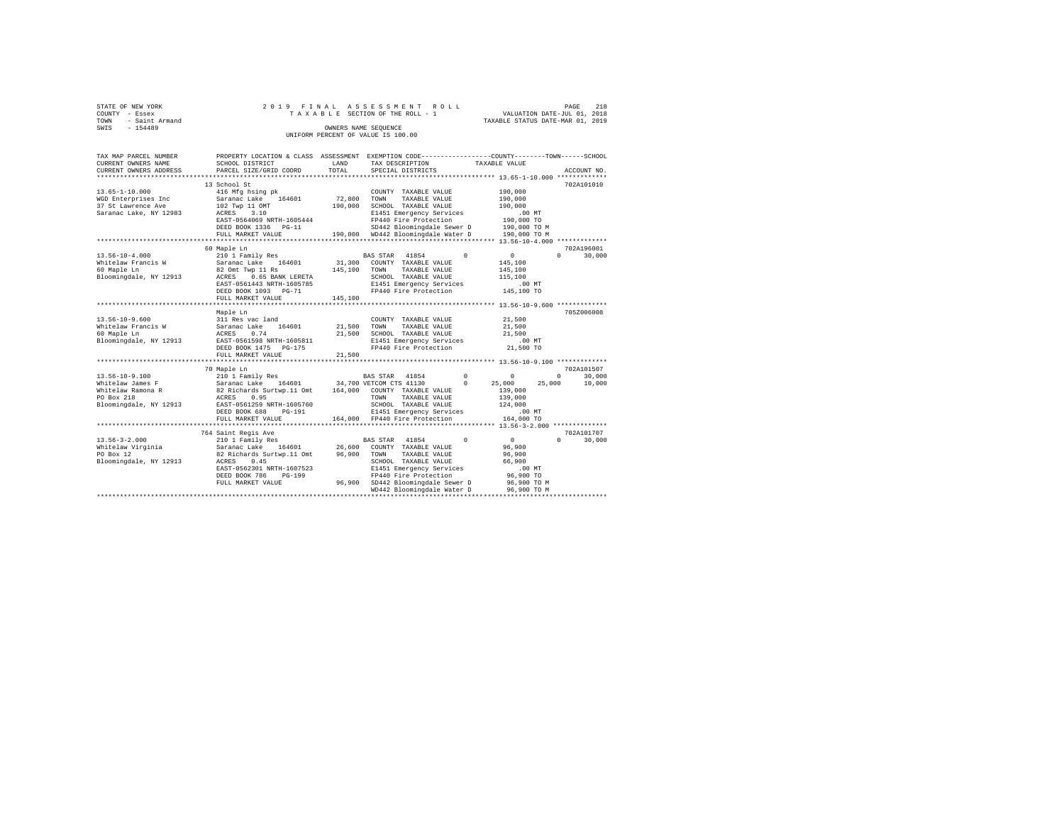| STATE OF NEW YORK   | 2019 FINAL ASSESSMENT ROLL         | PAGE                             | 218 |
|---------------------|------------------------------------|----------------------------------|-----|
| COUNTY - Essex      | TAXABLE SECTION OF THE ROLL - 1    | VALUATION DATE-JUL 01, 2018      |     |
| TOWN - Saint Armand |                                    | TAXABLE STATUS DATE-MAR 01, 2019 |     |
| SWIS<br>$-154489$   | OWNERS NAME SEOUENCE               |                                  |     |
|                     | UNIFORM PERCENT OF VALUE IS 100.00 |                                  |     |

| TAX MAP PARCEL NUMBER<br>CURRENT OWNERS NAME        | PROPERTY LOCATION & CLASS ASSESSMENT<br>SCHOOL DISTRICT | LAND      | EXEMPTION CODE----------------COUNTY-------TOWN------SCHOOL<br>TAX DESCRIPTION |            | TAXABLE VALUE                              |                    |
|-----------------------------------------------------|---------------------------------------------------------|-----------|--------------------------------------------------------------------------------|------------|--------------------------------------------|--------------------|
| CURRENT OWNERS ADDRESS<br>************************* | PARCEL SIZE/GRID COORD                                  | TOTAL     | SPECIAL DISTRICTS                                                              |            |                                            | ACCOUNT NO.        |
|                                                     |                                                         |           |                                                                                |            |                                            |                    |
| $13.65 - 1 - 10.000$                                | 13 School St                                            |           |                                                                                |            | 190,000                                    | 702A101010         |
|                                                     | 416 Mfg hsing pk<br>Saranac Lake 164601                 | 72,800    | COUNTY TAXABLE VALUE                                                           |            | 190,000                                    |                    |
| WGD Enterprises Inc<br>37 St Lawrence Ave           |                                                         |           | TOWN<br>TAXABLE VALUE<br>SCHOOL TAXABLE VALUE                                  |            |                                            |                    |
|                                                     | 102 Twp 11 OMT<br>ACRES 3.10                            | 190,000   |                                                                                |            | 190,000                                    |                    |
| Saranac Lake, NY 12983                              | EAST-0564069 NRTH-1605444                               |           | E1451 Emergency Services                                                       |            | .00MT                                      |                    |
|                                                     |                                                         |           | FP440 Fire Protection                                                          |            | 190,000 TO                                 |                    |
|                                                     | DEED BOOK 1336 PG-11                                    |           | SD442 Bloomingdale Sewer D                                                     |            | 190,000 TO M                               |                    |
|                                                     | FULL MARKET VALUE<br>*********************              |           | 190.000 WD442 Bloomingdale Water D                                             |            | 190,000 TO M                               |                    |
|                                                     |                                                         |           |                                                                                |            |                                            |                    |
|                                                     | 60 Maple Ln                                             |           |                                                                                |            |                                            | 702A196001         |
| $13.56 - 10 - 4.000$                                | 210 1 Family Res                                        |           | <b>BAS STAR</b><br>41854                                                       | $\Omega$   | $\circ$                                    | $\Omega$<br>30,000 |
| Whitelaw Francis W                                  | Saranac Lake 164601                                     | 31,300    | COUNTY TAXABLE VALUE                                                           |            | 145,100                                    |                    |
| 60 Maple Ln                                         | 82 Omt Twp 11 Rs                                        | 145,100   | TAXABLE VALUE<br>TOWN                                                          |            | 145,100                                    |                    |
| Bloomingdale, NY 12913                              | 0.65 BANK LERETA<br>ACRES                               |           | SCHOOL TAXABLE VALUE                                                           |            | 115,100                                    |                    |
|                                                     | EAST-0561443 NRTH-1605785                               |           | E1451 Emergency Services                                                       |            | $.00$ MT                                   |                    |
|                                                     | DEED BOOK 1093 PG-71                                    |           | FP440 Fire Protection                                                          |            | 145,100 TO                                 |                    |
|                                                     | FULL MARKET VALUE                                       | 145,100   |                                                                                |            |                                            |                    |
|                                                     |                                                         |           |                                                                                |            |                                            |                    |
|                                                     | Maple Ln                                                |           |                                                                                |            |                                            | 705Z006008         |
| $13.56 - 10 - 9.600$                                | 311 Res vac land                                        |           | COUNTY TAXABLE VALUE                                                           |            | 21,500                                     |                    |
| Whitelaw Francis W                                  | Saranac Lake<br>164601                                  | 21,500    | TOWN<br>TAXABLE VALUE                                                          |            | 21,500                                     |                    |
| 60 Maple Ln                                         | ACRES<br>0.74                                           | 21,500    | SCHOOL TAXABLE VALUE                                                           |            | 21,500                                     |                    |
| Bloomingdale, NY 12913                              | EAST-0561598 NRTH-1605811                               |           | E1451 Emergency Services                                                       |            | $.00$ MT                                   |                    |
|                                                     | DEED BOOK 1475 PG-175                                   |           | FP440 Fire Protection                                                          |            | 21,500 TO                                  |                    |
|                                                     | FULL MARKET VALUE                                       | 21,500    |                                                                                |            |                                            |                    |
|                                                     | .                                                       | ********* |                                                                                |            | ************* 13.56-10-9.100 ************* |                    |
|                                                     | 70 Maple Ln                                             |           |                                                                                |            |                                            | 702A101507         |
| 13.56-10-9.100                                      | 210 1 Family Res                                        |           | BAS STAR 41854                                                                 | $^{\circ}$ | $\circ$                                    | $\circ$<br>30,000  |
| Whitelaw James F                                    | Saranac Lake 164601                                     |           | 34,700 VETCOM CTS 41130                                                        | $\Omega$   | 25,000<br>25,000                           | 10,000             |
| Whitelaw Ramona R                                   | 82 Richards Surtwp.11 Omt                               | 164,000   | COUNTY TAXABLE VALUE                                                           |            | 139,000                                    |                    |
| PO Box 218                                          | ACRES<br>0.95                                           |           | TAXABLE VALUE<br>TOWN                                                          |            | 139,000                                    |                    |
| Bloomingdale, NY 12913                              | EAST-0561259 NRTH-1605760                               |           | SCHOOL TAXABLE VALUE                                                           |            | 124,000                                    |                    |
|                                                     | DEED BOOK 688<br>$PG-191$                               |           | E1451 Emergency Services                                                       |            | $.00$ MT                                   |                    |
|                                                     | FULL MARKET VALUE                                       |           | 164,000 FP440 Fire Protection                                                  |            | 164,000 TO                                 |                    |
|                                                     |                                                         |           |                                                                                |            |                                            |                    |
|                                                     | 764 Saint Regis Ave                                     |           |                                                                                |            |                                            | 702A101707         |
| $13.56 - 3 - 2.000$                                 | 210 1 Family Res                                        |           | BAS STAR 41854                                                                 | $\Omega$   | $\circ$                                    | 30,000<br>$\Omega$ |
|                                                     |                                                         |           |                                                                                |            |                                            |                    |
| Whitelaw Virginia                                   | Saranac Lake 164601                                     | 26,600    | COUNTY TAXABLE VALUE                                                           |            | 96,900                                     |                    |
| PO Box 12                                           | 82 Richards Surtwp.11 Omt                               | 96,900    | TOWN<br>TAXABLE VALUE                                                          |            | 96,900                                     |                    |
| Bloomingdale, NY 12913                              | 0.45<br>ACRES                                           |           | SCHOOL TAXABLE VALUE                                                           |            | 66,900                                     |                    |
|                                                     | EAST-0562301 NRTH-1607523                               |           | E1451 Emergency Services                                                       |            | .00 MT                                     |                    |
|                                                     | DEED BOOK 786<br>$PG-199$                               |           | FP440 Fire Protection                                                          |            | 96,900 TO                                  |                    |
|                                                     | FULL MARKET VALUE                                       |           | 96,900 SD442 Bloomingdale Sewer D                                              |            | 96,900 TO M                                |                    |
|                                                     |                                                         |           | WD442 Bloomingdale Water D                                                     |            | 96,900 TO M                                |                    |
|                                                     |                                                         |           |                                                                                |            |                                            |                    |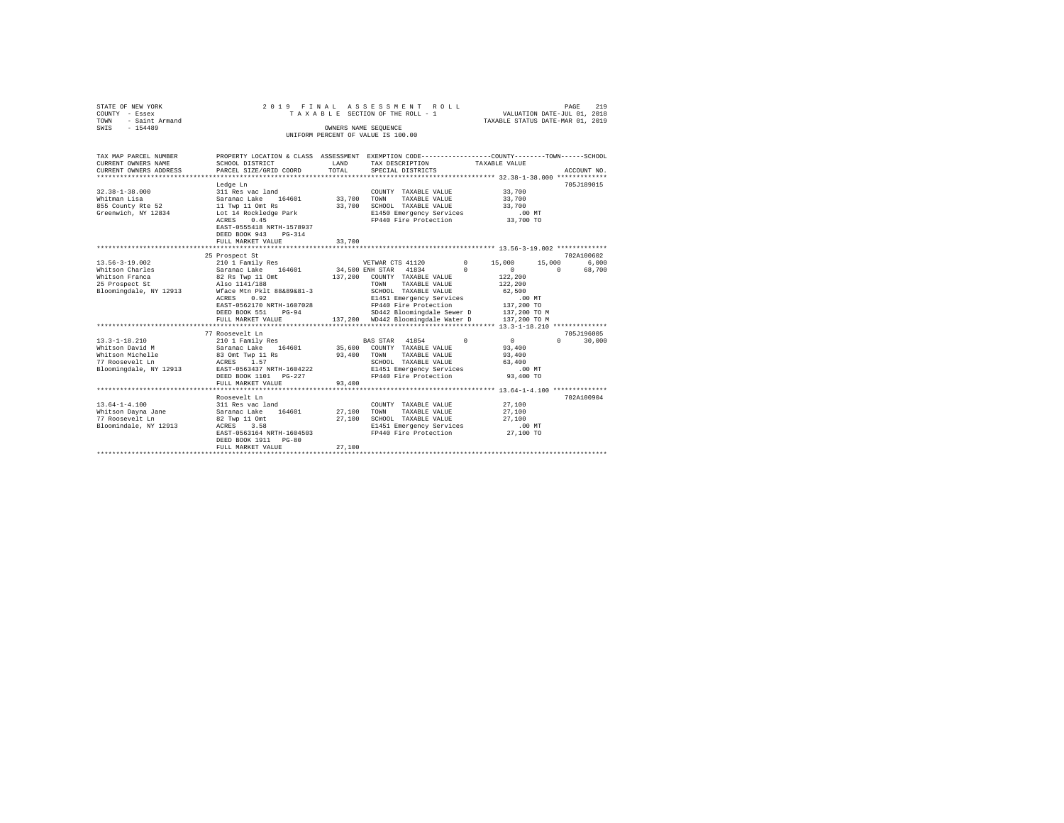| STATE OF NEW YORK<br>COUNTY - Essex<br>- Saint Armand<br>TOWN<br>SWIS<br>$-154489$ |                                                                                                                    |         | 2019 FINAL ASSESSMENT ROLL<br>TAXABLE SECTION OF THE ROLL - 1<br>OWNERS NAME SEQUENCE<br>UNIFORM PERCENT OF VALUE IS 100.00 |          | VALUATION DATE-JUL 01, 2018<br>TAXABLE STATUS DATE-MAR 01, 2019 | PAGE                 | 219 |
|------------------------------------------------------------------------------------|--------------------------------------------------------------------------------------------------------------------|---------|-----------------------------------------------------------------------------------------------------------------------------|----------|-----------------------------------------------------------------|----------------------|-----|
| TAX MAP PARCEL NUMBER<br>CURRENT OWNERS NAME                                       | PROPERTY LOCATION & CLASS ASSESSMENT EXEMPTION CODE---------------COUNTY-------TOWN------SCHOOL<br>SCHOOL DISTRICT | LAND    | TAX DESCRIPTION                                                                                                             |          | TAXABLE VALUE                                                   |                      |     |
| CURRENT OWNERS ADDRESS                                                             | PARCEL SIZE/GRID COORD                                                                                             | TOTAL   | SPECIAL DISTRICTS                                                                                                           |          |                                                                 | ACCOUNT NO.          |     |
|                                                                                    | ****************************                                                                                       |         |                                                                                                                             |          |                                                                 |                      |     |
|                                                                                    | Ledge Ln                                                                                                           |         |                                                                                                                             |          |                                                                 | 705J189015           |     |
| $32.38 - 1 - 38.000$                                                               | 311 Res vac land                                                                                                   |         | COUNTY TAXABLE VALUE                                                                                                        |          | 33,700                                                          |                      |     |
| Whitman Lisa                                                                       | Saranac Lake 164601<br>Saranac Lake<br>11 Twp 11 Omt Rs                                                            | 33,700  | TOWN<br>TAXABLE VALUE                                                                                                       |          | 33,700                                                          |                      |     |
| 855 County Rte 52                                                                  |                                                                                                                    |         | 33,700 SCHOOL TAXABLE VALUE                                                                                                 |          | 33,700                                                          |                      |     |
| Greenwich, NY 12834                                                                | Lot 14 Rockledge Park                                                                                              |         | E1450 Emergency Services                                                                                                    |          | $.00$ MT                                                        |                      |     |
|                                                                                    | ACRES 0.45                                                                                                         |         | FP440 Fire Protection                                                                                                       |          | 33,700 TO                                                       |                      |     |
|                                                                                    | EAST-0555418 NRTH-1578937<br>DEED BOOK 943 PG-314                                                                  |         |                                                                                                                             |          |                                                                 |                      |     |
|                                                                                    | FULL MARKET VALUE                                                                                                  | 33,700  |                                                                                                                             |          |                                                                 |                      |     |
|                                                                                    |                                                                                                                    |         |                                                                                                                             |          |                                                                 |                      |     |
|                                                                                    | 25 Prospect St                                                                                                     |         |                                                                                                                             |          |                                                                 | 702A100602           |     |
| $13.56 - 3 - 19.002$                                                               | 210 1 Family Res                                                                                                   |         | VETWAR CTS 41120                                                                                                            |          | $0 \qquad \qquad$<br>15,000                                     | 6.000<br>15,000      |     |
| Whitson Charles                                                                    | Saranac Lake 164601                                                                                                |         | 34,500 ENH STAR 41834 0                                                                                                     |          | $\overline{0}$                                                  | $^{\circ}$<br>68,700 |     |
| Whitson Franca                                                                     | 82 Rs Twp 11 Omt                                                                                                   | 137,200 | COUNTY TAXABLE VALUE                                                                                                        |          | 122,200                                                         |                      |     |
| 25 Prospect St                                                                     | Also 1141/188                                                                                                      |         | TOWN TAXABLE VALUE                                                                                                          |          | 122,200                                                         |                      |     |
| Bloomingdale, NY 12913                                                             | Wface Mtn Pklt 88&89&81-3                                                                                          |         | SCHOOL TAXABLE VALUE                                                                                                        |          | 62,500                                                          |                      |     |
|                                                                                    | ACRES<br>0.92<br>EAST-0562170 NRTH-1607028                                                                         |         | E1451 Emergency Services                                                                                                    |          | $.00$ MT<br>137,200 TO                                          |                      |     |
|                                                                                    | DEED BOOK 551<br>$PG-94$                                                                                           |         | FP440 Fire Protection                                                                                                       |          |                                                                 |                      |     |
|                                                                                    | FULL MARKET VALUE                                                                                                  |         | SD442 Bloomingdale Sewer D 137,200 TO M<br>137,200 WD442 Bloomingdale Water D                                               |          | 137,200 TO M                                                    |                      |     |
|                                                                                    |                                                                                                                    |         |                                                                                                                             |          |                                                                 |                      |     |
|                                                                                    | 77 Roosevelt Ln                                                                                                    |         |                                                                                                                             |          |                                                                 | 705J196005           |     |
| $13.3 - 1 - 18.210$                                                                | 210 1 Family Res                                                                                                   |         | BAS STAR 41854                                                                                                              | $\Omega$ | 0                                                               | $\Omega$<br>30,000   |     |
| Whitson David M                                                                    | Saranac Lake 164601                                                                                                | 35,600  | COUNTY TAXABLE VALUE                                                                                                        |          | 93,400                                                          |                      |     |
| Whitson Michelle                                                                   | 83 Omt Twp 11 Rs                                                                                                   | 93,400  | TAXABLE VALUE<br>TOWN                                                                                                       |          | 93,400                                                          |                      |     |
| 77 Roosevelt Ln                                                                    | ACRES 1.57                                                                                                         |         | SCHOOL TAXABLE VALUE                                                                                                        |          | 63,400                                                          |                      |     |
| Bloomingdale, NY 12913                                                             | EAST-0563437 NRTH-1604222                                                                                          |         | E1451 Emergency Services                                                                                                    |          | .00 MT                                                          |                      |     |
|                                                                                    |                                                                                                                    |         | FP440 Fire Protection                                                                                                       |          | 93,400 TO                                                       |                      |     |
|                                                                                    | FULL MARKET VALUE                                                                                                  | 93,400  |                                                                                                                             |          |                                                                 |                      |     |
|                                                                                    | Roosevelt Ln                                                                                                       |         |                                                                                                                             |          |                                                                 | 702A100904           |     |
| $13.64 - 1 - 4.100$                                                                | 311 Res vac land                                                                                                   |         | COUNTY TAXABLE VALUE                                                                                                        |          | 27,100                                                          |                      |     |
| Whitson Dayna Jane                                                                 | Saranac Lake 164601                                                                                                | 27,100  | TOWN<br>TAXABLE VALUE                                                                                                       |          | 27,100                                                          |                      |     |
| 77 Roosevelt Ln                                                                    | 82 Twp 11 Omt                                                                                                      | 27,100  | SCHOOL TAXABLE VALUE                                                                                                        |          | 27,100                                                          |                      |     |
| Bloomindale, NY 12913                                                              | ACRES 3.58                                                                                                         |         | E1451 Emergency Services                                                                                                    |          | .00 MT                                                          |                      |     |
|                                                                                    | EAST-0563164 NRTH-1604503                                                                                          |         | FP440 Fire Protection                                                                                                       |          | 27,100 TO                                                       |                      |     |
|                                                                                    | DEED BOOK 1911 PG-80                                                                                               |         |                                                                                                                             |          |                                                                 |                      |     |
|                                                                                    | FULL MARKET VALUE                                                                                                  | 27,100  |                                                                                                                             |          |                                                                 |                      |     |
|                                                                                    |                                                                                                                    |         |                                                                                                                             |          |                                                                 |                      |     |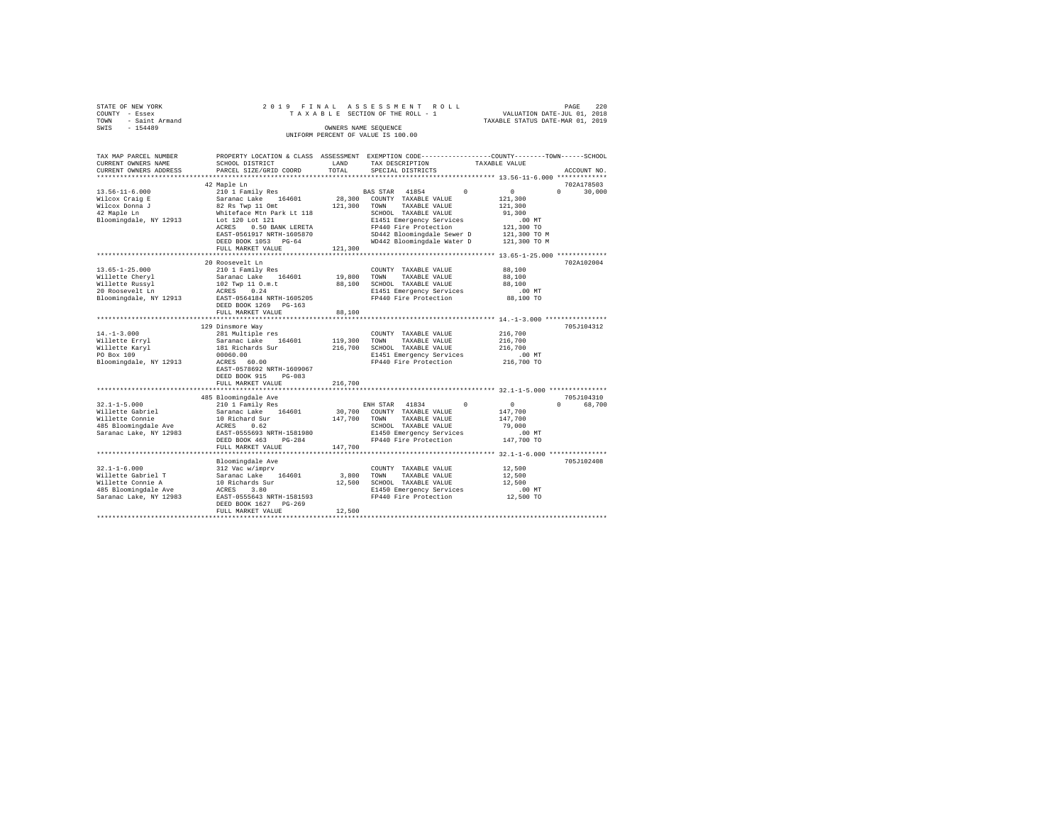|                | STATE OF NEW YORK   |  |  |  |  | 2019 FINAL ASSESSMENT ROLL         |  |  |  |  |                                  |                             |  | PAGE | - 220 |
|----------------|---------------------|--|--|--|--|------------------------------------|--|--|--|--|----------------------------------|-----------------------------|--|------|-------|
| COUNTY - Essex |                     |  |  |  |  | TAXABLE SECTION OF THE ROLL - 1    |  |  |  |  |                                  | VALUATION DATE-JUL 01, 2018 |  |      |       |
|                | TOWN - Saint Armand |  |  |  |  |                                    |  |  |  |  | TAXABLE STATUS DATE-MAR 01, 2019 |                             |  |      |       |
| SWIS           | $-154489$           |  |  |  |  | OWNERS NAME SEOUENCE               |  |  |  |  |                                  |                             |  |      |       |
|                |                     |  |  |  |  | UNIFORM PERCENT OF VALUE IS 100.00 |  |  |  |  |                                  |                             |  |      |       |

| TAX MAP PARCEL NUMBER  |                                                                                    |         |                            | PROPERTY LOCATION & CLASS ASSESSMENT EXEMPTION CODE---------------COUNTY-------TOWN-----SCHOOL |
|------------------------|------------------------------------------------------------------------------------|---------|----------------------------|------------------------------------------------------------------------------------------------|
| CURRENT OWNERS NAME    | SCHOOL DISTRICT                                                                    | LAND    | TAX DESCRIPTION            | TAXABLE VALUE                                                                                  |
| CURRENT OWNERS ADDRESS | PARCEL SIZE/GRID COORD                                                             | TOTAL   | SPECIAL DISTRICTS          | ACCOUNT NO.                                                                                    |
|                        |                                                                                    |         |                            |                                                                                                |
|                        | 42 Maple Ln                                                                        |         |                            | 702A178503                                                                                     |
| $13.56 - 11 - 6.000$   | 210 1 Family Res                                                                   |         | BAS STAR 41854<br>$\Omega$ | $\sim$ 0<br>$\Omega$<br>30,000                                                                 |
| Wilcox Craig E         | Saranac Lake 164601                                                                | 28,300  | COUNTY TAXABLE VALUE       | 121,300                                                                                        |
| Wilcox Donna J         | 82 Rs Twp 11 Omt                                                                   | 121,300 | TOWN<br>TAXABLE VALUE      | 121,300                                                                                        |
| 42 Maple Ln            | Whiteface Mtn Park Lt 118<br>Lot 120 Lot 121                                       |         | SCHOOL TAXABLE VALUE       | 91,300                                                                                         |
| Bloomingdale, NY 12913 | Lot 120 Lot 121                                                                    |         | E1451 Emergency Services   | $.00$ MT                                                                                       |
|                        | ACRES<br>0.50 BANK LERETA                                                          |         | FP440 Fire Protection      | 121,300 TO                                                                                     |
|                        | EAST-0561917 NRTH-1605870                                                          |         | SD442 Bloomingdale Sewer D | 121,300 TO M                                                                                   |
|                        | DEED BOOK 1053 PG-64                                                               |         | WD442 Bloomingdale Water D | 121,300 TO M                                                                                   |
|                        | FULL MARKET VALUE                                                                  | 121,300 |                            |                                                                                                |
|                        |                                                                                    |         |                            |                                                                                                |
|                        | 20 Roosevelt Ln                                                                    |         |                            | 702A102004                                                                                     |
| $13.65 - 1 - 25.000$   | 210 1 Family Res                                                                   |         | COUNTY TAXABLE VALUE       | 88,100                                                                                         |
| Willette Cheryl        |                                                                                    | 19,800  | TOWN<br>TAXABLE VALUE      | 88,100                                                                                         |
| Willette Russyl        |                                                                                    | 88,100  | SCHOOL TAXABLE VALUE       | 88,100                                                                                         |
| 20 Roosevelt Ln        | Saranac Lake 164601<br>102 Twp 11 O.m.t<br>ACRES 0.24<br>EAST-0564184 NRTH-1605205 |         | E1451 Emergency Services   | .00 MT                                                                                         |
| Bloomingdale, NY 12913 |                                                                                    |         | FP440 Fire Protection      | 88,100 TO                                                                                      |
|                        | DEED BOOK 1269 PG-163                                                              |         |                            |                                                                                                |
|                        | FULL MARKET VALUE                                                                  | 88,100  |                            |                                                                                                |
|                        |                                                                                    |         |                            |                                                                                                |
|                        | 129 Dinsmore Way                                                                   |         |                            | 705J104312                                                                                     |
| $14. - 1 - 3.000$      | 281 Multiple res                                                                   |         | COUNTY TAXABLE VALUE       | 216,700                                                                                        |
| Willette Erryl         | Saranac Lake 164601<br>Saranac Lake 164601<br>181 Richards Sur                     | 119,300 | TOWN<br>TAXABLE VALUE      | 216,700                                                                                        |
| Willette Karyl         |                                                                                    | 216,700 | SCHOOL TAXABLE VALUE       | 216,700                                                                                        |
| PO Box 109             | 00060.00                                                                           |         | E1451 Emergency Services   | .00 MT                                                                                         |
| Bloomingdale, NY 12913 | ACRES 60.00                                                                        |         | FP440 Fire Protection      | 216,700 TO                                                                                     |
|                        | EAST-0578692 NRTH-1609067                                                          |         |                            |                                                                                                |
|                        | DEED BOOK 915<br>$PG-083$                                                          |         |                            |                                                                                                |
|                        | FULL MARKET VALUE                                                                  | 216,700 |                            |                                                                                                |
|                        | ************************                                                           |         |                            | *************************** 32.1-1-5.000 ***************                                       |
|                        | 485 Bloomingdale Ave                                                               |         |                            | 705J104310                                                                                     |
| $32.1 - 1 - 5.000$     | 210 1 Family Res                                                                   |         | ENH STAR 41834<br>$\Omega$ | $\sim$ 0<br>$\Omega$<br>68,700                                                                 |
| Willette Gabriel       | Saranac Lake 164601                                                                | 30,700  | COUNTY TAXABLE VALUE       | 147,700                                                                                        |
| Willette Connie        | 10 Richard Sur                                                                     | 147,700 | TOWN<br>TAXABLE VALUE      | 147,700                                                                                        |
| 485 Bloomingdale Ave   | ACRES<br>0.62                                                                      |         | SCHOOL TAXABLE VALUE       | 79,000                                                                                         |
| Saranac Lake, NY 12983 | EAST-0555693 NRTH-1581980                                                          |         | E1450 Emergency Services   | $.00$ MT                                                                                       |
|                        | DEED BOOK 463<br>PG-284                                                            |         | FP440 Fire Protection      | 147,700 TO                                                                                     |
|                        | FULL MARKET VALUE                                                                  | 147.700 |                            |                                                                                                |
|                        | ********************                                                               |         |                            | *************** 32.1-1-6.000 **************                                                    |
|                        | Bloomingdale Ave                                                                   |         |                            | 705J102408                                                                                     |
| $32.1 - 1 - 6.000$     | 312 Vac w/imprv                                                                    |         | COUNTY TAXABLE VALUE       | 12,500                                                                                         |
| Willette Gabriel T     | Saranac Lake 164601                                                                | 3,800   | TOWN<br>TAXABLE VALUE      | 12,500                                                                                         |
|                        |                                                                                    | 12,500  | SCHOOL TAXABLE VALUE       | 12,500                                                                                         |
|                        |                                                                                    |         | E1450 Emergency Services   | $.00$ MT                                                                                       |
| Saranac Lake, NY 12983 | EAST-0555643 NRTH-1581593                                                          |         | FP440 Fire Protection      | 12,500 TO                                                                                      |
|                        | DEED BOOK 1627 PG-269                                                              |         |                            |                                                                                                |
|                        | FULL MARKET VALUE                                                                  | 12,500  |                            |                                                                                                |
|                        |                                                                                    |         |                            |                                                                                                |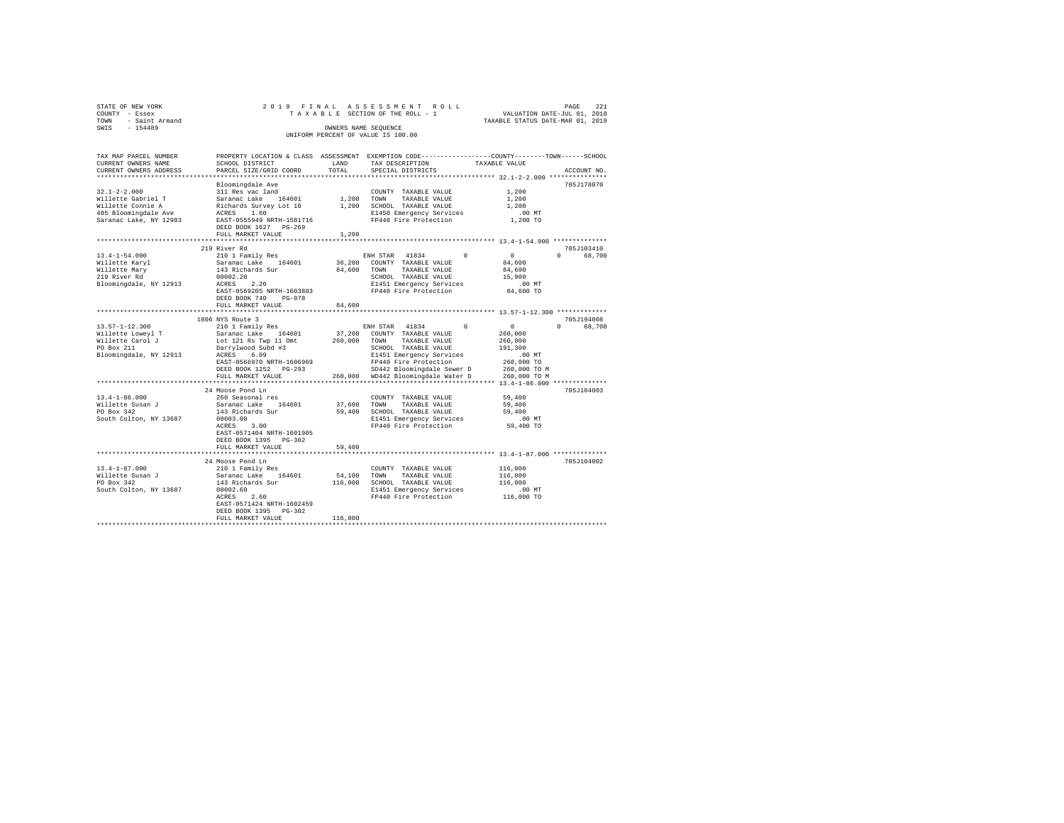| STATE OF NEW YORK<br>COUNTY - Essex<br>- Saint Armand<br>TOWN<br>$-154489$<br>SWIS                                                                                                                                                   |                                                          |             | 2019 FINAL ASSESSMENT ROLL<br>TAXABLE SECTION OF THE ROLL - 1 VALUATION DATE-JUL 01, 2018<br>OWNERS NAME SEQUENCE<br>INIFORM PERCENT OF VALUE IS 100.00 |               | TAXABLE STATUS DATE-MAR 01, 2019 | PAGE              | 221         |
|--------------------------------------------------------------------------------------------------------------------------------------------------------------------------------------------------------------------------------------|----------------------------------------------------------|-------------|---------------------------------------------------------------------------------------------------------------------------------------------------------|---------------|----------------------------------|-------------------|-------------|
| TAX MAP PARCEL NUMBER PROPERTY LOCATION & CLASS ASSESSMENT EXEMPTION CODE--------------COUNTY--------TOWN-----SCHOOL<br>CURRENT OWNERS NAME SCHOOL DISTRICT<br>CURRENT OWNERS ADDRESS PARCEL SIZE/GRID COORD TOTAL SPECIAL DISTRICTS |                                                          | <b>LAND</b> | TAX DESCRIPTION TAXABLE VALUE                                                                                                                           |               |                                  |                   | ACCOUNT NO. |
|                                                                                                                                                                                                                                      |                                                          |             |                                                                                                                                                         |               |                                  |                   |             |
|                                                                                                                                                                                                                                      | Bloomingdale Ave                                         |             |                                                                                                                                                         |               |                                  |                   | 705J178070  |
| $32.1 - 2 - 2.000$                                                                                                                                                                                                                   | 311 Res vac land                                         |             | COUNTY TAXABLE VALUE                                                                                                                                    |               | 1,200                            |                   |             |
| Willette Gabriel T Saranac Lake 164601 1,200 TOWN                                                                                                                                                                                    |                                                          |             | TAXABLE VALUE                                                                                                                                           |               | 1,200                            |                   |             |
| Willette Connie A Bichards Survey Lot 10                                                                                                                                                                                             |                                                          | 1,200       | SCHOOL TAXABLE VALUE 1.200                                                                                                                              |               |                                  |                   |             |
| 485 Bloomingdale Ave MCRES 1.60                                                                                                                                                                                                      |                                                          |             | E1450 Emergency Services                                                                                                                                |               | $.00$ MT                         |                   |             |
| Saranac Lake, NY 12983                                                                                                                                                                                                               | EAST-0555949 NRTH-1581716<br>DEED BOOK 1627 PG-269       |             | FP440 Fire Protection 1,200 TO                                                                                                                          |               |                                  |                   |             |
|                                                                                                                                                                                                                                      | FULL MARKET VALUE 1,200                                  |             |                                                                                                                                                         |               |                                  |                   |             |
|                                                                                                                                                                                                                                      |                                                          |             |                                                                                                                                                         |               |                                  |                   |             |
|                                                                                                                                                                                                                                      | 219 River Rd                                             |             |                                                                                                                                                         |               |                                  |                   | 705-T103410 |
| $13.4 - 1 - 54.000$                                                                                                                                                                                                                  | 210 1 Family Res                                         |             | ENH STAR 41834 0                                                                                                                                        |               | $\sim$ 0                         | $0 \qquad \qquad$ | 68,700      |
| Willette Karyl                                                                                                                                                                                                                       | Saranac Lake 164601 36,200 COUNTY TAXABLE VALUE          |             |                                                                                                                                                         |               | 84,600                           |                   |             |
| Willette Mary 6143 Richards Sur                                                                                                                                                                                                      |                                                          | 84,600      | TOWN                                                                                                                                                    | TAXABLE VALUE | 84,600                           |                   |             |
| 219 River Rd                                                                                                                                                                                                                         | 00002.20                                                 |             | SCHOOL TAXABLE VALUE                                                                                                                                    |               | 15,900                           |                   |             |
| Bloomingdale, NY 12913                                                                                                                                                                                                               | ACRES 2.20                                               |             | E1451 Emergency Services                                                                                                                                |               | .00 MT                           |                   |             |
|                                                                                                                                                                                                                                      | EAST-0569205 NRTH-1603883<br><b>BREE BOOK 540</b> BO 050 |             | FP440 Fire Protection 84,600 TO                                                                                                                         |               |                                  |                   |             |

| Bloomingdale, NY 12913                                                                                | ACRES<br>2.20<br>EAST-0569205 NRTH-1603883<br>DEED BOOK 740<br>$PG-0.78$<br>FULL MARKET VALUE<br>*************************                                                                                                                          | 84,600                       | E1451 Emergency Services<br>FP440 Fire Protection                                                                                                                                                                            | .00 MT<br>84,600 TO                                                                                 |                                  |
|-------------------------------------------------------------------------------------------------------|-----------------------------------------------------------------------------------------------------------------------------------------------------------------------------------------------------------------------------------------------------|------------------------------|------------------------------------------------------------------------------------------------------------------------------------------------------------------------------------------------------------------------------|-----------------------------------------------------------------------------------------------------|----------------------------------|
| $13.57 - 1 - 12.300$<br>Willette Lowevl T<br>Willette Carol J<br>PO Box 211<br>Bloomingdale, NY 12913 | 1806 NYS Route 3<br>210 1 Family Res<br>Saranac Lake<br>164601 37,200<br>Lot 121 Rs Twp 11 Omt<br>Darrylwood Subd #3<br>ACRES 6.09<br>EAST-0566970 NRTH-1606969<br>DEED BOOK 1252 PG-293<br>FULL MARKET VALUE<br>********************************** | 260,000                      | $\Omega$<br>ENH STAR 41834<br>COUNTY TAXABLE VALUE<br>TOWN<br>TAXABLE VALUE<br>SCHOOL TAXABLE VALUE<br>E1451 Emergency Services<br>FP440 Fire Protection<br>SD442 Bloomingdale Sewer D<br>260,000 WD442 Bloomingdale Water D | $\Omega$<br>260,000<br>260,000<br>191,300<br>$.00$ MT<br>260,000 TO<br>260,000 TO M<br>260,000 TO M | 705J194008<br>68,700<br>$\Omega$ |
| $13.4 - 1 - 86.000$<br>Willette Susan J<br>PO Box 342<br>South Colton, NY 13687                       | 24 Moose Pond Ln<br>260 Seasonal res<br>Saranac Lake<br>164601<br>143 Richards Sur<br>00003.00<br>ACRES<br>3.00<br>EAST-0571404 NRTH-1601905<br>DEED BOOK 1395 PG-302<br>FULL MARKET VALUE                                                          | 37,600<br>59,400<br>59,400   | COUNTY TAXABLE VALUE<br>TOWN<br>TAXABLE VALUE<br>SCHOOL TAXABLE VALUE<br>E1451 Emergency Services<br>FP440 Fire Protection                                                                                                   | 59,400<br>59,400<br>59,400<br>.00MT<br>59,400 TO                                                    | 705J104003                       |
| $13.4 - 1 - 87.000$<br>Willette Susan J<br>PO Box 342<br>South Colton, NY 13687                       | 24 Moose Pond Ln<br>210 1 Family Res<br>Saranac Lake<br>164601<br>143 Richards Sur<br>00002.60<br>2.60<br>ACRES<br>EAST-0571424 NRTH-1602459<br>DEED BOOK 1395 PG-302<br>FULL MARKET VALUE                                                          | 54,100<br>116,000<br>116,000 | COUNTY TAXABLE VALUE<br>TOWN<br>TAXABLE VALUE<br>SCHOOL TAXABLE VALUE<br>E1451 Emergency Services<br>FP440 Fire Protection                                                                                                   | 116,000<br>116,000<br>116,000<br>.00MT<br>116,000 TO                                                | 705J104002                       |
|                                                                                                       |                                                                                                                                                                                                                                                     |                              |                                                                                                                                                                                                                              |                                                                                                     |                                  |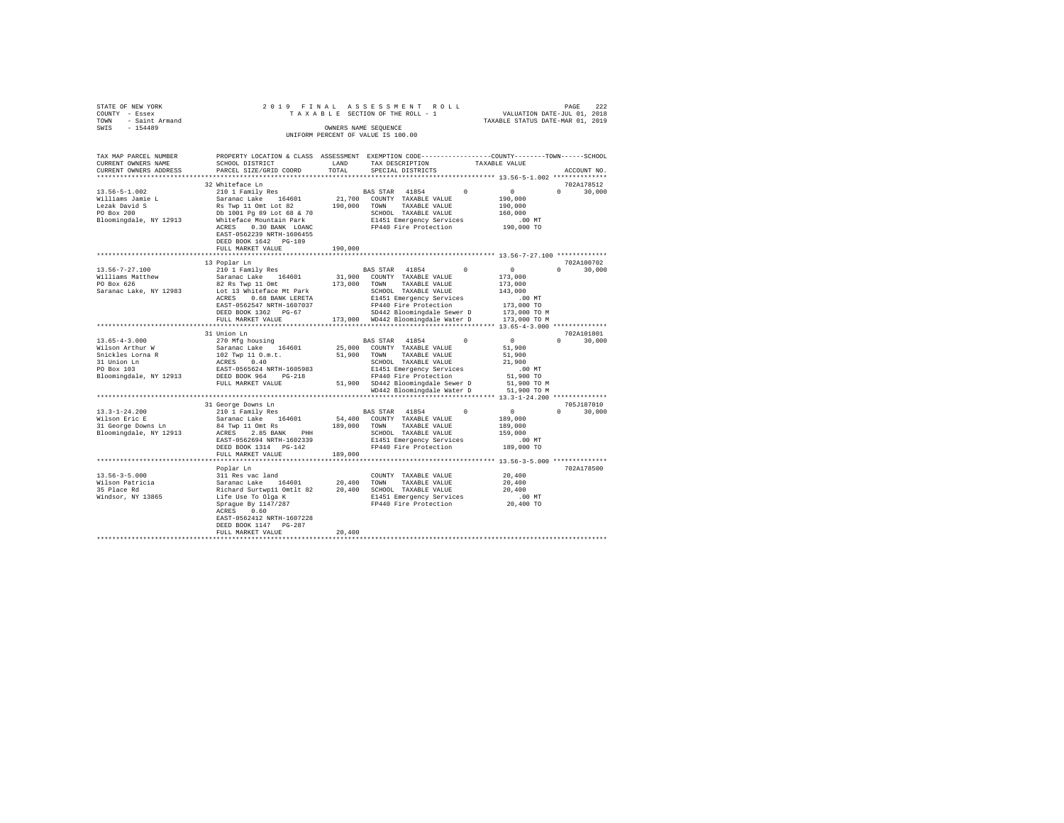| STATE OF NEW YORK<br>COUNTY - Essex             |                                                                                                                                                                                                                                                                                                                                                                                                                                                                           |         |                                                                                                  |                                                       |                    |
|-------------------------------------------------|---------------------------------------------------------------------------------------------------------------------------------------------------------------------------------------------------------------------------------------------------------------------------------------------------------------------------------------------------------------------------------------------------------------------------------------------------------------------------|---------|--------------------------------------------------------------------------------------------------|-------------------------------------------------------|--------------------|
| TOWN - Saint Armand                             |                                                                                                                                                                                                                                                                                                                                                                                                                                                                           |         |                                                                                                  |                                                       |                    |
| SWIS - 154489                                   |                                                                                                                                                                                                                                                                                                                                                                                                                                                                           |         |                                                                                                  |                                                       |                    |
|                                                 |                                                                                                                                                                                                                                                                                                                                                                                                                                                                           |         | UNIFORM PERCENT OF VALUE IS 100.00                                                               |                                                       |                    |
|                                                 |                                                                                                                                                                                                                                                                                                                                                                                                                                                                           |         |                                                                                                  |                                                       |                    |
|                                                 |                                                                                                                                                                                                                                                                                                                                                                                                                                                                           |         |                                                                                                  |                                                       |                    |
| TAX MAP PARCEL NUMBER                           |                                                                                                                                                                                                                                                                                                                                                                                                                                                                           |         | PROPERTY LOCATION & CLASS ASSESSMENT EXEMPTION CODE----------------COUNTY-------TOWN------SCHOOL |                                                       |                    |
| CURRENT OWNERS NAME                             | SCHOOL DISTRICT                                                                                                                                                                                                                                                                                                                                                                                                                                                           | LAND    | TAX DESCRIPTION TAXABLE VALUE                                                                    |                                                       |                    |
| CURRENT OWNERS ADDRESS                          | PARCEL SIZE/GRID COORD                                                                                                                                                                                                                                                                                                                                                                                                                                                    | TOTAL   | SPECIAL DISTRICTS                                                                                |                                                       | ACCOUNT NO.        |
|                                                 |                                                                                                                                                                                                                                                                                                                                                                                                                                                                           |         |                                                                                                  |                                                       |                    |
|                                                 | 32 Whiteface Ln                                                                                                                                                                                                                                                                                                                                                                                                                                                           |         |                                                                                                  |                                                       | 702A178512         |
| 13.56-5-1.002                                   |                                                                                                                                                                                                                                                                                                                                                                                                                                                                           |         |                                                                                                  | $\sim$ 0                                              | $0 \t 30,000$      |
|                                                 |                                                                                                                                                                                                                                                                                                                                                                                                                                                                           |         |                                                                                                  | 190,000                                               |                    |
| Williams Jamie L<br>Lezak David S<br>PO Box 200 |                                                                                                                                                                                                                                                                                                                                                                                                                                                                           |         |                                                                                                  | 190,000                                               |                    |
|                                                 |                                                                                                                                                                                                                                                                                                                                                                                                                                                                           |         |                                                                                                  | 160,000                                               |                    |
| Bloomingdale, NY 12913                          |                                                                                                                                                                                                                                                                                                                                                                                                                                                                           |         | E1451 Emergency Services .00 MT<br>FP440 Fire Protection .000 TO                                 |                                                       |                    |
|                                                 | ACRES 0.30 BANK LOANC                                                                                                                                                                                                                                                                                                                                                                                                                                                     |         |                                                                                                  |                                                       |                    |
|                                                 | EAST-0562239 NRTH-1606455                                                                                                                                                                                                                                                                                                                                                                                                                                                 |         |                                                                                                  |                                                       |                    |
|                                                 | DEED BOOK 1642 PG-189                                                                                                                                                                                                                                                                                                                                                                                                                                                     |         |                                                                                                  |                                                       |                    |
|                                                 | FULL MARKET VALUE                                                                                                                                                                                                                                                                                                                                                                                                                                                         | 190,000 |                                                                                                  |                                                       |                    |
|                                                 |                                                                                                                                                                                                                                                                                                                                                                                                                                                                           |         |                                                                                                  |                                                       |                    |
|                                                 | 13 Poplar Ln                                                                                                                                                                                                                                                                                                                                                                                                                                                              |         |                                                                                                  |                                                       | 702A100702         |
| 13.56-7-27.100                                  |                                                                                                                                                                                                                                                                                                                                                                                                                                                                           |         |                                                                                                  |                                                       | 30,000<br>$\Omega$ |
| Williams Matthew                                |                                                                                                                                                                                                                                                                                                                                                                                                                                                                           |         |                                                                                                  |                                                       |                    |
| PO Box 626                                      |                                                                                                                                                                                                                                                                                                                                                                                                                                                                           |         |                                                                                                  |                                                       |                    |
| Saranac Lake, NY 12983                          |                                                                                                                                                                                                                                                                                                                                                                                                                                                                           |         |                                                                                                  |                                                       |                    |
|                                                 |                                                                                                                                                                                                                                                                                                                                                                                                                                                                           |         |                                                                                                  |                                                       |                    |
|                                                 |                                                                                                                                                                                                                                                                                                                                                                                                                                                                           |         |                                                                                                  |                                                       |                    |
|                                                 |                                                                                                                                                                                                                                                                                                                                                                                                                                                                           |         |                                                                                                  |                                                       |                    |
|                                                 | $\begin{tabular}{l c c c} \multicolumn{1}{c}{13\tspace Polar} & \multicolumn{1}{c}{210\tspace 1 for}} & \multicolumn{1}{c}{\texttt{BNS}} & \multicolumn{1}{c}{\texttt{BNS}} & \multicolumn{1}{c}{\texttt{BNS}} & \multicolumn{1}{c}{\texttt{0}} & \multicolumn{1}{c}{\texttt{1}} & \multicolumn{1}{c}{\texttt{2}} & \multicolumn{1}{c}{\texttt{2}} & \multicolumn{1}{c}{\texttt{2}} & \multicolumn{1}{c}{\texttt{2}} & \multicolumn{1}{c}{\texttt{2}} & \multicolumn{1}{$ |         |                                                                                                  |                                                       |                    |
|                                                 |                                                                                                                                                                                                                                                                                                                                                                                                                                                                           |         |                                                                                                  |                                                       |                    |
|                                                 | 31 Union Ln                                                                                                                                                                                                                                                                                                                                                                                                                                                               |         |                                                                                                  |                                                       | 702A101801         |
| $13.65 - 4 - 3.000$                             | 270 Mfg housing<br>$\begin{tabular}{lcccccc} 270 Mfg housing & & & & & BAS STAR & 41854 & 0 & 0\\ Saranac Lake & 164601 & 25,000 & COUNTY TAXABLE VALUE & & & & 51,900 \end{tabular}$                                                                                                                                                                                                                                                                                     |         |                                                                                                  |                                                       | $0 \t 30.000$      |
| Wilson Arthur W                                 |                                                                                                                                                                                                                                                                                                                                                                                                                                                                           |         |                                                                                                  |                                                       |                    |
|                                                 |                                                                                                                                                                                                                                                                                                                                                                                                                                                                           |         |                                                                                                  | 51,900                                                |                    |
|                                                 | 91.1801 ALLIN 10.181 ACRES 10.40 ACRES 10.40 ACRES 10.40 ACRES 10.40 ACRES 10.40 ACRES 10.40 ACRES 10.40 ACRES 10.40 ACRES 10.40 ACRES 10.40 ACRES 10.40 ACRES 10.40 ACRES 10.40 ACRES 10.40 ACRES 10.40 ACRES 10.40 ACRES 10.                                                                                                                                                                                                                                            |         |                                                                                                  | 21,900                                                |                    |
|                                                 |                                                                                                                                                                                                                                                                                                                                                                                                                                                                           |         |                                                                                                  | .00 MT                                                |                    |
|                                                 |                                                                                                                                                                                                                                                                                                                                                                                                                                                                           |         |                                                                                                  | 51,900 TO                                             |                    |
|                                                 | FULL MARKET VALUE                                                                                                                                                                                                                                                                                                                                                                                                                                                         |         | 51,900 SD442 Bloomingdale Sewer D                                                                | 51,900 TO M                                           |                    |
|                                                 |                                                                                                                                                                                                                                                                                                                                                                                                                                                                           |         | WD442 Bloomingdale Water D 51,900 TO M                                                           |                                                       |                    |
|                                                 |                                                                                                                                                                                                                                                                                                                                                                                                                                                                           |         |                                                                                                  |                                                       |                    |
|                                                 | 31 George Downs Ln<br>210 1 Family Res                                                                                                                                                                                                                                                                                                                                                                                                                                    |         |                                                                                                  |                                                       | 705J187010         |
| $13.3 - 1 - 24.200$                             | 210 1 Family Res<br>Saranac Lake 164601                                                                                                                                                                                                                                                                                                                                                                                                                                   |         | BAS STAR 41854 (<br>54,400 COUNTY TAXABLE VALUE                                                  | $\begin{matrix} 0 & \cdots & \cdots & 0 \end{matrix}$ | $0 \t 30,000$      |
| Wilson Eric E                                   |                                                                                                                                                                                                                                                                                                                                                                                                                                                                           |         |                                                                                                  | 189,000                                               |                    |
| 31 George Downs Ln                              |                                                                                                                                                                                                                                                                                                                                                                                                                                                                           |         |                                                                                                  | 189,000                                               |                    |
|                                                 |                                                                                                                                                                                                                                                                                                                                                                                                                                                                           |         |                                                                                                  | 159,000                                               |                    |
|                                                 | 2. COMMAND MANUS ACRES 2.85 BANK PHH 2007/000 SCHOOL TAXABLE VALUE<br>EAST-0562694 RATE-1602339 EAST 2.85 BANK PHH 200339 E1451 EMERGENCY SETYCLES<br>EAST-0562694 RATE-1602339 E1440 Fire Protection                                                                                                                                                                                                                                                                     |         |                                                                                                  | .00MT                                                 |                    |
|                                                 |                                                                                                                                                                                                                                                                                                                                                                                                                                                                           |         |                                                                                                  | 189,000 TO                                            |                    |
|                                                 | FULL MARKET VALUE                                                                                                                                                                                                                                                                                                                                                                                                                                                         | 189,000 |                                                                                                  |                                                       |                    |
|                                                 |                                                                                                                                                                                                                                                                                                                                                                                                                                                                           |         |                                                                                                  |                                                       |                    |
|                                                 | Poplar Ln                                                                                                                                                                                                                                                                                                                                                                                                                                                                 |         |                                                                                                  |                                                       | 702A178500         |
| $13.56 - 3 - 5.000$                             | 311 Res vac land                                                                                                                                                                                                                                                                                                                                                                                                                                                          |         | COUNTY TAXABLE VALUE                                                                             | 20,400                                                |                    |
| Wilson Patricia<br>35 Place Rd                  | $\begin{tabular}{l c c c c c} \hline $11$ Re\space vac\space land & & & & & & & & & & & 20,400 \\ $5$ are a area and & 164601 & & 20,400 & TONN & TAXABLE\space VALUE & & 20,400 \\ \hline \end{tabular} \hline \begin{tabular}{l c c c c c c} \hline $20,400$ & & 700NN & TAXABLE\space VALUE & & 20,400 \\ \hline \end{tabular} \hline \begin{tabular}{l c c c c} \hline $20,400$ & & 20,400 & SCHOD, TAXABLE\$                                                         |         |                                                                                                  |                                                       |                    |
|                                                 |                                                                                                                                                                                                                                                                                                                                                                                                                                                                           |         |                                                                                                  |                                                       |                    |
| Windsor, NY 13865                               |                                                                                                                                                                                                                                                                                                                                                                                                                                                                           |         |                                                                                                  |                                                       |                    |
|                                                 |                                                                                                                                                                                                                                                                                                                                                                                                                                                                           |         |                                                                                                  |                                                       |                    |
|                                                 | ACRES 0.60                                                                                                                                                                                                                                                                                                                                                                                                                                                                |         |                                                                                                  |                                                       |                    |
|                                                 | EAST-0562412 NRTH-1607228                                                                                                                                                                                                                                                                                                                                                                                                                                                 |         |                                                                                                  |                                                       |                    |
|                                                 | DEED BOOK 1147 PG-287                                                                                                                                                                                                                                                                                                                                                                                                                                                     |         |                                                                                                  |                                                       |                    |
|                                                 | FULL MARKET VALUE                                                                                                                                                                                                                                                                                                                                                                                                                                                         | 20,400  |                                                                                                  |                                                       |                    |
|                                                 |                                                                                                                                                                                                                                                                                                                                                                                                                                                                           |         |                                                                                                  |                                                       |                    |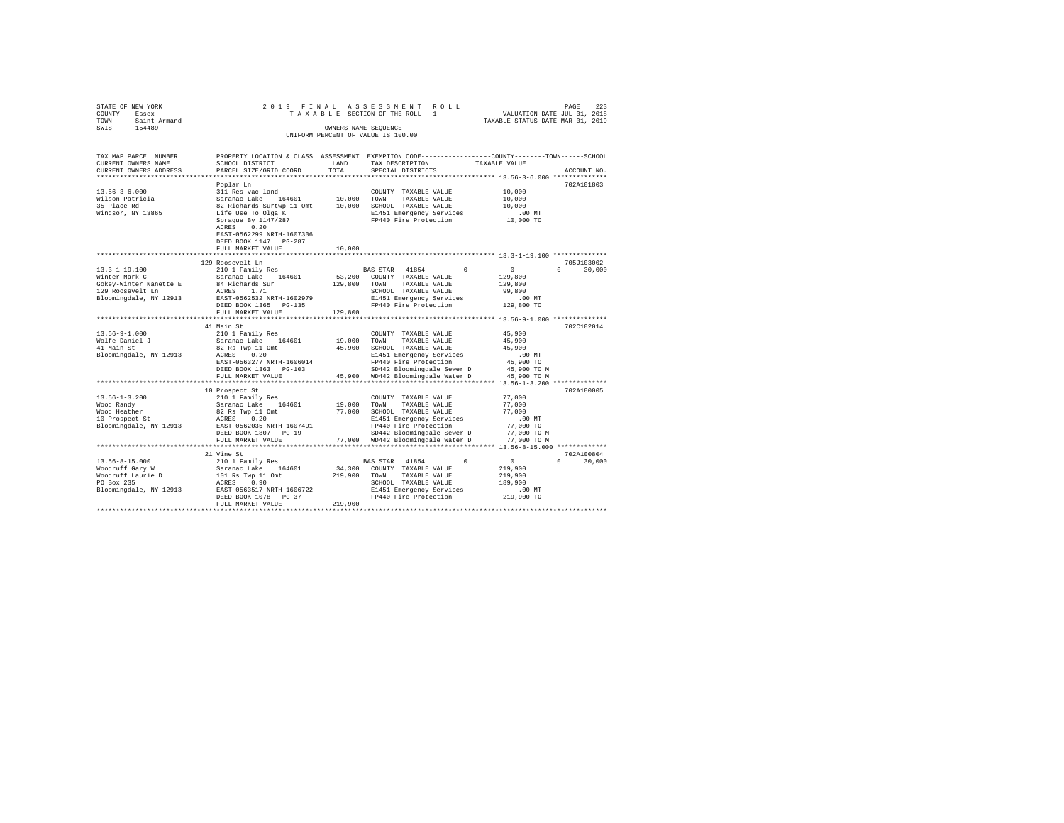| STATE OF NEW YORK<br>COUNTY - Essex<br>- Saint Armand<br>TOWN | 2019 FINAL                                                                                                      |                       | ASSESSMENT ROLL<br>TAXABLE SECTION OF THE ROLL - 1                                              | VALUATION DATE-JUL 01, 2018<br>TAXABLE STATUS DATE-MAR 01, 2019 | 223<br>PAGE        |
|---------------------------------------------------------------|-----------------------------------------------------------------------------------------------------------------|-----------------------|-------------------------------------------------------------------------------------------------|-----------------------------------------------------------------|--------------------|
| $-154489$<br>SWIS                                             |                                                                                                                 |                       | OWNERS NAME SEOUENCE<br>UNIFORM PERCENT OF VALUE IS 100.00                                      |                                                                 |                    |
| TAX MAP PARCEL NUMBER                                         |                                                                                                                 |                       | PROPERTY LOCATION & CLASS ASSESSMENT EXEMPTION CODE---------------COUNTY-------TOWN------SCHOOL |                                                                 |                    |
| CURRENT OWNERS NAME                                           | SCHOOL DISTRICT                                                                                                 | LAND                  | TAX DESCRIPTION                                                                                 | TAXABLE VALUE                                                   |                    |
| CURRENT OWNERS ADDRESS<br>**********************              | PARCEL SIZE/GRID COORD<br>*************************                                                             | TOTAL<br>************ | SPECIAL DISTRICTS                                                                               |                                                                 | ACCOUNT NO.        |
|                                                               | Poplar Ln                                                                                                       |                       |                                                                                                 |                                                                 | 702A101803         |
| $13.56 - 3 - 6.000$                                           | 311 Res vac land                                                                                                |                       | COUNTY TAXABLE VALUE                                                                            | 10,000                                                          |                    |
| Wilson Patricia                                               | Saranac Lake<br>164601                                                                                          | 10,000 TOWN           | TAXABLE VALUE                                                                                   | 10,000                                                          |                    |
| 35 Place Rd                                                   | 82 Richards Surtwp 11 Omt                                                                                       |                       | 10,000 SCHOOL TAXABLE VALUE                                                                     | 10,000                                                          |                    |
| Windsor, NY 13865                                             | Life Use To Olga K                                                                                              |                       | E1451 Emergency Services                                                                        | $.00$ MT                                                        |                    |
|                                                               | Sprague By 1147/287<br>0.20<br>ACRES<br>EAST-0562299 NRTH-1607306<br>DEED BOOK 1147 PG-287<br>FULL MARKET VALUE | 10,000                | FP440 Fire Protection                                                                           | 10,000 TO                                                       |                    |
|                                                               |                                                                                                                 |                       |                                                                                                 |                                                                 |                    |
|                                                               | 129 Roosevelt Ln                                                                                                |                       |                                                                                                 |                                                                 | 705J103002         |
| $13.3 - 1 - 19.100$                                           | 210 1 Family Res                                                                                                |                       | BAS STAR 41854<br>$^{\circ}$                                                                    | $\overline{0}$                                                  | 30,000<br>$\Omega$ |
| Winter Mark C                                                 | Saranac Lake 164601                                                                                             | 53,200                | COUNTY TAXABLE VALUE                                                                            | 129,800                                                         |                    |
| Gokey-Winter Nanette E                                        | 84 Richards Sur                                                                                                 | 129,800               | TAXABLE VALUE<br>TOWN                                                                           | 129,800                                                         |                    |
| 129 Roosevelt Ln                                              | ACRES 1.71                                                                                                      |                       | SCHOOL TAXABLE VALUE                                                                            | 99,800                                                          |                    |
| Bloomingdale, NY 12913                                        | EAST-0562532 NRTH-1602979                                                                                       |                       | E1451 Emergency Services                                                                        | $.00$ MT                                                        |                    |
|                                                               | DEED BOOK 1365 PG-135                                                                                           |                       | FP440 Fire Protection                                                                           | 129,800 TO                                                      |                    |
|                                                               | FULL MARKET VALUE                                                                                               | 129,800               | ************************** 13.56-9-1.000 **************                                         |                                                                 |                    |
|                                                               | 41 Main St                                                                                                      |                       |                                                                                                 |                                                                 | 702C102014         |
| $13.56 - 9 - 1.000$                                           | 210 1 Family Res                                                                                                |                       | COUNTY TAXABLE VALUE                                                                            | 45,900                                                          |                    |
| Wolfe Daniel J                                                | Saranac Lake 164601                                                                                             | 19,000 TOWN           | TAXABLE VALUE                                                                                   | 45,900                                                          |                    |
| 41 Main St                                                    | 82 Rs Twp 11 Omt                                                                                                |                       | 45,900 SCHOOL TAXABLE VALUE                                                                     | 45,900                                                          |                    |
| Bloomingdale, NY 12913                                        | ACRES 0.20                                                                                                      |                       | E1451 Emergency Services                                                                        | $.00$ MT                                                        |                    |
|                                                               | EAST-0563277 NRTH-1606014                                                                                       |                       | FP440 Fire Protection                                                                           | 45,900 TO                                                       |                    |
|                                                               | DEED BOOK 1363 PG-103                                                                                           |                       | SD442 Bloomingdale Sewer D                                                                      | 45,900 TO M                                                     |                    |
|                                                               | FULL MARKET VALUE                                                                                               |                       | 45,900 WD442 Bloomingdale Water D                                                               | 45,900 TO M                                                     |                    |
|                                                               | ***********************                                                                                         |                       |                                                                                                 |                                                                 |                    |
| $13.56 - 1 - 3.200$                                           | 10 Prospect St<br>210 1 Family Res                                                                              |                       | COUNTY TAXABLE VALUE                                                                            | 77,000                                                          | 702A180005         |
| Wood Randy                                                    | Saranac Lake 164601                                                                                             | 19,000 TOWN           | TAXABLE VALUE                                                                                   | 77,000                                                          |                    |
| Wood Heather                                                  | 82 Rs Twp 11 Omt                                                                                                |                       | 77,000 SCHOOL TAXABLE VALUE                                                                     | 77,000                                                          |                    |
| 10 Prospect St                                                | ACRES 0.20                                                                                                      |                       | E1451 Emergency Services                                                                        | .00MT                                                           |                    |
| Bloomingdale, NY 12913                                        | EAST-0562035 NRTH-1607491                                                                                       |                       | FP440 Fire Protection                                                                           | 77,000 TO                                                       |                    |
|                                                               | DEED BOOK 1807 PG-19                                                                                            |                       | SD442 Bloomingdale Sewer D                                                                      | 77,000 TO M                                                     |                    |
|                                                               | FULL MARKET VALUE                                                                                               |                       | 77,000 WD442 Bloomingdale Water D                                                               | 77,000 TO M                                                     |                    |
|                                                               | ***********************                                                                                         |                       |                                                                                                 |                                                                 |                    |
|                                                               | 21 Vine St                                                                                                      |                       |                                                                                                 |                                                                 | 702A100804         |
| 13.56-8-15.000                                                | 210 1 Family Res                                                                                                |                       | 41854<br>$\Omega$<br><b>BAS STAR</b>                                                            | $\circ$                                                         | $\Omega$<br>30,000 |
| Woodruff Gary W                                               | Saranac Lake 164601                                                                                             | 34,300                | COUNTY TAXABLE VALUE                                                                            | 219,900                                                         |                    |
| Woodruff Laurie D<br>PO Box 235                               | 101 Rs Twp 11 Omt<br>ACRES 0.90                                                                                 | 219,900               | TOWN<br>TAXABLE VALUE<br>SCHOOL TAXABLE VALUE                                                   | 219,900<br>189,900                                              |                    |
| Bloomingdale, NY 12913                                        | EAST-0563517 NRTH-1606722                                                                                       |                       | E1451 Emergency Services                                                                        | .00MT                                                           |                    |
|                                                               | DEED BOOK 1078 PG-37                                                                                            |                       | FP440 Fire Protection                                                                           | 219,900 TO                                                      |                    |
|                                                               | FULL MARKET VALUE                                                                                               | 219,900               |                                                                                                 |                                                                 |                    |
|                                                               |                                                                                                                 |                       |                                                                                                 |                                                                 |                    |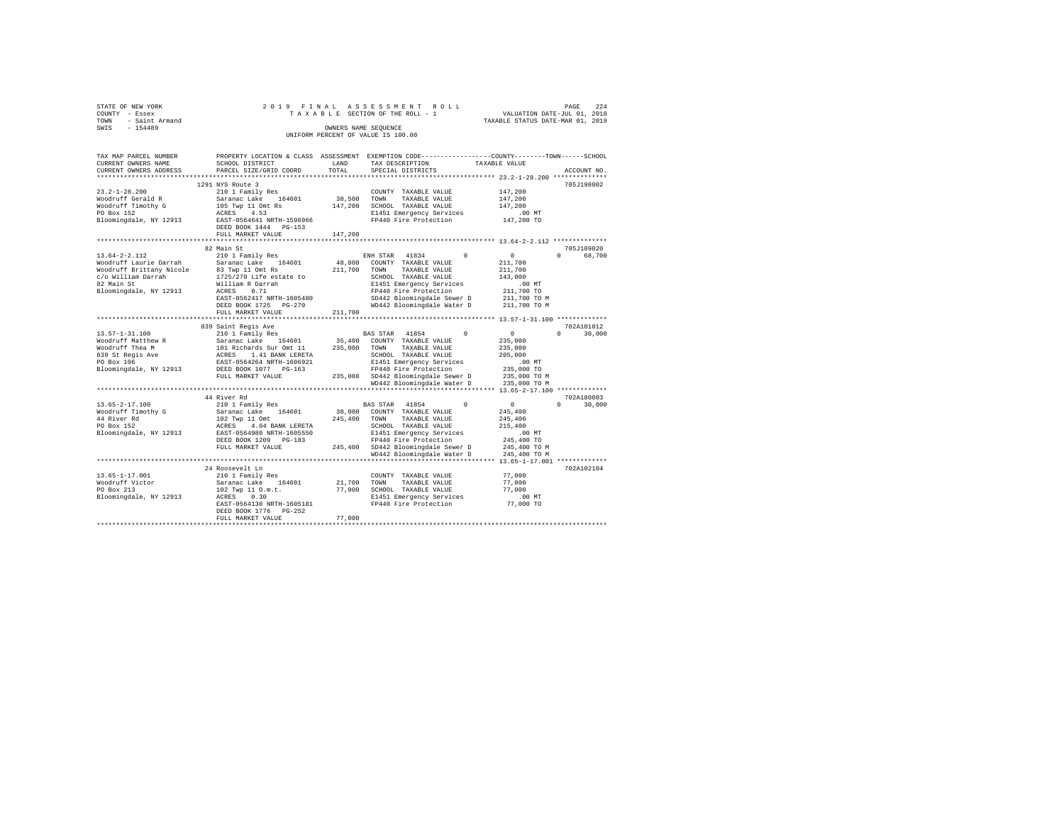| STATE OF NEW YORK<br>COUNTY - Essex<br>TOWN - Saint Armand<br>SWIS - 154489                                                                                                                                                                                                                                                      |                                                                                                 | OWNERS NAME SEQUENCE | 2019 FINAL ASSESSMENT ROLL<br>PAGE 224 A S S E S S M E N T R O L L<br>T A X A B L E SECTION OF THE ROLL - 1 VALUATION DATE-JUL 01, 2019<br>TAXABLE STATUS DATE-MAR 01, 2019<br>UNIFORM PERCENT OF VALUE IS 100.00 |                                                   | PAGE<br>224   |
|----------------------------------------------------------------------------------------------------------------------------------------------------------------------------------------------------------------------------------------------------------------------------------------------------------------------------------|-------------------------------------------------------------------------------------------------|----------------------|-------------------------------------------------------------------------------------------------------------------------------------------------------------------------------------------------------------------|---------------------------------------------------|---------------|
| TAX MAP PARCEL NUMBER<br>CURRENT OWNERS NAME<br>CURRENT OWNERS ADDRESS                                                                                                                                                                                                                                                           | PROPERTY LOCATION & CLASS ASSESSMENT EXEMPTION CODE---------------COUNTY-------TOWN------SCHOOL |                      | TAX DESCRIPTION TAXABLE VALUE<br>SPECIAL DISTRICTS                                                                                                                                                                |                                                   | ACCOUNT NO.   |
|                                                                                                                                                                                                                                                                                                                                  | 1291 NYS Route 3                                                                                |                      |                                                                                                                                                                                                                   |                                                   | 705J198002    |
|                                                                                                                                                                                                                                                                                                                                  | 210 1 Family Res<br>DEED BOOK 1444 PG-153<br>FULL MARKET VALUE                                  | 147,200              |                                                                                                                                                                                                                   |                                                   |               |
|                                                                                                                                                                                                                                                                                                                                  |                                                                                                 |                      |                                                                                                                                                                                                                   |                                                   |               |
|                                                                                                                                                                                                                                                                                                                                  |                                                                                                 |                      |                                                                                                                                                                                                                   |                                                   | 705J189020    |
|                                                                                                                                                                                                                                                                                                                                  | FULL MARKET VALUE 211,700                                                                       |                      |                                                                                                                                                                                                                   |                                                   | 0 68,700      |
|                                                                                                                                                                                                                                                                                                                                  |                                                                                                 |                      |                                                                                                                                                                                                                   |                                                   |               |
|                                                                                                                                                                                                                                                                                                                                  | 839 Saint Regis Ave                                                                             |                      |                                                                                                                                                                                                                   |                                                   | 702A101012    |
|                                                                                                                                                                                                                                                                                                                                  |                                                                                                 |                      |                                                                                                                                                                                                                   |                                                   | $0 \t 30,000$ |
|                                                                                                                                                                                                                                                                                                                                  |                                                                                                 |                      |                                                                                                                                                                                                                   |                                                   |               |
| $\begin{tabular}{l c c c c c} \hline & 44 River Rd & & 44 River Rd & & 44 River Rd & & 44 River Rd & & 45.05--2--17.100 & & 44 River Rd & & 45.05--2--17.100 & & 45.05--2--17.100 & & 45.05--2--17.100 & & 45.05--2--17.100 & & 45.05--2--17.100 & & 45.05--2--17.100 & & 45.05--2--17.100 & & 45.05--2--17.100 & & 45.05--2--1$ |                                                                                                 |                      |                                                                                                                                                                                                                   |                                                   |               |
|                                                                                                                                                                                                                                                                                                                                  |                                                                                                 |                      |                                                                                                                                                                                                                   |                                                   |               |
|                                                                                                                                                                                                                                                                                                                                  | 24 Roosevelt Ln<br>DEED BOOK 1776 PG-252<br>FULL MARKET VALUE                                   | 77,000               |                                                                                                                                                                                                                   | 77,000<br>77,000<br>77,000<br>00 MT.<br>77,000 TO | 702A102104    |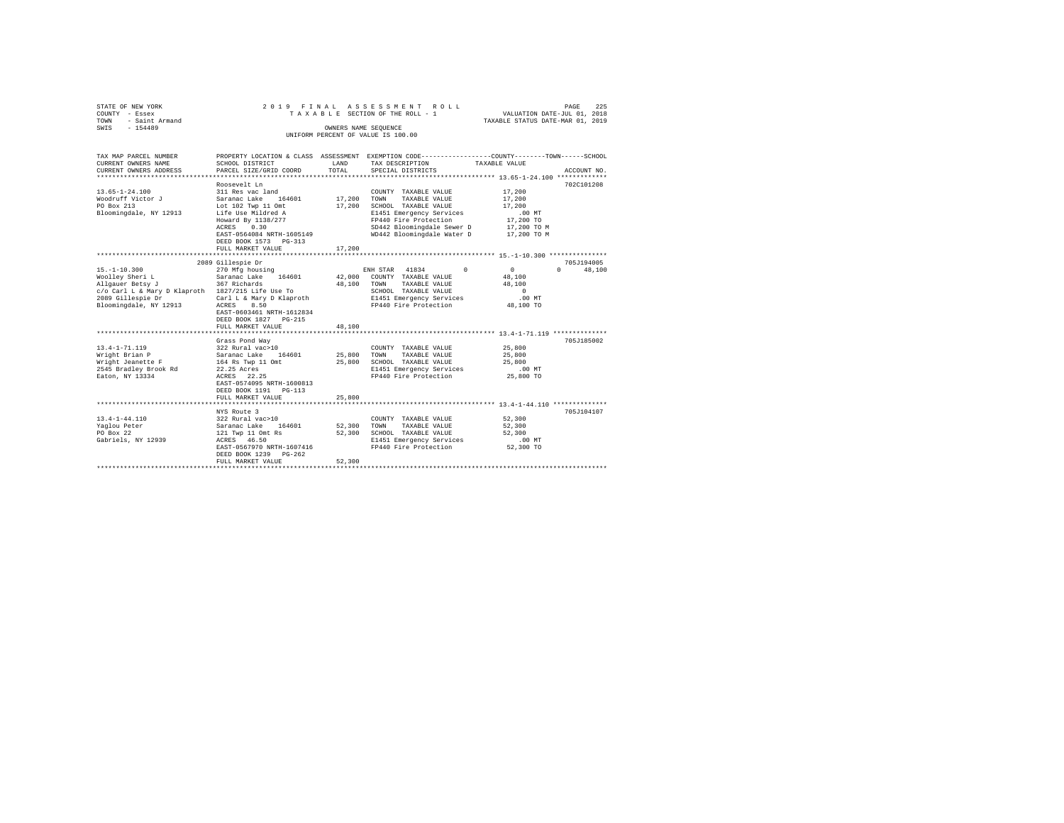| STATE OF NEW YORK<br>- Essex<br>COUNTY<br>- Saint Armand<br>TOWN<br>$-154489$<br>SWIS                    |                                                                                                                                                                                                                       | OWNERS NAME SEQUENCE       | 2019 FINAL ASSESSMENT ROLL<br>UNIFORM PERCENT OF VALUE IS 100.00                                                                                                                                   | 225<br>PAGE<br>TAXABLE SECTION OF THE ROLL - 1 WALUATION DATE-JUL 01, 2018<br>TAXABLE STATUS DATE-MAR 01, 2019 |
|----------------------------------------------------------------------------------------------------------|-----------------------------------------------------------------------------------------------------------------------------------------------------------------------------------------------------------------------|----------------------------|----------------------------------------------------------------------------------------------------------------------------------------------------------------------------------------------------|----------------------------------------------------------------------------------------------------------------|
| TAX MAP PARCEL NUMBER<br>CURRENT OWNERS NAME<br>CURRENT OWNERS ADDRESS<br>****************************** | PROPERTY LOCATION & CLASS ASSESSMENT<br>SCHOOL DISTRICT<br>PARCEL SIZE/GRID COORD                                                                                                                                     | LAND<br>TOTAL              | TAX DESCRIPTION<br>SPECIAL DISTRICTS                                                                                                                                                               | EXEMPTION CODE-----------------COUNTY-------TOWN------SCHOOL<br>TAXABLE VALUE<br>ACCOUNT NO.                   |
| $13.65 - 1 - 24.100$<br>Woodruff Victor J<br>PO Box 213<br>Bloomingdale, NY 12913                        | Roosevelt Ln<br>311 Res vac land<br>Saranac Lake 164601<br>Lot 102 Twp 11 Omt<br>Life Use Mildred A<br>Howard By 1138/277<br>0.30<br>ACRES<br>EAST-0564084 NRTH-1605149<br>DEED BOOK 1573 PG-313<br>FULL MARKET VALUE | 17,200<br>17,200<br>17,200 | COUNTY TAXABLE VALUE<br>TOWN<br>TAXABLE VALUE<br>SCHOOL TAXABLE VALUE<br>E1451 Emergency Services<br>FP440 Fire Protection<br>SD442 Bloomingdale Sewer D 17,200 TO M<br>WD442 Bloomingdale Water D | 702C101208<br>17,200<br>17,200<br>17,200<br>.00MT<br>17,200 TO<br>17,200 TO M                                  |

|                                                   | 2089 Gillespie Dr                                                   |        |      |                      |                                 |              | 705J194005         |
|---------------------------------------------------|---------------------------------------------------------------------|--------|------|----------------------|---------------------------------|--------------|--------------------|
| $15. -1 - 10.300$                                 | 270 Mfg housing                                                     |        |      |                      | ENH STAR 41834 0                | $\mathbf{0}$ | $\Omega$<br>48,100 |
|                                                   | Woolley Sheri Land Saranac Lake 164601 142,000 COUNTY TAXABLE VALUE |        |      |                      |                                 | 48,100       |                    |
| Allgauer Betsy J                                  | 367 Richards                                                        | 48,100 | TOWN |                      | TAXABLE VALUE                   | 48,100       |                    |
| c/o Carl L & Mary D Klaproth 1827/215 Life Use To |                                                                     |        |      |                      | SCHOOL TAXABLE VALUE            | $\Omega$     |                    |
| 2089 Gillespie Dr                                 | Carl L & Mary D Klaproth                                            |        |      |                      | E1451 Emergency Services        | $.00$ MT     |                    |
| Bloomingdale, NY 12913 ACRES 8.50                 |                                                                     |        |      |                      | FP440 Fire Protection 48,100 TO |              |                    |
|                                                   | EAST-0603461 NRTH-1612834                                           |        |      |                      |                                 |              |                    |
|                                                   | DEED BOOK 1827 PG-215                                               |        |      |                      |                                 |              |                    |
|                                                   | 48,100<br>FULL MARKET VALUE                                         |        |      |                      |                                 |              |                    |
|                                                   |                                                                     |        |      |                      |                                 |              |                    |
|                                                   | Grass Pond Wav                                                      |        |      |                      |                                 |              | 705J185002         |
| $13.4 - 1 - 71.119$                               | 322 Rural vac>10                                                    |        |      |                      | COUNTY TAXABLE VALUE            | 25,800       |                    |
|                                                   |                                                                     |        | TOWN |                      | TAXABLE VALUE                   | 25,800       |                    |
| Wright Jeanette F                                 | 164 Rs Twp 11 Omt 25,800                                            |        |      |                      | SCHOOL TAXABLE VALUE            | 25,800       |                    |
| 2545 Bradley Brook Rd 22.25 Acres                 |                                                                     |        |      |                      | E1451 Emergency Services .00 MT |              |                    |
| Eaton, NY 13334                                   | ACRES 22.25                                                         |        |      |                      | FP440 Fire Protection 25,800 TO |              |                    |
|                                                   | EAST-0574095 NRTH-1600813                                           |        |      |                      |                                 |              |                    |
|                                                   | DEED BOOK 1191   PG-113                                             |        |      |                      |                                 |              |                    |
|                                                   | FULL MARKET VALUE                                                   | 25,800 |      |                      |                                 |              |                    |
|                                                   |                                                                     |        |      |                      |                                 |              |                    |
|                                                   | NYS Route 3                                                         |        |      |                      |                                 |              | 705J104107         |
| $13.4 - 1 - 44.110$                               | 322 Rural vac>10                                                    |        |      |                      | COUNTY TAXABLE VALUE            | 52,300       |                    |
| Yaglou Peter                                      | Saranac Lake 164601 52,300                                          |        | TOWN |                      | TAXABLE VALUE                   | 52,300       |                    |
| PO Box 22                                         | 121 Twp 11 Omt Rs 52,300                                            |        |      | SCHOOL TAXABLE VALUE |                                 | 52,300       |                    |
| Gabriels, NY 12939                                | ACRES 46.50                                                         |        |      |                      | E1451 Emergency Services        | $.00$ MT     |                    |
|                                                   | EAST-0567970 NRTH-1607416                                           |        |      |                      | FP440 Fire Protection           | 52,300 TO    |                    |
|                                                   | DEED BOOK 1239 PG-262                                               |        |      |                      |                                 |              |                    |
|                                                   | FULL MARKET VALUE                                                   | 52,300 |      |                      |                                 |              |                    |
|                                                   |                                                                     |        |      |                      |                                 |              |                    |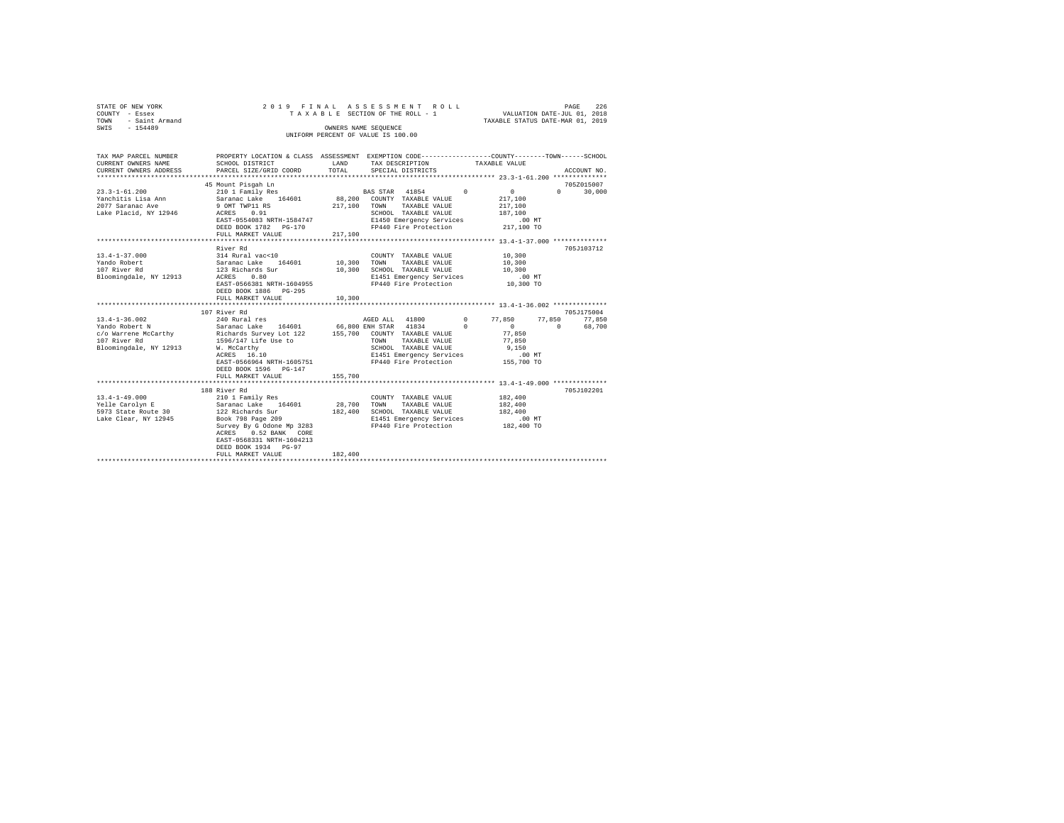| STATE OF NEW YORK<br>COUNTY - Essex<br>- Saint Armand<br>TOWN | ASSESSMENT ROLL<br>2019 FINAL<br>TAXABLE SECTION OF THE ROLL - 1                                                     |         |                                                   |          | PAGE<br>226<br>VALUATION DATE-JUL 01, 2018<br>TAXABLE STATUS DATE-MAR 01, 2019 |          |               |  |
|---------------------------------------------------------------|----------------------------------------------------------------------------------------------------------------------|---------|---------------------------------------------------|----------|--------------------------------------------------------------------------------|----------|---------------|--|
| SWIS - 154489                                                 |                                                                                                                      |         | OWNERS NAME SEQUENCE                              |          |                                                                                |          |               |  |
|                                                               |                                                                                                                      |         | UNIFORM PERCENT OF VALUE IS 100.00                |          |                                                                                |          |               |  |
|                                                               |                                                                                                                      |         |                                                   |          |                                                                                |          |               |  |
|                                                               | TAX MAP PARCEL NUMBER PROPERTY LOCATION & CLASS ASSESSMENT EXEMPTION CODE--------------COUNTY-------TOWN------SCHOOL |         |                                                   |          |                                                                                |          |               |  |
| CURRENT OWNERS NAME                                           | SCHOOL DISTRICT                                                                                                      | LAND    | TAX DESCRIPTION                                   |          | TAXABLE VALUE                                                                  |          |               |  |
| CURRENT OWNERS ADDRESS                                        | PARCEL SIZE/GRID COORD                                                                                               | TOTAL   | SPECIAL DISTRICTS                                 |          |                                                                                |          | ACCOUNT NO.   |  |
|                                                               |                                                                                                                      |         |                                                   |          |                                                                                |          |               |  |
|                                                               | 45 Mount Pisqah Ln                                                                                                   |         |                                                   |          |                                                                                |          | 705Z015007    |  |
| $23.3 - 1 - 61.200$                                           | 210 1 Family Res<br>Saranac Lake 164601                                                                              |         | BAS STAR 41854 0                                  |          | $\sim$ 0 $\sim$                                                                | $\Omega$ | 30,000        |  |
| Yanchitis Lisa Ann<br>2077 Saranac Ave                        | 9 OMT TWP11 RS                                                                                                       | 217,100 | 88,200 COUNTY TAXABLE VALUE<br>TOWN TAXABLE VALUE |          | 217,100                                                                        |          |               |  |
| Lake Placid, NY 12946                                         | ACRES 0.91                                                                                                           |         | SCHOOL TAXABLE VALUE                              |          | 217,100<br>187,100                                                             |          |               |  |
|                                                               | EAST-0554083 NRTH-1584747                                                                                            |         | E1450 Emergency Services                          |          | .00 MT                                                                         |          |               |  |
|                                                               | DEED BOOK 1782 PG-170                                                                                                |         | FP440 Fire Protection                             |          | 217,100 TO                                                                     |          |               |  |
|                                                               | FULL MARKET VALUE                                                                                                    | 217,100 |                                                   |          |                                                                                |          |               |  |
|                                                               |                                                                                                                      |         |                                                   |          |                                                                                |          |               |  |
|                                                               | River Rd                                                                                                             |         |                                                   |          |                                                                                |          | 705J103712    |  |
| $13.4 - 1 - 37.000$                                           | 314 Rural vac<10                                                                                                     |         | COUNTY TAXABLE VALUE                              |          | 10,300                                                                         |          |               |  |
| Yando Robert                                                  | Saranac Lake 164601                                                                                                  |         | 10,300 TOWN TAXABLE VALUE                         |          | 10,300                                                                         |          |               |  |
| 107 River Rd                                                  | 123 Richards Sur                                                                                                     | 10,300  | SCHOOL TAXABLE VALUE                              |          | 10,300                                                                         |          |               |  |
| Bloomingdale, NY 12913                                        | 0.80<br>ACRES                                                                                                        |         | E1451 Emergency Services<br>FP440 Fire Protection |          | $.00$ MT                                                                       |          |               |  |
|                                                               | EAST-0566381 NRTH-1604955                                                                                            |         |                                                   |          | 10,300 TO                                                                      |          |               |  |
|                                                               | DEED BOOK 1886 PG-295                                                                                                |         |                                                   |          |                                                                                |          |               |  |
|                                                               | FULL MARKET VALUE                                                                                                    | 10,300  |                                                   |          |                                                                                |          |               |  |
|                                                               | ************************<br>107 River Rd                                                                             |         |                                                   |          | *********************** 13.4-1-36.002 **************                           |          | 705J175004    |  |
| $13.4 - 1 - 36.002$                                           | 240 Rural res                                                                                                        |         | AGED ALL 41800 0 77,850                           |          |                                                                                |          | 77,850 77,850 |  |
| Yando Robert N                                                |                                                                                                                      |         |                                                   | $\Omega$ | $\Omega$                                                                       | $\sim$   | 68,700        |  |
| c/o Warrene McCarthy                                          | Saranac Lake 164601 66,800 ENH STAR 41834 (<br>Richards Survey Lot 122 155,700 COUNTY TAXABLE VALUE                  |         |                                                   |          | 77,850                                                                         |          |               |  |
| 107 River Rd                                                  | 1596/147 Life Use to                                                                                                 |         | TOWN<br>TAXABLE VALUE                             |          | 77,850                                                                         |          |               |  |
| Bloomingdale, NY 12913                                        | W. McCarthy                                                                                                          |         | SCHOOL TAXABLE VALUE                              |          | 9,150                                                                          |          |               |  |
|                                                               | W. McCarthy<br>ACRES 16.10                                                                                           |         | E1451 Emergency Services                          |          | $.00$ MT                                                                       |          |               |  |
|                                                               | EAST-0566964 NRTH-1605751                                                                                            |         | FP440 Fire Protection                             |          | 155,700 TO                                                                     |          |               |  |
|                                                               | DEED BOOK 1596 PG-147                                                                                                |         |                                                   |          |                                                                                |          |               |  |
|                                                               | FULL MARKET VALUE                                                                                                    | 155,700 |                                                   |          |                                                                                |          |               |  |
|                                                               |                                                                                                                      |         |                                                   |          |                                                                                |          |               |  |
|                                                               | 188 River Rd                                                                                                         |         |                                                   |          |                                                                                |          | 705J102201    |  |
| $13.4 - 1 - 49.000$                                           | 210 1 Family Res                                                                                                     |         | COUNTY TAXABLE VALUE                              |          | 182,400                                                                        |          |               |  |
| Yelle Carolyn E                                               | Saranac Lake $164601$                                                                                                | 28,700  | TOWN<br>TAXABLE VALUE                             |          | 182,400                                                                        |          |               |  |
| 5973 State Route 30                                           | 122 Richards Sur                                                                                                     |         | 182,400 SCHOOL TAXABLE VALUE                      |          | 182,400                                                                        |          |               |  |
| Lake Clear, NY 12945                                          | Book 798 Page 209                                                                                                    |         | E1451 Emergency Services                          |          | .00 MT<br>182,400 TO                                                           |          |               |  |
|                                                               | Survey By G Odone Mp 3283<br>ACRES 0 F 2283                                                                          |         | FP440 Fire Protection                             |          |                                                                                |          |               |  |
|                                                               | EAST-0568331 NRTH-1604213                                                                                            |         |                                                   |          |                                                                                |          |               |  |
|                                                               | DEED BOOK 1934 PG-97                                                                                                 |         |                                                   |          |                                                                                |          |               |  |
|                                                               | FULL MARKET VALUE                                                                                                    | 182,400 |                                                   |          |                                                                                |          |               |  |
|                                                               |                                                                                                                      |         |                                                   |          |                                                                                |          |               |  |
|                                                               |                                                                                                                      |         |                                                   |          |                                                                                |          |               |  |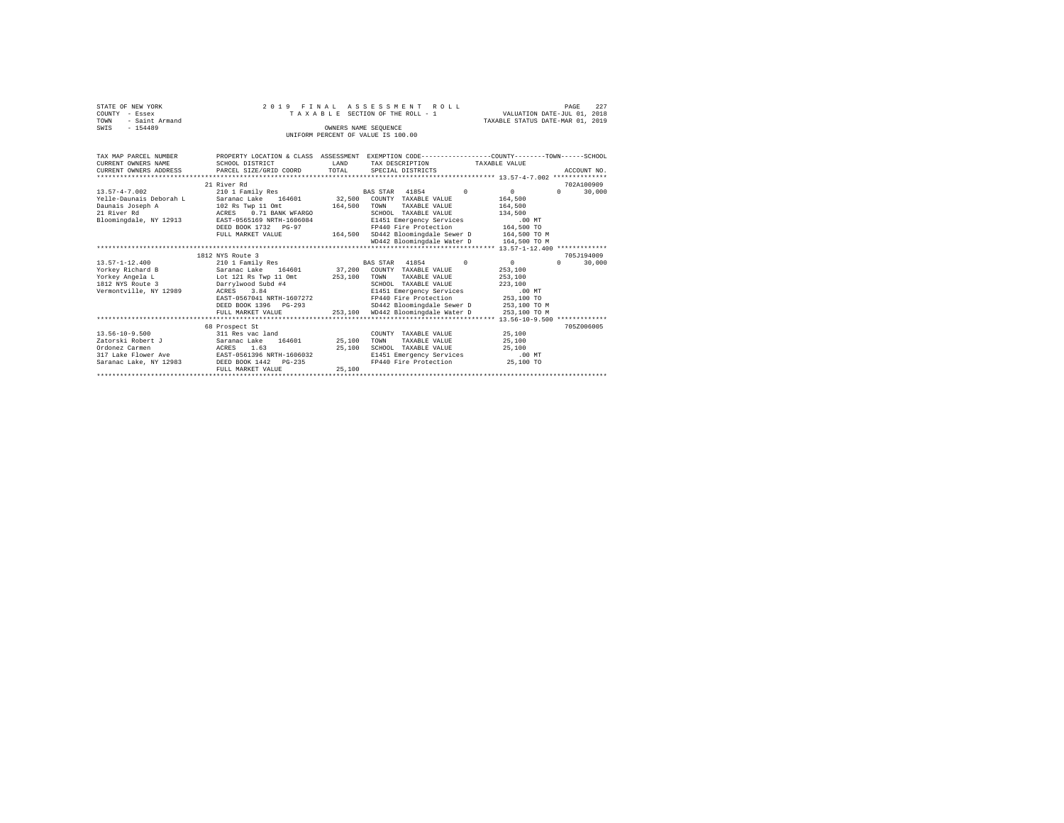| STATE OF NEW YORK<br>COUNTY - Essex<br>- Saint Armand<br>TOWN<br>$-154489$ |                                            |         | 2019 FINAL ASSESSMENT ROLL<br>TAXABLE SECTION OF THE ROLL - 1<br>OWNERS NAME SEOUENCE                              | VALUATION DATE-JUL 01, 2018<br>TAXABLE STATUS DATE-MAR 01, 2019 | PAGE<br>227                      |
|----------------------------------------------------------------------------|--------------------------------------------|---------|--------------------------------------------------------------------------------------------------------------------|-----------------------------------------------------------------|----------------------------------|
| SWIS                                                                       |                                            |         | UNIFORM PERCENT OF VALUE IS 100.00                                                                                 |                                                                 |                                  |
| TAX MAP PARCEL NUMBER<br>CURRENT OWNERS NAME                               | SCHOOL DISTRICT                            | T.AND   | PROPERTY LOCATION & CLASS ASSESSMENT EXEMPTION CODE---------------COUNTY-------TOWN------SCHOOL<br>TAX DESCRIPTION | TAXABLE VALUE                                                   |                                  |
| CURRENT OWNERS ADDRESS                                                     | PARCEL SIZE/GRID COORD                     | TOTAL   | SPECIAL DISTRICTS                                                                                                  |                                                                 | ACCOUNT NO.                      |
|                                                                            |                                            |         |                                                                                                                    |                                                                 |                                  |
| $13.57 - 4 - 7.002$                                                        | 21 River Rd<br>210 1 Family Res            |         | $\Omega$<br>BAS STAR 41854                                                                                         | 0                                                               | 702A100909<br>$\Omega$<br>30,000 |
| Yelle-Daunais Deborah L                                                    | Saranac Lake 164601                        | 32,500  | COUNTY TAXABLE VALUE                                                                                               | 164,500                                                         |                                  |
| Daunais Joseph A                                                           | 102 Rs Twp 11 Omt                          | 164,500 | TOWN<br>TAXABLE VALUE                                                                                              | 164,500                                                         |                                  |
| 21 River Rd                                                                | 0.71 BANK WFARGO<br>ACRES                  |         | SCHOOL TAXABLE VALUE                                                                                               | 134,500                                                         |                                  |
| Bloomingdale, NY 12913                                                     | EAST-0565169 NRTH-1606084                  |         | E1451 Emergency Services                                                                                           | .00MT                                                           |                                  |
|                                                                            | DEED BOOK 1732 PG-97                       |         | FP440 Fire Protection                                                                                              | 164,500 TO                                                      |                                  |
|                                                                            | FULL MARKET VALUE                          | 164,500 | SD442 Bloomingdale Sewer D 164.500 TO M                                                                            |                                                                 |                                  |
|                                                                            |                                            |         | WD442 Bloomingdale Water D                                                                                         | 164,500 TO M                                                    |                                  |
|                                                                            |                                            |         |                                                                                                                    |                                                                 |                                  |
|                                                                            | 1812 NYS Route 3                           |         |                                                                                                                    |                                                                 | 705J194009                       |
| $13.57 - 1 - 12.400$                                                       | 210 1 Family Res                           |         | BAS STAR 41854<br>$\sim$ 0                                                                                         | 0                                                               | $\Omega$<br>30,000               |
| Yorkey Richard B                                                           | Saranac Lake 164601                        | 37,200  | COUNTY TAXABLE VALUE                                                                                               | 253,100                                                         |                                  |
| Yorkey Angela L                                                            | Lot 121 Rs Twp 11 Omt                      | 253,100 | TAXABLE VALUE<br>TOWN                                                                                              | 253,100                                                         |                                  |
| 1812 NYS Route 3                                                           | Darrylwood Subd #4                         |         | SCHOOL TAXABLE VALUE                                                                                               | 223,100                                                         |                                  |
| Vermontville, NY 12989                                                     | ACRES 3.84                                 |         | E1451 Emergency Services                                                                                           | .00MT                                                           |                                  |
|                                                                            | EAST-0567041 NRTH-1607272                  |         | FP440 Fire Protection                                                                                              | 253,100 TO                                                      |                                  |
|                                                                            | DEED BOOK 1396 PG-293<br>FULL MARKET VALUE | 253,100 | SD442 Bloomingdale Sewer D<br>WD442 Bloomingdale Water D                                                           | 253,100 TO M                                                    |                                  |
|                                                                            |                                            |         |                                                                                                                    | 253,100 TO M                                                    |                                  |
|                                                                            | 68 Prospect St                             |         |                                                                                                                    |                                                                 | 705Z006005                       |
| $13.56 - 10 - 9.500$                                                       | 311 Res vac land                           |         | COUNTY TAXABLE VALUE                                                                                               | 25,100                                                          |                                  |
| Zatorski Robert J                                                          | 164601<br>Saranac Lake                     | 25,100  | TOWN<br>TAXABLE VALUE                                                                                              | 25,100                                                          |                                  |
| Ordonez Carmen                                                             | ACRES<br>1.63                              | 25,100  | SCHOOL TAXABLE VALUE                                                                                               | 25,100                                                          |                                  |
| 317 Lake Flower Ave                                                        | EAST-0561396 NRTH-1606032                  |         | E1451 Emergency Services                                                                                           | $.00$ MT                                                        |                                  |
| Saranac Lake, NY 12983                                                     | DEED BOOK 1442 PG-235                      |         | FP440 Fire Protection                                                                                              | 25,100 TO                                                       |                                  |
|                                                                            | FULL MARKET VALUE                          | 25,100  |                                                                                                                    |                                                                 |                                  |
|                                                                            |                                            |         |                                                                                                                    |                                                                 |                                  |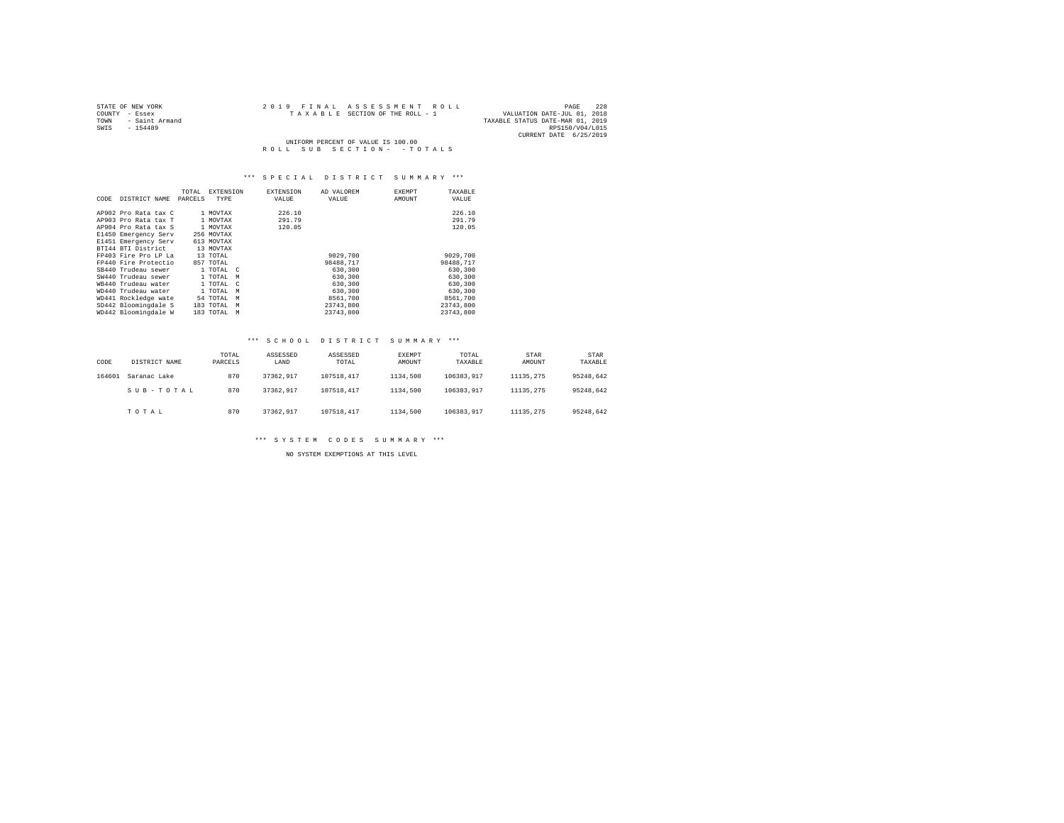| STATE OF NEW YORK      | 2019 FINAL ASSESSMENT ROLL         | 228<br>PAGE                      |
|------------------------|------------------------------------|----------------------------------|
| COUNTY - Essex         | TAXABLE SECTION OF THE ROLL - 1    | VALUATION DATE-JUL 01, 2018      |
| - Saint Armand<br>TOWN |                                    | TAXABLE STATUS DATE-MAR 01, 2019 |
| SWIS<br>$-154489$      |                                    | RPS150/V04/L015                  |
|                        |                                    | CURRENT DATE 6/25/2019           |
|                        | UNIFORM PERCENT OF VALUE IS 100.00 |                                  |
|                        | ROLL SUB SECTION- - TOTALS         |                                  |

| CODE | DISTRICT NAME        | TOTAL<br>PARCELS | <b>EXTENSION</b><br>TYPE | <b>EXTENSION</b><br>VALUE | AD VALOREM<br>VALUE | <b>EXEMPT</b><br>TAXABLE<br>AMOUNT<br>VALUE |  |
|------|----------------------|------------------|--------------------------|---------------------------|---------------------|---------------------------------------------|--|
|      | AP902 Pro Rata tax C |                  | 1 MOVTAX                 | 226.10                    |                     | 226.10                                      |  |
|      | AP903 Pro Rata tax T |                  | 1 MOVTAX                 | 291.79                    |                     | 291.79                                      |  |
|      | AP904 Pro Rata tax S |                  | 1 MOVTAX                 | 120.05                    |                     | 120.05                                      |  |
|      | E1450 Emergency Serv |                  | 256 MOVTAX               |                           |                     |                                             |  |
|      | E1451 Emergency Serv |                  | 613 MOVTAX               |                           |                     |                                             |  |
|      | BTI44 BTI District   |                  | 13 MOVTAX                |                           |                     |                                             |  |
|      | FP403 Fire Pro LP La |                  | 13 TOTAL                 |                           | 9029,700            | 9029,700                                    |  |
|      | FP440 Fire Protectio |                  | 857 TOTAL                |                           | 98488.717           | 98488.717                                   |  |
|      | SB440 Trudeau sewer  |                  | 1 TOTAL C                |                           | 630,300             | 630,300                                     |  |
|      | SW440 Trudeau sewer  |                  | 1 TOTAL<br>M             |                           | 630,300             | 630,300                                     |  |
|      | WB440 Trudeau water  |                  | 1 TOTAL<br>$\mathbb{C}$  |                           | 630,300             | 630,300                                     |  |
|      | WD440 Trudeau water  |                  | 1 TOTAL<br>M             |                           | 630,300             | 630,300                                     |  |
|      | WD441 Rockledge wate |                  | 54 TOTAL<br>M            |                           | 8561,700            | 8561,700                                    |  |
|      | SD442 Bloomingdale S |                  | 183 TOTAL<br>M           |                           | 23743.800           | 23743.800                                   |  |
|      | WD442 Bloomingdale W |                  | 183 TOTAL<br>M           |                           | 23743.800           | 23743.800                                   |  |

### \*\*\* S C H O O L D I S T R I C T S U M M A R Y \*\*\*

| CODE   | DISTRICT NAME | TOTAL<br>PARCELS | ASSESSED<br>LAND | ASSESSED<br>TOTAL | EXEMPT<br>AMOUNT | TOTAL<br>TAXABLE | STAR<br>AMOUNT | STAR<br>TAXABLE |
|--------|---------------|------------------|------------------|-------------------|------------------|------------------|----------------|-----------------|
| 164601 | Saranac Lake  | 870              | 37362.917        | 107518.417        | 1134,500         | 106383.917       | 11135.275      | 95248.642       |
|        | SUB-TOTAL     | 870              | 37362.917        | 107518.417        | 1134,500         | 106383.917       | 11135.275      | 95248.642       |
|        | TOTAL         | 870              | 37362.917        | 107518.417        | 1134,500         | 106383.917       | 11135.275      | 95248.642       |

\*\*\* S Y S T E M C O D E S S U M M A R Y \*\*\*

NO SYSTEM EXEMPTIONS AT THIS LEVEL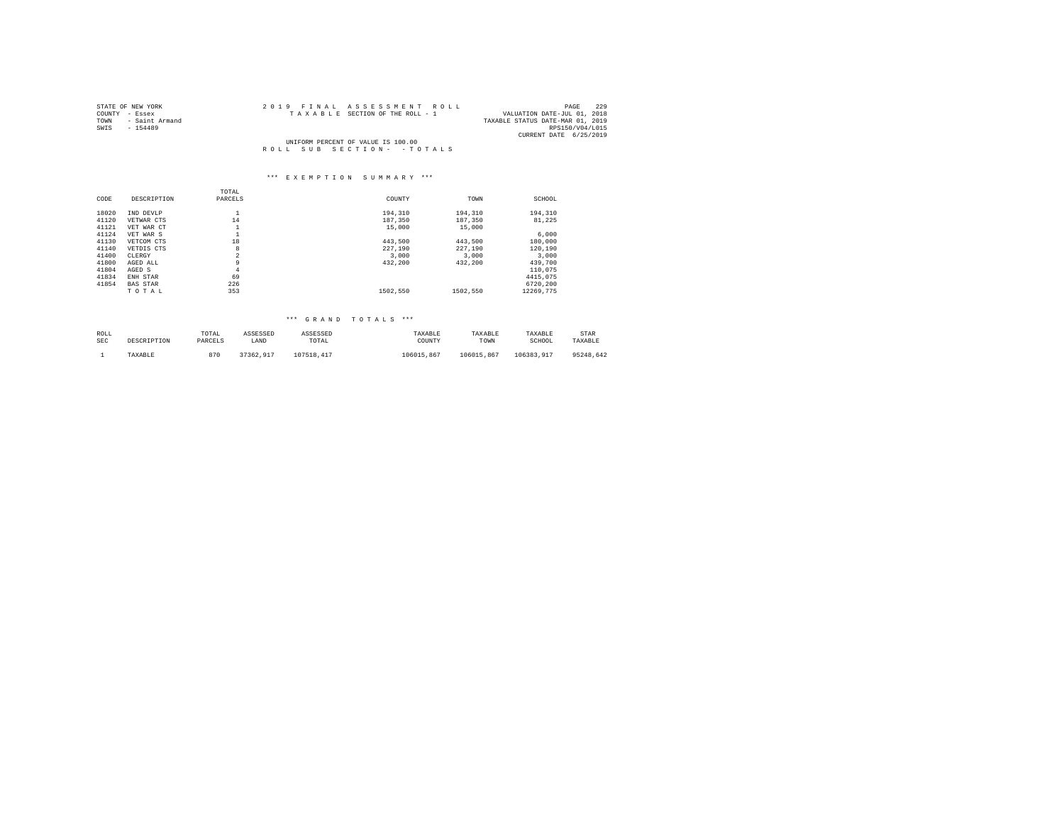| STATE OF NEW YORK      | 2019 FINAL ASSESSMENT ROLL         | 229<br>PAGE                      |
|------------------------|------------------------------------|----------------------------------|
| COUNTY - Essex         | TAXABLE SECTION OF THE ROLL - 1    | VALUATION DATE-JUL 01, 2018      |
| TOWN<br>- Saint Armand |                                    | TAXABLE STATUS DATE-MAR 01, 2019 |
| SWIS<br>$-154489$      |                                    | RPS150/V04/L015                  |
|                        |                                    | CURRENT DATE 6/25/2019           |
|                        | UNIFORM PERCENT OF VALUE IS 100.00 |                                  |
|                        | ROLL SUB SECTION- - TOTALS         |                                  |

#### \*\*\* E X E M P T I O N S U M M A R Y \*\*\*

|       |                 | TOTAL          |          |          |           |
|-------|-----------------|----------------|----------|----------|-----------|
| CODE  | DESCRIPTION     | PARCELS        | COUNTY   | TOWN     | SCHOOL    |
| 18020 | IND DEVLP       | ÷              | 194,310  | 194,310  | 194,310   |
| 41120 | VETWAR CTS      | 14             | 187.350  | 187.350  | 81.225    |
| 41121 | VET WAR CT      | ٠              | 15,000   | 15,000   |           |
| 41124 | VET WAR S       | ÷              |          |          | 6,000     |
| 41130 | VETCOM CTS      | 18             | 443.500  | 443.500  | 180,000   |
| 41140 | VETDIS CTS      | 8              | 227.190  | 227.190  | 120,190   |
| 41400 | CLERGY          | $\overline{2}$ | 3,000    | 3,000    | 3.000     |
| 41800 | AGED ALL        | 9              | 432.200  | 432.200  | 439,700   |
| 41804 | AGED S          | 4              |          |          | 110,075   |
| 41834 | ENH STAR        | 69             |          |          | 4415.075  |
| 41854 | <b>BAS STAR</b> | 226            |          |          | 6720.200  |
|       | TOTAL           | 353            | 1502.550 | 1502.550 | 12269.775 |

| ROLL       | DESCRIPTION | TOTAL   | ASSESSED  | ASSESSED   | TAXABLE    | TAXABLE    | TAXABLE    | STAR      |
|------------|-------------|---------|-----------|------------|------------|------------|------------|-----------|
| <b>SEC</b> |             | PARCELS | LAND      | TOTAL      | COUNTY     | TOWN       | SCHOOL     | TAXABLE   |
|            | TAXABLE     | 970     | 37362.917 | 107518.417 | 106015.867 | 106015.867 | 106383.917 | 95248.642 |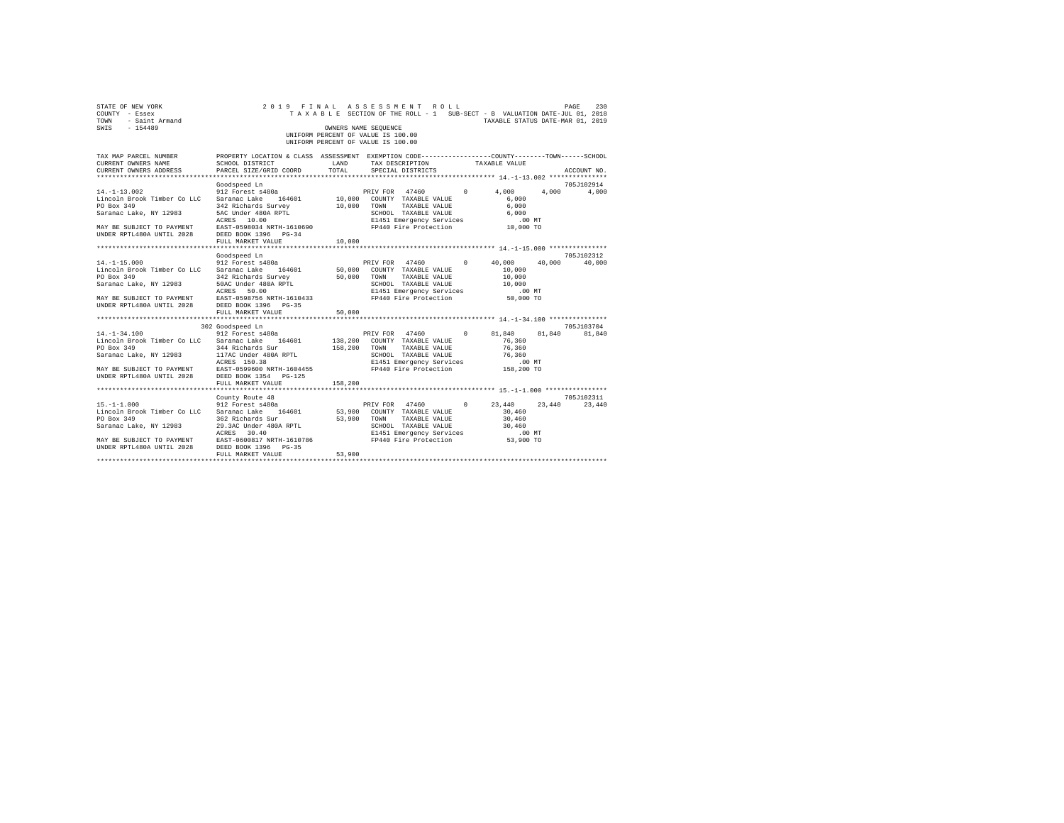| STATE OF NEW YORK<br>COUNTY - Essex<br>TOWN - Saint Armand<br>SWIS - 154489                                                                                                                                                                                                                                                                                                                                                                                                                                                                                                                                                |                                                                                                                                                                                                                                                                                                                                    |                        | 2019 FINAL ASSESSMENT ROLL<br>TAXABLE SECTION OF THE ROLL - 1 SUB-SECT - B VALUATION DATE-JUL 01, 2018<br>OWNERS NAME SEOUENCE<br>UNIFORM PERCENT OF VALUE IS 100.00<br>UNIFORM PERCENT OF VALUE IS 100.00 |                  | TAXABLE STATUS DATE-MAR 01, 2019                    | PAGE<br>230                               |
|----------------------------------------------------------------------------------------------------------------------------------------------------------------------------------------------------------------------------------------------------------------------------------------------------------------------------------------------------------------------------------------------------------------------------------------------------------------------------------------------------------------------------------------------------------------------------------------------------------------------------|------------------------------------------------------------------------------------------------------------------------------------------------------------------------------------------------------------------------------------------------------------------------------------------------------------------------------------|------------------------|------------------------------------------------------------------------------------------------------------------------------------------------------------------------------------------------------------|------------------|-----------------------------------------------------|-------------------------------------------|
| TAX MAP PARCEL NUMBER PROPERTY LOCATION & CLASS ASSESSMENT EXEMPTION CODE---------------COUNTY-------TOWN------SCHOOL<br>CURRENT OWNERS NAME<br>CURRENT OWNERS ADDRESS                                                                                                                                                                                                                                                                                                                                                                                                                                                     | SCHOOL DISTRICT<br>PARCEL SIZE/GRID COORD                                                                                                                                                                                                                                                                                          | LAND<br>TOTAL          | TAX DESCRIPTION<br>SPECIAL DISTRICTS                                                                                                                                                                       | TAXABLE VALUE    |                                                     | ACCOUNT NO.                               |
| $14. -1 - 13.002$<br>Sacromatic Lake, NY 12983<br>Sacromatic Lake, NY 12983<br>MAY BE SUBJECT TO PAYMENT RERES 10.00<br>MAY BE SUBJECT TO PAYMENT RERES 10.00<br>MAY BE SUBJECT TO PAYMENT RERES 10.00<br>MAY BE SUBJECT TO PAYMENT RERES BOOK 1396 PG-34<br>UN                                                                                                                                                                                                                                                                                                                                                            | Goodspeed Ln<br>912 Forest s480a <b>PRIV FOR</b> 47460 0 4,000 4,000 4,000<br>FULL MARKET VALUE                                                                                                                                                                                                                                    | 10,000                 |                                                                                                                                                                                                            |                  |                                                     | 705J102914                                |
|                                                                                                                                                                                                                                                                                                                                                                                                                                                                                                                                                                                                                            |                                                                                                                                                                                                                                                                                                                                    |                        |                                                                                                                                                                                                            |                  |                                                     |                                           |
| $14. -1 - 15.000$<br>Lincoln Brook Timber Co LLC Saranac Lake 164601 50,000 COUNTY TAXABLE VALUE<br>PO Box 349<br>Saranac Lake, NY 12983<br>ACRES 50.00<br>MAY BE SUBJECT TO PAYMENT AREST-0598756 NRTH-1610433<br>UNDER RPTL480A UNTIL 2028 DEED BOOK 1396 PG-35<br>$14. -1 - 34.100$<br>Lincoln Brook Timber Co LLC Saranac Lake 164601 138,200 COUNTY TAXABLE VALUE<br>PO Box 349<br>Saranac Lake, NY 12983 117AC Under 480A RPTL COMPARE SCHOOL TAXABLE VALUE 76,360<br>ACRES 150.38 2000 NATEL 2028 E1451 Emergency Services .00 NT<br>MAY BE SUBJECT TO PAYMENT EAST-0599600 NRTH-1604455 FP440 Fire Protection 158, | Goodspeed Ln<br>912 Forest s480a<br>Saranac Laake 1940<br>1942 Richards Survey 50,000 TOWN TAXABLE VALUE<br>1950 SCHOOL TAXABLE VALUE<br>2000 SCHOOL TAXABLE VALUE<br>2000 ENSES SOLO BIT451 Emergency Services<br>2009 EAST-0598756 NRTH-1610433<br>FULL MARKET VALUE<br>302 Goodspeed Ln<br>912 Forest s480a<br>344 Richards Sur | 50,000<br>158,200 TOWN | PRIV FOR 47460 0 40,000<br>PRIV FOR 47460 0 81,840 81,840 81,840<br>TAXABLE VALUE                                                                                                                          | 10,000<br>76,360 | 10,000<br>10,000<br>.00 MT<br>$50,000$ TO<br>76,360 | 705J102312<br>40,000 40,000<br>705J103704 |
|                                                                                                                                                                                                                                                                                                                                                                                                                                                                                                                                                                                                                            | FULL MARKET VALUE                                                                                                                                                                                                                                                                                                                  | 158,200                |                                                                                                                                                                                                            |                  |                                                     |                                           |
| $15. - 1 - 1.000$<br>Lincoln Brook Timber Co LLC Saranac Lake 164601<br>PO Box 349<br>Saranac Lake, NY 12983<br>UNDER RPTL480A UNTIL 2028                                                                                                                                                                                                                                                                                                                                                                                                                                                                                  | County Route 48<br>362 Richards Sur<br>39.3AC Under 480A RPTL<br>29.3AC Under 480A RPTL<br>ACRES 30.40<br>DEED BOOK 1396 PG-35<br>FULL MARKET VALUE                                                                                                                                                                                | 53,900<br>53,900       | 53,900 COUNTY TAXABLE VALUE<br>TAXABLE VALUE<br>TOWN<br>SCHOOL TAXABLE VALUE                                                                                                                               |                  | 30,460<br>30,460<br>30,460                          | 705J102311<br>23,440                      |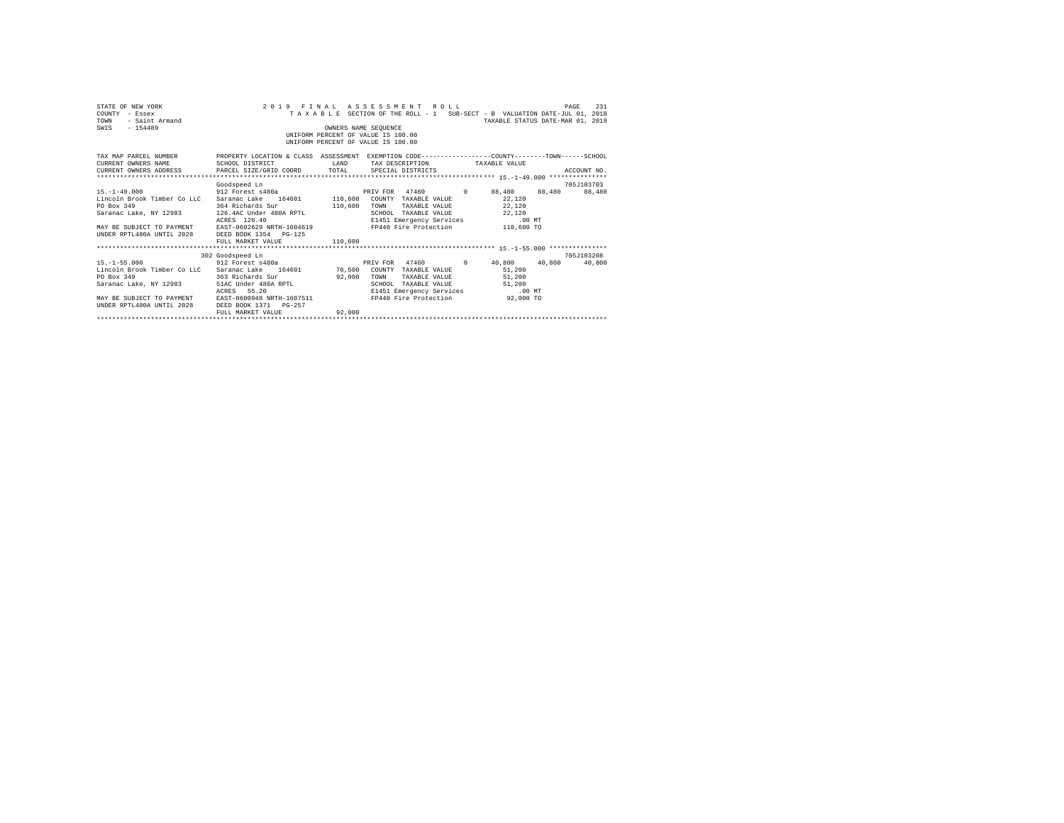| STATE OF NEW YORK<br>COUNTY - Essex<br>- Saint Armand<br>TOWN<br>$-154489$<br>SWIS                                                                                                                                                                                                                                                                                                           |                                                       |                       | 2019 FINAL ASSESSMENT ROLL<br>TAXABLE SECTION OF THE ROLL - 1 SUB-SECT - B VALUATION DATE-JUL 01, 2018<br>OWNERS NAME SEOUENCE<br>UNIFORM PERCENT OF VALUE IS 100.00<br>UNIFORM PERCENT OF VALUE IS 100.00 | TAXABLE STATUS DATE-MAR 01, 2019 | 231<br>PAGE |
|----------------------------------------------------------------------------------------------------------------------------------------------------------------------------------------------------------------------------------------------------------------------------------------------------------------------------------------------------------------------------------------------|-------------------------------------------------------|-----------------------|------------------------------------------------------------------------------------------------------------------------------------------------------------------------------------------------------------|----------------------------------|-------------|
| TAX MAP PARCEL NUMBER PROPERTY LOCATION & CLASS ASSESSMENT EXEMPTION CODE--------------COUNTY-------TOWN-----SCHOOL<br>CURRENT OWNERS NAME                                                                                                                                                                                                                                                   | SCHOOL DISTRICT                                       | LAND                  | TAX DESCRIPTION TAXABLE VALUE                                                                                                                                                                              |                                  |             |
|                                                                                                                                                                                                                                                                                                                                                                                              | Goodspeed Ln                                          |                       |                                                                                                                                                                                                            |                                  | 705J103703  |
| $15. - 1 - 49.000$<br>Lincoln Brook Timber Co LLC Saranac Lake 164601 110,600 COUNTY TAXABLE VALUE 22.120<br>MAY BE SUBJECT TO PAYMENT BAST-0602629 NRTH-1604619 FP440 Fire Protection 110,600 TO<br>UNDER RPTL480A UNTIL 2028 DEED BOOK 1354 PG-125                                                                                                                                         | 912 Forest s480a<br>ACRES 126.40<br>FULL MARKET VALUE | 110,600               | PRIV FOR 47460 0 88,480 88,480 88,480<br>TAXABLE VALUE 22,120<br>SCHOOL TAXABLE VALUE 22,120<br>E1451 Emergency Services .00 MT                                                                            |                                  |             |
|                                                                                                                                                                                                                                                                                                                                                                                              | 302 Goodspeed Ln                                      |                       |                                                                                                                                                                                                            |                                  | 705.T103208 |
| 15. -1-55.000 912 Forest s480a<br>Lincoln Brook Timber Co LLC Saranac Lake 164601 76,500 COUNTY TAXABLE VALUE 51,200<br>363 Richards Sur<br>PO Box 349<br>ACRES 55.20 ב-2011 ב-2011 ב-2012 ב-2012 ב-2012 ב-2012 ב-2012 ב-2012 ב-2014 2014 2013 ב-2014 2014 2013<br>100 MT DRIST E1ST (100948 NRTH-1607511 1697511 PDF440 Pire Protection 92,000 TO<br>192,000 TODER RPTL480A UNTIL 2028 DEED | FULL MARKET VALUE                                     | 92.000 TOWN<br>92,000 | PRIV FOR 47460 0 40.800 40.800 40.800<br>SCHOOL TAXABLE VALUE                                                                                                                                              | TAXABLE VALUE 51,200<br>51,200   |             |
|                                                                                                                                                                                                                                                                                                                                                                                              |                                                       |                       |                                                                                                                                                                                                            |                                  |             |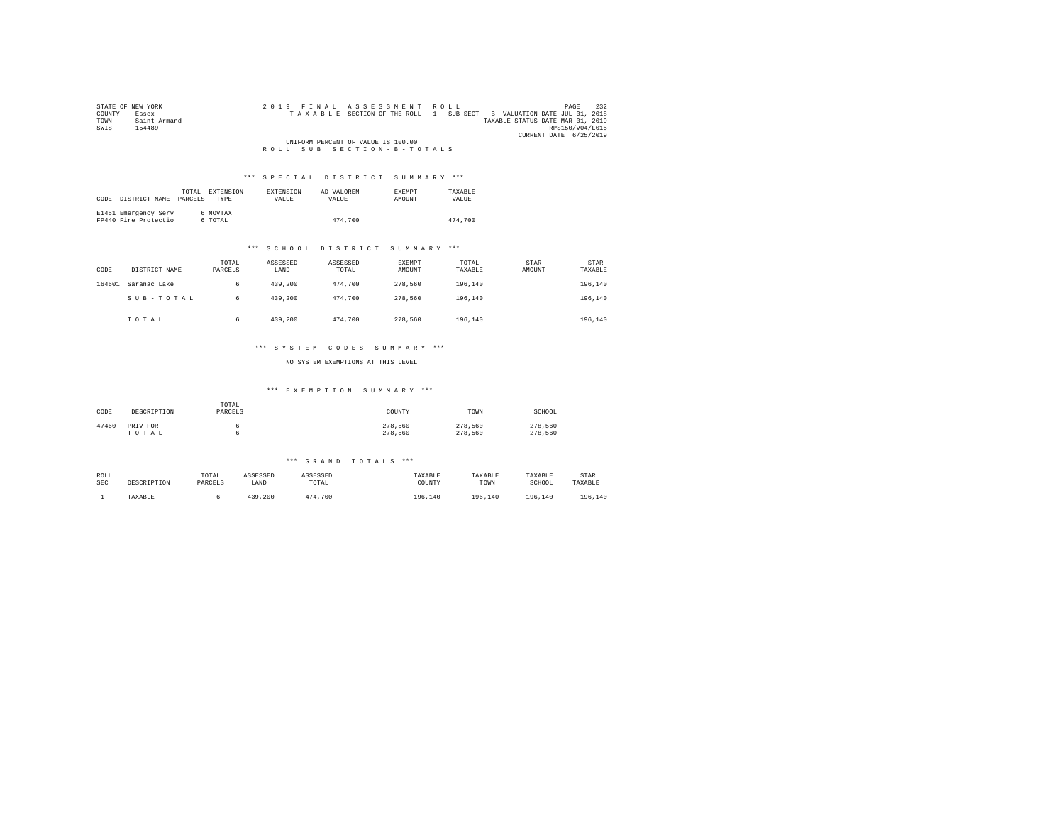| STATE OF NEW YORK      | 2019 FINAL ASSESSMENT ROLL<br>PAGE                                       | 232 |
|------------------------|--------------------------------------------------------------------------|-----|
| COUNTY - Essex         | TAXABLE SECTION OF THE ROLL - 1 SUB-SECT - B VALUATION DATE-JUL 01, 2018 |     |
| - Saint Armand<br>TOWN | TAXABLE STATUS DATE-MAR 01, 2019                                         |     |
| SWTS<br>$-154489$      | RPS150/V04/L015                                                          |     |
|                        | CURRENT DATE 6/25/2019                                                   |     |
|                        | UNIFORM PERCENT OF VALUE IS 100.00                                       |     |
|                        | ROLL SUB SECTION-B-TOTALS                                                |     |

| CODE | DISTRICT NAME PARCELS                        | TOTAL. | EXTENSION<br><b>TYPE</b> | <b>EXTENSION</b><br><b>VALUE</b> | AD VALOREM<br>VALUE. | <b>EXEMPT</b><br>AMOUNT | TAXARLE<br>VALUE |
|------|----------------------------------------------|--------|--------------------------|----------------------------------|----------------------|-------------------------|------------------|
|      | E1451 Emergency Serv<br>FP440 Fire Protectio |        | 6 MOVTAX<br>6 TOTAL      |                                  | 474,700              |                         | 474,700          |

### \*\*\* S C H O O L D I S T R I C T S U M M A R Y \*\*\*

| CODE   | DISTRICT NAME | TOTAL<br>PARCELS | ASSESSED<br>LAND | ASSESSED<br>TOTAL | EXEMPT<br>AMOUNT | TOTAL<br>TAXABLE | STAR<br>AMOUNT | STAR<br>TAXABLE |
|--------|---------------|------------------|------------------|-------------------|------------------|------------------|----------------|-----------------|
| 164601 | Saranac Lake  | 6                | 439,200          | 474.700           | 278.560          | 196.140          |                | 196,140         |
|        | SUB-TOTAL     | 6                | 439,200          | 474.700           | 278.560          | 196.140          |                | 196,140         |
|        | TOTAL         | 6                | 439,200          | 474.700           | 278,560          | 196.140          |                | 196,140         |

### \*\*\* S Y S T E M C O D E S S U M M A R Y \*\*\*

NO SYSTEM EXEMPTIONS AT THIS LEVEL

#### \*\*\* E X E M P T I O N S U M M A R Y \*\*\*

| CODE  | DESCRIPTION       | TOTAL<br>PARCELS | COUNTY             | TOWN               | SCHOOL             |
|-------|-------------------|------------------|--------------------|--------------------|--------------------|
| 47460 | PRIV FOR<br>TOTAL |                  | 278,560<br>278.560 | 278.560<br>278,560 | 278,560<br>278,560 |

| ROLL       | DESCRIPTION | TOTAL   | ASSESSED | ASSESSED | TAXABLE | TAXABLE | TAXABLE     | STAR    |
|------------|-------------|---------|----------|----------|---------|---------|-------------|---------|
| <b>SEC</b> |             | PARCELS | LAND     | TOTAL    | COUNTY  | TOWN    | SCHOOL      | TAXABLE |
|            | TAXABLE     |         | 439,200  | 474.700  | 196.140 | 196.140 | 196<br>.140 | 196,140 |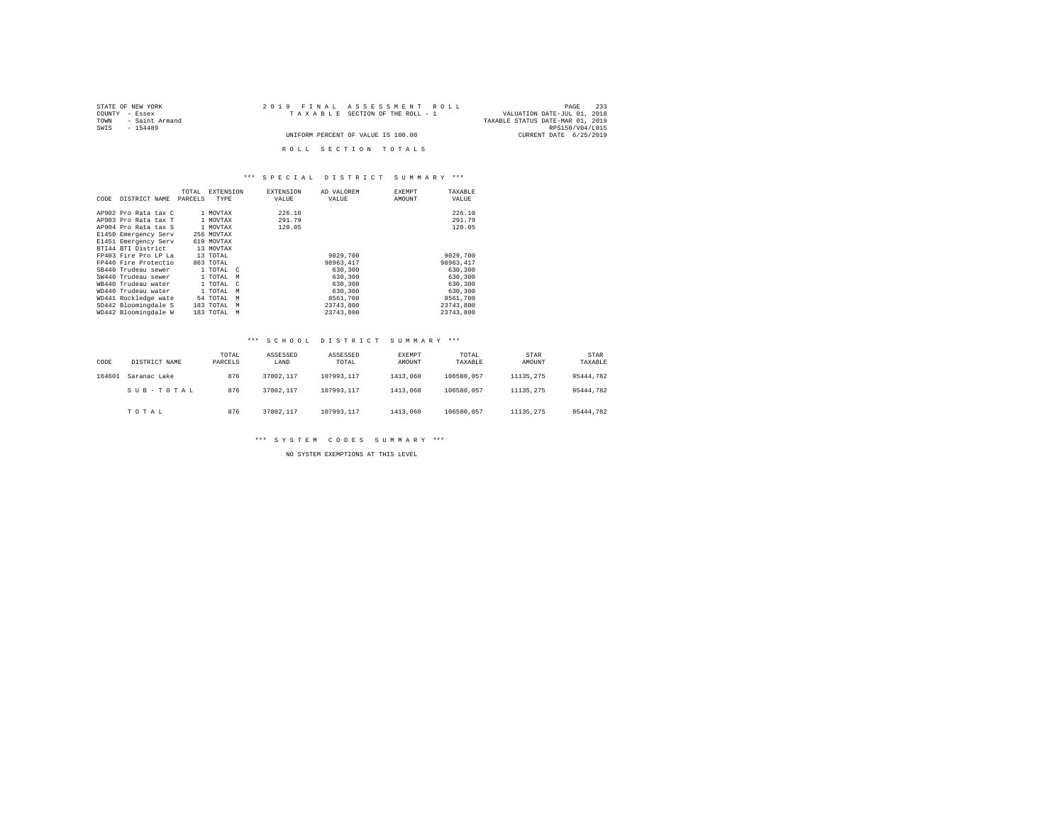| STATE OF NEW YORK      | 2019 FINAL ASSESSMENT ROLL         | 233<br>PAGE                      |
|------------------------|------------------------------------|----------------------------------|
| COUNTY - Essex         | TAXABLE SECTION OF THE ROLL - 1    | VALUATION DATE-JUL 01, 2018      |
| - Saint Armand<br>TOWN |                                    | TAXABLE STATUS DATE-MAR 01, 2019 |
| SWTS<br>$-154489$      |                                    | RPS150/V04/L015                  |
|                        | UNIFORM PERCENT OF VALUE IS 100.00 | CURRENT DATE 6/25/2019           |
|                        |                                    |                                  |
|                        | ROLL SECTION TOTALS                |                                  |

| CODE | DISTRICT NAME        | TOTAL<br>PARCELS | <b>EXTENSION</b><br>TYPE | <b>EXTENSION</b><br>VALUE | AD VALOREM<br>VALUE | <b>EXEMPT</b><br>AMOUNT | TAXABLE<br>VALUE |
|------|----------------------|------------------|--------------------------|---------------------------|---------------------|-------------------------|------------------|
|      | AP902 Pro Rata tax C |                  | 1 MOVTAX                 | 226.10                    |                     |                         | 226.10           |
|      | AP903 Pro Rata tax T |                  | 1 MOVTAX                 | 291.79                    |                     |                         | 291.79           |
|      | AP904 Pro Rata tax S |                  | 1 MOVTAX                 | 120.05                    |                     |                         | 120.05           |
|      | E1450 Emergency Serv |                  | 256 MOVTAX               |                           |                     |                         |                  |
|      | E1451 Emergency Serv |                  | 619 MOVTAX               |                           |                     |                         |                  |
|      | BTI44 BTI District   |                  | 13 MOVTAX                |                           |                     |                         |                  |
|      | FP403 Fire Pro LP La |                  | 13 TOTAL                 |                           | 9029,700            |                         | 9029,700         |
|      | FP440 Fire Protectio |                  | 863 TOTAL                |                           | 98963.417           |                         | 98963.417        |
|      | SB440 Trudeau sewer  |                  | 1 TOTAL C                |                           | 630,300             |                         | 630,300          |
|      | SW440 Trudeau sewer  |                  | 1 TOTAL<br>M             |                           | 630,300             |                         | 630,300          |
|      | WB440 Trudeau water  |                  | 1 TOTAL<br>$\mathcal{C}$ |                           | 630,300             |                         | 630,300          |
|      | WD440 Trudeau water  |                  | 1 TOTAL<br>M             |                           | 630,300             |                         | 630,300          |
|      | WD441 Rockledge wate |                  | 54 TOTAL<br>M            |                           | 8561,700            |                         | 8561,700         |
|      | SD442 Bloomingdale S |                  | 183 TOTAL<br>M           |                           | 23743.800           |                         | 23743,800        |
|      | WD442 Bloomingdale W |                  | 183 TOTAL<br>М           |                           | 23743.800           |                         | 23743.800        |

### \*\*\* S C H O O L D I S T R I C T S U M M A R Y \*\*\*

| CODE   | DISTRICT NAME | TOTAL<br>PARCELS | ASSESSED<br>LAND | ASSESSED<br>TOTAL | <b>EXEMPT</b><br>AMOUNT | TOTAL<br>TAXABLE | STAR<br>AMOUNT | STAR<br>TAXABLE |
|--------|---------------|------------------|------------------|-------------------|-------------------------|------------------|----------------|-----------------|
| 164601 | Saranac Lake  | 876              | 37802.117        | 107993.117        | 1413,060                | 106580.057       | 11135.275      | 95444.782       |
|        | SUB-TOTAL     | 876              | 37802.117        | 107993.117        | 1413,060                | 106580.057       | 11135.275      | 95444.782       |
|        | TOTAL         | 876              | 37802.117        | 107993.117        | 1413,060                | 106580.057       | 11135.275      | 95444.782       |

\*\*\* S Y S T E M C O D E S S U M M A R Y \*\*\*

NO SYSTEM EXEMPTIONS AT THIS LEVEL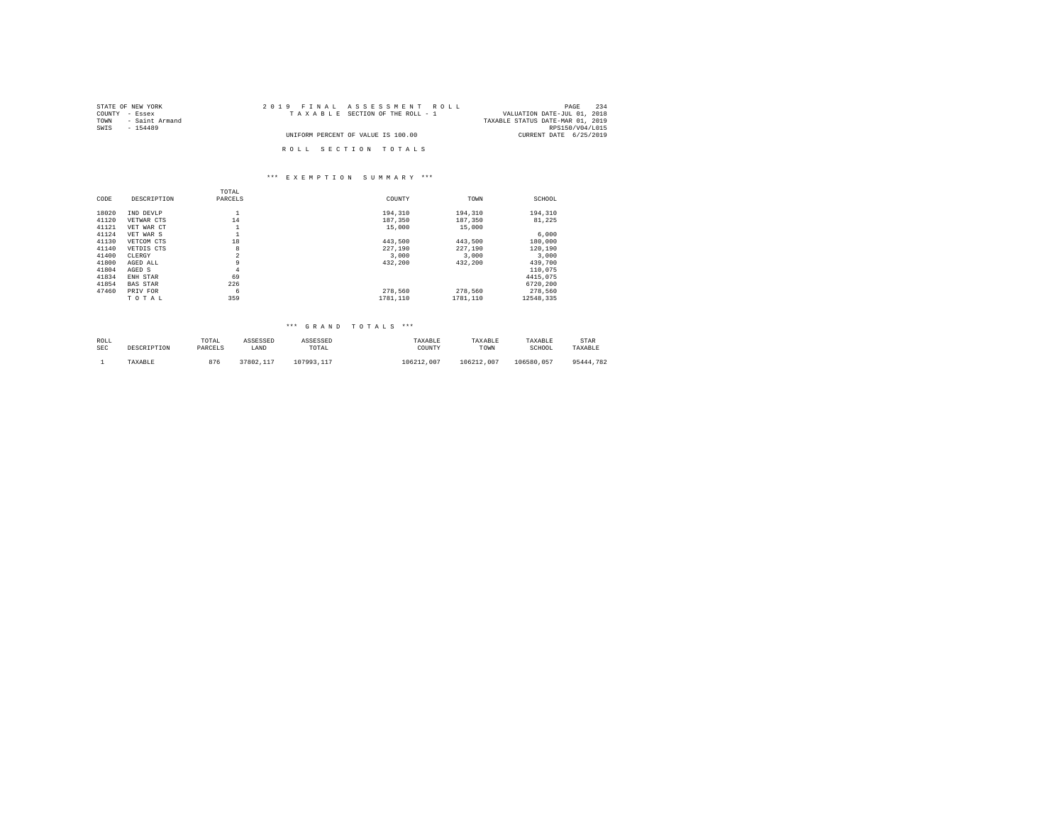| STATE OF NEW YORK   | 2019 FINAL ASSESSMENT ROLL         | 234<br>PAGE                      |
|---------------------|------------------------------------|----------------------------------|
| COUNTY - Essex      | TAXABLE SECTION OF THE ROLL - 1    | VALUATION DATE-JUL 01, 2018      |
| TOWN - Saint Armand |                                    | TAXABLE STATUS DATE-MAR 01, 2019 |
| SWIS<br>$-154489$   |                                    | RPS150/V04/L015                  |
|                     | UNIFORM PERCENT OF VALUE IS 100.00 | CURRENT DATE 6/25/2019           |
|                     | ROLL SECTION TOTALS                |                                  |

#### \*\*\* E X E M P T I O N S U M M A R Y \*\*\*

|                 | TOTAL          |          |          |           |
|-----------------|----------------|----------|----------|-----------|
| DESCRIPTION     | PARCELS        | COUNTY   | TOWN     | SCHOOL    |
| IND DEVLP       | ÷              | 194.310  | 194,310  | 194,310   |
| VETWAR CTS      | 14             | 187,350  | 187,350  | 81.225    |
| VET WAR CT      |                | 15,000   | 15,000   |           |
| VET WAR S       |                |          |          | 6,000     |
| VETCOM CTS      | 18             | 443.500  | 443.500  | 180,000   |
| VETDIS CTS      | 8              | 227,190  | 227,190  | 120,190   |
| CLERGY          | $\overline{a}$ | 3,000    | 3,000    | 3,000     |
| AGED ALL        | 9              | 432.200  | 432.200  | 439,700   |
| AGED S          | 4              |          |          | 110.075   |
| ENH STAR        | 69             |          |          | 4415,075  |
| <b>BAS STAR</b> | 226            |          |          | 6720.200  |
| PRIV FOR        | 6              | 278.560  | 278.560  | 278,560   |
| TOTAL           | 359            | 1781.110 | 1781.110 | 12548.335 |
|                 |                |          |          |           |

| ROLL       | DESCRIPTION | TOTAL   | ASSESSED  | ASSESSED   | TAXARLE    | TAXABLE    | TAXABLE    | STAR      |
|------------|-------------|---------|-----------|------------|------------|------------|------------|-----------|
| <b>SEC</b> |             | PARCELS | LAND      | TOTAL      | COUNTY     | TOWN       | SCHOOL     | TAXABLE   |
|            | TAXABLE     | 876     | 37802.117 | 107993.117 | 106212.007 | 106212.007 | 106580.057 | 95444.782 |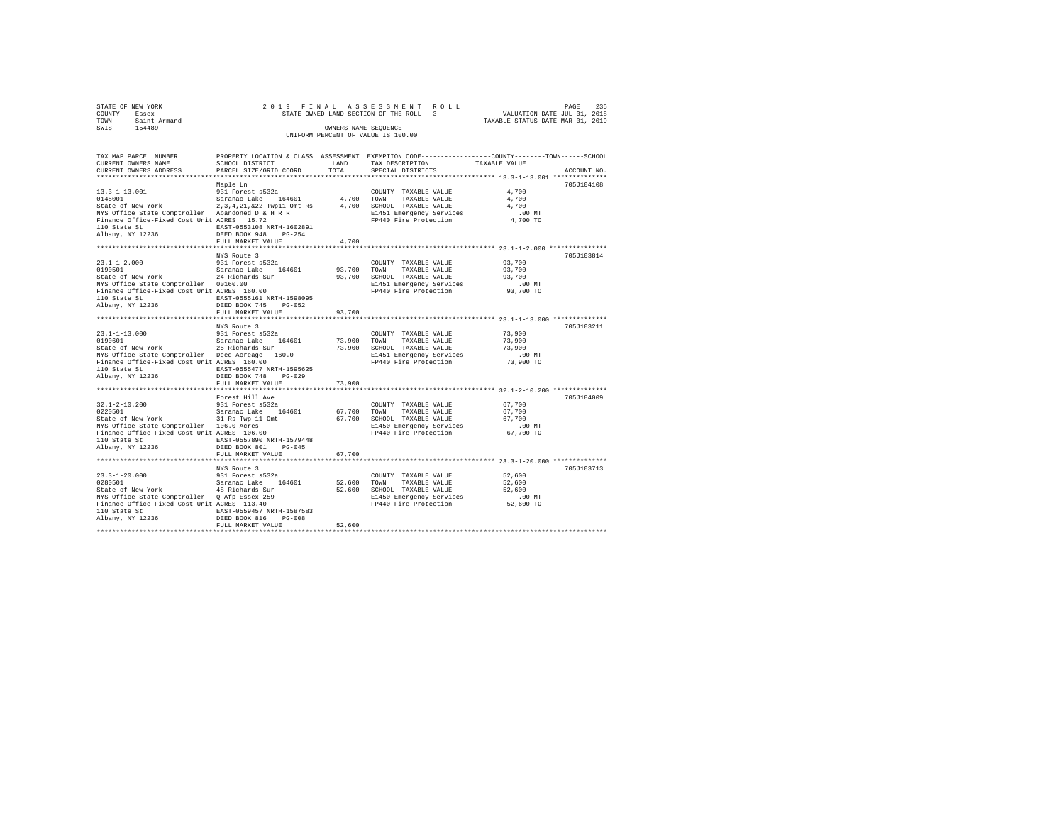| STATE OF NEW YORK      |  | 2019 FINAL ASSESSMENT ROLL               |                                  | PAGE | 235 |
|------------------------|--|------------------------------------------|----------------------------------|------|-----|
| COUNTY - Essex         |  | STATE OWNED LAND SECTION OF THE ROLL - 3 | VALUATION DATE-JUL 01, 2018      |      |     |
| - Saint Armand<br>TOWN |  |                                          | TAXABLE STATUS DATE-MAR 01, 2019 |      |     |
| SWTS<br>$-154489$      |  | OWNERS NAME SEOUENCE                     |                                  |      |     |
|                        |  | UNIFORM PERCENT OF VALUE IS 100.00       |                                  |      |     |

| TAX MAP PARCEL NUMBER<br>CURRENT OWNERS NAME                                                         | PROPERTY LOCATION & CLASS ASSESSMENT EXEMPTION CODE---------------COUNTY-------TOWN-----SCHOOL<br>SCHOOL DISTRICT | LAND        | TAX DESCRIPTION                                   | TAXABLE VALUE |             |
|------------------------------------------------------------------------------------------------------|-------------------------------------------------------------------------------------------------------------------|-------------|---------------------------------------------------|---------------|-------------|
| CURRENT OWNERS ADDRESS                                                                               | PARCEL SIZE/GRID COORD                                                                                            | TOTAL       | SPECIAL DISTRICTS                                 |               | ACCOUNT NO. |
|                                                                                                      |                                                                                                                   |             |                                                   |               |             |
|                                                                                                      | Maple Ln                                                                                                          |             |                                                   |               | 705J104108  |
|                                                                                                      |                                                                                                                   |             | COUNTY TAXABLE VALUE                              | 4,700         |             |
|                                                                                                      |                                                                                                                   |             | TAXABLE VALUE                                     | 4,700         |             |
|                                                                                                      |                                                                                                                   |             | 4,700 SCHOOL TAXABLE VALUE                        | 4,700         |             |
| NYS Office State Comptroller - Abandoned D & H R R<br>Finance Office-Fixed Cost Unit ACRES - 15.72   |                                                                                                                   |             | E1451 Emergency Services<br>FP440 Fire Protection | .00 MT        |             |
| Finance Office-Fixed Cost Unit ACRES 15.72                                                           |                                                                                                                   |             |                                                   | 4,700 TO      |             |
| 110 State St                                                                                         | EAST-0553108 NRTH-1602891                                                                                         |             |                                                   |               |             |
| Albany, NY 12236                                                                                     | DEED BOOK 948<br>$PG-254$                                                                                         |             |                                                   |               |             |
|                                                                                                      | FULL MARKET VALUE                                                                                                 | 4,700       |                                                   |               |             |
|                                                                                                      |                                                                                                                   |             |                                                   |               |             |
|                                                                                                      | NYS Route 3                                                                                                       |             |                                                   |               | 705J103814  |
| 23.1-1-2.000 931 Forest s532a<br>0190501 532aranac Lake 164601<br>State of New York 24 Richards Sur  |                                                                                                                   |             | COUNTY TAXABLE VALUE                              | 93,700        |             |
|                                                                                                      |                                                                                                                   | 93,700 TOWN | TAXABLE VALUE                                     | 93,700        |             |
|                                                                                                      |                                                                                                                   |             | 93,700 SCHOOL TAXABLE VALUE                       | 93,700        |             |
| NYS Office State Comptroller 00160.00                                                                |                                                                                                                   |             |                                                   | .00 MT        |             |
| Finance Office-Fixed Cost Unit ACRES 160.00                                                          |                                                                                                                   |             | E1451 Emergency Services<br>FP440 Fire Protection | 93,700 TO     |             |
| 110 State St                                                                                         | EAST-0555161 NRTH-1598095                                                                                         |             |                                                   |               |             |
| Albany, NY 12236                                                                                     | DEED BOOK 745 PG-052                                                                                              |             |                                                   |               |             |
|                                                                                                      | FULL MARKET VALUE                                                                                                 | 93,700      |                                                   |               |             |
|                                                                                                      |                                                                                                                   |             |                                                   |               |             |
|                                                                                                      | NYS Route 3                                                                                                       |             |                                                   |               | 705J103211  |
|                                                                                                      |                                                                                                                   |             | COUNTY TAXABLE VALUE                              | 73,900        |             |
|                                                                                                      |                                                                                                                   |             | 73,900 TOWN TAXABLE VALUE                         | 73,900        |             |
| 23.1-1-13.000 931 Forest s532a<br>0190601 531 531 531 531 54601<br>State of New York 25 Richards Sur |                                                                                                                   |             | 73,900 SCHOOL TAXABLE VALUE                       | 73,900        |             |
|                                                                                                      |                                                                                                                   |             | E1451 Emergency Services                          | .00 MT        |             |
| NYS Office State Comptroller - Deed Acreage - 160.0<br>Finance Office-Fixed Cost Unit ACRES - 160.00 |                                                                                                                   |             | FP440 Fire Protection                             | 73,900 TO     |             |
| Finance Office-Fixed Cost Unit ACRES 160.00                                                          |                                                                                                                   |             |                                                   |               |             |
|                                                                                                      |                                                                                                                   |             |                                                   |               |             |
|                                                                                                      |                                                                                                                   |             |                                                   |               |             |
|                                                                                                      | FULL MARKET VALUE                                                                                                 | 73,900      |                                                   |               |             |
|                                                                                                      |                                                                                                                   |             |                                                   |               |             |
|                                                                                                      | Forest Hill Ave                                                                                                   |             |                                                   |               | 705J184009  |
|                                                                                                      |                                                                                                                   |             |                                                   | 67,700        |             |
|                                                                                                      |                                                                                                                   |             |                                                   | 67,700        |             |
|                                                                                                      |                                                                                                                   |             |                                                   | 67,700        |             |
|                                                                                                      |                                                                                                                   |             |                                                   | .00MT         |             |
|                                                                                                      |                                                                                                                   |             |                                                   | 67,700 TO     |             |
| 110 State St                                                                                         | EAST-0557890 NRTH-1579448                                                                                         |             |                                                   |               |             |
| Albany, NY 12236                                                                                     | DEED BOOK 801 PG-045                                                                                              |             |                                                   |               |             |
|                                                                                                      | FULL MARKET VALUE                                                                                                 | 67,700      |                                                   |               |             |
|                                                                                                      |                                                                                                                   |             |                                                   |               |             |
|                                                                                                      | NYS Route 3                                                                                                       |             |                                                   |               | 705J103713  |
|                                                                                                      |                                                                                                                   |             | COUNTY TAXABLE VALUE                              | 52,600        |             |
|                                                                                                      |                                                                                                                   |             | 52,600 TOWN TAXABLE VALUE                         | 52,600        |             |
|                                                                                                      |                                                                                                                   |             | 52,600 SCHOOL TAXABLE VALUE                       | 52,600        |             |
| NYS Office State Comptroller - Q-Afp Essex 259<br>Finance Office-Fixed Cost Unit ACRES - 113.40      |                                                                                                                   |             | E1450 Emergency Services                          | $.00$ MT      |             |
| Finance Office-Fixed Cost Unit ACRES 113.40                                                          |                                                                                                                   |             | FP440 Fire Protection                             | 52,600 TO     |             |
| 110 State St                                                                                         | EAST-0559457 NRTH-1587583                                                                                         |             |                                                   |               |             |
| Albany, NY 12236                                                                                     | DEED BOOK 816 PG-008                                                                                              |             |                                                   |               |             |
|                                                                                                      | FULL MARKET VALUE                                                                                                 | 52,600      |                                                   |               |             |
|                                                                                                      |                                                                                                                   |             |                                                   |               |             |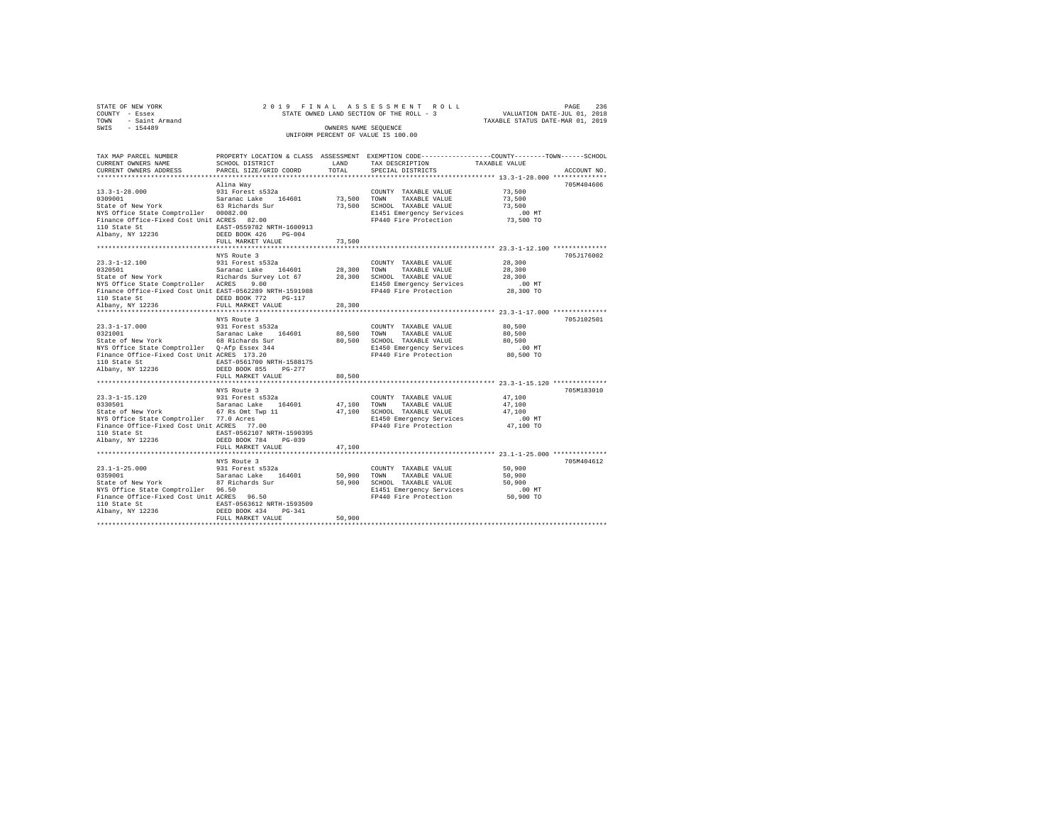| STATE OF NEW YORK      | 2019 FINAL ASSESSMENT ROLL               | 236<br>PAGE                      |
|------------------------|------------------------------------------|----------------------------------|
| COUNTY - Essex         | STATE OWNED LAND SECTION OF THE ROLL - 3 | VALUATION DATE-JUL 01, 2018      |
| - Saint Armand<br>TOWN |                                          | TAXABLE STATUS DATE-MAR 01, 2019 |
| $-154489$<br>SWIS      | OWNERS NAME SEOUENCE                     |                                  |
|                        | UNIFORM PERCENT OF VALUE IS 100.00       |                                  |

| TAX MAP PARCEL NUMBER<br>CURRENT OWNERS NAME<br>CURRENT OWNERS ADDRESS                                                                                                                                                                                                                                                                                               | PROPERTY LOCATION & CLASS ASSESSMENT EXEMPTION CODE---------------COUNTY-------TOWN------SCHOOL<br>SCHOOL DISTRICT<br>PARCEL SIZE/GRID COORD        | LAND<br>TOTAL         | TAX DESCRIPTION<br>SPECIAL DISTRICTS                                                                                                  | TAXABLE VALUE                                                                                                 | ACCOUNT NO. |
|----------------------------------------------------------------------------------------------------------------------------------------------------------------------------------------------------------------------------------------------------------------------------------------------------------------------------------------------------------------------|-----------------------------------------------------------------------------------------------------------------------------------------------------|-----------------------|---------------------------------------------------------------------------------------------------------------------------------------|---------------------------------------------------------------------------------------------------------------|-------------|
| $\begin{array}{lll}\n 13.3-1-28.000 & 931 & \text{Forest s532a} \\  0309001 & \text{Sarnanc Lake} & 164601 \\  \text{State of New York} & 63 & \text{Richards Sur} \\  \text{Wra of the network} & 3 & \text{Richards Sur}\n \end{array}$<br>NYS Office State Comptroller 00082.00<br>Finance Office-Fixed Cost Unit ACRES 82.00<br>110 State St<br>Albany, NY 12236 | Alina Wav<br>EAST-0559782 NRTH-1600913<br>DEED BOOK 426<br>PG-004<br>FULL MARKET VALUE                                                              | 73,500 TOWN<br>73,500 | COUNTY TAXABLE VALUE<br>TAXABLE VALUE<br>73.500 SCHOOL TAXABLE VALUE<br>E1451 Emergency Services<br>FP440 Fire Protection             | 73,500<br>73,500<br>73,500<br>$.00$ MT<br>73,500 TO                                                           | 705M404606  |
| NYS Office State Comptroller ACRES<br>Finance Office-Fixed Cost Unit EAST-0562289 NRTH-1591988<br>110 State St<br>Albany, NY 12236                                                                                                                                                                                                                                   | NYS Route 3<br>9.00<br>DEED BOOK 772 PG-117<br>FULL MARKET VALUE                                                                                    | 28,300                | E1450 Emergency Services<br>FP440 Fire Protection                                                                                     | 28,300<br>28,300<br>28,300<br>$.00$ MT<br>28,300 TO                                                           | 705J176002  |
| $23.3 - 1 - 17.000$<br>0321001  Saranac Lake 164601<br>State of New York    68 Richards Sur<br>NYS Office State Comptroller - Q-Afp Essex 344<br>Finance Office-Fixed Cost Unit ACRES - 173.20<br>110 State St<br>Albany, NY 12236                                                                                                                                   | NYS Route 3<br>931 Forest s532a<br>EAST-0561700 NRTH-1588175<br>DEED BOOK 855 PG-277<br>FULL MARKET VALUE                                           | 80,500                | COUNTY TAXABLE VALUE<br>80,500 TOWN TAXABLE VALUE<br>80,500 SCHOOL TAXABLE VALUE<br>E1450 Emergency Services<br>FP440 Fire Protection | 80,500<br>80,500<br>80,500<br>.00 MT<br>80,500 TO                                                             | 705J102501  |
| 23.3-1-15.120<br>23.1.1.1.20<br>0330501 - Saranac Lake 164601<br>State of New York - 67 Rs Omt Twp 11<br>nis Office State Comptroller - 77.0 Acres<br>Finance Office-Fixed Cost Unit ACRES - 77.00<br>110 State Cr<br>110 State St<br>Albany, NY 12236                                                                                                               | NYS Route 3<br>931 Forest s532a<br>EAST-0562107 NRTH-1590395<br>DEED BOOK 784 PG-039<br>FULL MARKET VALUE<br>**************************             | 47,100 TOWN<br>47,100 | COUNTY TAXABLE VALUE<br>TAXABLE VALUE<br>47,100 SCHOOL TAXABLE VALUE<br>E1450 Emergency Services<br>FP440 Fire Protection             | 47,100<br>47,100<br>47,100<br>.00 MT<br>47,100 TO<br>*************************** 23.1-1-25.000 ************** | 705M183010  |
| $23.1 - 1 - 25.000$<br>0359001<br>State of New York<br>wis UIIICE State Comptroller 96.50<br>Finance Office-Fixed Cost Unit ACRES 96.50<br>110 State Cr<br>110 State St<br>Albany, NY 12236                                                                                                                                                                          | NYS Route 3<br>931 Forest s532a<br>Saranac Lake 164601<br>87 Richards Sur<br>EAST-0563612 NRTH-1593509<br>DEED BOOK 434 PG-341<br>FULL MARKET VALUE | 50.900 TOWN<br>50,900 | COUNTY TAXABLE VALUE<br>TAXABLE VALUE<br>50,900 SCHOOL TAXABLE VALUE<br>E1451 Emergency Services<br>FP440 Fire Protection             | 50,900<br>50,900<br>50,900<br>$.00$ MT<br>50,900 TO                                                           | 705M404612  |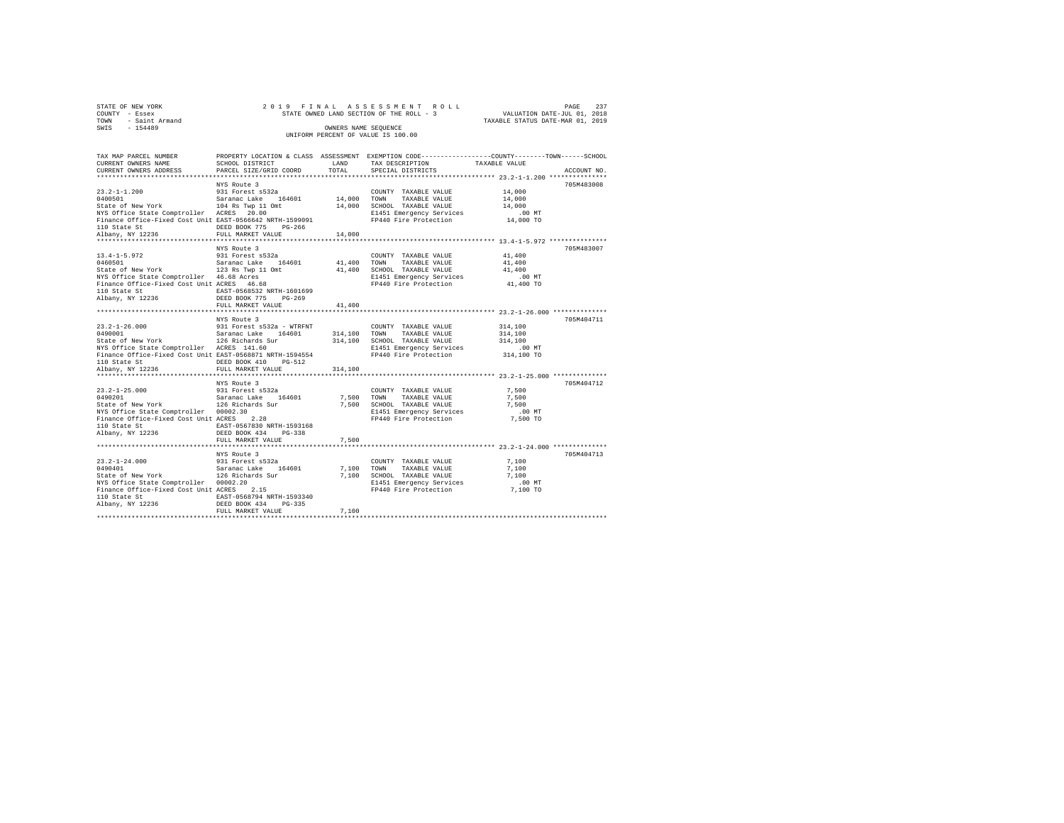| STATE OF NEW YORK      | 2019 FINAL ASSESSMENT ROLL               | 237<br>PAGE                      |
|------------------------|------------------------------------------|----------------------------------|
| COUNTY - Essex         | STATE OWNED LAND SECTION OF THE ROLL - 3 | VALUATION DATE-JUL 01, 2018      |
| - Saint Armand<br>TOWN |                                          | TAXABLE STATUS DATE-MAR 01, 2019 |
| SWIS<br>$-154489$      | OWNERS NAME SEOUENCE                     |                                  |
|                        | UNIFORM PERCENT OF VALUE IS 100.00       |                                  |

| TAX MAP PARCEL NUMBER                                                                                                                                                                                                                 |                                           |               | PROPERTY LOCATION & CLASS ASSESSMENT EXEMPTION CODE---------------COUNTY-------TOWN------SCHOOL                      |                    |             |
|---------------------------------------------------------------------------------------------------------------------------------------------------------------------------------------------------------------------------------------|-------------------------------------------|---------------|----------------------------------------------------------------------------------------------------------------------|--------------------|-------------|
| CURRENT OWNERS NAME<br>CURRENT OWNERS ADDRESS                                                                                                                                                                                         | SCHOOL DISTRICT<br>PARCEL SIZE/GRID COORD | LAND<br>TOTAL | TAX DESCRIPTION<br>SPECIAL DISTRICTS                                                                                 | TAXABLE VALUE      | ACCOUNT NO. |
|                                                                                                                                                                                                                                       |                                           |               |                                                                                                                      |                    |             |
|                                                                                                                                                                                                                                       | NYS Route 3                               |               |                                                                                                                      |                    | 705M483008  |
|                                                                                                                                                                                                                                       |                                           |               | COUNTY TAXABLE VALUE 14,000                                                                                          |                    |             |
|                                                                                                                                                                                                                                       |                                           |               |                                                                                                                      | 14,000             |             |
|                                                                                                                                                                                                                                       |                                           |               |                                                                                                                      | 14,000             |             |
|                                                                                                                                                                                                                                       |                                           |               |                                                                                                                      |                    |             |
|                                                                                                                                                                                                                                       |                                           |               |                                                                                                                      |                    |             |
|                                                                                                                                                                                                                                       | DEED BOOK 775 PG-266                      |               |                                                                                                                      |                    |             |
|                                                                                                                                                                                                                                       |                                           | 14,000        |                                                                                                                      |                    |             |
|                                                                                                                                                                                                                                       |                                           |               |                                                                                                                      |                    |             |
|                                                                                                                                                                                                                                       | NYS Route 3                               |               |                                                                                                                      |                    | 705M483007  |
|                                                                                                                                                                                                                                       |                                           |               |                                                                                                                      | 41,400             |             |
|                                                                                                                                                                                                                                       |                                           |               |                                                                                                                      | 41,400             |             |
|                                                                                                                                                                                                                                       |                                           |               |                                                                                                                      | 41,400             |             |
| NYS Office State Comptroller 46.68 Acres<br>Finance Office-Fixed Cost Unit ACRES 46.68                                                                                                                                                |                                           |               | E1451 Emergency Services                                                                                             | $.00$ MT           |             |
|                                                                                                                                                                                                                                       |                                           |               | FP440 Fire Protection 41,400 TO                                                                                      |                    |             |
| 110 State St                                                                                                                                                                                                                          |                                           |               |                                                                                                                      |                    |             |
| Albany, NY 12236                                                                                                                                                                                                                      |                                           |               |                                                                                                                      |                    |             |
|                                                                                                                                                                                                                                       |                                           | 41,400        |                                                                                                                      |                    |             |
|                                                                                                                                                                                                                                       |                                           |               |                                                                                                                      |                    |             |
|                                                                                                                                                                                                                                       | NYS Route 3                               |               | COUNTY TAXABLE VALUE                                                                                                 |                    | 705M404711  |
|                                                                                                                                                                                                                                       |                                           |               |                                                                                                                      | 314,100<br>314,100 |             |
| 23.2-1-26.000<br>0490001 931 Forest s532a - WTRFNT<br>52401000 5231 126 Richards Sur<br>52401 126 Richards 126 Richards Sur<br>NYS Office State Comptroller ACRES 141.60                                                              |                                           |               | $314,100 \qquad \hbox{TOWN} \qquad \hbox{TAXABLE VALUE} \\ 314,100 \qquad \hbox{SCHOOL} \qquad \hbox{TAXABLE VALUE}$ | 314,100            |             |
|                                                                                                                                                                                                                                       |                                           |               | E1451 Emergency Services                                                                                             | $.00$ MT           |             |
| Finance Office-Fixed Cost Unit EAST-0568871 NRTH-1594554                                                                                                                                                                              |                                           |               | FP440 Fire Protection 314,100 TO                                                                                     |                    |             |
| 110 State St                                                                                                                                                                                                                          | DEED BOOK 410 PG-512                      |               |                                                                                                                      |                    |             |
| Albany, NY 12236                                                                                                                                                                                                                      | FULL MARKET VALUE                         | 314,100       |                                                                                                                      |                    |             |
|                                                                                                                                                                                                                                       |                                           |               |                                                                                                                      |                    |             |
|                                                                                                                                                                                                                                       |                                           |               |                                                                                                                      |                    | 705M404712  |
|                                                                                                                                                                                                                                       |                                           |               | COUNTY TAXABLE VALUE 7.500                                                                                           |                    |             |
|                                                                                                                                                                                                                                       |                                           |               |                                                                                                                      | 7.500              |             |
|                                                                                                                                                                                                                                       |                                           |               |                                                                                                                      | 7,500              |             |
|                                                                                                                                                                                                                                       |                                           |               |                                                                                                                      | .00MT              |             |
| Finance Office-Fixed Cost Unit ACRES 2.28                                                                                                                                                                                             |                                           |               | FP440 Fire Protection 7,500 TO                                                                                       |                    |             |
| 110 State St                                                                                                                                                                                                                          | EAST-0567830 NRTH-1593168                 |               |                                                                                                                      |                    |             |
| Albany, NY 12236                                                                                                                                                                                                                      | DEED BOOK 434 PG-338                      |               |                                                                                                                      |                    |             |
|                                                                                                                                                                                                                                       | FULL MARKET VALUE                         | 7,500         |                                                                                                                      |                    |             |
|                                                                                                                                                                                                                                       |                                           |               |                                                                                                                      |                    |             |
|                                                                                                                                                                                                                                       |                                           |               |                                                                                                                      |                    | 705M404713  |
|                                                                                                                                                                                                                                       |                                           |               |                                                                                                                      | 7,100              |             |
|                                                                                                                                                                                                                                       |                                           |               |                                                                                                                      | 7.100              |             |
|                                                                                                                                                                                                                                       |                                           |               |                                                                                                                      | 7,100              |             |
|                                                                                                                                                                                                                                       |                                           |               | E1451 Emergency Services<br>FP440 Fire Protection                                                                    | $.00$ MT           |             |
| 13.2-1-24.000<br>1991 Forest s532a<br>1991 Forest s532a<br>1991 Saranac Lake 164601 7,100 TONN TAXABLE VALUE<br>Saranac Lake 164601 7,100 TONN TAXABLE VALUE STARBLE VALUE<br>20002.20 7,100 SCHOOL ENSERGE PRESS PRESS PRESS PRESS P |                                           |               |                                                                                                                      | $7,100$ TO         |             |
|                                                                                                                                                                                                                                       |                                           |               |                                                                                                                      |                    |             |
|                                                                                                                                                                                                                                       |                                           |               |                                                                                                                      |                    |             |
|                                                                                                                                                                                                                                       | FULL MARKET VALUE                         | 7,100         |                                                                                                                      |                    |             |
|                                                                                                                                                                                                                                       |                                           |               |                                                                                                                      |                    |             |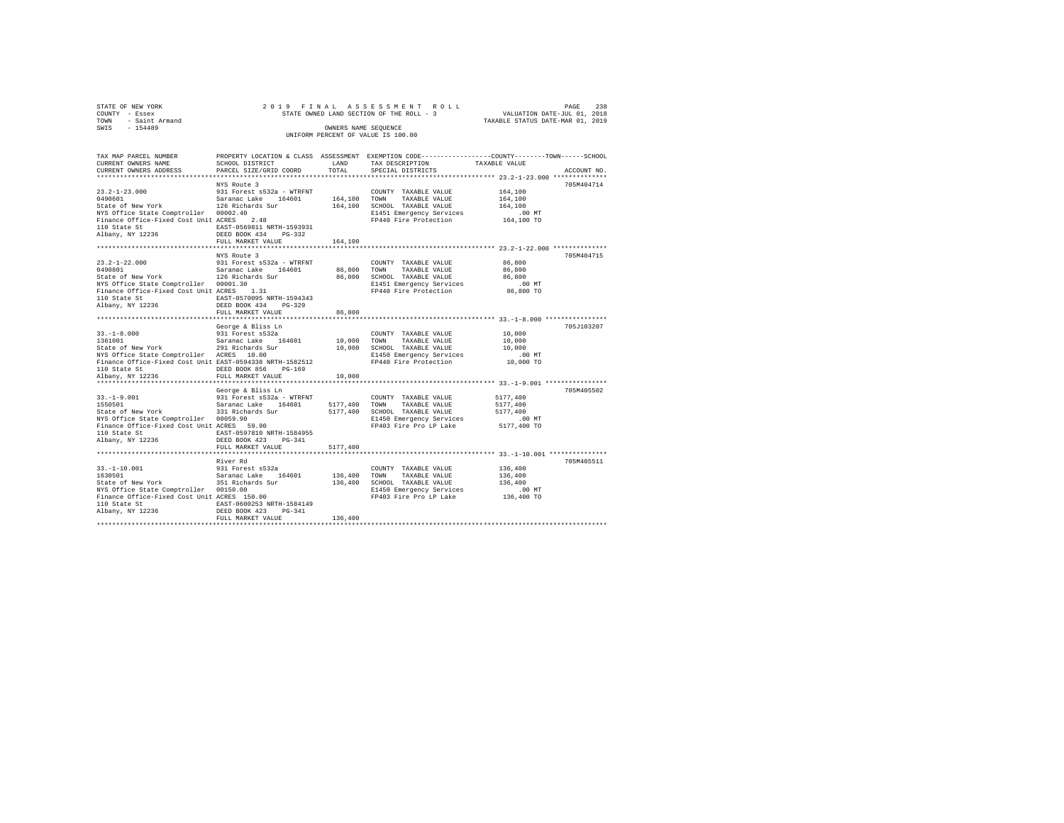| STATE OF NEW YORK      |  | 2019 FINAL ASSESSMENT ROLL               |                                  | PAGE | -238 |
|------------------------|--|------------------------------------------|----------------------------------|------|------|
| COUNTY - Essex         |  | STATE OWNED LAND SECTION OF THE ROLL - 3 | VALUATION DATE-JUL 01, 2018      |      |      |
| - Saint Armand<br>TOWN |  |                                          | TAXABLE STATUS DATE-MAR 01, 2019 |      |      |
| SWTS<br>$-154489$      |  | OWNERS NAME SEOUENCE                     |                                  |      |      |
|                        |  | UNIFORM PERCENT OF VALUE IS 100.00       |                                  |      |      |

| TAX MAP PARCEL NUMBER<br>CURRENT OWNERS NAME                                                                                   | PROPERTY LOCATION & CLASS ASSESSMENT EXEMPTION CODE---------------COUNTY-------TOWN-----SCHOOL<br>SCHOOL DISTRICT | LAND         | TAX DESCRIPTION                                   | TAXABLE VALUE                                     |             |
|--------------------------------------------------------------------------------------------------------------------------------|-------------------------------------------------------------------------------------------------------------------|--------------|---------------------------------------------------|---------------------------------------------------|-------------|
| CURRENT OWNERS ADDRESS                                                                                                         | PARCEL SIZE/GRID COORD                                                                                            | TOTAL        | SPECIAL DISTRICTS                                 |                                                   | ACCOUNT NO. |
|                                                                                                                                |                                                                                                                   |              |                                                   |                                                   |             |
|                                                                                                                                | NYS Route 3                                                                                                       |              |                                                   |                                                   | 705M404714  |
|                                                                                                                                |                                                                                                                   |              | COUNTY TAXABLE VALUE                              | 164,100                                           |             |
| 13.2-1-23.000<br>1490601 0991 931 Forest s532a - WTRFNT 164,100<br>164100 5tate of New York 126 126 Richards Sur 164,100 5CHOC |                                                                                                                   |              | TAXABLE VALUE                                     | 164,100                                           |             |
|                                                                                                                                |                                                                                                                   |              | 164.100 SCHOOL TAXABLE VALUE                      | 164,100                                           |             |
| NYS Office State Comptroller 00002.40<br>Finance Office-Fixed Cost Unit ACRES                                                  | $\frac{40}{2.48}$                                                                                                 |              | E1451 Emergency Services<br>FP440 Fire Protection | .00 MT                                            |             |
|                                                                                                                                | EAST-0569811 NRTH-1593931                                                                                         |              |                                                   | 164,100 TO                                        |             |
|                                                                                                                                |                                                                                                                   |              |                                                   |                                                   |             |
|                                                                                                                                | FULL MARKET VALUE                                                                                                 | 164,100      |                                                   |                                                   |             |
|                                                                                                                                | ************************                                                                                          |              |                                                   | ********************* 23.2-1-22.000 ************* |             |
|                                                                                                                                | NYS Route 3                                                                                                       |              |                                                   |                                                   | 705M404715  |
|                                                                                                                                |                                                                                                                   |              | COUNTY TAXABLE VALUE                              | 86,800                                            |             |
|                                                                                                                                |                                                                                                                   | 86.800 TOWN  | TAXABLE VALUE                                     | 86,800                                            |             |
|                                                                                                                                |                                                                                                                   |              | 86,800 SCHOOL TAXABLE VALUE                       | 86,800                                            |             |
|                                                                                                                                |                                                                                                                   |              | E1451 Emergency Services                          | .00MT                                             |             |
| NYS Office State Comptroller 00001.30<br>Finance Office-Fixed Cost Unit ACRES 1.31                                             |                                                                                                                   |              | FP440 Fire Protection                             | 86,800 TO                                         |             |
|                                                                                                                                |                                                                                                                   |              |                                                   |                                                   |             |
|                                                                                                                                |                                                                                                                   |              |                                                   |                                                   |             |
|                                                                                                                                | FULL MARKET VALUE                                                                                                 | 86,800       |                                                   |                                                   |             |
|                                                                                                                                |                                                                                                                   |              |                                                   |                                                   |             |
|                                                                                                                                | George & Bliss Ln                                                                                                 |              |                                                   |                                                   | 705J103207  |
|                                                                                                                                |                                                                                                                   |              | COUNTY TAXABLE VALUE                              | 10,000                                            |             |
|                                                                                                                                |                                                                                                                   | 10,000 TOWN  | TAXABLE VALUE                                     | 10,000                                            |             |
|                                                                                                                                |                                                                                                                   |              | 10,000 SCHOOL TAXABLE VALUE                       | 10,000                                            |             |
|                                                                                                                                |                                                                                                                   |              | E1450 Emergency Services                          | .00MT                                             |             |
| Finance Office-Fixed Cost Unit EAST-0594338 NRTH-1582512                                                                       |                                                                                                                   |              | FP440 Fire Protection                             | 10,000 TO                                         |             |
|                                                                                                                                | DEED BOOK 856<br>$PG-169$                                                                                         |              |                                                   |                                                   |             |
| 110 State St<br>Albany, NY 12236                                                                                               | FULL MARKET VALUE                                                                                                 | 10,000       |                                                   |                                                   |             |
|                                                                                                                                |                                                                                                                   |              |                                                   |                                                   |             |
|                                                                                                                                | George & Bliss Ln                                                                                                 |              |                                                   |                                                   | 705M405502  |
|                                                                                                                                |                                                                                                                   |              | COUNTY TAXABLE VALUE                              | 5177,400                                          |             |
|                                                                                                                                |                                                                                                                   |              | 5177,400 TOWN TAXABLE VALUE                       | 5177,400                                          |             |
| 33.-1-9.001 931 Forest s532a - WTRFNT<br>1550501 931 Saranac Lake 164601<br>State of New York 331 Richards Sur                 |                                                                                                                   |              | 5177,400 SCHOOL TAXABLE VALUE                     | 5177.400                                          |             |
|                                                                                                                                |                                                                                                                   |              | E1450 Emergency Services                          | $.00$ MT                                          |             |
| wis UIIICE State Comptroller 00059.90<br>Finance Office-Fixed Cost Unit ACRES 59.90<br>110 State Co                            |                                                                                                                   |              | FP403 Fire Pro LP Lake                            | 5177,400 TO                                       |             |
| 110 State St                                                                                                                   | EAST-0597810 NRTH-1584955                                                                                         |              |                                                   |                                                   |             |
| Albany, NY 12236                                                                                                               | DEED BOOK 423 PG-341                                                                                              |              |                                                   |                                                   |             |
|                                                                                                                                | FULL MARKET VALUE                                                                                                 | 5177,400     |                                                   |                                                   |             |
|                                                                                                                                |                                                                                                                   |              |                                                   |                                                   |             |
|                                                                                                                                | River Rd                                                                                                          |              |                                                   |                                                   | 705M405511  |
| $33. - 1 - 10.001$                                                                                                             | 931 Forest s532a                                                                                                  |              | COUNTY TAXABLE VALUE                              | 136,400                                           |             |
| 1630501                                                                                                                        |                                                                                                                   | 136,400 TOWN | TAXABLE VALUE                                     | 136,400                                           |             |
| State of New York                                                                                                              | ----<br>Saranac Lake 164601<br>351 Richards Sur                                                                   |              | 136,400 SCHOOL TAXABLE VALUE                      | 136,400                                           |             |
| ville state Comptroiler = 00150.00<br>Finance Office-Fixed Cost Unit ACRES = 150.00<br>110 State Cr                            |                                                                                                                   |              | E1450 Emergency Services                          | $.00$ MT                                          |             |
|                                                                                                                                |                                                                                                                   |              | FP403 Fire Pro LP Lake                            | $136,400$ TO                                      |             |
| 110 State St                                                                                                                   | EAST-0600253 NRTH-1584149                                                                                         |              |                                                   |                                                   |             |
| Albany, NY 12236                                                                                                               | DEED BOOK 423<br>$PG-341$                                                                                         |              |                                                   |                                                   |             |
|                                                                                                                                | FULL MARKET VALUE                                                                                                 | 136,400      |                                                   |                                                   |             |
|                                                                                                                                |                                                                                                                   |              |                                                   |                                                   |             |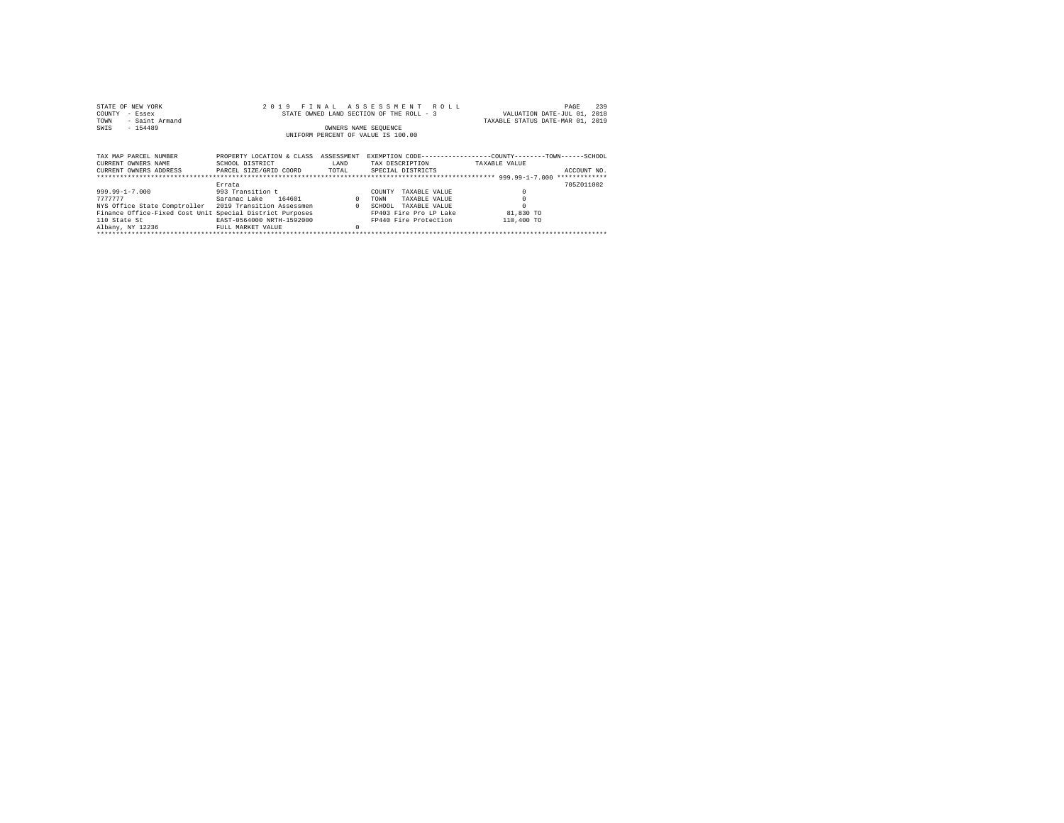| STATE OF NEW YORK<br>COUNTY<br>- Essex<br>- Saint Armand<br>TOWN<br>$-154489$<br>SWIS                                                                                                     | 2019                                                                                                   | F T N A T.<br>OWNERS NAME SEQUENCE | ASSESSMENT ROLL<br>STATE OWNED LAND SECTION OF THE ROLL - 3<br>UNIFORM PERCENT OF VALUE IS 100.00                              | 239<br>PAGE<br>VALUATION DATE-JUL 01, 2018<br>TAXABLE STATUS DATE-MAR 01, 2019                |
|-------------------------------------------------------------------------------------------------------------------------------------------------------------------------------------------|--------------------------------------------------------------------------------------------------------|------------------------------------|--------------------------------------------------------------------------------------------------------------------------------|-----------------------------------------------------------------------------------------------|
| TAX MAP PARCEL NUMBER<br>CURRENT OWNERS NAME<br>CURRENT OWNERS ADDRESS PARCEL SIZE/GRID COORD TOTAL                                                                                       | PROPERTY LOCATION & CLASS<br>SCHOOL DISTRICT                                                           | ASSESSMENT<br>LAND                 | TAX DESCRIPTION<br>SPECIAL DISTRICTS                                                                                           | EXEMPTION CODE------------------COUNTY-------TOWN------SCHOOL<br>TAXABLE VALUE<br>ACCOUNT NO. |
| $999.99 - 1 - 7.000$<br>7777777<br>NYS Office State Comptroller 2019 Transition Assessmen<br>Finance Office-Fixed Cost Unit Special District Purposes<br>110 State St<br>Albany, NY 12236 | Errata<br>993 Transition t<br>164601<br>Saranac Lake<br>EAST-0564000 NRTH-1592000<br>FULL MARKET VALUE | $\Omega$<br>$\sim$ 0               | COUNTY<br>TAXARLE VALUE<br>TOWN<br>TAXABLE VALUE<br>SCHOOL<br>TAXABLE VALUE<br>FP403 Fire Pro LP Lake<br>FP440 Fire Protection | 705Z011002<br>81,830 TO<br>110,400 TO                                                         |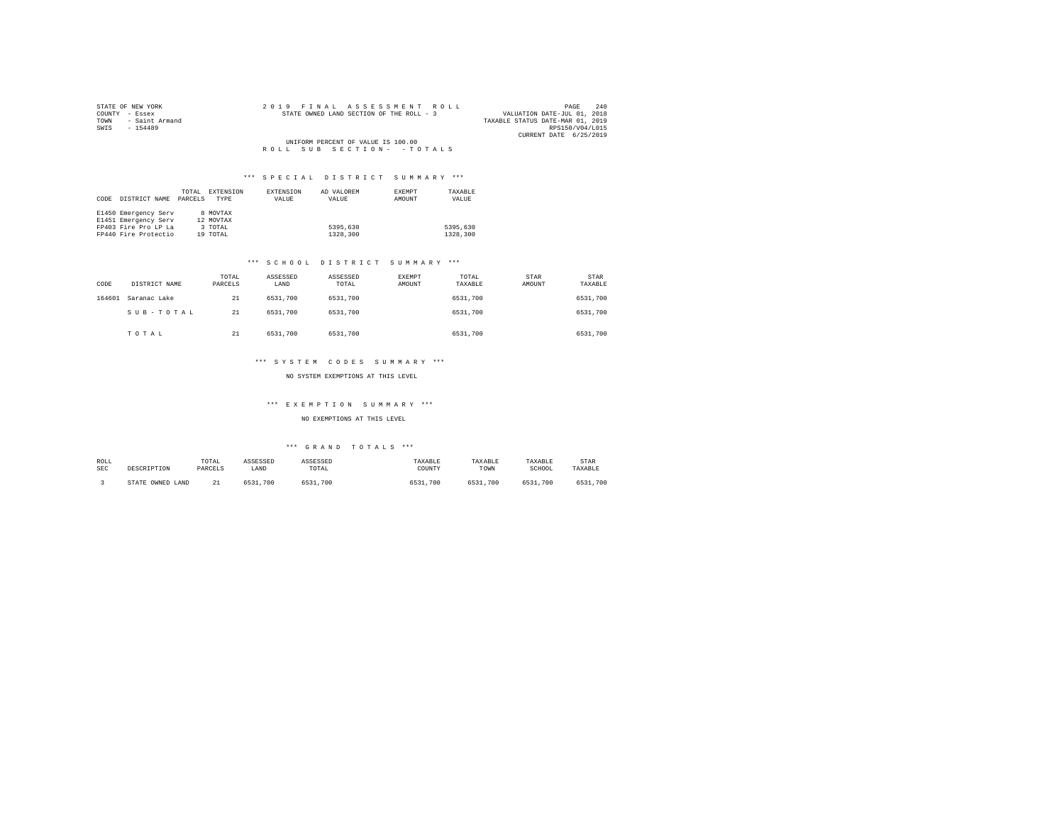| STATE OF NEW YORK   |  |  | 2019 FINAL ASSESSMENT ROLL               |  |  |                                  | PAGE                   | 240 |
|---------------------|--|--|------------------------------------------|--|--|----------------------------------|------------------------|-----|
| COUNTY - Essex      |  |  | STATE OWNED LAND SECTION OF THE ROLL - 3 |  |  | VALUATION DATE-JUL 01, 2018      |                        |     |
| TOWN - Saint Armand |  |  |                                          |  |  | TAXABLE STATUS DATE-MAR 01, 2019 |                        |     |
| SWIS<br>$-154489$   |  |  |                                          |  |  |                                  | RPS150/V04/L015        |     |
|                     |  |  |                                          |  |  |                                  | CURRENT DATE 6/25/2019 |     |
|                     |  |  | UNIFORM PERCENT OF VALUE IS 100.00       |  |  |                                  |                        |     |
|                     |  |  | ROLL SUB SECTION- - TOTALS               |  |  |                                  |                        |     |

|      |                      | TOTAL   | EXTENSION   | EXTENSION | AD VALOREM | EXEMPT | TAXABLE  |
|------|----------------------|---------|-------------|-----------|------------|--------|----------|
| CODE | DISTRICT NAME        | PARCELS | <b>TYPE</b> | VALUE     | VALUE      | AMOUNT | VALUE    |
|      |                      |         |             |           |            |        |          |
|      | E1450 Emergency Serv |         | 8 MOVTAX    |           |            |        |          |
|      | E1451 Emergency Serv |         | 12 MOVTAX   |           |            |        |          |
|      | FP403 Fire Pro LP La |         | 3 TOTAL     |           | 5395,630   |        | 5395,630 |
|      | FP440 Fire Protectio |         | 19 TOTAL    |           | 1328,300   |        | 1328,300 |

### \*\*\* S C H O O L D I S T R I C T S U M M A R Y \*\*\*

| CODE   | DISTRICT NAME | TOTAL<br>PARCELS | ASSESSED<br>LAND | ASSESSED<br>TOTAL | EXEMPT<br>AMOUNT | TOTAL<br>TAXABLE | <b>STAR</b><br>AMOUNT | STAR<br>TAXABLE |
|--------|---------------|------------------|------------------|-------------------|------------------|------------------|-----------------------|-----------------|
| 164601 | Saranac Lake  | 21               | 6531,700         | 6531,700          |                  | 6531,700         |                       | 6531,700        |
|        | SUB-TOTAL     | 21               | 6531,700         | 6531,700          |                  | 6531,700         |                       | 6531,700        |
|        | TOTAL         | 21               | 6531,700         | 6531,700          |                  | 6531,700         |                       | 6531,700        |

# \*\*\* S Y S T E M C O D E S S U M M A R Y \*\*\*

## NO SYSTEM EXEMPTIONS AT THIS LEVEL

# \*\*\* E X E M P T I O N S U M M A R Y \*\*\*

NO EXEMPTIONS AT THIS LEVEL

| ROLL<br><b>SEC</b> | DESCRIPTION            | TOTAL<br>PARCELS | ASSESSED<br>LAND | ASSESSED<br>TOTAL | TAXABLE<br>COUNTY | TAXABLE<br>TOWN | TAXABLE<br>SCHOOL | STAR<br>TAXABLE |
|--------------------|------------------------|------------------|------------------|-------------------|-------------------|-----------------|-------------------|-----------------|
|                    | STATE<br>OWNED<br>LAND | 21<br>44         | 6531.<br>700     | .700<br>6531      | 6531,700          | 6531<br>.700    | 6531,700          | 6531,700        |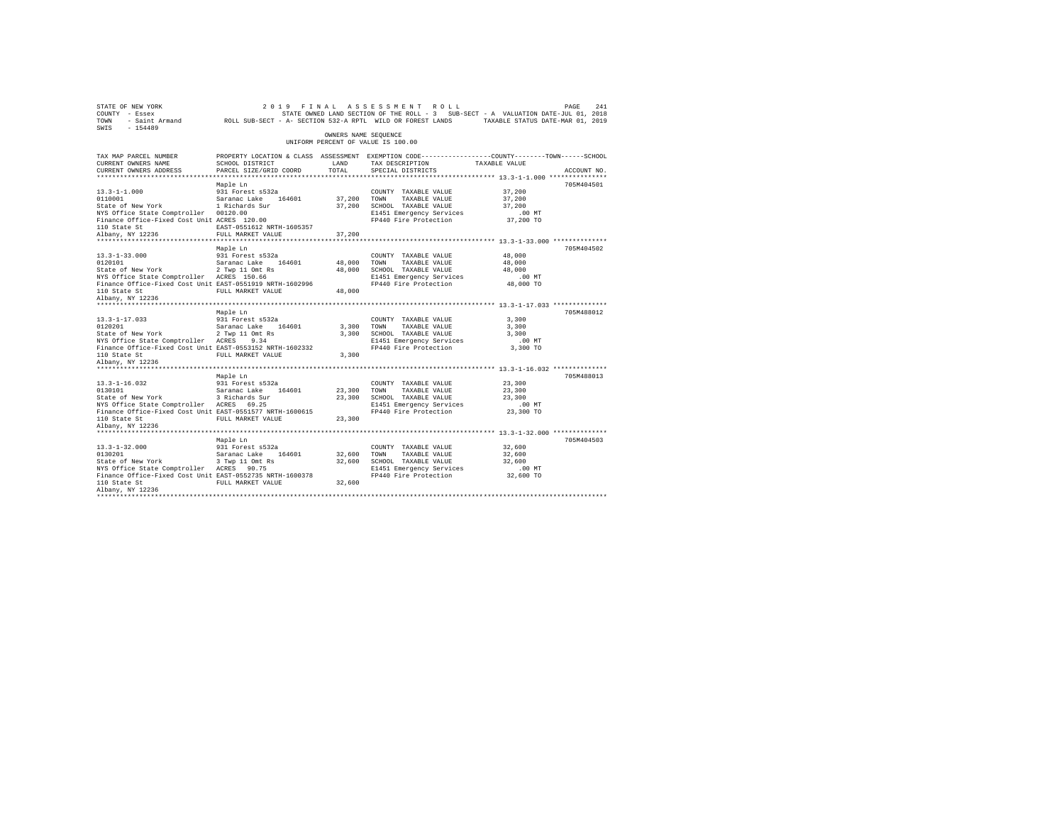| PAGE 241 2019 FINAL ASSESSMENT ROLL DATE PAGE 241<br>COUNTY - Essex STATE OWNED LAND SECTION OF THE ROLL - 3 SUB-SECT - A VALUATION DATE-JUL 01, 2018<br>TOWN - Saint Armand ROLL SUB-SECT - A- SECTION 532-A RPTL WILD OR FOREST LA |                                                                                                                                              | OWNERS NAME SEQUENCE |                                                                      |                            |             |
|--------------------------------------------------------------------------------------------------------------------------------------------------------------------------------------------------------------------------------------|----------------------------------------------------------------------------------------------------------------------------------------------|----------------------|----------------------------------------------------------------------|----------------------------|-------------|
|                                                                                                                                                                                                                                      |                                                                                                                                              |                      | UNIFORM PERCENT OF VALUE IS 100.00                                   |                            |             |
| TAX MAP PARCEL NUMBER<br>CURRENT OWNERS NAME<br>CURRENT OWNERS ADDRESS                                                                                                                                                               | PROPERTY LOCATION & CLASS ASSESSMENT EXEMPTION CODE---------------COUNTY-------TOWN------SCHOOL<br>SCHOOL DISTRICT<br>PARCEL SIZE/GRID COORD | LAND<br>TOTAL        | TAX DESCRIPTION TAXABLE VALUE<br>SPECIAL DISTRICTS                   |                            | ACCOUNT NO. |
|                                                                                                                                                                                                                                      |                                                                                                                                              |                      |                                                                      |                            |             |
|                                                                                                                                                                                                                                      | Maple Ln                                                                                                                                     |                      |                                                                      |                            | 705M404501  |
|                                                                                                                                                                                                                                      |                                                                                                                                              |                      |                                                                      |                            |             |
|                                                                                                                                                                                                                                      |                                                                                                                                              |                      |                                                                      |                            |             |
|                                                                                                                                                                                                                                      | Maple Ln                                                                                                                                     |                      |                                                                      |                            | 705M404502  |
|                                                                                                                                                                                                                                      |                                                                                                                                              |                      |                                                                      |                            |             |
|                                                                                                                                                                                                                                      |                                                                                                                                              |                      |                                                                      |                            |             |
|                                                                                                                                                                                                                                      |                                                                                                                                              |                      |                                                                      |                            |             |
|                                                                                                                                                                                                                                      | Maple Ln                                                                                                                                     |                      |                                                                      | 3,300                      | 705M488012  |
|                                                                                                                                                                                                                                      |                                                                                                                                              |                      |                                                                      | 3,300                      |             |
|                                                                                                                                                                                                                                      |                                                                                                                                              |                      |                                                                      | 3,300                      |             |
|                                                                                                                                                                                                                                      |                                                                                                                                              |                      |                                                                      |                            |             |
| WIS Office State Comptroller ACRES 9.34<br>FIABLE EMERGENCY SERVICES<br>FP440 Fire Protection 3,300 TO<br>110 State St. FOLL MARKET VALUE 3,300 TO<br>110 State St. 3,300 TO<br>Albany, NY 12236                                     |                                                                                                                                              |                      |                                                                      |                            |             |
|                                                                                                                                                                                                                                      |                                                                                                                                              |                      |                                                                      |                            |             |
|                                                                                                                                                                                                                                      | Maple Ln                                                                                                                                     |                      |                                                                      |                            | 705M488013  |
| 931 Forest space<br>0130101 Saranac Lake 164601<br>State of New York 3 Richards Sur<br>2010 Controller 2012 State Sur                                                                                                                |                                                                                                                                              |                      | COUNTY TAXABLE VALUE                                                 | 23,300                     |             |
| 110 State St<br>Albany, NY 12236                                                                                                                                                                                                     |                                                                                                                                              |                      |                                                                      |                            |             |
|                                                                                                                                                                                                                                      | Maple Ln                                                                                                                                     |                      |                                                                      |                            | 705M404503  |
|                                                                                                                                                                                                                                      |                                                                                                                                              |                      | COUNTY TAXABLE VALUE<br>TAXABLE VALUE<br>32,600 SCHOOL TAXABLE VALUE | 32,600<br>32,600<br>32,600 |             |
| Finance Office-Fixed Cost Unit EAST-0552735 NRTH-1600378<br>110 State St<br>Albany, NY 12236                                                                                                                                         |                                                                                                                                              |                      |                                                                      |                            |             |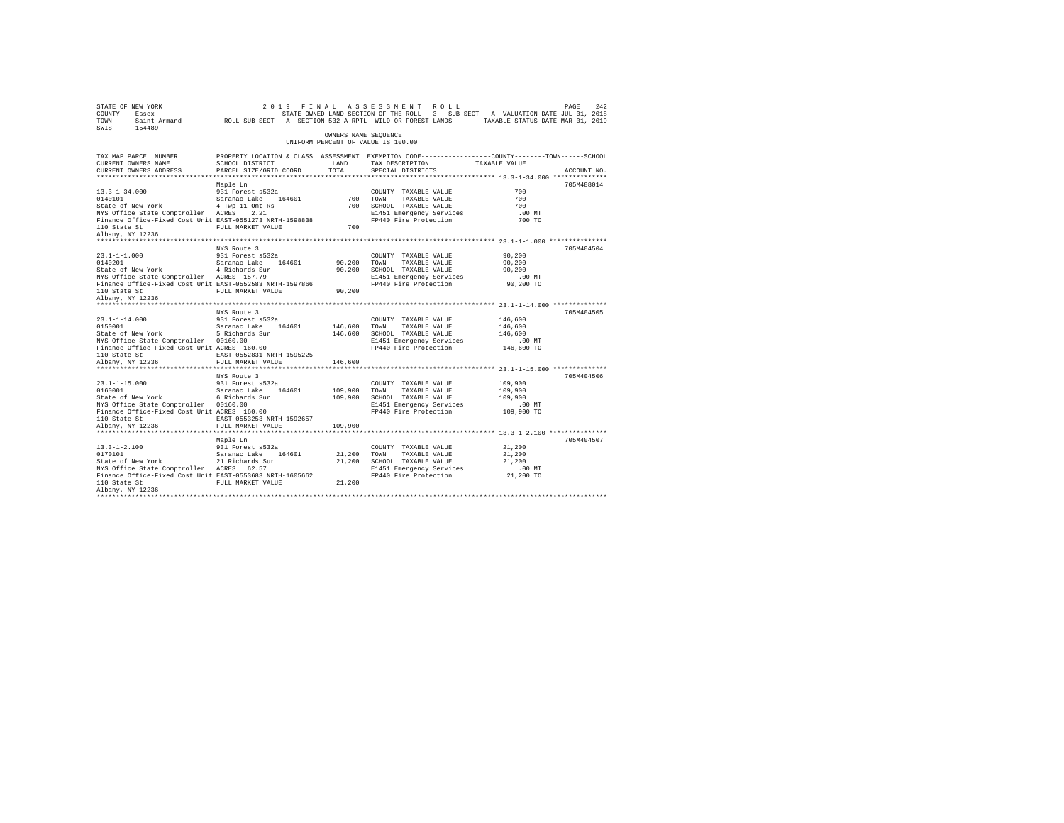| OWNERS NAME SEQUENCE<br>UNIFORM PERCENT OF VALUE IS 100.00<br>PROPERTY LOCATION & CLASS ASSESSMENT EXEMPTION CODE---------------COUNTY-------TOWN-----SCHOOL<br>TAX DESCRIPTION TAXABLE VALUE<br>SCHOOL DISTRICT<br>LAND<br>PARCEL SIZE/GRID COORD<br>TOTAL<br>SPECIAL DISTRICTS<br>ACCOUNT NO.<br>Maple Ln<br>705M488014<br>700<br>COUNTY TAXABLE VALUE<br>13.3-1-34.000 931 Forest $s532a$<br>0140101<br>State of New York $4$ Twp 11 Omt Rs<br>NYS Office State Comptroller $ACRES$ 2.21<br>COUNTIL TAXABLE VALUE<br>700 SCHOOL TAXABLE VALUE<br>700 SCHOOL TAXABLE VALUE<br>21451 E1440 Fire Protection<br>700<br>700<br>$.00$ MT<br>Finance Office-Fixed Cost Unit EAST-0551273 NRTH-1598838<br>700 TO<br>FULL MARKET VALUE<br>700<br>705M404504<br>NYS Route 3<br>COUNTY TAXABLE VALUE<br>90,200<br>90,200 TOWN<br>TAXABLE VALUE<br>90,200<br>Finance Office-Fixed Cost Unit EAST-0552583 NRTH-1597866<br>110 State St<br>Albany, NY 12236<br>NYS Route 3<br>705M404505<br>$\begin{tabular}{lllllllllll} 23.1\hbox{--}1\hbox{--}1\hbox{--}4.000 & & 931 Forest s532a \\ 0150001 & & Saranac Lake & 164601 \\ \end{tabular}$<br>COUNTY TAXABLE VALUE<br>146,600<br>146,600 TOWN<br>146,600<br>146,600 TOWN TAXABLE VALUE<br>146,600 SCHOOL TAXABLE VALUE<br>146,600<br>NYS Office State Comptroller 00160.00<br>E1451 Emergency Services<br>$.00$ MT<br>Finance Office-Fixed Cost Unit ACRES 160.00<br>FP440 Fire Protection 146,600 TO<br>EAST-0552831 NRTH-1595225<br>110 State St<br>FULL MARKET VALUE 146,600<br>Albany, NY 12236<br>****************************<br>NYS Route 3<br>705M404506<br>23.1-1-15.000 931 Forest s532a<br>0160001 931 Forest and Saranac Lake 164601 109,900 TOWN<br>209,900 SCHOOL 6 Richards Sur 109,900 SCHOOL<br>COUNTY TAXABLE VALUE<br>109,900<br>109,900 TOWN TAXABLE VALUE<br>109,900 SCHOOL TAXABLE VALUE<br>109,900<br>109,900<br>NYS Office State Comptroller 00160.00<br>E1451 Emergency Services<br>$.00$ MT<br>Finance Office-Fixed Cost Unit ACRES 160.00<br>FP440 Fire Protection 109,900 TO<br>EAST-0553253 NRTH-1592657<br>110 State St<br>FULL MARKET VALUE<br>Albany, NY 12236<br>109,900<br>************************************ 13.3-1-2.100 ****************<br>************************<br>705M404507<br>Maple Ln<br>$13.3 - 1 - 2.100$<br>931 Forest s532a<br>21,200<br>COUNTY TAXABLE VALUE<br>$\begin{tabular}{lllllllllllll} 13.3\mbox{-}1\mbox{-}2.100 & 931 Forest $532a & 001\mbox{N}TY \\ 0170101 & Saranac Lake & 164601 & 21,200 T0\mbox{N} \\ \mbox{State of New York} & 21 kidney & 21,200 T0\mbox{N}TY \\ \mbox{NS Office State Computer Access} & 62.57 & 21,200 T0\mbox{N}T1451 & 21,200 \end{tabular}$<br>21,200<br>TAXABLE VALUE<br>21,200 SCHOOL TAXABLE VALUE<br>21,200<br>Finance Office-Fixed Cost Unit EAST-0553683 NRTH-1605662<br>110 State St<br>Albany, NY 12236 | $\begin{array}{ccccccccc} \texttt{STATE OF NEW YORK} & & & & & 2\ 0 & 1 & 9 & & \texttt{F} \text{ I N A L} & \texttt{A S S S S S M E N T} & \texttt{R O L L} & & & & & & \texttt{PAGE} & 242 \\ \texttt{COUNTY} & - \texttt{Eseex} & & & & & & & \texttt{STATE ONNED LAND SCTION OF THE ROLL} & - 3 & \texttt{SUB-SECT} - A & \texttt{VALUATION DATE-JUL 01, 2018} \\ & & & & & & & \texttt{STATE ONNED LAND SICT.} & \texttt{RNTL WILD OR FOREST LANDS} & & & &$ |  |  |  |
|-------------------------------------------------------------------------------------------------------------------------------------------------------------------------------------------------------------------------------------------------------------------------------------------------------------------------------------------------------------------------------------------------------------------------------------------------------------------------------------------------------------------------------------------------------------------------------------------------------------------------------------------------------------------------------------------------------------------------------------------------------------------------------------------------------------------------------------------------------------------------------------------------------------------------------------------------------------------------------------------------------------------------------------------------------------------------------------------------------------------------------------------------------------------------------------------------------------------------------------------------------------------------------------------------------------------------------------------------------------------------------------------------------------------------------------------------------------------------------------------------------------------------------------------------------------------------------------------------------------------------------------------------------------------------------------------------------------------------------------------------------------------------------------------------------------------------------------------------------------------------------------------------------------------------------------------------------------------------------------------------------------------------------------------------------------------------------------------------------------------------------------------------------------------------------------------------------------------------------------------------------------------------------------------------------------------------------------------------------------------------------------------------------------------------------------------------------------------------------------------------------------------------------------------------------------------------------------------------------------------------------------------------------------------------------------------------------------------------------------------------------------------------------------------------------------------------------------------------------|-------------------------------------------------------------------------------------------------------------------------------------------------------------------------------------------------------------------------------------------------------------------------------------------------------------------------------------------------------------------------------------------------------------------------------------------------------------------|--|--|--|
|                                                                                                                                                                                                                                                                                                                                                                                                                                                                                                                                                                                                                                                                                                                                                                                                                                                                                                                                                                                                                                                                                                                                                                                                                                                                                                                                                                                                                                                                                                                                                                                                                                                                                                                                                                                                                                                                                                                                                                                                                                                                                                                                                                                                                                                                                                                                                                                                                                                                                                                                                                                                                                                                                                                                                                                                                                                       |                                                                                                                                                                                                                                                                                                                                                                                                                                                                   |  |  |  |
|                                                                                                                                                                                                                                                                                                                                                                                                                                                                                                                                                                                                                                                                                                                                                                                                                                                                                                                                                                                                                                                                                                                                                                                                                                                                                                                                                                                                                                                                                                                                                                                                                                                                                                                                                                                                                                                                                                                                                                                                                                                                                                                                                                                                                                                                                                                                                                                                                                                                                                                                                                                                                                                                                                                                                                                                                                                       | TAX MAP PARCEL NUMBER<br>CURRENT OWNERS NAME<br>CURRENT OWNERS ADDRESS                                                                                                                                                                                                                                                                                                                                                                                            |  |  |  |
|                                                                                                                                                                                                                                                                                                                                                                                                                                                                                                                                                                                                                                                                                                                                                                                                                                                                                                                                                                                                                                                                                                                                                                                                                                                                                                                                                                                                                                                                                                                                                                                                                                                                                                                                                                                                                                                                                                                                                                                                                                                                                                                                                                                                                                                                                                                                                                                                                                                                                                                                                                                                                                                                                                                                                                                                                                                       |                                                                                                                                                                                                                                                                                                                                                                                                                                                                   |  |  |  |
|                                                                                                                                                                                                                                                                                                                                                                                                                                                                                                                                                                                                                                                                                                                                                                                                                                                                                                                                                                                                                                                                                                                                                                                                                                                                                                                                                                                                                                                                                                                                                                                                                                                                                                                                                                                                                                                                                                                                                                                                                                                                                                                                                                                                                                                                                                                                                                                                                                                                                                                                                                                                                                                                                                                                                                                                                                                       |                                                                                                                                                                                                                                                                                                                                                                                                                                                                   |  |  |  |
|                                                                                                                                                                                                                                                                                                                                                                                                                                                                                                                                                                                                                                                                                                                                                                                                                                                                                                                                                                                                                                                                                                                                                                                                                                                                                                                                                                                                                                                                                                                                                                                                                                                                                                                                                                                                                                                                                                                                                                                                                                                                                                                                                                                                                                                                                                                                                                                                                                                                                                                                                                                                                                                                                                                                                                                                                                                       |                                                                                                                                                                                                                                                                                                                                                                                                                                                                   |  |  |  |
|                                                                                                                                                                                                                                                                                                                                                                                                                                                                                                                                                                                                                                                                                                                                                                                                                                                                                                                                                                                                                                                                                                                                                                                                                                                                                                                                                                                                                                                                                                                                                                                                                                                                                                                                                                                                                                                                                                                                                                                                                                                                                                                                                                                                                                                                                                                                                                                                                                                                                                                                                                                                                                                                                                                                                                                                                                                       | 110 State St<br>Albany, NY 12236                                                                                                                                                                                                                                                                                                                                                                                                                                  |  |  |  |
|                                                                                                                                                                                                                                                                                                                                                                                                                                                                                                                                                                                                                                                                                                                                                                                                                                                                                                                                                                                                                                                                                                                                                                                                                                                                                                                                                                                                                                                                                                                                                                                                                                                                                                                                                                                                                                                                                                                                                                                                                                                                                                                                                                                                                                                                                                                                                                                                                                                                                                                                                                                                                                                                                                                                                                                                                                                       |                                                                                                                                                                                                                                                                                                                                                                                                                                                                   |  |  |  |
|                                                                                                                                                                                                                                                                                                                                                                                                                                                                                                                                                                                                                                                                                                                                                                                                                                                                                                                                                                                                                                                                                                                                                                                                                                                                                                                                                                                                                                                                                                                                                                                                                                                                                                                                                                                                                                                                                                                                                                                                                                                                                                                                                                                                                                                                                                                                                                                                                                                                                                                                                                                                                                                                                                                                                                                                                                                       |                                                                                                                                                                                                                                                                                                                                                                                                                                                                   |  |  |  |
|                                                                                                                                                                                                                                                                                                                                                                                                                                                                                                                                                                                                                                                                                                                                                                                                                                                                                                                                                                                                                                                                                                                                                                                                                                                                                                                                                                                                                                                                                                                                                                                                                                                                                                                                                                                                                                                                                                                                                                                                                                                                                                                                                                                                                                                                                                                                                                                                                                                                                                                                                                                                                                                                                                                                                                                                                                                       |                                                                                                                                                                                                                                                                                                                                                                                                                                                                   |  |  |  |
|                                                                                                                                                                                                                                                                                                                                                                                                                                                                                                                                                                                                                                                                                                                                                                                                                                                                                                                                                                                                                                                                                                                                                                                                                                                                                                                                                                                                                                                                                                                                                                                                                                                                                                                                                                                                                                                                                                                                                                                                                                                                                                                                                                                                                                                                                                                                                                                                                                                                                                                                                                                                                                                                                                                                                                                                                                                       |                                                                                                                                                                                                                                                                                                                                                                                                                                                                   |  |  |  |
|                                                                                                                                                                                                                                                                                                                                                                                                                                                                                                                                                                                                                                                                                                                                                                                                                                                                                                                                                                                                                                                                                                                                                                                                                                                                                                                                                                                                                                                                                                                                                                                                                                                                                                                                                                                                                                                                                                                                                                                                                                                                                                                                                                                                                                                                                                                                                                                                                                                                                                                                                                                                                                                                                                                                                                                                                                                       |                                                                                                                                                                                                                                                                                                                                                                                                                                                                   |  |  |  |
|                                                                                                                                                                                                                                                                                                                                                                                                                                                                                                                                                                                                                                                                                                                                                                                                                                                                                                                                                                                                                                                                                                                                                                                                                                                                                                                                                                                                                                                                                                                                                                                                                                                                                                                                                                                                                                                                                                                                                                                                                                                                                                                                                                                                                                                                                                                                                                                                                                                                                                                                                                                                                                                                                                                                                                                                                                                       |                                                                                                                                                                                                                                                                                                                                                                                                                                                                   |  |  |  |
|                                                                                                                                                                                                                                                                                                                                                                                                                                                                                                                                                                                                                                                                                                                                                                                                                                                                                                                                                                                                                                                                                                                                                                                                                                                                                                                                                                                                                                                                                                                                                                                                                                                                                                                                                                                                                                                                                                                                                                                                                                                                                                                                                                                                                                                                                                                                                                                                                                                                                                                                                                                                                                                                                                                                                                                                                                                       |                                                                                                                                                                                                                                                                                                                                                                                                                                                                   |  |  |  |
|                                                                                                                                                                                                                                                                                                                                                                                                                                                                                                                                                                                                                                                                                                                                                                                                                                                                                                                                                                                                                                                                                                                                                                                                                                                                                                                                                                                                                                                                                                                                                                                                                                                                                                                                                                                                                                                                                                                                                                                                                                                                                                                                                                                                                                                                                                                                                                                                                                                                                                                                                                                                                                                                                                                                                                                                                                                       |                                                                                                                                                                                                                                                                                                                                                                                                                                                                   |  |  |  |
|                                                                                                                                                                                                                                                                                                                                                                                                                                                                                                                                                                                                                                                                                                                                                                                                                                                                                                                                                                                                                                                                                                                                                                                                                                                                                                                                                                                                                                                                                                                                                                                                                                                                                                                                                                                                                                                                                                                                                                                                                                                                                                                                                                                                                                                                                                                                                                                                                                                                                                                                                                                                                                                                                                                                                                                                                                                       |                                                                                                                                                                                                                                                                                                                                                                                                                                                                   |  |  |  |
|                                                                                                                                                                                                                                                                                                                                                                                                                                                                                                                                                                                                                                                                                                                                                                                                                                                                                                                                                                                                                                                                                                                                                                                                                                                                                                                                                                                                                                                                                                                                                                                                                                                                                                                                                                                                                                                                                                                                                                                                                                                                                                                                                                                                                                                                                                                                                                                                                                                                                                                                                                                                                                                                                                                                                                                                                                                       |                                                                                                                                                                                                                                                                                                                                                                                                                                                                   |  |  |  |
|                                                                                                                                                                                                                                                                                                                                                                                                                                                                                                                                                                                                                                                                                                                                                                                                                                                                                                                                                                                                                                                                                                                                                                                                                                                                                                                                                                                                                                                                                                                                                                                                                                                                                                                                                                                                                                                                                                                                                                                                                                                                                                                                                                                                                                                                                                                                                                                                                                                                                                                                                                                                                                                                                                                                                                                                                                                       |                                                                                                                                                                                                                                                                                                                                                                                                                                                                   |  |  |  |
|                                                                                                                                                                                                                                                                                                                                                                                                                                                                                                                                                                                                                                                                                                                                                                                                                                                                                                                                                                                                                                                                                                                                                                                                                                                                                                                                                                                                                                                                                                                                                                                                                                                                                                                                                                                                                                                                                                                                                                                                                                                                                                                                                                                                                                                                                                                                                                                                                                                                                                                                                                                                                                                                                                                                                                                                                                                       |                                                                                                                                                                                                                                                                                                                                                                                                                                                                   |  |  |  |
|                                                                                                                                                                                                                                                                                                                                                                                                                                                                                                                                                                                                                                                                                                                                                                                                                                                                                                                                                                                                                                                                                                                                                                                                                                                                                                                                                                                                                                                                                                                                                                                                                                                                                                                                                                                                                                                                                                                                                                                                                                                                                                                                                                                                                                                                                                                                                                                                                                                                                                                                                                                                                                                                                                                                                                                                                                                       |                                                                                                                                                                                                                                                                                                                                                                                                                                                                   |  |  |  |
|                                                                                                                                                                                                                                                                                                                                                                                                                                                                                                                                                                                                                                                                                                                                                                                                                                                                                                                                                                                                                                                                                                                                                                                                                                                                                                                                                                                                                                                                                                                                                                                                                                                                                                                                                                                                                                                                                                                                                                                                                                                                                                                                                                                                                                                                                                                                                                                                                                                                                                                                                                                                                                                                                                                                                                                                                                                       |                                                                                                                                                                                                                                                                                                                                                                                                                                                                   |  |  |  |
|                                                                                                                                                                                                                                                                                                                                                                                                                                                                                                                                                                                                                                                                                                                                                                                                                                                                                                                                                                                                                                                                                                                                                                                                                                                                                                                                                                                                                                                                                                                                                                                                                                                                                                                                                                                                                                                                                                                                                                                                                                                                                                                                                                                                                                                                                                                                                                                                                                                                                                                                                                                                                                                                                                                                                                                                                                                       |                                                                                                                                                                                                                                                                                                                                                                                                                                                                   |  |  |  |
|                                                                                                                                                                                                                                                                                                                                                                                                                                                                                                                                                                                                                                                                                                                                                                                                                                                                                                                                                                                                                                                                                                                                                                                                                                                                                                                                                                                                                                                                                                                                                                                                                                                                                                                                                                                                                                                                                                                                                                                                                                                                                                                                                                                                                                                                                                                                                                                                                                                                                                                                                                                                                                                                                                                                                                                                                                                       |                                                                                                                                                                                                                                                                                                                                                                                                                                                                   |  |  |  |
|                                                                                                                                                                                                                                                                                                                                                                                                                                                                                                                                                                                                                                                                                                                                                                                                                                                                                                                                                                                                                                                                                                                                                                                                                                                                                                                                                                                                                                                                                                                                                                                                                                                                                                                                                                                                                                                                                                                                                                                                                                                                                                                                                                                                                                                                                                                                                                                                                                                                                                                                                                                                                                                                                                                                                                                                                                                       |                                                                                                                                                                                                                                                                                                                                                                                                                                                                   |  |  |  |
|                                                                                                                                                                                                                                                                                                                                                                                                                                                                                                                                                                                                                                                                                                                                                                                                                                                                                                                                                                                                                                                                                                                                                                                                                                                                                                                                                                                                                                                                                                                                                                                                                                                                                                                                                                                                                                                                                                                                                                                                                                                                                                                                                                                                                                                                                                                                                                                                                                                                                                                                                                                                                                                                                                                                                                                                                                                       |                                                                                                                                                                                                                                                                                                                                                                                                                                                                   |  |  |  |
|                                                                                                                                                                                                                                                                                                                                                                                                                                                                                                                                                                                                                                                                                                                                                                                                                                                                                                                                                                                                                                                                                                                                                                                                                                                                                                                                                                                                                                                                                                                                                                                                                                                                                                                                                                                                                                                                                                                                                                                                                                                                                                                                                                                                                                                                                                                                                                                                                                                                                                                                                                                                                                                                                                                                                                                                                                                       |                                                                                                                                                                                                                                                                                                                                                                                                                                                                   |  |  |  |
|                                                                                                                                                                                                                                                                                                                                                                                                                                                                                                                                                                                                                                                                                                                                                                                                                                                                                                                                                                                                                                                                                                                                                                                                                                                                                                                                                                                                                                                                                                                                                                                                                                                                                                                                                                                                                                                                                                                                                                                                                                                                                                                                                                                                                                                                                                                                                                                                                                                                                                                                                                                                                                                                                                                                                                                                                                                       |                                                                                                                                                                                                                                                                                                                                                                                                                                                                   |  |  |  |
|                                                                                                                                                                                                                                                                                                                                                                                                                                                                                                                                                                                                                                                                                                                                                                                                                                                                                                                                                                                                                                                                                                                                                                                                                                                                                                                                                                                                                                                                                                                                                                                                                                                                                                                                                                                                                                                                                                                                                                                                                                                                                                                                                                                                                                                                                                                                                                                                                                                                                                                                                                                                                                                                                                                                                                                                                                                       |                                                                                                                                                                                                                                                                                                                                                                                                                                                                   |  |  |  |
|                                                                                                                                                                                                                                                                                                                                                                                                                                                                                                                                                                                                                                                                                                                                                                                                                                                                                                                                                                                                                                                                                                                                                                                                                                                                                                                                                                                                                                                                                                                                                                                                                                                                                                                                                                                                                                                                                                                                                                                                                                                                                                                                                                                                                                                                                                                                                                                                                                                                                                                                                                                                                                                                                                                                                                                                                                                       |                                                                                                                                                                                                                                                                                                                                                                                                                                                                   |  |  |  |
|                                                                                                                                                                                                                                                                                                                                                                                                                                                                                                                                                                                                                                                                                                                                                                                                                                                                                                                                                                                                                                                                                                                                                                                                                                                                                                                                                                                                                                                                                                                                                                                                                                                                                                                                                                                                                                                                                                                                                                                                                                                                                                                                                                                                                                                                                                                                                                                                                                                                                                                                                                                                                                                                                                                                                                                                                                                       |                                                                                                                                                                                                                                                                                                                                                                                                                                                                   |  |  |  |
|                                                                                                                                                                                                                                                                                                                                                                                                                                                                                                                                                                                                                                                                                                                                                                                                                                                                                                                                                                                                                                                                                                                                                                                                                                                                                                                                                                                                                                                                                                                                                                                                                                                                                                                                                                                                                                                                                                                                                                                                                                                                                                                                                                                                                                                                                                                                                                                                                                                                                                                                                                                                                                                                                                                                                                                                                                                       |                                                                                                                                                                                                                                                                                                                                                                                                                                                                   |  |  |  |
|                                                                                                                                                                                                                                                                                                                                                                                                                                                                                                                                                                                                                                                                                                                                                                                                                                                                                                                                                                                                                                                                                                                                                                                                                                                                                                                                                                                                                                                                                                                                                                                                                                                                                                                                                                                                                                                                                                                                                                                                                                                                                                                                                                                                                                                                                                                                                                                                                                                                                                                                                                                                                                                                                                                                                                                                                                                       |                                                                                                                                                                                                                                                                                                                                                                                                                                                                   |  |  |  |
|                                                                                                                                                                                                                                                                                                                                                                                                                                                                                                                                                                                                                                                                                                                                                                                                                                                                                                                                                                                                                                                                                                                                                                                                                                                                                                                                                                                                                                                                                                                                                                                                                                                                                                                                                                                                                                                                                                                                                                                                                                                                                                                                                                                                                                                                                                                                                                                                                                                                                                                                                                                                                                                                                                                                                                                                                                                       |                                                                                                                                                                                                                                                                                                                                                                                                                                                                   |  |  |  |
|                                                                                                                                                                                                                                                                                                                                                                                                                                                                                                                                                                                                                                                                                                                                                                                                                                                                                                                                                                                                                                                                                                                                                                                                                                                                                                                                                                                                                                                                                                                                                                                                                                                                                                                                                                                                                                                                                                                                                                                                                                                                                                                                                                                                                                                                                                                                                                                                                                                                                                                                                                                                                                                                                                                                                                                                                                                       |                                                                                                                                                                                                                                                                                                                                                                                                                                                                   |  |  |  |
|                                                                                                                                                                                                                                                                                                                                                                                                                                                                                                                                                                                                                                                                                                                                                                                                                                                                                                                                                                                                                                                                                                                                                                                                                                                                                                                                                                                                                                                                                                                                                                                                                                                                                                                                                                                                                                                                                                                                                                                                                                                                                                                                                                                                                                                                                                                                                                                                                                                                                                                                                                                                                                                                                                                                                                                                                                                       |                                                                                                                                                                                                                                                                                                                                                                                                                                                                   |  |  |  |
|                                                                                                                                                                                                                                                                                                                                                                                                                                                                                                                                                                                                                                                                                                                                                                                                                                                                                                                                                                                                                                                                                                                                                                                                                                                                                                                                                                                                                                                                                                                                                                                                                                                                                                                                                                                                                                                                                                                                                                                                                                                                                                                                                                                                                                                                                                                                                                                                                                                                                                                                                                                                                                                                                                                                                                                                                                                       |                                                                                                                                                                                                                                                                                                                                                                                                                                                                   |  |  |  |
|                                                                                                                                                                                                                                                                                                                                                                                                                                                                                                                                                                                                                                                                                                                                                                                                                                                                                                                                                                                                                                                                                                                                                                                                                                                                                                                                                                                                                                                                                                                                                                                                                                                                                                                                                                                                                                                                                                                                                                                                                                                                                                                                                                                                                                                                                                                                                                                                                                                                                                                                                                                                                                                                                                                                                                                                                                                       |                                                                                                                                                                                                                                                                                                                                                                                                                                                                   |  |  |  |
|                                                                                                                                                                                                                                                                                                                                                                                                                                                                                                                                                                                                                                                                                                                                                                                                                                                                                                                                                                                                                                                                                                                                                                                                                                                                                                                                                                                                                                                                                                                                                                                                                                                                                                                                                                                                                                                                                                                                                                                                                                                                                                                                                                                                                                                                                                                                                                                                                                                                                                                                                                                                                                                                                                                                                                                                                                                       |                                                                                                                                                                                                                                                                                                                                                                                                                                                                   |  |  |  |
|                                                                                                                                                                                                                                                                                                                                                                                                                                                                                                                                                                                                                                                                                                                                                                                                                                                                                                                                                                                                                                                                                                                                                                                                                                                                                                                                                                                                                                                                                                                                                                                                                                                                                                                                                                                                                                                                                                                                                                                                                                                                                                                                                                                                                                                                                                                                                                                                                                                                                                                                                                                                                                                                                                                                                                                                                                                       |                                                                                                                                                                                                                                                                                                                                                                                                                                                                   |  |  |  |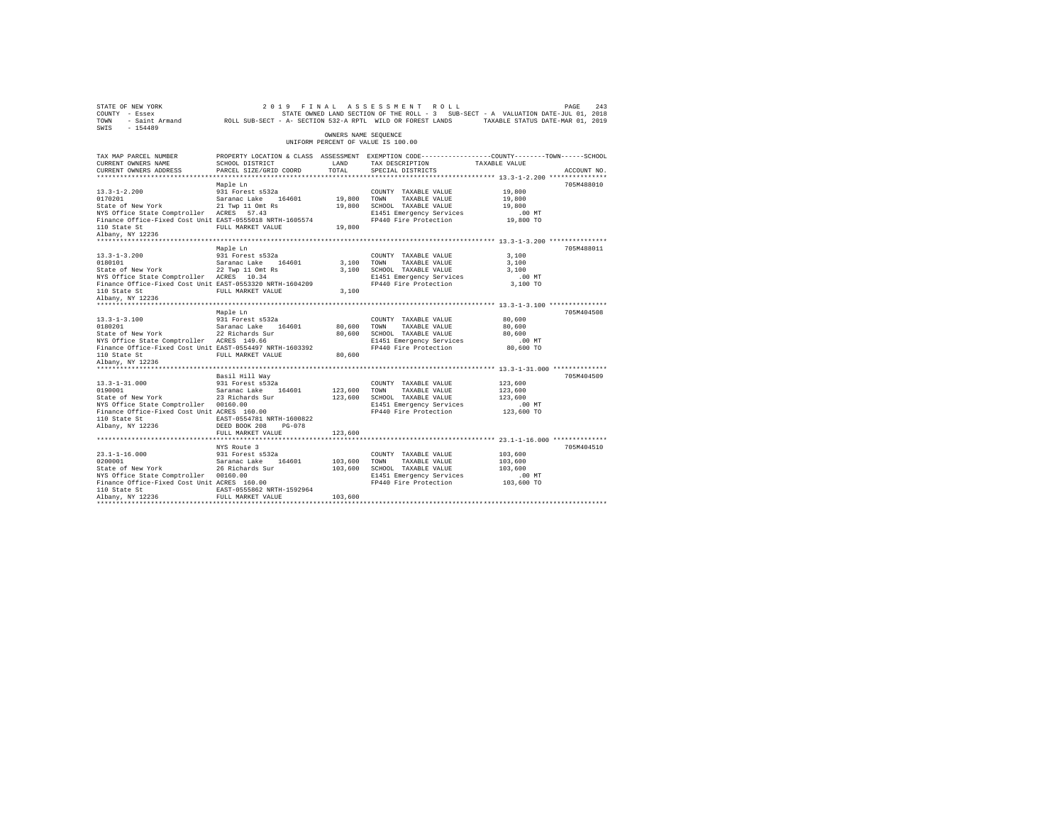| STATE OF NEW YORK<br>COUNTY - Essex<br>TOWN<br>$-154489$<br>SWIS                                                                         | - Saint Armand ROLL SUB-SECT - A- SECTION 532-A RPTL WILD OR FOREST LANDS   |                      | 2019 FINAL ASSESSMENT ROLL<br>STATE OWNED LAND SECTION OF THE ROLL - 3 SUB-SECT - A VALUATION DATE-JUL 01, 2018                        | TAXABLE STATUS DATE-MAR 01, 2019        | 243<br>PAGE |
|------------------------------------------------------------------------------------------------------------------------------------------|-----------------------------------------------------------------------------|----------------------|----------------------------------------------------------------------------------------------------------------------------------------|-----------------------------------------|-------------|
|                                                                                                                                          |                                                                             | OWNERS NAME SEQUENCE | UNIFORM PERCENT OF VALUE IS 100.00                                                                                                     |                                         |             |
| TAX MAP PARCEL NUMBER<br>CURRENT OWNERS NAME<br>CURRENT OWNERS ADDRESS                                                                   | SCHOOL DISTRICT<br>PARCEL SIZE/GRID COORD                                   | LAND<br>TOTAL        | PROPERTY LOCATION & CLASS ASSESSMENT EXEMPTION CODE---------------COUNTY-------TOWN-----SCHOOL<br>TAX DESCRIPTION<br>SPECIAL DISTRICTS | TAXABLE VALUE                           | ACCOUNT NO. |
|                                                                                                                                          |                                                                             |                      |                                                                                                                                        |                                         |             |
| $13.3 - 1 - 2.200$<br>0170201<br>State of New York                                                                                       | Maple Ln<br>931 Forest s532a<br>Saranac Lake 164601<br>21 Twp 11 Omt Rs     | 19,800               | COUNTY TAXABLE VALUE<br>TOWN<br>TAXABLE VALUE<br>SCHOOL TAXABLE VALUE                                                                  | 19,800<br>19,800<br>19,800              | 705M488010  |
| NYS Office State Comptroller ACRES 57.43<br>Finance Office-Fixed Cost Unit EAST-0555018 NRTH-1605574<br>110 State St                     | FULL MARKET VALUE                                                           | 19,800<br>19,800     | E1451 Emergency Services<br>FP440 Fire Protection                                                                                      | .00MT<br>19,800 TO                      |             |
| Albany, NY 12236                                                                                                                         |                                                                             |                      |                                                                                                                                        |                                         |             |
|                                                                                                                                          | Maple Ln                                                                    |                      |                                                                                                                                        |                                         | 705M488011  |
| $13.3 - 1 - 3.200$<br>0180101<br>State of New York                                                                                       | 931 Forest s532a<br>Saranac Lake 164601<br>22 Twp 11 Omt Rs                 | 3,100<br>3,100       | COUNTY TAXABLE VALUE<br>TOWN<br>TAXABLE VALUE<br>SCHOOL TAXABLE VALUE                                                                  | 3,100<br>3,100<br>3,100                 |             |
| NYS Office State Comptroller ACRES 10.34<br>Finance Office-Fixed Cost Unit EAST-0553320 NRTH-1604209<br>110 State St<br>Albany, NY 12236 | FULL MARKET VALUE                                                           | 3,100                | E1451 Emergency Services<br>FP440 Fire Protection                                                                                      | .00 MT<br>3,100 TO                      |             |
| ***************************                                                                                                              |                                                                             |                      |                                                                                                                                        |                                         |             |
|                                                                                                                                          | Maple Ln                                                                    |                      |                                                                                                                                        |                                         | 705M404508  |
| $13.3 - 1 - 3.100$                                                                                                                       | 931 Forest s532a                                                            |                      | COUNTY TAXABLE VALUE                                                                                                                   | 80,600                                  |             |
| 0180201                                                                                                                                  | Saranac Lake<br>164601                                                      | 80,600               | TOWN<br>TAXABLE VALUE                                                                                                                  | 80,600                                  |             |
| State of New York<br>NYS Office State Comptroller ACRES 149.66                                                                           | 22 Richards Sur                                                             | 80,600               | SCHOOL TAXABLE VALUE<br>E1451 Emergency Services                                                                                       | 80,600<br>.00 MT                        |             |
| Finance Office-Fixed Cost Unit EAST-0554497 NRTH-1603392<br>110 State St                                                                 | FULL MARKET VALUE                                                           | 80,600               | FP440 Fire Protection                                                                                                                  | 80,600 TO                               |             |
| Albany, NY 12236                                                                                                                         |                                                                             |                      |                                                                                                                                        |                                         |             |
|                                                                                                                                          | Basil Hill Way                                                              |                      |                                                                                                                                        |                                         | 705M404509  |
| $13.3 - 1 - 31.000$<br>0190001<br>State of New York<br>NYS Office State Comptroller 00160.00                                             | 931 Forest s532a<br>Saranac Lake<br>164601<br>23 Richards Sur               | 123,600<br>123,600   | COUNTY TAXABLE VALUE<br>TOWN<br>TAXABLE VALUE<br>SCHOOL TAXABLE VALUE<br>E1451 Emergency Services                                      | 123,600<br>123,600<br>123,600<br>.00 MT |             |
| Finance Office-Fixed Cost Unit ACRES 160.00<br>110 State St<br>Albany, NY 12236                                                          | EAST-0554781 NRTH-1600822<br>DEED BOOK 208<br>$PG-078$<br>FULL MARKET VALUE | 123,600              | FP440 Fire Protection                                                                                                                  | 123,600 TO                              |             |
|                                                                                                                                          |                                                                             |                      |                                                                                                                                        |                                         |             |
|                                                                                                                                          | NYS Route 3                                                                 |                      |                                                                                                                                        |                                         | 705M404510  |
| $23.1 - 1 - 16.000$                                                                                                                      | 931 Forest s532a                                                            |                      | COUNTY TAXABLE VALUE                                                                                                                   | 103,600                                 |             |
| 0200001                                                                                                                                  | Saranac Lake<br>164601                                                      | 103,600              | TAXABLE VALUE<br>TOWN                                                                                                                  | 103,600                                 |             |
| State of New York                                                                                                                        | 26 Richards Sur                                                             | 103,600              | SCHOOL TAXABLE VALUE                                                                                                                   | 103,600                                 |             |
| NYS Office State Comptroller 00160.00                                                                                                    |                                                                             |                      | E1451 Emergency Services                                                                                                               | .00 MT                                  |             |
| Finance Office-Fixed Cost Unit ACRES 160.00<br>110 State St                                                                              | EAST-0555862 NRTH-1592964                                                   |                      | FP440 Fire Protection                                                                                                                  | 103,600 TO                              |             |
| Albany, NY 12236                                                                                                                         | FULL MARKET VALUE                                                           | 103,600              |                                                                                                                                        |                                         |             |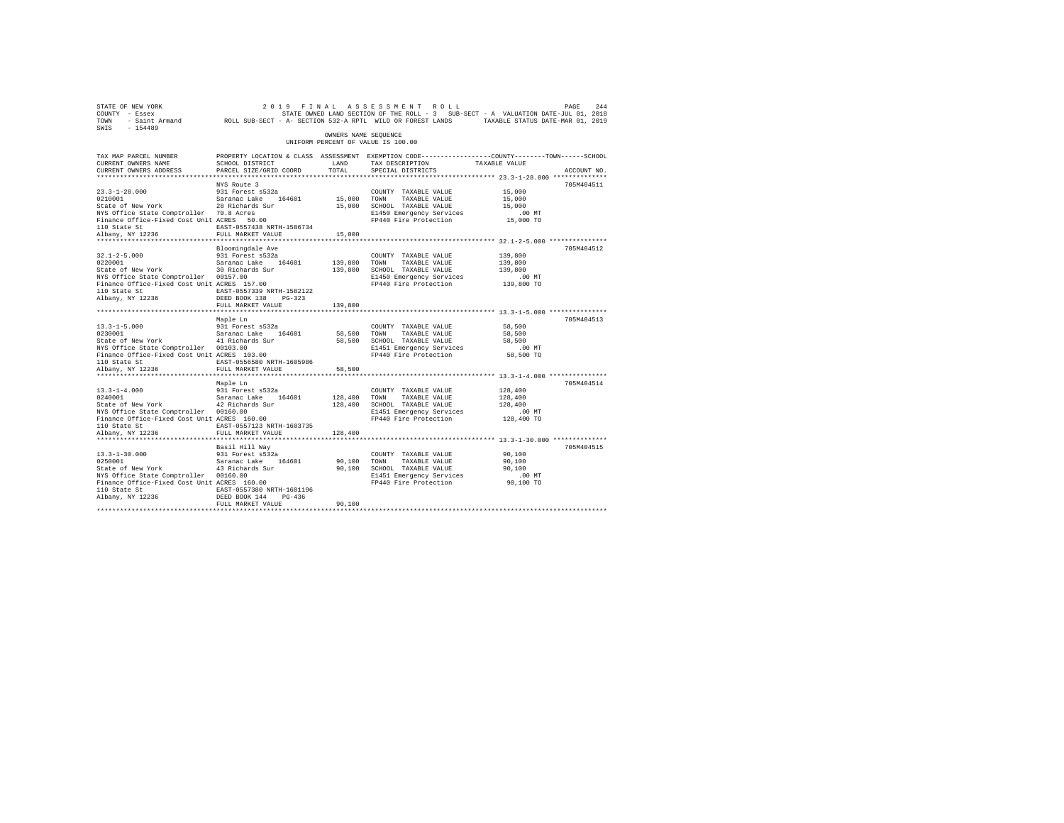| STATE OF NEW YORK<br>COUNTY - Essex<br>TOWN<br>$-154489$<br>SWIS                                                                                                                                             |                                                                                                                                                                                                |                                    | 2019 FINAL ASSESSMENT ROLL<br>STATE OWNED LAND SECTION OF THE ROLL - 3 SUB-SECT - A VALUATION DATE-JUL 01, 2018<br>- Saint Armand ROLL SUB-SECT - A- SECTION 532-A RPTL WILD OR FOREST LANDS TAXABLE STATUS DATE-MAR 01, 2019 |                                                                                                       | PAGE<br>244 |
|--------------------------------------------------------------------------------------------------------------------------------------------------------------------------------------------------------------|------------------------------------------------------------------------------------------------------------------------------------------------------------------------------------------------|------------------------------------|-------------------------------------------------------------------------------------------------------------------------------------------------------------------------------------------------------------------------------|-------------------------------------------------------------------------------------------------------|-------------|
|                                                                                                                                                                                                              |                                                                                                                                                                                                | OWNERS NAME SEOUENCE               | UNIFORM PERCENT OF VALUE IS 100.00                                                                                                                                                                                            |                                                                                                       |             |
| TAX MAP PARCEL NUMBER<br>CURRENT OWNERS NAME<br>CURRENT OWNERS ADDRESS                                                                                                                                       | SCHOOL DISTRICT<br>PARCEL SIZE/GRID COORD                                                                                                                                                      | LAND<br>TOTAL                      | PROPERTY LOCATION & CLASS ASSESSMENT EXEMPTION CODE---------------COUNTY-------TOWN------SCHOOL<br>TAX DESCRIPTION<br>SPECIAL DISTRICTS                                                                                       | TAXABLE VALUE                                                                                         | ACCOUNT NO. |
| $23.3 - 1 - 28.000$<br>0210001<br>State of New York<br>NYS Office State Comptroller 70.8 Acres<br>Finance Office-Fixed Cost Unit ACRES 50.00<br>110 State St<br>Albany, NY 12236<br>********************     | NYS Route 3<br>931 Forest s532a<br>Saranac Lake 164601<br>28 Richards Sur<br>EAST-0557438 NRTH-1586734<br>FULL MARKET VALUE<br>********************                                            | 15,000 TOWN<br>15,000<br>********* | COUNTY TAXABLE VALUE<br>TAXABLE VALUE<br>15,000 SCHOOL TAXABLE VALUE<br>E1450 Emergency Services<br>FP440 Fire Protection                                                                                                     | 15,000<br>15,000<br>15,000<br>.00 MT<br>15,000 TO                                                     | 705M404511  |
| $32.1 - 2 - 5.000$<br>0220001<br>State of New York<br>NYS Office State Comptroller 00157.00<br>Finance Office-Fixed Cost Unit ACRES 157.00<br>110 State St<br>Albany, NY 12236                               | Bloomingdale Ave<br>931 Forest s532a<br>Saranac Lake 164601<br>30 Richards Sur<br>EAST-0557339 NRTH-1582122<br>DEED BOOK 138 PG-323                                                            | 139,800                            | COUNTY TAXABLE VALUE<br>TOWN<br>TAXABLE VALUE<br>139,800 SCHOOL TAXABLE VALUE<br>E1450 Emergency Services<br>FP440 Fire Protection                                                                                            | ************ 32.1-2-5.000 ****************<br>139,800<br>139,800<br>139,800<br>$.00$ MT<br>139,800 TO | 705M404512  |
| $13.3 - 1 - 5.000$<br>0230001<br>State of New York<br>NYS Office State Comptroller 00103.00<br>Finance Office-Fixed Cost Unit ACRES 103.00<br>110 State St<br>Albany, NY 12236                               | FULL MARKET VALUE<br>Maple Ln<br>931 Forest s532a<br>Saranac Lake 164601<br>41 Richards Sur<br>EAST-0556580 NRTH-1605986<br>FULL MARKET VALUE                                                  | 139,800<br>58,500 TOWN<br>58,500   | COUNTY TAXABLE VALUE<br>TAXABLE VALUE<br>58,500 SCHOOL TAXABLE VALUE<br>E1451 Emergency Services<br>FP440 Fire Protection                                                                                                     | 58,500<br>58,500<br>58,500<br>$.00$ MT<br>58,500 TO                                                   | 705M404513  |
| $13.3 - 1 - 4.000$<br>0240001<br>State of New York<br>NYS Office State Comptroller 00160.00<br>Finance Office-Fixed Cost Unit ACRES 160.00<br>110 State St<br>Albany, NY 12236<br>************************** | ******************************<br>Maple Ln<br>931 Forest s532a<br>Saranac Lake 164601<br>42 Richards Sur<br>EAST-0557123 NRTH-1603735<br>FULL MARKET VALUE<br>******************************** | 128,400 TOWN<br>128,400            | ************************************ 13.3-1-4.000 ***************<br>COUNTY TAXABLE VALUE<br>TAXABLE VALUE<br>128,400 SCHOOL TAXABLE VALUE<br>E1451 Emergency Services<br>FP440 Fire Protection                               | 128,400<br>128,400<br>128,400<br>$.00$ MT<br>128,400 TO                                               | 705M404514  |
| $13.3 - 1 - 30.000$<br>0250001<br>State of New York<br>NYS Office State Comptroller 00160.00<br>Finance Office-Fixed Cost Unit ACRES 160.00<br>110 State St<br>Albany, NY 12236                              | Basil Hill Way<br>931 Forest s532a<br>Saranac Lake 164601<br>43 Richards Sur<br>EAST-0557380 NRTH-1601196<br>DEED BOOK 144 PG-436<br>FULL MARKET VALUE                                         | 90,100<br>90,100<br>90,100         | COUNTY TAXABLE VALUE<br>TOWN<br>TAXABLE VALUE<br>SCHOOL TAXABLE VALUE<br>E1451 Emergency Services<br>FP440 Fire Protection                                                                                                    | 90,100<br>90,100<br>90,100<br>$.00$ MT<br>90,100 TO                                                   | 705M404515  |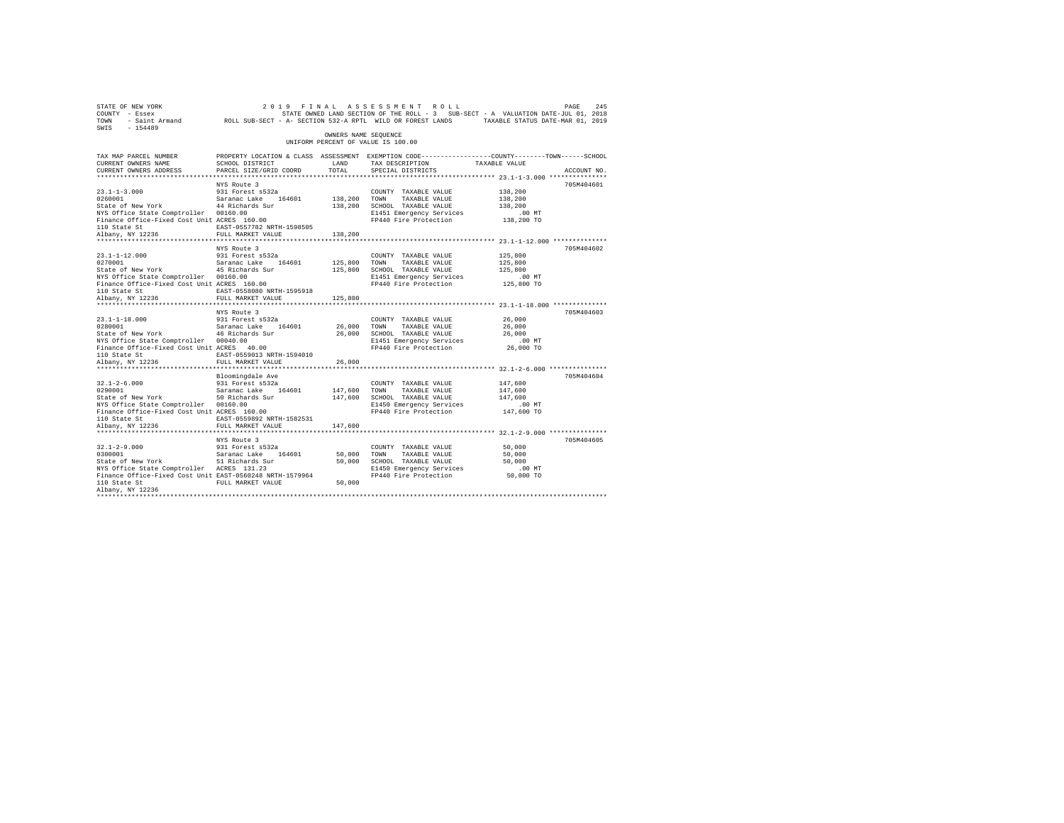| 2019 FINAL ASSESSMENT ROLL PAGE 245 PAGE 245<br>COUNTY - Essex – SALUATION DATE-JULOI, 2018<br>TOWN - Saint_Armand – ROLL SUB-SECT - A-SECTION 532-A RPTL WILD OR FOREST LANDS – TAXABLE STATUS DATE-MAR 01, 2019<br>SWIS - 154489 |                                                                                                                                  |                      |                                                                                                                                           |                                                          |             |
|------------------------------------------------------------------------------------------------------------------------------------------------------------------------------------------------------------------------------------|----------------------------------------------------------------------------------------------------------------------------------|----------------------|-------------------------------------------------------------------------------------------------------------------------------------------|----------------------------------------------------------|-------------|
|                                                                                                                                                                                                                                    |                                                                                                                                  | OWNERS NAME SEOUENCE | UNIFORM PERCENT OF VALUE IS 100.00                                                                                                        |                                                          |             |
| TAX MAP PARCEL NUMBER<br>CURRENT OWNERS NAME                                                                                                                                                                                       | PROPERTY LOCATION & CLASS ASSESSMENT EXEMPTION CODE---------------COUNTY-------TOWN-----SCHOOL<br>SCHOOL DISTRICT                | LAND                 | TAX DESCRIPTION TAXABLE VALUE                                                                                                             |                                                          |             |
| CURRENT OWNERS ADDRESS                                                                                                                                                                                                             | PARCEL SIZE/GRID COORD                                                                                                           | TOTAL                | SPECIAL DISTRICTS                                                                                                                         |                                                          | ACCOUNT NO. |
|                                                                                                                                                                                                                                    |                                                                                                                                  |                      |                                                                                                                                           |                                                          |             |
|                                                                                                                                                                                                                                    | NYS Route 3                                                                                                                      |                      |                                                                                                                                           |                                                          | 705M404601  |
| 13.1-1-3.000<br>1260001 138,200 5311 526001 541 54601 138,200 70001<br>138,200 50210 5411 5412 5211 138,200 502100                                                                                                                 |                                                                                                                                  |                      | COUNTY TAXABLE VALUE                                                                                                                      | 138,200                                                  |             |
|                                                                                                                                                                                                                                    |                                                                                                                                  |                      | TAXABLE VALUE<br>138, 200 SCHOOL TAXABLE VALUE                                                                                            | 138,200<br>138,200                                       |             |
| NYS Office State Comptroller 00160.00                                                                                                                                                                                              |                                                                                                                                  |                      | E1451 Emergency Services                                                                                                                  | $.00$ MT                                                 |             |
| Finance Office-Fixed Cost Unit ACRES 160.00                                                                                                                                                                                        |                                                                                                                                  |                      | FP440 Fire Protection 138,200 TO                                                                                                          |                                                          |             |
|                                                                                                                                                                                                                                    | EAST-0557782 NRTH-1598505                                                                                                        |                      |                                                                                                                                           |                                                          |             |
| 110 State St<br>Albany, NY 12236                                                                                                                                                                                                   | FULL MARKET VALUE                                                                                                                | 138,200              |                                                                                                                                           |                                                          |             |
|                                                                                                                                                                                                                                    |                                                                                                                                  |                      |                                                                                                                                           |                                                          |             |
|                                                                                                                                                                                                                                    | NYS Route 3                                                                                                                      |                      |                                                                                                                                           |                                                          | 705M404602  |
|                                                                                                                                                                                                                                    |                                                                                                                                  |                      | COUNTY TAXABLE VALUE                                                                                                                      | 125,800                                                  |             |
|                                                                                                                                                                                                                                    |                                                                                                                                  | 125,800 TOWN         | TAXABLE VALUE                                                                                                                             | 125,800                                                  |             |
|                                                                                                                                                                                                                                    |                                                                                                                                  |                      | 125,800 SCHOOL TAXABLE VALUE                                                                                                              | 125,800                                                  |             |
| NYS Office State Comptroller 00160.00<br>Finance Office-Fixed Cost Unit ACRES 160.00                                                                                                                                               |                                                                                                                                  |                      | E1451 Emergency Services<br>FP440 Fire Protection 125,800 TO                                                                              | .00 MT                                                   |             |
|                                                                                                                                                                                                                                    | EAST-0558080 NRTH-1595918                                                                                                        |                      |                                                                                                                                           |                                                          |             |
| 110 State St<br>Albany, NY 12236                                                                                                                                                                                                   | FULL MARKET VALUE                                                                                                                | 125,800              |                                                                                                                                           |                                                          |             |
|                                                                                                                                                                                                                                    |                                                                                                                                  |                      |                                                                                                                                           |                                                          |             |
|                                                                                                                                                                                                                                    | NYS Route 3                                                                                                                      |                      |                                                                                                                                           |                                                          | 705M404603  |
|                                                                                                                                                                                                                                    |                                                                                                                                  |                      | COUNTY TAXABLE VALUE                                                                                                                      | 26,000                                                   |             |
| 23.1-1-18.000 931 Forest s532a<br>0280001 Saranac Lake 164601<br>State of New York 46 Richards Sur                                                                                                                                 |                                                                                                                                  |                      |                                                                                                                                           | 26,000                                                   |             |
|                                                                                                                                                                                                                                    |                                                                                                                                  |                      |                                                                                                                                           | 26,000                                                   |             |
| NYS Office State Comptroller 00040.00                                                                                                                                                                                              |                                                                                                                                  |                      | 26,000 TOWN TAXABLE VALUE<br>26,000 SCHOOL TAXABLE VALUE<br>E1451 Emergency Services<br>FP440 Fire Protection<br>E1451 Emergency Services | $.00$ MT                                                 |             |
| Finance Office-Fixed Cost Unit ACRES 40.00                                                                                                                                                                                         |                                                                                                                                  |                      | FP440 Fire Protection 26,000 TO                                                                                                           |                                                          |             |
| 110 State St                                                                                                                                                                                                                       | EAST-0559013 NRTH-1594010<br>FULL MARKET VALUE                                                                                   |                      |                                                                                                                                           |                                                          |             |
| Albany, NY 12236                                                                                                                                                                                                                   |                                                                                                                                  | 26,000               |                                                                                                                                           | *************************** 32.1-2-6.000 *************** |             |
|                                                                                                                                                                                                                                    | Bloomingdale Ave                                                                                                                 |                      |                                                                                                                                           |                                                          | 705M404604  |
| $32.1 - 2 - 6.000$                                                                                                                                                                                                                 |                                                                                                                                  |                      | COUNTY TAXABLE VALUE                                                                                                                      | 147,600                                                  |             |
| 32.1-2-6.000 931 Forest s532a<br>0290001 931 5aranac Lake 164601<br>State of New York 50 Richards Sur                                                                                                                              |                                                                                                                                  | 147,600 TOWN         |                                                                                                                                           | 147,600                                                  |             |
|                                                                                                                                                                                                                                    |                                                                                                                                  |                      | 147,600 TOWN TAXABLE VALUE<br>147,600 SCHOOL TAXABLE VALUE                                                                                | 147,600                                                  |             |
| NYS Office State Comptroller 00160.00                                                                                                                                                                                              |                                                                                                                                  |                      |                                                                                                                                           |                                                          |             |
| Finance Office-Fixed Cost Unit ACRES 160.00                                                                                                                                                                                        |                                                                                                                                  |                      |                                                                                                                                           |                                                          |             |
| 110 State St                                                                                                                                                                                                                       | EAST-0559892 NRTH-1582531                                                                                                        |                      |                                                                                                                                           |                                                          |             |
| Albany, NY 12236                                                                                                                                                                                                                   | FULL MARKET VALUE                                                                                                                | 147,600              |                                                                                                                                           |                                                          |             |
|                                                                                                                                                                                                                                    | NYS Route 3                                                                                                                      |                      |                                                                                                                                           |                                                          | 705M404605  |
|                                                                                                                                                                                                                                    |                                                                                                                                  |                      | COUNTY TAXABLE VALUE                                                                                                                      | 50,000                                                   |             |
|                                                                                                                                                                                                                                    |                                                                                                                                  |                      | TAXABLE VALUE                                                                                                                             | 50,000                                                   |             |
| 32.1-2-9.000 931 Forest s532a<br>0300001 53120 531201 5426 164601<br>State of New York 51 Richards Sur                                                                                                                             |                                                                                                                                  |                      | 50,000 TOWN TAXABLE VALUE<br>50,000 SCHOOL TAXABLE VALUE                                                                                  | 50,000                                                   |             |
| NYS Office State Comptroller ACRES 131.23                                                                                                                                                                                          |                                                                                                                                  |                      |                                                                                                                                           |                                                          |             |
| Finance Office-Fixed Cost Unit EAST-0560248 NRTH-1579964                                                                                                                                                                           |                                                                                                                                  |                      |                                                                                                                                           |                                                          |             |
| 110 State St                                                                                                                                                                                                                       | RCRES 131.23 E1450 Emergency Services<br>The Sast-O560248 RF440 Fire Protection 50,000 TO FULL MARKET VALUE 50,000 TO FOR SASTER |                      |                                                                                                                                           |                                                          |             |
| Albany, NY 12236                                                                                                                                                                                                                   |                                                                                                                                  |                      |                                                                                                                                           |                                                          |             |
|                                                                                                                                                                                                                                    |                                                                                                                                  |                      |                                                                                                                                           |                                                          |             |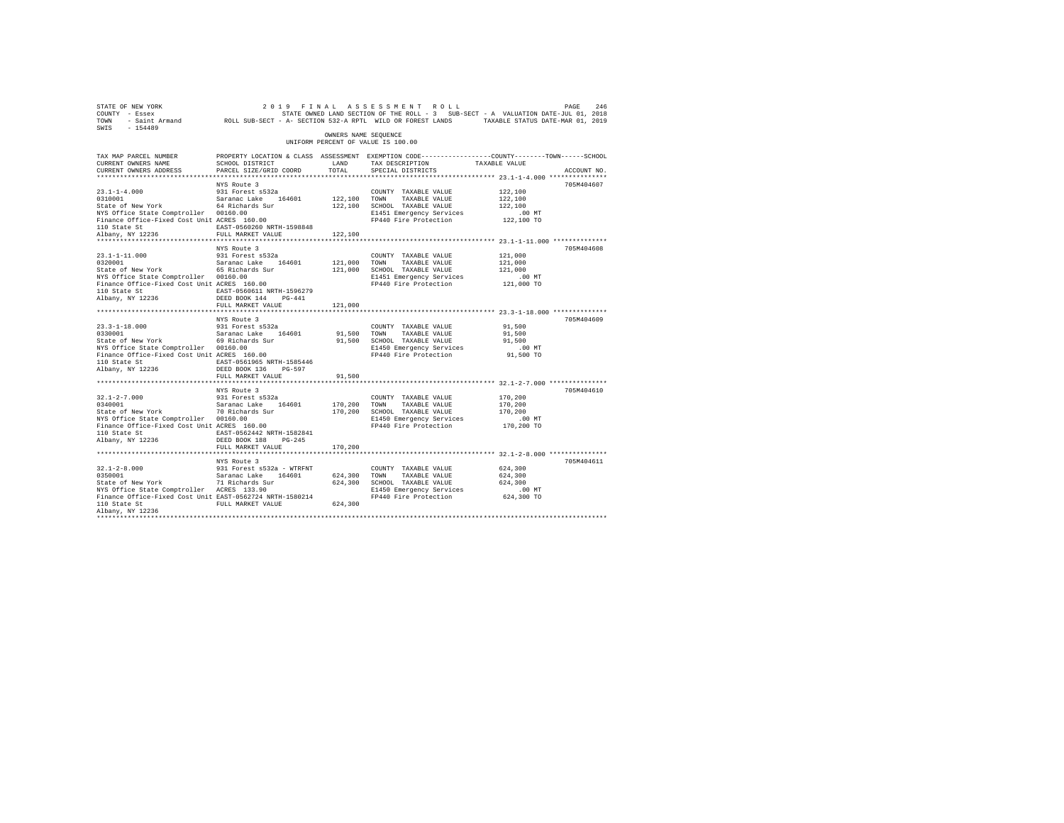| SWIS - 154489                                                                                                                                                                                                        |                                         | OWNERS NAME SEQUENCE |                                                                      | STATE OF NEW YORK VERSION OF THE ALL AS SES SEN EN TE OLL DUSE PASE 246 PALEMENT - BESECT ON THE STATE ONLY STATE OWNER AND SECTION OF THE ROLL - 3 SUB-SECT - A VALUATION DATE-JUL 01, 2018<br>STATE ONLY - SAINE AT SUB-SECT - |  |
|----------------------------------------------------------------------------------------------------------------------------------------------------------------------------------------------------------------------|-----------------------------------------|----------------------|----------------------------------------------------------------------|----------------------------------------------------------------------------------------------------------------------------------------------------------------------------------------------------------------------------------|--|
|                                                                                                                                                                                                                      |                                         |                      | UNIFORM PERCENT OF VALUE IS 100.00                                   |                                                                                                                                                                                                                                  |  |
|                                                                                                                                                                                                                      |                                         |                      |                                                                      | TAX MAP PARCEL NUMBER PROPERTY LOCATION & CLASS ASSESSMENT EXEMPTION CODE--------------COUNTY-------TOWN-----SCHOOL                                                                                                              |  |
| CURRENT OWNERS NAME                                                                                                                                                                                                  | SCHOOL DISTRICT<br>LAND TAX DESCRIPTION |                      |                                                                      | TAXABLE VALUE                                                                                                                                                                                                                    |  |
| CURRENT OWNERS ADDRESS                                                                                                                                                                                               | PARCEL SIZE/GRID COORD TOTAL            |                      | SPECIAL DISTRICTS                                                    | ACCOUNT NO.<br>******************************** 23.1-1-4.000 ***************                                                                                                                                                     |  |
|                                                                                                                                                                                                                      | NYS Route 3                             |                      |                                                                      | 705M404607                                                                                                                                                                                                                       |  |
| $\begin{tabular}{lllllllllll} 23.1\mbox{-}1\mbox{-}4.000 & 931 Forest s532a \\ 0310001 & Saranac Lake & 164601 \\ \end{tabular}$<br>State of New York<br>$\begin{tabular}{lllllll} 64 Richards Sur \\ \end{tabular}$ |                                         |                      | COUNTY TAXABLE VALUE                                                 | 122,100                                                                                                                                                                                                                          |  |
|                                                                                                                                                                                                                      |                                         | 122,100 TOWN         |                                                                      | 122,100                                                                                                                                                                                                                          |  |
|                                                                                                                                                                                                                      |                                         |                      | 122,100 TOWN TAXABLE VALUE<br>122,100 SCHOOL TAXABLE VALUE           | 122,100                                                                                                                                                                                                                          |  |
|                                                                                                                                                                                                                      |                                         |                      |                                                                      |                                                                                                                                                                                                                                  |  |
| NYS Office State Comptroller 00160.00<br>Finance Office-Fixed Cost Unit ACRES 160.00                                                                                                                                 |                                         |                      | E1451 Emergency Services .00 MT<br>FP440 Fire Protection 122,100 TO  |                                                                                                                                                                                                                                  |  |
|                                                                                                                                                                                                                      |                                         |                      |                                                                      |                                                                                                                                                                                                                                  |  |
|                                                                                                                                                                                                                      |                                         | 122,100              |                                                                      |                                                                                                                                                                                                                                  |  |
|                                                                                                                                                                                                                      |                                         |                      |                                                                      | ************************************ 23.1-1-11.000 **************                                                                                                                                                                |  |
|                                                                                                                                                                                                                      | NYS Route 3                             |                      |                                                                      | 705M404608                                                                                                                                                                                                                       |  |
| 23.1-1-11.000<br>0320001                                                                                                                                                                                             | 931 Forest s532a                        |                      | COUNTY TAXABLE VALUE                                                 | 121,000                                                                                                                                                                                                                          |  |
| 0320001 Saranac Lake 164601<br>State of New York 65 Richards Sur                                                                                                                                                     |                                         | 121,000 TOWN         | TAXABLE VALUE                                                        | 121,000                                                                                                                                                                                                                          |  |
|                                                                                                                                                                                                                      |                                         |                      | 121,000 SCHOOL TAXABLE VALUE                                         | 121,000                                                                                                                                                                                                                          |  |
| NYS Office State Comptroller 00160.00<br>Finance Office-Fixed Cost Unit ACRES 160.00                                                                                                                                 |                                         |                      | E1451 Emergency Services 6.00 MT<br>FP440 Fire Protection 121,000 TO |                                                                                                                                                                                                                                  |  |
| 110 State St EAST-0560611 NRTH-1596279                                                                                                                                                                               |                                         |                      |                                                                      |                                                                                                                                                                                                                                  |  |
| Albany, NY 12236                                                                                                                                                                                                     | DEED BOOK 144 PG-441                    |                      |                                                                      |                                                                                                                                                                                                                                  |  |
|                                                                                                                                                                                                                      | FULL MARKET VALUE                       | 121,000              |                                                                      |                                                                                                                                                                                                                                  |  |
|                                                                                                                                                                                                                      |                                         |                      |                                                                      |                                                                                                                                                                                                                                  |  |
|                                                                                                                                                                                                                      | NYS Route 3                             |                      |                                                                      | 705M404609                                                                                                                                                                                                                       |  |
|                                                                                                                                                                                                                      |                                         |                      |                                                                      | 91,500                                                                                                                                                                                                                           |  |
|                                                                                                                                                                                                                      |                                         |                      |                                                                      | 91,500                                                                                                                                                                                                                           |  |
|                                                                                                                                                                                                                      |                                         |                      |                                                                      | 91,500                                                                                                                                                                                                                           |  |
|                                                                                                                                                                                                                      |                                         |                      |                                                                      | $.00$ MT                                                                                                                                                                                                                         |  |
|                                                                                                                                                                                                                      |                                         |                      |                                                                      | 91,500 TO                                                                                                                                                                                                                        |  |
| 110 State St EAST-0561965 NRTH-1585446<br>Albany, NY 12236 DEED BOOK 136 PG-597                                                                                                                                      |                                         |                      |                                                                      |                                                                                                                                                                                                                                  |  |
|                                                                                                                                                                                                                      | FULL MARKET VALUE                       | 91,500               |                                                                      |                                                                                                                                                                                                                                  |  |
|                                                                                                                                                                                                                      |                                         |                      |                                                                      |                                                                                                                                                                                                                                  |  |
|                                                                                                                                                                                                                      | NYS Route 3                             |                      |                                                                      | 705M404610                                                                                                                                                                                                                       |  |
|                                                                                                                                                                                                                      |                                         |                      |                                                                      |                                                                                                                                                                                                                                  |  |
|                                                                                                                                                                                                                      |                                         |                      |                                                                      |                                                                                                                                                                                                                                  |  |
|                                                                                                                                                                                                                      |                                         |                      |                                                                      |                                                                                                                                                                                                                                  |  |
|                                                                                                                                                                                                                      |                                         |                      |                                                                      |                                                                                                                                                                                                                                  |  |
|                                                                                                                                                                                                                      |                                         |                      |                                                                      |                                                                                                                                                                                                                                  |  |
|                                                                                                                                                                                                                      |                                         |                      |                                                                      |                                                                                                                                                                                                                                  |  |
| ${\tt BAST-0562442\ NRTH-1582841}$ ${\tt RBST-0562442\ NRTH-1582841}$ ${\tt DEED\ BOK\ 188}\ {\tt PG-245}$                                                                                                           |                                         |                      |                                                                      |                                                                                                                                                                                                                                  |  |
|                                                                                                                                                                                                                      | FULL MARKET VALUE                       | 170,200              |                                                                      |                                                                                                                                                                                                                                  |  |
|                                                                                                                                                                                                                      |                                         |                      |                                                                      |                                                                                                                                                                                                                                  |  |
|                                                                                                                                                                                                                      | NYS Route 3                             |                      |                                                                      | 705M404611                                                                                                                                                                                                                       |  |
|                                                                                                                                                                                                                      |                                         |                      | COUNTY TAXABLE VALUE                                                 | 624,300                                                                                                                                                                                                                          |  |
|                                                                                                                                                                                                                      |                                         |                      | TAXABLE VALUE                                                        | 624,300                                                                                                                                                                                                                          |  |
|                                                                                                                                                                                                                      |                                         |                      | 624,300 SCHOOL TAXABLE VALUE                                         | 624,300                                                                                                                                                                                                                          |  |
| NYS Office State Comptroller ACRES 133.90 E1450 Emergency Services<br>Finance Office-Fixed Cost Unit EAST-0562724 NRTH-1580214 FP440 Fire Protection                                                                 |                                         |                      |                                                                      | 00 MT.<br>624,300 TO                                                                                                                                                                                                             |  |
| 110 State St                                                                                                                                                                                                         | FULL MARKET VALUE                       | 624,300              |                                                                      |                                                                                                                                                                                                                                  |  |
| Albany, NY 12236                                                                                                                                                                                                     |                                         |                      |                                                                      |                                                                                                                                                                                                                                  |  |
|                                                                                                                                                                                                                      |                                         |                      |                                                                      |                                                                                                                                                                                                                                  |  |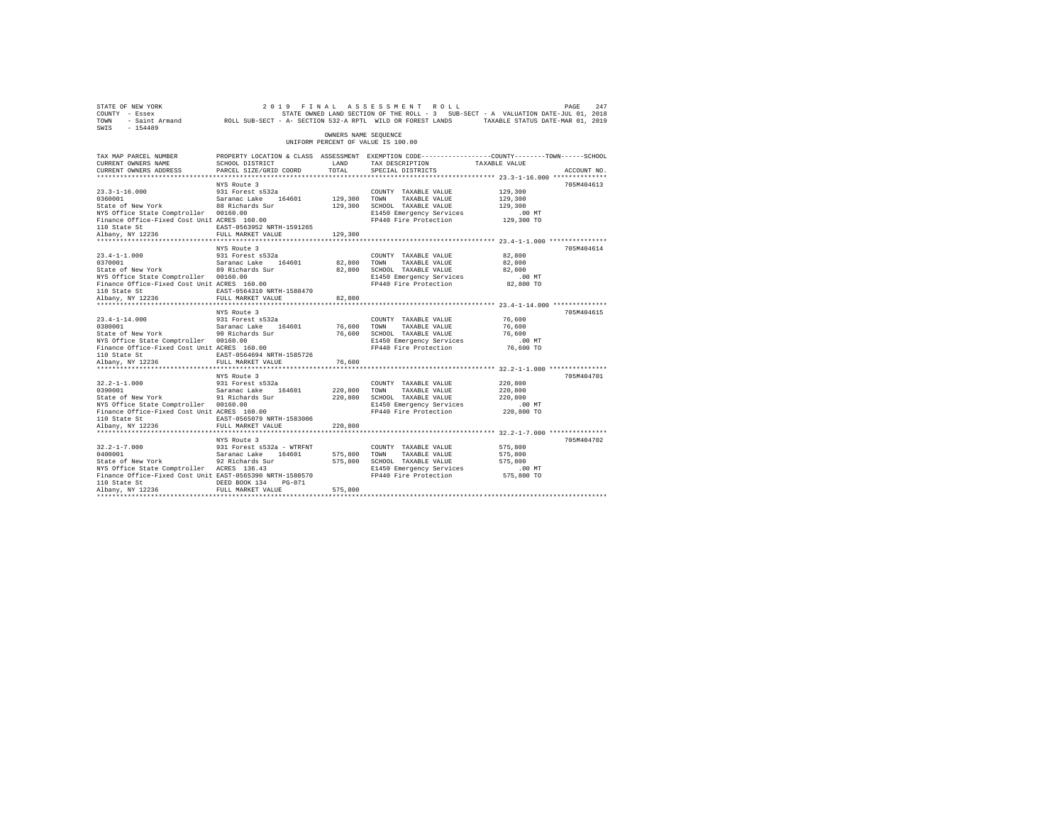| PAGE (247 ) 2019 FINAL ASSESSMENT ROLL (2019 PAGE 247 )<br>COUNTY - Essex – STATE SON STATE ROUNT AND SUB-SECT - A VALUATION DATE-JUL 01, 2018<br>TOWN - Saint_Armand – ROLL SUB-SECT - A-SECTION 532-A RPTL WILD OR FOREST LANDS –<br>SWIS - 154489 |                                                                                                                   |                      |                                                                                                                                           |                                                        |             |
|------------------------------------------------------------------------------------------------------------------------------------------------------------------------------------------------------------------------------------------------------|-------------------------------------------------------------------------------------------------------------------|----------------------|-------------------------------------------------------------------------------------------------------------------------------------------|--------------------------------------------------------|-------------|
|                                                                                                                                                                                                                                                      |                                                                                                                   | OWNERS NAME SEOUENCE | UNIFORM PERCENT OF VALUE IS 100.00                                                                                                        |                                                        |             |
| TAX MAP PARCEL NUMBER<br>CURRENT OWNERS NAME                                                                                                                                                                                                         | PROPERTY LOCATION & CLASS ASSESSMENT EXEMPTION CODE---------------COUNTY-------TOWN-----SCHOOL<br>SCHOOL DISTRICT | LAND                 | TAX DESCRIPTION TAXABLE VALUE                                                                                                             |                                                        |             |
| CURRENT OWNERS ADDRESS                                                                                                                                                                                                                               | PARCEL SIZE/GRID COORD                                                                                            | TOTAL                | SPECIAL DISTRICTS                                                                                                                         |                                                        | ACCOUNT NO. |
|                                                                                                                                                                                                                                                      | NYS Route 3                                                                                                       |                      |                                                                                                                                           |                                                        | 705M404613  |
|                                                                                                                                                                                                                                                      |                                                                                                                   |                      | COUNTY TAXABLE VALUE                                                                                                                      | 129,300                                                |             |
|                                                                                                                                                                                                                                                      |                                                                                                                   | 129,300 TOWN         | TAXABLE VALUE                                                                                                                             | 129,300                                                |             |
| 23.3-1-16.000 931 Forest s532a<br>0360001 931 5aranac Lake 164601<br>State of New York 88 Richards Sur                                                                                                                                               |                                                                                                                   |                      | 129,300 SCHOOL TAXABLE VALUE                                                                                                              | 129,300                                                |             |
| NYS Office State Comptroller 00160.00                                                                                                                                                                                                                |                                                                                                                   |                      | E1450 Emergency Services .00 MT<br>FP440 Fire Protection 129,300 TO                                                                       |                                                        |             |
| Finance Office-Fixed Cost Unit ACRES 160.00                                                                                                                                                                                                          |                                                                                                                   |                      |                                                                                                                                           |                                                        |             |
| 110 State St<br>Albany, NY 12236                                                                                                                                                                                                                     | EAST-0563952 NRTH-1591265<br>FULL MARKET VALUE                                                                    | 129,300              |                                                                                                                                           |                                                        |             |
|                                                                                                                                                                                                                                                      |                                                                                                                   |                      |                                                                                                                                           |                                                        |             |
|                                                                                                                                                                                                                                                      | NYS Route 3                                                                                                       |                      |                                                                                                                                           |                                                        | 705M404614  |
| $23.4 - 1 - 1.000$                                                                                                                                                                                                                                   | 931 Forest s532a                                                                                                  |                      | COUNTY TAXABLE VALUE                                                                                                                      | 82,800                                                 |             |
| 23.4-1-1.000 931 Forest s532a<br>0370001 9320 Saranac Lake 164601<br>State of New York 89 Richards Sur                                                                                                                                               |                                                                                                                   | 82,800 TOWN          | TAXABLE VALUE                                                                                                                             | 82,800                                                 |             |
|                                                                                                                                                                                                                                                      |                                                                                                                   |                      | 82,800 SCHOOL TAXABLE VALUE                                                                                                               | 82,800                                                 |             |
| NYS Office State Comptroller 00160.00                                                                                                                                                                                                                |                                                                                                                   |                      | E1450 Emergency Services                                                                                                                  | $.00$ MT                                               |             |
| Finance Office-Fixed Cost Unit ACRES 160.00                                                                                                                                                                                                          |                                                                                                                   |                      | FP440 Fire Protection 82,800 TO                                                                                                           |                                                        |             |
| 110 State St<br>Albany, NY 12236                                                                                                                                                                                                                     |                                                                                                                   | 82,800               |                                                                                                                                           |                                                        |             |
|                                                                                                                                                                                                                                                      |                                                                                                                   |                      |                                                                                                                                           |                                                        |             |
|                                                                                                                                                                                                                                                      | NYS Route 3                                                                                                       |                      |                                                                                                                                           |                                                        | 705M404615  |
|                                                                                                                                                                                                                                                      |                                                                                                                   |                      | COUNTY TAXABLE VALUE                                                                                                                      | 76,600                                                 |             |
| 23.4-1-14.000 931 Forest s532a<br>0380001 Saranac Lake 164601<br>State of New York 90 Richards Sur                                                                                                                                                   |                                                                                                                   |                      |                                                                                                                                           | 76,600                                                 |             |
|                                                                                                                                                                                                                                                      |                                                                                                                   |                      |                                                                                                                                           | 76,600                                                 |             |
| NYS Office State Comptroller 00160.00                                                                                                                                                                                                                |                                                                                                                   |                      | 76,600 TOWN TAXABLE VALUE<br>76,600 SCHOOL TAXABLE VALUE<br>E1450 Emergency Services<br>FP440 Fire Protection<br>E1450 Emergency Services | $.00$ MT                                               |             |
| Finance Office-Fixed Cost Unit ACRES 160.00                                                                                                                                                                                                          | EAST-0564694 NRTH-1585726                                                                                         |                      | FP440 Fire Protection                                                                                                                     | 76,600 TO                                              |             |
| 110 State St<br>Albany, NY 12236                                                                                                                                                                                                                     | FULL MARKET VALUE                                                                                                 | 76,600               |                                                                                                                                           |                                                        |             |
|                                                                                                                                                                                                                                                      |                                                                                                                   |                      |                                                                                                                                           | ************************* 32.2-1-1.000 *************** |             |
|                                                                                                                                                                                                                                                      | NYS Route 3                                                                                                       |                      |                                                                                                                                           |                                                        | 705M404701  |
| $32.2 - 1 - 1.000$                                                                                                                                                                                                                                   |                                                                                                                   |                      | COUNTY TAXABLE VALUE                                                                                                                      | 220,800                                                |             |
|                                                                                                                                                                                                                                                      |                                                                                                                   | 220,800 TOWN         | 220,800 TOWN TAXABLE VALUE<br>220,800 SCHOOL TAXABLE VALUE                                                                                | 220,800                                                |             |
|                                                                                                                                                                                                                                                      |                                                                                                                   |                      |                                                                                                                                           | 220,800                                                |             |
| NYS Office State Comptroller 00160.00<br>Finance Office-Fixed Cost Unit ACRES 160.00                                                                                                                                                                 |                                                                                                                   |                      | E1450 Emergency Services                                                                                                                  | $.00$ MT                                               |             |
|                                                                                                                                                                                                                                                      | EAST-0565079 NRTH-1583006                                                                                         |                      | FP440 Fire Protection 220,800 TO                                                                                                          |                                                        |             |
| 110 State St<br>Albany, NY 12236                                                                                                                                                                                                                     | FULL MARKET VALUE                                                                                                 | 220,800              |                                                                                                                                           |                                                        |             |
|                                                                                                                                                                                                                                                      |                                                                                                                   |                      |                                                                                                                                           |                                                        |             |
|                                                                                                                                                                                                                                                      | NYS Route 3                                                                                                       |                      |                                                                                                                                           |                                                        | 705M404702  |
|                                                                                                                                                                                                                                                      |                                                                                                                   |                      | COUNTY TAXABLE VALUE                                                                                                                      | 575,800                                                |             |
|                                                                                                                                                                                                                                                      |                                                                                                                   | 575,800 TOWN         | TAXABLE VALUE                                                                                                                             | 575,800                                                |             |
|                                                                                                                                                                                                                                                      |                                                                                                                   |                      | 575,800 SCHOOL TAXABLE VALUE                                                                                                              | 575,800                                                |             |
| NYS Office State Comptroller ACRES 136.43                                                                                                                                                                                                            |                                                                                                                   |                      | E1450 Emergency Services                                                                                                                  | $.00$ MT                                               |             |
| Finance Office-Fixed Cost Unit EAST-0565390 NRTH-1580570                                                                                                                                                                                             |                                                                                                                   |                      | FP440 Fire Protection 575,800 TO                                                                                                          |                                                        |             |
| 110 State St<br>Albany, NY 12236                                                                                                                                                                                                                     | DEED BOOK 134 PG-071<br>FULL MARKET VALUE                                                                         | 575,800              |                                                                                                                                           |                                                        |             |
|                                                                                                                                                                                                                                                      |                                                                                                                   |                      |                                                                                                                                           |                                                        |             |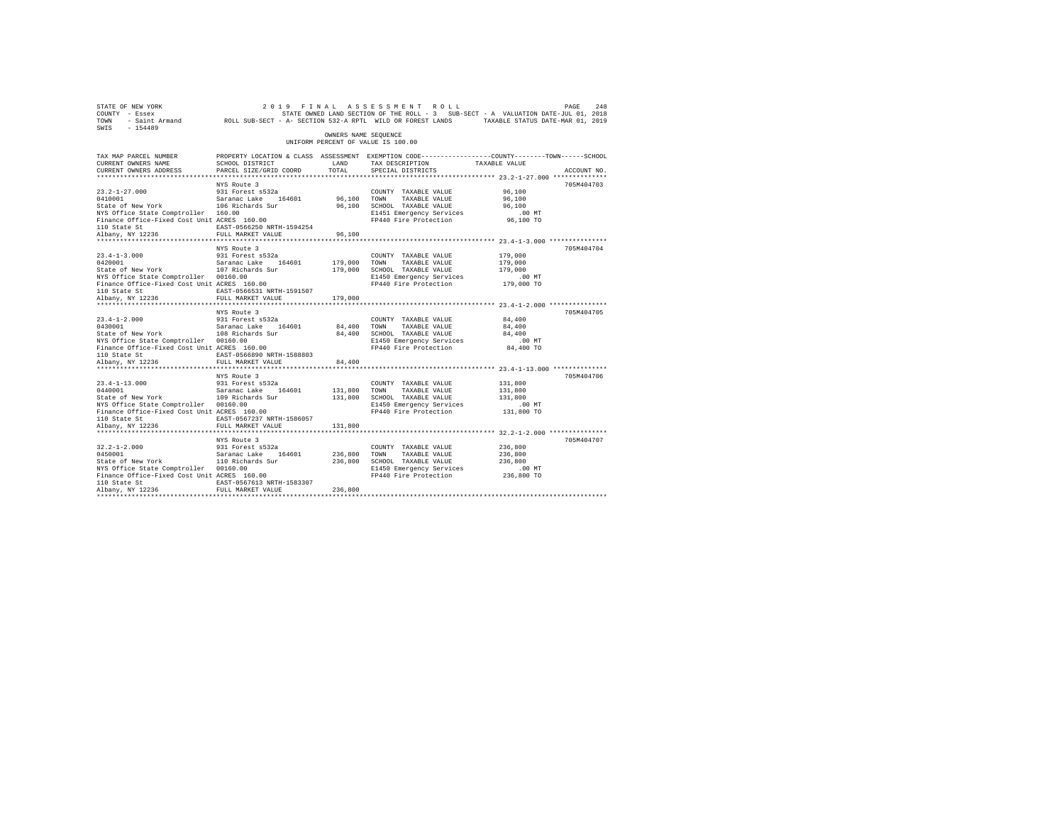| 248 PAGE 248 (2019 FINAL ASSESSMENT ROLL PAGE 248 PAGE 249<br>COUNTY - Essex – STATE SON STATE SONNED LAND SECTION OF THE ROLL -3 SUB-SECT - A VALUATION DATE-JUL 01, 2018<br>TOWN - Saint_Armand – ROLL SUB-SECT - A- SECTION 532-A<br>SWIS - 154489 |                                                                                                                   |                      |                                                            |                                                          |             |
|-------------------------------------------------------------------------------------------------------------------------------------------------------------------------------------------------------------------------------------------------------|-------------------------------------------------------------------------------------------------------------------|----------------------|------------------------------------------------------------|----------------------------------------------------------|-------------|
|                                                                                                                                                                                                                                                       |                                                                                                                   | OWNERS NAME SEOUENCE | UNIFORM PERCENT OF VALUE IS 100.00                         |                                                          |             |
| TAX MAP PARCEL NUMBER<br>CURRENT OWNERS NAME                                                                                                                                                                                                          | PROPERTY LOCATION & CLASS ASSESSMENT EXEMPTION CODE---------------COUNTY-------TOWN-----SCHOOL<br>SCHOOL DISTRICT | LAND                 | TAX DESCRIPTION TAXABLE VALUE                              |                                                          |             |
| CURRENT OWNERS ADDRESS                                                                                                                                                                                                                                | PARCEL SIZE/GRID COORD                                                                                            | TOTAL                | SPECIAL DISTRICTS                                          |                                                          | ACCOUNT NO. |
|                                                                                                                                                                                                                                                       |                                                                                                                   |                      |                                                            |                                                          |             |
|                                                                                                                                                                                                                                                       | NYS Route 3                                                                                                       |                      |                                                            |                                                          | 705M404703  |
|                                                                                                                                                                                                                                                       |                                                                                                                   |                      | COUNTY TAXABLE VALUE                                       | 96,100<br>96,100                                         |             |
|                                                                                                                                                                                                                                                       |                                                                                                                   |                      | 96,100 TOWN TAXABLE VALUE<br>96,100 SCHOOL TAXABLE VALUE   |                                                          |             |
| NYS Office State Comptroller 160.00                                                                                                                                                                                                                   |                                                                                                                   |                      |                                                            |                                                          |             |
| Finance Office-Fixed Cost Unit ACRES 160.00                                                                                                                                                                                                           |                                                                                                                   |                      |                                                            |                                                          |             |
|                                                                                                                                                                                                                                                       |                                                                                                                   |                      |                                                            |                                                          |             |
| 110 State St<br>Albany, NY 12236                                                                                                                                                                                                                      | FULL MARKET VALUE                                                                                                 | 96,100               |                                                            |                                                          |             |
|                                                                                                                                                                                                                                                       |                                                                                                                   |                      |                                                            |                                                          |             |
|                                                                                                                                                                                                                                                       | NYS Route 3                                                                                                       |                      |                                                            |                                                          | 705M404704  |
| $23.4 - 1 - 3.000$                                                                                                                                                                                                                                    | 931 Forest s532a                                                                                                  |                      | COUNTY TAXABLE VALUE                                       | 179,000                                                  |             |
|                                                                                                                                                                                                                                                       |                                                                                                                   | 179,000 TOWN         | TAXABLE VALUE                                              | 179,000                                                  |             |
|                                                                                                                                                                                                                                                       |                                                                                                                   |                      | 179,000 SCHOOL TAXABLE VALUE                               | 179,000                                                  |             |
| NYS Office State Comptroller 00160.00<br>Finance Office-Fixed Cost Unit ACRES 160.00                                                                                                                                                                  |                                                                                                                   |                      | E1450 Emergency Services                                   | $.00$ MT                                                 |             |
|                                                                                                                                                                                                                                                       | EAST-0566531 NRTH-1591507                                                                                         |                      | FP440 Fire Protection 179,000 TO                           |                                                          |             |
| 110 State St<br>Albany, NY 12236                                                                                                                                                                                                                      | FULL MARKET VALUE                                                                                                 | 179,000              |                                                            |                                                          |             |
|                                                                                                                                                                                                                                                       |                                                                                                                   |                      |                                                            |                                                          |             |
|                                                                                                                                                                                                                                                       | NYS Route 3                                                                                                       |                      |                                                            |                                                          | 705M404705  |
| $23.4 - 1 - 2.000$                                                                                                                                                                                                                                    |                                                                                                                   |                      | COUNTY TAXABLE VALUE                                       | 84,400                                                   |             |
|                                                                                                                                                                                                                                                       |                                                                                                                   |                      |                                                            | 84,400                                                   |             |
|                                                                                                                                                                                                                                                       |                                                                                                                   |                      | 84,400 TOWN TAXABLE VALUE<br>84,400 SCHOOL TAXABLE VALUE   | 84,400                                                   |             |
| NYS Office State Comptroller 00160.00                                                                                                                                                                                                                 |                                                                                                                   |                      | E1450 Emergency Services                                   | .00MT                                                    |             |
| Finance Office-Fixed Cost Unit ACRES 160.00                                                                                                                                                                                                           |                                                                                                                   |                      | FP440 Fire Protection 84,400 TO                            |                                                          |             |
| 110 State St                                                                                                                                                                                                                                          | EAST-0566890 NRTH-1588803                                                                                         |                      |                                                            |                                                          |             |
| Albany, NY 12236                                                                                                                                                                                                                                      | FULL MARKET VALUE<br>*************************                                                                    | 84,400               |                                                            |                                                          |             |
|                                                                                                                                                                                                                                                       | NYS Route 3                                                                                                       |                      |                                                            | *************************** 23.4-1-13.000 ************** | 705M404706  |
|                                                                                                                                                                                                                                                       |                                                                                                                   |                      | COUNTY TAXABLE VALUE                                       | 131,800                                                  |             |
|                                                                                                                                                                                                                                                       |                                                                                                                   |                      |                                                            | 131,800                                                  |             |
| 23.4-1-13.000 931 Forest s532a<br>0440001 931 Saranac Lake 164601<br>State of New York 109 Richards Sur                                                                                                                                               |                                                                                                                   |                      | 131,800 TOWN TAXABLE VALUE<br>131,800 SCHOOL TAXABLE VALUE | 131,800                                                  |             |
| NYS Office State Comptroller 00160.00                                                                                                                                                                                                                 |                                                                                                                   |                      | E1450 Emergency Services                                   | $.00$ MT                                                 |             |
| Finance Office-Fixed Cost Unit ACRES 160.00                                                                                                                                                                                                           |                                                                                                                   |                      | FP440 Fire Protection 131,800 TO                           |                                                          |             |
| 110 State St                                                                                                                                                                                                                                          | EAST-0567237 NRTH-1586057                                                                                         |                      |                                                            |                                                          |             |
| Albany, NY 12236                                                                                                                                                                                                                                      | FULL MARKET VALUE                                                                                                 | 131,800              |                                                            |                                                          |             |
|                                                                                                                                                                                                                                                       |                                                                                                                   |                      |                                                            |                                                          |             |
|                                                                                                                                                                                                                                                       | NYS Route 3                                                                                                       |                      |                                                            |                                                          | 705M404707  |
| $32.2 - 1 - 2.000$                                                                                                                                                                                                                                    | 931 Forest s532a                                                                                                  |                      | COUNTY TAXABLE VALUE                                       | 236,800                                                  |             |
|                                                                                                                                                                                                                                                       |                                                                                                                   |                      | TAXABLE VALUE                                              | 236,800                                                  |             |
| NYS Office State Comptroller 00160.00                                                                                                                                                                                                                 |                                                                                                                   |                      | 236,800 SCHOOL TAXABLE VALUE<br>E1450 Emergency Services   | 236,800<br>$.00$ MT                                      |             |
| Finance Office-Fixed Cost Unit ACRES 160.00                                                                                                                                                                                                           |                                                                                                                   |                      | FP440 Fire Protection 236,800 TO                           |                                                          |             |
| 110 State St                                                                                                                                                                                                                                          | EAST-0567613 NRTH-1583307                                                                                         |                      |                                                            |                                                          |             |
| Albany, NY 12236                                                                                                                                                                                                                                      | FULL MARKET VALUE                                                                                                 | 236,800              |                                                            |                                                          |             |
|                                                                                                                                                                                                                                                       |                                                                                                                   |                      |                                                            |                                                          |             |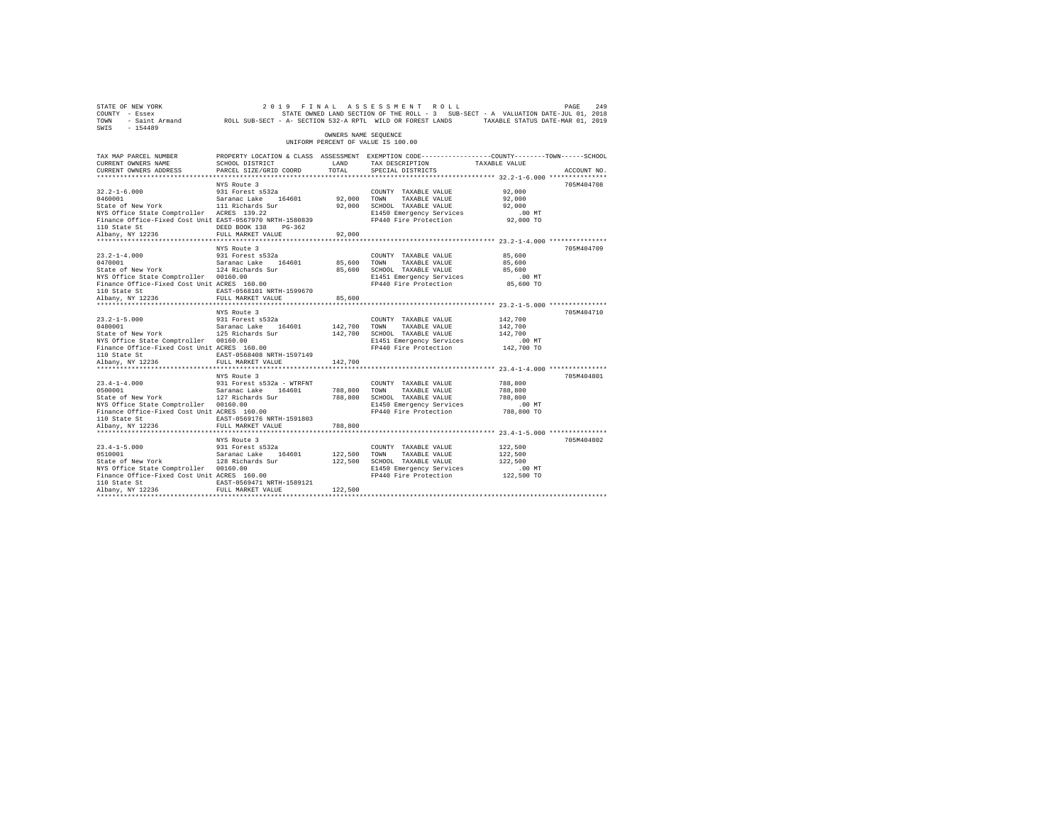| 249 PAGE 249 PINAL ASSESSMENT ROLL PAGE PAGE 249<br>COUNTY - Essex STATE STATE ON STATE ROLL - 3 SUB-SECT - A VALUATION DATE-JUL 01, 2018<br>TOWN - Saint_Armand ROLL SUB-SECT - A-SECTION 532-A RPTL WILD OR FOREST LANDS TAXABLE S<br>SWIS - 154489                                                     |                                                                                                                                             |                      |                                                                                                                                     |                                                         |             |
|-----------------------------------------------------------------------------------------------------------------------------------------------------------------------------------------------------------------------------------------------------------------------------------------------------------|---------------------------------------------------------------------------------------------------------------------------------------------|----------------------|-------------------------------------------------------------------------------------------------------------------------------------|---------------------------------------------------------|-------------|
|                                                                                                                                                                                                                                                                                                           |                                                                                                                                             | OWNERS NAME SEOUENCE | UNIFORM PERCENT OF VALUE IS 100.00                                                                                                  |                                                         |             |
| TAX MAP PARCEL NUMBER<br>CURRENT OWNERS NAME<br>CURRENT OWNERS ADDRESS                                                                                                                                                                                                                                    | PROPERTY LOCATION & CLASS ASSESSMENT EXEMPTION CODE---------------COUNTY-------TOWN-----SCHOOL<br>SCHOOL DISTRICT<br>PARCEL SIZE/GRID COORD | LAND<br>TOTAL        | TAX DESCRIPTION TAXABLE VALUE<br>SPECIAL DISTRICTS                                                                                  |                                                         | ACCOUNT NO. |
|                                                                                                                                                                                                                                                                                                           |                                                                                                                                             |                      |                                                                                                                                     |                                                         |             |
| 32.2-1-6.000 931 Forest s532a<br>0460001 Saranac Lake 164601<br>State of New York 111 Richards Sur                                                                                                                                                                                                        | NYS Route 3                                                                                                                                 | 92,000 TOWN          | COUNTY TAXABLE VALUE<br>TAXABLE VALUE<br>92,000 SCHOOL TAXABLE VALUE                                                                | 92,000<br>92,000<br>92,000                              | 705M404708  |
| 110 State St<br>Albany, NY 12236                                                                                                                                                                                                                                                                          | DEED BOOK 138 PG-362                                                                                                                        |                      |                                                                                                                                     |                                                         |             |
|                                                                                                                                                                                                                                                                                                           | FULL MARKET VALUE<br>NYS Route 3                                                                                                            | 92,000               |                                                                                                                                     |                                                         | 705M404709  |
| $23.2 - 1 - 4.000$<br>NYS Office State Comptroller 00160.00<br>Finance Office-Fixed Cost Unit ACRES 160.00                                                                                                                                                                                                | 931 Forest s532a<br>ACRES 160.00<br>EAST-0568101 NRTH-1599670                                                                               | 85,600 TOWN          | COUNTY TAXABLE VALUE<br>TAXABLE VALUE<br>85,600 SCHOOL TAXABLE VALUE<br>E1451 Emergency Services<br>FP440 Fire Protection 85,600 TO | 85,600<br>85,600<br>85,600<br>.00MT                     |             |
| 110 State St<br>Albany, NY 12236                                                                                                                                                                                                                                                                          |                                                                                                                                             |                      |                                                                                                                                     |                                                         |             |
|                                                                                                                                                                                                                                                                                                           | FULL MARKET VALUE<br>NYS Route 3                                                                                                            | 85,600               |                                                                                                                                     |                                                         | 705M404710  |
| $23.2 - 1 - 5.000$<br>23.2-1-5.000 931 Forest s532a<br>0480001 9525 582anac Lake 164601<br>State of New York 125 Richards Sur<br>NYS Office State Comptroller 00160.00<br>Finance Office-Fixed Cost Unit ACRES 160.00<br>110 State St                                                                     | EAST-0568408 NRTH-1597149                                                                                                                   | 142,700 TOWN         | COUNTY TAXABLE VALUE<br>TAXABLE VALUE<br>142,700 SCHOOL TAXABLE VALUE<br>E1451 Emergency Services<br>FP440 Fire Protection          | 142,700<br>142,700<br>142,700<br>$.00$ MT<br>142,700 TO |             |
| Albany, NY 12236                                                                                                                                                                                                                                                                                          | FULL MARKET VALUE                                                                                                                           | 142,700              |                                                                                                                                     |                                                         |             |
|                                                                                                                                                                                                                                                                                                           | **********************<br>NYS Route 3                                                                                                       |                      |                                                                                                                                     | ************************* 23.4-1-4.000 ***************  | 705M404801  |
| $23.4 - 1 - 4.000$<br>23.4-1-4.000 931 Forest s532a - WTRFNT COUNT<br>0500001 0500 50000 500001 51200001 52000 9000 70000<br>State of New York 127 Richards Sur 788,800 SCHOO<br>NYS Office State Comptroller 00160.00<br>Finance Office-Fixed Cost Unit ACRES 160.00<br>110 State St<br>Albany, NY 12236 | 931 Forest s532a - WTRFNT<br>EAST-0569176 NRTH-1591803<br>FULL MARKET VALUE                                                                 | 788,800              | COUNTY TAXABLE VALUE<br>TAXABLE VALUE<br>788,800 SCHOOL TAXABLE VALUE<br>E1450 Emergency Services<br>FP440 Fire Protection          | 788,800<br>788,800<br>788,800<br>$.00$ MT<br>788,800 TO |             |
|                                                                                                                                                                                                                                                                                                           |                                                                                                                                             |                      |                                                                                                                                     |                                                         |             |
| $23.4 - 1 - 5.000$<br>0510001  Saranac Lake 164601<br>State of New York  128 Richards Sur<br>NYS Office State Comptroller 00160.00<br>Finance Office-Fixed Cost Unit ACRES 160.00<br>110 State St                                                                                                         | NYS Route 3<br>931 Forest s532a<br>EAST-0569471 NRTH-1589121                                                                                | 122,500 TOWN         | COUNTY TAXABLE VALUE<br>TAXABLE VALUE<br>122,500 SCHOOL TAXABLE VALUE<br>E1450 Emergency Services<br>FP440 Fire Protection          | 122,500<br>122,500<br>122,500<br>$.00$ MT<br>122,500 TO | 705M404802  |
| Albany, NY 12236                                                                                                                                                                                                                                                                                          | FULL MARKET VALUE                                                                                                                           | 122,500              |                                                                                                                                     |                                                         |             |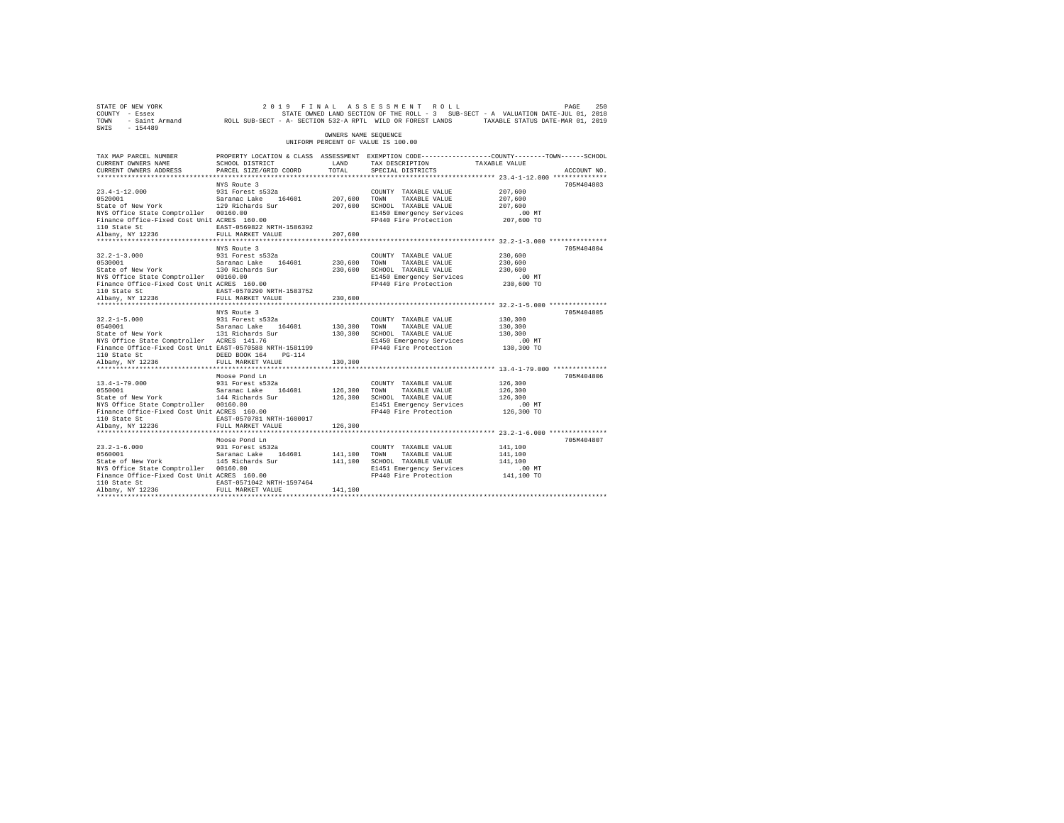| 2019 FINAL ASSESSMENT ROLL PAGE 250<br>COUNTY - Essex – SALUATION DATE-JULOI, 2018<br>TOWN - Saint_Armand – ROLL SUB-SECT - A-SECTION 532-ARPTL WILD OR FOREST LANDS – TAXABLE STATUS DATE-JULOI, 2019<br>TOWN - Saint_Armand – ROLL SU<br>SWIS - 154489                                           |                                                                                                                   |                      |                                                              |                                                          |             |
|----------------------------------------------------------------------------------------------------------------------------------------------------------------------------------------------------------------------------------------------------------------------------------------------------|-------------------------------------------------------------------------------------------------------------------|----------------------|--------------------------------------------------------------|----------------------------------------------------------|-------------|
|                                                                                                                                                                                                                                                                                                    |                                                                                                                   | OWNERS NAME SEOUENCE | UNIFORM PERCENT OF VALUE IS 100.00                           |                                                          |             |
| TAX MAP PARCEL NUMBER<br>CURRENT OWNERS NAME                                                                                                                                                                                                                                                       | PROPERTY LOCATION & CLASS ASSESSMENT EXEMPTION CODE---------------COUNTY-------TOWN-----SCHOOL<br>SCHOOL DISTRICT | LAND                 | TAX DESCRIPTION TAXABLE VALUE                                |                                                          |             |
| CURRENT OWNERS ADDRESS                                                                                                                                                                                                                                                                             | PARCEL SIZE/GRID COORD                                                                                            | TOTAL                | SPECIAL DISTRICTS                                            |                                                          | ACCOUNT NO. |
|                                                                                                                                                                                                                                                                                                    |                                                                                                                   |                      |                                                              |                                                          |             |
|                                                                                                                                                                                                                                                                                                    | NYS Route 3                                                                                                       |                      |                                                              |                                                          | 705M404803  |
| 23.4-1-12.000 931 Forest s532a<br>0520001 93201 Saranac Lake 164601<br>State of New York 129 Richards Sur                                                                                                                                                                                          |                                                                                                                   |                      | COUNTY TAXABLE VALUE                                         | 207,600                                                  |             |
|                                                                                                                                                                                                                                                                                                    |                                                                                                                   | 207,600              | TOWN<br>TAXABLE VALUE                                        | 207,600                                                  |             |
|                                                                                                                                                                                                                                                                                                    |                                                                                                                   |                      | 207,600 SCHOOL TAXABLE VALUE                                 | 207,600                                                  |             |
| NYS Office State Comptroller 00160.00<br>Finance Office-Fixed Cost Unit ACRES 160.00                                                                                                                                                                                                               |                                                                                                                   |                      | E1450 Emergency Services<br>FP440 Fire Protection 207,600 TO | $.00$ MT                                                 |             |
|                                                                                                                                                                                                                                                                                                    | EAST-0569822 NRTH-1586392                                                                                         |                      |                                                              |                                                          |             |
| 110 State St<br>Albany, NY 12236                                                                                                                                                                                                                                                                   | FULL MARKET VALUE                                                                                                 | 207,600              |                                                              |                                                          |             |
|                                                                                                                                                                                                                                                                                                    |                                                                                                                   |                      |                                                              |                                                          |             |
|                                                                                                                                                                                                                                                                                                    | NYS Route 3                                                                                                       |                      |                                                              |                                                          | 705M404804  |
| $32.2 - 1 - 3.000$                                                                                                                                                                                                                                                                                 | 931 Forest s532a                                                                                                  |                      | COUNTY TAXABLE VALUE                                         | 230,600                                                  |             |
|                                                                                                                                                                                                                                                                                                    |                                                                                                                   | 230,600              | TAXABLE VALUE<br>TOWN                                        | 230,600                                                  |             |
| $\begin{array}{lll} 32.2\text{--}1\text{--}3.000 & \phantom{00}931\text{ Forest s}532\text{a} \\ 0530001 & \phantom{00}530001 & \phantom{00}530001 \\ 0530001 & \phantom{000}332001 & \phantom{000}332000 \\ \text{State of New York} & \phantom{0000}332000 & \phantom{0000}33200 \\ \end{array}$ |                                                                                                                   |                      | 230,600 SCHOOL TAXABLE VALUE                                 | 230,600                                                  |             |
| NYS Office State Comptroller 00160.00                                                                                                                                                                                                                                                              |                                                                                                                   |                      | E1450 Emergency Services                                     | $.00$ MT                                                 |             |
| Finance Office-Fixed Cost Unit ACRES 160.00                                                                                                                                                                                                                                                        |                                                                                                                   |                      | FP440 Fire Protection 230,600 TO                             |                                                          |             |
| 110 State St<br>Albany, NY 12236                                                                                                                                                                                                                                                                   | EAST-0570290 NRTH-1583752                                                                                         |                      |                                                              |                                                          |             |
|                                                                                                                                                                                                                                                                                                    | FULL MARKET VALUE                                                                                                 | 230,600              |                                                              |                                                          |             |
|                                                                                                                                                                                                                                                                                                    |                                                                                                                   |                      |                                                              |                                                          |             |
|                                                                                                                                                                                                                                                                                                    | NYS Route 3                                                                                                       |                      | COUNTY TAXABLE VALUE                                         | 130,300                                                  | 705M404805  |
|                                                                                                                                                                                                                                                                                                    |                                                                                                                   |                      |                                                              | 130,300                                                  |             |
| 32.2-1-5.000 931 Forest s532a<br>0540001 5 Saranac Lake 164601<br>State of New York 131 Richards Sur                                                                                                                                                                                               |                                                                                                                   |                      | 130,300 TOWN TAXABLE VALUE<br>130,300 SCHOOL TAXABLE VALUE   | 130,300                                                  |             |
| NYS Office State Comptroller ACRES 141.76                                                                                                                                                                                                                                                          |                                                                                                                   |                      | E1450 Emergency Services                                     | .00 MT                                                   |             |
| Finance Office-Fixed Cost Unit EAST-0570588 NRTH-1581199                                                                                                                                                                                                                                           |                                                                                                                   |                      | FP440 Fire Protection 130,300 TO                             |                                                          |             |
| 110 State St                                                                                                                                                                                                                                                                                       | DEED BOOK 164 PG-114                                                                                              |                      |                                                              |                                                          |             |
| Albany, NY 12236                                                                                                                                                                                                                                                                                   | FULL MARKET VALUE                                                                                                 | 130,300              |                                                              |                                                          |             |
|                                                                                                                                                                                                                                                                                                    | **************************                                                                                        |                      |                                                              | *************************** 13.4-1-79.000 ************** |             |
|                                                                                                                                                                                                                                                                                                    | Moose Pond Ln                                                                                                     |                      |                                                              |                                                          | 705M404806  |
| $13.4 - 1 - 79.000$                                                                                                                                                                                                                                                                                |                                                                                                                   |                      | COUNTY TAXABLE VALUE                                         | 126,300                                                  |             |
| 13.4-1-79.000 931 Forest s532a<br>0550001 93001 Saranac Lake 164601<br>State of New York 144 Richards Sur                                                                                                                                                                                          |                                                                                                                   | 126,300 TOWN         | TAXABLE VALUE                                                | 126,300                                                  |             |
|                                                                                                                                                                                                                                                                                                    |                                                                                                                   |                      | 126,300 SCHOOL TAXABLE VALUE                                 | 126,300                                                  |             |
| NYS Office State Comptroller 00160.00<br>Finance Office-Fixed Cost Unit ACRES 160.00                                                                                                                                                                                                               |                                                                                                                   |                      | E1451 Emergency Services<br>FP440 Fire Protection 126,300 TO | $.00$ MT                                                 |             |
|                                                                                                                                                                                                                                                                                                    | EAST-0570781 NRTH-1600017                                                                                         |                      |                                                              |                                                          |             |
| 110 State St<br>Albany, NY 12236                                                                                                                                                                                                                                                                   | FULL MARKET VALUE                                                                                                 | 126,300              |                                                              |                                                          |             |
|                                                                                                                                                                                                                                                                                                    |                                                                                                                   |                      |                                                              |                                                          |             |
|                                                                                                                                                                                                                                                                                                    | Moose Pond Ln                                                                                                     |                      |                                                              |                                                          | 705M404807  |
| $23.2 - 1 - 6.000$                                                                                                                                                                                                                                                                                 | 931 Forest s532a                                                                                                  |                      | COUNTY TAXABLE VALUE                                         | 141,100                                                  |             |
| $23.2 - 1 - 6.000$<br>0560001                                                                                                                                                                                                                                                                      |                                                                                                                   | 141.100 TOWN         | TAXABLE VALUE                                                | 141,100                                                  |             |
| 0560001 Saranac Lake 164601<br>State of New York 145 Richards Sur                                                                                                                                                                                                                                  |                                                                                                                   |                      | 141,100 SCHOOL TAXABLE VALUE                                 | 141,100                                                  |             |
| NYS Office State Comptroller 00160.00                                                                                                                                                                                                                                                              |                                                                                                                   |                      | E1451 Emergency Services                                     | $.00$ MT                                                 |             |
| Finance Office-Fixed Cost Unit ACRES 160.00                                                                                                                                                                                                                                                        |                                                                                                                   |                      | FP440 Fire Protection 141,100 TO                             |                                                          |             |
| 110 State St                                                                                                                                                                                                                                                                                       | EAST-0571042 NRTH-1597464                                                                                         |                      |                                                              |                                                          |             |
| Albany, NY 12236                                                                                                                                                                                                                                                                                   | FULL MARKET VALUE                                                                                                 | 141,100              |                                                              |                                                          |             |
|                                                                                                                                                                                                                                                                                                    |                                                                                                                   |                      |                                                              |                                                          |             |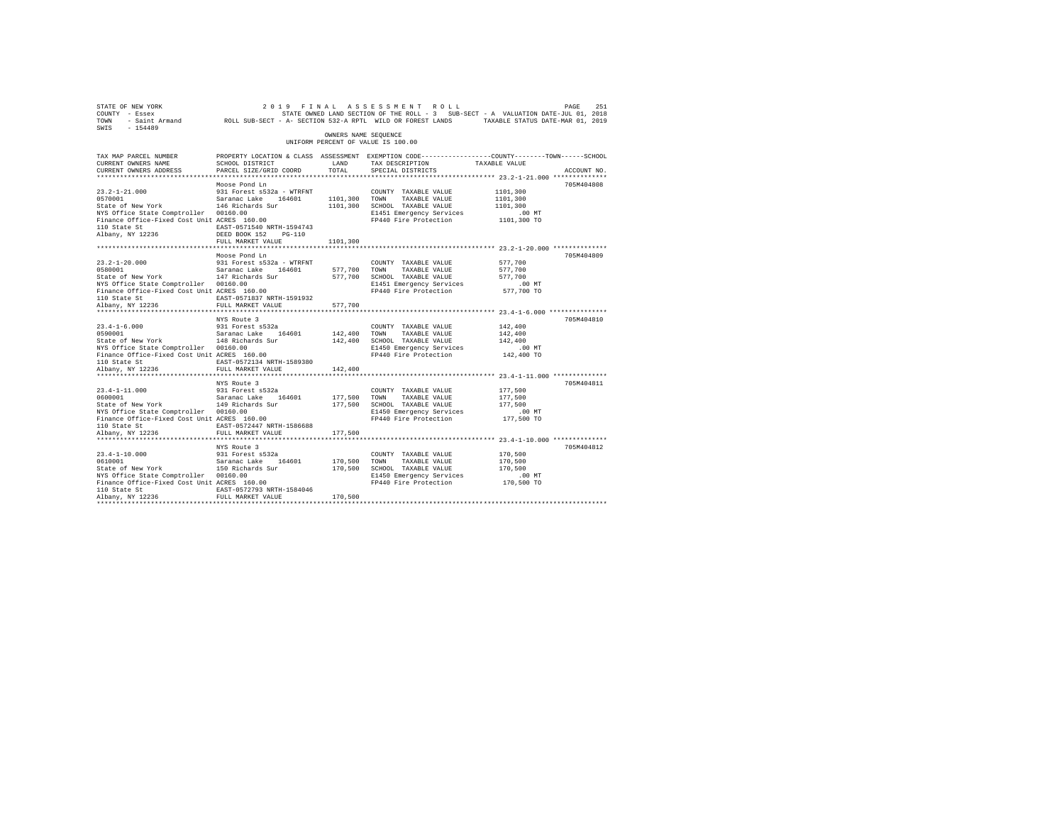| STATE OF NEW YORK<br>COUNTY - Essex<br>TOWN<br>SWIS<br>$-154489$                     |                                                |                      | 2019 FINAL ASSESSMENT ROLL<br>STATE OWNED LAND SECTION OF THE ROLL - 3 SUB-SECT - A VALUATION DATE-JUL 01, 2018<br>- Saint Armand MOLL SUB-SECT - A- SECTION 532-A RPTL WILD OR FOREST LANDS TAXABLE STATUS DATE-MAR 01, 2019 |               | 251<br>PAGE |
|--------------------------------------------------------------------------------------|------------------------------------------------|----------------------|-------------------------------------------------------------------------------------------------------------------------------------------------------------------------------------------------------------------------------|---------------|-------------|
|                                                                                      |                                                | OWNERS NAME SEQUENCE | UNIFORM PERCENT OF VALUE IS 100.00                                                                                                                                                                                            |               |             |
| TAX MAP PARCEL NUMBER                                                                |                                                |                      | PROPERTY LOCATION & CLASS ASSESSMENT EXEMPTION CODE---------------COUNTY-------TOWN-----SCHOOL                                                                                                                                |               |             |
| CURRENT OWNERS NAME                                                                  | SCHOOL DISTRICT                                | LAND                 | TAX DESCRIPTION                                                                                                                                                                                                               | TAXABLE VALUE |             |
| CURRENT OWNERS ADDRESS                                                               | PARCEL SIZE/GRID COORD                         | TOTAL                | SPECIAL DISTRICTS                                                                                                                                                                                                             |               | ACCOUNT NO. |
|                                                                                      | Moose Pond Ln                                  |                      |                                                                                                                                                                                                                               |               | 705M404808  |
| $23.2 - 1 - 21.000$                                                                  | 931 Forest s532a - WTRFNT                      |                      | COUNTY TAXABLE VALUE                                                                                                                                                                                                          | 1101,300      |             |
| 0570001                                                                              | Saranac Lake 164601                            | 1101,300 TOWN        | TAXABLE VALUE                                                                                                                                                                                                                 | 1101,300      |             |
| State of New York                                                                    | 146 Richards Sur                               |                      | 1101,300 SCHOOL TAXABLE VALUE                                                                                                                                                                                                 | 1101,300      |             |
| NYS Office State Comptroller 00160.00<br>Finance Office-Fixed Cost Unit ACRES 160.00 |                                                |                      | E1451 Emergency Services                                                                                                                                                                                                      | .00MT         |             |
|                                                                                      |                                                |                      | FP440 Fire Protection                                                                                                                                                                                                         | 1101,300 TO   |             |
| 110 State St                                                                         | EAST-0571540 NRTH-1594743                      |                      |                                                                                                                                                                                                                               |               |             |
| Albany, NY 12236                                                                     | DEED BOOK 152<br>$PG-110$<br>FULL MARKET VALUE | 1101,300             |                                                                                                                                                                                                                               |               |             |
|                                                                                      |                                                |                      |                                                                                                                                                                                                                               |               |             |
|                                                                                      | Moose Pond Ln                                  |                      |                                                                                                                                                                                                                               |               | 705M404809  |
| $23.2 - 1 - 20.000$                                                                  | 931 Forest s532a - WTRFNT                      |                      | COUNTY TAXABLE VALUE                                                                                                                                                                                                          | 577,700       |             |
| 0580001                                                                              | Saranac Lake 164601                            | 577,700              | TAXABLE VALUE<br>TOWN                                                                                                                                                                                                         | 577,700       |             |
| State of New York                                                                    | 147 Richards Sur                               | 577,700              | SCHOOL TAXABLE VALUE                                                                                                                                                                                                          | 577.700       |             |
| NYS Office State Comptroller 00160.00                                                |                                                |                      | E1451 Emergency Services                                                                                                                                                                                                      | .00MT         |             |
| Finance Office-Fixed Cost Unit ACRES 160.00                                          |                                                |                      | FP440 Fire Protection                                                                                                                                                                                                         | 577,700 TO    |             |
| 110 State St                                                                         | EAST-0571837 NRTH-1591932                      |                      |                                                                                                                                                                                                                               |               |             |
| Albany, NY 12236                                                                     | FULL MARKET VALUE<br>************************* | 577.700              | *********************************** 23.4-1-6.000 ****************                                                                                                                                                             |               |             |
|                                                                                      | NYS Route 3                                    |                      |                                                                                                                                                                                                                               |               | 705M404810  |
| $23.4 - 1 - 6.000$                                                                   | 931 Forest s532a                               |                      | COUNTY TAXABLE VALUE                                                                                                                                                                                                          | 142,400       |             |
| 0590001                                                                              | Saranac Lake 164601                            | 142,400              | TOWN<br>TAXABLE VALUE                                                                                                                                                                                                         | 142,400       |             |
| State of New York                                                                    | 148 Richards Sur                               | 142,400              | SCHOOL TAXABLE VALUE                                                                                                                                                                                                          | 142,400       |             |
| NYS Office State Comptroller 00160.00<br>Finance Office-Fixed Cost Unit ACRES 160.00 |                                                |                      | E1450 Emergency Services                                                                                                                                                                                                      | $.00$ MT      |             |
|                                                                                      |                                                |                      | FP440 Fire Protection                                                                                                                                                                                                         | 142,400 TO    |             |
| 110 State St                                                                         | EAST-0572134 NRTH-1589380                      |                      |                                                                                                                                                                                                                               |               |             |
| Albany, NY 12236                                                                     | FULL MARKET VALUE                              | 142,400              |                                                                                                                                                                                                                               |               |             |
|                                                                                      | NYS Route 3                                    |                      |                                                                                                                                                                                                                               |               | 705M404811  |
| $23.4 - 1 - 11.000$                                                                  | 931 Forest s532a                               |                      | COUNTY TAXABLE VALUE                                                                                                                                                                                                          | 177,500       |             |
| 0600001                                                                              | Saranac Lake 164601                            | 177,500              | TOWN<br>TAXABLE VALUE                                                                                                                                                                                                         | 177,500       |             |
| State of New York                                                                    | 149 Richards Sur                               | 177,500              | SCHOOL TAXABLE VALUE                                                                                                                                                                                                          | 177,500       |             |
| NYS Office State Comptroller 00160.00                                                |                                                |                      | E1450 Emergency Services                                                                                                                                                                                                      | $.00$ MT      |             |
| Finance Office-Fixed Cost Unit ACRES 160.00                                          |                                                |                      | FP440 Fire Protection                                                                                                                                                                                                         | 177,500 TO    |             |
| 110 State St                                                                         | EAST-0572447 NRTH-1586688                      |                      |                                                                                                                                                                                                                               |               |             |
| Albany, NY 12236                                                                     | FULL MARKET VALUE                              | 177,500              |                                                                                                                                                                                                                               |               |             |
|                                                                                      |                                                |                      |                                                                                                                                                                                                                               |               |             |
| $23.4 - 1 - 10.000$                                                                  | NYS Route 3<br>931 Forest s532a                |                      | COUNTY TAXABLE VALUE                                                                                                                                                                                                          | 170,500       | 705M404812  |
| 0610001                                                                              | Saranac Lake<br>164601                         | 170.500              | TOWN<br>TAXABLE VALUE                                                                                                                                                                                                         | 170,500       |             |
| State of New York                                                                    | 150 Richards Sur                               |                      | 170,500 SCHOOL TAXABLE VALUE                                                                                                                                                                                                  | 170,500       |             |
| NYS Office State Comptroller 00160.00                                                |                                                |                      | E1450 Emergency Services                                                                                                                                                                                                      | $.00$ MT      |             |
| Finance Office-Fixed Cost Unit ACRES 160.00                                          |                                                |                      | FP440 Fire Protection                                                                                                                                                                                                         | 170,500 TO    |             |
| 110 State St                                                                         | EAST-0572793 NRTH-1584046                      |                      |                                                                                                                                                                                                                               |               |             |
| Albany, NY 12236                                                                     | FULL MARKET VALUE                              | 170,500              |                                                                                                                                                                                                                               |               |             |
|                                                                                      |                                                |                      |                                                                                                                                                                                                                               |               |             |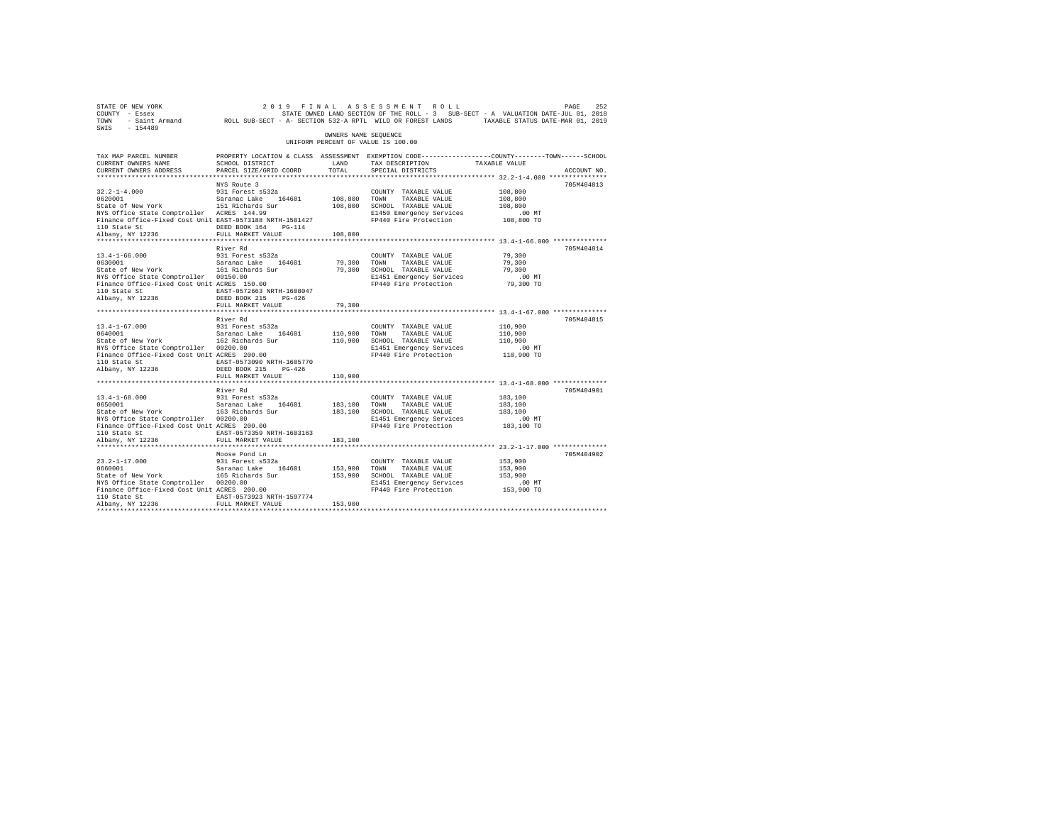| STATE OF NEW YORK<br>COUNTY - Essex<br>TOWN<br>SWIS - 154489                                                                                                                                                                    | - Saint Armand ROLL SUB-SECT - A- SECTION 532-A RPTL WILD OR FOREST LANDS TAXABLE STATUS DATE-MAR 01, 2019                                   |                         | 2019 FINAL ASSESSMENT ROLL<br>STATE OWNED LAND SECTION OF THE ROLL - 3 SUB-SECT - A VALUATION DATE-JUL 01, 2018            |                                                         | 252<br>PAGE |
|---------------------------------------------------------------------------------------------------------------------------------------------------------------------------------------------------------------------------------|----------------------------------------------------------------------------------------------------------------------------------------------|-------------------------|----------------------------------------------------------------------------------------------------------------------------|---------------------------------------------------------|-------------|
|                                                                                                                                                                                                                                 |                                                                                                                                              | OWNERS NAME SEQUENCE    | UNIFORM PERCENT OF VALUE IS 100.00                                                                                         |                                                         |             |
| TAX MAP PARCEL NUMBER<br>CURRENT OWNERS NAME<br>CURRENT OWNERS ADDRESS                                                                                                                                                          | PROPERTY LOCATION & CLASS ASSESSMENT EXEMPTION CODE----------------COUNTY-------TOWN-----SCHOOL<br>SCHOOL DISTRICT<br>PARCEL SIZE/GRID COORD | LAND<br>TOTAL           | TAX DESCRIPTION<br>SPECIAL DISTRICTS                                                                                       | TAXABLE VALUE                                           | ACCOUNT NO. |
| 0620001<br>0620001 Saranac Lake 164601<br>State of New York 151 Richards Sur<br>NYS Office State Comptroller ACRES 144.99<br>Finance Office-Fixed Cost Unit EAST-0573188 NRTH-1581427<br>110 State St                           | NYS Route 3<br>931 Forest s532a<br>DEED BOOK 164 PG-114                                                                                      | 108,800 TOWN            | COUNTY TAXABLE VALUE<br>TAXABLE VALUE<br>108,800 SCHOOL TAXABLE VALUE<br>E1450 Emergency Services<br>FP440 Fire Protection | 108,800<br>108,800<br>108,800<br>$.00$ MT<br>108,800 TO | 705M404813  |
| Albany, NY 12236<br>**********************                                                                                                                                                                                      | FULL MARKET VALUE<br>************************                                                                                                | 108,800<br>***********  |                                                                                                                            | ************** 13.4-1-66.000 ***************            |             |
| $13.4 - 1 - 66.000$<br>0630001<br>State of New York<br>NIS OFFICE State Comptroller 00150.00<br>Finance Office-Fixed Cost Unit ACRES 150.00<br>110 Oktober<br>110 State St<br>Albany, NY 12236                                  | River Rd<br>931 Forest s532a<br>Saranac Lake 164601<br>161 Richards Sur<br>EAST-0572663 NRTH-1608047<br>DEED BOOK 215 PG-426                 | 79,300<br>79,300        | COUNTY TAXABLE VALUE<br>TAXABLE VALUE<br>TOWN<br>SCHOOL TAXABLE VALUE<br>E1451 Emergency Services<br>FP440 Fire Protection | 79,300<br>79,300<br>79,300<br>$.00$ MT<br>79,300 TO     | 705M404814  |
|                                                                                                                                                                                                                                 | FULL MARKET VALUE                                                                                                                            | 79,300                  |                                                                                                                            |                                                         |             |
| $13.4 - 1 - 67.000$<br>0640001<br>0640001 Saranac Lake 164601<br>State of New York 162 Richards Sur<br>NYS Office State Comptroller 00200.00<br>Finance Office-Fixed Cost Unit ACRES 200.00<br>110 State St<br>Albany, NY 12236 | River Rd<br>931 Forest s532a<br>EAST-0573090 NRTH-1605770<br>DEED BOOK 215 PG-426                                                            | 110,900 TOWN            | COUNTY TAXABLE VALUE<br>TAXABLE VALUE<br>110,900 SCHOOL TAXABLE VALUE<br>E1451 Emergency Services<br>FP440 Fire Protection | 110,900<br>110,900<br>110,900<br>$.00$ MT<br>110,900 TO | 705M404815  |
|                                                                                                                                                                                                                                 | FULL MARKET VALUE                                                                                                                            | 110,900                 |                                                                                                                            |                                                         |             |
| $13.4 - 1 - 68.000$<br>0650001<br>State of New York 163 Richards Sur<br>NYS Office State Comptroller 00200.00<br>Finance Office-Fixed Cost Unit ACRES 200.00<br>110 State St<br>Albany, NY 12236                                | River Rd<br>931 Forest s532a<br>Saranac Lake 164601<br>EAST-0573359 NRTH-1603163<br>FULL MARKET VALUE                                        | 183,100 TOWN<br>183,100 | COUNTY TAXABLE VALUE<br>TAXABLE VALUE<br>183,100 SCHOOL TAXABLE VALUE<br>E1451 Emergency Services<br>FP440 Fire Protection | 183,100<br>183,100<br>183,100<br>$.00$ MT<br>183,100 TO | 705M404901  |
| $23.2 - 1 - 17.000$<br>0660001                                                                                                                                                                                                  | Moose Pond Ln<br>931 Forest s532a<br>Saranac Lake 164601                                                                                     | 153,900 TOWN            | COUNTY TAXABLE VALUE<br>TAXABLE VALUE                                                                                      | 153,900<br>153,900                                      | 705M404902  |
| State of New York<br>NYS Office State Comptroller 00200.00<br>Finance Office-Fixed Cost Unit ACRES 200.00<br>110 State St                                                                                                       | 165 Richards Sur<br>EAST-0573923 NRTH-1597774                                                                                                |                         | 153,900 SCHOOL TAXABLE VALUE<br>E1451 Emergency Services<br>FP440 Fire Protection                                          | 153,900<br>$.00$ MT<br>153,900 TO                       |             |
| Albany, NY 12236                                                                                                                                                                                                                | FULL MARKET VALUE                                                                                                                            | 153,900                 |                                                                                                                            |                                                         |             |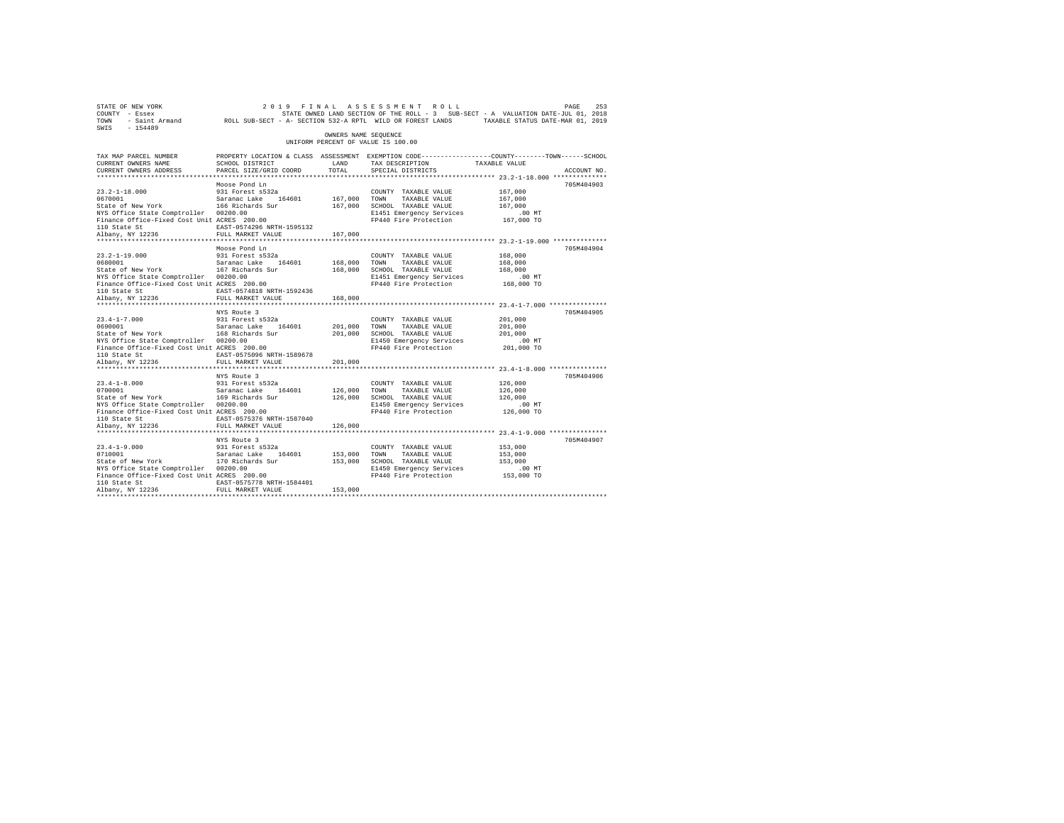| 261 PAGE 263 (2019 FINAL ASSESSMENT ROLL PAGE 253 PAGE 253 PAGE 253 PAGE 253<br>COUNTY - Essex STATE SOLL SUPER ON STATE SOLL TO SUB-SECT - A VALUATION DATE-JUL 01, 2018<br>TOWN - Saint_Armand ROLL SUB-SECT - A- SECTION 532-A RP<br>SWIS - 154489 |                                                                                                                   |                      |                                                              |                    |             |
|-------------------------------------------------------------------------------------------------------------------------------------------------------------------------------------------------------------------------------------------------------|-------------------------------------------------------------------------------------------------------------------|----------------------|--------------------------------------------------------------|--------------------|-------------|
|                                                                                                                                                                                                                                                       |                                                                                                                   | OWNERS NAME SEOUENCE | UNIFORM PERCENT OF VALUE IS 100.00                           |                    |             |
| TAX MAP PARCEL NUMBER<br>CURRENT OWNERS NAME                                                                                                                                                                                                          | PROPERTY LOCATION & CLASS ASSESSMENT EXEMPTION CODE---------------COUNTY-------TOWN-----SCHOOL<br>SCHOOL DISTRICT | LAND                 | TAX DESCRIPTION TAXABLE VALUE                                |                    |             |
| CURRENT OWNERS ADDRESS                                                                                                                                                                                                                                | PARCEL SIZE/GRID COORD                                                                                            | TOTAL                | SPECIAL DISTRICTS                                            |                    | ACCOUNT NO. |
|                                                                                                                                                                                                                                                       |                                                                                                                   |                      |                                                              |                    |             |
|                                                                                                                                                                                                                                                       | Moose Pond Ln                                                                                                     |                      |                                                              |                    | 705M404903  |
|                                                                                                                                                                                                                                                       |                                                                                                                   | 167,000 TOWN         | COUNTY TAXABLE VALUE<br>TAXABLE VALUE                        | 167,000<br>167,000 |             |
|                                                                                                                                                                                                                                                       |                                                                                                                   |                      | 167,000 SCHOOL TAXABLE VALUE                                 | 167,000            |             |
| NYS Office State Comptroller 00200.00                                                                                                                                                                                                                 |                                                                                                                   |                      | E1451 Emergency Services                                     | $.00$ MT           |             |
| Finance Office-Fixed Cost Unit ACRES 200.00                                                                                                                                                                                                           |                                                                                                                   |                      | FP440 Fire Protection 167,000 TO                             |                    |             |
|                                                                                                                                                                                                                                                       | EAST-0574296 NRTH-1595132                                                                                         |                      |                                                              |                    |             |
| 110 State St<br>Albany, NY 12236                                                                                                                                                                                                                      | FULL MARKET VALUE                                                                                                 | 167,000              |                                                              |                    |             |
|                                                                                                                                                                                                                                                       |                                                                                                                   |                      |                                                              |                    |             |
|                                                                                                                                                                                                                                                       | Moose Pond Ln                                                                                                     |                      |                                                              |                    | 705M404904  |
| $23.2 - 1 - 19.000$                                                                                                                                                                                                                                   | 931 Forest s532a                                                                                                  |                      | COUNTY TAXABLE VALUE                                         | 168,000            |             |
| 0680001<br>Saranac Lake 164601<br>State of New York<br>167 Richards Sur                                                                                                                                                                               |                                                                                                                   | 168,000 TOWN         | TAXABLE VALUE                                                | 168,000            |             |
|                                                                                                                                                                                                                                                       |                                                                                                                   |                      | 168,000 SCHOOL TAXABLE VALUE                                 | 168,000            |             |
| NYS Office State Comptroller 00200.00<br>Finance Office-Fixed Cost Unit ACRES 200.00                                                                                                                                                                  |                                                                                                                   |                      | E1451 Emergency Services<br>FP440 Fire Protection 168,000 TO | $.00$ MT           |             |
|                                                                                                                                                                                                                                                       | EAST-0574818 NRTH-1592436                                                                                         |                      |                                                              |                    |             |
| 110 State St<br>Albany, NY 12236                                                                                                                                                                                                                      | FULL MARKET VALUE                                                                                                 | 168,000              |                                                              |                    |             |
|                                                                                                                                                                                                                                                       |                                                                                                                   |                      |                                                              |                    |             |
|                                                                                                                                                                                                                                                       | NYS Route 3                                                                                                       |                      |                                                              |                    | 705M404905  |
| $23.4 - 1 - 7.000$                                                                                                                                                                                                                                    |                                                                                                                   |                      | COUNTY TAXABLE VALUE                                         | 201,000            |             |
| 23.4-1-7.000 931 Forest s532a<br>0690001 931 Saranac Lake 164601<br>State of New York 168 Richards Sur                                                                                                                                                |                                                                                                                   |                      | 201,000 TOWN TAXABLE VALUE<br>201,000 SCHOOL TAXABLE VALUE   | 201,000            |             |
|                                                                                                                                                                                                                                                       |                                                                                                                   |                      |                                                              | 201,000            |             |
| NYS Office State Comptroller 00200.00                                                                                                                                                                                                                 |                                                                                                                   |                      | E1450 Emergency Services                                     | .00 MT             |             |
| Finance Office-Fixed Cost Unit ACRES 200.00                                                                                                                                                                                                           |                                                                                                                   |                      | FP440 Fire Protection 201,000 TO                             |                    |             |
| 110 State St                                                                                                                                                                                                                                          | EAST-0575096 NRTH-1589678                                                                                         |                      |                                                              |                    |             |
| Albany, NY 12236                                                                                                                                                                                                                                      | FULL MARKET VALUE<br>*************************                                                                    | 201,000              |                                                              |                    |             |
|                                                                                                                                                                                                                                                       | NYS Route 3                                                                                                       |                      |                                                              |                    | 705M404906  |
| $23.4 - 1 - 8.000$                                                                                                                                                                                                                                    |                                                                                                                   |                      | COUNTY TAXABLE VALUE                                         | 126,000            |             |
|                                                                                                                                                                                                                                                       |                                                                                                                   |                      |                                                              | 126,000            |             |
| 23.4-1-8.000 931 Forest s532a<br>0700001 Saranac Lake 164601<br>State of New York 169 Richards Sur                                                                                                                                                    |                                                                                                                   |                      | 126,000 TOWN TAXABLE VALUE<br>126,000 SCHOOL TAXABLE VALUE   | 126,000            |             |
| NYS Office State Comptroller 00200.00                                                                                                                                                                                                                 |                                                                                                                   |                      | E1450 Emergency Services                                     | $.00$ MT           |             |
| Finance Office-Fixed Cost Unit ACRES 200.00                                                                                                                                                                                                           |                                                                                                                   |                      | FP440 Fire Protection 126,000 TO                             |                    |             |
| 110 State St                                                                                                                                                                                                                                          | EAST-0575376 NRTH-1587040                                                                                         |                      |                                                              |                    |             |
| Albany, NY 12236                                                                                                                                                                                                                                      | FULL MARKET VALUE                                                                                                 | 126,000              |                                                              |                    |             |
|                                                                                                                                                                                                                                                       |                                                                                                                   |                      |                                                              |                    |             |
|                                                                                                                                                                                                                                                       | NYS Route 3                                                                                                       |                      |                                                              |                    | 705M404907  |
| $23.4 - 1 - 9.000$                                                                                                                                                                                                                                    | 931 Forest s532a                                                                                                  |                      | COUNTY TAXABLE VALUE                                         | 153,000            |             |
| 23.4-1-9.000 931 Forest s532a<br>0710001 931 5aranac Lake 164601<br>State of New York 170 Richards Sur                                                                                                                                                |                                                                                                                   | 153,000 TOWN         | TAXABLE VALUE<br>153,000 SCHOOL TAXABLE VALUE                | 153,000<br>153,000 |             |
| NYS Office State Comptroller 00200.00                                                                                                                                                                                                                 |                                                                                                                   |                      | E1450 Emergency Services                                     | .00 MT             |             |
| Finance Office-Fixed Cost Unit ACRES 200.00                                                                                                                                                                                                           |                                                                                                                   |                      | FP440 Fire Protection 153,000 TO                             |                    |             |
| 110 State St                                                                                                                                                                                                                                          | EAST-0575778 NRTH-1584401                                                                                         |                      |                                                              |                    |             |
| Albany, NY 12236                                                                                                                                                                                                                                      | FULL MARKET VALUE                                                                                                 | 153,000              |                                                              |                    |             |
|                                                                                                                                                                                                                                                       |                                                                                                                   |                      |                                                              |                    |             |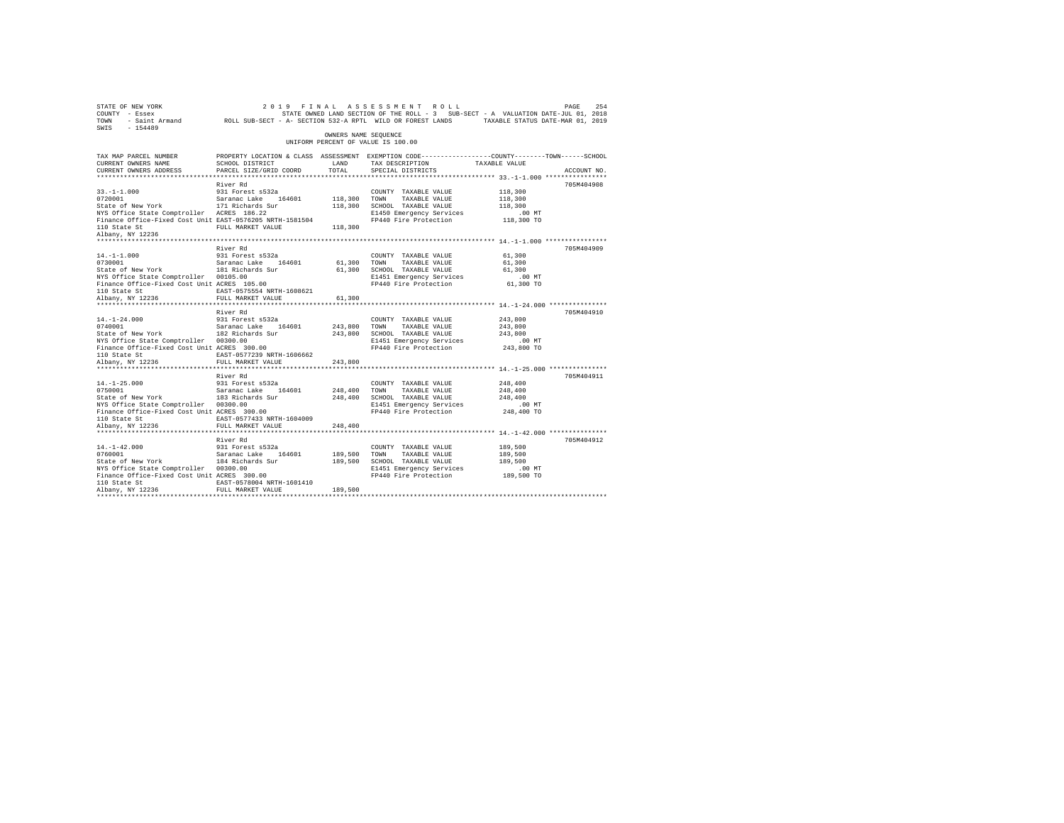| 264 254 254 264 264 264 264 264 264 264 27 27 27 27 27 27 27 27 284 27 27 284 254 254 254 254 254 254 254 254<br>200 37 2018 2017 2018 2017 2018 2017 2018 2017 2018 2017 2018 2017 2018 2018 2017 2019 2017<br>2018 70WN - Saint Ar<br>SWIS - 154489 |                                                                                                                   |                      |                                                                      |                    |             |
|-------------------------------------------------------------------------------------------------------------------------------------------------------------------------------------------------------------------------------------------------------|-------------------------------------------------------------------------------------------------------------------|----------------------|----------------------------------------------------------------------|--------------------|-------------|
|                                                                                                                                                                                                                                                       |                                                                                                                   | OWNERS NAME SEOUENCE | UNIFORM PERCENT OF VALUE IS 100.00                                   |                    |             |
| TAX MAP PARCEL NUMBER<br>CURRENT OWNERS NAME                                                                                                                                                                                                          | PROPERTY LOCATION & CLASS ASSESSMENT EXEMPTION CODE---------------COUNTY-------TOWN-----SCHOOL<br>SCHOOL DISTRICT | LAND<br>TOTAL        | TAX DESCRIPTION TAXABLE VALUE                                        |                    | ACCOUNT NO. |
| CURRENT OWNERS ADDRESS                                                                                                                                                                                                                                | PARCEL SIZE/GRID COORD                                                                                            |                      | SPECIAL DISTRICTS                                                    |                    |             |
|                                                                                                                                                                                                                                                       | River Rd                                                                                                          |                      |                                                                      |                    | 705M404908  |
| $33. -1 - 1.000$                                                                                                                                                                                                                                      | 931 Forest s532a                                                                                                  |                      | COUNTY TAXABLE VALUE                                                 | 118,300            |             |
|                                                                                                                                                                                                                                                       |                                                                                                                   | 118,300 TOWN         | TAXABLE VALUE                                                        | 118,300            |             |
| 33.-1-1.000<br>0720001 931 Forest saxanac Lake 164601<br>State of New York 171 Richards Sur                                                                                                                                                           |                                                                                                                   |                      | 118,300 SCHOOL TAXABLE VALUE                                         | 118,300            |             |
| NYS Office State Comptroller ACRES 186.22                                                                                                                                                                                                             |                                                                                                                   |                      |                                                                      |                    |             |
| Finance Office-Fixed Cost Unit EAST-0576205 NRTH-1581504<br>110 State St                                                                                                                                                                              | FULL MARKET VALUE                                                                                                 | 118,300              | E1450 Emergency Services .00 MT<br>FP440 Fire Protection  118,300 TO |                    |             |
| Albany, NY 12236                                                                                                                                                                                                                                      |                                                                                                                   |                      |                                                                      |                    |             |
|                                                                                                                                                                                                                                                       |                                                                                                                   |                      |                                                                      |                    |             |
|                                                                                                                                                                                                                                                       | River Rd                                                                                                          |                      |                                                                      |                    | 705M404909  |
| $14. -1 - 1.000$                                                                                                                                                                                                                                      | 931 Forest s532a                                                                                                  |                      | COUNTY TAXABLE VALUE                                                 | 61,300             |             |
| 17.1-1.000<br>Saranac Lake 164601<br>Saranac Lake 164601<br>Saranac Lake 164601                                                                                                                                                                       |                                                                                                                   | 61,300               | TOWN<br>TAXABLE VALUE                                                | 61,300<br>61,300   |             |
| NYS Office State Comptroller 00105.00                                                                                                                                                                                                                 |                                                                                                                   | 61,300               | SCHOOL TAXABLE VALUE<br>E1451 Emergency Services                     | $.00$ MT           |             |
| Finance Office-Fixed Cost Unit ACRES 105.00                                                                                                                                                                                                           |                                                                                                                   |                      | FP440 Fire Protection 61,300 TO                                      |                    |             |
|                                                                                                                                                                                                                                                       | EAST-0575554 NRTH-1608621                                                                                         |                      |                                                                      |                    |             |
| 110 State St<br>Albany, NY 12236                                                                                                                                                                                                                      | FULL MARKET VALUE                                                                                                 | 61,300               |                                                                      |                    |             |
|                                                                                                                                                                                                                                                       |                                                                                                                   |                      |                                                                      |                    |             |
|                                                                                                                                                                                                                                                       | River Rd                                                                                                          |                      |                                                                      |                    | 705M404910  |
| $14. - 1 - 24.000$                                                                                                                                                                                                                                    | 931 Forest s532a                                                                                                  |                      | COUNTY TAXABLE VALUE                                                 | 243,800            |             |
| 14.-1-24.000 931 Forest s532a<br>0740001 931 Saranac Lake 164601<br>State of New York 182 Richards Sur                                                                                                                                                |                                                                                                                   | 243,800              | TOWN<br>TAXABLE VALUE                                                | 243,800            |             |
|                                                                                                                                                                                                                                                       |                                                                                                                   |                      | 243,800 SCHOOL TAXABLE VALUE                                         | 243,800            |             |
| NYS Office State Comptroller 00300.00                                                                                                                                                                                                                 |                                                                                                                   |                      | E1451 Emergency Services                                             | .00 MT             |             |
| Finance Office-Fixed Cost Unit ACRES 300.00                                                                                                                                                                                                           |                                                                                                                   |                      | FP440 Fire Protection 243,800 TO                                     |                    |             |
| 110 State St                                                                                                                                                                                                                                          | EAST-0577239 NRTH-1606662<br>FULL MARKET VALUE                                                                    |                      |                                                                      |                    |             |
| Albany, NY 12236                                                                                                                                                                                                                                      | *************************                                                                                         | 243,800              |                                                                      |                    |             |
|                                                                                                                                                                                                                                                       | River Rd                                                                                                          |                      |                                                                      |                    | 705M404911  |
| $14. -1 - 25.000$                                                                                                                                                                                                                                     | 931 Forest s532a                                                                                                  |                      | COUNTY TAXABLE VALUE                                                 | 248,400            |             |
| 14.-1-25.000<br>0750001                                                                                                                                                                                                                               |                                                                                                                   | 248,400              | TOWN<br>TAXABLE VALUE                                                | 248,400            |             |
| 0750001 Saranac Lake 164601<br>State of New York 183 Richards Sur                                                                                                                                                                                     |                                                                                                                   |                      | 248,400 SCHOOL TAXABLE VALUE                                         | 248,400            |             |
| NYS Office State Comptroller 00300.00                                                                                                                                                                                                                 |                                                                                                                   |                      | E1451 Emergency Services                                             | $.00$ MT           |             |
| Finance Office-Fixed Cost Unit ACRES 300.00                                                                                                                                                                                                           |                                                                                                                   |                      | FP440 Fire Protection 248,400 TO                                     |                    |             |
| 110 State St<br>Albany, NY 12236                                                                                                                                                                                                                      | EAST-0577433 NRTH-1604009                                                                                         |                      |                                                                      |                    |             |
|                                                                                                                                                                                                                                                       | FULL MARKET VALUE                                                                                                 | 248,400              |                                                                      |                    |             |
|                                                                                                                                                                                                                                                       |                                                                                                                   |                      | ************************************ 14.-1-42.000 ****************   |                    |             |
|                                                                                                                                                                                                                                                       | River Rd                                                                                                          |                      |                                                                      |                    | 705M404912  |
| $14. -1 - 42.000$<br>$14.-1-42.000$<br>0760001                                                                                                                                                                                                        | 931 Forest s532a                                                                                                  | 189,500 TOWN         | COUNTY TAXABLE VALUE                                                 | 189,500<br>189,500 |             |
| 0760001 Saranac Lake 164601<br>State of New York 184 Richards Sur                                                                                                                                                                                     |                                                                                                                   |                      | TAXABLE VALUE<br>189,500 SCHOOL TAXABLE VALUE                        | 189,500            |             |
| NYS Office State Comptroller 00300.00                                                                                                                                                                                                                 |                                                                                                                   |                      | E1451 Emergency Services                                             | $.00$ MT           |             |
| Finance Office-Fixed Cost Unit ACRES 300.00                                                                                                                                                                                                           |                                                                                                                   |                      | FP440 Fire Protection 189,500 TO                                     |                    |             |
| 110 State St                                                                                                                                                                                                                                          | EAST-0578004 NRTH-1601410                                                                                         |                      |                                                                      |                    |             |
| Albany, NY 12236                                                                                                                                                                                                                                      | FULL MARKET VALUE                                                                                                 | 189,500              |                                                                      |                    |             |
|                                                                                                                                                                                                                                                       |                                                                                                                   |                      |                                                                      |                    |             |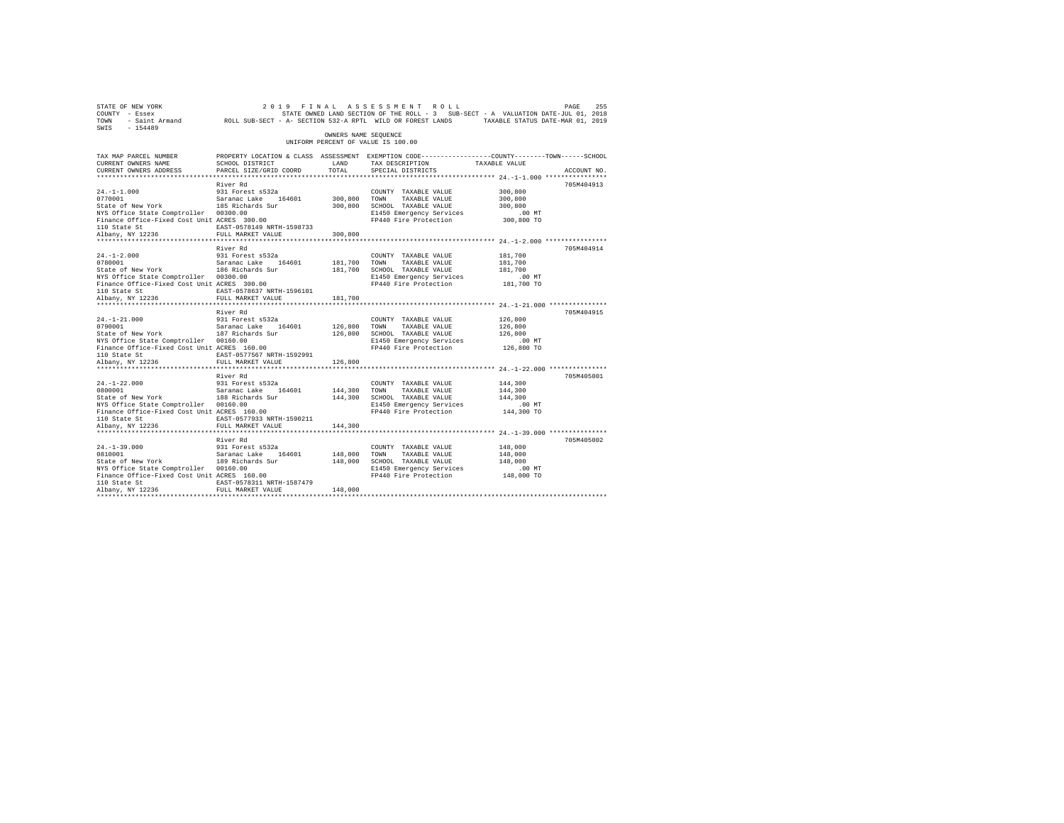| STATE OF NEW YORK<br>COUNTY - Essex<br>TOWN<br>$SWTS = 154489$                                                                                                                                                                                          | DE NEW YORK PAGE 255 261 9 FINAL ASSESSMENT ROLL PAGE 255 PAGE 255<br>F Essex 1971, STATE OWNED LAND SECTION OF THE ROLL -3 SUB-SECT - A VALUATION DATE-JUL 01, 2018<br>F Saint Armand ROLL SUB-SECT - A SECTION 532-A RPTL WILD OR |                         |                                                                                                                                                    |                                                         |             |
|---------------------------------------------------------------------------------------------------------------------------------------------------------------------------------------------------------------------------------------------------------|-------------------------------------------------------------------------------------------------------------------------------------------------------------------------------------------------------------------------------------|-------------------------|----------------------------------------------------------------------------------------------------------------------------------------------------|---------------------------------------------------------|-------------|
|                                                                                                                                                                                                                                                         |                                                                                                                                                                                                                                     | OWNERS NAME SEQUENCE    | UNIFORM PERCENT OF VALUE IS 100.00                                                                                                                 |                                                         |             |
| TAX MAP PARCEL NUMBER<br>CURRENT OWNERS NAME<br>CURRENT OWNERS ADDRESS                                                                                                                                                                                  | PROPERTY LOCATION & CLASS ASSESSMENT EXEMPTION CODE----------------COUNTY-------TOWN-----SCHOOL<br>SCHOOL DISTRICT<br>PARCEL SIZE/GRID COORD                                                                                        | LAND<br>TOTAL           | TAX DESCRIPTION TAXABLE VALUE<br>SPECIAL DISTRICTS                                                                                                 |                                                         | ACCOUNT NO. |
| $24. -1 - 1.000$<br>0770001<br>Saranac Lake 164601<br>State of New York 185 Richards Sur<br>NYS Office State Comptroller 00300.00<br>Finance Office-Fixed Cost Unit ACRES 300.00<br>110 State St<br>Albany, NY 12236                                    | River Rd<br>931 Forest s532a<br>EAST-0578149 NRTH-1598733<br>FULL MARKET VALUE                                                                                                                                                      | 300,800 TOWN<br>300,800 | COUNTY TAXABLE VALUE<br>TAXABLE VALUE<br>300,800 SCHOOL TAXABLE VALUE<br>E1450 Emergency Services<br>FP440 Fire Protection                         | 300,800<br>300,800<br>300,800<br>$.00$ MT<br>300,800 TO | 705M404913  |
| $24. -1 - 2.000$<br>$24. -1 - 2.000$<br>0780001<br>NYS Office State Comptroller 00300.00<br>Finance Office-Fixed Cost Unit ACRES 300.00<br>110 State St<br>Albany, NY 12236                                                                             | River Rd<br>931 Forest s532a<br>EAST-0578637 NRTH-1596101<br>FULL MARKET VALUE                                                                                                                                                      | 181,700 TOWN<br>181,700 | COUNTY TAXABLE VALUE<br>TAXABLE VALUE<br>181,700 SCHOOL TAXABLE VALUE<br>E1450 Emergency Services<br>FP440 Fire Protection 181,700 TO              | 181,700<br>181,700<br>181,700<br>.00 MT                 | 705M404914  |
| $24. -1 - 21.000$<br>24.-1-21.000 931 Forest s532a<br>0790001 581 582anac Lake 164601<br>State of New York 187 Richards Sur<br>NYS Office State Comptroller 00160.00<br>Finance Office-Fixed Cost Unit ACRES 160.00<br>110 State St<br>Albany, NY 12236 | River Rd<br>931 Forest s532a<br>EAST-0577567 NRTH-1592991<br>FULL MARKET VALUE                                                                                                                                                      | 126,800 TOWN<br>126,800 | COUNTY TAXABLE VALUE<br>TAXABLE VALUE<br>126,800 SCHOOL TAXABLE VALUE<br>E1450 Emergency Services<br>FP440 Fire Protection                         | 126,800<br>126,800<br>126,800<br>$.00$ MT<br>126,800 TO | 705M404915  |
| $24. -1 - 22.000$<br>24.-1-22.000<br>0800001<br>0800001 Saranac Lake 164601<br>State of New York 188 Richards Sur<br>NYS Office State Comptroller 00160.00<br>Finance Office-Fixed Cost Unit ACRES 160.00<br>110 State St<br>Albany, NY 12236           | River Rd<br>931 Forest s532a<br>EAST-0577933 NRTH-1590211<br>FULL MARKET VALUE                                                                                                                                                      | 144,300                 | COUNTY TAXABLE VALUE<br>144,300 TOWN TAXABLE VALUE<br>144,300 SCHOOL TAXABLE VALUE<br>E1450 Emergency Services<br>FP440 Fire Protection 144,300 TO | 144,300<br>144,300<br>144,300<br>$.00$ MT               | 705M405001  |
| $24. -1 - 39.000$<br>$24. -1 - 39.000$<br>0810001<br>NYS Office State Comptroller 00160.00<br>Finance Office-Fixed Cost Unit ACRES 160.00<br>110 State St<br>Albany, NY 12236                                                                           | River Rd<br>931 Forest s532a<br>EAST-0578311 NRTH-1587479<br>FULL MARKET VALUE                                                                                                                                                      | 148,000 TOWN<br>148,000 | COUNTY TAXABLE VALUE<br>TAXABLE VALUE<br>148,000 SCHOOL TAXABLE VALUE<br>E1450 Emergency Services<br>FP440 Fire Protection 148,000 TO              | 148,000<br>148,000<br>148,000<br>$.00$ MT               | 705M405002  |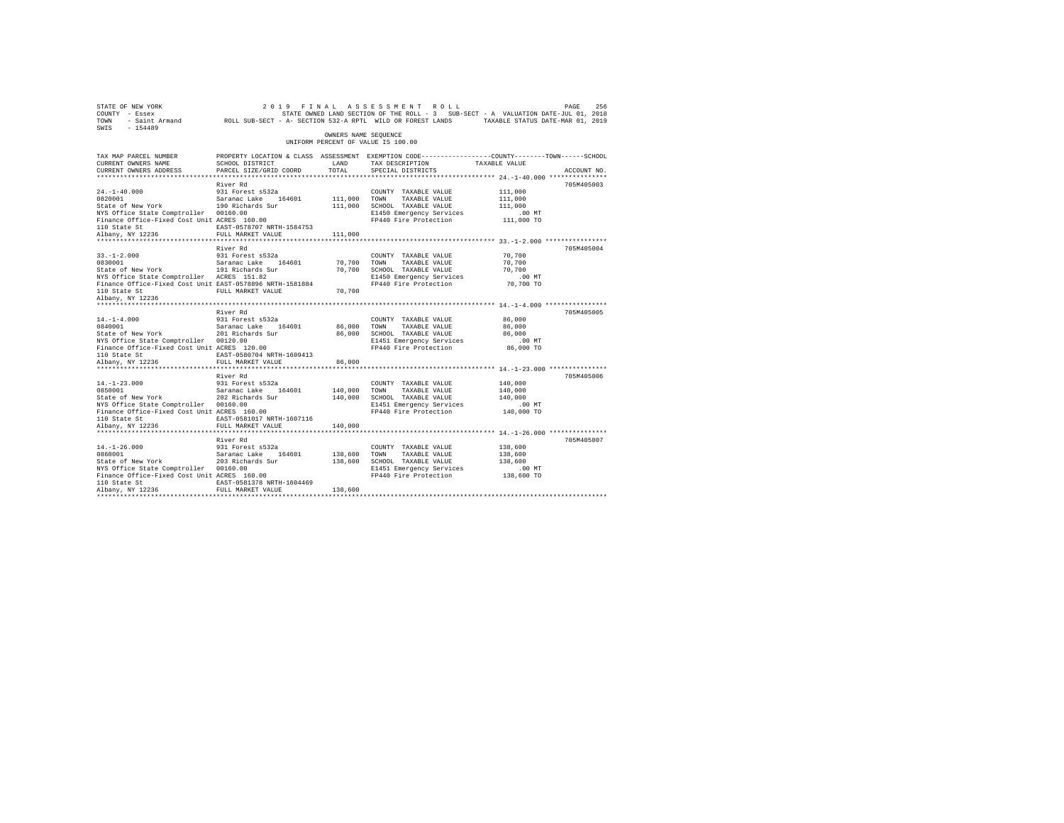| SWIS - 154489                                                                                                                                                                                                                      |                                                                                                                                                                                                                                | OWNERS NAME SEQUENCE    |                                                                                                                                                         |                                                                     |             |
|------------------------------------------------------------------------------------------------------------------------------------------------------------------------------------------------------------------------------------|--------------------------------------------------------------------------------------------------------------------------------------------------------------------------------------------------------------------------------|-------------------------|---------------------------------------------------------------------------------------------------------------------------------------------------------|---------------------------------------------------------------------|-------------|
|                                                                                                                                                                                                                                    |                                                                                                                                                                                                                                |                         | UNIFORM PERCENT OF VALUE IS 100.00                                                                                                                      |                                                                     |             |
| TAX MAP PARCEL NUMBER<br>CURRENT OWNERS NAME<br>CURRENT OWNERS ADDRESS                                                                                                                                                             | PROPERTY LOCATION & CLASS ASSESSMENT EXEMPTION CODE---------------COUNTY-------TOWN------SCHOOL<br>SCHOOL DISTRICT<br>PARCEL SIZE/GRID COORD                                                                                   | LAND<br>TOTAL           | TAX DESCRIPTION TAXABLE VALUE<br>SPECIAL DISTRICTS                                                                                                      |                                                                     | ACCOUNT NO. |
|                                                                                                                                                                                                                                    |                                                                                                                                                                                                                                |                         |                                                                                                                                                         |                                                                     |             |
| $24. -1 - 40.000$<br>24.-1-40.000 931 Forest s532a<br>0820001 931 5aranac Lake 164601<br>State of New York 190 Richards Sur<br>NYS Office State Comptroller 00160.00<br>Finance Office-Fixed Cost Unit ACRES 160.00                | River Rd<br>931 Forest s532a<br>EAST-0578707 NRTH-1584753                                                                                                                                                                      | 111,000 TOWN            | COUNTY TAXABLE VALUE<br>TAXABLE VALUE<br>111,000 SCHOOL TAXABLE VALUE<br>E1450 Emergency Services<br>FP440 Fire Protection 111,000 TO                   | 111,000<br>111,000<br>111,000<br>$.00$ MT                           | 705M405003  |
| 110 State St<br>Albany, NY 12236                                                                                                                                                                                                   | FULL MARKET VALUE                                                                                                                                                                                                              | 111,000                 |                                                                                                                                                         |                                                                     |             |
| $33. - 1 - 2.000$                                                                                                                                                                                                                  | River Rd<br>931 Forest s532a                                                                                                                                                                                                   |                         | COUNTY TAXABLE VALUE                                                                                                                                    | 70,700                                                              | 705M405004  |
| $33. - 1 - 2.000$<br>0830001<br>0830001 Saranac Lake 164601<br>State of New York 191 Richards Sur<br>NYS Office State Comptroller ACRES 151.82<br>Finance Office-Fixed Cost Unit EAST-0578896 NRTH-1581884                         | 912 - 2022 - 2022 - 2022 - 2022 - 2022 - 2022 - 2022 - 2022 - 2022 - 2022 - 2022 - 2022 - 2022 - 2022 - 2022 - 2022 - 2022 - 2022 - 2022 - 2022 - 2022 - 2022 - 2022 - 2022 - 2022 - 2022 - 2022 - 2022 - 2022 - 2022 - 2022 - |                         |                                                                                                                                                         |                                                                     |             |
| 110 State St<br>Albany, NY 12236                                                                                                                                                                                                   |                                                                                                                                                                                                                                |                         |                                                                                                                                                         |                                                                     |             |
| $14. - 1 - 4.000$<br>14.-1-4.000 931 Forest s532a<br>0840001 931 Saranac Lake 164601<br>State of New York 201 Richards Sur<br>NYS Office State Comptroller 00120.00<br>Finance Office-Fixed Cost Unit ACRES 120.00<br>110 State St | River Rd<br>931 Forest s532a<br>EAST-0580704 NRTH-1609413                                                                                                                                                                      |                         | COUNTY TAXABLE VALUE<br>86,000 TOWN TAXABLE VALUE<br>86,000 SCHOOL TAXABLE VALUE<br>E1451 Emergency Services .00 MT<br>FP440 Fire Protection  86,000 TO | 86,000<br>86,000<br>86,000                                          | 705M405005  |
| Albany, NY 12236                                                                                                                                                                                                                   | FULL MARKET VALUE                                                                                                                                                                                                              | 86,000                  |                                                                                                                                                         |                                                                     |             |
|                                                                                                                                                                                                                                    | River Rd                                                                                                                                                                                                                       |                         | COUNTY TAXABLE VALUE                                                                                                                                    | *************************** 14.-1-23.000 ***************<br>140,000 | 705M405006  |
| 14.-1-23.000 931 Forest s532a<br>0850001 931 Saranac Lake 164601<br>State of New York 202 Richards Sur<br>NYS Office State Comptroller 00160.00<br>Finance Office-Fixed Cost Unit ACRES 160.00<br>110 State St<br>Albany, NY 12236 | EAST-0581017 NRTH-1607116<br>FULL MARKET VALUE                                                                                                                                                                                 | 140,000 TOWN<br>140,000 | 140,000 TOWN TAXABLE VALUE<br>140,000 SCHOOL TAXABLE VALUE<br>E1451 Emergency Services<br>FP440 Fire Protection 140,000 TO                              | 140,000<br>140,000<br>$.00$ MT                                      |             |
|                                                                                                                                                                                                                                    |                                                                                                                                                                                                                                |                         | *********************************** 14.-1-26.000 ****************                                                                                       |                                                                     |             |
| $14. - 1 - 26.000$<br>NYS Office State Comptroller 00160.00<br>Finance Office-Fixed Cost Unit ACRES 160.00<br>110 State St                                                                                                         | River Rd<br>931 Forest s532a<br>EAST-0581378 NRTH-1604469                                                                                                                                                                      |                         | COUNTY TAXABLE VALUE<br>TAXABLE VALUE<br>138,600 SCHOOL TAXABLE VALUE<br>E1451 Emergency Services<br>FP440 Fire Protection 138,600 TO                   | 138,600<br>138,600<br>138,600<br>.00MT                              | 705M405007  |
| Albany, NY 12236                                                                                                                                                                                                                   | FULL MARKET VALUE                                                                                                                                                                                                              | 138,600                 |                                                                                                                                                         |                                                                     |             |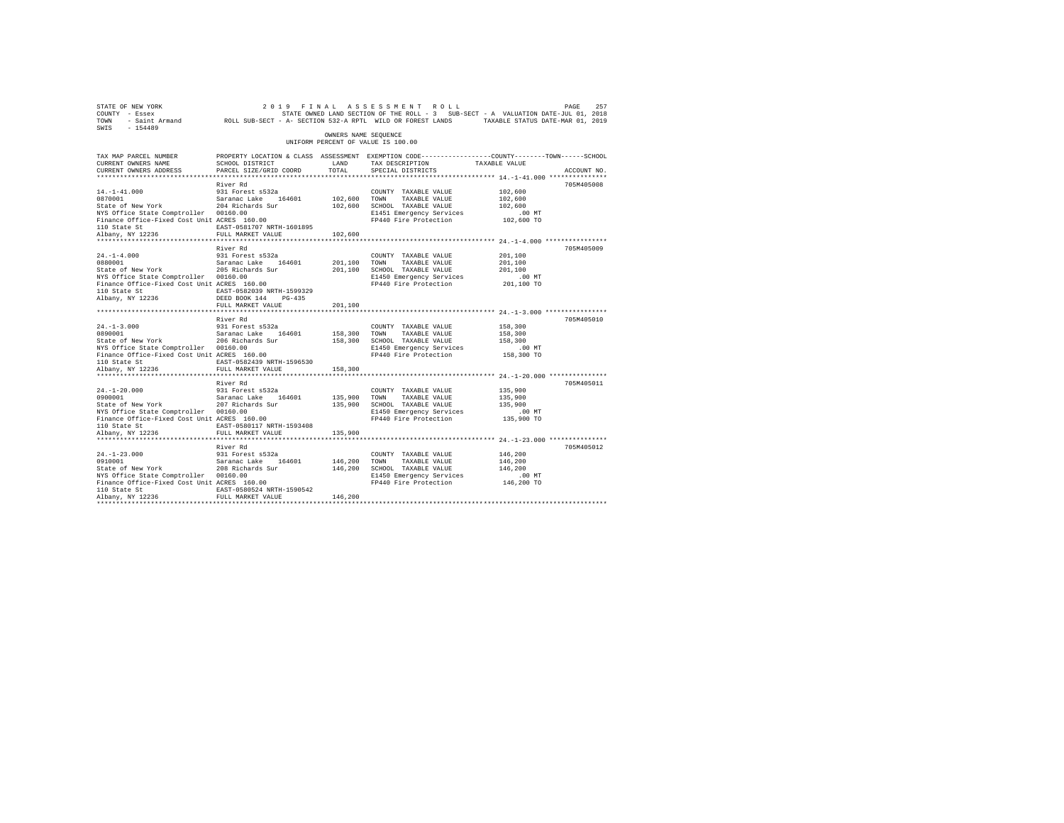| STATE OF NEW YORK<br>COUNTY - Essex<br>TOWN<br>$-154489$<br>SWIS                                                                                                              | - Saint Armand ROLL SUB-SECT - A- SECTION 532-A RPTL WILD OR FOREST LANDS TAXABLE STATUS DATE-MAR 01, 2019                                           |                                    | 2019 FINAL ASSESSMENT ROLL<br>STATE OWNED LAND SECTION OF THE ROLL - 3 SUB-SECT - A VALUATION DATE-JUL 01, 2018            |                                                         | PAGE<br>257 |
|-------------------------------------------------------------------------------------------------------------------------------------------------------------------------------|------------------------------------------------------------------------------------------------------------------------------------------------------|------------------------------------|----------------------------------------------------------------------------------------------------------------------------|---------------------------------------------------------|-------------|
|                                                                                                                                                                               |                                                                                                                                                      | OWNERS NAME SEOUENCE               | UNIFORM PERCENT OF VALUE IS 100.00                                                                                         |                                                         |             |
| TAX MAP PARCEL NUMBER<br>CURRENT OWNERS NAME<br>CURRENT OWNERS ADDRESS<br>*************************                                                                           | PROPERTY LOCATION & CLASS ASSESSMENT EXEMPTION CODE---------------COUNTY-------TOWN------SCHOOL<br>SCHOOL DISTRICT<br>PARCEL SIZE/GRID COORD         | LAND<br>TOTAL.                     | TAX DESCRIPTION<br>SPECIAL DISTRICTS                                                                                       | TAXABLE VALUE                                           | ACCOUNT NO. |
|                                                                                                                                                                               | River Rd                                                                                                                                             |                                    |                                                                                                                            |                                                         | 705M405008  |
| $14. - 1 - 41.000$<br>0870001<br>State of New York<br>NYS Office State Comptroller 00160.00<br>Finance Office-Fixed Cost Unit ACRES 160.00<br>110 State St                    | 931 Forest s532a<br>Saranac Lake 164601<br>204 Richards Sur<br>EAST-0581707 NRTH-1601895                                                             | 102,600 TOWN                       | COUNTY TAXABLE VALUE<br>TAXABLE VALUE<br>102,600 SCHOOL TAXABLE VALUE<br>E1451 Emergency Services<br>FP440 Fire Protection | 102,600<br>102,600<br>102,600<br>$.00$ MT<br>102,600 TO |             |
| Albany, NY 12236                                                                                                                                                              | FULL MARKET VALUE                                                                                                                                    | 102,600                            |                                                                                                                            |                                                         |             |
| $24. -1 - 4.000$<br>0880001<br>State of New York<br>NYS Office State Comptroller 00160.00<br>Finance Office-Fixed Cost Unit ACRES 160.00<br>110 State St<br>Albany, NY 12236  | River Rd<br>931 Forest s532a<br>Saranac Lake 164601<br>205 Richards Sur<br>EAST-0582039 NRTH-1599329<br>DEED BOOK 144<br>PG-435<br>FULL MARKET VALUE | 201.100 TOWN<br>201,100<br>201,100 | COUNTY TAXABLE VALUE<br>TAXABLE VALUE<br>SCHOOL TAXABLE VALUE<br>E1450 Emergency Services<br>FP440 Fire Protection         | 201,100<br>201,100<br>201,100<br>$.00$ MT<br>201,100 TO | 705M405009  |
|                                                                                                                                                                               | ***********************                                                                                                                              |                                    |                                                                                                                            |                                                         |             |
| $24. -1 - 3.000$<br>0890001<br>State of New York<br>NYS Office State Comptroller 00160.00<br>Finance Office-Fixed Cost Unit ACRES 160.00<br>110 State St                      | River Rd<br>931 Forest s532a<br>Saranac Lake 164601<br>206 Richards Sur<br>EAST-0582439 NRTH-1596530                                                 | 158,300 TOWN                       | COUNTY TAXABLE VALUE<br>TAXABLE VALUE<br>158,300 SCHOOL TAXABLE VALUE<br>E1450 Emergency Services<br>FP440 Fire Protection | 158,300<br>158,300<br>158,300<br>$.00$ MT<br>158,300 TO | 705M405010  |
| Albany, NY 12236                                                                                                                                                              | FULL MARKET VALUE                                                                                                                                    | 158,300                            |                                                                                                                            |                                                         |             |
| $24. -1 - 20.000$<br>0900001<br>State of New York<br>NYS Office State Comptroller 00160.00<br>Finance Office-Fixed Cost Unit ACRES 160.00<br>110 State St<br>Albany, NY 12236 | River Rd<br>931 Forest s532a<br>Saranac Lake 164601<br>207 Richards Sur<br>EAST-0580117 NRTH-1593408<br>FULL MARKET VALUE                            | 135,900 TOWN<br>135,900<br>135,900 | COUNTY TAXABLE VALUE<br>TAXABLE VALUE<br>SCHOOL TAXABLE VALUE<br>E1450 Emergency Services<br>FP440 Fire Protection         | 135,900<br>135,900<br>135,900<br>$.00$ MT<br>135,900 TO | 705M405011  |
|                                                                                                                                                                               | River Rd                                                                                                                                             |                                    |                                                                                                                            |                                                         | 705M405012  |
| $24. -1 - 23.000$<br>0910001<br>State of New York<br>NYS Office State Comptroller 00160.00<br>Finance Office-Fixed Cost Unit ACRES 160.00<br>110 State St                     | 931 Forest s532a<br>Saranac Lake<br>164601<br>208 Richards Sur<br>EAST-0580524 NRTH-1590542                                                          | 146,200 TOWN                       | COUNTY TAXABLE VALUE<br>TAXABLE VALUE<br>146,200 SCHOOL TAXABLE VALUE<br>E1450 Emergency Services<br>FP440 Fire Protection | 146,200<br>146,200<br>146,200<br>.00 MT<br>146,200 TO   |             |
| Albany, NY 12236                                                                                                                                                              | FULL MARKET VALUE                                                                                                                                    | 146,200                            |                                                                                                                            |                                                         |             |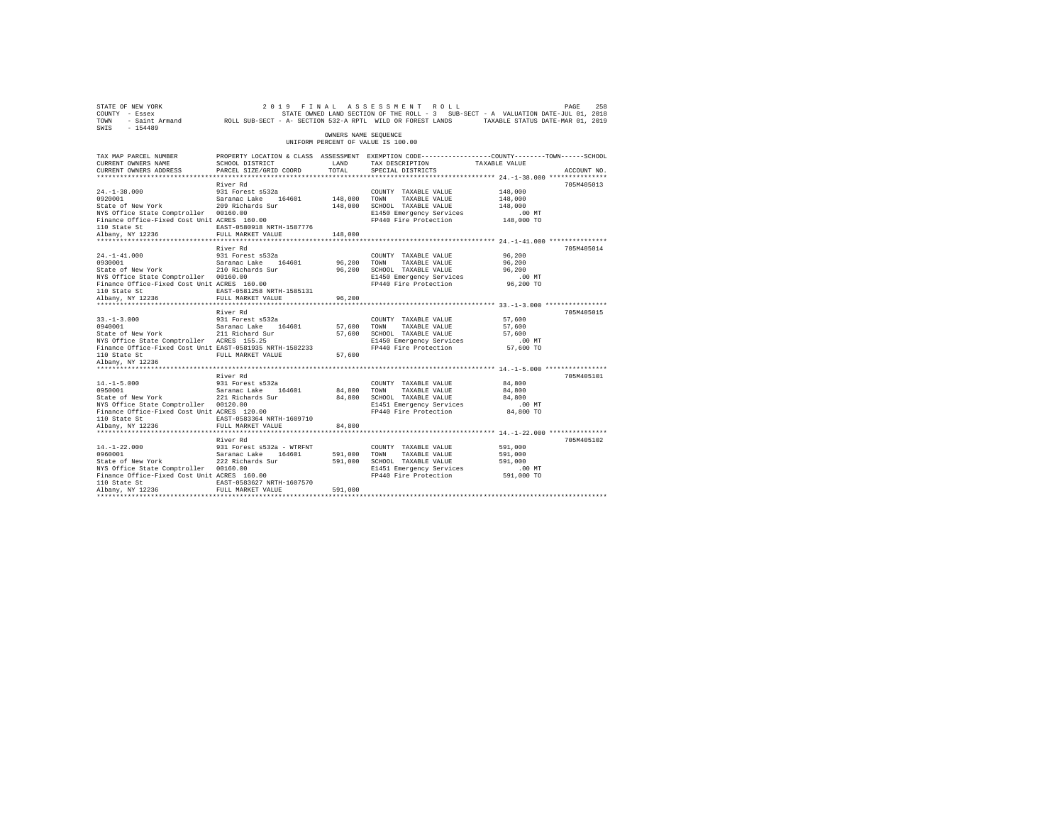| 268 258 258 269 261 2 2019 FINAL ASSESSMENT ROLL 2015 258 258 258 259 259 259<br>COUNTY - Essex 258 258 258 258 258 258 258 259 258 259 258 259 261 21, 2018<br>TOWN - Saint_Armand 200LL SUB-SECT - A-SECTION 532-ARPTL WILD OR FOR<br>SWIS - 154489 |                                                                                                                    |                      |                                                                         |                                                                  |             |
|-------------------------------------------------------------------------------------------------------------------------------------------------------------------------------------------------------------------------------------------------------|--------------------------------------------------------------------------------------------------------------------|----------------------|-------------------------------------------------------------------------|------------------------------------------------------------------|-------------|
|                                                                                                                                                                                                                                                       |                                                                                                                    | OWNERS NAME SEOUENCE | UNIFORM PERCENT OF VALUE IS 100.00                                      |                                                                  |             |
| TAX MAP PARCEL NUMBER<br>CURRENT OWNERS NAME                                                                                                                                                                                                          | PROPERTY LOCATION & CLASS ASSESSMENT EXEMPTION CODE----------------COUNTY-------TOWN-----SCHOOL<br>SCHOOL DISTRICT | LAND                 | TAX DESCRIPTION TAXABLE VALUE                                           |                                                                  |             |
| CURRENT OWNERS ADDRESS                                                                                                                                                                                                                                | PARCEL SIZE/GRID COORD                                                                                             | TOTAL                | SPECIAL DISTRICTS                                                       |                                                                  | ACCOUNT NO. |
|                                                                                                                                                                                                                                                       |                                                                                                                    |                      |                                                                         |                                                                  |             |
|                                                                                                                                                                                                                                                       | River Rd                                                                                                           |                      |                                                                         |                                                                  | 705M405013  |
| 24.-1-38.000 931 Forest s532a<br>0920001 93001 931 931 931 94601<br>State of New York 209 Richards Sur                                                                                                                                                |                                                                                                                    | 148,000 TOWN         | COUNTY TAXABLE VALUE                                                    | 148,000<br>148,000                                               |             |
|                                                                                                                                                                                                                                                       |                                                                                                                    |                      | 148,000 TOWN TAXABLE VALUE<br>148,000 SCHOOL TAXABLE VALUE              | 148,000                                                          |             |
| NYS Office State Comptroller 00160.00                                                                                                                                                                                                                 |                                                                                                                    |                      |                                                                         |                                                                  |             |
| Finance Office-Fixed Cost Unit ACRES 160.00                                                                                                                                                                                                           |                                                                                                                    |                      | E1450 Emergency Services .00 MT<br>FP440 Fire Protection 148,000 TO     |                                                                  |             |
|                                                                                                                                                                                                                                                       |                                                                                                                    |                      |                                                                         |                                                                  |             |
| 110 State St<br>210 State St<br>21236 FULL MARKET VALUE 148,000                                                                                                                                                                                       |                                                                                                                    |                      |                                                                         |                                                                  |             |
|                                                                                                                                                                                                                                                       |                                                                                                                    |                      |                                                                         |                                                                  |             |
|                                                                                                                                                                                                                                                       | River Rd                                                                                                           |                      |                                                                         |                                                                  | 705M405014  |
|                                                                                                                                                                                                                                                       |                                                                                                                    |                      | COUNTY TAXABLE VALUE                                                    | 96,200                                                           |             |
| 24.-1-41.000 931 Forest s532a<br>0930001 93001 Saranac Lake 164601<br>State of New York 210 Richards Sur                                                                                                                                              |                                                                                                                    | 96,200 TOWN          | TAXABLE VALUE                                                           | 96,200                                                           |             |
|                                                                                                                                                                                                                                                       |                                                                                                                    |                      |                                                                         | 96,200                                                           |             |
|                                                                                                                                                                                                                                                       |                                                                                                                    |                      | E1450 Emergency Services .00 MT<br>FP440 Fire Protection .06,200 TO     |                                                                  |             |
| UPSOUGLE STATE ME STATE SERVICE SERVICE SERVICE SERVICE SERVICE SERVICE SERVICE SERVICE SERVICE SERVICE SERVICE SERVICE SERVICE SERVICE STATE SERVICE STATE STATE STATE STATE STATE STATE STATE STATE STATE STATE STATE STATE                         |                                                                                                                    |                      |                                                                         |                                                                  |             |
| 110 State St<br>Albany, NY 12236                                                                                                                                                                                                                      | FULL MARKET VALUE                                                                                                  | 96,200               |                                                                         |                                                                  |             |
|                                                                                                                                                                                                                                                       |                                                                                                                    |                      |                                                                         |                                                                  |             |
|                                                                                                                                                                                                                                                       | River Rd                                                                                                           |                      |                                                                         |                                                                  | 705M405015  |
|                                                                                                                                                                                                                                                       |                                                                                                                    |                      |                                                                         |                                                                  |             |
|                                                                                                                                                                                                                                                       |                                                                                                                    |                      |                                                                         |                                                                  |             |
|                                                                                                                                                                                                                                                       |                                                                                                                    |                      |                                                                         |                                                                  |             |
|                                                                                                                                                                                                                                                       |                                                                                                                    |                      |                                                                         |                                                                  |             |
|                                                                                                                                                                                                                                                       |                                                                                                                    |                      |                                                                         |                                                                  |             |
| Albany, NY 12236                                                                                                                                                                                                                                      |                                                                                                                    |                      |                                                                         |                                                                  |             |
|                                                                                                                                                                                                                                                       |                                                                                                                    |                      |                                                                         |                                                                  |             |
|                                                                                                                                                                                                                                                       | River Rd                                                                                                           |                      |                                                                         |                                                                  | 705M405101  |
| $14. -1 - 5.000$                                                                                                                                                                                                                                      | 931 Forest s532a                                                                                                   |                      | COUNTY TAXABLE VALUE                                                    | 84,800                                                           |             |
| 14.-1-5.000 931 Forest s532a<br>0950001 98001 5aranac Lake 164601<br>State of New York 221 Richards Sur                                                                                                                                               |                                                                                                                    |                      |                                                                         | 84,800                                                           |             |
|                                                                                                                                                                                                                                                       |                                                                                                                    |                      | 84,800 TOWN TAXABLE VALUE<br>84,800 SCHOOL TAXABLE VALUE                | 84,800                                                           |             |
| NYS Office State Comptroller 00120.00<br>NYS Office State Comptroller 00120.00<br>Finance Office-Fixed Cost Unit ACRES 120.00<br>110 State St                                                                                                         |                                                                                                                    |                      | E1451 Emergency Services .00 MT<br>FP440 Fire Protection  84,800 TO     |                                                                  |             |
|                                                                                                                                                                                                                                                       |                                                                                                                    |                      |                                                                         |                                                                  |             |
| 110 State St<br>Albany, NY 12236                                                                                                                                                                                                                      |                                                                                                                    |                      |                                                                         |                                                                  |             |
|                                                                                                                                                                                                                                                       | FULL MARKET VALUE                                                                                                  | 84,800               |                                                                         | ********************************** 14.-1-22.000 **************** |             |
|                                                                                                                                                                                                                                                       | River Rd                                                                                                           |                      |                                                                         |                                                                  | 705M405102  |
|                                                                                                                                                                                                                                                       |                                                                                                                    |                      | COUNTY TAXABLE VALUE                                                    | 591,000                                                          |             |
|                                                                                                                                                                                                                                                       |                                                                                                                    |                      |                                                                         | 591,000                                                          |             |
|                                                                                                                                                                                                                                                       |                                                                                                                    |                      | 591,000    TOWN      TAXABLE VALUE<br>591,000    SCHOOL   TAXABLE VALUE | 591,000                                                          |             |
| NYS Office State Comptroller 00160.00                                                                                                                                                                                                                 |                                                                                                                    |                      |                                                                         |                                                                  |             |
| Finance Office-Fixed Cost Unit ACRES 160.00                                                                                                                                                                                                           |                                                                                                                    |                      |                                                                         |                                                                  |             |
| 110 State St                                                                                                                                                                                                                                          | EAST-0583627 NRTH-1607570                                                                                          |                      |                                                                         |                                                                  |             |
| Albany, NY 12236                                                                                                                                                                                                                                      | FULL MARKET VALUE                                                                                                  | 591,000              |                                                                         |                                                                  |             |
|                                                                                                                                                                                                                                                       |                                                                                                                    |                      |                                                                         |                                                                  |             |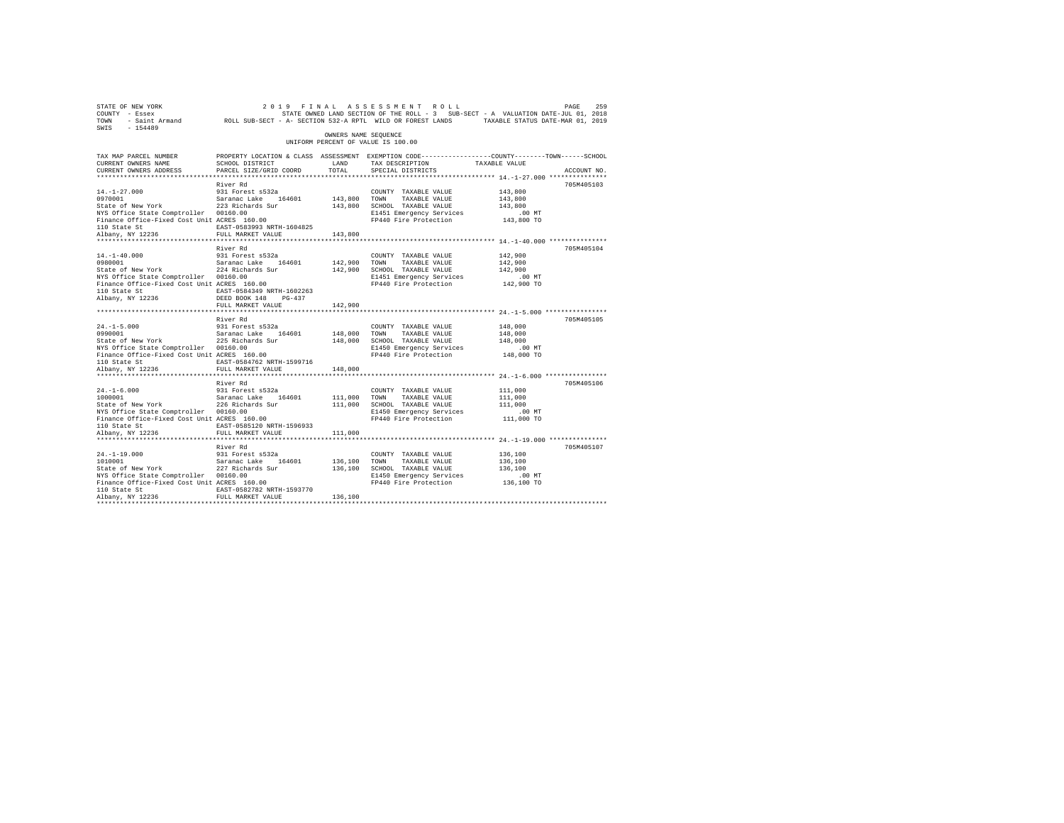| STATE OF NEW YORK<br>COUNTY - Essex<br>TOWN<br>$-154489$<br>SWIS                                                                                                                                  | - Saint Armand ROLL SUB-SECT - A- SECTION 532-A RPTL WILD OR FOREST LANDS TAXABLE STATUS DATE-MAR 01, 2019                                        |                                    | 2019 FINAL ASSESSMENT ROLL<br>STATE OWNED LAND SECTION OF THE ROLL - 3 SUB-SECT - A VALUATION DATE-JUL 01, 2018            |                                                         | PAGE<br>259 |
|---------------------------------------------------------------------------------------------------------------------------------------------------------------------------------------------------|---------------------------------------------------------------------------------------------------------------------------------------------------|------------------------------------|----------------------------------------------------------------------------------------------------------------------------|---------------------------------------------------------|-------------|
|                                                                                                                                                                                                   |                                                                                                                                                   | OWNERS NAME SEOUENCE               | UNIFORM PERCENT OF VALUE IS 100.00                                                                                         |                                                         |             |
| TAX MAP PARCEL NUMBER<br>CURRENT OWNERS NAME<br>CURRENT OWNERS ADDRESS<br>**************************                                                                                              | PROPERTY LOCATION & CLASS ASSESSMENT EXEMPTION CODE---------------COUNTY-------TOWN------SCHOOL<br>SCHOOL DISTRICT<br>PARCEL SIZE/GRID COORD      | LAND<br>TOTAL.                     | TAX DESCRIPTION<br>SPECIAL DISTRICTS                                                                                       | TAXABLE VALUE                                           | ACCOUNT NO. |
|                                                                                                                                                                                                   | River Rd                                                                                                                                          |                                    |                                                                                                                            |                                                         | 705M405103  |
| $14. - 1 - 27.000$<br>0970001<br>State of New York<br>NYS Office State Comptroller 00160.00<br>Finance Office-Fixed Cost Unit ACRES 160.00<br>110 State St                                        | 931 Forest s532a<br>Saranac Lake 164601<br>223 Richards Sur<br>EAST-0583993 NRTH-1604825                                                          | 143,800 TOWN                       | COUNTY TAXABLE VALUE<br>TAXABLE VALUE<br>143,800 SCHOOL TAXABLE VALUE<br>E1451 Emergency Services<br>FP440 Fire Protection | 143,800<br>143,800<br>143,800<br>$.00$ MT<br>143,800 TO |             |
| Albany, NY 12236                                                                                                                                                                                  | FULL MARKET VALUE                                                                                                                                 | 143,800                            |                                                                                                                            |                                                         |             |
| $14. -1 - 40.000$<br>0980001<br>State of New York<br>NYS Office State Comptroller 00160.00<br>Finance Office-Fixed Cost Unit ACRES 160.00<br>110 State St<br>Albany, NY 12236                     | River Rd<br>931 Forest s532a<br>Saranac Lake 164601<br>224 Richards Sur<br>EAST-0584349 NRTH-1602263<br>DEED BOOK 148 PG-437<br>FULL MARKET VALUE | 142,900 TOWN<br>142,900<br>142,900 | COUNTY TAXABLE VALUE<br>TAXABLE VALUE<br>SCHOOL TAXABLE VALUE<br>E1451 Emergency Services<br>FP440 Fire Protection         | 142,900<br>142,900<br>142,900<br>$.00$ MT<br>142,900 TO | 705M405104  |
|                                                                                                                                                                                                   |                                                                                                                                                   |                                    |                                                                                                                            |                                                         |             |
| $24. -1 - 5.000$<br>0990001<br>State of New York<br>NYS Office State Comptroller 00160.00<br>NYS Office State Comptroller 00160.00<br>Finance Office-Fixed Cost Unit ACRES 160.00<br>110 State St | River Rd<br>931 Forest s532a<br>Saranac Lake 164601<br>225 Richards Sur<br>EAST-0584762 NRTH-1599716                                              | 148,000 TOWN                       | COUNTY TAXABLE VALUE<br>TAXABLE VALUE<br>148,000 SCHOOL TAXABLE VALUE<br>E1450 Emergency Services<br>FP440 Fire Protection | 148,000<br>148,000<br>148,000<br>$.00$ MT<br>148,000 TO | 705M405105  |
| Albany, NY 12236                                                                                                                                                                                  | FULL MARKET VALUE                                                                                                                                 | 148,000                            |                                                                                                                            |                                                         |             |
| $24. -1 - 6.000$<br>1000001<br>State of New York<br>NYS Office State Comptroller 00160.00<br>Finance Office-Fixed Cost Unit ACRES 160.00<br>110 State St<br>Albany, NY 12236                      | River Rd<br>931 Forest s532a<br>Saranac Lake 164601<br>226 Richards Sur<br>EAST-0585120 NRTH-1596933<br>FULL MARKET VALUE                         | 111,000 TOWN<br>111,000<br>111,000 | COUNTY TAXABLE VALUE<br>TAXABLE VALUE<br>SCHOOL TAXABLE VALUE<br>E1450 Emergency Services<br>FP440 Fire Protection         | 111,000<br>111,000<br>111,000<br>$.00$ MT<br>111,000 TO | 705M405106  |
|                                                                                                                                                                                                   | River Rd                                                                                                                                          |                                    |                                                                                                                            |                                                         | 705M405107  |
| $24. -1 - 19.000$<br>1010001<br>State of New York<br>NYS Office State Comptroller 00160.00<br>Finance Office-Fixed Cost Unit ACRES 160.00<br>110 State St<br>Albany, NY 12236                     | 931 Forest s532a<br>Saranac Lake 164601<br>227 Richards Sur<br>EAST-0582782 NRTH-1593770<br>FULL MARKET VALUE                                     | 136,100 TOWN<br>136,100            | COUNTY TAXABLE VALUE<br>TAXABLE VALUE<br>136,100 SCHOOL TAXABLE VALUE<br>E1450 Emergency Services<br>FP440 Fire Protection | 136,100<br>136,100<br>136,100<br>$.00$ MT<br>136,100 TO |             |
|                                                                                                                                                                                                   |                                                                                                                                                   |                                    |                                                                                                                            |                                                         |             |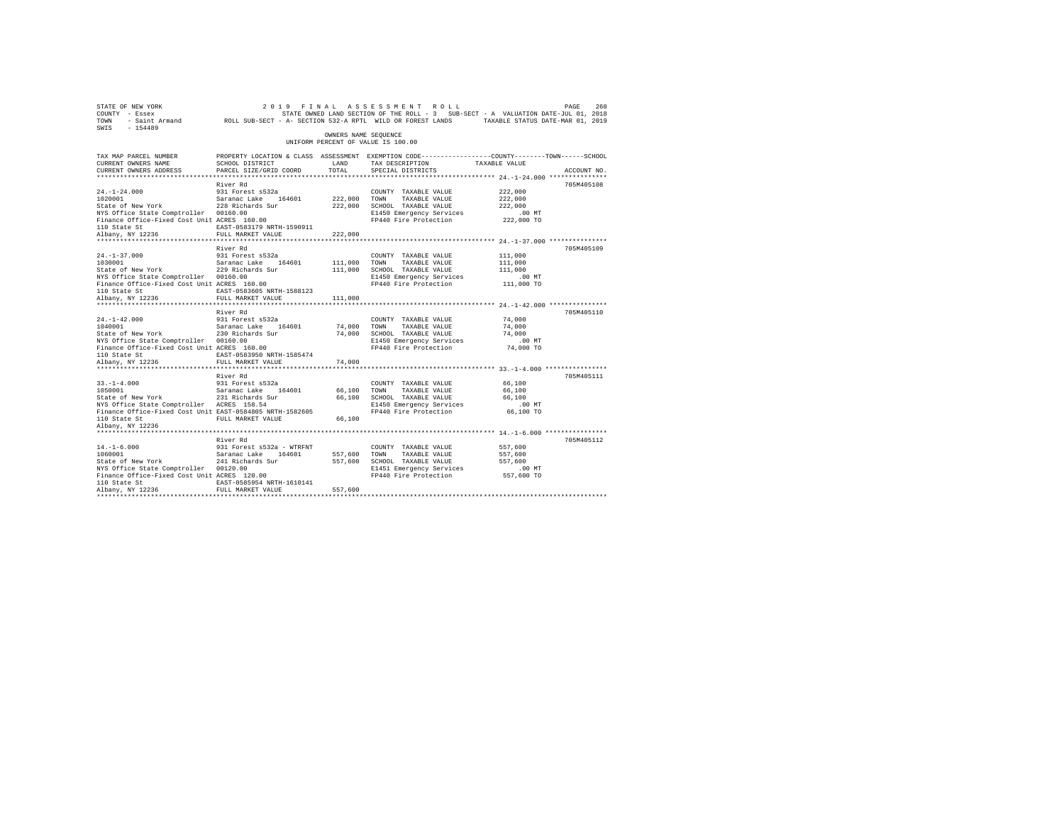| 260 PAGE 260 260 260 261 PINAL ASSESSMENT ROLL 2019 PAGE 260<br>COUNTY - Essex – STATE SON STATE ON STATE ROLL - 3 SUB-SECT - A VALUATION DATE-JUL 01, 2018<br>TOWN - Saint_Armand – ROLL SUB-SECT - A-SECTION 532-A RPTL WILD OR FO<br>SWIS - 154489 |                                                                                                                    |                      |                                                                                                                                                                              |                     |             |
|-------------------------------------------------------------------------------------------------------------------------------------------------------------------------------------------------------------------------------------------------------|--------------------------------------------------------------------------------------------------------------------|----------------------|------------------------------------------------------------------------------------------------------------------------------------------------------------------------------|---------------------|-------------|
|                                                                                                                                                                                                                                                       |                                                                                                                    | OWNERS NAME SEOUENCE | UNIFORM PERCENT OF VALUE IS 100.00                                                                                                                                           |                     |             |
| TAX MAP PARCEL NUMBER<br>CURRENT OWNERS NAME                                                                                                                                                                                                          | PROPERTY LOCATION & CLASS ASSESSMENT EXEMPTION CODE----------------COUNTY-------TOWN-----SCHOOL<br>SCHOOL DISTRICT | LAND                 | TAX DESCRIPTION TAXABLE VALUE                                                                                                                                                |                     |             |
| CURRENT OWNERS ADDRESS                                                                                                                                                                                                                                | PARCEL SIZE/GRID COORD                                                                                             | TOTAL                | SPECIAL DISTRICTS                                                                                                                                                            |                     | ACCOUNT NO. |
|                                                                                                                                                                                                                                                       |                                                                                                                    |                      |                                                                                                                                                                              |                     |             |
|                                                                                                                                                                                                                                                       | River Rd                                                                                                           |                      |                                                                                                                                                                              |                     | 705M405108  |
| 24.-1-24.000 931 Forest s532a<br>1020001 5881 5812001 5812001 5812001<br>State of New York 228 Richards Sur                                                                                                                                           |                                                                                                                    |                      | COUNTY TAXABLE VALUE                                                                                                                                                         | 222,000             |             |
|                                                                                                                                                                                                                                                       |                                                                                                                    | 222,000 TOWN         | TAXABLE VALUE                                                                                                                                                                | 222,000             |             |
| NYS Office State Comptroller 00160.00                                                                                                                                                                                                                 |                                                                                                                    |                      | 222,000 SCHOOL TAXABLE VALUE<br>E1450 Emergency Services                                                                                                                     | 222,000<br>$.00$ MT |             |
| Finance Office-Fixed Cost Unit ACRES 160.00                                                                                                                                                                                                           |                                                                                                                    |                      | FP440 Fire Protection 222,000 TO                                                                                                                                             |                     |             |
|                                                                                                                                                                                                                                                       | EAST-0583179 NRTH-1590911                                                                                          |                      |                                                                                                                                                                              |                     |             |
| 110 State St<br>Albany, NY 12236                                                                                                                                                                                                                      | FULL MARKET VALUE                                                                                                  | 222,000              |                                                                                                                                                                              |                     |             |
|                                                                                                                                                                                                                                                       |                                                                                                                    |                      |                                                                                                                                                                              |                     |             |
|                                                                                                                                                                                                                                                       | River Rd                                                                                                           |                      |                                                                                                                                                                              |                     | 705M405109  |
|                                                                                                                                                                                                                                                       |                                                                                                                    |                      | COUNTY TAXABLE VALUE                                                                                                                                                         | 111,000             |             |
| 24.-1-37.000 931 Forest s532a<br>1030001 931 Saranac Lake 164601<br>State of New York 229 Richards Sur                                                                                                                                                |                                                                                                                    | 111,000 TOWN         | TAXABLE VALUE                                                                                                                                                                | 111,000             |             |
|                                                                                                                                                                                                                                                       |                                                                                                                    |                      | 111,000 SCHOOL TAXABLE VALUE                                                                                                                                                 | 111,000             |             |
| NYS Office State Comptroller 00160.00<br>Finance Office-Fixed Cost Unit ACRES 160.00                                                                                                                                                                  |                                                                                                                    |                      | E1450 Emergency Services<br>FP440 Fire Protection 111,000 TO                                                                                                                 | $.00$ MT            |             |
|                                                                                                                                                                                                                                                       | EAST-0583605 NRTH-1588123                                                                                          |                      |                                                                                                                                                                              |                     |             |
| 110 State St<br>Albany, NY 12236                                                                                                                                                                                                                      | FULL MARKET VALUE                                                                                                  | 111,000              |                                                                                                                                                                              |                     |             |
|                                                                                                                                                                                                                                                       |                                                                                                                    |                      |                                                                                                                                                                              |                     |             |
|                                                                                                                                                                                                                                                       | River Rd                                                                                                           |                      |                                                                                                                                                                              |                     | 705M405110  |
| $24. -1 - 42.000$                                                                                                                                                                                                                                     | 931 Forest s532a                                                                                                   |                      | COUNTY TAXABLE VALUE                                                                                                                                                         | 74,000              |             |
| 24.-1-42.000 931 Forest s532a<br>1040001 932 5aranac Lake 164601<br>State of New York 230 Richards Sur                                                                                                                                                |                                                                                                                    |                      |                                                                                                                                                                              | 74,000              |             |
|                                                                                                                                                                                                                                                       |                                                                                                                    |                      |                                                                                                                                                                              | 74,000              |             |
| NYS Office State Comptroller 00160.00<br>Finance Office-Fixed Cost Unit ACRES 160.00                                                                                                                                                                  |                                                                                                                    |                      | 74,000 TOWN TAXABLE VALUE<br>74,000 SCHOOL TAXABLE VALUE<br>E1450 Emergency Services<br>FP440 Fire Protection<br>E1450 Emergency Services<br>FP440 Fire Protection 74,000 TO | $.00$ MT            |             |
| 110 State St                                                                                                                                                                                                                                          | EAST-0583950 NRTH-1585474                                                                                          |                      |                                                                                                                                                                              |                     |             |
| Albany, NY 12236                                                                                                                                                                                                                                      | FULL MARKET VALUE                                                                                                  | 74,000               |                                                                                                                                                                              |                     |             |
|                                                                                                                                                                                                                                                       | *************************                                                                                          |                      |                                                                                                                                                                              |                     |             |
|                                                                                                                                                                                                                                                       | River Rd                                                                                                           |                      |                                                                                                                                                                              |                     | 705M405111  |
| $33. -1 - 4.000$                                                                                                                                                                                                                                      | 931 Forest s532a                                                                                                   |                      | COUNTY TAXABLE VALUE                                                                                                                                                         | 66,100              |             |
| 33.-1-4.000 931 Forest s532a<br>1050001 931 54601 5aranac Lake 164601<br>State of New York 231 Richards Sur                                                                                                                                           |                                                                                                                    | 66,100 TOWN          | 66,100 TOWN TAXABLE VALUE<br>66,100 SCHOOL TAXABLE VALUE                                                                                                                     | 66,100              |             |
|                                                                                                                                                                                                                                                       |                                                                                                                    |                      |                                                                                                                                                                              | 66,100              |             |
| NYS Office State Comptroller ACRES 158.54                                                                                                                                                                                                             |                                                                                                                    |                      | E1450 Emergency Services .00 MT<br>FP440 Fire Protection 66,100 TO                                                                                                           |                     |             |
| Finance Office-Fixed Cost Unit EAST-0584805 NRTH-1582605                                                                                                                                                                                              | FULL MARKET VALUE                                                                                                  |                      |                                                                                                                                                                              |                     |             |
| 110 State St<br>Albany, NY 12236                                                                                                                                                                                                                      |                                                                                                                    |                      |                                                                                                                                                                              |                     |             |
|                                                                                                                                                                                                                                                       |                                                                                                                    |                      |                                                                                                                                                                              |                     |             |
|                                                                                                                                                                                                                                                       | River Rd                                                                                                           |                      |                                                                                                                                                                              |                     | 705M405112  |
| $14. - 1 - 6.000$                                                                                                                                                                                                                                     | 931 Forest s532a - WTRFNT                                                                                          |                      | COUNTY TAXABLE VALUE                                                                                                                                                         | 557,600             |             |
| $14.-1-6.000$<br>$1060001$                                                                                                                                                                                                                            |                                                                                                                    |                      | TAXABLE VALUE                                                                                                                                                                | 557,600             |             |
| 1060001  Saranac Lake  164601  557,600  TOWN<br>State of New York  241 Richards Sur  557,600  SCHOOL                                                                                                                                                  |                                                                                                                    |                      | 557,600 SCHOOL TAXABLE VALUE                                                                                                                                                 | 557,600             |             |
| NYS Office State Comptroller 00120.00<br>NYS Office State Comptroller 00120.00<br>Finance Office-Fixed Cost Unit ACRES 120.00                                                                                                                         |                                                                                                                    |                      | E1451 Emergency Services                                                                                                                                                     | $.00$ MT            |             |
|                                                                                                                                                                                                                                                       |                                                                                                                    |                      | FP440 Fire Protection 557,600 TO                                                                                                                                             |                     |             |
| 110 State St                                                                                                                                                                                                                                          | EAST-0585954 NRTH-1610141                                                                                          |                      |                                                                                                                                                                              |                     |             |
| Albany, NY 12236                                                                                                                                                                                                                                      | FULL MARKET VALUE                                                                                                  | 557,600              |                                                                                                                                                                              |                     |             |
|                                                                                                                                                                                                                                                       |                                                                                                                    |                      |                                                                                                                                                                              |                     |             |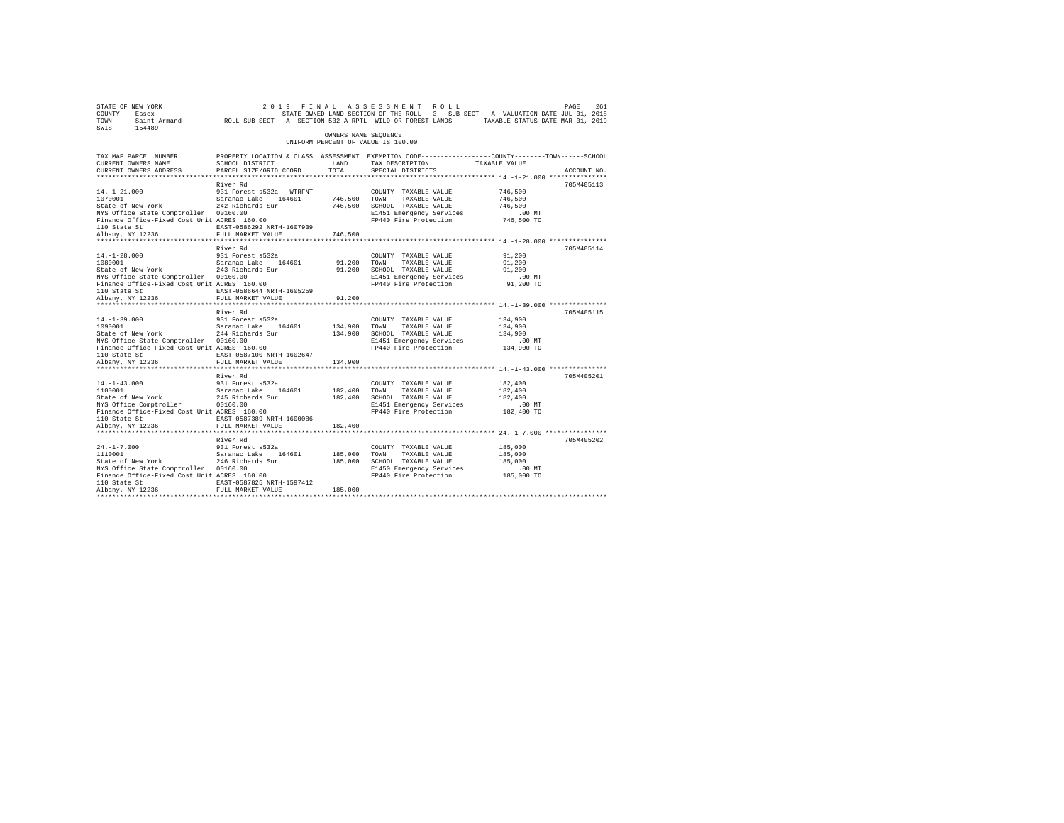| STATE OF NEW YORK<br>COUNTY - Essex<br>TOWN<br>$SWTS = 154489$                                                                                                                                                                                          |                                                                                                                                               |                         | 2019 FINAL ASSESSMENT ROLL<br>STATE OWNED LAND SECTION OF THE ROLL - 3 SUB-SECT - A VALUATION DATE-JUL 01, 2018                       |                                                         | 261<br>PAGE |
|---------------------------------------------------------------------------------------------------------------------------------------------------------------------------------------------------------------------------------------------------------|-----------------------------------------------------------------------------------------------------------------------------------------------|-------------------------|---------------------------------------------------------------------------------------------------------------------------------------|---------------------------------------------------------|-------------|
|                                                                                                                                                                                                                                                         |                                                                                                                                               | OWNERS NAME SEQUENCE    | UNIFORM PERCENT OF VALUE IS 100.00                                                                                                    |                                                         |             |
| TAX MAP PARCEL NUMBER<br>CURRENT OWNERS NAME<br>CURRENT OWNERS ADDRESS                                                                                                                                                                                  | PROPERTY LOCATION & CLASS ASSESSMENT EXEMPTION CODE----------------COUNTY-------TOWN------SCHOOL<br>SCHOOL DISTRICT<br>PARCEL SIZE/GRID COORD | LAND<br>TOTAL           | TAX DESCRIPTION TAXABLE VALUE<br>SPECIAL DISTRICTS                                                                                    |                                                         | ACCOUNT NO. |
| $14.-1-21.000$<br>14.-1-21.000 531 rorest Space 164601<br>1070001 Saranac Lake 164601<br>State of New York 242 Richards Sur<br>NYS Office State Comptroller 00160.00<br>Finance Office-Fixed Cost Unit ACRES 160.00<br>110 State St<br>Albany, NY 12236 | River Rd<br>931 Forest s532a - WTRFNT<br>EAST-0586292 NRTH-1607939<br>FULL MARKET VALUE                                                       | 746,500 TOWN<br>746,500 | COUNTY TAXABLE VALUE<br>TAXABLE VALUE<br>746,500 SCHOOL TAXABLE VALUE<br>E1451 Emergency Services<br>FP440 Fire Protection            | 746,500<br>746,500<br>746,500<br>.00 MT<br>746,500 TO   | 705M405113  |
| $14. - 1 - 28.000$<br>1080001 Saranac Lake 164601<br>State of New York 243 Richards Sur<br>NYS Office State Comptroller 00160.00<br>Finance Office-Fixed Cost Unit ACRES 160.00<br>110 State St<br>Albany, NY 12236                                     | River Rd<br>931 Forest s532a<br>EAST-0586644 NRTH-1605259<br>FULL MARKET VALUE                                                                | 91,200 TOWN<br>91,200   | COUNTY TAXABLE VALUE<br>TAXABLE VALUE<br>91,200 SCHOOL TAXABLE VALUE<br>E1451 Emergency Services<br>FP440 Fire Protection 91,200 TO   | 91,200<br>91,200<br>91,200<br>$.00$ MT                  | 705M405114  |
| $14. -1 - 39.000$<br>1090001<br>1090001<br>Saranac Lake 164601<br>244 Richards Sur<br>NYS Office State Comptroller 00160.00<br>Finance Office-Fixed Cost Unit ACRES 160.00<br>110 State St<br>Albany, NY 12236                                          | River Rd<br>931 Forest s532a<br>EAST-0587100 NRTH-1602647<br>FULL MARKET VALUE                                                                | 134,900 TOWN<br>134,900 | COUNTY TAXABLE VALUE<br>TAXABLE VALUE<br>134,900 SCHOOL TAXABLE VALUE<br>E1451 Emergency Services<br>FP440 Fire Protection            | 134,900<br>134,900<br>134,900<br>$.00$ MT<br>134,900 TO | 705M405115  |
| $14. -1 - 43.000$<br>14.-1-43.000<br>1100001<br>1100001 Saranac Lake 164601<br>State of New York 245 Richards Sur<br>NYS Office Comptroller<br>Finance Office-Fixed Cost Unit ACRES 160.00<br>110 State St<br>Albany, NY 12236                          | River Rd<br>931 Forest s532a<br>00160.00<br>EAST-0587389 NRTH-1600086<br>FULL MARKET VALUE                                                    | 182.400 TOWN<br>182,400 | COUNTY TAXABLE VALUE<br>TAXABLE VALUE<br>182,400 SCHOOL TAXABLE VALUE<br>E1451 Emergency Services<br>FP440 Fire Protection            | 182,400<br>182,400<br>182,400<br>$.00$ MT<br>182,400 TO | 705M405201  |
| $24. -1 - 7.000$<br>1110001 Saranac Lake 164601<br>State of New York 246 Richards Sur<br>NYS Office State Comptroller 00160.00<br>Finance Office-Fixed Cost Unit ACRES 160.00<br>110 State St<br>Albany, NY 12236                                       | River Rd<br>931 Forest s532a<br>EAST-0587825 NRTH-1597412<br>FULL MARKET VALUE                                                                | 185,000 TOWN<br>185,000 | COUNTY TAXABLE VALUE<br>TAXABLE VALUE<br>185,000 SCHOOL TAXABLE VALUE<br>E1450 Emergency Services<br>FP440 Fire Protection 185,000 TO | 185,000<br>185,000<br>185,000<br>$.00$ MT               | 705M405202  |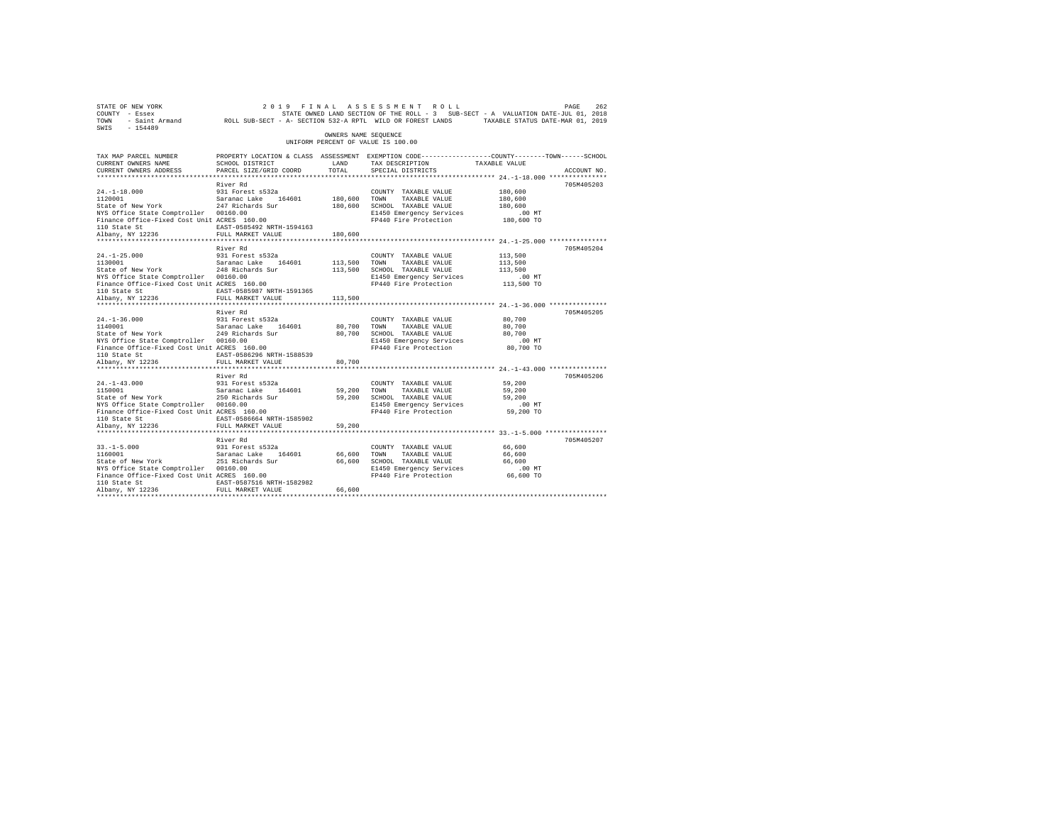| SWIS - 154489                                                                                                                                                                                                                                           |                                                                    |                      |                                                                                                                                                                  |                                           |             |
|---------------------------------------------------------------------------------------------------------------------------------------------------------------------------------------------------------------------------------------------------------|--------------------------------------------------------------------|----------------------|------------------------------------------------------------------------------------------------------------------------------------------------------------------|-------------------------------------------|-------------|
|                                                                                                                                                                                                                                                         |                                                                    | OWNERS NAME SEQUENCE | UNIFORM PERCENT OF VALUE IS 100.00                                                                                                                               |                                           |             |
| TAX MAP PARCEL NUMBER<br>CURRENT OWNERS NAME<br>CURRENT OWNERS ADDRESS                                                                                                                                                                                  | SCHOOL DISTRICT<br>PARCEL SIZE/GRID COORD                          | LAND<br>TOTAL        | PROPERTY LOCATION & CLASS ASSESSMENT EXEMPTION CODE----------------COUNTY-------TOWN-----SCHOOL<br>TAX DESCRIPTION TAXABLE VALUE<br>SPECIAL DISTRICTS            |                                           | ACCOUNT NO. |
|                                                                                                                                                                                                                                                         |                                                                    |                      |                                                                                                                                                                  |                                           |             |
| 24.-1-18.000 931 Forest s532a<br>1120001 532 532aranac Lake 164601<br>State of New York 247 Richards Sur<br>NYS Office State Comptroller 00160.00<br>Finance Office-Fixed Cost Unit ACRES 160.00                                                        | River Rd                                                           | 180,600 TOWN         | COUNTY TAXABLE VALUE<br>TAXABLE VALUE<br>180,600 SCHOOL TAXABLE VALUE<br>E1450 Emergency Services<br>FP440 Fire Protection 180,600 TO                            | 180,600<br>180,600<br>180,600<br>$.00$ MT | 705M405203  |
| 110 State St<br>Albany, NY 12236                                                                                                                                                                                                                        | EAST-0585492 NRTH-1594163<br>FULL MARKET VALUE                     | 180,600              |                                                                                                                                                                  |                                           |             |
| 24.-1-25.000 931 Forest s532a<br>1130001 588 5aranac Lake 164601<br>State of New York 248 Richards Sur<br>NYS Office State Comptroller 00160.00<br>Finance Office-Fixed Cost Unit ACRES 160.00                                                          | River Rd<br>EAST-0585987 NRTH-1591365                              | 113,500 TOWN         | COUNTY TAXABLE VALUE<br>TAXABLE VALUE<br>113,500 SCHOOL TAXABLE VALUE<br>E1450 Emergency Services<br>FP440 Fire Protection 113,500 TO                            | 113,500<br>113,500<br>113,500<br>$.00$ MT | 705M405204  |
| 110 State St<br>Albany, NY 12236                                                                                                                                                                                                                        | FULL MARKET VALUE                                                  | 113,500              |                                                                                                                                                                  |                                           |             |
|                                                                                                                                                                                                                                                         | River Rd                                                           |                      |                                                                                                                                                                  |                                           | 705M405205  |
| 110 State St                                                                                                                                                                                                                                            | EAST-0586296 NRTH-1588539                                          |                      | E1450 Emergency Services<br>FP440 Fire Protection 80,700 TO                                                                                                      | 80,700<br>80,700<br>80,700<br>$.00$ MT    |             |
| Albany, NY 12236                                                                                                                                                                                                                                        | FULL MARKET VALUE                                                  | 80,700               |                                                                                                                                                                  |                                           |             |
|                                                                                                                                                                                                                                                         | River Rd                                                           |                      |                                                                                                                                                                  |                                           | 705M405206  |
| $24. -1 - 43.000$<br>24.-1-43.000 931 Forest s532a<br>1150001 931 5aranac Lake 164601<br>State of New York 250 Richards Sur<br>NYS Office State Comptroller 00160.00<br>Finance Office-Fixed Cost Unit ACRES 160.00<br>110 State St<br>Albany, NY 12236 | 931 Forest s532a<br>EAST-0586664 NRTH-1585902<br>FULL MARKET VALUE | 59,200               | COUNTY TAXABLE VALUE<br>59,200 TOWN TAXABLE VALUE<br>59,200 SCHOOL TAXABLE VALUE<br>TAXABLE VALUE<br>E1450 Emergency Services<br>FP440 Fire Protection 59,200 TO | 59,200<br>59,200<br>59,200<br>.00 MT      |             |
|                                                                                                                                                                                                                                                         |                                                                    |                      |                                                                                                                                                                  |                                           |             |
| $33. -1 - 5.000$<br>$33. -1 - 5.000$<br>1160001<br>1160001 Saranac Lake 164601<br>State of New York 251 Richards Sur<br>NYS Office State Comptroller 00160.00<br>Finance Office-Fixed Cost Unit ACRES 160.00<br>110 State St                            | River Rd<br>931 Forest s532a<br>EAST-0587516 NRTH-1582982          | 66,600               | COUNTY TAXABLE VALUE<br>TAXABLE VALUE<br>TOWN<br>66,600 SCHOOL TAXABLE VALUE<br>E1450 Emergency Services .00 MT<br>FP440 Fire Protection 66,600 TO               | 66,600<br>66,600<br>66,600                | 705M405207  |
| Albany, NY 12236                                                                                                                                                                                                                                        | FULL MARKET VALUE                                                  | 66,600               |                                                                                                                                                                  |                                           |             |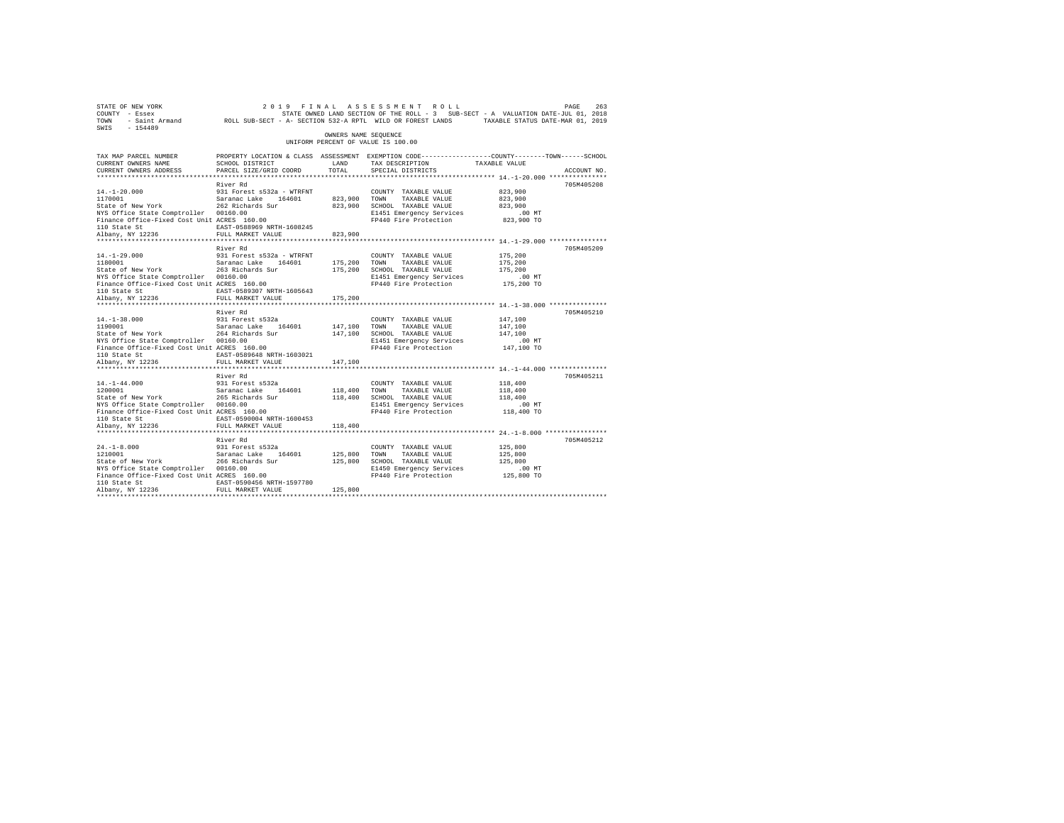| STATE OF NEW YORK<br>COUNTY - Essex<br>TOWN<br>$SWTS = 154489$                                                                                                                                                                                 |                                                                                                                                               |                         | 2019 FINAL ASSESSMENT ROLL                                                                                                                         |                                                         | PAGE<br>263 |
|------------------------------------------------------------------------------------------------------------------------------------------------------------------------------------------------------------------------------------------------|-----------------------------------------------------------------------------------------------------------------------------------------------|-------------------------|----------------------------------------------------------------------------------------------------------------------------------------------------|---------------------------------------------------------|-------------|
|                                                                                                                                                                                                                                                |                                                                                                                                               | OWNERS NAME SEQUENCE    | UNIFORM PERCENT OF VALUE IS 100.00                                                                                                                 |                                                         |             |
| TAX MAP PARCEL NUMBER<br>CURRENT OWNERS NAME<br>CURRENT OWNERS ADDRESS                                                                                                                                                                         | PROPERTY LOCATION & CLASS ASSESSMENT EXEMPTION CODE----------------COUNTY-------TOWN------SCHOOL<br>SCHOOL DISTRICT<br>PARCEL SIZE/GRID COORD | LAND<br>TOTAL           | TAX DESCRIPTION TAXABLE VALUE<br>SPECIAL DISTRICTS                                                                                                 |                                                         | ACCOUNT NO. |
| $14. - 1 - 20.000$<br>1170001<br>Saranac Lake 164601<br>State of New York 262 Richards Sur<br>NYS Office State Comptroller 00160.00<br>Finance Office-Fixed Cost Unit ACRES 160.00<br>110 State St<br>110 State St<br>Albany, NY 12236         | River Rd<br>931 Forest s532a - WTRFNT<br>EAST-0588969 NRTH-1608245<br>FULL MARKET VALUE                                                       | 823,900 TOWN<br>823,900 | COUNTY TAXABLE VALUE<br>TAXABLE VALUE<br>823,900 SCHOOL TAXABLE VALUE<br>E1451 Emergency Services<br>FP440 Fire Protection                         | 823,900<br>823,900<br>823,900<br>$.00$ MT<br>823,900 TO | 705M405208  |
| $14. - 1 - 29.000$<br>1180001 Saranac Lake 164601<br>State of New York 263 Richards Sur<br>NYS Office State Comptroller 00160.00<br>Finance Office-Fixed Cost Unit ACRES 160.00<br>110 State St<br>Albany, NY 12236                            | River Rd<br>931 Forest s532a - WTRFNT<br>EAST-0589307 NRTH-1605643<br>FULL MARKET VALUE                                                       | 175,200 TOWN<br>175,200 | COUNTY TAXABLE VALUE<br>TAXABLE VALUE<br>175,200 SCHOOL TAXABLE VALUE<br>E1451 Emergency Services<br>FP440 Fire Protection 175,200 TO              | 175,200<br>175,200<br>175,200<br>$.00$ MT               | 705M405209  |
| $14. -1 - 38.000$<br>1190001<br>Saranac Lake 164601<br>State of New York 264 Richards Sur<br>NYS Office State Comptroller 00160.00<br>Finance Office-Fixed Cost Unit ACRES 160.00<br>110 State St<br>Albany, NY 12236                          | River Rd<br>931 Forest s532a<br>EAST-0589648 NRTH-1603021<br>FULL MARKET VALUE                                                                | 147,100 TOWN<br>147,100 | COUNTY TAXABLE VALUE<br>TAXABLE VALUE<br>147,100 SCHOOL TAXABLE VALUE<br>E1451 Emergency Services<br>FP440 Fire Protection                         | 147,100<br>147,100<br>147,100<br>$.00$ MT<br>147,100 TO | 705M405210  |
| $14. - 1 - 44.000$<br>14.-1-44.000<br>1200001<br>1200001 Saranac Lake 164601<br>State of New York 265 Richards Sur<br>NYS Office State Comptroller 00160.00<br>Finance Office-Fixed Cost Unit ACRES 160.00<br>110 State St<br>Albany, NY 12236 | River Rd<br>931 Forest s532a<br>EAST-0590004 NRTH-1600453<br>FULL MARKET VALUE                                                                | 118,400                 | COUNTY TAXABLE VALUE<br>118,400 TOWN TAXABLE VALUE<br>118,400 SCHOOL TAXABLE VALUE<br>E1451 Emergency Services<br>FP440 Fire Protection 118,400 TO | 118,400<br>118,400<br>118,400<br>$.00$ MT               | 705M405211  |
| $24. -1 - 8.000$<br>1210001 Saranac Lake 164601<br>State of New York 266 Richards Sur<br>NYS Office State Comptroller 00160.00<br>Finance Office-Fixed Cost Unit ACRES 160.00<br>110 State St<br>Albany, NY 12236                              | River Rd<br>931 Forest s532a<br>EAST-0590456 NRTH-1597780<br>FULL MARKET VALUE                                                                | 125,800 TOWN<br>125,800 | COUNTY TAXABLE VALUE<br>TAXABLE VALUE<br>125,800 SCHOOL TAXABLE VALUE<br>E1450 Emergency Services<br>FP440 Fire Protection                         | 125,800<br>125,800<br>125,800<br>.00MT<br>125,800 TO    | 705M405212  |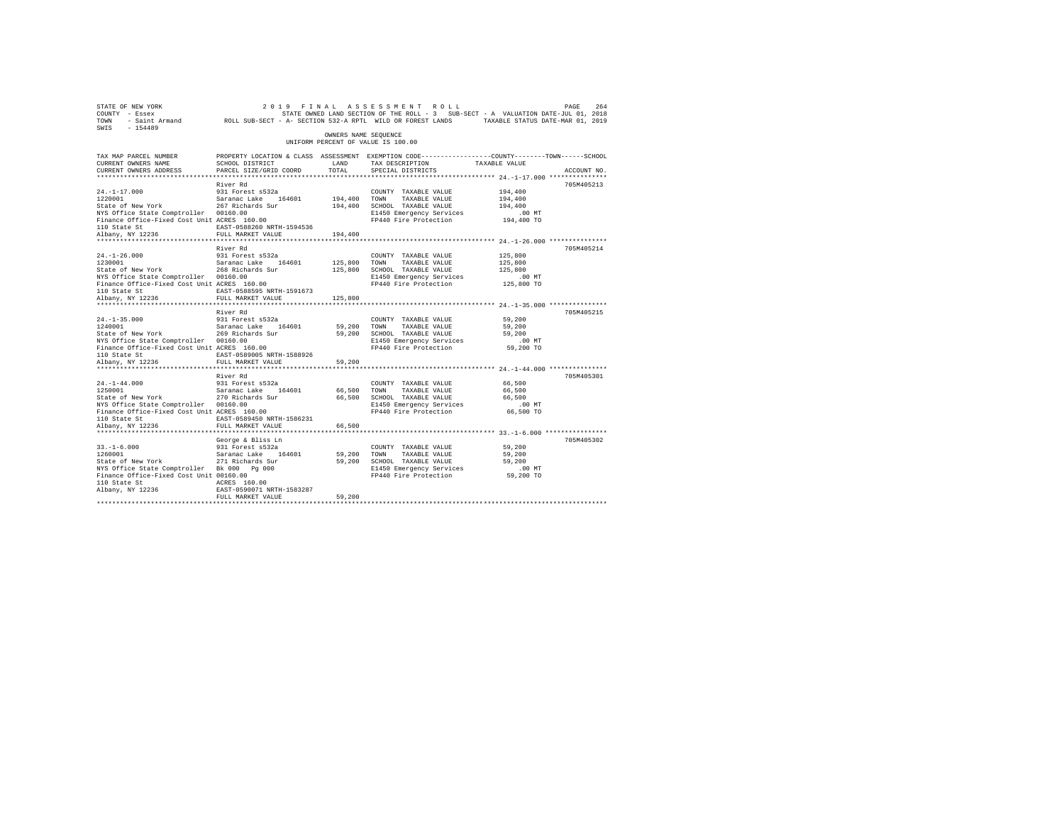| STATE OF NEW YORK<br>COUNTY - Essex<br>TOWN<br>SWTS<br>$-154489$ | 2019 FINAL ASSESSMENT<br>- Saint Armand MOLL SUB-SECT - A- SECTION 532-A RPTL WILD OR FOREST LANDS |                      | ROLL<br>STATE OWNED LAND SECTION OF THE ROLL - 3 SUB-SECT - A VALUATION DATE-JUL 01, 2018                         | TAXABLE STATUS DATE-MAR 01, 2019 | PAGE<br>264 |
|------------------------------------------------------------------|----------------------------------------------------------------------------------------------------|----------------------|-------------------------------------------------------------------------------------------------------------------|----------------------------------|-------------|
|                                                                  |                                                                                                    | OWNERS NAME SEQUENCE | UNIFORM PERCENT OF VALUE IS 100.00                                                                                |                                  |             |
| TAX MAP PARCEL NUMBER<br>CURRENT OWNERS NAME                     | SCHOOL DISTRICT                                                                                    | LAND                 | PROPERTY LOCATION & CLASS ASSESSMENT EXEMPTION CODE---------------COUNTY-------TOWN-----SCHOOL<br>TAX DESCRIPTION | TAXABLE VALUE                    |             |
| CURRENT OWNERS ADDRESS                                           | PARCEL SIZE/GRID COORD                                                                             | TOTAL                | SPECIAL DISTRICTS                                                                                                 |                                  | ACCOUNT NO. |
|                                                                  |                                                                                                    |                      |                                                                                                                   |                                  |             |
|                                                                  | River Rd                                                                                           |                      |                                                                                                                   |                                  | 705M405213  |
| $24. -1 - 17.000$<br>1220001                                     | 931 Forest s532a<br>Saranac Lake 164601                                                            | 194,400              | COUNTY TAXABLE VALUE<br>TOWN<br>TAXABLE VALUE                                                                     | 194,400<br>194,400               |             |
| State of New York                                                | 267 Richards Sur                                                                                   | 194,400              | SCHOOL TAXABLE VALUE                                                                                              | 194,400                          |             |
| NYS Office State Comptroller 00160.00                            |                                                                                                    |                      | E1450 Emergency Services                                                                                          | .00MT                            |             |
| Finance Office-Fixed Cost Unit ACRES 160.00                      |                                                                                                    |                      | FP440 Fire Protection                                                                                             | 194,400 TO                       |             |
| 110 State St                                                     | EAST-0588260 NRTH-1594536                                                                          |                      |                                                                                                                   |                                  |             |
| Albany, NY 12236                                                 | FULL MARKET VALUE                                                                                  | 194,400              |                                                                                                                   |                                  |             |
|                                                                  |                                                                                                    |                      |                                                                                                                   |                                  |             |
|                                                                  | River Rd                                                                                           |                      |                                                                                                                   |                                  | 705M405214  |
| $24. -1 - 26.000$                                                | 931 Forest s532a                                                                                   |                      | COUNTY TAXABLE VALUE                                                                                              | 125,800                          |             |
| 1230001                                                          | Saranac Lake 164601                                                                                | 125,800              | TOWN<br>TAXABLE VALUE                                                                                             | 125,800                          |             |
| State of New York                                                | 268 Richards Sur                                                                                   | 125,800              | SCHOOL TAXABLE VALUE                                                                                              | 125,800                          |             |
| NYS Office State Comptroller 00160.00                            |                                                                                                    |                      | E1450 Emergency Services                                                                                          | $.00$ $MT$                       |             |
| Finance Office-Fixed Cost Unit ACRES 160.00                      |                                                                                                    |                      | FP440 Fire Protection                                                                                             | 125,800 TO                       |             |
| 110 State St                                                     | EAST-0588595 NRTH-1591673                                                                          |                      |                                                                                                                   |                                  |             |
| Albany, NY 12236<br>************************                     | FULL MARKET VALUE<br>**************************                                                    | 125,800              | *************************** 24.-1-35.000 ***************                                                          |                                  |             |
|                                                                  | River Rd                                                                                           |                      |                                                                                                                   |                                  | 705M405215  |
| $24. -1 - 35.000$                                                | 931 Forest s532a                                                                                   |                      | COUNTY TAXABLE VALUE                                                                                              | 59,200                           |             |
| 1240001                                                          | Saranac Lake<br>164601                                                                             | 59,200               | TOWN<br>TAXABLE VALUE                                                                                             | 59,200                           |             |
| State of New York                                                | 269 Richards Sur                                                                                   | 59,200               | SCHOOL TAXABLE VALUE                                                                                              | 59,200                           |             |
| NYS Office State Comptroller 00160.00                            |                                                                                                    |                      | E1450 Emergency Services                                                                                          | .00 MT                           |             |
| Finance Office-Fixed Cost Unit ACRES 160.00                      |                                                                                                    |                      | FP440 Fire Protection                                                                                             | 59,200 TO                        |             |
| 110 State St                                                     | EAST-0589005 NRTH-1588926                                                                          |                      |                                                                                                                   |                                  |             |
| Albany, NY 12236                                                 | FULL MARKET VALUE                                                                                  | 59,200               |                                                                                                                   |                                  |             |
|                                                                  |                                                                                                    | ***********          |                                                                                                                   |                                  |             |
|                                                                  | River Rd                                                                                           |                      |                                                                                                                   |                                  | 705M405301  |
| $24. -1 - 44.000$                                                | 931 Forest s532a                                                                                   |                      | COUNTY TAXABLE VALUE                                                                                              | 66,500                           |             |
| 1250001                                                          | Saranac Lake<br>164601                                                                             | 66,500               | TOWN<br>TAXABLE VALUE                                                                                             | 66,500                           |             |
| State of New York                                                | 270 Richards Sur                                                                                   | 66,500               | SCHOOL TAXABLE VALUE                                                                                              | 66,500                           |             |
| NYS Office State Comptroller 00160.00                            |                                                                                                    |                      | E1450 Emergency Services<br>FP440 Fire Protection                                                                 | $.00$ MT                         |             |
| Finance Office-Fixed Cost Unit ACRES 160.00<br>110 State St      | EAST-0589450 NRTH-1586231                                                                          |                      |                                                                                                                   | 66,500 TO                        |             |
| Albany, NY 12236                                                 | FULL MARKET VALUE                                                                                  | 66,500               |                                                                                                                   |                                  |             |
|                                                                  |                                                                                                    |                      |                                                                                                                   |                                  |             |
|                                                                  | George & Bliss Ln                                                                                  |                      |                                                                                                                   |                                  | 705M405302  |
| $33. - 1 - 6.000$                                                | 931 Forest s532a                                                                                   |                      | COUNTY TAXABLE VALUE                                                                                              | 59,200                           |             |
| 1260001                                                          | Saranac Lake<br>164601                                                                             | 59,200               | TOWN<br>TAXABLE VALUE                                                                                             | 59,200                           |             |
| State of New York                                                | 271 Richards Sur                                                                                   | 59,200               | SCHOOL TAXABLE VALUE                                                                                              | 59,200                           |             |
| NYS Office State Comptroller Bk 000 Pq 000                       |                                                                                                    |                      | E1450 Emergency Services                                                                                          | $.00$ MT                         |             |
| Finance Office-Fixed Cost Unit 00160.00                          |                                                                                                    |                      | FP440 Fire Protection                                                                                             | 59,200 TO                        |             |
| 110 State St                                                     | ACRES 160.00                                                                                       |                      |                                                                                                                   |                                  |             |
| Albany, NY 12236                                                 | EAST-0590071 NRTH-1583287                                                                          |                      |                                                                                                                   |                                  |             |
|                                                                  | FULL MARKET VALUE                                                                                  | 59,200               |                                                                                                                   |                                  |             |
|                                                                  |                                                                                                    |                      |                                                                                                                   |                                  |             |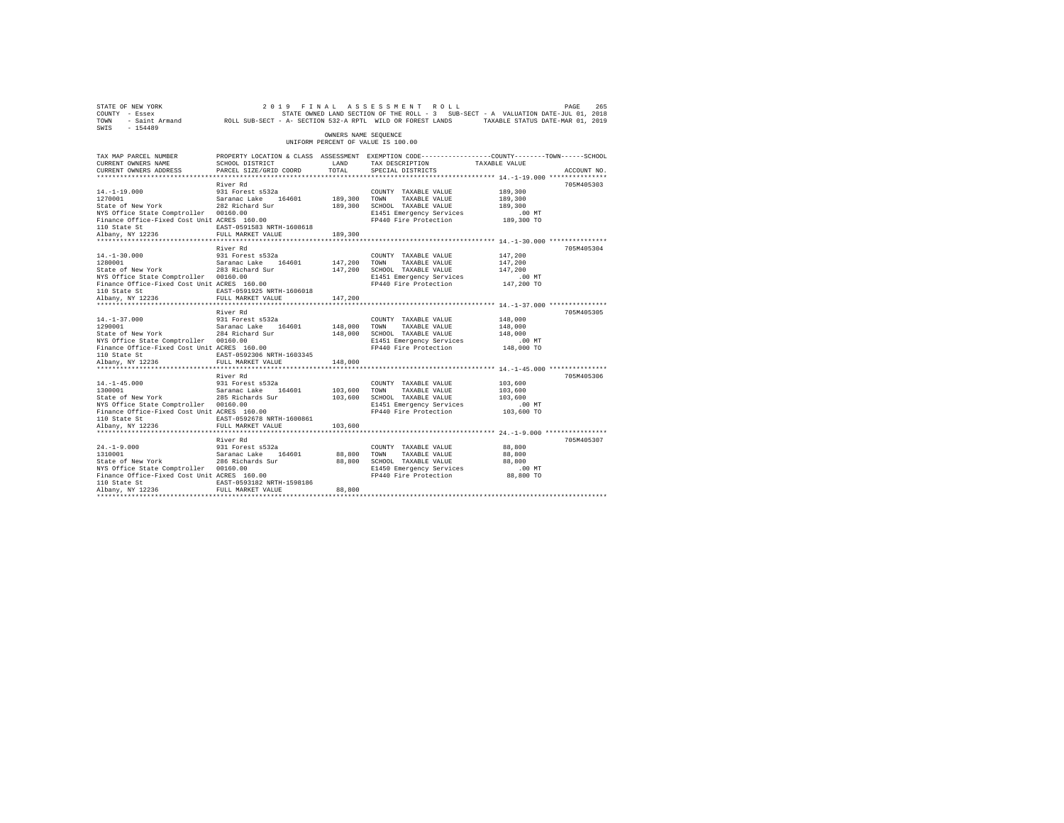| 2019 FINAL ASSESSMENT ROLL PAGE 265<br>COUNTY - Essex – SALUATION DATE-JULOI, 2018<br>TOWN - Saint_Armand – ROLL SUB-SECT - A-SECTION 532-A RPTL WILD OR FOREST LANDS – TAXABLE STATUS DATE-JULOI, 2019<br>TOWN - Saint_Armand – ROLL S<br>SWIS - 154489 |                                                                                                                   |                      |                                                             |                                                           |             |
|----------------------------------------------------------------------------------------------------------------------------------------------------------------------------------------------------------------------------------------------------------|-------------------------------------------------------------------------------------------------------------------|----------------------|-------------------------------------------------------------|-----------------------------------------------------------|-------------|
|                                                                                                                                                                                                                                                          |                                                                                                                   | OWNERS NAME SEOUENCE | UNIFORM PERCENT OF VALUE IS 100.00                          |                                                           |             |
| TAX MAP PARCEL NUMBER<br>CURRENT OWNERS NAME                                                                                                                                                                                                             | PROPERTY LOCATION & CLASS ASSESSMENT EXEMPTION CODE---------------COUNTY-------TOWN-----SCHOOL<br>SCHOOL DISTRICT | LAND                 | TAX DESCRIPTION TAXABLE VALUE                               |                                                           |             |
| CURRENT OWNERS ADDRESS                                                                                                                                                                                                                                   | PARCEL SIZE/GRID COORD                                                                                            | TOTAL                | SPECIAL DISTRICTS                                           |                                                           | ACCOUNT NO. |
|                                                                                                                                                                                                                                                          |                                                                                                                   |                      |                                                             |                                                           |             |
|                                                                                                                                                                                                                                                          | River Rd                                                                                                          |                      |                                                             |                                                           | 705M405303  |
| 14.-1-19.000 931 Forest s532a<br>1270001 53aranac Lake 164601<br>State of New York 282 Richard Sur                                                                                                                                                       |                                                                                                                   |                      | COUNTY TAXABLE VALUE                                        | 189,300                                                   |             |
|                                                                                                                                                                                                                                                          |                                                                                                                   | 189,300 TOWN         | TAXABLE VALUE                                               | 189,300                                                   |             |
|                                                                                                                                                                                                                                                          |                                                                                                                   |                      | 189,300 SCHOOL TAXABLE VALUE                                | 189,300                                                   |             |
| NYS Office State Comptroller 00160.00<br>Finance Office-Fixed Cost Unit ACRES 160.00                                                                                                                                                                     |                                                                                                                   |                      | E1451 Emergency Services                                    | $.00$ MT                                                  |             |
|                                                                                                                                                                                                                                                          | EAST-0591583 NRTH-1608618                                                                                         |                      | FP440 Fire Protection 189,300 TO                            |                                                           |             |
| 110 State St<br>Albany, NY 12236                                                                                                                                                                                                                         | FULL MARKET VALUE                                                                                                 | 189,300              |                                                             |                                                           |             |
|                                                                                                                                                                                                                                                          |                                                                                                                   |                      |                                                             |                                                           |             |
|                                                                                                                                                                                                                                                          | River Rd                                                                                                          |                      |                                                             |                                                           | 705M405304  |
| $14. - 1 - 30.000$                                                                                                                                                                                                                                       | 931 Forest s532a                                                                                                  |                      | COUNTY TAXABLE VALUE                                        | 147,200                                                   |             |
| 14.-1-30.000 931 Forest s532a<br>1280001 938 Saranac Lake 164601<br>State of New York 283 Richard Sur                                                                                                                                                    |                                                                                                                   | 147,200 TOWN         | TAXABLE VALUE                                               | 147,200                                                   |             |
|                                                                                                                                                                                                                                                          |                                                                                                                   |                      | 147,200 SCHOOL TAXABLE VALUE                                | 147,200                                                   |             |
| NYS Office State Comptroller 00160.00                                                                                                                                                                                                                    |                                                                                                                   |                      | E1451 Emergency Services                                    | $.00$ MT                                                  |             |
| Finance Office-Fixed Cost Unit ACRES 160.00                                                                                                                                                                                                              |                                                                                                                   |                      | FP440 Fire Protection 147,200 TO                            |                                                           |             |
| 110 State St<br>Albany, NY 12236                                                                                                                                                                                                                         | EAST-0591925 NRTH-1606018                                                                                         |                      |                                                             |                                                           |             |
|                                                                                                                                                                                                                                                          | FULL MARKET VALUE                                                                                                 | 147,200              |                                                             |                                                           |             |
|                                                                                                                                                                                                                                                          | River Rd                                                                                                          |                      |                                                             |                                                           | 705M405305  |
| $14. - 1 - 37.000$                                                                                                                                                                                                                                       | 931 Forest s532a                                                                                                  |                      | COUNTY TAXABLE VALUE                                        | 148,000                                                   |             |
|                                                                                                                                                                                                                                                          |                                                                                                                   | 148,000              | TOWN<br>TAXABLE VALUE                                       | 148,000                                                   |             |
| 14.-1-37.000 931 Forest s532a<br>1290001 Saranac Lake 164601<br>State of New York 284 Richard Sur                                                                                                                                                        |                                                                                                                   |                      | 148,000 SCHOOL TAXABLE VALUE                                | 148,000                                                   |             |
| NYS Office State Comptroller 00160.00                                                                                                                                                                                                                    |                                                                                                                   |                      | E1451 Emergency Services                                    | .00 MT                                                    |             |
| Finance Office-Fixed Cost Unit ACRES 160.00                                                                                                                                                                                                              |                                                                                                                   |                      | FP440 Fire Protection 148,000 TO                            |                                                           |             |
| 110 State St                                                                                                                                                                                                                                             | EAST-0592306 NRTH-1603345                                                                                         |                      |                                                             |                                                           |             |
| Albany, NY 12236                                                                                                                                                                                                                                         | FULL MARKET VALUE                                                                                                 | 148,000              |                                                             |                                                           |             |
|                                                                                                                                                                                                                                                          | ************************                                                                                          |                      |                                                             | *************************** 14. -1-45.000 *************** |             |
|                                                                                                                                                                                                                                                          | River Rd                                                                                                          |                      |                                                             |                                                           | 705M405306  |
| $14. -1 - 45.000$                                                                                                                                                                                                                                        |                                                                                                                   |                      | COUNTY TAXABLE VALUE                                        | 103,600                                                   |             |
| 14.-1-45.000 931 Forest s532a<br>1300001 931 Saranac Lake 164601<br>State of New York 285 Richards Sur                                                                                                                                                   |                                                                                                                   | 103,600              | TOWN<br>TAXABLE VALUE<br>103,600 SCHOOL TAXABLE VALUE       | 103,600<br>103,600                                        |             |
| NYS Office State Comptroller 00160.00                                                                                                                                                                                                                    |                                                                                                                   |                      | E1451 Emergency Services                                    | $.00$ MT                                                  |             |
| Finance Office-Fixed Cost Unit ACRES 160.00                                                                                                                                                                                                              |                                                                                                                   |                      | FP440 Fire Protection 103,600 TO                            |                                                           |             |
| 110 State St                                                                                                                                                                                                                                             | EAST-0592678 NRTH-1600861                                                                                         |                      |                                                             |                                                           |             |
| Albany, NY 12236                                                                                                                                                                                                                                         | FULL MARKET VALUE                                                                                                 | 103,600              |                                                             |                                                           |             |
|                                                                                                                                                                                                                                                          |                                                                                                                   |                      |                                                             |                                                           |             |
|                                                                                                                                                                                                                                                          | River Rd                                                                                                          |                      |                                                             |                                                           | 705M405307  |
| $24. -1 - 9.000$<br>24.-⊥-9.000<br>1310001                                                                                                                                                                                                               | 931 Forest s532a                                                                                                  |                      | COUNTY TAXABLE VALUE                                        | 88,800                                                    |             |
| 1310001 Saranac Lake 164601<br>State of New York 286 Richards Sur                                                                                                                                                                                        |                                                                                                                   | 88,800 TOWN          | TAXABLE VALUE                                               | 88,800                                                    |             |
|                                                                                                                                                                                                                                                          |                                                                                                                   |                      | 88,800 SCHOOL TAXABLE VALUE                                 | 88,800                                                    |             |
| NYS Office State Comptroller 00160.00<br>Finance Office-Fixed Cost Unit ACRES 160.00                                                                                                                                                                     |                                                                                                                   |                      | E1450 Emergency Services<br>FP440 Fire Protection 88,800 TO | $.00$ MT                                                  |             |
| 110 State St                                                                                                                                                                                                                                             | EAST-0593182 NRTH-1598186                                                                                         |                      |                                                             |                                                           |             |
| Albany, NY 12236                                                                                                                                                                                                                                         | FULL MARKET VALUE                                                                                                 | 88,800               |                                                             |                                                           |             |
|                                                                                                                                                                                                                                                          |                                                                                                                   |                      |                                                             |                                                           |             |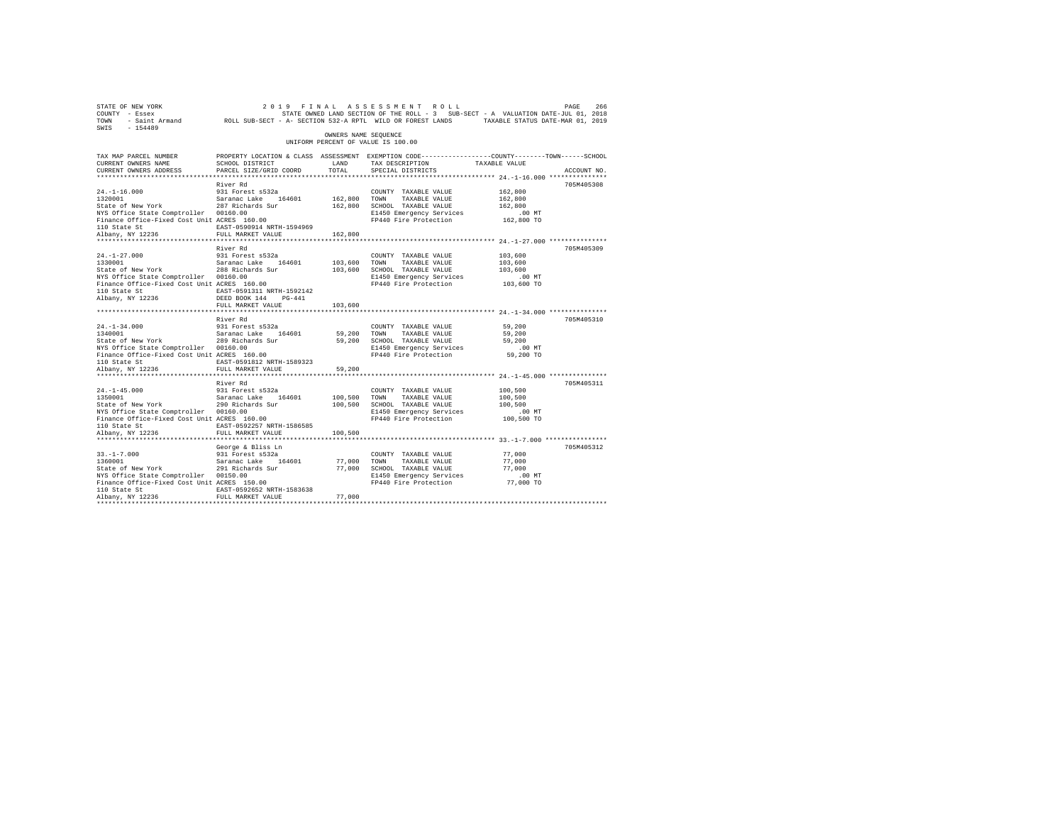| STATE OF NEW YORK<br>COUNTY - Essex<br>TOWN<br>$-154489$<br>SWIS                                                                                                              | - Saint Armand ROLL SUB-SECT - A- SECTION 532-A RPTL WILD OR FOREST LANDS TAXABLE STATUS DATE-MAR 01, 2019                                        |                                    | 2019 FINAL ASSESSMENT ROLL<br>STATE OWNED LAND SECTION OF THE ROLL - 3 SUB-SECT - A VALUATION DATE-JUL 01, 2018            |                                                         | PAGE<br>266 |
|-------------------------------------------------------------------------------------------------------------------------------------------------------------------------------|---------------------------------------------------------------------------------------------------------------------------------------------------|------------------------------------|----------------------------------------------------------------------------------------------------------------------------|---------------------------------------------------------|-------------|
|                                                                                                                                                                               |                                                                                                                                                   | OWNERS NAME SEOUENCE               | UNIFORM PERCENT OF VALUE IS 100.00                                                                                         |                                                         |             |
| TAX MAP PARCEL NUMBER<br>CURRENT OWNERS NAME<br>CURRENT OWNERS ADDRESS<br>*************************                                                                           | PROPERTY LOCATION & CLASS ASSESSMENT EXEMPTION CODE---------------COUNTY-------TOWN------SCHOOL<br>SCHOOL DISTRICT<br>PARCEL SIZE/GRID COORD      | LAND<br>TOTAL.                     | TAX DESCRIPTION<br>SPECIAL DISTRICTS                                                                                       | TAXABLE VALUE                                           | ACCOUNT NO. |
|                                                                                                                                                                               | River Rd                                                                                                                                          |                                    |                                                                                                                            |                                                         | 705M405308  |
| $24. -1 - 16.000$<br>1320001<br>State of New York<br>NYS Office State Comptroller 00160.00<br>Finance Office-Fixed Cost Unit ACRES 160.00<br>110 State St                     | 931 Forest s532a<br>Saranac Lake 164601<br>287 Richards Sur<br>EAST-0590914 NRTH-1594969                                                          | 162,800 TOWN                       | COUNTY TAXABLE VALUE<br>TAXABLE VALUE<br>162,800 SCHOOL TAXABLE VALUE<br>E1450 Emergency Services<br>FP440 Fire Protection | 162,800<br>162,800<br>162,800<br>$.00$ MT<br>162,800 TO |             |
| Albany, NY 12236                                                                                                                                                              | FULL MARKET VALUE                                                                                                                                 | 162,800                            |                                                                                                                            |                                                         |             |
| $24. -1 - 27.000$<br>1330001<br>State of New York<br>NYS Office State Comptroller 00160.00<br>Finance Office-Fixed Cost Unit ACRES 160.00<br>110 State St<br>Albany, NY 12236 | River Rd<br>931 Forest s532a<br>Saranac Lake 164601<br>288 Richards Sur<br>EAST-0591311 NRTH-1592142<br>DEED BOOK 144 PG-441<br>FULL MARKET VALUE | 103,600 TOWN<br>103,600            | COUNTY TAXABLE VALUE<br>TAXABLE VALUE<br>103,600 SCHOOL TAXABLE VALUE<br>E1450 Emergency Services<br>FP440 Fire Protection | 103,600<br>103,600<br>103,600<br>$.00$ MT<br>103,600 TO | 705M405309  |
|                                                                                                                                                                               |                                                                                                                                                   |                                    | ****************************** 24.-1-34.000 ***************                                                                |                                                         |             |
| $24. -1 - 34.000$<br>1340001<br>State of New York<br>NYS Office State Comptroller 00160.00<br>Finance Office-Fixed Cost Unit ACRES 160.00<br>110 State St                     | River Rd<br>931 Forest s532a<br>Saranac Lake 164601<br>289 Richards Sur<br>EAST-0591812 NRTH-1589323                                              | 59,200 TOWN                        | COUNTY TAXABLE VALUE<br>TAXABLE VALUE<br>59,200 SCHOOL TAXABLE VALUE<br>E1450 Emergency Services<br>FP440 Fire Protection  | 59,200<br>59,200<br>59,200<br>$.00$ MT<br>59,200 TO     | 705M405310  |
| Albany, NY 12236                                                                                                                                                              | FULL MARKET VALUE                                                                                                                                 | 59,200                             |                                                                                                                            |                                                         |             |
| $24. -1 - 45.000$<br>1350001<br>State of New York<br>NYS Office State Comptroller 00160.00<br>Finance Office-Fixed Cost Unit ACRES 160.00<br>110 State St<br>Albany, NY 12236 | River Rd<br>931 Forest s532a<br>Saranac Lake 164601<br>290 Richards Sur<br>EAST-0592257 NRTH-1586585<br>FULL MARKET VALUE                         | 100,500 TOWN<br>100,500<br>100,500 | COUNTY TAXABLE VALUE<br>TAXABLE VALUE<br>SCHOOL TAXABLE VALUE<br>E1450 Emergency Services<br>FP440 Fire Protection         | 100,500<br>100,500<br>100,500<br>$.00$ MT<br>100,500 TO | 705M405311  |
|                                                                                                                                                                               | George & Bliss Ln                                                                                                                                 |                                    |                                                                                                                            |                                                         | 705M405312  |
| $33. -1 - 7.000$<br>1360001<br>State of New York<br>NYS Office State Comptroller 00150.00<br>Finance Office-Fixed Cost Unit ACRES 150.00<br>110 State St                      | 931 Forest s532a<br>Saranac Lake 164601<br>291 Richards Sur<br>EAST-0592652 NRTH-1583638                                                          | 77.000 TOWN                        | COUNTY TAXABLE VALUE<br>TAXABLE VALUE<br>77,000 SCHOOL TAXABLE VALUE<br>E1450 Emergency Services<br>FP440 Fire Protection  | 77,000<br>77,000<br>77,000<br>.00 MT<br>77,000 TO       |             |
| Albany, NY 12236                                                                                                                                                              | FULL MARKET VALUE                                                                                                                                 | 77,000                             |                                                                                                                            |                                                         |             |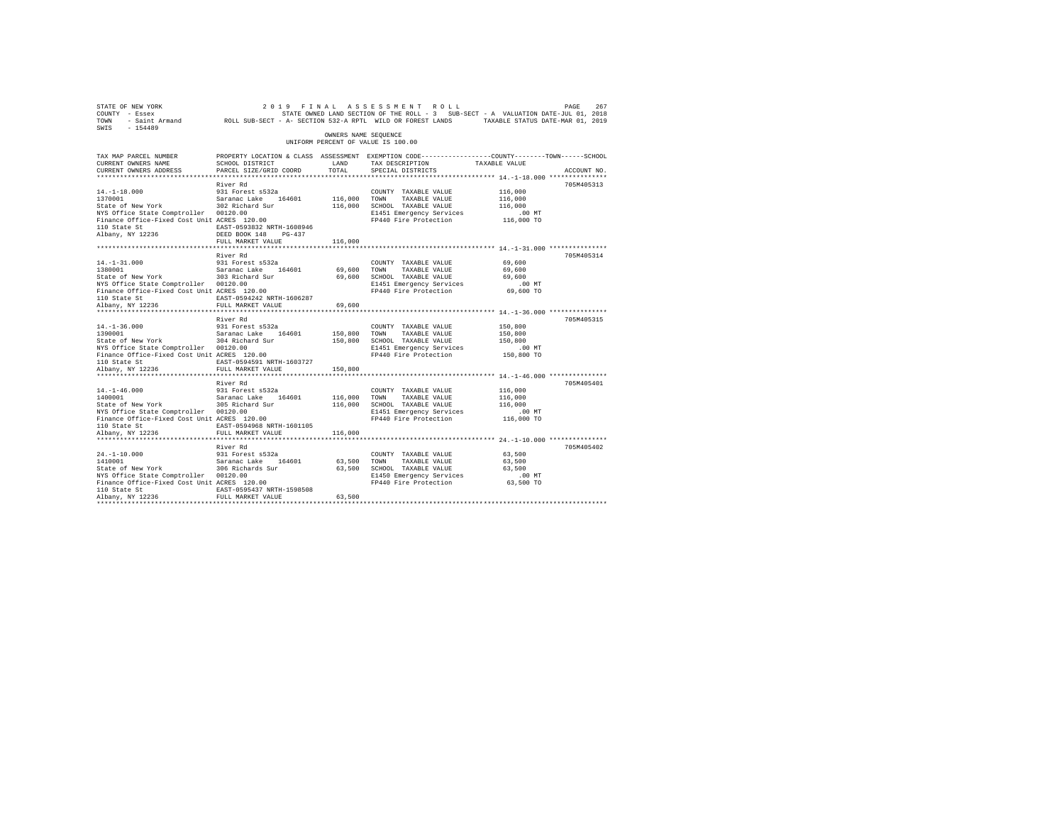| STATE OF NEW YORK<br>COUNTY - Essex<br>TOWN<br>SWIS<br>$-154489$                     | - Saint Armand MOLL SUB-SECT - A- SECTION 532-A RPTL WILD OR FOREST LANDS TAXABLE STATUS DATE-MAR 01, 2019                                  |                      | 2019 FINAL ASSESSMENT ROLL<br>STATE OWNED LAND SECTION OF THE ROLL - 3 SUB-SECT - A VALUATION DATE-JUL 01, 2018 |                        | PAGE<br>267 |
|--------------------------------------------------------------------------------------|---------------------------------------------------------------------------------------------------------------------------------------------|----------------------|-----------------------------------------------------------------------------------------------------------------|------------------------|-------------|
|                                                                                      |                                                                                                                                             | OWNERS NAME SEQUENCE | UNIFORM PERCENT OF VALUE IS 100.00                                                                              |                        |             |
| TAX MAP PARCEL NUMBER<br>CURRENT OWNERS NAME<br>CURRENT OWNERS ADDRESS               | PROPERTY LOCATION & CLASS ASSESSMENT EXEMPTION CODE---------------COUNTY-------TOWN-----SCHOOL<br>SCHOOL DISTRICT<br>PARCEL SIZE/GRID COORD | LAND<br>TOTAL        | TAX DESCRIPTION<br>SPECIAL DISTRICTS                                                                            | TAXABLE VALUE          | ACCOUNT NO. |
|                                                                                      |                                                                                                                                             |                      |                                                                                                                 |                        |             |
|                                                                                      | River Rd                                                                                                                                    |                      |                                                                                                                 |                        | 705M405313  |
| $14. -1 - 18.000$<br>1370001                                                         | 931 Forest s532a<br>Saranac Lake 164601                                                                                                     | 116,000              | COUNTY TAXABLE VALUE<br>TOWN<br>TAXABLE VALUE                                                                   | 116,000<br>116,000     |             |
| State of New York                                                                    | 302 Richard Sur                                                                                                                             |                      | 116,000 SCHOOL TAXABLE VALUE                                                                                    | 116,000                |             |
| NYS Office State Comptroller 00120.00                                                |                                                                                                                                             |                      | E1451 Emergency Services                                                                                        | .00MT                  |             |
| NYS Office State Comptroller 00120.00<br>Finance Office-Fixed Cost Unit ACRES 120.00 |                                                                                                                                             |                      | FP440 Fire Protection                                                                                           | 116,000 TO             |             |
| 110 State St                                                                         | EAST-0593832 NRTH-1608946                                                                                                                   |                      |                                                                                                                 |                        |             |
| Albany, NY 12236                                                                     | DEED BOOK 148<br>$PG-437$                                                                                                                   |                      |                                                                                                                 |                        |             |
|                                                                                      | FULL MARKET VALUE                                                                                                                           | 116,000              |                                                                                                                 |                        |             |
|                                                                                      |                                                                                                                                             |                      |                                                                                                                 |                        |             |
|                                                                                      | River Rd                                                                                                                                    |                      |                                                                                                                 |                        | 705M405314  |
| $14. - 1 - 31.000$                                                                   | 931 Forest s532a                                                                                                                            |                      | COUNTY TAXABLE VALUE                                                                                            | 69,600                 |             |
| 1380001                                                                              | Saranac Lake 164601                                                                                                                         | 69,600               | TOWN<br>TAXABLE VALUE                                                                                           | 69,600                 |             |
| State of New York                                                                    | 303 Richard Sur                                                                                                                             | 69,600               | SCHOOL TAXABLE VALUE<br>E1451 Emergency Services                                                                | 69,600<br>$.00$ MT     |             |
| NYS Office State Comptroller 00120.00<br>Finance Office-Fixed Cost Unit ACRES 120.00 |                                                                                                                                             |                      | FP440 Fire Protection                                                                                           | 69,600 TO              |             |
| 110 State St                                                                         | EAST-0594242 NRTH-1606287                                                                                                                   |                      |                                                                                                                 |                        |             |
| Albany, NY 12236                                                                     | FULL MARKET VALUE                                                                                                                           | 69,600               |                                                                                                                 |                        |             |
|                                                                                      |                                                                                                                                             |                      | ********************************** 14.-1-36.000 ****************                                                |                        |             |
|                                                                                      | River Rd                                                                                                                                    |                      |                                                                                                                 |                        | 705M405315  |
| $14. - 1 - 36.000$                                                                   | 931 Forest s532a                                                                                                                            |                      | COUNTY TAXABLE VALUE                                                                                            | 150,800                |             |
| 1390001                                                                              | Saranac Lake 164601                                                                                                                         | 150,800              | TOWN<br>TAXABLE VALUE                                                                                           | 150,800                |             |
| State of New York                                                                    | 304 Richard Sur                                                                                                                             |                      | 150,800 SCHOOL TAXABLE VALUE                                                                                    | 150,800                |             |
| NYS Office State Comptroller 00120.00<br>Finance Office-Fixed Cost Unit ACRES 120.00 |                                                                                                                                             |                      | E1451 Emergency Services<br>FP440 Fire Protection                                                               | $.00$ MT<br>150,800 TO |             |
| 110 State St                                                                         | EAST-0594591 NRTH-1603727                                                                                                                   |                      |                                                                                                                 |                        |             |
| Albany, NY 12236                                                                     | FULL MARKET VALUE                                                                                                                           | 150,800              |                                                                                                                 |                        |             |
|                                                                                      |                                                                                                                                             |                      |                                                                                                                 |                        |             |
|                                                                                      | River Rd                                                                                                                                    |                      |                                                                                                                 |                        | 705M405401  |
| $14. - 1 - 46.000$                                                                   | 931 Forest s532a                                                                                                                            |                      | COUNTY TAXABLE VALUE                                                                                            | 116,000                |             |
| 1400001                                                                              | Saranac Lake 164601                                                                                                                         | 116,000              | TOWN<br>TAXABLE VALUE                                                                                           | 116,000                |             |
| State of New York                                                                    | 305 Richard Sur                                                                                                                             | 116,000              | SCHOOL TAXABLE VALUE                                                                                            | 116,000                |             |
| NYS Office State Comptroller 00120.00<br>Finance Office-Fixed Cost Unit ACRES 120.00 |                                                                                                                                             |                      | E1451 Emergency Services                                                                                        | $.00$ MT               |             |
|                                                                                      |                                                                                                                                             |                      | FP440 Fire Protection                                                                                           | 116,000 TO             |             |
| 110 State St                                                                         | EAST-0594968 NRTH-1601105                                                                                                                   |                      |                                                                                                                 |                        |             |
| Albany, NY 12236                                                                     | FULL MARKET VALUE                                                                                                                           | 116,000              |                                                                                                                 |                        |             |
|                                                                                      | River Rd                                                                                                                                    |                      |                                                                                                                 |                        | 705M405402  |
| $24. -1 - 10.000$                                                                    | 931 Forest s532a                                                                                                                            |                      | COUNTY TAXABLE VALUE                                                                                            | 63,500                 |             |
| 1410001                                                                              | Saranac Lake 164601                                                                                                                         | 63,500               | TOWN<br>TAXABLE VALUE                                                                                           | 63,500                 |             |
| State of New York                                                                    | 306 Richards Sur                                                                                                                            |                      | 63,500 SCHOOL TAXABLE VALUE                                                                                     | 63,500                 |             |
| NYS Office State Comptroller 00120.00                                                |                                                                                                                                             |                      | E1450 Emergency Services                                                                                        | .00 MT                 |             |
| Finance Office-Fixed Cost Unit ACRES 120.00                                          |                                                                                                                                             |                      | FP440 Fire Protection                                                                                           | 63,500 TO              |             |
| 110 State St                                                                         | EAST-0595437 NRTH-1598508                                                                                                                   |                      |                                                                                                                 |                        |             |
| Albany, NY 12236                                                                     | FULL MARKET VALUE                                                                                                                           | 63,500               |                                                                                                                 |                        |             |
|                                                                                      |                                                                                                                                             |                      |                                                                                                                 |                        |             |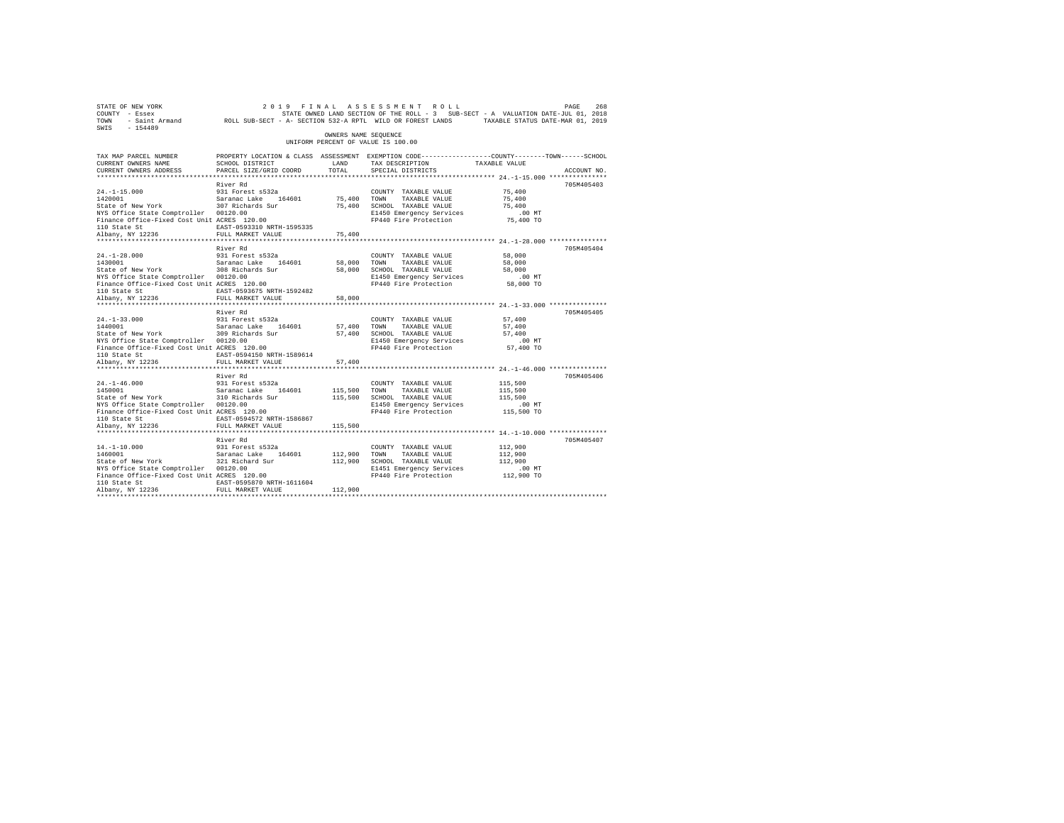| 268 268 269 19 FINAL ASSESSMENT ROLL PAGE 268<br>COUNTY - Essex – SALUATION DATE-JULOI, 2018<br>TOWN - Saint_Armand – ROLL SUB-SECT - A-SECTION 532-ARPTL WILD OR FOREST LANDS – TAXABLE STATUS DATE-MAR 01, 2019<br>SWIS - 154489 |                                                                                                                    |                      |                                                                                                                  |                                                           |             |
|------------------------------------------------------------------------------------------------------------------------------------------------------------------------------------------------------------------------------------|--------------------------------------------------------------------------------------------------------------------|----------------------|------------------------------------------------------------------------------------------------------------------|-----------------------------------------------------------|-------------|
|                                                                                                                                                                                                                                    |                                                                                                                    | OWNERS NAME SEOUENCE | UNIFORM PERCENT OF VALUE IS 100.00                                                                               |                                                           |             |
| TAX MAP PARCEL NUMBER<br>CURRENT OWNERS NAME                                                                                                                                                                                       | PROPERTY LOCATION & CLASS ASSESSMENT EXEMPTION CODE----------------COUNTY-------TOWN-----SCHOOL<br>SCHOOL DISTRICT | LAND                 | TAX DESCRIPTION TAXABLE VALUE                                                                                    |                                                           |             |
| CURRENT OWNERS ADDRESS                                                                                                                                                                                                             | PARCEL SIZE/GRID COORD                                                                                             | TOTAL                | SPECIAL DISTRICTS                                                                                                |                                                           | ACCOUNT NO. |
|                                                                                                                                                                                                                                    |                                                                                                                    |                      |                                                                                                                  |                                                           |             |
|                                                                                                                                                                                                                                    | River Rd                                                                                                           |                      |                                                                                                                  |                                                           | 705M405403  |
| 24.-1-15.000 931 Forest s532a<br>1420001 931 932 932 932 946 164601<br>State of New York 307 Richards Sur                                                                                                                          |                                                                                                                    |                      | COUNTY TAXABLE VALUE                                                                                             | 75,400                                                    |             |
|                                                                                                                                                                                                                                    |                                                                                                                    |                      | 75,400 TOWN TAXABLE VALUE<br>75,400 SCHOOL TAXABLE VALUE                                                         | 75,400                                                    |             |
|                                                                                                                                                                                                                                    |                                                                                                                    |                      |                                                                                                                  |                                                           |             |
|                                                                                                                                                                                                                                    |                                                                                                                    |                      |                                                                                                                  |                                                           |             |
|                                                                                                                                                                                                                                    |                                                                                                                    |                      |                                                                                                                  |                                                           |             |
|                                                                                                                                                                                                                                    |                                                                                                                    |                      |                                                                                                                  |                                                           |             |
|                                                                                                                                                                                                                                    |                                                                                                                    |                      |                                                                                                                  |                                                           |             |
|                                                                                                                                                                                                                                    | River Rd                                                                                                           |                      |                                                                                                                  |                                                           | 705M405404  |
|                                                                                                                                                                                                                                    |                                                                                                                    |                      | COUNTY TAXABLE VALUE                                                                                             | 58,000                                                    |             |
|                                                                                                                                                                                                                                    |                                                                                                                    | 58,000 TOWN          | TAXABLE VALUE                                                                                                    | 58,000                                                    |             |
| 24.-1-28.000 931 Forest s532a<br>1430001 931 Saranac Lake 164601<br>State of New York 308 Richards Sur                                                                                                                             |                                                                                                                    |                      | 58,000 SCHOOL TAXABLE VALUE                                                                                      | 58,000                                                    |             |
| NYS Office State Comptroller 00120.00                                                                                                                                                                                              |                                                                                                                    |                      | E1450 Emergency Services                                                                                         | .00MT                                                     |             |
| Finance Office-Fixed Cost Unit ACRES 120.00                                                                                                                                                                                        | t ACRES 120.00<br>EAST-0593675 NRTH-1592482                                                                        |                      | FP440 Fire Protection 58,000 TO                                                                                  |                                                           |             |
| 110 State St<br>Albany, NY 12236                                                                                                                                                                                                   |                                                                                                                    |                      |                                                                                                                  |                                                           |             |
|                                                                                                                                                                                                                                    | FULL MARKET VALUE                                                                                                  | 58,000               |                                                                                                                  |                                                           |             |
|                                                                                                                                                                                                                                    |                                                                                                                    |                      |                                                                                                                  |                                                           |             |
| $24. -1 - 33.000$                                                                                                                                                                                                                  | River Rd                                                                                                           |                      | COUNTY TAXABLE VALUE                                                                                             | 57,400                                                    | 705M405405  |
|                                                                                                                                                                                                                                    |                                                                                                                    |                      |                                                                                                                  | 57,400                                                    |             |
| 24.-1-33.000 931 Forest s532a<br>1440001 - Saranac Lake 164601<br>State of New York 309 Richards Sur                                                                                                                               |                                                                                                                    |                      |                                                                                                                  | 57,400                                                    |             |
| NYS Office State Comptroller 00120.00                                                                                                                                                                                              |                                                                                                                    |                      | 57,400 TOWN TAXABLE VALUE<br>57,400 SCHOOL TAXABLE VALUE<br>E1450 Emergency Services<br>E1450 Emergency Services | $.00$ MT                                                  |             |
| Finance Office-Fixed Cost Unit ACRES 120.00                                                                                                                                                                                        |                                                                                                                    |                      | FP440 Fire Protection 57,400 TO                                                                                  |                                                           |             |
| 110 State St                                                                                                                                                                                                                       | EAST-0594150 NRTH-1589614                                                                                          |                      |                                                                                                                  |                                                           |             |
| Albany, NY 12236                                                                                                                                                                                                                   | FULL MARKET VALUE                                                                                                  | 57,400               |                                                                                                                  |                                                           |             |
|                                                                                                                                                                                                                                    | ************************                                                                                           |                      |                                                                                                                  | *************************** 24. -1-46.000 *************** |             |
|                                                                                                                                                                                                                                    | River Rd                                                                                                           |                      |                                                                                                                  |                                                           | 705M405406  |
| $24. -1 - 46.000$                                                                                                                                                                                                                  |                                                                                                                    |                      | COUNTY TAXABLE VALUE                                                                                             | 115,500                                                   |             |
| 24.-1-46.000 931 Forest s532a<br>1450001 931 Saranac Lake 164601<br>State of New York 310 Richards Sur                                                                                                                             |                                                                                                                    |                      | 115,500 TOWN TAXABLE VALUE<br>115,500 SCHOOL TAXABLE VALUE                                                       | 115,500                                                   |             |
|                                                                                                                                                                                                                                    |                                                                                                                    |                      |                                                                                                                  | 115,500                                                   |             |
| NYS Office State Comptroller 00120.00<br>Finance Office-Fixed Cost Unit ACRES 120.00                                                                                                                                               |                                                                                                                    |                      | E1450 Emergency Services<br>FP440 Fire Protection 115,500 TO                                                     | $.00$ MT                                                  |             |
| 110 State St                                                                                                                                                                                                                       | EAST-0594572 NRTH-1586867                                                                                          |                      |                                                                                                                  |                                                           |             |
| Albany, NY 12236                                                                                                                                                                                                                   | FULL MARKET VALUE                                                                                                  | 115,500              |                                                                                                                  |                                                           |             |
|                                                                                                                                                                                                                                    |                                                                                                                    |                      |                                                                                                                  |                                                           |             |
|                                                                                                                                                                                                                                    | River Rd                                                                                                           |                      |                                                                                                                  |                                                           | 705M405407  |
| $14. - 1 - 10.000$                                                                                                                                                                                                                 | 931 Forest s532a                                                                                                   |                      | COUNTY TAXABLE VALUE                                                                                             | 112,900                                                   |             |
| $14. -1 - 10.000$<br>1460001                                                                                                                                                                                                       |                                                                                                                    | 112,900 TOWN         | TAXABLE VALUE                                                                                                    | 112,900                                                   |             |
| 1460001 Saranac Lake 164601<br>State of New York 321 Richard Sur                                                                                                                                                                   |                                                                                                                    |                      | 112,900 SCHOOL TAXABLE VALUE                                                                                     | 112,900                                                   |             |
| NYS Office State Comptroller 00120.00                                                                                                                                                                                              |                                                                                                                    |                      | E1451 Emergency Services                                                                                         | $.00$ MT                                                  |             |
| Finance Office-Fixed Cost Unit ACRES 120.00                                                                                                                                                                                        |                                                                                                                    |                      | FP440 Fire Protection 112,900 TO                                                                                 |                                                           |             |
| 110 State St                                                                                                                                                                                                                       | EAST-0595870 NRTH-1611604                                                                                          |                      |                                                                                                                  |                                                           |             |
| Albany, NY 12236                                                                                                                                                                                                                   | FULL MARKET VALUE                                                                                                  | 112,900              |                                                                                                                  |                                                           |             |
|                                                                                                                                                                                                                                    |                                                                                                                    |                      |                                                                                                                  |                                                           |             |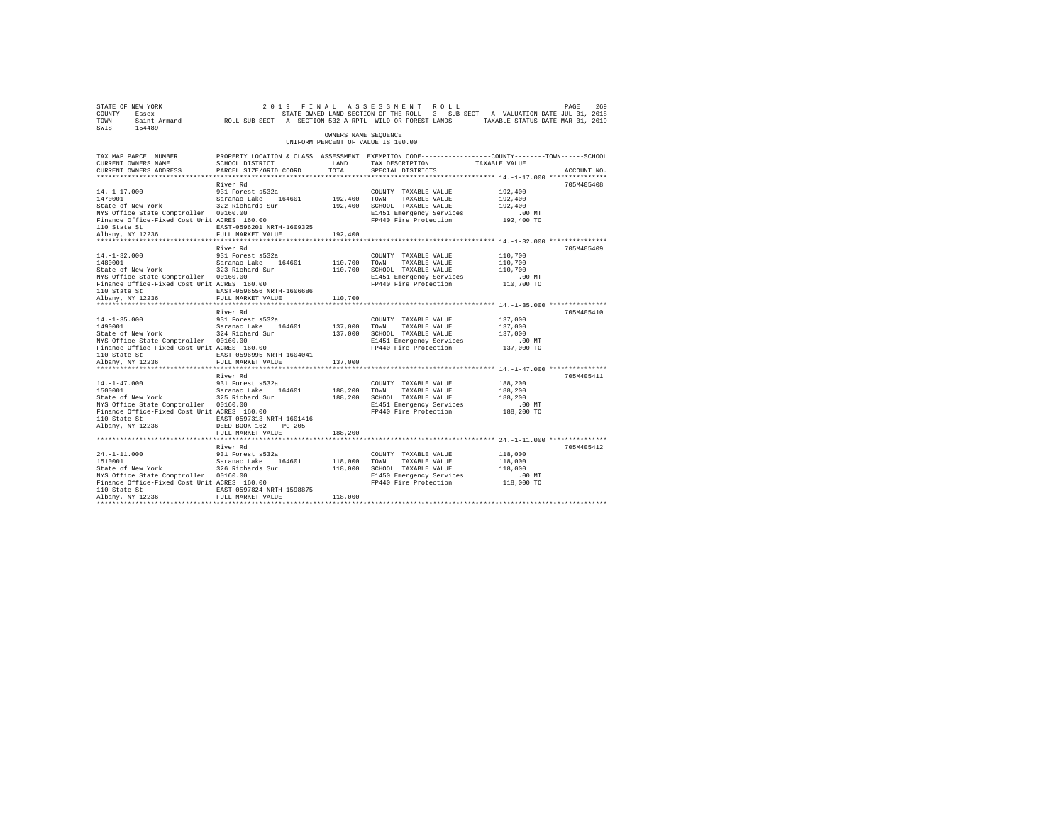| STATE OF NEW YORK<br>COUNTY - Essex<br>TOWN<br>$-154489$<br>SWIS                                                                                                               | - Saint Armand MCLL SUB-SECT - A- SECTION 532-A RPTL WILD OR FOREST LANDS                                                                           |                               | 2019 FINAL ASSESSMENT ROLL<br>STATE OWNED LAND SECTION OF THE ROLL - 3 SUB-SECT - A VALUATION DATE-JUL 01, 2018                         | TAXABLE STATUS DATE-MAR 01, 2019                       | PAGE<br>269 |
|--------------------------------------------------------------------------------------------------------------------------------------------------------------------------------|-----------------------------------------------------------------------------------------------------------------------------------------------------|-------------------------------|-----------------------------------------------------------------------------------------------------------------------------------------|--------------------------------------------------------|-------------|
|                                                                                                                                                                                |                                                                                                                                                     | OWNERS NAME SEOUENCE          | UNIFORM PERCENT OF VALUE IS 100.00                                                                                                      |                                                        |             |
| TAX MAP PARCEL NUMBER<br>CURRENT OWNERS NAME<br>CURRENT OWNERS ADDRESS                                                                                                         | SCHOOL DISTRICT<br>PARCEL SIZE/GRID COORD                                                                                                           | LAND<br>TOTAL.                | PROPERTY LOCATION & CLASS ASSESSMENT EXEMPTION CODE----------------COUNTY-------TOWN-----SCHOOL<br>TAX DESCRIPTION<br>SPECIAL DISTRICTS | TAXABLE VALUE                                          | ACCOUNT NO. |
|                                                                                                                                                                                | River Rd                                                                                                                                            |                               |                                                                                                                                         |                                                        | 705M405408  |
| $14. -1 - 17.000$<br>1470001<br>State of New York<br>NYS Office State Comptroller 00160.00<br>Finance Office-Fixed Cost Unit ACRES 160.00                                      | 931 Forest s532a<br>Saranac Lake 164601<br>322 Richards Sur                                                                                         | 192,400<br>192,400            | COUNTY TAXABLE VALUE<br>TOWN<br>TAXABLE VALUE<br>SCHOOL TAXABLE VALUE<br>E1451 Emergency Services<br>FP440 Fire Protection              | 192,400<br>192,400<br>192,400<br>.00 MT<br>192,400 TO  |             |
| 110 State St                                                                                                                                                                   | EAST-0596201 NRTH-1609325                                                                                                                           |                               |                                                                                                                                         |                                                        |             |
| Albany, NY 12236                                                                                                                                                               | FULL MARKET VALUE<br>River Rd                                                                                                                       | 192,400                       |                                                                                                                                         |                                                        | 705M405409  |
| $14. - 1 - 32.000$<br>1480001<br>State of New York<br>NYS Office State Comptroller 00160.00<br>Finance Office-Fixed Cost Unit ACRES 160.00<br>110 State St                     | 931 Forest s532a<br>Saranac Lake 164601<br>323 Richard Sur<br>EAST-0596556 NRTH-1606686                                                             | 110,700<br>110,700            | COUNTY TAXABLE VALUE<br>TOWN<br>TAXABLE VALUE<br>SCHOOL TAXABLE VALUE<br>E1451 Emergency Services<br>FP440 Fire Protection              | 110,700<br>110,700<br>110,700<br>.00MT<br>110,700 TO   |             |
| Albany, NY 12236                                                                                                                                                               | FULL MARKET VALUE                                                                                                                                   | 110,700                       |                                                                                                                                         |                                                        |             |
| *********************                                                                                                                                                          | ***********************<br>River Rd                                                                                                                 | ***********                   |                                                                                                                                         | ************************* 14.-1-35.000 *************** | 705M405410  |
| $14. -1 - 35.000$<br>1490001<br>State of New York<br>NYS Office State Comptroller 00160.00<br>Finance Office-Fixed Cost Unit ACRES 160.00<br>110 State St<br>Albany, NY 12236  | 931 Forest s532a<br>Saranac Lake<br>164601<br>324 Richard Sur<br>EAST-0596995 NRTH-1604041<br>FULL MARKET VALUE                                     | 137,000<br>137,000<br>137,000 | COUNTY TAXABLE VALUE<br>TOWN<br>TAXABLE VALUE<br>SCHOOL TAXABLE VALUE<br>E1451 Emergency Services<br>FP440 Fire Protection              | 137,000<br>137,000<br>137,000<br>.00MT<br>137,000 TO   |             |
|                                                                                                                                                                                | *********************                                                                                                                               | *********                     | ************************************ 14.-1-47.000 ***************                                                                       |                                                        |             |
| $14. - 1 - 47.000$<br>1500001<br>State of New York<br>NYS Office State Comptroller 00160.00<br>Finance Office-Fixed Cost Unit ACRES 160.00<br>110 State St<br>Albany, NY 12236 | River Rd<br>931 Forest s532a<br>Saranac Lake<br>164601<br>325 Richard Sur<br>EAST-0597313 NRTH-1601416<br>DEED BOOK 162 PG-205<br>FULL MARKET VALUE | 188,200<br>188,200<br>188,200 | COUNTY TAXABLE VALUE<br>TOWN<br>TAXABLE VALUE<br>SCHOOL TAXABLE VALUE<br>E1451 Emergency Services<br>FP440 Fire Protection              | 188,200<br>188,200<br>188,200<br>.00 MT<br>188,200 TO  | 705M405411  |
|                                                                                                                                                                                |                                                                                                                                                     |                               |                                                                                                                                         |                                                        |             |
| $24. -1 - 11.000$<br>1510001<br>State of New York<br>NYS Office State Comptroller 00160.00<br>Finance Office-Fixed Cost Unit ACRES 160.00<br>110 State St<br>Albany, NY 12236  | River Rd<br>931 Forest s532a<br>Saranac Lake<br>164601<br>326 Richards Sur<br>EAST-0597824 NRTH-1598875<br>FULL MARKET VALUE                        | 118,000<br>118,000            | COUNTY TAXABLE VALUE<br>TOWN<br>TAXABLE VALUE<br>118,000 SCHOOL TAXABLE VALUE<br>E1450 Emergency Services<br>FP440 Fire Protection      | 118,000<br>118,000<br>118,000<br>.00 MT<br>118,000 TO  | 705M405412  |
|                                                                                                                                                                                |                                                                                                                                                     |                               |                                                                                                                                         |                                                        |             |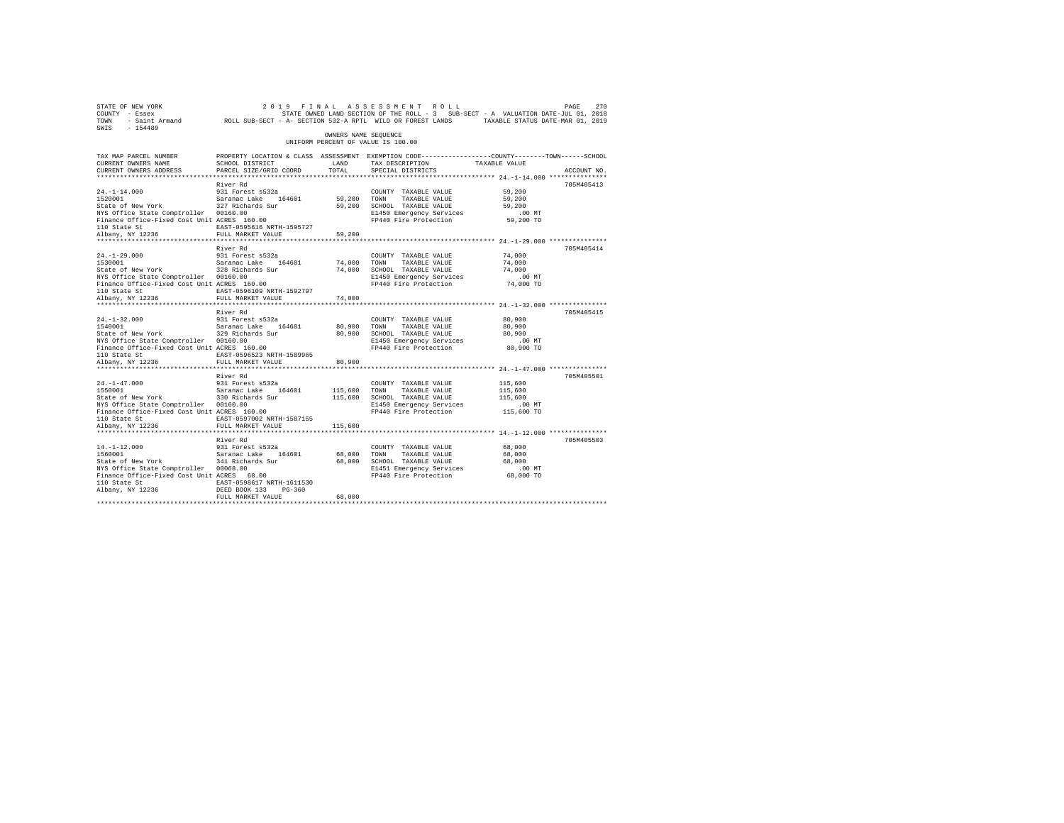| STATE OF NEW YORK<br>COUNTY - Essex<br>TOWN<br>SWIS<br>$-154489$ | - Saint Armand MOLL SUB-SECT - A- SECTION 532-A RPTL WILD OR FOREST LANDS |                      | 2019 FINAL ASSESSMENT<br>ROLL<br>STATE OWNED LAND SECTION OF THE ROLL - 3 SUB-SECT - A VALUATION DATE-JUL 01, 2018 | TAXABLE STATUS DATE-MAR 01, 2019 | PAGE<br>270 |
|------------------------------------------------------------------|---------------------------------------------------------------------------|----------------------|--------------------------------------------------------------------------------------------------------------------|----------------------------------|-------------|
|                                                                  |                                                                           | OWNERS NAME SEQUENCE | UNIFORM PERCENT OF VALUE IS 100.00                                                                                 |                                  |             |
| TAX MAP PARCEL NUMBER                                            |                                                                           |                      | PROPERTY LOCATION & CLASS ASSESSMENT EXEMPTION CODE---------------COUNTY-------TOWN-----SCHOOL                     |                                  |             |
| CURRENT OWNERS NAME                                              | SCHOOL DISTRICT                                                           | LAND<br>TOTAL        | TAX DESCRIPTION                                                                                                    | TAXABLE VALUE                    |             |
| CURRENT OWNERS ADDRESS                                           | PARCEL SIZE/GRID COORD                                                    |                      | SPECIAL DISTRICTS                                                                                                  |                                  | ACCOUNT NO. |
|                                                                  | River Rd                                                                  |                      |                                                                                                                    |                                  | 705M405413  |
| $24. -1 - 14.000$                                                | 931 Forest s532a                                                          |                      | COUNTY TAXABLE VALUE                                                                                               | 59,200                           |             |
| 1520001                                                          | Saranac Lake 164601                                                       | 59,200               | TOWN<br>TAXABLE VALUE                                                                                              | 59,200                           |             |
| State of New York                                                | 327 Richards Sur                                                          | 59,200               | SCHOOL TAXABLE VALUE                                                                                               | 59,200                           |             |
| NYS Office State Comptroller 00160.00                            |                                                                           |                      | E1450 Emergency Services                                                                                           | .00MT                            |             |
| Finance Office-Fixed Cost Unit ACRES 160.00                      |                                                                           |                      | FP440 Fire Protection                                                                                              | 59,200 TO                        |             |
| 110 State St                                                     | EAST-0595616 NRTH-1595727                                                 |                      |                                                                                                                    |                                  |             |
| Albany, NY 12236                                                 | FULL MARKET VALUE                                                         | 59,200               |                                                                                                                    |                                  |             |
|                                                                  | River Rd                                                                  |                      |                                                                                                                    |                                  | 705M405414  |
| $24. -1 - 29.000$                                                | 931 Forest s532a                                                          |                      | COUNTY TAXABLE VALUE                                                                                               | 74,000                           |             |
| 1530001                                                          | Saranac Lake 164601                                                       | 74,000               | TOWN<br>TAXABLE VALUE                                                                                              | 74,000                           |             |
| State of New York                                                | 328 Richards Sur                                                          | 74,000               | SCHOOL TAXABLE VALUE                                                                                               | 74,000                           |             |
| NYS Office State Comptroller 00160.00                            |                                                                           |                      | E1450 Emergency Services                                                                                           | $.00$ $MT$                       |             |
| Finance Office-Fixed Cost Unit ACRES 160.00                      |                                                                           |                      | FP440 Fire Protection                                                                                              | 74,000 TO                        |             |
| 110 State St                                                     | EAST-0596109 NRTH-1592797                                                 |                      |                                                                                                                    |                                  |             |
| Albany, NY 12236                                                 | FULL MARKET VALUE                                                         | 74,000               |                                                                                                                    |                                  |             |
| ***********************                                          | ************************                                                  |                      |                                                                                                                    |                                  |             |
|                                                                  | River Rd                                                                  |                      |                                                                                                                    |                                  | 705M405415  |
| $24. -1 - 32.000$<br>1540001                                     | 931 Forest s532a<br>Saranac Lake<br>164601                                | 80,900               | COUNTY TAXABLE VALUE<br>TOWN<br>TAXABLE VALUE                                                                      | 80,900<br>80,900                 |             |
| State of New York                                                | 329 Richards Sur                                                          | 80,900               | SCHOOL TAXABLE VALUE                                                                                               | 80,900                           |             |
| NYS Office State Comptroller 00160.00                            |                                                                           |                      | E1450 Emergency Services                                                                                           | .00 MT                           |             |
| Finance Office-Fixed Cost Unit ACRES 160.00                      |                                                                           |                      | FP440 Fire Protection                                                                                              | 80,900 TO                        |             |
| 110 State St                                                     | EAST-0596523 NRTH-1589965                                                 |                      |                                                                                                                    |                                  |             |
| Albany, NY 12236                                                 | FULL MARKET VALUE                                                         | 80,900               |                                                                                                                    |                                  |             |
| *************************                                        | *************************                                                 | **********           |                                                                                                                    |                                  |             |
|                                                                  | River Rd                                                                  |                      |                                                                                                                    |                                  | 705M405501  |
| $24. -1 - 47.000$                                                | 931 Forest s532a                                                          |                      | COUNTY TAXABLE VALUE                                                                                               | 115,600                          |             |
| 1550001<br>State of New York                                     | Saranac Lake<br>164601                                                    | 115,600<br>115,600   | TOWN<br>TAXABLE VALUE                                                                                              | 115,600<br>115,600               |             |
| NYS Office State Comptroller                                     | 330 Richards Sur<br>00160.00                                              |                      | SCHOOL TAXABLE VALUE<br>E1450 Emergency Services                                                                   | $.00$ MT                         |             |
| Finance Office-Fixed Cost Unit ACRES 160.00                      |                                                                           |                      | FP440 Fire Protection                                                                                              | 115,600 TO                       |             |
| 110 State St                                                     | EAST-0597002 NRTH-1587155                                                 |                      |                                                                                                                    |                                  |             |
| Albany, NY 12236                                                 | FULL MARKET VALUE                                                         | 115,600              |                                                                                                                    |                                  |             |
|                                                                  |                                                                           |                      |                                                                                                                    |                                  |             |
|                                                                  | River Rd                                                                  |                      |                                                                                                                    |                                  | 705M405503  |
| $14. -1 - 12.000$                                                | 931 Forest s532a                                                          |                      | COUNTY TAXABLE VALUE                                                                                               | 68,000                           |             |
| 1560001                                                          | Saranac Lake<br>164601                                                    | 68,000               | TOWN<br>TAXABLE VALUE                                                                                              | 68,000                           |             |
| State of New York                                                | 341 Richards Sur                                                          | 68,000               | SCHOOL TAXABLE VALUE                                                                                               | 68,000                           |             |
| NYS Office State Comptroller 00068.00                            |                                                                           |                      | E1451 Emergency Services                                                                                           | .00MT                            |             |
| Finance Office-Fixed Cost Unit ACRES 68.00<br>110 State St       | EAST-0598617 NRTH-1611530                                                 |                      | FP440 Fire Protection                                                                                              | 68,000 TO                        |             |
| Albany, NY 12236                                                 | DEED BOOK 133<br>$PG-360$                                                 |                      |                                                                                                                    |                                  |             |
|                                                                  | FULL MARKET VALUE                                                         | 68,000               |                                                                                                                    |                                  |             |
|                                                                  |                                                                           |                      |                                                                                                                    |                                  |             |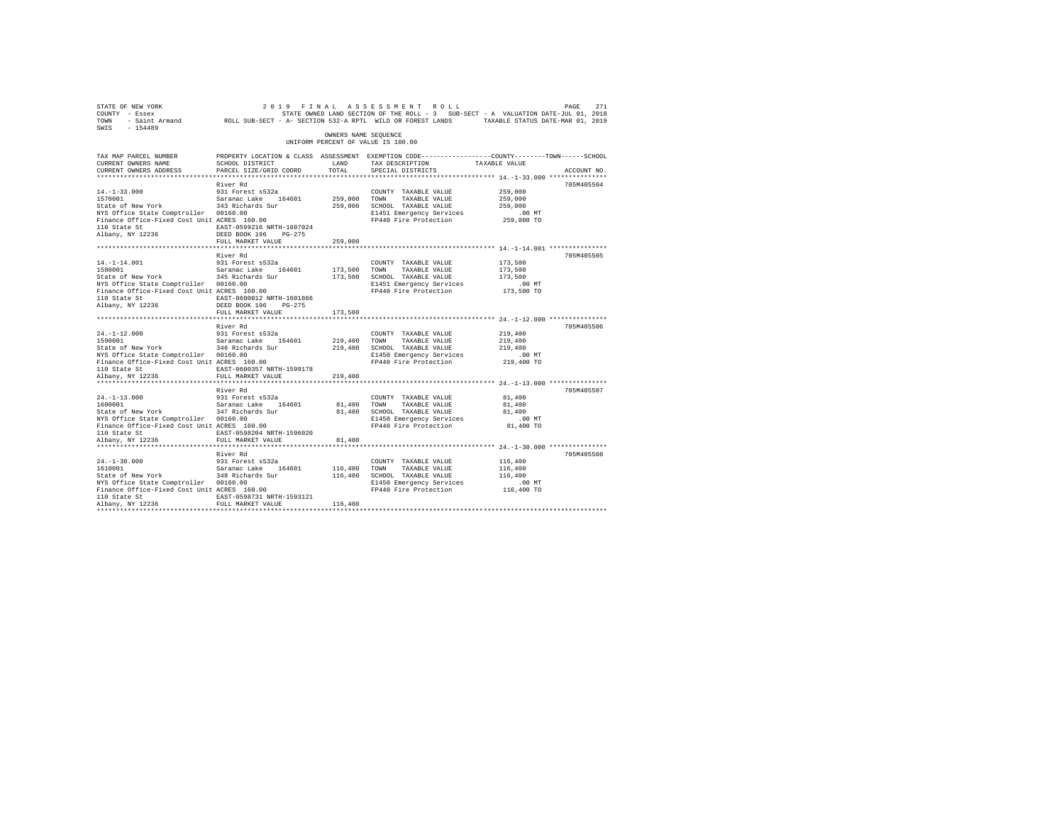| STATE OF NEW YORK<br>COUNTY - Essex<br>TOWN<br>SWIS<br>$-154489$                | - Saint Armand ROLL SUB-SECT - A- SECTION 532-A RPTL WILD OR FOREST LANDS TAXABLE STATUS DATE-MAR 01, 2019                                     |                        | 2019 FINAL ASSESSMENT ROLL<br>STATE OWNED LAND SECTION OF THE ROLL - 3 SUB-SECT - A VALUATION DATE-JUL 01, 2018 |               | 271<br>PAGE |
|---------------------------------------------------------------------------------|------------------------------------------------------------------------------------------------------------------------------------------------|------------------------|-----------------------------------------------------------------------------------------------------------------|---------------|-------------|
|                                                                                 |                                                                                                                                                | OWNERS NAME SEOUENCE   | UNIFORM PERCENT OF VALUE IS 100.00                                                                              |               |             |
| TAX MAP PARCEL NUMBER<br>CURRENT OWNERS NAME<br>CURRENT OWNERS ADDRESS          | PROPERTY LOCATION & CLASS ASSESSMENT EXEMPTION CODE-----------------COUNTY-------TOWN------SCHOOL<br>SCHOOL DISTRICT<br>PARCEL SIZE/GRID COORD | LAND<br>TOTAL          | TAX DESCRIPTION<br>SPECIAL DISTRICTS                                                                            | TAXABLE VALUE | ACCOUNT NO. |
|                                                                                 | River Rd                                                                                                                                       |                        |                                                                                                                 |               | 705M405504  |
| $14. -1 - 33.000$                                                               | 931 Forest s532a                                                                                                                               |                        | COUNTY TAXABLE VALUE                                                                                            | 259,000       |             |
| 1570001                                                                         | Saranac Lake 164601                                                                                                                            | 259,000                | TOWN<br>TAXABLE VALUE                                                                                           | 259,000       |             |
| State of New York                                                               | 343 Richards Sur                                                                                                                               | 259,000                | SCHOOL TAXABLE VALUE                                                                                            | 259,000       |             |
| NYS Office State Comptroller 00160.00                                           |                                                                                                                                                |                        | E1451 Emergency Services                                                                                        | .00 MT        |             |
| Finance Office-Fixed Cost Unit ACRES 160.00<br>110 State St<br>Albany, NY 12236 | EAST-0599216 NRTH-1607024<br>DEED BOOK 196 PG-275                                                                                              |                        | FP440 Fire Protection                                                                                           | 259,000 TO    |             |
|                                                                                 | FULL MARKET VALUE                                                                                                                              | 259,000                |                                                                                                                 |               |             |
|                                                                                 | River Rd                                                                                                                                       |                        |                                                                                                                 |               | 705M405505  |
| $14. - 1 - 14.001$                                                              | 931 Forest s532a                                                                                                                               |                        | COUNTY TAXABLE VALUE                                                                                            | 173,500       |             |
| 1580001                                                                         | Saranac Lake 164601                                                                                                                            | 173,500                | TOWN<br>TAXABLE VALUE                                                                                           | 173,500       |             |
| State of New York                                                               | 345 Richards Sur                                                                                                                               |                        | 173,500 SCHOOL TAXABLE VALUE                                                                                    | 173,500       |             |
| NYS Office State Comptroller 00160.00                                           |                                                                                                                                                |                        | E1451 Emergency Services                                                                                        | $.00$ MT      |             |
| Finance Office-Fixed Cost Unit ACRES 160.00                                     |                                                                                                                                                |                        | FP440 Fire Protection                                                                                           | 173,500 TO    |             |
| 110 State St                                                                    | EAST-0600012 NRTH-1601866                                                                                                                      |                        |                                                                                                                 |               |             |
| Albany, NY 12236                                                                | DEED BOOK 196 PG-275                                                                                                                           |                        |                                                                                                                 |               |             |
|                                                                                 | FULL MARKET VALUE                                                                                                                              | 173,500                |                                                                                                                 |               |             |
|                                                                                 | River Rd                                                                                                                                       |                        |                                                                                                                 |               | 705M405506  |
| $24. -1 - 12.000$                                                               | 931 Forest s532a                                                                                                                               |                        | COUNTY TAXABLE VALUE                                                                                            | 219,400       |             |
| 1590001                                                                         | Saranac Lake 164601                                                                                                                            | 219,400                | TOWN<br>TAXABLE VALUE                                                                                           | 219,400       |             |
| State of New York                                                               | 346 Richards Sur                                                                                                                               | 219,400                | SCHOOL TAXABLE VALUE                                                                                            | 219,400       |             |
| NYS Office State Comptroller 00160.00                                           |                                                                                                                                                |                        | E1450 Emergency Services                                                                                        | $.00$ MT      |             |
| Finance Office-Fixed Cost Unit ACRES 160.00                                     |                                                                                                                                                |                        | FP440 Fire Protection                                                                                           | 219,400 TO    |             |
| 110 State St                                                                    | EAST-0600357 NRTH-1599178                                                                                                                      |                        |                                                                                                                 |               |             |
| Albany, NY 12236                                                                | FULL MARKET VALUE                                                                                                                              | 219,400                |                                                                                                                 |               |             |
|                                                                                 | River Rd                                                                                                                                       |                        |                                                                                                                 |               | 705M405507  |
| $24. -1 - 13.000$                                                               | 931 Forest s532a                                                                                                                               |                        | COUNTY TAXABLE VALUE                                                                                            | 81,400        |             |
| 1600001                                                                         | Saranac Lake 164601                                                                                                                            | 81,400                 | TOWN<br>TAXABLE VALUE                                                                                           | 81,400        |             |
| State of New York                                                               | 347 Richards Sur                                                                                                                               | 81,400                 | SCHOOL TAXABLE VALUE                                                                                            | 81,400        |             |
| NYS Office State Comptroller 00160.00                                           |                                                                                                                                                |                        | E1450 Emergency Services                                                                                        | $.00$ MT      |             |
| was sale comptroller 00160.00<br>Finance Office-Fixed Cost Unit ACRES 160.00    |                                                                                                                                                |                        | FP440 Fire Protection                                                                                           | 81,400 TO     |             |
| 110 State St                                                                    | EAST-0598204 NRTH-1596020                                                                                                                      |                        |                                                                                                                 |               |             |
| Albany, NY 12236                                                                | FULL MARKET VALUE                                                                                                                              | 81,400<br>************ | ******************************* 24.-1-30.000 ***************                                                    |               |             |
|                                                                                 | River Rd                                                                                                                                       |                        |                                                                                                                 |               | 705M405508  |
| $24. -1 - 30.000$                                                               | 931 Forest s532a                                                                                                                               |                        | COUNTY TAXABLE VALUE                                                                                            | 116,400       |             |
| 1610001                                                                         | Saranac Lake 164601                                                                                                                            | 116,400 TOWN           | TAXABLE VALUE                                                                                                   | 116,400       |             |
| State of New York                                                               | 348 Richards Sur                                                                                                                               | 116,400                | SCHOOL TAXABLE VALUE                                                                                            | 116,400       |             |
| NYS Office State Comptroller 00160.00                                           |                                                                                                                                                |                        | E1450 Emergency Services                                                                                        | $.00$ MT      |             |
| Finance Office-Fixed Cost Unit ACRES 160.00                                     |                                                                                                                                                |                        | FP440 Fire Protection                                                                                           | 116,400 TO    |             |
| 110 State St                                                                    | EAST-0598731 NRTH-1593121                                                                                                                      |                        |                                                                                                                 |               |             |
| Albany, NY 12236                                                                | FULL MARKET VALUE                                                                                                                              | 116,400                |                                                                                                                 |               |             |
|                                                                                 |                                                                                                                                                |                        |                                                                                                                 |               |             |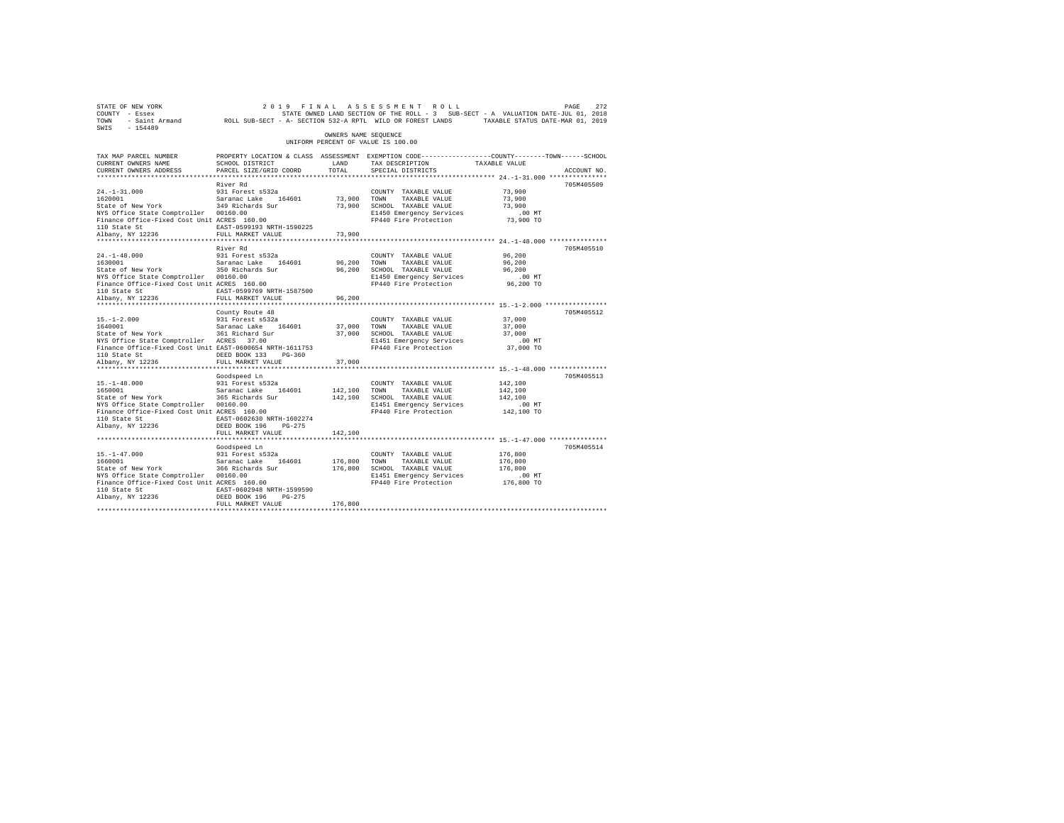| STATE OF NEW YORK<br>COUNTY - Essex<br>TOWN<br>SWIS<br>$-154489$                                                                                                                                                       | - Saint Armand ROLL SUB-SECT - A- SECTION 532-A RPTL WILD OR FOREST LANDS                                                                    |                       | 2019 FINAL ASSESSMENT ROLL<br>STATE OWNED LAND SECTION OF THE ROLL - 3 SUB-SECT - A VALUATION DATE-JUL 01, 2018                    | TAXABLE STATUS DATE-MAR 01, 2019                        | PAGE<br>272 |
|------------------------------------------------------------------------------------------------------------------------------------------------------------------------------------------------------------------------|----------------------------------------------------------------------------------------------------------------------------------------------|-----------------------|------------------------------------------------------------------------------------------------------------------------------------|---------------------------------------------------------|-------------|
|                                                                                                                                                                                                                        |                                                                                                                                              | OWNERS NAME SEOUENCE  | UNIFORM PERCENT OF VALUE IS 100.00                                                                                                 |                                                         |             |
| TAX MAP PARCEL NUMBER<br>CURRENT OWNERS NAME<br>CURRENT OWNERS ADDRESS                                                                                                                                                 | PROPERTY LOCATION & CLASS ASSESSMENT EXEMPTION CODE---------------COUNTY-------TOWN------SCHOOL<br>SCHOOL DISTRICT<br>PARCEL SIZE/GRID COORD | LAND<br>TOTAL         | TAX DESCRIPTION<br>SPECIAL DISTRICTS                                                                                               | TAXABLE VALUE                                           | ACCOUNT NO. |
| $24. -1 - 31.000$<br>1620001<br>State of New York<br>NYS Office State Comptroller 00160.00<br>Finance Office-Fixed Cost Unit ACRES 160.00<br>110 State St<br>Albany, NY 12236                                          | River Rd<br>931 Forest s532a<br>Saranac Lake 164601<br>349 Richards Sur<br>EAST-0599193 NRTH-1590225<br>FULL MARKET VALUE                    | 73,900 TOWN<br>73,900 | COUNTY TAXABLE VALUE<br>TAXABLE VALUE<br>73,900 SCHOOL TAXABLE VALUE<br>E1450 Emergency Services<br>FP440 Fire Protection          | 73,900<br>73,900<br>73,900<br>.00 MT<br>73,900 TO       | 705M405509  |
| *********************<br>$24. -1 - 48.000$                                                                                                                                                                             | River Rd<br>931 Forest s532a                                                                                                                 | *********             | COUNTY TAXABLE VALUE                                                                                                               | ************ 24.-1-48.000 ****************<br>96,200    | 705M405510  |
| 1630001<br>State of New York<br>NYS Office State Comptroller 00160.00<br>Finance Office-Fixed Cost Unit ACRES 160.00<br>110 State St<br>Albany, NY 12236                                                               | Saranac Lake 164601<br>350 Richards Sur<br>EAST-0599769 NRTH-1587500<br>FULL MARKET VALUE                                                    | 96,200<br>96,200      | TOWN<br>TAXABLE VALUE<br>96,200 SCHOOL TAXABLE VALUE<br>E1450 Emergency Services<br>FP440 Fire Protection                          | 96,200<br>96,200<br>$.00$ MT<br>96,200 TO               |             |
| $15. - 1 - 2.000$<br>1640001<br>State of New York<br>NYS Office State Comptroller ACRES 37.00<br>Finance Office-Fixed Cost Unit EAST-0600654 NRTH-1611753<br>110 State St<br>Albany, NY 12236<br>********************* | County Route 48<br>931 Forest s532a<br>Saranac Lake 164601<br>361 Richard Sur<br>DEED BOOK 133 PG-360<br>FULL MARKET VALUE                   | 37,000 TOWN<br>37,000 | COUNTY TAXABLE VALUE<br>TAXABLE VALUE<br>37,000 SCHOOL TAXABLE VALUE<br>E1451 Emergency Services<br>FP440 Fire Protection          | 37,000<br>37,000<br>37,000<br>$.00$ MT<br>37,000 TO     | 705M405512  |
|                                                                                                                                                                                                                        | Goodspeed Ln                                                                                                                                 |                       |                                                                                                                                    |                                                         | 705M405513  |
| $15. - 1 - 48.000$<br>1650001<br>State of New York<br>NYS Office State Comptroller 00160.00<br>Finance Office-Fixed Cost Unit ACRES 160.00<br>110 State St<br>Albany, NY 12236                                         | 931 Forest s532a<br>Saranac Lake 164601<br>365 Richards Sur<br>EAST-0602630 NRTH-1602274<br>DEED BOOK 196 PG-275                             | 142,100               | COUNTY TAXABLE VALUE<br>TOWN<br>TAXABLE VALUE<br>142,100 SCHOOL TAXABLE VALUE<br>E1451 Emergency Services<br>FP440 Fire Protection | 142,100<br>142,100<br>142,100<br>$.00$ MT<br>142,100 TO |             |
|                                                                                                                                                                                                                        | FULL MARKET VALUE<br>***************************                                                                                             | 142,100               |                                                                                                                                    |                                                         |             |
| $15. - 1 - 47.000$<br>1660001<br>State of New York<br>NYS Office State Comptroller 00160.00<br>Finance Office-Fixed Cost Unit ACRES 160.00<br>110 State St<br>Albany, NY 12236                                         | Goodspeed Ln<br>931 Forest s532a<br>Saranac Lake<br>164601<br>366 Richards Sur<br>EAST-0602948 NRTH-1599590<br>DEED BOOK 196 PG-275          | 176,800               | COUNTY TAXABLE VALUE<br>TAXABLE VALUE<br>TOWN<br>176,800 SCHOOL TAXABLE VALUE<br>E1451 Emergency Services<br>FP440 Fire Protection | 176,800<br>176,800<br>176,800<br>$.00$ MT<br>176,800 TO | 705M405514  |
|                                                                                                                                                                                                                        | FULL MARKET VALUE                                                                                                                            | 176,800               |                                                                                                                                    |                                                         |             |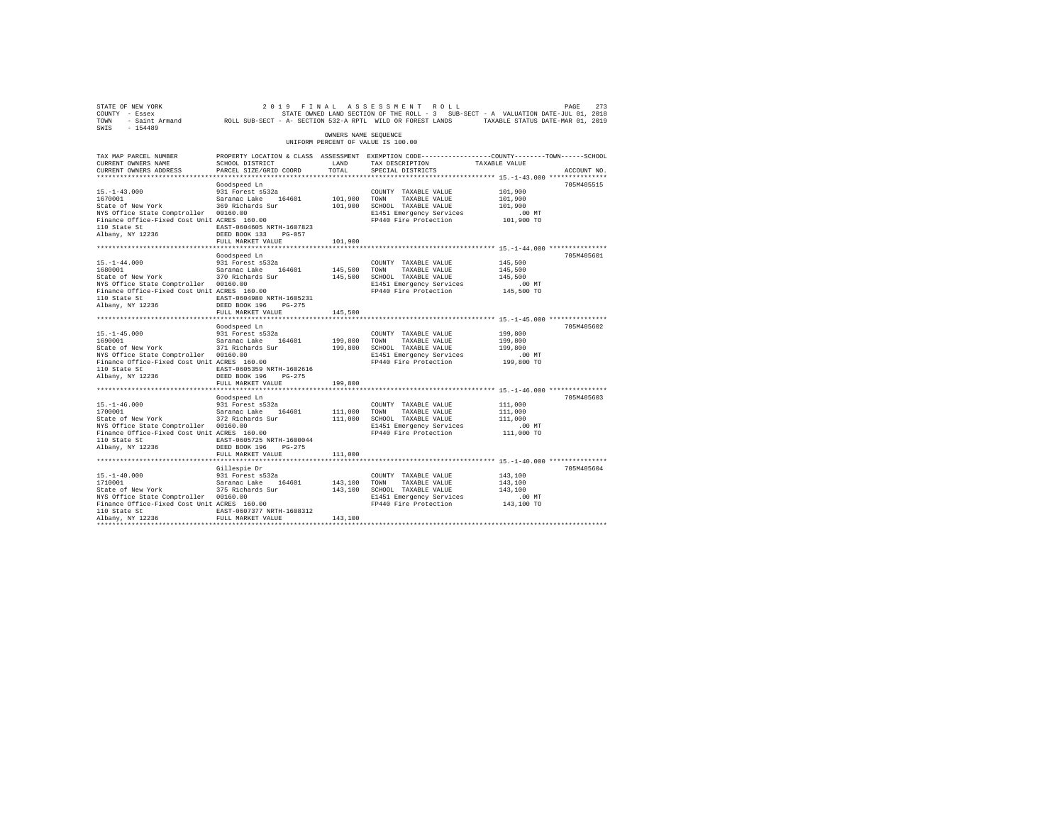| STATE OF NEW YORK<br>COUNTY - Essex<br>TOWN - Saint Armand - ROLL SUB-SECT - A- SECTION 532-A RPTL WILD OR FOREST LANDS - TAXABLE STATUS DATE-MAR 01, 2019 |                                                                                                  |                      | 2019 FINAL ASSESSMENT ROLL                        |                   | PAGE<br>273 |
|------------------------------------------------------------------------------------------------------------------------------------------------------------|--------------------------------------------------------------------------------------------------|----------------------|---------------------------------------------------|-------------------|-------------|
|                                                                                                                                                            |                                                                                                  |                      |                                                   |                   |             |
|                                                                                                                                                            |                                                                                                  | OWNERS NAME SEQUENCE | UNIFORM PERCENT OF VALUE IS 100.00                |                   |             |
| TAX MAP PARCEL NUMBER                                                                                                                                      | PROPERTY LOCATION & CLASS ASSESSMENT EXEMPTION CODE----------------COUNTY-------TOWN------SCHOOL |                      |                                                   |                   |             |
| CURRENT OWNERS NAME                                                                                                                                        | SCHOOL DISTRICT                                                                                  | LAND                 | TAX DESCRIPTION                                   | TAXABLE VALUE     |             |
| CURRENT OWNERS ADDRESS                                                                                                                                     | PARCEL SIZE/GRID COORD                                                                           | TOTAL                | SPECIAL DISTRICTS                                 |                   | ACCOUNT NO. |
|                                                                                                                                                            |                                                                                                  |                      |                                                   |                   |             |
|                                                                                                                                                            | Goodspeed Ln                                                                                     |                      |                                                   |                   | 705M405515  |
| $15. - 1 - 43.000$                                                                                                                                         | 931 Forest s532a                                                                                 |                      | COUNTY TAXABLE VALUE                              | 101,900           |             |
| 1670001                                                                                                                                                    | Saranac Lake 164601                                                                              | 101,900 TOWN         | TAXABLE VALUE                                     | 101,900           |             |
| State of New York 369 Richards Sur                                                                                                                         |                                                                                                  |                      | 101,900 SCHOOL TAXABLE VALUE                      | 101,900<br>.00 MT |             |
| NYS Office State Comptroller 00160.00<br>NYS Office State Comptroller 00160.00<br>Finance Office-Fixed Cost Unit ACRES 160.00                              |                                                                                                  |                      | E1451 Emergency Services<br>FP440 Fire Protection | 101,900 TO        |             |
| 110 State St  EAST-0604605 NRTH-1607823                                                                                                                    |                                                                                                  |                      |                                                   |                   |             |
| Albany, NY 12236                                                                                                                                           | DEED BOOK 133 PG-057                                                                             |                      |                                                   |                   |             |
|                                                                                                                                                            | FULL MARKET VALUE                                                                                | 101,900              |                                                   |                   |             |
|                                                                                                                                                            |                                                                                                  |                      |                                                   |                   |             |
|                                                                                                                                                            | Goodspeed Ln                                                                                     |                      |                                                   |                   | 705M405601  |
| $15. - 1 - 44.000$                                                                                                                                         | 931 Forest s532a                                                                                 |                      | COUNTY TAXABLE VALUE                              | 145,500           |             |
| 1680001 Saranac Lake 164601<br>State of New York 370 Richards Sur                                                                                          |                                                                                                  | 145,500 TOWN         | TAXABLE VALUE                                     | 145,500           |             |
|                                                                                                                                                            |                                                                                                  |                      | 145,500 SCHOOL TAXABLE VALUE                      | 145,500           |             |
| NYS Office State Comptroller 00160.00                                                                                                                      |                                                                                                  |                      | E1451 Emergency Services                          | $.00$ MT          |             |
| Finance Office-Fixed Cost Unit ACRES 160.00                                                                                                                |                                                                                                  |                      | FP440 Fire Protection                             | 145,500 TO        |             |
| 110 State St<br>Albany, NY 12236                                                                                                                           | EAST-0604980 NRTH-1605231                                                                        |                      |                                                   |                   |             |
|                                                                                                                                                            | DEED BOOK 196 PG-275                                                                             |                      |                                                   |                   |             |
|                                                                                                                                                            | FULL MARKET VALUE                                                                                | 145,500              |                                                   |                   |             |
|                                                                                                                                                            | Goodspeed Ln                                                                                     |                      |                                                   |                   | 705M405602  |
| $15. -1 - 45.000$                                                                                                                                          | 931 Forest s532a                                                                                 |                      | COUNTY TAXABLE VALUE                              | 199,800           |             |
|                                                                                                                                                            |                                                                                                  | 199,800 TOWN         | TAXABLE VALUE                                     | 199,800           |             |
| 1690001 Saranac Lake 164601<br>State of New York 371 Richards Sur                                                                                          |                                                                                                  |                      | 199,800 SCHOOL TAXABLE VALUE                      | 199,800           |             |
|                                                                                                                                                            |                                                                                                  |                      | E1451 Emergency Services                          | $.00$ MT          |             |
|                                                                                                                                                            |                                                                                                  |                      | FP440 Fire Protection                             | 199,800 TO        |             |
| 110 State St 6005359 NRTH-1602616                                                                                                                          |                                                                                                  |                      |                                                   |                   |             |
| Albany, NY 12236                                                                                                                                           | DEED BOOK 196 PG-275                                                                             |                      |                                                   |                   |             |
|                                                                                                                                                            | FULL MARKET VALUE                                                                                | 199,800              |                                                   |                   |             |
|                                                                                                                                                            |                                                                                                  |                      |                                                   |                   |             |
|                                                                                                                                                            | Goodspeed Ln                                                                                     |                      |                                                   |                   | 705M405603  |
|                                                                                                                                                            |                                                                                                  |                      | COUNTY TAXABLE VALUE                              | 111,000           |             |
| $15, -1-46.000$ 1700001<br>1700001 5131 527 5328 3428 5486 164601<br>172 Richards Sur                                                                      |                                                                                                  | 111,000              | TOWN<br>TAXABLE VALUE                             | 111,000           |             |
|                                                                                                                                                            |                                                                                                  |                      | 111,000 SCHOOL TAXABLE VALUE                      | 111,000<br>.00 MT |             |
| NYS Office State Comptroller 00160.00<br>Finance Office-Fixed Cost Unit ACRES 160.00                                                                       |                                                                                                  |                      | E1451 Emergency Services<br>FP440 Fire Protection | 111,000 TO        |             |
|                                                                                                                                                            | EAST-0605725 NRTH-1600044                                                                        |                      |                                                   |                   |             |
| 110 State St<br>Albany, NY 12236                                                                                                                           | DEED BOOK 196 PG-275                                                                             |                      |                                                   |                   |             |
|                                                                                                                                                            | FULL MARKET VALUE                                                                                | 111,000              |                                                   |                   |             |
|                                                                                                                                                            |                                                                                                  |                      |                                                   |                   |             |
|                                                                                                                                                            | Gillespie Dr                                                                                     |                      |                                                   |                   | 705M405604  |
| $15. - 1 - 40.000$                                                                                                                                         | 931 Forest s532a                                                                                 |                      | COUNTY TAXABLE VALUE                              | 143,100           |             |
| 1710001                                                                                                                                                    | Saranac Lake 164601                                                                              | 143,100 TOWN         | TAXABLE VALUE                                     | 143,100           |             |
| State of New York<br>NYS Office State Comptroller<br>NYS Office State Comptroller 00160.00<br>Finance Office-Fixed Cost Unit ACRES 160.00                  |                                                                                                  |                      | 143,100 SCHOOL TAXABLE VALUE                      | 143,100           |             |
|                                                                                                                                                            |                                                                                                  |                      | E1451 Emergency Services                          | $.00$ MT          |             |
|                                                                                                                                                            |                                                                                                  |                      | FP440 Fire Protection                             | 143,100 TO        |             |
| 110 State St                                                                                                                                               | EAST-0607377 NRTH-1608312                                                                        |                      |                                                   |                   |             |
| Albany, NY 12236                                                                                                                                           | FULL MARKET VALUE                                                                                | 143,100              |                                                   |                   |             |
|                                                                                                                                                            |                                                                                                  |                      |                                                   |                   |             |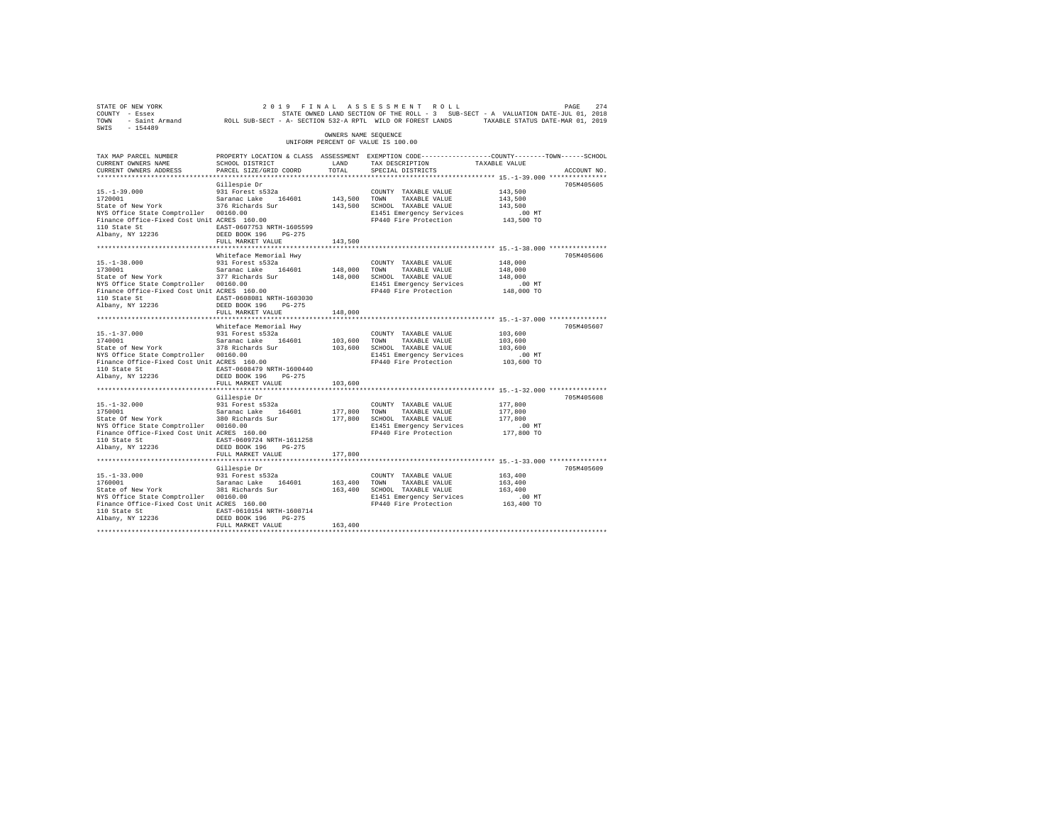| 2019 7 EXA A SSESSMENT ROLL PAGE 274 PAGE 274<br>COUNTY - Essex - SSEX STATE ON STATE NONED IAND SECTION OF THE ROLL - 3 SUB-SECT - A VALUATION DATE-JUL 01, 2018<br>2011 - TOWN - Saint Armand - ROLL SUB-SECT - A- SECTION 532-A R |                                                                                                                    |                      |                                                                 |                                                       |             |
|--------------------------------------------------------------------------------------------------------------------------------------------------------------------------------------------------------------------------------------|--------------------------------------------------------------------------------------------------------------------|----------------------|-----------------------------------------------------------------|-------------------------------------------------------|-------------|
| $-154489$<br>SWTS                                                                                                                                                                                                                    |                                                                                                                    | OWNERS NAME SEOUENCE |                                                                 |                                                       |             |
|                                                                                                                                                                                                                                      |                                                                                                                    |                      | UNIFORM PERCENT OF VALUE IS 100.00                              |                                                       |             |
| TAX MAP PARCEL NUMBER                                                                                                                                                                                                                | PROPERTY LOCATION & CLASS ASSESSMENT EXEMPTION CODE---------------COUNTY-------TOWN------SCHOOL<br>SCHOOL DISTRICT | LAND                 |                                                                 | TAXABLE VALUE                                         |             |
| CURRENT OWNERS NAME<br>CURRENT OWNERS ADDRESS                                                                                                                                                                                        | PARCEL SIZE/GRID COORD                                                                                             | TOTAL                | TAX DESCRIPTION<br>SPECIAL DISTRICTS                            |                                                       | ACCOUNT NO. |
|                                                                                                                                                                                                                                      |                                                                                                                    |                      |                                                                 | ************************ 15.-1-39.000 *************** |             |
| $15. - 1 - 39.000$                                                                                                                                                                                                                   | Gillespie Dr<br>931 Forest s532a                                                                                   |                      |                                                                 | 143,500                                               | 705M405605  |
|                                                                                                                                                                                                                                      |                                                                                                                    | 143,500 TOWN         | COUNTY TAXABLE VALUE<br>TAXABLE VALUE                           | 143,500                                               |             |
| 1720001 Saranac Lake 164601<br>State of New York 376 Richards Sur                                                                                                                                                                    |                                                                                                                    |                      | 143,500 SCHOOL TAXABLE VALUE                                    | 143,500                                               |             |
| NYS Office State Comptroller 00160.00                                                                                                                                                                                                |                                                                                                                    |                      | E1451 Emergency Services                                        | $.00$ MT                                              |             |
| Finance Office-Fixed Cost Unit ACRES 160.00                                                                                                                                                                                          |                                                                                                                    |                      | FP440 Fire Protection                                           | 143,500 TO                                            |             |
| 110 State St                                                                                                                                                                                                                         | EAST-0607753 NRTH-1605599                                                                                          |                      |                                                                 |                                                       |             |
| Albany, NY 12236                                                                                                                                                                                                                     | DEED BOOK 196    PG-275<br>FULL MARKET VALUE                                                                       | 143,500              |                                                                 |                                                       |             |
|                                                                                                                                                                                                                                      |                                                                                                                    |                      |                                                                 |                                                       |             |
|                                                                                                                                                                                                                                      | Whiteface Memorial Hwy                                                                                             |                      |                                                                 |                                                       | 705M405606  |
| $15. - 1 - 38.000$                                                                                                                                                                                                                   | 931 Forest s532a                                                                                                   |                      | COUNTY TAXABLE VALUE                                            | 148,000                                               |             |
| 1730001                                                                                                                                                                                                                              | Saranac Lake 164601                                                                                                | 148,000 TOWN         | TAXABLE VALUE                                                   | 148,000                                               |             |
| State of New York                                                                                                                                                                                                                    | 377 Richards Sur                                                                                                   |                      | 148,000 SCHOOL TAXABLE VALUE                                    | 148,000                                               |             |
|                                                                                                                                                                                                                                      |                                                                                                                    |                      | E1451 Emergency Services                                        | .00 MT                                                |             |
|                                                                                                                                                                                                                                      |                                                                                                                    |                      | FP440 Fire Protection                                           | 148,000 TO                                            |             |
| 110 State St 608081 NRTH-1603030<br>Albany, NY 12236                                                                                                                                                                                 | DEED BOOK 196 PG-275                                                                                               |                      |                                                                 |                                                       |             |
|                                                                                                                                                                                                                                      | FULL MARKET VALUE                                                                                                  | 148,000              |                                                                 |                                                       |             |
|                                                                                                                                                                                                                                      |                                                                                                                    |                      |                                                                 |                                                       |             |
|                                                                                                                                                                                                                                      | Whiteface Memorial Hwy                                                                                             |                      |                                                                 |                                                       | 705M405607  |
| $15. - 1 - 37.000$                                                                                                                                                                                                                   | 931 Forest s532a                                                                                                   |                      | COUNTY TAXABLE VALUE                                            | 103,600                                               |             |
| 1740001                                                                                                                                                                                                                              | Saranac Lake 164601                                                                                                | 103,600              | TAXABLE VALUE<br>TOWN                                           | 103,600                                               |             |
| State of New York                                                                                                                                                                                                                    | 378 Richards Sur                                                                                                   |                      | 103,600 SCHOOL TAXABLE VALUE                                    | 103,600                                               |             |
| NYS Office State Comptroller 00160.00<br>Finance Office-Fixed Cost Unit ACRES 160.00                                                                                                                                                 |                                                                                                                    |                      | E1451 Emergency Services<br>FP440 Fire Protection               | $.00$ MT<br>103,600 TO                                |             |
| 110 State St 60847-0608479 NRTH-1600440                                                                                                                                                                                              |                                                                                                                    |                      |                                                                 |                                                       |             |
| Albany, NY 12236                                                                                                                                                                                                                     | DEED BOOK 196 PG-275                                                                                               |                      |                                                                 |                                                       |             |
|                                                                                                                                                                                                                                      | FULL MARKET VALUE                                                                                                  | 103,600              |                                                                 |                                                       |             |
|                                                                                                                                                                                                                                      | ************************                                                                                           |                      | ********************************** 15.-1-32.000 *************** |                                                       |             |
|                                                                                                                                                                                                                                      | Gillespie Dr                                                                                                       |                      |                                                                 |                                                       | 705M405608  |
| $15. - 1 - 32.000$                                                                                                                                                                                                                   | 931 Forest s532a                                                                                                   | 177,800 TOWN         | COUNTY TAXABLE VALUE<br>TAXABLE VALUE                           | 177,800<br>177,800                                    |             |
| 1750001 Saranac Lake 164601<br>State Of New York 380 Richards Sur                                                                                                                                                                    |                                                                                                                    |                      | 177,800 SCHOOL TAXABLE VALUE                                    | 177,800                                               |             |
| NYS Office State Comptroller 00160.00                                                                                                                                                                                                |                                                                                                                    |                      | E1451 Emergency Services                                        | $.00$ MT                                              |             |
| Finance Office-Fixed Cost Unit ACRES 160.00                                                                                                                                                                                          |                                                                                                                    |                      | FP440 Fire Protection                                           | 177,800 TO                                            |             |
| 110 State St                                                                                                                                                                                                                         | EAST-0609724 NRTH-1611258                                                                                          |                      |                                                                 |                                                       |             |
| Albany, NY 12236                                                                                                                                                                                                                     | DEED BOOK 196 PG-275                                                                                               |                      |                                                                 |                                                       |             |
|                                                                                                                                                                                                                                      | FULL MARKET VALUE                                                                                                  | 177,800              |                                                                 |                                                       |             |
|                                                                                                                                                                                                                                      |                                                                                                                    |                      |                                                                 |                                                       |             |
|                                                                                                                                                                                                                                      | Gillespie Dr<br>931 Forest s532a                                                                                   |                      | COUNTY TAXABLE VALUE                                            | 163,400                                               | 705M405609  |
| $15. - 1 - 33.000$<br>1760001                                                                                                                                                                                                        | Saranac Lake 164601                                                                                                | 163,400 TOWN         | TAXABLE VALUE                                                   | 163,400                                               |             |
| State of New York                                                                                                                                                                                                                    | 381 Richards Sur<br>00160.00                                                                                       |                      | 163,400 SCHOOL TAXABLE VALUE                                    | 163,400                                               |             |
| NYS Office State Comptroller 00160.00                                                                                                                                                                                                |                                                                                                                    |                      | E1451 Emergency Services                                        | $.00$ MT                                              |             |
| Finance Office-Fixed Cost Unit ACRES 160.00                                                                                                                                                                                          |                                                                                                                    |                      | FP440 Fire Protection                                           | 163,400 TO                                            |             |
| 110 State St EAST-0610154 NRTH-1608714                                                                                                                                                                                               |                                                                                                                    |                      |                                                                 |                                                       |             |
| Albany, NY 12236                                                                                                                                                                                                                     | DEED BOOK 196 PG-275<br>FULL MARKET VALUE                                                                          | 163,400              |                                                                 |                                                       |             |
|                                                                                                                                                                                                                                      |                                                                                                                    |                      |                                                                 |                                                       |             |
|                                                                                                                                                                                                                                      |                                                                                                                    |                      |                                                                 |                                                       |             |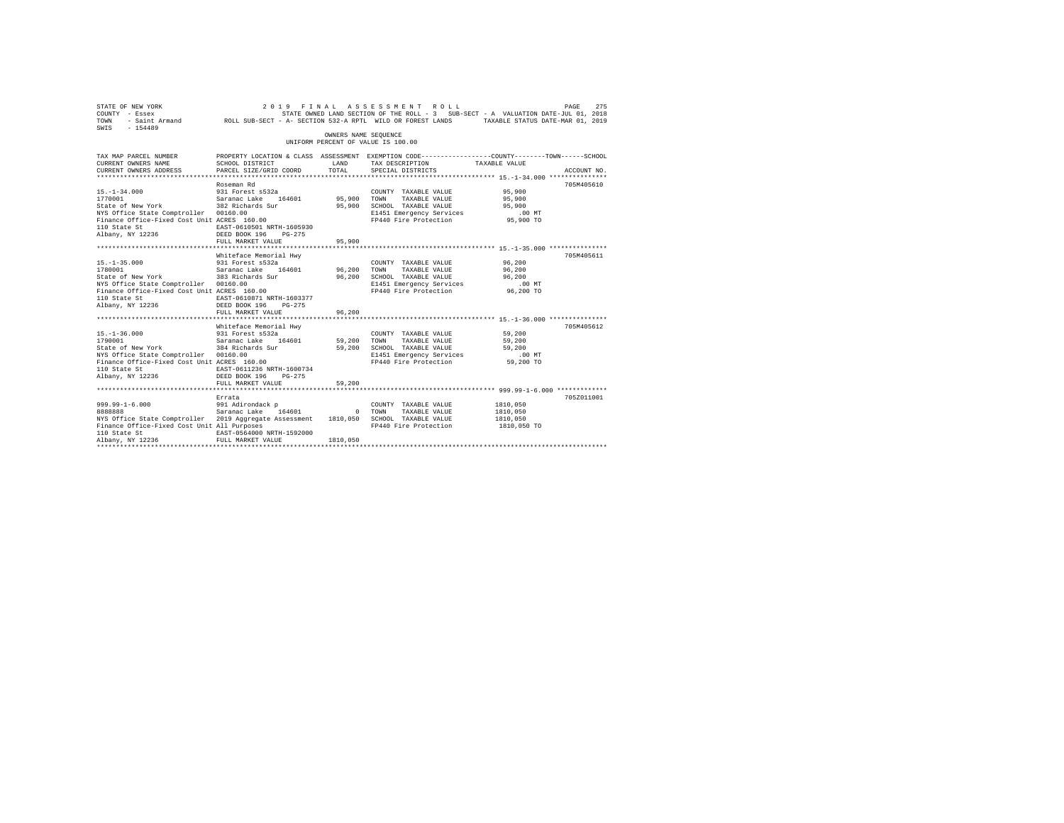| STATE OF NEW YORK<br>COUNTY - Essex<br>SWIS - 154489                                                                                                                                                                                                                               |                                                                                                                                             |                       | 2019 FINAL ASSESSMENT ROLL<br>STATE OWNED LAND SECTION OF THE ROLL - 3 SUB-SECT - A VALUATION DATE-JUL 01, 2018                     |                                                     | PAGE<br>275 |
|------------------------------------------------------------------------------------------------------------------------------------------------------------------------------------------------------------------------------------------------------------------------------------|---------------------------------------------------------------------------------------------------------------------------------------------|-----------------------|-------------------------------------------------------------------------------------------------------------------------------------|-----------------------------------------------------|-------------|
|                                                                                                                                                                                                                                                                                    |                                                                                                                                             | OWNERS NAME SEQUENCE  | UNIFORM PERCENT OF VALUE IS 100.00                                                                                                  |                                                     |             |
| TAX MAP PARCEL NUMBER<br>CURRENT OWNERS NAME<br>CURRENT OWNERS ADDRESS PARCEL SIZE/GRID COORD                                                                                                                                                                                      | PROPERTY LOCATION & CLASS ASSESSMENT EXEMPTION CODE---------------COUNTY-------TOWN------SCHOOL<br>SCHOOL DISTRICT                          | LAND<br>TOTAL         | TAX DESCRIPTION<br>SPECIAL DISTRICTS                                                                                                | TAXABLE VALUE                                       | ACCOUNT NO. |
| $15. - 1 - 34.000$<br>1770001<br>State of New York 382 Richards Sur<br>NYS Office State Comptroller 00160.00<br>Finance Office-Fixed Cost Unit ACRES 160.00<br>110 State St<br>Albany, NY 12236 DEED BOOK 196                                                                      | Roseman Rd<br>931 Forest s532a<br>Saranac Lake 164601<br>EAST-0610501 NRTH-1605930<br>$PG-275$<br>FULL MARKET VALUE                         | 95,900 TOWN<br>95,900 | COUNTY TAXABLE VALUE<br>TAXABLE VALUE<br>95,900 SCHOOL TAXABLE VALUE<br>E1451 Emergency Services<br>FP440 Fire Protection 95,900 TO | 95,900<br>95,900<br>95,900<br>.00 MT                | 705M405610  |
|                                                                                                                                                                                                                                                                                    |                                                                                                                                             |                       |                                                                                                                                     |                                                     |             |
| $15. - 1 - 35.000$<br>1780001<br>State of New York 383 Richards Sur<br>NYS Office State Comptroller 00160.00<br>Finance Office-Fixed Cost Unit ACRES 160.00<br>110 State St<br>Albany, NY 12236                                                                                    | Whiteface Memorial Hwy<br>931 Forest s532a<br>Saranac Lake 164601<br>EAST-0610871 NRTH-1603377<br>DEED BOOK 196 PG-275<br>FULL MARKET VALUE | 96.200 TOWN<br>96,200 | COUNTY TAXABLE VALUE 96,200<br>TAXABLE VALUE<br>96.200 SCHOOL TAXABLE VALUE<br>E1451 Emergency Services<br>FP440 Fire Protection    | 96,200<br>96,200<br>$.00$ MT<br>96,200 TO           | 705M405611  |
| $15. - 1 - 36.000$<br>1790001 Saranac Lake 164601<br>State of New York 384 Richards Sur<br>NYS Office State Comptroller 00160.00<br>Finance Office-Fixed Cost Unit ACRES 160.00<br>110 State St<br>Albany, NY 12236                                                                | Whiteface Memorial Hwy<br>931 Forest s532a<br>EAST-0611236 NRTH-1600734<br>DEED BOOK 196 PG-275<br>FULL MARKET VALUE                        | 59,200<br>59,200      | COUNTY TAXABLE VALUE<br>TOWN<br>TAXABLE VALUE<br>59,200 SCHOOL TAXABLE VALUE<br>E1451 Emergency Services<br>FP440 Fire Protection   | 59,200<br>59,200<br>59,200<br>$.00$ MT<br>59,200 TO | 705M405612  |
| 999.99-1-6.000 991 Adirondack p<br>8888888 - Saranac Lake 164601 0 TOWN 5Aranac Lake PORN 97XABLE VALUE<br>NYS Office State Comptroller 2019 Aggregate Assessment 1810,050 SCHOOL TAXABLE VALUE<br>Finance Office-Fixed Cost Unit All Purposes<br>110 State St<br>Albany, NY 12236 | Errata<br>EAST-0564000 NRTH-1592000<br>FULL MARKET VALUE                                                                                    | 1810,050              | FP440 Fire Protection                                                                                                               | 1810,050<br>1810,050<br>1810,050<br>1810,050 TO     | 705Z011001  |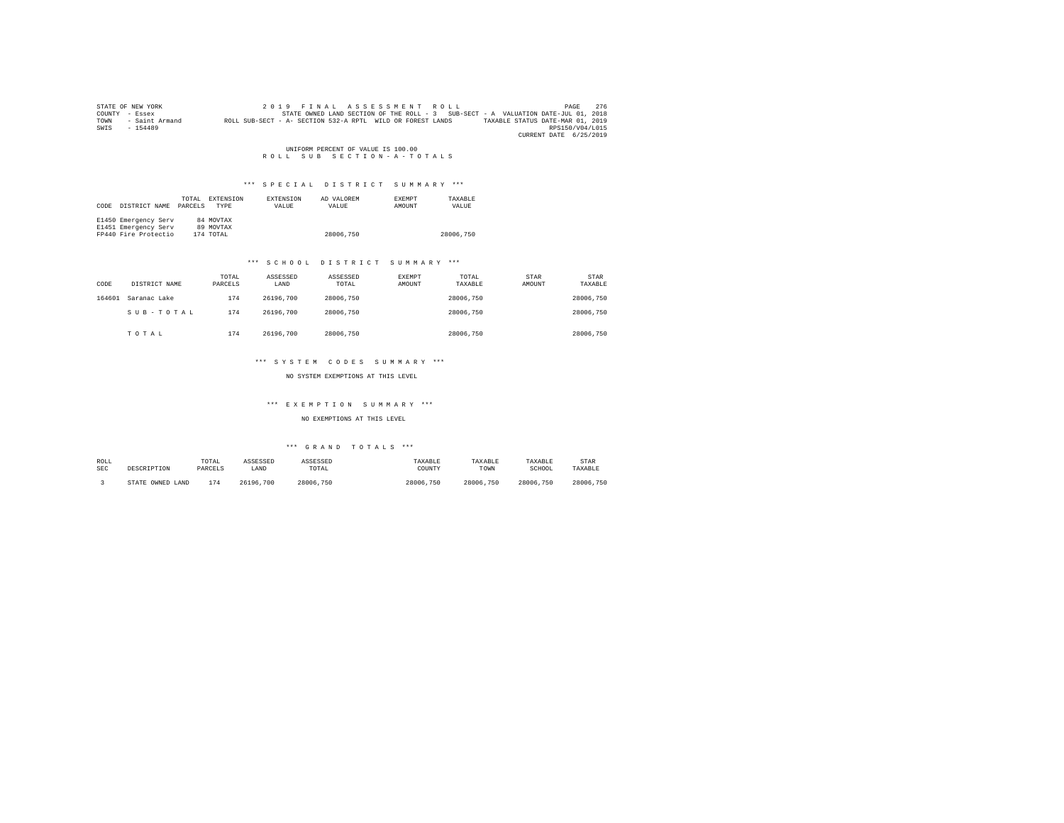|      | STATE OF NEW YORK | 2019 FINAL ASSESSMENT ROLL                                                                     | PAGE            | 276 |
|------|-------------------|------------------------------------------------------------------------------------------------|-----------------|-----|
|      | COUNTY - Essex    | STATE OWNED LAND SECTION OF THE ROLL - 3 SUB-SECT - A VALUATION DATE-JUL 01, 2018              |                 |     |
| TOWN | - Saint Armand    | ROLL SUB-SECT - A- SECTION 532-A RPTL WILD OR FOREST LANDS<br>TAXABLE STATUS DATE-MAR 01, 2019 |                 |     |
| SWIS | $-154489$         |                                                                                                | RPS150/V04/L015 |     |
|      |                   | CURRENT DATE 6/25/2019                                                                         |                 |     |

UNIFORM PERCENT OF VALUE IS 100.00<br>R O L L S U B S E C T I O N - A - T O T A L S

## \*\*\* S P E C I A L D I S T R I C T S U M M A R Y \*\*\*

| CODE | DISTRICT NAME        | TOTAL.<br>PARCELS | EXTENSION<br><b>TYPE</b> | <b>EXTENSION</b><br>VALUE | AD VALOREM<br>VALUE | <b>EXEMPT</b><br><b>AMOUNT</b> | TAXARLE<br>VALUE |
|------|----------------------|-------------------|--------------------------|---------------------------|---------------------|--------------------------------|------------------|
|      | E1450 Emergency Serv |                   | 84 MOVTAX                |                           |                     |                                |                  |
|      | E1451 Emergency Serv |                   | 89 MOVTAX                |                           |                     |                                |                  |
|      | FP440 Fire Protectio |                   | 174 TOTAL                |                           | 28006.750           |                                | 28006.750        |

## \*\*\* S C H O O L D I S T R I C T S U M M A R Y \*\*\*

| CODE   | DISTRICT NAME | TOTAL<br>PARCELS | ASSESSED<br>LAND | ASSESSED<br>TOTAL | EXEMPT<br>AMOUNT | TOTAL<br>TAXABLE | STAR<br>AMOUNT | STAR<br>TAXABLE |
|--------|---------------|------------------|------------------|-------------------|------------------|------------------|----------------|-----------------|
| 164601 | Saranac Lake  | 174              | 26196.700        | 28006.750         |                  | 28006.750        |                | 28006.750       |
|        | SUB-TOTAL     | 174              | 26196.700        | 28006.750         |                  | 28006.750        |                | 28006.750       |
|        | TOTAL         | 174              | 26196.700        | 28006.750         |                  | 28006.750        |                | 28006.750       |

## \*\*\* S Y S T E M C O D E S S U M M A R Y \*\*\*

## NO SYSTEM EXEMPTIONS AT THIS LEVEL

## \*\*\* E X E M P T I O N S U M M A R Y \*\*\*

## NO EXEMPTIONS AT THIS LEVEL

| ROLL       | DESCRIPTION      | TOTAL   | ASSESSED  | ASSESSED  | TAXABLE   | TAXABLE   | TAXABLE   | STAR      |
|------------|------------------|---------|-----------|-----------|-----------|-----------|-----------|-----------|
| <b>SEC</b> |                  | PARCELS | LAND      | TOTAL     | COUNTY    | TOWN      | SCHOOL    | TAXABLE   |
|            | STATE OWNED LAND | 174     | 26196.700 | 28006.750 | 28006.750 | 28006.750 | 28006.750 | 28006.750 |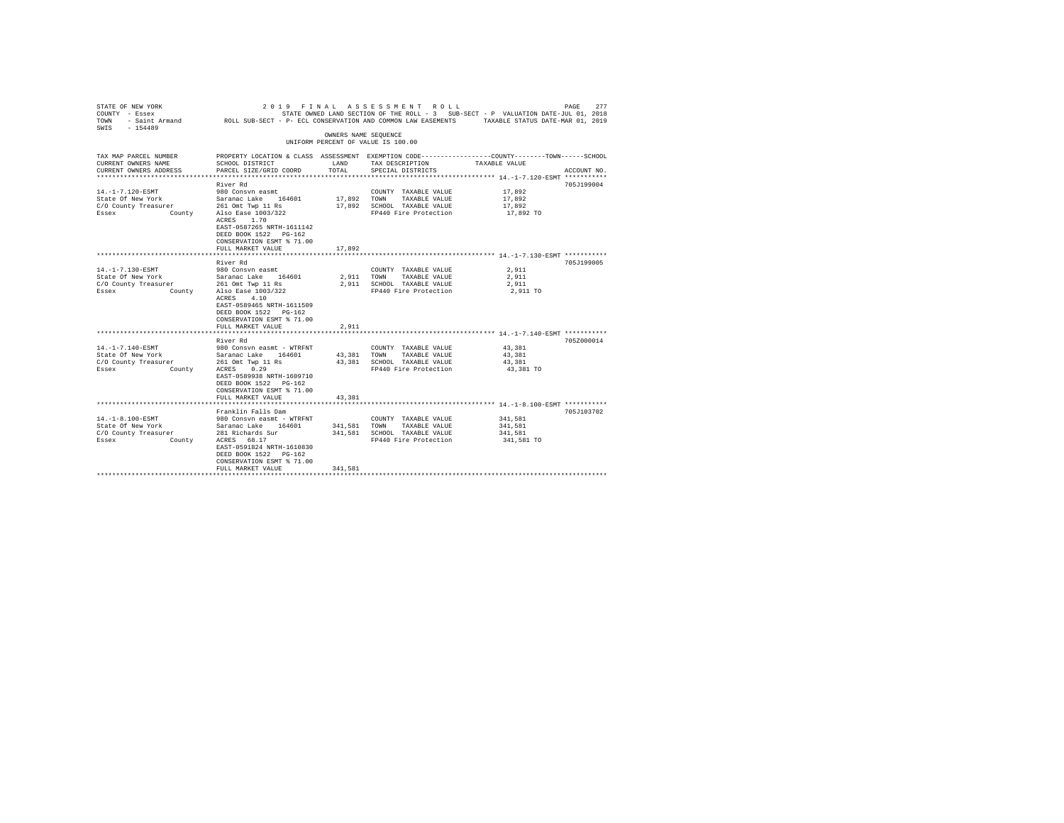| STATE OF NEW YORK<br>COUNTY - Essex<br>TOWN<br>$-154489$<br>SWIS | 2019<br>FINAL                                    |                      | ASSESSMENT ROLL                               | STATE OWNED LAND SECTION OF THE ROLL - 3 SUB-SECT - P VALUATION DATE-JUL 01, 2018<br>- Saint Armand MOLL SUB-SECT - P- ECL CONSERVATION AND COMMON LAW EASEMENTS TAXABLE STATUS DATE-MAR 01, 2019 | 277<br>PAGE |
|------------------------------------------------------------------|--------------------------------------------------|----------------------|-----------------------------------------------|---------------------------------------------------------------------------------------------------------------------------------------------------------------------------------------------------|-------------|
|                                                                  |                                                  | OWNERS NAME SEQUENCE |                                               |                                                                                                                                                                                                   |             |
|                                                                  |                                                  |                      | UNIFORM PERCENT OF VALUE IS 100.00            |                                                                                                                                                                                                   |             |
| TAX MAP PARCEL NUMBER                                            |                                                  |                      |                                               | PROPERTY LOCATION & CLASS ASSESSMENT EXEMPTION CODE---------------COUNTY-------TOWN------SCHOOL                                                                                                   |             |
| CURRENT OWNERS NAME                                              | SCHOOL DISTRICT                                  | LAND                 | TAX DESCRIPTION                               | TAXABLE VALUE                                                                                                                                                                                     |             |
| CURRENT OWNERS ADDRESS                                           | PARCEL SIZE/GRID COORD                           | TOTAL                | SPECIAL DISTRICTS                             |                                                                                                                                                                                                   | ACCOUNT NO. |
|                                                                  | River Rd                                         |                      |                                               |                                                                                                                                                                                                   | 705J199004  |
| 14. -1-7.120-ESMT                                                | 980 Consyn easmt                                 |                      | COUNTY TAXABLE VALUE                          | 17,892                                                                                                                                                                                            |             |
| State Of New York                                                | Saranac Lake 164601                              | 17,892               | TOWN<br>TAXABLE VALUE                         | 17,892                                                                                                                                                                                            |             |
| C/O County Treasurer                                             | 261 Omt Twp 11 Rs                                | 17,892               | SCHOOL TAXABLE VALUE                          | 17,892                                                                                                                                                                                            |             |
| Essex                                                            | County Also Ease 1003/322                        |                      | FP440 Fire Protection                         | 17,892 TO                                                                                                                                                                                         |             |
|                                                                  | ACRES 1.70<br>EAST-0587265 NRTH-1611142          |                      |                                               |                                                                                                                                                                                                   |             |
|                                                                  | DEED BOOK 1522 PG-162                            |                      |                                               |                                                                                                                                                                                                   |             |
|                                                                  | CONSERVATION ESMT % 71.00                        |                      |                                               |                                                                                                                                                                                                   |             |
|                                                                  | FULL MARKET VALUE                                | 17,892               |                                               |                                                                                                                                                                                                   |             |
|                                                                  | *********************                            |                      |                                               | ******************************** 14.-1-7.130-ESMT ***********                                                                                                                                     |             |
|                                                                  | River Rd                                         |                      |                                               |                                                                                                                                                                                                   | 705J199005  |
| 14. -1-7.130-ESMT                                                | 980 Consyn easmt                                 |                      | COUNTY TAXABLE VALUE                          | 2.911                                                                                                                                                                                             |             |
| State Of New York                                                | Saranac Lake 164601                              | 2,911                | TOWN<br>TAXABLE VALUE                         | 2.911                                                                                                                                                                                             |             |
| C/O County Treasurer                                             | 261 Omt Twp 11 Rs                                | 2,911                | SCHOOL TAXABLE VALUE                          | 2,911                                                                                                                                                                                             |             |
| Essex                                                            | County Also Ease 1003/322                        |                      | FP440 Fire Protection                         | 2,911 TO                                                                                                                                                                                          |             |
|                                                                  | ACRES 4.10                                       |                      |                                               |                                                                                                                                                                                                   |             |
|                                                                  | EAST-0589465 NRTH-1611509                        |                      |                                               |                                                                                                                                                                                                   |             |
|                                                                  | DEED BOOK 1522 PG-162                            |                      |                                               |                                                                                                                                                                                                   |             |
|                                                                  | CONSERVATION ESMT % 71.00                        |                      |                                               |                                                                                                                                                                                                   |             |
|                                                                  | FULL MARKET VALUE                                | 2,911                |                                               |                                                                                                                                                                                                   |             |
|                                                                  | River Rd                                         |                      |                                               |                                                                                                                                                                                                   | 705Z000014  |
| 14. -1-7.140-ESMT                                                | 980 Consvn easmt - WTRFNT                        |                      | COUNTY TAXABLE VALUE                          | 43,381                                                                                                                                                                                            |             |
| State Of New York                                                | Saranac Lake 164601                              | 43.381               | TOWN<br>TAXABLE VALUE                         | 43.381                                                                                                                                                                                            |             |
| C/O County Treasurer                                             | 261 Omt Twp 11 Rs                                | 43,381               | SCHOOL TAXABLE VALUE                          | 43,381                                                                                                                                                                                            |             |
| Essex<br>County                                                  | 0.29<br>ACRES                                    |                      | FP440 Fire Protection                         | 43,381 TO                                                                                                                                                                                         |             |
|                                                                  | EAST-0589938 NRTH-1609710                        |                      |                                               |                                                                                                                                                                                                   |             |
|                                                                  | DEED BOOK 1522 PG-162                            |                      |                                               |                                                                                                                                                                                                   |             |
|                                                                  | CONSERVATION ESMT % 71.00                        |                      |                                               |                                                                                                                                                                                                   |             |
|                                                                  | FULL MARKET VALUE                                | 43,381               |                                               |                                                                                                                                                                                                   |             |
|                                                                  |                                                  |                      |                                               |                                                                                                                                                                                                   |             |
| 14. -1-8.100-ESMT                                                | Franklin Falls Dam                               |                      |                                               | 341,581                                                                                                                                                                                           | 705J103702  |
| State Of New York                                                | 980 Consvn easmt - WTRFNT<br>Saranac Lake 164601 | 341,581              | COUNTY TAXABLE VALUE<br>TOWN<br>TAXABLE VALUE | 341,581                                                                                                                                                                                           |             |
| C/O County Treasurer                                             | 281 Richards Sur                                 | 341,581              | SCHOOL TAXABLE VALUE                          | 341,581                                                                                                                                                                                           |             |
| Essex<br>County                                                  | ACRES 68.17                                      |                      | FP440 Fire Protection                         | 341,581 TO                                                                                                                                                                                        |             |
|                                                                  | EAST-0591824 NRTH-1610830                        |                      |                                               |                                                                                                                                                                                                   |             |
|                                                                  | DEED BOOK 1522 PG-162                            |                      |                                               |                                                                                                                                                                                                   |             |
|                                                                  | CONSERVATION ESMT % 71.00                        |                      |                                               |                                                                                                                                                                                                   |             |
|                                                                  | FULL MARKET VALUE                                | 341.581              |                                               |                                                                                                                                                                                                   |             |
|                                                                  |                                                  |                      |                                               |                                                                                                                                                                                                   |             |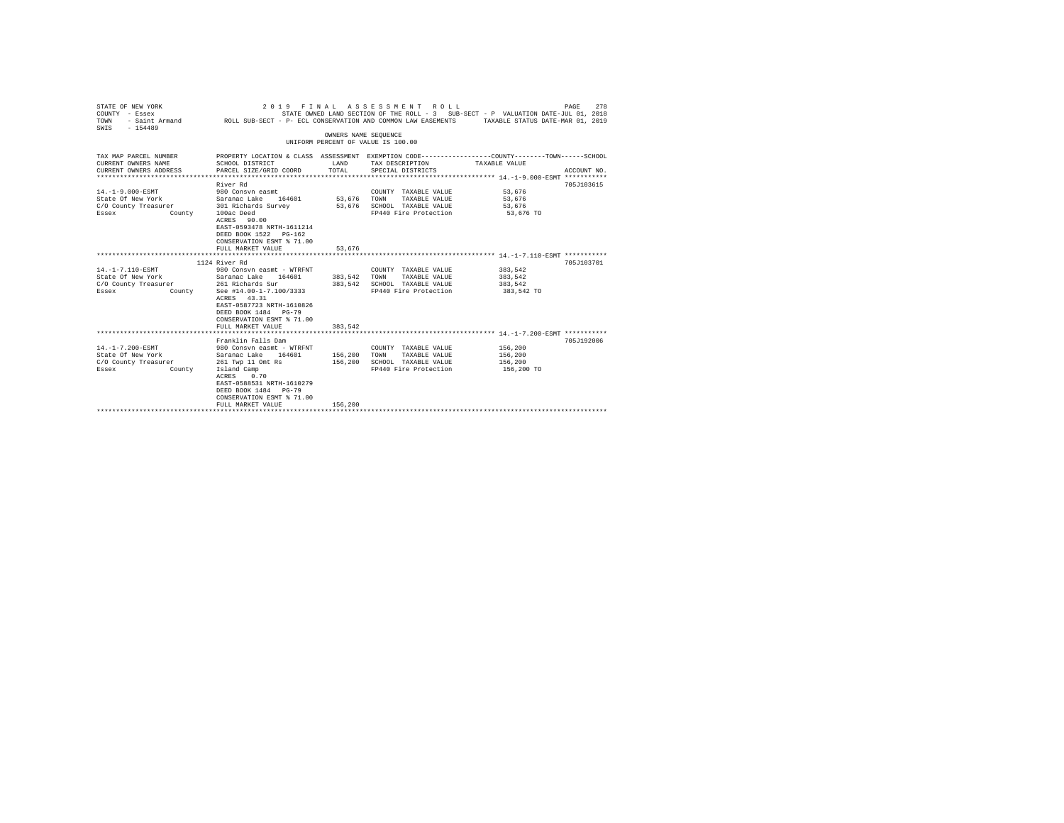| STATE OF NEW YORK<br>COUNTY - Essex<br>TOWN<br>$-154489$<br>SWIS                                                                | 2019 FINAL                                                                                                                                                                                                     |                       | ASSESSMENT ROLL<br>STATE OWNED LAND SECTION OF THE ROLL - 3 SUB-SECT - P VALUATION DATE-JUL 01, 2018<br>- Saint Armand CROLL SUB-SECT - P- ECL CONSERVATION AND COMMON LAW EASEMENTS TAXABLE STATUS DATE-MAR 01, 2019 |                                             | PAGE<br>278 |
|---------------------------------------------------------------------------------------------------------------------------------|----------------------------------------------------------------------------------------------------------------------------------------------------------------------------------------------------------------|-----------------------|-----------------------------------------------------------------------------------------------------------------------------------------------------------------------------------------------------------------------|---------------------------------------------|-------------|
|                                                                                                                                 |                                                                                                                                                                                                                | OWNERS NAME SEQUENCE  | UNIFORM PERCENT OF VALUE IS 100.00                                                                                                                                                                                    |                                             |             |
| TAX MAP PARCEL NUMBER<br>CURRENT OWNERS NAME<br>CURRENT OWNERS ADDRESS                                                          | SCHOOL DISTRICT<br>PARCEL SIZE/GRID COORD                                                                                                                                                                      | LAND<br>TOTAL         | PROPERTY LOCATION & CLASS ASSESSMENT EXEMPTION CODE---------------COUNTY-------TOWN------SCHOOL<br>TAX DESCRIPTION<br>SPECIAL DISTRICTS                                                                               | TAXABLE VALUE                               | ACCOUNT NO. |
| $14. -1 - 9.000 - ESMT$<br>State Of New York Saranac Lake 164601<br>C/O County Treasurer 301 Richards Survey<br>County<br>Essex | River Rd<br>980 Consyn easmt<br>100ac Deed<br>ACRES 90.00<br>EAST-0593478 NRTH-1611214<br>DEED BOOK 1522 PG-162<br>CONSERVATION ESMT % 71.00<br>FULL MARKET VALUE                                              | 53,676 TOWN<br>53.676 | COUNTY TAXABLE VALUE 53,676<br>TAXABLE VALUE<br>53,676 SCHOOL TAXABLE VALUE<br>FP440 Fire Protection                                                                                                                  | 53,676<br>53,676<br>53,676 TO               | 705J103615  |
|                                                                                                                                 | 1124 River Rd                                                                                                                                                                                                  |                       |                                                                                                                                                                                                                       |                                             | 705J103701  |
| 14. -1-7.110-ESMT<br>State Of New York<br>C/O County Treasurer 261 Richards Sur<br>Essex<br>County                              | 980 Consvn easmt - WTRFNT<br>Saranac Lake 164601 383,542 TOWN<br>See #14.00-1-7.100/3333<br>ACRES 43.31<br>EAST-0587723 NRTH-1610826<br>DEED BOOK 1484 PG-79<br>CONSERVATION ESMT % 71.00<br>FULL MARKET VALUE | 383,542               | COUNTY TAXABLE VALUE<br>TAXABLE VALUE<br>383.542 SCHOOL TAXABLE VALUE<br>FP440 Fire Protection                                                                                                                        | 383.542<br>383.542<br>383,542<br>383,542 TO |             |
|                                                                                                                                 |                                                                                                                                                                                                                |                       |                                                                                                                                                                                                                       |                                             |             |
| 14. -1-7.200-ESMT<br>State Of New York<br>C/O County Treasurer 261 Twp 11 Omt Rs<br>Essex<br>County                             | Franklin Falls Dam<br>980 Consvn easmt - WTRFNT<br>Saranac Lake 164601<br>Island Camp<br>0.70<br>ACRES<br>EAST-0588531 NRTH-1610279<br>DEED BOOK 1484 PG-79<br>CONSERVATION ESMT % 71.00                       | 156,200 TOWN          | COUNTY TAXABLE VALUE<br>TAXABLE VALUE<br>156,200 SCHOOL TAXABLE VALUE<br>FP440 Fire Protection                                                                                                                        | 156,200<br>156,200<br>156,200<br>156,200 TO | 705J192006  |
|                                                                                                                                 | FULL MARKET VALUE                                                                                                                                                                                              | 156,200               |                                                                                                                                                                                                                       |                                             |             |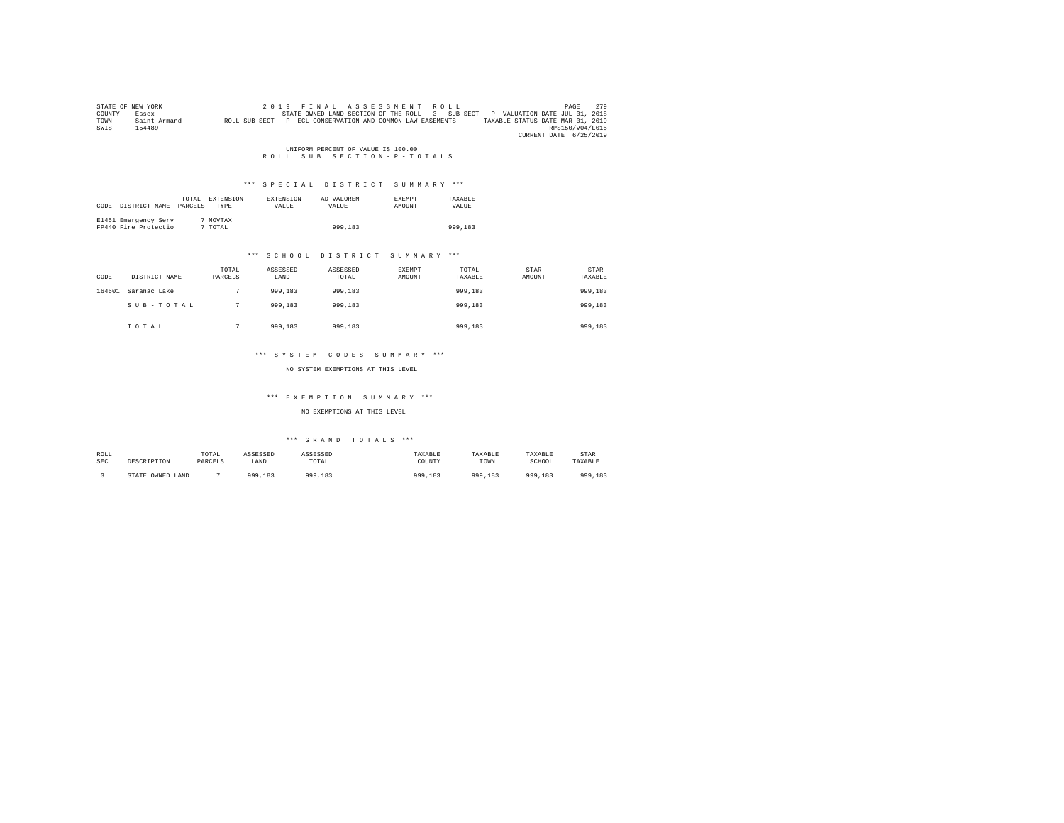|      | STATE OF NEW YORK | 2019 FINAL ASSESSMENT ROLL                                                                       | PAGE            | 2.79 |
|------|-------------------|--------------------------------------------------------------------------------------------------|-----------------|------|
|      | COUNTY - Essex    | STATE OWNED LAND SECTION OF THE ROLL - 3 SUB-SECT - P VALUATION DATE-JUL 01, 2018                |                 |      |
| TOWN | - Saint Armand    | TAXABLE STATUS DATE-MAR 01, 2019<br>ROLL SUB-SECT - P- ECL CONSERVATION AND COMMON LAW EASEMENTS |                 |      |
| SWIS | $-154489$         |                                                                                                  | RPS150/V04/L015 |      |
|      |                   | CURRENT DATE 6/25/2019                                                                           |                 |      |

# UNIFORM PERCENT OF VALUE IS 100.00<br>R O L L S U B S E C T I O N - P - T O T A L S

## \*\*\* S P E C I A L D I S T R I C T S U M M A R Y \*\*\*

| CODE | DISTRICT NAME                                | TOTAL<br>PARCELS | EXTENSION<br>TYPE | <b>EXTENSION</b><br>VALUE | AD VALOREM<br>VALUE | <b>EXEMPT</b><br>AMOUNT | TAXABLE<br>VALUE |
|------|----------------------------------------------|------------------|-------------------|---------------------------|---------------------|-------------------------|------------------|
|      | E1451 Emergency Serv<br>FP440 Fire Protectio |                  | 7 MOVTAX<br>TOTAL |                           | 999,183             |                         | 999,183          |

#### \*\*\* S C H O O L D I S T R I C T S U M M A R Y \*\*\*

| CODE   | DISTRICT NAME | TOTAL<br>PARCELS | ASSESSED<br>LAND | ASSESSED<br>TOTAL | <b>EXEMPT</b><br>AMOUNT | TOTAL<br>TAXABLE | STAR<br>AMOUNT | STAR<br>TAXABLE |
|--------|---------------|------------------|------------------|-------------------|-------------------------|------------------|----------------|-----------------|
| 164601 | Saranac Lake  |                  | 999,183          | 999,183           |                         | 999,183          |                | 999,183         |
|        | SUB-TOTAL     |                  | 999,183          | 999,183           |                         | 999,183          |                | 999,183         |
|        | TOTAL         |                  | 999,183          | 999,183           |                         | 999,183          |                | 999,183         |

#### \*\*\* S Y S T E M C O D E S S U M M A R Y \*\*\*

NO SYSTEM EXEMPTIONS AT THIS LEVEL

## \*\*\* E X E M P T I O N S U M M A R Y \*\*\*

#### NO EXEMPTIONS AT THIS LEVEL

## $***$  GRAND TOTALS  $***$

| ROLL<br>SEC | DESCRIPTION           | TOTAL<br>PARCELS | ASSESSED<br>LAND | ASSESSED<br>TOTAL | TAXABLE<br>COUNTY | TAXABLE<br>TOWN | TAXABLE<br>SCHOOL | STAR<br>TAXABLE |
|-------------|-----------------------|------------------|------------------|-------------------|-------------------|-----------------|-------------------|-----------------|
|             | OWNED LAND<br>STATE \ |                  | 999,183          | 999,183           | <b>199.183</b>    | 999,183         | 999,183           | 000<br>999.183  |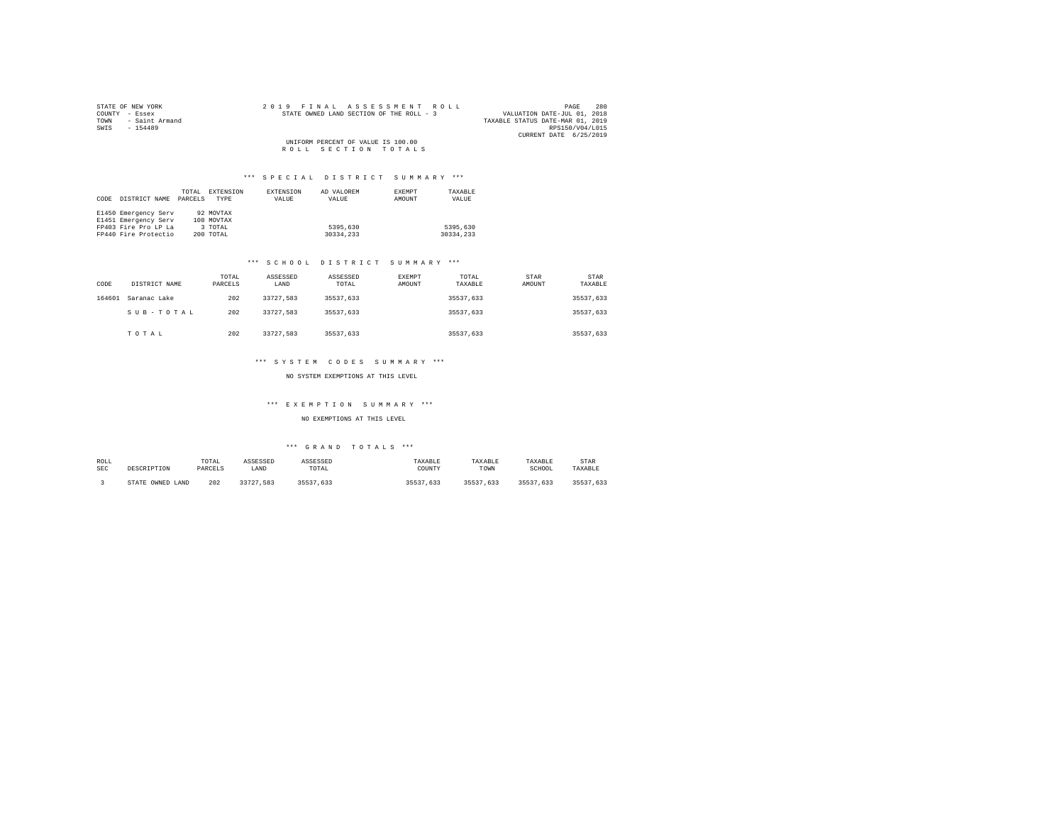| STATE OF NEW YORK      | 2019 FINAL ASSESSMENT ROLL               | 280<br>PAGE                      |
|------------------------|------------------------------------------|----------------------------------|
| COUNTY - Essex         | STATE OWNED LAND SECTION OF THE ROLL - 3 | VALUATION DATE-JUL 01, 2018      |
| TOWN<br>- Saint Armand |                                          | TAXABLE STATUS DATE-MAR 01, 2019 |
| SWIS<br>$-154489$      |                                          | RPS150/V04/L015                  |
|                        |                                          | CURRENT DATE 6/25/2019           |
|                        | UNIFORM PERCENT OF VALUE IS 100.00       |                                  |
|                        | ROLL SECTION TOTALS                      |                                  |

|      |                      | TOTAL   | EXTENSION  | EXTENSION | AD VALOREM | <b>EXEMPT</b> | TAXABLE   |
|------|----------------------|---------|------------|-----------|------------|---------------|-----------|
| CODE | DISTRICT NAME        | PARCELS | TYPE       | VALUE     | VALUE      | AMOUNT        | VALUE     |
|      |                      |         |            |           |            |               |           |
|      | E1450 Emergency Serv |         | 92 MOVTAX  |           |            |               |           |
|      | E1451 Emergency Serv |         | 108 MOVTAX |           |            |               |           |
|      | FP403 Fire Pro LP La |         | 3 TOTAL    |           | 5395,630   |               | 5395,630  |
|      | FP440 Fire Protectio |         | 200 TOTAL  |           | 30334,233  |               | 30334.233 |

## \*\*\* S C H O O L D I S T R I C T S U M M A R Y \*\*\*

| CODE   | DISTRICT NAME | TOTAL<br>PARCELS | ASSESSED<br>LAND | ASSESSED<br>TOTAL | EXEMPT<br>AMOUNT | TOTAL<br>TAXABLE | STAR<br>AMOUNT | STAR<br>TAXABLE |
|--------|---------------|------------------|------------------|-------------------|------------------|------------------|----------------|-----------------|
| 164601 | Saranac Lake  | 202              | 33727.583        | 35537.633         |                  | 35537.633        |                | 35537.633       |
|        | SUB-TOTAL     | 202              | 33727.583        | 35537.633         |                  | 35537.633        |                | 35537.633       |
|        | TOTAL         | 202              | 33727.583        | 35537.633         |                  | 35537.633        |                | 35537,633       |

# \*\*\* S Y S T E M C O D E S S U M M A R Y \*\*\*

## NO SYSTEM EXEMPTIONS AT THIS LEVEL

## \*\*\* E X E M P T I O N S U M M A R Y \*\*\*

## NO EXEMPTIONS AT THIS LEVEL

| ROLL<br><b>SEC</b> | DESCRIPTION      | TOTAL<br>PARCELS | ASSESSED<br>LAND | ASSESSED<br>TOTAL | TAXABLE<br>COUNTY | TAXABLE<br>TOWN | TAXABLE<br>SCHOOL | STAR<br>TAXABLE |
|--------------------|------------------|------------------|------------------|-------------------|-------------------|-----------------|-------------------|-----------------|
|                    | STATE OWNED LAND | 202              | 33727.583        | 35537.633         | 35537.633         | 35537.633       | 35537.633         | 35537.633       |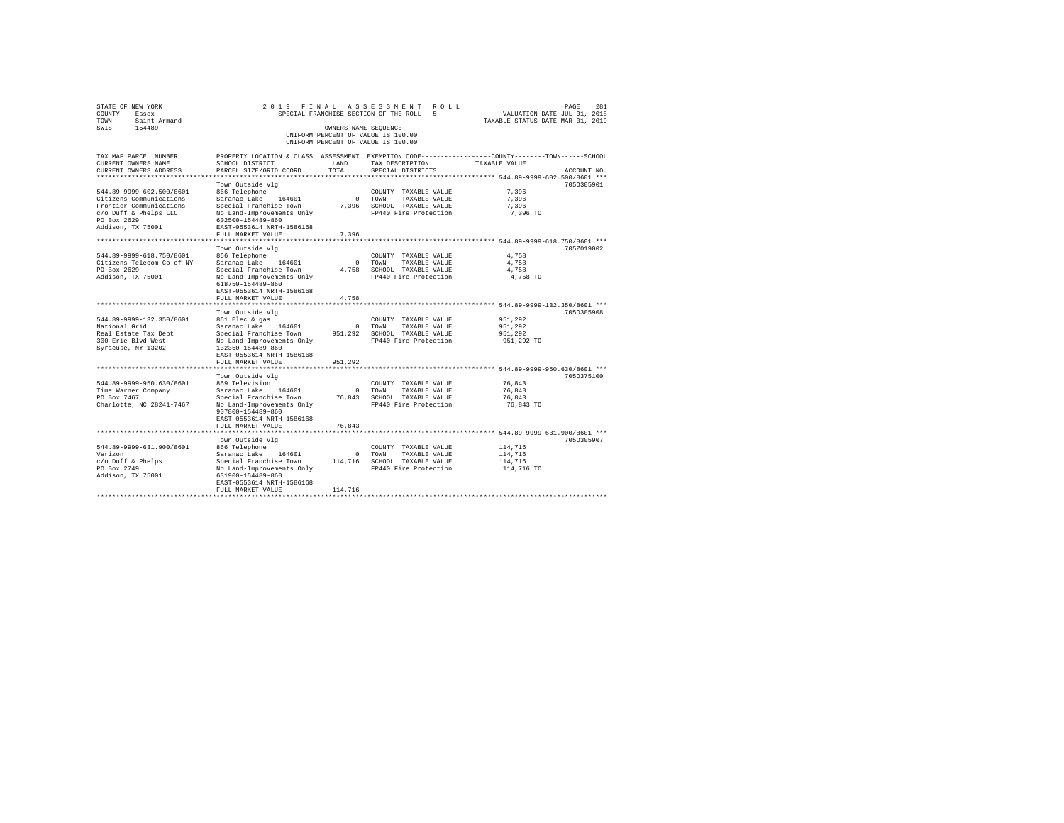| STATE OF NEW YORK<br>COUNTY - Essex<br>- Saint Armand<br>TOWN<br>SWIS<br>$-154489$ |                                                                                                                                              |                         | 2019 FINAL ASSESSMENT ROLL<br>SPECIAL FRANCHISE SECTION OF THE ROLL - 5  | VALUATION DATE-JUL 01, 2018<br>TAXABLE STATUS DATE-MAR 01, 2019 | 281<br>PAGE |
|------------------------------------------------------------------------------------|----------------------------------------------------------------------------------------------------------------------------------------------|-------------------------|--------------------------------------------------------------------------|-----------------------------------------------------------------|-------------|
|                                                                                    |                                                                                                                                              | OWNERS NAME SEQUENCE    | UNIFORM PERCENT OF VALUE IS 100.00<br>UNIFORM PERCENT OF VALUE IS 100.00 |                                                                 |             |
| TAX MAP PARCEL NUMBER<br>CURRENT OWNERS NAME<br>CURRENT OWNERS ADDRESS             | PROPERTY LOCATION & CLASS ASSESSMENT EXEMPTION CODE---------------COUNTY-------TOWN------SCHOOL<br>SCHOOL DISTRICT<br>PARCEL SIZE/GRID COORD | LAND<br>TOTAL           | TAX DESCRIPTION<br>SPECIAL DISTRICTS                                     | TAXABLE VALUE                                                   | ACCOUNT NO. |
|                                                                                    |                                                                                                                                              |                         |                                                                          | ************* 544.89-9999-602.500/8601 ***                      |             |
|                                                                                    | Town Outside Vlg                                                                                                                             |                         |                                                                          |                                                                 | 7050305901  |
| 544.89-9999-602.500/8601                                                           | 866 Telephone                                                                                                                                |                         | COUNTY TAXABLE VALUE                                                     | 7.396                                                           |             |
| Citizens Communications                                                            | Saranac Lake<br>164601                                                                                                                       | $\circ$                 | TOWN<br>TAXABLE VALUE                                                    | 7.396                                                           |             |
| Frontier Communications                                                            | Special Franchise Town                                                                                                                       | 7,396                   | SCHOOL TAXABLE VALUE                                                     | 7.396                                                           |             |
| c/o Duff & Phelps LLC<br>PO Box 2629<br>Addison, TX 75001                          | No Land-Improvements Only<br>602500-154489-860<br>EAST-0553614 NRTH-1586168                                                                  |                         | FP440 Fire Protection                                                    | 7,396 TO                                                        |             |
|                                                                                    | FULL MARKET VALUE                                                                                                                            | 7.396                   |                                                                          | ******** 544.89-9999-618.750/8601 ***                           |             |
|                                                                                    | Town Outside Vlg                                                                                                                             |                         |                                                                          |                                                                 | 705Z019002  |
| 544.89-9999-618.750/8601                                                           | 866 Telephone                                                                                                                                |                         | COUNTY TAXABLE VALUE                                                     | 4,758                                                           |             |
| Citizens Telecom Co of NY                                                          | Saranac Lake 164601                                                                                                                          | $\circ$                 | TOWN<br>TAXABLE VALUE                                                    | 4,758                                                           |             |
| PO Box 2629                                                                        | Special Franchise Town                                                                                                                       | 4.758                   | SCHOOL TAXABLE VALUE                                                     | 4.758                                                           |             |
| Addison, TX 75001                                                                  | No Land-Improvements Only<br>618750-154489-860<br>EAST-0553614 NRTH-1586168                                                                  |                         | FP440 Fire Protection                                                    | 4,758 TO                                                        |             |
|                                                                                    | FULL MARKET VALUE                                                                                                                            | 4,758                   |                                                                          |                                                                 |             |
|                                                                                    |                                                                                                                                              |                         |                                                                          | ******** 544.89-9999-132.350/8601 ***                           |             |
|                                                                                    | Town Outside Vlg                                                                                                                             |                         |                                                                          |                                                                 | 7050305908  |
| 544.89-9999-132.350/8601                                                           | 861 Elec & gas                                                                                                                               |                         | COUNTY TAXABLE VALUE                                                     | 951,292                                                         |             |
| National Grid<br>Real Estate Tax Dept                                              | Saranac Lake<br>164601<br>Special Franchise Town                                                                                             | $\mathbf{0}$<br>951,292 | TOWN<br>TAXABLE VALUE<br>SCHOOL TAXABLE VALUE                            | 951,292<br>951,292                                              |             |
| 300 Erie Blyd West                                                                 | No Land-Improvements Only                                                                                                                    |                         | FP440 Fire Protection                                                    | 951,292 TO                                                      |             |
| Syracuse, NY 13202                                                                 | 132350-154489-860                                                                                                                            |                         |                                                                          |                                                                 |             |
|                                                                                    | EAST-0553614 NRTH-1586168                                                                                                                    |                         |                                                                          |                                                                 |             |
|                                                                                    | FULL MARKET VALUE                                                                                                                            | 951,292                 |                                                                          |                                                                 |             |
|                                                                                    |                                                                                                                                              |                         |                                                                          | ************************ 544.89-9999-950.630/8601 ***           |             |
|                                                                                    | Town Outside Vlg                                                                                                                             |                         |                                                                          |                                                                 | 7050375100  |
| 544.89-9999-950.630/8601                                                           | 869 Television                                                                                                                               |                         | COUNTY TAXABLE VALUE                                                     | 76.843                                                          |             |
| Time Warner Company                                                                | Saranac Lake<br>164601                                                                                                                       | $\circ$                 | TOWN<br>TAXABLE VALUE                                                    | 76.843                                                          |             |
| PO Box 7467                                                                        | Special Franchise Town                                                                                                                       | 76.843                  | SCHOOL TAXABLE VALUE                                                     | 76.843                                                          |             |
| Charlotte, NC 28241-7467                                                           | No Land-Improvements Only<br>907800-154489-860<br>EAST-0553614 NRTH-1586168                                                                  |                         | FP440 Fire Protection                                                    | 76,843 TO                                                       |             |
|                                                                                    | FULL MARKET VALUE                                                                                                                            | 76.843                  |                                                                          |                                                                 |             |
|                                                                                    |                                                                                                                                              |                         |                                                                          | ***** 544.89-9999-631.900/8601 ***                              |             |
|                                                                                    | Town Outside Vlg                                                                                                                             |                         |                                                                          |                                                                 | 7050305907  |
| 544.89-9999-631.900/8601<br>Verizon                                                | 866 Telephone<br>Saranac Lake<br>164601                                                                                                      |                         | COUNTY TAXABLE VALUE                                                     | 114,716                                                         |             |
| c/o Duff & Phelps                                                                  | Special Franchise Town                                                                                                                       | $\circ$<br>114,716      | TOWN<br>TAXABLE VALUE                                                    | 114,716<br>114,716                                              |             |
| PO Box 2749                                                                        | No Land-Improvements Only                                                                                                                    |                         | SCHOOL TAXABLE VALUE<br>FP440 Fire Protection                            | 114,716 TO                                                      |             |
| Addison, TX 75001                                                                  | 631900-154489-860                                                                                                                            |                         |                                                                          |                                                                 |             |
|                                                                                    | EAST-0553614 NRTH-1586168                                                                                                                    |                         |                                                                          |                                                                 |             |
|                                                                                    | FULL MARKET VALUE                                                                                                                            | 114,716                 |                                                                          |                                                                 |             |
|                                                                                    |                                                                                                                                              |                         |                                                                          |                                                                 |             |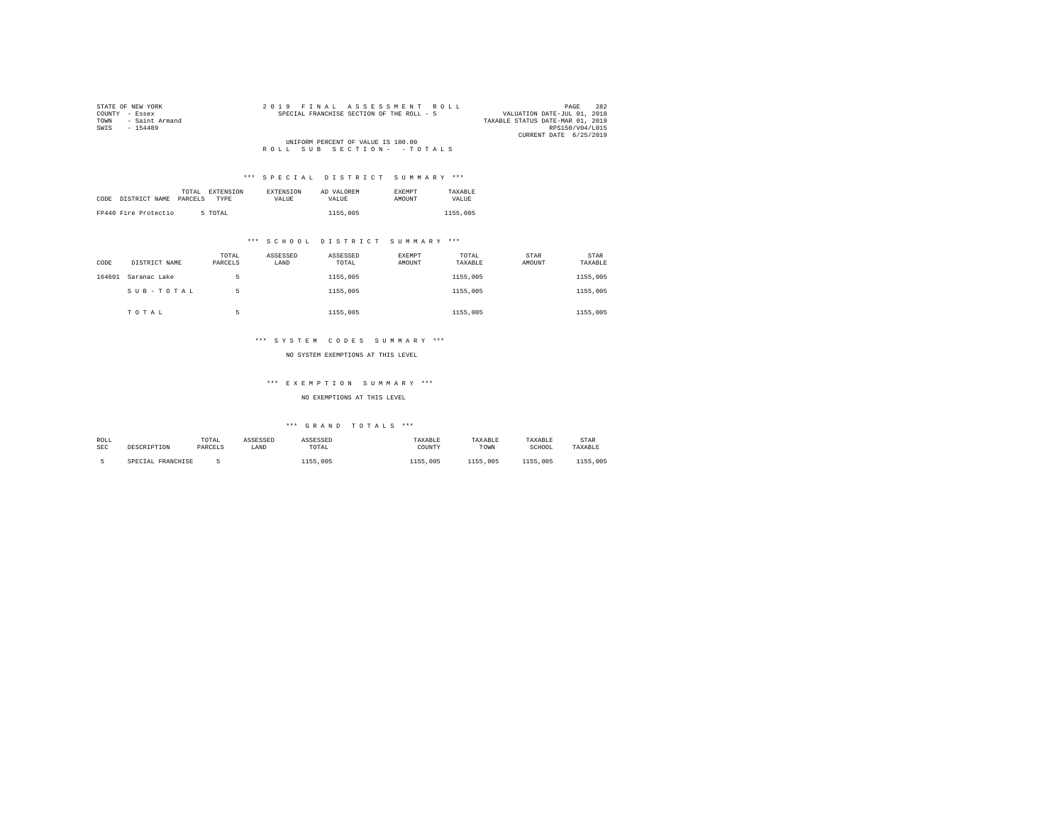| STATE OF NEW YORK      | 2019 FINAL ASSESSMENT ROLL                | 282<br>PAGE                      |
|------------------------|-------------------------------------------|----------------------------------|
| COUNTY - Essex         | SPECIAL FRANCHISE SECTION OF THE ROLL - 5 | VALUATION DATE-JUL 01, 2018      |
| - Saint Armand<br>TOWN |                                           | TAXABLE STATUS DATE-MAR 01, 2019 |
| SWIS<br>$-154489$      |                                           | RPS150/V04/L015                  |
|                        |                                           | CURRENT DATE 6/25/2019           |
|                        | UNIFORM PERCENT OF VALUE IS 100.00        |                                  |
|                        | ROLL SUB SECTION- - TOTALS                |                                  |

| TOTAL                            | EXTENSION   | <b>EXTENSION</b> | AD VALOREM | <b>EXEMPT</b> | TAXARLE  |
|----------------------------------|-------------|------------------|------------|---------------|----------|
| CODE<br>DISTRICT NAME<br>PARCELS | <b>TYPE</b> | VALUE.           | VALUE.     | <b>AMOUNT</b> | VALUE.   |
|                                  |             |                  |            |               |          |
| FP440 Fire Protectio             | 5 TOTAL     |                  | 1155,005   |               | 1155,005 |

## \*\*\* S C H O O L D I S T R I C T S U M M A R Y \*\*\*

| CODE   | DISTRICT NAME | TOTAL<br>PARCELS | ASSESSED<br>LAND | ASSESSED<br>TOTAL | EXEMPT<br>AMOUNT | TOTAL<br>TAXABLE | STAR<br>AMOUNT | STAR<br>TAXABLE |
|--------|---------------|------------------|------------------|-------------------|------------------|------------------|----------------|-----------------|
| 164601 | Saranac Lake  |                  |                  | 1155,005          |                  | 1155,005         |                | 1155,005        |
|        | SUB-TOTAL     | 5                |                  | 1155,005          |                  | 1155,005         |                | 1155,005        |
|        | TOTAL         | к                |                  | 1155,005          |                  | 1155,005         |                | 1155,005        |

## \*\*\* S Y S T E M C O D E S S U M M A R Y \*\*\*

#### NO SYSTEM EXEMPTIONS AT THIS LEVEL

## \*\*\* E X E M P T I O N S U M M A R Y \*\*\*

## NO EXEMPTIONS AT THIS LEVEL

| ROLL       |                   | TOTAL   | ASSESSED | ASSESSED    | TAXABLE  | TAXABLE  | TAXABLE  | <b>STAR</b> |
|------------|-------------------|---------|----------|-------------|----------|----------|----------|-------------|
| <b>SEC</b> | DESCRIPTION       | PARCELS | LAND     | TOTAL       | COUNTY   | TOWN     | SCHOOL   | TAXABLE     |
|            |                   |         |          |             |          |          |          |             |
|            | SPECIAL FRANCHISE |         |          | .005<br>155 | 1155,005 | 1155,005 | 1155,005 | 1155,005    |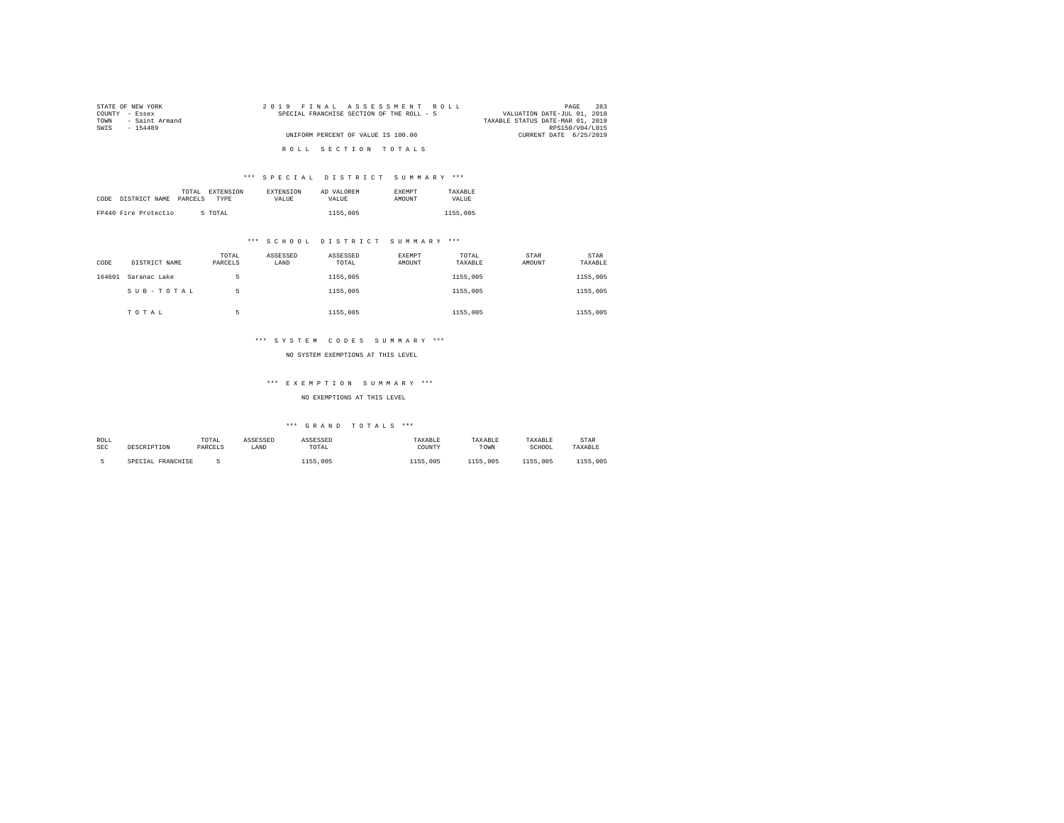| STATE OF NEW YORK      | 2019 FINAL ASSESSMENT ROLL                | 283<br>PAGE                      |
|------------------------|-------------------------------------------|----------------------------------|
| COUNTY - Essex         | SPECIAL FRANCHISE SECTION OF THE ROLL - 5 | VALUATION DATE-JUL 01, 2018      |
| - Saint Armand<br>TOWN |                                           | TAXABLE STATUS DATE-MAR 01, 2019 |
| SWIS<br>$-154489$      |                                           | RPS150/V04/L015                  |
|                        | UNIFORM PERCENT OF VALUE IS 100.00        | CURRENT DATE 6/25/2019           |
|                        |                                           |                                  |
|                        | ROLL SECTION TOTALS                       |                                  |

|      |                      | TOTAL   | EXTENSION | <b>EXTENSION</b> | AD VALOREM | <b>EXEMPT</b> | TAXARLE  |
|------|----------------------|---------|-----------|------------------|------------|---------------|----------|
| CODE | DISTRICT NAME        | PARCELS | TYPE      | <b>VALUE</b>     | VALUE.     | AMOUNT        | VALUE    |
|      |                      |         |           |                  |            |               |          |
|      | FP440 Fire Protectio |         | 5 TOTAL   |                  | 1155,005   |               | 1155,005 |

## \*\*\* S C H O O L D I S T R I C T S U M M A R Y \*\*\*

| CODE   | DISTRICT NAME | TOTAL<br>PARCELS | ASSESSED<br>LAND | ASSESSED<br>TOTAL | EXEMPT<br>AMOUNT | TOTAL<br>TAXABLE | STAR<br>AMOUNT | <b>STAR</b><br>TAXABLE |
|--------|---------------|------------------|------------------|-------------------|------------------|------------------|----------------|------------------------|
| 164601 | Saranac Lake  | 5                |                  | 1155,005          |                  | 1155,005         |                | 1155,005               |
|        | SUB-TOTAL     | 5                |                  | 1155,005          |                  | 1155,005         |                | 1155,005               |
|        | TOTAL         |                  |                  | 1155,005          |                  | 1155,005         |                | 1155,005               |

## \*\*\* S Y S T E M C O D E S S U M M A R Y \*\*\*

#### NO SYSTEM EXEMPTIONS AT THIS LEVEL

## \*\*\* E X E M P T I O N S U M M A R Y \*\*\*

## NO EXEMPTIONS AT THIS LEVEL

| ROLL       |                   | TOTAL   | ASSESSED | ASSESSED    | TAXABLE  | TAXABLE  | TAXABLE  | <b>STAR</b> |
|------------|-------------------|---------|----------|-------------|----------|----------|----------|-------------|
| <b>SEC</b> | DESCRIPTION       | PARCELS | LAND     | TOTAL       | COUNTY   | TOWN     | SCHOOL   | TAXABLE     |
|            |                   |         |          |             |          |          |          |             |
|            | SPECIAL FRANCHISE |         |          | .005<br>155 | 1155,005 | 1155,005 | 1155,005 | 1155,005    |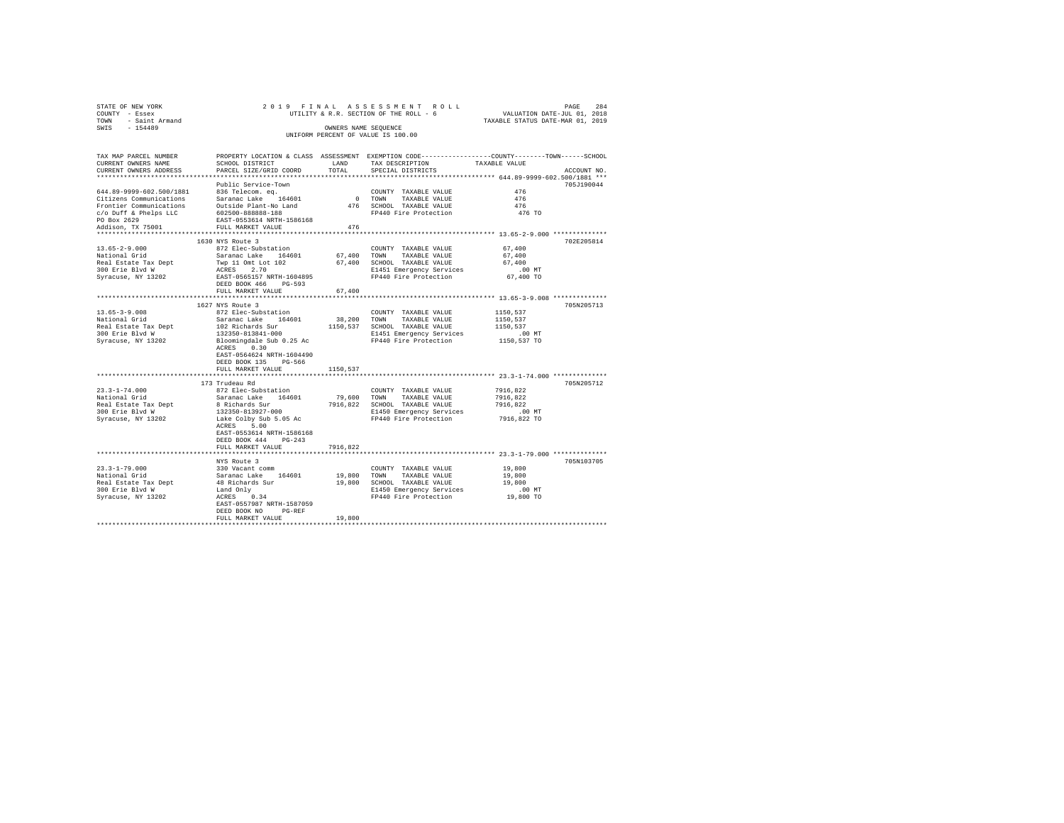| STATE OF NEW YORK                                             |                                                                                                                                                                                                                                |                    |                                                                                                                 |                                                        |             |
|---------------------------------------------------------------|--------------------------------------------------------------------------------------------------------------------------------------------------------------------------------------------------------------------------------|--------------------|-----------------------------------------------------------------------------------------------------------------|--------------------------------------------------------|-------------|
| COUNTY - Essex                                                |                                                                                                                                                                                                                                |                    |                                                                                                                 |                                                        |             |
| TOWN - Saint Armand                                           |                                                                                                                                                                                                                                |                    |                                                                                                                 |                                                        |             |
| SWIS - 154489                                                 |                                                                                                                                                                                                                                |                    |                                                                                                                 |                                                        |             |
|                                                               | 2019 FINAL ASSES SWEENT ROLL UNITATION DATE-JUL 01, 2018<br>UTILITY & R.R. SECTION OF THE ROLL - 6<br>OWNERS NAME SEQUEMCE<br>UNIFORM PERCENT OF VALUE IS 100.00                                                               |                    |                                                                                                                 |                                                        |             |
| TAX MAP PARCEL NUMBER                                         | PROPERTY LOCATION & CLASS ASSESSMENT EXEMPTION CODE---------------COUNTY-------TOWN-----SCHOOL                                                                                                                                 |                    |                                                                                                                 |                                                        |             |
| CURRENT OWNERS NAME                                           | SCHOOL DISTRICT                                                                                                                                                                                                                |                    | LAND TAX DESCRIPTION                                                                                            | TAXABLE VALUE                                          |             |
| CURRENT OWNERS ADDRESS                                        | PARCEL SIZE/GRID COORD                                                                                                                                                                                                         | TOTAL              | SPECIAL DISTRICTS                                                                                               |                                                        | ACCOUNT NO. |
|                                                               |                                                                                                                                                                                                                                |                    |                                                                                                                 |                                                        |             |
|                                                               | Public Service-Town                                                                                                                                                                                                            |                    |                                                                                                                 |                                                        | 705J190044  |
|                                                               |                                                                                                                                                                                                                                |                    | COUNTY TAXABLE VALUE                                                                                            | 476                                                    |             |
|                                                               |                                                                                                                                                                                                                                |                    | 0 TOWN TAXABLE VALUE                                                                                            | 476                                                    |             |
|                                                               |                                                                                                                                                                                                                                |                    |                                                                                                                 | 476                                                    |             |
|                                                               |                                                                                                                                                                                                                                |                    | 476 SCHOOL TAXABLE VALUE<br>476 SCHOOL TAXABLE VALUE<br>FP440 Fire Protection                                   | 476 TO                                                 |             |
|                                                               |                                                                                                                                                                                                                                |                    |                                                                                                                 |                                                        |             |
|                                                               |                                                                                                                                                                                                                                | 476                |                                                                                                                 |                                                        |             |
|                                                               |                                                                                                                                                                                                                                |                    |                                                                                                                 |                                                        |             |
|                                                               | 1630 NYS Route 3                                                                                                                                                                                                               |                    |                                                                                                                 |                                                        | 702E205814  |
| 13.65-2-9.000<br>National Grid                                | 872 Elec-Substation                                                                                                                                                                                                            |                    | $\texttt{COUNTY} \quad \texttt{TAXABLE} \quad \texttt{VALUE} \qquad \qquad 67 \, ,400$                          |                                                        |             |
|                                                               |                                                                                                                                                                                                                                |                    |                                                                                                                 | 67,400                                                 |             |
|                                                               |                                                                                                                                                                                                                                |                    |                                                                                                                 | 67,400                                                 |             |
| Real Estate Tax Dept<br>300 Erie Blvd W<br>Syracuse, NY 13202 |                                                                                                                                                                                                                                |                    |                                                                                                                 |                                                        |             |
|                                                               |                                                                                                                                                                                                                                |                    |                                                                                                                 | .00 MT.<br>67,400 TO                                   |             |
|                                                               | DEED BOOK 466 PG-593                                                                                                                                                                                                           |                    |                                                                                                                 |                                                        |             |
|                                                               | FULL MARKET VALUE                                                                                                                                                                                                              | 67,400             |                                                                                                                 |                                                        |             |
|                                                               |                                                                                                                                                                                                                                | ****************** |                                                                                                                 | ************************* 13.65-3-9.008 ************** |             |
|                                                               | 1627 NYS Route 3                                                                                                                                                                                                               |                    |                                                                                                                 |                                                        | 705N205713  |
| $13.65 - 3 - 9.008$                                           | 872 Elec-Substation                                                                                                                                                                                                            |                    | COUNTY TAXABLE VALUE                                                                                            | 1150,537                                               |             |
| National Grid                                                 | Saranac Lake 164601                                                                                                                                                                                                            |                    | 38,200 TOWN TAXABLE VALUE                                                                                       | 1150.537                                               |             |
|                                                               |                                                                                                                                                                                                                                |                    |                                                                                                                 |                                                        |             |
|                                                               |                                                                                                                                                                                                                                |                    |                                                                                                                 | .00MT                                                  |             |
|                                                               | National struct and the state in the state of the state of the state of the state and the state and the state of the state of the state of the state of the state of the state of the state of the state of the state of the s |                    |                                                                                                                 | 1150,537 TO                                            |             |
|                                                               | ACRES 0.30                                                                                                                                                                                                                     |                    |                                                                                                                 |                                                        |             |
|                                                               | EAST-0564624 NRTH-1604490                                                                                                                                                                                                      |                    |                                                                                                                 |                                                        |             |
|                                                               | DEED BOOK 135 PG-566                                                                                                                                                                                                           |                    |                                                                                                                 |                                                        |             |
|                                                               | FULL MARKET VALUE                                                                                                                                                                                                              | 1150.537           |                                                                                                                 |                                                        |             |
|                                                               |                                                                                                                                                                                                                                |                    |                                                                                                                 |                                                        |             |
|                                                               | 173 Trudeau Rd                                                                                                                                                                                                                 |                    |                                                                                                                 |                                                        | 705N205712  |
| $23.3 - 1 - 74.000$                                           | 872 Elec-Substation                                                                                                                                                                                                            |                    | COUNTY TAXABLE VALUE                                                                                            | 7916,822                                               |             |
|                                                               |                                                                                                                                                                                                                                |                    | 79,600 TOWN TAXABLE VALUE                                                                                       | 7916.822                                               |             |
|                                                               |                                                                                                                                                                                                                                |                    |                                                                                                                 |                                                        |             |
|                                                               |                                                                                                                                                                                                                                |                    | 7916,822 SCHOOL TAXABLE VALUE 7916,822<br>E1450 Emergency Services 1.00 MT<br>FP440 Fire Protection 7916,822 TO |                                                        |             |
|                                                               |                                                                                                                                                                                                                                |                    |                                                                                                                 |                                                        |             |
|                                                               | ACRES 5.00                                                                                                                                                                                                                     |                    |                                                                                                                 |                                                        |             |
|                                                               | EAST-0553614 NRTH-1586168                                                                                                                                                                                                      |                    |                                                                                                                 |                                                        |             |
|                                                               | DEED BOOK 444 PG-243                                                                                                                                                                                                           |                    |                                                                                                                 |                                                        |             |
|                                                               | FULL MARKET VALUE                                                                                                                                                                                                              | 7916,822           |                                                                                                                 |                                                        |             |
|                                                               |                                                                                                                                                                                                                                |                    |                                                                                                                 |                                                        |             |
|                                                               | NYS Route 3                                                                                                                                                                                                                    |                    |                                                                                                                 |                                                        | 705N103705  |
|                                                               |                                                                                                                                                                                                                                |                    |                                                                                                                 |                                                        |             |
|                                                               |                                                                                                                                                                                                                                |                    |                                                                                                                 |                                                        |             |
|                                                               |                                                                                                                                                                                                                                |                    |                                                                                                                 |                                                        |             |
|                                                               |                                                                                                                                                                                                                                |                    |                                                                                                                 |                                                        |             |
|                                                               |                                                                                                                                                                                                                                |                    |                                                                                                                 |                                                        |             |
|                                                               | DEED BOOK NO PG-REF                                                                                                                                                                                                            |                    |                                                                                                                 |                                                        |             |
|                                                               | FULL MARKET VALUE                                                                                                                                                                                                              | 19,800             |                                                                                                                 |                                                        |             |
|                                                               |                                                                                                                                                                                                                                |                    |                                                                                                                 |                                                        |             |
|                                                               |                                                                                                                                                                                                                                |                    |                                                                                                                 |                                                        |             |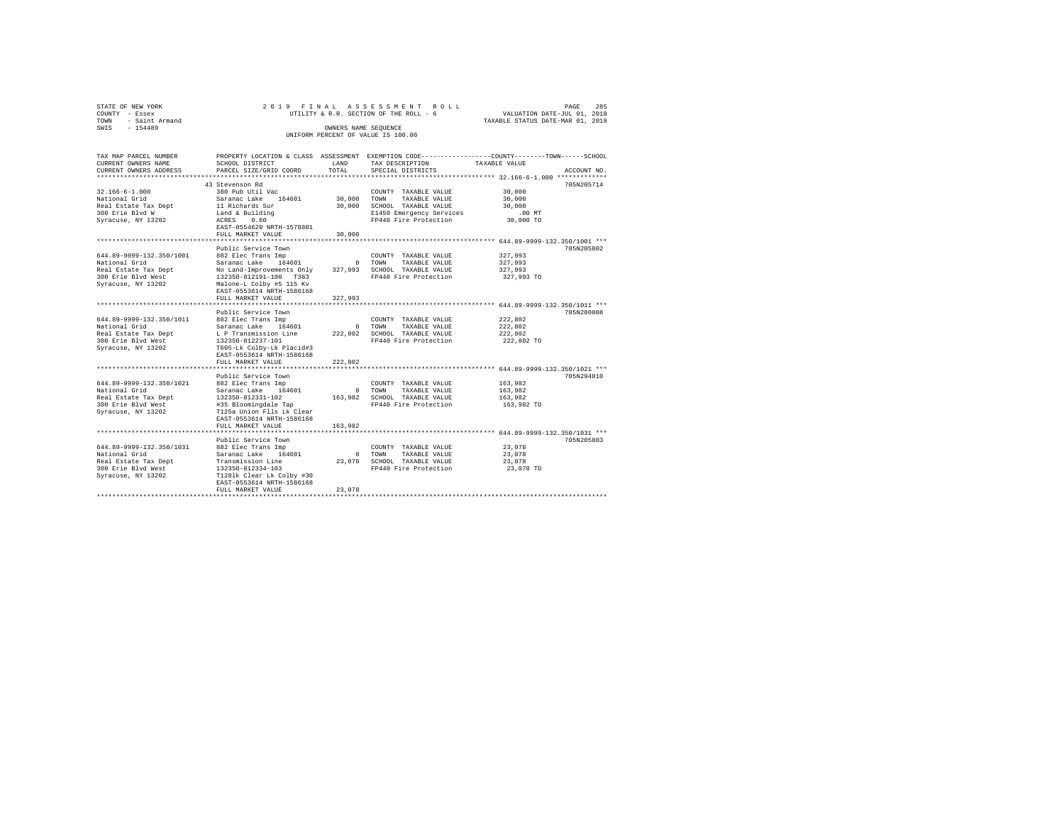| STATE OF NEW YORK   |                      |  | 2019 FINAL ASSESSMENT ROLL             |  |                                  | PAGE                        | 285 |
|---------------------|----------------------|--|----------------------------------------|--|----------------------------------|-----------------------------|-----|
| COUNTY - Essex      |                      |  | UTILITY & R.R. SECTION OF THE ROLL - 6 |  |                                  | VALUATION DATE-JUL 01, 2018 |     |
| TOWN - Saint Armand |                      |  |                                        |  | TAXABLE STATUS DATE-MAR 01, 2019 |                             |     |
| SWTS<br>$-154489$   | OWNERS NAME SEOUENCE |  |                                        |  |                                  |                             |     |
|                     |                      |  | UNIFORM PERCENT OF VALUE IS 100.00     |  |                                  |                             |     |
|                     |                      |  |                                        |  |                                  |                             |     |

| TAX MAP PARCEL NUMBER      |                                                        |         |                              | PROPERTY LOCATION & CLASS ASSESSMENT EXEMPTION CODE----------------COUNTY-------TOWN------SCHOOL |
|----------------------------|--------------------------------------------------------|---------|------------------------------|--------------------------------------------------------------------------------------------------|
| CURRENT OWNERS NAME        | SCHOOL DISTRICT                                        | LAND    | TAX DESCRIPTION              | TAXABLE VALUE                                                                                    |
| CURRENT OWNERS ADDRESS     | PARCEL SIZE/GRID COORD                                 | TOTAL.  | SPECIAL DISTRICTS            | ACCOUNT NO.                                                                                      |
| ************************** |                                                        |         |                              |                                                                                                  |
|                            | 43 Stevenson Rd                                        |         |                              | 705N205714                                                                                       |
| $32.166 - 6 - 1.000$       | 380 Pub Util Vac                                       |         | COUNTY TAXABLE VALUE         | 30,000                                                                                           |
| National Grid              | Saranac Lake 164601                                    |         | 30,000 TOWN TAXABLE VALUE    | 30,000                                                                                           |
| Real Estate Tax Dept       | 11 Richards Sur                                        |         | 30,000 SCHOOL TAXABLE VALUE  | 30,000                                                                                           |
| 300 Erie Blvd W            | Land & Building                                        |         | E1450 Emergency Services     | $.00$ MT                                                                                         |
| Syracuse, NY 13202         | ACRES<br>0.60                                          |         | FP440 Fire Protection        | 30,000 TO                                                                                        |
|                            | EAST-0554620 NRTH-1578801                              |         |                              |                                                                                                  |
|                            | FULL MARKET VALUE                                      | 30,000  |                              |                                                                                                  |
|                            | ******************************                         |         |                              | **************** 644.89-9999-132.350/1001 ***                                                    |
|                            | Public Service Town                                    |         |                              | 705N205802                                                                                       |
| 644.89-9999-132.350/1001   | 882 Elec Trans Imp                                     |         | COUNTY TAXABLE VALUE         | 327,993                                                                                          |
| National Grid              | Saranac Lake 164601                                    |         | 0 TOWN TAXABLE VALUE         | 327,993                                                                                          |
| Real Estate Tax Dept       | No Land-Improvements Only 327,993 SCHOOL TAXABLE VALUE |         |                              | 327,993                                                                                          |
| 300 Erie Blyd West         | No Land-Improvements Only<br>132350-812191-100 T383    |         | FP440 Fire Protection        | 327,993 TO                                                                                       |
| Syracuse, NY 13202         | Malone-L Colby #5 115 Kv                               |         |                              |                                                                                                  |
|                            | EAST-0553614 NRTH-1586168                              |         |                              |                                                                                                  |
|                            |                                                        | 327,993 |                              |                                                                                                  |
|                            | FULL MARKET VALUE                                      |         |                              |                                                                                                  |
|                            |                                                        |         |                              |                                                                                                  |
|                            | Public Service Town                                    |         |                              | 705N280008                                                                                       |
| 644.89-9999-132.350/1011   | 882 Elec Trans Imp                                     |         | COUNTY TAXABLE VALUE         | 222.802                                                                                          |
| National Grid              | Saranac Lake 164601                                    |         | 0 TOWN TAXABLE VALUE         | 222,802                                                                                          |
| Real Estate Tax Dept       | L P Transmission Line<br>132350-812237-101             |         | 222,802 SCHOOL TAXABLE VALUE | 222,802                                                                                          |
| 300 Erie Blyd West         |                                                        |         | FP440 Fire Protection        | 222,802 TO                                                                                       |
| Syracuse, NY 13202         | T605-Lk Colby-Lk Placid#3                              |         |                              |                                                                                                  |
|                            | EAST-0553614 NRTH-1586168                              |         |                              |                                                                                                  |
|                            | FULL MARKET VALUE                                      | 222,802 |                              |                                                                                                  |
|                            |                                                        |         |                              |                                                                                                  |
|                            | Public Service Town                                    |         |                              | 705N294010                                                                                       |
| 644.89-9999-132.350/1021   | 882 Elec Trans Imp                                     |         | COUNTY TAXABLE VALUE         | 163,982                                                                                          |
| National Grid              | Saranac Lake 164601                                    |         | 0 TOWN<br>TAXABLE VALUE      | 163.982                                                                                          |
| Real Estate Tax Dept       | 132350-812331-102                                      |         | 163,982 SCHOOL TAXABLE VALUE | 163,982                                                                                          |
| 300 Erie Blvd West         | #35 Bloomingdale Tap                                   |         | FP440 Fire Protection        | 163,982 TO                                                                                       |
| Syracuse, NY 13202         | T125a Union Flls Lk Clear                              |         |                              |                                                                                                  |
|                            | EAST-0553614 NRTH-1586168                              |         |                              |                                                                                                  |
|                            | FULL MARKET VALUE                                      | 163,982 |                              |                                                                                                  |
|                            |                                                        |         |                              |                                                                                                  |
|                            | Public Service Town                                    |         |                              | 705N205803                                                                                       |
| 644.89-9999-132.350/1031   | 882 Elec Trans Imp                                     |         | COUNTY TAXABLE VALUE         | 23,078                                                                                           |
| National Grid              | Saranac Lake 164601                                    | 0 TOWN  | TAXABLE VALUE                | 23,078                                                                                           |
| Real Estate Tax Dept       | Transmission Line                                      |         | 23,078 SCHOOL TAXABLE VALUE  | 23,078                                                                                           |
| 300 Erie Blyd West         | 132350-812334-103                                      |         | FP440 Fire Protection        | 23,078 TO                                                                                        |
| Syracuse, NY 13202         | T1281k Clear Lk Colby #30                              |         |                              |                                                                                                  |
|                            | EAST-0553614 NRTH-1586168                              |         |                              |                                                                                                  |
|                            | FULL MARKET VALUE                                      | 23,078  |                              |                                                                                                  |
|                            |                                                        |         |                              |                                                                                                  |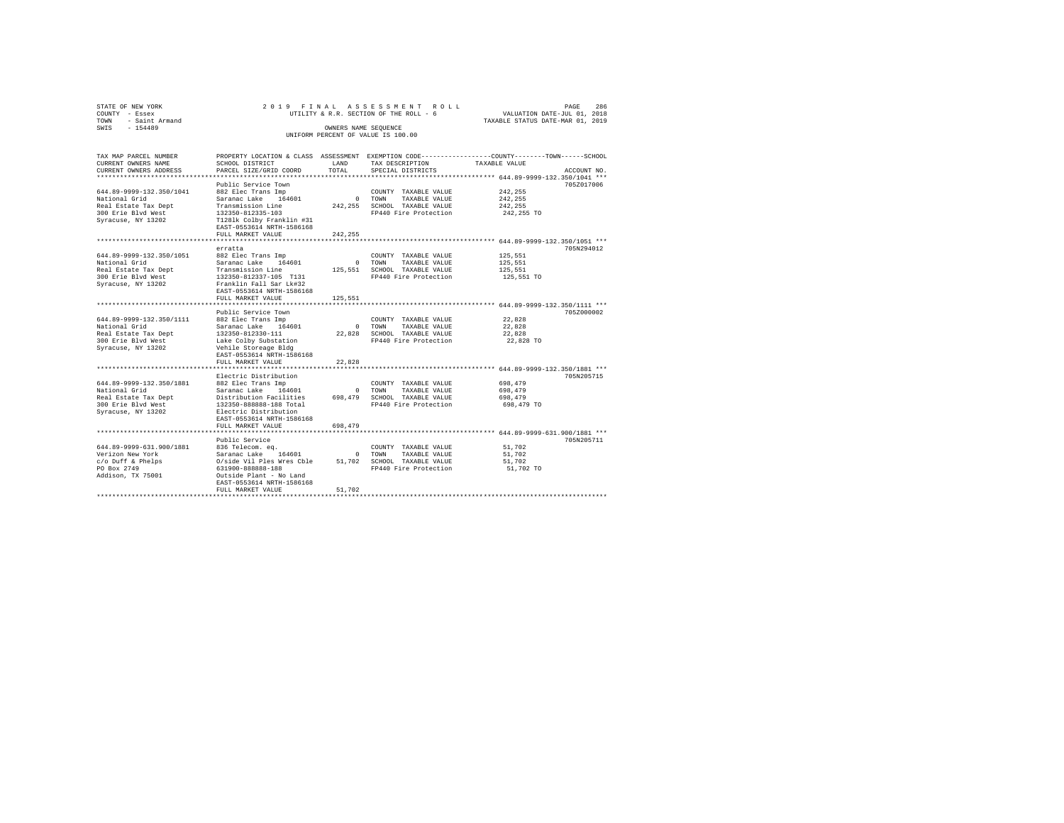| 2019 FINAL ASSESSMENT ROLL<br>STATE OF NEW YORK<br>PAGE<br>COUNTY - Essex<br>UTILITY & R.R. SECTION OF THE ROLL - 6<br>VALUATION DATE-JUL 01, 2018<br>TOWN<br>- Saint Armand<br>TAXABLE STATUS DATE-MAR 01, 2019<br>$-154489$<br>SWIS<br>OWNERS NAME SEQUENCE<br>UNIFORM PERCENT OF VALUE IS 100.00 |                                                                                                                                                                                                                                               |                                |                                                                                                       |                                                                                                                                 |  |  |  |  |
|-----------------------------------------------------------------------------------------------------------------------------------------------------------------------------------------------------------------------------------------------------------------------------------------------------|-----------------------------------------------------------------------------------------------------------------------------------------------------------------------------------------------------------------------------------------------|--------------------------------|-------------------------------------------------------------------------------------------------------|---------------------------------------------------------------------------------------------------------------------------------|--|--|--|--|
| TAX MAP PARCEL NUMBER<br>CURRENT OWNERS NAME<br>CURRENT OWNERS ADDRESS                                                                                                                                                                                                                              | SCHOOL DISTRICT<br>PARCEL SIZE/GRID COORD                                                                                                                                                                                                     | LAND<br>TOTAL.                 | TAX DESCRIPTION<br>SPECIAL DISTRICTS                                                                  | PROPERTY LOCATION & CLASS ASSESSMENT EXEMPTION CODE---------------COUNTY-------TOWN------SCHOOL<br>TAXABLE VALUE<br>ACCOUNT NO. |  |  |  |  |
| 644.89-9999-132.350/1041<br>National Grid<br>Real Estate Tax Dept<br>300 Erie Blyd West<br>Syracuse, NY 13202                                                                                                                                                                                       | Public Service Town<br>882 Elec Trans Imp<br>Saranac Lake 164601<br>Transmission Line<br>132350-812335-103<br>T1281k Colby Franklin #31<br>EAST-0553614 NRTH-1586168                                                                          | $\sim$ 0<br>242,255            | COUNTY TAXABLE VALUE<br>TOWN TAXABLE VALUE<br>SCHOOL TAXABLE VALUE<br>FP440 Fire Protection           | ********************* 644.89-9999-132.350/1041 ***<br>705Z017006<br>242,255<br>242.255<br>242.255<br>242,255 TO                 |  |  |  |  |
|                                                                                                                                                                                                                                                                                                     | FULL MARKET VALUE                                                                                                                                                                                                                             | 242.255                        |                                                                                                       |                                                                                                                                 |  |  |  |  |
| 644.89-9999-132.350/1051<br>National Grid<br>Real Estate Tax Dept<br>300 Erie Blyd West<br>Syracuse, NY 13202                                                                                                                                                                                       | erratta<br>882 Elec Trans Imp<br>Saranac Lake 164601<br>Transmission Line<br>132350-812337-105 T131<br>Franklin Fall Sar Lk#32<br>EAST-0553614 NRTH-1586168                                                                                   | $\circ$<br>125,551             | COUNTY TAXABLE VALUE<br>TOWN<br>TAXABLE VALUE<br>SCHOOL TAXABLE VALUE<br>FP440 Fire Protection        | 705N294012<br>125,551<br>125,551<br>125,551<br>125,551 TO                                                                       |  |  |  |  |
|                                                                                                                                                                                                                                                                                                     | FULL MARKET VALUE                                                                                                                                                                                                                             | 125,551                        |                                                                                                       |                                                                                                                                 |  |  |  |  |
| 644.89-9999-132.350/1111<br>National Grid<br>Real Estate Tax Dept<br>300 Erie Blvd West<br>Syracuse, NY 13202                                                                                                                                                                                       | Public Service Town<br>882 Elec Trans Imp<br>Saranac Lake 164601<br>132350-812330-111<br>Lake Colby Substation<br>Vehile Storeage Bldg<br>EAST-0553614 NRTH-1586168                                                                           | $\overline{0}$<br>22,828       | COUNTY TAXABLE VALUE<br>TOWN<br>TAXABLE VALUE<br>SCHOOL TAXABLE VALUE<br>FP440 Fire Protection        | 705Z000002<br>22.828<br>22.828<br>22.828<br>22,828 TO                                                                           |  |  |  |  |
|                                                                                                                                                                                                                                                                                                     | FULL MARKET VALUE                                                                                                                                                                                                                             | 22,828                         |                                                                                                       |                                                                                                                                 |  |  |  |  |
| 644.89-9999-132.350/1881<br>National Grid<br>Real Estate Tax Dept<br>300 Erie Blvd West<br>Syracuse, NY 13202                                                                                                                                                                                       | **************************************<br>Electric Distribution<br>882 Elec Trans Imp<br>Saranac Lake 164601<br>Distribution Facilities<br>132350-888888-188 Total<br>Electric Distribution<br>EAST-0553614 NRTH-1586168<br>FULL MARKET VALUE | $\Omega$<br>698,479<br>698,479 | COUNTY TAXABLE VALUE<br>TOWN<br>TAXABLE VALUE<br>SCHOOL TAXABLE VALUE<br>FP440 Fire Protection        | ****************************** 644.89-9999-132.350/1881 ***<br>705N205715<br>698,479<br>698,479<br>698,479<br>698,479 TO        |  |  |  |  |
|                                                                                                                                                                                                                                                                                                     |                                                                                                                                                                                                                                               |                                |                                                                                                       | ******************************* 644.89-9999-631.900/1881 ***                                                                    |  |  |  |  |
| 644.89-9999-631.900/1881<br>Verizon New York<br>c/o Duff & Phelps<br>PO Box 2749<br>Addison, TX 75001                                                                                                                                                                                               | Public Service<br>836 Telecom. eq.<br>Saranac Lake 164601<br>O/side Vil Ples Wres Cble<br>631900-888888-188<br>Outside Plant - No Land<br>EAST-0553614 NRTH-1586168<br>FULL MARKET VALUE                                                      | $\Omega$<br>51,702             | COUNTY TAXABLE VALUE<br>TOWN<br>TAXABLE VALUE<br>51,702 SCHOOL TAXABLE VALUE<br>FP440 Fire Protection | 705N205711<br>51,702<br>51,702<br>51,702<br>51,702 TO                                                                           |  |  |  |  |
|                                                                                                                                                                                                                                                                                                     |                                                                                                                                                                                                                                               |                                |                                                                                                       |                                                                                                                                 |  |  |  |  |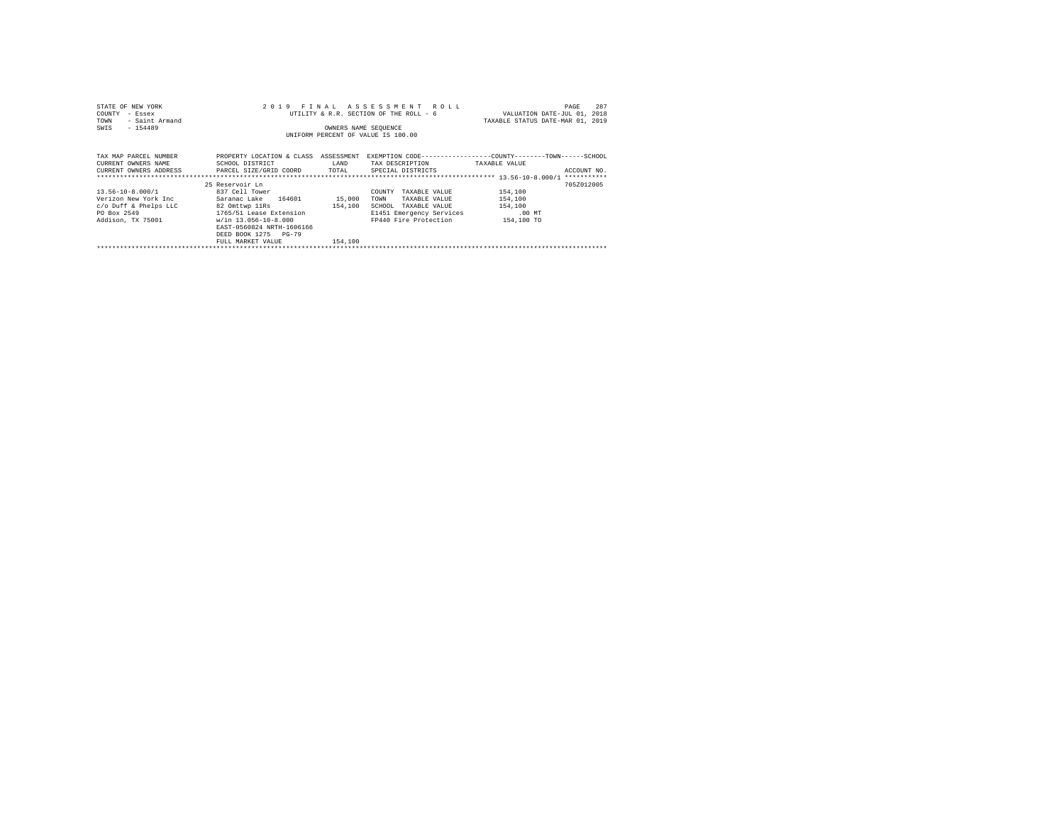| STATE OF NEW YORK<br>COUNTY<br>- Essex<br>- Saint Armand<br>TOWN<br>$-154489$<br>SWIS                 | 2019 FINAL                                                                                                                                                                                              | OWNERS NAME SEQUENCE         | ASSESSMENT ROLL<br>UTILITY & R.R. SECTION OF THE ROLL - 6<br>UNIFORM PERCENT OF VALUE IS 100.00                                  | 287<br>PAGE<br>VALUATION DATE-JUL 01, 2018<br>TAXABLE STATUS DATE-MAR 01, 2019               |  |
|-------------------------------------------------------------------------------------------------------|---------------------------------------------------------------------------------------------------------------------------------------------------------------------------------------------------------|------------------------------|----------------------------------------------------------------------------------------------------------------------------------|----------------------------------------------------------------------------------------------|--|
| TAX MAP PARCEL NUMBER<br>CURRENT OWNERS NAME<br>CURRENT OWNERS ADDRESS . PARCEL SIZE/GRID COORD TOTAL | PROPERTY LOCATION & CLASS ASSESSMENT<br>SCHOOL DISTRICT                                                                                                                                                 | LAND                         | TAX DESCRIPTION<br>SPECIAL DISTRICTS                                                                                             | EXEMPTION CODE-----------------COUNTY-------TOWN------SCHOOL<br>TAXABLE VALUE<br>ACCOUNT NO. |  |
| 13.56-10-8.000/1<br>Verizon New York Inc<br>c/o Duff & Phelps LLC<br>PO Box 2549<br>Addison, TX 75001 | 25 Reservoir Ln<br>837 Cell Tower<br>Saranac Lake 164601<br>82 Omttwp 11Rs<br>1765/51 Lease Extension<br>w/in 13.056-10-8.000<br>EAST-0560824 NRTH-1606166<br>DEED BOOK 1275 PG-79<br>FULL MARKET VALUE | 15,000<br>154,100<br>154,100 | COUNTY<br>TAXABLE VALUE<br>TAXABLE VALUE<br>TOWN<br>SCHOOL<br>TAXABLE VALUE<br>E1451 Emergency Services<br>FP440 Fire Protection | 705Z012005<br>154,100<br>154,100<br>154,100<br>$.00$ MT<br>154,100 TO                        |  |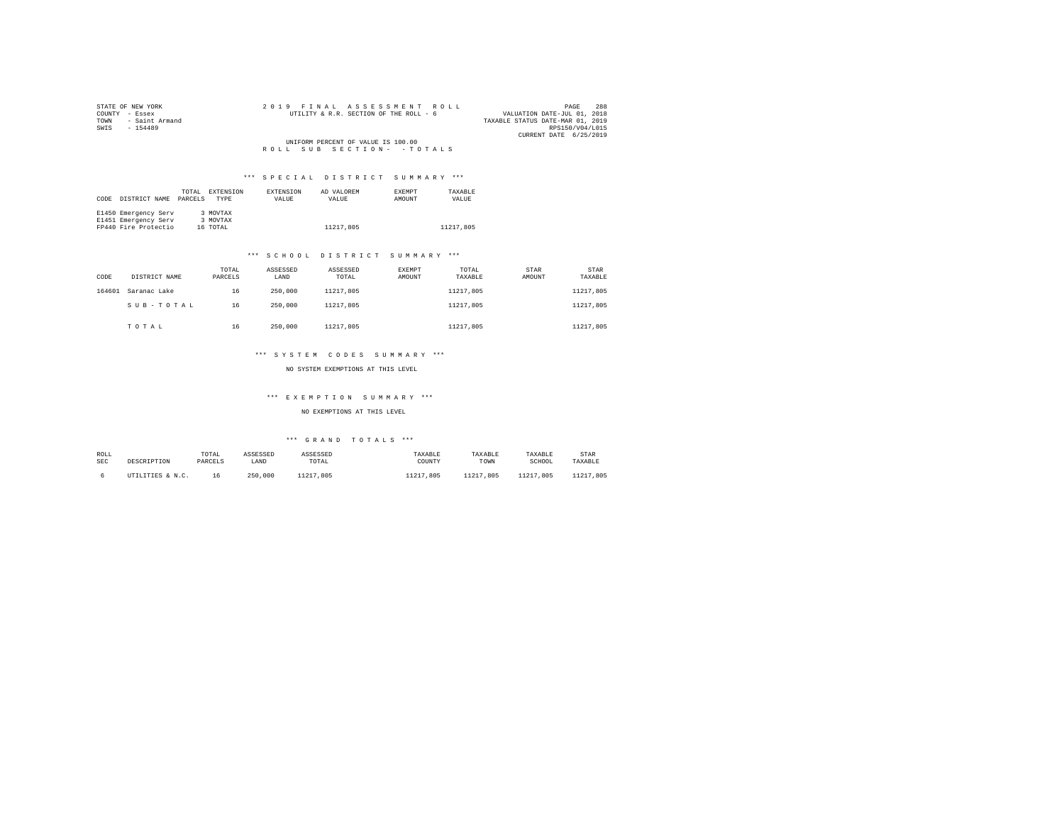| STATE OF NEW YORK   |  |  |  | 2019 FINAL ASSESSMENT ROLL             |  |  |                                  |                        | PAGE | 288 |
|---------------------|--|--|--|----------------------------------------|--|--|----------------------------------|------------------------|------|-----|
| COUNTY - Essex      |  |  |  | UTILITY & R.R. SECTION OF THE ROLL - 6 |  |  | VALUATION DATE-JUL 01, 2018      |                        |      |     |
| TOWN - Saint Armand |  |  |  |                                        |  |  | TAXABLE STATUS DATE-MAR 01, 2019 |                        |      |     |
| SWIS<br>$-154489$   |  |  |  |                                        |  |  |                                  | RPS150/V04/L015        |      |     |
|                     |  |  |  |                                        |  |  |                                  | CURRENT DATE 6/25/2019 |      |     |
|                     |  |  |  | UNIFORM PERCENT OF VALUE IS 100.00     |  |  |                                  |                        |      |     |
|                     |  |  |  | ROLL SUB SECTION- - TOTALS             |  |  |                                  |                        |      |     |

|      |                      | TOTAL   | EXTENSION   | <b>EXTENSION</b> | AD VALOREM | <b>EXEMPT</b> | TAXABLE   |
|------|----------------------|---------|-------------|------------------|------------|---------------|-----------|
| CODE | DISTRICT NAME        | PARCELS | <b>TYPE</b> | VALUE            | VALUE      | AMOUNT        | VALUE     |
|      |                      |         |             |                  |            |               |           |
|      | E1450 Emergency Serv |         | 3 MOVTAX    |                  |            |               |           |
|      | E1451 Emergency Serv |         | 3 MOVTAX    |                  |            |               |           |
|      | FP440 Fire Protectio |         | 16 TOTAL    |                  | 11217,805  |               | 11217,805 |

#### \*\*\* S C H O O L D I S T R I C T S U M M A R Y \*\*\*

| CODE   | DISTRICT NAME | TOTAL<br>PARCELS | ASSESSED<br>LAND | ASSESSED<br>TOTAL | EXEMPT<br>AMOUNT | TOTAL<br>TAXABLE | STAR<br>AMOUNT | <b>STAR</b><br>TAXABLE |
|--------|---------------|------------------|------------------|-------------------|------------------|------------------|----------------|------------------------|
| 164601 | Saranac Lake  | 16               | 250,000          | 11217,805         |                  | 11217.805        |                | 11217,805              |
|        | SUB-TOTAL     | 16               | 250,000          | 11217,805         |                  | 11217.805        |                | 11217,805              |
|        | TOTAL         | 16               | 250,000          | 11217.805         |                  | 11217.805        |                | 11217,805              |

#### \*\*\* S Y S T E M C O D E S S U M M A R Y \*\*\*

NO SYSTEM EXEMPTIONS AT THIS LEVEL

## \*\*\* E X E M P T I O N S U M M A R Y \*\*\*

#### NO EXEMPTIONS AT THIS LEVEL

| ROLL       | DESCRIPTION      | TOTAL   | ASSESSED | ASSESSED  | TAXABLE   | TAXABLE   | TAXABLE       | STAR      |
|------------|------------------|---------|----------|-----------|-----------|-----------|---------------|-----------|
| <b>SEC</b> |                  | PARCELS | LAND     | TOTAL     | COUNTY    | TOWN      | SCHOOL        | TAXABLE   |
|            | UTILITIES & N.C. | 16      | 250,000  | 11217.805 | 11217.805 | 11217.805 | 11217<br>.805 | 11217.805 |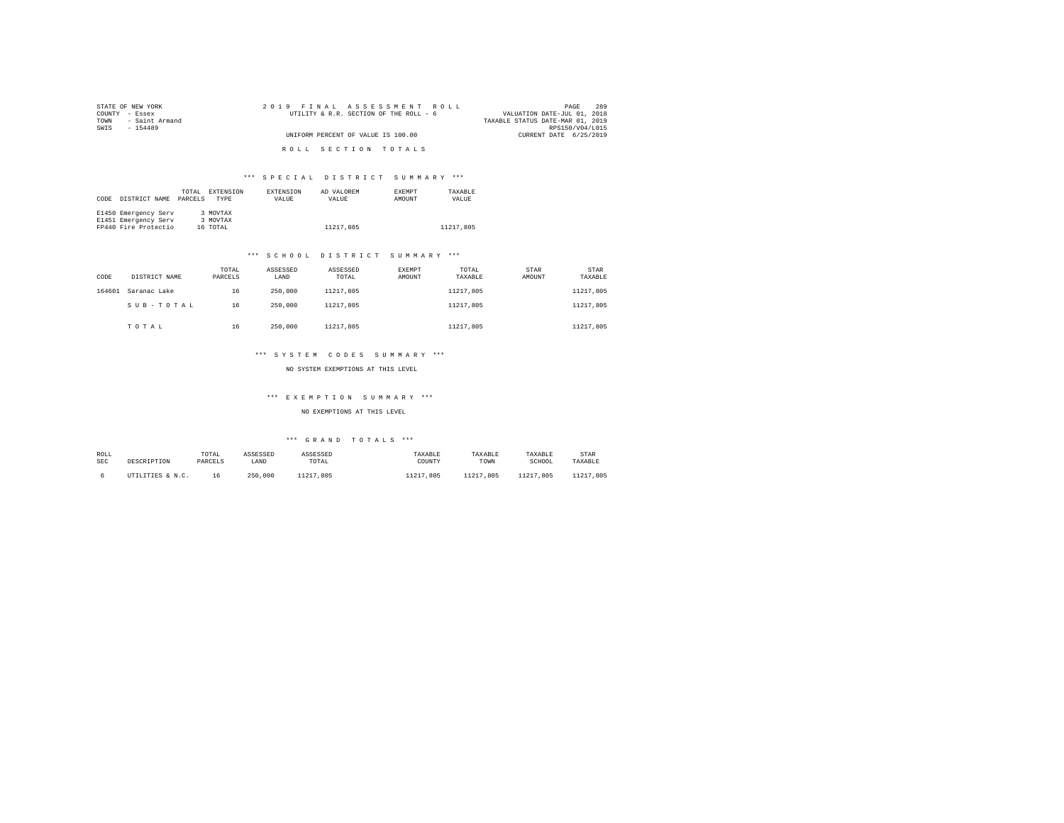| STATE OF NEW YORK      | 2019 FINAL ASSESSMENT ROLL             | 289<br>PAGE                      |
|------------------------|----------------------------------------|----------------------------------|
| COUNTY - Essex         | UTILITY & R.R. SECTION OF THE ROLL - 6 | VALUATION DATE-JUL 01, 2018      |
| - Saint Armand<br>TOWN |                                        | TAXABLE STATUS DATE-MAR 01, 2019 |
| SWTS<br>$-154489$      |                                        | RPS150/V04/L015                  |
|                        | UNIFORM PERCENT OF VALUE IS 100.00     | CURRENT DATE 6/25/2019           |
|                        |                                        |                                  |
|                        | ROLL SECTION TOTALS                    |                                  |

|      |                      | TOTAL   | EXTENSION   | <b>EXTENSION</b> | AD VALOREM | <b>EXEMPT</b> | TAXABLE   |
|------|----------------------|---------|-------------|------------------|------------|---------------|-----------|
| CODE | DISTRICT NAME        | PARCELS | <b>TYPE</b> | VALUE            | VALUE      | AMOUNT        | VALUE     |
|      |                      |         |             |                  |            |               |           |
|      | E1450 Emergency Serv |         | 3 MOVTAX    |                  |            |               |           |
|      | E1451 Emergency Serv |         | 3 MOVTAX    |                  |            |               |           |
|      | FP440 Fire Protectio |         | 16 TOTAL    |                  | 11217.805  |               | 11217.805 |

#### \*\*\* S C H O O L D I S T R I C T S U M M A R Y \*\*\*

| CODE   | DISTRICT NAME | TOTAL<br>PARCELS | ASSESSED<br>LAND | ASSESSED<br>TOTAL | EXEMPT<br>AMOUNT | TOTAL<br>TAXABLE | STAR<br>AMOUNT | <b>STAR</b><br>TAXABLE |
|--------|---------------|------------------|------------------|-------------------|------------------|------------------|----------------|------------------------|
| 164601 | Saranac Lake  | 16               | 250,000          | 11217,805         |                  | 11217.805        |                | 11217,805              |
|        | SUB-TOTAL     | 16               | 250,000          | 11217,805         |                  | 11217.805        |                | 11217.805              |
|        | TOTAL         | 16               | 250,000          | 11217.805         |                  | 11217.805        |                | 11217.805              |

#### \*\*\* S Y S T E M C O D E S S U M M A R Y \*\*\*

NO SYSTEM EXEMPTIONS AT THIS LEVEL

# \*\*\* E X E M P T I O N S U M M A R Y \*\*\*

## NO EXEMPTIONS AT THIS LEVEL

| ROLL | DESCRIPTION      | TOTAL   | ASSESSED | ASSESSED  | TAXABLE   | TAXABLE   | TAXABLE       | STAR          |
|------|------------------|---------|----------|-----------|-----------|-----------|---------------|---------------|
| SEC  |                  | PARCELS | LAND     | TOTAL     | COUNTY    | TOWN      | SCHOOL        | TAXABLE       |
|      | UTILITIES & N.C. |         | 250,000  | 11217.805 | 11217.805 | 11217.805 | 11217<br>.805 | 11217<br>.805 |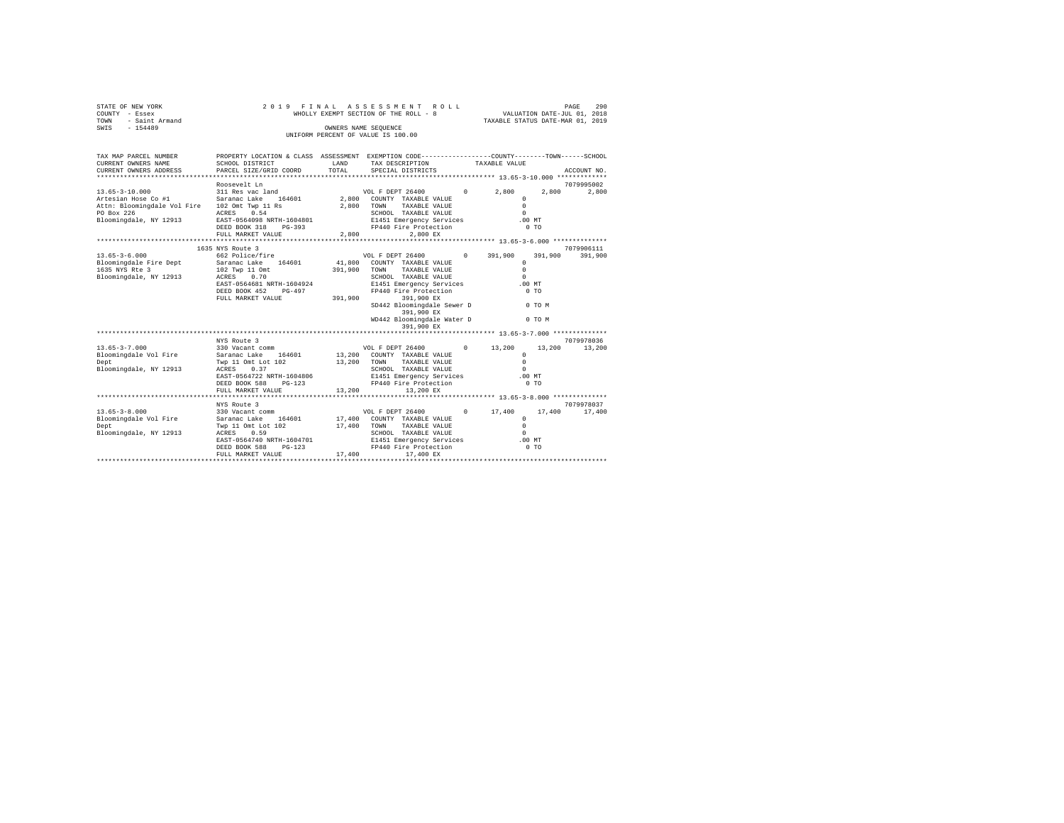| STATE OF NEW YORK<br>COUNTY - Essex<br>TOWN - Saint Armand<br>SWIS - 154489                                                                                                       |                                                                                                                                                             |             | 2019 FINAL ASSESSMENT ROLL<br>WHOLLY EXEMPT SECTION OF THE ROLL - 8                                                                                                                                                                                                                                                                                                                                                                                                       | PAGE 290<br>VALUATION DATE-JUL 01, 2018<br>TAXABLE STATUS DATE-MAR 01, 2019 |         |                       |
|-----------------------------------------------------------------------------------------------------------------------------------------------------------------------------------|-------------------------------------------------------------------------------------------------------------------------------------------------------------|-------------|---------------------------------------------------------------------------------------------------------------------------------------------------------------------------------------------------------------------------------------------------------------------------------------------------------------------------------------------------------------------------------------------------------------------------------------------------------------------------|-----------------------------------------------------------------------------|---------|-----------------------|
|                                                                                                                                                                                   |                                                                                                                                                             |             | OWNERS NAME SEQUENCE<br>UNIFORM PERCENT OF VALUE IS 100.00                                                                                                                                                                                                                                                                                                                                                                                                                |                                                                             |         |                       |
| TAX MAP PARCEL NUMBER<br>CURRENT OWNERS NAME<br>CURRENT OWNERS ADDRESS                                                                                                            | PROPERTY LOCATION & CLASS ASSESSMENT EXEMPTION CODE---------------COUNTY-------TOWN------SCHOOL<br>SCHOOL DISTRICT<br><b>LAND</b><br>PARCEL SIZE/GRID COORD | TOTAL       | TAX DESCRIPTION TAXABLE VALUE<br>SPECIAL DISTRICTS                                                                                                                                                                                                                                                                                                                                                                                                                        |                                                                             |         | ACCOUNT NO.           |
|                                                                                                                                                                                   |                                                                                                                                                             |             |                                                                                                                                                                                                                                                                                                                                                                                                                                                                           |                                                                             |         |                       |
|                                                                                                                                                                                   | Roosevelt Ln                                                                                                                                                |             |                                                                                                                                                                                                                                                                                                                                                                                                                                                                           |                                                                             |         | 7079995002            |
| $311\;\;{\rm Res\;vac\;land}$ 13.65-3-10.000<br>$311\;\;{\rm Res\;vac\;land}$<br>$314\;\;{\rm Res\;vac\;land}$ 164601<br>Attn: Bloomingdale Vol Fire 102 Omt Twp 11 Rs 2,800 TOWN |                                                                                                                                                             |             | $\begin{tabular}{ccccc} VOL & F DEPT & 26400 & & & & & & 2,800 \\ & & & & & & & 2,800 \\ 2,800 & \multicolumn{3}{c}{} & \multicolumn{3}{c}{} & \multicolumn{3}{c}{} & \multicolumn{3}{c}{} & \multicolumn{3}{c}{} & \multicolumn{3}{c}{} & \multicolumn{3}{c}{} & \multicolumn{3}{c}{} & \multicolumn{3}{c}{} & \multicolumn{3}{c}{} & \multicolumn{3}{c}{} & \multicolumn{3}{c}{} & \multicolumn{3}{c}{} & \multicolumn{3}{c}{} & \multicolumn{3}{c}{}$<br>TAXABLE VALUE | $\Omega$<br>$\Omega$                                                        |         | 2,800 2,800           |
| PO Box 226<br>Bloomingdale, NY 12913                                                                                                                                              | ACRES 0.54<br>ALKES U.34<br>EAST-0564098 NRTH-1604801 – E1451 Emergency Services<br>PERD ROOK 318 – PG-393 – PP440 Fire Protection                          |             | SCHOOL TAXABLE VALUE                                                                                                                                                                                                                                                                                                                                                                                                                                                      | $\sim$<br>.00 MT<br>$0$ TO                                                  |         |                       |
|                                                                                                                                                                                   | FULL MARKET VALUE 2,800                                                                                                                                     |             | 2,800 EX                                                                                                                                                                                                                                                                                                                                                                                                                                                                  |                                                                             |         |                       |
|                                                                                                                                                                                   |                                                                                                                                                             |             |                                                                                                                                                                                                                                                                                                                                                                                                                                                                           |                                                                             |         |                       |
| $13.65 - 3 - 6.000$<br>Bloomingdale Fire Dept                                                                                                                                     | 1635 NYS Route 3<br>662 Police/fire<br>Saranac Lake 164601                                                                                                  |             | VOL F DEPT 26400 0 391,900<br>41,800 COUNTY TAXABLE VALUE                                                                                                                                                                                                                                                                                                                                                                                                                 | $\Omega$                                                                    | 391,900 | 7079906111<br>391,900 |
| 1635 NYS Rte 3<br>Bloomingdale, NY 12913                                                                                                                                          | 102 Twp 11 Omt<br>ACRES 0.70                                                                                                                                | 391,900     | TAXABLE VALUE<br>TOWN<br>SCHOOL TAXABLE VALUE                                                                                                                                                                                                                                                                                                                                                                                                                             | $\Omega$<br>$\Omega$                                                        |         |                       |
|                                                                                                                                                                                   | EAST-0564681 NRTH-1604924<br>DEED BOOK 452 PG-497<br>FULL MARKET VALUE 391.900 391.900 EX                                                                   |             | E1451 Emergency Services .00 MT<br>FP440 Fire Protection                                                                                                                                                                                                                                                                                                                                                                                                                  | $0$ TO                                                                      |         |                       |
|                                                                                                                                                                                   |                                                                                                                                                             |             | SD442 Bloomingdale Sewer D<br>391,900 EX                                                                                                                                                                                                                                                                                                                                                                                                                                  | 0 TO M                                                                      |         |                       |
|                                                                                                                                                                                   |                                                                                                                                                             |             | WD442 Bloomingdale Water D<br>391,900 EX                                                                                                                                                                                                                                                                                                                                                                                                                                  |                                                                             | 0 TO M  |                       |
|                                                                                                                                                                                   |                                                                                                                                                             |             |                                                                                                                                                                                                                                                                                                                                                                                                                                                                           |                                                                             |         | 7079978036            |
| $13.65 - 3 - 7.000$<br>Bloomingdale Vol Fire<br>Dept                                                                                                                              | Saranac Lake 164601<br>Twp 11 Omt Lot 102                                                                                                                   | 13,200 TOWN | 13,200 COUNTY TAXABLE VALUE<br>13,200 TOWN TAXABLE VALUE                                                                                                                                                                                                                                                                                                                                                                                                                  | $\Omega$<br>$\Omega$                                                        | 13,200  | 13,200                |
| Bloomingdale, NY 12913                                                                                                                                                            | ACRES 0.37<br>EAST-0564722 NRTH-1604806<br>DEED BOOK 588 PG-123                                                                                             |             | SCHOOL TAXABLE VALUE<br>E1451 Emergency Services .00 MT<br>FP440 Fire Protection                                                                                                                                                                                                                                                                                                                                                                                          | $\cap$<br>$0$ TO                                                            |         |                       |
|                                                                                                                                                                                   | FULL MARKET VALUE                                                                                                                                           | 13,200      | 13,200 EX                                                                                                                                                                                                                                                                                                                                                                                                                                                                 |                                                                             |         |                       |
|                                                                                                                                                                                   | NYS Route 3                                                                                                                                                 |             |                                                                                                                                                                                                                                                                                                                                                                                                                                                                           |                                                                             |         | 7079978037            |
| $13.65 - 3 - 8.000$<br>Bloomingdale Vol Fire<br>Dept<br>Bloomingdale, NY 12913                                                                                                    | 330 Vacant comm<br>Saranac Lake 164601<br>Twp 11 Omt Lot 102<br>ACRES 0.59<br>ACRES<br>0.59<br>EAST-0564740 NRTH-1604701                                    |             | VOL F DEPT 26400 0 17,400<br>17,400 COUNTY TAXABLE VALUE<br>17,400 TOWN<br>TAXABLE VALUE<br>SCHOOL TAXABLE VALUE<br>E1451 Emergency Services                                                                                                                                                                                                                                                                                                                              | $^{\circ}$<br>$\Omega$<br>$\Omega$<br>.00MT                                 |         | 17,400 17,400         |
|                                                                                                                                                                                   | DEED BOOK 588 PG-123<br>FULL MARKET VALUE                                                                                                                   |             | FP440 Fire Protection<br>17,400 17,400 EX                                                                                                                                                                                                                                                                                                                                                                                                                                 | $0$ TO                                                                      |         |                       |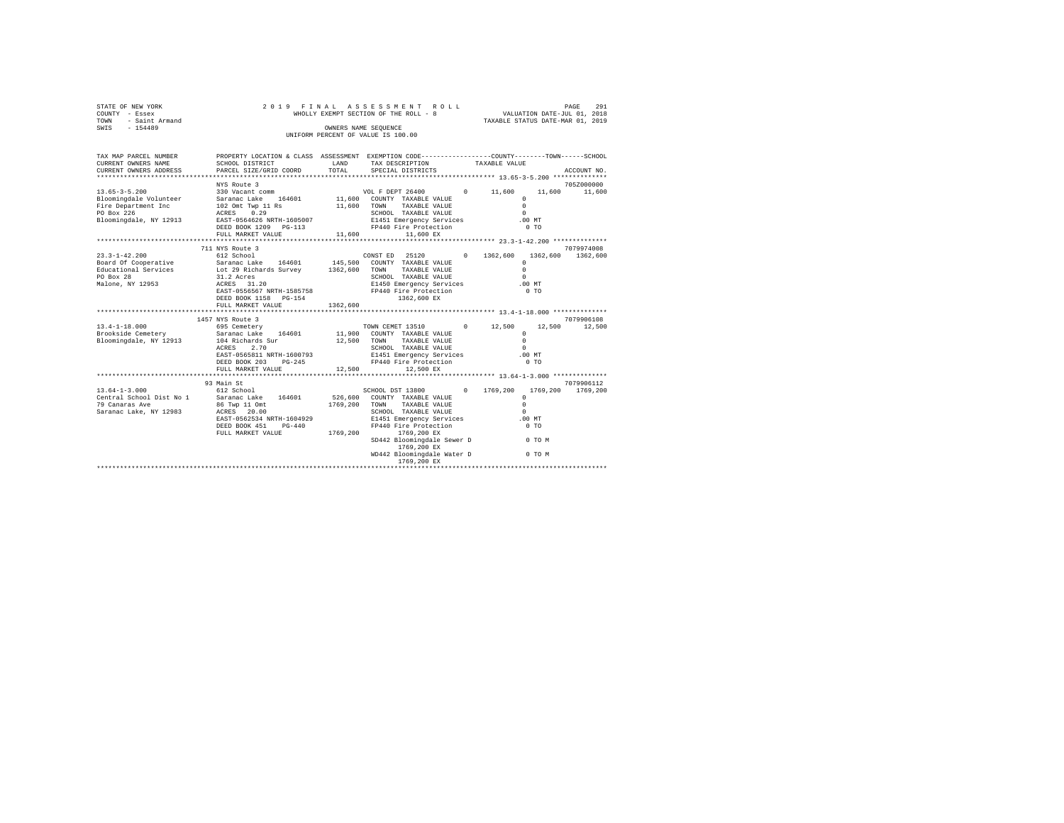| STATE OF NEW YORK<br>COUNTY - Essex<br>TOWN<br>- Saint Armand<br>$-154489$<br>SWIS                           | 2019 FINAL                                                                                                                                                                                                |                      | ASSESSMENT ROLL<br>WHOLLY EXEMPT SECTION OF THE ROLL - 8<br>OWNERS NAME SEQUENCE<br>UNIFORM PERCENT OF VALUE IS 100.00                                                                                                                                          |                        | VALUATION DATE-JUL 01, 2018<br>TAXABLE STATUS DATE-MAR 01, 2019                                               | 291<br>PAGE            |
|--------------------------------------------------------------------------------------------------------------|-----------------------------------------------------------------------------------------------------------------------------------------------------------------------------------------------------------|----------------------|-----------------------------------------------------------------------------------------------------------------------------------------------------------------------------------------------------------------------------------------------------------------|------------------------|---------------------------------------------------------------------------------------------------------------|------------------------|
| TAX MAP PARCEL NUMBER<br>CURRENT OWNERS NAME<br>CURRENT OWNERS ADDRESS                                       | PROPERTY LOCATION & CLASS ASSESSMENT EXEMPTION CODE---------------COUNTY-------TOWN------SCHOOL<br>SCHOOL DISTRICT<br>PARCEL SIZE/GRID COORD                                                              | LAND<br>TOTAL        | TAX DESCRIPTION<br>SPECIAL DISTRICTS                                                                                                                                                                                                                            |                        | TAXABLE VALUE                                                                                                 | ACCOUNT NO.            |
|                                                                                                              | NYS Route 3                                                                                                                                                                                               |                      |                                                                                                                                                                                                                                                                 |                        |                                                                                                               | 705Z000000             |
| $13.65 - 3 - 5.200$<br>Bloomingdale Volunteer<br>Fire Department Inc<br>PO Box 226<br>Bloomingdale, NY 12913 | 330 Vacant comm<br>Saranac Lake 164601<br>102 Omt Twp 11 Rs<br>ACRES 0.29<br>EAST-0564626 NRTH-1605007<br>DEED BOOK 1209 PG-113                                                                           | 11,600               | VOL F DEPT 26400<br>11,600 COUNTY TAXABLE VALUE<br>TOWN<br>TAXABLE VALUE<br>SCHOOL TAXABLE VALUE<br>E1451 Emergency Services<br>FP440 Fire Protection                                                                                                           | 11,600<br>$\circ$      | 11,600<br>$^{\circ}$<br>$\Omega$<br>$\Omega$<br>$.00$ MT<br>$0$ TO                                            | 11,600                 |
|                                                                                                              | FULL MARKET VALUE                                                                                                                                                                                         | 11,600               | 11,600 EX                                                                                                                                                                                                                                                       |                        |                                                                                                               |                        |
|                                                                                                              | 711 NYS Route 3                                                                                                                                                                                           |                      |                                                                                                                                                                                                                                                                 |                        |                                                                                                               | 7079974008             |
| $23.3 - 1 - 42.200$<br>Board Of Cooperative<br>Educational Services<br>PO Box 28<br>Malone, NY 12953         | 612 School<br>Saranac Lake 164601 145,500 COUNTY TAXABLE VALUE<br>Lot 29 Richards Survey 1362,600<br>31.2 Acres<br>ACRES 31.20<br>EAST-0556567 NRTH-1585758<br>DEED BOOK 1158 PG-154<br>FULL MARKET VALUE | 1362,600             | CONST ED 25120<br>TAXABLE VALUE<br>TOWN<br>SCHOOL TAXABLE VALUE<br>E1450 Emergency Services<br>FP440 Fire Protection<br>1362,600 EX                                                                                                                             | 1362,600<br>$^{\circ}$ | $\Omega$<br>$\Omega$<br>$\Omega$<br>.00MT<br>0 <sub>T</sub>                                                   | 1362,600 1362,600      |
|                                                                                                              |                                                                                                                                                                                                           |                      |                                                                                                                                                                                                                                                                 |                        |                                                                                                               |                        |
|                                                                                                              | 1457 NYS Route 3                                                                                                                                                                                          |                      |                                                                                                                                                                                                                                                                 |                        |                                                                                                               | 7079906108             |
| $13.4 - 1 - 18.000$<br>Brookside Cemetery<br>Bloomingdale, NY 12913                                          | 695 Cemetery<br>Saranac Lake 164601<br>104 Richards Sur<br>2.70<br>ACRES<br>EAST-0565811 NRTH-1600793<br>DEED BOOK 203<br>$PG-245$<br>FULL MARKET VALUE                                                   | 12,500<br>12,500     | TOWN CEMET 13510<br>11,900 COUNTY TAXABLE VALUE<br>TOWN<br>TAXABLE VALUE<br>SCHOOL TAXABLE VALUE<br>E1451 Emergency Services<br>FP440 Fire Protection<br>12,500 EX                                                                                              | $\Omega$<br>12,500     | 12,500<br>$\Omega$<br>$\Omega$<br>$\Omega$<br>.00MT<br>0 <sub>T</sub>                                         | 12,500                 |
|                                                                                                              |                                                                                                                                                                                                           |                      |                                                                                                                                                                                                                                                                 |                        |                                                                                                               |                        |
| $13.64 - 1 - 3.000$<br>Central School Dist No 1<br>79 Canaras Ave<br>Saranac Lake, NY 12983                  | 93 Main St<br>612 School<br>Saranac Lake 164601<br>86 Twp 11 Omt<br>ACRES 20.00<br>EAST-0562534 NRTH-1604929<br>DEED BOOK 451<br>$PG-440$<br>FULL MARKET VALUE                                            | 1769,200<br>1769.200 | SCHOOL DST 13800<br>526,600 COUNTY TAXABLE VALUE<br>TOWN<br>TAXABLE VALUE<br>SCHOOL TAXABLE VALUE<br>E1451 Emergency Services<br>FP440 Fire Protection<br>1769,200 EX<br>SD442 Bloomingdale Sewer D<br>1769,200 EX<br>WD442 Bloomingdale Water D<br>1769,200 EX | $\Omega$<br>1769,200   | 1769,200<br>$\Omega$<br>$\Omega$<br>$\Omega$<br>$.00$ MT<br>0 <sub>T</sub><br><b>COMPANY</b> OF TOM<br>0 TO M | 7079906112<br>1769.200 |
|                                                                                                              |                                                                                                                                                                                                           |                      |                                                                                                                                                                                                                                                                 |                        |                                                                                                               |                        |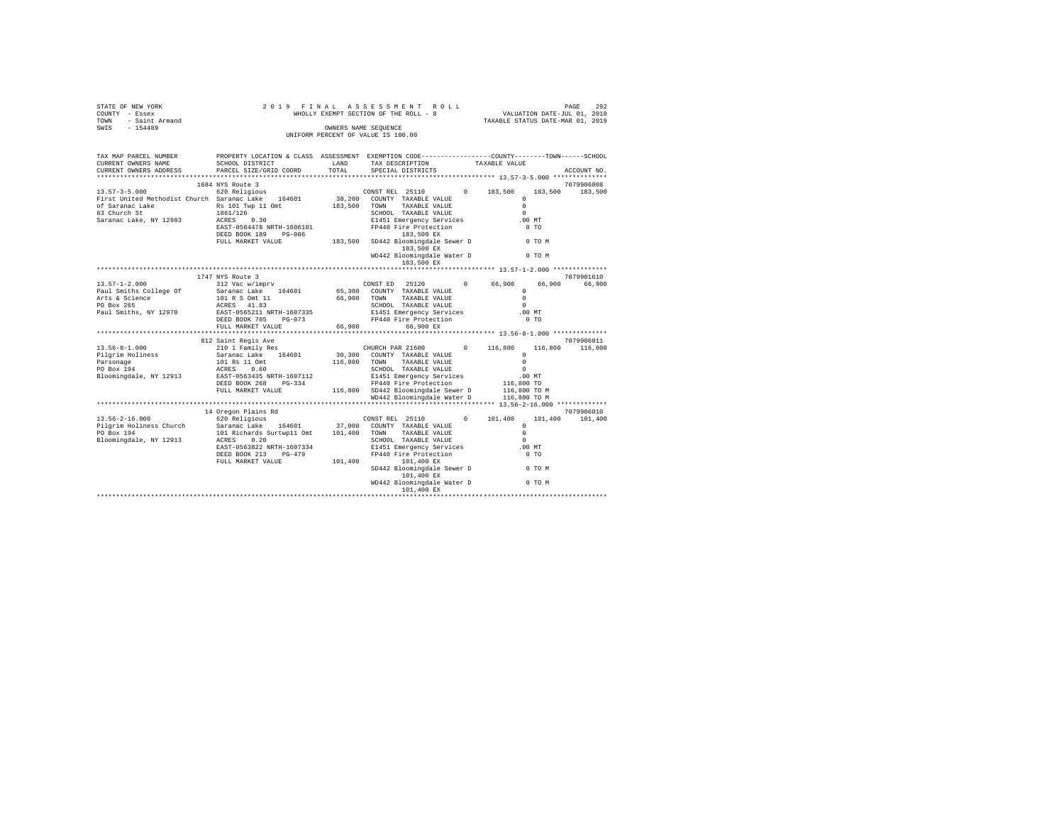| OF NEW YORK<br>Y - Essex<br>- Saint Armand<br>- 154489<br>STATE OF NEW YORK<br>COUNTY - Essex<br>TOWN | 2019 FINAL                                                                                                                                           |         | PAGE 292 PAGE 292<br>WHOLLY EXEMPT SECTION OF THE ROLL - 8 WILLUATION DATE-JUL 01, 2018<br>TAXABLE STATUS DATE-MAR 01, 2019 |                      |                                  |
|-------------------------------------------------------------------------------------------------------|------------------------------------------------------------------------------------------------------------------------------------------------------|---------|-----------------------------------------------------------------------------------------------------------------------------|----------------------|----------------------------------|
| SWIS                                                                                                  |                                                                                                                                                      |         | OWNERS NAME SEQUENCE<br>UNIFORM PERCENT OF VALUE IS 100.00                                                                  |                      |                                  |
| TAX MAP PARCEL NUMBER<br>CURRENT OWNERS NAME<br>CURRENT OWNERS ADDRESS                                | PROPERTY LOCATION & CLASS ASSESSMENT EXEMPTION CODE---------------COUNTY-------TOWN------SCHOOL<br>LAND<br>SCHOOL DISTRICT<br>PARCEL SIZE/GRID COORD | TOTAL   | TAX DESCRIPTION<br>SPECIAL DISTRICTS                                                                                        | TAXABLE VALUE        | ACCOUNT NO.                      |
|                                                                                                       | 1684 NYS Route 3                                                                                                                                     |         |                                                                                                                             |                      | 7079906008                       |
| $13.57 - 3 - 5.000$                                                                                   | 1001 MiD Modec 5<br>620 Religious                                                                                                                    |         | CONSTREL 25110 0 183,500                                                                                                    |                      | 183,500<br>183,500               |
| First United Methodist Church Saranac Lake 164601                                                     |                                                                                                                                                      |         | 38,200 COUNTY TAXABLE VALUE                                                                                                 | $\Omega$             |                                  |
|                                                                                                       | Saranac Lake 164601 38,200 COUNTY TAXABLE VALUE<br>Rs 101 Twp 11 Omt 183,500 TOWN TAXABLE VALUE                                                      |         |                                                                                                                             | $\Omega$             |                                  |
| of Saranac Lake<br>63 Church St                                                                       | 1861/126<br>ACRES 0.30                                                                                                                               |         | SCHOOL TAXABLE VALUE                                                                                                        | $\Omega$             |                                  |
| Saranac Lake, NY 12983                                                                                |                                                                                                                                                      |         | E1451 Emergency Services<br>FP440 Fire Protection                                                                           | $.00$ MT             |                                  |
|                                                                                                       |                                                                                                                                                      |         |                                                                                                                             |                      |                                  |
|                                                                                                       |                                                                                                                                                      |         | 183,500 EX                                                                                                                  |                      |                                  |
|                                                                                                       |                                                                                                                                                      |         | WD442 Bloomingdale Water D 0 TO M<br>183,500 EX                                                                             |                      |                                  |
|                                                                                                       |                                                                                                                                                      |         |                                                                                                                             |                      |                                  |
|                                                                                                       | 1747 NYS Route 3                                                                                                                                     |         |                                                                                                                             |                      | 7079901610                       |
| $13.57 - 1 - 2.000$                                                                                   | 312 Vac w/imprv                                                                                                                                      |         | CONST ED 25120                                                                                                              | 0 66,900<br>$\Omega$ | 66,900<br>66,900                 |
| Paul Smiths College Of                                                                                | Saranac Lake 164601                                                                                                                                  |         | 65,300 COUNTY TAXABLE VALUE<br>66,900 TOWN TAXABLE VALUE                                                                    | $\Omega$             |                                  |
| Arts & Science<br>PO Box 265                                                                          | 101 R S Omt 11<br>ACRES 41.83                                                                                                                        |         | SCHOOL TAXABLE VALUE                                                                                                        | $\cap$               |                                  |
| Paul Smiths, NY 12970                                                                                 | EAST-0565211 NRTH-1607335                                                                                                                            |         |                                                                                                                             | $.00$ MT             |                                  |
|                                                                                                       | DEED BOOK 705 PG-073                                                                                                                                 |         | E1451 Emergency Services<br>FP440 Fire Protection                                                                           | 0.70                 |                                  |
|                                                                                                       | FULL MARKET VALUE                                                                                                                                    | 66,900  | 66,900 EX                                                                                                                   |                      |                                  |
|                                                                                                       |                                                                                                                                                      |         |                                                                                                                             |                      |                                  |
| $13.56 - 8 - 1.000$                                                                                   | 812 Saint Regis Ave<br>210 1 Family Res                                                                                                              |         | CHURCH PAR 21600                                                                                                            | 0 116,800            | 7079906011<br>116,800<br>116,800 |
| Pilgrim Holiness                                                                                      |                                                                                                                                                      |         | 30,300 COUNTY TAXABLE VALUE                                                                                                 | $\Omega$             |                                  |
|                                                                                                       | Saranac Lake 164601<br>101 Rs 11 Omt                                                                                                                 |         | 116,800 TOWN TAXABLE VALUE                                                                                                  | $\Omega$             |                                  |
| Parsonage<br>PO Box 194                                                                               | ACRES 0.60                                                                                                                                           |         | SCHOOL TAXABLE VALUE                                                                                                        | $\sim$               |                                  |
| Bloomingdale, NY 12913                                                                                | EAST-0563435 NRTH-1607112                                                                                                                            |         | E1451 Emergency Services                                                                                                    | .00MT                |                                  |
|                                                                                                       | DEED BOOK 268 PG-334                                                                                                                                 |         | FP440 Fire Protection                                                                                                       | 116,800 TO           |                                  |
|                                                                                                       | FULL MARKET VALUE                                                                                                                                    |         | 116,800 SD442 Bloomingdale Sewer D 116,800 TO M<br>WD442 Bloomingdale Water D 116,800 TO M                                  |                      |                                  |
|                                                                                                       |                                                                                                                                                      |         |                                                                                                                             |                      |                                  |
|                                                                                                       | 14 Oregon Plains Rd                                                                                                                                  |         |                                                                                                                             |                      | 7079906010                       |
| $13.56 - 2 - 16.000$                                                                                  | 620 Religious                                                                                                                                        |         | CONST REL 25110                                                                                                             | 101,400<br>$\Omega$  | 101,400<br>101,400               |
| Pilgrim Holiness Church                                                                               |                                                                                                                                                      |         |                                                                                                                             | $\Omega$             |                                  |
| PO Box 194                                                                                            | Saranac Lake 164601 37,000 COUNTY TAXABLE VALUE<br>101 Richards Surtwp11 Omt 101,400 TOWN TAXABLE VALUE                                              |         |                                                                                                                             | $\Omega$             |                                  |
| Bloomingdale, NY 12913                                                                                | ACRES 0.20                                                                                                                                           |         | SCHOOL TAXABLE VALUE                                                                                                        | $\Omega$             |                                  |
|                                                                                                       | EAST-0563822 NRTH-1607334                                                                                                                            |         | E1451 Emergency Services                                                                                                    | .00MT                |                                  |
|                                                                                                       | DEED BOOK 213 PG-479<br>FULL MARKET VALUE                                                                                                            | 101,400 | FP440 Fire Protection<br>101,400 EX                                                                                         | $0$ TO               |                                  |
|                                                                                                       |                                                                                                                                                      |         | SD442 Bloomingdale Sewer D<br>101,400 EX                                                                                    | 0 TO M               |                                  |
|                                                                                                       |                                                                                                                                                      |         | WD442 Bloomingdale Water D 0 TO M                                                                                           |                      |                                  |
|                                                                                                       |                                                                                                                                                      |         |                                                                                                                             |                      |                                  |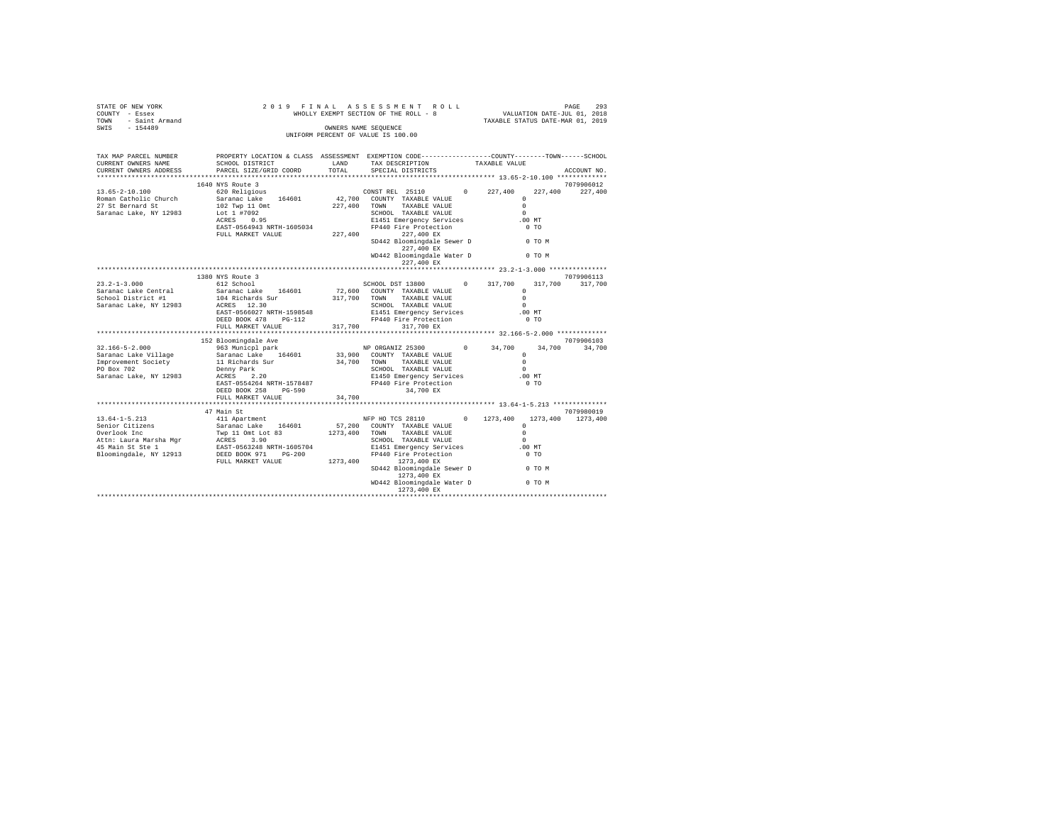| STATE OF NEW YORK<br>COUNTY - Essex<br>TOWN - Saint Armand<br>SWIS - 154489                                                                                                                                                                                                | 2019 FINAL                                                                                                         | PAGE 293 PAGE 293<br>WHOLLY EXEMPT SECTION OF THE ROLL - 8 WALUATION DATE-JUL 01, 2018<br>TAXABLE STATUS DATE-MAR 01, 2019 |                      |                   |
|----------------------------------------------------------------------------------------------------------------------------------------------------------------------------------------------------------------------------------------------------------------------------|--------------------------------------------------------------------------------------------------------------------|----------------------------------------------------------------------------------------------------------------------------|----------------------|-------------------|
|                                                                                                                                                                                                                                                                            |                                                                                                                    | OWNERS NAME SEQUENCE<br>UNIFORM PERCENT OF VALUE IS 100.00                                                                 |                      |                   |
|                                                                                                                                                                                                                                                                            |                                                                                                                    |                                                                                                                            |                      |                   |
| TAX MAP PARCEL NUMBER<br>CURRENT OWNERS NAME                                                                                                                                                                                                                               | PROPERTY LOCATION & CLASS ASSESSMENT EXEMPTION CODE---------------COUNTY-------TOWN------SCHOOL<br>SCHOOL DISTRICT | LAND TAX DESCRIPTION TAXABLE VALUE TOTAL SPECIAL DISTRICTS                                                                 |                      |                   |
| CURRENT OWNERS ADDRESS                                                                                                                                                                                                                                                     | PARCEL SIZE/GRID COORD                                                                                             |                                                                                                                            |                      | ACCOUNT NO.       |
|                                                                                                                                                                                                                                                                            | 1640 NYS Route 3                                                                                                   |                                                                                                                            |                      | 7079906012        |
| $13.65 - 2 - 10.100$                                                                                                                                                                                                                                                       |                                                                                                                    |                                                                                                                            |                      |                   |
| Roman Catholic Church                                                                                                                                                                                                                                                      |                                                                                                                    |                                                                                                                            |                      |                   |
| 27 St Bernard St                                                                                                                                                                                                                                                           |                                                                                                                    |                                                                                                                            |                      |                   |
| Saranac Lake, NY 12983                                                                                                                                                                                                                                                     |                                                                                                                    |                                                                                                                            |                      |                   |
|                                                                                                                                                                                                                                                                            |                                                                                                                    |                                                                                                                            | $.00$ MT             |                   |
|                                                                                                                                                                                                                                                                            |                                                                                                                    |                                                                                                                            | $0$ TO               |                   |
|                                                                                                                                                                                                                                                                            |                                                                                                                    |                                                                                                                            |                      |                   |
|                                                                                                                                                                                                                                                                            |                                                                                                                    | SD442 Bloomingdale Sewer D 0 TO M<br>227,400 EX                                                                            |                      |                   |
|                                                                                                                                                                                                                                                                            |                                                                                                                    | WD442 Bloomingdale Water D 0 TO M<br>227,400 EX                                                                            |                      |                   |
|                                                                                                                                                                                                                                                                            |                                                                                                                    |                                                                                                                            |                      |                   |
|                                                                                                                                                                                                                                                                            | 1380 NYS Route 3                                                                                                   |                                                                                                                            |                      | 7079906113        |
| $23.2 - 1 - 3.000$                                                                                                                                                                                                                                                         | 612 School                                                                                                         | SCHOOL DST 13800 0 317,700                                                                                                 |                      | 317,700 317,700   |
| Saranac Lake Central                                                                                                                                                                                                                                                       | Saranac Lake 164601                                                                                                | 72,600 COUNTY TAXABLE VALUE                                                                                                | $\Omega$<br>$\Omega$ |                   |
| School District #1<br>Saranac Lake, NY 12983                                                                                                                                                                                                                               | 104 Richards Sur<br>ACRES 12.30                                                                                    | 317,700 TOWN TAXABLE VALUE<br>SCHOOL TAXABLE VALUE                                                                         |                      |                   |
|                                                                                                                                                                                                                                                                            | EAST-0566027 NRTH-1598548                                                                                          |                                                                                                                            |                      |                   |
|                                                                                                                                                                                                                                                                            | DEED BOOK 478 PG-112                                                                                               |                                                                                                                            |                      |                   |
|                                                                                                                                                                                                                                                                            | FULL MARKET VALUE                                                                                                  | SCHOOL TAXABLE VALUE<br>E1451 Emergency Services 00 MT<br>FP440 Fire Protection 0 TO<br>237 TAO FY<br>317,700 317,700 EX   |                      |                   |
|                                                                                                                                                                                                                                                                            |                                                                                                                    |                                                                                                                            |                      |                   |
|                                                                                                                                                                                                                                                                            | 152 Bloomingdale Ave                                                                                               |                                                                                                                            |                      | 7079906103        |
| $32.166 - 5 - 2.000$                                                                                                                                                                                                                                                       | 963 Municpl park                                                                                                   | NP ORGANIZ 25300 0 34,700                                                                                                  |                      | 34,700 34,700     |
|                                                                                                                                                                                                                                                                            |                                                                                                                    |                                                                                                                            |                      |                   |
|                                                                                                                                                                                                                                                                            |                                                                                                                    |                                                                                                                            |                      |                   |
|                                                                                                                                                                                                                                                                            |                                                                                                                    |                                                                                                                            |                      |                   |
|                                                                                                                                                                                                                                                                            |                                                                                                                    |                                                                                                                            |                      |                   |
|                                                                                                                                                                                                                                                                            |                                                                                                                    |                                                                                                                            |                      |                   |
|                                                                                                                                                                                                                                                                            | FULL MARKET VALUE                                                                                                  | $34,700$<br>34,700 EX<br>$34,700$                                                                                          |                      |                   |
|                                                                                                                                                                                                                                                                            |                                                                                                                    |                                                                                                                            |                      |                   |
|                                                                                                                                                                                                                                                                            | 47 Main St                                                                                                         |                                                                                                                            |                      | 7079980019        |
|                                                                                                                                                                                                                                                                            |                                                                                                                    |                                                                                                                            |                      | 1273,400 1273,400 |
|                                                                                                                                                                                                                                                                            |                                                                                                                    |                                                                                                                            | $\Omega$             |                   |
|                                                                                                                                                                                                                                                                            |                                                                                                                    |                                                                                                                            |                      |                   |
|                                                                                                                                                                                                                                                                            |                                                                                                                    |                                                                                                                            |                      |                   |
|                                                                                                                                                                                                                                                                            |                                                                                                                    |                                                                                                                            | $.00$ MT             |                   |
| $\begin{tabular}{l c c c c c} \hline 13.64-1-5.213 & 47 Mant & 81 & 844445 & 140445 & 14045 & 14045 & 14045 & 14045 & 14045 & 14045 & 14045 & 14045 & 14045 & 14045 & 14045 & 14045 & 14045 & 14045 & 14045 & 14045 & 14045 & 14045 & 14045 & 14045 & 14045 & 14045 & 140$ |                                                                                                                    |                                                                                                                            | $0$ TO               |                   |
|                                                                                                                                                                                                                                                                            |                                                                                                                    | SD442 Bloomingdale Sewer D 0 TO M<br>1273,400 EX                                                                           |                      |                   |
|                                                                                                                                                                                                                                                                            |                                                                                                                    | WD442 Bloomingdale Water D 0 TO M                                                                                          |                      |                   |
|                                                                                                                                                                                                                                                                            |                                                                                                                    |                                                                                                                            |                      |                   |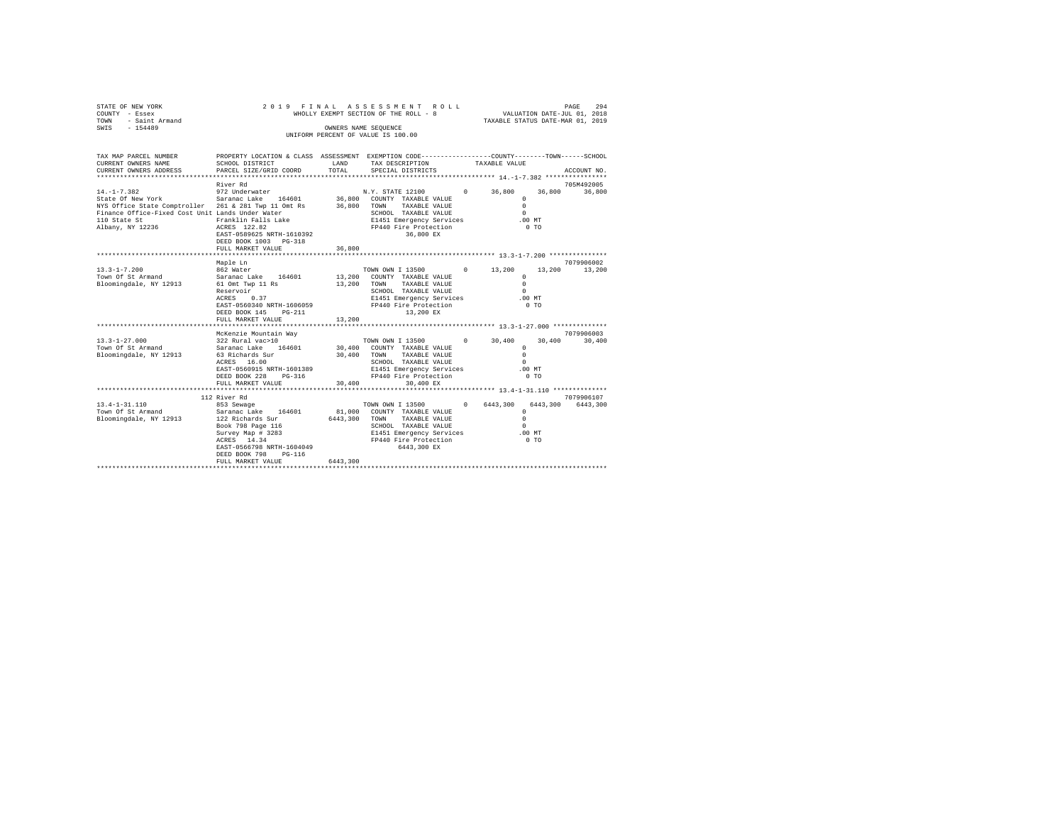| STATE OF NEW YORK<br>COUNTY - Essex<br>TOWN<br>- Saint Armand<br>SWIS - 154489                                                                                                                                    | 2019 FINAL                                                                                                                                                                                  |               | ASSESSMENT ROLL<br>WHOLLY EXEMPT SECTION OF THE ROLL - 8<br>OWNERS NAME SEOUENCE<br>UNIFORM PERCENT OF VALUE IS 100.00                                                                                                             |               | VALUATION DATE-JUL 01, 2018<br>TAXABLE STATUS DATE-MAR 01, 2019              | PAGE<br>294          |
|-------------------------------------------------------------------------------------------------------------------------------------------------------------------------------------------------------------------|---------------------------------------------------------------------------------------------------------------------------------------------------------------------------------------------|---------------|------------------------------------------------------------------------------------------------------------------------------------------------------------------------------------------------------------------------------------|---------------|------------------------------------------------------------------------------|----------------------|
| TAX MAP PARCEL NUMBER<br>CURRENT OWNERS NAME<br>CURRENT OWNERS ADDRESS                                                                                                                                            | PROPERTY LOCATION & CLASS ASSESSMENT EXEMPTION CODE---------------COUNTY-------TOWN------SCHOOL<br>SCHOOL DISTRICT<br>PARCEL SIZE/GRID COORD                                                | LAND<br>TOTAL | TAX DESCRIPTION<br>SPECIAL DISTRICTS                                                                                                                                                                                               | TAXABLE VALUE |                                                                              | ACCOUNT NO.          |
|                                                                                                                                                                                                                   |                                                                                                                                                                                             |               |                                                                                                                                                                                                                                    |               |                                                                              |                      |
| $14. -1 - 7.382$                                                                                                                                                                                                  | River Rd                                                                                                                                                                                    |               | N.Y. STATE 12100 0 36,800                                                                                                                                                                                                          |               |                                                                              | 705M492005           |
| State Of New York Saranac Lake 164601 36,800 COUNTY TAXABLE VALUE<br>NYS Office State Comptroller 261 & 281 Twp 11 Omt Rs<br>Finance Office-Fixed Cost Unit Lands Under Water<br>110 State St<br>Albany, NY 12236 | 972 Underwater<br>Franklin Falls Lake<br>ACRES 122.82<br>EAST-0589625 NRTH-1610392<br>DEED BOOK 1003 PG-318                                                                                 |               | 36,800 TOWN TAXABLE VALUE<br>SCHOOL TAXABLE VALUE<br>E1451 Emergency Services<br>FP440 Fire Protection<br>36,800 EX                                                                                                                |               | $\circ$<br>$\Omega$<br>$\Omega$<br>$.00$ MT<br>$0$ TO                        | 36,800 36,800        |
|                                                                                                                                                                                                                   | FULL MARKET VALUE                                                                                                                                                                           | 36,800        |                                                                                                                                                                                                                                    |               |                                                                              |                      |
|                                                                                                                                                                                                                   | Maple Ln                                                                                                                                                                                    |               |                                                                                                                                                                                                                                    |               |                                                                              | 7079906002           |
| $13.3 - 1 - 7.200$<br>Town Of St Armand<br>Bloomingdale, NY 12913                                                                                                                                                 | 862 Water<br>Saranac Lake 164601<br>61 Omt Twp 11 Rs<br>Reservoir<br>ACRES 0.37<br>EAST-0560340 NRTH-1606059<br>DEED BOOK 145 PG-211<br>FULL MARKET VALUE                                   | 13,200        | TOWN OWN I 13500 0 13,200<br>13,200 COUNTY TAXABLE VALUE<br>13,200 TOWN TAXABLE VALUE<br>SCHOOL TAXABLE VALUE<br>E1451 Emergency Services<br>FP440 Fire Protection<br>13,200 EX                                                    |               | $\Omega$<br>$\Omega$<br>$\Omega$<br>$.00$ MT<br>0 <sub>T</sub>               | 13,200 13,200        |
|                                                                                                                                                                                                                   | ************************                                                                                                                                                                    |               |                                                                                                                                                                                                                                    |               |                                                                              |                      |
| $13.3 - 1 - 27.000$<br>Town Of St Armand<br>Bloomingdale, NY 12913                                                                                                                                                | McKenzie Mountain Way<br>322 Rural vac>10<br>Saranac Lake 164601<br>63 Richards Sur<br>ACRES 16.00<br>EAST-0560915 NRTH-1601389<br>DEED BOOK 228 PG-316<br>FULL MARKET VALUE                | 30,400        | TOWN OWN I 13500 0 30,400<br>30,400 COUNTY TAXABLE VALUE<br>30,400 TOWN TAXABLE VALUE<br>SCHOOL TAXABLE VALUE<br>E1451 Emergency Services<br>FP440 Fire Protection<br>30,400 EX                                                    |               | 30,400<br>$\Omega$<br>$\Omega$<br>$\mathbf{r}$<br>$.00$ MT<br>0 <sub>T</sub> | 7079906003<br>30,400 |
|                                                                                                                                                                                                                   | **************************                                                                                                                                                                  |               |                                                                                                                                                                                                                                    |               | **************** 13.4-1-31.110 **************                                |                      |
|                                                                                                                                                                                                                   | 112 River Rd                                                                                                                                                                                |               |                                                                                                                                                                                                                                    |               |                                                                              | 7079906107           |
| $13.4 - 1 - 31.110$<br>Town Of St Armand<br>Bloomingdale, NY 12913                                                                                                                                                | 853 Sewage<br>Saranac Lake 164601<br>122 Richards Sur<br>Book 798 Page 116<br>Survey Map # 3283<br>ACRES 14.34<br>EAST-0566798 NRTH-1604049<br>DEED BOOK 798<br>PG-116<br>FULL MARKET VALUE | 6443,300      | TOWN OWN I 13500 0 6443,300<br>TUWN UWIT TAXABLE VALUE<br>81,000 COUNTY TAXABLE VALUE<br>6443,300 TOWN TAXABLE VALUE<br>SCHOOL TAXABLE VALUE<br>SCHOOL INANAAL<br>E1451 Emergency Services<br>FP440 Fire Protection<br>6443,300 EX |               | 6443,300<br>$\Omega$<br>$\Omega$<br>$\Omega$<br>$.00$ MT<br>$0$ TO           | 6443.300             |
|                                                                                                                                                                                                                   |                                                                                                                                                                                             |               |                                                                                                                                                                                                                                    |               |                                                                              |                      |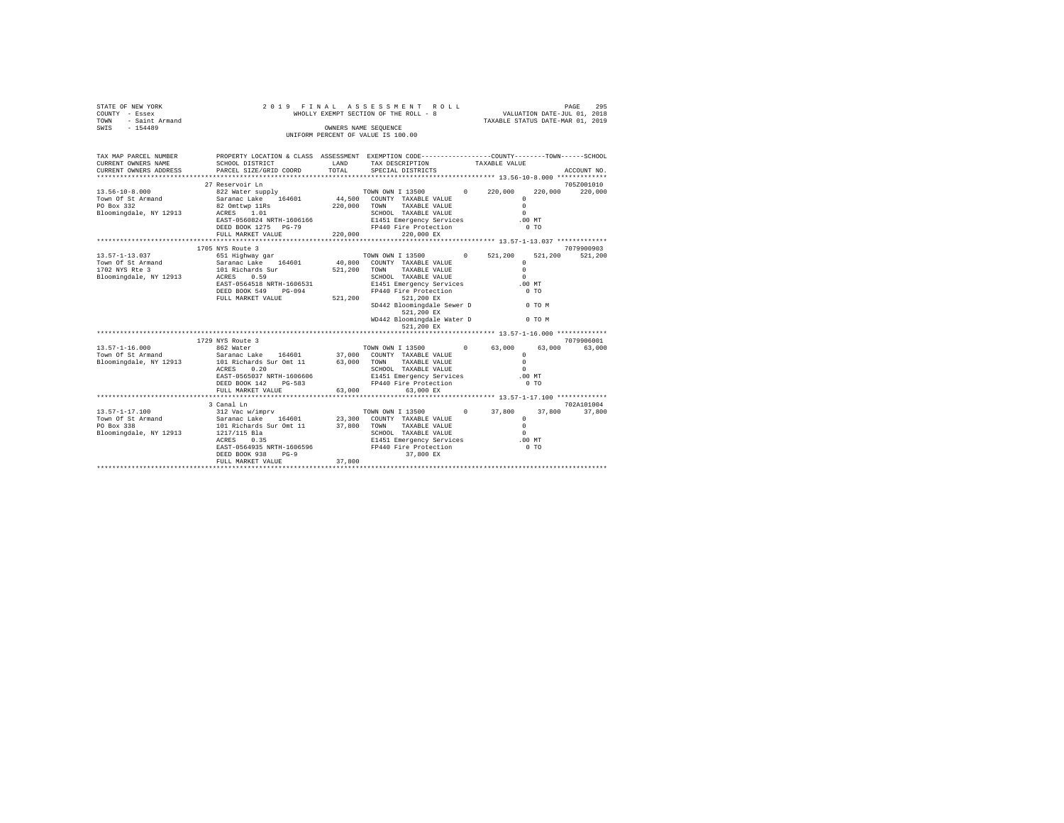|                                   | $\begin{tabular}{lcccc} \texttt{STATE} & \texttt{OF} & \texttt{NEW} & \texttt{VOKK} & \texttt{1} & \texttt{2} & \texttt{1} & \texttt{9} & \texttt{F} \\ \texttt{COUNT} & - & \texttt{Ese} & \texttt{SE} & & & & & & \texttt{WHC} \\ \texttt{TOWN} & - & \texttt{Saint} & \texttt{Armand} & & & & & & & \texttt{NHC} \\ \texttt{SWIS} & - & 154489 & & & & & & & & \texttt{IIMIF} \\ \end{tabular}$<br>2019 FINAL<br>ASSESSMENT ROLL<br>VALUATION DATE-JUL 01, 2018<br>WHOLLY EXEMPT SECTION OF THE ROLL - 8<br>TAXABLE STATUS DATE-MAR 01, 2019<br>OWNERS NAME SEQUENCE |         |                                                                           |               |                | PAGE<br>295                   |
|-----------------------------------|-------------------------------------------------------------------------------------------------------------------------------------------------------------------------------------------------------------------------------------------------------------------------------------------------------------------------------------------------------------------------------------------------------------------------------------------------------------------------------------------------------------------------------------------------------------------------|---------|---------------------------------------------------------------------------|---------------|----------------|-------------------------------|
|                                   |                                                                                                                                                                                                                                                                                                                                                                                                                                                                                                                                                                         |         | UNIFORM PERCENT OF VALUE IS 100.00                                        |               |                |                               |
|                                   |                                                                                                                                                                                                                                                                                                                                                                                                                                                                                                                                                                         |         |                                                                           |               |                |                               |
| CURRENT OWNERS NAME               | TAX MAP PARCEL NUMBER PROPERTY LOCATION & CLASS ASSESSMENT EXEMPTION CODE--------------COUNTY-------TOWN------SCHOOL<br>SCHOOL DISTRICT                                                                                                                                                                                                                                                                                                                                                                                                                                 | LAND    | TAX DESCRIPTION                                                           | TAXABLE VALUE |                |                               |
| CURRENT OWNERS ADDRESS            | PARCEL SIZE/GRID COORD                                                                                                                                                                                                                                                                                                                                                                                                                                                                                                                                                  | TOTAL   | SPECIAL DISTRICTS                                                         |               |                | ACCOUNT NO.                   |
|                                   | 27 Reservoir Ln                                                                                                                                                                                                                                                                                                                                                                                                                                                                                                                                                         |         |                                                                           |               |                |                               |
| $13.56 - 10 - 8.000$              |                                                                                                                                                                                                                                                                                                                                                                                                                                                                                                                                                                         |         | TOWN OWN I 13500 0 220,000                                                |               |                | 705Z001010<br>220,000 220,000 |
| Town Of St Armand                 | 822 Water supply<br>Saranac Lake 164601                                                                                                                                                                                                                                                                                                                                                                                                                                                                                                                                 |         | 44,500 COUNTY TAXABLE VALUE                                               | $\Omega$      |                |                               |
|                                   |                                                                                                                                                                                                                                                                                                                                                                                                                                                                                                                                                                         |         | 220,000 TOWN TAXABLE VALUE                                                | $\Omega$      |                |                               |
|                                   | PO Box 332 82 Omttwp 11Rs<br>Bloomingdale, NY 12913 ACRES 1.01                                                                                                                                                                                                                                                                                                                                                                                                                                                                                                          |         | SCHOOL TAXABLE VALUE                                                      | $\cap$        |                |                               |
|                                   | EAST-0560824 NRTH-1606166                                                                                                                                                                                                                                                                                                                                                                                                                                                                                                                                               |         | SCHOOL IMANDLE VALUE<br>E1451 Emergency Services<br>FP440 Fire Protection | $.00$ MT      |                |                               |
|                                   | DEED BOOK 1275 PG-79                                                                                                                                                                                                                                                                                                                                                                                                                                                                                                                                                    |         |                                                                           |               | 0 <sub>T</sub> |                               |
|                                   | FULL MARKET VALUE                                                                                                                                                                                                                                                                                                                                                                                                                                                                                                                                                       | 220,000 | 220,000 EX                                                                |               |                |                               |
|                                   |                                                                                                                                                                                                                                                                                                                                                                                                                                                                                                                                                                         |         |                                                                           |               |                |                               |
|                                   | 1705 NYS Route 3                                                                                                                                                                                                                                                                                                                                                                                                                                                                                                                                                        |         |                                                                           |               |                | 7079900903                    |
| 13.57-1-13.037                    | 1799 Nighway gar <b>TOWN OWN I 13500</b> 0 521,200                                                                                                                                                                                                                                                                                                                                                                                                                                                                                                                      |         |                                                                           |               |                | 521,200 521,200               |
|                                   |                                                                                                                                                                                                                                                                                                                                                                                                                                                                                                                                                                         |         |                                                                           | $\Omega$      |                |                               |
|                                   |                                                                                                                                                                                                                                                                                                                                                                                                                                                                                                                                                                         |         |                                                                           | $\Omega$      |                |                               |
| Bloomingdale, NY 12913 ACRES 0.59 |                                                                                                                                                                                                                                                                                                                                                                                                                                                                                                                                                                         |         | SCHOOL TAXABLE VALUE                                                      | $\Omega$      |                |                               |
|                                   | EAST-0564518 NRTH-1606531                                                                                                                                                                                                                                                                                                                                                                                                                                                                                                                                               |         | E1451 Emergency Services                                                  | $.00$ MT      |                |                               |
|                                   | DEED BOOK 549 PG-094<br>DEED BOOK 549 PG-094 FP440<br>FULL MARKET VALUE 521,200                                                                                                                                                                                                                                                                                                                                                                                                                                                                                         |         | FP440 Fire Protection                                                     |               | $0$ TO         |                               |
|                                   |                                                                                                                                                                                                                                                                                                                                                                                                                                                                                                                                                                         |         | 521,200 EX<br>SD442 Bloomingdale Sewer D 0 TO M                           |               |                |                               |
|                                   |                                                                                                                                                                                                                                                                                                                                                                                                                                                                                                                                                                         |         | 521,200 EX                                                                |               |                |                               |
|                                   |                                                                                                                                                                                                                                                                                                                                                                                                                                                                                                                                                                         |         | WD442 Bloomingdale Water D 0 TO M                                         |               |                |                               |
|                                   |                                                                                                                                                                                                                                                                                                                                                                                                                                                                                                                                                                         |         | 521,200 EX                                                                |               |                |                               |
|                                   |                                                                                                                                                                                                                                                                                                                                                                                                                                                                                                                                                                         |         |                                                                           |               |                |                               |
|                                   | 1729 NYS Route 3                                                                                                                                                                                                                                                                                                                                                                                                                                                                                                                                                        |         |                                                                           |               |                | 7079906001                    |
| $13.57 - 1 - 16.000$              | 862 Water                                                                                                                                                                                                                                                                                                                                                                                                                                                                                                                                                               |         | TOWN OWN I 13500 0 63,000                                                 |               | 63,000         | 63,000                        |
| Town Of St Armand                 | $\frac{\lambda}{\lambda}$ Water<br>Saranac Lake 164601 37,000 COUNTY TAXABLE VALUE                                                                                                                                                                                                                                                                                                                                                                                                                                                                                      |         |                                                                           | $\Omega$      |                |                               |
| Bloomingdale, NY 12913            | 101 Richards Sur Omt 11                                                                                                                                                                                                                                                                                                                                                                                                                                                                                                                                                 |         | 63,000 TOWN TAXABLE VALUE                                                 | $\Omega$      |                |                               |
|                                   | ACRES 0.20                                                                                                                                                                                                                                                                                                                                                                                                                                                                                                                                                              |         | SCHOOL TAXABLE VALUE                                                      | $\Omega$      |                |                               |
|                                   | EAST-0565037 NRTH-1606606                                                                                                                                                                                                                                                                                                                                                                                                                                                                                                                                               |         | E1451 Emergency Services .00 MT                                           |               |                |                               |
|                                   | DEED BOOK 142 PG-583                                                                                                                                                                                                                                                                                                                                                                                                                                                                                                                                                    |         | FP440 Fire Protection                                                     |               | 0 <sub>T</sub> |                               |
|                                   | FULL MARKET VALUE                                                                                                                                                                                                                                                                                                                                                                                                                                                                                                                                                       | 63,000  | 63,000 EX                                                                 |               |                |                               |
|                                   |                                                                                                                                                                                                                                                                                                                                                                                                                                                                                                                                                                         |         | **************************** 13.57-1-17.100 *************                 |               |                |                               |
| 13.57-1-17.100                    | 3 Canal Ln<br>312 Vac w/imprv                                                                                                                                                                                                                                                                                                                                                                                                                                                                                                                                           |         |                                                                           |               |                | 702A101004                    |
|                                   |                                                                                                                                                                                                                                                                                                                                                                                                                                                                                                                                                                         |         | TOWN OWN I 13500 0 37,800                                                 | $\Omega$      | 37,800         | 37,800                        |
|                                   | Town Of St Armand Saranac Lake 164601 23,300 COUNTY TAXABLE VALUE PO Box 338<br>PO Box 338<br>Bloomingdale, NY 12913 1217/115 Bla                                                                                                                                                                                                                                                                                                                                                                                                                                       |         |                                                                           | $\Omega$      |                |                               |
|                                   |                                                                                                                                                                                                                                                                                                                                                                                                                                                                                                                                                                         |         |                                                                           | $\Omega$      |                |                               |
|                                   | 1217/115 Bla<br>ACRES 0.35                                                                                                                                                                                                                                                                                                                                                                                                                                                                                                                                              |         |                                                                           |               |                |                               |
|                                   | EAST-0564935 NRTH-1606596                                                                                                                                                                                                                                                                                                                                                                                                                                                                                                                                               |         | E1451 Emergency Services 500 MT<br>FP440 Fire Protection 60 TO            |               |                |                               |
|                                   | DEED BOOK 938<br>$PG-9$                                                                                                                                                                                                                                                                                                                                                                                                                                                                                                                                                 |         | 37,800 EX                                                                 |               |                |                               |
|                                   | FULL MARKET VALUE                                                                                                                                                                                                                                                                                                                                                                                                                                                                                                                                                       | 37,800  |                                                                           |               |                |                               |
|                                   |                                                                                                                                                                                                                                                                                                                                                                                                                                                                                                                                                                         |         |                                                                           |               |                |                               |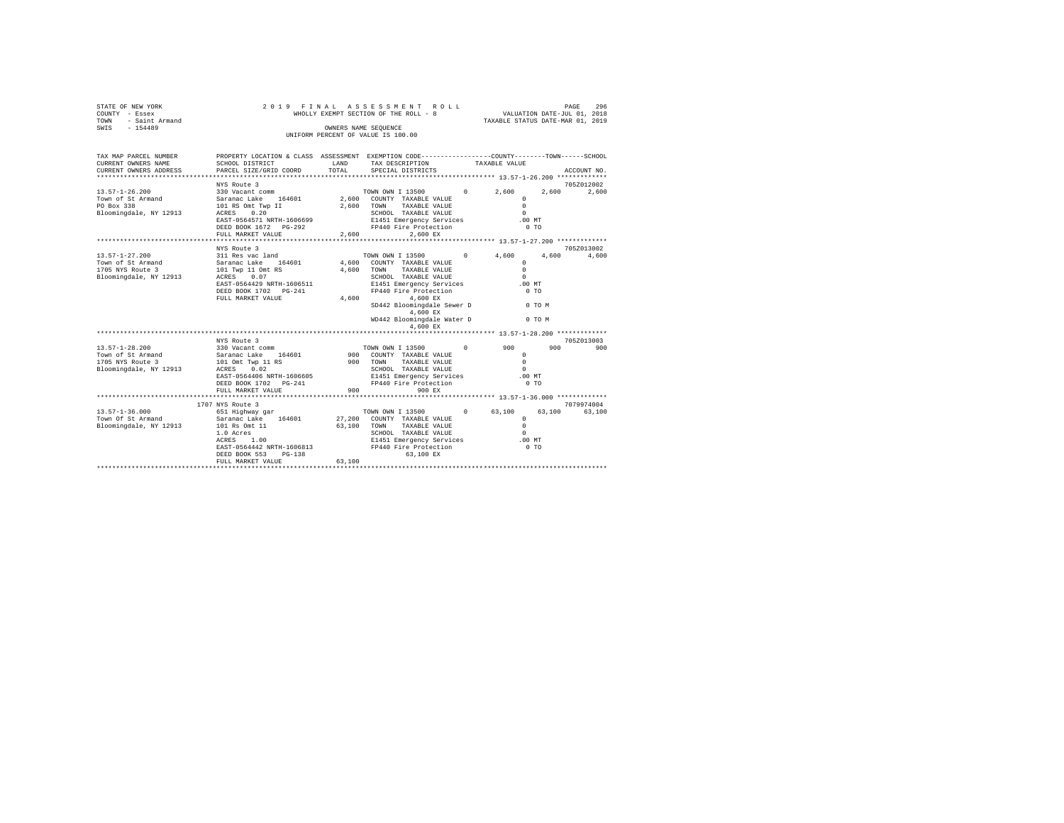| STATE OF NEW YORK<br>- Essex<br>COUNTY<br>- Saint Armand<br>TOWN<br>$-154489$<br>SWIS | 2019<br>FINAL                                                          | OWNERS NAME SEQUENCE        | ASSESSMENT ROLL<br>WHOLLY EXEMPT SECTION OF THE ROLL - 8<br>UNIFORM PERCENT OF VALUE IS 100.00       |                   | 296<br>PAGE<br>VALUATION DATE-JUL 01, 2018<br>TAXABLE STATUS DATE-MAR 01, 2019 |
|---------------------------------------------------------------------------------------|------------------------------------------------------------------------|-----------------------------|------------------------------------------------------------------------------------------------------|-------------------|--------------------------------------------------------------------------------|
| TAX MAP PARCEL NUMBER<br>CURRENT OWNERS NAME<br>CURRENT OWNERS ADDRESS                | PROPERTY LOCATION & CLASS<br>SCHOOL DISTRICT<br>PARCEL SIZE/GRID COORD | ASSESSMENT<br>LAND<br>TOTAL | EXEMPTION CODE-----------------COUNTY-------TOWN------SCHOOL<br>TAX DESCRIPTION<br>SPECIAL DISTRICTS | TAXABLE VALUE     | ACCOUNT NO.                                                                    |
|                                                                                       |                                                                        |                             |                                                                                                      |                   | *************                                                                  |
|                                                                                       | NYS Route 3                                                            |                             |                                                                                                      |                   | 705Z012002                                                                     |
| $13.57 - 1 - 26.200$                                                                  | 330 Vacant comm                                                        |                             | TOWN OWN I 13500                                                                                     | $\Omega$<br>2,600 | 2,600<br>2,600                                                                 |
| Town of St Armand                                                                     | 164601<br>Saranac Lake                                                 | 2,600                       | COUNTY<br>TAXABLE VALUE                                                                              |                   |                                                                                |
| PO Box 338                                                                            | 101 RS Omt Twp II                                                      | 2,600                       | TOWN<br>TAXABLE VALUE                                                                                |                   |                                                                                |
| Bloomingdale, NY 12913                                                                | 0.20<br>ACRES                                                          |                             | SCHOOL<br>TAXABLE VALUE                                                                              |                   |                                                                                |
|                                                                                       | EAST-0564571 NRTH-1606699                                              |                             | E1451 Emergency Services                                                                             | .00MT             |                                                                                |
|                                                                                       | DEED BOOK 1672<br>$PG-292$                                             |                             | FP440 Fire Protection                                                                                |                   | 0 <sub>T</sub>                                                                 |

|                                | FULL MARKET VALUE         | 2,600  | 2.600 EX                    |            |                               |        |            |
|--------------------------------|---------------------------|--------|-----------------------------|------------|-------------------------------|--------|------------|
|                                |                           |        |                             |            |                               |        |            |
|                                | NYS Route 3               |        |                             |            |                               |        | 705Z013002 |
| $13.57 - 1 - 27.200$           | 311 Res vac land          |        | TOWN OWN I 13500 0          |            | 4,600                         | 4,600  | 4,600      |
| Town of St Armand              | 164601<br>Saranac Lake    |        | 4,600 COUNTY TAXABLE VALUE  |            | $\Omega$                      |        |            |
| 1705 NYS Route 3               | 101 Twp 11 Omt RS         | 4,600  | TOWN<br>TAXABLE VALUE       |            | $\Omega$                      |        |            |
| Bloomingdale, NY 12913         | 0.07<br>ACRES             |        | SCHOOL TAXABLE VALUE        |            | $\Omega$                      |        |            |
|                                | EAST-0564429 NRTH-1606511 |        | E1451 Emergency Services    |            | $.00$ MT                      |        |            |
|                                | DEED BOOK 1702 PG-241     |        | FP440 Fire Protection       |            | $0$ TO                        |        |            |
|                                | FULL MARKET VALUE         | 4,600  | 4,600 EX                    |            |                               |        |            |
|                                |                           |        | SD442 Bloomingdale Sewer D  |            | <b>COMPUTER STATE OF TOWN</b> |        |            |
|                                |                           |        | 4,600 EX                    |            |                               |        |            |
|                                |                           |        | WD442 Bloomingdale Water D  |            |                               | 0 TO M |            |
|                                |                           |        | 4.600 EX                    |            |                               |        |            |
|                                |                           |        |                             |            |                               |        |            |
|                                | NYS Route 3               |        |                             |            |                               |        | 705Z013003 |
| 13.57-1-28.200 330 Vacant comm |                           |        | TOWN OWN I 13500            | $^{\circ}$ | 900                           | 900    | 900        |
| Town of St Armand              | Saranac Lake<br>164601    |        | 900 COUNTY TAXABLE VALUE    |            | $^{\circ}$                    |        |            |
| 1705 NYS Route 3               | 101 Omt Twp 11 RS         | 900    | TOWN<br>TAXARLE VALUE       |            | $\circ$                       |        |            |
| Bloomingdale, NY 12913         | 0.02<br>ACRES             |        | SCHOOL TAXABLE VALUE        |            | $\Omega$                      |        |            |
|                                | EAST-0564406 NRTH-1606605 |        | E1451 Emergency Services    |            | .00MT                         |        |            |
|                                | DEED BOOK 1702 PG-241     |        | FP440 Fire Protection       |            | $0$ TO                        |        |            |
|                                | FULL MARKET VALUE         | 900    | 900 EX                      |            |                               |        |            |
|                                |                           |        |                             |            |                               |        |            |
|                                | 1707 NYS Route 3          |        |                             |            |                               |        | 7079974004 |
| $13.57 - 1 - 36.000$           | 651 Highway gar           |        | TOWN OWN I 13500            | $^{\circ}$ | 63,100                        | 63,100 | 63,100     |
| Town Of St Armand              | Saranac Lake<br>164601    |        | 27.200 COUNTY TAXABLE VALUE |            | $\Omega$                      |        |            |
| Bloomingdale, NY 12913         | 101 Rs Omt 11             | 63,100 | TOWN<br>TAXABLE VALUE       |            | $\Omega$                      |        |            |
|                                | 1.0 Acres                 |        | SCHOOL TAXABLE VALUE        |            | $\Omega$                      |        |            |
|                                | 1.00<br>ACRES             |        | E1451 Emergency Services    |            | .00MT                         |        |            |
|                                | EAST-0564442 NRTH-1606813 |        | FP440 Fire Protection       |            | $0$ TO                        |        |            |
|                                | DEED BOOK 553<br>$PG-138$ |        | 63,100 EX                   |            |                               |        |            |
|                                | FULL MARKET VALUE         | 63,100 |                             |            |                               |        |            |
|                                |                           |        |                             |            |                               |        |            |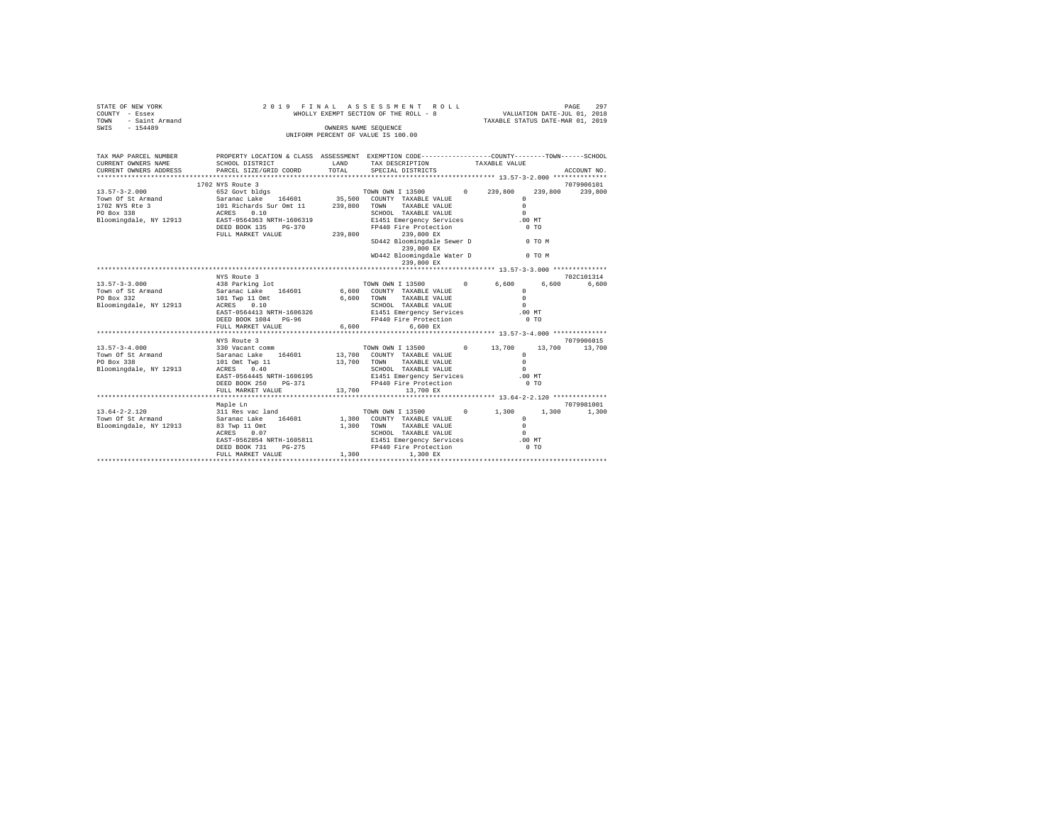| STATE OF NEW YORK<br>Y - Essex MH<br>- Saint Armand<br>- 154489<br>COUNTY - Essex<br>TOWN<br>SWIS - 154489                                                                                         | 2019 FINAL                                                                                                                                                                      | ASSESSMENT ROLL<br>WHOLLY EXEMPT SECTION OF THE ROLL - 8<br>OWNERS NAME SEQUENCE |                                                                                                                                                                                   | PAGE<br>297<br>VALUATION DATE-JUL 01, 2018<br>TAXABLE STATUS DATE-MAR 01, 2019                                     |                                 |                       |  |
|----------------------------------------------------------------------------------------------------------------------------------------------------------------------------------------------------|---------------------------------------------------------------------------------------------------------------------------------------------------------------------------------|----------------------------------------------------------------------------------|-----------------------------------------------------------------------------------------------------------------------------------------------------------------------------------|--------------------------------------------------------------------------------------------------------------------|---------------------------------|-----------------------|--|
|                                                                                                                                                                                                    |                                                                                                                                                                                 |                                                                                  | UNIFORM PERCENT OF VALUE IS 100.00                                                                                                                                                |                                                                                                                    |                                 |                       |  |
| TAX MAP PARCEL NUMBER PROPERTY LOCATION & CLASS ASSESSMENT EXEMPTION CODE--------------COUNTY-------TOWN------SCHOOL<br>CURRENT OWNERS NAME<br>CURRENT OWNERS ADDRESS<br>************************* | SCHOOL DISTRICT<br>PARCEL SIZE/GRID COORD                                                                                                                                       | LAND<br>TOTAL                                                                    | TAX DESCRIPTION<br>SPECIAL DISTRICTS                                                                                                                                              | TAXABLE VALUE                                                                                                      |                                 | ACCOUNT NO.           |  |
|                                                                                                                                                                                                    | 1702 NYS Route 3<br>DEED BOOK 135 PG-370<br>FULL MARKET VALUE                                                                                                                   |                                                                                  | TOWN TAXABLE VALUE<br>E1451 Emergency Services<br>FP440 Fire Protection<br>239,800 239,800 EX<br>SD442 Bloomingdale Sewer D 0 TO M<br>239,800 EX<br>WD442 Bloomingdale Water D    | $0\qquad 239.800$<br>$\Omega$<br>$\Omega$<br>$\Omega$<br>.00 MT<br>0 <sub>T</sub><br><b>CONTROLLING CONTROLLER</b> | 239,800                         | 7079906101<br>239,800 |  |
|                                                                                                                                                                                                    |                                                                                                                                                                                 |                                                                                  | 239,800 EX                                                                                                                                                                        |                                                                                                                    |                                 |                       |  |
| $13.57 - 3 - 3.000$<br>Town of St Armand<br>PO Box 332<br>Bloomingdale, NY 12913                                                                                                                   | NYS Route 3<br>438 Parking lot<br>Saranac Lake 164601<br>101 Twp 11 Omt<br>ACRES 0.10<br>$ACRES$ 0.10<br>EAST-0564413 NRTH-1606326<br>DEED BOOK 1084 PG-96<br>FULL MARKET VALUE |                                                                                  | TOWN OWN I 13500<br>6,600 COUNTY TAXABLE VALUE<br>TAXABLE VALUE<br>6,600 TOWN<br>SCHOOL TAXABLE VALUE<br>E1451 Emergency Services<br>FP440 Fire Protection<br>6.600<br>$6.600$ EX | 0<br>6,600<br>$\Omega$<br>$\Omega$<br>$\Omega$<br>$.00$ MT<br>0.70                                                 | 6,600                           | 702C101314<br>6.600   |  |
| $13.57 - 3 - 4.000$<br>Town Of St Armand<br>PO Box 338<br>Bloomingdale, NY 12913                                                                                                                   | NYS Route 3<br>330 Vacant comm<br>Saranac Lake 164601<br>101 Omt Twp 11<br>ACRES 0.40<br>EAST-0564445 NRTH-1606195<br>DEED BOOK 250 PG-371<br>FULL MARKET VALUE                 | 13,700                                                                           | TOWN OWN I 13500 0 13,700<br>13,700 COUNTY TAXABLE VALUE<br>13,700 TOWN TAXABLE VALUE<br>SCHOOL TAXABLE VALUE<br>E1451 Emergency Services<br>FP440 Fire Protection<br>13,700 EX   | $\Omega$<br>$\Omega$<br>$\Omega$<br>$.00$ MT                                                                       | 13,700 13,700<br>0 <sub>T</sub> | 7079906015            |  |
| $13.64 - 2 - 2.120$<br>Town Of St Armand<br>Bloomingdale, NY 12913                                                                                                                                 | Maple Ln<br>311 Res vac land<br>Saranac Lake 164601<br>83 Twp 11 Omt<br>ACRES 0.07<br>EAST-0562854 NRTH-1605811<br>DEED BOOK 731<br>$PG-275$<br>FULL MARKET VALUE               | 1,300                                                                            | TOWN OWN I 13500<br>1,300 COUNTY TAXABLE VALUE<br>1,300 TOWN TAXABLE VALUE<br>SCHOOL TAXABLE VALUE<br>E1451 Emergency Services<br>FP440 Fire Protection<br>1,300 EX               | $0 \t 1,300$<br>$^{\circ}$<br>$\Omega$<br>$\Omega$<br>.00 MT<br>0 <sub>T</sub>                                     | 1,300                           | 7079981001<br>1,300   |  |
|                                                                                                                                                                                                    |                                                                                                                                                                                 |                                                                                  |                                                                                                                                                                                   |                                                                                                                    |                                 |                       |  |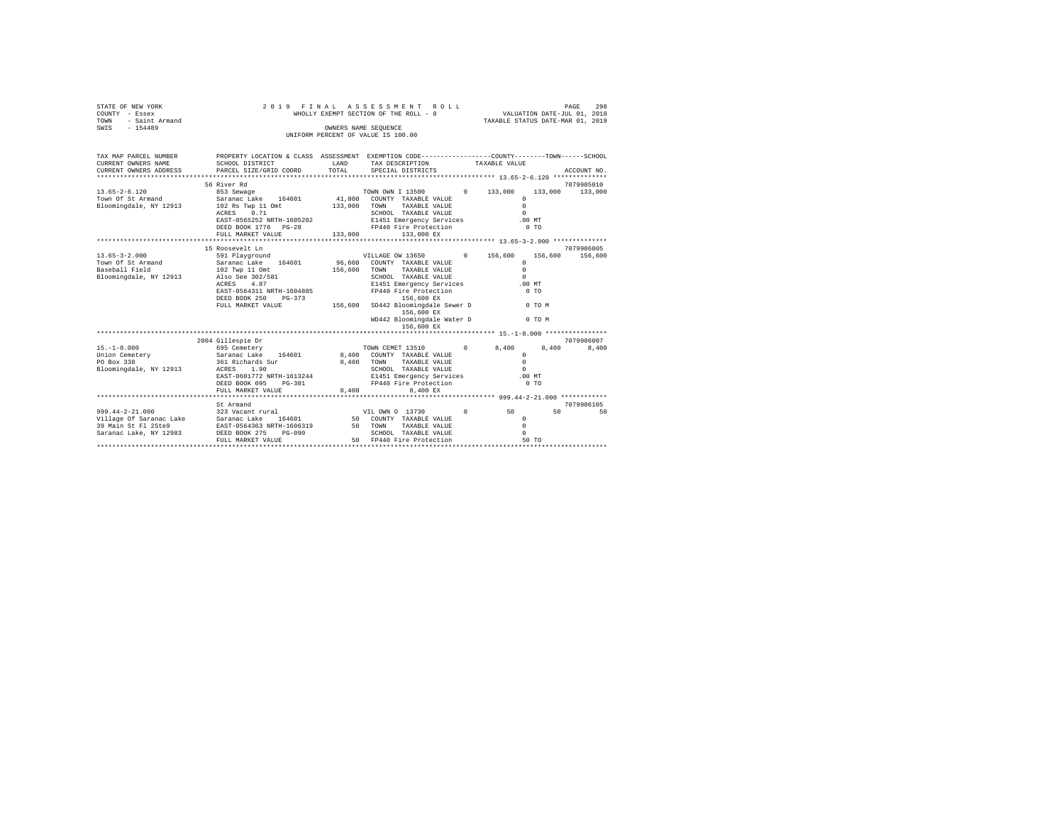| STATE OF NEW YORK<br>COUNTY - Essex<br>TOWN<br>- Saint Armand<br>SWIS<br>$-154489$                                                                                  | 2019 FINAL                                                                                                                                                                                                                                                                                                                                     | OWNERS NAME SEQUENCE                 | ASSESSMENT<br>ROLL<br>WHOLLY EXEMPT SECTION OF THE ROLL - 8<br>UNIFORM PERCENT OF VALUE IS 100.00                                                                                                                                                                                                                                                                                                                  |                              | VALUATION DATE-JUL 01, 2018<br>TAXABLE STATUS DATE-MAR 01, 2019                                                                                                  | 298<br>PAGE                    |
|---------------------------------------------------------------------------------------------------------------------------------------------------------------------|------------------------------------------------------------------------------------------------------------------------------------------------------------------------------------------------------------------------------------------------------------------------------------------------------------------------------------------------|--------------------------------------|--------------------------------------------------------------------------------------------------------------------------------------------------------------------------------------------------------------------------------------------------------------------------------------------------------------------------------------------------------------------------------------------------------------------|------------------------------|------------------------------------------------------------------------------------------------------------------------------------------------------------------|--------------------------------|
| TAX MAP PARCEL NUMBER<br>CURRENT OWNERS NAME<br>CURRENT OWNERS ADDRESS                                                                                              | PROPERTY LOCATION & CLASS ASSESSMENT EXEMPTION CODE----------------COUNTY--------TOWN-----SCHOOL<br>SCHOOL DISTRICT<br>PARCEL SIZE/GRID COORD                                                                                                                                                                                                  | LAND<br>TOTAL                        | TAX DESCRIPTION<br>SPECIAL DISTRICTS                                                                                                                                                                                                                                                                                                                                                                               | TAXABLE VALUE                |                                                                                                                                                                  | ACCOUNT NO.                    |
|                                                                                                                                                                     |                                                                                                                                                                                                                                                                                                                                                |                                      |                                                                                                                                                                                                                                                                                                                                                                                                                    |                              |                                                                                                                                                                  |                                |
|                                                                                                                                                                     | 56 River Rd                                                                                                                                                                                                                                                                                                                                    |                                      |                                                                                                                                                                                                                                                                                                                                                                                                                    |                              |                                                                                                                                                                  | 7079985010                     |
| $13.65 - 2 - 6.120$<br>Town Of St Armand<br>Bloomingdale, NY 12913                                                                                                  | 853 Sewage<br>Saranac Lake 164601<br>102 Rs Twp 11 Omt<br>0.71<br>ACRES<br>EAST-0565252 NRTH-1605202<br>DEED BOOK 1776 PG-28                                                                                                                                                                                                                   | 133,000                              | TOWN OWN I 13500<br>41,800 COUNTY TAXABLE VALUE<br>TOWN<br>TAXABLE VALUE<br>SCHOOL TAXABLE VALUE<br>E1451 Emergency Services<br>FP440 Fire Protection                                                                                                                                                                                                                                                              | $0 \t 133,000$               | 133,000<br>$\Omega$<br>$\Omega$<br>$\Omega$<br>$.00$ $MT$<br>0.70                                                                                                | 133,000                        |
|                                                                                                                                                                     | FULL MARKET VALUE                                                                                                                                                                                                                                                                                                                              | 133,000                              | 133,000 EX                                                                                                                                                                                                                                                                                                                                                                                                         |                              |                                                                                                                                                                  |                                |
|                                                                                                                                                                     |                                                                                                                                                                                                                                                                                                                                                |                                      |                                                                                                                                                                                                                                                                                                                                                                                                                    |                              |                                                                                                                                                                  |                                |
|                                                                                                                                                                     | 15 Roosevelt Ln<br>591 Playground VILLAGE OW 13650                                                                                                                                                                                                                                                                                             |                                      |                                                                                                                                                                                                                                                                                                                                                                                                                    |                              |                                                                                                                                                                  | 7079906005                     |
| $13.65 - 3 - 2.000$<br>Town Of St Armand<br>Baseball Field<br>Bloomingdale, NY 12913<br>$15. - 1 - 8.000$<br>Union Cemetery<br>PO Box 338<br>Bloomingdale, NY 12913 | 164601<br>Saranac Lake<br>102 Twp 11 Omt<br>Also See 302/581<br>4.87<br>ACRES<br>EAST-0564311 NRTH-1604885<br>DEED BOOK 250<br>$PG-373$<br>FULL MARKET VALUE<br>2004 Gillespie Dr<br>$695$ Cemetery<br>Saranac Lake 164601<br>361 Richards Sur<br>1.90<br>ACRES<br>EAST-0601772 NRTH-1613244<br>DEED BOOK 095<br>$PG-301$<br>FULL MARKET VALUE | 156,600<br>156,600<br>8,400<br>8.400 | 96,600 COUNTY TAXABLE VALUE<br>TOWN<br>TAXABLE VALUE<br>SCHOOL TAXABLE VALUE<br>E1451 Emergency Services<br>FP440 Fire Protection<br>156,600 EX<br>SD442 Bloomingdale Sewer D 0 TO M<br>156,600 EX<br>WD442 Bloomingdale Water D<br>156,600 EX<br>TOWN CEMET 13510<br>8,400 COUNTY TAXABLE VALUE<br>TOWN<br>TAXABLE VALUE<br>SCHOOL TAXABLE VALUE<br>E1451 Emergency Services<br>FP440 Fire Protection<br>8.400 EX | 0 156,600<br>$\sim$<br>8,400 | 156,600<br>$\Omega$<br>$\Omega$<br>$\Omega$<br>$.00$ MT<br>0 <sub>T</sub><br>0 TO M<br>8,400<br>$^{\circ}$<br>$\Omega$<br>$\Omega$<br>$.00$ MT<br>0 <sub>T</sub> | 156,600<br>7079906007<br>8,400 |
|                                                                                                                                                                     | St Armand                                                                                                                                                                                                                                                                                                                                      | *************                        | *********************************** 999.44-2-21.000 ************                                                                                                                                                                                                                                                                                                                                                   |                              |                                                                                                                                                                  | 7079906105                     |
| $999.44 - 2 - 21.000$<br>Saranac Lake, NY 12983                                                                                                                     | 323 Vacant rural VIL OWN 0 13730<br>DEED BOOK 275<br>$PG-090$<br>FULL MARKET VALUE                                                                                                                                                                                                                                                             |                                      | SCHOOL TAXABLE VALUE<br>SCHOOL TAXABLE VALUE<br>50 FP440 Fire Protection                                                                                                                                                                                                                                                                                                                                           | $\mathbf{0}$<br>50           | 50<br>$\Omega$<br>$\Omega$<br>$\Omega$<br>50 TO                                                                                                                  | 50                             |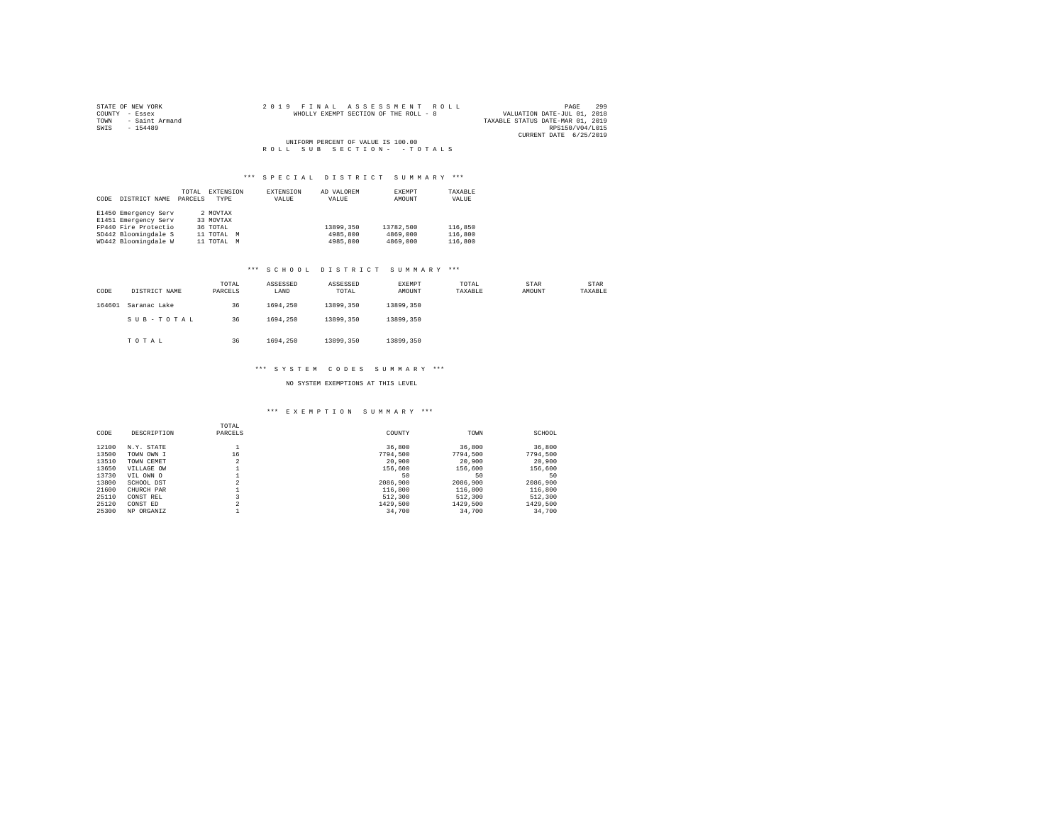| STATE OF NEW YORK   |  |  | 2019 FINAL ASSESSMENT ROLL            |  |  |  |  |                                  |                        | PAGE | 299 |
|---------------------|--|--|---------------------------------------|--|--|--|--|----------------------------------|------------------------|------|-----|
| COUNTY - Essex      |  |  | WHOLLY EXEMPT SECTION OF THE ROLL - 8 |  |  |  |  | VALUATION DATE-JUL 01, 2018      |                        |      |     |
| TOWN - Saint Armand |  |  |                                       |  |  |  |  | TAXABLE STATUS DATE-MAR 01, 2019 |                        |      |     |
| SWIS<br>$-154489$   |  |  |                                       |  |  |  |  |                                  | RPS150/V04/L015        |      |     |
|                     |  |  |                                       |  |  |  |  |                                  | CURRENT DATE 6/25/2019 |      |     |
|                     |  |  | UNIFORM PERCENT OF VALUE IS 100.00    |  |  |  |  |                                  |                        |      |     |
|                     |  |  | ROLL SUB SECTION- - TOTALS            |  |  |  |  |                                  |                        |      |     |

| CODE | DISTRICT NAME        | TOTAL<br>PARCELS | EXTENSION<br>TYPE | EXTENSION<br>VALUE | AD VALOREM<br>VALUE | EXEMPT<br>AMOUNT | TAXABLE<br>VALUE |
|------|----------------------|------------------|-------------------|--------------------|---------------------|------------------|------------------|
|      | E1450 Emergency Serv |                  | 2 MOVTAX          |                    |                     |                  |                  |
|      | E1451 Emergency Serv |                  | 33 MOVTAX         |                    |                     |                  |                  |
|      | FP440 Fire Protectio |                  | 36 TOTAL          |                    | 13899.350           | 13782.500        | 116,850          |
|      | SD442 Bloomingdale S |                  | 11 TOTAL M        |                    | 4985,800            | 4869,000         | 116,800          |
|      | WD442 Bloomingdale W |                  | 11 TOTAL          | M                  | 4985,800            | 4869,000         | 116,800          |

# \*\*\* S C H O O L D I S T R I C T S U M M A R Y \*\*\*

| CODE   | DISTRICT NAME | TOTAL<br>PARCELS | ASSESSED<br>LAND | ASSESSED<br>TOTAL | EXEMPT<br>AMOUNT | TOTAL<br>TAXABLE | STAR<br>AMOUNT | STAR<br>TAXABLE |
|--------|---------------|------------------|------------------|-------------------|------------------|------------------|----------------|-----------------|
| 164601 | Saranac Lake  | 36               | 1694.250         | 13899,350         | 13899,350        |                  |                |                 |
|        | SUB-TOTAL     | 36               | 1694.250         | 13899,350         | 13899,350        |                  |                |                 |
|        | TOTAL         | 36               | 1694.250         | 13899,350         | 13899,350        |                  |                |                 |

# \*\*\* S Y S T E M C O D E S S U M M A R Y \*\*\*

# NO SYSTEM EXEMPTIONS AT THIS LEVEL

# \*\*\* E X E M P T I O N S U M M A R Y \*\*\*

| CODE  | DESCRIPTION | TOTAL<br>PARCELS    | COUNTY   | TOWN     | SCHOOL   |
|-------|-------------|---------------------|----------|----------|----------|
| 12100 | N.Y. STATE  |                     | 36,800   | 36,800   | 36,800   |
| 13500 | TOWN OWN I  | 16                  | 7794.500 | 7794.500 | 7794.500 |
| 13510 | TOWN CEMET  | $\sim$<br>۷         | 20,900   | 20,900   | 20,900   |
| 13650 | VILLAGE OW  |                     | 156,600  | 156,600  | 156,600  |
| 13730 | VIL OWN O   |                     | 50       | 50       | 50       |
| 13800 | SCHOOL DST  | $\sim$              | 2086,900 | 2086,900 | 2086,900 |
| 21600 | CHURCH PAR  |                     | 116,800  | 116,800  | 116,800  |
| 25110 | CONST REL   |                     | 512,300  | 512,300  | 512,300  |
| 25120 | CONST ED    | $\hat{\phantom{a}}$ | 1429,500 | 1429,500 | 1429.500 |
| 25300 | NP ORGANIZ  |                     | 34,700   | 34,700   | 34,700   |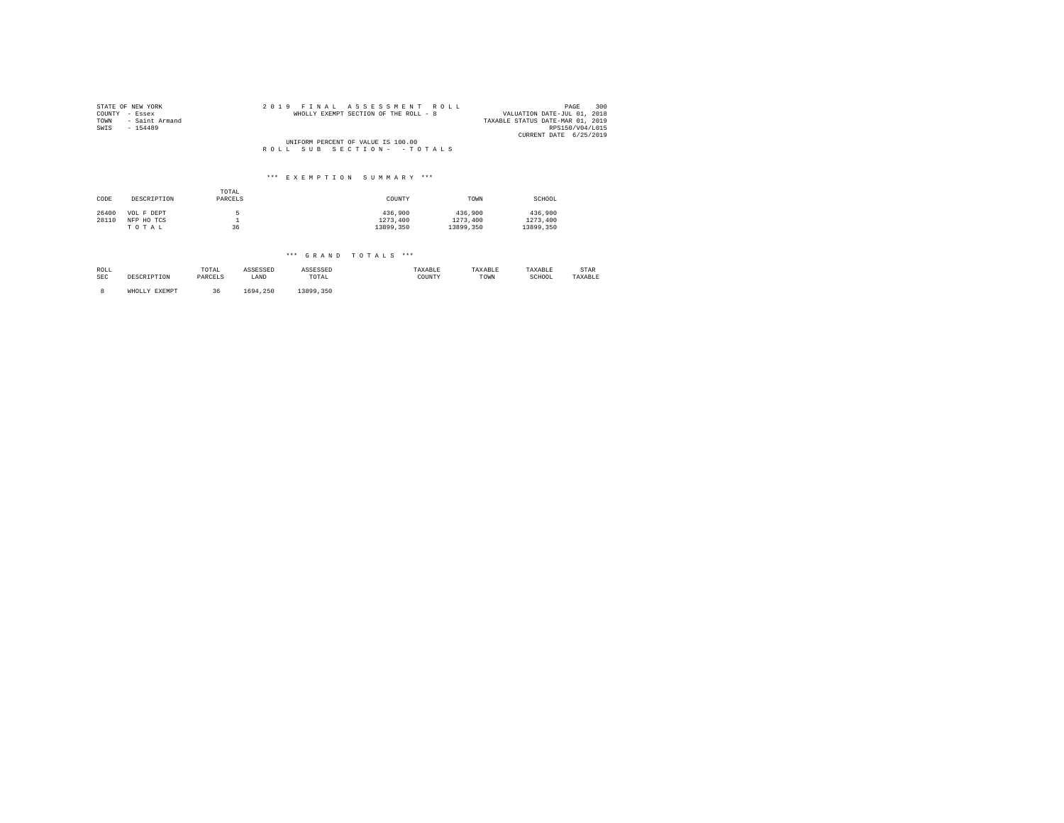| STATE OF NEW YORK<br>COUNTY<br>- Essex<br>- Saint Armand<br>TOWN<br>$-154489$<br>SWIS | 2019 FINAL ASSESSMENT ROLL<br>WHOLLY EXEMPT SECTION OF THE ROLL - 8 | 300<br>PAGE<br>VALUATION DATE-JUL 01, 2018<br>TAXABLE STATUS DATE-MAR 01, 2019<br>RPS150/V04/L015<br>CURRENT DATE 6/25/2019 |
|---------------------------------------------------------------------------------------|---------------------------------------------------------------------|-----------------------------------------------------------------------------------------------------------------------------|
|                                                                                       | UNIFORM PERCENT OF VALUE IS 100.00                                  |                                                                                                                             |
|                                                                                       | ROLL SUB SECTION- - TOTALS                                          |                                                                                                                             |
|                                                                                       |                                                                     |                                                                                                                             |
|                                                                                       | *** EXEMPTION SHMMARY ***                                           |                                                                                                                             |

# TOTAL CODE DESCRIPTION PARCELS COUNTY TOWN SCHOOL 26400 VOL FIDEPT 5 5<br>28110 NFP HO TCS 1 1273,400 1273,400 1273,400 1273,400 1273,400<br>28110 TO T A L 1369 13899,350 13899,350 13899,350 13899,350 13899,350

| ROLL       | DESCRIPTION   | TOTAL   | ASSESSED | ASSESSED  | TAXABLE | TAXABLE | TAXABLE | STAR    |
|------------|---------------|---------|----------|-----------|---------|---------|---------|---------|
| <b>SEC</b> |               | PARCELS | LAND     | TOTAL     | COUNTY  | TOWN    | SCHOOL  | TAXABLE |
|            | WHOLLY EXEMPT | 36      | 1694.250 | 13899.350 |         |         |         |         |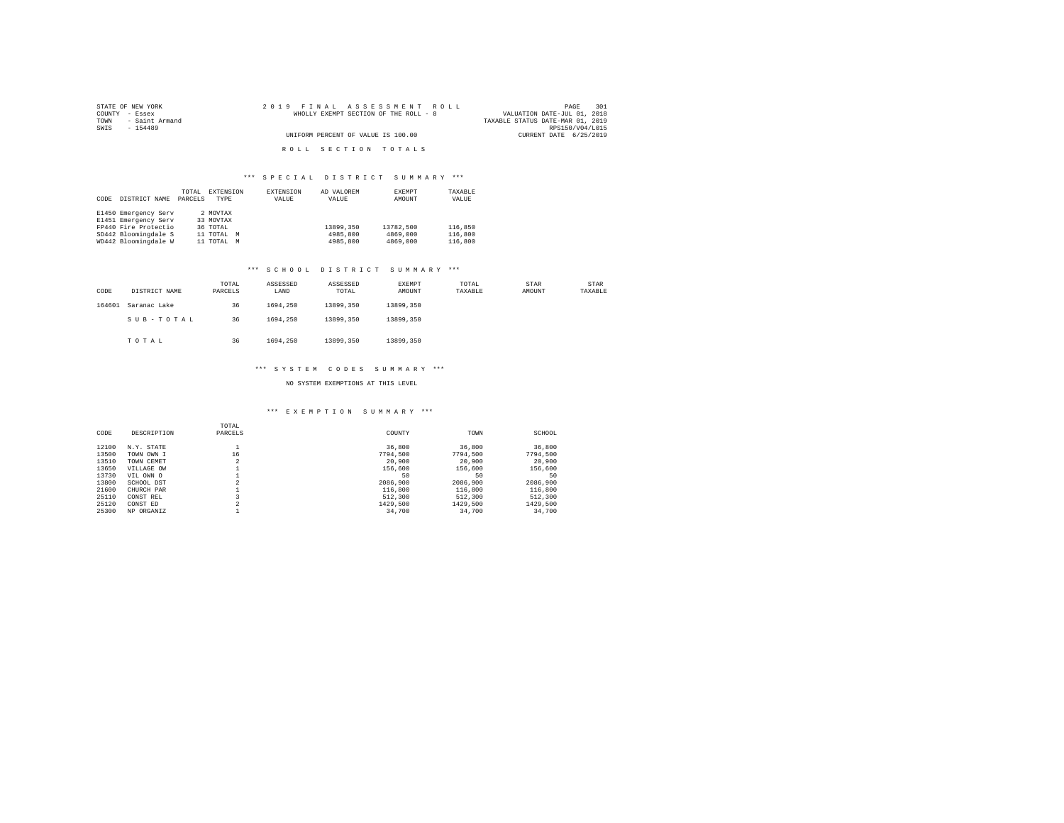| STATE OF NEW YORK   | 2019 FINAL ASSESSMENT ROLL            | 301<br>PAGE                      |
|---------------------|---------------------------------------|----------------------------------|
| COUNTY - Essex      | WHOLLY EXEMPT SECTION OF THE ROLL - 8 | VALUATION DATE-JUL 01, 2018      |
| TOWN - Saint Armand |                                       | TAXABLE STATUS DATE-MAR 01, 2019 |
| SWTS<br>$-154489$   |                                       | RPS150/V04/L015                  |
|                     | UNIFORM PERCENT OF VALUE IS 100.00    | CURRENT DATE 6/25/2019           |
|                     |                                       |                                  |
|                     | ROLL SECTION TOTALS                   |                                  |

|      |                      | TOTAL   | EXTENSION  | <b>EXTENSION</b> | AD VALOREM | EXEMPT    | TAXABLE |
|------|----------------------|---------|------------|------------------|------------|-----------|---------|
| CODE | DISTRICT NAME        | PARCELS | TYPE       | VALUE            | VALUE      | AMOUNT    | VALUE   |
|      |                      |         |            |                  |            |           |         |
|      | E1450 Emergency Serv |         | 2 MOVTAX   |                  |            |           |         |
|      | E1451 Emergency Serv |         | 33 MOVTAX  |                  |            |           |         |
|      | FP440 Fire Protectio |         | 36 TOTAL   |                  | 13899,350  | 13782,500 | 116,850 |
|      | SD442 Bloomingdale S |         | 11 TOTAL M |                  | 4985,800   | 4869,000  | 116,800 |
|      | WD442 Bloomingdale W |         | 11 TOTAL M |                  | 4985,800   | 4869,000  | 116,800 |

# \*\*\* S C H O O L D I S T R I C T S U M M A R Y \*\*\*

| CODE   | DISTRICT NAME | TOTAL<br>PARCELS | ASSESSED<br>LAND | ASSESSED<br>TOTAL | <b>EXEMPT</b><br>AMOUNT | TOTAL<br>TAXABLE | STAR<br>AMOUNT | STAR<br>TAXABLE |
|--------|---------------|------------------|------------------|-------------------|-------------------------|------------------|----------------|-----------------|
| 164601 | Saranac Lake  | 36               | 1694.250         | 13899,350         | 13899,350               |                  |                |                 |
|        | SUB-TOTAL     | 36               | 1694.250         | 13899,350         | 13899.350               |                  |                |                 |
|        | TOTAL         | 36               | 1694.250         | 13899,350         | 13899.350               |                  |                |                 |

## \*\*\* S Y S T E M C O D E S S U M M A R Y \*\*\*

# NO SYSTEM EXEMPTIONS AT THIS LEVEL

#### \*\*\* E X E M P T I O N S U M M A R Y \*\*\*

| CODE  | DESCRIPTION | TOTAL<br>PARCELS    | COUNTY   | TOWN     | SCHOOL   |
|-------|-------------|---------------------|----------|----------|----------|
| 12100 | N.Y. STATE  |                     | 36,800   | 36,800   | 36,800   |
| 13500 | TOWN OWN I  | 16                  | 7794.500 | 7794.500 | 7794.500 |
| 13510 | TOWN CEMET  | $\sim$<br>۷         | 20,900   | 20,900   | 20,900   |
| 13650 | VILLAGE OW  |                     | 156,600  | 156,600  | 156,600  |
| 13730 | VIL OWN O   |                     | 50       | 50       | 50       |
| 13800 | SCHOOL DST  | $\sim$              | 2086,900 | 2086,900 | 2086,900 |
| 21600 | CHURCH PAR  |                     | 116,800  | 116,800  | 116,800  |
| 25110 | CONST REL   |                     | 512,300  | 512,300  | 512,300  |
| 25120 | CONST ED    | $\hat{\phantom{a}}$ | 1429,500 | 1429,500 | 1429.500 |
| 25300 | NP ORGANIZ  |                     | 34,700   | 34,700   | 34,700   |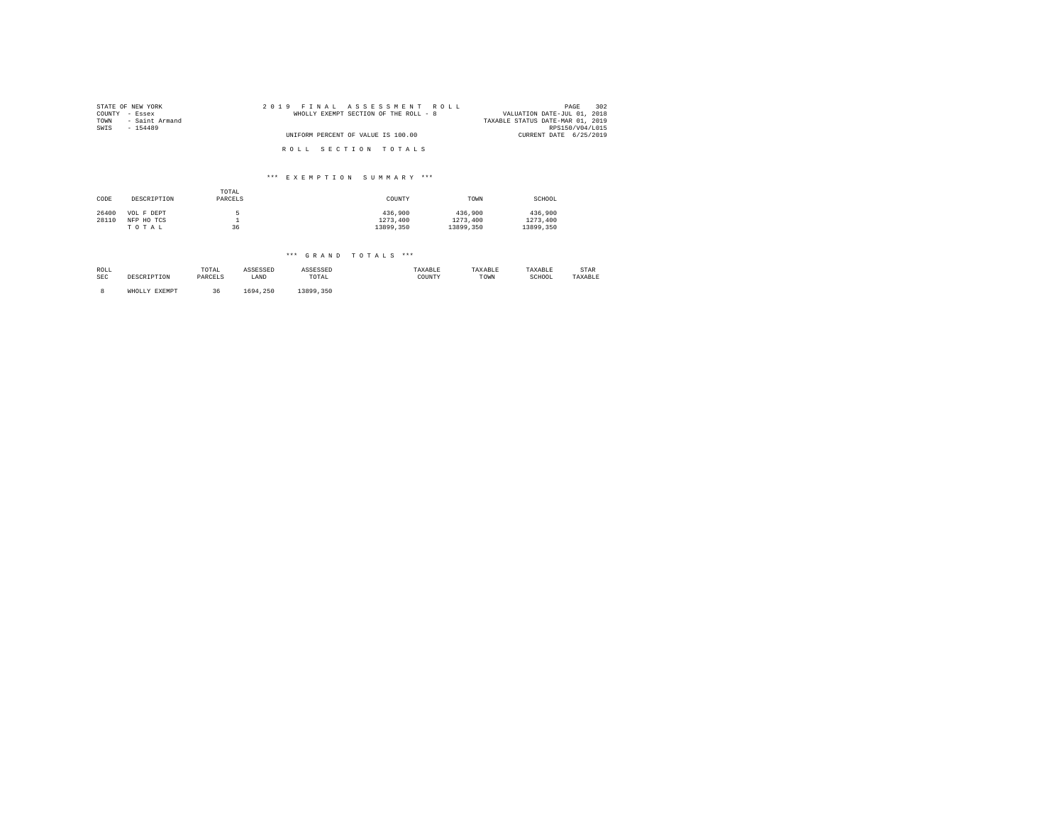| STATE OF NEW YORK      | 2019 FINAL ASSESSMENT ROLL            | 302<br>PAGE                      |
|------------------------|---------------------------------------|----------------------------------|
| COUNTY - Essex         | WHOLLY EXEMPT SECTION OF THE ROLL - 8 | VALUATION DATE-JUL 01, 2018      |
| TOWN<br>- Saint Armand |                                       | TAXABLE STATUS DATE-MAR 01, 2019 |
| SWIS<br>$-154489$      |                                       | RPS150/V04/L015                  |
|                        | UNIFORM PERCENT OF VALUE IS 100.00    | CURRENT DATE 6/25/2019           |
|                        | ROLL SECTION TOTALS                   |                                  |

# \*\*\* E X E M P T I O N S U M M A R Y \*\*\*

| CODE  | DESCRIPTION | TOTAL<br>PARCELS | COUNTY    | TOWN      | SCHOOL    |
|-------|-------------|------------------|-----------|-----------|-----------|
| 26400 | VOL F DEPT  |                  | 436,900   | 436,900   | 436,900   |
| 28110 | NFP HO TCS  |                  | 1273,400  | 1273,400  | 1273,400  |
|       | TOTAL       | 36               | 13899,350 | 13899,350 | 13899,350 |

| ROLL       | DESCRIPTION   | TOTAL   | ASSESSED | ASSESSED  | TAXABLE | TAXABLE | TAXABLE | STAR    |
|------------|---------------|---------|----------|-----------|---------|---------|---------|---------|
| <b>SEC</b> |               | PARCELS | LAND     | TOTAL     | COUNTY  | TOWN    | SCHOOL  | TAXABLE |
|            | WHOLLY EXEMPT | 36      | 1694.250 | 13899.350 |         |         |         |         |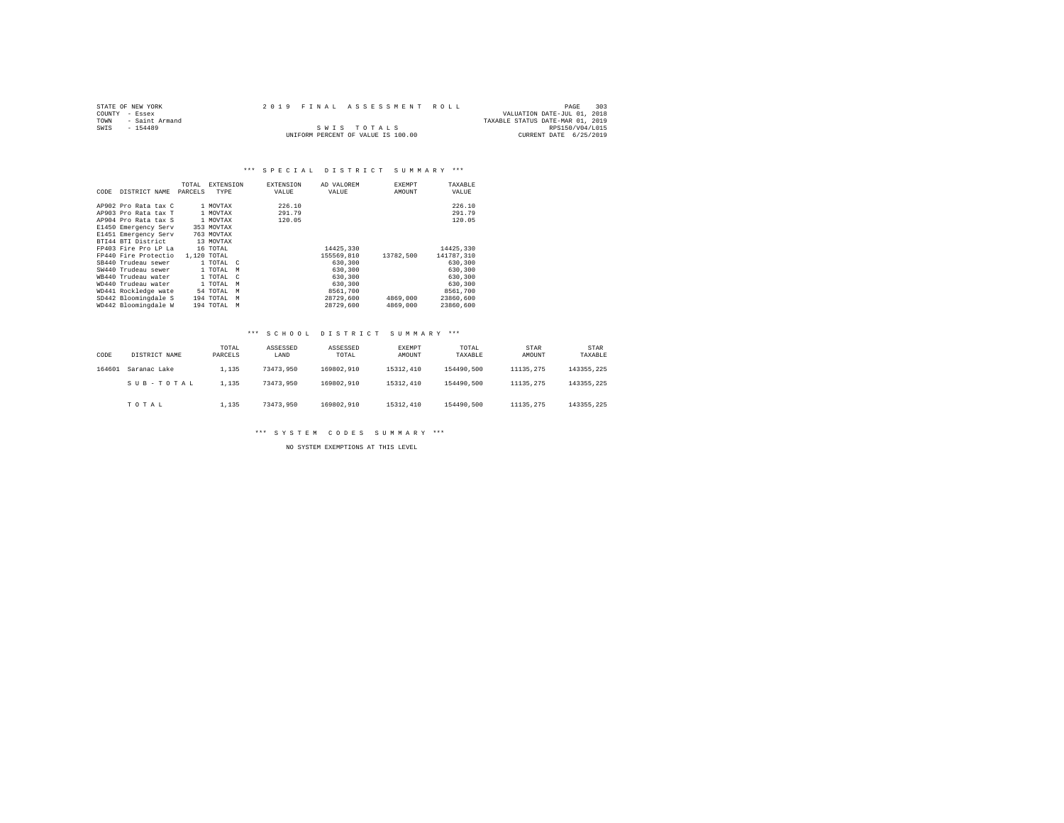| STATE OF NEW YORK      | 2019 FINAL ASSESSMENT ROLL |                                    |  | PAGE                             | 303 |
|------------------------|----------------------------|------------------------------------|--|----------------------------------|-----|
| COUNTY - Essex         |                            |                                    |  | VALUATION DATE-JUL 01, 2018      |     |
| TOWN<br>- Saint Armand |                            |                                    |  | TAXABLE STATUS DATE-MAR 01, 2019 |     |
| SWTS<br>$-154489$      |                            | SWIS TOTALS                        |  | RPS150/V04/L015                  |     |
|                        |                            | UNIFORM PERCENT OF VALUE IS 100.00 |  | CURRENT DATE 6/25/2019           |     |

|      |                      | TOTAL   | <b>EXTENSION</b>        | <b>EXTENSION</b> | AD VALOREM | <b>EXEMPT</b> | TAXABLE    |
|------|----------------------|---------|-------------------------|------------------|------------|---------------|------------|
| CODE | DISTRICT NAME        | PARCELS | TYPE                    | VALUE            | VALUE      | AMOUNT        | VALUE      |
|      |                      |         |                         |                  |            |               |            |
|      | AP902 Pro Rata tax C |         | 1 MOVTAX                | 226.10           |            |               | 226.10     |
|      | AP903 Pro Rata tax T |         | 1 MOVTAX                | 291.79           |            |               | 291.79     |
|      | AP904 Pro Rata tax S |         | 1 MOVTAX                | 120.05           |            |               | 120.05     |
|      | E1450 Emergency Serv |         | 353 MOVTAX              |                  |            |               |            |
|      | E1451 Emergency Serv |         | 763 MOVTAX              |                  |            |               |            |
|      | BTI44 BTI District   |         | 13 MOVTAX               |                  |            |               |            |
|      | FP403 Fire Pro LP La |         | 16 TOTAL                |                  | 14425.330  |               | 14425.330  |
|      | FP440 Fire Protectio |         | 1,120 TOTAL             |                  | 155569,810 | 13782.500     | 141787.310 |
|      | SB440 Trudeau sewer  |         | 1 TOTAL C               |                  | 630,300    |               | 630,300    |
|      | SW440 Trudeau sewer  |         | 1 TOTAL<br>M            |                  | 630,300    |               | 630,300    |
|      | WR440 Trudeau water  |         | 1 TOTAL<br>$\mathbb{C}$ |                  | 630,300    |               | 630,300    |
|      | WD440 Trudeau water  |         | 1 TOTAL<br>M            |                  | 630,300    |               | 630,300    |
|      | WD441 Rockledge wate |         | 54 TOTAL<br>M           |                  | 8561,700   |               | 8561,700   |
|      | SD442 Bloomingdale S |         | 194 TOTAL<br>M          |                  | 28729.600  | 4869,000      | 23860,600  |
|      | WD442 Bloomingdale W |         | 194 TOTAL<br>M          |                  | 28729.600  | 4869,000      | 23860.600  |

# \*\*\* S C H O O L D I S T R I C T S U M M A R Y \*\*\*

| CODE   | DISTRICT NAME | TOTAL<br>PARCELS | ASSESSED<br>LAND | ASSESSED<br>TOTAL | EXEMPT<br>AMOUNT | TOTAL<br>TAXABLE | STAR<br>AMOUNT | STAR<br>TAXABLE |
|--------|---------------|------------------|------------------|-------------------|------------------|------------------|----------------|-----------------|
| 164601 | Saranac Lake  | 1,135            | 73473.950        | 169802.910        | 15312,410        | 154490.500       | 11135.275      | 143355, 225     |
|        | SUB-TOTAL     | 1,135            | 73473.950        | 169802.910        | 15312,410        | 154490.500       | 11135.275      | 143355.225      |
|        | TOTAL         | 1,135            | 73473.950        | 169802.910        | 15312,410        | 154490.500       | 11135.275      | 143355.225      |

\*\*\* S Y S T E M C O D E S S U M M A R Y \*\*\*

NO SYSTEM EXEMPTIONS AT THIS LEVEL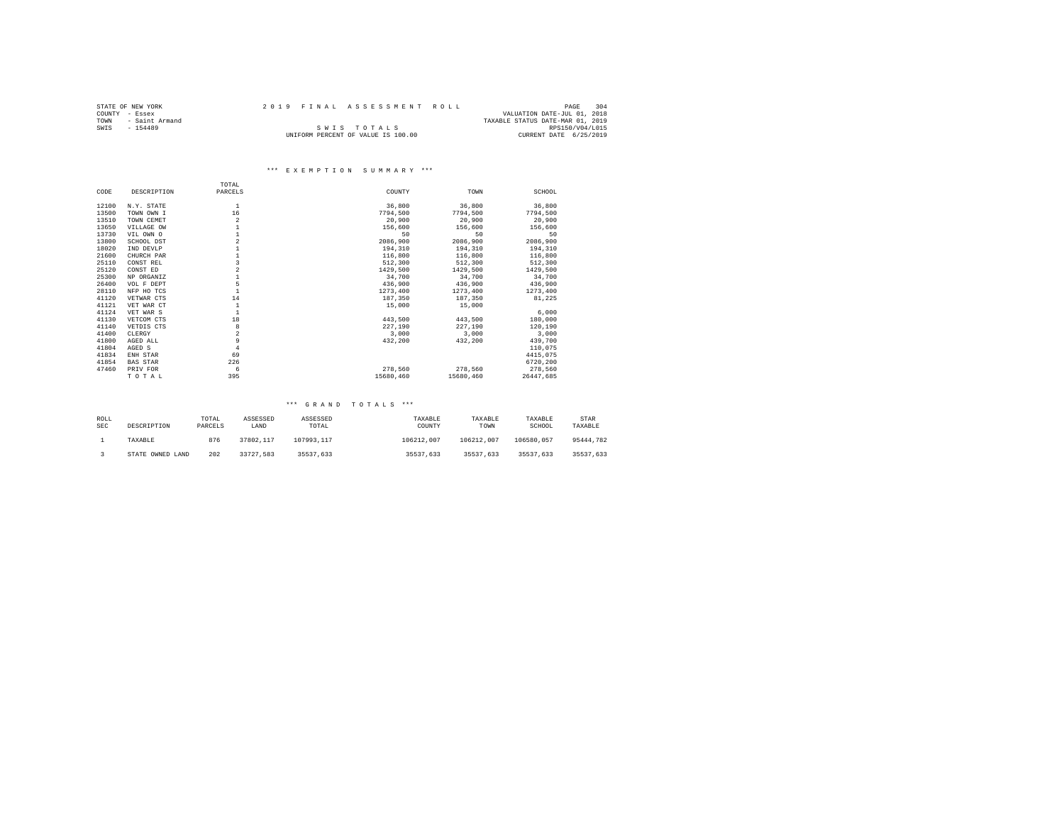|                | STATE OF NEW YORK |  |  |  | 2019 FINAL ASSESSMENT ROLL         |  |                                  | PAGE            | 304 |
|----------------|-------------------|--|--|--|------------------------------------|--|----------------------------------|-----------------|-----|
| COUNTY - Essex |                   |  |  |  |                                    |  | VALUATION DATE-JUL 01, 2018      |                 |     |
| TOWN           | - Saint Armand    |  |  |  |                                    |  | TAXABLE STATUS DATE-MAR 01, 2019 |                 |     |
| SWIS           | $-154489$         |  |  |  | SWIS TOTALS                        |  |                                  | RPS150/V04/L015 |     |
|                |                   |  |  |  | UNIFORM PERCENT OF VALUE IS 100.00 |  | CURRENT DATE 6/25/2019           |                 |     |

# \*\*\* E X E M P T I O N S U M M A R Y \*\*\*

|       |                 | TOTAL          |           |           |           |
|-------|-----------------|----------------|-----------|-----------|-----------|
| CODE  | DESCRIPTION     | PARCELS        | COUNTY    | TOWN      | SCHOOL    |
| 12100 | N.Y. STATE      | 1              | 36,800    | 36,800    | 36,800    |
| 13500 | TOWN OWN I      | 16             | 7794.500  | 7794.500  | 7794,500  |
| 13510 | TOWN CEMET      | $\overline{a}$ | 20,900    | 20,900    | 20,900    |
| 13650 | VILLAGE OW      |                | 156,600   | 156,600   | 156,600   |
| 13730 | VIL OWN O       |                | 50        | 50        | 50        |
| 13800 | SCHOOL DST      | $\overline{a}$ | 2086,900  | 2086,900  | 2086,900  |
| 18020 | IND DEVLP       |                | 194,310   | 194,310   | 194,310   |
| 21600 | CHURCH PAR      |                | 116,800   | 116,800   | 116,800   |
| 25110 | CONST REL       | 3              | 512,300   | 512,300   | 512,300   |
| 25120 | CONST ED        | $\overline{a}$ | 1429,500  | 1429,500  | 1429,500  |
| 25300 | NP ORGANIZ      |                | 34,700    | 34,700    | 34,700    |
| 26400 | VOL F DEPT      | 5              | 436,900   | 436,900   | 436,900   |
| 28110 | NFP HO TCS      |                | 1273.400  | 1273,400  | 1273,400  |
| 41120 | VETWAR CTS      | 14             | 187,350   | 187.350   | 81.225    |
| 41121 | VET WAR CT      |                | 15,000    | 15,000    |           |
| 41124 | VET WAR S       |                |           |           | 6,000     |
| 41130 | VETCOM CTS      | 18             | 443.500   | 443,500   | 180,000   |
| 41140 | VETDIS CTS      | 8              | 227,190   | 227.190   | 120,190   |
| 41400 | CLERGY          | $\overline{a}$ | 3,000     | 3,000     | 3,000     |
| 41800 | AGED ALL        | 9              | 432.200   | 432,200   | 439,700   |
| 41804 | AGED S          | $\overline{4}$ |           |           | 110,075   |
| 41834 | ENH STAR        | 69             |           |           | 4415,075  |
| 41854 | <b>BAS STAR</b> | 226            |           |           | 6720.200  |
| 47460 | PRIV FOR        | 6              | 278.560   | 278.560   | 278.560   |
|       | TOTAL           | 395            | 15680,460 | 15680,460 | 26447.685 |

| ROLL<br><b>SEC</b> | DESCRIPTION      | TOTAL<br>PARCELS | ASSESSED<br>LAND | ASSESSED<br>TOTAL | TAXABLE<br>COUNTY | TAXABLE<br>TOWN | TAXABLE<br>SCHOOL | STAR<br>TAXABLE |
|--------------------|------------------|------------------|------------------|-------------------|-------------------|-----------------|-------------------|-----------------|
|                    | TAXABLE          | 876              | 37802.117        | 107993.117        | 106212.007        | 106212.007      | 106580.057        | 95444.782       |
|                    | STATE OWNED LAND | 202              | 33727.583        | 35537.633         | 35537.633         | 35537.633       | 35537.633         | 35537.633       |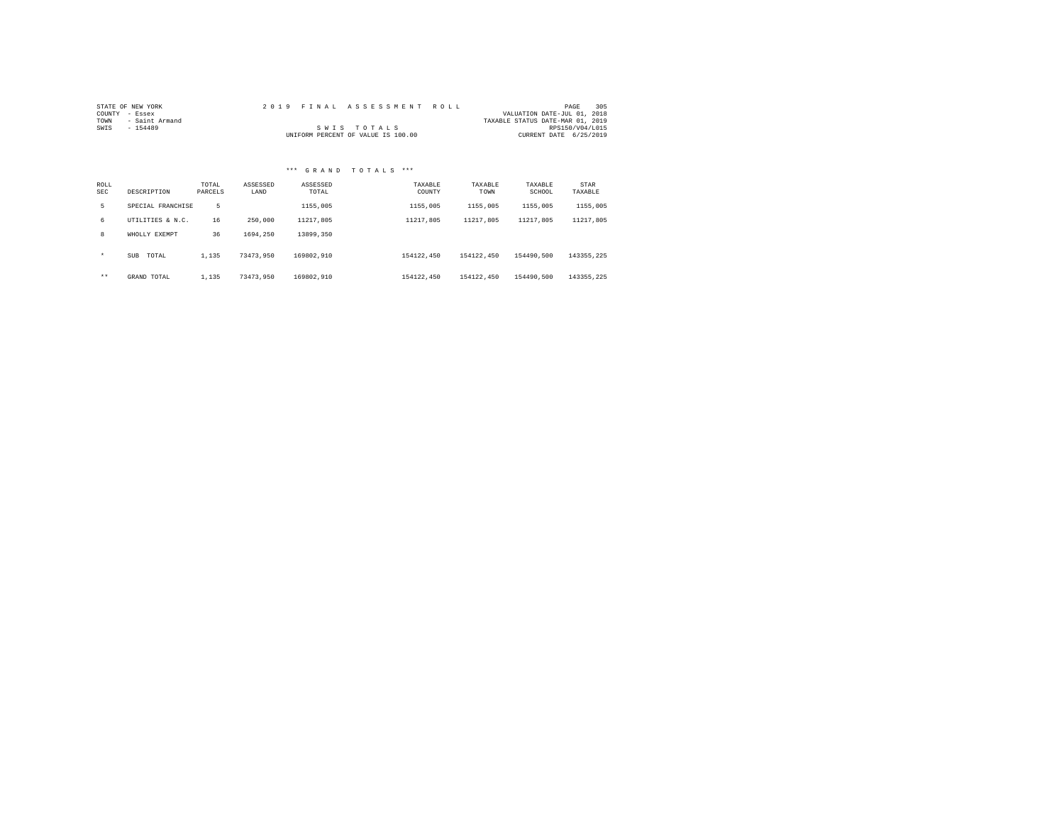|                | STATE OF NEW YORK |  |  |                                    | 2019 FINAL ASSESSMENT ROLL |                                  |                        | PAGE | 305 |
|----------------|-------------------|--|--|------------------------------------|----------------------------|----------------------------------|------------------------|------|-----|
| COUNTY - Essex |                   |  |  |                                    |                            | VALUATION DATE-JUL 01, 2018      |                        |      |     |
| TOWN           | - Saint Armand    |  |  |                                    |                            | TAXABLE STATUS DATE-MAR 01, 2019 |                        |      |     |
| SWIS           | - 154489          |  |  | SWIS TOTALS                        |                            |                                  | RPS150/V04/L015        |      |     |
|                |                   |  |  | UNIFORM PERCENT OF VALUE IS 100.00 |                            |                                  | CURRENT DATE 6/25/2019 |      |     |

| ROLL<br><b>SEC</b> | DESCRIPTION         | TOTAL<br>PARCELS | ASSESSED<br>LAND | ASSESSED<br>TOTAL | TAXABLE<br>COUNTY | TAXABLE<br>TOWN | TAXABLE<br>SCHOOL | STAR<br>TAXABLE |
|--------------------|---------------------|------------------|------------------|-------------------|-------------------|-----------------|-------------------|-----------------|
| 5.                 | SPECIAL FRANCHISE   | 5                |                  | 1155,005          | 1155,005          | 1155,005        | 1155,005          | 1155,005        |
| б.                 | UTILITIES & N.C.    | 16               | 250,000          | 11217.805         | 11217.805         | 11217.805       | 11217.805         | 11217,805       |
| 8                  | WHOLLY EXEMPT       | 36               | 1694.250         | 13899.350         |                   |                 |                   |                 |
| $\star$            | <b>SUB</b><br>TOTAL | 1,135            | 73473.950        | 169802.910        | 154122.450        | 154122.450      | 154490.500        | 143355.225      |
| $***$              | GRAND TOTAL         | 1,135            | 73473.950        | 169802.910        | 154122.450        | 154122.450      | 154490.500        | 143355.225      |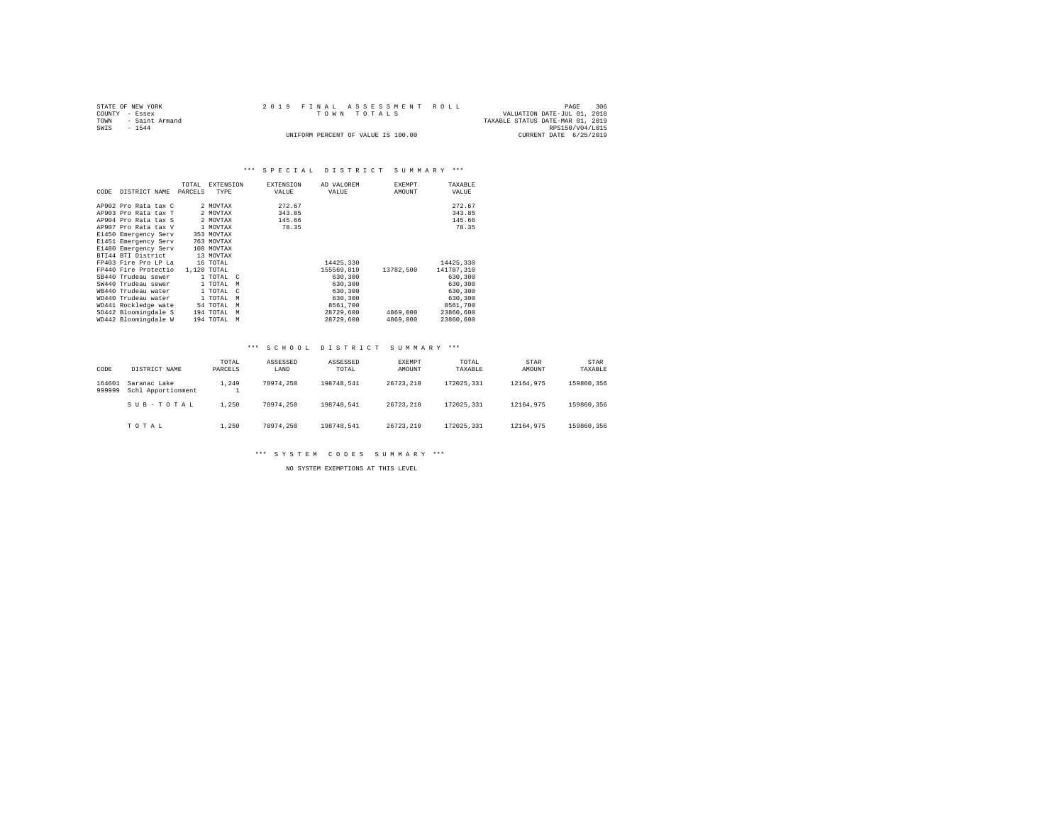|                | STATE OF NEW YORK   | 2019 FINAL ASSESSMENT ROLL         |                                  | PAGE                        | 306 |
|----------------|---------------------|------------------------------------|----------------------------------|-----------------------------|-----|
| COUNTY - Essex |                     | TOWN TOTALS                        |                                  | VALUATION DATE-JUL 01, 2018 |     |
|                | TOWN - Saint Armand |                                    | TAXABLE STATUS DATE-MAR 01, 2019 |                             |     |
| SWIS           | $-1544$             |                                    |                                  | RPS150/V04/L015             |     |
|                |                     | UNIFORM PERCENT OF VALUE IS 100.00 |                                  | CURRENT DATE 6/25/2019      |     |

# \*\*\* SPECIAL DISTRICT SUMMARY \*\*\*

|      |                      | TOTAL   | <b>EXTENSION</b>         | <b>EXTENSION</b> | AD VALOREM | <b>EXEMPT</b> | TAXABLE    |
|------|----------------------|---------|--------------------------|------------------|------------|---------------|------------|
| CODE | DISTRICT NAME        | PARCELS | TYPE                     | VALUE            | VALUE      | AMOUNT        | VALUE      |
|      |                      |         |                          |                  |            |               |            |
|      | AP902 Pro Rata tax C |         | 2 MOVTAX                 | 272.67           |            |               | 272.67     |
|      | AP903 Pro Rata tax T |         | 2 MOVTAX                 | 343.85           |            |               | 343.85     |
|      | AP904 Pro Rata tax S |         | 2 MOVTAX                 | 145.66           |            |               | 145.66     |
|      | AP907 Pro Rata tax V |         | 1 MOVTAX                 | 78.35            |            |               | 78.35      |
|      | E1450 Emergency Serv |         | 353 MOVTAX               |                  |            |               |            |
|      | E1451 Emergency Serv |         | 763 MOVTAX               |                  |            |               |            |
|      | E1480 Emergency Serv |         | 108 MOVTAX               |                  |            |               |            |
|      | BTI44 BTI District   |         | 13 MOVTAX                |                  |            |               |            |
|      | FP403 Fire Pro LP La |         | 16 TOTAL                 |                  | 14425,330  |               | 14425,330  |
|      | FP440 Fire Protectio |         | 1,120 TOTAL              |                  | 155569.810 | 13782.500     | 141787.310 |
|      | SB440 Trudeau sewer  |         | 1 TOTAL C                |                  | 630,300    |               | 630,300    |
|      | SW440 Trudeau sewer  |         | 1 TOTAL<br>M             |                  | 630,300    |               | 630,300    |
|      | WB440 Trudeau water  |         | 1 TOTAL<br>$\mathcal{C}$ |                  | 630,300    |               | 630,300    |
|      | WD440 Trudeau water  |         | 1 TOTAL<br>M             |                  | 630,300    |               | 630,300    |
|      | WD441 Rockledge wate |         | 54 TOTAL<br>M            |                  | 8561,700   |               | 8561,700   |
|      | SD442 Bloomingdale S |         | 194 TOTAL<br>M           |                  | 28729,600  | 4869,000      | 23860,600  |
|      | WD442 Bloomingdale W |         | 194 TOTAL<br>M           |                  | 28729.600  | 4869,000      | 23860,600  |

# \*\*\* S C H O O L D I S T R I C T S U M M A R Y \*\*\*

| CODE             | DISTRICT NAME                      | TOTAL<br>PARCELS | ASSESSED<br>LAND | ASSESSED<br>TOTAL | EXEMPT<br>AMOUNT | TOTAL<br>TAXABLE | <b>STAR</b><br>AMOUNT | <b>STAR</b><br>TAXABLE |
|------------------|------------------------------------|------------------|------------------|-------------------|------------------|------------------|-----------------------|------------------------|
| 164601<br>999999 | Saranac Lake<br>Schl Apportionment | 1.249            | 78974.250        | 198748.541        | 26723.210        | 172025.331       | 12164.975             | 159860.356             |
|                  | SUB-TOTAL                          | 1,250            | 78974.250        | 198748.541        | 26723.210        | 172025.331       | 12164.975             | 159860.356             |
|                  | TOTAL                              | 1,250            | 78974.250        | 198748.541        | 26723.210        | 172025.331       | 12164.975             | 159860.356             |

\*\*\* S Y S T E M C O D E S S U M M A R Y \*\*\*

NO SYSTEM EXEMPTIONS AT THIS LEVEL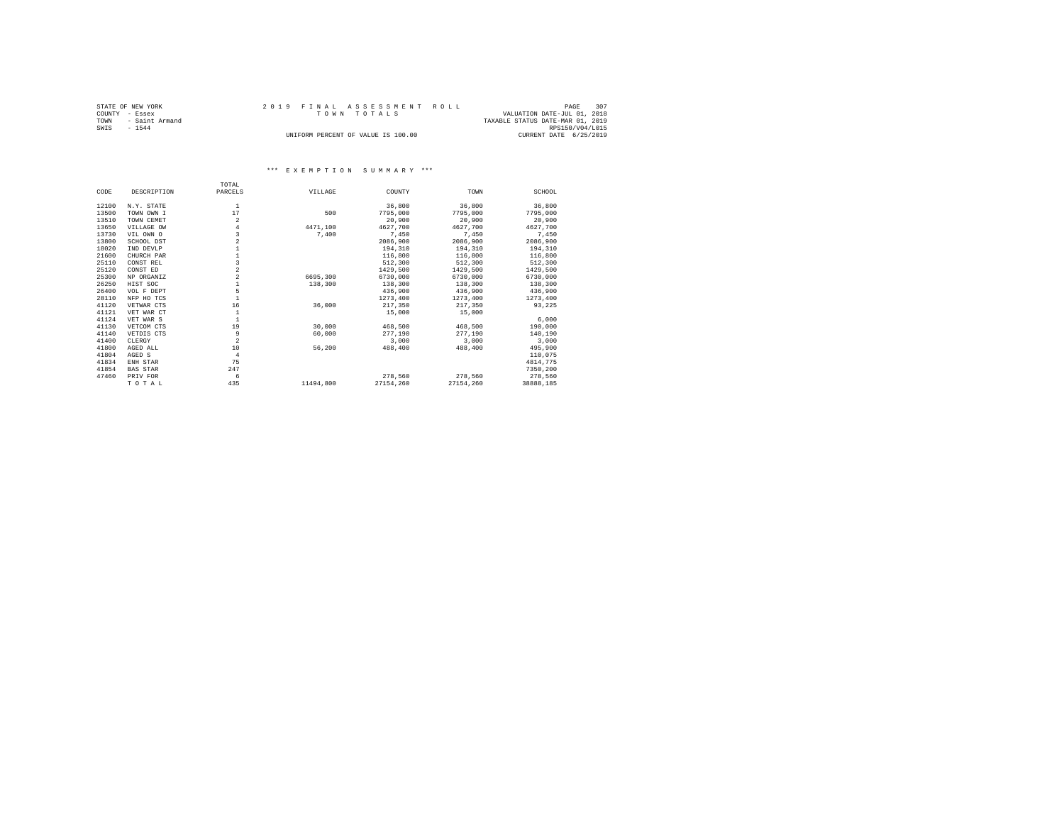|      | STATE OF NEW YORK |  | 2019 FINAL ASSESSMENT ROLL         |                                  | PAGE            | 307 |
|------|-------------------|--|------------------------------------|----------------------------------|-----------------|-----|
|      | COUNTY - Essex    |  | TOWN TOTALS                        | VALUATION DATE-JUL 01, 2018      |                 |     |
| TOWN | - Saint Armand    |  |                                    | TAXABLE STATUS DATE-MAR 01, 2019 |                 |     |
| SWIS | $-1544$           |  |                                    |                                  | RPS150/V04/L015 |     |
|      |                   |  | UNIFORM PERCENT OF VALUE IS 100.00 | CURRENT DATE 6/25/2019           |                 |     |

# \*\*\* E X E M P T I O N S U M M A R Y \*\*\*

|       |                 | TOTAL          |           |           |           |           |
|-------|-----------------|----------------|-----------|-----------|-----------|-----------|
| CODE  | DESCRIPTION     | PARCELS        | VILLAGE   | COUNTY    | TOWN      | SCHOOL    |
| 12100 | N.Y. STATE      | 1              |           | 36,800    | 36,800    | 36,800    |
| 13500 |                 | 17             | 500       | 7795,000  |           |           |
|       | TOWN OWN I      |                |           |           | 7795,000  | 7795,000  |
| 13510 | TOWN CEMET      | $\overline{a}$ |           | 20,900    | 20,900    | 20,900    |
| 13650 | VILLAGE OW      | 4              | 4471.100  | 4627.700  | 4627.700  | 4627,700  |
| 13730 | VIL OWN O       | 3              | 7.400     | 7.450     | 7.450     | 7.450     |
| 13800 | SCHOOL DST      | $\overline{a}$ |           | 2086,900  | 2086,900  | 2086,900  |
| 18020 | IND DEVLP       |                |           | 194,310   | 194,310   | 194,310   |
| 21600 | CHURCH PAR      |                |           | 116,800   | 116,800   | 116,800   |
| 25110 | CONST REL       | 3              |           | 512,300   | 512,300   | 512,300   |
| 25120 | CONST ED        | 2              |           | 1429,500  | 1429.500  | 1429.500  |
| 25300 | NP ORGANIZ      | $\overline{a}$ | 6695,300  | 6730,000  | 6730,000  | 6730,000  |
| 26250 | HIST SOC        |                | 138,300   | 138,300   | 138,300   | 138,300   |
| 26400 | VOL F DEPT      | 5              |           | 436,900   | 436,900   | 436,900   |
| 28110 | NFP HO TCS      |                |           | 1273,400  | 1273,400  | 1273,400  |
| 41120 | VETWAR CTS      | 16             | 36,000    | 217,350   | 217,350   | 93,225    |
| 41121 | VET WAR CT      | $\mathbf{1}$   |           | 15,000    | 15,000    |           |
| 41124 | VET WAR S       |                |           |           |           | 6,000     |
| 41130 | VETCOM CTS      | 19             | 30,000    | 468,500   | 468.500   | 190,000   |
| 41140 | VETDIS CTS      | 9              | 60,000    | 277.190   | 277,190   | 140,190   |
| 41400 | CLERGY          | $\overline{a}$ |           | 3,000     | 3,000     | 3,000     |
| 41800 | AGED ALL        | 10             | 56,200    | 488,400   | 488,400   | 495,900   |
| 41804 | AGED S          | $\overline{4}$ |           |           |           | 110,075   |
| 41834 | ENH STAR        | 75             |           |           |           | 4814.775  |
| 41854 | <b>BAS STAR</b> | 247            |           |           |           | 7350.200  |
| 47460 | PRIV FOR        | 6              |           | 278,560   | 278,560   | 278.560   |
|       | TOTAL           | 435            | 11494,800 | 27154.260 | 27154.260 | 38888,185 |
|       |                 |                |           |           |           |           |